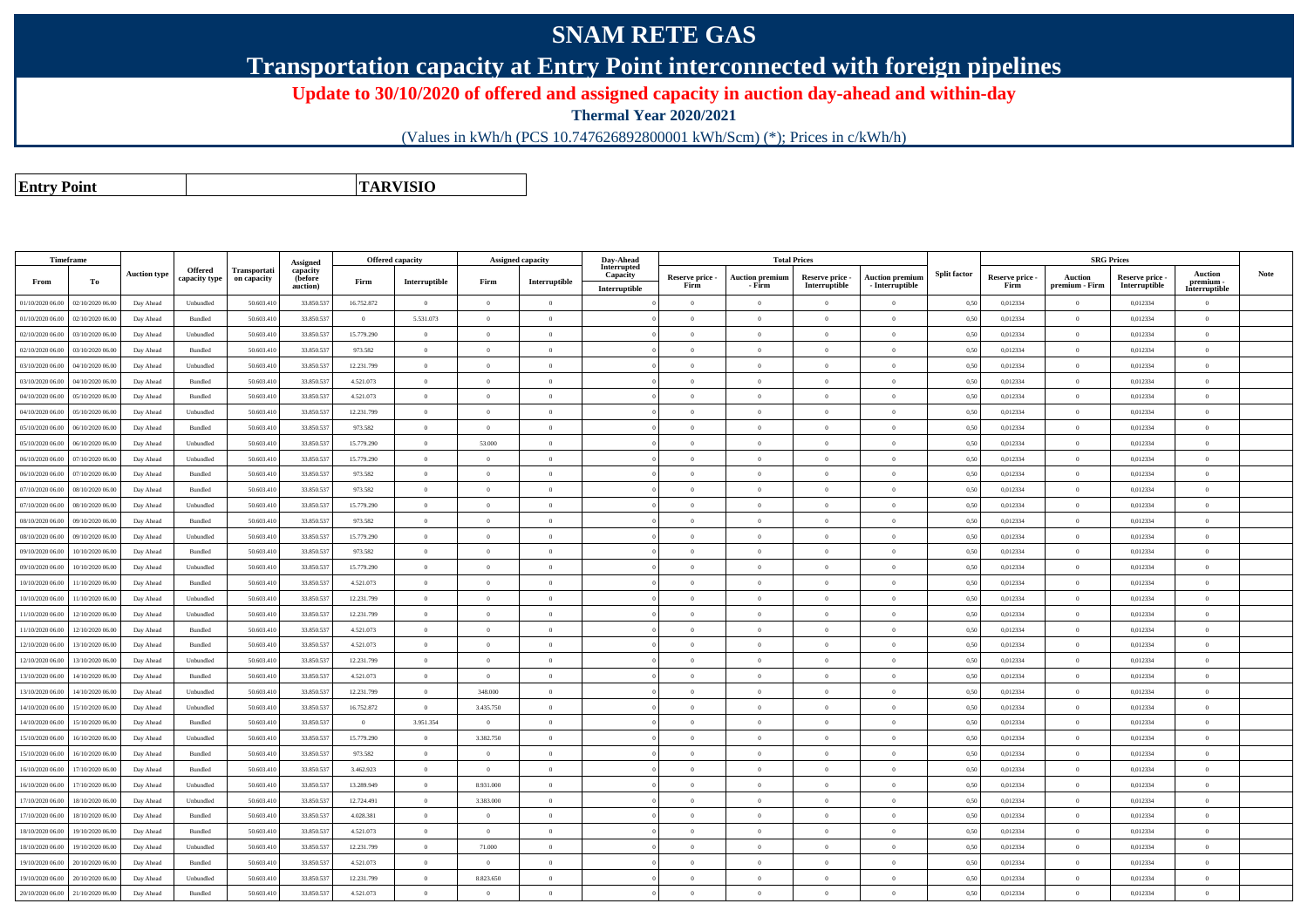## **SNAM RETE GAS**

**Transportation capacity at Entry Point interconnected with foreign pipelines**

**Update to 30/10/2020 of offered and assigned capacity in auction day-ahead and within-day**

**Thermal Year 2020/2021**

(Values in kWh/h (PCS 10.747626892800001 kWh/Scm) (\*); Prices in c/kWh/h)

**Entry PointTARVISIO**

|                  | Timeframe        |                     |                                 |                             | Assigned                        |                | Offered capacity |                | Assigned capacity                       | Day-Ahead                                |                         |                                  | <b>Total Prices</b>              |                                           |                     |                         |                           | <b>SRG Prices</b>                |                                              |             |
|------------------|------------------|---------------------|---------------------------------|-----------------------------|---------------------------------|----------------|------------------|----------------|-----------------------------------------|------------------------------------------|-------------------------|----------------------------------|----------------------------------|-------------------------------------------|---------------------|-------------------------|---------------------------|----------------------------------|----------------------------------------------|-------------|
| From             | To               | <b>Auction type</b> | <b>Offered</b><br>capacity type | Transportati<br>on capacity | capacity<br>(before<br>auction) | Firm           | Interruptible    | Firm           | $\label{prop:1} \textbf{Interruptible}$ | Interrupted<br>Capacity<br>Interruptible | Reserve price -<br>Firm | <b>Auction premiun</b><br>- Firm | Reserve price -<br>Interruptible | <b>Auction premium</b><br>- Interruptible | <b>Split factor</b> | Reserve price -<br>Firm | Auction<br>premium - Firm | Reserve price -<br>Interruptible | <b>Auction</b><br>premium -<br>Interruptible | <b>Note</b> |
| 01/10/2020 06:00 | 02/10/2020 06.00 | Day Ahead           | Unbundled                       | 50.603.41                   | 33.850.53                       | 16.752.872     | $\overline{0}$   | $\overline{0}$ | $\theta$                                |                                          | $\theta$                | $\overline{0}$                   | $\theta$                         | $\theta$                                  | 0,50                | 0,012334                | $\Omega$                  | 0,012334                         | $\Omega$                                     |             |
| 01/10/2020 06.00 | 02/10/2020 06.00 | Day Ahead           | Bundled                         | 50.603.410                  | 33.850.53                       | $\overline{0}$ | 5.531.073        | $\overline{0}$ | $\Omega$                                |                                          | $\theta$                | $\overline{0}$                   | $\overline{0}$                   | $\overline{0}$                            | 0,50                | 0,012334                | $\theta$                  | 0,012334                         | $\mathbf{0}$                                 |             |
| 02/10/2020 06.00 | 03/10/2020 06.0  | Day Ahead           | Unbundled                       | 50.603.41                   | 33.850.53                       | 15.779.290     | $\overline{0}$   | $\overline{0}$ | $\Omega$                                |                                          | $\Omega$                | $\overline{0}$                   | $\theta$                         | $\Omega$                                  | 0,50                | 0,012334                | $\overline{0}$            | 0,012334                         | $\mathbf{0}$                                 |             |
| 02/10/2020 06.00 | 03/10/2020 06.00 | Day Ahead           | Bundled                         | 50.603.410                  | 33.850.537                      | 973.582        | $\overline{0}$   | $\overline{0}$ | $\overline{0}$                          |                                          | $\theta$                | $\bf{0}$                         | $\bf{0}$                         | $\overline{0}$                            | 0,50                | 0,012334                | $\overline{0}$            | 0,012334                         | $\mathbf{0}$                                 |             |
| 03/10/2020 06.00 | 04/10/2020 06.0  | Day Ahead           | Unbundled                       | 50.603.41                   | 33.850.537                      | 12.231.799     | $\overline{0}$   | $\mathbf{0}$   | $\Omega$                                |                                          | $\theta$                | $\overline{0}$                   | $\theta$                         | $\overline{0}$                            | 0,50                | 0,012334                | $\overline{0}$            | 0,012334                         | $\mathbf{0}$                                 |             |
| 03/10/2020 06:00 | 04/10/2020 06.00 | Day Ahead           | Bundled                         | 50.603.410                  | 33.850.537                      | 4.521.073      | $\overline{0}$   | $\overline{0}$ | $\Omega$                                |                                          | $\theta$                | $\overline{0}$                   | $\Omega$                         | $\theta$                                  | 0,50                | 0,012334                | $\Omega$                  | 0,012334                         | $\mathbf{0}$                                 |             |
| 04/10/2020 06.0  | 05/10/2020 06.0  | Day Ahead           | Bundled                         | 50,603.41                   | 33.850.53                       | 4.521.073      | $\overline{0}$   | $\Omega$       | $\Omega$                                |                                          | $\theta$                | $\theta$                         | $\theta$                         | $\theta$                                  | 0,50                | 0,012334                | $\theta$                  | 0,012334                         | $\theta$                                     |             |
| 04/10/2020 06:00 | 05/10/2020 06:00 | Day Ahead           | Unbundled                       | 50.603.410                  | 33.850.537                      | 12.231.799     | $\overline{0}$   | $\overline{0}$ | $\theta$                                |                                          | $\Omega$                | $\overline{0}$                   | $\theta$                         | $\overline{0}$                            | 0,50                | 0,012334                | $\overline{0}$            | 0,012334                         | $\mathbf{0}$                                 |             |
| 05/10/2020 06.00 | 06/10/2020 06:00 | Day Ahead           | <b>Bundled</b>                  | 50,603.41                   | 33,850,537                      | 973.582        | $\overline{0}$   | $\Omega$       | $\Omega$                                |                                          | $\Omega$                | $\theta$                         | $\theta$                         | $\Omega$                                  | 0.50                | 0.012334                | $\Omega$                  | 0.012334                         | $\Omega$                                     |             |
| 05/10/2020 06:00 | 06/10/2020 06:00 | Day Ahead           | Unbundled                       | 50.603.410                  | 33,850,537                      | 15,779.290     | $\overline{0}$   | 53,000         | $\Omega$                                |                                          | $\theta$                | $\theta$                         | $\theta$                         | $\overline{0}$                            | 0.50                | 0.012334                | $\theta$                  | 0.012334                         | $\theta$                                     |             |
| 06/10/2020 06.00 | 07/10/2020 06.00 | Day Ahead           | Unbundled                       | 50.603.410                  | 33.850.53                       | 15.779.290     | $\overline{0}$   | $\overline{0}$ | $\Omega$                                |                                          | $\Omega$                | $\overline{0}$                   | $\theta$                         | $\theta$                                  | 0,50                | 0,012334                | $\Omega$                  | 0,012334                         | $\mathbf{0}$                                 |             |
| 06/10/2020 06.0  | 07/10/2020 06.00 | Day Ahead           | Bundled                         | 50.603.41                   | 33.850.537                      | 973.582        | $\overline{0}$   | $\overline{0}$ | $\Omega$                                |                                          | $\theta$                | $\overline{0}$                   | $\Omega$                         | $\Omega$                                  | 0,50                | 0,012334                | $\Omega$                  | 0,012334                         | $\Omega$                                     |             |
| 07/10/2020 06.00 | 08/10/2020 06.00 | Day Ahead           | Bundled                         | 50.603.41                   | 33.850.537                      | 973.582        | $\overline{0}$   | $\Omega$       | $\Omega$                                |                                          | $\sqrt{2}$              | $\overline{0}$                   | $\theta$                         | $\theta$                                  | 0,50                | 0,012334                | $\Omega$                  | 0,012334                         | $\Omega$                                     |             |
| 07/10/2020 06.00 | 08/10/2020 06:00 | Day Ahead           | Unbundled                       | 50.603.41                   | 33.850.537                      | 15.779.290     | $\overline{0}$   | $\overline{0}$ | $\Omega$                                |                                          | $\theta$                | $\overline{0}$                   | $\theta$                         | $\theta$                                  | 0,50                | 0,012334                | $\Omega$                  | 0,012334                         | $\mathbf{0}$                                 |             |
| 08/10/2020 06:00 | 09/10/2020 06.0  | Day Ahead           | Bundled                         | 50.603.410                  | 33.850.537                      | 973.582        | $\overline{0}$   | $\mathbf{0}$   | $\overline{0}$                          |                                          | $\overline{0}$          | $\overline{0}$                   | $\theta$                         | $\overline{0}$                            | 0,50                | 0,012334                | $\overline{0}$            | 0,012334                         | $\mathbf{0}$                                 |             |
| 08/10/2020 06.00 | 09/10/2020 06.00 | Day Ahead           | Unbundled                       | 50.603.41                   | 33.850.53                       | 15.779.290     | $\overline{0}$   | $\Omega$       | $\Omega$                                |                                          | $\theta$                | $\overline{0}$                   | $\Omega$                         | $\theta$                                  | 0,50                | 0,012334                | $\Omega$                  | 0,012334                         | $\Omega$                                     |             |
| 09/10/2020 06:00 | 10/10/2020 06:00 | Day Ahead           | Bundled                         | 50.603.410                  | 33.850.537                      | 973.582        | $\overline{0}$   | $\Omega$       | $\Omega$                                |                                          | $\theta$                | $\theta$                         | $\Omega$                         | $\theta$                                  | 0,50                | 0,012334                | $\Omega$                  | 0,012334                         | $\Omega$                                     |             |
| 09/10/2020 06.00 | 10/10/2020 06:00 | Day Ahead           | Unbundled                       | 50.603.41                   | 33.850.53                       | 15.779.290     | $\overline{0}$   | $\Omega$       |                                         |                                          |                         | $\theta$                         | $\theta$                         | $\theta$                                  | 0,50                | 0,012334                | $\Omega$                  | 0,012334                         | $\theta$                                     |             |
| 10/10/2020 06:00 | 11/10/2020 06:00 | Day Ahead           | Bundled                         | 50.603.410                  | 33.850.537                      | 4.521.073      | $\overline{0}$   | $\theta$       | $\Omega$                                |                                          | $\theta$                | $\theta$                         | $\theta$                         | $\theta$                                  | 0,50                | 0,012334                | $\overline{0}$            | 0,012334                         | $\theta$                                     |             |
| 10/10/2020 06:00 | 11/10/2020 06:00 | Day Ahead           | Unbundled                       | 50.603.410                  | 33,850,537                      | 12.231.799     | $\overline{0}$   | $\Omega$       | $\Omega$                                |                                          | $\theta$                | $\theta$                         | $\theta$                         | $\overline{0}$                            | 0.50                | 0.012334                | $\overline{0}$            | 0.012334                         | $\theta$                                     |             |
| 11/10/2020 06:00 | 12/10/2020 06:00 | Day Ahead           | Unbundled                       | 50.603.410                  | 33.850.53                       | 12.231.799     | $\overline{0}$   | $\overline{0}$ | $\Omega$                                |                                          | $\theta$                | $\overline{0}$                   | $\theta$                         | $\theta$                                  | 0,50                | 0,012334                | $\overline{0}$            | 0,012334                         | $\mathbf{0}$                                 |             |
| 11/10/2020 06.00 | 12/10/2020 06.00 | Day Ahead           | Bundled                         | 50.603.41                   | 33.850.537                      | 4.521.073      | $\overline{0}$   | $\Omega$       | $\Omega$                                |                                          | $\Omega$                | $\theta$                         | $\Omega$                         | $\sqrt{2}$                                | 0,50                | 0,012334                | $\Omega$                  | 0,012334                         | $\Omega$                                     |             |
| 12/10/2020 06.00 | 13/10/2020 06:00 | Day Ahead           | Bundled                         | 50,603.41                   | 33.850.537                      | 4.521.073      | $\overline{0}$   | $\overline{0}$ | $\Omega$                                |                                          | $\Omega$                | $\overline{0}$                   | $\Omega$                         | $\sqrt{2}$                                | 0,50                | 0,012334                | $\Omega$                  | 0,012334                         | $\Omega$                                     |             |
| 12/10/2020 06.00 | 13/10/2020 06.00 | Day Ahead           | Unbundled                       | 50.603.410                  | 33.850.537                      | 12.231.799     | $\overline{0}$   | $\Omega$       | $\Omega$                                |                                          | $\theta$                | $\overline{0}$                   | $\Omega$                         | $\overline{0}$                            | 0,50                | 0,012334                | $\theta$                  | 0,012334                         | $\Omega$                                     |             |
| 13/10/2020 06.0  | 14/10/2020 06.0  | Day Ahead           | Bundled                         | 50.603.41                   | 33.850.53                       | 4.521.073      | $\overline{0}$   | $\overline{0}$ | $\Omega$                                |                                          | $\theta$                | $\overline{0}$                   | $\theta$                         | $\theta$                                  | 0,50                | 0,012334                | $\overline{0}$            | 0,012334                         | $\mathbf{0}$                                 |             |
| 13/10/2020 06:00 | 14/10/2020 06.00 | Day Ahead           | Unbundled                       | 50.603.410                  | 33.850.537                      | 12.231.799     | $\overline{0}$   | 348.000        | $\Omega$                                |                                          | $\Omega$                | $\overline{0}$                   | $\theta$                         | $\overline{0}$                            | 0,50                | 0,012334                | $\theta$                  | 0,012334                         | $\mathbf{0}$                                 |             |
| 14/10/2020 06:00 | 15/10/2020 06.0  | Day Ahead           | Unbundled                       | 50.603.41                   | 33.850.537                      | 16.752.872     | $\theta$         | 3.435.750      |                                         |                                          | $\theta$                | $\theta$                         | $\Omega$                         | $\theta$                                  | 0,50                | 0,012334                | $\Omega$                  | 0,012334                         | $\Omega$                                     |             |
| 14/10/2020 06:00 | 15/10/2020 06:00 | Day Ahead           | Bundled                         | 50.603.410                  | 33.850.53                       | $\theta$       | 3.951.354        | $\overline{0}$ | $\Omega$                                |                                          | $\Omega$                | $\overline{0}$                   | $\theta$                         | $\theta$                                  | 0,50                | 0,012334                | $\theta$                  | 0,012334                         | $\mathbf{0}$                                 |             |
| 15/10/2020 06:00 | 16/10/2020 06.0  | Day Ahead           | Unbundled                       | 50.603.41                   | 33.850.537                      | 15.779.290     | $\overline{0}$   | 3.382.750      | $\Omega$                                |                                          | $\theta$                | $\overline{0}$                   | $\Omega$                         | $\theta$                                  | 0,50                | 0,012334                | $\Omega$                  | 0,012334                         | $\Omega$                                     |             |
| 15/10/2020 06:00 | 16/10/2020 06:00 | Day Ahead           | Bundled                         | 50.603.410                  | 33,850,537                      | 973.582        | $\overline{0}$   | $\Omega$       | $\Omega$                                |                                          | $\theta$                | $\theta$                         | $\theta$                         | $\theta$                                  | 0,50                | 0,012334                | $\theta$                  | 0.012334                         | $\theta$                                     |             |
| 16/10/2020 06:00 | 17/10/2020 06:00 | Day Ahead           | Bundled                         | 50.603.410                  | 33,850,537                      | 3.462.923      | $\overline{0}$   | $\Omega$       | $\Omega$                                |                                          | $\Omega$                | $\theta$                         | $\Omega$                         | $\theta$                                  | 0.50                | 0,012334                | $\theta$                  | 0.012334                         | $\Omega$                                     |             |
| 16/10/2020 06.00 | 17/10/2020 06:00 | Day Ahead           | Unbundled                       | 50.603.410                  | 33.850.537                      | 13.289.949     | $\overline{0}$   | 8.931.000      | $\Omega$                                |                                          | $\overline{0}$          | $\overline{0}$                   | $\theta$                         | $\overline{0}$                            | 0,50                | 0,012334                | $\overline{0}$            | 0,012334                         | $\mathbf{0}$                                 |             |
| 17/10/2020 06.00 | 18/10/2020 06:0  | Day Ahead           | Unbundled                       | 50.603.410                  | 33.850.53                       | 12.724.491     | $\overline{0}$   | 3.383,000      | $\Omega$                                |                                          | $\Omega$                | $\theta$                         | $\Omega$                         | $\overline{0}$                            | 0.50                | 0,012334                | $\theta$                  | 0,012334                         | $\Omega$                                     |             |
| 17/10/2020 06.00 | 18/10/2020 06.0  | Day Ahead           | Bundled                         | 50.603.41                   | 33.850.53                       | 4.028.381      | $\overline{0}$   | $\overline{0}$ | $\Omega$                                |                                          | $\theta$                | $\overline{0}$                   | $\theta$                         | $\theta$                                  | 0,50                | 0,012334                | $\overline{0}$            | 0,012334                         | $\Omega$                                     |             |
| 18/10/2020 06:00 | 19/10/2020 06.00 | Day Ahead           | Bundled                         | 50.603.410                  | 33.850.537                      | 4.521.073      | $\overline{0}$   | $\overline{0}$ | $\Omega$                                |                                          | $\theta$                | $\overline{0}$                   | $\theta$                         | $\overline{0}$                            | 0,50                | 0,012334                | $\overline{0}$            | 0,012334                         | $\mathbf{0}$                                 |             |
| 18/10/2020 06.0  | 19/10/2020 06.0  | Day Ahead           | Unbundled                       | 50.603.41                   | 33.850.53                       | 12.231.799     | $\overline{0}$   | 71.000         | $\Omega$                                |                                          | $\Omega$                | $\overline{0}$                   | $\theta$                         | $\theta$                                  | 0,50                | 0,012334                | $\Omega$                  | 0,012334                         | $\mathbf{0}$                                 |             |
| 19/10/2020 06.00 | 20/10/2020 06:00 | Day Ahead           | Bundled                         | 50.603.410                  | 33.850.537                      | 4.521.073      | $\overline{0}$   | $\Omega$       | $\Omega$                                |                                          | $\theta$                | $\overline{0}$                   | $\Omega$                         | $\theta$                                  | 0,50                | 0,012334                | $\Omega$                  | 0,012334                         | $\Omega$                                     |             |
| 19/10/2020 06.00 | 20/10/2020 06.0  | Day Ahead           | Unbundled                       | 50.603.41                   | 33.850.53                       | 12.231.799     | $\overline{0}$   | 8.823.650      |                                         |                                          | $\theta$                | $\overline{0}$                   | $\theta$                         | $\overline{0}$                            | 0,50                | 0,012334                | $\overline{0}$            | 0,012334                         | $\mathbf{0}$                                 |             |
| 20/10/2020 06:00 | 21/10/2020 06:00 | Day Ahead           | Bundled                         | 50.603.410                  | 33.850.537                      | 4.521.073      | $\overline{0}$   | $\Omega$       | $\Omega$                                |                                          | $\theta$                | $\Omega$                         | $\Omega$                         | $\theta$                                  | 0,50                | 0,012334                | $\Omega$                  | 0,012334                         | $\Omega$                                     |             |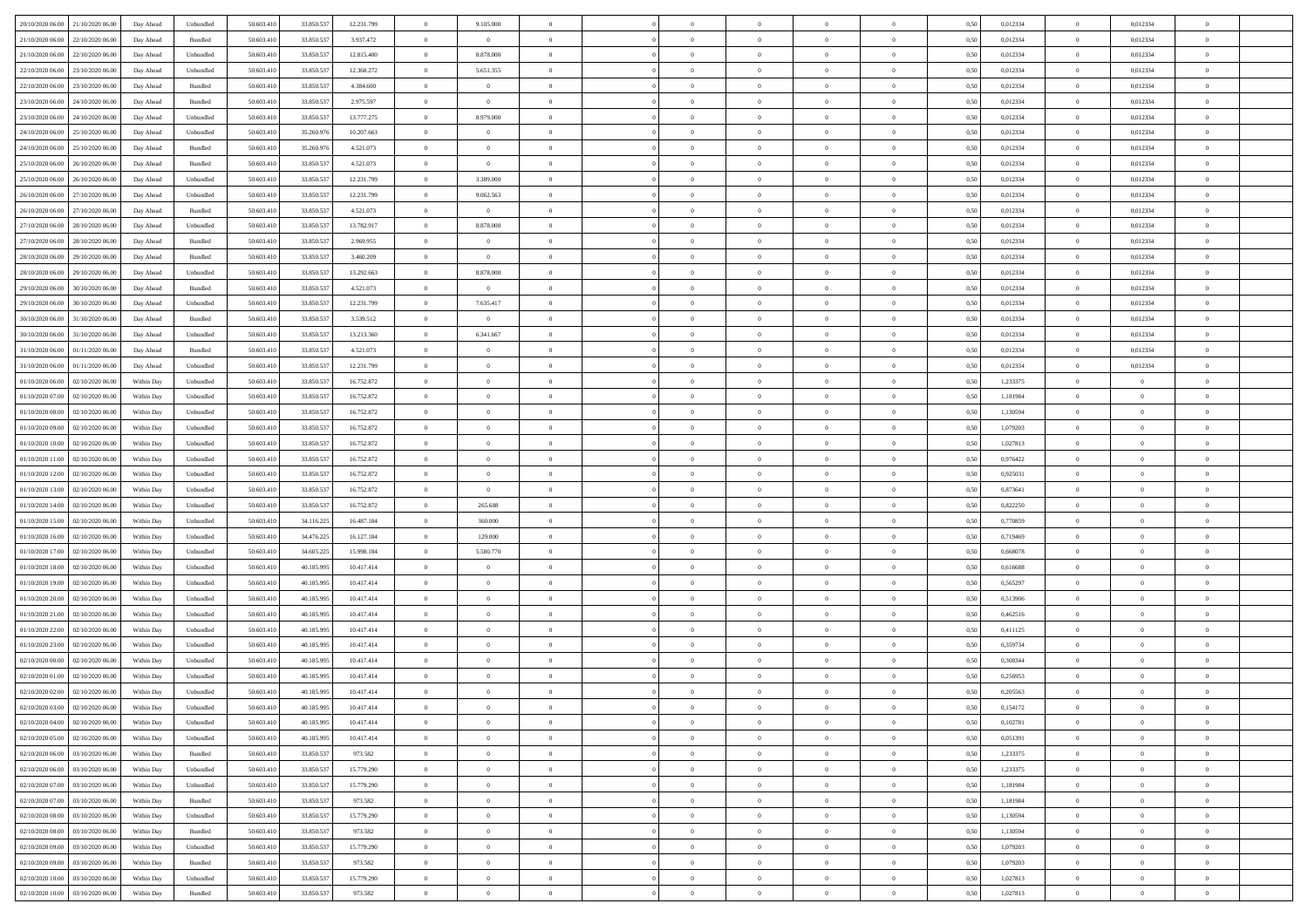| 20/10/2020 06:00 21/10/2020 06:00    | Day Ahead  | Unbundled                   | 50.603.410 | 33.850.537 | 12.231.799 | $\overline{0}$ | 9.105.000      |                | $\overline{0}$ | $\theta$       |                | $\theta$       | 0,50 | 0,012334 | $\theta$       | 0,012334       | $\overline{0}$ |  |
|--------------------------------------|------------|-----------------------------|------------|------------|------------|----------------|----------------|----------------|----------------|----------------|----------------|----------------|------|----------|----------------|----------------|----------------|--|
| 21/10/2020 06.00<br>22/10/2020 06.00 | Day Ahead  | Bundled                     | 50.603.41  | 33.850.53  | 3.937.472  | $\bf{0}$       | $\overline{0}$ | $\bf{0}$       | $\overline{0}$ | $\bf{0}$       | $\overline{0}$ | $\bf{0}$       | 0,50 | 0,012334 | $\,$ 0 $\,$    | 0,012334       | $\overline{0}$ |  |
| 21/10/2020 06:00<br>22/10/2020 06.00 | Day Ahead  | Unbundled                   | 50.603.41  | 33,850,537 | 12.815.400 | $\overline{0}$ | 8.878.000      | $\overline{0}$ | $\bf{0}$       | $\bf{0}$       | $\overline{0}$ | $\bf{0}$       | 0.50 | 0,012334 | $\bf{0}$       | 0.012334       | $\overline{0}$ |  |
| 22/10/2020 06:00<br>23/10/2020 06:00 | Day Ahead  | Unbundled                   | 50.603.410 | 33.850.537 | 12.368.272 | $\overline{0}$ | 5.651.355      | $\overline{0}$ | $\theta$       | $\theta$       | $\overline{0}$ | $\overline{0}$ | 0,50 | 0,012334 | $\,$ 0 $\,$    | 0,012334       | $\overline{0}$ |  |
| 22/10/2020 06.00<br>23/10/2020 06.00 | Day Ahead  | Bundled                     | 50.603.41  | 33.850.53  | 4.384.600  | $\bf{0}$       | $\theta$       | $\bf{0}$       | $\overline{0}$ | $\theta$       | $\overline{0}$ | $\bf{0}$       | 0,50 | 0,012334 | $\,$ 0 $\,$    | 0,012334       | $\overline{0}$ |  |
| 23/10/2020 06.00<br>24/10/2020 06:00 |            | Bundled                     | 50.603.41  | 33,850,537 | 2.975.597  | $\overline{0}$ | $\overline{0}$ | $\overline{0}$ | $\overline{0}$ | $\overline{0}$ | $\theta$       | $\bf{0}$       | 0.50 | 0.012334 | $\bf{0}$       | 0.012334       | $\overline{0}$ |  |
|                                      | Day Ahead  |                             |            |            |            | $\overline{0}$ |                | $\overline{0}$ | $\overline{0}$ | $\overline{0}$ | $\overline{0}$ |                |      |          | $\,$ 0 $\,$    |                | $\overline{0}$ |  |
| 23/10/2020 06:00<br>24/10/2020 06.00 | Day Ahead  | Unbundled                   | 50.603.41  | 33.850.537 | 13.777.275 |                | 8.979.000      |                |                |                |                | $\bf{0}$       | 0,50 | 0,012334 |                | 0,012334       |                |  |
| 24/10/2020 06.00<br>25/10/2020 06.00 | Day Ahead  | Unbundled                   | 50.603.41  | 35.260.97  | 10.207.663 | $\bf{0}$       | $\overline{0}$ | $\bf{0}$       | $\overline{0}$ | $\theta$       | $\overline{0}$ | $\bf{0}$       | 0,50 | 0,012334 | $\,$ 0 $\,$    | 0,012334       | $\overline{0}$ |  |
| 24/10/2020 06.00<br>25/10/2020 06:00 | Day Ahead  | Bundled                     | 50.603.41  | 35.260.976 | 4.521.073  | $\overline{0}$ | $\overline{0}$ | $\overline{0}$ | $\bf{0}$       | $\overline{0}$ | $\overline{0}$ | $\bf{0}$       | 0.50 | 0.012334 | $\bf{0}$       | 0.012334       | $\overline{0}$ |  |
| 25/10/2020 06:00<br>26/10/2020 06:00 | Day Ahead  | Bundled                     | 50.603.410 | 33.850.537 | 4.521.073  | $\overline{0}$ | $\bf{0}$       | $\overline{0}$ | $\overline{0}$ | $\theta$       | $\overline{0}$ | $\bf{0}$       | 0,50 | 0,012334 | $\bf{0}$       | 0,012334       | $\overline{0}$ |  |
| 25/10/2020 06.00<br>26/10/2020 06.00 | Day Ahead  | Unbundled                   | 50.603.41  | 33.850.53  | 12.231.799 | $\bf{0}$       | 3.389.000      | $\bf{0}$       | $\overline{0}$ | $\bf{0}$       | $\overline{0}$ | $\bf{0}$       | 0,50 | 0,012334 | $\,$ 0 $\,$    | 0,012334       | $\overline{0}$ |  |
| 26/10/2020 06.00<br>27/10/2020 06.00 | Day Ahead  | Unbundled                   | 50.603.41  | 33,850,537 | 12.231.799 | $\overline{0}$ | 9.062.563      | $\overline{0}$ | $\bf{0}$       | $\bf{0}$       | $\overline{0}$ | $\bf{0}$       | 0.50 | 0.012334 | $\overline{0}$ | 0,012334       | $\overline{0}$ |  |
| 26/10/2020 06:00<br>27/10/2020 06.00 | Day Ahead  | Bundled                     | 50.603.41  | 33.850.537 | 4.521.073  | $\overline{0}$ | $\overline{0}$ | $\overline{0}$ | $\overline{0}$ | $\theta$       | $\overline{0}$ | $\overline{0}$ | 0,50 | 0,012334 | $\,$ 0 $\,$    | 0,012334       | $\overline{0}$ |  |
| 27/10/2020 06.00<br>28/10/2020 06.00 | Day Ahead  | Unbundled                   | 50.603.41  | 33.850.53  | 13.782.917 | $\bf{0}$       | 8.878.000      | $\bf{0}$       | $\overline{0}$ | $\theta$       | $\overline{0}$ | $\bf{0}$       | 0,50 | 0,012334 | $\,$ 0 $\,$    | 0,012334       | $\overline{0}$ |  |
| 27/10/2020 06.00<br>28/10/2020 06:00 | Day Ahead  | Bundled                     | 50.603.41  | 33,850,537 | 2.969.955  | $\overline{0}$ | $\overline{0}$ | $\overline{0}$ | $\bf{0}$       | $\theta$       | $\theta$       | $\bf{0}$       | 0.50 | 0.012334 | $\bf{0}$       | 0,012334       | $\overline{0}$ |  |
| 28/10/2020 06:00<br>29/10/2020 06.00 | Day Ahead  | Bundled                     | 50.603.410 | 33.850.537 | 3.460.209  | $\overline{0}$ | $\overline{0}$ | $\overline{0}$ | $\overline{0}$ | $\overline{0}$ | $\overline{0}$ | $\bf{0}$       | 0,50 | 0,012334 | $\bf{0}$       | 0,012334       | $\overline{0}$ |  |
| 29/10/2020 06.00                     | Day Ahead  | Unbundled                   | 50.603.41  | 33.850.53  | 13.292.663 | $\bf{0}$       | 8.878.000      | $\bf{0}$       | $\overline{0}$ | $\theta$       | $\overline{0}$ | $\bf{0}$       | 0,50 | 0,012334 | $\,$ 0 $\,$    | 0,012334       | $\overline{0}$ |  |
| 28/10/2020 06:00                     |            |                             |            |            |            |                |                |                |                |                |                |                |      |          |                |                |                |  |
| 29/10/2020 06.00<br>30/10/2020 06:00 | Day Ahead  | Bundled                     | 50.603.41  | 33,850,537 | 4.521.073  | $\overline{0}$ | $\overline{0}$ | $\overline{0}$ | $\bf{0}$       | $\overline{0}$ | $\overline{0}$ | $\bf{0}$       | 0.50 | 0.012334 | $\bf{0}$       | 0.012334       | $\overline{0}$ |  |
| 29/10/2020 06.00<br>30/10/2020 06.00 | Day Ahead  | Unbundled                   | 50.603.410 | 33.850.537 | 12.231.799 | $\overline{0}$ | 7.635.417      | $\overline{0}$ | $\overline{0}$ | $\overline{0}$ | $\overline{0}$ | $\bf{0}$       | 0,50 | 0,012334 | $\,$ 0 $\,$    | 0,012334       | $\overline{0}$ |  |
| 30/10/2020 06.00<br>31/10/2020 06.00 | Day Ahead  | Bundled                     | 50.603.41  | 33.850.53  | 3.539.512  | $\bf{0}$       | $\bf{0}$       | $\bf{0}$       | $\bf{0}$       | $\overline{0}$ | $\overline{0}$ | $\bf{0}$       | 0,50 | 0,012334 | $\,$ 0 $\,$    | 0,012334       | $\overline{0}$ |  |
| 30/10/2020 06:00<br>31/10/2020 06:00 | Day Ahead  | Unbundled                   | 50.603.41  | 33,850,537 | 13.213.360 | $\overline{0}$ | 6.341.667      | $\overline{0}$ | $\bf{0}$       | $\bf{0}$       | $\overline{0}$ | $\bf{0}$       | 0.50 | 0.012334 | $\bf{0}$       | 0,012334       | $\overline{0}$ |  |
| 31/10/2020 06:00<br>01/11/2020 06:00 | Day Ahead  | Bundled                     | 50.603.41  | 33.850.537 | 4.521.073  | $\overline{0}$ | $\overline{0}$ | $\overline{0}$ | $\theta$       | $\theta$       | $\overline{0}$ | $\bf{0}$       | 0,50 | 0,012334 | $\,$ 0 $\,$    | 0,012334       | $\overline{0}$ |  |
| 31/10/2020 06.00<br>01/11/2020 06.00 | Day Ahead  | Unbundled                   | 50.603.41  | 33.850.53  | 12.231.799 | $\bf{0}$       | $\overline{0}$ | $\bf{0}$       | $\overline{0}$ | $\bf{0}$       | $\overline{0}$ | $\bf{0}$       | 0,50 | 0,012334 | $\,$ 0 $\,$    | 0,012334       | $\overline{0}$ |  |
| 01/10/2020 06.00<br>02/10/2020 06:00 | Within Day | Unbundled                   | 50.603.41  | 33,850,537 | 16.752.872 | $\overline{0}$ | $\overline{0}$ | $\overline{0}$ | $\overline{0}$ | $\overline{0}$ | $\theta$       | $\bf{0}$       | 0.50 | 1.233375 | $\bf{0}$       | $\overline{0}$ | $\overline{0}$ |  |
| 01/10/2020 07:00<br>02/10/2020 06.00 | Within Day | Unbundled                   | 50.603.41  | 33.850.537 | 16.752.872 | $\overline{0}$ | $\overline{0}$ | $\overline{0}$ | $\overline{0}$ | $\overline{0}$ | $\overline{0}$ | $\bf{0}$       | 0,50 | 1,181984 | $\theta$       | $\theta$       | $\overline{0}$ |  |
| 01/10/2020 08:00<br>02/10/2020 06.00 | Within Day | Unbundled                   | 50.603.41  | 33.850.53  | 16.752.872 | $\bf{0}$       | $\overline{0}$ | $\bf{0}$       | $\overline{0}$ | $\theta$       | $\overline{0}$ | $\bf{0}$       | 0,50 | 1,130594 | $\,$ 0 $\,$    | $\bf{0}$       | $\overline{0}$ |  |
| 01/10/2020 09:00<br>02/10/2020 06:00 | Within Day | Unbundled                   | 50.603.41  | 33,850,537 | 16.752.872 | $\overline{0}$ | $\bf{0}$       | $\overline{0}$ | $\bf{0}$       | $\overline{0}$ | $\overline{0}$ | $\bf{0}$       | 0.50 | 1.079203 | $\bf{0}$       | $\overline{0}$ | $\overline{0}$ |  |
| 01/10/2020 10:00<br>02/10/2020 06:00 | Within Day | Unbundled                   | 50.603.410 | 33.850.537 | 16.752.872 | $\overline{0}$ | $\overline{0}$ | $\overline{0}$ | $\overline{0}$ | $\overline{0}$ | $\overline{0}$ | $\bf{0}$       | 0,50 | 1,027813 | $\theta$       | $\theta$       | $\overline{0}$ |  |
|                                      |            |                             |            |            |            |                |                |                |                |                |                |                |      |          |                |                |                |  |
| 01/10/2020 11:00<br>02/10/2020 06.00 | Within Day | Unbundled                   | 50.603.41  | 33.850.53  | 16.752.872 | $\bf{0}$       | $\bf{0}$       | $\bf{0}$       | $\bf{0}$       | $\overline{0}$ | $\overline{0}$ | $\bf{0}$       | 0,50 | 0,976422 | $\,$ 0 $\,$    | $\bf{0}$       | $\overline{0}$ |  |
| 01/10/2020 12:00<br>02/10/2020 06:00 | Within Day | Unbundled                   | 50.603.41  | 33,850,537 | 16.752.872 | $\overline{0}$ | $\bf{0}$       | $\overline{0}$ | $\bf{0}$       | $\bf{0}$       | $\overline{0}$ | $\bf{0}$       | 0.50 | 0.925031 | $\bf{0}$       | $\overline{0}$ | $\overline{0}$ |  |
| 01/10/2020 13:00<br>02/10/2020 06:00 | Within Day | Unbundled                   | 50.603.41  | 33.850.537 | 16.752.872 | $\overline{0}$ | $\overline{0}$ | $\overline{0}$ | $\overline{0}$ | $\overline{0}$ | $\overline{0}$ | $\bf{0}$       | 0.5( | 0,873641 | $\theta$       | $\theta$       | $\overline{0}$ |  |
| 01/10/2020 14:00<br>02/10/2020 06.00 | Within Day | Unbundled                   | 50.603.41  | 33.850.53  | 16.752.872 | $\bf{0}$       | 265.688        | $\bf{0}$       | $\overline{0}$ | $\theta$       | $\overline{0}$ | $\bf{0}$       | 0,50 | 0,822250 | $\,$ 0 $\,$    | $\bf{0}$       | $\overline{0}$ |  |
| 01/10/2020 15:00<br>02/10/2020 06.00 | Within Day | Unbundled                   | 50.603.41  | 34.116.225 | 16,487.184 | $\overline{0}$ | 360,000        | $\overline{0}$ | $\bf{0}$       | $\bf{0}$       | $\Omega$       | $\bf{0}$       | 0.50 | 0.770859 | $\,$ 0 $\,$    | $\theta$       | $\overline{0}$ |  |
| 01/10/2020 16:00<br>02/10/2020 06:00 | Within Day | Unbundled                   | 50.603.41  | 34.476.225 | 16.127.184 | $\overline{0}$ | 129,000        | $\overline{0}$ | $\overline{0}$ | $\theta$       | $\overline{0}$ | $\bf{0}$       | 0.5( | 0.719469 | $\theta$       | $\theta$       | $\overline{0}$ |  |
| 01/10/2020 17:00<br>02/10/2020 06.00 | Within Day | Unbundled                   | 50.603.41  | 34.605.22  | 15.998.184 | $\bf{0}$       | 5.580.770      | $\bf{0}$       | $\overline{0}$ | $\bf{0}$       | $\overline{0}$ | $\bf{0}$       | 0,50 | 0,668078 | $\,$ 0 $\,$    | $\bf{0}$       | $\overline{0}$ |  |
| 01/10/2020 18:00<br>02/10/2020 06:00 | Within Day | Unbundled                   | 50,603.41  | 40.185.99  | 10.417.414 | $\overline{0}$ | $\overline{0}$ | $\overline{0}$ | $\bf{0}$       | $\overline{0}$ | $\overline{0}$ | $\bf{0}$       | 0.50 | 0.616688 | $\bf{0}$       | $\overline{0}$ | $\overline{0}$ |  |
| 01/10/2020 19:00<br>02/10/2020 06:00 | Within Day | Unbundled                   | 50.603.41  | 40.185.99  | 10.417.414 | $\overline{0}$ | $\overline{0}$ | $\overline{0}$ | $\overline{0}$ | $\overline{0}$ | $\overline{0}$ | $\overline{0}$ | 0.50 | 0,565297 | $\theta$       | $\theta$       | $\overline{0}$ |  |
| 01/10/2020 20:00<br>02/10/2020 06.00 | Within Day | Unbundled                   | 50.603.41  | 40.185.99  | 10.417.414 | $\bf{0}$       | $\bf{0}$       | $\bf{0}$       | $\bf{0}$       | $\overline{0}$ | $\overline{0}$ | $\bf{0}$       | 0,50 | 0,513906 | $\,$ 0 $\,$    | $\bf{0}$       | $\overline{0}$ |  |
| 01/10/2020 21:00<br>02/10/2020 06:00 | Within Day | Unbundled                   | 50.603.41  | 40.185.995 | 10.417.414 | $\overline{0}$ | $\bf{0}$       | $\overline{0}$ | $\bf{0}$       | $\bf{0}$       | $\overline{0}$ | $\bf{0}$       | 0.50 | 0.462516 | $\bf{0}$       | $\overline{0}$ | $\overline{0}$ |  |
| 01/10/2020 22:00<br>02/10/2020 06:00 | Within Day | Unbundled                   | 50.603.410 | 40.185.995 | 10.417.414 | $\overline{0}$ | $\overline{0}$ | $\overline{0}$ | $\overline{0}$ | $\overline{0}$ | $\overline{0}$ | $\bf{0}$       | 0.5( | 0,411125 | $\theta$       | $\theta$       | $\overline{0}$ |  |
| 02/10/2020 06.00                     | Within Day | Unbundled                   | 50.603.41  | 40.185.99  | 10.417.414 | $\bf{0}$       | $\overline{0}$ | $\bf{0}$       | $\overline{0}$ | $\overline{0}$ | $\overline{0}$ | $\bf{0}$       | 0,50 | 0,359734 | $\,$ 0 $\,$    | $\bf{0}$       | $\overline{0}$ |  |
| 01/10/2020 23.00                     |            |                             |            |            |            |                |                |                |                |                |                |                |      |          |                |                |                |  |
| 02/10/2020 00:00<br>02/10/2020 06.00 | Within Day | Unbundled                   | 50.603.41  | 40.185.99  | 10.417.414 | $\overline{0}$ | $\overline{0}$ | $\Omega$       | $\overline{0}$ | $\overline{0}$ | $\theta$       | $\bf{0}$       | 0.50 | 0.308344 | $\bf{0}$       | $\theta$       | $\overline{0}$ |  |
| 02/10/2020 01:00<br>02/10/2020 06:00 | Within Dav | Unbundled                   | 50.603.41  | 40.185.99  | 10.417.414 | $\overline{0}$ | $\overline{0}$ | $\Omega$       | $\Omega$       | $\theta$       | $\Omega$       | $\overline{0}$ | 0.5( | 0,256953 | $\theta$       | $\theta$       | $\overline{0}$ |  |
| 02/10/2020 02:00<br>02/10/2020 06:00 | Within Day | Unbundled                   | 50.603.41  | 40.185.99  | 10.417.414 | $\bf{0}$       | $\,$ 0 $\,$    | $\overline{0}$ | $\bf{0}$       | $\bf{0}$       | $\overline{0}$ | $\bf{0}$       | 0,50 | 0,205563 | $\,$ 0 $\,$    | $\bf{0}$       | $\overline{0}$ |  |
| 02/10/2020 03:00 02/10/2020 06:00    | Within Day | $\ensuremath{\mathsf{Unb}}$ | 50.603.410 | 40.185.995 | 10.417.414 | $\overline{0}$ |                |                | $\Omega$       |                |                |                | 0,50 | 0,154172 | $\theta$       | $\bf{0}$       |                |  |
| 02/10/2020 04:00 02/10/2020 06:00    | Within Day | Unbundled                   | 50.603.410 | 40.185.995 | 10.417.414 | $\overline{0}$ | $\overline{0}$ | $\Omega$       | $\theta$       | $\overline{0}$ | $\overline{0}$ | $\bf{0}$       | 0,50 | 0,102781 | $\theta$       | $\theta$       | $\overline{0}$ |  |
| 02/10/2020 05:00<br>02/10/2020 06:00 | Within Day | Unbundled                   | 50.603.41  | 40.185.99  | 10.417.414 | $\overline{0}$ | $\bf{0}$       | $\overline{0}$ | $\overline{0}$ | $\bf{0}$       | $\overline{0}$ | $\bf{0}$       | 0,50 | 0,051391 | $\bf{0}$       | $\overline{0}$ | $\bf{0}$       |  |
| 02/10/2020 06:00 03/10/2020 06:00    | Within Day | Bundled                     | 50,603.410 | 33,850,537 | 973.582    | $\overline{0}$ | $\bf{0}$       | $\overline{0}$ | $\overline{0}$ | $\overline{0}$ | $\overline{0}$ | $\,$ 0 $\,$    | 0.50 | 1,233375 | $\overline{0}$ | $\bf{0}$       | $\,$ 0 $\,$    |  |
| 02/10/2020 06:00 03/10/2020 06:00    | Within Day | Unbundled                   | 50.603.410 | 33.850.537 | 15.779.290 | $\overline{0}$ | $\overline{0}$ | $\overline{0}$ | $\overline{0}$ | $\overline{0}$ | $\overline{0}$ | $\bf{0}$       | 0,50 | 1,233375 | $\theta$       | $\theta$       | $\overline{0}$ |  |
| 02/10/2020 07:00<br>03/10/2020 06:00 | Within Day | Unbundled                   | 50.603.41  | 33.850.537 | 15.779.290 | $\overline{0}$ | $\bf{0}$       | $\overline{0}$ | $\overline{0}$ | $\overline{0}$ | $\bf{0}$       | $\bf{0}$       | 0,50 | 1,181984 | $\bf{0}$       | $\overline{0}$ | $\overline{0}$ |  |
| 03/10/2020 06:00<br>02/10/2020 07:00 | Within Day | Bundled                     | 50,603.41  | 33,850,537 | 973.582    | $\overline{0}$ | $\bf{0}$       | $\overline{0}$ | $\overline{0}$ | $\overline{0}$ | $\overline{0}$ | $\bf{0}$       | 0.50 | 1.181984 | $\,$ 0 $\,$    | $\overline{0}$ | $\overline{0}$ |  |
| 02/10/2020 08:00<br>03/10/2020 06:00 | Within Day | Unbundled                   | 50.603.410 | 33.850.537 | 15.779.290 | $\overline{0}$ | $\overline{0}$ | $\overline{0}$ | $\overline{0}$ | $\overline{0}$ | $\overline{0}$ | $\bf{0}$       | 0,50 | 1,130594 | $\overline{0}$ | $\theta$       | $\overline{0}$ |  |
|                                      |            |                             |            |            |            |                |                |                |                |                |                |                |      |          |                |                |                |  |
| 02/10/2020 08:00<br>03/10/2020 06:00 | Within Day | Bundled                     | 50.603.41  | 33.850.537 | 973.582    | $\overline{0}$ | $\overline{0}$ | $\overline{0}$ | $\overline{0}$ | $\overline{0}$ | $\overline{0}$ | $\bf{0}$       | 0,50 | 1,130594 | $\bf{0}$       | $\overline{0}$ | $\overline{0}$ |  |
| 02/10/2020 09:00 03/10/2020 06:00    | Within Day | Unbundled                   | 50,603.410 | 33,850,537 | 15,779.290 | $\overline{0}$ | $\overline{0}$ | $\overline{0}$ | $\overline{0}$ | $\bf{0}$       | $\overline{0}$ | $\bf{0}$       | 0.50 | 1.079203 | $\mathbf{0}$   | $\bf{0}$       | $\,$ 0         |  |
| 02/10/2020 09:00 03/10/2020 06:00    | Within Dav | Bundled                     | 50.603.410 | 33.850.537 | 973.582    | $\overline{0}$ | $\overline{0}$ | $\overline{0}$ | $\overline{0}$ | $\overline{0}$ | $\overline{0}$ | $\bf{0}$       | 0,50 | 1,079203 | $\overline{0}$ | $\theta$       | $\overline{0}$ |  |
| 02/10/2020 10:00<br>03/10/2020 06:00 | Within Day | Unbundled                   | 50.603.41  | 33.850.537 | 15.779.290 | $\overline{0}$ | $\bf{0}$       | $\overline{0}$ | $\bf{0}$       | $\overline{0}$ | $\bf{0}$       | $\bf{0}$       | 0,50 | 1,027813 | $\bf{0}$       | $\bf{0}$       | $\overline{0}$ |  |
| 02/10/2020 10:00 03/10/2020 06:00    | Within Day | Bundled                     | 50.603.410 | 33.850.537 | 973.582    | $\overline{0}$ | $\bf{0}$       | $\overline{0}$ | $\overline{0}$ | $\,$ 0 $\,$    | $\overline{0}$ | $\bf{0}$       | 0,50 | 1,027813 | $\overline{0}$ | $\,$ 0 $\,$    | $\,$ 0 $\,$    |  |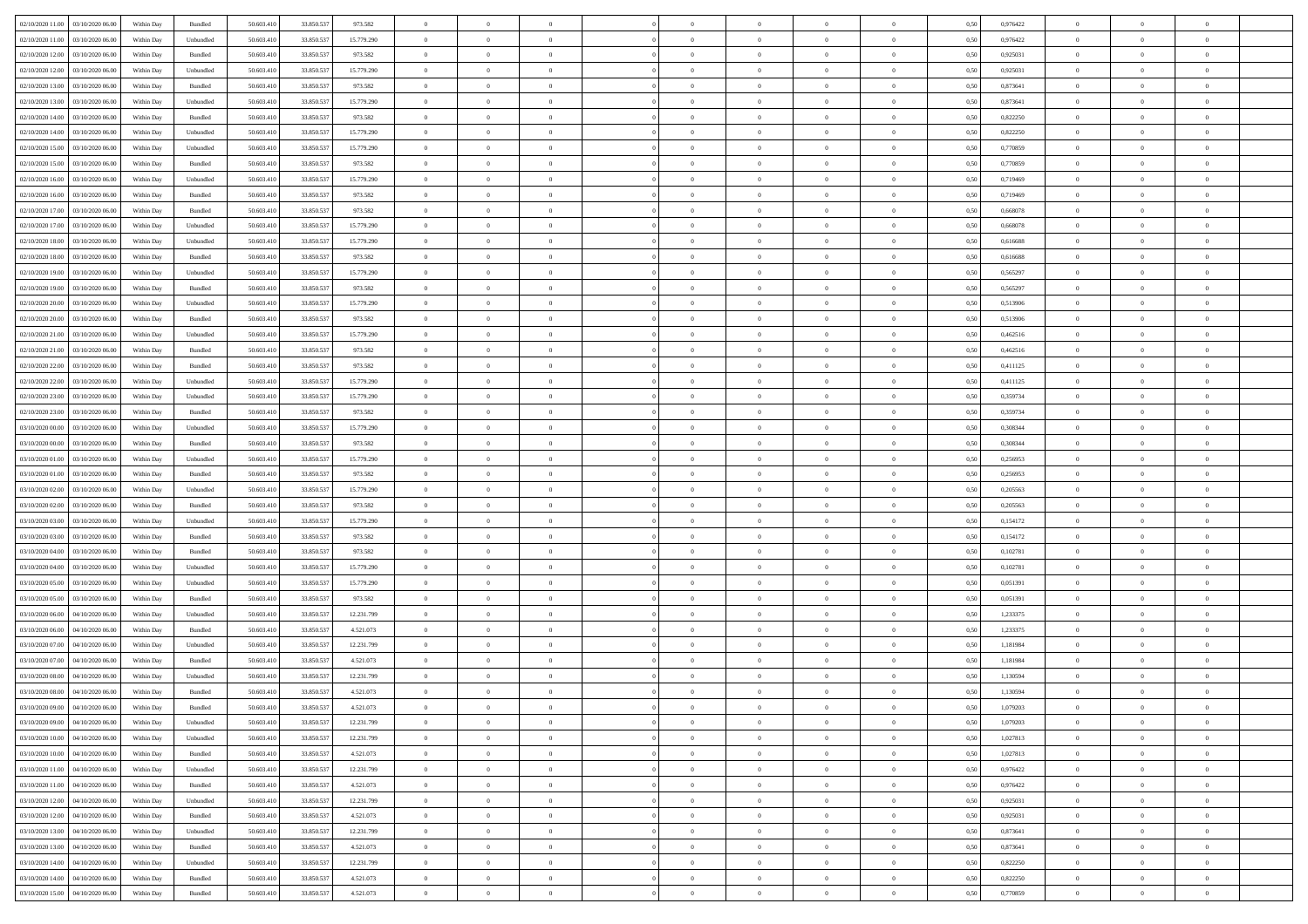| 02/10/2020 11:00 03/10/2020 06:00            | Within Day | Bundled   | 50.603.410 | 33.850.537 | 973.582    | $\overline{0}$ | $\theta$       |                | $\overline{0}$ | $\theta$       |                | $\bf{0}$       | 0,50 | 0,976422 | $\theta$       | $\theta$       | $\overline{0}$ |  |
|----------------------------------------------|------------|-----------|------------|------------|------------|----------------|----------------|----------------|----------------|----------------|----------------|----------------|------|----------|----------------|----------------|----------------|--|
| 02/10/2020 11:00<br>03/10/2020 06.00         | Within Day | Unbundled | 50.603.41  | 33.850.53  | 15.779.290 | $\bf{0}$       | $\bf{0}$       | $\bf{0}$       | $\bf{0}$       | $\overline{0}$ | $\overline{0}$ | $\bf{0}$       | 0,50 | 0,976422 | $\,$ 0 $\,$    | $\bf{0}$       | $\overline{0}$ |  |
| 02/10/2020 12:00<br>03/10/2020 06:00         | Within Day | Bundled   | 50,603,410 | 33.850.537 | 973.582    | $\overline{0}$ | $\bf{0}$       | $\overline{0}$ | $\bf{0}$       | $\bf{0}$       | $\overline{0}$ | $\bf{0}$       | 0.50 | 0,925031 | $\bf{0}$       | $\overline{0}$ | $\overline{0}$ |  |
| 02/10/2020 12:00<br>03/10/2020 06:00         | Within Day | Unbundled | 50.603.41  | 33.850.537 | 15.779.290 | $\overline{0}$ | $\bf{0}$       | $\overline{0}$ | $\overline{0}$ | $\theta$       | $\overline{0}$ | $\bf{0}$       | 0,50 | 0,925031 | $\theta$       | $\theta$       | $\overline{0}$ |  |
| 02/10/2020 13:00<br>03/10/2020 06.00         | Within Day | Bundled   | 50.603.41  | 33.850.53  | 973.582    | $\bf{0}$       | $\overline{0}$ | $\bf{0}$       | $\overline{0}$ | $\theta$       | $\overline{0}$ | $\bf{0}$       | 0,50 | 0,873641 | $\,$ 0 $\,$    | $\bf{0}$       | $\overline{0}$ |  |
| 02/10/2020 13:00<br>03/10/2020 06:00         | Within Day | Unbundled | 50,603.41  | 33,850,537 | 15.779.290 | $\overline{0}$ | $\overline{0}$ | $\overline{0}$ | $\bf{0}$       | $\overline{0}$ | $\theta$       | $\bf{0}$       | 0.50 | 0.873641 | $\,$ 0 $\,$    | $\theta$       | $\overline{0}$ |  |
| 02/10/2020 14:00<br>03/10/2020 06.00         | Within Day | Bundled   | 50.603.41  | 33.850.537 | 973.582    | $\overline{0}$ | $\overline{0}$ | $\overline{0}$ | $\overline{0}$ | $\overline{0}$ | $\overline{0}$ | $\bf{0}$       | 0,50 | 0,822250 | $\,$ 0 $\,$    | $\theta$       | $\overline{0}$ |  |
|                                              |            |           |            |            |            |                |                |                |                |                | $\overline{0}$ |                |      |          |                |                |                |  |
| 02/10/2020 14:00<br>03/10/2020 06.00         | Within Day | Unbundled | 50.603.41  | 33.850.53  | 15.779.290 | $\bf{0}$       | $\bf{0}$       | $\bf{0}$       | $\overline{0}$ | $\bf{0}$       |                | $\bf{0}$       | 0,50 | 0,822250 | $\,$ 0 $\,$    | $\bf{0}$       | $\overline{0}$ |  |
| 02/10/2020 15:00<br>03/10/2020 06:00         | Within Day | Unbundled | 50.603.41  | 33,850,537 | 15,779.290 | $\overline{0}$ | $\bf{0}$       | $\overline{0}$ | $\bf{0}$       | $\overline{0}$ | $\overline{0}$ | $\bf{0}$       | 0.50 | 0.770859 | $\bf{0}$       | $\overline{0}$ | $\overline{0}$ |  |
| 02/10/2020 15:00<br>03/10/2020 06:00         | Within Day | Bundled   | 50.603.410 | 33.850.537 | 973.582    | $\bf{0}$       | $\bf{0}$       | $\overline{0}$ | $\overline{0}$ | $\overline{0}$ | $\overline{0}$ | $\bf{0}$       | 0,50 | 0,770859 | $\,$ 0 $\,$    | $\bf{0}$       | $\overline{0}$ |  |
| 02/10/2020 16:00<br>03/10/2020 06.00         | Within Day | Unbundled | 50.603.41  | 33.850.53  | 15.779.290 | $\bf{0}$       | $\bf{0}$       | $\bf{0}$       | $\bf{0}$       | $\bf{0}$       | $\overline{0}$ | $\bf{0}$       | 0,50 | 0,719469 | $\,$ 0 $\,$    | $\bf{0}$       | $\overline{0}$ |  |
| 02/10/2020 16:00<br>03/10/2020 06:00         | Within Day | Bundled   | 50,603.41  | 33.850.537 | 973.582    | $\overline{0}$ | $\bf{0}$       | $\overline{0}$ | $\bf{0}$       | $\bf{0}$       | $\overline{0}$ | $\bf{0}$       | 0.50 | 0.719469 | $\bf{0}$       | $\overline{0}$ | $\,$ 0         |  |
| 02/10/2020 17:00<br>03/10/2020 06:00         | Within Day | Bundled   | 50.603.41  | 33.850.537 | 973.582    | $\overline{0}$ | $\overline{0}$ | $\overline{0}$ | $\theta$       | $\theta$       | $\overline{0}$ | $\bf{0}$       | 0,50 | 0,668078 | $\,$ 0 $\,$    | $\theta$       | $\overline{0}$ |  |
| 02/10/2020 17:00<br>03/10/2020 06.00         | Within Day | Unbundled | 50.603.41  | 33.850.53  | 15.779.290 | $\bf{0}$       | $\overline{0}$ | $\bf{0}$       | $\overline{0}$ | $\theta$       | $\overline{0}$ | $\bf{0}$       | 0,50 | 0,668078 | $\,$ 0 $\,$    | $\bf{0}$       | $\overline{0}$ |  |
| 02/10/2020 18:00<br>03/10/2020 06:00         | Within Day | Unbundled | 50.603.41  | 33,850,537 | 15.779.290 | $\overline{0}$ | $\overline{0}$ | $\overline{0}$ | $\bf{0}$       | $\overline{0}$ | $\theta$       | $\bf{0}$       | 0.50 | 0.616688 | $\,$ 0 $\,$    | $\theta$       | $\overline{0}$ |  |
| 02/10/2020 18:00<br>03/10/2020 06:00         | Within Day | Bundled   | 50.603.410 | 33.850.537 | 973.582    | $\overline{0}$ | $\overline{0}$ | $\overline{0}$ | $\overline{0}$ | $\overline{0}$ | $\overline{0}$ | $\bf{0}$       | 0,50 | 0,616688 | $\theta$       | $\theta$       | $\overline{0}$ |  |
| 02/10/2020 19:00<br>03/10/2020 06.00         | Within Day | Unbundled | 50.603.41  | 33.850.53  | 15.779.290 | $\bf{0}$       | $\bf{0}$       | $\bf{0}$       | $\overline{0}$ | $\bf{0}$       | $\overline{0}$ | $\bf{0}$       | 0,50 | 0,565297 | $\,$ 0 $\,$    | $\bf{0}$       | $\overline{0}$ |  |
| 02/10/2020 19:00<br>03/10/2020 06:00         | Within Day | Bundled   | 50,603.41  | 33,850,537 | 973.582    | $\overline{0}$ | $\bf{0}$       | $\overline{0}$ | $\bf{0}$       | $\overline{0}$ | $\overline{0}$ | $\bf{0}$       | 0.50 | 0.565297 | $\bf{0}$       | $\overline{0}$ | $\bf{0}$       |  |
| 02/10/2020 20:00<br>03/10/2020 06:00         | Within Day | Unbundled | 50.603.410 | 33.850.537 | 15.779.290 | $\bf{0}$       | $\bf{0}$       | $\overline{0}$ | $\overline{0}$ | $\overline{0}$ | $\overline{0}$ | $\bf{0}$       | 0,50 | 0,513906 | $\,$ 0 $\,$    | $\bf{0}$       | $\overline{0}$ |  |
|                                              |            |           |            |            |            |                |                |                |                |                |                |                |      |          |                |                |                |  |
| 02/10/2020 20:00<br>03/10/2020 06.00         | Within Day | Bundled   | 50.603.41  | 33.850.53  | 973.582    | $\bf{0}$       | $\bf{0}$       | $\bf{0}$       | $\bf{0}$       | $\overline{0}$ | $\overline{0}$ | $\bf{0}$       | 0,50 | 0,513906 | $\,$ 0 $\,$    | $\bf{0}$       | $\overline{0}$ |  |
| 02/10/2020 21:00<br>03/10/2020 06:00         | Within Day | Unbundled | 50.603.41  | 33,850,537 | 15.779.290 | $\overline{0}$ | $\bf{0}$       | $\overline{0}$ | $\bf{0}$       | $\bf{0}$       | $\overline{0}$ | $\bf{0}$       | 0.50 | 0.462516 | $\bf{0}$       | $\overline{0}$ | $\,$ 0         |  |
| 02/10/2020 21:00<br>03/10/2020 06:00         | Within Day | Bundled   | 50.603.41  | 33.850.537 | 973.582    | $\overline{0}$ | $\overline{0}$ | $\overline{0}$ | $\overline{0}$ | $\theta$       | $\overline{0}$ | $\bf{0}$       | 0,50 | 0,462516 | $\theta$       | $\theta$       | $\overline{0}$ |  |
| 02/10/2020 22.00<br>03/10/2020 06.00         | Within Day | Bundled   | 50.603.41  | 33.850.53  | 973.582    | $\bf{0}$       | $\overline{0}$ | $\bf{0}$       | $\bf{0}$       | $\,$ 0 $\,$    | $\overline{0}$ | $\bf{0}$       | 0,50 | 0,411125 | $\,$ 0 $\,$    | $\bf{0}$       | $\overline{0}$ |  |
| 02/10/2020 22.00<br>03/10/2020 06:00         | Within Day | Unbundled | 50.603.41  | 33,850.537 | 15.779.290 | $\overline{0}$ | $\overline{0}$ | $\overline{0}$ | $\bf{0}$       | $\overline{0}$ | $\theta$       | $\bf{0}$       | 0.50 | 0,411125 | $\,$ 0 $\,$    | $\theta$       | $\overline{0}$ |  |
| 02/10/2020 23:00<br>03/10/2020 06.00         | Within Day | Unbundled | 50.603.41  | 33.850.537 | 15.779.290 | $\overline{0}$ | $\overline{0}$ | $\overline{0}$ | $\overline{0}$ | $\theta$       | $\overline{0}$ | $\bf{0}$       | 0,50 | 0,359734 | $\,$ 0 $\,$    | $\theta$       | $\overline{0}$ |  |
| 02/10/2020 23.00<br>03/10/2020 06.00         | Within Day | Bundled   | 50.603.41  | 33.850.53  | 973.582    | $\bf{0}$       | $\overline{0}$ | $\bf{0}$       | $\overline{0}$ | $\theta$       | $\overline{0}$ | $\bf{0}$       | 0,50 | 0,359734 | $\,$ 0 $\,$    | $\bf{0}$       | $\overline{0}$ |  |
| 03/10/2020 00:00<br>03/10/2020 06:00         | Within Day | Unbundled | 50,603.41  | 33,850,537 | 15,779.290 | $\overline{0}$ | $\bf{0}$       | $\overline{0}$ | $\bf{0}$       | $\overline{0}$ | $\overline{0}$ | $\bf{0}$       | 0.50 | 0.308344 | $\bf{0}$       | $\overline{0}$ | $\overline{0}$ |  |
| 03/10/2020 00:00<br>03/10/2020 06:00         | Within Day | Bundled   | 50.603.410 | 33.850.537 | 973.582    | $\overline{0}$ | $\bf{0}$       | $\overline{0}$ | $\overline{0}$ | $\overline{0}$ | $\overline{0}$ | $\bf{0}$       | 0,50 | 0,308344 | $\theta$       | $\theta$       | $\overline{0}$ |  |
| 03/10/2020 01:00<br>03/10/2020 06.00         | Within Day | Unbundled | 50.603.41  | 33.850.53  | 15.779.290 | $\bf{0}$       | $\bf{0}$       | $\bf{0}$       | $\bf{0}$       | $\overline{0}$ | $\overline{0}$ | $\bf{0}$       | 0,50 | 0,256953 | $\,$ 0 $\,$    | $\bf{0}$       | $\overline{0}$ |  |
| 03/10/2020 01:00<br>03/10/2020 06:00         | Within Day | Bundled   | 50.603.41  | 33,850,537 | 973.582    | $\overline{0}$ | $\bf{0}$       | $\overline{0}$ | $\bf{0}$       | $\bf{0}$       | $\overline{0}$ | $\bf{0}$       | 0.50 | 0,256953 | $\bf{0}$       | $\overline{0}$ | $\,$ 0         |  |
| 03/10/2020 02.00<br>03/10/2020 06:00         | Within Day | Unbundled | 50.603.41  | 33.850.537 | 15.779.290 | $\overline{0}$ | $\overline{0}$ | $\overline{0}$ | $\overline{0}$ | $\overline{0}$ | $\overline{0}$ | $\bf{0}$       | 0.5( | 0,205563 | $\theta$       | $\theta$       | $\overline{0}$ |  |
|                                              |            |           |            |            |            |                | $\overline{0}$ |                |                | $\overline{0}$ | $\overline{0}$ |                |      |          | $\,$ 0 $\,$    | $\bf{0}$       | $\overline{0}$ |  |
| 03/10/2020 02.00<br>03/10/2020 06.00         | Within Day | Bundled   | 50.603.41  | 33.850.53  | 973.582    | $\bf{0}$       |                | $\bf{0}$       | $\bf{0}$       |                |                | $\bf{0}$       | 0,50 | 0,205563 |                |                |                |  |
| 03/10/2020 03:00<br>03/10/2020 06:00         | Within Day | Unbundled | 50,603.41  | 33,850,537 | 15.779.290 | $\overline{0}$ | $\bf{0}$       | $\overline{0}$ | $\bf{0}$       | $\overline{0}$ | $\Omega$       | $\bf{0}$       | 0.50 | 0,154172 | $\,$ 0 $\,$    | $\theta$       | $\overline{0}$ |  |
| 03/10/2020 03:00<br>03/10/2020 06:00         | Within Day | Bundled   | 50.603.41  | 33.850.537 | 973.582    | $\overline{0}$ | $\overline{0}$ | $\overline{0}$ | $\overline{0}$ | $\overline{0}$ | $\overline{0}$ | $\bf{0}$       | 0.50 | 0,154172 | $\theta$       | $\theta$       | $\overline{0}$ |  |
| 03/10/2020 04:00<br>03/10/2020 06.00         | Within Day | Bundled   | 50.603.41  | 33.850.53  | 973.582    | $\bf{0}$       | $\bf{0}$       | $\bf{0}$       | $\bf{0}$       | $\bf{0}$       | $\overline{0}$ | $\bf{0}$       | 0,50 | 0,102781 | $\,$ 0 $\,$    | $\bf{0}$       | $\overline{0}$ |  |
| 03/10/2020 04:00<br>03/10/2020 06:00         | Within Day | Unbundled | 50,603.41  | 33,850,537 | 15,779.290 | $\overline{0}$ | $\bf{0}$       | $\overline{0}$ | $\bf{0}$       | $\overline{0}$ | $\overline{0}$ | $\bf{0}$       | 0.50 | 0.102781 | $\bf{0}$       | $\overline{0}$ | $\bf{0}$       |  |
| 03/10/2020 05:00<br>03/10/2020 06:00         | Within Day | Unbundled | 50.603.41  | 33.850.537 | 15.779.290 | $\overline{0}$ | $\overline{0}$ | $\overline{0}$ | $\overline{0}$ | $\overline{0}$ | $\overline{0}$ | $\bf{0}$       | 0.50 | 0,051391 | $\theta$       | $\theta$       | $\overline{0}$ |  |
| 03/10/2020 05:00<br>03/10/2020 06.00         | Within Day | Bundled   | 50.603.41  | 33.850.53  | 973.582    | $\bf{0}$       | $\bf{0}$       | $\bf{0}$       | $\bf{0}$       | $\overline{0}$ | $\overline{0}$ | $\bf{0}$       | 0,50 | 0,051391 | $\,$ 0 $\,$    | $\bf{0}$       | $\overline{0}$ |  |
| 03/10/2020 06:00<br>04/10/2020 06:00         | Within Day | Unbundled | 50.603.41  | 33,850,537 | 12.231.799 | $\overline{0}$ | $\bf{0}$       | $\overline{0}$ | $\overline{0}$ | $\bf{0}$       | $\overline{0}$ | $\bf{0}$       | 0.50 | 1,233375 | $\bf{0}$       | $\overline{0}$ | $\bf{0}$       |  |
| 03/10/2020 06:00<br>04/10/2020 06:00         | Within Day | Bundled   | 50.603.41  | 33.850.537 | 4.521.073  | $\overline{0}$ | $\overline{0}$ | $\overline{0}$ | $\overline{0}$ | $\overline{0}$ | $\overline{0}$ | $\bf{0}$       | 0.5( | 1,233375 | $\theta$       | $\theta$       | $\overline{0}$ |  |
| 03/10/2020 07:00<br>04/10/2020 06.00         | Within Day | Unbundled | 50.603.41  | 33.850.53  | 12.231.799 | $\bf{0}$       | $\bf{0}$       | $\bf{0}$       | $\bf{0}$       | $\overline{0}$ | $\overline{0}$ | $\bf{0}$       | 0,50 | 1,181984 | $\,$ 0 $\,$    | $\bf{0}$       | $\overline{0}$ |  |
| 03/10/2020 07.00<br>04/10/2020 06:00         | Within Day | Bundled   | 50.603.41  | 33,850.537 | 4.521.073  | $\overline{0}$ | $\overline{0}$ | $\overline{0}$ | $\bf{0}$       | $\overline{0}$ | $\Omega$       | $\bf{0}$       | 0.50 | 1.181984 | $\bf{0}$       | $\theta$       | $\overline{0}$ |  |
| 03/10/2020 08:00<br>04/10/2020 06:00         | Within Day | Unbundled | 50.603.41  | 33.850.537 | 12.231.799 | $\overline{0}$ | $\overline{0}$ | $\Omega$       | $\overline{0}$ | $\theta$       | $\Omega$       | $\overline{0}$ | 0.5( | 1,130594 | $\theta$       | $\theta$       | $\overline{0}$ |  |
| 03/10/2020 08:00<br>04/10/2020 06.00         | Within Day | Bundled   | 50.603.41  | 33.850.53  | 4.521.073  | $\bf{0}$       | $\bf{0}$       | $\overline{0}$ | $\bf{0}$       | $\bf{0}$       | $\overline{0}$ | $\bf{0}$       | 0,50 | 1,130594 | $\overline{0}$ | $\bf{0}$       | $\overline{0}$ |  |
| $03/10/2020\;09.00 \qquad 04/10/2020\;06.00$ | Within Day | Bundled   | 50.603.410 | 33.850.537 | 4.521.073  | $\overline{0}$ | $\theta$       |                | $\overline{0}$ |                |                |                | 0,50 | 1,079203 | $\bf{0}$       | $\overline{0}$ |                |  |
|                                              |            |           |            |            |            | $\overline{0}$ | $\overline{0}$ |                |                | $\overline{0}$ |                |                |      |          | $\theta$       | $\overline{0}$ | $\overline{0}$ |  |
| 03/10/2020 09:00 04/10/2020 06:00            | Within Day | Unbundled | 50.603.410 | 33.850.537 | 12.231.799 |                |                | $\overline{0}$ | $\theta$       |                | $\overline{0}$ | $\bf{0}$       | 0,50 | 1,079203 |                |                |                |  |
| 03/10/2020 10:00<br>04/10/2020 06.00         | Within Day | Unbundled | 50.603.41  | 33.850.53  | 12.231.799 | $\overline{0}$ | $\bf{0}$       | $\overline{0}$ | $\overline{0}$ | $\bf{0}$       | $\overline{0}$ | $\bf{0}$       | 0,50 | 1,027813 | $\bf{0}$       | $\overline{0}$ | $\bf{0}$       |  |
| 03/10/2020 10:00 04/10/2020 06:00            | Within Day | Bundled   | 50,603.410 | 33.850.537 | 4.521.073  | $\overline{0}$ | $\bf{0}$       | $\overline{0}$ | $\overline{0}$ | $\overline{0}$ | $\overline{0}$ | $\,$ 0 $\,$    | 0.50 | 1,027813 | $\overline{0}$ | $\bf{0}$       | $\,$ 0 $\,$    |  |
| 03/10/2020 11:00 04/10/2020 06:00            | Within Day | Unbundled | 50.603.410 | 33.850.537 | 12.231.799 | $\overline{0}$ | $\overline{0}$ | $\overline{0}$ | $\overline{0}$ | $\overline{0}$ | $\overline{0}$ | $\bf{0}$       | 0,50 | 0,976422 | $\overline{0}$ | $\theta$       | $\overline{0}$ |  |
| 03/10/2020 11:00<br>04/10/2020 06.00         | Within Day | Bundled   | 50.603.41  | 33.850.537 | 4.521.073  | $\overline{0}$ | $\bf{0}$       | $\overline{0}$ | $\overline{0}$ | $\overline{0}$ | $\bf{0}$       | $\bf{0}$       | 0,50 | 0,976422 | $\bf{0}$       | $\overline{0}$ | $\overline{0}$ |  |
| 03/10/2020 12:00<br>04/10/2020 06:00         | Within Day | Unbundled | 50.603.410 | 33,850,537 | 12.231.799 | $\overline{0}$ | $\bf{0}$       | $\overline{0}$ | $\overline{0}$ | $\overline{0}$ | $\overline{0}$ | $\bf{0}$       | 0.50 | 0.925031 | $\,$ 0 $\,$    | $\overline{0}$ | $\overline{0}$ |  |
| 03/10/2020 12:00 04/10/2020 06:00            | Within Dav | Bundled   | 50.603.410 | 33.850.537 | 4.521.073  | $\overline{0}$ | $\overline{0}$ | $\overline{0}$ | $\overline{0}$ | $\overline{0}$ | $\overline{0}$ | $\bf{0}$       | 0,50 | 0.925031 | $\overline{0}$ | $\theta$       | $\overline{0}$ |  |
| 03/10/2020 13:00<br>04/10/2020 06.00         | Within Day | Unbundled | 50.603.41  | 33.850.537 | 12.231.799 | $\overline{0}$ | $\overline{0}$ | $\overline{0}$ | $\overline{0}$ | $\overline{0}$ | $\overline{0}$ | $\bf{0}$       | 0,50 | 0,873641 | $\bf{0}$       | $\overline{0}$ | $\overline{0}$ |  |
| 03/10/2020 13:00<br>04/10/2020 06:00         | Within Day | Bundled   | 50,603.410 | 33,850,537 | 4.521.073  | $\overline{0}$ | $\overline{0}$ | $\overline{0}$ | $\overline{0}$ | $\bf{0}$       | $\overline{0}$ | $\bf{0}$       | 0.50 | 0.873641 | $\mathbf{0}$   | $\bf{0}$       | $\,$ 0         |  |
| 03/10/2020 14:00 04/10/2020 06:00            | Within Dav | Unbundled | 50.603.410 | 33.850.537 | 12.231.799 | $\overline{0}$ | $\overline{0}$ | $\overline{0}$ | $\overline{0}$ | $\overline{0}$ | $\overline{0}$ | $\bf{0}$       | 0,50 | 0,822250 | $\overline{0}$ | $\theta$       | $\overline{0}$ |  |
| 03/10/2020 14:00<br>04/10/2020 06.00         | Within Day | Bundled   | 50.603.41  | 33.850.537 | 4.521.073  | $\overline{0}$ | $\bf{0}$       | $\overline{0}$ | $\overline{0}$ | $\overline{0}$ | $\bf{0}$       | $\bf{0}$       | 0,50 | 0,822250 | $\bf{0}$       | $\,$ 0 $\,$    | $\overline{0}$ |  |
|                                              |            |           |            |            |            |                |                |                |                |                |                |                |      |          |                |                |                |  |
| 03/10/2020 15:00 04/10/2020 06:00            | Within Day | Bundled   | 50.603.410 | 33.850.537 | 4.521.073  | $\overline{0}$ | $\bf{0}$       | $\overline{0}$ | $\overline{0}$ | $\,$ 0 $\,$    | $\overline{0}$ | $\bf{0}$       | 0,50 | 0,770859 | $\overline{0}$ | $\,$ 0 $\,$    | $\,$ 0 $\,$    |  |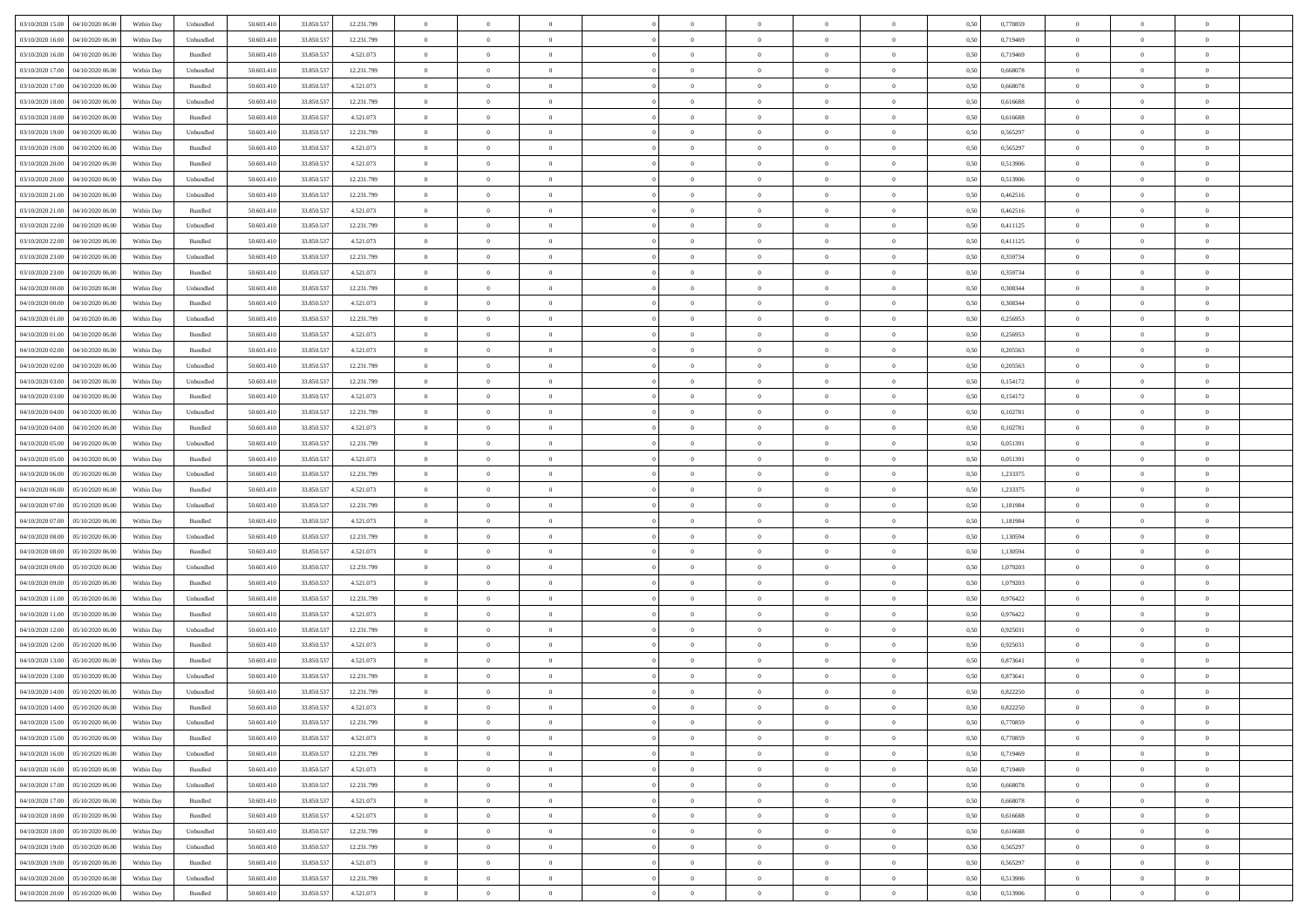| 03/10/2020 15:00 04/10/2020 06:00    | Within Day | Unbundled | 50.603.410 | 33.850.537 | 12.231.799 | $\theta$       | $\overline{0}$ |                | $\theta$       | $\theta$                        |                | $\overline{0}$ | 0,50 | 0,770859 | $\overline{0}$ | $\theta$       | $\theta$       |  |
|--------------------------------------|------------|-----------|------------|------------|------------|----------------|----------------|----------------|----------------|---------------------------------|----------------|----------------|------|----------|----------------|----------------|----------------|--|
| 03/10/2020 16:00<br>04/10/2020 06.00 | Within Day | Unbundled | 50.603.41  | 33.850.53  | 12.231.799 | $\bf{0}$       | $\overline{0}$ | $\bf{0}$       | $\bf{0}$       | $\bf{0}$                        | $\overline{0}$ | $\bf{0}$       | 0,50 | 0,719469 | $\bf{0}$       | $\bf{0}$       | $\bf{0}$       |  |
| 03/10/2020 16:00<br>04/10/2020 06:00 | Within Day | Bundled   | 50,603.410 | 33.850.537 | 4.521.073  | $\overline{0}$ | $\overline{0}$ | $\overline{0}$ | $\bf{0}$       | $\bf{0}$                        | $\overline{0}$ | $\,$ 0 $\,$    | 0.50 | 0.719469 | $\overline{0}$ | $\bf{0}$       | $\bf{0}$       |  |
| 03/10/2020 17:00<br>04/10/2020 06.00 | Within Day | Unbundled | 50.603.410 | 33.850.537 | 12.231.799 | $\bf{0}$       | $\overline{0}$ | $\overline{0}$ | $\overline{0}$ | $\overline{0}$                  | $\overline{0}$ | $\,$ 0         | 0,50 | 0,668078 | $\,0\,$        | $\theta$       | $\bf{0}$       |  |
| 03/10/2020 17:00<br>04/10/2020 06.00 | Within Day | Bundled   | 50.603.41  | 33.850.53  | 4.521.073  | $\bf{0}$       | $\bf{0}$       | $\bf{0}$       | $\bf{0}$       | $\overline{0}$                  | $\overline{0}$ | $\bf{0}$       | 0,50 | 0,668078 | $\bf{0}$       | $\,$ 0         | $\overline{0}$ |  |
|                                      |            |           |            |            |            |                |                |                |                |                                 |                |                |      |          |                |                |                |  |
| 03/10/2020 18:00<br>04/10/2020 06:00 | Within Day | Unbundled | 50,603.410 | 33,850,537 | 12.231.799 | $\overline{0}$ | $\overline{0}$ | $\overline{0}$ | $\bf{0}$       | $\bf{0}$                        | $\overline{0}$ | $\theta$       | 0.50 | 0.616688 | $\bf{0}$       | $\overline{0}$ | $\overline{0}$ |  |
| 03/10/2020 18:00<br>04/10/2020 06.00 | Within Day | Bundled   | 50.603.410 | 33.850.537 | 4.521.073  | $\bf{0}$       | $\overline{0}$ | $\overline{0}$ | $\bf{0}$       | $\overline{0}$                  | $\overline{0}$ | $\bf{0}$       | 0,50 | 0,616688 | $\bf{0}$       | $\overline{0}$ | $\bf{0}$       |  |
| 03/10/2020 19:00<br>04/10/2020 06.00 | Within Day | Unbundled | 50.603.41  | 33.850.53  | 12.231.799 | $\bf{0}$       | $\overline{0}$ | $\bf{0}$       | $\bf{0}$       | $\bf{0}$                        | $\overline{0}$ | $\bf{0}$       | 0,50 | 0,565297 | $\bf{0}$       | $\,$ 0         | $\bf{0}$       |  |
| 03/10/2020 19:00<br>04/10/2020 06:00 | Within Day | Bundled   | 50,603.410 | 33,850,537 | 4.521.073  | $\overline{0}$ | $\overline{0}$ | $\overline{0}$ | $\bf{0}$       | $\bf{0}$                        | $\overline{0}$ | $\bf{0}$       | 0.50 | 0.565297 | $\bf{0}$       | $\bf{0}$       | $\bf{0}$       |  |
| 03/10/2020 20:00<br>04/10/2020 06.00 | Within Day | Bundled   | 50.603.410 | 33.850.537 | 4.521.073  | $\bf{0}$       | $\overline{0}$ | $\overline{0}$ | $\bf{0}$       | $\bf{0}$                        | $\overline{0}$ | $\bf{0}$       | 0,50 | 0,513906 | $\overline{0}$ | $\bf{0}$       | $\bf{0}$       |  |
|                                      |            |           |            |            |            |                |                |                |                |                                 |                |                |      |          |                |                |                |  |
| 03/10/2020 20:00<br>04/10/2020 06.00 | Within Day | Unbundled | 50.603.41  | 33.850.53  | 12.231.799 | $\bf{0}$       | $\bf{0}$       | $\bf{0}$       | $\bf{0}$       | $\bf{0}$                        | $\overline{0}$ | $\bf{0}$       | 0,50 | 0,513906 | $\bf{0}$       | $\,$ 0         | $\bf{0}$       |  |
| 03/10/2020 21:00<br>04/10/2020 06:00 | Within Day | Unbundled | 50,603.410 | 33.850.537 | 12.231.799 | $\overline{0}$ | $\overline{0}$ | $\overline{0}$ | $\bf{0}$       | $\bf{0}$                        | $\overline{0}$ | $\,$ 0 $\,$    | 0.50 | 0.462516 | $\overline{0}$ | $\bf{0}$       | $\,$ 0 $\,$    |  |
| 03/10/2020 21:00<br>04/10/2020 06.00 | Within Day | Bundled   | 50.603.410 | 33.850.537 | 4.521.073  | $\bf{0}$       | $\overline{0}$ | $\overline{0}$ | $\overline{0}$ | $\overline{0}$                  | $\overline{0}$ | $\,$ 0         | 0,50 | 0,462516 | $\,0\,$        | $\overline{0}$ | $\bf{0}$       |  |
| 03/10/2020 22:00<br>04/10/2020 06.00 | Within Day | Unbundled | 50.603.41  | 33.850.53  | 12.231.799 | $\bf{0}$       | $\bf{0}$       | $\bf{0}$       | $\bf{0}$       | $\overline{0}$                  | $\overline{0}$ | $\bf{0}$       | 0,50 | 0,411125 | $\bf{0}$       | $\,$ 0         | $\bf{0}$       |  |
| 03/10/2020 22.00<br>04/10/2020 06:00 | Within Day | Bundled   | 50,603.410 | 33,850,537 | 4.521.073  | $\overline{0}$ | $\overline{0}$ | $\overline{0}$ | $\bf{0}$       | $\bf{0}$                        | $\overline{0}$ | $\theta$       | 0.50 | 0,411125 | $\bf{0}$       | $\overline{0}$ | $\overline{0}$ |  |
| 03/10/2020 23:00<br>04/10/2020 06.00 | Within Day | Unbundled | 50.603.410 | 33.850.537 | 12.231.799 | $\bf{0}$       | $\overline{0}$ | $\overline{0}$ | $\bf{0}$       | $\overline{0}$                  | $\overline{0}$ | $\bf{0}$       | 0,50 | 0,359734 | $\bf{0}$       | $\overline{0}$ | $\bf{0}$       |  |
|                                      |            |           |            |            |            |                |                |                |                |                                 |                |                |      |          |                |                |                |  |
| 03/10/2020 23.00<br>04/10/2020 06.00 | Within Day | Bundled   | 50.603.41  | 33.850.53  | 4.521.073  | $\bf{0}$       | $\bf{0}$       | $\bf{0}$       | $\bf{0}$       | $\overline{0}$                  | $\overline{0}$ | $\bf{0}$       | 0,50 | 0,359734 | $\bf{0}$       | $\,$ 0         | $\bf{0}$       |  |
| 04/10/2020 00:00<br>04/10/2020 06:00 | Within Day | Unbundled | 50,603.410 | 33,850,537 | 12.231.799 | $\overline{0}$ | $\overline{0}$ | $\overline{0}$ | $\bf{0}$       | $\bf{0}$                        | $\overline{0}$ | $\,$ 0 $\,$    | 0.50 | 0.308344 | $\bf{0}$       | $\bf{0}$       | $\bf{0}$       |  |
| 04/10/2020 00:00<br>04/10/2020 06.00 | Within Day | Bundled   | 50.603.410 | 33.850.537 | 4.521.073  | $\bf{0}$       | $\overline{0}$ | $\bf{0}$       | $\overline{0}$ | $\overline{0}$                  | $\overline{0}$ | $\bf{0}$       | 0,50 | 0,308344 | $\,0\,$        | $\bf{0}$       | $\overline{0}$ |  |
| 04/10/2020 01:00<br>04/10/2020 06.00 | Within Day | Unbundled | 50.603.41  | 33.850.53  | 12.231.799 | $\bf{0}$       | $\overline{0}$ | $\bf{0}$       | $\bf{0}$       | $\bf{0}$                        | $\overline{0}$ | $\bf{0}$       | 0,50 | 0,256953 | $\bf{0}$       | $\bf{0}$       | $\bf{0}$       |  |
| 04/10/2020 01:00<br>04/10/2020 06:00 | Within Day | Bundled   | 50.603.410 | 33.850.537 | 4.521.073  | $\overline{0}$ | $\overline{0}$ | $\overline{0}$ | $\bf{0}$       | $\bf{0}$                        | $\overline{0}$ | $\,$ 0 $\,$    | 0.50 | 0.256953 | $\overline{0}$ | $\bf{0}$       | $\,$ 0 $\,$    |  |
|                                      |            |           |            |            |            |                |                |                |                |                                 |                |                |      |          |                | $\theta$       |                |  |
| 04/10/2020 02.00<br>04/10/2020 06.00 | Within Day | Bundled   | 50.603.410 | 33.850.537 | 4.521.073  | $\bf{0}$       | $\overline{0}$ | $\overline{0}$ | $\overline{0}$ | $\overline{0}$                  | $\overline{0}$ | $\,$ 0         | 0,50 | 0,205563 | $\,0\,$        |                | $\bf{0}$       |  |
| 04/10/2020 02.00<br>04/10/2020 06.00 | Within Day | Unbundled | 50.603.41  | 33.850.53  | 12.231.799 | $\bf{0}$       | $\overline{0}$ | $\bf{0}$       | $\overline{0}$ | $\overline{\phantom{a}}$        | $\overline{0}$ | $\bf{0}$       | 0,50 | 0,205563 | $\bf{0}$       | $\,$ 0         | $\bf{0}$       |  |
| 04/10/2020 03.00<br>04/10/2020 06:00 | Within Day | Unbundled | 50,603.410 | 33,850,537 | 12.231.799 | $\overline{0}$ | $\overline{0}$ | $\overline{0}$ | $\bf{0}$       | $\bf{0}$                        | $\overline{0}$ | $\bf{0}$       | 0.50 | 0,154172 | $\bf{0}$       | $\overline{0}$ | $\overline{0}$ |  |
| 04/10/2020 03:00<br>04/10/2020 06.00 | Within Day | Bundled   | 50.603.410 | 33.850.537 | 4.521.073  | $\bf{0}$       | $\overline{0}$ | $\overline{0}$ | $\overline{0}$ | $\overline{0}$                  | $\overline{0}$ | $\bf{0}$       | 0,50 | 0,154172 | $\bf{0}$       | $\overline{0}$ | $\bf{0}$       |  |
| 04/10/2020 04:00<br>04/10/2020 06.00 | Within Day | Unbundled | 50.603.41  | 33.850.53  | 12.231.799 | $\bf{0}$       | $\bf{0}$       | $\bf{0}$       | $\bf{0}$       | $\bf{0}$                        | $\overline{0}$ | $\bf{0}$       | 0,50 | 0,102781 | $\,$ 0 $\,$    | $\,$ 0         | $\bf{0}$       |  |
| 04/10/2020 04.00<br>04/10/2020 06:00 | Within Day | Bundled   | 50,603.410 | 33,850,537 | 4.521.073  | $\overline{0}$ | $\overline{0}$ | $\overline{0}$ | $\bf{0}$       | $\bf{0}$                        | $\overline{0}$ | $\bf{0}$       | 0.50 | 0.102781 | $\bf{0}$       | $\bf{0}$       | $\bf{0}$       |  |
|                                      |            |           |            |            |            |                |                | $\overline{0}$ |                | $\overline{0}$                  | $\overline{0}$ |                |      |          | $\,$ 0 $\,$    | $\overline{0}$ | $\bf{0}$       |  |
| 04/10/2020 05:00<br>04/10/2020 06.00 | Within Day | Unbundled | 50.603.410 | 33.850.537 | 12.231.799 | $\bf{0}$       | $\overline{0}$ |                | $\overline{0}$ |                                 |                | $\bf{0}$       | 0,50 | 0,051391 |                |                |                |  |
| 04/10/2020 05:00<br>04/10/2020 06.00 | Within Day | Bundled   | 50.603.41  | 33.850.53  | 4.521.073  | $\bf{0}$       | $\overline{0}$ | $\bf{0}$       | $\overline{0}$ | $\bf{0}$                        | $\overline{0}$ | $\bf{0}$       | 0,50 | 0,051391 | $\bf{0}$       | $\bf{0}$       | $\bf{0}$       |  |
| 04/10/2020 06:00<br>05/10/2020 06:00 | Within Day | Unbundled | 50,603.410 | 33,850,537 | 12.231.799 | $\overline{0}$ | $\overline{0}$ | $\overline{0}$ | $\bf{0}$       | $\bf{0}$                        | $\overline{0}$ | $\,$ 0 $\,$    | 0.50 | 1,233375 | $\overline{0}$ | $\bf{0}$       | $\,$ 0 $\,$    |  |
| 04/10/2020 06:00<br>05/10/2020 06:00 | Within Day | Bundled   | 50.603.410 | 33.850.537 | 4.521.073  | $\overline{0}$ | $\overline{0}$ | $\overline{0}$ | $\overline{0}$ | $\overline{0}$                  | $\overline{0}$ | $\overline{0}$ | 0.50 | 1,233375 | $\overline{0}$ | $\theta$       | $\overline{0}$ |  |
| 04/10/2020 07:00<br>05/10/2020 06.00 | Within Day | Unbundled | 50.603.41  | 33.850.53  | 12.231.799 | $\bf{0}$       | $\bf{0}$       | $\bf{0}$       | $\bf{0}$       | $\bf{0}$                        | $\overline{0}$ | $\bf{0}$       | 0,50 | 1,181984 | $\bf{0}$       | $\,$ 0         | $\bf{0}$       |  |
| 04/10/2020 07.00<br>05/10/2020 06:00 | Within Day | Bundled   | 50,603.410 | 33,850,537 | 4.521.073  | $\overline{0}$ | $\overline{0}$ | $\overline{0}$ | $\bf{0}$       | $\bf{0}$                        | $\overline{0}$ | $\bf{0}$       | 0.50 | 1.181984 | $\bf{0}$       | $\bf{0}$       | $\overline{0}$ |  |
| 04/10/2020 08:00<br>05/10/2020 06:00 | Within Day | Unbundled | 50.603.410 | 33.850.537 | 12.231.799 | $\overline{0}$ | $\overline{0}$ | $\overline{0}$ | $\overline{0}$ | $\overline{0}$                  | $\overline{0}$ | $\overline{0}$ | 0.50 | 1,130594 | $\mathbf{0}$   | $\theta$       | $\bf{0}$       |  |
|                                      |            |           |            |            |            |                |                |                |                |                                 |                |                |      |          |                |                |                |  |
| 04/10/2020 08:00<br>05/10/2020 06.00 | Within Day | Bundled   | 50.603.41  | 33.850.53  | 4.521.073  | $\bf{0}$       | $\overline{0}$ | $\bf{0}$       | $\bf{0}$       | $\overline{0}$                  | $\overline{0}$ | $\bf{0}$       | 0,50 | 1,130594 | $\bf{0}$       | $\,$ 0         | $\bf{0}$       |  |
| 04/10/2020 09:00<br>05/10/2020 06:00 | Within Day | Unbundled | 50,603.410 | 33,850,537 | 12.231.799 | $\overline{0}$ | $\overline{0}$ | $\overline{0}$ | $\bf{0}$       | $\bf{0}$                        | $\overline{0}$ | $\,$ 0 $\,$    | 0.50 | 1.079203 | $\bf{0}$       | $\bf{0}$       | $\bf{0}$       |  |
| 04/10/2020 09:00<br>05/10/2020 06:00 | Within Day | Bundled   | 50.603.410 | 33.850.537 | 4.521.073  | $\overline{0}$ | $\overline{0}$ | $\overline{0}$ | $\overline{0}$ | $\overline{0}$                  | $\overline{0}$ | $\overline{0}$ | 0.50 | 1,079203 | $\overline{0}$ | $\theta$       | $\overline{0}$ |  |
| 04/10/2020 11:00<br>05/10/2020 06.00 | Within Day | Unbundled | 50.603.41  | 33.850.53  | 12.231.799 | $\bf{0}$       | $\overline{0}$ | $\bf{0}$       | $\overline{0}$ | $\bf{0}$                        | $\overline{0}$ | $\bf{0}$       | 0,50 | 0,976422 | $\bf{0}$       | $\bf{0}$       | $\bf{0}$       |  |
| 04/10/2020 11:00<br>05/10/2020 06:00 | Within Day | Bundled   | 50,603.410 | 33,850,537 | 4.521.073  | $\overline{0}$ | $\overline{0}$ | $\overline{0}$ | $\bf{0}$       | $\bf{0}$                        | $\overline{0}$ | $\,$ 0 $\,$    | 0.50 | 0,976422 | $\overline{0}$ | $\bf{0}$       | $\,$ 0 $\,$    |  |
| 04/10/2020 12:00<br>05/10/2020 06:00 | Within Day | Unbundled | 50.603.410 | 33.850.537 | 12.231.799 | $\overline{0}$ | $\overline{0}$ | $\overline{0}$ | $\overline{0}$ | $\overline{0}$                  | $\overline{0}$ | $\overline{0}$ | 0.50 | 0,925031 | $\mathbf{0}$   | $\theta$       | $\bf{0}$       |  |
|                                      |            |           |            |            |            |                |                |                |                |                                 |                |                |      |          |                |                |                |  |
| 04/10/2020 12:00<br>05/10/2020 06.00 | Within Day | Bundled   | 50.603.41  | 33.850.53  | 4.521.073  | $\bf{0}$       | $\overline{0}$ | $\bf{0}$       | $\overline{0}$ | $\bf{0}$                        | $\overline{0}$ | $\bf{0}$       | 0,50 | 0,925031 | $\bf{0}$       | $\bf{0}$       | $\bf{0}$       |  |
| 04/10/2020 13.00<br>05/10/2020 06.00 | Within Day | Bundled   | 50,603.410 | 33,850,537 | 4.521.073  | $\overline{0}$ | $\overline{0}$ | $\overline{0}$ | $\overline{0}$ | $\bf{0}$                        | $\overline{0}$ | $\bf{0}$       | 0.50 | 0.873641 | $\bf{0}$       | $\overline{0}$ | $\overline{0}$ |  |
| 04/10/2020 13:00<br>05/10/2020 06:00 | Within Dav | Unbundled | 50.603.410 | 33.850.537 | 12.231.799 | $\overline{0}$ | $\overline{0}$ | $\overline{0}$ | $\overline{0}$ | $\overline{0}$                  | $\theta$       | $\overline{0}$ | 0.50 | 0,873641 | $\mathbf{0}$   | $\theta$       | $\bf{0}$       |  |
| 04/10/2020 14:00<br>05/10/2020 06:00 | Within Day | Unbundled | 50.603.410 | 33.850.53  | 12.231.799 | $\bf{0}$       | $\bf{0}$       | $\bf{0}$       | $\overline{0}$ | $\bf{0}$                        | $\overline{0}$ | $\bf{0}$       | 0,50 | 0,822250 | $\bf{0}$       | $\,$ 0         | $\,$ 0         |  |
| 04/10/2020 14:00 05/10/2020 06:00    | Within Day | Bundled   | 50.603.410 | 33.850.537 | 4.521.073  | $\bf{0}$       | $\,0\,$        |                | $\bf{0}$       |                                 |                |                | 0,50 | 0,822250 | $\,$ 0 $\,$    | $\theta$       |                |  |
| 04/10/2020 15:00 05/10/2020 06:00    | Within Day | Unbundled | 50.603.410 | 33.850.537 | 12.231.799 | $\overline{0}$ | $\overline{0}$ | $\overline{0}$ | $\overline{0}$ | $\overline{0}$                  | $\overline{0}$ | $\overline{0}$ | 0,50 | 0,770859 | $\mathbf{0}$   | $\theta$       | $\overline{0}$ |  |
|                                      |            |           |            |            |            |                |                |                |                |                                 |                |                |      |          |                |                |                |  |
| 04/10/2020 15:00<br>05/10/2020 06:00 | Within Day | Bundled   | 50.603.410 | 33.850.537 | 4.521.073  | $\overline{0}$ | $\overline{0}$ | $\overline{0}$ | $\bf{0}$       | $\overline{0}$                  | $\overline{0}$ | $\overline{0}$ | 0,50 | 0,770859 | $\overline{0}$ | $\overline{0}$ | $\overline{0}$ |  |
| 04/10/2020 16:00 05/10/2020 06:00    | Within Day | Unbundled | 50.603.410 | 33.850.537 | 12.231.799 | $\overline{0}$ | $\overline{0}$ | $\overline{0}$ | $\,$ 0 $\,$    | $\bf{0}$                        | $\overline{0}$ | $\mathbf{0}$   | 0.50 | 0.719469 | $\bf{0}$       | $\overline{0}$ | $\mathbf{0}$   |  |
| 04/10/2020 16:00 05/10/2020 06:00    | Within Dav | Bundled   | 50.603.410 | 33.850.537 | 4.521.073  | $\overline{0}$ | $\overline{0}$ | $\overline{0}$ | $\overline{0}$ | $\overline{0}$                  | $\overline{0}$ | $\mathbf{0}$   | 0,50 | 0,719469 | $\mathbf{0}$   | $\theta$       | $\overline{0}$ |  |
| 04/10/2020 17.00<br>05/10/2020 06:00 | Within Day | Unbundled | 50.603.410 | 33.850.537 | 12.231.799 | $\overline{0}$ | $\overline{0}$ | $\overline{0}$ | $\overline{0}$ | $\bf{0}$                        | $\overline{0}$ | $\bf{0}$       | 0,50 | 0,668078 | $\overline{0}$ | $\bf{0}$       | $\bf{0}$       |  |
| 04/10/2020 17:00  05/10/2020 06:00   | Within Day | Bundled   | 50.603.410 | 33,850,537 | 4.521.073  | $\overline{0}$ | $\overline{0}$ | $\overline{0}$ | $\bf{0}$       | $\bf{0}$                        | $\overline{0}$ | $\,$ 0 $\,$    | 0.50 | 0.668078 | $\bf{0}$       | $\overline{0}$ | $\overline{0}$ |  |
| 04/10/2020 18:00 05/10/2020 06:00    | Within Day | Bundled   | 50.603.410 | 33.850.537 | 4.521.073  | $\overline{0}$ | $\overline{0}$ | $\overline{0}$ | $\overline{0}$ | $\overline{0}$                  | $\overline{0}$ | $\overline{0}$ | 0,50 | 0,616688 | $\overline{0}$ | $\theta$       | $\overline{0}$ |  |
|                                      |            |           |            |            |            |                |                |                |                |                                 |                |                |      |          |                |                |                |  |
| 04/10/2020 18:00<br>05/10/2020 06:00 | Within Day | Unbundled | 50.603.410 | 33.850.537 | 12.231.799 | $\overline{0}$ | $\overline{0}$ | $\overline{0}$ | $\bf{0}$       | $\hspace{0.1mm}0\hspace{0.1mm}$ | $\overline{0}$ | $\mathbf{0}$   | 0,50 | 0,616688 | $\overline{0}$ | $\bf{0}$       | $\bf{0}$       |  |
| 04/10/2020 19:00 05/10/2020 06:00    | Within Day | Unbundled | 50,603.410 | 33,850,537 | 12.231.799 | $\overline{0}$ | $\overline{0}$ | $\overline{0}$ | $\bf{0}$       | $\overline{0}$                  | $\overline{0}$ | $\mathbf{0}$   | 0.50 | 0.565297 | $\bf{0}$       | $\bf{0}$       | $\,$ 0 $\,$    |  |
| 04/10/2020 19:00 05/10/2020 06:00    | Within Dav | Bundled   | 50.603.410 | 33.850.537 | 4.521.073  | $\overline{0}$ | $\overline{0}$ | $\overline{0}$ | $\overline{0}$ | $\overline{0}$                  | $\overline{0}$ | $\overline{0}$ | 0,50 | 0,565297 | $\overline{0}$ | $\theta$       | $\overline{0}$ |  |
| 04/10/2020 20:00<br>05/10/2020 06.00 | Within Day | Unbundled | 50.603.410 | 33.850.537 | 12.231.799 | $\overline{0}$ | $\overline{0}$ | $\overline{0}$ | $\overline{0}$ | $\bf{0}$                        | $\overline{0}$ | $\bf{0}$       | 0,50 | 0,513906 | $\overline{0}$ | $\bf{0}$       | $\bf{0}$       |  |
| 04/10/2020 20.00 05/10/2020 06:00    | Within Day | Bundled   | 50.603.410 | 33.850.537 | 4.521.073  | $\,$ 0 $\,$    | $\bf{0}$       | $\overline{0}$ | $\bf{0}$       | $\overline{0}$                  | $\overline{0}$ | $\,0\,$        | 0,50 | 0,513906 | $\overline{0}$ | $\overline{0}$ | $\,$ 0 $\,$    |  |
|                                      |            |           |            |            |            |                |                |                |                |                                 |                |                |      |          |                |                |                |  |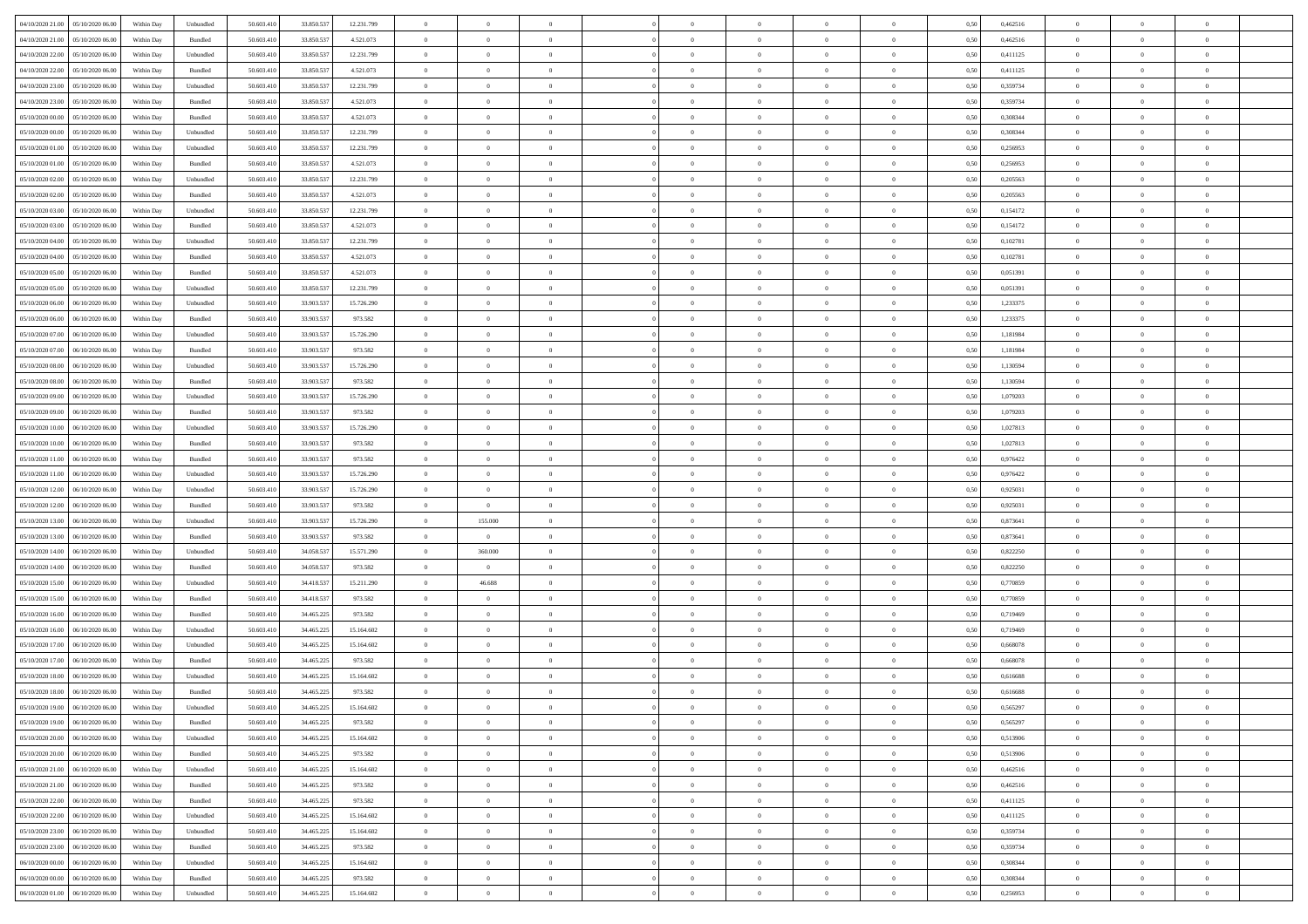| 04/10/2020 21:00                    | 05/10/2020 06:00 | Within Day | Unbundled                   | 50.603.410 | 33.850.537 | 12.231.799 | $\overline{0}$ | $\theta$       |                | $\overline{0}$ | $\bf{0}$       | $\overline{0}$ | $\theta$       | 0,50 | 0,462516 | $\theta$       | $\theta$       | $\theta$                 |  |
|-------------------------------------|------------------|------------|-----------------------------|------------|------------|------------|----------------|----------------|----------------|----------------|----------------|----------------|----------------|------|----------|----------------|----------------|--------------------------|--|
| 04/10/2020 21.00                    | 05/10/2020 06.00 | Within Day | Bundled                     | 50.603.41  | 33.850.53  | 4.521.073  | $\overline{0}$ | $\theta$       | $\overline{0}$ | $\overline{0}$ | $\,$ 0         | $\bf{0}$       | $\bf{0}$       | 0,50 | 0,462516 | $\,$ 0 $\,$    | $\overline{0}$ | $\overline{0}$           |  |
|                                     |                  |            |                             |            |            |            |                |                |                |                |                |                |                |      |          |                |                |                          |  |
| 04/10/2020 22.00                    | 05/10/2020 06:00 | Within Day | Unbundled                   | 50.603.410 | 33.850.537 | 12.231.799 | $\overline{0}$ | $\overline{0}$ | $\overline{0}$ | $\overline{0}$ | $\bf{0}$       | $\overline{0}$ | $\mathbf{0}$   | 0.50 | 0,411125 | $\bf{0}$       | $\overline{0}$ | $\overline{0}$           |  |
| 04/10/2020 22.00                    | 05/10/2020 06.00 | Within Day | Bundled                     | 50.603.410 | 33.850.537 | 4.521.073  | $\overline{0}$ | $\overline{0}$ | $\overline{0}$ | $\overline{0}$ | $\bf{0}$       | $\overline{0}$ | $\overline{0}$ | 0,50 | 0,411125 | $\,$ 0 $\,$    | $\overline{0}$ | $\overline{0}$           |  |
| 04/10/2020 23.00                    | 05/10/2020 06.00 | Within Day | Unbundled                   | 50.603.41  | 33.850.537 | 12.231.799 | $\overline{0}$ | $\theta$       | $\overline{0}$ |                | $\overline{0}$ | $\overline{0}$ | $\bf{0}$       | 0,50 | 0,359734 | $\,$ 0 $\,$    | $\overline{0}$ | $\overline{0}$           |  |
| 04/10/2020 23.00                    | 05/10/2020 06:00 | Within Day | Bundled                     | 50.603.410 | 33,850,53  | 4.521.073  | $\overline{0}$ | $\overline{0}$ | $\overline{0}$ | $\overline{0}$ | $\bf{0}$       | $\overline{0}$ | $\bf{0}$       | 0.50 | 0.359734 | $\,0\,$        | $\theta$       | $\overline{0}$           |  |
| 05/10/2020 00:00                    | 05/10/2020 06.00 | Within Day | Bundled                     | 50.603.410 | 33.850.537 | 4.521.073  | $\overline{0}$ | $\overline{0}$ | $\overline{0}$ | $\overline{0}$ | $\,$ 0         | $\overline{0}$ | $\overline{0}$ | 0,50 | 0,308344 | $\,$ 0 $\,$    | $\theta$       | $\overline{0}$           |  |
| 05/10/2020 00:00                    | 05/10/2020 06.00 | Within Day | Unbundled                   | 50.603.41  | 33.850.53  | 12.231.799 | $\overline{0}$ | $\theta$       | $\overline{0}$ |                | $\bf{0}$       | $\overline{0}$ | $\bf{0}$       | 0,50 | 0,308344 | $\,$ 0 $\,$    | $\overline{0}$ | $\overline{0}$           |  |
| 05/10/2020 01.00                    | 05/10/2020 06:00 | Within Day | Unbundled                   | 50.603.410 | 33,850,53  | 12.231.799 | $\overline{0}$ | $\overline{0}$ | $\overline{0}$ | $\overline{0}$ | $\bf{0}$       | $\overline{0}$ | $\bf{0}$       | 0.50 | 0.256953 | $\,0\,$        | $\overline{0}$ | $\overline{0}$           |  |
| 05/10/2020 01:00                    | 05/10/2020 06.00 | Within Day | Bundled                     | 50.603.410 | 33.850.537 | 4.521.073  | $\overline{0}$ | $\overline{0}$ | $\overline{0}$ | $\overline{0}$ | $\bf{0}$       | $\overline{0}$ | $\bf{0}$       | 0,50 | 0,256953 | $\,$ 0 $\,$    | $\overline{0}$ | $\overline{0}$           |  |
| 05/10/2020 02.00                    | 05/10/2020 06.00 | Within Day | Unbundled                   | 50.603.41  | 33.850.537 | 12.231.799 | $\bf{0}$       | $\theta$       | $\overline{0}$ |                | $\,$ 0         | $\overline{0}$ | $\bf{0}$       | 0,50 | 0,205563 | $\,$ 0 $\,$    | $\overline{0}$ | $\overline{0}$           |  |
| 05/10/2020 02:00                    | 05/10/2020 06:00 | Within Day | Bundled                     | 50.603.410 | 33.850.537 | 4.521.073  | $\overline{0}$ | $\overline{0}$ | $\overline{0}$ | $\overline{0}$ | $\bf{0}$       | $\overline{0}$ | $\mathbf{0}$   | 0.50 | 0.205563 | $\bf{0}$       | $\overline{0}$ | $\bf{0}$                 |  |
| 05/10/2020 03:00                    | 05/10/2020 06.00 | Within Day | Unbundled                   | 50.603.410 | 33.850.537 | 12.231.799 | $\overline{0}$ | $\overline{0}$ | $\overline{0}$ | $\overline{0}$ | $\bf{0}$       | $\overline{0}$ | $\overline{0}$ | 0,50 | 0,154172 | $\,$ 0 $\,$    | $\overline{0}$ | $\overline{0}$           |  |
| 05/10/2020 03.00                    | 05/10/2020 06.00 | Within Day | Bundled                     | 50.603.41  | 33.850.537 | 4.521.073  | $\overline{0}$ | $\theta$       | $\overline{0}$ |                | $\bf{0}$       | $\overline{0}$ | $\bf{0}$       | 0,50 | 0,154172 | $\,$ 0 $\,$    | $\overline{0}$ | $\overline{0}$           |  |
|                                     | 05/10/2020 06:00 | Within Day | Unbundled                   | 50.603.410 | 33.850.537 | 12.231.799 | $\overline{0}$ | $\overline{0}$ | $\overline{0}$ | $\overline{0}$ | $\,$ 0         | $\overline{0}$ | $\bf{0}$       | 0.50 | 0.102781 | $\,0\,$        | $\theta$       | $\overline{0}$           |  |
| 05/10/2020 04:00                    |                  |            |                             |            |            |            | $\overline{0}$ | $\overline{0}$ | $\overline{0}$ | $\overline{0}$ | $\bf{0}$       | $\overline{0}$ | $\overline{0}$ |      |          |                | $\theta$       | $\overline{0}$           |  |
| 05/10/2020 04:00                    | 05/10/2020 06.00 | Within Day | Bundled                     | 50.603.410 | 33.850.537 | 4.521.073  |                |                |                |                |                |                |                | 0,50 | 0,102781 | $\,$ 0 $\,$    |                |                          |  |
| 05/10/2020 05:00                    | 05/10/2020 06.00 | Within Day | Bundled                     | 50.603.41  | 33.850.537 | 4.521.073  | $\overline{0}$ | $\theta$       | $\overline{0}$ |                | $\,$ 0         | $\overline{0}$ | $\bf{0}$       | 0,50 | 0,051391 | $\,$ 0 $\,$    | $\overline{0}$ | $\overline{0}$           |  |
| 05/10/2020 05:00                    | 05/10/2020 06:00 | Within Day | Unbundled                   | 50.603.410 | 33,850,53  | 12.231.799 | $\overline{0}$ | $\overline{0}$ | $\overline{0}$ | $\overline{0}$ | $\bf{0}$       | $\overline{0}$ | $\bf{0}$       | 0.50 | 0.051391 | $\,0\,$        | $\overline{0}$ | $\overline{\phantom{a}}$ |  |
| 05/10/2020 06.00                    | 06/10/2020 06.00 | Within Day | Unbundled                   | 50.603.410 | 33.903.537 | 15.726.290 | $\overline{0}$ | $\overline{0}$ | $\overline{0}$ | $\overline{0}$ | $\,$ 0         | $\overline{0}$ | $\bf{0}$       | 0,50 | 1,233375 | $\,$ 0 $\,$    | $\overline{0}$ | $\overline{0}$           |  |
| 05/10/2020 06.00                    | 06/10/2020 06.00 | Within Day | Bundled                     | 50.603.41  | 33.903.537 | 973.582    | $\bf{0}$       | $\,$ 0 $\,$    | $\overline{0}$ | $\overline{0}$ | $\,$ 0         | $\overline{0}$ | $\bf{0}$       | 0,50 | 1,233375 | $\,$ 0 $\,$    | $\overline{0}$ | $\overline{0}$           |  |
| 05/10/2020 07:00                    | 06/10/2020 06:00 | Within Day | Unbundled                   | 50.603.410 | 33.903.537 | 15.726.290 | $\overline{0}$ | $\overline{0}$ | $\overline{0}$ | $\overline{0}$ | $\bf{0}$       | $\overline{0}$ | $\mathbf{0}$   | 0.50 | 1.181984 | $\bf{0}$       | $\overline{0}$ | $\overline{\phantom{a}}$ |  |
| 05/10/2020 07.00                    | 06/10/2020 06.00 | Within Day | Bundled                     | 50.603.410 | 33.903.537 | 973.582    | $\overline{0}$ | $\overline{0}$ | $\overline{0}$ | $\overline{0}$ | $\bf{0}$       | $\overline{0}$ | $\overline{0}$ | 0,50 | 1,181984 | $\,$ 0 $\,$    | $\overline{0}$ | $\overline{0}$           |  |
| 05/10/2020 08:00                    | 06/10/2020 06.00 | Within Day | Unbundled                   | 50.603.41  | 33.903.537 | 15.726.290 | $\overline{0}$ | $\theta$       | $\overline{0}$ | $\overline{0}$ | $\,$ 0         | $\overline{0}$ | $\bf{0}$       | 0,50 | 1,130594 | $\,$ 0 $\,$    | $\overline{0}$ | $\overline{0}$           |  |
| 05/10/2020 08.00                    | 06/10/2020 06:00 | Within Day | Bundled                     | 50.603.410 | 33,903.53  | 973.582    | $\overline{0}$ | $\overline{0}$ | $\overline{0}$ | $\overline{0}$ | $\bf{0}$       | $\overline{0}$ | $\bf{0}$       | 0.50 | 1.130594 | $\,0\,$        | $\theta$       | $\overline{0}$           |  |
| 05/10/2020 09:00                    | 06/10/2020 06.00 | Within Day | Unbundled                   | 50.603.410 | 33.903.537 | 15.726.290 | $\overline{0}$ | $\overline{0}$ | $\overline{0}$ | $\overline{0}$ | $\bf{0}$       | $\overline{0}$ | $\overline{0}$ | 0,50 | 1,079203 | $\,0\,$        | $\theta$       | $\overline{0}$           |  |
| 05/10/2020 09:00                    | 06/10/2020 06.00 | Within Day | Bundled                     | 50.603.41  | 33.903.537 | 973.582    | $\overline{0}$ | $\theta$       | $\overline{0}$ |                | $\,$ 0         | $\overline{0}$ | $\bf{0}$       | 0,50 | 1,079203 | $\,$ 0 $\,$    | $\overline{0}$ | $\overline{0}$           |  |
| 05/10/2020 10:00                    | 06/10/2020 06:00 | Within Day | Unbundled                   | 50.603.410 | 33,903.53  | 15.726.290 | $\overline{0}$ | $\overline{0}$ | $\overline{0}$ | $\overline{0}$ | $\bf{0}$       | $\overline{0}$ | $\bf{0}$       | 0.50 | 1.027813 | $\,0\,$        | $\overline{0}$ | $\overline{0}$           |  |
| 05/10/2020 10:00                    | 06/10/2020 06.00 | Within Day | Bundled                     | 50.603.410 | 33.903.537 | 973.582    | $\overline{0}$ | $\overline{0}$ | $\overline{0}$ | $\overline{0}$ | $\bf{0}$       | $\overline{0}$ | $\bf{0}$       | 0,50 | 1,027813 | $\,$ 0 $\,$    | $\overline{0}$ | $\overline{0}$           |  |
|                                     | 06/10/2020 06.00 | Within Day | Bundled                     | 50.603.41  | 33.903.537 | 973.582    | $\bf{0}$       | $\overline{0}$ | $\overline{0}$ | $\overline{0}$ | $\,$ 0         | $\overline{0}$ | $\bf{0}$       | 0,50 | 0,976422 | $\,$ 0 $\,$    | $\overline{0}$ | $\overline{0}$           |  |
| 05/10/2020 11:00                    |                  |            |                             |            |            |            |                |                |                |                |                |                |                |      |          |                |                |                          |  |
| 05/10/2020 11:00                    | 06/10/2020 06:00 | Within Day | Unbundled                   | 50.603.410 | 33.903.537 | 15.726.290 | $\overline{0}$ | $\bf{0}$       | $\overline{0}$ | $\overline{0}$ | $\bf{0}$       | $\overline{0}$ | $\mathbf{0}$   | 0.50 | 0.976422 | $\bf{0}$       | $\overline{0}$ | $\bf{0}$                 |  |
| 05/10/2020 12:00                    | 06/10/2020 06:00 | Within Dav | Unbundled                   | 50.603.410 | 33.903.537 | 15.726.290 | $\overline{0}$ | $\overline{0}$ | $\overline{0}$ | $\overline{0}$ | $\overline{0}$ | $\overline{0}$ | $\overline{0}$ | 0.50 | 0.925031 | $\theta$       | $\overline{0}$ | $\overline{0}$           |  |
| 05/10/2020 12:00                    | 06/10/2020 06.00 | Within Day | Bundled                     | 50.603.41  | 33.903.537 | 973.582    | $\overline{0}$ | $\overline{0}$ | $\overline{0}$ |                | $\,$ 0         | $\overline{0}$ | $\bf{0}$       | 0,50 | 0,925031 | $\,$ 0 $\,$    | $\overline{0}$ | $\overline{0}$           |  |
| 05/10/2020 13:00                    | 06/10/2020 06:00 | Within Day | Unbundled                   | 50.603.410 | 33.903.537 | 15.726.290 | $\overline{0}$ | 155.000        | $\overline{0}$ | $\overline{0}$ | $\bf{0}$       | $\overline{0}$ | $\bf{0}$       | 0.50 | 0.873641 | $\,0\,$        | $\theta$       | $\overline{0}$           |  |
| 05/10/2020 13:00                    | 06/10/2020 06.00 | Within Dav | Bundled                     | 50.603.410 | 33.903.537 | 973.582    | $\overline{0}$ | $\overline{0}$ | $\Omega$       | $\Omega$       | $\mathbf{0}$   | $\overline{0}$ | $\overline{0}$ | 0.50 | 0,873641 | $\theta$       | $\overline{0}$ | $\overline{0}$           |  |
| 05/10/2020 14:00                    | 06/10/2020 06.00 | Within Day | Unbundled                   | 50.603.41  | 34.058.537 | 15.571.290 | $\overline{0}$ | 360.000        | $\overline{0}$ |                | $\,$ 0         | $\overline{0}$ | $\bf{0}$       | 0,50 | 0,822250 | $\,$ 0 $\,$    | $\overline{0}$ | $\overline{0}$           |  |
| 05/10/2020 14:00                    | 06/10/2020 06:00 | Within Day | Bundled                     | 50.603.410 | 34.058.53  | 973.582    | $\overline{0}$ | $\overline{0}$ | $\overline{0}$ | $\overline{0}$ | $\bf{0}$       | $\overline{0}$ | $\bf{0}$       | 0.50 | 0.822250 | $\,0\,$        | $\overline{0}$ | $\overline{0}$           |  |
| 05/10/2020 15:00                    | 06/10/2020 06.00 | Within Dav | Unbundled                   | 50.603.410 | 34.418.537 | 15.211.290 | $\overline{0}$ | 46.688         | $\overline{0}$ | $\overline{0}$ | $\overline{0}$ | $\overline{0}$ | $\overline{0}$ | 0.50 | 0,770859 | $\theta$       | $\overline{0}$ | $\overline{0}$           |  |
| 05/10/2020 15:00                    | 06/10/2020 06.00 | Within Day | Bundled                     | 50.603.41  | 34.418.537 | 973.582    | $\overline{0}$ | $\,$ 0 $\,$    | $\overline{0}$ | $\overline{0}$ | $\bf{0}$       | $\bf{0}$       | $\bf{0}$       | 0,50 | 0,770859 | $\,$ 0 $\,$    | $\overline{0}$ | $\overline{0}$           |  |
| 05/10/2020 16:00                    | 06/10/2020 06:00 | Within Day | Bundled                     | 50.603.410 | 34.465.225 | 973.582    | $\overline{0}$ | $\overline{0}$ | $\overline{0}$ | $\overline{0}$ | $\bf{0}$       | $\overline{0}$ | $\mathbf{0}$   | 0.50 | 0.719469 | $\,$ 0 $\,$    | $\overline{0}$ | $\overline{0}$           |  |
| 05/10/2020 16:00                    | 06/10/2020 06.00 | Within Dav | Unbundled                   | 50.603.410 | 34.465.225 | 15.164.602 | $\overline{0}$ | $\overline{0}$ | $\Omega$       | $\Omega$       | $\mathbf{0}$   | $\overline{0}$ | $\overline{0}$ | 0.50 | 0.719469 | $\theta$       | $\overline{0}$ | $\overline{0}$           |  |
| 05/10/2020 17.00                    | 06/10/2020 06.00 | Within Day | Unbundled                   | 50.603.41  | 34.465.225 | 15.164.602 | $\overline{0}$ | $\theta$       | $\overline{0}$ | $\overline{0}$ | $\,$ 0         | $\overline{0}$ | $\bf{0}$       | 0,50 | 0,668078 | $\,$ 0 $\,$    | $\overline{0}$ | $\overline{0}$           |  |
| 05/10/2020 17:00                    | 06/10/2020 06:00 | Within Day | Bundled                     | 50.603.410 | 34.465.225 | 973.582    | $\overline{0}$ | $\overline{0}$ | $\overline{0}$ | $\overline{0}$ | $\bf{0}$       | $\overline{0}$ | $\overline{0}$ | 0.50 | 0.668078 | $\,0\,$        | $\theta$       | $\overline{0}$           |  |
| 05/10/2020 18:00                    | 06/10/2020 06:00 | Within Dav | Unbundled                   | 50.603.410 | 34.465.22  | 15.164.602 | $\overline{0}$ | $\Omega$       | $\Omega$       | $\Omega$       | $\bf{0}$       | $\overline{0}$ | $\Omega$       | 0.50 | 0,616688 | $\theta$       | $\overline{0}$ | $\overline{0}$           |  |
| $05/10/2020\ 18.00$                 | 06/10/2020 06.00 | Within Day | Bundled                     | 50.603.410 | 34.465.225 | 973.582    | $\overline{0}$ | $\,$ 0 $\,$    | $\overline{0}$ | $\bf{0}$       | $\,$ 0         | $\overline{0}$ | $\bf{0}$       | 0,50 | 0,616688 | $\,$ 0 $\,$    | $\overline{0}$ | $\overline{0}$           |  |
| 05/10/2020 19:00 06/10/2020 06:00   |                  | Within Day | $\ensuremath{\mathsf{Unb}}$ | 50.603.410 | 34.465.225 | 15.164.602 | $\bf{0}$       | $\bf{0}$       |                |                |                |                |                | 0,50 | 0,565297 | $\,$ 0         | $\theta$       |                          |  |
| 05/10/2020 19:00   06/10/2020 06:00 |                  | Within Day | Bundled                     | 50.603.410 | 34.465.225 | 973.582    | $\Omega$       | $\overline{0}$ | $\overline{0}$ | $\Omega$       | $\mathbf{0}$   | $\overline{0}$ | $\mathbf{0}$   | 0,50 | 0,565297 | $\theta$       | $\theta$       | $\overline{0}$           |  |
| 05/10/2020 20.00                    | 06/10/2020 06.00 | Within Day | Unbundled                   | 50.603.41  | 34.465.225 | 15.164.602 | $\overline{0}$ | $\overline{0}$ | $\overline{0}$ | $\bf{0}$       | $\overline{0}$ | $\overline{0}$ | $\mathbf{0}$   | 0,50 | 0,513906 | $\overline{0}$ | $\overline{0}$ | $\bf{0}$                 |  |
| 05/10/2020 20.00                    | 06/10/2020 06:00 | Within Day | Bundled                     | 50,603.410 | 34.465.225 | 973.582    | $\overline{0}$ | $\overline{0}$ | $\overline{0}$ | $\overline{0}$ | $\overline{0}$ | $\overline{0}$ | $\mathbf{0}$   | 0.50 | 0,513906 | $\overline{0}$ | $\bf{0}$       | $\bf{0}$                 |  |
|                                     |                  |            |                             |            |            |            |                |                |                |                |                |                |                |      |          |                |                |                          |  |
| 05/10/2020 21:00                    | 06/10/2020 06:00 | Within Day | Unbundled                   | 50.603.410 | 34.465.225 | 15.164.602 | $\overline{0}$ | $\overline{0}$ | $\overline{0}$ | $\overline{0}$ | $\mathbf{0}$   | $\overline{0}$ | $\mathbf{0}$   | 0.50 | 0,462516 | $\overline{0}$ | $\theta$       | $\overline{0}$           |  |
| 05/10/2020 21.00                    | 06/10/2020 06.00 | Within Day | Bundled                     | 50.603.410 | 34.465.225 | 973.582    | $\overline{0}$ | $\overline{0}$ | $\overline{0}$ | $\overline{0}$ | $\bf{0}$       | $\bf{0}$       | $\bf{0}$       | 0,50 | 0,462516 | $\bf{0}$       | $\overline{0}$ | $\overline{0}$           |  |
| 05/10/2020 22.00                    | 06/10/2020 06:00 | Within Day | Bundled                     | 50.603.410 | 34.465.225 | 973.582    | $\overline{0}$ | $\overline{0}$ | $\overline{0}$ | $\overline{0}$ | $\bf{0}$       | $\overline{0}$ | $\mathbf{0}$   | 0.50 | 0,411125 | $\,$ 0 $\,$    | $\overline{0}$ | $\overline{0}$           |  |
| 05/10/2020 22.00                    | 06/10/2020 06:00 | Within Day | Unbundled                   | 50.603.410 | 34.465.225 | 15.164.602 | $\overline{0}$ | $\overline{0}$ | $\overline{0}$ | $\overline{0}$ | $\overline{0}$ | $\overline{0}$ | $\overline{0}$ | 0.50 | 0,411125 | $\overline{0}$ | $\theta$       | $\overline{0}$           |  |
| 05/10/2020 23.00                    | 06/10/2020 06.00 | Within Day | Unbundled                   | 50.603.41  | 34.465.225 | 15.164.602 | $\overline{0}$ | $\,$ 0         | $\overline{0}$ | $\bf{0}$       | $\,$ 0 $\,$    | $\bf{0}$       | $\bf{0}$       | 0,50 | 0,359734 | $\,$ 0 $\,$    | $\overline{0}$ | $\,$ 0                   |  |
| 05/10/2020 23.00                    | 06/10/2020 06:00 | Within Day | Bundled                     | 50.603.410 | 34,465.225 | 973.582    | $\overline{0}$ | $\overline{0}$ | $\overline{0}$ | $\overline{0}$ | $\bf{0}$       | $\overline{0}$ | $\mathbf{0}$   | 0.50 | 0.359734 | $\mathbf{0}$   | $\,$ 0 $\,$    | $\overline{0}$           |  |
| 06/10/2020 00:00                    | 06/10/2020 06:00 | Within Day | Unbundled                   | 50.603.410 | 34.465.225 | 15.164.602 | $\overline{0}$ | $\overline{0}$ | $\overline{0}$ | $\overline{0}$ | $\overline{0}$ | $\overline{0}$ | $\overline{0}$ | 0,50 | 0,308344 | $\overline{0}$ | $\theta$       | $\overline{0}$           |  |
| 06/10/2020 00.00                    | 06/10/2020 06.00 | Within Day | Bundled                     | 50.603.41  | 34.465.225 | 973.582    | $\overline{0}$ | $\overline{0}$ | $\overline{0}$ | $\bf{0}$       | $\bf{0}$       | $\bf{0}$       | $\bf{0}$       | 0,50 | 0,308344 | $\bf{0}$       | $\overline{0}$ | $\bf{0}$                 |  |
| 06/10/2020 01:00                    | 06/10/2020 06.00 | Within Day | Unbundled                   | 50.603.410 | 34.465.225 | 15.164.602 | $\overline{0}$ | $\overline{0}$ | $\overline{0}$ | $\overline{0}$ | $\bf{0}$       | $\overline{0}$ | $\,$ 0 $\,$    | 0,50 | 0,256953 | $\overline{0}$ | $\,$ 0 $\,$    | $\,$ 0 $\,$              |  |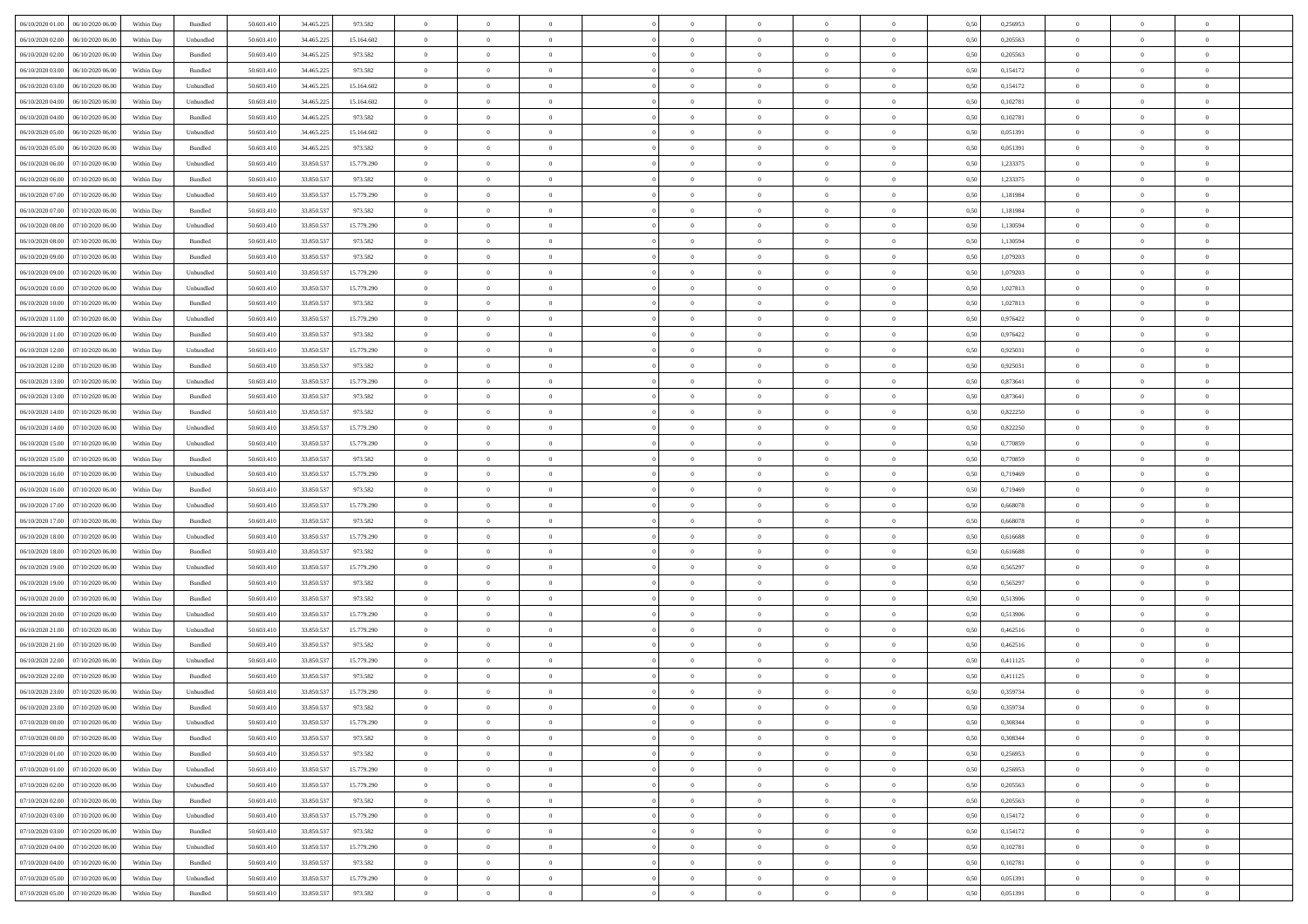| 06/10/2020 01:00 06/10/2020 06:00            | Within Day | Bundled   | 50.603.410 | 34.465.225 | 973.582    | $\overline{0}$ | $\theta$       |                | $\overline{0}$ | $\theta$       |                | $\theta$       | 0,50 | 0,256953 | $\theta$       | $\theta$       | $\overline{0}$ |  |
|----------------------------------------------|------------|-----------|------------|------------|------------|----------------|----------------|----------------|----------------|----------------|----------------|----------------|------|----------|----------------|----------------|----------------|--|
| 06/10/2020 02.00<br>06/10/2020 06.00         | Within Day | Unbundled | 50.603.41  | 34.465.22  | 15.164.602 | $\bf{0}$       | $\bf{0}$       | $\bf{0}$       | $\bf{0}$       | $\overline{0}$ | $\bf{0}$       | $\bf{0}$       | 0,50 | 0,205563 | $\,$ 0 $\,$    | $\bf{0}$       | $\overline{0}$ |  |
| 06/10/2020 02:00<br>06/10/2020 06:00         | Within Day | Bundled   | 50.603.41  | 34.465.225 | 973.582    | $\overline{0}$ | $\bf{0}$       | $\overline{0}$ | $\overline{0}$ | $\bf{0}$       | $\overline{0}$ | $\bf{0}$       | 0.50 | 0,205563 | $\bf{0}$       | $\overline{0}$ | $\bf{0}$       |  |
| 06/10/2020 03:00<br>06/10/2020 06.00         | Within Day | Bundled   | 50.603.41  | 34.465.225 | 973.582    | $\overline{0}$ | $\overline{0}$ | $\overline{0}$ | $\overline{0}$ | $\theta$       | $\overline{0}$ | $\bf{0}$       | 0,50 | 0,154172 | $\theta$       | $\theta$       | $\overline{0}$ |  |
| 06/10/2020 03:00<br>06/10/2020 06.00         | Within Day | Unbundled | 50.603.41  | 34.465.225 | 15.164.602 | $\bf{0}$       | $\overline{0}$ | $\bf{0}$       | $\overline{0}$ | $\bf{0}$       | $\overline{0}$ | $\bf{0}$       | 0,50 | 0,154172 | $\,$ 0 $\,$    | $\bf{0}$       | $\overline{0}$ |  |
| 06/10/2020 04:00<br>06/10/2020 06:00         | Within Day | Unbundled | 50.603.41  | 34.465.225 | 15.164.602 | $\overline{0}$ | $\bf{0}$       | $\overline{0}$ | $\bf{0}$       | $\overline{0}$ | $\theta$       | $\bf{0}$       | 0.50 | 0.102781 | $\bf{0}$       | $\overline{0}$ | $\overline{0}$ |  |
| 06/10/2020 04:00<br>06/10/2020 06.00         | Within Day | Bundled   | 50.603.41  | 34.465.225 | 973.582    | $\overline{0}$ | $\overline{0}$ | $\overline{0}$ | $\overline{0}$ | $\overline{0}$ | $\overline{0}$ | $\bf{0}$       | 0,50 | 0,102781 | $\,$ 0 $\,$    | $\theta$       | $\overline{0}$ |  |
|                                              |            |           |            |            |            | $\bf{0}$       | $\bf{0}$       |                | $\overline{0}$ | $\overline{0}$ | $\overline{0}$ |                |      |          | $\,$ 0 $\,$    | $\bf{0}$       | $\overline{0}$ |  |
| 06/10/2020 05:00<br>06/10/2020 06.00         | Within Day | Unbundled | 50.603.41  | 34.465.22  | 15.164.602 |                |                | $\bf{0}$       |                |                |                | $\bf{0}$       | 0,50 | 0,051391 |                |                |                |  |
| 06/10/2020 05:00<br>06/10/2020 06:00         | Within Day | Bundled   | 50.603.41  | 34.465.22  | 973.582    | $\overline{0}$ | $\bf{0}$       | $\overline{0}$ | $\bf{0}$       | $\overline{0}$ | $\overline{0}$ | $\bf{0}$       | 0.50 | 0.051391 | $\bf{0}$       | $\overline{0}$ | $\bf{0}$       |  |
| 06/10/2020 06:00<br>07/10/2020 06.00         | Within Day | Unbundled | 50.603.410 | 33.850.537 | 15.779.290 | $\bf{0}$       | $\bf{0}$       | $\overline{0}$ | $\overline{0}$ | $\overline{0}$ | $\overline{0}$ | $\bf{0}$       | 0,50 | 1,233375 | $\,$ 0 $\,$    | $\,$ 0 $\,$    | $\overline{0}$ |  |
| 06/10/2020 06:00<br>07/10/2020 06.00         | Within Day | Bundled   | 50.603.41  | 33.850.53  | 973.582    | $\bf{0}$       | $\bf{0}$       | $\bf{0}$       | $\bf{0}$       | $\overline{0}$ | $\overline{0}$ | $\bf{0}$       | 0,50 | 1,233375 | $\,$ 0 $\,$    | $\bf{0}$       | $\overline{0}$ |  |
| 06/10/2020 07.00<br>07/10/2020 06:00         | Within Day | Unbundled | 50,603.41  | 33,850,537 | 15.779.290 | $\overline{0}$ | $\bf{0}$       | $\overline{0}$ | $\overline{0}$ | $\bf{0}$       | $\overline{0}$ | $\bf{0}$       | 0.50 | 1.181984 | $\bf{0}$       | $\,$ 0 $\,$    | $\,$ 0         |  |
| 06/10/2020 07:00<br>07/10/2020 06.00         | Within Day | Bundled   | 50.603.41  | 33.850.537 | 973.582    | $\overline{0}$ | $\bf{0}$       | $\overline{0}$ | $\theta$       | $\theta$       | $\overline{0}$ | $\bf{0}$       | 0,50 | 1,181984 | $\,$ 0 $\,$    | $\theta$       | $\overline{0}$ |  |
| 06/10/2020 08:00<br>07/10/2020 06.00         | Within Day | Unbundled | 50.603.41  | 33.850.53  | 15.779.290 | $\bf{0}$       | $\overline{0}$ | $\bf{0}$       | $\overline{0}$ | $\bf{0}$       | $\overline{0}$ | $\bf{0}$       | 0,50 | 1,130594 | $\,$ 0 $\,$    | $\bf{0}$       | $\overline{0}$ |  |
| 06/10/2020 08:00<br>07/10/2020 06:00         | Within Day | Bundled   | 50,603.41  | 33,850,537 | 973.582    | $\overline{0}$ | $\bf{0}$       | $\overline{0}$ | $\bf{0}$       | $\overline{0}$ | $\theta$       | $\bf{0}$       | 0.50 | 1.130594 | $\bf{0}$       | $\theta$       | $\overline{0}$ |  |
| 06/10/2020 09:00<br>07/10/2020 06.00         | Within Day | Bundled   | 50.603.410 | 33.850.537 | 973.582    | $\overline{0}$ | $\bf{0}$       | $\overline{0}$ | $\overline{0}$ | $\overline{0}$ | $\overline{0}$ | $\bf{0}$       | 0,50 | 1,079203 | $\theta$       | $\theta$       | $\overline{0}$ |  |
| 06/10/2020 09:00<br>07/10/2020 06.00         | Within Day | Unbundled | 50.603.41  | 33.850.53  | 15.779.290 | $\bf{0}$       | $\bf{0}$       | $\bf{0}$       | $\overline{0}$ | $\bf{0}$       | $\overline{0}$ | $\bf{0}$       | 0,50 | 1,079203 | $\,$ 0 $\,$    | $\bf{0}$       | $\overline{0}$ |  |
| 06/10/2020 10:00<br>07/10/2020 06:00         | Within Day | Unbundled | 50,603.41  | 33,850,537 | 15,779.290 | $\overline{0}$ | $\bf{0}$       | $\overline{0}$ | $\bf{0}$       | $\overline{0}$ | $\overline{0}$ | $\bf{0}$       | 0.50 | 1.027813 | $\bf{0}$       | $\overline{0}$ | $\bf{0}$       |  |
| 06/10/2020 10:00<br>07/10/2020 06:00         | Within Day | Bundled   | 50.603.410 | 33.850.537 | 973.582    | $\bf{0}$       | $\bf{0}$       | $\overline{0}$ | $\overline{0}$ | $\overline{0}$ | $\overline{0}$ | $\bf{0}$       | 0,50 | 1,027813 | $\,$ 0 $\,$    | $\bf{0}$       | $\overline{0}$ |  |
|                                              |            |           |            |            |            |                |                |                |                |                |                |                |      |          |                |                |                |  |
| 06/10/2020 11:00<br>07/10/2020 06.00         | Within Day | Unbundled | 50.603.41  | 33.850.53  | 15.779.290 | $\bf{0}$       | $\bf{0}$       | $\bf{0}$       | $\bf{0}$       | $\overline{0}$ | $\overline{0}$ | $\bf{0}$       | 0,50 | 0,976422 | $\,$ 0 $\,$    | $\bf{0}$       | $\overline{0}$ |  |
| 06/10/2020 11:00<br>07/10/2020 06:00         | Within Day | Bundled   | 50.603.41  | 33,850,537 | 973.582    | $\overline{0}$ | $\bf{0}$       | $\overline{0}$ | $\overline{0}$ | $\bf{0}$       | $\overline{0}$ | $\bf{0}$       | 0.50 | 0.976422 | $\,$ 0 $\,$    | $\,$ 0 $\,$    | $\,$ 0         |  |
| 06/10/2020 12:00<br>07/10/2020 06:00         | Within Day | Unbundled | 50.603.41  | 33.850.537 | 15.779.290 | $\overline{0}$ | $\overline{0}$ | $\overline{0}$ | $\overline{0}$ | $\overline{0}$ | $\overline{0}$ | $\bf{0}$       | 0,50 | 0,925031 | $\theta$       | $\overline{0}$ | $\overline{0}$ |  |
| 06/10/2020 12:00<br>07/10/2020 06.00         | Within Day | Bundled   | 50.603.41  | 33.850.53  | 973.582    | $\bf{0}$       | $\bf{0}$       | $\bf{0}$       | $\bf{0}$       | $\overline{0}$ | $\overline{0}$ | $\bf{0}$       | 0,50 | 0,925031 | $\,$ 0 $\,$    | $\bf{0}$       | $\overline{0}$ |  |
| 06/10/2020 13:00<br>07/10/2020 06:00         | Within Day | Unbundled | 50.603.41  | 33,850.537 | 15.779.290 | $\overline{0}$ | $\bf{0}$       | $\overline{0}$ | $\bf{0}$       | $\overline{0}$ | $\overline{0}$ | $\bf{0}$       | 0.50 | 0.873641 | $\,$ 0 $\,$    | $\overline{0}$ | $\overline{0}$ |  |
| 06/10/2020 13:00<br>07/10/2020 06.00         | Within Day | Bundled   | 50.603.41  | 33.850.537 | 973.582    | $\overline{0}$ | $\overline{0}$ | $\overline{0}$ | $\overline{0}$ | $\overline{0}$ | $\overline{0}$ | $\bf{0}$       | 0,50 | 0,873641 | $\,$ 0 $\,$    | $\theta$       | $\overline{0}$ |  |
| 06/10/2020 14:00<br>07/10/2020 06.00         | Within Day | Bundled   | 50.603.41  | 33.850.53  | 973.582    | $\bf{0}$       | $\overline{0}$ | $\bf{0}$       | $\overline{0}$ | $\bf{0}$       | $\overline{0}$ | $\bf{0}$       | 0,50 | 0,822250 | $\,$ 0 $\,$    | $\bf{0}$       | $\overline{0}$ |  |
| 06/10/2020 14:00<br>07/10/2020 06:00         | Within Day | Unbundled | 50,603.41  | 33,850,537 | 15,779.290 | $\overline{0}$ | $\bf{0}$       | $\overline{0}$ | $\bf{0}$       | $\overline{0}$ | $\overline{0}$ | $\bf{0}$       | 0.50 | 0.822250 | $\bf{0}$       | $\overline{0}$ | $\bf{0}$       |  |
| 06/10/2020 15:00<br>07/10/2020 06:00         | Within Day | Unbundled | 50.603.410 | 33.850.537 | 15.779.290 | $\overline{0}$ | $\bf{0}$       | $\overline{0}$ | $\overline{0}$ | $\overline{0}$ | $\overline{0}$ | $\bf{0}$       | 0,50 | 0,770859 | $\theta$       | $\,$ 0 $\,$    | $\overline{0}$ |  |
| 06/10/2020 15:00<br>07/10/2020 06.00         | Within Day | Bundled   | 50.603.41  | 33.850.53  | 973.582    | $\bf{0}$       | $\bf{0}$       | $\bf{0}$       | $\bf{0}$       | $\overline{0}$ | $\overline{0}$ | $\bf{0}$       | 0,50 | 0,770859 | $\,$ 0 $\,$    | $\bf{0}$       | $\overline{0}$ |  |
| 06/10/2020 16:00<br>07/10/2020 06:00         | Within Day | Unbundled | 50.603.41  | 33,850,537 | 15.779.290 | $\overline{0}$ | $\bf{0}$       | $\overline{0}$ | $\bf{0}$       | $\bf{0}$       | $\overline{0}$ | $\bf{0}$       | 0.50 | 0.719469 | $\bf{0}$       | $\,$ 0 $\,$    | $\,$ 0         |  |
| 06/10/2020 16:00<br>07/10/2020 06.00         | Within Day | Bundled   | 50.603.41  | 33.850.537 | 973.582    | $\overline{0}$ | $\overline{0}$ | $\overline{0}$ | $\overline{0}$ | $\overline{0}$ | $\overline{0}$ | $\bf{0}$       | 0.5( | 0.719469 | $\theta$       | $\theta$       | $\overline{0}$ |  |
|                                              |            |           |            |            |            | $\bf{0}$       | $\bf{0}$       | $\bf{0}$       |                | $\overline{0}$ | $\overline{0}$ |                |      |          | $\,$ 0 $\,$    | $\bf{0}$       | $\overline{0}$ |  |
| 06/10/2020 17:00<br>07/10/2020 06.00         | Within Day | Unbundled | 50.603.41  | 33.850.53  | 15.779.290 |                |                |                | $\bf{0}$       |                |                | $\bf{0}$       | 0,50 | 0,668078 |                |                |                |  |
| 06/10/2020 17:00<br>07/10/2020 06.00         | Within Day | Bundled   | 50,603.41  | 33,850,537 | 973.582    | $\overline{0}$ | $\bf{0}$       | $\overline{0}$ | $\bf{0}$       | $\overline{0}$ | $\overline{0}$ | $\bf{0}$       | 0.50 | 0.668078 | $\bf{0}$       | $\bf{0}$       | $\overline{0}$ |  |
| 06/10/2020 18:00<br>07/10/2020 06:00         | Within Day | Unbundled | 50.603.41  | 33.850.537 | 15.779.290 | $\overline{0}$ | $\overline{0}$ | $\overline{0}$ | $\overline{0}$ | $\overline{0}$ | $\overline{0}$ | $\bf{0}$       | 0.50 | 0.616688 | $\theta$       | $\theta$       | $\overline{0}$ |  |
| 06/10/2020 18:00<br>07/10/2020 06.00         | Within Day | Bundled   | 50.603.41  | 33.850.53  | 973.582    | $\bf{0}$       | $\bf{0}$       | $\bf{0}$       | $\bf{0}$       | $\overline{0}$ | $\overline{0}$ | $\bf{0}$       | 0,50 | 0,616688 | $\,$ 0 $\,$    | $\bf{0}$       | $\overline{0}$ |  |
| 06/10/2020 19:00<br>07/10/2020 06:00         | Within Day | Unbundled | 50,603.41  | 33,850,537 | 15,779.290 | $\overline{0}$ | $\bf{0}$       | $\overline{0}$ | $\bf{0}$       | $\overline{0}$ | $\overline{0}$ | $\bf{0}$       | 0.50 | 0.565297 | $\bf{0}$       | $\overline{0}$ | $\bf{0}$       |  |
| 06/10/2020 19:00<br>07/10/2020 06:00         | Within Day | Bundled   | 50.603.41  | 33.850.537 | 973.582    | $\overline{0}$ | $\overline{0}$ | $\overline{0}$ | $\overline{0}$ | $\overline{0}$ | $\overline{0}$ | $\bf{0}$       | 0.50 | 0,565297 | $\theta$       | $\theta$       | $\overline{0}$ |  |
| 06/10/2020 20:00<br>07/10/2020 06.00         | Within Day | Bundled   | 50.603.41  | 33.850.53  | 973.582    | $\bf{0}$       | $\bf{0}$       | $\bf{0}$       | $\bf{0}$       | $\overline{0}$ | $\overline{0}$ | $\bf{0}$       | 0,50 | 0,513906 | $\,$ 0 $\,$    | $\overline{0}$ | $\overline{0}$ |  |
| 06/10/2020 20:00<br>07/10/2020 06:00         | Within Day | Unbundled | 50.603.41  | 33,850,537 | 15.779.290 | $\overline{0}$ | $\bf{0}$       | $\overline{0}$ | $\overline{0}$ | $\bf{0}$       | $\overline{0}$ | $\bf{0}$       | 0.50 | 0,513906 | $\,$ 0 $\,$    | $\,$ 0 $\,$    | $\,$ 0         |  |
| 06/10/2020 21:00<br>07/10/2020 06:00         | Within Day | Unbundled | 50.603.41  | 33.850.537 | 15.779.290 | $\overline{0}$ | $\overline{0}$ | $\overline{0}$ | $\overline{0}$ | $\overline{0}$ | $\overline{0}$ | $\bf{0}$       | 0.50 | 0,462516 | $\theta$       | $\theta$       | $\overline{0}$ |  |
| 06/10/2020 21:00<br>07/10/2020 06.00         | Within Day | Bundled   | 50.603.41  | 33.850.53  | 973.582    | $\bf{0}$       | $\bf{0}$       | $\bf{0}$       | $\bf{0}$       | $\overline{0}$ | $\overline{0}$ | $\bf{0}$       | 0,50 | 0,462516 | $\,$ 0 $\,$    | $\bf{0}$       | $\overline{0}$ |  |
| 06/10/2020 22.00<br>07/10/2020 06.00         | Within Day | Unbundled | 50.603.41  | 33,850.53  | 15.779.290 | $\overline{0}$ | $\overline{0}$ | $\overline{0}$ | $\bf{0}$       | $\overline{0}$ | $\Omega$       | $\bf{0}$       | 0.50 | 0,411125 | $\bf{0}$       | $\theta$       | $\overline{0}$ |  |
| 06/10/2020 22:00<br>07/10/2020 06:00         | Within Day | Bundled   | 50.603.41  | 33.850.537 | 973.582    | $\overline{0}$ | $\overline{0}$ | $\Omega$       | $\theta$       | $\theta$       | $\overline{0}$ | $\overline{0}$ | 0.5( | 0,411125 | $\theta$       | $\theta$       | $\overline{0}$ |  |
| 06/10/2020 23.00<br>07/10/2020 06.00         | Within Day | Unbundled | 50.603.41  | 33.850.53  | 15.779.290 | $\bf{0}$       | $\bf{0}$       | $\bf{0}$       | $\bf{0}$       | $\bf{0}$       | $\overline{0}$ | $\bf{0}$       | 0,50 | 0,359734 | $\overline{0}$ | $\overline{0}$ | $\overline{0}$ |  |
| $06/10/2020\ 23.00 \qquad 07/10/2020\ 06.00$ |            | Bundled   |            |            | 973.582    |                |                |                |                |                |                |                | 0,50 | 0,359734 |                |                |                |  |
|                                              | Within Day |           | 50.603.410 | 33.850.537 |            | $\bf{0}$       | $\theta$       |                | $\overline{0}$ |                |                |                |      |          | $\,$ 0         | $\,$ 0         |                |  |
| 07/10/2020 00:00 07/10/2020 06:00            | Within Day | Unbundled | 50.603.410 | 33.850.537 | 15.779.290 | $\overline{0}$ | $\overline{0}$ | $\Omega$       | $\theta$       | $\overline{0}$ | $\overline{0}$ | $\bf{0}$       | 0,50 | 0,308344 | $\theta$       | $\overline{0}$ | $\overline{0}$ |  |
| 07/10/2020 00:00<br>07/10/2020 06:00         | Within Day | Bundled   | 50.603.41  | 33.850.53  | 973.582    | $\overline{0}$ | $\bf{0}$       | $\overline{0}$ | $\overline{0}$ | $\bf{0}$       | $\overline{0}$ | $\bf{0}$       | 0,50 | 0,308344 | $\bf{0}$       | $\overline{0}$ | $\bf{0}$       |  |
| 07/10/2020 01:00 07/10/2020 06:00            | Within Day | Bundled   | 50,603.410 | 33.850.537 | 973.582    | $\overline{0}$ | $\bf{0}$       | $\overline{0}$ | $\overline{0}$ | $\mathbf{0}$   | $\overline{0}$ | $\,$ 0 $\,$    | 0.50 | 0,256953 | $\overline{0}$ | $\bf{0}$       | $\bf{0}$       |  |
| 07/10/2020 01:00 07/10/2020 06:00            | Within Day | Unbundled | 50.603.410 | 33.850.537 | 15.779.290 | $\overline{0}$ | $\overline{0}$ | $\overline{0}$ | $\overline{0}$ | $\overline{0}$ | $\overline{0}$ | $\bf{0}$       | 0,50 | 0,256953 | $\theta$       | $\theta$       | $\overline{0}$ |  |
| 07/10/2020 02.00<br>07/10/2020 06:00         | Within Day | Unbundled | 50.603.41  | 33.850.537 | 15.779.290 | $\overline{0}$ | $\bf{0}$       | $\overline{0}$ | $\overline{0}$ | $\bf{0}$       | $\overline{0}$ | $\bf{0}$       | 0,50 | 0,205563 | $\bf{0}$       | $\overline{0}$ | $\overline{0}$ |  |
| 07/10/2020 06:00<br>07/10/2020 02.00         | Within Day | Bundled   | 50,603.410 | 33,850,537 | 973.582    | $\overline{0}$ | $\bf{0}$       | $\overline{0}$ | $\overline{0}$ | $\overline{0}$ | $\overline{0}$ | $\bf{0}$       | 0.50 | 0.205563 | $\,$ 0 $\,$    | $\overline{0}$ | $\overline{0}$ |  |
| 07/10/2020 03:00<br>07/10/2020 06:00         | Within Day | Unbundled | 50.603.410 | 33.850.537 | 15.779.290 | $\overline{0}$ | $\overline{0}$ | $\overline{0}$ | $\overline{0}$ | $\overline{0}$ | $\overline{0}$ | $\bf{0}$       | 0,50 | 0,154172 | $\overline{0}$ | $\theta$       | $\overline{0}$ |  |
| 07/10/2020 03:00<br>07/10/2020 06:00         | Within Day | Bundled   | 50.603.41  | 33.850.537 | 973.582    | $\overline{0}$ | $\overline{0}$ | $\overline{0}$ | $\overline{0}$ | $\overline{0}$ | $\overline{0}$ | $\bf{0}$       | 0,50 | 0,154172 | $\bf{0}$       | $\overline{0}$ | $\,$ 0         |  |
| 07/10/2020 04:00<br>07/10/2020 06:00         | Within Day | Unbundled | 50,603.410 | 33,850,537 | 15,779.290 | $\overline{0}$ | $\overline{0}$ | $\overline{0}$ | $\overline{0}$ | $\overline{0}$ | $\overline{0}$ | $\bf{0}$       | 0.50 | 0.102781 | $\mathbf{0}$   | $\bf{0}$       | $\,$ 0         |  |
| 07/10/2020 04:00 07/10/2020 06:00            | Within Dav | Bundled   | 50.603.410 | 33.850.537 | 973.582    | $\overline{0}$ | $\overline{0}$ | $\overline{0}$ | $\overline{0}$ | $\overline{0}$ | $\overline{0}$ | $\bf{0}$       | 0,50 | 0,102781 | $\overline{0}$ | $\theta$       | $\overline{0}$ |  |
|                                              |            |           |            |            |            |                | $\bf{0}$       |                |                | $\overline{0}$ |                |                |      |          | $\bf{0}$       | $\overline{0}$ | $\bf{0}$       |  |
| 07/10/2020 05:00<br>07/10/2020 06.00         | Within Day | Unbundled | 50.603.41  | 33.850.537 | 15.779.290 | $\overline{0}$ |                | $\overline{0}$ | $\overline{0}$ |                | $\overline{0}$ | $\bf{0}$       | 0,50 | 0,051391 |                |                |                |  |
| 07/10/2020 05:00 07/10/2020 06:00            | Within Day | Bundled   | 50.603.410 | 33.850.537 | 973.582    | $\overline{0}$ | $\bf{0}$       | $\overline{0}$ | $\overline{0}$ | $\,$ 0 $\,$    | $\overline{0}$ | $\bf{0}$       | 0,50 | 0,051391 | $\overline{0}$ | $\,$ 0 $\,$    | $\,$ 0 $\,$    |  |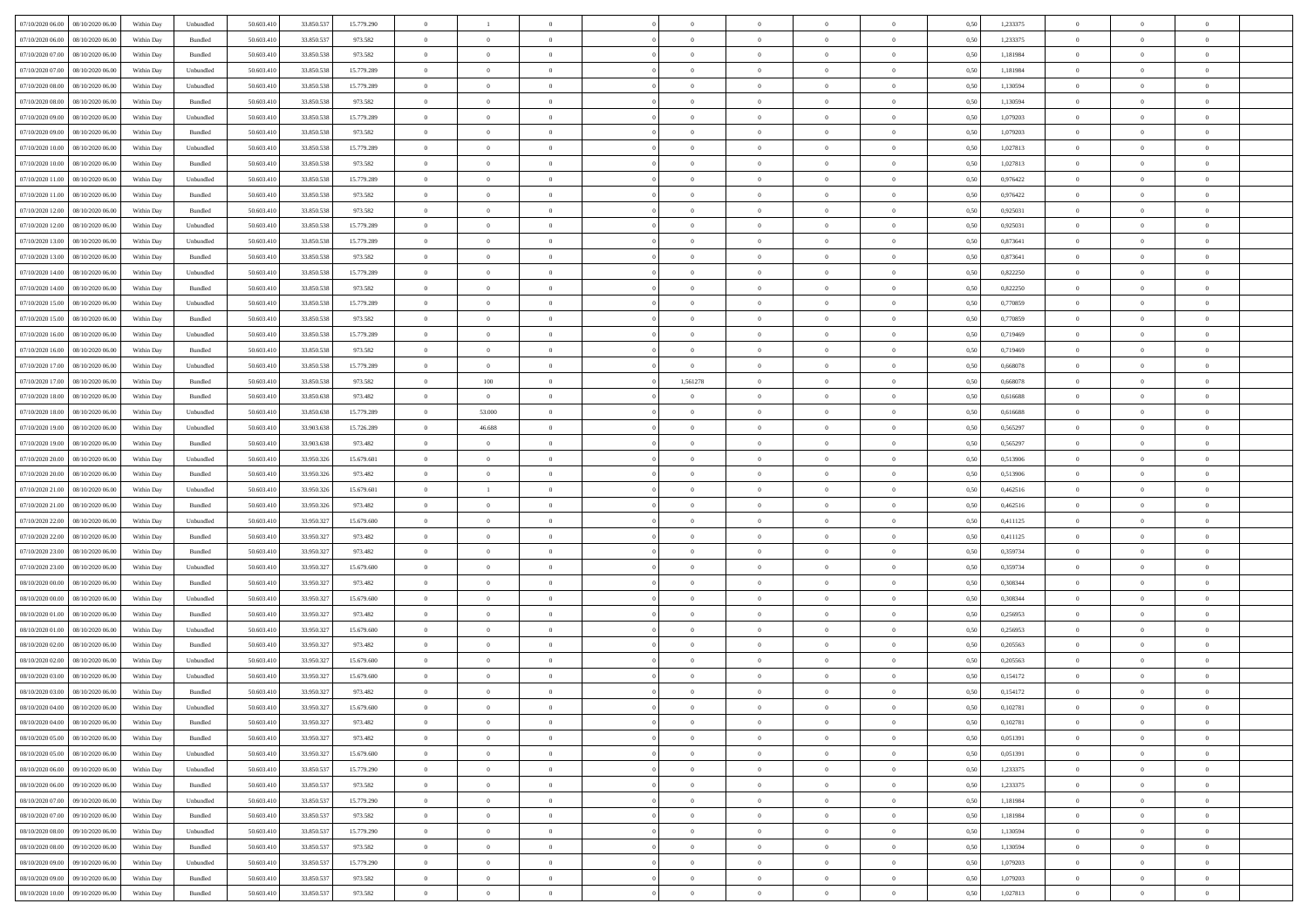| 07/10/2020 06:00 08/10/2020 06:00            | Within Day | Unbundled         | 50.603.410 | 33.850.537 | 15.779.290 | $\overline{0}$ |                |                | $\overline{0}$ | $\theta$       |                | $\theta$       | 0,50 | 1,233375 | $\theta$       | $\theta$       | $\overline{0}$ |  |
|----------------------------------------------|------------|-------------------|------------|------------|------------|----------------|----------------|----------------|----------------|----------------|----------------|----------------|------|----------|----------------|----------------|----------------|--|
| 07/10/2020 06.00<br>08/10/2020 06.00         | Within Day | Bundled           | 50.603.41  | 33.850.53  | 973.582    | $\bf{0}$       | $\bf{0}$       | $\bf{0}$       | $\bf{0}$       | $\overline{0}$ | $\bf{0}$       | $\bf{0}$       | 0,50 | 1,233375 | $\,$ 0 $\,$    | $\bf{0}$       | $\overline{0}$ |  |
| 07/10/2020 07:00<br>08/10/2020 06:00         | Within Day | Bundled           | 50.603.41  | 33,850,538 | 973.582    | $\overline{0}$ | $\bf{0}$       | $\overline{0}$ | $\bf{0}$       | $\bf{0}$       | $\overline{0}$ | $\bf{0}$       | 0.50 | 1,181984 | $\overline{0}$ | $\overline{0}$ | $\bf{0}$       |  |
| 07/10/2020 07:00<br>08/10/2020 06:00         | Within Day | Unbundled         | 50.603.410 | 33.850.538 | 15.779.289 | $\overline{0}$ | $\overline{0}$ | $\overline{0}$ | $\overline{0}$ | $\theta$       | $\overline{0}$ | $\bf{0}$       | 0,50 | 1,181984 | $\,$ 0 $\,$    | $\overline{0}$ | $\overline{0}$ |  |
| 07/10/2020 08:00<br>08/10/2020 06.00         | Within Day | Unbundled         | 50.603.41  | 33.850.53  | 15.779.289 | $\bf{0}$       | $\overline{0}$ | $\bf{0}$       | $\overline{0}$ | $\bf{0}$       | $\overline{0}$ | $\bf{0}$       | 0,50 | 1,130594 | $\,$ 0 $\,$    | $\bf{0}$       | $\overline{0}$ |  |
| 07/10/2020 08:00<br>08/10/2020 06:00         | Within Day | Bundled           | 50.603.41  | 33,850,538 | 973.582    | $\overline{0}$ | $\bf{0}$       | $\overline{0}$ | $\bf{0}$       | $\overline{0}$ | $\overline{0}$ | $\bf{0}$       | 0.50 | 1.130594 | $\bf{0}$       | $\bf{0}$       | $\overline{0}$ |  |
| 07/10/2020 09:00<br>08/10/2020 06.00         | Within Day | Unbundled         | 50.603.41  | 33.850.538 | 15.779.289 | $\overline{0}$ | $\bf{0}$       | $\overline{0}$ | $\overline{0}$ | $\overline{0}$ | $\overline{0}$ | $\bf{0}$       | 0,50 | 1,079203 | $\,$ 0 $\,$    | $\theta$       | $\overline{0}$ |  |
| 07/10/2020 09:00<br>08/10/2020 06.00         | Within Day | Bundled           | 50.603.41  | 33.850.53  | 973.582    | $\bf{0}$       | $\bf{0}$       | $\bf{0}$       | $\overline{0}$ | $\overline{0}$ | $\overline{0}$ | $\bf{0}$       | 0,50 | 1,079203 | $\,$ 0 $\,$    | $\bf{0}$       | $\overline{0}$ |  |
| 07/10/2020 10:00<br>08/10/2020 06:00         | Within Day | Unbundled         | 50.603.41  | 33,850,538 | 15,779,289 | $\overline{0}$ | $\bf{0}$       | $\overline{0}$ | $\bf{0}$       | $\overline{0}$ | $\overline{0}$ | $\bf{0}$       | 0.50 | 1.027813 | $\bf{0}$       | $\overline{0}$ | $\bf{0}$       |  |
| 07/10/2020 10:00<br>08/10/2020 06:00         | Within Day | Bundled           | 50.603.410 | 33.850.538 | 973.582    | $\bf{0}$       | $\bf{0}$       | $\overline{0}$ | $\overline{0}$ | $\overline{0}$ | $\overline{0}$ | $\bf{0}$       | 0,50 | 1,027813 | $\,$ 0 $\,$    | $\,$ 0 $\,$    | $\overline{0}$ |  |
| 07/10/2020 11:00<br>08/10/2020 06.00         | Within Day | Unbundled         | 50.603.41  | 33.850.53  | 15.779.289 | $\bf{0}$       | $\bf{0}$       | $\bf{0}$       | $\bf{0}$       | $\overline{0}$ | $\overline{0}$ | $\bf{0}$       | 0,50 | 0,976422 | $\,$ 0 $\,$    | $\bf{0}$       | $\overline{0}$ |  |
| 07/10/2020 11:00<br>08/10/2020 06:00         | Within Day | Bundled           | 50,603.41  | 33,850,538 | 973.582    | $\overline{0}$ | $\bf{0}$       | $\overline{0}$ | $\overline{0}$ | $\overline{0}$ | $\overline{0}$ | $\bf{0}$       | 0.50 | 0.976422 | $\bf{0}$       | $\,$ 0 $\,$    | $\,$ 0         |  |
| 07/10/2020 12:00<br>08/10/2020 06:00         | Within Day | Bundled           | 50.603.41  | 33.850.538 | 973.582    | $\overline{0}$ | $\bf{0}$       | $\overline{0}$ | $\theta$       | $\theta$       | $\overline{0}$ | $\bf{0}$       | 0,50 | 0,925031 | $\,$ 0 $\,$    | $\,$ 0 $\,$    | $\overline{0}$ |  |
|                                              |            |                   |            |            |            |                |                |                |                |                |                |                |      |          |                |                |                |  |
| 07/10/2020 12:00<br>08/10/2020 06.00         | Within Day | Unbundled         | 50.603.41  | 33.850.53  | 15.779.289 | $\bf{0}$       | $\overline{0}$ | $\bf{0}$       | $\bf{0}$       | $\bf{0}$       | $\overline{0}$ | $\bf{0}$       | 0,50 | 0,925031 | $\,$ 0 $\,$    | $\bf{0}$       | $\overline{0}$ |  |
| 07/10/2020 13:00<br>08/10/2020 06:00         | Within Day | Unbundled         | 50.603.41  | 33,850,538 | 15.779.289 | $\overline{0}$ | $\bf{0}$       | $\overline{0}$ | $\bf{0}$       | $\overline{0}$ | $\overline{0}$ | $\bf{0}$       | 0.50 | 0.873641 | $\,$ 0 $\,$    | $\bf{0}$       | $\overline{0}$ |  |
| 07/10/2020 13:00<br>08/10/2020 06:00         | Within Day | Bundled           | 50.603.410 | 33.850.538 | 973.582    | $\overline{0}$ | $\bf{0}$       | $\overline{0}$ | $\overline{0}$ | $\overline{0}$ | $\overline{0}$ | $\bf{0}$       | 0,50 | 0,873641 | $\theta$       | $\theta$       | $\overline{0}$ |  |
| 07/10/2020 14:00<br>08/10/2020 06.00         | Within Day | Unbundled         | 50.603.41  | 33.850.53  | 15.779.289 | $\bf{0}$       | $\bf{0}$       | $\bf{0}$       | $\overline{0}$ | $\overline{0}$ | $\overline{0}$ | $\bf{0}$       | 0,50 | 0,822250 | $\,$ 0 $\,$    | $\bf{0}$       | $\overline{0}$ |  |
| 07/10/2020 14:00<br>08/10/2020 06:00         | Within Day | Bundled           | 50.603.41  | 33,850,538 | 973.582    | $\overline{0}$ | $\bf{0}$       | $\overline{0}$ | $\bf{0}$       | $\bf{0}$       | $\overline{0}$ | $\bf{0}$       | 0.50 | 0.822250 | $\bf{0}$       | $\overline{0}$ | $\bf{0}$       |  |
| 07/10/2020 15:00<br>08/10/2020 06:00         | Within Day | Unbundled         | 50.603.410 | 33.850.538 | 15.779.289 | $\bf{0}$       | $\bf{0}$       | $\overline{0}$ | $\overline{0}$ | $\overline{0}$ | $\overline{0}$ | $\bf{0}$       | 0,50 | 0,770859 | $\,$ 0 $\,$    | $\bf{0}$       | $\overline{0}$ |  |
| 07/10/2020 15:00<br>08/10/2020 06.00         | Within Day | Bundled           | 50.603.41  | 33.850.538 | 973.582    | $\bf{0}$       | $\bf{0}$       | $\bf{0}$       | $\bf{0}$       | $\overline{0}$ | $\overline{0}$ | $\bf{0}$       | 0,50 | 0,770859 | $\,$ 0 $\,$    | $\bf{0}$       | $\overline{0}$ |  |
| 07/10/2020 16:00<br>08/10/2020 06:00         | Within Day | Unbundled         | 50.603.41  | 33,850,538 | 15.779.289 | $\overline{0}$ | $\bf{0}$       | $\overline{0}$ | $\overline{0}$ | $\bf{0}$       | $\overline{0}$ | $\bf{0}$       | 0.50 | 0.719469 | $\bf{0}$       | $\,$ 0 $\,$    | $\,$ 0         |  |
| 07/10/2020 16:00<br>08/10/2020 06:00         | Within Day | Bundled           | 50.603.41  | 33.850.538 | 973.582    | $\overline{0}$ | $\overline{0}$ | $\overline{0}$ | $\theta$       | $\overline{0}$ | $\overline{0}$ | $\bf{0}$       | 0,50 | 0,719469 | $\theta$       | $\overline{0}$ | $\overline{0}$ |  |
| 07/10/2020 17:00<br>08/10/2020 06.00         | Within Day | Unbundled         | 50.603.41  | 33.850.53  | 15.779.289 | $\bf{0}$       | $\bf{0}$       | $\bf{0}$       | $\bf{0}$       | $\overline{0}$ | $\overline{0}$ | $\bf{0}$       | 0,50 | 0,668078 | $\,$ 0 $\,$    | $\bf{0}$       | $\overline{0}$ |  |
| 07/10/2020 17:00<br>08/10/2020 06:00         | Within Day | Bundled           | 50.603.41  | 33,850,538 | 973.582    | $\overline{0}$ | 100            | $\overline{0}$ | 1.561278       | $\overline{0}$ | $\overline{0}$ | $\bf{0}$       | 0.50 | 0,668078 | $\bf{0}$       | $\overline{0}$ | $\overline{0}$ |  |
| 07/10/2020 18:00<br>08/10/2020 06:00         | Within Day | Bundled           | 50.603.41  | 33.850.638 | 973.482    | $\overline{0}$ | $\overline{0}$ | $\overline{0}$ | $\overline{0}$ | $\overline{0}$ | $\overline{0}$ | $\bf{0}$       | 0,50 | 0,616688 | $\,$ 0 $\,$    | $\theta$       | $\overline{0}$ |  |
| 07/10/2020 18:00<br>08/10/2020 06.00         | Within Day | Unbundled         | 50.603.41  | 33.850.638 | 15.779.289 | $\bf{0}$       | 53.000         | $\bf{0}$       | $\overline{0}$ | $\overline{0}$ | $\overline{0}$ | $\bf{0}$       | 0,50 | 0,616688 | $\,$ 0 $\,$    | $\bf{0}$       | $\overline{0}$ |  |
| 07/10/2020 19:00<br>08/10/2020 06:00         | Within Day | Unbundled         | 50,603.41  | 33,903,638 | 15.726.289 | $\overline{0}$ | 46.688         | $\overline{0}$ | $\bf{0}$       | $\overline{0}$ | $\overline{0}$ | $\bf{0}$       | 0.50 | 0.565297 | $\bf{0}$       | $\overline{0}$ | $\bf{0}$       |  |
| 07/10/2020 19:00<br>08/10/2020 06:00         | Within Day | Bundled           | 50.603.410 | 33.903.638 | 973.482    | $\bf{0}$       | $\bf{0}$       | $\overline{0}$ | $\overline{0}$ | $\overline{0}$ | $\overline{0}$ | $\bf{0}$       | 0,50 | 0,565297 | $\,$ 0 $\,$    | $\overline{0}$ | $\overline{0}$ |  |
| 07/10/2020 20:00<br>08/10/2020 06.00         | Within Day | Unbundled         | 50.603.41  | 33.950.326 | 15.679.601 | $\bf{0}$       | $\bf{0}$       | $\bf{0}$       | $\bf{0}$       | $\overline{0}$ | $\overline{0}$ | $\bf{0}$       | 0,50 | 0,513906 | $\,$ 0 $\,$    | $\bf{0}$       | $\overline{0}$ |  |
| 07/10/2020 20:00<br>08/10/2020 06:00         | Within Day | Bundled           | 50.603.41  | 33.950.32  | 973.482    | $\overline{0}$ | $\bf{0}$       | $\overline{0}$ | $\overline{0}$ | $\bf{0}$       | $\overline{0}$ | $\bf{0}$       | 0.50 | 0,513906 | $\bf{0}$       | $\,$ 0 $\,$    | $\,$ 0         |  |
| 07/10/2020 21:00<br>08/10/2020 06:00         | Within Day | Unbundled         | 50.603.41  | 33,950,326 | 15.679.601 | $\overline{0}$ | $\overline{1}$ | $\overline{0}$ | $\overline{0}$ | $\overline{0}$ | $\overline{0}$ | $\bf{0}$       | 0.5( | 0,462516 | $\theta$       | $\theta$       | $\overline{0}$ |  |
| 07/10/2020 21:00<br>08/10/2020 06.00         | Within Day | Bundled           | 50.603.41  | 33.950.32  | 973.482    | $\bf{0}$       | $\bf{0}$       | $\bf{0}$       | $\bf{0}$       | $\overline{0}$ | $\overline{0}$ | $\bf{0}$       | 0,50 | 0,462516 | $\,$ 0 $\,$    | $\bf{0}$       | $\overline{0}$ |  |
| 07/10/2020 22.00<br>08/10/2020 06:00         | Within Day | Unbundled         | 50,603.41  | 33.950.327 | 15.679.600 | $\overline{0}$ | $\bf{0}$       | $\overline{0}$ | $\bf{0}$       | $\overline{0}$ | $\overline{0}$ | $\bf{0}$       | 0.50 | 0,411125 | $\bf{0}$       | $\bf{0}$       | $\overline{0}$ |  |
| 07/10/2020 22.00<br>08/10/2020 06:00         | Within Day | Bundled           | 50.603.41  | 33.950.327 | 973.482    | $\overline{0}$ | $\overline{0}$ | $\overline{0}$ | $\overline{0}$ | $\overline{0}$ | $\overline{0}$ | $\bf{0}$       | 0.50 | 0,411125 | $\theta$       | $\theta$       | $\overline{0}$ |  |
| 07/10/2020 23.00<br>08/10/2020 06.00         | Within Day | Bundled           | 50.603.41  | 33.950.32  | 973.482    | $\bf{0}$       | $\bf{0}$       | $\bf{0}$       | $\bf{0}$       | $\overline{0}$ | $\overline{0}$ | $\bf{0}$       | 0,50 | 0,359734 | $\,$ 0 $\,$    | $\bf{0}$       | $\overline{0}$ |  |
| 07/10/2020 23.00<br>08/10/2020 06:00         | Within Day | Unbundled         | 50,603.41  | 33.950.32  | 15.679.600 | $\overline{0}$ | $\bf{0}$       | $\overline{0}$ | $\bf{0}$       | $\overline{0}$ | $\overline{0}$ | $\bf{0}$       | 0.50 | 0.359734 | $\bf{0}$       | $\overline{0}$ | $\bf{0}$       |  |
| 08/10/2020 00:00<br>08/10/2020 06:00         | Within Day | Bundled           | 50.603.41  | 33.950.327 | 973.482    | $\overline{0}$ | $\overline{0}$ | $\overline{0}$ | $\overline{0}$ | $\overline{0}$ | $\overline{0}$ | $\bf{0}$       | 0.50 | 0,308344 | $\theta$       | $\theta$       | $\overline{0}$ |  |
| 08/10/2020 00:00<br>08/10/2020 06.00         | Within Day | Unbundled         | 50.603.41  | 33.950.32  | 15.679.600 | $\bf{0}$       | $\bf{0}$       | $\bf{0}$       | $\bf{0}$       | $\overline{0}$ | $\bf{0}$       | $\bf{0}$       | 0,50 | 0,308344 | $\,$ 0 $\,$    | $\bf{0}$       | $\overline{0}$ |  |
| 08/10/2020 01:00<br>08/10/2020 06:00         | Within Day | Bundled           | 50.603.41  | 33.950.32  | 973.482    | $\overline{0}$ | $\bf{0}$       | $\overline{0}$ | $\overline{0}$ | $\bf{0}$       | $\overline{0}$ | $\bf{0}$       | 0.50 | 0,256953 | $\,$ 0 $\,$    | $\,$ 0 $\,$    | $\,$ 0         |  |
| 08/10/2020 01:00<br>08/10/2020 06:00         | Within Day | Unbundled         | 50.603.41  | 33.950.327 | 15.679.600 | $\overline{0}$ | $\overline{0}$ | $\overline{0}$ | $\overline{0}$ | $\overline{0}$ | $\overline{0}$ | $\bf{0}$       | 0.50 | 0.256953 | $\theta$       | $\theta$       | $\overline{0}$ |  |
| 08/10/2020 02:00<br>08/10/2020 06.00         | Within Day | Bundled           | 50.603.41  | 33.950.327 | 973.482    | $\bf{0}$       | $\bf{0}$       | $\bf{0}$       | $\bf{0}$       | $\overline{0}$ | $\overline{0}$ | $\bf{0}$       | 0,50 | 0,205563 | $\,$ 0 $\,$    | $\bf{0}$       | $\overline{0}$ |  |
| 08/10/2020 02.00<br>08/10/2020 06:00         | Within Day | Unbundled         | 50.603.41  | 33.950.32  | 15.679.600 | $\overline{0}$ | $\overline{0}$ | $\overline{0}$ | $\bf{0}$       | $\overline{0}$ | $\overline{0}$ | $\bf{0}$       | 0.50 | 0.205563 | $\bf{0}$       | $\bf{0}$       | $\overline{0}$ |  |
| 08/10/2020 03:00<br>08/10/2020 06:00         | Within Day | Unbundled         | 50.603.41  | 33.950.32  | 15.679.600 | $\overline{0}$ | $\overline{0}$ | $\overline{0}$ | $\theta$       | $\theta$       | $\overline{0}$ | $\overline{0}$ | 0.5( | 0,154172 | $\theta$       | $\theta$       | $\overline{0}$ |  |
| 08/10/2020 03:00<br>08/10/2020 06:00         | Within Day | Bundled           | 50.603.41  | 33.950.32  | 973.482    | $\bf{0}$       | $\bf{0}$       | $\bf{0}$       | $\bf{0}$       | $\bf{0}$       | $\overline{0}$ | $\bf{0}$       | 0,50 | 0,154172 | $\overline{0}$ | $\overline{0}$ | $\overline{0}$ |  |
| $08/10/2020\ 04.00 \qquad 08/10/2020\ 06.00$ | Within Day | ${\sf Unbundred}$ | 50.603.410 | 33.950.327 | 15.679.600 | $\bf{0}$       | $\theta$       |                | $\overline{0}$ |                |                |                | 0,50 | 0,102781 | $\bf{0}$       | $\bf{0}$       |                |  |
| 08/10/2020 04:00 08/10/2020 06:00            | Within Day | Bundled           | 50.603.410 | 33.950.327 | 973.482    | $\overline{0}$ | $\overline{0}$ | $\overline{0}$ | $\theta$       | $\overline{0}$ | $\overline{0}$ | $\bf{0}$       | 0,50 | 0,102781 | $\theta$       | $\overline{0}$ | $\overline{0}$ |  |
| 08/10/2020 05:00<br>08/10/2020 06:00         | Within Day | Bundled           | 50.603.41  | 33.950.327 | 973.482    | $\overline{0}$ | $\bf{0}$       | $\overline{0}$ | $\overline{0}$ | $\bf{0}$       | $\overline{0}$ | $\bf{0}$       | 0,50 | 0,051391 | $\bf{0}$       | $\overline{0}$ | $\bf{0}$       |  |
| 08/10/2020 05:00 08/10/2020 06:00            | Within Day | Unbundled         | 50,603.410 | 33.950.327 | 15.679.600 | $\overline{0}$ | $\bf{0}$       | $\overline{0}$ | $\overline{0}$ | $\mathbf{0}$   | $\overline{0}$ | $\,$ 0 $\,$    | 0.50 | 0,051391 | $\overline{0}$ | $\bf{0}$       | $\,$ 0 $\,$    |  |
| 08/10/2020 06:00 09/10/2020 06:00            | Within Day | Unbundled         | 50.603.410 | 33.850.537 | 15.779.290 | $\overline{0}$ | $\overline{0}$ | $\overline{0}$ | $\overline{0}$ | $\overline{0}$ | $\overline{0}$ | $\bf{0}$       | 0,50 | 1,233375 | $\overline{0}$ | $\theta$       | $\overline{0}$ |  |
| 08/10/2020 06:00<br>09/10/2020 06.00         | Within Day | Bundled           | 50.603.41  | 33.850.537 | 973.582    | $\overline{0}$ | $\bf{0}$       | $\overline{0}$ | $\overline{0}$ | $\bf{0}$       | $\overline{0}$ | $\bf{0}$       | 0,50 | 1,233375 | $\bf{0}$       | $\overline{0}$ | $\overline{0}$ |  |
| 08/10/2020 07:00<br>09/10/2020 06:00         | Within Day | Unbundled         | 50.603.410 | 33,850,537 | 15.779.290 | $\overline{0}$ | $\bf{0}$       | $\overline{0}$ | $\overline{0}$ | $\overline{0}$ | $\overline{0}$ | $\bf{0}$       | 0.50 | 1.181984 | $\,$ 0 $\,$    | $\overline{0}$ | $\overline{0}$ |  |
| 08/10/2020 07:00<br>09/10/2020 06:00         | Within Dav | Bundled           | 50.603.410 | 33.850.537 | 973.582    | $\overline{0}$ | $\overline{0}$ | $\overline{0}$ | $\overline{0}$ | $\overline{0}$ | $\overline{0}$ | $\bf{0}$       | 0,50 | 1,181984 | $\overline{0}$ | $\theta$       | $\overline{0}$ |  |
| 08/10/2020 08:00<br>09/10/2020 06.00         | Within Day | Unbundled         | 50.603.41  | 33.850.537 | 15.779.290 | $\overline{0}$ | $\overline{0}$ | $\overline{0}$ | $\overline{0}$ | $\overline{0}$ | $\overline{0}$ | $\bf{0}$       | 0,50 | 1,130594 | $\bf{0}$       | $\overline{0}$ | $\overline{0}$ |  |
| 09/10/2020 06:00<br>08/10/2020 08:00         | Within Day | Bundled           | 50,603.410 | 33,850,537 | 973.582    | $\overline{0}$ | $\overline{0}$ | $\overline{0}$ | $\overline{0}$ | $\overline{0}$ | $\overline{0}$ | $\bf{0}$       | 0.50 | 1.130594 | $\mathbf{0}$   | $\bf{0}$       | $\,$ 0         |  |
| 08/10/2020 09:00 09/10/2020 06:00            | Within Dav | Unbundled         | 50.603.410 | 33.850.537 | 15.779.290 | $\overline{0}$ | $\overline{0}$ | $\overline{0}$ | $\overline{0}$ | $\overline{0}$ | $\overline{0}$ | $\bf{0}$       | 0,50 | 1,079203 | $\overline{0}$ | $\theta$       | $\overline{0}$ |  |
| 08/10/2020 09:00<br>09/10/2020 06.00         | Within Day | Bundled           | 50.603.41  | 33.850.537 | 973.582    | $\overline{0}$ | $\bf{0}$       | $\overline{0}$ | $\overline{0}$ | $\overline{0}$ | $\overline{0}$ | $\bf{0}$       | 0,50 | 1,079203 | $\bf{0}$       | $\overline{0}$ | $\bf{0}$       |  |
| 08/10/2020 10:00 09/10/2020 06:00            | Within Day | Bundled           | 50.603.410 | 33.850.537 | 973.582    | $\overline{0}$ | $\bf{0}$       | $\overline{0}$ | $\overline{0}$ | $\,$ 0 $\,$    | $\overline{0}$ | $\bf{0}$       | 0,50 | 1,027813 | $\overline{0}$ | $\,$ 0 $\,$    | $\,$ 0 $\,$    |  |
|                                              |            |                   |            |            |            |                |                |                |                |                |                |                |      |          |                |                |                |  |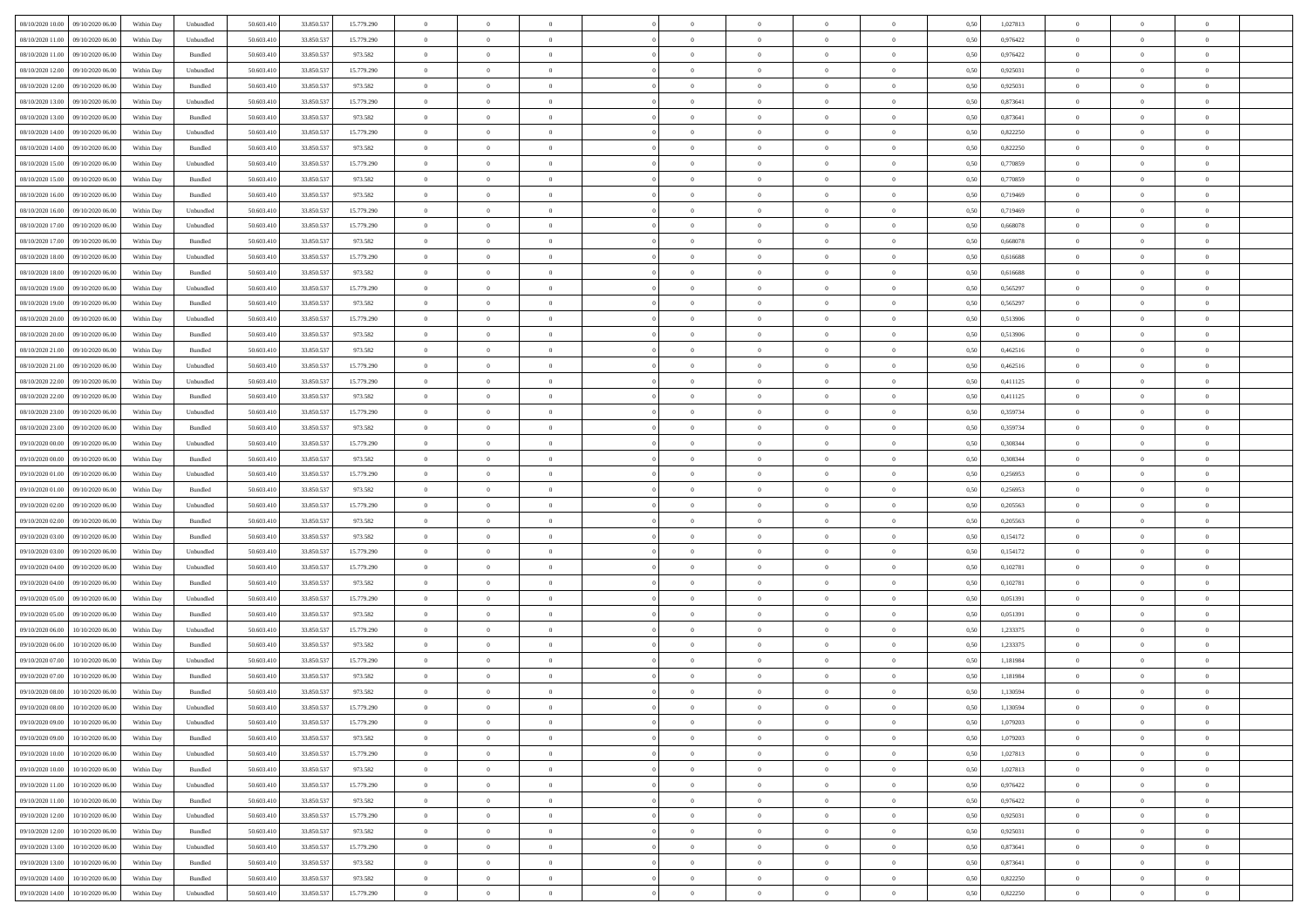| 08/10/2020 10:00 09/10/2020 06:00          | Within Day | Unbundled         | 50.603.410 | 33.850.537 | 15.779.290 | $\overline{0}$ | $\theta$       |                | $\overline{0}$ | $\theta$       |                | $\theta$       | 0,50 | 1,027813 | $\theta$       | $\theta$       | $\overline{0}$ |  |
|--------------------------------------------|------------|-------------------|------------|------------|------------|----------------|----------------|----------------|----------------|----------------|----------------|----------------|------|----------|----------------|----------------|----------------|--|
| 08/10/2020 11:00<br>09/10/2020 06.00       | Within Day | Unbundled         | 50.603.41  | 33.850.53  | 15.779.290 | $\bf{0}$       | $\bf{0}$       | $\bf{0}$       | $\bf{0}$       | $\overline{0}$ | $\bf{0}$       | $\bf{0}$       | 0,50 | 0,976422 | $\,$ 0 $\,$    | $\bf{0}$       | $\overline{0}$ |  |
| 08/10/2020 11:00<br>09/10/2020 06:00       | Within Day | Bundled           | 50.603.41  | 33.850.537 | 973.582    | $\overline{0}$ | $\bf{0}$       | $\overline{0}$ | $\bf{0}$       | $\bf{0}$       | $\overline{0}$ | $\bf{0}$       | 0.50 | 0.976422 | $\bf{0}$       | $\overline{0}$ | $\bf{0}$       |  |
| 08/10/2020 12:00<br>09/10/2020 06:00       | Within Day | Unbundled         | 50.603.41  | 33.850.537 | 15.779.290 | $\overline{0}$ | $\overline{0}$ | $\overline{0}$ | $\overline{0}$ | $\theta$       | $\overline{0}$ | $\bf{0}$       | 0,50 | 0,925031 | $\theta$       | $\,$ 0 $\,$    | $\overline{0}$ |  |
| 08/10/2020 12:00<br>09/10/2020 06.00       | Within Day | Bundled           | 50.603.41  | 33.850.53  | 973.582    | $\bf{0}$       | $\overline{0}$ | $\bf{0}$       | $\overline{0}$ | $\bf{0}$       | $\overline{0}$ | $\bf{0}$       | 0,50 | 0,925031 | $\,$ 0 $\,$    | $\bf{0}$       | $\overline{0}$ |  |
| 08/10/2020 13:00<br>09/10/2020 06:00       | Within Day | Unbundled         | 50,603.41  | 33,850,537 | 15.779.290 | $\overline{0}$ | $\bf{0}$       | $\overline{0}$ | $\bf{0}$       | $\overline{0}$ | $\overline{0}$ | $\bf{0}$       | 0.50 | 0.873641 | $\,$ 0 $\,$    | $\theta$       | $\overline{0}$ |  |
| 08/10/2020 13:00<br>09/10/2020 06.00       | Within Day | Bundled           | 50.603.41  | 33.850.537 | 973.582    | $\overline{0}$ | $\bf{0}$       | $\overline{0}$ | $\overline{0}$ | $\overline{0}$ | $\overline{0}$ | $\bf{0}$       | 0,50 | 0,873641 | $\theta$       | $\theta$       | $\overline{0}$ |  |
|                                            |            |                   |            |            |            |                |                |                |                |                |                |                |      |          |                |                |                |  |
| 08/10/2020 14:00<br>09/10/2020 06.00       | Within Day | Unbundled         | 50.603.41  | 33.850.53  | 15.779.290 | $\bf{0}$       | $\bf{0}$       | $\bf{0}$       | $\overline{0}$ | $\overline{0}$ | $\overline{0}$ | $\bf{0}$       | 0,50 | 0,822250 | $\,$ 0 $\,$    | $\bf{0}$       | $\overline{0}$ |  |
| 08/10/2020 14:00<br>09/10/2020 06:00       | Within Day | Bundled           | 50.603.41  | 33,850,537 | 973.582    | $\overline{0}$ | $\bf{0}$       | $\overline{0}$ | $\bf{0}$       | $\overline{0}$ | $\overline{0}$ | $\bf{0}$       | 0.50 | 0.822250 | $\bf{0}$       | $\overline{0}$ | $\bf{0}$       |  |
| 08/10/2020 15:00<br>09/10/2020 06:00       | Within Day | Unbundled         | 50.603.410 | 33.850.537 | 15.779.290 | $\bf{0}$       | $\bf{0}$       | $\overline{0}$ | $\overline{0}$ | $\overline{0}$ | $\overline{0}$ | $\bf{0}$       | 0,50 | 0,770859 | $\,$ 0 $\,$    | $\,$ 0 $\,$    | $\overline{0}$ |  |
| 08/10/2020 15:00<br>09/10/2020 06.00       | Within Day | Bundled           | 50.603.41  | 33.850.53  | 973.582    | $\bf{0}$       | $\bf{0}$       | $\bf{0}$       | $\bf{0}$       | $\overline{0}$ | $\overline{0}$ | $\bf{0}$       | 0,50 | 0,770859 | $\,$ 0 $\,$    | $\bf{0}$       | $\overline{0}$ |  |
| 08/10/2020 16:00<br>09/10/2020 06:00       | Within Day | Bundled           | 50,603.41  | 33.850.537 | 973.582    | $\overline{0}$ | $\bf{0}$       | $\overline{0}$ | $\overline{0}$ | $\overline{0}$ | $\overline{0}$ | $\bf{0}$       | 0.50 | 0.719469 | $\bf{0}$       | $\,$ 0 $\,$    | $\,$ 0         |  |
| 08/10/2020 16:00<br>09/10/2020 06:00       | Within Day | Unbundled         | 50.603.41  | 33.850.537 | 15.779.290 | $\overline{0}$ | $\bf{0}$       | $\overline{0}$ | $\theta$       | $\theta$       | $\overline{0}$ | $\bf{0}$       | 0,50 | 0,719469 | $\,$ 0 $\,$    | $\,$ 0 $\,$    | $\overline{0}$ |  |
| 08/10/2020 17:00<br>09/10/2020 06.00       | Within Day | Unbundled         | 50.603.41  | 33.850.53  | 15.779.290 | $\bf{0}$       | $\overline{0}$ | $\bf{0}$       | $\bf{0}$       | $\bf{0}$       | $\overline{0}$ | $\bf{0}$       | 0,50 | 0,668078 | $\,$ 0 $\,$    | $\bf{0}$       | $\overline{0}$ |  |
| 08/10/2020 17:00<br>09/10/2020 06:00       | Within Day | Bundled           | 50.603.41  | 33,850.537 | 973.582    | $\overline{0}$ | $\bf{0}$       | $\overline{0}$ | $\bf{0}$       | $\overline{0}$ | $\overline{0}$ | $\bf{0}$       | 0.50 | 0.668078 | $\,$ 0 $\,$    | $\theta$       | $\overline{0}$ |  |
| 08/10/2020 18:00<br>09/10/2020 06:00       |            |                   | 50.603.410 |            |            | $\overline{0}$ | $\bf{0}$       | $\overline{0}$ | $\overline{0}$ | $\overline{0}$ | $\overline{0}$ |                |      |          | $\theta$       | $\theta$       | $\overline{0}$ |  |
|                                            | Within Day | Unbundled         |            | 33.850.537 | 15.779.290 |                |                |                |                |                |                | $\bf{0}$       | 0,50 | 0,616688 |                |                |                |  |
| 08/10/2020 18:00<br>09/10/2020 06.00       | Within Day | Bundled           | 50.603.41  | 33.850.53  | 973.582    | $\bf{0}$       | $\bf{0}$       | $\bf{0}$       | $\overline{0}$ | $\overline{0}$ | $\overline{0}$ | $\bf{0}$       | 0,50 | 0,616688 | $\,$ 0 $\,$    | $\bf{0}$       | $\overline{0}$ |  |
| 08/10/2020 19:00<br>09/10/2020 06:00       | Within Day | Unbundled         | 50,603.41  | 33,850,537 | 15,779.290 | $\overline{0}$ | $\bf{0}$       | $\overline{0}$ | $\bf{0}$       | $\bf{0}$       | $\overline{0}$ | $\bf{0}$       | 0.50 | 0.565297 | $\bf{0}$       | $\overline{0}$ | $\bf{0}$       |  |
| 08/10/2020 19:00<br>09/10/2020 06:00       | Within Day | Bundled           | 50.603.410 | 33.850.537 | 973.582    | $\bf{0}$       | $\bf{0}$       | $\overline{0}$ | $\overline{0}$ | $\overline{0}$ | $\overline{0}$ | $\bf{0}$       | 0,50 | 0,565297 | $\,$ 0 $\,$    | $\bf{0}$       | $\overline{0}$ |  |
| 08/10/2020 20:00<br>09/10/2020 06.00       | Within Day | Unbundled         | 50.603.41  | 33.850.53  | 15.779.290 | $\bf{0}$       | $\bf{0}$       | $\bf{0}$       | $\bf{0}$       | $\overline{0}$ | $\overline{0}$ | $\bf{0}$       | 0,50 | 0,513906 | $\,$ 0 $\,$    | $\bf{0}$       | $\overline{0}$ |  |
| 08/10/2020 20:00<br>09/10/2020 06:00       | Within Day | Bundled           | 50,603.41  | 33,850,537 | 973.582    | $\overline{0}$ | $\bf{0}$       | $\overline{0}$ | $\overline{0}$ | $\bf{0}$       | $\overline{0}$ | $\bf{0}$       | 0.50 | 0,513906 | $\bf{0}$       | $\,$ 0 $\,$    | $\,$ 0         |  |
| 08/10/2020 21:00<br>09/10/2020 06:00       | Within Day | Bundled           | 50.603.41  | 33.850.537 | 973.582    | $\overline{0}$ | $\overline{0}$ | $\overline{0}$ | $\overline{0}$ | $\overline{0}$ | $\overline{0}$ | $\bf{0}$       | 0,50 | 0,462516 | $\theta$       | $\theta$       | $\overline{0}$ |  |
| 08/10/2020 21:00<br>09/10/2020 06.00       | Within Day | Unbundled         | 50.603.41  | 33.850.53  | 15.779.290 | $\bf{0}$       | $\bf{0}$       | $\bf{0}$       | $\bf{0}$       | $\overline{0}$ | $\overline{0}$ | $\bf{0}$       | 0,50 | 0,462516 | $\,$ 0 $\,$    | $\bf{0}$       | $\overline{0}$ |  |
| 08/10/2020 22.00<br>09/10/2020 06:00       | Within Day | Unbundled         | 50.603.41  | 33,850,537 | 15.779.290 | $\overline{0}$ | $\bf{0}$       | $\overline{0}$ | $\bf{0}$       | $\overline{0}$ | $\overline{0}$ | $\bf{0}$       | 0.50 | 0,411125 | $\,$ 0 $\,$    | $\overline{0}$ | $\overline{0}$ |  |
| 08/10/2020 22.00<br>09/10/2020 06.00       | Within Day | Bundled           | 50.603.410 | 33.850.537 | 973.582    | $\overline{0}$ | $\overline{0}$ | $\overline{0}$ | $\overline{0}$ | $\overline{0}$ | $\overline{0}$ | $\bf{0}$       | 0,50 | 0,411125 | $\,$ 0 $\,$    | $\theta$       | $\overline{0}$ |  |
|                                            |            |                   |            |            |            |                |                |                |                |                |                |                |      |          |                |                |                |  |
| 08/10/2020 23:00<br>09/10/2020 06.00       | Within Day | Unbundled         | 50.603.41  | 33.850.53  | 15.779.290 | $\bf{0}$       | $\overline{0}$ | $\bf{0}$       | $\overline{0}$ | $\bf{0}$       | $\overline{0}$ | $\bf{0}$       | 0,50 | 0,359734 | $\,$ 0 $\,$    | $\bf{0}$       | $\overline{0}$ |  |
| 08/10/2020 23.00<br>09/10/2020 06:00       | Within Day | Bundled           | 50,603.41  | 33,850,537 | 973.582    | $\overline{0}$ | $\bf{0}$       | $\overline{0}$ | $\bf{0}$       | $\overline{0}$ | $\overline{0}$ | $\bf{0}$       | 0.50 | 0.359734 | $\bf{0}$       | $\overline{0}$ | $\bf{0}$       |  |
| 09/10/2020 00:00<br>09/10/2020 06:00       | Within Day | Unbundled         | 50.603.410 | 33.850.537 | 15.779.290 | $\overline{0}$ | $\bf{0}$       | $\overline{0}$ | $\overline{0}$ | $\overline{0}$ | $\overline{0}$ | $\bf{0}$       | 0,50 | 0,308344 | $\theta$       | $\,$ 0 $\,$    | $\overline{0}$ |  |
| 09/10/2020 00:00<br>09/10/2020 06.00       | Within Day | Bundled           | 50.603.41  | 33.850.53  | 973.582    | $\bf{0}$       | $\bf{0}$       | $\bf{0}$       | $\bf{0}$       | $\overline{0}$ | $\overline{0}$ | $\bf{0}$       | 0,50 | 0,308344 | $\,$ 0 $\,$    | $\bf{0}$       | $\overline{0}$ |  |
| 09/10/2020 01:00<br>09/10/2020 06:00       | Within Day | Unbundled         | 50.603.41  | 33,850,537 | 15.779.290 | $\overline{0}$ | $\bf{0}$       | $\overline{0}$ | $\bf{0}$       | $\bf{0}$       | $\overline{0}$ | $\bf{0}$       | 0.50 | 0,256953 | $\bf{0}$       | $\,$ 0 $\,$    | $\,$ 0         |  |
| 09/10/2020 01:00<br>09/10/2020 06:00       | Within Day | Bundled           | 50.603.41  | 33.850.537 | 973.582    | $\overline{0}$ | $\overline{0}$ | $\overline{0}$ | $\overline{0}$ | $\overline{0}$ | $\overline{0}$ | $\bf{0}$       | 0.50 | 0.256953 | $\theta$       | $\theta$       | $\overline{0}$ |  |
| 09/10/2020 02.00<br>09/10/2020 06.00       | Within Day | Unbundled         | 50.603.41  | 33.850.53  | 15.779.290 | $\bf{0}$       | $\bf{0}$       | $\bf{0}$       | $\bf{0}$       | $\overline{0}$ | $\overline{0}$ | $\bf{0}$       | 0,50 | 0,205563 | $\,$ 0 $\,$    | $\bf{0}$       | $\overline{0}$ |  |
| 09/10/2020 02.00<br>09/10/2020 06:00       | Within Day | Bundled           | 50,603.41  | 33,850,537 | 973.582    | $\overline{0}$ | $\bf{0}$       | $\overline{0}$ | $\bf{0}$       | $\overline{0}$ | $\overline{0}$ | $\bf{0}$       | 0.50 | 0.205563 | $\,$ 0 $\,$    | $\bf{0}$       | $\overline{0}$ |  |
| 09/10/2020 03:00<br>09/10/2020 06:00       | Within Day | Bundled           | 50.603.41  | 33.850.537 | 973.582    | $\overline{0}$ | $\overline{0}$ | $\overline{0}$ | $\overline{0}$ | $\overline{0}$ | $\overline{0}$ | $\bf{0}$       | 0.50 | 0,154172 | $\theta$       | $\theta$       | $\overline{0}$ |  |
| 09/10/2020 06.00                           | Within Day | Unbundled         | 50.603.41  | 33.850.53  | 15.779.290 | $\bf{0}$       | $\bf{0}$       | $\bf{0}$       | $\bf{0}$       | $\overline{0}$ | $\overline{0}$ | $\bf{0}$       | 0,50 | 0,154172 | $\,$ 0 $\,$    | $\bf{0}$       | $\overline{0}$ |  |
| 09/10/2020 03:00                           |            |                   |            |            |            |                |                |                |                |                |                |                |      |          |                |                |                |  |
| 09/10/2020 04:00<br>09/10/2020 06:00       | Within Day | Unbundled         | 50,603.41  | 33,850,537 | 15,779.290 | $\overline{0}$ | $\bf{0}$       | $\overline{0}$ | $\bf{0}$       | $\overline{0}$ | $\overline{0}$ | $\bf{0}$       | 0.50 | 0.102781 | $\bf{0}$       | $\overline{0}$ | $\bf{0}$       |  |
| 09/10/2020 04:00<br>09/10/2020 06:00       | Within Day | Bundled           | 50.603.41  | 33.850.537 | 973.582    | $\overline{0}$ | $\overline{0}$ | $\overline{0}$ | $\overline{0}$ | $\overline{0}$ | $\overline{0}$ | $\bf{0}$       | 0.50 | 0,102781 | $\theta$       | $\theta$       | $\overline{0}$ |  |
| 09/10/2020 05:00<br>09/10/2020 06.00       | Within Day | Unbundled         | 50.603.41  | 33.850.53  | 15.779.290 | $\bf{0}$       | $\bf{0}$       | $\bf{0}$       | $\bf{0}$       | $\overline{0}$ | $\overline{0}$ | $\bf{0}$       | 0,50 | 0,051391 | $\,$ 0 $\,$    | $\bf{0}$       | $\overline{0}$ |  |
| 09/10/2020 05:00<br>09/10/2020 06:00       | Within Day | Bundled           | 50.603.41  | 33,850,537 | 973.582    | $\overline{0}$ | $\bf{0}$       | $\overline{0}$ | $\overline{0}$ | $\bf{0}$       | $\overline{0}$ | $\bf{0}$       | 0.50 | 0.051391 | $\bf{0}$       | $\,$ 0 $\,$    | $\,$ 0         |  |
| 09/10/2020 06:00<br>10/10/2020 06:00       | Within Day | Unbundled         | 50.603.41  | 33.850.537 | 15.779.290 | $\overline{0}$ | $\overline{0}$ | $\overline{0}$ | $\overline{0}$ | $\overline{0}$ | $\overline{0}$ | $\bf{0}$       | 0.5( | 1,233375 | $\theta$       | $\theta$       | $\overline{0}$ |  |
| 09/10/2020 06.00<br>10/10/2020 06.00       | Within Day | Bundled           | 50.603.41  | 33.850.53  | 973.582    | $\bf{0}$       | $\bf{0}$       | $\bf{0}$       | $\bf{0}$       | $\overline{0}$ | $\overline{0}$ | $\bf{0}$       | 0,50 | 1,233375 | $\,$ 0 $\,$    | $\bf{0}$       | $\overline{0}$ |  |
| 09/10/2020 07.00<br>10/10/2020 06.00       | Within Day | Unbundled         | 50.603.41  | 33,850.53  | 15.779.290 | $\overline{0}$ | $\overline{0}$ | $\overline{0}$ | $\bf{0}$       | $\overline{0}$ | $\overline{0}$ | $\bf{0}$       | 0.50 | 1.181984 | $\bf{0}$       | $\theta$       | $\overline{0}$ |  |
| 09/10/2020 07:00<br>10/10/2020 06:00       | Within Day | Bundled           | 50.603.41  | 33.850.537 | 973.582    | $\overline{0}$ | $\overline{0}$ | $\Omega$       | $\theta$       | $\theta$       | $\overline{0}$ | $\overline{0}$ | 0.5( | 1,181984 | $\theta$       | $\theta$       | $\overline{0}$ |  |
| 09/10/2020 08:00<br>10/10/2020 06.00       | Within Day | Bundled           | 50.603.41  | 33.850.537 | 973.582    | $\bf{0}$       | $\bf{0}$       | $\bf{0}$       | $\bf{0}$       | $\bf{0}$       | $\overline{0}$ | $\bf{0}$       | 0,50 | 1,130594 | $\overline{0}$ | $\overline{0}$ | $\overline{0}$ |  |
| $09/10/2020~08.00 \qquad 10/10/2020~06.00$ | Within Day |                   |            |            | 15.779.290 |                |                |                |                |                |                |                |      | 1,130594 |                |                |                |  |
|                                            |            | ${\sf Unbundred}$ | 50.603.410 | 33.850.537 |            | $\bf{0}$       | $\theta$       |                | $\overline{0}$ |                |                |                | 0,50 |          | $\,$ 0         | $\,$ 0         |                |  |
| 09/10/2020 09:00 10/10/2020 06:00          | Within Day | Unbundled         | 50.603.410 | 33.850.537 | 15.779.290 | $\overline{0}$ | $\overline{0}$ | $\overline{0}$ | $\theta$       | $\overline{0}$ | $\overline{0}$ | $\bf{0}$       | 0,50 | 1,079203 | $\theta$       | $\overline{0}$ | $\overline{0}$ |  |
| 09/10/2020 09:00<br>10/10/2020 06.00       | Within Day | Bundled           | 50.603.41  | 33.850.537 | 973.582    | $\overline{0}$ | $\bf{0}$       | $\overline{0}$ | $\overline{0}$ | $\bf{0}$       | $\overline{0}$ | $\bf{0}$       | 0,50 | 1,079203 | $\bf{0}$       | $\overline{0}$ | $\bf{0}$       |  |
| 09/10/2020 10:00<br>10/10/2020 06:00       | Within Day | Unbundled         | 50,603.410 | 33.850.537 | 15.779.290 | $\overline{0}$ | $\bf{0}$       | $\overline{0}$ | $\overline{0}$ | $\mathbf{0}$   | $\overline{0}$ | $\,$ 0 $\,$    | 0.50 | 1,027813 | $\overline{0}$ | $\bf{0}$       | $\,$ 0 $\,$    |  |
| 09/10/2020 10:00 10/10/2020 06:00          | Within Day | Bundled           | 50.603.410 | 33.850.537 | 973.582    | $\overline{0}$ | $\overline{0}$ | $\overline{0}$ | $\overline{0}$ | $\overline{0}$ | $\overline{0}$ | $\bf{0}$       | 0,50 | 1,027813 | $\overline{0}$ | $\theta$       | $\overline{0}$ |  |
| 09/10/2020 11:00<br>10/10/2020 06.00       | Within Day | Unbundled         | 50.603.41  | 33.850.537 | 15.779.290 | $\overline{0}$ | $\bf{0}$       | $\overline{0}$ | $\overline{0}$ | $\bf{0}$       | $\overline{0}$ | $\bf{0}$       | 0,50 | 0,976422 | $\bf{0}$       | $\overline{0}$ | $\overline{0}$ |  |
| 09/10/2020 11:00<br>10/10/2020 06:00       | Within Day | Bundled           | 50.603.410 | 33,850,537 | 973.582    | $\overline{0}$ | $\bf{0}$       | $\overline{0}$ | $\overline{0}$ | $\overline{0}$ | $\overline{0}$ | $\bf{0}$       | 0.50 | 0.976422 | $\,$ 0 $\,$    | $\overline{0}$ | $\overline{0}$ |  |
| 09/10/2020 12:00<br>10/10/2020 06:00       | Within Day | Unbundled         | 50.603.410 | 33.850.537 | 15.779.290 | $\overline{0}$ | $\overline{0}$ | $\overline{0}$ | $\overline{0}$ | $\overline{0}$ | $\overline{0}$ | $\bf{0}$       | 0,50 | 0.925031 | $\overline{0}$ | $\theta$       | $\overline{0}$ |  |
| 09/10/2020 12:00<br>10/10/2020 06.00       | Within Day | Bundled           | 50.603.41  | 33.850.537 | 973.582    | $\overline{0}$ | $\overline{0}$ | $\overline{0}$ | $\overline{0}$ | $\overline{0}$ | $\overline{0}$ | $\bf{0}$       | 0,50 | 0,925031 | $\bf{0}$       | $\overline{0}$ | $\overline{0}$ |  |
|                                            |            |                   |            |            |            |                |                |                |                |                |                |                |      |          |                |                |                |  |
| 10/10/2020 06:00<br>09/10/2020 13:00       | Within Day | Unbundled         | 50,603.410 | 33,850,537 | 15,779.290 | $\overline{0}$ | $\overline{0}$ | $\overline{0}$ | $\overline{0}$ | $\overline{0}$ | $\overline{0}$ | $\bf{0}$       | 0.50 | 0.873641 | $\mathbf{0}$   | $\bf{0}$       | $\,$ 0         |  |
| 09/10/2020 13:00<br>10/10/2020 06:00       | Within Dav | Bundled           | 50.603.410 | 33.850.537 | 973.582    | $\overline{0}$ | $\overline{0}$ | $\overline{0}$ | $\overline{0}$ | $\overline{0}$ | $\overline{0}$ | $\bf{0}$       | 0,50 | 0,873641 | $\overline{0}$ | $\theta$       | $\overline{0}$ |  |
| 09/10/2020 14:00<br>10/10/2020 06.00       | Within Day | Bundled           | 50.603.41  | 33.850.537 | 973.582    | $\overline{0}$ | $\bf{0}$       | $\overline{0}$ | $\overline{0}$ | $\overline{0}$ | $\overline{0}$ | $\bf{0}$       | 0,50 | 0,822250 | $\bf{0}$       | $\overline{0}$ | $\bf{0}$       |  |
| 09/10/2020 14:00 10/10/2020 06:00          | Within Day | Unbundled         | 50.603.410 | 33.850.537 | 15.779.290 | $\overline{0}$ | $\bf{0}$       | $\overline{0}$ | $\overline{0}$ | $\,$ 0 $\,$    | $\overline{0}$ | $\bf{0}$       | 0,50 | 0,822250 | $\overline{0}$ | $\,$ 0 $\,$    | $\,$ 0 $\,$    |  |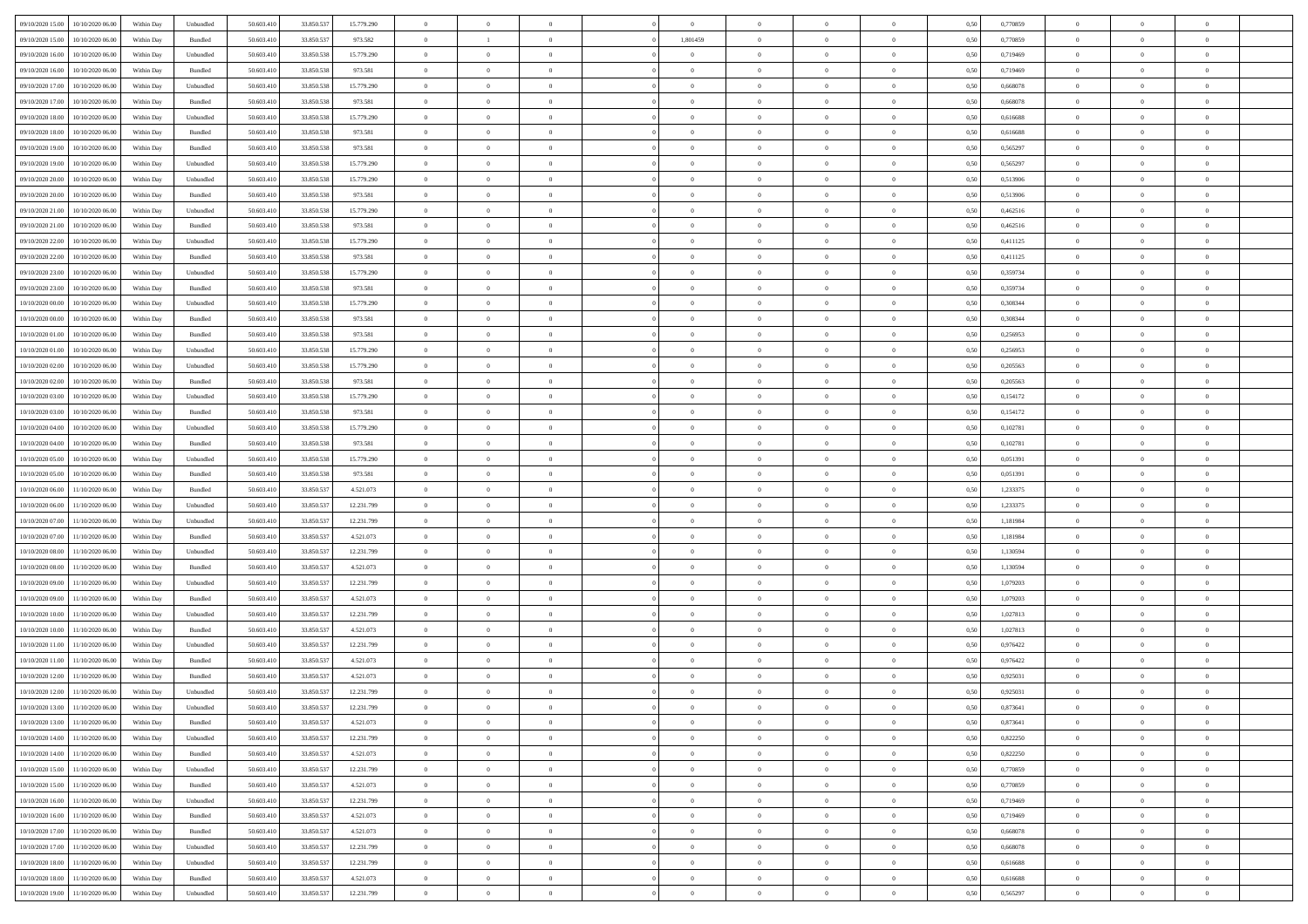| 09/10/2020 15:00                  | 10/10/2020 06:00 | Within Day | Unbundled                   | 50.603.410 | 33.850.537 | 15.779.290 | $\overline{0}$ | $\theta$       |                |                | $\bf{0}$       | $\overline{0}$ | $\theta$       | 0,50 | 0,770859 | $\theta$       | $\theta$       | $\overline{0}$           |  |
|-----------------------------------|------------------|------------|-----------------------------|------------|------------|------------|----------------|----------------|----------------|----------------|----------------|----------------|----------------|------|----------|----------------|----------------|--------------------------|--|
| 09/10/2020 15:00                  | 10/10/2020 06.00 | Within Day | Bundled                     | 50.603.41  | 33.850.537 | 973.582    | $\overline{0}$ | <sup>1</sup>   | $\overline{0}$ | 1,801459       | $\,$ 0         | $\bf{0}$       | $\bf{0}$       | 0,50 | 0,770859 | $\,$ 0 $\,$    | $\overline{0}$ | $\overline{0}$           |  |
|                                   |                  |            |                             |            |            |            |                |                |                |                |                |                |                |      |          |                |                |                          |  |
| 09/10/2020 16:00                  | 10/10/2020 06:00 | Within Day | Unbundled                   | 50.603.410 | 33.850.538 | 15.779.290 | $\overline{0}$ | $\overline{0}$ | $\overline{0}$ | $\overline{0}$ | $\bf{0}$       | $\overline{0}$ | $\mathbf{0}$   | 0.50 | 0,719469 | $\bf{0}$       | $\overline{0}$ | $\overline{0}$           |  |
| 09/10/2020 16:00                  | 10/10/2020 06:00 | Within Day | Bundled                     | 50.603.410 | 33.850.538 | 973.581    | $\overline{0}$ | $\overline{0}$ | $\overline{0}$ | $\overline{0}$ | $\bf{0}$       | $\overline{0}$ | $\overline{0}$ | 0,50 | 0,719469 | $\,$ 0 $\,$    | $\overline{0}$ | $\overline{0}$           |  |
| 09/10/2020 17.00                  | 10/10/2020 06.00 | Within Day | Unbundled                   | 50.603.41  | 33.850.538 | 15.779.290 | $\overline{0}$ | $\theta$       | $\overline{0}$ |                | $\overline{0}$ | $\overline{0}$ | $\bf{0}$       | 0,50 | 0,668078 | $\,$ 0 $\,$    | $\overline{0}$ | $\overline{0}$           |  |
| 09/10/2020 17:00                  | 10/10/2020 06:00 | Within Day | Bundled                     | 50.603.410 | 33,850,538 | 973.581    | $\overline{0}$ | $\overline{0}$ | $\overline{0}$ | $\overline{0}$ | $\bf{0}$       | $\overline{0}$ | $\bf{0}$       | 0.50 | 0.668078 | $\,0\,$        | $\theta$       | $\overline{0}$           |  |
| 09/10/2020 18:00                  | 10/10/2020 06:00 | Within Day | Unbundled                   | 50.603.410 | 33.850.538 | 15.779.290 | $\overline{0}$ | $\overline{0}$ | $\overline{0}$ | $\overline{0}$ | $\,$ 0         | $\overline{0}$ | $\overline{0}$ | 0,50 | 0,616688 | $\,$ 0 $\,$    | $\theta$       | $\overline{0}$           |  |
| 09/10/2020 18:00                  | 10/10/2020 06:00 | Within Day | Bundled                     | 50.603.41  | 33.850.538 | 973.581    | $\overline{0}$ | $\theta$       | $\overline{0}$ |                | $\,$ 0         | $\overline{0}$ | $\bf{0}$       | 0,50 | 0,616688 | $\,$ 0 $\,$    | $\overline{0}$ | $\overline{0}$           |  |
| 09/10/2020 19:00                  | 10/10/2020 06:00 | Within Day | Bundled                     | 50.603.410 | 33,850,538 | 973.581    | $\overline{0}$ | $\overline{0}$ | $\overline{0}$ | $\overline{0}$ | $\bf{0}$       | $\overline{0}$ | $\bf{0}$       | 0.50 | 0.565297 | $\,0\,$        | $\overline{0}$ | $\overline{0}$           |  |
| 09/10/2020 19:00                  | 10/10/2020 06:00 | Within Day | Unbundled                   | 50.603.410 | 33.850.538 | 15.779.290 | $\overline{0}$ | $\overline{0}$ | $\overline{0}$ | $\overline{0}$ | $\bf{0}$       | $\overline{0}$ | $\bf{0}$       | 0,50 | 0,565297 | $\,$ 0 $\,$    | $\overline{0}$ | $\overline{0}$           |  |
| 09/10/2020 20:00                  | 10/10/2020 06.00 | Within Day | Unbundled                   | 50.603.41  | 33.850.538 | 15.779.290 | $\bf{0}$       | $\theta$       | $\overline{0}$ |                | $\,$ 0         | $\overline{0}$ | $\bf{0}$       | 0,50 | 0,513906 | $\,$ 0 $\,$    | $\overline{0}$ | $\overline{0}$           |  |
|                                   |                  |            |                             |            |            |            |                |                |                |                |                |                |                |      |          |                |                |                          |  |
| 09/10/2020 20:00                  | 10/10/2020 06:00 | Within Day | Bundled                     | 50.603.410 | 33,850,538 | 973.581    | $\overline{0}$ | $\overline{0}$ | $\overline{0}$ | $\overline{0}$ | $\bf{0}$       | $\overline{0}$ | $\mathbf{0}$   | 0.50 | 0,513906 | $\,$ 0 $\,$    | $\overline{0}$ | $\bf{0}$                 |  |
| 09/10/2020 21.00                  | 10/10/2020 06:00 | Within Day | Unbundled                   | 50.603.410 | 33.850.538 | 15.779.290 | $\overline{0}$ | $\overline{0}$ | $\overline{0}$ | $\overline{0}$ | $\bf{0}$       | $\overline{0}$ | $\overline{0}$ | 0,50 | 0,462516 | $\,$ 0 $\,$    | $\overline{0}$ | $\overline{0}$           |  |
| 09/10/2020 21.00                  | 10/10/2020 06:00 | Within Day | Bundled                     | 50.603.41  | 33.850.538 | 973.581    | $\overline{0}$ | $\theta$       | $\overline{0}$ |                | $\bf{0}$       | $\overline{0}$ | $\bf{0}$       | 0,50 | 0,462516 | $\,$ 0 $\,$    | $\overline{0}$ | $\overline{0}$           |  |
| 09/10/2020 22.00                  | 10/10/2020 06:00 | Within Day | Unbundled                   | 50.603.410 | 33,850,538 | 15.779.290 | $\overline{0}$ | $\overline{0}$ | $\overline{0}$ | $\overline{0}$ | $\bf{0}$       | $\overline{0}$ | $\bf{0}$       | 0.50 | 0,411125 | $\,0\,$        | $\theta$       | $\overline{0}$           |  |
| 09/10/2020 22.00                  | 10/10/2020 06:00 | Within Day | Bundled                     | 50.603.410 | 33.850.538 | 973.581    | $\overline{0}$ | $\overline{0}$ | $\overline{0}$ | $\overline{0}$ | $\bf{0}$       | $\overline{0}$ | $\overline{0}$ | 0,50 | 0,411125 | $\,0\,$        | $\theta$       | $\overline{0}$           |  |
| 09/10/2020 23.00                  | 10/10/2020 06.00 | Within Day | Unbundled                   | 50.603.41  | 33.850.538 | 15.779.290 | $\overline{0}$ | $\theta$       | $\overline{0}$ |                | $\,$ 0         | $\overline{0}$ | $\bf{0}$       | 0,50 | 0,359734 | $\,$ 0 $\,$    | $\overline{0}$ | $\overline{0}$           |  |
| 09/10/2020 23.00                  | 10/10/2020 06:00 | Within Day | Bundled                     | 50.603.410 | 33,850,538 | 973.581    | $\overline{0}$ | $\overline{0}$ | $\overline{0}$ | $\overline{0}$ | $\bf{0}$       | $\overline{0}$ | $\bf{0}$       | 0.50 | 0.359734 | $\,0\,$        | $\overline{0}$ | $\overline{\phantom{a}}$ |  |
| 10/10/2020 00:00                  | 10/10/2020 06:00 | Within Day | Unbundled                   | 50.603.410 | 33.850.538 | 15.779.290 | $\overline{0}$ | $\overline{0}$ | $\overline{0}$ | $\overline{0}$ | $\,$ 0         | $\overline{0}$ | $\overline{0}$ | 0,50 | 0,308344 | $\,$ 0 $\,$    | $\overline{0}$ | $\overline{0}$           |  |
| 10/10/2020 00:00                  | 10/10/2020 06:00 | Within Day | Bundled                     | 50.603.41  | 33.850.538 | 973.581    | $\bf{0}$       | $\,$ 0 $\,$    | $\overline{0}$ | $\overline{0}$ | $\,$ 0         | $\overline{0}$ | $\bf{0}$       | 0,50 | 0,308344 | $\,$ 0 $\,$    | $\overline{0}$ | $\overline{0}$           |  |
|                                   |                  |            |                             |            |            |            |                |                |                |                |                |                |                |      |          |                |                |                          |  |
| 10/10/2020 01:00                  | 10/10/2020 06:00 | Within Day | Bundled                     | 50.603.410 | 33.850.538 | 973.581    | $\overline{0}$ | $\overline{0}$ | $\overline{0}$ | $\overline{0}$ | $\bf{0}$       | $\overline{0}$ | $\mathbf{0}$   | 0.50 | 0,256953 | $\bf{0}$       | $\overline{0}$ | $\overline{\phantom{a}}$ |  |
| 10/10/2020 01:00                  | 10/10/2020 06:00 | Within Day | Unbundled                   | 50.603.410 | 33.850.538 | 15.779.290 | $\overline{0}$ | $\overline{0}$ | $\overline{0}$ | $\overline{0}$ | $\bf{0}$       | $\overline{0}$ | $\overline{0}$ | 0,50 | 0,256953 | $\,$ 0 $\,$    | $\overline{0}$ | $\overline{0}$           |  |
| 10/10/2020 02.00                  | 10/10/2020 06.00 | Within Day | Unbundled                   | 50.603.41  | 33.850.538 | 15.779.290 | $\overline{0}$ | $\theta$       | $\overline{0}$ | $\overline{0}$ | $\,$ 0         | $\overline{0}$ | $\bf{0}$       | 0,50 | 0,205563 | $\,$ 0 $\,$    | $\overline{0}$ | $\overline{0}$           |  |
| 10/10/2020 02:00                  | 10/10/2020 06:00 | Within Day | Bundled                     | 50.603.410 | 33,850,538 | 973.581    | $\overline{0}$ | $\overline{0}$ | $\overline{0}$ | $\overline{0}$ | $\bf{0}$       | $\overline{0}$ | $\bf{0}$       | 0.50 | 0.205563 | $\,0\,$        | $\theta$       | $\overline{0}$           |  |
| 10/10/2020 03:00                  | 10/10/2020 06:00 | Within Day | Unbundled                   | 50.603.410 | 33.850.538 | 15.779.290 | $\overline{0}$ | $\overline{0}$ | $\overline{0}$ | $\overline{0}$ | $\bf{0}$       | $\overline{0}$ | $\overline{0}$ | 0,50 | 0,154172 | $\,0\,$        | $\theta$       | $\overline{0}$           |  |
| 10/10/2020 03:00                  | 10/10/2020 06:00 | Within Day | Bundled                     | 50.603.41  | 33.850.538 | 973.581    | $\overline{0}$ | $\theta$       | $\overline{0}$ |                | $\,$ 0         | $\overline{0}$ | $\bf{0}$       | 0,50 | 0,154172 | $\,$ 0 $\,$    | $\overline{0}$ | $\overline{0}$           |  |
| 10/10/2020 04:00                  | 10/10/2020 06:00 | Within Day | Unbundled                   | 50.603.410 | 33,850,538 | 15,779.290 | $\overline{0}$ | $\overline{0}$ | $\overline{0}$ | $\overline{0}$ | $\bf{0}$       | $\overline{0}$ | $\bf{0}$       | 0.50 | 0.102781 | $\,0\,$        | $\overline{0}$ | $\overline{0}$           |  |
| 10/10/2020 04:00                  | 10/10/2020 06:00 | Within Day | Bundled                     | 50.603.410 | 33.850.538 | 973.581    | $\overline{0}$ | $\overline{0}$ | $\overline{0}$ | $\overline{0}$ | $\bf{0}$       | $\overline{0}$ | $\bf{0}$       | 0,50 | 0,102781 | $\,$ 0 $\,$    | $\overline{0}$ | $\overline{0}$           |  |
| 10/10/2020 05:00                  | 10/10/2020 06.00 | Within Day | Unbundled                   | 50.603.41  | 33.850.538 | 15.779.290 | $\bf{0}$       | $\overline{0}$ | $\overline{0}$ | $\overline{0}$ | $\,$ 0         | $\bf{0}$       | $\bf{0}$       | 0,50 | 0,051391 | $\,$ 0 $\,$    | $\overline{0}$ | $\overline{0}$           |  |
|                                   |                  |            |                             |            |            |            |                |                |                |                |                |                |                |      |          |                |                |                          |  |
| 10/10/2020 05:00                  | 10/10/2020 06:00 | Within Day | Bundled                     | 50.603.410 | 33,850,538 | 973.581    | $\overline{0}$ | $\bf{0}$       | $\overline{0}$ | $\overline{0}$ | $\bf{0}$       | $\overline{0}$ | $\mathbf{0}$   | 0.50 | 0.051391 | $\,$ 0 $\,$    | $\overline{0}$ | $\bf{0}$                 |  |
| 10/10/2020 06:00                  | 11/10/2020 06:00 | Within Dav | Bundled                     | 50.603.410 | 33.850.537 | 4.521.073  | $\overline{0}$ | $\overline{0}$ | $\theta$       | $\overline{0}$ | $\overline{0}$ | $\overline{0}$ | $\overline{0}$ | 0.50 | 1,233375 | $\theta$       | $\overline{0}$ | $\overline{0}$           |  |
| 10/10/2020 06.00                  | 11/10/2020 06.00 | Within Day | Unbundled                   | 50.603.41  | 33.850.537 | 12.231.799 | $\overline{0}$ | $\theta$       | $\overline{0}$ |                | $\,$ 0         | $\overline{0}$ | $\bf{0}$       | 0,50 | 1,233375 | $\,$ 0 $\,$    | $\overline{0}$ | $\overline{0}$           |  |
| 10/10/2020 07:00                  | 11/10/2020 06:00 | Within Day | Unbundled                   | 50.603.410 | 33.850.537 | 12.231.799 | $\overline{0}$ | $\overline{0}$ | $\overline{0}$ | $\overline{0}$ | $\bf{0}$       | $\overline{0}$ | $\bf{0}$       | 0.50 | 1.181984 | $\,0\,$        | $\overline{0}$ | $\overline{0}$           |  |
| 10/10/2020 07:00                  | 11/10/2020 06:00 | Within Dav | Bundled                     | 50.603.410 | 33.850.537 | 4.521.073  | $\overline{0}$ | $\overline{0}$ | $\Omega$       | $\Omega$       | $\mathbf{0}$   | $\overline{0}$ | $\overline{0}$ | 0.50 | 1,181984 | $\theta$       | $\overline{0}$ | $\overline{0}$           |  |
| 10/10/2020 08:00                  | 11/10/2020 06.00 | Within Day | Unbundled                   | 50.603.41  | 33.850.537 | 12.231.799 | $\overline{0}$ | $\theta$       | $\overline{0}$ |                | $\,$ 0         | $\overline{0}$ | $\bf{0}$       | 0,50 | 1,130594 | $\,$ 0 $\,$    | $\overline{0}$ | $\overline{0}$           |  |
| 10/10/2020 08:00                  | 11/10/2020 06:00 | Within Day | Bundled                     | 50.603.410 | 33,850.537 | 4.521.073  | $\overline{0}$ | $\overline{0}$ | $\overline{0}$ | $\overline{0}$ | $\bf{0}$       | $\overline{0}$ | $\bf{0}$       | 0.50 | 1.130594 | $\,0\,$        | $\overline{0}$ | $\overline{0}$           |  |
| 10/10/2020 09:00                  | 11/10/2020 06.00 | Within Dav | Unbundled                   | 50.603.410 | 33.850.537 | 12.231.799 | $\overline{0}$ | $\overline{0}$ | $\overline{0}$ | $\overline{0}$ | $\overline{0}$ | $\overline{0}$ | $\overline{0}$ | 0.50 | 1,079203 | $\theta$       | $\overline{0}$ | $\overline{0}$           |  |
| 10/10/2020 09:00                  | 11/10/2020 06.00 | Within Day | Bundled                     | 50.603.41  | 33.850.537 | 4.521.073  | $\overline{0}$ | $\overline{0}$ | $\overline{0}$ | $\overline{0}$ | $\bf{0}$       | $\bf{0}$       | $\bf{0}$       | 0,50 | 1,079203 | $\,$ 0 $\,$    | $\overline{0}$ | $\overline{0}$           |  |
| 10/10/2020 10:00                  | 11/10/2020 06:00 | Within Day | Unbundled                   | 50.603.410 | 33.850.537 | 12.231.799 | $\overline{0}$ | $\overline{0}$ | $\overline{0}$ | $\overline{0}$ | $\bf{0}$       | $\overline{0}$ | $\mathbf{0}$   | 0.50 | 1,027813 | $\,$ 0 $\,$    | $\overline{0}$ | $\overline{0}$           |  |
|                                   |                  |            |                             |            |            |            |                | $\overline{0}$ | $\Omega$       | $\Omega$       | $\mathbf{0}$   |                |                |      |          | $\theta$       | $\overline{0}$ | $\overline{0}$           |  |
| 10/10/2020 10:00                  | 11/10/2020 06.00 | Within Dav | Bundled                     | 50.603.410 | 33.850.537 | 4.521.073  | $\overline{0}$ |                |                |                |                | $\overline{0}$ | $\overline{0}$ | 0.50 | 1,027813 |                |                |                          |  |
| 10/10/2020 11:00                  | 11/10/2020 06.00 | Within Day | Unbundled                   | 50.603.41  | 33.850.537 | 12.231.799 | $\overline{0}$ | $\theta$       | $\overline{0}$ | $\overline{0}$ | $\,$ 0         | $\overline{0}$ | $\bf{0}$       | 0,50 | 0,976422 | $\,$ 0 $\,$    | $\overline{0}$ | $\overline{0}$           |  |
| 10/10/2020 11:00                  | 11/10/2020 06:00 | Within Day | Bundled                     | 50.603.410 | 33.850.537 | 4.521.073  | $\overline{0}$ | $\overline{0}$ | $\overline{0}$ | $\overline{0}$ | $\bf{0}$       | $\overline{0}$ | $\overline{0}$ | 0.50 | 0.976422 | $\,0\,$        | $\theta$       | $\overline{0}$           |  |
| 10/10/2020 12:00                  | 11/10/2020 06:00 | Within Dav | Bundled                     | 50.603.410 | 33.850.537 | 4.521.073  | $\overline{0}$ | $\Omega$       | $\Omega$       | $\Omega$       | $\bf{0}$       | $\overline{0}$ | $\theta$       | 0.50 | 0,925031 | $\theta$       | $\overline{0}$ | $\overline{0}$           |  |
| 10/10/2020 12:00                  | 11/10/2020 06.00 | Within Day | Unbundled                   | 50.603.410 | 33.850.537 | 12.231.799 | $\bf{0}$       | $\overline{0}$ | $\overline{0}$ | $\bf{0}$       | $\,$ 0         | $\overline{0}$ | $\bf{0}$       | 0,50 | 0,925031 | $\,$ 0 $\,$    | $\overline{0}$ | $\overline{0}$           |  |
| 10/10/2020 13:00 11/10/2020 06:00 |                  | Within Day | $\ensuremath{\mathsf{Unb}}$ | 50.603.410 | 33.850.537 | 12.231.799 | $\bf{0}$       | $\bf{0}$       |                | $^{\circ}$     |                |                |                | 0.50 | 0,873641 | $\,$ 0         | $\theta$       |                          |  |
| 10/10/2020 13:00 11/10/2020 06:00 |                  | Within Day | Bundled                     | 50.603.410 | 33.850.537 | 4.521.073  | $\Omega$       | $\overline{0}$ | $\Omega$       | $\Omega$       | $\mathbf{0}$   | $\overline{0}$ | $\mathbf{0}$   | 0,50 | 0,873641 | $\theta$       | $\theta$       | $\overline{0}$           |  |
| 10/10/2020 14:00                  | 11/10/2020 06.00 | Within Day | Unbundled                   | 50.603.41  | 33.850.537 | 12.231.799 | $\bf{0}$       | $\overline{0}$ | $\overline{0}$ | $\bf{0}$       | $\overline{0}$ | $\overline{0}$ | $\mathbf{0}$   | 0,50 | 0,822250 | $\bf{0}$       | $\overline{0}$ | $\bf{0}$                 |  |
| 10/10/2020 14:00                  | 11/10/2020 06.00 | Within Day | Bundled                     | 50,603.410 | 33.850.537 | 4.521.073  | $\overline{0}$ | $\overline{0}$ | $\overline{0}$ | $\overline{0}$ | $\bf{0}$       | $\overline{0}$ | $\mathbf{0}$   | 0.50 | 0,822250 | $\overline{0}$ | $\bf{0}$       | $\bf{0}$                 |  |
|                                   |                  |            |                             |            |            |            |                | $\overline{0}$ |                |                | $\overline{0}$ |                |                |      |          | $\overline{0}$ | $\theta$       | $\overline{0}$           |  |
| 10/10/2020 15:00                  | 11/10/2020 06:00 | Within Day | Unbundled                   | 50.603.410 | 33.850.537 | 12.231.799 | $\overline{0}$ |                | $\overline{0}$ | $\overline{0}$ |                | $\overline{0}$ | $\mathbf{0}$   | 0.50 | 0,770859 |                |                |                          |  |
| 10/10/2020 15:00                  | 11/10/2020 06.00 | Within Day | Bundled                     | 50.603.410 | 33.850.537 | 4.521.073  | $\bf{0}$       | $\overline{0}$ | $\overline{0}$ | $\overline{0}$ | $\bf{0}$       | $\bf{0}$       | $\bf{0}$       | 0,50 | 0,770859 | $\bf{0}$       | $\overline{0}$ | $\overline{0}$           |  |
| 10/10/2020 16:00                  | 11/10/2020 06:00 | Within Day | Unbundled                   | 50.603.410 | 33.850.537 | 12.231.799 | $\overline{0}$ | $\overline{0}$ | $\overline{0}$ | $\overline{0}$ | $\bf{0}$       | $\overline{0}$ | $\mathbf{0}$   | 0.50 | 0.719469 | $\,$ 0 $\,$    | $\overline{0}$ | $\overline{0}$           |  |
| 10/10/2020 16:00                  | 11/10/2020 06:00 | Within Day | Bundled                     | 50.603.410 | 33.850.537 | 4.521.073  | $\overline{0}$ | $\overline{0}$ | $\overline{0}$ | $\overline{0}$ | $\overline{0}$ | $\overline{0}$ | $\overline{0}$ | 0.50 | 0,719469 | $\overline{0}$ | $\theta$       | $\overline{0}$           |  |
| 10/10/2020 17:00                  | 11/10/2020 06.00 | Within Day | Bundled                     | 50.603.41  | 33.850.537 | 4.521.073  | $\overline{0}$ | $\,$ 0         | $\overline{0}$ | $\bf{0}$       | $\,$ 0 $\,$    | $\bf{0}$       | $\bf{0}$       | 0,50 | 0,668078 | $\,$ 0 $\,$    | $\overline{0}$ | $\,$ 0                   |  |
| 10/10/2020 17:00                  | 11/10/2020 06:00 | Within Day | Unbundled                   | 50.603.410 | 33.850.537 | 12.231.799 | $\overline{0}$ | $\overline{0}$ | $\overline{0}$ | $\overline{0}$ | $\bf{0}$       | $\overline{0}$ | $\mathbf{0}$   | 0.50 | 0.668078 | $\mathbf{0}$   | $\bf{0}$       | $\overline{0}$           |  |
| 10/10/2020 18:00                  | 11/10/2020 06:00 | Within Day | Unbundled                   | 50.603.410 | 33.850.537 | 12.231.799 | $\overline{0}$ | $\overline{0}$ | $\overline{0}$ | $\overline{0}$ | $\overline{0}$ | $\overline{0}$ | $\overline{0}$ | 0,50 | 0,616688 | $\overline{0}$ | $\theta$       | $\overline{0}$           |  |
| 10/10/2020 18:00                  | 11/10/2020 06.00 | Within Day | Bundled                     | 50.603.41  | 33.850.537 | 4.521.073  | $\overline{0}$ | $\overline{0}$ | $\overline{0}$ | $\bf{0}$       | $\bf{0}$       | $\bf{0}$       | $\bf{0}$       | 0,50 | 0,616688 | $\bf{0}$       | $\overline{0}$ | $\bf{0}$                 |  |
|                                   |                  |            |                             |            |            |            | $\overline{0}$ |                |                |                |                | $\overline{0}$ |                |      |          | $\overline{0}$ | $\,$ 0 $\,$    | $\,$ 0 $\,$              |  |
| 10/10/2020 19:00 11/10/2020 06:00 |                  | Within Day | Unbundled                   | 50.603.410 | 33.850.537 | 12.231.799 |                | $\overline{0}$ | $\overline{0}$ | $\overline{0}$ | $\bf{0}$       |                | $\,$ 0 $\,$    | 0,50 | 0,565297 |                |                |                          |  |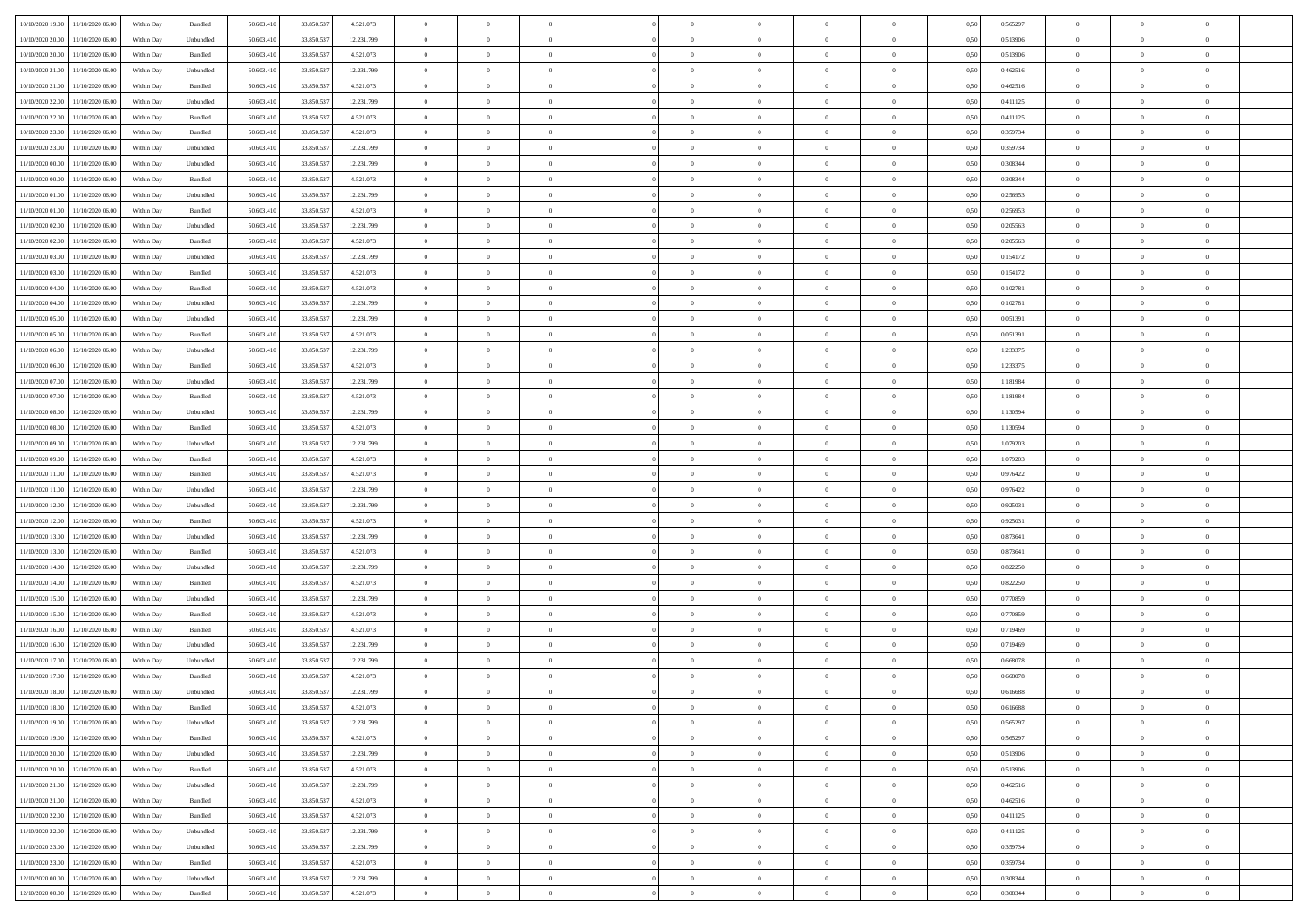| 10/10/2020 19:00                  | 11/10/2020 06:00                  | Within Day | Bundled   | 50.603.410 | 33.850.537 | 4.521.073  | $\overline{0}$ | $\theta$       |                | $\overline{0}$ | $\bf{0}$       | $\overline{0}$ | $\theta$       | 0,50 | 0,565297 | $\theta$       | $\theta$       | $\overline{0}$           |  |
|-----------------------------------|-----------------------------------|------------|-----------|------------|------------|------------|----------------|----------------|----------------|----------------|----------------|----------------|----------------|------|----------|----------------|----------------|--------------------------|--|
| 10/10/2020 20:00                  | 11/10/2020 06.00                  | Within Day | Unbundled | 50.603.41  | 33.850.537 | 12.231.799 | $\overline{0}$ | $\theta$       | $\overline{0}$ | $\overline{0}$ | $\,$ 0         | $\bf{0}$       | $\bf{0}$       | 0,50 | 0,513906 | $\,$ 0 $\,$    | $\overline{0}$ | $\overline{0}$           |  |
|                                   |                                   |            |           |            |            |            |                |                |                |                |                |                |                |      |          |                |                |                          |  |
| 10/10/2020 20:00                  | 11/10/2020 06:00                  | Within Day | Bundled   | 50.603.410 | 33.850.537 | 4.521.073  | $\overline{0}$ | $\overline{0}$ | $\overline{0}$ | $\overline{0}$ | $\bf{0}$       | $\overline{0}$ | $\mathbf{0}$   | 0.50 | 0,513906 | $\bf{0}$       | $\overline{0}$ | $\overline{0}$           |  |
| 10/10/2020 21:00                  | 11/10/2020 06.00                  | Within Day | Unbundled | 50.603.410 | 33.850.537 | 12.231.799 | $\overline{0}$ | $\overline{0}$ | $\overline{0}$ | $\overline{0}$ | $\bf{0}$       | $\overline{0}$ | $\overline{0}$ | 0,50 | 0,462516 | $\,$ 0 $\,$    | $\overline{0}$ | $\overline{0}$           |  |
| 10/10/2020 21.00                  | 11/10/2020 06.00                  | Within Day | Bundled   | 50.603.41  | 33.850.537 | 4.521.073  | $\overline{0}$ | $\theta$       | $\overline{0}$ |                | $\overline{0}$ | $\overline{0}$ | $\bf{0}$       | 0,50 | 0,462516 | $\,$ 0 $\,$    | $\overline{0}$ | $\overline{0}$           |  |
| 10/10/2020 22:00                  | 11/10/2020 06:00                  | Within Day | Unbundled | 50.603.410 | 33,850,53  | 12.231.799 | $\overline{0}$ | $\overline{0}$ | $\overline{0}$ | $\overline{0}$ | $\bf{0}$       | $\overline{0}$ | $\overline{0}$ | 0.50 | 0,411125 | $\,0\,$        | $\theta$       | $\overline{0}$           |  |
| 10/10/2020 22.00                  | 11/10/2020 06.00                  | Within Day | Bundled   | 50.603.410 | 33.850.537 | 4.521.073  | $\overline{0}$ | $\overline{0}$ | $\overline{0}$ | $\overline{0}$ | $\,$ 0         | $\overline{0}$ | $\overline{0}$ | 0,50 | 0,411125 | $\,$ 0 $\,$    | $\theta$       | $\overline{0}$           |  |
| 10/10/2020 23.00                  | 11/10/2020 06.00                  | Within Day | Bundled   | 50.603.41  | 33.850.53  | 4.521.073  | $\overline{0}$ | $\theta$       | $\overline{0}$ |                | $\bf{0}$       | $\overline{0}$ | $\bf{0}$       | 0,50 | 0,359734 | $\,$ 0 $\,$    | $\overline{0}$ | $\overline{0}$           |  |
| 10/10/2020 23:00                  | 11/10/2020 06:00                  | Within Day | Unbundled | 50.603.410 | 33,850,53  | 12.231.799 | $\overline{0}$ | $\overline{0}$ | $\overline{0}$ | $\overline{0}$ | $\bf{0}$       | $\overline{0}$ | $\bf{0}$       | 0.50 | 0.359734 | $\,0\,$        | $\overline{0}$ | $\overline{0}$           |  |
| 11/10/2020 00:00                  | 11/10/2020 06.00                  | Within Day | Unbundled | 50.603.410 | 33.850.537 | 12.231.799 | $\overline{0}$ | $\overline{0}$ | $\overline{0}$ | $\overline{0}$ | $\,$ 0         | $\overline{0}$ | $\bf{0}$       | 0,50 | 0,308344 | $\,$ 0 $\,$    | $\overline{0}$ | $\overline{0}$           |  |
| 11/10/2020 00:00                  | 11/10/2020 06.00                  | Within Day | Bundled   | 50.603.41  | 33.850.537 | 4.521.073  | $\bf{0}$       | $\theta$       | $\overline{0}$ |                | $\,$ 0         | $\overline{0}$ | $\bf{0}$       | 0,50 | 0,308344 | $\,$ 0 $\,$    | $\overline{0}$ | $\overline{0}$           |  |
|                                   |                                   |            |           |            |            |            |                |                |                |                |                |                |                |      |          |                |                |                          |  |
| 11/10/2020 01:00                  | 11/10/2020 06:00                  | Within Day | Unbundled | 50.603.410 | 33.850.537 | 12.231.799 | $\overline{0}$ | $\overline{0}$ | $\overline{0}$ | $\overline{0}$ | $\bf{0}$       | $\overline{0}$ | $\mathbf{0}$   | 0.50 | 0,256953 | $\bf{0}$       | $\overline{0}$ | $\bf{0}$                 |  |
| 11/10/2020 01:00                  | 11/10/2020 06.00                  | Within Day | Bundled   | 50.603.410 | 33.850.537 | 4.521.073  | $\overline{0}$ | $\overline{0}$ | $\overline{0}$ | $\overline{0}$ | $\bf{0}$       | $\overline{0}$ | $\overline{0}$ | 0,50 | 0,256953 | $\,$ 0 $\,$    | $\overline{0}$ | $\overline{0}$           |  |
| 11/10/2020 02.00                  | 11/10/2020 06.00                  | Within Day | Unbundled | 50.603.41  | 33.850.537 | 12.231.799 | $\overline{0}$ | $\theta$       | $\overline{0}$ |                | $\overline{0}$ | $\overline{0}$ | $\bf{0}$       | 0,50 | 0,205563 | $\,$ 0 $\,$    | $\overline{0}$ | $\overline{0}$           |  |
| 11/10/2020 02:00                  | 11/10/2020 06:00                  | Within Day | Bundled   | 50.603.410 | 33,850.537 | 4.521.073  | $\overline{0}$ | $\overline{0}$ | $\overline{0}$ | $\overline{0}$ | $\,$ 0         | $\theta$       | $\overline{0}$ | 0.50 | 0.205563 | $\,0\,$        | $\theta$       | $\overline{0}$           |  |
| 11/10/2020 03:00                  | 11/10/2020 06.00                  | Within Day | Unbundled | 50.603.410 | 33.850.537 | 12.231.799 | $\overline{0}$ | $\overline{0}$ | $\overline{0}$ | $\overline{0}$ | $\bf{0}$       | $\overline{0}$ | $\overline{0}$ | 0,50 | 0,154172 | $\,0\,$        | $\theta$       | $\overline{0}$           |  |
| 11/10/2020 03:00                  | 11/10/2020 06.00                  | Within Day | Bundled   | 50.603.41  | 33.850.537 | 4.521.073  | $\overline{0}$ | $\theta$       | $\overline{0}$ |                | $\,$ 0         | $\overline{0}$ | $\bf{0}$       | 0,50 | 0,154172 | $\,$ 0 $\,$    | $\overline{0}$ | $\overline{0}$           |  |
| 11/10/2020 04:00                  | 11/10/2020 06:00                  | Within Day | Bundled   | 50.603.410 | 33,850,53  | 4.521.073  | $\overline{0}$ | $\overline{0}$ | $\overline{0}$ | $\overline{0}$ | $\bf{0}$       | $\overline{0}$ | $\bf{0}$       | 0.50 | 0.102781 | $\,0\,$        | $\overline{0}$ | $\overline{0}$           |  |
| 11/10/2020 04:00                  | 11/10/2020 06.00                  | Within Day | Unbundled | 50.603.410 | 33.850.537 | 12.231.799 | $\overline{0}$ | $\overline{0}$ | $\overline{0}$ | $\overline{0}$ | $\,$ 0         | $\overline{0}$ | $\overline{0}$ | 0,50 | 0,102781 | $\,$ 0 $\,$    | $\overline{0}$ | $\overline{0}$           |  |
| 11/10/2020 05:00                  | 11/10/2020 06.00                  | Within Day | Unbundled | 50.603.41  | 33.850.537 | 12.231.799 | $\bf{0}$       | $\,$ 0 $\,$    | $\overline{0}$ | $\overline{0}$ | $\,$ 0         | $\overline{0}$ | $\bf{0}$       | 0,50 | 0,051391 | $\,$ 0 $\,$    | $\overline{0}$ | $\overline{0}$           |  |
|                                   |                                   |            |           |            |            |            |                |                |                |                |                |                |                |      |          |                |                |                          |  |
| 11/10/2020 05:00                  | 11/10/2020 06:00                  | Within Day | Bundled   | 50.603.410 | 33.850.537 | 4.521.073  | $\overline{0}$ | $\overline{0}$ | $\overline{0}$ | $\overline{0}$ | $\bf{0}$       | $\overline{0}$ | $\mathbf{0}$   | 0.50 | 0.051391 | $\,$ 0 $\,$    | $\overline{0}$ | $\overline{0}$           |  |
| 11/10/2020 06.00                  | 12/10/2020 06.00                  | Within Day | Unbundled | 50.603.410 | 33.850.537 | 12.231.799 | $\overline{0}$ | $\overline{0}$ | $\overline{0}$ | $\overline{0}$ | $\bf{0}$       | $\overline{0}$ | $\overline{0}$ | 0,50 | 1,233375 | $\,$ 0 $\,$    | $\overline{0}$ | $\overline{0}$           |  |
| 11/10/2020 06.00                  | 12/10/2020 06.00                  | Within Day | Bundled   | 50.603.41  | 33.850.537 | 4.521.073  | $\overline{0}$ | $\theta$       | $\overline{0}$ |                | $\,$ 0         | $\overline{0}$ | $\bf{0}$       | 0,50 | 1,233375 | $\,$ 0 $\,$    | $\overline{0}$ | $\overline{0}$           |  |
| 11/10/2020 07:00                  | 12/10/2020 06:00                  | Within Day | Unbundled | 50.603.410 | 33,850.537 | 12.231.799 | $\overline{0}$ | $\overline{0}$ | $\overline{0}$ | $\overline{0}$ | $\bf{0}$       | $\overline{0}$ | $\bf{0}$       | 0.50 | 1.181984 | $\,0\,$        | $\theta$       | $\overline{0}$           |  |
| 11/10/2020 07.00                  | 12/10/2020 06:00                  | Within Day | Bundled   | 50.603.410 | 33.850.537 | 4.521.073  | $\overline{0}$ | $\theta$       | $\overline{0}$ | $\overline{0}$ | $\bf{0}$       | $\overline{0}$ | $\overline{0}$ | 0,50 | 1,181984 | $\,0\,$        | $\theta$       | $\overline{0}$           |  |
| 11/10/2020 08:00                  | 12/10/2020 06.00                  | Within Day | Unbundled | 50.603.41  | 33.850.53  | 12.231.799 | $\overline{0}$ | $\theta$       | $\overline{0}$ |                | $\bf{0}$       | $\overline{0}$ | $\bf{0}$       | 0,50 | 1,130594 | $\,$ 0 $\,$    | $\overline{0}$ | $\overline{0}$           |  |
| 11/10/2020 08:00                  | 12/10/2020 06:00                  | Within Day | Bundled   | 50.603.410 | 33,850,53  | 4.521.073  | $\overline{0}$ | $\overline{0}$ | $\overline{0}$ | $\overline{0}$ | $\bf{0}$       | $\overline{0}$ | $\bf{0}$       | 0.50 | 1.130594 | $\,0\,$        | $\overline{0}$ | $\overline{0}$           |  |
| 11/10/2020 09:00                  | 12/10/2020 06:00                  | Within Day | Unbundled | 50.603.410 | 33.850.537 | 12.231.799 | $\overline{0}$ | $\overline{0}$ | $\overline{0}$ | $\overline{0}$ | $\,$ 0         | $\overline{0}$ | $\bf{0}$       | 0,50 | 1,079203 | $\,$ 0 $\,$    | $\theta$       | $\overline{0}$           |  |
| 11/10/2020 09:00                  | 12/10/2020 06.00                  | Within Day | Bundled   | 50.603.41  | 33.850.537 | 4.521.073  | $\overline{0}$ | $\overline{0}$ | $\overline{0}$ | $\overline{0}$ | $\,$ 0         | $\bf{0}$       | $\bf{0}$       | 0,50 | 1,079203 | $\,$ 0 $\,$    | $\overline{0}$ | $\overline{0}$           |  |
|                                   | 12/10/2020 06:00                  | Within Day | Bundled   | 50.603.410 |            |            |                | $\overline{0}$ |                | $\overline{0}$ |                | $\overline{0}$ |                | 0.50 | 0.976422 | $\bf{0}$       | $\overline{0}$ | $\overline{\phantom{a}}$ |  |
| 11/10/2020 11:00                  |                                   |            |           |            | 33.850.537 | 4.521.073  | $\overline{0}$ |                | $\overline{0}$ |                | $\bf{0}$       |                | $\mathbf{0}$   |      |          |                |                |                          |  |
| 11/10/2020 11:00                  | 12/10/2020 06:00                  | Within Dav | Unbundled | 50.603.410 | 33.850.537 | 12.231.799 | $\overline{0}$ | $\overline{0}$ | $\theta$       | $\overline{0}$ | $\overline{0}$ | $\overline{0}$ | $\overline{0}$ | 0.50 | 0,976422 | $\theta$       | $\overline{0}$ | $\overline{0}$           |  |
| 11/10/2020 12.00                  | 12/10/2020 06.00                  | Within Day | Unbundled | 50.603.41  | 33.850.537 | 12.231.799 | $\overline{0}$ | $\theta$       | $\overline{0}$ |                | $\,$ 0         | $\overline{0}$ | $\bf{0}$       | 0,50 | 0,925031 | $\,$ 0 $\,$    | $\overline{0}$ | $\overline{0}$           |  |
| 11/10/2020 12:00                  | 12/10/2020 06:00                  | Within Day | Bundled   | 50.603.410 | 33.850.537 | 4.521.073  | $\overline{0}$ | $\overline{0}$ | $\overline{0}$ | $\overline{0}$ | $\bf{0}$       | $\overline{0}$ | $\bf{0}$       | 0.50 | 0.925031 | $\,0\,$        | $\theta$       | $\overline{0}$           |  |
| 11/10/2020 13:00                  | 12/10/2020 06:00                  | Within Dav | Unbundled | 50.603.410 | 33.850.537 | 12.231.799 | $\overline{0}$ | $\theta$       | $\Omega$       | $\Omega$       | $\mathbf{0}$   | $\overline{0}$ | $\overline{0}$ | 0.50 | 0,873641 | $\theta$       | $\overline{0}$ | $\overline{0}$           |  |
| 11/10/2020 13:00                  | 12/10/2020 06.00                  | Within Day | Bundled   | 50.603.41  | 33.850.537 | 4.521.073  | $\overline{0}$ | $\theta$       | $\overline{0}$ |                | $\,$ 0         | $\overline{0}$ | $\bf{0}$       | 0,50 | 0,873641 | $\,$ 0 $\,$    | $\overline{0}$ | $\overline{0}$           |  |
| 11/10/2020 14:00                  | 12/10/2020 06:00                  | Within Day | Unbundled | 50.603.410 | 33,850.537 | 12.231.799 | $\overline{0}$ | $\overline{0}$ | $\overline{0}$ | $\overline{0}$ | $\bf{0}$       | $\overline{0}$ | $\bf{0}$       | 0.50 | 0.822250 | $\,0\,$        | $\overline{0}$ | $\overline{0}$           |  |
| 11/10/2020 14:00                  | 12/10/2020 06.00                  | Within Dav | Bundled   | 50.603.410 | 33.850.537 | 4.521.073  | $\overline{0}$ | $\overline{0}$ | $\Omega$       | $\Omega$       | $\mathbf{0}$   | $\overline{0}$ | $\overline{0}$ | 0.50 | 0,822250 | $\theta$       | $\overline{0}$ | $\overline{0}$           |  |
| 11/10/2020 15:00                  | 12/10/2020 06.00                  | Within Day | Unbundled | 50.603.41  | 33.850.537 | 12.231.799 | $\bf{0}$       | $\overline{0}$ | $\overline{0}$ | $\overline{0}$ | $\bf{0}$       | $\bf{0}$       | $\bf{0}$       | 0,50 | 0,770859 | $\,$ 0 $\,$    | $\overline{0}$ | $\overline{0}$           |  |
| 11/10/2020 15:00                  | 12/10/2020 06:00                  | Within Day | Bundled   | 50.603.410 | 33.850.537 | 4.521.073  | $\overline{0}$ | $\overline{0}$ | $\overline{0}$ | $\overline{0}$ | $\bf{0}$       | $\overline{0}$ | $\mathbf{0}$   | 0.50 | 0.770859 | $\,$ 0 $\,$    | $\overline{0}$ | $\overline{0}$           |  |
| 11/10/2020 16:00                  | 12/10/2020 06:00                  | Within Dav | Bundled   | 50.603.410 | 33.850.537 | 4.521.073  | $\overline{0}$ | $\overline{0}$ | $\Omega$       | $\Omega$       | $\mathbf{0}$   | $\overline{0}$ | $\overline{0}$ | 0.50 | 0,719469 | $\theta$       | $\overline{0}$ | $\overline{0}$           |  |
| 11/10/2020 16.00                  | 12/10/2020 06.00                  | Within Day | Unbundled | 50.603.41  | 33.850.537 | 12.231.799 | $\overline{0}$ | $\theta$       | $\overline{0}$ | $\overline{0}$ | $\,$ 0         | $\overline{0}$ | $\bf{0}$       | 0,50 | 0,719469 | $\,$ 0 $\,$    | $\overline{0}$ | $\overline{0}$           |  |
|                                   |                                   |            |           |            |            |            |                |                |                |                |                |                |                |      |          |                |                |                          |  |
| 11/10/2020 17:00                  | 12/10/2020 06:00                  | Within Day | Unbundled | 50.603.410 | 33.850.537 | 12.231.799 | $\overline{0}$ | $\theta$       | $\overline{0}$ | $\overline{0}$ | $\bf{0}$       | $\overline{0}$ | $\overline{0}$ | 0.50 | 0.668078 | $\,0\,$        | $\theta$       | $\overline{0}$           |  |
| 11/10/2020 17:00                  | 12/10/2020 06:00                  | Within Dav | Bundled   | 50.603.410 | 33.850.537 | 4.521.073  | $\overline{0}$ | $\Omega$       | $\Omega$       | $\Omega$       | $\bf{0}$       | $\overline{0}$ | $\Omega$       | 0.50 | 0,668078 | $\theta$       | $\overline{0}$ | $\overline{0}$           |  |
| 11/10/2020 18:00                  | 12/10/2020 06:00                  | Within Day | Unbundled | 50.603.410 | 33.850.537 | 12.231.799 | $\bf{0}$       | $\,$ 0 $\,$    | $\overline{0}$ | $\overline{0}$ | $\,$ 0         | $\overline{0}$ | $\bf{0}$       | 0,50 | 0,616688 | $\,$ 0 $\,$    | $\overline{0}$ | $\overline{0}$           |  |
| 11/10/2020 18:00                  | 12/10/2020 06:00                  | Within Day | Bundled   | 50.603.410 | 33.850.537 | 4.521.073  | $\bf{0}$       | $\theta$       |                |                |                |                |                | 0.50 | 0.616688 | $\,$ 0         | $\theta$       |                          |  |
| 11/10/2020 19:00 12/10/2020 06:00 |                                   | Within Day | Unbundled | 50.603.410 | 33.850.537 | 12.231.799 | $\Omega$       | $\overline{0}$ | $\Omega$       | $\Omega$       | $\mathbf{0}$   | $\overline{0}$ | $\mathbf{0}$   | 0,50 | 0,565297 | $\theta$       | $\theta$       | $\overline{0}$           |  |
| 11/10/2020 19:00                  | 12/10/2020 06.00                  | Within Day | Bundled   | 50.603.41  | 33.850.537 | 4.521.073  | $\bf{0}$       | $\overline{0}$ | $\overline{0}$ | $\bf{0}$       | $\overline{0}$ | $\overline{0}$ | $\mathbf{0}$   | 0,50 | 0,565297 | $\bf{0}$       | $\overline{0}$ | $\bf{0}$                 |  |
| 11/10/2020 20:00                  | 12/10/2020 06:00                  | Within Day | Unbundled | 50,603.410 | 33.850.537 | 12.231.799 | $\overline{0}$ | $\overline{0}$ | $\overline{0}$ | $\overline{0}$ | $\bf{0}$       | $\overline{0}$ | $\mathbf{0}$   | 0.50 | 0,513906 | $\overline{0}$ | $\bf{0}$       | $\bf{0}$                 |  |
| 11/10/2020 20:00                  | 12/10/2020 06:00                  | Within Dav | Bundled   | 50.603.410 | 33.850.537 | 4.521.073  | $\overline{0}$ | $\overline{0}$ | $\overline{0}$ | $\overline{0}$ | $\mathbf{0}$   | $\overline{0}$ | $\mathbf{0}$   | 0.50 | 0,513906 | $\overline{0}$ | $\theta$       | $\overline{0}$           |  |
| 11/10/2020 21.00                  | 12/10/2020 06:00                  | Within Day | Unbundled | 50.603.410 | 33.850.537 | 12.231.799 | $\overline{0}$ | $\overline{0}$ | $\overline{0}$ | $\overline{0}$ | $\bf{0}$       | $\bf{0}$       | $\bf{0}$       | 0,50 | 0,462516 | $\bf{0}$       | $\overline{0}$ | $\overline{0}$           |  |
|                                   | 12/10/2020 06:00                  |            |           |            |            |            | $\overline{0}$ | $\overline{0}$ | $\overline{0}$ | $\overline{0}$ |                | $\overline{0}$ |                | 0.50 | 0.462516 | $\,$ 0 $\,$    | $\theta$       | $\overline{0}$           |  |
| 11/10/2020 21:00                  |                                   | Within Day | Bundled   | 50.603.410 | 33.850.537 | 4.521.073  |                |                |                |                | $\bf{0}$       |                | $\mathbf{0}$   |      |          |                |                |                          |  |
| 11/10/2020 22.00                  | 12/10/2020 06:00                  | Within Day | Bundled   | 50.603.410 | 33.850.537 | 4.521.073  | $\overline{0}$ | $\overline{0}$ | $\overline{0}$ | $\overline{0}$ | $\overline{0}$ | $\overline{0}$ | $\overline{0}$ | 0,50 | 0,411125 | $\overline{0}$ | $\theta$       | $\overline{0}$           |  |
| 11/10/2020 22.00                  | 12/10/2020 06.00                  | Within Day | Unbundled | 50.603.41  | 33.850.537 | 12.231.799 | $\overline{0}$ | $\,$ 0         | $\overline{0}$ | $\bf{0}$       | $\,$ 0 $\,$    | $\bf{0}$       | $\bf{0}$       | 0,50 | 0,411125 | $\,$ 0 $\,$    | $\overline{0}$ | $\,$ 0                   |  |
| 11/10/2020 23.00                  | 12/10/2020 06:00                  | Within Day | Unbundled | 50.603.410 | 33.850.537 | 12.231.799 | $\overline{0}$ | $\overline{0}$ | $\overline{0}$ | $\overline{0}$ | $\bf{0}$       | $\overline{0}$ | $\mathbf{0}$   | 0.50 | 0.359734 | $\mathbf{0}$   | $\,$ 0 $\,$    | $\overline{0}$           |  |
| 11/10/2020 23.00                  | 12/10/2020 06:00                  | Within Dav | Bundled   | 50.603.410 | 33.850.537 | 4.521.073  | $\overline{0}$ | $\overline{0}$ | $\overline{0}$ | $\overline{0}$ | $\overline{0}$ | $\overline{0}$ | $\overline{0}$ | 0,50 | 0,359734 | $\overline{0}$ | $\theta$       | $\overline{0}$           |  |
| 12/10/2020 00.00                  | 12/10/2020 06.00                  | Within Day | Unbundled | 50.603.41  | 33.850.537 | 12.231.799 | $\overline{0}$ | $\overline{0}$ | $\overline{0}$ | $\overline{0}$ | $\bf{0}$       | $\bf{0}$       | $\bf{0}$       | 0,50 | 0,308344 | $\bf{0}$       | $\,$ 0 $\,$    | $\bf{0}$                 |  |
|                                   | 12/10/2020 00:00 12/10/2020 06:00 | Within Day | Bundled   | 50.603.410 | 33.850.537 | 4.521.073  | $\overline{0}$ | $\overline{0}$ | $\overline{0}$ | $\overline{0}$ | $\bf{0}$       | $\overline{0}$ | $\,$ 0 $\,$    | 0,50 | 0,308344 | $\overline{0}$ | $\,$ 0 $\,$    | $\,$ 0 $\,$              |  |
|                                   |                                   |            |           |            |            |            |                |                |                |                |                |                |                |      |          |                |                |                          |  |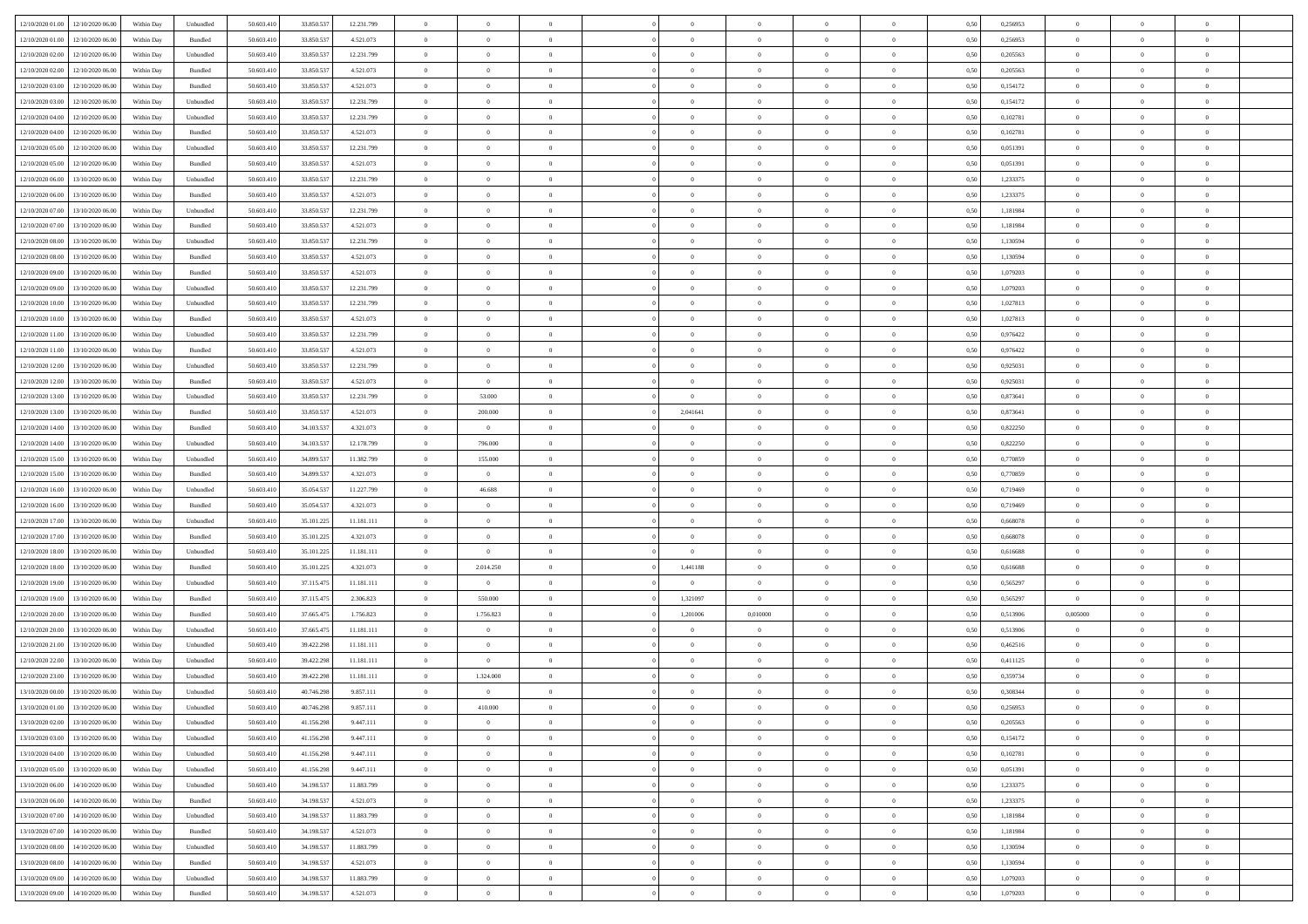| 12/10/2020 01:00 12/10/2020 06:00            | Within Day | Unbundled                   | 50.603.410 | 33.850.537 | 12.231.799 | $\overline{0}$ | $\overline{0}$ |                | $\overline{0}$ | $\theta$       |                | $\theta$       | 0,50 | 0,256953 | $\theta$       | $\theta$       | $\overline{0}$ |  |
|----------------------------------------------|------------|-----------------------------|------------|------------|------------|----------------|----------------|----------------|----------------|----------------|----------------|----------------|------|----------|----------------|----------------|----------------|--|
| 12/10/2020 01:00<br>12/10/2020 06.00         | Within Day | Bundled                     | 50.603.41  | 33.850.53  | 4.521.073  | $\bf{0}$       | $\bf{0}$       | $\bf{0}$       | $\overline{0}$ | $\overline{0}$ | $\overline{0}$ | $\bf{0}$       | 0,50 | 0,256953 | $\,$ 0 $\,$    | $\bf{0}$       | $\overline{0}$ |  |
| 12/10/2020 02:00<br>12/10/2020 06:00         | Within Day | Unbundled                   | 50.603.41  | 33.850.537 | 12.231.799 | $\overline{0}$ | $\bf{0}$       | $\overline{0}$ | $\bf{0}$       | $\bf{0}$       | $\overline{0}$ | $\bf{0}$       | 0.50 | 0,205563 | $\bf{0}$       | $\overline{0}$ | $\overline{0}$ |  |
| 12/10/2020 02:00<br>12/10/2020 06:00         | Within Day | Bundled                     | 50.603.410 | 33.850.537 | 4.521.073  | $\overline{0}$ | $\bf{0}$       | $\overline{0}$ | $\overline{0}$ | $\theta$       | $\overline{0}$ | $\bf{0}$       | 0,50 | 0,205563 | $\theta$       | $\theta$       | $\overline{0}$ |  |
| 12/10/2020 03:00<br>12/10/2020 06.00         | Within Day | Bundled                     | 50.603.41  | 33.850.53  | 4.521.073  | $\bf{0}$       | $\overline{0}$ | $\bf{0}$       | $\overline{0}$ | $\theta$       | $\overline{0}$ | $\bf{0}$       | 0,50 | 0,154172 | $\,$ 0 $\,$    | $\bf{0}$       | $\overline{0}$ |  |
| 12/10/2020 03:00<br>12/10/2020 06.00         | Within Day | Unbundled                   | 50,603.41  | 33,850,537 | 12.231.799 | $\overline{0}$ | $\overline{0}$ | $\overline{0}$ | $\bf{0}$       | $\overline{0}$ | $\theta$       | $\bf{0}$       | 0.50 | 0,154172 | $\bf{0}$       | $\theta$       | $\overline{0}$ |  |
| 12/10/2020 04:00<br>12/10/2020 06.00         | Within Day | Unbundled                   | 50.603.41  | 33.850.537 | 12.231.799 | $\overline{0}$ | $\overline{0}$ | $\overline{0}$ | $\overline{0}$ | $\overline{0}$ | $\overline{0}$ | $\bf{0}$       | 0,50 | 0,102781 | $\,$ 0 $\,$    | $\theta$       | $\overline{0}$ |  |
|                                              |            |                             |            |            |            |                |                |                |                |                |                |                |      |          |                |                |                |  |
| 12/10/2020 04:00<br>12/10/2020 06.00         | Within Day | Bundled                     | 50.603.41  | 33.850.53  | 4.521.073  | $\bf{0}$       | $\bf{0}$       | $\bf{0}$       | $\overline{0}$ | $\overline{0}$ | $\overline{0}$ | $\bf{0}$       | 0,50 | 0,102781 | $\,$ 0 $\,$    | $\bf{0}$       | $\overline{0}$ |  |
| 12/10/2020 05:00<br>12/10/2020 06:00         | Within Day | Unbundled                   | 50.603.41  | 33,850,537 | 12.231.799 | $\overline{0}$ | $\bf{0}$       | $\overline{0}$ | $\bf{0}$       | $\overline{0}$ | $\overline{0}$ | $\bf{0}$       | 0.50 | 0.051391 | $\bf{0}$       | $\overline{0}$ | $\overline{0}$ |  |
| 12/10/2020 05:00<br>12/10/2020 06:00         | Within Day | Bundled                     | 50.603.410 | 33.850.537 | 4.521.073  | $\bf{0}$       | $\bf{0}$       | $\overline{0}$ | $\overline{0}$ | $\overline{0}$ | $\overline{0}$ | $\bf{0}$       | 0,50 | 0,051391 | $\,$ 0 $\,$    | $\bf{0}$       | $\overline{0}$ |  |
| 12/10/2020 06:00<br>13/10/2020 06.00         | Within Day | Unbundled                   | 50.603.41  | 33.850.53  | 12.231.799 | $\bf{0}$       | $\bf{0}$       | $\bf{0}$       | $\bf{0}$       | $\bf{0}$       | $\overline{0}$ | $\bf{0}$       | 0,50 | 1,233375 | $\,$ 0 $\,$    | $\bf{0}$       | $\overline{0}$ |  |
| 12/10/2020 06:00<br>13/10/2020 06.00         | Within Day | Bundled                     | 50.603.41  | 33,850,537 | 4.521.073  | $\overline{0}$ | $\bf{0}$       | $\overline{0}$ | $\overline{0}$ | $\bf{0}$       | $\overline{0}$ | $\bf{0}$       | 0.50 | 1,233375 | $\bf{0}$       | $\overline{0}$ | $\bf{0}$       |  |
| 12/10/2020 07:00<br>13/10/2020 06:00         | Within Day | Unbundled                   | 50.603.41  | 33.850.537 | 12.231.799 | $\overline{0}$ | $\overline{0}$ | $\overline{0}$ | $\theta$       | $\theta$       | $\overline{0}$ | $\bf{0}$       | 0,50 | 1,181984 | $\,$ 0 $\,$    | $\theta$       | $\overline{0}$ |  |
| 12/10/2020 07:00<br>13/10/2020 06.00         | Within Day | Bundled                     | 50.603.41  | 33.850.53  | 4.521.073  | $\bf{0}$       | $\overline{0}$ | $\bf{0}$       | $\bf{0}$       | $\bf{0}$       | $\overline{0}$ | $\bf{0}$       | 0,50 | 1,181984 | $\,$ 0 $\,$    | $\bf{0}$       | $\overline{0}$ |  |
| 12/10/2020 08:00<br>13/10/2020 06.00         | Within Day | Unbundled                   | 50.603.41  | 33,850,537 | 12.231.799 | $\overline{0}$ | $\overline{0}$ | $\overline{0}$ | $\bf{0}$       | $\overline{0}$ | $\Omega$       | $\bf{0}$       | 0.50 | 1.130594 | $\,$ 0 $\,$    | $\theta$       | $\overline{0}$ |  |
| 12/10/2020 08:00<br>13/10/2020 06:00         | Within Day | Bundled                     | 50.603.410 | 33.850.537 | 4.521.073  | $\overline{0}$ | $\overline{0}$ | $\overline{0}$ | $\overline{0}$ | $\overline{0}$ | $\overline{0}$ | $\bf{0}$       | 0,50 | 1,130594 | $\theta$       | $\theta$       | $\overline{0}$ |  |
| 12/10/2020 09:00<br>13/10/2020 06.00         | Within Day | Bundled                     | 50.603.41  | 33.850.53  | 4.521.073  | $\bf{0}$       | $\bf{0}$       | $\bf{0}$       | $\overline{0}$ | $\bf{0}$       | $\overline{0}$ | $\bf{0}$       | 0,50 | 1,079203 | $\,$ 0 $\,$    | $\bf{0}$       | $\overline{0}$ |  |
| 12/10/2020 09:00<br>13/10/2020 06:00         | Within Day | Unbundled                   | 50,603.41  | 33,850,537 | 12.231.799 | $\overline{0}$ | $\bf{0}$       | $\overline{0}$ | $\bf{0}$       | $\overline{0}$ | $\overline{0}$ | $\bf{0}$       | 0.50 | 1.079203 | $\bf{0}$       | $\overline{0}$ | $\overline{0}$ |  |
| 12/10/2020 10:00<br>13/10/2020 06:00         |            |                             |            |            |            |                | $\bf{0}$       | $\overline{0}$ | $\overline{0}$ | $\overline{0}$ | $\overline{0}$ |                |      |          | $\,$ 0 $\,$    | $\bf{0}$       | $\overline{0}$ |  |
|                                              | Within Day | Unbundled                   | 50.603.410 | 33.850.537 | 12.231.799 | $\bf{0}$       |                |                |                |                |                | $\bf{0}$       | 0,50 | 1,027813 |                |                |                |  |
| 12/10/2020 10:00<br>13/10/2020 06.00         | Within Day | Bundled                     | 50.603.41  | 33.850.53  | 4.521.073  | $\bf{0}$       | $\bf{0}$       | $\bf{0}$       | $\bf{0}$       | $\overline{0}$ | $\overline{0}$ | $\bf{0}$       | 0,50 | 1,027813 | $\,$ 0 $\,$    | $\bf{0}$       | $\overline{0}$ |  |
| 12/10/2020 11:00<br>13/10/2020 06.00         | Within Day | Unbundled                   | 50.603.41  | 33,850,537 | 12.231.799 | $\overline{0}$ | $\bf{0}$       | $\overline{0}$ | $\overline{0}$ | $\bf{0}$       | $\overline{0}$ | $\bf{0}$       | 0.50 | 0.976422 | $\bf{0}$       | $\overline{0}$ | $\overline{0}$ |  |
| 12/10/2020 11:00<br>13/10/2020 06:00         | Within Day | Bundled                     | 50.603.41  | 33.850.537 | 4.521.073  | $\overline{0}$ | $\overline{0}$ | $\overline{0}$ | $\overline{0}$ | $\theta$       | $\overline{0}$ | $\bf{0}$       | 0,50 | 0,976422 | $\,$ 0 $\,$    | $\theta$       | $\overline{0}$ |  |
| 12/10/2020 12:00<br>13/10/2020 06.00         | Within Day | Unbundled                   | 50.603.41  | 33.850.53  | 12.231.799 | $\bf{0}$       | $\bf{0}$       | $\bf{0}$       | $\bf{0}$       | $\,$ 0 $\,$    | $\overline{0}$ | $\bf{0}$       | 0,50 | 0,925031 | $\,$ 0 $\,$    | $\bf{0}$       | $\overline{0}$ |  |
| 12/10/2020 12:00<br>13/10/2020 06:00         | Within Day | Bundled                     | 50.603.41  | 33,850,537 | 4.521.073  | $\overline{0}$ | $\overline{0}$ | $\overline{0}$ | $\bf{0}$       | $\overline{0}$ | $\theta$       | $\bf{0}$       | 0.50 | 0.925031 | $\,$ 0 $\,$    | $\theta$       | $\overline{0}$ |  |
| 12/10/2020 13:00<br>13/10/2020 06.00         | Within Day | Unbundled                   | 50.603.410 | 33.850.537 | 12.231.799 | $\overline{0}$ | 53.000         | $\overline{0}$ | $\overline{0}$ | $\overline{0}$ | $\overline{0}$ | $\bf{0}$       | 0,50 | 0,873641 | $\,$ 0 $\,$    | $\theta$       | $\overline{0}$ |  |
| 12/10/2020 13:00<br>13/10/2020 06.00         | Within Day | Bundled                     | 50.603.41  | 33.850.53  | 4.521.073  | $\bf{0}$       | 200.000        | $\bf{0}$       | 2,041641       | $\,$ 0 $\,$    | $\overline{0}$ | $\bf{0}$       | 0,50 | 0,873641 | $\,$ 0 $\,$    | $\bf{0}$       | $\overline{0}$ |  |
| 12/10/2020 14:00<br>13/10/2020 06:00         | Within Day | Bundled                     | 50,603.41  | 34.103.537 | 4.321.073  | $\overline{0}$ | $\overline{0}$ | $\overline{0}$ | $\bf{0}$       | $\overline{0}$ | $\overline{0}$ | $\bf{0}$       | 0.50 | 0.822250 | $\bf{0}$       | $\overline{0}$ | $\overline{0}$ |  |
| 12/10/2020 14:00<br>13/10/2020 06:00         | Within Day | Unbundled                   | 50.603.410 | 34.103.537 | 12.178.799 | $\overline{0}$ | 796.000        | $\overline{0}$ | $\overline{0}$ | $\overline{0}$ | $\overline{0}$ | $\bf{0}$       | 0,50 | 0,822250 | $\,$ 0 $\,$    | $\bf{0}$       | $\overline{0}$ |  |
| 12/10/2020 15:00<br>13/10/2020 06.00         | Within Day | Unbundled                   | 50.603.41  | 34.899.53  | 11.382.799 | $\bf{0}$       | 155.000        | $\bf{0}$       | $\bf{0}$       | $\overline{0}$ | $\overline{0}$ | $\bf{0}$       | 0,50 | 0,770859 | $\,$ 0 $\,$    | $\bf{0}$       | $\overline{0}$ |  |
| 12/10/2020 15:00<br>13/10/2020 06:00         | Within Day | Bundled                     | 50.603.41  | 34.899.537 | 4.321.073  | $\overline{0}$ | $\overline{0}$ | $\overline{0}$ | $\overline{0}$ | $\bf{0}$       | $\overline{0}$ | $\bf{0}$       | 0.50 | 0.770859 | $\bf{0}$       | $\overline{0}$ | $\bf{0}$       |  |
| 12/10/2020 16:00<br>13/10/2020 06:00         | Within Day | Unbundled                   | 50.603.41  | 35.054.537 | 11.227.799 | $\overline{0}$ | 46.688         | $\overline{0}$ | $\overline{0}$ | $\overline{0}$ | $\overline{0}$ | $\bf{0}$       | 0.5( | 0.719469 | $\theta$       | $\theta$       | $\overline{0}$ |  |
|                                              |            |                             |            |            |            |                | $\theta$       |                |                | $\,$ 0 $\,$    | $\overline{0}$ |                |      |          |                |                |                |  |
| 12/10/2020 16:00<br>13/10/2020 06.00         | Within Day | Bundled                     | 50.603.41  | 35.054.53  | 4.321.073  | $\bf{0}$       |                | $\bf{0}$       | $\bf{0}$       |                |                | $\bf{0}$       | 0,50 | 0,719469 | $\,$ 0 $\,$    | $\bf{0}$       | $\overline{0}$ |  |
| 12/10/2020 17:00<br>13/10/2020 06.00         | Within Day | Unbundled                   | 50,603.41  | 35.101.225 | 11.181.111 | $\overline{0}$ | $\overline{0}$ | $\overline{0}$ | $\bf{0}$       | $\bf{0}$       | $\Omega$       | $\bf{0}$       | 0.50 | 0.668078 | $\,$ 0 $\,$    | $\bf{0}$       | $\overline{0}$ |  |
| 12/10/2020 17:00<br>13/10/2020 06:00         | Within Dav | Bundled                     | 50.603.41  | 35.101.225 | 4.321.073  | $\overline{0}$ | $\overline{0}$ | $\overline{0}$ | $\overline{0}$ | $\theta$       | $\overline{0}$ | $\bf{0}$       | 0.5( | 0,668078 | $\theta$       | $\theta$       | $\overline{0}$ |  |
| 12/10/2020 18:00<br>13/10/2020 06.00         | Within Day | Unbundled                   | 50.603.41  | 35.101.22  | 11.181.111 | $\bf{0}$       | $\bf{0}$       | $\bf{0}$       | $\overline{0}$ | $\bf{0}$       | $\overline{0}$ | $\bf{0}$       | 0,50 | 0,616688 | $\,$ 0 $\,$    | $\bf{0}$       | $\overline{0}$ |  |
| 12/10/2020 18:00<br>13/10/2020 06:00         | Within Day | Bundled                     | 50,603.41  | 35.101.22  | 4.321.073  | $\overline{0}$ | 2.014.250      | $\overline{0}$ | 1,441188       | $\overline{0}$ | $\overline{0}$ | $\bf{0}$       | 0.50 | 0.616688 | $\bf{0}$       | $\overline{0}$ | $\overline{0}$ |  |
| 12/10/2020 19:00<br>13/10/2020 06:00         | Within Day | Unbundled                   | 50.603.41  | 37.115.475 | 11.181.111 | $\overline{0}$ | $\overline{0}$ | $\overline{0}$ | $\overline{0}$ | $\overline{0}$ | $\overline{0}$ | $\bf{0}$       | 0.50 | 0,565297 | $\theta$       | $\theta$       | $\overline{0}$ |  |
| 12/10/2020 19:00<br>13/10/2020 06.00         | Within Day | Bundled                     | 50.603.41  | 37.115.47  | 2.306.823  | $\bf{0}$       | 550.000        | $\bf{0}$       | 1,321097       | $\bf{0}$       | $\overline{0}$ | $\bf{0}$       | 0,50 | 0,565297 | $\overline{0}$ | $\bf{0}$       | $\overline{0}$ |  |
| 12/10/2020 20:00<br>13/10/2020 06.00         | Within Day | Bundled                     | 50.603.41  | 37.665.475 | 1.756.823  | $\overline{0}$ | 1.756.823      | $\overline{0}$ | 1,201006       | 0,010000       | $\overline{0}$ | $\bf{0}$       | 0.50 | 0,513906 | 0,005000       | $\overline{0}$ | $\overline{0}$ |  |
| 12/10/2020 20:00<br>13/10/2020 06:00         | Within Day | Unbundled                   | 50.603.41  | 37.665.475 | 11.181.111 | $\overline{0}$ | $\overline{0}$ | $\overline{0}$ | $\overline{0}$ | $\overline{0}$ | $\overline{0}$ | $\bf{0}$       | 0.50 | 0,513906 | $\theta$       | $\theta$       | $\overline{0}$ |  |
| 12/10/2020 21:00<br>13/10/2020 06.00         | Within Day | Unbundled                   | 50.603.41  | 39.422.298 | 11.181.111 | $\bf{0}$       | $\overline{0}$ | $\bf{0}$       | $\bf{0}$       | $\overline{0}$ | $\overline{0}$ | $\bf{0}$       | 0,50 | 0,462516 | $\,$ 0 $\,$    | $\bf{0}$       | $\overline{0}$ |  |
| 12/10/2020 22:00<br>13/10/2020 06.00         | Within Day | Unbundled                   | 50.603.41  | 39.422.298 | 11.181.111 | $\overline{0}$ | $\overline{0}$ | $\Omega$       | $\bf{0}$       | $\overline{0}$ | $\Omega$       | $\bf{0}$       | 0.50 | 0,411125 | $\bf{0}$       | $\theta$       | $\overline{0}$ |  |
| 12/10/2020 23:00<br>13/10/2020 06:00         | Within Day | Unbundled                   | 50.603.41  | 39.422.298 | 11.181.111 | $\overline{0}$ | 1.324.000      | $\overline{0}$ | $\overline{0}$ | $\theta$       | $\Omega$       | $\overline{0}$ | 0.5( | 0,359734 | $\theta$       | $\theta$       | $\overline{0}$ |  |
| 13/10/2020 00:00<br>13/10/2020 06.00         | Within Day | Unbundled                   | 50.603.41  | 40.746.298 | 9.857.111  | $\bf{0}$       | $\bf{0}$       | $\bf{0}$       | $\bf{0}$       | $\bf{0}$       | $\overline{0}$ | $\bf{0}$       | 0,50 | 0,308344 | $\,$ 0 $\,$    | $\bf{0}$       | $\overline{0}$ |  |
| $13/10/2020\;01.00 \qquad 13/10/2020\;06.00$ | Within Day | $\ensuremath{\mathsf{Unb}}$ | 50.603.410 | 40.746.298 | 9.857.111  | $\bf{0}$       | 410 000        |                | $\Omega$       |                |                |                | 0,50 | 0.256953 | $\bf{0}$       | $\overline{0}$ |                |  |
|                                              |            |                             |            |            |            |                |                |                |                |                |                |                |      |          |                |                |                |  |
| 13/10/2020 02:00 13/10/2020 06:00            | Within Day | Unbundled                   | 50.603.410 | 41.156.298 | 9.447.111  | $\overline{0}$ | $\overline{0}$ | $\Omega$       | $\overline{0}$ | $\theta$       | $\overline{0}$ | $\bf{0}$       | 0,50 | 0,205563 | $\theta$       | $\theta$       | $\overline{0}$ |  |
| 13/10/2020 03:00<br>13/10/2020 06.00         | Within Day | Unbundled                   | 50.603.41  | 41.156.298 | 9.447.111  | $\overline{0}$ | $\bf{0}$       | $\overline{0}$ | $\overline{0}$ | $\bf{0}$       | $\overline{0}$ | $\bf{0}$       | 0,50 | 0,154172 | $\bf{0}$       | $\overline{0}$ | $\bf{0}$       |  |
| 13/10/2020 04:00 13/10/2020 06:00            | Within Day | Unbundled                   | 50,603.410 | 41.156.298 | 9.447.111  | $\overline{0}$ | $\bf{0}$       | $\overline{0}$ | $\overline{0}$ | $\mathbf{0}$   | $\overline{0}$ | $\,$ 0 $\,$    | 0.50 | 0.102781 | $\overline{0}$ | $\bf{0}$       | $\,$ 0 $\,$    |  |
| 13/10/2020 05:00 13/10/2020 06:00            | Within Day | Unbundled                   | 50.603.410 | 41.156.298 | 9.447.111  | $\overline{0}$ | $\overline{0}$ | $\overline{0}$ | $\overline{0}$ | $\overline{0}$ | $\overline{0}$ | $\bf{0}$       | 0,50 | 0,051391 | $\overline{0}$ | $\theta$       | $\overline{0}$ |  |
| 13/10/2020 06:00<br>14/10/2020 06.00         | Within Day | Unbundled                   | 50.603.41  | 34.198.537 | 11.883.799 | $\overline{0}$ | $\bf{0}$       | $\overline{0}$ | $\overline{0}$ | $\overline{0}$ | $\bf{0}$       | $\bf{0}$       | 0,50 | 1,233375 | $\bf{0}$       | $\overline{0}$ | $\overline{0}$ |  |
| 13/10/2020 06:00<br>14/10/2020 06:00         | Within Day | Bundled                     | 50,603.410 | 34.198.537 | 4.521.073  | $\overline{0}$ | $\bf{0}$       | $\overline{0}$ | $\overline{0}$ | $\overline{0}$ | $\overline{0}$ | $\bf{0}$       | 0.50 | 1.233375 | $\,$ 0 $\,$    | $\overline{0}$ | $\overline{0}$ |  |
| 13/10/2020 07:00<br>14/10/2020 06:00         | Within Day | Unbundled                   | 50.603.410 | 34.198.537 | 11.883.799 | $\overline{0}$ | $\overline{0}$ | $\overline{0}$ | $\overline{0}$ | $\overline{0}$ | $\overline{0}$ | $\bf{0}$       | 0,50 | 1,181984 | $\overline{0}$ | $\theta$       | $\overline{0}$ |  |
| 13/10/2020 07:00<br>14/10/2020 06.00         | Within Day | Bundled                     | 50.603.41  | 34.198.537 | 4.521.073  | $\overline{0}$ | $\overline{0}$ | $\overline{0}$ | $\overline{0}$ | $\overline{0}$ | $\overline{0}$ | $\bf{0}$       | 0,50 | 1,181984 | $\bf{0}$       | $\overline{0}$ | $\overline{0}$ |  |
| 13/10/2020 08:00<br>14/10/2020 06:00         | Within Day | Unbundled                   | 50,603.410 | 34.198.537 | 11.883.799 | $\overline{0}$ | $\overline{0}$ | $\overline{0}$ | $\overline{0}$ | $\bf{0}$       | $\overline{0}$ | $\bf{0}$       | 0.50 | 1.130594 | $\mathbf{0}$   | $\bf{0}$       | $\,$ 0         |  |
| 13/10/2020 08:00<br>14/10/2020 06:00         | Within Dav | Bundled                     | 50.603.410 | 34.198.537 | 4.521.073  | $\overline{0}$ | $\overline{0}$ | $\overline{0}$ | $\overline{0}$ | $\overline{0}$ | $\overline{0}$ | $\bf{0}$       | 0,50 | 1,130594 | $\overline{0}$ | $\theta$       | $\overline{0}$ |  |
| 13/10/2020 09:00<br>14/10/2020 06.00         | Within Day | Unbundled                   | 50.603.41  | 34.198.537 | 11.883.799 | $\overline{0}$ | $\bf{0}$       | $\overline{0}$ | $\bf{0}$       | $\overline{0}$ | $\bf{0}$       | $\bf{0}$       | 0,50 | 1,079203 | $\bf{0}$       | $\bf{0}$       | $\bf{0}$       |  |
|                                              |            |                             |            |            |            |                |                |                |                |                |                |                |      |          |                |                |                |  |
| 13/10/2020 09:00 14/10/2020 06:00            | Within Day | Bundled                     | 50.603.410 | 34.198.537 | 4.521.073  | $\overline{0}$ | $\bf{0}$       | $\overline{0}$ | $\overline{0}$ | $\,$ 0 $\,$    | $\overline{0}$ | $\bf{0}$       | 0,50 | 1,079203 | $\overline{0}$ | $\,$ 0 $\,$    | $\,$ 0 $\,$    |  |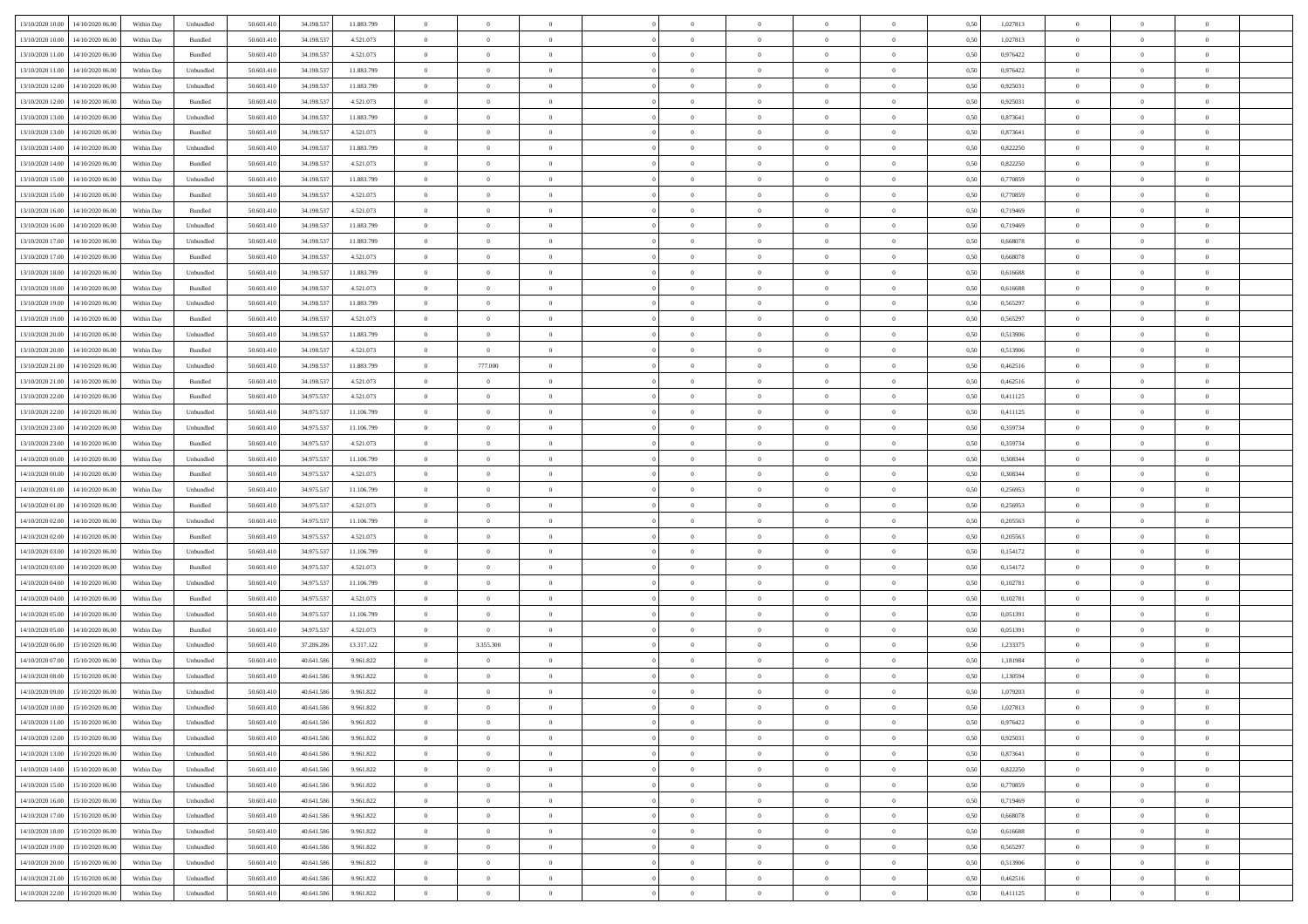| 13/10/2020 10:00                  | 14/10/2020 06:00                  | Within Day | Unbundled                   | 50.603.410 | 34.198.537 | 11.883.799 | $\overline{0}$ | $\theta$       |                | $\overline{0}$ | $\overline{0}$ | $\overline{0}$ | $\theta$       | 0,50 | 1,027813 | $\theta$       | $\theta$       | $\theta$                 |  |
|-----------------------------------|-----------------------------------|------------|-----------------------------|------------|------------|------------|----------------|----------------|----------------|----------------|----------------|----------------|----------------|------|----------|----------------|----------------|--------------------------|--|
| 13/10/2020 10:00                  | 14/10/2020 06.00                  | Within Day | Bundled                     | 50.603.41  | 34.198.53  | 4.521.073  | $\overline{0}$ | $\theta$       | $\overline{0}$ | $\overline{0}$ | $\,$ 0         | $\bf{0}$       | $\bf{0}$       | 0,50 | 1,027813 | $\,$ 0 $\,$    | $\overline{0}$ | $\overline{0}$           |  |
|                                   |                                   |            |                             |            |            |            |                |                |                |                |                |                |                |      |          |                |                |                          |  |
| 13/10/2020 11:00                  | 14/10/2020 06:00                  | Within Day | Bundled                     | 50.603.410 | 34.198.537 | 4.521.073  | $\overline{0}$ | $\overline{0}$ | $\overline{0}$ | $\overline{0}$ | $\bf{0}$       | $\overline{0}$ | $\mathbf{0}$   | 0.50 | 0.976422 | $\bf{0}$       | $\overline{0}$ | $\overline{0}$           |  |
| 13/10/2020 11:00                  | 14/10/2020 06.00                  | Within Day | Unbundled                   | 50.603.410 | 34.198.537 | 11.883.799 | $\overline{0}$ | $\overline{0}$ | $\overline{0}$ | $\overline{0}$ | $\bf{0}$       | $\overline{0}$ | $\overline{0}$ | 0,50 | 0,976422 | $\,$ 0 $\,$    | $\overline{0}$ | $\overline{0}$           |  |
| 13/10/2020 12:00                  | 14/10/2020 06.00                  | Within Day | Unbundled                   | 50.603.41  | 34.198.537 | 11.883.799 | $\overline{0}$ | $\theta$       | $\overline{0}$ |                | $\overline{0}$ | $\overline{0}$ | $\bf{0}$       | 0,50 | 0,925031 | $\,$ 0 $\,$    | $\overline{0}$ | $\overline{0}$           |  |
| 13/10/2020 12:00                  | 14/10/2020 06:00                  | Within Day | Bundled                     | 50.603.410 | 34.198.537 | 4.521.073  | $\overline{0}$ | $\overline{0}$ | $\overline{0}$ | $\overline{0}$ | $\bf{0}$       | $\overline{0}$ | $\bf{0}$       | 0.50 | 0.925031 | $\,0\,$        | $\theta$       | $\overline{0}$           |  |
| 13/10/2020 13:00                  | 14/10/2020 06.00                  | Within Day | Unbundled                   | 50.603.410 | 34.198.537 | 11.883.799 | $\overline{0}$ | $\overline{0}$ | $\overline{0}$ | $\overline{0}$ | $\,$ 0         | $\overline{0}$ | $\overline{0}$ | 0,50 | 0,873641 | $\,$ 0 $\,$    | $\theta$       | $\overline{0}$           |  |
| 13/10/2020 13:00                  | 14/10/2020 06.00                  | Within Day | Bundled                     | 50.603.41  | 34.198.53  | 4.521.073  | $\overline{0}$ | $\theta$       | $\overline{0}$ |                | $\bf{0}$       | $\overline{0}$ | $\bf{0}$       | 0,50 | 0,873641 | $\,$ 0 $\,$    | $\overline{0}$ | $\overline{0}$           |  |
| 13/10/2020 14:00                  | 14/10/2020 06:00                  | Within Day | Unbundled                   | 50.603.410 | 34.198.537 | 11.883.799 | $\overline{0}$ | $\overline{0}$ | $\overline{0}$ | $\overline{0}$ | $\bf{0}$       | $\overline{0}$ | $\bf{0}$       | 0.50 | 0.822250 | $\,0\,$        | $\overline{0}$ | $\overline{0}$           |  |
| 13/10/2020 14:00                  | 14/10/2020 06.00                  | Within Day | Bundled                     | 50.603.410 | 34.198.537 | 4.521.073  | $\overline{0}$ | $\overline{0}$ | $\overline{0}$ | $\overline{0}$ | $\bf{0}$       | $\overline{0}$ | $\bf{0}$       | 0,50 | 0,822250 | $\,$ 0 $\,$    | $\overline{0}$ | $\overline{0}$           |  |
| 13/10/2020 15:00                  | 14/10/2020 06.00                  | Within Day | Unbundled                   | 50.603.41  | 34.198.537 | 11.883.799 | $\bf{0}$       | $\theta$       | $\overline{0}$ | $\overline{0}$ | $\,$ 0         | $\overline{0}$ | $\bf{0}$       | 0,50 | 0,770859 | $\,$ 0 $\,$    | $\overline{0}$ | $\overline{0}$           |  |
|                                   |                                   |            |                             |            |            |            |                |                |                |                |                |                |                |      |          |                |                |                          |  |
| 13/10/2020 15:00                  | 14/10/2020 06:00                  | Within Day | Bundled                     | 50.603.410 | 34.198.537 | 4.521.073  | $\overline{0}$ | $\overline{0}$ | $\overline{0}$ | $\overline{0}$ | $\bf{0}$       | $\overline{0}$ | $\mathbf{0}$   | 0.50 | 0.770859 | $\bf{0}$       | $\overline{0}$ | $\bf{0}$                 |  |
| 13/10/2020 16:00                  | 14/10/2020 06.00                  | Within Day | Bundled                     | 50.603.410 | 34.198.537 | 4.521.073  | $\overline{0}$ | $\overline{0}$ | $\overline{0}$ | $\overline{0}$ | $\bf{0}$       | $\overline{0}$ | $\overline{0}$ | 0,50 | 0,719469 | $\,$ 0 $\,$    | $\overline{0}$ | $\overline{0}$           |  |
| 13/10/2020 16.00                  | 14/10/2020 06.00                  | Within Day | Unbundled                   | 50.603.41  | 34.198.537 | 11.883.799 | $\overline{0}$ | $\theta$       | $\overline{0}$ |                | $\bf{0}$       | $\overline{0}$ | $\bf{0}$       | 0,50 | 0,719469 | $\,$ 0 $\,$    | $\overline{0}$ | $\overline{0}$           |  |
| 13/10/2020 17:00                  | 14/10/2020 06:00                  | Within Day | Unbundled                   | 50.603.410 | 34.198.537 | 11.883.799 | $\overline{0}$ | $\overline{0}$ | $\overline{0}$ | $\overline{0}$ | $\,$ 0         | $\overline{0}$ | $\bf{0}$       | 0.50 | 0.668078 | $\,0\,$        | $\theta$       | $\overline{0}$           |  |
| 13/10/2020 17:00                  | 14/10/2020 06.00                  | Within Day | Bundled                     | 50.603.410 | 34.198.537 | 4.521.073  | $\overline{0}$ | $\overline{0}$ | $\overline{0}$ | $\overline{0}$ | $\bf{0}$       | $\overline{0}$ | $\overline{0}$ | 0,50 | 0,668078 | $\,0\,$        | $\theta$       | $\overline{0}$           |  |
| 13/10/2020 18:00                  | 14/10/2020 06.00                  | Within Day | Unbundled                   | 50.603.41  | 34.198.537 | 11.883.799 | $\overline{0}$ | $\theta$       | $\overline{0}$ |                | $\,$ 0         | $\overline{0}$ | $\bf{0}$       | 0,50 | 0,616688 | $\,$ 0 $\,$    | $\overline{0}$ | $\overline{0}$           |  |
| 13/10/2020 18:00                  | 14/10/2020 06:00                  | Within Day | Bundled                     | 50.603.410 | 34.198.53  | 4.521.073  | $\overline{0}$ | $\overline{0}$ | $\overline{0}$ | $\overline{0}$ | $\bf{0}$       | $\overline{0}$ | $\bf{0}$       | 0.50 | 0.616688 | $\,0\,$        | $\overline{0}$ | $\overline{\phantom{a}}$ |  |
| 13/10/2020 19:00                  | 14/10/2020 06.00                  | Within Day | Unbundled                   | 50.603.410 | 34.198.537 | 11.883.799 | $\overline{0}$ | $\overline{0}$ | $\overline{0}$ | $\overline{0}$ | $\,$ 0         | $\overline{0}$ | $\overline{0}$ | 0,50 | 0,565297 | $\,$ 0 $\,$    | $\overline{0}$ | $\overline{0}$           |  |
| 13/10/2020 19:00                  | 14/10/2020 06.00                  | Within Day | Bundled                     | 50.603.41  | 34.198.537 | 4.521.073  | $\bf{0}$       | $\overline{0}$ | $\overline{0}$ | $\overline{0}$ | $\,$ 0         | $\bf{0}$       | $\bf{0}$       | 0,50 | 0,565297 | $\,$ 0 $\,$    | $\overline{0}$ | $\overline{0}$           |  |
|                                   |                                   |            |                             |            |            |            |                |                |                |                |                |                |                |      |          |                |                |                          |  |
| 13/10/2020 20:00                  | 14/10/2020 06:00                  | Within Day | Unbundled                   | 50.603.410 | 34.198.537 | 11.883.799 | $\overline{0}$ | $\overline{0}$ | $\overline{0}$ | $\overline{0}$ | $\bf{0}$       | $\overline{0}$ | $\mathbf{0}$   | 0.50 | 0,513906 | $\,$ 0 $\,$    | $\overline{0}$ | $\overline{\phantom{a}}$ |  |
| 13/10/2020 20:00                  | 14/10/2020 06.00                  | Within Day | Bundled                     | 50.603.410 | 34.198.537 | 4.521.073  | $\overline{0}$ | $\overline{0}$ | $\overline{0}$ | $\overline{0}$ | $\bf{0}$       | $\overline{0}$ | $\overline{0}$ | 0,50 | 0,513906 | $\,$ 0 $\,$    | $\overline{0}$ | $\overline{0}$           |  |
| 13/10/2020 21:00                  | 14/10/2020 06.00                  | Within Day | Unbundled                   | 50.603.41  | 34.198.537 | 11.883.799 | $\overline{0}$ | 777.000        | $\overline{0}$ | $\overline{0}$ | $\,$ 0         | $\overline{0}$ | $\bf{0}$       | 0,50 | 0,462516 | $\,$ 0 $\,$    | $\overline{0}$ | $\overline{0}$           |  |
| 13/10/2020 21:00                  | 14/10/2020 06:00                  | Within Day | Bundled                     | 50.603.410 | 34.198.53  | 4.521.073  | $\overline{0}$ | $\overline{0}$ | $\overline{0}$ | $\overline{0}$ | $\bf{0}$       | $\overline{0}$ | $\bf{0}$       | 0.50 | 0.462516 | $\,0\,$        | $\theta$       | $\overline{0}$           |  |
| 13/10/2020 22.00                  | 14/10/2020 06.00                  | Within Day | Bundled                     | 50.603.410 | 34.975.537 | 4.521.073  | $\overline{0}$ | $\overline{0}$ | $\overline{0}$ | $\overline{0}$ | $\bf{0}$       | $\overline{0}$ | $\overline{0}$ | 0,50 | 0,411125 | $\,0\,$        | $\theta$       | $\overline{0}$           |  |
| 13/10/2020 22.00                  | 14/10/2020 06.00                  | Within Day | Unbundled                   | 50.603.41  | 34.975.537 | 11.106.799 | $\overline{0}$ | $\theta$       | $\overline{0}$ |                | $\bf{0}$       | $\overline{0}$ | $\bf{0}$       | 0,50 | 0,411125 | $\,$ 0 $\,$    | $\overline{0}$ | $\overline{0}$           |  |
| 13/10/2020 23:00                  | 14/10/2020 06:00                  | Within Day | Unbundled                   | 50.603.410 | 34.975.537 | 11.106.799 | $\overline{0}$ | $\overline{0}$ | $\overline{0}$ | $\overline{0}$ | $\bf{0}$       | $\overline{0}$ | $\bf{0}$       | 0.50 | 0.359734 | $\,0\,$        | $\overline{0}$ | $\overline{0}$           |  |
| 13/10/2020 23.00                  | 14/10/2020 06.00                  | Within Day | Bundled                     | 50.603.410 | 34.975.537 | 4.521.073  | $\overline{0}$ | $\overline{0}$ | $\overline{0}$ | $\overline{0}$ | $\bf{0}$       | $\overline{0}$ | $\bf{0}$       | 0,50 | 0,359734 | $\,$ 0 $\,$    | $\overline{0}$ | $\overline{0}$           |  |
| 14/10/2020 00:00                  | 14/10/2020 06.00                  | Within Day | Unbundled                   | 50.603.41  | 34.975.537 | 11.106.799 | $\overline{0}$ | $\overline{0}$ | $\overline{0}$ | $\overline{0}$ | $\,$ 0         | $\bf{0}$       | $\bf{0}$       | 0,50 | 0,308344 | $\,$ 0 $\,$    | $\overline{0}$ | $\overline{0}$           |  |
|                                   | 14/10/2020 06:00                  | Within Day | Bundled                     | 50.603.410 |            |            |                | $\bf{0}$       |                | $\overline{0}$ |                | $\overline{0}$ |                | 0.50 | 0.308344 | $\bf{0}$       | $\overline{0}$ | $\bf{0}$                 |  |
| 14/10/2020 00:00                  |                                   |            |                             |            | 34.975.537 | 4.521.073  | $\overline{0}$ |                | $\overline{0}$ |                | $\bf{0}$       |                | $\mathbf{0}$   |      |          |                |                |                          |  |
| 14/10/2020 01:00                  | 14/10/2020 06:00                  | Within Dav | Unbundled                   | 50.603.410 | 34.975.537 | 11.106.799 | $\overline{0}$ | $\overline{0}$ | $\theta$       | $\overline{0}$ | $\overline{0}$ | $\overline{0}$ | $\overline{0}$ | 0.50 | 0,256953 | $\theta$       | $\overline{0}$ | $\overline{0}$           |  |
| 14/10/2020 01:00                  | 14/10/2020 06.00                  | Within Day | Bundled                     | 50.603.41  | 34.975.537 | 4.521.073  | $\overline{0}$ | $\theta$       | $\overline{0}$ |                | $\,$ 0         | $\overline{0}$ | $\bf{0}$       | 0,50 | 0,256953 | $\,$ 0 $\,$    | $\overline{0}$ | $\overline{0}$           |  |
| 14/10/2020 02.00                  | 14/10/2020 06:00                  | Within Day | Unbundled                   | 50.603.410 | 34.975.537 | 11.106.799 | $\overline{0}$ | $\overline{0}$ | $\overline{0}$ | $\overline{0}$ | $\bf{0}$       | $\overline{0}$ | $\bf{0}$       | 0.50 | 0.205563 | $\,0\,$        | $\overline{0}$ | $\overline{0}$           |  |
| 14/10/2020 02.00                  | 14/10/2020 06.00                  | Within Dav | Bundled                     | 50.603.410 | 34.975.537 | 4.521.073  | $\overline{0}$ | $\overline{0}$ | $\Omega$       | $\Omega$       | $\mathbf{0}$   | $\overline{0}$ | $\overline{0}$ | 0.50 | 0,205563 | $\theta$       | $\overline{0}$ | $\overline{0}$           |  |
| 14/10/2020 03:00                  | 14/10/2020 06.00                  | Within Day | Unbundled                   | 50.603.41  | 34.975.537 | 11.106.799 | $\overline{0}$ | $\theta$       | $\overline{0}$ |                | $\,$ 0         | $\overline{0}$ | $\bf{0}$       | 0,50 | 0,154172 | $\,$ 0 $\,$    | $\overline{0}$ | $\overline{0}$           |  |
| 14/10/2020 03:00                  | 14/10/2020 06:00                  | Within Day | Bundled                     | 50.603.410 | 34.975.537 | 4.521.073  | $\overline{0}$ | $\overline{0}$ | $\overline{0}$ | $\overline{0}$ | $\bf{0}$       | $\overline{0}$ | $\bf{0}$       | 0.50 | 0,154172 | $\,0\,$        | $\overline{0}$ | $\overline{0}$           |  |
| 14/10/2020 04:00                  | 14/10/2020 06.00                  | Within Dav | Unbundled                   | 50.603.410 | 34.975.537 | 11.106.799 | $\overline{0}$ | $\overline{0}$ | $\overline{0}$ | $\overline{0}$ | $\mathbf{0}$   | $\overline{0}$ | $\overline{0}$ | 0.50 | 0,102781 | $\theta$       | $\overline{0}$ | $\overline{0}$           |  |
| 14/10/2020 04:00                  | 14/10/2020 06.00                  | Within Day | Bundled                     | 50.603.41  | 34.975.537 | 4.521.073  | $\overline{0}$ | $\overline{0}$ | $\overline{0}$ | $\overline{0}$ | $\bf{0}$       | $\bf{0}$       | $\bf{0}$       | 0,50 | 0,102781 | $\,$ 0 $\,$    | $\overline{0}$ | $\overline{0}$           |  |
| 14/10/2020 05:00                  | 14/10/2020 06:00                  | Within Day | Unbundled                   | 50.603.410 | 34.975.537 | 11.106.799 | $\overline{0}$ | $\overline{0}$ | $\overline{0}$ | $\overline{0}$ | $\bf{0}$       | $\overline{0}$ | $\mathbf{0}$   | 0.50 | 0.051391 | $\,$ 0 $\,$    | $\overline{0}$ | $\overline{0}$           |  |
| 14/10/2020 05:00                  | 14/10/2020 06.00                  | Within Dav | Bundled                     | 50.603.410 | 34.975.537 | 4.521.073  | $\overline{0}$ | $\overline{0}$ | $\Omega$       | $\Omega$       | $\mathbf{0}$   | $\overline{0}$ | $\overline{0}$ | 0.50 | 0,051391 | $\theta$       | $\overline{0}$ | $\overline{0}$           |  |
|                                   |                                   |            |                             |            |            |            | $\overline{0}$ |                | $\overline{0}$ |                |                |                |                |      |          |                |                |                          |  |
| 14/10/2020 06.00                  | 15/10/2020 06.00                  | Within Day | Unbundled                   | 50.603.41  | 37.286.286 | 13.317.122 |                | 3.355.300      |                | $\overline{0}$ | $\,$ 0         | $\overline{0}$ | $\bf{0}$       | 0,50 | 1,233375 | $\,$ 0 $\,$    | $\overline{0}$ | $\overline{0}$           |  |
| 14/10/2020 07:00                  | 15/10/2020 06:00                  | Within Day | Unbundled                   | 50,603.410 | 40.641.586 | 9.961.822  | $\overline{0}$ | $\overline{0}$ | $\overline{0}$ | $\overline{0}$ | $\bf{0}$       | $\overline{0}$ | $\overline{0}$ | 0.50 | 1.181984 | $\,0\,$        | $\theta$       | $\overline{0}$           |  |
| 14/10/2020 08:00                  | 15/10/2020 06:00                  | Within Dav | Unbundled                   | 50.603.410 | 40.641.586 | 9.961.822  | $\overline{0}$ | $\Omega$       | $\Omega$       | $\Omega$       | $\bf{0}$       | $\overline{0}$ | $\overline{0}$ | 0.50 | 1,130594 | $\theta$       | $\overline{0}$ | $\overline{0}$           |  |
| 14/10/2020 09:00                  | 15/10/2020 06.00                  | Within Day | Unbundled                   | 50.603.41  | 40.641.586 | 9.961.822  | $\overline{0}$ | $\overline{0}$ | $\overline{0}$ | $\bf{0}$       | $\,$ 0         | $\overline{0}$ | $\bf{0}$       | 0,50 | 1,079203 | $\,$ 0 $\,$    | $\overline{0}$ | $\overline{0}$           |  |
| $14/10/2020\ 10.00$               | 15/10/2020 06:00                  | Within Day | $\ensuremath{\mathsf{Unb}}$ | 50.603.410 | 40.641.586 | 9.961.822  | $\bf{0}$       | $\bf{0}$       |                | $^{\circ}$     |                |                |                | 0,50 | 1,027813 | $\,$ 0         | $\bf{0}$       |                          |  |
| 14/10/2020 11:00 15/10/2020 06:00 |                                   | Within Day | Unbundled                   | 50.603.410 | 40.641.586 | 9.961.822  | $\Omega$       | $\overline{0}$ | $\Omega$       | $\Omega$       | $\mathbf{0}$   | $\overline{0}$ | $\mathbf{0}$   | 0,50 | 0,976422 | $\theta$       | $\theta$       | $\overline{0}$           |  |
| 14/10/2020 12:00                  | 15/10/2020 06.00                  | Within Day | Unbundled                   | 50.603.41  | 40.641.586 | 9.961.822  | $\overline{0}$ | $\overline{0}$ | $\overline{0}$ | $\bf{0}$       | $\overline{0}$ | $\overline{0}$ | $\mathbf{0}$   | 0,50 | 0,925031 | $\overline{0}$ | $\overline{0}$ | $\bf{0}$                 |  |
| 14/10/2020 13:00                  | 15/10/2020 06.00                  | Within Day | Unbundled                   | 50,603.410 | 40.641.586 | 9.961.822  | $\overline{0}$ | $\overline{0}$ | $\overline{0}$ | $\overline{0}$ | $\overline{0}$ | $\overline{0}$ | $\mathbf{0}$   | 0.50 | 0.873641 | $\overline{0}$ | $\bf{0}$       | $\bf{0}$                 |  |
| 14/10/2020 14:00                  | 15/10/2020 06:00                  | Within Day | Unbundled                   | 50.603.410 | 40.641.586 | 9.961.822  | $\overline{0}$ | $\overline{0}$ | $\overline{0}$ | $\overline{0}$ | $\overline{0}$ | $\overline{0}$ | $\mathbf{0}$   | 0.50 | 0,822250 | $\overline{0}$ | $\theta$       | $\overline{0}$           |  |
| 14/10/2020 15:00                  | 15/10/2020 06.00                  | Within Day | Unbundled                   | 50.603.410 | 40.641.586 | 9.961.822  | $\overline{0}$ | $\overline{0}$ | $\overline{0}$ | $\overline{0}$ | $\bf{0}$       | $\bf{0}$       | $\bf{0}$       | 0,50 | 0,770859 | $\bf{0}$       | $\overline{0}$ | $\overline{0}$           |  |
|                                   |                                   |            |                             |            |            |            |                |                |                |                |                |                |                |      |          |                |                |                          |  |
| 14/10/2020 16.00                  | 15/10/2020 06:00                  | Within Day | Unbundled                   | 50.603.410 | 40.641.586 | 9.961.822  | $\overline{0}$ | $\overline{0}$ | $\overline{0}$ | $\overline{0}$ | $\bf{0}$       | $\overline{0}$ | $\mathbf{0}$   | 0.50 | 0.719469 | $\,$ 0 $\,$    | $\overline{0}$ | $\overline{0}$           |  |
| 14/10/2020 17:00                  | 15/10/2020 06:00                  | Within Day | Unbundled                   | 50.603.410 | 40.641.586 | 9.961.822  | $\overline{0}$ | $\overline{0}$ | $\overline{0}$ | $\overline{0}$ | $\overline{0}$ | $\overline{0}$ | $\overline{0}$ | 0.50 | 0,668078 | $\overline{0}$ | $\theta$       | $\overline{0}$           |  |
| 14/10/2020 18:00                  | 15/10/2020 06.00                  | Within Day | Unbundled                   | 50.603.41  | 40.641.586 | 9.961.822  | $\overline{0}$ | $\,$ 0         | $\overline{0}$ | $\bf{0}$       | $\,$ 0 $\,$    | $\bf{0}$       | $\bf{0}$       | 0,50 | 0,616688 | $\,$ 0 $\,$    | $\overline{0}$ | $\,$ 0                   |  |
| 14/10/2020 19:00                  | 15/10/2020 06:00                  | Within Day | Unbundled                   | 50.603.410 | 40.641.586 | 9.961.822  | $\overline{0}$ | $\overline{0}$ | $\overline{0}$ | $\overline{0}$ | $\bf{0}$       | $\overline{0}$ | $\mathbf{0}$   | 0.50 | 0.565297 | $\mathbf{0}$   | $\,$ 0 $\,$    | $\overline{0}$           |  |
| 14/10/2020 20:00                  | 15/10/2020 06:00                  | Within Day | Unbundled                   | 50.603.410 | 40.641.586 | 9.961.822  | $\overline{0}$ | $\overline{0}$ | $\overline{0}$ | $\overline{0}$ | $\overline{0}$ | $\overline{0}$ | $\overline{0}$ | 0,50 | 0,513906 | $\overline{0}$ | $\theta$       | $\overline{0}$           |  |
| 14/10/2020 21.00                  | 15/10/2020 06.00                  | Within Day | Unbundled                   | 50.603.41  | 40.641.586 | 9.961.822  | $\overline{0}$ | $\overline{0}$ | $\overline{0}$ | $\bf{0}$       | $\bf{0}$       | $\bf{0}$       | $\bf{0}$       | 0,50 | 0,462516 | $\bf{0}$       | $\,$ 0 $\,$    | $\bf{0}$                 |  |
|                                   | 14/10/2020 22:00 15/10/2020 06:00 | Within Day | Unbundled                   | 50.603.410 | 40.641.586 | 9.961.822  | $\overline{0}$ | $\overline{0}$ | $\overline{0}$ | $\overline{0}$ | $\bf{0}$       | $\overline{0}$ | $\,$ 0 $\,$    | 0,50 | 0,411125 | $\overline{0}$ | $\,$ 0 $\,$    | $\,$ 0 $\,$              |  |
|                                   |                                   |            |                             |            |            |            |                |                |                |                |                |                |                |      |          |                |                |                          |  |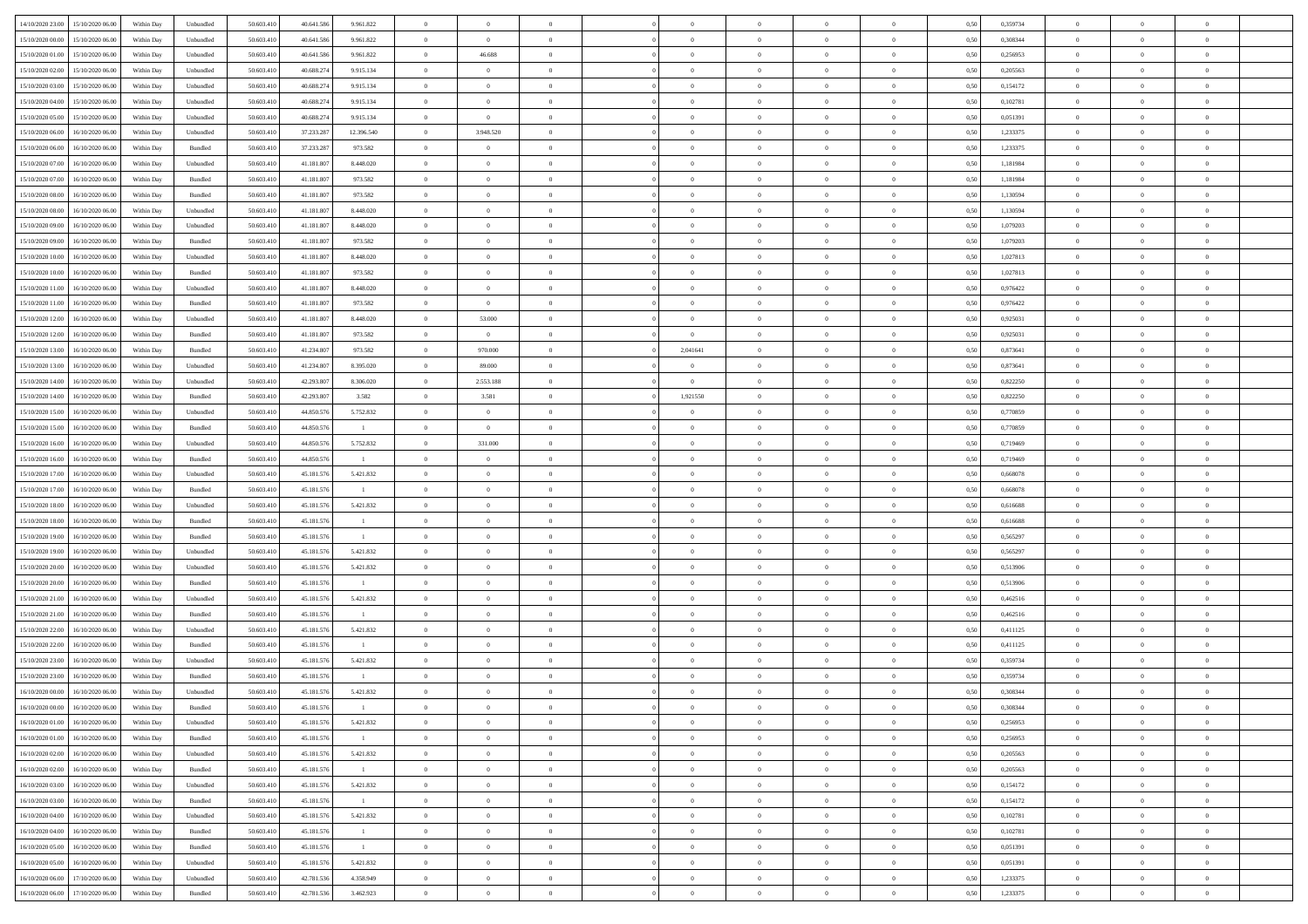| 14/10/2020 23.00 15/10/2020 06:00            | Within Day | Unbundled | 50.603.410 | 40.641.586 | 9.961.822      | $\overline{0}$ | $\overline{0}$ |                | $\overline{0}$ | $\theta$       |                | $\theta$       | 0,50 | 0,359734 | $\theta$       | $\theta$       | $\overline{0}$ |  |
|----------------------------------------------|------------|-----------|------------|------------|----------------|----------------|----------------|----------------|----------------|----------------|----------------|----------------|------|----------|----------------|----------------|----------------|--|
| 15/10/2020 00:00<br>15/10/2020 06.00         | Within Day | Unbundled | 50.603.41  | 40.641.58  | 9.961.822      | $\bf{0}$       | $\bf{0}$       | $\bf{0}$       | $\bf{0}$       | $\overline{0}$ | $\bf{0}$       | $\bf{0}$       | 0,50 | 0,308344 | $\,$ 0 $\,$    | $\bf{0}$       | $\overline{0}$ |  |
| 15/10/2020 01:00<br>15/10/2020 06:00         | Within Day | Unbundled | 50.603.41  | 40.641.586 | 9.961.822      | $\overline{0}$ | 46.688         | $\overline{0}$ | $\overline{0}$ | $\overline{0}$ | $\overline{0}$ | $\bf{0}$       | 0.50 | 0,256953 | $\overline{0}$ | $\,$ 0 $\,$    | $\bf{0}$       |  |
| 15/10/2020 02.00<br>15/10/2020 06:00         | Within Day | Unbundled | 50.603.41  | 40.688.274 | 9.915.134      | $\overline{0}$ | $\overline{0}$ | $\overline{0}$ | $\overline{0}$ | $\theta$       | $\overline{0}$ | $\bf{0}$       | 0,50 | 0,205563 | $\,$ 0 $\,$    | $\overline{0}$ | $\overline{0}$ |  |
| 15/10/2020 03:00<br>15/10/2020 06.00         | Within Day | Unbundled | 50.603.41  | 40.688.274 | 9.915.134      | $\bf{0}$       | $\overline{0}$ | $\bf{0}$       | $\overline{0}$ | $\bf{0}$       | $\overline{0}$ | $\bf{0}$       | 0,50 | 0,154172 | $\,$ 0 $\,$    | $\bf{0}$       | $\overline{0}$ |  |
|                                              |            |           |            |            |                |                |                |                |                |                |                |                |      |          |                |                |                |  |
| 15/10/2020 04:00<br>15/10/2020 06.00         | Within Day | Unbundled | 50.603.41  | 40.688.27  | 9.915.134      | $\overline{0}$ | $\bf{0}$       | $\overline{0}$ | $\bf{0}$       | $\overline{0}$ | $\overline{0}$ | $\bf{0}$       | 0.50 | 0.102781 | $\bf{0}$       | $\overline{0}$ | $\overline{0}$ |  |
| 15/10/2020 05:00<br>15/10/2020 06.00         | Within Day | Unbundled | 50.603.41  | 40.688.274 | 9.915.134      | $\overline{0}$ | $\bf{0}$       | $\overline{0}$ | $\overline{0}$ | $\overline{0}$ | $\overline{0}$ | $\bf{0}$       | 0,50 | 0,051391 | $\,$ 0 $\,$    | $\bf{0}$       | $\overline{0}$ |  |
| 15/10/2020 06:00<br>16/10/2020 06.00         | Within Day | Unbundled | 50.603.41  | 37.233.28  | 12.396.540     | $\bf{0}$       | 3.948.520      | $\bf{0}$       | $\bf{0}$       | $\overline{0}$ | $\overline{0}$ | $\bf{0}$       | 0,50 | 1,233375 | $\,$ 0 $\,$    | $\bf{0}$       | $\overline{0}$ |  |
| 15/10/2020 06:00<br>16/10/2020 06:00         | Within Day | Bundled   | 50.603.41  | 37.233.287 | 973.582        | $\overline{0}$ | $\overline{0}$ | $\overline{0}$ | $\bf{0}$       | $\overline{0}$ | $\overline{0}$ | $\bf{0}$       | 0.50 | 1.233375 | $\bf{0}$       | $\overline{0}$ | $\bf{0}$       |  |
| 15/10/2020 07:00<br>16/10/2020 06.00         | Within Day | Unbundled | 50.603.410 | 41.181.807 | 8.448.020      | $\bf{0}$       | $\bf{0}$       | $\overline{0}$ | $\overline{0}$ | $\overline{0}$ | $\overline{0}$ | $\bf{0}$       | 0,50 | 1,181984 | $\,$ 0 $\,$    | $\,$ 0 $\,$    | $\overline{0}$ |  |
| 15/10/2020 07:00<br>16/10/2020 06.00         | Within Day | Bundled   | 50.603.41  | 41.181.80  | 973.582        | $\bf{0}$       | $\bf{0}$       | $\bf{0}$       | $\bf{0}$       | $\overline{0}$ | $\overline{0}$ | $\bf{0}$       | 0,50 | 1,181984 | $\,$ 0 $\,$    | $\bf{0}$       | $\overline{0}$ |  |
| 15/10/2020 08:00<br>16/10/2020 06:00         | Within Day | Bundled   | 50.603.41  | 41.181.807 | 973.582        | $\overline{0}$ | $\bf{0}$       | $\overline{0}$ | $\overline{0}$ | $\overline{0}$ | $\overline{0}$ | $\bf{0}$       | 0.50 | 1,130594 | $\bf{0}$       | $\,$ 0 $\,$    | $\,$ 0         |  |
| 15/10/2020 08:00<br>16/10/2020 06.00         | Within Day | Unbundled | 50.603.41  | 41.181.807 | 8.448.020      | $\overline{0}$ | $\overline{0}$ | $\overline{0}$ | $\theta$       | $\theta$       | $\overline{0}$ | $\bf{0}$       | 0,50 | 1,130594 | $\,$ 0 $\,$    | $\,$ 0 $\,$    | $\overline{0}$ |  |
|                                              |            |           |            |            |                |                |                |                |                |                |                |                |      |          |                |                |                |  |
| 15/10/2020 09:00<br>16/10/2020 06.00         | Within Day | Unbundled | 50.603.41  | 41.181.80  | 8.448.020      | $\bf{0}$       | $\bf{0}$       | $\bf{0}$       | $\bf{0}$       | $\bf{0}$       | $\overline{0}$ | $\bf{0}$       | 0,50 | 1,079203 | $\,$ 0 $\,$    | $\bf{0}$       | $\overline{0}$ |  |
| 15/10/2020 09:00<br>16/10/2020 06:00         | Within Day | Bundled   | 50.603.41  | 41.181.80  | 973.582        | $\overline{0}$ | $\bf{0}$       | $\overline{0}$ | $\bf{0}$       | $\overline{0}$ | $\overline{0}$ | $\bf{0}$       | 0.50 | 1.079203 | $\,$ 0 $\,$    | $\bf{0}$       | $\overline{0}$ |  |
| 15/10/2020 10:00<br>16/10/2020 06.00         | Within Day | Unbundled | 50.603.41  | 41.181.807 | 8.448.020      | $\bf{0}$       | $\bf{0}$       | $\overline{0}$ | $\overline{0}$ | $\overline{0}$ | $\overline{0}$ | $\bf{0}$       | 0,50 | 1,027813 | $\theta$       | $\theta$       | $\overline{0}$ |  |
| 15/10/2020 10:00<br>16/10/2020 06.00         | Within Day | Bundled   | 50.603.41  | 41.181.80  | 973.582        | $\bf{0}$       | $\bf{0}$       | $\bf{0}$       | $\overline{0}$ | $\overline{0}$ | $\overline{0}$ | $\bf{0}$       | 0,50 | 1,027813 | $\,$ 0 $\,$    | $\bf{0}$       | $\overline{0}$ |  |
| 15/10/2020 11:00<br>16/10/2020 06:00         | Within Day | Unbundled | 50.603.41  | 41.181.80  | 8.448.020      | $\overline{0}$ | $\bf{0}$       | $\overline{0}$ | $\bf{0}$       | $\bf{0}$       | $\overline{0}$ | $\bf{0}$       | 0.50 | 0.976422 | $\bf{0}$       | $\overline{0}$ | $\bf{0}$       |  |
| 15/10/2020 11:00<br>16/10/2020 06:00         | Within Day | Bundled   | 50.603.410 | 41.181.807 | 973.582        | $\bf{0}$       | $\overline{0}$ | $\overline{0}$ | $\overline{0}$ | $\overline{0}$ | $\overline{0}$ | $\bf{0}$       | 0,50 | 0,976422 | $\,$ 0 $\,$    | $\bf{0}$       | $\overline{0}$ |  |
| 15/10/2020 12:00<br>16/10/2020 06.00         | Within Day | Unbundled | 50.603.41  | 41.181.80  | 8.448.020      | $\bf{0}$       | 53.000         | $\bf{0}$       | $\bf{0}$       | $\overline{0}$ | $\overline{0}$ | $\bf{0}$       | 0,50 | 0,925031 | $\,$ 0 $\,$    | $\bf{0}$       | $\overline{0}$ |  |
|                                              |            |           |            |            |                |                |                |                |                |                |                |                |      |          |                |                |                |  |
| 15/10/2020 12:00<br>16/10/2020 06.00         | Within Day | Bundled   | 50,603.41  | 41.181.807 | 973.582        | $\overline{0}$ | $\overline{0}$ | $\overline{0}$ | $\overline{0}$ | $\bf{0}$       | $\overline{0}$ | $\bf{0}$       | 0.50 | 0,925031 | $\bf{0}$       | $\,$ 0 $\,$    | $\,$ 0         |  |
| 15/10/2020 13:00<br>16/10/2020 06:00         | Within Day | Bundled   | 50.603.41  | 41.234.807 | 973.582        | $\overline{0}$ | 970.000        | $\overline{0}$ | 2,041641       | $\theta$       | $\overline{0}$ | $\bf{0}$       | 0,50 | 0,873641 | $\theta$       | $\overline{0}$ | $\overline{0}$ |  |
| 15/10/2020 13:00<br>16/10/2020 06.00         | Within Day | Unbundled | 50.603.41  | 41.234.80  | 8.395.020      | $\bf{0}$       | 89.000         | $\bf{0}$       | $\overline{0}$ | $\overline{0}$ | $\overline{0}$ | $\bf{0}$       | 0,50 | 0,873641 | $\,$ 0 $\,$    | $\bf{0}$       | $\overline{0}$ |  |
| 15/10/2020 14:00<br>16/10/2020 06:00         | Within Day | Unbundled | 50.603.41  | 42.293.80  | 8.306.020      | $\overline{0}$ | 2.553.188      | $\overline{0}$ | $\overline{0}$ | $\overline{0}$ | $\overline{0}$ | $\bf{0}$       | 0.50 | 0.822250 | $\bf{0}$       | $\overline{0}$ | $\overline{0}$ |  |
| 15/10/2020 14:00<br>16/10/2020 06.00         | Within Day | Bundled   | 50.603.41  | 42.293.807 | 3.582          | $\bf{0}$       | 3.581          | $\overline{0}$ | 1,921550       | $\overline{0}$ | $\overline{0}$ | $\bf{0}$       | 0,50 | 0,822250 | $\,$ 0 $\,$    | $\theta$       | $\overline{0}$ |  |
| 15/10/2020 15:00<br>16/10/2020 06.00         | Within Day | Unbundled | 50.603.41  | 44.850.576 | 5.752.832      | $\bf{0}$       | $\overline{0}$ | $\bf{0}$       | $\overline{0}$ | $\overline{0}$ | $\overline{0}$ | $\bf{0}$       | 0,50 | 0,770859 | $\,$ 0 $\,$    | $\bf{0}$       | $\overline{0}$ |  |
| 15/10/2020 15:00<br>16/10/2020 06:00         | Within Day | Bundled   | 50,603.41  | 44.850.576 | $\blacksquare$ | $\overline{0}$ | $\overline{0}$ | $\overline{0}$ | $\bf{0}$       | $\overline{0}$ | $\overline{0}$ | $\bf{0}$       | 0.50 | 0.770859 | $\bf{0}$       | $\overline{0}$ | $\bf{0}$       |  |
| 15/10/2020 16:00<br>16/10/2020 06.00         | Within Day | Unbundled | 50.603.410 | 44.850.576 | 5.752.832      | $\overline{0}$ | 331.000        | $\overline{0}$ | $\overline{0}$ | $\overline{0}$ | $\overline{0}$ | $\bf{0}$       | 0,50 | 0,719469 | $\,$ 0 $\,$    | $\overline{0}$ | $\overline{0}$ |  |
|                                              |            |           |            |            |                |                |                |                |                |                |                |                |      |          |                |                |                |  |
| 15/10/2020 16:00<br>16/10/2020 06.00         | Within Day | Bundled   | 50.603.41  | 44.850.576 | $\blacksquare$ | $\bf{0}$       | $\bf{0}$       | $\bf{0}$       | $\bf{0}$       | $\overline{0}$ | $\bf{0}$       | $\bf{0}$       | 0,50 | 0,719469 | $\,$ 0 $\,$    | $\bf{0}$       | $\overline{0}$ |  |
| 15/10/2020 17:00<br>16/10/2020 06:00         | Within Day | Unbundled | 50.603.41  | 45.181.576 | 5.421.832      | $\overline{0}$ | $\bf{0}$       | $\overline{0}$ | $\overline{0}$ | $\overline{0}$ | $\overline{0}$ | $\bf{0}$       | 0.50 | 0.668078 | $\bf{0}$       | $\,$ 0 $\,$    | $\,$ 0         |  |
| 15/10/2020 17:00<br>16/10/2020 06:00         | Within Day | Bundled   | 50.603.41  | 45.181.576 | $\blacksquare$ | $\overline{0}$ | $\overline{0}$ | $\overline{0}$ | $\overline{0}$ | $\overline{0}$ | $\overline{0}$ | $\bf{0}$       | 0.5( | 0,668078 | $\theta$       | $\theta$       | $\overline{0}$ |  |
| 15/10/2020 18:00<br>16/10/2020 06.00         | Within Day | Unbundled | 50.603.41  | 45.181.576 | 5.421.832      | $\bf{0}$       | $\bf{0}$       | $\bf{0}$       | $\bf{0}$       | $\overline{0}$ | $\overline{0}$ | $\bf{0}$       | 0,50 | 0,616688 | $\,$ 0 $\,$    | $\bf{0}$       | $\overline{0}$ |  |
| 15/10/2020 18:00<br>16/10/2020 06.00         | Within Day | Bundled   | 50,603.41  | 45.181.576 | $\mathbf{1}$   | $\overline{0}$ | $\bf{0}$       | $\overline{0}$ | $\bf{0}$       | $\overline{0}$ | $\overline{0}$ | $\bf{0}$       | 0.50 | 0.616688 | $\,$ 0 $\,$    | $\bf{0}$       | $\overline{0}$ |  |
| 15/10/2020 19:00<br>16/10/2020 06:00         | Within Day | Bundled   | 50.603.41  | 45.181.576 | $\blacksquare$ | $\overline{0}$ | $\overline{0}$ | $\overline{0}$ | $\overline{0}$ | $\overline{0}$ | $\overline{0}$ | $\bf{0}$       | 0.50 | 0,565297 | $\theta$       | $\theta$       | $\overline{0}$ |  |
| 15/10/2020 19:00<br>16/10/2020 06.00         | Within Day | Unbundled | 50.603.41  | 45.181.576 | 5.421.832      | $\bf{0}$       | $\bf{0}$       | $\bf{0}$       | $\bf{0}$       | $\overline{0}$ | $\overline{0}$ | $\bf{0}$       | 0,50 | 0,565297 | $\,$ 0 $\,$    | $\bf{0}$       | $\overline{0}$ |  |
| 15/10/2020 20:00<br>16/10/2020 06:00         | Within Day | Unbundled | 50.603.41  | 45.181.576 | 5.421.832      | $\overline{0}$ | $\bf{0}$       | $\overline{0}$ | $\bf{0}$       | $\overline{0}$ | $\overline{0}$ | $\bf{0}$       | 0.50 | 0.513906 | $\bf{0}$       | $\overline{0}$ | $\bf{0}$       |  |
| 15/10/2020 20:00<br>16/10/2020 06:00         | Within Day | Bundled   | 50.603.41  | 45.181.576 | $\blacksquare$ | $\overline{0}$ | $\overline{0}$ | $\overline{0}$ | $\overline{0}$ | $\overline{0}$ | $\overline{0}$ | $\bf{0}$       | 0.50 | 0,513906 | $\theta$       | $\overline{0}$ | $\overline{0}$ |  |
|                                              |            |           |            |            |                |                |                |                |                |                |                |                |      |          |                |                |                |  |
| 15/10/2020 21:00<br>16/10/2020 06.00         | Within Day | Unbundled | 50.603.41  | 45.181.576 | 5.421.832      | $\bf{0}$       | $\bf{0}$       | $\bf{0}$       | $\bf{0}$       | $\overline{0}$ | $\bf{0}$       | $\bf{0}$       | 0,50 | 0,462516 | $\,$ 0 $\,$    | $\bf{0}$       | $\overline{0}$ |  |
| 15/10/2020 21:00<br>16/10/2020 06:00         | Within Day | Bundled   | 50.603.41  | 45.181.576 | $\blacksquare$ | $\overline{0}$ | $\bf{0}$       | $\overline{0}$ | $\overline{0}$ | $\bf{0}$       | $\overline{0}$ | $\bf{0}$       | 0.50 | 0.462516 | $\bf{0}$       | $\,$ 0 $\,$    | $\,$ 0         |  |
| 15/10/2020 22:00<br>16/10/2020 06:00         | Within Day | Unbundled | 50.603.41  | 45.181.576 | 5.421.832      | $\overline{0}$ | $\overline{0}$ | $\overline{0}$ | $\overline{0}$ | $\overline{0}$ | $\overline{0}$ | $\bf{0}$       | 0.5( | 0,411125 | $\theta$       | $\theta$       | $\overline{0}$ |  |
| 15/10/2020 22.00<br>16/10/2020 06.00         | Within Day | Bundled   | 50.603.41  | 45.181.576 | $\blacksquare$ | $\bf{0}$       | $\bf{0}$       | $\bf{0}$       | $\bf{0}$       | $\overline{0}$ | $\overline{0}$ | $\bf{0}$       | 0,50 | 0,411125 | $\,$ 0 $\,$    | $\bf{0}$       | $\overline{0}$ |  |
| 15/10/2020 23.00<br>16/10/2020 06.00         | Within Day | Unbundled | 50.603.41  | 45.181.576 | 5.421.832      | $\overline{0}$ | $\bf{0}$       | $\overline{0}$ | $\bf{0}$       | $\overline{0}$ | $\overline{0}$ | $\bf{0}$       | 0.50 | 0.359734 | $\bf{0}$       | $\overline{0}$ | $\overline{0}$ |  |
| 15/10/2020 23:00<br>16/10/2020 06:00         | Within Day | Bundled   | 50.603.41  | 45.181.576 | $\mathbf{1}$   | $\overline{0}$ | $\overline{0}$ | $\overline{0}$ | $\overline{0}$ | $\theta$       | $\overline{0}$ | $\overline{0}$ | 0.50 | 0,359734 | $\theta$       | $\theta$       | $\overline{0}$ |  |
| 16/10/2020 00:00<br>16/10/2020 06.00         | Within Day | Unbundled | 50.603.41  | 45.181.576 | 5.421.832      | $\bf{0}$       | $\bf{0}$       | $\bf{0}$       | $\bf{0}$       | $\overline{0}$ | $\overline{0}$ | $\bf{0}$       | 0,50 | 0,308344 | $\overline{0}$ | $\overline{0}$ | $\overline{0}$ |  |
| $16/10/2020\ 00.00 \qquad 16/10/2020\ 06.00$ | Within Day | Bundled   | 50.603.410 | 45.181.576 |                | $\bf{0}$       | $\bf{0}$       |                | $\overline{0}$ | $\bf{0}$       |                |                | 0,50 | 0.308344 | $\bf{0}$       | $\bf{0}$       |                |  |
|                                              |            |           |            |            |                |                |                |                |                |                |                |                |      |          |                |                |                |  |
| 16/10/2020 01:00 16/10/2020 06:00            | Within Day | Unbundled | 50.603.410 | 45.181.576 | 5.421.832      | $\overline{0}$ | $\overline{0}$ | $\overline{0}$ | $\theta$       | $\overline{0}$ | $\overline{0}$ | $\bf{0}$       | 0,50 | 0,256953 | $\theta$       | $\overline{0}$ | $\overline{0}$ |  |
| 16/10/2020 01:00<br>16/10/2020 06.00         | Within Day | Bundled   | 50.603.41  | 45.181.576 | $\blacksquare$ | $\overline{0}$ | $\bf{0}$       | $\overline{0}$ | $\overline{0}$ | $\bf{0}$       | $\overline{0}$ | $\bf{0}$       | 0,50 | 0,256953 | $\bf{0}$       | $\overline{0}$ | $\bf{0}$       |  |
| 16/10/2020 02:00 16/10/2020 06:00            | Within Day | Unbundled | 50,603.410 | 45.181.576 | 5.421.832      | $\overline{0}$ | $\overline{0}$ | $\overline{0}$ | $\overline{0}$ | $\mathbf{0}$   | $\overline{0}$ | $\,$ 0 $\,$    | 0.50 | 0.205563 | $\overline{0}$ | $\bf{0}$       | $\,$ 0 $\,$    |  |
| 16/10/2020 02:00 16/10/2020 06:00            | Within Day | Bundled   | 50.603.410 | 45.181.576 | $\mathbf{1}$   | $\overline{0}$ | $\overline{0}$ | $\overline{0}$ | $\overline{0}$ | $\overline{0}$ | $\overline{0}$ | $\bf{0}$       | 0,50 | 0,205563 | $\overline{0}$ | $\theta$       | $\overline{0}$ |  |
| 16/10/2020 03:00<br>16/10/2020 06.00         | Within Day | Unbundled | 50.603.41  | 45.181.576 | 5.421.832      | $\overline{0}$ | $\bf{0}$       | $\overline{0}$ | $\overline{0}$ | $\bf{0}$       | $\overline{0}$ | $\bf{0}$       | 0,50 | 0,154172 | $\bf{0}$       | $\overline{0}$ | $\overline{0}$ |  |
| 16/10/2020 06:00<br>16/10/2020 03:00         | Within Day | Bundled   | 50.603.410 | 45.181.576 | $\blacksquare$ | $\overline{0}$ | $\bf{0}$       | $\overline{0}$ | $\overline{0}$ | $\overline{0}$ | $\overline{0}$ | $\bf{0}$       | 0.50 | 0,154172 | $\,$ 0 $\,$    | $\overline{0}$ | $\overline{0}$ |  |
| 16/10/2020 04:00<br>16/10/2020 06:00         | Within Dav | Unbundled | 50.603.410 | 45.181.576 | 5.421.832      | $\overline{0}$ | $\overline{0}$ | $\overline{0}$ | $\overline{0}$ | $\overline{0}$ | $\overline{0}$ | $\bf{0}$       | 0,50 | 0,102781 | $\overline{0}$ | $\theta$       | $\overline{0}$ |  |
| 16/10/2020 04:00<br>16/10/2020 06.00         | Within Day | Bundled   | 50.603.41  | 45.181.576 | $\blacksquare$ | $\overline{0}$ | $\overline{0}$ | $\overline{0}$ | $\overline{0}$ | $\overline{0}$ | $\overline{0}$ | $\bf{0}$       | 0,50 | 0,102781 | $\bf{0}$       | $\overline{0}$ | $\overline{0}$ |  |
|                                              |            |           |            |            |                |                |                |                |                |                |                |                |      |          |                |                |                |  |
| 16/10/2020 05:00<br>16/10/2020 06:00         | Within Day | Bundled   | 50,603.410 | 45.181.576 | $\overline{1}$ | $\overline{0}$ | $\overline{0}$ | $\overline{0}$ | $\overline{0}$ | $\overline{0}$ | $\overline{0}$ | $\bf{0}$       | 0.50 | 0.051391 | $\mathbf{0}$   | $\bf{0}$       | $\,$ 0         |  |
| 16/10/2020 05:00<br>16/10/2020 06:00         | Within Dav | Unbundled | 50.603.410 | 45.181.576 | 5.421.832      | $\overline{0}$ | $\overline{0}$ | $\overline{0}$ | $\overline{0}$ | $\overline{0}$ | $\overline{0}$ | $\bf{0}$       | 0,50 | 0,051391 | $\overline{0}$ | $\theta$       | $\overline{0}$ |  |
| 16/10/2020 06.00<br>17/10/2020 06.00         | Within Day | Unbundled | 50.603.41  | 42.781.536 | 4.358.949      | $\overline{0}$ | $\bf{0}$       | $\overline{0}$ | $\overline{0}$ | $\overline{0}$ | $\overline{0}$ | $\bf{0}$       | 0,50 | 1,233375 | $\bf{0}$       | $\overline{0}$ | $\bf{0}$       |  |
| 16/10/2020 06:00 17/10/2020 06:00            | Within Day | Bundled   | 50.603.410 | 42.781.536 | 3.462.923      | $\,$ 0 $\,$    | $\bf{0}$       | $\overline{0}$ | $\overline{0}$ | $\,$ 0 $\,$    | $\overline{0}$ | $\bf{0}$       | 0,50 | 1,233375 | $\overline{0}$ | $\,$ 0 $\,$    | $\,$ 0 $\,$    |  |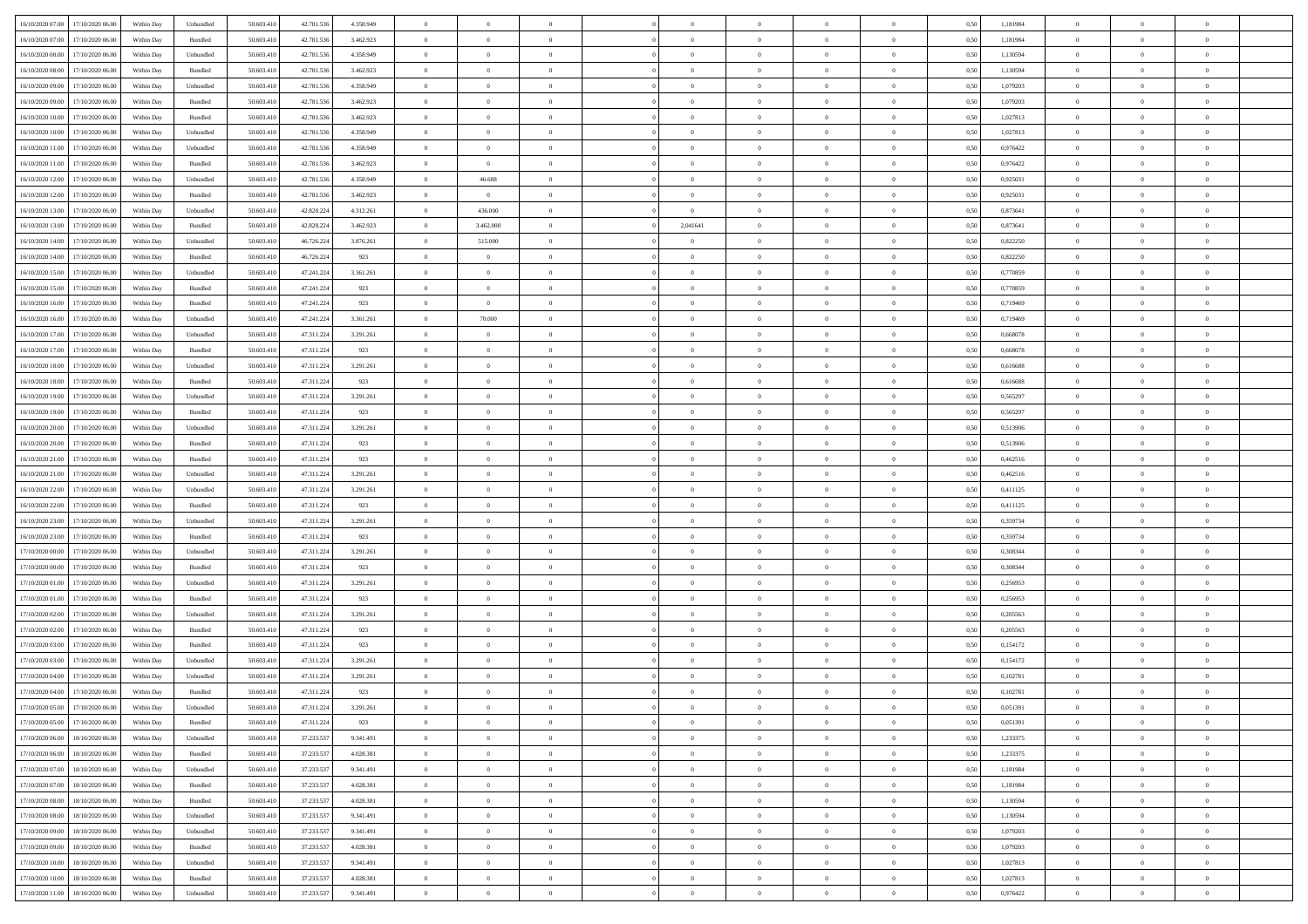| 16/10/2020 07:00 17/10/2020 06:00    | Within Day | Unbundled         | 50.603.410 | 42.781.536 | 4.358.949 | $\overline{0}$ | $\theta$       |                | $\overline{0}$ | $\theta$       |                | $\theta$       | 0,50 | 1,181984 | $\theta$       | $\theta$       | $\overline{0}$ |  |
|--------------------------------------|------------|-------------------|------------|------------|-----------|----------------|----------------|----------------|----------------|----------------|----------------|----------------|------|----------|----------------|----------------|----------------|--|
| 16/10/2020 07.00<br>17/10/2020 06.00 | Within Day | Bundled           | 50.603.41  | 42.781.53  | 3.462.923 | $\bf{0}$       | $\bf{0}$       | $\bf{0}$       | $\bf{0}$       | $\overline{0}$ | $\bf{0}$       | $\bf{0}$       | 0,50 | 1,181984 | $\,$ 0 $\,$    | $\bf{0}$       | $\overline{0}$ |  |
| 16/10/2020 08:00<br>17/10/2020 06:00 | Within Day | Unbundled         | 50.603.41  | 42.781.536 | 4.358.949 | $\overline{0}$ | $\bf{0}$       | $\overline{0}$ | $\overline{0}$ | $\overline{0}$ | $\overline{0}$ | $\bf{0}$       | 0.50 | 1,130594 | $\overline{0}$ | $\overline{0}$ | $\bf{0}$       |  |
| 16/10/2020 08:00<br>17/10/2020 06:00 | Within Day | Bundled           | 50.603.41  | 42.781.536 | 3.462.923 | $\overline{0}$ | $\overline{0}$ | $\overline{0}$ | $\overline{0}$ | $\theta$       | $\overline{0}$ | $\bf{0}$       | 0,50 | 1,130594 | $\,$ 0 $\,$    | $\overline{0}$ | $\overline{0}$ |  |
| 16/10/2020 09:00<br>17/10/2020 06.00 | Within Day | Unbundled         | 50.603.41  | 42.781.53  | 4.358.949 | $\bf{0}$       | $\bf{0}$       | $\bf{0}$       | $\overline{0}$ | $\bf{0}$       | $\overline{0}$ | $\bf{0}$       | 0,50 | 1,079203 | $\,$ 0 $\,$    | $\bf{0}$       | $\overline{0}$ |  |
| 16/10/2020 09:00<br>17/10/2020 06.00 | Within Day | Bundled           | 50.603.41  | 42.781.53  | 3.462.923 | $\overline{0}$ | $\bf{0}$       | $\overline{0}$ | $\bf{0}$       | $\overline{0}$ | $\overline{0}$ | $\bf{0}$       | 0.50 | 1.079203 | $\bf{0}$       | $\overline{0}$ | $\overline{0}$ |  |
| 16/10/2020 10:00<br>17/10/2020 06.00 | Within Day | Bundled           | 50.603.41  | 42.781.536 | 3.462.923 | $\bf{0}$       | $\bf{0}$       | $\overline{0}$ | $\overline{0}$ | $\overline{0}$ | $\overline{0}$ | $\bf{0}$       | 0,50 | 1,027813 | $\,$ 0 $\,$    | $\bf{0}$       | $\overline{0}$ |  |
|                                      |            |                   |            |            |           |                |                |                |                |                |                |                |      |          |                |                |                |  |
| 16/10/2020 10:00<br>17/10/2020 06.00 | Within Day | Unbundled         | 50.603.41  | 42.781.53  | 4.358.949 | $\bf{0}$       | $\bf{0}$       | $\bf{0}$       | $\bf{0}$       | $\overline{0}$ | $\overline{0}$ | $\bf{0}$       | 0,50 | 1,027813 | $\,$ 0 $\,$    | $\bf{0}$       | $\overline{0}$ |  |
| 16/10/2020 11:00<br>17/10/2020 06:00 | Within Day | Unbundled         | 50.603.41  | 42.781.53  | 4.358.949 | $\overline{0}$ | $\bf{0}$       | $\overline{0}$ | $\bf{0}$       | $\overline{0}$ | $\overline{0}$ | $\bf{0}$       | 0.50 | 0.976422 | $\bf{0}$       | $\overline{0}$ | $\bf{0}$       |  |
| 16/10/2020 11:00<br>17/10/2020 06.00 | Within Day | Bundled           | 50.603.410 | 42.781.536 | 3.462.923 | $\overline{0}$ | $\bf{0}$       | $\overline{0}$ | $\overline{0}$ | $\overline{0}$ | $\overline{0}$ | $\bf{0}$       | 0,50 | 0,976422 | $\,$ 0 $\,$    | $\overline{0}$ | $\overline{0}$ |  |
| 16/10/2020 12:00<br>17/10/2020 06.00 | Within Day | Unbundled         | 50.603.41  | 42.781.53  | 4.358.949 | $\bf{0}$       | 46.688         | $\bf{0}$       | $\bf{0}$       | $\overline{0}$ | $\overline{0}$ | $\bf{0}$       | 0,50 | 0,925031 | $\,$ 0 $\,$    | $\bf{0}$       | $\overline{0}$ |  |
| 16/10/2020 12:00<br>17/10/2020 06:00 | Within Day | Bundled           | 50.603.41  | 42.781.536 | 3.462.923 | $\overline{0}$ | $\overline{0}$ | $\overline{0}$ | $\overline{0}$ | $\overline{0}$ | $\overline{0}$ | $\bf{0}$       | 0.50 | 0,925031 | $\bf{0}$       | $\,$ 0 $\,$    | $\,$ 0         |  |
| 16/10/2020 13:00<br>17/10/2020 06.00 | Within Day | Unbundled         | 50.603.41  | 42.828.224 | 4.312.261 | $\overline{0}$ | 436.000        | $\overline{0}$ | $\overline{0}$ | $\theta$       | $\overline{0}$ | $\bf{0}$       | 0,50 | 0,873641 | $\,$ 0 $\,$    | $\,$ 0 $\,$    | $\overline{0}$ |  |
| 16/10/2020 13:00<br>17/10/2020 06.00 | Within Day | Bundled           | 50.603.41  | 42.828.224 | 3.462.923 | $\bf{0}$       | 3.462.000      | $\bf{0}$       | 2,041641       | $\bf{0}$       | $\overline{0}$ | $\bf{0}$       | 0,50 | 0,873641 | $\,$ 0 $\,$    | $\bf{0}$       | $\overline{0}$ |  |
| 16/10/2020 14:00<br>17/10/2020 06.00 | Within Day | Unbundled         | 50.603.41  | 46.726.224 | 3.876.261 | $\overline{0}$ | 515.000        | $\overline{0}$ | $\bf{0}$       | $\overline{0}$ | $\overline{0}$ | $\bf{0}$       | 0.50 | 0.822250 | $\,$ 0 $\,$    | $\overline{0}$ | $\overline{0}$ |  |
| 16/10/2020 14:00<br>17/10/2020 06.00 | Within Day | Bundled           | 50.603.410 | 46.726.224 | 923       | $\bf{0}$       | $\bf{0}$       | $\overline{0}$ | $\overline{0}$ | $\overline{0}$ | $\overline{0}$ | $\bf{0}$       | 0,50 | 0,822250 | $\,$ 0 $\,$    | $\theta$       | $\overline{0}$ |  |
| 16/10/2020 15:00<br>17/10/2020 06.00 | Within Day | Unbundled         | 50.603.41  | 47.241.224 | 3.361.261 | $\bf{0}$       | $\bf{0}$       | $\bf{0}$       | $\bf{0}$       | $\overline{0}$ | $\overline{0}$ | $\bf{0}$       | 0,50 | 0,770859 | $\,$ 0 $\,$    | $\bf{0}$       | $\overline{0}$ |  |
| 16/10/2020 15:00<br>17/10/2020 06:00 | Within Day | Bundled           | 50.603.41  | 47.241.224 | 923       | $\overline{0}$ | $\bf{0}$       | $\overline{0}$ | $\bf{0}$       | $\overline{0}$ | $\overline{0}$ | $\bf{0}$       | 0.50 | 0.770859 | $\bf{0}$       | $\overline{0}$ | $\bf{0}$       |  |
|                                      |            |                   |            |            |           | $\overline{0}$ |                | $\overline{0}$ | $\overline{0}$ |                | $\overline{0}$ |                |      |          | $\,$ 0 $\,$    |                |                |  |
| 16/10/2020 16:00<br>17/10/2020 06:00 | Within Day | Bundled           | 50.603.410 | 47.241.224 | 923       |                | $\bf{0}$       |                |                | $\overline{0}$ |                | $\bf{0}$       | 0,50 | 0,719469 |                | $\bf{0}$       | $\overline{0}$ |  |
| 16/10/2020 16:00<br>17/10/2020 06.00 | Within Day | Unbundled         | 50.603.41  | 47.241.224 | 3.361.261 | $\bf{0}$       | 70.000         | $\bf{0}$       | $\bf{0}$       | $\overline{0}$ | $\overline{0}$ | $\bf{0}$       | 0,50 | 0,719469 | $\,$ 0 $\,$    | $\bf{0}$       | $\overline{0}$ |  |
| 16/10/2020 17:00<br>17/10/2020 06.00 | Within Day | Unbundled         | 50.603.41  | 47.311.224 | 3.291.261 | $\overline{0}$ | $\overline{0}$ | $\overline{0}$ | $\overline{0}$ | $\bf{0}$       | $\overline{0}$ | $\bf{0}$       | 0.50 | 0.668078 | $\bf{0}$       | $\,$ 0 $\,$    | $\,$ 0         |  |
| 16/10/2020 17:00<br>17/10/2020 06:00 | Within Day | Bundled           | 50.603.41  | 47.311.224 | 923       | $\overline{0}$ | $\overline{0}$ | $\overline{0}$ | $\overline{0}$ | $\overline{0}$ | $\overline{0}$ | $\bf{0}$       | 0,50 | 0,668078 | $\theta$       | $\overline{0}$ | $\overline{0}$ |  |
| 16/10/2020 18:00<br>17/10/2020 06.00 | Within Day | Unbundled         | 50.603.41  | 47.311.224 | 3.291.261 | $\bf{0}$       | $\bf{0}$       | $\bf{0}$       | $\bf{0}$       | $\overline{0}$ | $\overline{0}$ | $\bf{0}$       | 0,50 | 0,616688 | $\,$ 0 $\,$    | $\bf{0}$       | $\overline{0}$ |  |
| 16/10/2020 18:00<br>17/10/2020 06.00 | Within Day | Bundled           | 50.603.41  | 47.311.224 | 923       | $\overline{0}$ | $\bf{0}$       | $\overline{0}$ | $\bf{0}$       | $\overline{0}$ | $\overline{0}$ | $\bf{0}$       | 0.50 | 0.616688 | $\bf{0}$       | $\overline{0}$ | $\overline{0}$ |  |
| 16/10/2020 19:00<br>17/10/2020 06.00 | Within Day | Unbundled         | 50.603.41  | 47.311.224 | 3.291.261 | $\overline{0}$ | $\bf{0}$       | $\overline{0}$ | $\overline{0}$ | $\overline{0}$ | $\overline{0}$ | $\bf{0}$       | 0,50 | 0,565297 | $\,$ 0 $\,$    | $\theta$       | $\overline{0}$ |  |
| 16/10/2020 19:00<br>17/10/2020 06.00 | Within Day | Bundled           | 50.603.41  | 47.311.224 | 923       | $\bf{0}$       | $\overline{0}$ | $\bf{0}$       | $\bf{0}$       | $\overline{0}$ | $\overline{0}$ | $\bf{0}$       | 0,50 | 0,565297 | $\,$ 0 $\,$    | $\bf{0}$       | $\overline{0}$ |  |
| 16/10/2020 20:00<br>17/10/2020 06:00 | Within Day | Unbundled         | 50,603.41  | 47.311.224 | 3.291.261 | $\overline{0}$ | $\bf{0}$       | $\overline{0}$ | $\bf{0}$       | $\overline{0}$ | $\overline{0}$ | $\bf{0}$       | 0.50 | 0.513906 | $\bf{0}$       | $\overline{0}$ | $\bf{0}$       |  |
| 16/10/2020 20:00<br>17/10/2020 06:00 | Within Day | Bundled           | 50.603.410 | 47.311.224 | 923       | $\overline{0}$ | $\bf{0}$       | $\overline{0}$ | $\overline{0}$ | $\overline{0}$ | $\overline{0}$ | $\bf{0}$       | 0,50 | 0,513906 | $\,$ 0 $\,$    | $\overline{0}$ | $\overline{0}$ |  |
| 16/10/2020 21:00<br>17/10/2020 06.00 | Within Day | Bundled           | 50.603.41  | 47.311.224 | 923       | $\bf{0}$       | $\bf{0}$       | $\bf{0}$       | $\bf{0}$       | $\overline{0}$ | $\bf{0}$       | $\bf{0}$       | 0,50 | 0,462516 | $\,$ 0 $\,$    | $\bf{0}$       | $\overline{0}$ |  |
| 16/10/2020 21:00<br>17/10/2020 06:00 | Within Day | Unbundled         | 50.603.41  | 47.311.224 | 3.291.261 | $\overline{0}$ | $\bf{0}$       | $\overline{0}$ | $\overline{0}$ | $\bf{0}$       | $\overline{0}$ | $\bf{0}$       | 0.50 | 0.462516 | $\overline{0}$ | $\,$ 0 $\,$    | $\,$ 0         |  |
| 16/10/2020 22:00<br>17/10/2020 06.00 | Within Day | Unbundled         | 50.603.41  | 47.311.224 | 3.291.261 | $\overline{0}$ | $\overline{0}$ | $\overline{0}$ | $\overline{0}$ | $\overline{0}$ | $\overline{0}$ | $\bf{0}$       | 0.5( | 0,411125 | $\theta$       | $\theta$       | $\overline{0}$ |  |
|                                      |            |                   |            |            |           |                |                |                |                |                | $\overline{0}$ |                |      |          |                |                |                |  |
| 16/10/2020 22.00<br>17/10/2020 06.00 | Within Day | Bundled           | 50.603.41  | 47.311.224 | 923       | $\bf{0}$       | $\bf{0}$       | $\bf{0}$       | $\bf{0}$       | $\overline{0}$ |                | $\bf{0}$       | 0,50 | 0,411125 | $\,$ 0 $\,$    | $\bf{0}$       | $\overline{0}$ |  |
| 16/10/2020 23:00<br>17/10/2020 06.00 | Within Day | Unbundled         | 50.603.41  | 47.311.224 | 3.291.261 | $\overline{0}$ | $\bf{0}$       | $\overline{0}$ | $\bf{0}$       | $\overline{0}$ | $\overline{0}$ | $\bf{0}$       | 0.50 | 0.359734 | $\bf{0}$       | $\bf{0}$       | $\overline{0}$ |  |
| 16/10/2020 23:00<br>17/10/2020 06.00 | Within Day | Bundled           | 50.603.41  | 47.311.224 | 923       | $\overline{0}$ | $\overline{0}$ | $\overline{0}$ | $\overline{0}$ | $\overline{0}$ | $\overline{0}$ | $\bf{0}$       | 0.50 | 0,359734 | $\theta$       | $\theta$       | $\overline{0}$ |  |
| 17/10/2020 00:00<br>17/10/2020 06.00 | Within Day | Unbundled         | 50.603.41  | 47.311.224 | 3.291.261 | $\bf{0}$       | $\bf{0}$       | $\bf{0}$       | $\bf{0}$       | $\overline{0}$ | $\overline{0}$ | $\bf{0}$       | 0,50 | 0,308344 | $\,$ 0 $\,$    | $\bf{0}$       | $\overline{0}$ |  |
| 17/10/2020 00:00<br>17/10/2020 06:00 | Within Day | Bundled           | 50.603.41  | 47.311.224 | 923       | $\overline{0}$ | $\bf{0}$       | $\overline{0}$ | $\bf{0}$       | $\overline{0}$ | $\overline{0}$ | $\bf{0}$       | 0.50 | 0.308344 | $\bf{0}$       | $\overline{0}$ | $\bf{0}$       |  |
| 17/10/2020 01:00<br>17/10/2020 06.00 | Within Day | Unbundled         | 50.603.41  | 47.311.224 | 3.291.261 | $\overline{0}$ | $\overline{0}$ | $\overline{0}$ | $\overline{0}$ | $\overline{0}$ | $\overline{0}$ | $\bf{0}$       | 0.50 | 0,256953 | $\theta$       | $\overline{0}$ | $\overline{0}$ |  |
| 17/10/2020 01:00<br>17/10/2020 06.00 | Within Day | Bundled           | 50.603.41  | 47.311.224 | 923       | $\bf{0}$       | $\bf{0}$       | $\bf{0}$       | $\bf{0}$       | $\overline{0}$ | $\bf{0}$       | $\bf{0}$       | 0,50 | 0,256953 | $\,$ 0 $\,$    | $\bf{0}$       | $\overline{0}$ |  |
| 17/10/2020 02:00<br>17/10/2020 06.00 | Within Day | Unbundled         | 50.603.41  | 47.311.224 | 3.291.261 | $\overline{0}$ | $\bf{0}$       | $\overline{0}$ | $\overline{0}$ | $\bf{0}$       | $\overline{0}$ | $\bf{0}$       | 0.50 | 0.205563 | $\bf{0}$       | $\,$ 0 $\,$    | $\,$ 0         |  |
| 17/10/2020 02:00<br>17/10/2020 06.00 | Within Day | Bundled           | 50.603.41  | 47.311.224 | 923       | $\overline{0}$ | $\overline{0}$ | $\overline{0}$ | $\overline{0}$ | $\overline{0}$ | $\overline{0}$ | $\bf{0}$       | 0.5( | 0,205563 | $\theta$       | $\theta$       | $\overline{0}$ |  |
| 17/10/2020 03:00<br>17/10/2020 06.00 | Within Day | Bundled           | 50.603.41  | 47.311.224 | 923       | $\bf{0}$       | $\bf{0}$       | $\bf{0}$       | $\bf{0}$       | $\overline{0}$ | $\overline{0}$ | $\bf{0}$       | 0,50 | 0,154172 | $\,$ 0 $\,$    | $\bf{0}$       | $\overline{0}$ |  |
| 17/10/2020 03:00<br>17/10/2020 06.00 | Within Day | Unbundled         | 50.603.41  | 47.311.224 | 3.291.261 | $\overline{0}$ | $\bf{0}$       | $\overline{0}$ | $\bf{0}$       | $\overline{0}$ | $\overline{0}$ | $\bf{0}$       | 0.50 | 0,154172 | $\bf{0}$       | $\overline{0}$ | $\overline{0}$ |  |
| 17/10/2020 04:00<br>17/10/2020 06.00 | Within Day | Unbundled         | 50.603.41  | 47.311.224 | 3.291.261 | $\overline{0}$ | $\overline{0}$ | $\overline{0}$ | $\overline{0}$ | $\theta$       | $\overline{0}$ | $\overline{0}$ | 0.5( | 0,102781 | $\theta$       | $\theta$       | $\overline{0}$ |  |
| 17/10/2020 04:00<br>17/10/2020 06.00 | Within Day | Bundled           | 50.603.41  | 47.311.224 | 923       | $\bf{0}$       | $\bf{0}$       | $\bf{0}$       | $\bf{0}$       | $\overline{0}$ | $\overline{0}$ | $\bf{0}$       | 0,50 | 0,102781 | $\overline{0}$ | $\overline{0}$ | $\overline{0}$ |  |
| 17/10/2020 05:00 17/10/2020 06:00    | Within Day | ${\sf Unbundred}$ | 50.603.410 | 47.311.224 | 3.291.261 | $\bf{0}$       | $\theta$       |                | $\overline{0}$ | $\theta$       |                |                | 0,50 | 0,051391 | $\,$ 0         | $\,$ 0         |                |  |
|                                      |            |                   |            |            |           | $\overline{0}$ | $\overline{0}$ | $\Omega$       |                | $\overline{0}$ |                |                |      |          | $\theta$       | $\overline{0}$ | $\overline{0}$ |  |
| 17/10/2020 05:00 17/10/2020 06:00    | Within Day | Bundled           | 50.603.410 | 47.311.224 | 923       |                |                |                | $\theta$       |                | $\overline{0}$ | $\bf{0}$       | 0,50 | 0,051391 |                |                |                |  |
| 17/10/2020 06.00<br>18/10/2020 06.00 | Within Day | Unbundled         | 50.603.41  | 37.233.537 | 9.341.491 | $\overline{0}$ | $\bf{0}$       | $\overline{0}$ | $\overline{0}$ | $\bf{0}$       | $\overline{0}$ | $\bf{0}$       | 0,50 | 1,233375 | $\bf{0}$       | $\overline{0}$ | $\bf{0}$       |  |
| 17/10/2020 06:00 18/10/2020 06:00    | Within Day | Bundled           | 50.603.410 | 37.233.537 | 4.028.381 | $\overline{0}$ | $\bf{0}$       | $\overline{0}$ | $\overline{0}$ | $\mathbf{0}$   | $\overline{0}$ | $\,$ 0 $\,$    | 0.50 | 1,233375 | $\overline{0}$ | $\bf{0}$       | $\,$ 0 $\,$    |  |
| 17/10/2020 07:00 18/10/2020 06:00    | Within Day | Unbundled         | 50.603.410 | 37.233.537 | 9.341.491 | $\overline{0}$ | $\overline{0}$ | $\overline{0}$ | $\overline{0}$ | $\overline{0}$ | $\overline{0}$ | $\bf{0}$       | 0,50 | 1,181984 | $\overline{0}$ | $\theta$       | $\overline{0}$ |  |
| 17/10/2020 07:00<br>18/10/2020 06.00 | Within Day | Bundled           | 50.603.41  | 37.233.537 | 4.028.381 | $\overline{0}$ | $\bf{0}$       | $\overline{0}$ | $\overline{0}$ | $\bf{0}$       | $\overline{0}$ | $\bf{0}$       | 0,50 | 1,181984 | $\bf{0}$       | $\overline{0}$ | $\overline{0}$ |  |
| 17/10/2020 08:00<br>18/10/2020 06:00 | Within Day | Bundled           | 50.603.410 | 37.233.537 | 4.028.381 | $\overline{0}$ | $\bf{0}$       | $\overline{0}$ | $\overline{0}$ | $\overline{0}$ | $\overline{0}$ | $\bf{0}$       | 0.50 | 1.130594 | $\,$ 0 $\,$    | $\overline{0}$ | $\overline{0}$ |  |
| 17/10/2020 08:00<br>18/10/2020 06:00 | Within Dav | Unbundled         | 50.603.410 | 37.233.537 | 9.341.491 | $\overline{0}$ | $\overline{0}$ | $\overline{0}$ | $\overline{0}$ | $\overline{0}$ | $\overline{0}$ | $\bf{0}$       | 0,50 | 1,130594 | $\overline{0}$ | $\theta$       | $\overline{0}$ |  |
| 17/10/2020 09:00<br>18/10/2020 06.00 | Within Day | Unbundled         | 50.603.41  | 37.233.537 | 9.341.491 | $\overline{0}$ | $\overline{0}$ | $\overline{0}$ | $\overline{0}$ | $\overline{0}$ | $\overline{0}$ | $\bf{0}$       | 0,50 | 1,079203 | $\bf{0}$       | $\overline{0}$ | $\overline{0}$ |  |
| 17/10/2020 09:00<br>18/10/2020 06:00 | Within Day | Bundled           | 50,603.410 | 37.233.537 | 4.028.381 | $\overline{0}$ | $\overline{0}$ | $\overline{0}$ | $\overline{0}$ | $\overline{0}$ | $\overline{0}$ | $\bf{0}$       | 0.50 | 1.079203 | $\mathbf{0}$   | $\bf{0}$       | $\,$ 0         |  |
| 17/10/2020 10:00 18/10/2020 06:00    | Within Dav | Unbundled         | 50.603.410 | 37.233.537 | 9.341.491 | $\overline{0}$ | $\overline{0}$ | $\overline{0}$ | $\overline{0}$ | $\overline{0}$ | $\overline{0}$ | $\bf{0}$       | 0,50 | 1,027813 | $\overline{0}$ | $\theta$       | $\overline{0}$ |  |
| 17/10/2020 10:00<br>18/10/2020 06.00 | Within Day | Bundled           | 50.603.41  | 37.233.537 | 4.028.381 | $\overline{0}$ | $\bf{0}$       | $\overline{0}$ | $\bf{0}$       | $\overline{0}$ | $\overline{0}$ | $\bf{0}$       | 0,50 | 1,027813 | $\bf{0}$       | $\overline{0}$ | $\bf{0}$       |  |
|                                      |            |                   |            |            |           |                |                |                |                |                |                |                |      |          |                |                |                |  |
| 17/10/2020 11:00 18/10/2020 06:00    | Within Day | Unbundled         | 50.603.410 | 37.233.537 | 9.341.491 | $\,$ 0 $\,$    | $\bf{0}$       | $\overline{0}$ | $\overline{0}$ | $\,$ 0 $\,$    | $\overline{0}$ | $\bf{0}$       | 0,50 | 0,976422 | $\overline{0}$ | $\,$ 0 $\,$    | $\,$ 0 $\,$    |  |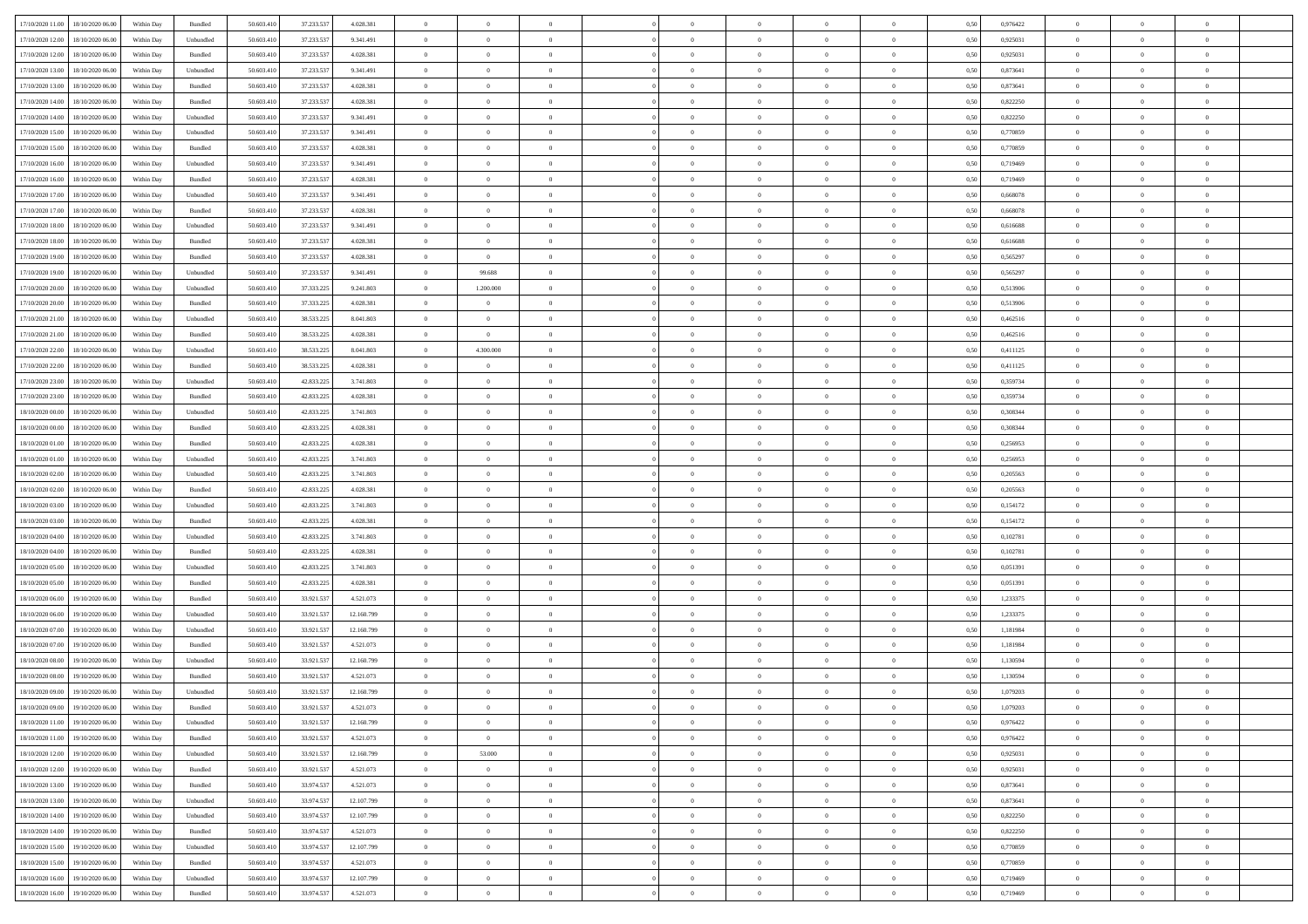| 17/10/2020 11:00 18/10/2020 06:00    | Within Day | Bundled   | 50.603.410 | 37.233.537 | 4.028.381  | $\overline{0}$ | $\theta$       |                | $\overline{0}$ | $\theta$       |                | $\theta$       | 0,50 | 0,976422 | $\theta$       | $\theta$       | $\overline{0}$ |  |
|--------------------------------------|------------|-----------|------------|------------|------------|----------------|----------------|----------------|----------------|----------------|----------------|----------------|------|----------|----------------|----------------|----------------|--|
| 17/10/2020 12:00<br>18/10/2020 06.00 | Within Day | Unbundled | 50.603.41  | 37.233.53  | 9.341.491  | $\bf{0}$       | $\bf{0}$       | $\bf{0}$       | $\bf{0}$       | $\overline{0}$ | $\overline{0}$ | $\bf{0}$       | 0,50 | 0,925031 | $\,$ 0 $\,$    | $\bf{0}$       | $\overline{0}$ |  |
| 17/10/2020 12:00<br>18/10/2020 06:00 | Within Day | Bundled   | 50.603.41  | 37.233.537 | 4.028.381  | $\overline{0}$ | $\bf{0}$       | $\overline{0}$ | $\bf{0}$       | $\bf{0}$       | $\overline{0}$ | $\bf{0}$       | 0.50 | 0,925031 | $\bf{0}$       | $\overline{0}$ | $\overline{0}$ |  |
| 17/10/2020 13:00<br>18/10/2020 06:00 | Within Day | Unbundled | 50.603.410 | 37.233.537 | 9.341.491  | $\overline{0}$ | $\bf{0}$       | $\overline{0}$ | $\overline{0}$ | $\theta$       | $\overline{0}$ | $\bf{0}$       | 0,50 | 0,873641 | $\theta$       | $\theta$       | $\overline{0}$ |  |
| 17/10/2020 13:00<br>18/10/2020 06.00 | Within Day | Bundled   | 50.603.41  | 37.233.53  | 4.028.381  | $\bf{0}$       | $\overline{0}$ | $\bf{0}$       | $\overline{0}$ | $\theta$       | $\overline{0}$ | $\bf{0}$       | 0,50 | 0,873641 | $\,$ 0 $\,$    | $\bf{0}$       | $\overline{0}$ |  |
|                                      |            |           |            |            |            |                |                |                |                |                | $\theta$       |                |      |          |                |                |                |  |
| 17/10/2020 14:00<br>18/10/2020 06.00 | Within Day | Bundled   | 50,603.41  | 37.233.537 | 4.028.381  | $\overline{0}$ | $\overline{0}$ | $\overline{0}$ | $\bf{0}$       | $\overline{0}$ |                | $\bf{0}$       | 0.50 | 0.822250 | $\,$ 0 $\,$    | $\theta$       | $\overline{0}$ |  |
| 17/10/2020 14:00<br>18/10/2020 06.00 | Within Day | Unbundled | 50.603.41  | 37.233.537 | 9.341.491  | $\overline{0}$ | $\overline{0}$ | $\overline{0}$ | $\overline{0}$ | $\overline{0}$ | $\overline{0}$ | $\bf{0}$       | 0,50 | 0,822250 | $\,$ 0 $\,$    | $\theta$       | $\overline{0}$ |  |
| 17/10/2020 15:00<br>18/10/2020 06.00 | Within Day | Unbundled | 50.603.41  | 37.233.53  | 9.341.491  | $\bf{0}$       | $\bf{0}$       | $\bf{0}$       | $\overline{0}$ | $\bf{0}$       | $\overline{0}$ | $\bf{0}$       | 0,50 | 0,770859 | $\,$ 0 $\,$    | $\bf{0}$       | $\overline{0}$ |  |
| 17/10/2020 15:00<br>18/10/2020 06:00 | Within Day | Bundled   | 50.603.41  | 37.233.537 | 4.028.381  | $\overline{0}$ | $\bf{0}$       | $\overline{0}$ | $\bf{0}$       | $\overline{0}$ | $\overline{0}$ | $\bf{0}$       | 0.50 | 0.770859 | $\bf{0}$       | $\overline{0}$ | $\overline{0}$ |  |
| 17/10/2020 16:00<br>18/10/2020 06:00 | Within Day | Unbundled | 50.603.410 | 37.233.537 | 9.341.491  | $\bf{0}$       | $\bf{0}$       | $\overline{0}$ | $\overline{0}$ | $\overline{0}$ | $\overline{0}$ | $\bf{0}$       | 0,50 | 0,719469 | $\,$ 0 $\,$    | $\bf{0}$       | $\overline{0}$ |  |
| 17/10/2020 16:00<br>18/10/2020 06.00 | Within Day | Bundled   | 50.603.41  | 37.233.53  | 4.028.381  | $\bf{0}$       | $\overline{0}$ | $\bf{0}$       | $\bf{0}$       | $\bf{0}$       | $\overline{0}$ | $\bf{0}$       | 0,50 | 0,719469 | $\,$ 0 $\,$    | $\bf{0}$       | $\overline{0}$ |  |
| 17/10/2020 17:00<br>18/10/2020 06:00 | Within Day | Unbundled | 50,603.41  | 37.233.537 | 9.341.491  | $\overline{0}$ | $\bf{0}$       | $\overline{0}$ | $\overline{0}$ | $\bf{0}$       | $\overline{0}$ | $\bf{0}$       | 0.50 | 0.668078 | $\bf{0}$       | $\overline{0}$ | $\bf{0}$       |  |
| 17/10/2020 17:00<br>18/10/2020 06.00 | Within Day | Bundled   | 50.603.41  | 37.233.537 | 4.028.381  | $\overline{0}$ | $\overline{0}$ | $\overline{0}$ | $\theta$       | $\theta$       | $\overline{0}$ | $\bf{0}$       | 0,50 | 0,668078 | $\,$ 0 $\,$    | $\theta$       | $\overline{0}$ |  |
|                                      |            |           |            |            |            |                |                |                |                |                |                |                |      |          |                |                |                |  |
| 17/10/2020 18:00<br>18/10/2020 06.00 | Within Day | Unbundled | 50.603.41  | 37.233.53  | 9.341.491  | $\bf{0}$       | $\overline{0}$ | $\bf{0}$       | $\overline{0}$ | $\theta$       | $\overline{0}$ | $\bf{0}$       | 0,50 | 0,616688 | $\,$ 0 $\,$    | $\bf{0}$       | $\overline{0}$ |  |
| 17/10/2020 18:00<br>18/10/2020 06.00 | Within Day | Bundled   | 50.603.41  | 37.233.537 | 4.028.381  | $\overline{0}$ | $\bf{0}$       | $\overline{0}$ | $\bf{0}$       | $\overline{0}$ | $\Omega$       | $\bf{0}$       | 0.50 | 0.616688 | $\,$ 0 $\,$    | $\theta$       | $\overline{0}$ |  |
| 17/10/2020 19:00<br>18/10/2020 06.00 | Within Day | Bundled   | 50.603.410 | 37.233.537 | 4.028.381  | $\overline{0}$ | $\overline{0}$ | $\overline{0}$ | $\overline{0}$ | $\overline{0}$ | $\overline{0}$ | $\bf{0}$       | 0,50 | 0,565297 | $\theta$       | $\theta$       | $\overline{0}$ |  |
| 17/10/2020 19:00<br>18/10/2020 06.00 | Within Day | Unbundled | 50.603.41  | 37.233.53  | 9.341.491  | $\bf{0}$       | 99.688         | $\overline{0}$ | $\overline{0}$ | $\bf{0}$       | $\overline{0}$ | $\bf{0}$       | 0,50 | 0,565297 | $\,$ 0 $\,$    | $\bf{0}$       | $\overline{0}$ |  |
| 17/10/2020 20:00<br>18/10/2020 06:00 | Within Day | Unbundled | 50.603.41  | 37.333.22  | 9.241.803  | $\overline{0}$ | 1.200.000      | $\overline{0}$ | $\bf{0}$       | $\overline{0}$ | $\overline{0}$ | $\bf{0}$       | 0.50 | 0.513906 | $\bf{0}$       | $\overline{0}$ | $\overline{0}$ |  |
| 17/10/2020 20:00<br>18/10/2020 06:00 | Within Day | Bundled   | 50.603.410 | 37.333.225 | 4.028.381  | $\bf{0}$       | $\overline{0}$ | $\overline{0}$ | $\overline{0}$ | $\overline{0}$ | $\overline{0}$ | $\bf{0}$       | 0,50 | 0,513906 | $\,$ 0 $\,$    | $\bf{0}$       | $\overline{0}$ |  |
| 17/10/2020 21:00<br>18/10/2020 06.00 | Within Day | Unbundled | 50.603.41  | 38.533.225 | 8.041.803  | $\bf{0}$       | $\bf{0}$       | $\bf{0}$       | $\bf{0}$       | $\overline{0}$ | $\overline{0}$ | $\bf{0}$       | 0,50 | 0,462516 | $\,$ 0 $\,$    | $\bf{0}$       | $\overline{0}$ |  |
|                                      |            |           |            |            |            |                |                |                |                |                |                |                |      |          |                |                |                |  |
| 17/10/2020 21:00<br>18/10/2020 06.00 | Within Day | Bundled   | 50.603.41  | 38.533.225 | 4.028.381  | $\overline{0}$ | $\overline{0}$ | $\overline{0}$ | $\bf{0}$       | $\bf{0}$       | $\overline{0}$ | $\bf{0}$       | 0.50 | 0.462516 | $\bf{0}$       | $\overline{0}$ | $\bf{0}$       |  |
| 17/10/2020 22.00<br>18/10/2020 06:00 | Within Day | Unbundled | 50.603.41  | 38.533.225 | 8.041.803  | $\overline{0}$ | 4.300.000      | $\overline{0}$ | $\overline{0}$ | $\theta$       | $\overline{0}$ | $\bf{0}$       | 0,50 | 0,411125 | $\theta$       | $\theta$       | $\overline{0}$ |  |
| 17/10/2020 22.00<br>18/10/2020 06.00 | Within Day | Bundled   | 50.603.41  | 38.533.225 | 4.028.381  | $\bf{0}$       | $\overline{0}$ | $\bf{0}$       | $\bf{0}$       | $\,$ 0 $\,$    | $\overline{0}$ | $\bf{0}$       | 0,50 | 0,411125 | $\,$ 0 $\,$    | $\bf{0}$       | $\overline{0}$ |  |
| 17/10/2020 23:00<br>18/10/2020 06:00 | Within Day | Unbundled | 50.603.41  | 42.833.225 | 3.741.803  | $\overline{0}$ | $\overline{0}$ | $\overline{0}$ | $\bf{0}$       | $\overline{0}$ | $\theta$       | $\bf{0}$       | 0.50 | 0.359734 | $\bf{0}$       | $\theta$       | $\overline{0}$ |  |
| 17/10/2020 23.00<br>18/10/2020 06.00 | Within Day | Bundled   | 50.603.41  | 42.833.225 | 4.028.381  | $\overline{0}$ | $\overline{0}$ | $\overline{0}$ | $\overline{0}$ | $\overline{0}$ | $\overline{0}$ | $\bf{0}$       | 0,50 | 0,359734 | $\,$ 0 $\,$    | $\theta$       | $\overline{0}$ |  |
| 18/10/2020 00:00<br>18/10/2020 06.00 | Within Day | Unbundled | 50.603.41  | 42.833.22  | 3.741.803  | $\bf{0}$       | $\overline{0}$ | $\bf{0}$       | $\overline{0}$ | $\bf{0}$       | $\overline{0}$ | $\bf{0}$       | 0,50 | 0,308344 | $\,$ 0 $\,$    | $\bf{0}$       | $\overline{0}$ |  |
| 18/10/2020 00:00<br>18/10/2020 06:00 | Within Day | Bundled   | 50,603.41  | 42.833.225 | 4.028.381  | $\overline{0}$ | $\bf{0}$       | $\overline{0}$ | $\bf{0}$       | $\overline{0}$ | $\overline{0}$ | $\bf{0}$       | 0.50 | 0.308344 | $\bf{0}$       | $\overline{0}$ | $\overline{0}$ |  |
| 18/10/2020 01:00<br>18/10/2020 06.00 | Within Day | Bundled   | 50.603.410 | 42.833.225 | 4.028.381  | $\overline{0}$ | $\bf{0}$       | $\overline{0}$ | $\overline{0}$ | $\overline{0}$ | $\overline{0}$ | $\bf{0}$       | 0,50 | 0,256953 | $\,$ 0 $\,$    | $\bf{0}$       | $\overline{0}$ |  |
|                                      |            |           |            |            |            |                |                |                |                |                |                |                |      |          |                |                |                |  |
| 18/10/2020 01:00<br>18/10/2020 06.00 | Within Day | Unbundled | 50.603.41  | 42.833.225 | 3.741.803  | $\bf{0}$       | $\bf{0}$       | $\bf{0}$       | $\bf{0}$       | $\overline{0}$ | $\overline{0}$ | $\bf{0}$       | 0,50 | 0,256953 | $\,$ 0 $\,$    | $\bf{0}$       | $\overline{0}$ |  |
| 18/10/2020 02:00<br>18/10/2020 06:00 | Within Day | Unbundled | 50.603.41  | 42.833.225 | 3.741.803  | $\overline{0}$ | $\bf{0}$       | $\overline{0}$ | $\bf{0}$       | $\bf{0}$       | $\overline{0}$ | $\bf{0}$       | 0.50 | 0.205563 | $\bf{0}$       | $\overline{0}$ | $\bf{0}$       |  |
| 18/10/2020 02:00<br>18/10/2020 06:00 | Within Day | Bundled   | 50.603.41  | 42.833.225 | 4.028.381  | $\overline{0}$ | $\overline{0}$ | $\overline{0}$ | $\overline{0}$ | $\overline{0}$ | $\overline{0}$ | $\bf{0}$       | 0.5( | 0,205563 | $\theta$       | $\theta$       | $\overline{0}$ |  |
| 18/10/2020 03:00<br>18/10/2020 06.00 | Within Day | Unbundled | 50.603.41  | 42.833.225 | 3.741.803  | $\bf{0}$       | $\overline{0}$ | $\bf{0}$       | $\bf{0}$       | $\,$ 0 $\,$    | $\overline{0}$ | $\bf{0}$       | 0,50 | 0,154172 | $\,$ 0 $\,$    | $\bf{0}$       | $\overline{0}$ |  |
| 18/10/2020 03:00<br>18/10/2020 06:00 | Within Day | Bundled   | 50,603.41  | 42.833.225 | 4.028.381  | $\overline{0}$ | $\bf{0}$       | $\overline{0}$ | $\bf{0}$       | $\overline{0}$ | $\Omega$       | $\bf{0}$       | 0.50 | 0,154172 | $\,$ 0 $\,$    | $\theta$       | $\overline{0}$ |  |
| 18/10/2020 04:00<br>18/10/2020 06:00 | Within Day | Unbundled | 50.603.41  | 42.833.225 | 3.741.803  | $\overline{0}$ | $\overline{0}$ | $\overline{0}$ | $\overline{0}$ | $\theta$       | $\overline{0}$ | $\bf{0}$       | 0.5( | 0,102781 | $\theta$       | $\theta$       | $\overline{0}$ |  |
| 18/10/2020 04:00<br>18/10/2020 06.00 | Within Day | Bundled   | 50.603.41  | 42.833.22  | 4.028.381  | $\bf{0}$       | $\bf{0}$       | $\bf{0}$       | $\bf{0}$       | $\bf{0}$       | $\overline{0}$ | $\bf{0}$       | 0,50 | 0,102781 | $\,$ 0 $\,$    | $\bf{0}$       | $\overline{0}$ |  |
| 18/10/2020 05:00<br>18/10/2020 06:00 | Within Day | Unbundled | 50,603.41  | 42.833.22  | 3.741.803  | $\overline{0}$ | $\bf{0}$       | $\overline{0}$ | $\bf{0}$       | $\overline{0}$ | $\overline{0}$ | $\bf{0}$       | 0.50 | 0.051391 | $\bf{0}$       | $\overline{0}$ | $\overline{0}$ |  |
|                                      |            |           |            |            |            |                |                |                |                |                |                |                |      |          |                |                |                |  |
| 18/10/2020 05:00<br>18/10/2020 06:00 | Within Day | Bundled   | 50.603.41  | 42.833.225 | 4.028.381  | $\overline{0}$ | $\overline{0}$ | $\overline{0}$ | $\overline{0}$ | $\overline{0}$ | $\overline{0}$ | $\bf{0}$       | 0.50 | 0,051391 | $\theta$       | $\theta$       | $\overline{0}$ |  |
| 18/10/2020 06:00<br>19/10/2020 06.00 | Within Day | Bundled   | 50.603.41  | 33.921.53  | 4.521.073  | $\bf{0}$       | $\bf{0}$       | $\bf{0}$       | $\bf{0}$       | $\overline{0}$ | $\overline{0}$ | $\bf{0}$       | 0,50 | 1,233375 | $\,$ 0 $\,$    | $\bf{0}$       | $\overline{0}$ |  |
| 18/10/2020 06:00<br>19/10/2020 06:00 | Within Day | Unbundled | 50.603.41  | 33.921.537 | 12.160.799 | $\overline{0}$ | $\bf{0}$       | $\overline{0}$ | $\overline{0}$ | $\bf{0}$       | $\overline{0}$ | $\bf{0}$       | 0.50 | 1,233375 | $\bf{0}$       | $\overline{0}$ | $\overline{0}$ |  |
| 18/10/2020 07:00<br>19/10/2020 06:00 | Within Day | Unbundled | 50.603.41  | 33.921.537 | 12.160.799 | $\overline{0}$ | $\overline{0}$ | $\overline{0}$ | $\overline{0}$ | $\theta$       | $\overline{0}$ | $\bf{0}$       | 0.5( | 1,181984 | $\theta$       | $\theta$       | $\overline{0}$ |  |
| 18/10/2020 07:00<br>19/10/2020 06.00 | Within Day | Bundled   | 50.603.41  | 33.921.53  | 4.521.073  | $\bf{0}$       | $\bf{0}$       | $\bf{0}$       | $\bf{0}$       | $\overline{0}$ | $\overline{0}$ | $\bf{0}$       | 0,50 | 1,181984 | $\,$ 0 $\,$    | $\bf{0}$       | $\overline{0}$ |  |
| 18/10/2020 08:00<br>19/10/2020 06.00 | Within Day | Unbundled | 50.603.41  | 33.921.537 | 12.160.799 | $\overline{0}$ | $\overline{0}$ | $\overline{0}$ | $\bf{0}$       | $\overline{0}$ | $\Omega$       | $\bf{0}$       | 0.50 | 1,130594 | $\bf{0}$       | $\theta$       | $\overline{0}$ |  |
| 18/10/2020 08:00<br>19/10/2020 06:00 | Within Day | Bundled   | 50.603.41  | 33.921.537 | 4.521.073  | $\overline{0}$ | $\overline{0}$ | $\Omega$       | $\overline{0}$ | $\theta$       | $\Omega$       | $\overline{0}$ | 0.5( | 1,130594 | $\theta$       | $\theta$       | $\overline{0}$ |  |
| 18/10/2020 09:00<br>19/10/2020 06.00 | Within Day | Unbundled | 50.603.41  | 33.921.537 | 12.160.799 | $\bf{0}$       | $\bf{0}$       | $\overline{0}$ | $\bf{0}$       | $\bf{0}$       | $\overline{0}$ | $\bf{0}$       | 0,50 | 1,079203 | $\,$ 0 $\,$    | $\bf{0}$       | $\overline{0}$ |  |
| 18/10/2020 09:00 19/10/2020 06:00    | Within Day | Bundled   | 50.603.410 | 33.921.537 | 4.521.073  | $\overline{0}$ | $\Omega$       |                | $\Omega$       |                |                |                |      | 1,079203 | $\theta$       | $\overline{0}$ |                |  |
|                                      |            |           |            |            |            |                |                |                |                |                |                |                | 0,50 |          |                |                |                |  |
| 18/10/2020 11:00 19/10/2020 06:00    | Within Day | Unbundled | 50.603.410 | 33.921.537 | 12.160.799 | $\overline{0}$ | $\overline{0}$ | $\overline{0}$ | $\overline{0}$ | $\overline{0}$ | $\overline{0}$ | $\bf{0}$       | 0,50 | 0,976422 | $\theta$       | $\overline{0}$ | $\overline{0}$ |  |
| 18/10/2020 11:00<br>19/10/2020 06.00 | Within Day | Bundled   | 50.603.41  | 33.921.537 | 4.521.073  | $\overline{0}$ | $\overline{0}$ | $\overline{0}$ | $\overline{0}$ | $\bf{0}$       | $\overline{0}$ | $\bf{0}$       | 0,50 | 0,976422 | $\bf{0}$       | $\overline{0}$ | $\bf{0}$       |  |
| 18/10/2020 12:00 19/10/2020 06:00    | Within Day | Unbundled | 50,603.410 | 33.921.537 | 12.160.799 | $\overline{0}$ | 53.000         | $\overline{0}$ | $\overline{0}$ | $\mathbf{0}$   | $\overline{0}$ | $\,$ 0 $\,$    | 0.50 | 0,925031 | $\overline{0}$ | $\bf{0}$       | $\,$ 0 $\,$    |  |
| 18/10/2020 12:00 19/10/2020 06:00    | Within Dav | Bundled   | 50.603.410 | 33.921.537 | 4.521.073  | $\overline{0}$ | $\overline{0}$ | $\overline{0}$ | $\overline{0}$ | $\overline{0}$ | $\overline{0}$ | $\bf{0}$       | 0,50 | 0.925031 | $\overline{0}$ | $\theta$       | $\overline{0}$ |  |
| 18/10/2020 13:00<br>19/10/2020 06.00 | Within Day | Bundled   | 50.603.41  | 33.974.537 | 4.521.073  | $\overline{0}$ | $\bf{0}$       | $\overline{0}$ | $\overline{0}$ | $\bf{0}$       | $\overline{0}$ | $\bf{0}$       | 0,50 | 0,873641 | $\bf{0}$       | $\overline{0}$ | $\overline{0}$ |  |
| 18/10/2020 13:00<br>19/10/2020 06:00 | Within Day | Unbundled | 50,603.41  | 33.974.537 | 12.107.799 | $\overline{0}$ | $\bf{0}$       | $\overline{0}$ | $\overline{0}$ | $\overline{0}$ | $\overline{0}$ | $\bf{0}$       | 0.50 | 0.873641 | $\,$ 0 $\,$    | $\overline{0}$ | $\overline{0}$ |  |
| 18/10/2020 14:00<br>19/10/2020 06:00 | Within Dav | Unbundled | 50.603.410 | 33.974.537 | 12.107.799 | $\overline{0}$ | $\overline{0}$ | $\overline{0}$ | $\overline{0}$ | $\overline{0}$ | $\overline{0}$ | $\bf{0}$       | 0,50 | 0,822250 | $\overline{0}$ | $\theta$       | $\overline{0}$ |  |
|                                      |            |           |            |            |            |                |                |                |                |                |                |                |      |          |                |                |                |  |
| 18/10/2020 14:00<br>19/10/2020 06.00 | Within Day | Bundled   | 50.603.41  | 33.974.537 | 4.521.073  | $\overline{0}$ | $\overline{0}$ | $\overline{0}$ | $\overline{0}$ | $\overline{0}$ | $\overline{0}$ | $\bf{0}$       | 0,50 | 0,822250 | $\bf{0}$       | $\overline{0}$ | $\overline{0}$ |  |
| 18/10/2020 15:00<br>19/10/2020 06:00 | Within Day | Unbundled | 50,603.410 | 33.974.537 | 12.107.799 | $\overline{0}$ | $\overline{0}$ | $\overline{0}$ | $\overline{0}$ | $\overline{0}$ | $\overline{0}$ | $\bf{0}$       | 0.50 | 0.770859 | $\mathbf{0}$   | $\bf{0}$       | $\,$ 0         |  |
| 18/10/2020 15:00 19/10/2020 06:00    | Within Dav | Bundled   | 50.603.410 | 33.974.537 | 4.521.073  | $\overline{0}$ | $\overline{0}$ | $\overline{0}$ | $\overline{0}$ | $\overline{0}$ | $\overline{0}$ | $\bf{0}$       | 0,50 | 0,770859 | $\overline{0}$ | $\theta$       | $\overline{0}$ |  |
| 18/10/2020 16:00<br>19/10/2020 06.00 | Within Day | Unbundled | 50.603.41  | 33.974.537 | 12.107.799 | $\overline{0}$ | $\bf{0}$       | $\overline{0}$ | $\bf{0}$       | $\overline{0}$ | $\overline{0}$ | $\bf{0}$       | 0,50 | 0,719469 | $\bf{0}$       | $\bf{0}$       | $\bf{0}$       |  |
| 18/10/2020 16:00 19/10/2020 06:00    | Within Day | Bundled   | 50.603.410 | 33.974.537 | 4.521.073  | $\overline{0}$ | $\bf{0}$       | $\overline{0}$ | $\overline{0}$ | $\,$ 0 $\,$    | $\overline{0}$ | $\bf{0}$       | 0,50 | 0,719469 | $\overline{0}$ | $\,$ 0 $\,$    | $\,$ 0 $\,$    |  |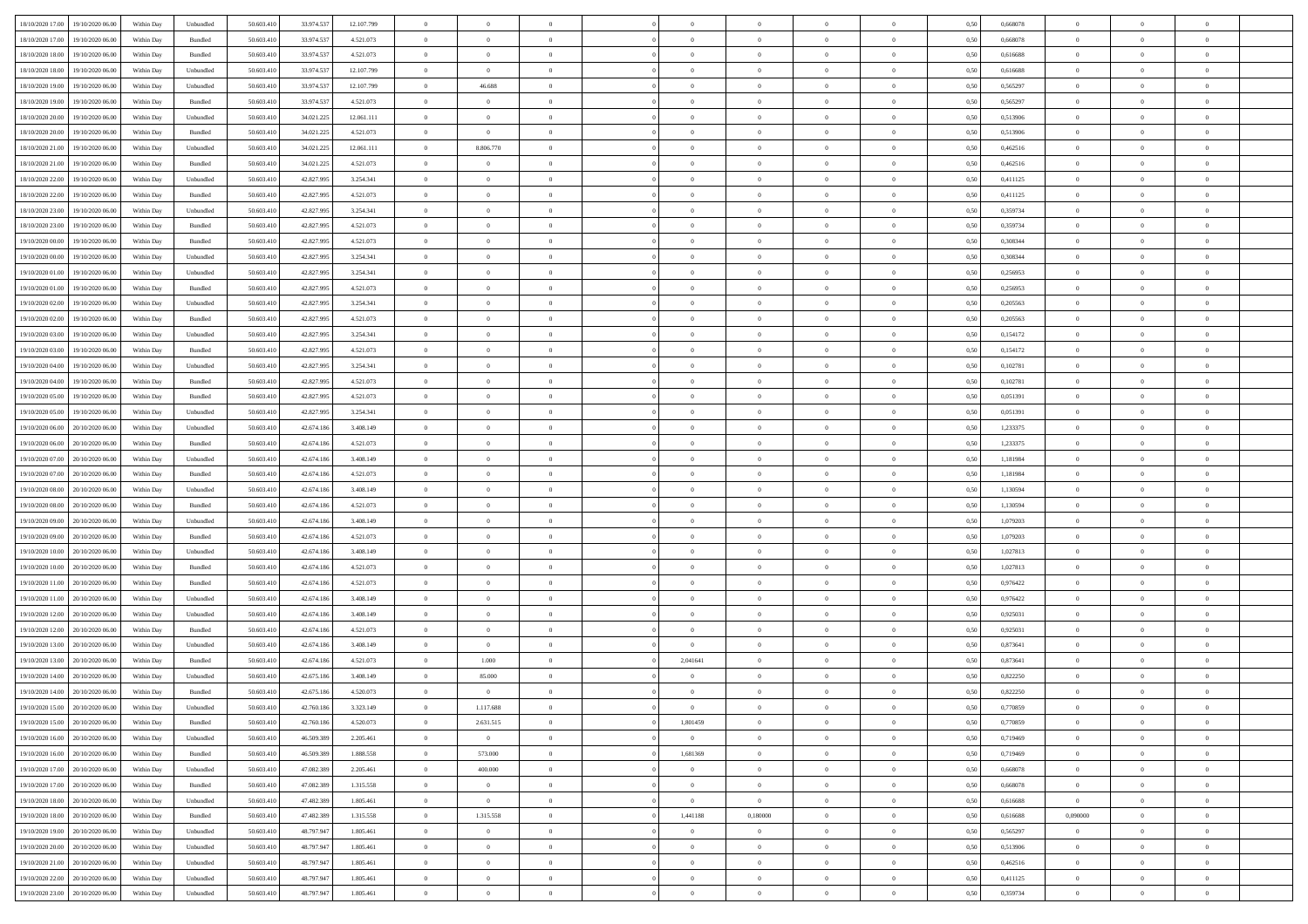| 18/10/2020 17:00 19/10/2020 06:00    | Within Day | Unbundled                   | 50.603.410 | 33.974.537 | 12.107.799 | $\overline{0}$ | $\overline{0}$ |                | $\overline{0}$ | $\theta$       |                | $\theta$       | 0,50 | 0,668078 | $\theta$       | $\theta$       | $\overline{0}$ |  |
|--------------------------------------|------------|-----------------------------|------------|------------|------------|----------------|----------------|----------------|----------------|----------------|----------------|----------------|------|----------|----------------|----------------|----------------|--|
| 18/10/2020 17:00<br>19/10/2020 06.00 | Within Day | Bundled                     | 50.603.41  | 33.974.53  | 4.521.073  | $\bf{0}$       | $\bf{0}$       | $\bf{0}$       | $\overline{0}$ | $\overline{0}$ | $\overline{0}$ | $\bf{0}$       | 0,50 | 0,668078 | $\,$ 0 $\,$    | $\bf{0}$       | $\overline{0}$ |  |
| 18/10/2020 18:00<br>19/10/2020 06:00 | Within Day | Bundled                     | 50.603.41  | 33.974.537 | 4.521.073  | $\overline{0}$ | $\bf{0}$       | $\overline{0}$ | $\bf{0}$       | $\bf{0}$       | $\overline{0}$ | $\bf{0}$       | 0.50 | 0.616688 | $\bf{0}$       | $\overline{0}$ | $\overline{0}$ |  |
| 18/10/2020 18:00<br>19/10/2020 06:00 | Within Day | Unbundled                   | 50.603.410 | 33.974.537 | 12.107.799 | $\overline{0}$ | $\bf{0}$       | $\overline{0}$ | $\theta$       | $\theta$       | $\overline{0}$ | $\bf{0}$       | 0,50 | 0,616688 | $\theta$       | $\theta$       | $\overline{0}$ |  |
| 18/10/2020 19:00<br>19/10/2020 06.00 | Within Day | Unbundled                   | 50.603.41  | 33.974.53  | 12.107.799 | $\bf{0}$       | 46.688         | $\bf{0}$       | $\overline{0}$ | $\theta$       | $\overline{0}$ | $\bf{0}$       | 0,50 | 0,565297 | $\,$ 0 $\,$    | $\bf{0}$       | $\overline{0}$ |  |
| 18/10/2020 19:00<br>19/10/2020 06:00 | Within Day | Bundled                     | 50,603.41  | 33.974.53  | 4.521.073  | $\overline{0}$ | $\overline{0}$ | $\overline{0}$ | $\bf{0}$       | $\overline{0}$ | $\theta$       | $\bf{0}$       | 0.50 | 0.565297 | $\,$ 0 $\,$    | $\theta$       | $\overline{0}$ |  |
| 18/10/2020 20:00<br>19/10/2020 06.00 | Within Day | Unbundled                   | 50.603.41  | 34.021.225 | 12.061.111 | $\bf{0}$       | $\overline{0}$ | $\overline{0}$ | $\overline{0}$ | $\overline{0}$ | $\overline{0}$ | $\bf{0}$       | 0,50 | 0,513906 | $\,$ 0 $\,$    | $\theta$       | $\overline{0}$ |  |
|                                      |            |                             |            |            |            |                |                |                |                |                |                |                |      |          |                |                |                |  |
| 18/10/2020 20:00<br>19/10/2020 06.00 | Within Day | Bundled                     | 50.603.41  | 34.021.22  | 4.521.073  | $\bf{0}$       | $\bf{0}$       | $\bf{0}$       | $\overline{0}$ | $\overline{0}$ | $\overline{0}$ | $\bf{0}$       | 0,50 | 0,513906 | $\,$ 0 $\,$    | $\bf{0}$       | $\overline{0}$ |  |
| 18/10/2020 21:00<br>19/10/2020 06:00 | Within Day | Unbundled                   | 50.603.41  | 34.021.22  | 12.061.111 | $\overline{0}$ | 8.806.770      | $\overline{0}$ | $\bf{0}$       | $\overline{0}$ | $\overline{0}$ | $\bf{0}$       | 0.50 | 0.462516 | $\bf{0}$       | $\overline{0}$ | $\overline{0}$ |  |
| 18/10/2020 21:00<br>19/10/2020 06:00 | Within Day | Bundled                     | 50.603.410 | 34.021.225 | 4.521.073  | $\bf{0}$       | $\overline{0}$ | $\overline{0}$ | $\overline{0}$ | $\overline{0}$ | $\overline{0}$ | $\bf{0}$       | 0,50 | 0,462516 | $\,$ 0 $\,$    | $\bf{0}$       | $\overline{0}$ |  |
| 18/10/2020 22.00<br>19/10/2020 06.00 | Within Day | Unbundled                   | 50.603.41  | 42.827.99  | 3.254.341  | $\bf{0}$       | $\overline{0}$ | $\bf{0}$       | $\bf{0}$       | $\bf{0}$       | $\overline{0}$ | $\bf{0}$       | 0,50 | 0,411125 | $\,$ 0 $\,$    | $\bf{0}$       | $\overline{0}$ |  |
| 18/10/2020 22:00<br>19/10/2020 06.00 | Within Day | Bundled                     | 50.603.41  | 42.827.99  | 4.521.073  | $\overline{0}$ | $\bf{0}$       | $\overline{0}$ | $\overline{0}$ | $\bf{0}$       | $\overline{0}$ | $\bf{0}$       | 0.50 | 0,411125 | $\bf{0}$       | $\overline{0}$ | $\overline{0}$ |  |
| 18/10/2020 23:00<br>19/10/2020 06.00 | Within Day | Unbundled                   | 50.603.41  | 42.827.995 | 3.254.341  | $\overline{0}$ | $\overline{0}$ | $\overline{0}$ | $\theta$       | $\theta$       | $\overline{0}$ | $\bf{0}$       | 0,50 | 0,359734 | $\,$ 0 $\,$    | $\theta$       | $\overline{0}$ |  |
| 18/10/2020 23:00<br>19/10/2020 06.00 | Within Day | Bundled                     | 50.603.41  | 42.827.99  | 4.521.073  | $\bf{0}$       | $\overline{0}$ | $\bf{0}$       | $\overline{0}$ | $\bf{0}$       | $\overline{0}$ | $\bf{0}$       | 0,50 | 0,359734 | $\,$ 0 $\,$    | $\bf{0}$       | $\overline{0}$ |  |
| 19/10/2020 00.00<br>19/10/2020 06.00 | Within Day | Bundled                     | 50.603.41  | 42.827.99  | 4.521.073  | $\overline{0}$ | $\overline{0}$ | $\overline{0}$ | $\bf{0}$       | $\overline{0}$ | $\Omega$       | $\bf{0}$       | 0.50 | 0.308344 | $\,$ 0 $\,$    | $\theta$       | $\overline{0}$ |  |
| 19/10/2020 00:00<br>19/10/2020 06.00 | Within Day | Unbundled                   | 50.603.410 | 42.827.995 | 3.254.341  | $\overline{0}$ | $\overline{0}$ | $\overline{0}$ | $\overline{0}$ | $\overline{0}$ | $\overline{0}$ | $\bf{0}$       | 0,50 | 0,308344 | $\theta$       | $\theta$       | $\overline{0}$ |  |
|                                      |            |                             |            |            |            |                |                |                |                |                |                |                |      |          |                |                |                |  |
| 19/10/2020 01:00<br>19/10/2020 06.00 | Within Day | Unbundled                   | 50.603.41  | 42.827.99  | 3.254.341  | $\bf{0}$       | $\bf{0}$       | $\bf{0}$       | $\overline{0}$ | $\bf{0}$       | $\overline{0}$ | $\bf{0}$       | 0,50 | 0,256953 | $\,$ 0 $\,$    | $\bf{0}$       | $\overline{0}$ |  |
| 19/10/2020 01:00<br>19/10/2020 06:00 | Within Day | Bundled                     | 50.603.41  | 42.827.99  | 4.521.073  | $\overline{0}$ | $\bf{0}$       | $\overline{0}$ | $\bf{0}$       | $\overline{0}$ | $\overline{0}$ | $\bf{0}$       | 0.50 | 0.256953 | $\bf{0}$       | $\overline{0}$ | $\overline{0}$ |  |
| 19/10/2020 02.00<br>19/10/2020 06.00 | Within Day | Unbundled                   | 50.603.410 | 42.827.995 | 3.254.341  | $\bf{0}$       | $\bf{0}$       | $\overline{0}$ | $\overline{0}$ | $\overline{0}$ | $\overline{0}$ | $\bf{0}$       | 0,50 | 0,205563 | $\,$ 0 $\,$    | $\bf{0}$       | $\overline{0}$ |  |
| 19/10/2020 02:00<br>19/10/2020 06.00 | Within Day | Bundled                     | 50.603.41  | 42.827.99  | 4.521.073  | $\bf{0}$       | $\bf{0}$       | $\bf{0}$       | $\bf{0}$       | $\overline{0}$ | $\overline{0}$ | $\bf{0}$       | 0,50 | 0,205563 | $\,$ 0 $\,$    | $\bf{0}$       | $\overline{0}$ |  |
| 19/10/2020 03:00<br>19/10/2020 06.00 | Within Day | Unbundled                   | 50.603.41  | 42.827.995 | 3.254.341  | $\overline{0}$ | $\bf{0}$       | $\overline{0}$ | $\overline{0}$ | $\bf{0}$       | $\overline{0}$ | $\bf{0}$       | 0.50 | 0,154172 | $\bf{0}$       | $\overline{0}$ | $\overline{0}$ |  |
| 19/10/2020 03:00<br>19/10/2020 06:00 | Within Day | Bundled                     | 50.603.41  | 42.827.995 | 4.521.073  | $\overline{0}$ | $\overline{0}$ | $\overline{0}$ | $\overline{0}$ | $\theta$       | $\overline{0}$ | $\bf{0}$       | 0,50 | 0,154172 | $\,$ 0 $\,$    | $\theta$       | $\overline{0}$ |  |
| 19/10/2020 04:00<br>19/10/2020 06.00 | Within Day | Unbundled                   | 50.603.41  | 42.827.99  | 3.254.341  | $\bf{0}$       | $\bf{0}$       | $\bf{0}$       | $\bf{0}$       | $\,$ 0 $\,$    | $\overline{0}$ | $\bf{0}$       | 0,50 | 0,102781 | $\,$ 0 $\,$    | $\bf{0}$       | $\overline{0}$ |  |
| 19/10/2020 04:00<br>19/10/2020 06:00 | Within Day | Bundled                     | 50,603.41  | 42.827.99  | 4.521.073  | $\overline{0}$ | $\overline{0}$ | $\overline{0}$ | $\bf{0}$       | $\overline{0}$ | $\theta$       | $\bf{0}$       | 0.50 | 0.102781 | $\bf{0}$       | $\theta$       | $\overline{0}$ |  |
| 19/10/2020 05:00<br>19/10/2020 06.00 | Within Day | Bundled                     | 50.603.410 | 42.827.995 | 4.521.073  | $\overline{0}$ | $\overline{0}$ | $\overline{0}$ | $\overline{0}$ | $\overline{0}$ | $\overline{0}$ | $\bf{0}$       | 0,50 | 0,051391 | $\,$ 0 $\,$    | $\theta$       | $\overline{0}$ |  |
|                                      |            |                             |            |            |            |                |                |                |                |                |                |                |      |          |                |                |                |  |
| 19/10/2020 05:00<br>19/10/2020 06.00 | Within Day | Unbundled                   | 50.603.41  | 42.827.99  | 3.254.341  | $\bf{0}$       | $\overline{0}$ | $\bf{0}$       | $\overline{0}$ | $\bf{0}$       | $\overline{0}$ | $\bf{0}$       | 0,50 | 0,051391 | $\,$ 0 $\,$    | $\bf{0}$       | $\overline{0}$ |  |
| 19/10/2020 06:00<br>20/10/2020 06:00 | Within Day | Unbundled                   | 50,603.41  | 42.674.186 | 3.408.149  | $\overline{0}$ | $\bf{0}$       | $\overline{0}$ | $\bf{0}$       | $\overline{0}$ | $\overline{0}$ | $\bf{0}$       | 0.50 | 1.233375 | $\bf{0}$       | $\overline{0}$ | $\overline{0}$ |  |
| 19/10/2020 06:00<br>20/10/2020 06:00 | Within Day | Bundled                     | 50.603.410 | 42.674.186 | 4.521.073  | $\overline{0}$ | $\bf{0}$       | $\overline{0}$ | $\overline{0}$ | $\overline{0}$ | $\overline{0}$ | $\bf{0}$       | 0,50 | 1,233375 | $\,$ 0 $\,$    | $\bf{0}$       | $\overline{0}$ |  |
| 19/10/2020 07:00<br>20/10/2020 06.00 | Within Day | Unbundled                   | 50.603.41  | 42.674.18  | 3.408.149  | $\bf{0}$       | $\bf{0}$       | $\bf{0}$       | $\bf{0}$       | $\overline{0}$ | $\overline{0}$ | $\bf{0}$       | 0,50 | 1,181984 | $\,$ 0 $\,$    | $\bf{0}$       | $\overline{0}$ |  |
| 19/10/2020 07:00<br>20/10/2020 06:00 | Within Day | Bundled                     | 50.603.41  | 42.674.186 | 4.521.073  | $\overline{0}$ | $\bf{0}$       | $\overline{0}$ | $\bf{0}$       | $\bf{0}$       | $\overline{0}$ | $\bf{0}$       | 0.50 | 1.181984 | $\bf{0}$       | $\overline{0}$ | $\overline{0}$ |  |
| 19/10/2020 08:00<br>20/10/2020 06:00 | Within Day | Unbundled                   | 50.603.41  | 42.674.186 | 3.408.149  | $\overline{0}$ | $\overline{0}$ | $\overline{0}$ | $\overline{0}$ | $\overline{0}$ | $\overline{0}$ | $\bf{0}$       | 0.5( | 1,130594 | $\theta$       | $\theta$       | $\overline{0}$ |  |
| 19/10/2020 08:00<br>20/10/2020 06.00 | Within Day | Bundled                     | 50.603.41  | 42.674.18  | 4.521.073  | $\bf{0}$       | $\overline{0}$ | $\bf{0}$       | $\bf{0}$       | $\,$ 0 $\,$    | $\overline{0}$ | $\bf{0}$       | 0,50 | 1,130594 | $\,$ 0 $\,$    | $\bf{0}$       | $\overline{0}$ |  |
| 19/10/2020 09:00<br>20/10/2020 06.00 | Within Day | Unbundled                   | 50.603.41  | 42.674.186 | 3.408.149  | $\overline{0}$ | $\bf{0}$       | $\overline{0}$ | $\bf{0}$       | $\overline{0}$ | $\Omega$       | $\bf{0}$       | 0.50 | 1.079203 | $\,$ 0 $\,$    | $\bf{0}$       | $\overline{0}$ |  |
| 19/10/2020 09:00<br>20/10/2020 06:00 | Within Dav | Bundled                     | 50.603.41  | 42.674.186 | 4.521.073  | $\overline{0}$ | $\overline{0}$ | $\overline{0}$ | $\overline{0}$ | $\theta$       | $\overline{0}$ | $\bf{0}$       | 0.50 | 1,079203 | $\theta$       | $\theta$       | $\overline{0}$ |  |
| 19/10/2020 10:00<br>20/10/2020 06.00 | Within Day | Unbundled                   | 50.603.41  | 42.674.18  | 3.408.149  | $\bf{0}$       | $\bf{0}$       | $\bf{0}$       | $\bf{0}$       | $\bf{0}$       | $\overline{0}$ | $\bf{0}$       | 0,50 | 1,027813 | $\,$ 0 $\,$    | $\bf{0}$       | $\overline{0}$ |  |
| 20/10/2020 06:00                     |            | Bundled                     | 50,603.41  | 42.674.186 |            |                | $\bf{0}$       | $\overline{0}$ |                | $\overline{0}$ | $\overline{0}$ |                | 0.50 | 1.027813 | $\bf{0}$       | $\overline{0}$ | $\overline{0}$ |  |
| 19/10/2020 10:00                     | Within Day |                             |            |            | 4.521.073  | $\overline{0}$ |                |                | $\bf{0}$       |                |                | $\bf{0}$       |      |          |                |                |                |  |
| 19/10/2020 11:00<br>20/10/2020 06:00 | Within Dav | Bundled                     | 50.603.41  | 42.674.186 | 4.521.073  | $\overline{0}$ | $\overline{0}$ | $\overline{0}$ | $\overline{0}$ | $\overline{0}$ | $\overline{0}$ | $\bf{0}$       | 0.50 | 0,976422 | $\theta$       | $\theta$       | $\overline{0}$ |  |
| 19/10/2020 11:00<br>20/10/2020 06.00 | Within Day | Unbundled                   | 50.603.41  | 42.674.18  | 3.408.149  | $\bf{0}$       | $\bf{0}$       | $\bf{0}$       | $\bf{0}$       | $\overline{0}$ | $\overline{0}$ | $\bf{0}$       | 0,50 | 0,976422 | $\,$ 0 $\,$    | $\bf{0}$       | $\overline{0}$ |  |
| 19/10/2020 12:00<br>20/10/2020 06:00 | Within Day | Unbundled                   | 50.603.41  | 42.674.186 | 3.408.149  | $\overline{0}$ | $\bf{0}$       | $\overline{0}$ | $\overline{0}$ | $\bf{0}$       | $\overline{0}$ | $\bf{0}$       | 0.50 | 0,925031 | $\bf{0}$       | $\overline{0}$ | $\overline{0}$ |  |
| 19/10/2020 12:00<br>20/10/2020 06:00 | Within Day | Bundled                     | 50.603.41  | 42.674.186 | 4.521.073  | $\overline{0}$ | $\overline{0}$ | $\overline{0}$ | $\overline{0}$ | $\theta$       | $\overline{0}$ | $\bf{0}$       | 0.50 | 0.925031 | $\theta$       | $\theta$       | $\overline{0}$ |  |
| 19/10/2020 13:00<br>20/10/2020 06.00 | Within Day | Unbundled                   | 50.603.41  | 42.674.18  | 3.408.149  | $\bf{0}$       | $\bf{0}$       | $\bf{0}$       | $\bf{0}$       | $\overline{0}$ | $\overline{0}$ | $\bf{0}$       | 0,50 | 0,873641 | $\,$ 0 $\,$    | $\bf{0}$       | $\overline{0}$ |  |
| 19/10/2020 13:00<br>20/10/2020 06:00 | Within Day | Bundled                     | 50.603.41  | 42.674.186 | 4.521.073  | $\overline{0}$ | 1.000          | $\Omega$       | 2,041641       | $\theta$       | $\Omega$       | $\bf{0}$       | 0.50 | 0.873641 | $\bf{0}$       | $\theta$       | $\overline{0}$ |  |
| 19/10/2020 14:00<br>20/10/2020 06:00 | Within Day | Unbundled                   | 50.603.41  | 42.675.186 | 3.408.149  | $\overline{0}$ | 85,000         | $\overline{0}$ | $\overline{0}$ | $\theta$       | $\overline{0}$ | $\overline{0}$ | 0.5( | 0,822250 | $\theta$       | $\theta$       | $\overline{0}$ |  |
| 19/10/2020 14:00<br>20/10/2020 06:00 | Within Day | Bundled                     | 50.603.41  | 42.675.18  | 4.520.073  | $\bf{0}$       | $\,$ 0 $\,$    | $\bf{0}$       | $\bf{0}$       | $\bf{0}$       | $\overline{0}$ | $\bf{0}$       | 0,50 | 0,822250 | $\,$ 0 $\,$    | $\bf{0}$       | $\overline{0}$ |  |
| 19/10/2020 15:00 20/10/2020 06:00    | Within Day | $\ensuremath{\mathsf{Unb}}$ | 50.603.410 | 42.760.186 | 3.323.149  | $\bf{0}$       | 1.117.688      |                | $\overline{0}$ |                |                |                | 0,50 | 0.770859 | $\theta$       | $\overline{0}$ |                |  |
|                                      |            |                             |            |            |            | $\overline{0}$ |                |                |                | $\overline{0}$ |                |                |      |          | $\theta$       | $\theta$       | $\overline{0}$ |  |
| 19/10/2020 15:00 20/10/2020 06:00    | Within Day | Bundled                     | 50.603.410 | 42.760.186 | 4.520.073  |                | 2.631.515      | $\overline{0}$ | 1,801459       |                | $\overline{0}$ | $\bf{0}$       | 0,50 | 0,770859 |                |                |                |  |
| 19/10/2020 16:00<br>20/10/2020 06:00 | Within Day | Unbundled                   | 50.603.41  | 46.509.389 | 2.205.461  | $\overline{0}$ | $\overline{0}$ | $\overline{0}$ | $\overline{0}$ | $\bf{0}$       | $\overline{0}$ | $\bf{0}$       | 0,50 | 0,719469 | $\bf{0}$       | $\overline{0}$ | $\bf{0}$       |  |
| 19/10/2020 16:00 20/10/2020 06:00    | Within Day | Bundled                     | 50,603.410 | 46.509.389 | 1.888.558  | $\overline{0}$ | 573.000        | $\overline{0}$ | 1,681369       | $\overline{0}$ | $\overline{0}$ | $\,$ 0 $\,$    | 0.50 | 0.719469 | $\overline{0}$ | $\bf{0}$       | $\,$ 0 $\,$    |  |
| 19/10/2020 17:00 20/10/2020 06:00    | Within Dav | Unbundled                   | 50.603.410 | 47.082.389 | 2.205.461  | $\overline{0}$ | 400.000        | $\overline{0}$ | $\overline{0}$ | $\overline{0}$ | $\overline{0}$ | $\bf{0}$       | 0,50 | 0,668078 | $\overline{0}$ | $\theta$       | $\overline{0}$ |  |
| 19/10/2020 17:00<br>20/10/2020 06:00 | Within Day | Bundled                     | 50.603.41  | 47.082.389 | 1.315.558  | $\overline{0}$ | $\bf{0}$       | $\overline{0}$ | $\overline{0}$ | $\bf{0}$       | $\overline{0}$ | $\bf{0}$       | 0,50 | 0,668078 | $\bf{0}$       | $\overline{0}$ | $\overline{0}$ |  |
| 19/10/2020 18:00<br>20/10/2020 06:00 | Within Day | Unbundled                   | 50.603.410 | 47.482.389 | 1.805.461  | $\overline{0}$ | $\overline{0}$ | $\overline{0}$ | $\overline{0}$ | $\overline{0}$ | $\overline{0}$ | $\bf{0}$       | 0.50 | 0.616688 | $\overline{0}$ | $\theta$       | $\overline{0}$ |  |
| 19/10/2020 18:00 20/10/2020 06:00    | Within Dav | Bundled                     | 50.603.410 | 47.482.389 | 1.315.558  | $\overline{0}$ | 1.315.558      | $\overline{0}$ | 1,441188       | 0,180000       | $\overline{0}$ | $\bf{0}$       | 0.50 | 0,616688 | 0,090000       | $\theta$       | $\overline{0}$ |  |
| 19/10/2020 19:00<br>20/10/2020 06.00 | Within Day | Unbundled                   | 50.603.41  | 48.797.947 | 1.805.461  | $\overline{0}$ | $\bf{0}$       | $\overline{0}$ | $\overline{0}$ | $\bf{0}$       | $\overline{0}$ | $\bf{0}$       | 0,50 | 0,565297 | $\bf{0}$       | $\overline{0}$ | $\overline{0}$ |  |
| 19/10/2020 20:00 20/10/2020 06:00    | Within Day | Unbundled                   | 50,603.410 | 48.797.947 | 1.805.461  | $\overline{0}$ | $\overline{0}$ | $\overline{0}$ | $\overline{0}$ | $\mathbf{0}$   | $\overline{0}$ | $\bf{0}$       | 0.50 | 0.513906 | $\mathbf{0}$   | $\bf{0}$       | $\,$ 0         |  |
|                                      |            |                             |            |            |            |                |                |                |                |                |                |                |      |          |                |                |                |  |
| 19/10/2020 21:00 20/10/2020 06:00    | Within Dav | Unbundled                   | 50.603.410 | 48.797.947 | 1.805.461  | $\overline{0}$ | $\overline{0}$ | $\overline{0}$ | $\overline{0}$ | $\overline{0}$ | $\overline{0}$ | $\bf{0}$       | 0.50 | 0,462516 | $\overline{0}$ | $\theta$       | $\overline{0}$ |  |
| 19/10/2020 22.00<br>20/10/2020 06.00 | Within Day | Unbundled                   | 50.603.41  | 48.797.947 | 1.805.461  | $\overline{0}$ | $\bf{0}$       | $\overline{0}$ | $\overline{0}$ | $\overline{0}$ | $\bf{0}$       | $\bf{0}$       | 0,50 | 0,411125 | $\bf{0}$       | $\bf{0}$       | $\bf{0}$       |  |
| 19/10/2020 23:00 20/10/2020 06:00    | Within Day | Unbundled                   | 50.603.410 | 48.797.947 | 1.805.461  | $\overline{0}$ | $\bf{0}$       | $\overline{0}$ | $\overline{0}$ | $\,$ 0 $\,$    | $\overline{0}$ | $\bf{0}$       | 0,50 | 0,359734 | $\overline{0}$ | $\,$ 0 $\,$    | $\,$ 0 $\,$    |  |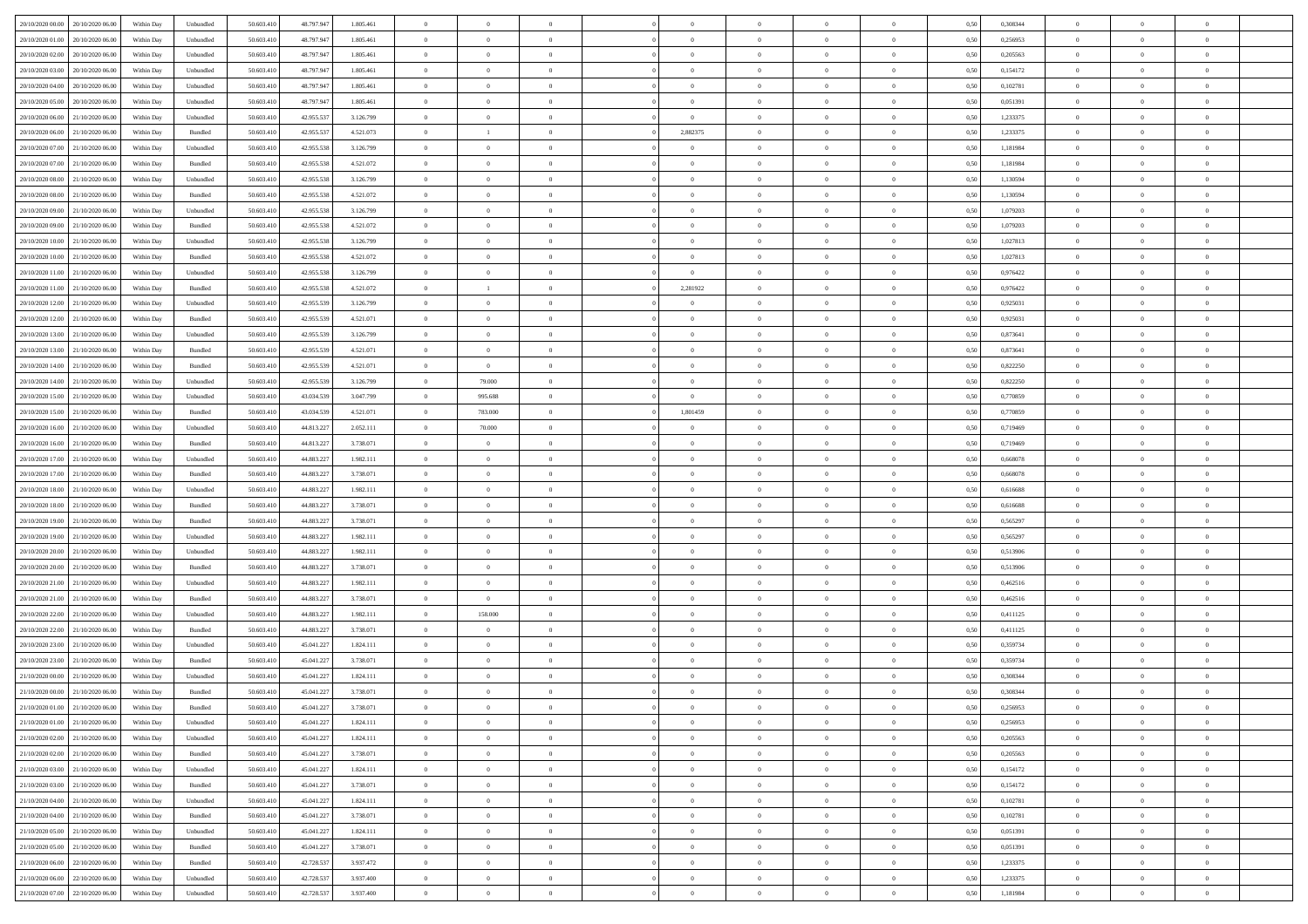| 20/10/2020 00:00                  | 20/10/2020 06:00 | Within Day | Unbundled | 50.603.410 | 48.797.947 | 1.805.461 | $\overline{0}$ | $\theta$       |                | $\overline{0}$ | $\theta$       |                | $\theta$       | 0,50 | 0,308344 | $\theta$       | $\theta$       | $\theta$                 |  |
|-----------------------------------|------------------|------------|-----------|------------|------------|-----------|----------------|----------------|----------------|----------------|----------------|----------------|----------------|------|----------|----------------|----------------|--------------------------|--|
|                                   |                  |            |           |            |            |           |                | $\theta$       |                |                |                |                |                |      |          |                |                | $\overline{0}$           |  |
| 20/10/2020 01.00                  | 20/10/2020 06.00 | Within Day | Unbundled | 50.603.41  | 48.797.947 | 1.805.461 | $\overline{0}$ |                | $\overline{0}$ | $\overline{0}$ | $\,$ 0         | $\bf{0}$       | $\bf{0}$       | 0,50 | 0,256953 | $\,$ 0 $\,$    | $\overline{0}$ |                          |  |
| 20/10/2020 02:00                  | 20/10/2020 06:00 | Within Day | Unbundled | 50.603.410 | 48,797.947 | 1.805.461 | $\overline{0}$ | $\overline{0}$ | $\overline{0}$ | $\overline{0}$ | $\bf{0}$       | $\overline{0}$ | $\mathbf{0}$   | 0.50 | 0,205563 | $\bf{0}$       | $\overline{0}$ | $\overline{0}$           |  |
| 20/10/2020 03:00                  | 20/10/2020 06.00 | Within Day | Unbundled | 50.603.410 | 48.797.947 | 1.805.461 | $\overline{0}$ | $\overline{0}$ | $\overline{0}$ | $\overline{0}$ | $\bf{0}$       | $\overline{0}$ | $\overline{0}$ | 0,50 | 0,154172 | $\,$ 0 $\,$    | $\overline{0}$ | $\overline{0}$           |  |
| 20/10/2020 04:00                  | 20/10/2020 06.00 | Within Day | Unbundled | 50.603.41  | 48.797.947 | 1.805.461 | $\overline{0}$ | $\theta$       | $\overline{0}$ |                | $\overline{0}$ | $\overline{0}$ | $\bf{0}$       | 0,50 | 0,102781 | $\,$ 0 $\,$    | $\overline{0}$ | $\overline{0}$           |  |
| 20/10/2020 05:00                  | 20/10/2020 06:00 | Within Day | Unbundled | 50.603.410 | 48,797.947 | 1.805.461 | $\overline{0}$ | $\overline{0}$ | $\overline{0}$ | $\overline{0}$ | $\bf{0}$       | $\overline{0}$ | $\overline{0}$ | 0.50 | 0.051391 | $\,0\,$        | $\theta$       | $\overline{0}$           |  |
| 20/10/2020 06:00                  | 21/10/2020 06.00 | Within Day | Unbundled | 50.603.410 | 42.955.537 | 3.126.799 | $\overline{0}$ | $\overline{0}$ | $\overline{0}$ | $\overline{0}$ | $\,$ 0         | $\overline{0}$ | $\overline{0}$ | 0,50 | 1,233375 | $\,0\,$        | $\theta$       | $\overline{0}$           |  |
| 20/10/2020 06:00                  | 21/10/2020 06.00 | Within Day | Bundled   | 50.603.41  | 42.955.537 | 4.521.073 | $\overline{0}$ | <sup>1</sup>   | $\overline{0}$ | 2,882375       | $\bf{0}$       | $\overline{0}$ | $\bf{0}$       | 0,50 | 1,233375 | $\,$ 0 $\,$    | $\overline{0}$ | $\overline{0}$           |  |
|                                   |                  |            |           |            |            |           |                |                |                |                |                |                |                |      |          |                |                |                          |  |
| 20/10/2020 07.00                  | 21/10/2020 06:00 | Within Day | Unbundled | 50.603.410 | 42.955.538 | 3.126.799 | $\overline{0}$ | $\overline{0}$ | $\overline{0}$ | $\overline{0}$ | $\bf{0}$       | $\overline{0}$ | $\bf{0}$       | 0.50 | 1.181984 | $\,0\,$        | $\overline{0}$ | $\overline{0}$           |  |
| 20/10/2020 07:00                  | 21/10/2020 06.00 | Within Day | Bundled   | 50.603.410 | 42.955.538 | 4.521.072 | $\overline{0}$ | $\overline{0}$ | $\overline{0}$ | $\overline{0}$ | $\,$ 0         | $\overline{0}$ | $\bf{0}$       | 0,50 | 1,181984 | $\,$ 0 $\,$    | $\overline{0}$ | $\overline{0}$           |  |
| 20/10/2020 08:00                  | 21/10/2020 06.00 | Within Day | Unbundled | 50.603.41  | 42.955.538 | 3.126.799 | $\bf{0}$       | $\theta$       | $\overline{0}$ |                | $\,$ 0         | $\overline{0}$ | $\bf{0}$       | 0,50 | 1,130594 | $\,$ 0 $\,$    | $\overline{0}$ | $\overline{0}$           |  |
| 20/10/2020 08:00                  | 21/10/2020 06:00 | Within Day | Bundled   | 50.603.410 | 42.955.538 | 4.521.072 | $\overline{0}$ | $\overline{0}$ | $\overline{0}$ | $\overline{0}$ | $\bf{0}$       | $\overline{0}$ | $\mathbf{0}$   | 0.50 | 1.130594 | $\bf{0}$       | $\overline{0}$ | $\bf{0}$                 |  |
| 20/10/2020 09:00                  | 21/10/2020 06.00 | Within Day | Unbundled | 50.603.410 | 42.955.538 | 3.126.799 | $\overline{0}$ | $\overline{0}$ | $\overline{0}$ | $\overline{0}$ | $\bf{0}$       | $\overline{0}$ | $\mathbf{0}$   | 0,50 | 1,079203 | $\,$ 0 $\,$    | $\theta$       | $\overline{0}$           |  |
| 20/10/2020 09:00                  | 21/10/2020 06.00 | Within Day | Bundled   | 50.603.41  | 42.955.538 | 4.521.072 | $\overline{0}$ | $\theta$       | $\overline{0}$ |                | $\overline{0}$ | $\overline{0}$ | $\bf{0}$       | 0,50 | 1,079203 | $\,$ 0 $\,$    | $\overline{0}$ | $\overline{0}$           |  |
|                                   | 21/10/2020 06:00 | Within Day | Unbundled | 50.603.410 | 42.955.538 | 3.126.799 | $\overline{0}$ | $\overline{0}$ | $\overline{0}$ | $\overline{0}$ | $\,$ 0         | $\Omega$       | $\bf{0}$       | 0.50 | 1,027813 | $\,0\,$        | $\theta$       | $\overline{0}$           |  |
| 20/10/2020 10:00                  |                  |            |           |            |            |           |                |                |                |                |                |                |                |      |          |                |                |                          |  |
| 20/10/2020 10:00                  | 21/10/2020 06.00 | Within Day | Bundled   | 50.603.410 | 42.955.538 | 4.521.072 | $\overline{0}$ | $\overline{0}$ | $\overline{0}$ | $\overline{0}$ | $\bf{0}$       | $\overline{0}$ | $\overline{0}$ | 0,50 | 1,027813 | $\,0\,$        | $\theta$       | $\overline{0}$           |  |
| 20/10/2020 11:00                  | 21/10/2020 06.00 | Within Day | Unbundled | 50.603.41  | 42.955.538 | 3.126.799 | $\overline{0}$ | $\theta$       | $\overline{0}$ | $\overline{0}$ | $\bf{0}$       | $\overline{0}$ | $\bf{0}$       | 0,50 | 0,976422 | $\,$ 0 $\,$    | $\overline{0}$ | $\overline{0}$           |  |
| 20/10/2020 11:00                  | 21/10/2020 06:00 | Within Day | Bundled   | 50.603.410 | 42.955.538 | 4.521.072 | $\overline{0}$ | -1             | $\overline{0}$ | 2,281922       | $\bf{0}$       | $\overline{0}$ | $\bf{0}$       | 0.50 | 0.976422 | $\,0\,$        | $\overline{0}$ | $\overline{0}$           |  |
| 20/10/2020 12:00                  | 21/10/2020 06.00 | Within Day | Unbundled | 50.603.410 | 42.955.539 | 3.126.799 | $\overline{0}$ | $\overline{0}$ | $\overline{0}$ | $\overline{0}$ | $\bf{0}$       | $\overline{0}$ | $\overline{0}$ | 0,50 | 0,925031 | $\,$ 0 $\,$    | $\overline{0}$ | $\overline{0}$           |  |
| 20/10/2020 12:00                  | 21/10/2020 06.00 | Within Day | Bundled   | 50.603.41  | 42.955.539 | 4.521.071 | $\bf{0}$       | $\,$ 0 $\,$    | $\overline{0}$ |                | $\,$ 0         | $\overline{0}$ | $\bf{0}$       | 0,50 | 0,925031 | $\,$ 0 $\,$    | $\overline{0}$ | $\overline{0}$           |  |
| 20/10/2020 13:00                  | 21/10/2020 06:00 | Within Day | Unbundled | 50.603.410 | 42.955.539 | 3.126.799 | $\overline{0}$ | $\overline{0}$ | $\overline{0}$ | $\overline{0}$ | $\bf{0}$       | $\overline{0}$ | $\mathbf{0}$   | 0.50 | 0.873641 | $\,$ 0 $\,$    | $\overline{0}$ | $\overline{0}$           |  |
| 20/10/2020 13:00                  | 21/10/2020 06.00 | Within Day | Bundled   | 50.603.410 | 42.955.539 | 4.521.071 | $\overline{0}$ | $\overline{0}$ | $\overline{0}$ | $\overline{0}$ | $\bf{0}$       | $\overline{0}$ | $\overline{0}$ | 0,50 | 0,873641 | $\theta$       | $\overline{0}$ | $\overline{0}$           |  |
|                                   |                  |            |           |            |            |           |                |                |                |                |                |                |                |      |          |                |                |                          |  |
| 20/10/2020 14:00                  | 21/10/2020 06.00 | Within Day | Bundled   | 50.603.41  | 42.955.539 | 4.521.071 | $\overline{0}$ | $\overline{0}$ | $\overline{0}$ | $\overline{0}$ | $\bf{0}$       | $\overline{0}$ | $\bf{0}$       | 0,50 | 0,822250 | $\,$ 0 $\,$    | $\overline{0}$ | $\overline{0}$           |  |
| 20/10/2020 14:00                  | 21/10/2020 06:00 | Within Day | Unbundled | 50.603.410 | 42.955.539 | 3.126.799 | $\overline{0}$ | 79,000         | $\overline{0}$ | $\overline{0}$ | $\bf{0}$       | $\overline{0}$ | $\overline{0}$ | 0.50 | 0.822250 | $\,0\,$        | $\theta$       | $\overline{0}$           |  |
| 20/10/2020 15:00                  | 21/10/2020 06.00 | Within Day | Unbundled | 50.603.410 | 43.034.539 | 3.047.799 | $\overline{0}$ | 995.688        | $\overline{0}$ | $\overline{0}$ | $\bf{0}$       | $\overline{0}$ | $\overline{0}$ | 0,50 | 0,770859 | $\,0\,$        | $\theta$       | $\overline{0}$           |  |
| 20/10/2020 15:00                  | 21/10/2020 06.00 | Within Day | Bundled   | 50.603.41  | 43.034.539 | 4.521.071 | $\overline{0}$ | 783.000        | $\overline{0}$ | 1,801459       | $\bf{0}$       | $\overline{0}$ | $\bf{0}$       | 0,50 | 0,770859 | $\,$ 0 $\,$    | $\overline{0}$ | $\overline{0}$           |  |
| 20/10/2020 16:00                  | 21/10/2020 06:00 | Within Day | Unbundled | 50.603.410 | 44.813.227 | 2.052.111 | $\overline{0}$ | 70,000         | $\overline{0}$ | $\overline{0}$ | $\bf{0}$       | $\overline{0}$ | $\bf{0}$       | 0.50 | 0.719469 | $\,0\,$        | $\overline{0}$ | $\overline{0}$           |  |
| 20/10/2020 16:00                  | 21/10/2020 06.00 | Within Day | Bundled   | 50.603.410 | 44.813.227 | 3.738.071 | $\overline{0}$ | $\overline{0}$ | $\overline{0}$ | $\overline{0}$ | $\bf{0}$       | $\overline{0}$ | $\overline{0}$ | 0,50 | 0,719469 | $\,$ 0 $\,$    | $\theta$       | $\overline{0}$           |  |
| 20/10/2020 17:00                  | 21/10/2020 06.00 | Within Day | Unbundled | 50.603.41  | 44.883.227 | 1.982.111 | $\bf{0}$       | $\overline{0}$ | $\overline{0}$ | $\overline{0}$ | $\,$ 0         | $\bf{0}$       | $\bf{0}$       | 0,50 | 0,668078 | $\,$ 0 $\,$    | $\overline{0}$ | $\overline{0}$           |  |
|                                   |                  |            |           |            |            |           |                |                |                |                |                |                |                |      |          |                |                |                          |  |
| 20/10/2020 17:00                  | 21/10/2020 06:00 | Within Day | Bundled   | 50.603.410 | 44.883.227 | 3.738.071 | $\overline{0}$ | $\overline{0}$ | $\overline{0}$ | $\overline{0}$ | $\bf{0}$       | $\overline{0}$ | $\mathbf{0}$   | 0.50 | 0.668078 | $\bf{0}$       | $\overline{0}$ | $\overline{\phantom{a}}$ |  |
| 20/10/2020 18:00                  | 21/10/2020 06:00 | Within Dav | Unbundled | 50.603.410 | 44.883.227 | 1.982.111 | $\overline{0}$ | $\overline{0}$ | $\theta$       | $\Omega$       | $\overline{0}$ | $\overline{0}$ | $\overline{0}$ | 0.50 | 0.616688 | $\theta$       | $\overline{0}$ | $\overline{0}$           |  |
| 20/10/2020 18:00                  | 21/10/2020 06.00 | Within Day | Bundled   | 50.603.41  | 44.883.227 | 3.738.071 | $\overline{0}$ | $\theta$       | $\overline{0}$ |                | $\bf{0}$       | $\overline{0}$ | $\bf{0}$       | 0,50 | 0,616688 | $\,$ 0 $\,$    | $\overline{0}$ | $\overline{0}$           |  |
| 20/10/2020 19:00                  | 21/10/2020 06:00 | Within Day | Bundled   | 50.603.410 | 44.883.227 | 3.738.071 | $\overline{0}$ | $\overline{0}$ | $\overline{0}$ | $\overline{0}$ | $\bf{0}$       | $\overline{0}$ | $\bf{0}$       | 0.50 | 0.565297 | $\,0\,$        | $\theta$       | $\overline{0}$           |  |
| 20/10/2020 19:00                  | 21/10/2020 06.00 | Within Dav | Unbundled | 50.603.410 | 44.883.227 | 1.982.111 | $\overline{0}$ | $\theta$       | $\Omega$       | $\Omega$       | $\mathbf{0}$   | $\overline{0}$ | $\overline{0}$ | 0.50 | 0,565297 | $\theta$       | $\overline{0}$ | $\overline{0}$           |  |
| 20/10/2020 20:00                  | 21/10/2020 06.00 | Within Day | Unbundled | 50.603.41  | 44.883.227 | 1.982.111 | $\overline{0}$ | $\theta$       | $\overline{0}$ |                | $\,$ 0         | $\overline{0}$ | $\bf{0}$       | 0,50 | 0,513906 | $\,$ 0 $\,$    | $\overline{0}$ | $\overline{0}$           |  |
| 20/10/2020 20:00                  | 21/10/2020 06:00 | Within Day | Bundled   | 50.603.410 | 44.883.227 | 3.738.071 | $\overline{0}$ | $\overline{0}$ | $\overline{0}$ | $\overline{0}$ | $\bf{0}$       | $\overline{0}$ | $\bf{0}$       | 0.50 | 0.513906 | $\,0\,$        | $\overline{0}$ | $\overline{0}$           |  |
| 20/10/2020 21:00                  | 21/10/2020 06:00 | Within Dav | Unbundled | 50.603.410 | 44.883.227 | 1.982.111 | $\overline{0}$ | $\overline{0}$ | $\overline{0}$ | $\Omega$       | $\mathbf{0}$   | $\overline{0}$ | $\overline{0}$ | 0.50 | 0,462516 | $\theta$       | $\overline{0}$ | $\overline{0}$           |  |
|                                   |                  |            |           |            |            |           |                |                |                |                |                |                |                |      |          |                |                |                          |  |
| 20/10/2020 21:00                  | 21/10/2020 06.00 | Within Day | Bundled   | 50.603.41  | 44.883.227 | 3.738.071 | $\overline{0}$ | $\bf{0}$       | $\overline{0}$ | $\overline{0}$ | $\bf{0}$       | $\bf{0}$       | $\bf{0}$       | 0,50 | 0,462516 | $\,$ 0 $\,$    | $\overline{0}$ | $\overline{0}$           |  |
| 20/10/2020 22:00                  | 21/10/2020 06:00 | Within Day | Unbundled | 50.603.410 | 44.883.227 | 1.982.111 | $\overline{0}$ | 158.000        | $\overline{0}$ | $\overline{0}$ | $\bf{0}$       | $\overline{0}$ | $\mathbf{0}$   | 0.50 | 0,411125 | $\,$ 0 $\,$    | $\overline{0}$ | $\overline{0}$           |  |
| 20/10/2020 22:00                  | 21/10/2020 06.00 | Within Dav | Bundled   | 50.603.410 | 44.883.227 | 3.738.071 | $\overline{0}$ | $\overline{0}$ | $\Omega$       | $\Omega$       | $\mathbf{0}$   | $\overline{0}$ | $\overline{0}$ | 0.50 | 0,411125 | $\theta$       | $\overline{0}$ | $\overline{0}$           |  |
| 20/10/2020 23:00                  | 21/10/2020 06.00 | Within Day | Unbundled | 50.603.41  | 45.041.227 | 1.824.111 | $\overline{0}$ | $\theta$       | $\overline{0}$ | $\overline{0}$ | $\,$ 0         | $\overline{0}$ | $\bf{0}$       | 0,50 | 0,359734 | $\,$ 0 $\,$    | $\overline{0}$ | $\overline{0}$           |  |
| 20/10/2020 23:00                  | 21/10/2020 06:00 | Within Day | Bundled   | 50.603.410 | 45.041.227 | 3.738.071 | $\overline{0}$ | $\overline{0}$ | $\overline{0}$ | $\overline{0}$ | $\bf{0}$       | $\overline{0}$ | $\overline{0}$ | 0.50 | 0.359734 | $\,0\,$        | $\theta$       | $\overline{0}$           |  |
| 21/10/2020 00:00                  | 21/10/2020 06.00 | Within Dav | Unbundled | 50.603.410 | 45.041.227 | 1.824.111 | $\overline{0}$ | $\Omega$       | $\Omega$       | $\Omega$       | $\bf{0}$       | $\overline{0}$ | $\Omega$       | 0.50 | 0,308344 | $\theta$       | $\theta$       | $\overline{0}$           |  |
| 21/10/2020 00:00                  | 21/10/2020 06.00 | Within Day | Bundled   | 50.603.410 | 45.041.227 | 3.738.071 | $\overline{0}$ | $\,$ 0 $\,$    | $\overline{0}$ | $\overline{0}$ | $\,$ 0         | $\bf{0}$       | $\bf{0}$       | 0,50 | 0,308344 | $\,$ 0 $\,$    | $\overline{0}$ | $\overline{0}$           |  |
| 21/10/2020 01:00 21/10/2020 06:00 |                  | Within Day | Bundled   | 50.603.410 | 45.041.227 | 3.738.071 | $\bf{0}$       | $\theta$       |                |                |                |                |                | 0,50 | 0.256953 | $\,$ 0         | $\theta$       |                          |  |
| 21/10/2020 01:00 21/10/2020 06:00 |                  | Within Day | Unbundled | 50.603.410 | 45.041.227 | 1.824.111 | $\Omega$       | $\overline{0}$ | $\overline{0}$ | $\Omega$       | $\mathbf{0}$   | $\overline{0}$ | $\mathbf{0}$   | 0,50 | 0,256953 | $\theta$       | $\theta$       | $\overline{0}$           |  |
|                                   |                  |            |           |            |            |           |                |                |                |                |                |                |                |      |          |                |                |                          |  |
| 21/10/2020 02.00                  | 21/10/2020 06.00 | Within Day | Unbundled | 50.603.41  | 45.041.227 | 1.824.111 | $\overline{0}$ | $\bf{0}$       | $\overline{0}$ | $\bf{0}$       | $\overline{0}$ | $\overline{0}$ | $\mathbf{0}$   | 0,50 | 0,205563 | $\overline{0}$ | $\overline{0}$ | $\bf{0}$                 |  |
| 21/10/2020 02:00                  | 21/10/2020 06.00 | Within Day | Bundled   | 50,603.410 | 45.041.227 | 3.738.071 | $\overline{0}$ | $\overline{0}$ | $\overline{0}$ | $\overline{0}$ | $\overline{0}$ | $\overline{0}$ | $\mathbf{0}$   | 0.50 | 0.205563 | $\overline{0}$ | $\bf{0}$       | $\bf{0}$                 |  |
| 21/10/2020 03:00                  | 21/10/2020 06:00 | Within Day | Unbundled | 50.603.410 | 45.041.227 | 1.824.111 | $\overline{0}$ | $\overline{0}$ | $\overline{0}$ | $\overline{0}$ | $\mathbf{0}$   | $\overline{0}$ | $\mathbf{0}$   | 0.50 | 0,154172 | $\overline{0}$ | $\theta$       | $\overline{0}$           |  |
| 21/10/2020 03.00                  | 21/10/2020 06.00 | Within Day | Bundled   | 50.603.410 | 45.041.227 | 3.738.071 | $\overline{0}$ | $\overline{0}$ | $\overline{0}$ | $\overline{0}$ | $\bf{0}$       | $\bf{0}$       | $\bf{0}$       | 0,50 | 0,154172 | $\bf{0}$       | $\overline{0}$ | $\overline{0}$           |  |
| 21/10/2020 04.00                  | 21/10/2020 06:00 | Within Day | Unbundled | 50.603.410 | 45.041.227 | 1.824.111 | $\overline{0}$ | $\overline{0}$ | $\overline{0}$ | $\overline{0}$ | $\bf{0}$       | $\overline{0}$ | $\mathbf{0}$   | 0.50 | 0.102781 | $\,$ 0 $\,$    | $\overline{0}$ | $\overline{0}$           |  |
| 21/10/2020 04:00                  | 21/10/2020 06:00 | Within Day | Bundled   | 50.603.410 | 45.041.227 | 3.738.071 | $\overline{0}$ | $\overline{0}$ | $\overline{0}$ | $\overline{0}$ | $\overline{0}$ | $\overline{0}$ | $\overline{0}$ | 0.50 | 0,102781 | $\overline{0}$ | $\theta$       | $\overline{0}$           |  |
| 21/10/2020 05:00                  | 21/10/2020 06.00 | Within Day | Unbundled | 50.603.41  | 45.041.227 | 1.824.111 | $\overline{0}$ | $\,$ 0         | $\overline{0}$ | $\bf{0}$       | $\,$ 0 $\,$    | $\bf{0}$       | $\bf{0}$       | 0,50 | 0,051391 | $\,$ 0 $\,$    | $\overline{0}$ | $\,$ 0                   |  |
|                                   |                  |            |           |            |            |           |                |                |                |                |                |                |                |      |          |                |                |                          |  |
| 21/10/2020 05.00                  | 21/10/2020 06:00 | Within Day | Bundled   | 50.603.410 | 45.041.227 | 3.738.071 | $\overline{0}$ | $\overline{0}$ | $\overline{0}$ | $\overline{0}$ | $\bf{0}$       | $\overline{0}$ | $\mathbf{0}$   | 0.50 | 0.051391 | $\mathbf{0}$   | $\,$ 0 $\,$    | $\overline{0}$           |  |
| 21/10/2020 06:00                  | 22/10/2020 06.00 | Within Dav | Bundled   | 50.603.410 | 42.728.537 | 3.937.472 | $\overline{0}$ | $\overline{0}$ | $\overline{0}$ | $\overline{0}$ | $\overline{0}$ | $\overline{0}$ | $\overline{0}$ | 0,50 | 1,233375 | $\overline{0}$ | $\theta$       | $\overline{0}$           |  |
| 21/10/2020 06.00                  | 22/10/2020 06.00 | Within Day | Unbundled | 50.603.41  | 42.728.537 | 3.937.400 | $\overline{0}$ | $\overline{0}$ | $\overline{0}$ | $\bf{0}$       | $\bf{0}$       | $\overline{0}$ | $\bf{0}$       | 0,50 | 1,233375 | $\bf{0}$       | $\,$ 0 $\,$    | $\bf{0}$                 |  |
| 21/10/2020 07:00 22/10/2020 06:00 |                  | Within Day | Unbundled | 50.603.410 | 42.728.537 | 3.937.400 | $\overline{0}$ | $\overline{0}$ | $\overline{0}$ | $\overline{0}$ | $\bf{0}$       | $\overline{0}$ | $\,$ 0 $\,$    | 0,50 | 1,181984 | $\overline{0}$ | $\,$ 0 $\,$    | $\,$ 0 $\,$              |  |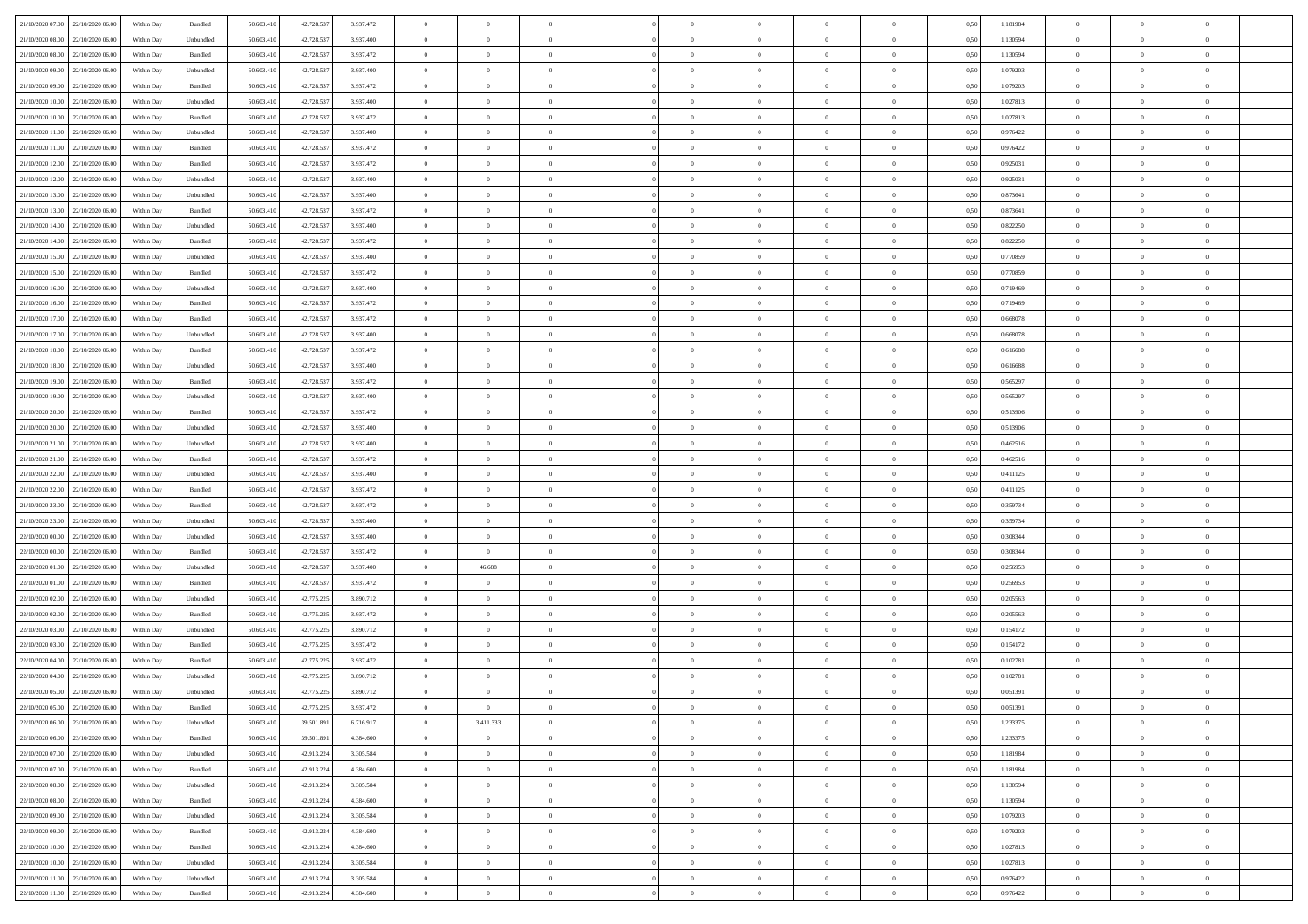| 21/10/2020 07:00 22/10/2020 06:00 |                  | Within Day | Bundled   | 50.603.410 | 42.728.537 | 3.937.472 | $\overline{0}$ | $\theta$       |                | $\overline{0}$ | $\bf{0}$       | $\overline{0}$ | $\theta$       | 0,50 | 1,181984 | $\theta$       | $\theta$       | $\theta$                 |  |
|-----------------------------------|------------------|------------|-----------|------------|------------|-----------|----------------|----------------|----------------|----------------|----------------|----------------|----------------|------|----------|----------------|----------------|--------------------------|--|
| 21/10/2020 08.00                  | 22/10/2020 06.00 | Within Day | Unbundled | 50.603.41  | 42.728.537 | 3.937.400 | $\overline{0}$ | $\theta$       | $\overline{0}$ | $\overline{0}$ | $\,$ 0         | $\overline{0}$ | $\bf{0}$       | 0,50 | 1,130594 | $\,$ 0 $\,$    | $\overline{0}$ | $\overline{0}$           |  |
|                                   |                  |            |           |            |            |           |                |                |                |                |                |                |                |      |          |                |                |                          |  |
| 21/10/2020 08:00                  | 22/10/2020 06:00 | Within Day | Bundled   | 50.603.410 | 42.728.537 | 3.937.472 | $\overline{0}$ | $\overline{0}$ | $\overline{0}$ | $\overline{0}$ | $\bf{0}$       | $\overline{0}$ | $\mathbf{0}$   | 0.50 | 1.130594 | $\bf{0}$       | $\overline{0}$ | $\overline{0}$           |  |
| 21/10/2020 09:00                  | 22/10/2020 06.00 | Within Day | Unbundled | 50.603.410 | 42.728.537 | 3.937.400 | $\overline{0}$ | $\overline{0}$ | $\overline{0}$ | $\overline{0}$ | $\bf{0}$       | $\overline{0}$ | $\overline{0}$ | 0,50 | 1,079203 | $\,$ 0 $\,$    | $\overline{0}$ | $\overline{0}$           |  |
| 21/10/2020 09:00                  | 22/10/2020 06.00 | Within Day | Bundled   | 50.603.41  | 42.728.537 | 3.937.472 | $\overline{0}$ | $\theta$       | $\overline{0}$ |                | $\overline{0}$ | $\overline{0}$ | $\bf{0}$       | 0,50 | 1,079203 | $\,$ 0 $\,$    | $\overline{0}$ | $\overline{0}$           |  |
| 21/10/2020 10:00                  | 22/10/2020 06:00 | Within Day | Unbundled | 50.603.410 | 42.728.537 | 3.937.400 | $\overline{0}$ | $\overline{0}$ | $\overline{0}$ | $\overline{0}$ | $\bf{0}$       | $\overline{0}$ | $\bf{0}$       | 0.50 | 1,027813 | $\,0\,$        | $\theta$       | $\overline{0}$           |  |
| 21/10/2020 10:00                  | 22/10/2020 06.00 | Within Day | Bundled   | 50.603.410 | 42.728.537 | 3.937.472 | $\overline{0}$ | $\overline{0}$ | $\overline{0}$ | $\overline{0}$ | $\,$ 0         | $\overline{0}$ | $\overline{0}$ | 0,50 | 1,027813 | $\,$ 0 $\,$    | $\theta$       | $\overline{0}$           |  |
| 21/10/2020 11:00                  | 22/10/2020 06.00 | Within Day | Unbundled | 50.603.41  | 42.728.537 | 3.937.400 | $\overline{0}$ | $\theta$       | $\overline{0}$ |                | $\bf{0}$       | $\overline{0}$ | $\bf{0}$       | 0,50 | 0,976422 | $\,$ 0 $\,$    | $\overline{0}$ | $\overline{0}$           |  |
| 21/10/2020 11:00                  | 22/10/2020 06:00 | Within Day | Bundled   | 50.603.410 | 42.728.537 | 3.937.472 | $\overline{0}$ | $\overline{0}$ | $\overline{0}$ | $\overline{0}$ | $\bf{0}$       | $\overline{0}$ | $\bf{0}$       | 0.50 | 0.976422 | $\,0\,$        | $\overline{0}$ | $\overline{0}$           |  |
| 21/10/2020 12:00                  | 22/10/2020 06.00 | Within Day | Bundled   | 50.603.410 | 42.728.537 | 3.937.472 | $\overline{0}$ | $\overline{0}$ | $\overline{0}$ | $\overline{0}$ | $\bf{0}$       | $\overline{0}$ | $\bf{0}$       | 0,50 | 0,925031 | $\,$ 0 $\,$    | $\overline{0}$ | $\overline{0}$           |  |
| 21/10/2020 12:00                  | 22/10/2020 06.00 | Within Day | Unbundled | 50.603.41  | 42.728.537 | 3.937.400 | $\overline{0}$ | $\theta$       | $\overline{0}$ |                | $\,$ 0         | $\overline{0}$ | $\bf{0}$       | 0,50 | 0,925031 | $\,$ 0 $\,$    | $\overline{0}$ | $\overline{0}$           |  |
| 21/10/2020 13:00                  | 22/10/2020 06:00 | Within Day | Unbundled | 50.603.410 | 42.728.537 | 3.937.400 | $\overline{0}$ | $\overline{0}$ | $\overline{0}$ | $\overline{0}$ | $\bf{0}$       | $\overline{0}$ | $\mathbf{0}$   | 0.50 | 0.873641 | $\,$ 0 $\,$    | $\overline{0}$ | $\bf{0}$                 |  |
| 21/10/2020 13:00                  | 22/10/2020 06.00 | Within Day | Bundled   | 50.603.410 | 42.728.537 | 3.937.472 | $\overline{0}$ | $\overline{0}$ | $\overline{0}$ | $\overline{0}$ | $\,$ 0         | $\overline{0}$ | $\overline{0}$ | 0,50 | 0,873641 | $\,$ 0 $\,$    | $\overline{0}$ | $\overline{0}$           |  |
| 21/10/2020 14:00                  | 22/10/2020 06.00 | Within Day | Unbundled | 50.603.41  | 42.728.537 | 3.937.400 | $\overline{0}$ | $\theta$       | $\overline{0}$ |                | $\bf{0}$       | $\overline{0}$ | $\bf{0}$       | 0,50 | 0,822250 | $\,$ 0 $\,$    | $\overline{0}$ | $\overline{0}$           |  |
| 21/10/2020 14:00                  | 22/10/2020 06:00 | Within Day | Bundled   | 50.603.410 | 42.728.537 | 3.937.472 | $\overline{0}$ | $\overline{0}$ | $\overline{0}$ | $\overline{0}$ | $\bf{0}$       | $\overline{0}$ | $\bf{0}$       | 0.50 | 0.822250 | $\,0\,$        | $\theta$       | $\overline{0}$           |  |
|                                   |                  |            |           |            |            |           | $\overline{0}$ | $\overline{0}$ | $\overline{0}$ | $\overline{0}$ | $\bf{0}$       | $\overline{0}$ | $\overline{0}$ |      |          | $\,$ 0 $\,$    | $\theta$       | $\overline{0}$           |  |
| 21/10/2020 15:00                  | 22/10/2020 06.00 | Within Day | Unbundled | 50.603.410 | 42.728.537 | 3.937.400 |                |                |                |                |                |                |                | 0,50 | 0,770859 |                |                |                          |  |
| 21/10/2020 15:00                  | 22/10/2020 06.00 | Within Day | Bundled   | 50.603.41  | 42.728.537 | 3.937.472 | $\overline{0}$ | $\theta$       | $\overline{0}$ |                | $\,$ 0         | $\overline{0}$ | $\bf{0}$       | 0,50 | 0,770859 | $\,$ 0 $\,$    | $\overline{0}$ | $\overline{0}$           |  |
| 21/10/2020 16.00                  | 22/10/2020 06:00 | Within Day | Unbundled | 50.603.410 | 42.728.537 | 3.937.400 | $\overline{0}$ | $\overline{0}$ | $\overline{0}$ | $\overline{0}$ | $\bf{0}$       | $\overline{0}$ | $\bf{0}$       | 0.50 | 0.719469 | $\,0\,$        | $\overline{0}$ | $\overline{\phantom{a}}$ |  |
| 21/10/2020 16:00                  | 22/10/2020 06.00 | Within Day | Bundled   | 50.603.410 | 42.728.537 | 3.937.472 | $\overline{0}$ | $\overline{0}$ | $\overline{0}$ | $\overline{0}$ | $\,$ 0         | $\overline{0}$ | $\overline{0}$ | 0,50 | 0,719469 | $\,$ 0 $\,$    | $\overline{0}$ | $\overline{0}$           |  |
| 21/10/2020 17.00                  | 22/10/2020 06.00 | Within Day | Bundled   | 50.603.41  | 42.728.537 | 3.937.472 | $\bf{0}$       | $\,$ 0 $\,$    | $\overline{0}$ | $\overline{0}$ | $\,$ 0         | $\bf{0}$       | $\bf{0}$       | 0,50 | 0,668078 | $\,$ 0 $\,$    | $\overline{0}$ | $\overline{0}$           |  |
| 21/10/2020 17:00                  | 22/10/2020 06:00 | Within Day | Unbundled | 50.603.410 | 42.728.537 | 3.937.400 | $\overline{0}$ | $\overline{0}$ | $\overline{0}$ | $\overline{0}$ | $\bf{0}$       | $\overline{0}$ | $\mathbf{0}$   | 0.50 | 0.668078 | $\,$ 0 $\,$    | $\overline{0}$ | $\overline{0}$           |  |
| 21/10/2020 18:00                  | 22/10/2020 06.00 | Within Day | Bundled   | 50.603.410 | 42.728.537 | 3.937.472 | $\overline{0}$ | $\overline{0}$ | $\overline{0}$ | $\overline{0}$ | $\bf{0}$       | $\overline{0}$ | $\overline{0}$ | 0,50 | 0,616688 | $\,$ 0 $\,$    | $\overline{0}$ | $\overline{0}$           |  |
| 21/10/2020 18:00                  | 22/10/2020 06.00 | Within Day | Unbundled | 50.603.41  | 42.728.537 | 3.937.400 | $\overline{0}$ | $\theta$       | $\overline{0}$ |                | $\,$ 0         | $\overline{0}$ | $\bf{0}$       | 0,50 | 0,616688 | $\,$ 0 $\,$    | $\overline{0}$ | $\overline{0}$           |  |
| 21/10/2020 19:00                  | 22/10/2020 06:00 | Within Day | Bundled   | 50.603.410 | 42.728.537 | 3.937.472 | $\overline{0}$ | $\overline{0}$ | $\overline{0}$ | $\overline{0}$ | $\bf{0}$       | $\overline{0}$ | $\bf{0}$       | 0.50 | 0.565297 | $\,0\,$        | $\theta$       | $\overline{0}$           |  |
| 21/10/2020 19:00                  | 22/10/2020 06.00 | Within Day | Unbundled | 50.603.410 | 42.728.537 | 3.937.400 | $\overline{0}$ | $\overline{0}$ | $\overline{0}$ | $\overline{0}$ | $\bf{0}$       | $\overline{0}$ | $\overline{0}$ | 0,50 | 0,565297 | $\,0\,$        | $\theta$       | $\overline{0}$           |  |
| 21/10/2020 20:00                  | 22/10/2020 06.00 | Within Day | Bundled   | 50.603.41  | 42.728.537 | 3.937.472 | $\overline{0}$ | $\theta$       | $\overline{0}$ |                | $\,$ 0         | $\overline{0}$ | $\bf{0}$       | 0,50 | 0,513906 | $\,$ 0 $\,$    | $\overline{0}$ | $\overline{0}$           |  |
| 21/10/2020 20.00                  | 22/10/2020 06:00 | Within Day | Unbundled | 50.603.410 | 42.728.537 | 3.937.400 | $\overline{0}$ | $\overline{0}$ | $\overline{0}$ | $\overline{0}$ | $\bf{0}$       | $\overline{0}$ | $\bf{0}$       | 0.50 | 0.513906 | $\,0\,$        | $\overline{0}$ | $\overline{0}$           |  |
| 21/10/2020 21:00                  | 22/10/2020 06.00 | Within Day | Unbundled | 50.603.410 | 42.728.537 | 3.937.400 | $\overline{0}$ | $\overline{0}$ | $\overline{0}$ | $\overline{0}$ | $\bf{0}$       | $\overline{0}$ | $\bf{0}$       | 0,50 | 0,462516 | $\,$ 0 $\,$    | $\theta$       | $\overline{0}$           |  |
| 21/10/2020 21:00                  | 22/10/2020 06.00 | Within Day | Bundled   | 50.603.41  | 42.728.537 | 3.937.472 | $\bf{0}$       | $\overline{0}$ | $\overline{0}$ | $\overline{0}$ | $\,$ 0         | $\bf{0}$       | $\bf{0}$       | 0,50 | 0,462516 | $\,$ 0 $\,$    | $\overline{0}$ | $\overline{0}$           |  |
| 21/10/2020 22.00                  | 22/10/2020 06:00 | Within Day | Unbundled | 50.603.410 | 42.728.537 | 3.937.400 | $\overline{0}$ | $\bf{0}$       | $\overline{0}$ | $\overline{0}$ | $\bf{0}$       | $\overline{0}$ | $\mathbf{0}$   | 0.50 | 0,411125 | $\,$ 0 $\,$    | $\overline{0}$ | $\bf{0}$                 |  |
|                                   |                  |            |           |            |            |           |                | $\overline{0}$ | $\overline{0}$ | $\Omega$       | $\overline{0}$ |                |                |      |          | $\theta$       | $\overline{0}$ | $\overline{0}$           |  |
| 21/10/2020 22:00                  | 22/10/2020 06:00 | Within Dav | Bundled   | 50.603.410 | 42.728.537 | 3.937.472 | $\overline{0}$ |                |                |                |                | $\overline{0}$ | $\overline{0}$ | 0.50 | 0,411125 |                |                |                          |  |
| 21/10/2020 23.00                  | 22/10/2020 06.00 | Within Day | Bundled   | 50.603.41  | 42.728.537 | 3.937.472 | $\overline{0}$ | $\theta$       | $\overline{0}$ |                | $\,$ 0         | $\overline{0}$ | $\bf{0}$       | 0,50 | 0,359734 | $\,$ 0 $\,$    | $\overline{0}$ | $\overline{0}$           |  |
| 21/10/2020 23.00                  | 22/10/2020 06:00 | Within Day | Unbundled | 50.603.410 | 42.728.537 | 3.937.400 | $\overline{0}$ | $\overline{0}$ | $\overline{0}$ | $\overline{0}$ | $\bf{0}$       | $\overline{0}$ | $\bf{0}$       | 0.50 | 0.359734 | $\,0\,$        | $\theta$       | $\overline{0}$           |  |
| 22/10/2020 00:00                  | 22/10/2020 06.00 | Within Dav | Unbundled | 50.603.410 | 42.728.537 | 3.937.400 | $\overline{0}$ | $\overline{0}$ | $\Omega$       | $\Omega$       | $\mathbf{0}$   | $\overline{0}$ | $\overline{0}$ | 0.50 | 0,308344 | $\theta$       | $\overline{0}$ | $\overline{0}$           |  |
| 22/10/2020 00:00                  | 22/10/2020 06.00 | Within Day | Bundled   | 50.603.41  | 42.728.537 | 3.937.472 | $\overline{0}$ | $\overline{0}$ | $\overline{0}$ |                | $\,$ 0         | $\overline{0}$ | $\bf{0}$       | 0,50 | 0,308344 | $\,$ 0 $\,$    | $\overline{0}$ | $\overline{0}$           |  |
| 22/10/2020 01:00                  | 22/10/2020 06:00 | Within Day | Unbundled | 50.603.410 | 42.728.537 | 3.937.400 | $\overline{0}$ | 46.688         | $\overline{0}$ | $\overline{0}$ | $\bf{0}$       | $\overline{0}$ | $\bf{0}$       | 0.50 | 0.256953 | $\,0\,$        | $\overline{0}$ | $\overline{0}$           |  |
| 22/10/2020 01:00                  | 22/10/2020 06.00 | Within Dav | Bundled   | 50.603.410 | 42.728.537 | 3.937.472 | $\overline{0}$ | $\overline{0}$ | $\overline{0}$ | $\Omega$       | $\overline{0}$ | $\overline{0}$ | $\overline{0}$ | 0.50 | 0,256953 | $\theta$       | $\overline{0}$ | $\overline{0}$           |  |
| 22/10/2020 02.00                  | 22/10/2020 06.00 | Within Day | Unbundled | 50.603.41  | 42.775.225 | 3.890.712 | $\overline{0}$ | $\,$ 0 $\,$    | $\overline{0}$ | $\overline{0}$ | $\bf{0}$       | $\bf{0}$       | $\bf{0}$       | 0,50 | 0,205563 | $\,$ 0 $\,$    | $\overline{0}$ | $\overline{0}$           |  |
| 22/10/2020 02:00                  | 22/10/2020 06:00 | Within Day | Bundled   | 50.603.410 | 42.775.225 | 3.937.472 | $\overline{0}$ | $\overline{0}$ | $\overline{0}$ | $\overline{0}$ | $\bf{0}$       | $\overline{0}$ | $\mathbf{0}$   | 0.50 | 0.205563 | $\,$ 0 $\,$    | $\overline{0}$ | $\overline{0}$           |  |
| 22/10/2020 03:00                  | 22/10/2020 06.00 | Within Dav | Unbundled | 50.603.410 | 42.775.225 | 3.890.712 | $\overline{0}$ | $\overline{0}$ | $\Omega$       | $\Omega$       | $\mathbf{0}$   | $\overline{0}$ | $\overline{0}$ | 0.50 | 0,154172 | $\theta$       | $\overline{0}$ | $\overline{0}$           |  |
| 22/10/2020 03:00                  | 22/10/2020 06.00 | Within Day | Bundled   | 50.603.41  | 42.775.225 | 3.937.472 | $\overline{0}$ | $\theta$       | $\overline{0}$ | $\overline{0}$ | $\,$ 0         | $\overline{0}$ | $\bf{0}$       | 0,50 | 0,154172 | $\,$ 0 $\,$    | $\overline{0}$ | $\overline{0}$           |  |
| 22/10/2020 04:00                  | 22/10/2020 06:00 | Within Day | Bundled   | 50.603.410 | 42.775.225 | 3.937.472 | $\overline{0}$ | $\overline{0}$ | $\overline{0}$ | $\overline{0}$ | $\bf{0}$       | $\overline{0}$ | $\overline{0}$ | 0.50 | 0.102781 | $\,0\,$        | $\theta$       | $\overline{0}$           |  |
| 22/10/2020 04:00                  | 22/10/2020 06.00 | Within Dav | Unbundled | 50.603.410 | 42.775.225 | 3.890.712 | $\overline{0}$ | $\Omega$       | $\Omega$       | $\Omega$       | $\bf{0}$       | $\overline{0}$ | $\theta$       | 0.50 | 0,102781 | $\theta$       | $\overline{0}$ | $\overline{0}$           |  |
| 22/10/2020 05:00                  | 22/10/2020 06.00 | Within Day | Unbundled | 50.603.410 | 42.775.225 | 3.890.712 | $\overline{0}$ | $\,$ 0 $\,$    | $\overline{0}$ | $\bf{0}$       | $\,$ 0         | $\overline{0}$ | $\bf{0}$       | 0,50 | 0,051391 | $\,$ 0 $\,$    | $\overline{0}$ | $\overline{0}$           |  |
| 22/10/2020 05:00 22/10/2020 06:00 |                  | Within Day | Bundled   | 50.603.410 | 42.775.225 | 3.937.472 | $\bf{0}$       | $\theta$       |                |                |                |                |                | 0,50 | 0,051391 | $\,$ 0         | $\theta$       |                          |  |
| 22/10/2020 06:00 23/10/2020 06:00 |                  | Within Day | Unbundled | 50.603.410 | 39.501.891 | 6.716.917 | $\overline{0}$ | 3.411.333      | $\overline{0}$ | $\Omega$       | $\mathbf{0}$   | $\overline{0}$ | $\mathbf{0}$   | 0,50 | 1,233375 | $\theta$       | $\theta$       | $\overline{0}$           |  |
| 22/10/2020 06.00                  | 23/10/2020 06.00 | Within Day | Bundled   | 50.603.41  | 39.501.891 | 4.384.600 | $\bf{0}$       | $\overline{0}$ | $\overline{0}$ | $\bf{0}$       | $\overline{0}$ | $\overline{0}$ | $\mathbf{0}$   | 0,50 | 1,233375 | $\bf{0}$       | $\overline{0}$ | $\bf{0}$                 |  |
| 22/10/2020 07:00                  | 23/10/2020 06.00 | Within Day | Unbundled | 50,603.410 | 42.913.224 | 3.305.584 | $\overline{0}$ | $\overline{0}$ | $\overline{0}$ | $\overline{0}$ | $\overline{0}$ | $\overline{0}$ | $\mathbf{0}$   | 0.50 | 1.181984 | $\overline{0}$ | $\bf{0}$       | $\bf{0}$                 |  |
|                                   |                  |            |           |            |            |           |                |                |                |                |                |                |                |      |          |                |                |                          |  |
| 22/10/2020 07:00                  | 23/10/2020 06:00 | Within Dav | Bundled   | 50.603.410 | 42.913.224 | 4.384.600 | $\overline{0}$ | $\overline{0}$ | $\overline{0}$ | $\overline{0}$ | $\overline{0}$ | $\overline{0}$ | $\mathbf{0}$   | 0.50 | 1,181984 | $\overline{0}$ | $\theta$       | $\overline{0}$           |  |
| 22/10/2020 08:00                  | 23/10/2020 06.00 | Within Day | Unbundled | 50.603.410 | 42.913.224 | 3.305.584 | $\bf{0}$       | $\overline{0}$ | $\overline{0}$ | $\overline{0}$ | $\bf{0}$       | $\bf{0}$       | $\bf{0}$       | 0,50 | 1,130594 | $\bf{0}$       | $\overline{0}$ | $\overline{0}$           |  |
| 22/10/2020 08:00                  | 23/10/2020 06:00 | Within Day | Bundled   | 50.603.410 | 42.913.224 | 4,384,600 | $\overline{0}$ | $\overline{0}$ | $\overline{0}$ | $\overline{0}$ | $\bf{0}$       | $\overline{0}$ | $\mathbf{0}$   | 0.50 | 1.130594 | $\,$ 0 $\,$    | $\overline{0}$ | $\overline{0}$           |  |
| 22/10/2020 09:00                  | 23/10/2020 06:00 | Within Day | Unbundled | 50.603.410 | 42.913.224 | 3.305.584 | $\overline{0}$ | $\overline{0}$ | $\overline{0}$ | $\overline{0}$ | $\overline{0}$ | $\overline{0}$ | $\overline{0}$ | 0.50 | 1,079203 | $\overline{0}$ | $\theta$       | $\overline{0}$           |  |
| 22/10/2020 09:00                  | 23/10/2020 06.00 | Within Day | Bundled   | 50.603.41  | 42.913.224 | 4.384.600 | $\overline{0}$ | $\,$ 0         | $\overline{0}$ | $\bf{0}$       | $\,$ 0 $\,$    | $\bf{0}$       | $\bf{0}$       | 0,50 | 1,079203 | $\,$ 0 $\,$    | $\overline{0}$ | $\,$ 0                   |  |
| 22/10/2020 10:00                  | 23/10/2020 06:00 | Within Day | Bundled   | 50.603.410 | 42.913.224 | 4,384,600 | $\overline{0}$ | $\overline{0}$ | $\overline{0}$ | $\overline{0}$ | $\bf{0}$       | $\overline{0}$ | $\mathbf{0}$   | 0.50 | 1.027813 | $\mathbf{0}$   | $\bf{0}$       | $\overline{0}$           |  |
| 22/10/2020 10:00                  | 23/10/2020 06:00 | Within Day | Unbundled | 50.603.410 | 42.913.224 | 3.305.584 | $\overline{0}$ | $\overline{0}$ | $\overline{0}$ | $\overline{0}$ | $\overline{0}$ | $\overline{0}$ | $\overline{0}$ | 0,50 | 1,027813 | $\overline{0}$ | $\theta$       | $\overline{0}$           |  |
| 22/10/2020 11:00                  | 23/10/2020 06.00 | Within Day | Unbundled | 50.603.41  | 42.913.224 | 3.305.584 | $\overline{0}$ | $\overline{0}$ | $\overline{0}$ | $\bf{0}$       | $\bf{0}$       | $\bf{0}$       | $\bf{0}$       | 0,50 | 0,976422 | $\bf{0}$       | $\overline{0}$ | $\bf{0}$                 |  |
| 22/10/2020 11:00 23/10/2020 06:00 |                  | Within Day | Bundled   | 50.603.410 | 42.913.224 | 4.384.600 | $\overline{0}$ | $\overline{0}$ | $\overline{0}$ | $\overline{0}$ | $\bf{0}$       | $\overline{0}$ | $\,$ 0 $\,$    | 0,50 | 0,976422 | $\overline{0}$ | $\,$ 0 $\,$    | $\,$ 0 $\,$              |  |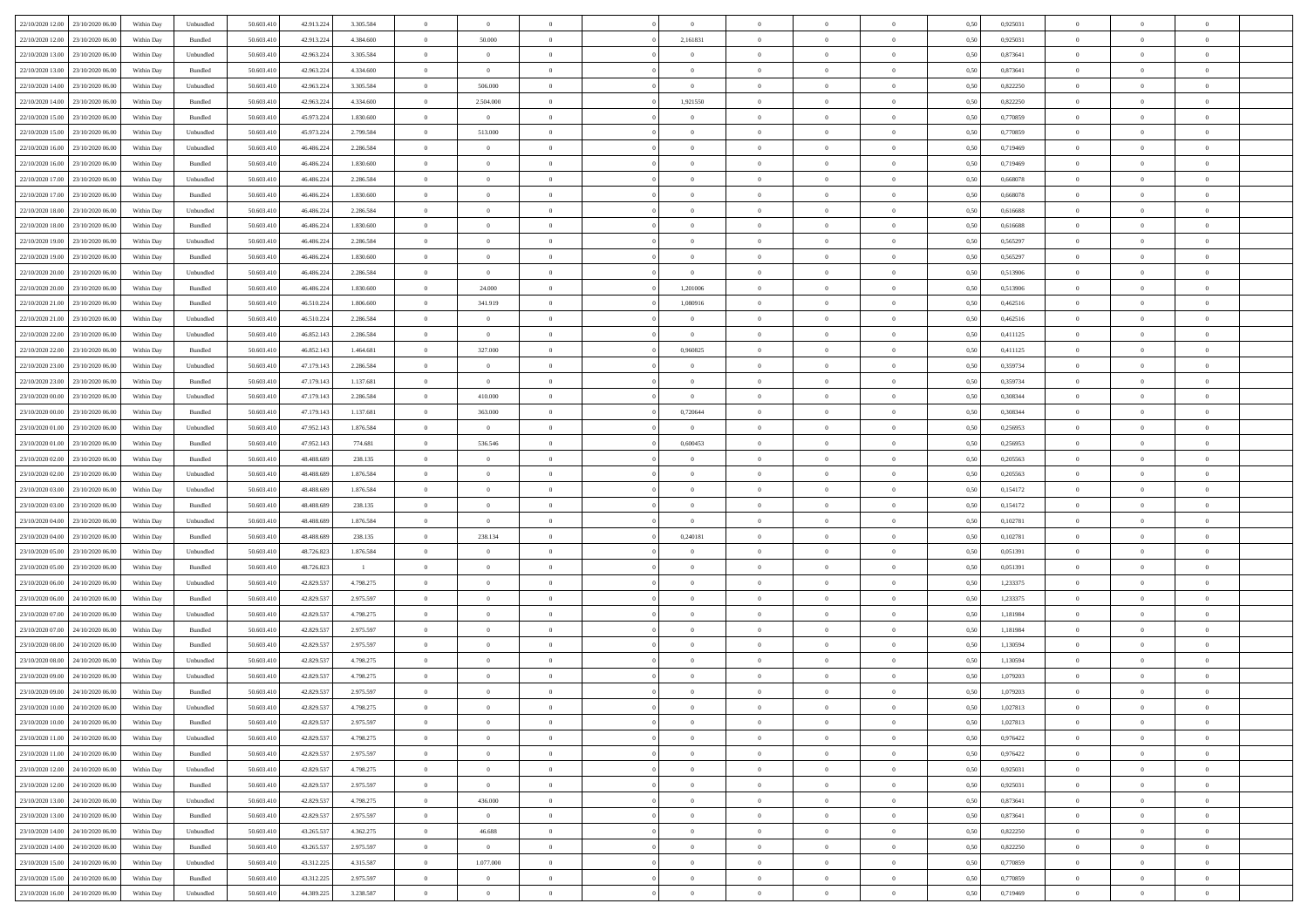| 22/10/2020 12:00 23/10/2020 06:00    | Within Day | Unbundled                   | 50.603.410 | 42.913.224 | 3.305.584      | $\overline{0}$ | $\overline{0}$ |                | $\overline{0}$ | $\theta$       |                | $\theta$       | 0,50 | 0,925031 | $\theta$       | $\theta$       | $\overline{0}$ |  |
|--------------------------------------|------------|-----------------------------|------------|------------|----------------|----------------|----------------|----------------|----------------|----------------|----------------|----------------|------|----------|----------------|----------------|----------------|--|
| 22/10/2020 12:00<br>23/10/2020 06.00 | Within Day | Bundled                     | 50.603.41  | 42.913.224 | 4.384.600      | $\bf{0}$       | 50.000         | $\bf{0}$       | 2,161831       | $\bf{0}$       | $\overline{0}$ | $\bf{0}$       | 0,50 | 0,925031 | $\,$ 0 $\,$    | $\bf{0}$       | $\overline{0}$ |  |
| 22/10/2020 13:00<br>23/10/2020 06.00 | Within Day | Unbundled                   | 50.603.41  | 42.963.224 | 3.305.584      | $\overline{0}$ | $\overline{0}$ | $\overline{0}$ | $\bf{0}$       | $\bf{0}$       | $\overline{0}$ | $\bf{0}$       | 0.50 | 0.873641 | $\bf{0}$       | $\overline{0}$ | $\overline{0}$ |  |
| 22/10/2020 13:00<br>23/10/2020 06:00 | Within Day | Bundled                     | 50.603.41  | 42.963.224 | 4.334.600      | $\overline{0}$ | $\overline{0}$ | $\overline{0}$ | $\overline{0}$ | $\theta$       | $\overline{0}$ | $\bf{0}$       | 0,50 | 0,873641 | $\theta$       | $\theta$       | $\overline{0}$ |  |
| 22/10/2020 14:00<br>23/10/2020 06.00 | Within Day | Unbundled                   | 50.603.41  | 42.963.224 | 3.305.584      | $\bf{0}$       | 506.000        | $\bf{0}$       | $\bf{0}$       | $\theta$       | $\overline{0}$ | $\bf{0}$       | 0,50 | 0,822250 | $\,$ 0 $\,$    | $\bf{0}$       | $\overline{0}$ |  |
| 22/10/2020 14:00<br>23/10/2020 06:00 | Within Day | Bundled                     | 50.603.41  | 42.963.224 | 4,334,600      | $\overline{0}$ | 2.504.000      | $\overline{0}$ | 1,921550       | $\overline{0}$ | $\theta$       | $\bf{0}$       | 0.50 | 0.822250 | $\,$ 0 $\,$    | $\theta$       | $\overline{0}$ |  |
| 22/10/2020 15:00<br>23/10/2020 06:00 | Within Day | Bundled                     | 50.603.41  | 45.973.224 | 1.830.600      | $\overline{0}$ | $\overline{0}$ | $\overline{0}$ | $\overline{0}$ | $\overline{0}$ | $\overline{0}$ | $\bf{0}$       | 0,50 | 0,770859 | $\,$ 0 $\,$    | $\theta$       | $\overline{0}$ |  |
|                                      |            |                             |            |            |                |                |                |                |                |                |                |                |      |          |                |                |                |  |
| 22/10/2020 15:00<br>23/10/2020 06.00 | Within Day | Unbundled                   | 50.603.41  | 45.973.224 | 2.799.584      | $\bf{0}$       | 513.000        | $\bf{0}$       | $\overline{0}$ | $\overline{0}$ | $\overline{0}$ | $\bf{0}$       | 0,50 | 0,770859 | $\,$ 0 $\,$    | $\bf{0}$       | $\overline{0}$ |  |
| 22/10/2020 16:00<br>23/10/2020 06:00 | Within Day | Unbundled                   | 50.603.41  | 46.486.22  | 2.286.584      | $\overline{0}$ | $\bf{0}$       | $\overline{0}$ | $\bf{0}$       | $\overline{0}$ | $\overline{0}$ | $\bf{0}$       | 0.50 | 0.719469 | $\bf{0}$       | $\overline{0}$ | $\overline{0}$ |  |
| 22/10/2020 16:00<br>23/10/2020 06:00 | Within Day | Bundled                     | 50.603.410 | 46.486.224 | 1.830.600      | $\bf{0}$       | $\bf{0}$       | $\overline{0}$ | $\overline{0}$ | $\overline{0}$ | $\overline{0}$ | $\bf{0}$       | 0,50 | 0,719469 | $\,$ 0 $\,$    | $\bf{0}$       | $\overline{0}$ |  |
| 22/10/2020 17:00<br>23/10/2020 06.00 | Within Day | Unbundled                   | 50.603.41  | 46.486.224 | 2.286.584      | $\bf{0}$       | $\bf{0}$       | $\bf{0}$       | $\bf{0}$       | $\bf{0}$       | $\overline{0}$ | $\bf{0}$       | 0,50 | 0,668078 | $\,$ 0 $\,$    | $\bf{0}$       | $\overline{0}$ |  |
| 22/10/2020 17.00<br>23/10/2020 06.00 | Within Day | Bundled                     | 50.603.41  | 46.486.224 | 1.830.600      | $\overline{0}$ | $\bf{0}$       | $\overline{0}$ | $\overline{0}$ | $\bf{0}$       | $\overline{0}$ | $\bf{0}$       | 0.50 | 0.668078 | $\bf{0}$       | $\overline{0}$ | $\bf{0}$       |  |
| 22/10/2020 18:00<br>23/10/2020 06:00 | Within Day | Unbundled                   | 50.603.41  | 46.486.224 | 2.286.584      | $\overline{0}$ | $\overline{0}$ | $\overline{0}$ | $\theta$       | $\theta$       | $\overline{0}$ | $\bf{0}$       | 0,50 | 0,616688 | $\,$ 0 $\,$    | $\theta$       | $\overline{0}$ |  |
| 22/10/2020 18:00<br>23/10/2020 06.00 | Within Day | Bundled                     | 50.603.41  | 46.486.22  | 1.830.600      | $\bf{0}$       | $\overline{0}$ | $\bf{0}$       | $\bf{0}$       | $\bf{0}$       | $\overline{0}$ | $\bf{0}$       | 0,50 | 0,616688 | $\,$ 0 $\,$    | $\bf{0}$       | $\overline{0}$ |  |
| 22/10/2020 19:00<br>23/10/2020 06:00 | Within Day | Unbundled                   | 50.603.41  | 46.486.22  | 2.286.584      | $\overline{0}$ | $\overline{0}$ | $\overline{0}$ | $\bf{0}$       | $\overline{0}$ | $\theta$       | $\bf{0}$       | 0.50 | 0.565297 | $\,$ 0 $\,$    | $\theta$       | $\overline{0}$ |  |
| 22/10/2020 19:00<br>23/10/2020 06:00 | Within Day | Bundled                     | 50.603.41  | 46.486.224 | 1.830.600      | $\overline{0}$ | $\overline{0}$ | $\overline{0}$ | $\overline{0}$ | $\overline{0}$ | $\overline{0}$ | $\bf{0}$       | 0,50 | 0,565297 | $\theta$       | $\theta$       | $\overline{0}$ |  |
|                                      |            |                             |            |            |                |                |                |                |                |                |                |                |      |          |                |                |                |  |
| 22/10/2020 20:00<br>23/10/2020 06.00 | Within Day | Unbundled                   | 50.603.41  | 46.486.22  | 2.286.584      | $\bf{0}$       | $\bf{0}$       | $\bf{0}$       | $\bf{0}$       | $\bf{0}$       | $\overline{0}$ | $\bf{0}$       | 0,50 | 0,513906 | $\,$ 0 $\,$    | $\bf{0}$       | $\overline{0}$ |  |
| 22/10/2020 20:00<br>23/10/2020 06:00 | Within Day | Bundled                     | 50,603.41  | 46.486.22  | 1.830.600      | $\overline{0}$ | 24,000         | $\overline{0}$ | 1.201006       | $\overline{0}$ | $\overline{0}$ | $\bf{0}$       | 0.50 | 0.513906 | $\bf{0}$       | $\overline{0}$ | $\bf{0}$       |  |
| 22/10/2020 21:00<br>23/10/2020 06:00 | Within Day | Bundled                     | 50.603.410 | 46.510.224 | 1.806.600      | $\bf{0}$       | 341.919        | $\overline{0}$ | 1,080916       | $\overline{0}$ | $\overline{0}$ | $\bf{0}$       | 0,50 | 0,462516 | $\,$ 0 $\,$    | $\bf{0}$       | $\overline{0}$ |  |
| 22/10/2020 21:00<br>23/10/2020 06.00 | Within Day | Unbundled                   | 50.603.41  | 46.510.224 | 2.286.584      | $\bf{0}$       | $\bf{0}$       | $\bf{0}$       | $\overline{0}$ | $\overline{0}$ | $\overline{0}$ | $\bf{0}$       | 0,50 | 0,462516 | $\,$ 0 $\,$    | $\bf{0}$       | $\overline{0}$ |  |
| 22/10/2020 22.00<br>23/10/2020 06:00 | Within Day | Unbundled                   | 50.603.41  | 46.852.143 | 2.286.584      | $\overline{0}$ | $\overline{0}$ | $\overline{0}$ | $\bf{0}$       | $\bf{0}$       | $\overline{0}$ | $\bf{0}$       | 0.50 | 0,411125 | $\bf{0}$       | $\overline{0}$ | $\,$ 0         |  |
| 22/10/2020 22.00<br>23/10/2020 06:00 | Within Day | Bundled                     | 50.603.41  | 46.852.143 | 1.464.681      | $\overline{0}$ | 327.000        | $\overline{0}$ | 0,960825       | $\theta$       | $\overline{0}$ | $\bf{0}$       | 0,50 | 0,411125 | $\,$ 0 $\,$    | $\theta$       | $\overline{0}$ |  |
| 22/10/2020 23:00<br>23/10/2020 06.00 | Within Day | Unbundled                   | 50.603.41  | 47.179.143 | 2.286.584      | $\bf{0}$       | $\overline{0}$ | $\bf{0}$       | $\overline{0}$ | $\overline{0}$ | $\overline{0}$ | $\bf{0}$       | 0,50 | 0,359734 | $\,$ 0 $\,$    | $\bf{0}$       | $\overline{0}$ |  |
| 22/10/2020 23.00<br>23/10/2020 06:00 | Within Day | Bundled                     | 50.603.41  | 47.179.143 | 1.137.681      | $\overline{0}$ | $\overline{0}$ | $\overline{0}$ | $\bf{0}$       | $\overline{0}$ | $\theta$       | $\bf{0}$       | 0.50 | 0.359734 | $\bf{0}$       | $\theta$       | $\overline{0}$ |  |
| 23/10/2020 00:00<br>23/10/2020 06:00 | Within Day | Unbundled                   | 50.603.41  | 47.179.143 | 2.286.584      | $\overline{0}$ | 410.000        | $\overline{0}$ | $\overline{0}$ | $\theta$       | $\overline{0}$ | $\bf{0}$       | 0,50 | 0,308344 | $\,$ 0 $\,$    | $\theta$       | $\overline{0}$ |  |
|                                      |            |                             |            |            |                |                |                |                |                |                |                |                |      |          |                |                |                |  |
| 23/10/2020 00:00<br>23/10/2020 06.00 | Within Day | Bundled                     | 50.603.41  | 47.179.143 | 1.137.681      | $\bf{0}$       | 363.000        | $\bf{0}$       | 0,720644       | $\theta$       | $\overline{0}$ | $\bf{0}$       | 0,50 | 0,308344 | $\,$ 0 $\,$    | $\bf{0}$       | $\overline{0}$ |  |
| 23/10/2020 01:00<br>23/10/2020 06:00 | Within Day | Unbundled                   | 50,603.41  | 47.952.143 | 1.876.584      | $\overline{0}$ | $\overline{0}$ | $\overline{0}$ | $\bf{0}$       | $\overline{0}$ | $\overline{0}$ | $\bf{0}$       | 0.50 | 0.256953 | $\bf{0}$       | $\overline{0}$ | $\overline{0}$ |  |
| 23/10/2020 01:00<br>23/10/2020 06:00 | Within Day | Bundled                     | 50.603.410 | 47.952.143 | 774.681        | $\overline{0}$ | 536.546        | $\overline{0}$ | 0,600453       | $\overline{0}$ | $\overline{0}$ | $\bf{0}$       | 0,50 | 0,256953 | $\theta$       | $\bf{0}$       | $\overline{0}$ |  |
| 23/10/2020 02.00<br>23/10/2020 06.00 | Within Day | Bundled                     | 50.603.41  | 48.488.689 | 238.135        | $\bf{0}$       | $\bf{0}$       | $\bf{0}$       | $\bf{0}$       | $\overline{0}$ | $\overline{0}$ | $\bf{0}$       | 0,50 | 0,205563 | $\,$ 0 $\,$    | $\bf{0}$       | $\overline{0}$ |  |
| 23/10/2020 02:00<br>23/10/2020 06:00 | Within Day | Unbundled                   | 50.603.41  | 48,488,689 | 1.876.584      | $\overline{0}$ | $\bf{0}$       | $\overline{0}$ | $\bf{0}$       | $\bf{0}$       | $\overline{0}$ | $\bf{0}$       | 0.50 | 0.205563 | $\bf{0}$       | $\overline{0}$ | $\bf{0}$       |  |
| 23/10/2020 03:00<br>23/10/2020 06.00 | Within Day | Unbundled                   | 50.603.41  | 48,488,689 | 1.876.584      | $\overline{0}$ | $\overline{0}$ | $\overline{0}$ | $\overline{0}$ | $\overline{0}$ | $\overline{0}$ | $\bf{0}$       | 0.5( | 0,154172 | $\theta$       | $\theta$       | $\overline{0}$ |  |
| 23/10/2020 03:00<br>23/10/2020 06.00 | Within Day | Bundled                     | 50.603.41  | 48.488.689 | 238.135        | $\bf{0}$       | $\bf{0}$       | $\bf{0}$       | $\bf{0}$       | $\overline{0}$ | $\overline{0}$ | $\bf{0}$       | 0,50 | 0,154172 | $\,$ 0 $\,$    | $\bf{0}$       | $\overline{0}$ |  |
| 23/10/2020 04:00<br>23/10/2020 06.00 | Within Day | Unbundled                   | 50.603.41  | 48,488,689 | 1.876.584      | $\overline{0}$ | $\bf{0}$       | $\overline{0}$ | $\bf{0}$       | $\overline{0}$ | $\overline{0}$ | $\bf{0}$       | 0.50 | 0.102781 | $\,$ 0 $\,$    | $\bf{0}$       | $\overline{0}$ |  |
| 23/10/2020 04:00<br>23/10/2020 06:00 | Within Day | Bundled                     | 50.603.410 | 48.488.689 | 238,135        | $\overline{0}$ | 238.134        | $\overline{0}$ | 0,240181       | $\theta$       | $\overline{0}$ | $\bf{0}$       | 0.5( | 0,102781 | $\theta$       | $\theta$       | $\overline{0}$ |  |
| 23/10/2020 06.00                     | Within Day | Unbundled                   | 50.603.41  | 48.726.823 | 1.876.584      | $\bf{0}$       | $\theta$       | $\bf{0}$       |                | $\overline{0}$ | $\overline{0}$ | $\bf{0}$       | 0,50 | 0,051391 | $\,$ 0 $\,$    | $\bf{0}$       | $\overline{0}$ |  |
| 23/10/2020 05:00                     |            |                             |            |            |                |                |                |                |                |                |                |                |      |          |                |                |                |  |
| 23/10/2020 05:00<br>23/10/2020 06:00 | Within Day | Bundled                     | 50,603.41  | 48.726.823 | $\blacksquare$ | $\overline{0}$ | $\bf{0}$       | $\overline{0}$ | $\bf{0}$       | $\overline{0}$ | $\overline{0}$ | $\bf{0}$       | 0.50 | 0.051391 | $\bf{0}$       | $\overline{0}$ | $\overline{0}$ |  |
| 23/10/2020 06:00<br>24/10/2020 06.00 | Within Day | Unbundled                   | 50.603.41  | 42.829.537 | 4.798.275      | $\overline{0}$ | $\overline{0}$ | $\overline{0}$ | $\overline{0}$ | $\overline{0}$ | $\overline{0}$ | $\bf{0}$       | 0.50 | 1,233375 | $\theta$       | $\theta$       | $\overline{0}$ |  |
| 23/10/2020 06:00<br>24/10/2020 06.00 | Within Day | Bundled                     | 50.603.41  | 42.829.53  | 2.975.597      | $\bf{0}$       | $\bf{0}$       | $\bf{0}$       | $\bf{0}$       | $\overline{0}$ | $\overline{0}$ | $\bf{0}$       | 0,50 | 1,233375 | $\,$ 0 $\,$    | $\bf{0}$       | $\overline{0}$ |  |
| 23/10/2020 07:00<br>24/10/2020 06:00 | Within Day | Unbundled                   | 50.603.41  | 42.829.537 | 4.798.275      | $\overline{0}$ | $\bf{0}$       | $\overline{0}$ | $\overline{0}$ | $\bf{0}$       | $\overline{0}$ | $\bf{0}$       | 0.50 | 1.181984 | $\bf{0}$       | $\overline{0}$ | $\overline{0}$ |  |
| 23/10/2020 07:00<br>24/10/2020 06.00 | Within Day | Bundled                     | 50.603.41  | 42.829.537 | 2.975.597      | $\overline{0}$ | $\overline{0}$ | $\overline{0}$ | $\overline{0}$ | $\overline{0}$ | $\overline{0}$ | $\bf{0}$       | 0.50 | 1,181984 | $\theta$       | $\theta$       | $\overline{0}$ |  |
| 23/10/2020 08:00<br>24/10/2020 06.00 | Within Day | Bundled                     | 50.603.41  | 42.829.53  | 2.975.597      | $\bf{0}$       | $\bf{0}$       | $\bf{0}$       | $\bf{0}$       | $\overline{0}$ | $\overline{0}$ | $\bf{0}$       | 0,50 | 1,130594 | $\,$ 0 $\,$    | $\bf{0}$       | $\overline{0}$ |  |
| 23/10/2020 08:00<br>24/10/2020 06:00 | Within Day | Unbundled                   | 50.603.41  | 42.829.53  | 4.798.275      | $\overline{0}$ | $\overline{0}$ | $\overline{0}$ | $\bf{0}$       | $\overline{0}$ | $\overline{0}$ | $\bf{0}$       | 0.50 | 1,130594 | $\bf{0}$       | $\theta$       | $\overline{0}$ |  |
| 23/10/2020 09:00<br>24/10/2020 06.00 | Within Day | Unbundled                   | 50.603.41  | 42.829.53  | 4.798.275      | $\overline{0}$ | $\overline{0}$ | $\Omega$       | $\overline{0}$ | $\theta$       | $\overline{0}$ | $\overline{0}$ | 0.5( | 1,079203 | $\theta$       | $\theta$       | $\overline{0}$ |  |
| 23/10/2020 09:00<br>24/10/2020 06.00 | Within Day | Bundled                     | 50.603.41  | 42.829.53  | 2.975.597      | $\bf{0}$       | $\bf{0}$       | $\bf{0}$       | $\bf{0}$       | $\bf{0}$       | $\overline{0}$ | $\bf{0}$       | 0,50 | 1,079203 | $\,$ 0 $\,$    | $\bf{0}$       | $\overline{0}$ |  |
| 23/10/2020 10:00 24/10/2020 06:00    | Within Day | $\ensuremath{\mathsf{Unb}}$ | 50.603.410 | 42.829.537 | 4.798.275      | $\bf{0}$       | $\theta$       |                | $\overline{0}$ |                |                |                | 0,50 | 1,027813 | $\bf{0}$       | $\bf{0}$       |                |  |
|                                      |            |                             |            |            |                | $\overline{0}$ | $\overline{0}$ | $\Omega$       |                | $\overline{0}$ |                |                |      |          | $\theta$       | $\theta$       | $\overline{0}$ |  |
| 23/10/2020 10:00 24/10/2020 06:00    | Within Day | Bundled                     | 50.603.410 | 42.829.537 | 2.975.597      |                |                |                | $\theta$       |                | $\overline{0}$ | $\bf{0}$       | 0,50 | 1,027813 |                |                |                |  |
| 23/10/2020 11:00<br>24/10/2020 06.00 | Within Day | Unbundled                   | 50.603.41  | 42.829.537 | 4.798.275      | $\overline{0}$ | $\bf{0}$       | $\overline{0}$ | $\overline{0}$ | $\bf{0}$       | $\overline{0}$ | $\bf{0}$       | 0,50 | 0,976422 | $\bf{0}$       | $\overline{0}$ | $\bf{0}$       |  |
| 23/10/2020 11:00 24/10/2020 06:00    | Within Day | Bundled                     | 50,603.410 | 42.829.537 | 2.975.597      | $\overline{0}$ | $\overline{0}$ | $\overline{0}$ | $\overline{0}$ | $\mathbf{0}$   | $\overline{0}$ | $\,$ 0 $\,$    | 0.50 | 0.976422 | $\overline{0}$ | $\bf{0}$       | $\,$ 0 $\,$    |  |
| 23/10/2020 12:00 24/10/2020 06:00    | Within Day | Unbundled                   | 50.603.410 | 42.829.537 | 4.798.275      | $\overline{0}$ | $\overline{0}$ | $\overline{0}$ | $\overline{0}$ | $\overline{0}$ | $\overline{0}$ | $\bf{0}$       | 0,50 | 0.925031 | $\overline{0}$ | $\theta$       | $\overline{0}$ |  |
| 23/10/2020 12:00<br>24/10/2020 06.00 | Within Day | Bundled                     | 50.603.41  | 42.829.537 | 2.975.597      | $\overline{0}$ | $\bf{0}$       | $\overline{0}$ | $\overline{0}$ | $\bf{0}$       | $\overline{0}$ | $\bf{0}$       | 0,50 | 0,925031 | $\bf{0}$       | $\overline{0}$ | $\overline{0}$ |  |
| 24/10/2020 06.00<br>23/10/2020 13:00 | Within Day | Unbundled                   | 50.603.410 | 42.829.537 | 4.798.275      | $\overline{0}$ | 436,000        | $\overline{0}$ | $\overline{0}$ | $\overline{0}$ | $\overline{0}$ | $\bf{0}$       | 0.50 | 0.873641 | $\,$ 0 $\,$    | $\overline{0}$ | $\,$ 0         |  |
| 23/10/2020 13:00<br>24/10/2020 06:00 | Within Dav | Bundled                     | 50.603.410 | 42.829.537 | 2.975.597      | $\overline{0}$ | $\overline{0}$ | $\overline{0}$ | $\overline{0}$ | $\overline{0}$ | $\overline{0}$ | $\bf{0}$       | 0.50 | 0,873641 | $\overline{0}$ | $\theta$       | $\overline{0}$ |  |
| 23/10/2020 14:00<br>24/10/2020 06.00 | Within Day | Unbundled                   | 50.603.41  | 43.265.537 | 4.362.275      | $\overline{0}$ | 46.688         | $\overline{0}$ | $\overline{0}$ | $\overline{0}$ | $\overline{0}$ | $\bf{0}$       | 0,50 | 0,822250 | $\bf{0}$       | $\overline{0}$ | $\overline{0}$ |  |
| 23/10/2020 14:00 24/10/2020 06:00    | Within Day | Bundled                     | 50,603.410 | 43.265.537 | 2.975.597      | $\overline{0}$ | $\overline{0}$ | $\overline{0}$ | $\overline{0}$ | $\overline{0}$ | $\overline{0}$ | $\bf{0}$       | 0.50 | 0.822250 | $\mathbf{0}$   | $\bf{0}$       | $\,$ 0         |  |
|                                      |            |                             |            |            |                |                |                |                |                |                |                |                |      |          |                |                |                |  |
| 23/10/2020 15:00 24/10/2020 06:00    | Within Dav | Unbundled                   | 50.603.410 | 43.312.225 | 4.315.587      | $\overline{0}$ | 1.077.000      | $\overline{0}$ | $\overline{0}$ | $\overline{0}$ | $\overline{0}$ | $\bf{0}$       | 0.50 | 0,770859 | $\overline{0}$ | $\theta$       | $\overline{0}$ |  |
| 23/10/2020 15:00<br>24/10/2020 06.00 | Within Day | Bundled                     | 50.603.41  | 43.312.225 | 2.975.597      | $\overline{0}$ | $\bf{0}$       | $\overline{0}$ | $\bf{0}$       | $\overline{0}$ | $\overline{0}$ | $\bf{0}$       | 0,50 | 0,770859 | $\bf{0}$       | $\,0\,$        | $\bf{0}$       |  |
| 23/10/2020 16:00 24/10/2020 06:00    | Within Day | Unbundled                   | 50.603.410 | 44.389.225 | 3.238.587      | $\overline{0}$ | $\bf{0}$       | $\overline{0}$ | $\overline{0}$ | $\,$ 0 $\,$    | $\overline{0}$ | $\bf{0}$       | 0,50 | 0,719469 | $\overline{0}$ | $\,$ 0 $\,$    | $\,$ 0 $\,$    |  |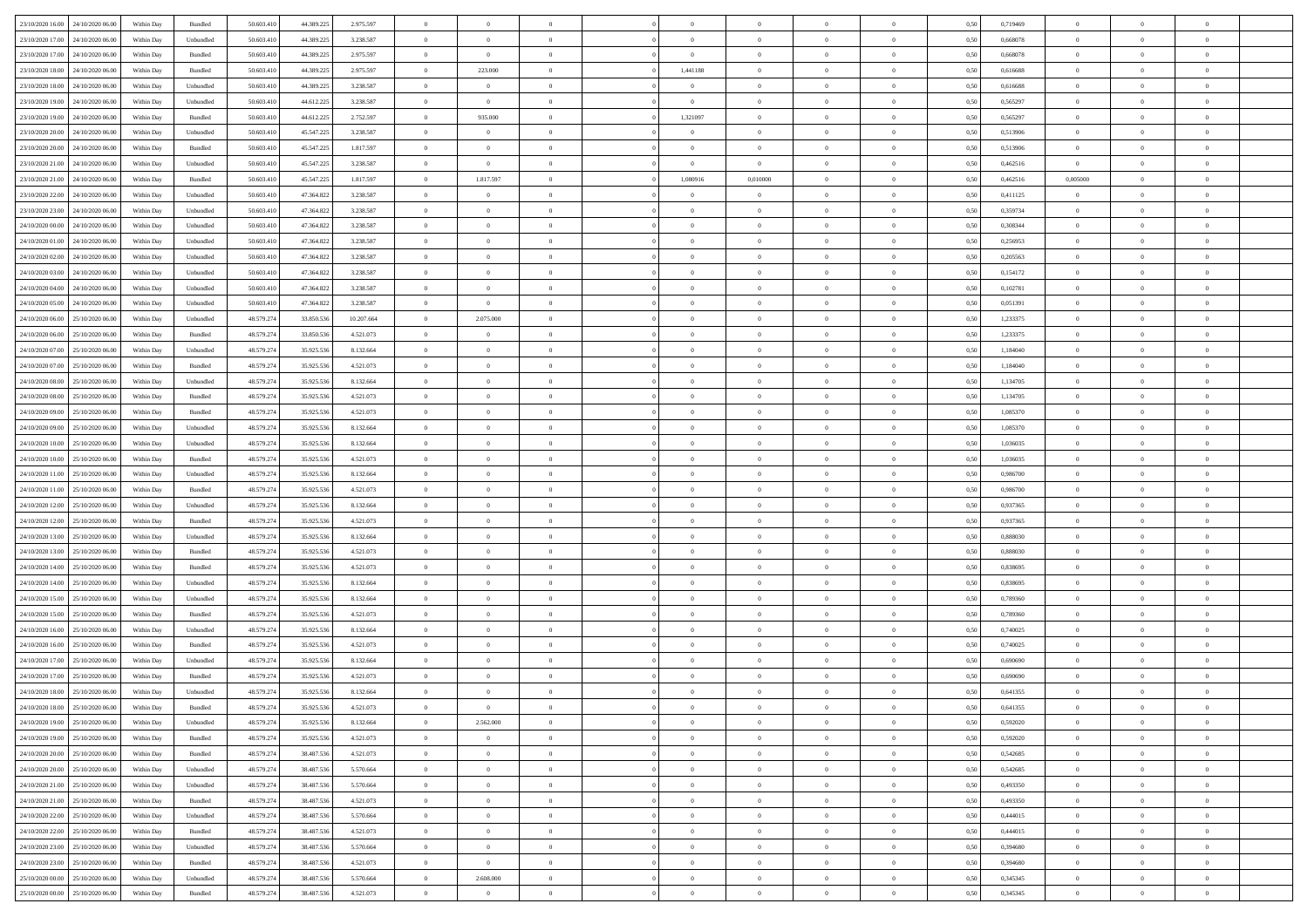|                                   | 24/10/2020 06:00 | Within Dav | Bundled            | 50.603.410 | 44.389.225 | 2.975.597  | $\theta$       | $\Omega$       |                | $\Omega$       | $\Omega$       | $\Omega$       | $\Omega$       | 0.50 | 0,719469 | $\theta$       | $\theta$       | $\theta$       |  |
|-----------------------------------|------------------|------------|--------------------|------------|------------|------------|----------------|----------------|----------------|----------------|----------------|----------------|----------------|------|----------|----------------|----------------|----------------|--|
| 23/10/2020 16:00                  |                  |            |                    |            |            |            |                |                |                |                |                |                |                |      |          |                |                |                |  |
| 23/10/2020 17:00                  | 24/10/2020 06.00 | Within Day | Unbundled          | 50.603.410 | 44.389.225 | 3.238.587  | $\overline{0}$ | $\overline{0}$ | $\overline{0}$ | $\overline{0}$ | $\bf{0}$       | $\overline{0}$ | $\overline{0}$ | 0,50 | 0,668078 | $\theta$       | $\theta$       | $\overline{0}$ |  |
| 23/10/2020 17:00                  | 24/10/2020 06.00 | Within Day | Bundled            | 50.603.410 | 44.389.225 | 2.975.597  | $\overline{0}$ | $\bf{0}$       | $\overline{0}$ | $\bf{0}$       | $\bf{0}$       | $\bf{0}$       | $\bf{0}$       | 0,50 | 0,668078 | $\overline{0}$ | $\overline{0}$ | $\overline{0}$ |  |
| 23/10/2020 18:00                  | 24/10/2020 06.00 | Within Dav | Bundled            | 50.603.410 | 44.389.225 | 2.975.597  | $\overline{0}$ | 223.000        | $\overline{0}$ | 1,441188       | $\bf{0}$       | $\overline{0}$ | $\overline{0}$ | 0.50 | 0.616688 | $\theta$       | $\theta$       | $\overline{0}$ |  |
|                                   |                  |            |                    |            |            |            |                |                |                |                |                |                |                |      |          |                |                |                |  |
| 23/10/2020 18:00                  | 24/10/2020 06.00 | Within Day | Unbundled          | 50.603.410 | 44.389.225 | 3.238.587  | $\overline{0}$ | $\theta$       | $\overline{0}$ | $\overline{0}$ | $\bf{0}$       | $\overline{0}$ | $\bf{0}$       | 0,50 | 0,616688 | $\theta$       | $\overline{0}$ | $\overline{0}$ |  |
| 23/10/2020 19:00                  | 24/10/2020 06.00 | Within Day | Unbundled          | 50.603.410 | 44.612.225 | 3.238.587  | $\overline{0}$ | $\overline{0}$ | $\overline{0}$ | $\bf{0}$       | $\bf{0}$       | $\overline{0}$ | $\mathbf{0}$   | 0,50 | 0,565297 | $\bf{0}$       | $\overline{0}$ | $\bf{0}$       |  |
| 23/10/2020 19:00                  | 24/10/2020 06.00 | Within Dav | Bundled            | 50.603.410 | 44.612.225 | 2.752.597  | $\overline{0}$ | 935.000        | $\overline{0}$ | 1,321097       | $\bf{0}$       | $\overline{0}$ | $\overline{0}$ | 0.50 | 0,565297 | $\theta$       | $\overline{0}$ | $\overline{0}$ |  |
| 23/10/2020 20.00                  | 24/10/2020 06.00 | Within Day | Unbundled          | 50.603.410 | 45.547.225 | 3.238.587  | $\overline{0}$ | $\theta$       | $\overline{0}$ | $\overline{0}$ | $\bf{0}$       | $\overline{0}$ | $\bf{0}$       | 0,50 | 0,513906 | $\theta$       | $\theta$       | $\overline{0}$ |  |
| 23/10/2020 20:00                  | 24/10/2020 06.00 | Within Day | Bundled            | 50.603.410 | 45.547.225 | 1.817.597  | $\overline{0}$ | $\overline{0}$ | $\overline{0}$ | $\bf{0}$       | $\bf{0}$       | $\bf{0}$       | $\bf{0}$       | 0,50 | 0,513906 | $\bf{0}$       | $\overline{0}$ | $\overline{0}$ |  |
|                                   |                  |            |                    |            |            |            |                |                |                |                |                |                |                |      |          |                |                |                |  |
| 23/10/2020 21:00                  | 24/10/2020 06.00 | Within Dav | Unbundled          | 50.603.410 | 45.547.225 | 3.238.587  | $\overline{0}$ | $\overline{0}$ | $\overline{0}$ | $\overline{0}$ | $\overline{0}$ | $\overline{0}$ | $\overline{0}$ | 0.50 | 0,462516 | $\overline{0}$ | $\overline{0}$ | $\overline{0}$ |  |
| 23/10/2020 21.00                  | 24/10/2020 06.00 | Within Day | Bundled            | 50.603.410 | 45.547.225 | 1.817.597  | $\overline{0}$ | 1.817.597      | $\overline{0}$ | 1,080916       | 0,010000       | $\overline{0}$ | $\bf{0}$       | 0,50 | 0,462516 | 0,005000       | $\theta$       | $\overline{0}$ |  |
| 23/10/2020 22.00                  | 24/10/2020 06.00 | Within Day | Unbundled          | 50.603.410 | 47.364.822 | 3.238.587  | $\overline{0}$ | $\bf{0}$       | $\overline{0}$ | $\bf{0}$       | $\overline{0}$ | $\bf{0}$       | $\bf{0}$       | 0,50 | 0,411125 | $\bf{0}$       | $\overline{0}$ | $\overline{0}$ |  |
| 23/10/2020 23:00                  | 24/10/2020 06.00 | Within Dav | Unbundled          | 50.603.410 | 47.364.822 | 3.238.587  | $\overline{0}$ | $\overline{0}$ | $\overline{0}$ | $\overline{0}$ | $\bf{0}$       | $\overline{0}$ | $\overline{0}$ | 0.50 | 0,359734 | $\theta$       | $\overline{0}$ | $\overline{0}$ |  |
| 24/10/2020 00.00                  | 24/10/2020 06.00 | Within Day | Unbundled          | 50.603.410 | 47.364.822 | 3.238.587  | $\overline{0}$ | $\theta$       | $\overline{0}$ | $\overline{0}$ | $\bf{0}$       | $\overline{0}$ | $\bf{0}$       | 0,50 | 0,308344 | $\theta$       | $\overline{0}$ | $\overline{0}$ |  |
|                                   |                  |            |                    |            |            |            |                |                |                |                |                |                |                |      |          |                |                |                |  |
| 24/10/2020 01.00                  | 24/10/2020 06.00 | Within Day | Unbundled          | 50.603.410 | 47.364.822 | 3.238.587  | $\overline{0}$ | $\overline{0}$ | $\overline{0}$ | $\bf{0}$       | $\bf{0}$       | $\overline{0}$ | $\mathbf{0}$   | 0,50 | 0,256953 | $\bf{0}$       | $\overline{0}$ | $\bf{0}$       |  |
| 24/10/2020 02.00                  | 24/10/2020 06.00 | Within Dav | Unbundled          | 50.603.410 | 47.364.822 | 3.238.587  | $\overline{0}$ | $\overline{0}$ | $\overline{0}$ | $\overline{0}$ | $\overline{0}$ | $\overline{0}$ | $\overline{0}$ | 0.50 | 0,205563 | $\theta$       | $\overline{0}$ | $\overline{0}$ |  |
| 24/10/2020 03.00                  | 24/10/2020 06.00 | Within Day | Unbundled          | 50.603.410 | 47.364.822 | 3.238.587  | $\overline{0}$ | $\theta$       | $\overline{0}$ | $\overline{0}$ | $\bf{0}$       | $\overline{0}$ | $\bf{0}$       | 0,50 | 0,154172 | $\theta$       | $\theta$       | $\overline{0}$ |  |
| 24/10/2020 04.00                  | 24/10/2020 06.00 | Within Day | Unbundled          | 50.603.410 | 47.364.822 | 3.238.587  | $\overline{0}$ | $\overline{0}$ | $\overline{0}$ | $\bf{0}$       | $\bf{0}$       | $\bf{0}$       | $\bf{0}$       | 0,50 | 0,102781 | $\,0\,$        | $\overline{0}$ | $\overline{0}$ |  |
| 24/10/2020 05:00                  | 24/10/2020 06.00 | Within Dav | Unbundled          | 50.603.410 | 47.364.822 | 3.238.587  | $\overline{0}$ | $\overline{0}$ | $\overline{0}$ | $\overline{0}$ | $\overline{0}$ | $\overline{0}$ | $\overline{0}$ | 0.50 | 0,051391 | $\theta$       | $\overline{0}$ | $\overline{0}$ |  |
|                                   |                  |            |                    |            |            |            |                |                |                |                |                |                |                |      |          |                |                |                |  |
| 24/10/2020 06.00                  | 25/10/2020 06.00 | Within Day | Unbundled          | 48.579.274 | 33.850.536 | 10.207.664 | $\overline{0}$ | 2.075.000      | $\overline{0}$ | $\overline{0}$ | $\bf{0}$       | $\overline{0}$ | $\bf{0}$       | 0,50 | 1,233375 | $\,$ 0 $\,$    | $\theta$       | $\overline{0}$ |  |
| 24/10/2020 06.00                  | 25/10/2020 06.00 | Within Day | Bundled            | 48.579.274 | 33.850.536 | 4.521.073  | $\overline{0}$ | $\overline{0}$ | $\overline{0}$ | $\bf{0}$       | $\bf{0}$       | $\bf{0}$       | $\bf{0}$       | 0,50 | 1,233375 | $\bf{0}$       | $\overline{0}$ | $\overline{0}$ |  |
| 24/10/2020 07:00                  | 25/10/2020 06:00 | Within Dav | Unbundled          | 48.579.274 | 35.925.536 | 8.132.664  | $\overline{0}$ | $\overline{0}$ | $\overline{0}$ | $\overline{0}$ | $\bf{0}$       | $\overline{0}$ | $\overline{0}$ | 0.50 | 1.184040 | $\theta$       | $\overline{0}$ | $\overline{0}$ |  |
| 24/10/2020 07.00                  | 25/10/2020 06.00 | Within Day | Bundled            | 48.579.274 | 35.925.536 | 4.521.073  | $\overline{0}$ | $\theta$       | $\overline{0}$ | $\overline{0}$ | $\bf{0}$       | $\overline{0}$ | $\bf{0}$       | 0,50 | 1,184040 | $\theta$       | $\overline{0}$ | $\overline{0}$ |  |
| 24/10/2020 08:00                  | 25/10/2020 06.00 | Within Day | Unbundled          | 48.579.274 | 35.925.536 | 8.132.664  | $\overline{0}$ | $\bf{0}$       | $\overline{0}$ | $\bf{0}$       | $\overline{0}$ | $\overline{0}$ | $\mathbf{0}$   | 0,50 | 1,134705 | $\overline{0}$ | $\overline{0}$ | $\bf{0}$       |  |
|                                   |                  |            |                    |            |            |            |                |                |                |                |                |                |                |      |          |                |                |                |  |
| 24/10/2020 08:00                  | 25/10/2020 06.00 | Within Dav | Bundled            | 48.579.274 | 35.925.536 | 4.521.073  | $\overline{0}$ | $\overline{0}$ | $\overline{0}$ | $\overline{0}$ | $\overline{0}$ | $\overline{0}$ | $\overline{0}$ | 0.50 | 1,134705 | $\theta$       | $\overline{0}$ | $\overline{0}$ |  |
| 24/10/2020 09:00                  | 25/10/2020 06.00 | Within Day | Bundled            | 48.579.274 | 35.925.536 | 4.521.073  | $\overline{0}$ | $\theta$       | $\overline{0}$ | $\overline{0}$ | $\bf{0}$       | $\overline{0}$ | $\bf{0}$       | 0,50 | 1,085370 | $\theta$       | $\theta$       | $\overline{0}$ |  |
| 24/10/2020 09:00                  | 25/10/2020 06.00 | Within Day | Unbundled          | 48.579.274 | 35.925.536 | 8.132.664  | $\overline{0}$ | $\overline{0}$ | $\overline{0}$ | $\bf{0}$       | $\bf{0}$       | $\bf{0}$       | $\bf{0}$       | 0,50 | 1,085370 | $\,0\,$        | $\overline{0}$ | $\overline{0}$ |  |
| 24/10/2020 10:00                  | 25/10/2020 06:00 | Within Day | Unbundled          | 48.579.274 | 35.925.536 | 8.132.664  | $\overline{0}$ | $\overline{0}$ | $\overline{0}$ | $\overline{0}$ | $\overline{0}$ | $\overline{0}$ | $\overline{0}$ | 0.50 | 1,036035 | $\theta$       | $\overline{0}$ | $\overline{0}$ |  |
| 24/10/2020 10:00                  | 25/10/2020 06.00 | Within Day | Bundled            | 48.579.274 | 35.925.536 | 4.521.073  | $\overline{0}$ | $\theta$       | $\overline{0}$ | $\overline{0}$ | $\bf{0}$       | $\overline{0}$ | $\bf{0}$       | 0,50 | 1,036035 | $\,0\,$        | $\overline{0}$ | $\overline{0}$ |  |
| 24/10/2020 11.00                  | 25/10/2020 06.00 | Within Day | Unbundled          | 48.579.274 | 35.925.536 | 8.132.664  | $\overline{0}$ | $\overline{0}$ | $\overline{0}$ | $\bf{0}$       | $\bf{0}$       | $\bf{0}$       | $\bf{0}$       | 0,50 | 0,986700 | $\bf{0}$       | $\overline{0}$ | $\overline{0}$ |  |
| 24/10/2020 11:00                  | 25/10/2020 06.00 |            |                    | 48.579.274 |            | 4.521.073  | $\overline{0}$ | $\Omega$       | $\Omega$       | $\Omega$       | $\Omega$       | $\overline{0}$ | $\overline{0}$ | 0.50 | 0,986700 | $\,0\,$        | $\theta$       | $\theta$       |  |
|                                   |                  | Within Day | Bundled            |            | 35.925.536 |            |                |                |                |                |                |                |                |      |          |                |                |                |  |
| 24/10/2020 12:00                  | 25/10/2020 06.00 | Within Day | Unbundled          | 48.579.274 | 35.925.536 | 8.132.664  | $\overline{0}$ | $\theta$       | $\overline{0}$ | $\overline{0}$ | $\bf{0}$       | $\overline{0}$ | $\bf{0}$       | 0,50 | 0,937365 | $\theta$       | $\overline{0}$ | $\overline{0}$ |  |
| 24/10/2020 12:00                  | 25/10/2020 06.00 | Within Day | Bundled            | 48.579.274 | 35.925.536 | 4.521.073  | $\overline{0}$ | $\bf{0}$       | $\overline{0}$ | $\bf{0}$       | $\bf{0}$       | $\overline{0}$ | $\mathbf{0}$   | 0,50 | 0,937365 | $\overline{0}$ | $\overline{0}$ | $\bf{0}$       |  |
| 24/10/2020 13:00                  | 25/10/2020 06:00 | Within Day | Unbundled          | 48.579.274 | 35.925.536 | 8.132.664  | $\overline{0}$ | $\Omega$       | $\Omega$       | $\Omega$       | $\bf{0}$       | $\overline{0}$ | $\overline{0}$ | 0.50 | 0.888030 | $\,0\,$        | $\theta$       | $\theta$       |  |
| 24/10/2020 13.00                  | 25/10/2020 06.00 | Within Day | Bundled            | 48.579.274 | 35.925.536 | 4.521.073  | $\overline{0}$ | $\theta$       | $\overline{0}$ | $\overline{0}$ | $\bf{0}$       | $\overline{0}$ | $\bf{0}$       | 0,50 | 0,888030 | $\theta$       | $\theta$       | $\overline{0}$ |  |
| 24/10/2020 14:00                  | 25/10/2020 06.00 | Within Day | Bundled            | 48.579.274 | 35.925.536 | 4.521.073  | $\overline{0}$ | $\overline{0}$ | $\overline{0}$ | $\bf{0}$       | $\bf{0}$       | $\bf{0}$       | $\bf{0}$       | 0,50 | 0,838695 | $\,0\,$        | $\overline{0}$ | $\overline{0}$ |  |
| 24/10/2020 14:00                  | 25/10/2020 06.00 | Within Day | Unbundled          | 48.579.274 | 35.925.536 | 8.132.664  | $\overline{0}$ | $\Omega$       | $\Omega$       | $\Omega$       | $\Omega$       | $\theta$       | $\overline{0}$ | 0.50 | 0.838695 | $\,$ 0 $\,$    | $\theta$       | $\theta$       |  |
|                                   |                  |            |                    |            |            |            |                |                |                |                |                |                |                |      |          |                |                |                |  |
| 24/10/2020 15.00                  | 25/10/2020 06.00 | Within Day | Unbundled          | 48.579.274 | 35.925.536 | 8.132.664  | $\overline{0}$ | $\theta$       | $\overline{0}$ | $\overline{0}$ | $\bf{0}$       | $\overline{0}$ | $\bf{0}$       | 0,50 | 0,789360 | $\,$ 0 $\,$    | $\overline{0}$ | $\overline{0}$ |  |
| 24/10/2020 15:00                  | 25/10/2020 06.00 | Within Day | Bundled            | 48.579.274 | 35.925.536 | 4.521.073  | $\overline{0}$ | $\overline{0}$ | $\overline{0}$ | $\bf{0}$       | $\bf{0}$       | $\bf{0}$       | $\bf{0}$       | 0,50 | 0,789360 | $\overline{0}$ | $\overline{0}$ | $\overline{0}$ |  |
| 24/10/2020 16:00                  | 25/10/2020 06.00 | Within Day | Unbundled          | 48.579.274 | 35.925.536 | 8.132.664  | $\overline{0}$ | $\Omega$       | $\overline{0}$ | $\Omega$       | $\bf{0}$       | $\overline{0}$ | $\overline{0}$ | 0.50 | 0,740025 | $\,0\,$        | $\theta$       | $\theta$       |  |
| 24/10/2020 16.00                  | 25/10/2020 06.00 | Within Day | Bundled            | 48.579.274 | 35.925.536 | 4.521.073  | $\overline{0}$ | $\theta$       | $\overline{0}$ | $\overline{0}$ | $\bf{0}$       | $\overline{0}$ | $\bf{0}$       | 0,50 | 0,740025 | $\,$ 0 $\,$    | $\overline{0}$ | $\overline{0}$ |  |
| 24/10/2020 17.00                  | 25/10/2020 06.00 | Within Day | Unbundled          | 48.579.274 | 35.925.536 | 8.132.664  | $\overline{0}$ | $\overline{0}$ | $\overline{0}$ | $\bf{0}$       | $\bf{0}$       | $\bf{0}$       | $\mathbf{0}$   | 0,50 | 0,690690 | $\overline{0}$ | $\overline{0}$ | $\bf{0}$       |  |
| 24/10/2020 17.00                  | 25/10/2020 06.00 | Within Day | Bundled            | 48.579.274 | 35.925.536 | 4.521.073  | $\overline{0}$ | $\Omega$       | $\Omega$       | $\Omega$       | $\Omega$       | $\Omega$       | $\overline{0}$ | 0.50 | 0.690690 | $\theta$       | $\theta$       | $\theta$       |  |
|                                   |                  |            |                    |            |            |            | $\overline{0}$ |                | $\overline{0}$ |                |                |                |                |      |          |                |                |                |  |
| 24/10/2020 18:00                  | 25/10/2020 06.00 | Within Day | Unbundled          | 48.579.274 | 35.925.536 | 8.132.664  |                | $\overline{0}$ |                | $\overline{0}$ | $\,$ 0         | $\bf{0}$       | $\bf{0}$       | 0,50 | 0,641355 | $\,0\,$        | $\,$ 0 $\,$    | $\overline{0}$ |  |
| 24/10/2020 18:00 25/10/2020 06:00 |                  | Within Day | $\mathbf B$ undled | 48.579.274 | 35.925.536 | 4.521.073  | $\bf{0}$       | $\bf{0}$       |                |                |                |                |                | 0,50 | 0,641355 | $\bf{0}$       | $\overline{0}$ |                |  |
| 24/10/2020 19:00                  | 25/10/2020 06:00 | Within Day | Unbundled          | 48.579.274 | 35.925.536 | 8.132.664  | $\overline{0}$ | 2.562.000      | $\overline{0}$ | $\Omega$       | $\theta$       | $\theta$       | $\overline{0}$ | 0.50 | 0,592020 | $\theta$       | $\theta$       | $\theta$       |  |
| 24/10/2020 19:00                  | 25/10/2020 06.00 | Within Day | Bundled            | 48.579.274 | 35.925.536 | 4.521.073  | $\overline{0}$ | $\bf{0}$       | $\overline{0}$ | $\bf{0}$       | $\bf{0}$       | $\overline{0}$ | $\mathbf{0}$   | 0,50 | 0,592020 | $\,$ 0 $\,$    | $\,$ 0 $\,$    | $\bf{0}$       |  |
| 24/10/2020 20.00                  | 25/10/2020 06.00 | Within Day | Bundled            | 48.579.274 | 38.487.536 | 4.521.073  | $\overline{0}$ | $\overline{0}$ | $\overline{0}$ | $\overline{0}$ | $\overline{0}$ | $\overline{0}$ | $\mathbf{0}$   | 0,50 | 0,542685 | $\overline{0}$ | $\bf{0}$       | $\bf{0}$       |  |
| 24/10/2020 20:00                  | 25/10/2020 06.00 | Within Day | Unbundled          | 48.579.274 | 38.487.536 | 5.570.664  | $\overline{0}$ | $\overline{0}$ | $\overline{0}$ | $\Omega$       | $\theta$       | $\overline{0}$ | $\bf{0}$       | 0.50 | 0,542685 | $\bf{0}$       | $\theta$       | $\overline{0}$ |  |
| 24/10/2020 21.00                  | 25/10/2020 06.00 | Within Day | Unbundled          | 48.579.274 | 38.487.536 | 5.570.664  | $\overline{0}$ | $\overline{0}$ | $\overline{0}$ | $\overline{0}$ | $\bf{0}$       | $\bf{0}$       | $\bf{0}$       | 0,50 | 0,493350 | $\,$ 0 $\,$    | $\overline{0}$ | $\overline{0}$ |  |
|                                   |                  |            |                    |            |            |            |                |                |                |                |                |                |                |      |          |                |                |                |  |
| 24/10/2020 21.00                  | 25/10/2020 06.00 | Within Day | Bundled            | 48.579.274 | 38.487.536 | 4.521.073  | $\overline{0}$ | $\overline{0}$ | $\overline{0}$ | $\overline{0}$ | $\overline{0}$ | $\overline{0}$ | $\mathbf{0}$   | 0,50 | 0,493350 | $\overline{0}$ | $\bf{0}$       | $\bf{0}$       |  |
| 24/10/2020 22.00                  | 25/10/2020 06.00 | Within Day | Unbundled          | 48.579.274 | 38.487.536 | 5.570.664  | $\overline{0}$ | $\overline{0}$ | $\overline{0}$ | $\Omega$       | $\overline{0}$ | $\overline{0}$ | $\bf{0}$       | 0.50 | 0.444015 | $\overline{0}$ | $\theta$       | $\overline{0}$ |  |
| 24/10/2020 22.00                  | 25/10/2020 06.00 | Within Day | Bundled            | 48.579.274 | 38.487.536 | 4.521.073  | $\overline{0}$ | $\overline{0}$ | $\overline{0}$ | $\overline{0}$ | $\bf{0}$       | $\bf{0}$       | $\bf{0}$       | 0,50 | 0,444015 | $\,$ 0 $\,$    | $\overline{0}$ | $\overline{0}$ |  |
| 24/10/2020 23.00                  | 25/10/2020 06.00 | Within Day | Unbundled          | 48.579.274 | 38.487.536 | 5.570.664  | $\overline{0}$ | $\bf{0}$       | $\overline{0}$ | $\overline{0}$ | $\bf{0}$       | $\bf{0}$       | $\mathbf{0}$   | 0,50 | 0,394680 | $\overline{0}$ | $\overline{0}$ | $\bf{0}$       |  |
| 24/10/2020 23.00                  | 25/10/2020 06:00 | Within Day | Bundled            | 48.579.274 | 38.487.536 | 4.521.073  | $\overline{0}$ | $\overline{0}$ | $\overline{0}$ | $\Omega$       | $\overline{0}$ | $\overline{0}$ | $\overline{0}$ | 0.50 | 0.394680 | $\bf{0}$       | $\theta$       | $\overline{0}$ |  |
| 25/10/2020 00.00                  | 25/10/2020 06.00 | Within Day | Unbundled          | 48.579.274 | 38.487.536 | 5.570.664  | $\overline{0}$ | 2.608.000      | $\overline{0}$ | $\overline{0}$ | $\bf{0}$       | $\bf{0}$       | $\bf{0}$       | 0,50 | 0,345345 | $\,$ 0 $\,$    | $\,$ 0 $\,$    | $\bf{0}$       |  |
|                                   |                  |            |                    |            |            |            |                |                |                |                |                |                |                |      |          |                |                |                |  |
| 25/10/2020 00:00 25/10/2020 06:00 |                  | Within Day | Bundled            | 48.579.274 | 38.487.536 | 4.521.073  | $\overline{0}$ | $\sim$ 0       | $\overline{0}$ | $\overline{0}$ | $\bf{0}$       | $\bf{0}$       | $\mathbf{0}$   | 0,50 | 0,345345 | $\overline{0}$ | $\bf{0}$       | $\bf{0}$       |  |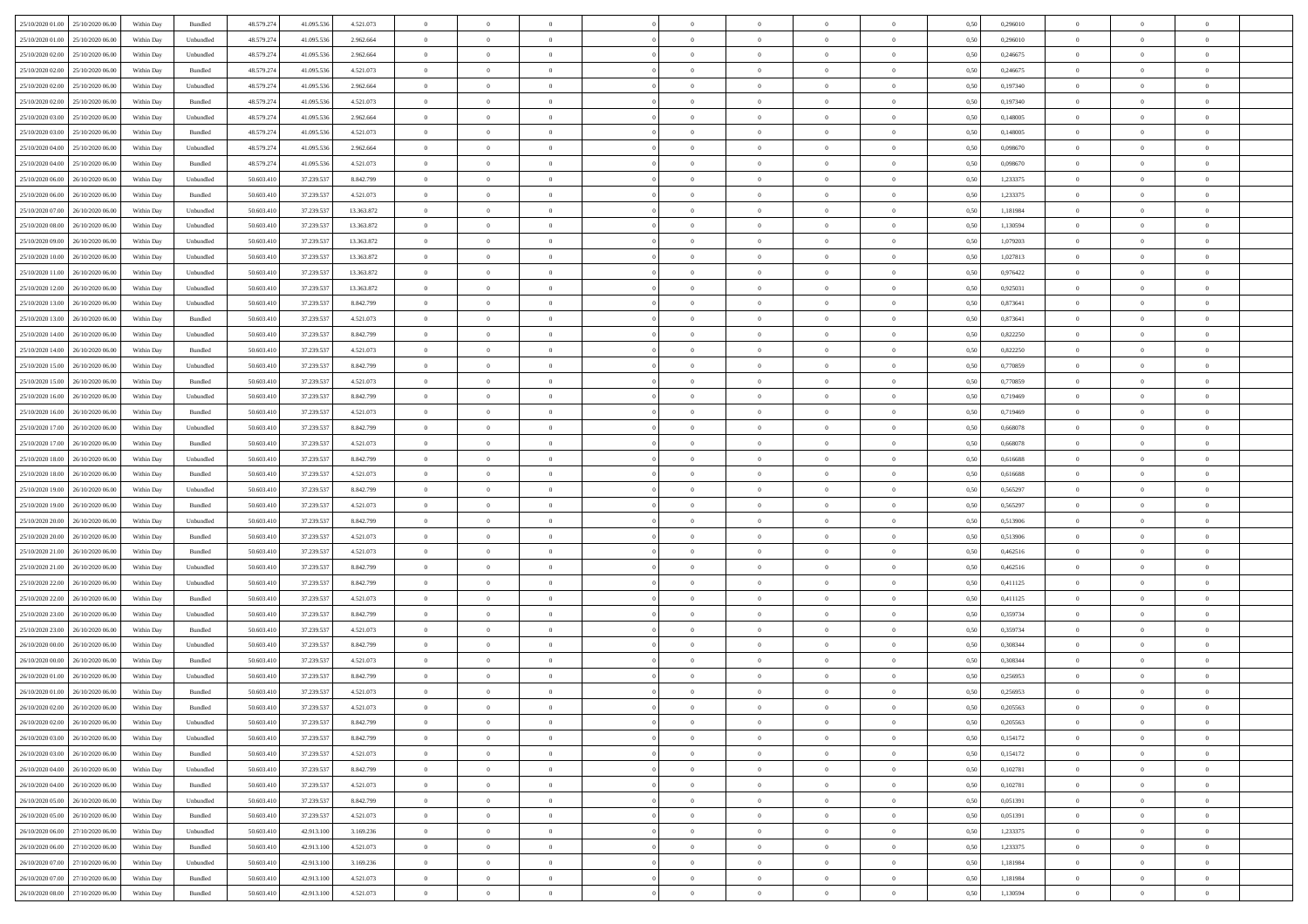| 25/10/2020 01:00 25/10/2020 06:00                                            | Within Day               | Bundled              | 48.579.274             | 41.095.536               | 4.521.073              | $\overline{0}$                   | $\overline{0}$ |                            | $\overline{0}$             | $\theta$                   |                                  | $\theta$                   | 0,50         | 0,296010             | $\theta$             | $\theta$       | $\overline{0}$                   |  |
|------------------------------------------------------------------------------|--------------------------|----------------------|------------------------|--------------------------|------------------------|----------------------------------|----------------|----------------------------|----------------------------|----------------------------|----------------------------------|----------------------------|--------------|----------------------|----------------------|----------------|----------------------------------|--|
| 25/10/2020 01:00<br>25/10/2020 06.00                                         | Within Day               | Unbundled            | 48.579.27              | 41.095.53                | 2.962.664              | $\bf{0}$                         | $\bf{0}$       | $\bf{0}$                   | $\bf{0}$                   | $\overline{0}$             | $\overline{0}$                   | $\bf{0}$                   | 0,50         | 0,296010             | $\,$ 0 $\,$          | $\bf{0}$       | $\overline{0}$                   |  |
| 25/10/2020 02:00<br>25/10/2020 06.00                                         | Within Day               | Unbundled            | 48.579.274             | 41.095.536               | 2.962.664              | $\overline{0}$                   | $\bf{0}$       | $\overline{0}$             | $\bf{0}$                   | $\bf{0}$                   | $\overline{0}$                   | $\bf{0}$                   | 0.50         | 0,246675             | $\bf{0}$             | $\overline{0}$ | $\overline{0}$                   |  |
| 25/10/2020 02:00<br>25/10/2020 06:00                                         | Within Day               | Bundled              | 48.579.274             | 41.095.536               | 4.521.073              | $\overline{0}$                   | $\overline{0}$ | $\overline{0}$             | $\overline{0}$             | $\theta$                   | $\overline{0}$                   | $\bf{0}$                   | 0,50         | 0,246675             | $\,$ 0 $\,$          | $\,$ 0 $\,$    | $\overline{0}$                   |  |
| 25/10/2020 02.00<br>25/10/2020 06.00                                         | Within Day               | Unbundled            | 48.579.27              | 41.095.53                | 2.962.664              | $\bf{0}$                         | $\overline{0}$ | $\bf{0}$                   | $\overline{0}$             | $\theta$                   | $\overline{0}$                   | $\bf{0}$                   | 0,50         | 0,197340             | $\,$ 0 $\,$          | $\bf{0}$       | $\overline{0}$                   |  |
| 25/10/2020 02:00<br>25/10/2020 06.00                                         | Within Day               | Bundled              | 48.579.274             | 41.095.53                | 4.521.073              | $\overline{0}$                   | $\bf{0}$       | $\overline{0}$             | $\bf{0}$                   | $\overline{0}$             | $\theta$                         | $\bf{0}$                   | 0.50         | 0.197340             | $\bf{0}$             | $\theta$       | $\overline{0}$                   |  |
| 25/10/2020 03:00<br>25/10/2020 06.00                                         | Within Day               | Unbundled            | 48.579.274             | 41.095.536               | 2.962.664              | $\bf{0}$                         | $\overline{0}$ | $\overline{0}$             | $\overline{0}$             | $\overline{0}$             | $\overline{0}$                   | $\bf{0}$                   | 0,50         | 0,148005             | $\,$ 0 $\,$          | $\theta$       | $\overline{0}$                   |  |
| 25/10/2020 03:00<br>25/10/2020 06.00                                         | Within Day               | Bundled              | 48.579.27              | 41.095.53                | 4.521.073              | $\bf{0}$                         | $\bf{0}$       | $\bf{0}$                   | $\overline{0}$             | $\overline{0}$             | $\overline{0}$                   | $\bf{0}$                   | 0,50         | 0,148005             | $\,$ 0 $\,$          | $\bf{0}$       | $\overline{0}$                   |  |
| 25/10/2020 04.00<br>25/10/2020 06:00                                         | Within Day               | Unbundled            | 48.579.274             | 41.095.53                | 2.962.664              | $\overline{0}$                   | $\bf{0}$       | $\overline{0}$             | $\bf{0}$                   | $\overline{0}$             | $\overline{0}$                   | $\bf{0}$                   | 0.50         | 0.098670             | $\bf{0}$             | $\overline{0}$ | $\overline{0}$                   |  |
| 25/10/2020 04:00<br>25/10/2020 06:00                                         | Within Day               | Bundled              | 48.579.274             | 41.095.536               | 4.521.073              | $\bf{0}$                         | $\bf{0}$       | $\overline{0}$             | $\overline{0}$             | $\overline{0}$             | $\overline{0}$                   | $\bf{0}$                   | 0,50         | 0,098670             | $\,$ 0 $\,$          | $\bf{0}$       | $\overline{0}$                   |  |
| 25/10/2020 06.00<br>26/10/2020 06.00                                         | Within Day               | Unbundled            | 50.603.41              | 37.239.53                | 8.842.799              | $\bf{0}$                         | $\bf{0}$       | $\bf{0}$                   | $\bf{0}$                   | $\bf{0}$                   | $\overline{0}$                   | $\bf{0}$                   | 0,50         | 1,233375             | $\,$ 0 $\,$          | $\bf{0}$       | $\overline{0}$                   |  |
| 25/10/2020 06:00<br>26/10/2020 06:00                                         |                          |                      | 50.603.41              |                          |                        |                                  | $\bf{0}$       | $\overline{0}$             |                            | $\bf{0}$                   | $\overline{0}$                   |                            | 0.50         |                      | $\bf{0}$             | $\,$ 0 $\,$    | $\,$ 0                           |  |
|                                                                              | Within Day               | Bundled              |                        | 37.239.537               | 4.521.073              | $\overline{0}$                   |                |                            | $\overline{0}$             |                            |                                  | $\bf{0}$                   |              | 1,233375             |                      |                |                                  |  |
| 25/10/2020 07:00<br>26/10/2020 06:00                                         | Within Day               | Unbundled            | 50.603.41              | 37.239.537               | 13.363.872             | $\bf{0}$                         | $\bf{0}$       | $\overline{0}$             | $\theta$                   | $\theta$                   | $\overline{0}$                   | $\bf{0}$                   | 0,50         | 1,181984             | $\,$ 0 $\,$          | $\,$ 0 $\,$    | $\overline{0}$                   |  |
| 25/10/2020 08:00<br>26/10/2020 06.00                                         | Within Day               | Unbundled            | 50.603.41              | 37.239.53                | 13.363.872             | $\bf{0}$                         | $\overline{0}$ | $\bf{0}$                   | $\bf{0}$                   | $\bf{0}$                   | $\overline{0}$                   | $\bf{0}$                   | 0,50         | 1,130594             | $\,$ 0 $\,$          | $\bf{0}$       | $\overline{0}$                   |  |
| 25/10/2020 09:00<br>26/10/2020 06:00                                         | Within Day               | Unbundled            | 50.603.41              | 37.239.537               | 13.363.872             | $\overline{0}$                   | $\bf{0}$       | $\overline{0}$             | $\bf{0}$                   | $\overline{0}$             | $\theta$                         | $\bf{0}$                   | 0.50         | 1.079203             | $\,$ 0 $\,$          | $\bf{0}$       | $\overline{0}$                   |  |
| 25/10/2020 10:00<br>26/10/2020 06:00                                         | Within Day               | Unbundled            | 50.603.410             | 37.239.537               | 13.363.872             | $\overline{0}$                   | $\overline{0}$ | $\overline{0}$             | $\overline{0}$             | $\overline{0}$             | $\overline{0}$                   | $\bf{0}$                   | 0,50         | 1,027813             | $\theta$             | $\theta$       | $\overline{0}$                   |  |
| 25/10/2020 11:00<br>26/10/2020 06.00                                         | Within Day               | Unbundled            | 50.603.41              | 37.239.53                | 13.363.872             | $\bf{0}$                         | $\bf{0}$       | $\bf{0}$                   | $\overline{0}$             | $\bf{0}$                   | $\overline{0}$                   | $\bf{0}$                   | 0,50         | 0,976422             | $\,$ 0 $\,$          | $\bf{0}$       | $\overline{0}$                   |  |
| 25/10/2020 12:00<br>26/10/2020 06:00                                         | Within Day               | Unbundled            | 50.603.41              | 37.239.537               | 13.363.872             | $\overline{0}$                   | $\bf{0}$       | $\overline{0}$             | $\bf{0}$                   | $\overline{0}$             | $\overline{0}$                   | $\bf{0}$                   | 0.50         | 0.925031             | $\bf{0}$             | $\overline{0}$ | $\overline{0}$                   |  |
| 25/10/2020 13:00<br>26/10/2020 06.00                                         | Within Day               | Unbundled            | 50.603.410             | 37.239.537               | 8.842.799              | $\bf{0}$                         | $\bf{0}$       | $\overline{0}$             | $\overline{0}$             | $\overline{0}$             | $\overline{0}$                   | $\bf{0}$                   | 0,50         | 0,873641             | $\,$ 0 $\,$          | $\bf{0}$       | $\overline{0}$                   |  |
| 25/10/2020 13:00<br>26/10/2020 06.00                                         | Within Day               | Bundled              | 50.603.41              | 37.239.53                | 4.521.073              | $\bf{0}$                         | $\bf{0}$       | $\bf{0}$                   | $\bf{0}$                   | $\overline{0}$             | $\overline{0}$                   | $\bf{0}$                   | 0,50         | 0,873641             | $\,$ 0 $\,$          | $\bf{0}$       | $\overline{0}$                   |  |
| 25/10/2020 14:00<br>26/10/2020 06.00                                         | Within Day               | Unbundled            | 50.603.41              | 37.239.537               | 8.842.799              | $\overline{0}$                   | $\bf{0}$       | $\overline{0}$             | $\overline{0}$             | $\bf{0}$                   | $\overline{0}$                   | $\bf{0}$                   | 0.50         | 0,822250             | $\bf{0}$             | $\overline{0}$ | $\,$ 0                           |  |
| 25/10/2020 14:00<br>26/10/2020 06:00                                         | Within Day               | Bundled              | 50.603.41              | 37.239.537               | 4.521.073              | $\overline{0}$                   | $\overline{0}$ | $\overline{0}$             | $\overline{0}$             | $\theta$                   | $\overline{0}$                   | $\bf{0}$                   | 0,50         | 0,822250             | $\,$ 0 $\,$          | $\theta$       | $\overline{0}$                   |  |
| 25/10/2020 15:00<br>26/10/2020 06.00                                         | Within Day               | Unbundled            | 50.603.41              | 37.239.53                | 8.842.799              | $\bf{0}$                         | $\bf{0}$       | $\bf{0}$                   | $\bf{0}$                   | $\overline{0}$             | $\overline{0}$                   | $\bf{0}$                   | 0,50         | 0,770859             | $\,$ 0 $\,$          | $\bf{0}$       | $\overline{0}$                   |  |
| 25/10/2020 15:00<br>26/10/2020 06:00                                         | Within Day               | Bundled              | 50.603.41              | 37.239.537               | 4.521.073              | $\overline{0}$                   | $\bf{0}$       | $\overline{0}$             | $\bf{0}$                   | $\overline{0}$             | $\theta$                         | $\bf{0}$                   | 0.50         | 0.770859             | $\bf{0}$             | $\theta$       | $\overline{0}$                   |  |
| 25/10/2020 16:00<br>26/10/2020 06.00                                         | Within Day               | Unbundled            | 50.603.410             | 37.239.537               | 8.842.799              | $\bf{0}$                         | $\overline{0}$ | $\overline{0}$             | $\overline{0}$             | $\overline{0}$             | $\overline{0}$                   | $\bf{0}$                   | 0,50         | 0,719469             | $\,$ 0 $\,$          | $\theta$       | $\overline{0}$                   |  |
| 25/10/2020 16:00<br>26/10/2020 06.00                                         | Within Day               | Bundled              | 50.603.41              | 37.239.53                | 4.521.073              | $\bf{0}$                         | $\overline{0}$ | $\bf{0}$                   | $\overline{0}$             | $\bf{0}$                   | $\overline{0}$                   | $\bf{0}$                   | 0,50         | 0,719469             | $\,$ 0 $\,$          | $\bf{0}$       | $\overline{0}$                   |  |
| 25/10/2020 17.00<br>26/10/2020 06:00                                         | Within Day               | Unbundled            | 50,603.41              | 37.239.537               | 8.842.799              | $\overline{0}$                   | $\bf{0}$       | $\overline{0}$             | $\bf{0}$                   | $\overline{0}$             | $\overline{0}$                   | $\bf{0}$                   | 0.50         | 0.668078             | $\bf{0}$             | $\overline{0}$ | $\overline{0}$                   |  |
| 25/10/2020 17:00<br>26/10/2020 06:00                                         | Within Day               | Bundled              | 50.603.410             | 37.239.537               | 4.521.073              | $\overline{0}$                   | $\bf{0}$       | $\overline{0}$             | $\overline{0}$             | $\overline{0}$             | $\overline{0}$                   | $\bf{0}$                   | 0,50         | 0,668078             | $\,$ 0 $\,$          | $\bf{0}$       | $\overline{0}$                   |  |
| 25/10/2020 18:00<br>26/10/2020 06.00                                         | Within Day               | Unbundled            | 50.603.41              | 37.239.53                | 8.842.799              | $\bf{0}$                         | $\bf{0}$       | $\bf{0}$                   | $\bf{0}$                   | $\overline{0}$             | $\overline{0}$                   | $\bf{0}$                   | 0,50         | 0,616688             | $\,$ 0 $\,$          | $\bf{0}$       | $\overline{0}$                   |  |
| 25/10/2020 18:00<br>26/10/2020 06:00                                         | Within Day               | Bundled              | 50.603.41              | 37.239.537               | 4.521.073              | $\overline{0}$                   | $\bf{0}$       | $\overline{0}$             | $\overline{0}$             | $\bf{0}$                   | $\overline{0}$                   | $\bf{0}$                   | 0.50         | 0.616688             | $\bf{0}$             | $\,$ 0 $\,$    | $\bf{0}$                         |  |
| 25/10/2020 19:00<br>26/10/2020 06.00                                         | Within Day               | Unbundled            | 50.603.41              | 37.239.537               | 8.842.799              | $\overline{0}$                   | $\overline{0}$ | $\overline{0}$             | $\overline{0}$             | $\overline{0}$             | $\overline{0}$                   | $\bf{0}$                   | 0.5(         | 0,565297             | $\theta$             | $\theta$       | $\overline{0}$                   |  |
| 25/10/2020 19:00<br>26/10/2020 06.00                                         | Within Day               | Bundled              | 50.603.41              | 37.239.53                | 4.521.073              | $\bf{0}$                         | $\bf{0}$       | $\bf{0}$                   | $\bf{0}$                   | $\overline{0}$             | $\overline{0}$                   | $\bf{0}$                   | 0,50         | 0,565297             | $\,$ 0 $\,$          | $\bf{0}$       | $\overline{0}$                   |  |
| 25/10/2020 20:00<br>26/10/2020 06.00                                         | Within Day               | Unbundled            | 50.603.41              | 37.239.537               | 8.842.799              | $\overline{0}$                   | $\bf{0}$       | $\overline{0}$             | $\bf{0}$                   | $\overline{0}$             | $\overline{0}$                   | $\bf{0}$                   | 0.50         | 0.513906             | $\bf{0}$             | $\bf{0}$       | $\overline{0}$                   |  |
| 25/10/2020 20:00<br>26/10/2020 06.00                                         | Within Day               | Bundled              | 50.603.41              | 37.239.537               | 4.521.073              | $\overline{0}$                   | $\overline{0}$ | $\overline{0}$             | $\overline{0}$             | $\theta$                   | $\overline{0}$                   | $\bf{0}$                   | 0.50         | 0,513906             | $\theta$             | $\theta$       | $\overline{0}$                   |  |
| 25/10/2020 21:00<br>26/10/2020 06.00                                         | Within Day               | Bundled              | 50.603.41              | 37.239.53                | 4.521.073              | $\bf{0}$                         | $\bf{0}$       | $\bf{0}$                   | $\bf{0}$                   | $\bf{0}$                   | $\overline{0}$                   | $\bf{0}$                   | 0,50         | 0,462516             | $\,$ 0 $\,$          | $\bf{0}$       | $\overline{0}$                   |  |
| 25/10/2020 21.00<br>26/10/2020 06:00                                         | Within Day               | Unbundled            | 50,603.41              | 37.239.537               | 8.842.799              | $\overline{0}$                   | $\bf{0}$       | $\overline{0}$             | $\bf{0}$                   | $\overline{0}$             | $\overline{0}$                   | $\bf{0}$                   | 0.50         | 0.462516             | $\bf{0}$             | $\overline{0}$ | $\overline{0}$                   |  |
| 25/10/2020 22:00<br>26/10/2020 06.00                                         | Within Day               | Unbundled            | 50.603.41              | 37.239.537               | 8.842.799              | $\overline{0}$                   | $\overline{0}$ | $\overline{0}$             | $\overline{0}$             | $\overline{0}$             | $\overline{0}$                   | $\bf{0}$                   | 0.50         | 0,411125             | $\theta$             | $\theta$       | $\overline{0}$                   |  |
| 25/10/2020 22.00<br>26/10/2020 06.00                                         | Within Day               | Bundled              | 50.603.41              | 37.239.53                | 4.521.073              | $\bf{0}$                         | $\bf{0}$       | $\bf{0}$                   | $\bf{0}$                   | $\overline{0}$             | $\overline{0}$                   | $\bf{0}$                   | 0,50         | 0,411125             | $\,$ 0 $\,$          | $\bf{0}$       | $\overline{0}$                   |  |
| 25/10/2020 23:00<br>26/10/2020 06:00                                         | Within Day               | Unbundled            | 50.603.41              | 37.239.537               | 8.842.799              | $\overline{0}$                   | $\bf{0}$       | $\overline{0}$             | $\overline{0}$             | $\bf{0}$                   | $\overline{0}$                   | $\bf{0}$                   | 0.50         | 0.359734             | $\,$ 0 $\,$          | $\,$ 0 $\,$    | $\overline{0}$                   |  |
| 25/10/2020 23:00<br>26/10/2020 06:00                                         | Within Day               | Bundled              | 50.603.41              | 37.239.537               | 4.521.073              | $\overline{0}$                   | $\overline{0}$ | $\overline{0}$             | $\overline{0}$             | $\overline{0}$             | $\overline{0}$                   | $\bf{0}$                   | 0.5(         | 0,359734             | $\theta$             | $\theta$       | $\overline{0}$                   |  |
|                                                                              |                          |                      |                        |                          |                        | $\bf{0}$                         | $\bf{0}$       | $\bf{0}$                   |                            | $\overline{0}$             | $\overline{0}$                   |                            |              |                      | $\,$ 0 $\,$          | $\bf{0}$       | $\overline{0}$                   |  |
| 26/10/2020 00:00<br>26/10/2020 06.00                                         | Within Day               | Unbundled            | 50.603.41<br>50.603.41 | 37.239.53                | 8.842.799              |                                  | $\overline{0}$ |                            | $\bf{0}$                   |                            |                                  | $\bf{0}$                   | 0,50         | 0,308344<br>0.308344 |                      | $\theta$       |                                  |  |
| 26/10/2020 00:00<br>26/10/2020 06.00<br>26/10/2020 01:00<br>26/10/2020 06.00 | Within Day<br>Within Day | Bundled<br>Unbundled | 50.603.41              | 37.239.537<br>37.239.537 | 4.521.073<br>8.842.799 | $\overline{0}$<br>$\overline{0}$ | $\overline{0}$ | $\overline{0}$<br>$\Omega$ | $\bf{0}$<br>$\overline{0}$ | $\overline{0}$<br>$\theta$ | $\overline{0}$<br>$\overline{0}$ | $\bf{0}$<br>$\overline{0}$ | 0.50<br>0.5( | 0,256953             | $\bf{0}$<br>$\theta$ | $\theta$       | $\overline{0}$<br>$\overline{0}$ |  |
|                                                                              |                          |                      |                        |                          |                        | $\bf{0}$                         | $\bf{0}$       | $\bf{0}$                   | $\bf{0}$                   | $\bf{0}$                   | $\overline{0}$                   |                            |              |                      | $\,$ 0 $\,$          | $\bf{0}$       | $\overline{0}$                   |  |
| 26/10/2020 01:00<br>26/10/2020 06.00<br>26/10/2020 02:00 26/10/2020 06:00    | Within Day               | Bundled              | 50.603.41              | 37.239.53                | 4.521.073              |                                  |                |                            |                            |                            |                                  | $\bf{0}$                   | 0,50         | 0,256953<br>0.205563 |                      |                |                                  |  |
|                                                                              | Within Day               | Bundled              | 50.603.410             | 37.239.537               | 4.521.073              | $\bf{0}$                         | $\theta$       |                            | $\overline{0}$             |                            |                                  |                            | 0,50         |                      | $\bf{0}$             | $\bf{0}$       |                                  |  |
| 26/10/2020 02:00 26/10/2020 06:00                                            | Within Day               | Unbundled            | 50.603.410             | 37.239.537               | 8.842.799              | $\overline{0}$                   | $\overline{0}$ | $\Omega$                   | $\theta$                   | $\overline{0}$             | $\overline{0}$                   | $\bf{0}$                   | 0,50         | 0,205563             | $\theta$             | $\theta$       | $\overline{0}$                   |  |
| 26/10/2020 03:00<br>26/10/2020 06.00                                         | Within Day               | Unbundled            | 50.603.41              | 37.239.537               | 8.842.799              | $\overline{0}$                   | $\bf{0}$       | $\overline{0}$             | $\overline{0}$             | $\bf{0}$                   | $\overline{0}$                   | $\bf{0}$                   | 0,50         | 0,154172             | $\bf{0}$             | $\overline{0}$ | $\bf{0}$                         |  |
| 26/10/2020 03:00 26/10/2020 06:00                                            | Within Day               | Bundled              | 50,603.410             | 37.239.537               | 4.521.073              | $\overline{0}$                   | $\bf{0}$       | $\overline{0}$             | $\overline{0}$             | $\mathbf{0}$               | $\overline{0}$                   | $\,$ 0 $\,$                | 0.50         | 0,154172             | $\overline{0}$       | $\bf{0}$       | $\,$ 0 $\,$                      |  |
| 26/10/2020 04:00 26/10/2020 06:00                                            | Within Dav               | Unbundled            | 50.603.410             | 37.239.537               | 8.842.799              | $\overline{0}$                   | $\overline{0}$ | $\overline{0}$             | $\overline{0}$             | $\overline{0}$             | $\overline{0}$                   | $\bf{0}$                   | 0,50         | 0,102781             | $\overline{0}$       | $\theta$       | $\overline{0}$                   |  |
| 26/10/2020 04:00<br>26/10/2020 06.00                                         | Within Day               | Bundled              | 50.603.41              | 37.239.537               | 4.521.073              | $\overline{0}$                   | $\bf{0}$       | $\overline{0}$             | $\overline{0}$             | $\overline{0}$             | $\overline{0}$                   | $\bf{0}$                   | 0,50         | 0,102781             | $\bf{0}$             | $\overline{0}$ | $\overline{0}$                   |  |
| 26/10/2020 05:00<br>26/10/2020 06.00                                         | Within Day               | Unbundled            | 50.603.410             | 37.239.537               | 8.842.799              | $\overline{0}$                   | $\bf{0}$       | $\overline{0}$             | $\overline{0}$             | $\overline{0}$             | $\overline{0}$                   | $\bf{0}$                   | 0.50         | 0.051391             | $\,$ 0 $\,$          | $\overline{0}$ | $\overline{0}$                   |  |
| 26/10/2020 05:00<br>26/10/2020 06:00                                         | Within Dav               | Bundled              | 50.603.410             | 37.239.537               | 4.521.073              | $\overline{0}$                   | $\overline{0}$ | $\overline{0}$             | $\overline{0}$             | $\overline{0}$             | $\overline{0}$                   | $\bf{0}$                   | 0.50         | 0,051391             | $\overline{0}$       | $\theta$       | $\overline{0}$                   |  |
| 26/10/2020 06.00<br>27/10/2020 06.00                                         | Within Day               | Unbundled            | 50.603.41              | 42.913.100               | 3.169.236              | $\overline{0}$                   | $\overline{0}$ | $\overline{0}$             | $\overline{0}$             | $\overline{0}$             | $\overline{0}$                   | $\bf{0}$                   | 0,50         | 1,233375             | $\bf{0}$             | $\overline{0}$ | $\overline{0}$                   |  |
| 26/10/2020 06:00 27/10/2020 06:00                                            | Within Day               | Bundled              | 50,603.410             | 42.913.100               | 4.521.073              | $\overline{0}$                   | $\overline{0}$ | $\overline{0}$             | $\overline{0}$             | $\bf{0}$                   | $\overline{0}$                   | $\bf{0}$                   | 0.50         | 1.233375             | $\mathbf{0}$         | $\bf{0}$       | $\,$ 0                           |  |
| 26/10/2020 07:00 27/10/2020 06:00                                            | Within Dav               | Unbundled            | 50.603.410             | 42.913.100               | 3.169.236              | $\overline{0}$                   | $\overline{0}$ | $\overline{0}$             | $\overline{0}$             | $\overline{0}$             | $\overline{0}$                   | $\bf{0}$                   | 0,50         | 1,181984             | $\overline{0}$       | $\theta$       | $\overline{0}$                   |  |
| 26/10/2020 07:00<br>27/10/2020 06.00                                         | Within Day               | Bundled              | 50.603.41              | 42.913.100               | 4.521.073              | $\overline{0}$                   | $\bf{0}$       | $\overline{0}$             | $\bf{0}$                   | $\overline{0}$             | $\bf{0}$                         | $\bf{0}$                   | 0,50         | 1,181984             | $\bf{0}$             | $\bf{0}$       | $\overline{0}$                   |  |
| 26/10/2020 08:00 27/10/2020 06:00                                            | Within Day               | Bundled              | 50.603.410             | 42.913.100               | 4.521.073              | $\,$ 0 $\,$                      | $\bf{0}$       | $\overline{0}$             | $\overline{0}$             | $\,$ 0 $\,$                | $\overline{0}$                   | $\bf{0}$                   | 0,50         | 1,130594             | $\overline{0}$       | $\,$ 0 $\,$    | $\,$ 0 $\,$                      |  |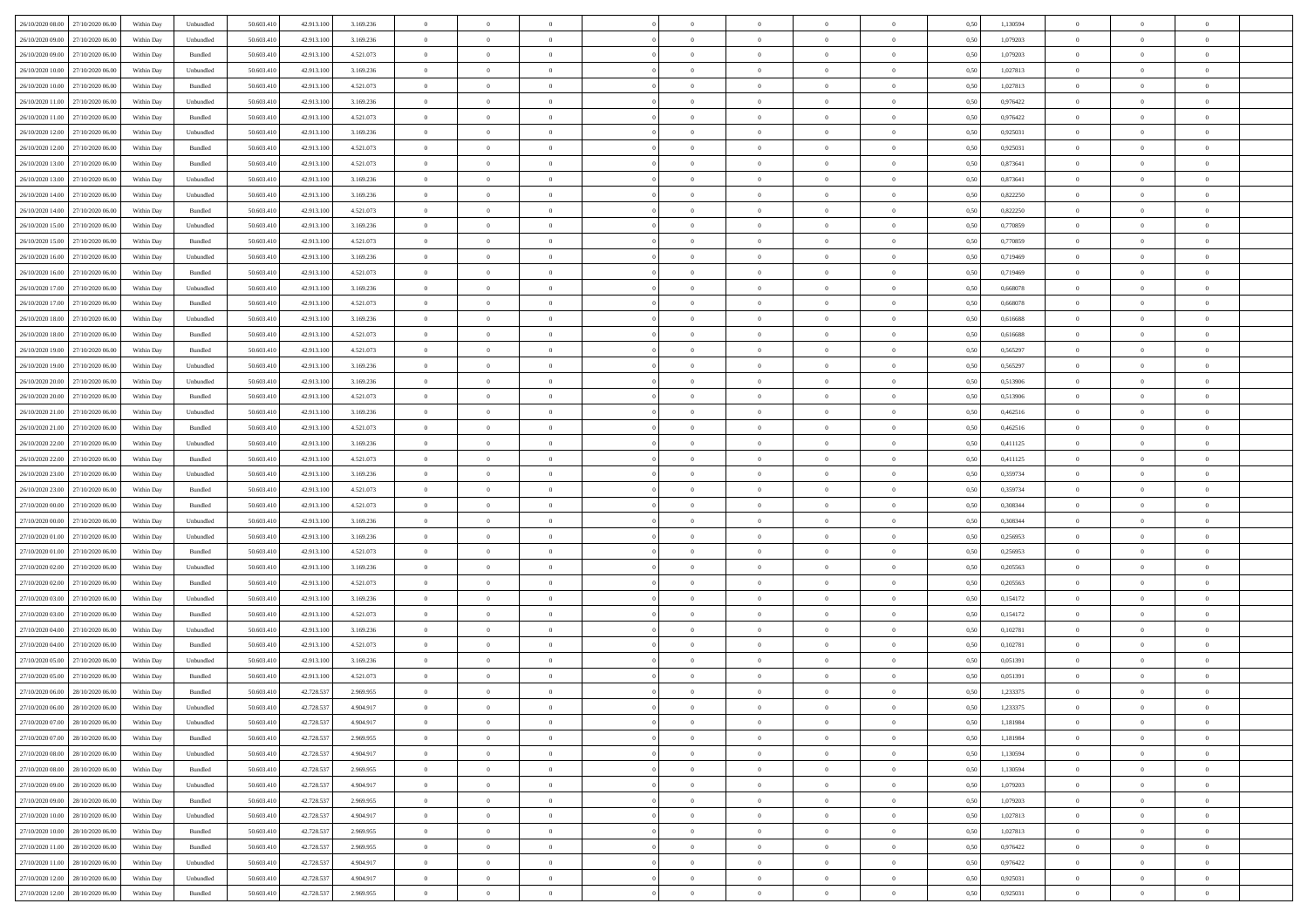| 26/10/2020 08:00 27/10/2020 06:00 |                  | Within Day | Unbundled                   | 50.603.410 | 42.913.100 | 3.169.236 | $\overline{0}$ | $\theta$       |                | $\overline{0}$ | $\theta$       | $\overline{0}$ | $\theta$       | 0,50 | 1,130594 | $\theta$       | $\theta$       | $\theta$       |  |
|-----------------------------------|------------------|------------|-----------------------------|------------|------------|-----------|----------------|----------------|----------------|----------------|----------------|----------------|----------------|------|----------|----------------|----------------|----------------|--|
|                                   |                  |            |                             |            |            |           | $\overline{0}$ | $\theta$       |                |                |                |                |                |      |          |                |                | $\overline{0}$ |  |
| 26/10/2020 09:00                  | 27/10/2020 06.00 | Within Day | Unbundled                   | 50.603.41  | 42.913.100 | 3.169.236 |                |                | $\overline{0}$ | $\overline{0}$ | $\,$ 0         | $\bf{0}$       | $\bf{0}$       | 0,50 | 1,079203 | $\,$ 0 $\,$    | $\overline{0}$ |                |  |
| 26/10/2020 09:00                  | 27/10/2020 06:00 | Within Day | Bundled                     | 50.603.410 | 42.913.100 | 4.521.073 | $\overline{0}$ | $\overline{0}$ | $\overline{0}$ | $\overline{0}$ | $\bf{0}$       | $\overline{0}$ | $\mathbf{0}$   | 0.50 | 1.079203 | $\bf{0}$       | $\overline{0}$ | $\overline{0}$ |  |
| 26/10/2020 10:00                  | 27/10/2020 06.00 | Within Day | Unbundled                   | 50.603.410 | 42.913.100 | 3.169.236 | $\overline{0}$ | $\overline{0}$ | $\overline{0}$ | $\overline{0}$ | $\bf{0}$       | $\overline{0}$ | $\overline{0}$ | 0,50 | 1,027813 | $\,$ 0 $\,$    | $\overline{0}$ | $\overline{0}$ |  |
| 26/10/2020 10:00                  | 27/10/2020 06.00 | Within Day | Bundled                     | 50.603.41  | 42.913.100 | 4.521.073 | $\overline{0}$ | $\theta$       | $\overline{0}$ |                | $\overline{0}$ | $\overline{0}$ | $\bf{0}$       | 0,50 | 1,027813 | $\,$ 0 $\,$    | $\overline{0}$ | $\overline{0}$ |  |
| 26/10/2020 11:00                  | 27/10/2020 06:00 | Within Day | Unbundled                   | 50.603.410 | 42.913.100 | 3.169.236 | $\overline{0}$ | $\overline{0}$ | $\overline{0}$ | $\overline{0}$ | $\bf{0}$       | $\overline{0}$ | $\bf{0}$       | 0.50 | 0.976422 | $\,0\,$        | $\theta$       | $\overline{0}$ |  |
| 26/10/2020 11:00                  | 27/10/2020 06.00 | Within Day | Bundled                     | 50.603.410 | 42.913.100 | 4.521.073 | $\overline{0}$ | $\overline{0}$ | $\overline{0}$ | $\overline{0}$ | $\,$ 0         | $\overline{0}$ | $\overline{0}$ | 0,50 | 0,976422 | $\,0\,$        | $\theta$       | $\overline{0}$ |  |
| 26/10/2020 12:00                  | 27/10/2020 06.00 | Within Day | Unbundled                   | 50.603.41  | 42.913.100 | 3.169.236 | $\overline{0}$ | $\theta$       | $\overline{0}$ |                | $\,$ 0         | $\overline{0}$ | $\bf{0}$       | 0,50 | 0,925031 | $\,$ 0 $\,$    | $\overline{0}$ | $\overline{0}$ |  |
|                                   |                  |            |                             |            |            |           |                |                |                |                |                |                |                |      |          |                |                |                |  |
| 26/10/2020 12:00                  | 27/10/2020 06.00 | Within Day | Bundled                     | 50.603.410 | 42.913.100 | 4.521.073 | $\overline{0}$ | $\overline{0}$ | $\overline{0}$ | $\overline{0}$ | $\bf{0}$       | $\overline{0}$ | $\bf{0}$       | 0.50 | 0.925031 | $\,0\,$        | $\overline{0}$ | $\overline{0}$ |  |
| 26/10/2020 13:00                  | 27/10/2020 06.00 | Within Day | Bundled                     | 50.603.410 | 42.913.100 | 4.521.073 | $\overline{0}$ | $\overline{0}$ | $\overline{0}$ | $\overline{0}$ | $\bf{0}$       | $\overline{0}$ | $\bf{0}$       | 0,50 | 0,873641 | $\,$ 0 $\,$    | $\overline{0}$ | $\overline{0}$ |  |
| 26/10/2020 13:00                  | 27/10/2020 06.00 | Within Day | Unbundled                   | 50.603.41  | 42.913.100 | 3.169.236 | $\bf{0}$       | $\theta$       | $\overline{0}$ |                | $\,$ 0         | $\overline{0}$ | $\bf{0}$       | 0,50 | 0,873641 | $\,$ 0 $\,$    | $\overline{0}$ | $\overline{0}$ |  |
| 26/10/2020 14:00                  | 27/10/2020 06:00 | Within Day | Unbundled                   | 50.603.410 | 42.913.100 | 3.169.236 | $\overline{0}$ | $\overline{0}$ | $\overline{0}$ | $\overline{0}$ | $\bf{0}$       | $\overline{0}$ | $\mathbf{0}$   | 0.50 | 0,822250 | $\bf{0}$       | $\overline{0}$ | $\bf{0}$       |  |
| 26/10/2020 14:00                  | 27/10/2020 06.00 | Within Day | Bundled                     | 50.603.410 | 42.913.100 | 4.521.073 | $\overline{0}$ | $\overline{0}$ | $\overline{0}$ | $\overline{0}$ | $\,$ 0         | $\overline{0}$ | $\overline{0}$ | 0,50 | 0,822250 | $\,$ 0 $\,$    | $\overline{0}$ | $\overline{0}$ |  |
| 26/10/2020 15:00                  | 27/10/2020 06.00 | Within Day | Unbundled                   | 50.603.41  | 42.913.100 | 3.169.236 | $\overline{0}$ | $\theta$       | $\overline{0}$ |                | $\bf{0}$       | $\overline{0}$ | $\bf{0}$       | 0,50 | 0,770859 | $\,$ 0 $\,$    | $\overline{0}$ | $\overline{0}$ |  |
|                                   | 27/10/2020 06:00 | Within Day | Bundled                     | 50,603.410 | 42.913.100 | 4.521.073 | $\overline{0}$ | $\overline{0}$ | $\overline{0}$ | $\overline{0}$ | $\bf{0}$       | $\overline{0}$ | $\bf{0}$       | 0.50 | 0.770859 | $\,0\,$        | $\theta$       | $\overline{0}$ |  |
| 26/10/2020 15:00                  |                  |            |                             |            |            |           |                |                |                |                |                |                |                |      |          |                |                |                |  |
| 26/10/2020 16:00                  | 27/10/2020 06.00 | Within Day | Unbundled                   | 50.603.410 | 42.913.100 | 3.169.236 | $\overline{0}$ | $\overline{0}$ | $\overline{0}$ | $\overline{0}$ | $\bf{0}$       | $\overline{0}$ | $\overline{0}$ | 0,50 | 0,719469 | $\theta$       | $\theta$       | $\overline{0}$ |  |
| 26/10/2020 16:00                  | 27/10/2020 06.00 | Within Day | Bundled                     | 50.603.41  | 42.913.100 | 4.521.073 | $\overline{0}$ | $\theta$       | $\overline{0}$ |                | $\,$ 0         | $\overline{0}$ | $\bf{0}$       | 0,50 | 0,719469 | $\,$ 0 $\,$    | $\overline{0}$ | $\overline{0}$ |  |
| 26/10/2020 17.00                  | 27/10/2020 06.00 | Within Day | Unbundled                   | 50.603.410 | 42.913.100 | 3.169.236 | $\overline{0}$ | $\overline{0}$ | $\overline{0}$ | $\overline{0}$ | $\bf{0}$       | $\overline{0}$ | $\bf{0}$       | 0.50 | 0.668078 | $\,0\,$        | $\overline{0}$ | $\bf{0}$       |  |
| 26/10/2020 17:00                  | 27/10/2020 06.00 | Within Day | Bundled                     | 50.603.410 | 42.913.100 | 4.521.073 | $\overline{0}$ | $\overline{0}$ | $\overline{0}$ | $\overline{0}$ | $\,$ 0         | $\overline{0}$ | $\bf{0}$       | 0,50 | 0,668078 | $\,$ 0 $\,$    | $\overline{0}$ | $\overline{0}$ |  |
| 26/10/2020 18:00                  | 27/10/2020 06.00 | Within Day | Unbundled                   | 50.603.41  | 42.913.100 | 3.169.236 | $\bf{0}$       | $\,$ 0 $\,$    | $\overline{0}$ | $\overline{0}$ | $\,$ 0         | $\bf{0}$       | $\bf{0}$       | 0,50 | 0,616688 | $\,$ 0 $\,$    | $\overline{0}$ | $\overline{0}$ |  |
| 26/10/2020 18:00                  | 27/10/2020 06:00 | Within Day | Bundled                     | 50.603.410 | 42.913.100 | 4.521.073 | $\overline{0}$ | $\overline{0}$ | $\overline{0}$ | $\overline{0}$ | $\bf{0}$       | $\overline{0}$ | $\mathbf{0}$   | 0.50 | 0.616688 | $\,$ 0 $\,$    | $\overline{0}$ | $\bf{0}$       |  |
| 26/10/2020 19:00                  | 27/10/2020 06.00 | Within Day | Bundled                     | 50.603.410 | 42.913.100 | 4.521.073 | $\overline{0}$ | $\overline{0}$ | $\overline{0}$ | $\overline{0}$ | $\bf{0}$       | $\overline{0}$ | $\overline{0}$ | 0,50 | 0,565297 | $\theta$       | $\overline{0}$ | $\overline{0}$ |  |
|                                   |                  |            |                             |            |            |           |                |                |                |                |                |                |                |      |          |                |                |                |  |
| 26/10/2020 19:00                  | 27/10/2020 06.00 | Within Day | Unbundled                   | 50.603.41  | 42.913.100 | 3.169.236 | $\overline{0}$ | $\theta$       | $\overline{0}$ |                | $\,$ 0         | $\overline{0}$ | $\bf{0}$       | 0,50 | 0,565297 | $\,$ 0 $\,$    | $\overline{0}$ | $\overline{0}$ |  |
| 26/10/2020 20.00                  | 27/10/2020 06:00 | Within Day | Unbundled                   | 50.603.410 | 42.913.100 | 3.169.236 | $\overline{0}$ | $\overline{0}$ | $\overline{0}$ | $\overline{0}$ | $\bf{0}$       | $\overline{0}$ | $\bf{0}$       | 0.50 | 0.513906 | $\,0\,$        | $\theta$       | $\overline{0}$ |  |
| 26/10/2020 20:00                  | 27/10/2020 06.00 | Within Day | Bundled                     | 50.603.410 | 42.913.100 | 4.521.073 | $\overline{0}$ | $\theta$       | $\overline{0}$ | $\overline{0}$ | $\bf{0}$       | $\overline{0}$ | $\overline{0}$ | 0,50 | 0,513906 | $\,0\,$        | $\theta$       | $\overline{0}$ |  |
| 26/10/2020 21.00                  | 27/10/2020 06.00 | Within Day | Unbundled                   | 50.603.41  | 42.913.100 | 3.169.236 | $\overline{0}$ | $\theta$       | $\overline{0}$ |                | $\bf{0}$       | $\overline{0}$ | $\bf{0}$       | 0,50 | 0,462516 | $\,$ 0 $\,$    | $\overline{0}$ | $\overline{0}$ |  |
| 26/10/2020 21.00                  | 27/10/2020 06.00 | Within Day | Bundled                     | 50.603.410 | 42.913.100 | 4.521.073 | $\overline{0}$ | $\overline{0}$ | $\overline{0}$ | $\overline{0}$ | $\bf{0}$       | $\overline{0}$ | $\bf{0}$       | 0.50 | 0.462516 | $\,0\,$        | $\overline{0}$ | $\overline{0}$ |  |
| 26/10/2020 22.00                  | 27/10/2020 06.00 | Within Day | Unbundled                   | 50.603.410 | 42.913.100 | 3.169.236 | $\overline{0}$ | $\overline{0}$ | $\overline{0}$ | $\overline{0}$ | $\bf{0}$       | $\overline{0}$ | $\bf{0}$       | 0,50 | 0,411125 | $\,$ 0 $\,$    | $\theta$       | $\overline{0}$ |  |
|                                   |                  |            |                             |            |            |           |                | $\overline{0}$ | $\overline{0}$ | $\overline{0}$ | $\,$ 0         |                |                |      |          | $\,$ 0 $\,$    | $\overline{0}$ | $\overline{0}$ |  |
| 26/10/2020 22.00                  | 27/10/2020 06.00 | Within Day | Bundled                     | 50.603.41  | 42.913.100 | 4.521.073 | $\bf{0}$       |                |                |                |                | $\bf{0}$       | $\bf{0}$       | 0,50 | 0,411125 |                |                |                |  |
| 26/10/2020 23.00                  | 27/10/2020 06:00 | Within Day | Unbundled                   | 50.603.410 | 42.913.100 | 3.169.236 | $\overline{0}$ | $\overline{0}$ | $\overline{0}$ | $\overline{0}$ | $\bf{0}$       | $\overline{0}$ | $\mathbf{0}$   | 0.50 | 0.359734 | $\,$ 0 $\,$    | $\overline{0}$ | $\bf{0}$       |  |
| 26/10/2020 23.00                  | 27/10/2020 06:00 | Within Dav | Bundled                     | 50.603.410 | 42.913.100 | 4.521.073 | $\overline{0}$ | $\overline{0}$ | $\theta$       | $\Omega$       | $\overline{0}$ | $\overline{0}$ | $\overline{0}$ | 0.50 | 0,359734 | $\theta$       | $\overline{0}$ | $\overline{0}$ |  |
| 27/10/2020 00.00                  | 27/10/2020 06.00 | Within Day | Bundled                     | 50.603.41  | 42.913.100 | 4.521.073 | $\overline{0}$ | $\theta$       | $\overline{0}$ |                | $\,$ 0         | $\overline{0}$ | $\bf{0}$       | 0,50 | 0,308344 | $\,$ 0 $\,$    | $\overline{0}$ | $\overline{0}$ |  |
| 27/10/2020 00:00                  | 27/10/2020 06:00 | Within Day | Unbundled                   | 50.603.410 | 42.913.100 | 3.169.236 | $\overline{0}$ | $\overline{0}$ | $\overline{0}$ | $\overline{0}$ | $\bf{0}$       | $\overline{0}$ | $\bf{0}$       | 0.50 | 0.308344 | $\,0\,$        | $\theta$       | $\overline{0}$ |  |
| 27/10/2020 01:00                  | 27/10/2020 06.00 | Within Dav | Unbundled                   | 50.603.410 | 42.913.100 | 3.169.236 | $\overline{0}$ | $\theta$       | $\Omega$       | $\Omega$       | $\mathbf{0}$   | $\overline{0}$ | $\overline{0}$ | 0.50 | 0,256953 | $\theta$       | $\overline{0}$ | $\overline{0}$ |  |
| 27/10/2020 01:00                  | 27/10/2020 06.00 | Within Day | Bundled                     | 50.603.41  | 42.913.100 | 4.521.073 | $\overline{0}$ | $\theta$       | $\overline{0}$ |                | $\,$ 0         | $\overline{0}$ | $\bf{0}$       | 0,50 | 0,256953 | $\,$ 0 $\,$    | $\overline{0}$ | $\overline{0}$ |  |
| 27/10/2020 02.00                  | 27/10/2020 06.00 | Within Day | Unbundled                   | 50.603.410 | 42.913.100 | 3.169.236 | $\overline{0}$ | $\overline{0}$ | $\overline{0}$ | $\overline{0}$ | $\bf{0}$       | $\overline{0}$ | $\bf{0}$       | 0.50 | 0.205563 | $\,0\,$        | $\overline{0}$ | $\overline{0}$ |  |
| 27/10/2020 02:00                  | 27/10/2020 06.00 | Within Dav | Bundled                     | 50.603.410 | 42.913.100 | 4.521.073 | $\overline{0}$ | $\overline{0}$ | $\overline{0}$ | $\Omega$       | $\overline{0}$ | $\overline{0}$ | $\overline{0}$ | 0.50 | 0,205563 | $\theta$       | $\overline{0}$ | $\overline{0}$ |  |
|                                   |                  |            |                             |            |            |           |                |                |                |                |                |                |                |      |          |                |                |                |  |
| 27/10/2020 03:00                  | 27/10/2020 06.00 | Within Day | Unbundled                   | 50.603.41  | 42.913.100 | 3.169.236 | $\overline{0}$ | $\overline{0}$ | $\overline{0}$ | $\overline{0}$ | $\bf{0}$       | $\bf{0}$       | $\bf{0}$       | 0,50 | 0,154172 | $\,$ 0 $\,$    | $\overline{0}$ | $\overline{0}$ |  |
| 27/10/2020 03:00                  | 27/10/2020 06:00 | Within Day | Bundled                     | 50.603.410 | 42.913.100 | 4.521.073 | $\overline{0}$ | $\overline{0}$ | $\overline{0}$ | $\overline{0}$ | $\bf{0}$       | $\overline{0}$ | $\mathbf{0}$   | 0.50 | 0,154172 | $\,$ 0 $\,$    | $\overline{0}$ | $\overline{0}$ |  |
| 27/10/2020 04:00                  | 27/10/2020 06.00 | Within Dav | Unbundled                   | 50.603.410 | 42.913.100 | 3.169.236 | $\overline{0}$ | $\overline{0}$ | $\Omega$       | $\Omega$       | $\mathbf{0}$   | $\overline{0}$ | $\overline{0}$ | 0.50 | 0,102781 | $\theta$       | $\overline{0}$ | $\overline{0}$ |  |
| 27/10/2020 04:00                  | 27/10/2020 06.00 | Within Day | Bundled                     | 50.603.41  | 42.913.100 | 4.521.073 | $\overline{0}$ | $\theta$       | $\overline{0}$ | $\overline{0}$ | $\,$ 0         | $\overline{0}$ | $\bf{0}$       | 0,50 | 0,102781 | $\,$ 0 $\,$    | $\overline{0}$ | $\overline{0}$ |  |
| 27/10/2020 05:00                  | 27/10/2020 06.00 | Within Day | Unbundled                   | 50,603.410 | 42.913.100 | 3.169.236 | $\overline{0}$ | $\overline{0}$ | $\overline{0}$ | $\overline{0}$ | $\bf{0}$       | $\overline{0}$ | $\overline{0}$ | 0.50 | 0.051391 | $\,0\,$        | $\theta$       | $\overline{0}$ |  |
| 27/10/2020 05:00                  | 27/10/2020 06.00 | Within Dav | Bundled                     | 50.603.410 | 42.913.100 | 4.521.073 | $\overline{0}$ | $\Omega$       | $\Omega$       | $\Omega$       | $\bf{0}$       | $\overline{0}$ | $\bf{0}$       | 0.50 | 0,051391 | $\theta$       | $\overline{0}$ | $\overline{0}$ |  |
| 27/10/2020 06:00                  | 28/10/2020 06.00 | Within Day | Bundled                     | 50.603.410 | 42.728.537 | 2.969.955 | $\overline{0}$ | $\,$ 0 $\,$    | $\overline{0}$ | $\overline{0}$ | $\,$ 0         | $\overline{0}$ | $\bf{0}$       | 0,50 | 1,233375 | $\,$ 0 $\,$    | $\overline{0}$ | $\overline{0}$ |  |
| 27/10/2020 06:00 28/10/2020 06:00 |                  | Within Day | $\ensuremath{\mathsf{Unb}}$ | 50.603.410 | 42.728.537 | 4 904 917 |                | $\theta$       |                |                |                |                |                | 0.50 | 1,233375 | $\,$ 0         | $\theta$       |                |  |
|                                   |                  |            |                             |            |            |           | $\bf{0}$       |                |                |                |                |                |                |      |          |                |                |                |  |
| 27/10/2020 07:00 28/10/2020 06:00 |                  | Within Day | Unbundled                   | 50.603.410 | 42.728.537 | 4.904.917 | $\Omega$       | $\overline{0}$ | $\overline{0}$ | $\Omega$       | $\mathbf{0}$   | $\overline{0}$ | $\mathbf{0}$   | 0,50 | 1,181984 | $\theta$       | $\theta$       | $\overline{0}$ |  |
| 27/10/2020 07.00                  | 28/10/2020 06.00 | Within Day | Bundled                     | 50.603.41  | 42.728.537 | 2.969.955 | $\bf{0}$       | $\bf{0}$       | $\overline{0}$ | $\bf{0}$       | $\overline{0}$ | $\overline{0}$ | $\mathbf{0}$   | 0,50 | 1,181984 | $\bf{0}$       | $\overline{0}$ | $\bf{0}$       |  |
| 27/10/2020 08:00                  | 28/10/2020 06:00 | Within Day | Unbundled                   | 50,603.410 | 42.728.537 | 4.904.917 | $\overline{0}$ | $\overline{0}$ | $\overline{0}$ | $\overline{0}$ | $\overline{0}$ | $\overline{0}$ | $\mathbf{0}$   | 0.50 | 1.130594 | $\overline{0}$ | $\bf{0}$       | $\bf{0}$       |  |
| 27/10/2020 08:00                  | 28/10/2020 06:00 | Within Dav | Bundled                     | 50.603.410 | 42.728.537 | 2.969.955 | $\overline{0}$ | $\overline{0}$ | $\overline{0}$ | $\overline{0}$ | $\overline{0}$ | $\overline{0}$ | $\overline{0}$ | 0.50 | 1,130594 | $\overline{0}$ | $\theta$       | $\overline{0}$ |  |
| 27/10/2020 09:00                  | 28/10/2020 06.00 | Within Day | Unbundled                   | 50.603.410 | 42.728.537 | 4.904.917 | $\bf{0}$       | $\overline{0}$ | $\overline{0}$ | $\overline{0}$ | $\bf{0}$       | $\overline{0}$ | $\bf{0}$       | 0,50 | 1,079203 | $\bf{0}$       | $\overline{0}$ | $\overline{0}$ |  |
| 27/10/2020 09.00                  | 28/10/2020 06:00 | Within Day | Bundled                     | 50.603.410 | 42.728.537 | 2.969.955 | $\overline{0}$ | $\overline{0}$ | $\overline{0}$ | $\overline{0}$ | $\bf{0}$       | $\overline{0}$ | $\mathbf{0}$   | 0.50 | 1.079203 | $\,$ 0 $\,$    | $\overline{0}$ | $\overline{0}$ |  |
| 27/10/2020 10:00                  | 28/10/2020 06:00 | Within Day | Unbundled                   | 50.603.410 | 42.728.537 | 4.904.917 | $\overline{0}$ | $\overline{0}$ | $\overline{0}$ | $\overline{0}$ | $\overline{0}$ | $\overline{0}$ | $\overline{0}$ | 0.50 | 1,027813 | $\overline{0}$ | $\theta$       | $\overline{0}$ |  |
|                                   |                  |            |                             |            |            |           |                |                |                |                |                |                |                |      |          |                |                |                |  |
| 27/10/2020 10:00                  | 28/10/2020 06.00 | Within Day | Bundled                     | 50.603.41  | 42.728.537 | 2.969.955 | $\overline{0}$ | $\,$ 0         | $\overline{0}$ | $\bf{0}$       | $\,$ 0 $\,$    | $\overline{0}$ | $\bf{0}$       | 0,50 | 1,027813 | $\,$ 0 $\,$    | $\overline{0}$ | $\overline{0}$ |  |
| 27/10/2020 11:00                  | 28/10/2020 06:00 | Within Day | Bundled                     | 50.603.410 | 42.728.537 | 2.969.955 | $\overline{0}$ | $\overline{0}$ | $\overline{0}$ | $\overline{0}$ | $\bf{0}$       | $\overline{0}$ | $\mathbf{0}$   | 0.50 | 0.976422 | $\mathbf{0}$   | $\bf{0}$       | $\overline{0}$ |  |
| 27/10/2020 11:00                  | 28/10/2020 06:00 | Within Day | Unbundled                   | 50.603.410 | 42.728.537 | 4.904.917 | $\overline{0}$ | $\overline{0}$ | $\overline{0}$ | $\overline{0}$ | $\overline{0}$ | $\overline{0}$ | $\overline{0}$ | 0,50 | 0,976422 | $\overline{0}$ | $\theta$       | $\overline{0}$ |  |
| 27/10/2020 12:00                  | 28/10/2020 06.00 | Within Day | Unbundled                   | 50.603.41  | 42.728.537 | 4.904.917 | $\overline{0}$ | $\overline{0}$ | $\overline{0}$ | $\bf{0}$       | $\bf{0}$       | $\bf{0}$       | $\bf{0}$       | 0,50 | 0,925031 | $\bf{0}$       | $\overline{0}$ | $\bf{0}$       |  |
| 27/10/2020 12:00 28/10/2020 06:00 |                  | Within Day | Bundled                     | 50.603.410 | 42.728.537 | 2.969.955 | $\overline{0}$ | $\overline{0}$ | $\overline{0}$ | $\overline{0}$ | $\bf{0}$       | $\overline{0}$ | $\,$ 0 $\,$    | 0,50 | 0,925031 | $\overline{0}$ | $\,$ 0 $\,$    | $\,$ 0 $\,$    |  |
|                                   |                  |            |                             |            |            |           |                |                |                |                |                |                |                |      |          |                |                |                |  |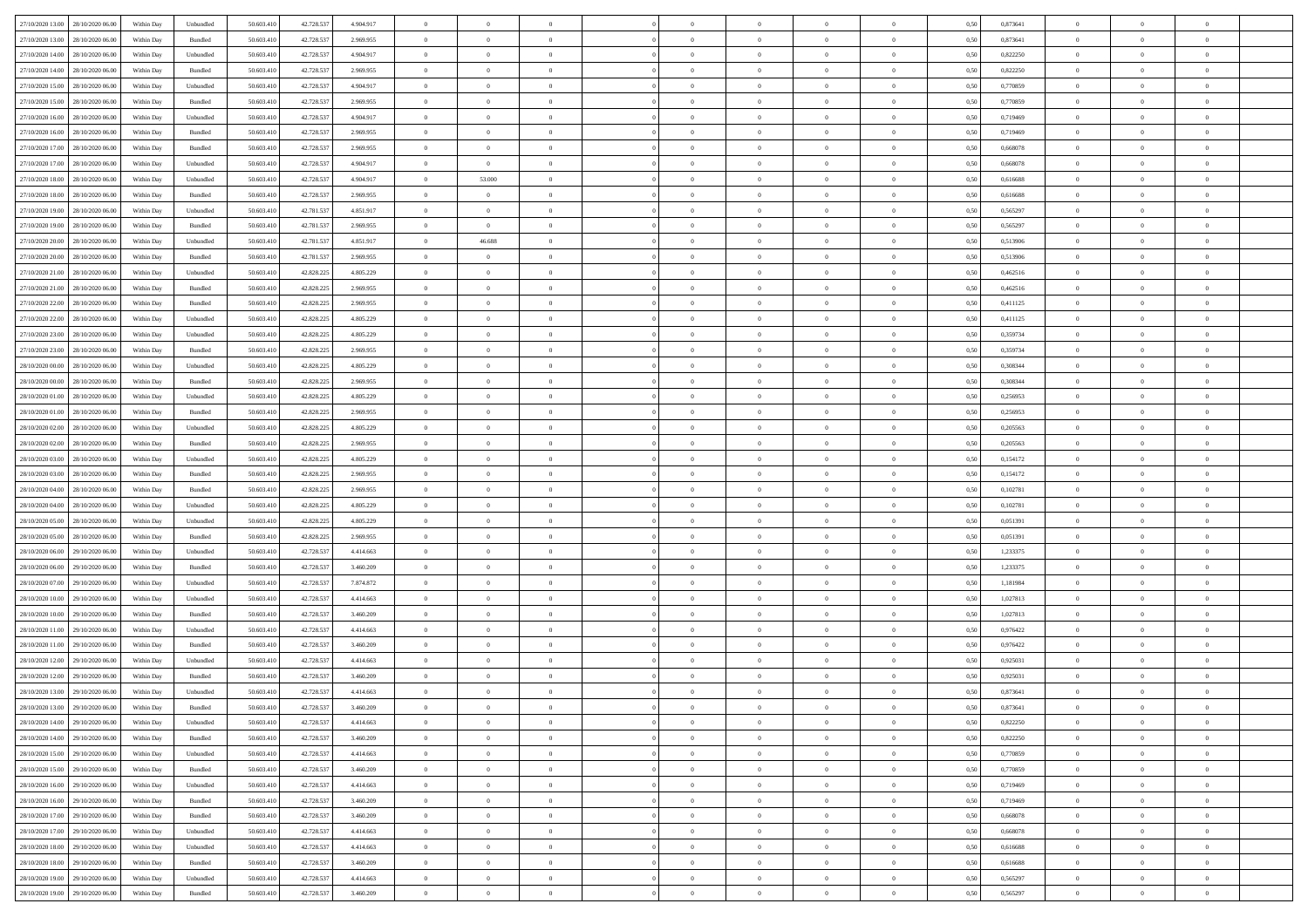| 27/10/2020 13:00 28/10/2020 06:00    | Within Day | Unbundled | 50.603.410 | 42.728.537 | 4.904.917 | $\overline{0}$ | $\theta$       |                | $\overline{0}$ | $\theta$       |                | $\theta$       | 0,50 | 0,873641 | $\theta$       | $\theta$       | $\overline{0}$ |  |
|--------------------------------------|------------|-----------|------------|------------|-----------|----------------|----------------|----------------|----------------|----------------|----------------|----------------|------|----------|----------------|----------------|----------------|--|
| 27/10/2020 13:00<br>28/10/2020 06.00 | Within Day | Bundled   | 50.603.41  | 42.728.53  | 2.969.955 | $\bf{0}$       | $\bf{0}$       | $\bf{0}$       | $\bf{0}$       | $\overline{0}$ | $\overline{0}$ | $\bf{0}$       | 0,50 | 0,873641 | $\,$ 0 $\,$    | $\bf{0}$       | $\overline{0}$ |  |
| 27/10/2020 14:00<br>28/10/2020 06:00 | Within Day | Unbundled | 50.603.41  | 42.728.537 | 4.904.917 | $\overline{0}$ | $\bf{0}$       | $\overline{0}$ | $\bf{0}$       | $\bf{0}$       | $\overline{0}$ | $\bf{0}$       | 0.50 | 0,822250 | $\bf{0}$       | $\overline{0}$ | $\overline{0}$ |  |
| 27/10/2020 14:00<br>28/10/2020 06:00 | Within Day | Bundled   | 50.603.410 | 42.728.537 | 2.969.955 | $\overline{0}$ | $\overline{0}$ | $\overline{0}$ | $\overline{0}$ | $\theta$       | $\overline{0}$ | $\bf{0}$       | 0,50 | 0,822250 | $\theta$       | $\theta$       | $\overline{0}$ |  |
| 27/10/2020 15:00<br>28/10/2020 06.00 | Within Day | Unbundled | 50.603.41  | 42.728.53  | 4.904.917 | $\bf{0}$       | $\overline{0}$ | $\bf{0}$       | $\overline{0}$ | $\theta$       | $\overline{0}$ | $\bf{0}$       | 0,50 | 0,770859 | $\,$ 0 $\,$    | $\bf{0}$       | $\overline{0}$ |  |
| 27/10/2020 15:00<br>28/10/2020 06:00 | Within Day | Bundled   | 50.603.41  | 42.728.537 | 2.969.955 | $\overline{0}$ | $\overline{0}$ | $\overline{0}$ | $\bf{0}$       | $\overline{0}$ | $\theta$       | $\bf{0}$       | 0.50 | 0.770859 | $\,$ 0 $\,$    | $\theta$       | $\overline{0}$ |  |
| 27/10/2020 16:00<br>28/10/2020 06:00 | Within Day | Unbundled | 50.603.41  | 42.728.537 | 4.904.917 | $\overline{0}$ | $\overline{0}$ | $\overline{0}$ | $\overline{0}$ | $\overline{0}$ | $\overline{0}$ | $\bf{0}$       | 0,50 | 0,719469 | $\,$ 0 $\,$    | $\theta$       | $\overline{0}$ |  |
|                                      |            |           |            |            |           |                |                |                |                |                |                |                |      |          |                |                |                |  |
| 27/10/2020 16.00<br>28/10/2020 06.00 | Within Day | Bundled   | 50.603.41  | 42.728.53  | 2.969.955 | $\bf{0}$       | $\bf{0}$       | $\bf{0}$       | $\overline{0}$ | $\overline{0}$ | $\overline{0}$ | $\bf{0}$       | 0,50 | 0,719469 | $\,$ 0 $\,$    | $\bf{0}$       | $\overline{0}$ |  |
| 27/10/2020 17.00<br>28/10/2020 06:00 | Within Day | Bundled   | 50.603.41  | 42.728.537 | 2.969.955 | $\overline{0}$ | $\bf{0}$       | $\overline{0}$ | $\bf{0}$       | $\overline{0}$ | $\overline{0}$ | $\bf{0}$       | 0.50 | 0.668078 | $\bf{0}$       | $\overline{0}$ | $\overline{0}$ |  |
| 27/10/2020 17.00<br>28/10/2020 06:00 | Within Day | Unbundled | 50.603.410 | 42.728.537 | 4.904.917 | $\overline{0}$ | $\bf{0}$       | $\overline{0}$ | $\overline{0}$ | $\overline{0}$ | $\overline{0}$ | $\bf{0}$       | 0,50 | 0,668078 | $\,$ 0 $\,$    | $\bf{0}$       | $\overline{0}$ |  |
| 27/10/2020 18:00<br>28/10/2020 06.00 | Within Day | Unbundled | 50.603.41  | 42.728.537 | 4.904.917 | $\bf{0}$       | 53.000         | $\bf{0}$       | $\bf{0}$       | $\bf{0}$       | $\overline{0}$ | $\bf{0}$       | 0,50 | 0,616688 | $\,$ 0 $\,$    | $\bf{0}$       | $\overline{0}$ |  |
| 27/10/2020 18:00<br>28/10/2020 06:00 | Within Day | Bundled   | 50.603.41  | 42.728.537 | 2.969.955 | $\overline{0}$ | $\overline{0}$ | $\overline{0}$ | $\overline{0}$ | $\bf{0}$       | $\overline{0}$ | $\bf{0}$       | 0.50 | 0.616688 | $\bf{0}$       | $\,$ 0 $\,$    | $\,$ 0         |  |
| 27/10/2020 19:00<br>28/10/2020 06:00 | Within Day | Unbundled | 50.603.41  | 42.781.537 | 4.851.917 | $\overline{0}$ | $\overline{0}$ | $\overline{0}$ | $\theta$       | $\theta$       | $\overline{0}$ | $\bf{0}$       | 0,50 | 0,565297 | $\,$ 0 $\,$    | $\theta$       | $\overline{0}$ |  |
| 27/10/2020 19:00<br>28/10/2020 06.00 | Within Day | Bundled   | 50.603.41  | 42.781.53  | 2.969.955 | $\bf{0}$       | $\bf{0}$       | $\bf{0}$       | $\overline{0}$ | $\bf{0}$       | $\overline{0}$ | $\bf{0}$       | 0,50 | 0,565297 | $\,$ 0 $\,$    | $\bf{0}$       | $\overline{0}$ |  |
| 27/10/2020 20:00<br>28/10/2020 06:00 | Within Day | Unbundled | 50.603.41  | 42.781.537 | 4.851.917 | $\overline{0}$ | 46.688         | $\overline{0}$ | $\bf{0}$       | $\overline{0}$ | $\theta$       | $\bf{0}$       | 0.50 | 0.513906 | $\,$ 0 $\,$    | $\theta$       | $\overline{0}$ |  |
| 27/10/2020 20:00<br>28/10/2020 06:00 | Within Day | Bundled   | 50.603.410 | 42.781.537 | 2.969.955 | $\overline{0}$ | $\overline{0}$ | $\overline{0}$ | $\overline{0}$ | $\overline{0}$ | $\overline{0}$ | $\bf{0}$       | 0,50 | 0,513906 | $\theta$       | $\theta$       | $\overline{0}$ |  |
|                                      |            |           |            |            |           |                |                |                |                |                |                |                |      |          |                |                |                |  |
| 27/10/2020 21:00<br>28/10/2020 06.00 | Within Day | Unbundled | 50.603.41  | 42.828.22  | 4.805.229 | $\bf{0}$       | $\overline{0}$ | $\bf{0}$       | $\overline{0}$ | $\bf{0}$       | $\overline{0}$ | $\bf{0}$       | 0,50 | 0,462516 | $\,$ 0 $\,$    | $\bf{0}$       | $\overline{0}$ |  |
| 27/10/2020 21:00<br>28/10/2020 06:00 | Within Day | Bundled   | 50,603.41  | 42.828.22  | 2.969.955 | $\overline{0}$ | $\bf{0}$       | $\overline{0}$ | $\bf{0}$       | $\overline{0}$ | $\overline{0}$ | $\bf{0}$       | 0.50 | 0.462516 | $\bf{0}$       | $\overline{0}$ | $\bf{0}$       |  |
| 27/10/2020 22.00<br>28/10/2020 06:00 | Within Day | Bundled   | 50.603.410 | 42.828.225 | 2.969.955 | $\bf{0}$       | $\bf{0}$       | $\overline{0}$ | $\overline{0}$ | $\overline{0}$ | $\overline{0}$ | $\bf{0}$       | 0,50 | 0,411125 | $\,$ 0 $\,$    | $\bf{0}$       | $\overline{0}$ |  |
| 27/10/2020 22.00<br>28/10/2020 06.00 | Within Day | Unbundled | 50.603.41  | 42.828.225 | 4.805.229 | $\bf{0}$       | $\bf{0}$       | $\bf{0}$       | $\bf{0}$       | $\overline{0}$ | $\overline{0}$ | $\bf{0}$       | 0,50 | 0,411125 | $\,$ 0 $\,$    | $\bf{0}$       | $\overline{0}$ |  |
| 27/10/2020 23.00<br>28/10/2020 06:00 | Within Day | Unbundled | 50.603.41  | 42.828.225 | 4.805.229 | $\overline{0}$ | $\bf{0}$       | $\overline{0}$ | $\overline{0}$ | $\bf{0}$       | $\overline{0}$ | $\bf{0}$       | 0.50 | 0.359734 | $\bf{0}$       | $\overline{0}$ | $\,$ 0         |  |
| 27/10/2020 23.00<br>28/10/2020 06:00 | Within Day | Bundled   | 50.603.41  | 42.828.225 | 2.969.955 | $\overline{0}$ | $\overline{0}$ | $\overline{0}$ | $\overline{0}$ | $\theta$       | $\overline{0}$ | $\bf{0}$       | 0,50 | 0,359734 | $\theta$       | $\theta$       | $\overline{0}$ |  |
| 28/10/2020 00:00<br>28/10/2020 06.00 | Within Day | Unbundled | 50.603.41  | 42.828.225 | 4.805.229 | $\bf{0}$       | $\bf{0}$       | $\bf{0}$       | $\bf{0}$       | $\overline{0}$ | $\overline{0}$ | $\bf{0}$       | 0,50 | 0,308344 | $\,$ 0 $\,$    | $\bf{0}$       | $\overline{0}$ |  |
| 28/10/2020 00:00<br>28/10/2020 06:00 | Within Day | Bundled   | 50.603.41  | 42.828.225 | 2.969.955 | $\overline{0}$ | $\bf{0}$       | $\overline{0}$ | $\bf{0}$       | $\overline{0}$ | $\theta$       | $\bf{0}$       | 0.50 | 0.308344 | $\bf{0}$       | $\theta$       | $\overline{0}$ |  |
| 28/10/2020 01:00<br>28/10/2020 06:00 | Within Day | Unbundled | 50.603.410 | 42.828.225 | 4.805.229 | $\overline{0}$ | $\overline{0}$ | $\overline{0}$ | $\overline{0}$ | $\overline{0}$ | $\overline{0}$ | $\bf{0}$       | 0,50 | 0,256953 | $\,$ 0 $\,$    | $\theta$       | $\overline{0}$ |  |
|                                      |            |           |            |            |           |                |                |                |                |                |                |                |      |          |                |                |                |  |
| 28/10/2020 01:00<br>28/10/2020 06.00 | Within Day | Bundled   | 50.603.41  | 42.828.22  | 2.969.955 | $\bf{0}$       | $\overline{0}$ | $\bf{0}$       | $\overline{0}$ | $\bf{0}$       | $\overline{0}$ | $\bf{0}$       | 0,50 | 0,256953 | $\,$ 0 $\,$    | $\bf{0}$       | $\overline{0}$ |  |
| 28/10/2020 02.00<br>28/10/2020 06:00 | Within Day | Unbundled | 50,603.41  | 42.828.225 | 4.805.229 | $\overline{0}$ | $\bf{0}$       | $\overline{0}$ | $\bf{0}$       | $\overline{0}$ | $\overline{0}$ | $\bf{0}$       | 0.50 | 0.205563 | $\bf{0}$       | $\overline{0}$ | $\overline{0}$ |  |
| 28/10/2020 02:00<br>28/10/2020 06:00 | Within Day | Bundled   | 50.603.410 | 42.828.225 | 2.969.955 | $\overline{0}$ | $\bf{0}$       | $\overline{0}$ | $\overline{0}$ | $\overline{0}$ | $\overline{0}$ | $\bf{0}$       | 0,50 | 0,205563 | $\theta$       | $\bf{0}$       | $\overline{0}$ |  |
| 28/10/2020 03:00<br>28/10/2020 06.00 | Within Day | Unbundled | 50.603.41  | 42.828.225 | 4.805.229 | $\bf{0}$       | $\bf{0}$       | $\bf{0}$       | $\bf{0}$       | $\overline{0}$ | $\overline{0}$ | $\bf{0}$       | 0,50 | 0,154172 | $\,$ 0 $\,$    | $\bf{0}$       | $\overline{0}$ |  |
| 28/10/2020 03:00<br>28/10/2020 06:00 | Within Day | Bundled   | 50,603.41  | 42.828.225 | 2.969.955 | $\overline{0}$ | $\bf{0}$       | $\overline{0}$ | $\overline{0}$ | $\bf{0}$       | $\overline{0}$ | $\bf{0}$       | 0.50 | 0,154172 | $\bf{0}$       | $\,$ 0 $\,$    | $\,$ 0         |  |
| 28/10/2020 04:00<br>28/10/2020 06:00 | Within Day | Bundled   | 50.603.41  | 42.828.225 | 2.969.955 | $\overline{0}$ | $\overline{0}$ | $\overline{0}$ | $\overline{0}$ | $\overline{0}$ | $\overline{0}$ | $\bf{0}$       | 0.5( | 0,102781 | $\theta$       | $\theta$       | $\overline{0}$ |  |
| 28/10/2020 04:00<br>28/10/2020 06.00 | Within Day | Unbundled | 50.603.41  | 42.828.225 | 4.805.229 | $\bf{0}$       | $\bf{0}$       | $\bf{0}$       | $\bf{0}$       | $\overline{0}$ | $\overline{0}$ | $\bf{0}$       | 0,50 | 0,102781 | $\,$ 0 $\,$    | $\bf{0}$       | $\overline{0}$ |  |
| 28/10/2020 05:00<br>28/10/2020 06:00 | Within Day | Unbundled | 50.603.41  | 42.828.225 | 4.805.229 | $\overline{0}$ | $\bf{0}$       | $\overline{0}$ | $\bf{0}$       | $\overline{0}$ | $\Omega$       | $\bf{0}$       | 0.50 | 0.051391 | $\bf{0}$       | $\bf{0}$       | $\overline{0}$ |  |
| 28/10/2020 05:00<br>28/10/2020 06:00 | Within Day | Bundled   | 50.603.41  | 42.828.225 | 2.969.955 | $\overline{0}$ | $\overline{0}$ | $\overline{0}$ | $\overline{0}$ | $\overline{0}$ | $\overline{0}$ | $\bf{0}$       | 0.50 | 0,051391 | $\theta$       | $\theta$       | $\overline{0}$ |  |
| 28/10/2020 06:00<br>29/10/2020 06.00 | Within Day | Unbundled | 50.603.41  | 42.728.53  | 4.414.663 | $\bf{0}$       | $\bf{0}$       | $\bf{0}$       | $\bf{0}$       | $\overline{0}$ | $\overline{0}$ | $\bf{0}$       | 0,50 | 1,233375 | $\,$ 0 $\,$    | $\bf{0}$       | $\overline{0}$ |  |
|                                      |            |           |            |            |           |                |                |                |                |                |                |                |      |          |                |                |                |  |
| 28/10/2020 06:00<br>29/10/2020 06:00 | Within Day | Bundled   | 50,603.41  | 42.728.537 | 3.460.209 | $\overline{0}$ | $\bf{0}$       | $\overline{0}$ | $\bf{0}$       | $\overline{0}$ | $\overline{0}$ | $\bf{0}$       | 0.50 | 1.233375 | $\bf{0}$       | $\overline{0}$ | $\overline{0}$ |  |
| 28/10/2020 07:00<br>29/10/2020 06:00 | Within Day | Unbundled | 50.603.41  | 42.728.537 | 7.874.872 | $\overline{0}$ | $\overline{0}$ | $\overline{0}$ | $\overline{0}$ | $\overline{0}$ | $\overline{0}$ | $\bf{0}$       | 0.50 | 1,181984 | $\theta$       | $\theta$       | $\overline{0}$ |  |
| 28/10/2020 10:00<br>29/10/2020 06.00 | Within Day | Unbundled | 50.603.41  | 42.728.53  | 4.414.663 | $\bf{0}$       | $\bf{0}$       | $\bf{0}$       | $\bf{0}$       | $\overline{0}$ | $\overline{0}$ | $\bf{0}$       | 0,50 | 1,027813 | $\,$ 0 $\,$    | $\bf{0}$       | $\overline{0}$ |  |
| 28/10/2020 10:00<br>29/10/2020 06:00 | Within Day | Bundled   | 50.603.41  | 42.728.537 | 3.460.209 | $\overline{0}$ | $\bf{0}$       | $\overline{0}$ | $\overline{0}$ | $\bf{0}$       | $\overline{0}$ | $\bf{0}$       | 0.50 | 1,027813 | $\,$ 0 $\,$    | $\,$ 0 $\,$    | $\bf{0}$       |  |
| 28/10/2020 11:00<br>29/10/2020 06:00 | Within Day | Unbundled | 50.603.41  | 42.728.537 | 4.414.663 | $\overline{0}$ | $\overline{0}$ | $\overline{0}$ | $\overline{0}$ | $\overline{0}$ | $\overline{0}$ | $\bf{0}$       | 0.5( | 0,976422 | $\theta$       | $\theta$       | $\overline{0}$ |  |
| 28/10/2020 11:00<br>29/10/2020 06.00 | Within Day | Bundled   | 50.603.41  | 42.728.537 | 3.460.209 | $\bf{0}$       | $\bf{0}$       | $\bf{0}$       | $\bf{0}$       | $\overline{0}$ | $\overline{0}$ | $\bf{0}$       | 0,50 | 0,976422 | $\,$ 0 $\,$    | $\bf{0}$       | $\overline{0}$ |  |
| 28/10/2020 12:00<br>29/10/2020 06.00 | Within Day | Unbundled | 50.603.41  | 42.728.537 | 4.414.663 | $\overline{0}$ | $\overline{0}$ | $\overline{0}$ | $\bf{0}$       | $\overline{0}$ | $\Omega$       | $\bf{0}$       | 0.50 | 0,925031 | $\bf{0}$       | $\theta$       | $\overline{0}$ |  |
| 28/10/2020 12:00<br>29/10/2020 06:00 | Within Day | Bundled   | 50.603.41  | 42.728.537 | 3.460.209 | $\overline{0}$ | $\overline{0}$ | $\Omega$       | $\overline{0}$ | $\theta$       | $\overline{0}$ | $\overline{0}$ | 0.5( | 0,925031 | $\theta$       | $\theta$       | $\overline{0}$ |  |
| 28/10/2020 13:00<br>29/10/2020 06.00 | Within Day | Unbundled | 50.603.41  | 42.728.537 | 4.414.663 | $\bf{0}$       | $\bf{0}$       | $\bf{0}$       | $\bf{0}$       | $\bf{0}$       | $\overline{0}$ | $\bf{0}$       | 0,50 | 0,873641 | $\overline{0}$ | $\bf{0}$       | $\overline{0}$ |  |
| 28/10/2020 13:00 29/10/2020 06:00    | Within Day | Bundled   | 50.603.410 | 42.728.537 | 3 460 209 | $\bf{0}$       | $\theta$       |                | $\overline{0}$ |                |                |                | 0,50 | 0,873641 | $\bf{0}$       | $\overline{0}$ |                |  |
| 28/10/2020 14:00 29/10/2020 06:00    | Within Day | Unbundled | 50.603.410 | 42.728.537 | 4.414.663 | $\overline{0}$ | $\overline{0}$ | $\Omega$       | $\theta$       | $\overline{0}$ | $\overline{0}$ | $\bf{0}$       | 0,50 | 0,822250 | $\theta$       | $\overline{0}$ | $\overline{0}$ |  |
|                                      |            |           |            |            |           |                |                |                |                |                |                |                |      |          |                |                |                |  |
| 28/10/2020 14:00<br>29/10/2020 06.00 | Within Day | Bundled   | 50.603.41  | 42.728.537 | 3.460.209 | $\overline{0}$ | $\bf{0}$       | $\overline{0}$ | $\overline{0}$ | $\bf{0}$       | $\overline{0}$ | $\bf{0}$       | 0,50 | 0,822250 | $\bf{0}$       | $\overline{0}$ | $\bf{0}$       |  |
| 28/10/2020 15:00 29/10/2020 06:00    | Within Day | Unbundled | 50,603.410 | 42.728.537 | 4.414.663 | $\overline{0}$ | $\bf{0}$       | $\overline{0}$ | $\overline{0}$ | $\mathbf{0}$   | $\overline{0}$ | $\,$ 0 $\,$    | 0.50 | 0.770859 | $\overline{0}$ | $\bf{0}$       | $\,$ 0 $\,$    |  |
| 28/10/2020 15:00 29/10/2020 06:00    | Within Day | Bundled   | 50.603.410 | 42.728.537 | 3.460.209 | $\overline{0}$ | $\overline{0}$ | $\overline{0}$ | $\overline{0}$ | $\overline{0}$ | $\overline{0}$ | $\bf{0}$       | 0,50 | 0,770859 | $\overline{0}$ | $\theta$       | $\overline{0}$ |  |
| 28/10/2020 16:00<br>29/10/2020 06.00 | Within Day | Unbundled | 50.603.41  | 42.728.537 | 4.414.663 | $\overline{0}$ | $\bf{0}$       | $\overline{0}$ | $\overline{0}$ | $\bf{0}$       | $\overline{0}$ | $\bf{0}$       | 0,50 | 0,719469 | $\bf{0}$       | $\overline{0}$ | $\overline{0}$ |  |
| 28/10/2020 16:00<br>29/10/2020 06:00 | Within Day | Bundled   | 50.603.410 | 42.728.537 | 3.460.209 | $\overline{0}$ | $\bf{0}$       | $\overline{0}$ | $\overline{0}$ | $\bf{0}$       | $\overline{0}$ | $\bf{0}$       | 0.50 | 0.719469 | $\,$ 0 $\,$    | $\overline{0}$ | $\,$ 0         |  |
| 28/10/2020 17:00 29/10/2020 06:00    | Within Dav | Bundled   | 50.603.410 | 42.728.537 | 3.460.209 | $\overline{0}$ | $\overline{0}$ | $\overline{0}$ | $\overline{0}$ | $\overline{0}$ | $\overline{0}$ | $\bf{0}$       | 0.50 | 0,668078 | $\overline{0}$ | $\theta$       | $\overline{0}$ |  |
| 28/10/2020 17:00<br>29/10/2020 06.00 | Within Day | Unbundled | 50.603.41  | 42.728.537 | 4.414.663 | $\overline{0}$ | $\overline{0}$ | $\overline{0}$ | $\overline{0}$ | $\overline{0}$ | $\overline{0}$ | $\bf{0}$       | 0,50 | 0,668078 | $\bf{0}$       | $\overline{0}$ | $\overline{0}$ |  |
| 28/10/2020 18:00<br>29/10/2020 06:00 | Within Day | Unbundled | 50,603.410 | 42.728.537 | 4.414.663 | $\overline{0}$ | $\overline{0}$ | $\overline{0}$ | $\overline{0}$ | $\overline{0}$ | $\overline{0}$ | $\bf{0}$       | 0.50 | 0.616688 | $\mathbf{0}$   | $\bf{0}$       | $\,$ 0         |  |
|                                      |            |           |            |            |           |                |                |                |                |                |                |                |      |          |                |                |                |  |
| 28/10/2020 18:00 29/10/2020 06:00    | Within Dav | Bundled   | 50.603.410 | 42.728.537 | 3.460.209 | $\overline{0}$ | $\overline{0}$ | $\overline{0}$ | $\overline{0}$ | $\overline{0}$ | $\overline{0}$ | $\bf{0}$       | 0,50 | 0,616688 | $\overline{0}$ | $\theta$       | $\overline{0}$ |  |
| 28/10/2020 19:00<br>29/10/2020 06.00 | Within Day | Unbundled | 50.603.41  | 42.728.537 | 4.414.663 | $\overline{0}$ | $\bf{0}$       | $\overline{0}$ | $\bf{0}$       | $\overline{0}$ | $\overline{0}$ | $\bf{0}$       | 0,50 | 0,565297 | $\bf{0}$       | $\,$ 0 $\,$    | $\overline{0}$ |  |
| 28/10/2020 19:00 29/10/2020 06:00    | Within Day | Bundled   | 50.603.410 | 42.728.537 | 3.460.209 | $\,$ 0 $\,$    | $\bf{0}$       | $\overline{0}$ | $\overline{0}$ | $\,$ 0 $\,$    | $\overline{0}$ | $\bf{0}$       | 0,50 | 0,565297 | $\overline{0}$ | $\,$ 0 $\,$    | $\,$ 0 $\,$    |  |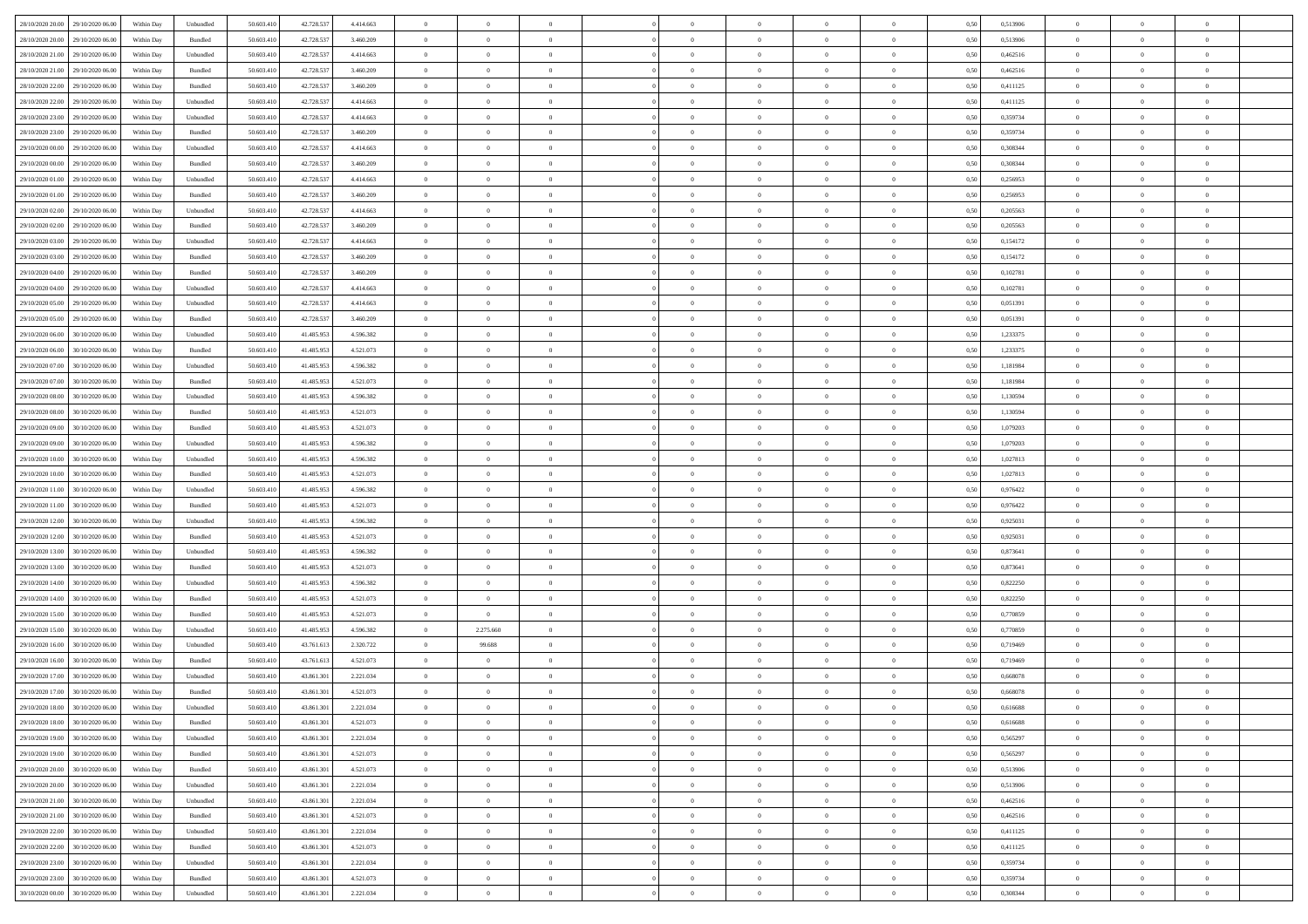| 28/10/2020 20:00 | 29/10/2020 06:00 | Within Day | Unbundled                   | 50.603.410 | 42.728.537 | 4.414.663 | $\overline{0}$ | $\theta$       |                | $\overline{0}$ | $\bf{0}$       | $\overline{0}$ | $\theta$       | 0,50 | 0,513906 | $\theta$       | $\theta$       | $\theta$                 |  |
|------------------|------------------|------------|-----------------------------|------------|------------|-----------|----------------|----------------|----------------|----------------|----------------|----------------|----------------|------|----------|----------------|----------------|--------------------------|--|
| 28/10/2020 20.00 | 29/10/2020 06.00 | Within Day | Bundled                     | 50.603.41  | 42.728.537 | 3.460.209 | $\overline{0}$ | $\theta$       | $\overline{0}$ | $\overline{0}$ | $\,$ 0         | $\bf{0}$       | $\bf{0}$       | 0,50 | 0,513906 | $\,$ 0 $\,$    | $\overline{0}$ | $\overline{0}$           |  |
|                  |                  |            |                             |            |            |           |                |                |                |                |                |                |                |      |          |                |                |                          |  |
| 28/10/2020 21:00 | 29/10/2020 06:00 | Within Day | Unbundled                   | 50.603.410 | 42.728.537 | 4.414.663 | $\overline{0}$ | $\overline{0}$ | $\overline{0}$ | $\overline{0}$ | $\bf{0}$       | $\overline{0}$ | $\mathbf{0}$   | 0.50 | 0.462516 | $\bf{0}$       | $\overline{0}$ | $\overline{0}$           |  |
| 28/10/2020 21:00 | 29/10/2020 06.00 | Within Day | Bundled                     | 50.603.410 | 42.728.537 | 3.460.209 | $\overline{0}$ | $\overline{0}$ | $\overline{0}$ | $\overline{0}$ | $\bf{0}$       | $\overline{0}$ | $\overline{0}$ | 0,50 | 0,462516 | $\,$ 0 $\,$    | $\overline{0}$ | $\overline{0}$           |  |
| 28/10/2020 22.00 | 29/10/2020 06.00 | Within Day | Bundled                     | 50.603.41  | 42.728.537 | 3.460.209 | $\overline{0}$ | $\theta$       | $\overline{0}$ |                | $\overline{0}$ | $\overline{0}$ | $\bf{0}$       | 0,50 | 0,411125 | $\,$ 0 $\,$    | $\overline{0}$ | $\overline{0}$           |  |
| 28/10/2020 22.00 | 29/10/2020 06:00 | Within Day | Unbundled                   | 50.603.410 | 42.728.537 | 4.414.663 | $\overline{0}$ | $\overline{0}$ | $\overline{0}$ | $\overline{0}$ | $\bf{0}$       | $\overline{0}$ | $\overline{0}$ | 0.50 | 0,411125 | $\,0\,$        | $\theta$       | $\overline{0}$           |  |
| 28/10/2020 23:00 | 29/10/2020 06.00 | Within Day | Unbundled                   | 50.603.410 | 42.728.537 | 4.414.663 | $\overline{0}$ | $\overline{0}$ | $\overline{0}$ | $\overline{0}$ | $\,$ 0         | $\overline{0}$ | $\overline{0}$ | 0,50 | 0,359734 | $\,$ 0 $\,$    | $\theta$       | $\overline{0}$           |  |
| 28/10/2020 23:00 | 29/10/2020 06.00 | Within Day | Bundled                     | 50.603.41  | 42.728.537 | 3.460.209 | $\overline{0}$ | $\theta$       | $\overline{0}$ |                | $\bf{0}$       | $\overline{0}$ | $\bf{0}$       | 0,50 | 0,359734 | $\,$ 0 $\,$    | $\overline{0}$ | $\overline{0}$           |  |
| 29/10/2020 00.00 | 29/10/2020 06:00 | Within Day | Unbundled                   | 50.603.410 | 42.728.537 | 4.414.663 | $\overline{0}$ | $\overline{0}$ | $\overline{0}$ | $\overline{0}$ | $\bf{0}$       | $\overline{0}$ | $\bf{0}$       | 0.50 | 0.308344 | $\,0\,$        | $\overline{0}$ | $\overline{0}$           |  |
| 29/10/2020 00:00 | 29/10/2020 06.00 | Within Day | Bundled                     | 50.603.410 | 42.728.537 | 3.460.209 | $\overline{0}$ | $\overline{0}$ | $\overline{0}$ | $\overline{0}$ | $\bf{0}$       | $\overline{0}$ | $\bf{0}$       | 0,50 | 0,308344 | $\,$ 0 $\,$    | $\overline{0}$ | $\overline{0}$           |  |
| 29/10/2020 01:00 | 29/10/2020 06.00 | Within Day | Unbundled                   | 50.603.41  | 42.728.537 | 4.414.663 | $\bf{0}$       | $\theta$       | $\overline{0}$ |                | $\,$ 0         | $\overline{0}$ | $\bf{0}$       | 0,50 | 0,256953 | $\,$ 0 $\,$    | $\overline{0}$ | $\overline{0}$           |  |
|                  | 29/10/2020 06:00 |            | Bundled                     | 50.603.410 |            | 3.460.209 |                | $\overline{0}$ | $\overline{0}$ | $\overline{0}$ |                | $\overline{0}$ |                | 0.50 |          | $\bf{0}$       | $\overline{0}$ | $\bf{0}$                 |  |
| 29/10/2020 01:00 |                  | Within Day |                             |            | 42.728.537 |           | $\overline{0}$ |                |                |                | $\bf{0}$       |                | $\mathbf{0}$   |      | 0,256953 |                |                |                          |  |
| 29/10/2020 02.00 | 29/10/2020 06.00 | Within Day | Unbundled                   | 50.603.410 | 42.728.537 | 4.414.663 | $\overline{0}$ | $\overline{0}$ | $\overline{0}$ | $\overline{0}$ | $\bf{0}$       | $\overline{0}$ | $\overline{0}$ | 0,50 | 0,205563 | $\,$ 0 $\,$    | $\overline{0}$ | $\overline{0}$           |  |
| 29/10/2020 02.00 | 29/10/2020 06.00 | Within Day | Bundled                     | 50.603.41  | 42.728.537 | 3.460.209 | $\overline{0}$ | $\theta$       | $\overline{0}$ |                | $\bf{0}$       | $\overline{0}$ | $\bf{0}$       | 0,50 | 0,205563 | $\,$ 0 $\,$    | $\overline{0}$ | $\overline{0}$           |  |
| 29/10/2020 03:00 | 29/10/2020 06:00 | Within Day | Unbundled                   | 50.603.410 | 42.728.537 | 4.414.663 | $\overline{0}$ | $\overline{0}$ | $\overline{0}$ | $\overline{0}$ | $\,$ 0         | $\overline{0}$ | $\overline{0}$ | 0.50 | 0,154172 | $\,0\,$        | $\theta$       | $\overline{0}$           |  |
| 29/10/2020 03:00 | 29/10/2020 06.00 | Within Day | Bundled                     | 50.603.410 | 42.728.537 | 3.460.209 | $\overline{0}$ | $\overline{0}$ | $\overline{0}$ | $\overline{0}$ | $\bf{0}$       | $\overline{0}$ | $\overline{0}$ | 0,50 | 0,154172 | $\,0\,$        | $\theta$       | $\overline{0}$           |  |
| 29/10/2020 04:00 | 29/10/2020 06.00 | Within Day | Bundled                     | 50.603.41  | 42.728.537 | 3.460.209 | $\overline{0}$ | $\theta$       | $\overline{0}$ |                | $\,$ 0         | $\overline{0}$ | $\bf{0}$       | 0,50 | 0,102781 | $\,$ 0 $\,$    | $\overline{0}$ | $\overline{0}$           |  |
| 29/10/2020 04.00 | 29/10/2020 06:00 | Within Day | Unbundled                   | 50.603.410 | 42.728.537 | 4.414.663 | $\overline{0}$ | $\overline{0}$ | $\overline{0}$ | $\overline{0}$ | $\bf{0}$       | $\overline{0}$ | $\bf{0}$       | 0.50 | 0.102781 | $\,0\,$        | $\overline{0}$ | $\overline{\phantom{a}}$ |  |
| 29/10/2020 05:00 | 29/10/2020 06.00 | Within Day | Unbundled                   | 50.603.410 | 42.728.537 | 4.414.663 | $\overline{0}$ | $\overline{0}$ | $\overline{0}$ | $\overline{0}$ | $\,$ 0         | $\overline{0}$ | $\overline{0}$ | 0,50 | 0,051391 | $\,$ 0 $\,$    | $\overline{0}$ | $\overline{0}$           |  |
| 29/10/2020 05.00 | 29/10/2020 06.00 | Within Day | Bundled                     | 50.603.41  | 42.728.537 | 3.460.209 | $\bf{0}$       | $\,$ 0 $\,$    | $\overline{0}$ | $\overline{0}$ | $\,$ 0         | $\bf{0}$       | $\bf{0}$       | 0,50 | 0,051391 | $\,$ 0 $\,$    | $\overline{0}$ | $\overline{0}$           |  |
| 29/10/2020 06.00 | 30/10/2020 06:00 | Within Day | Unbundled                   | 50.603.410 | 41.485.953 | 4.596.382 | $\overline{0}$ | $\overline{0}$ | $\overline{0}$ | $\overline{0}$ | $\bf{0}$       | $\overline{0}$ | $\mathbf{0}$   | 0.50 | 1,233375 | $\,$ 0 $\,$    | $\overline{0}$ | $\overline{0}$           |  |
| 29/10/2020 06:00 | 30/10/2020 06.00 |            |                             | 50.603.410 | 41.485.953 |           | $\overline{0}$ | $\overline{0}$ | $\overline{0}$ | $\overline{0}$ | $\bf{0}$       | $\overline{0}$ | $\overline{0}$ |      | 1,233375 | $\,$ 0 $\,$    | $\overline{0}$ | $\overline{0}$           |  |
|                  |                  | Within Day | Bundled                     |            |            | 4.521.073 |                |                |                |                |                |                |                | 0,50 |          |                |                |                          |  |
| 29/10/2020 07:00 | 30/10/2020 06.00 | Within Day | Unbundled                   | 50.603.41  | 41.485.953 | 4.596.382 | $\overline{0}$ | $\theta$       | $\overline{0}$ | $\overline{0}$ | $\,$ 0         | $\overline{0}$ | $\bf{0}$       | 0,50 | 1,181984 | $\,$ 0 $\,$    | $\overline{0}$ | $\overline{0}$           |  |
| 29/10/2020 07.00 | 30/10/2020 06:00 | Within Day | Bundled                     | 50.603.410 | 41.485.953 | 4.521.073 | $\overline{0}$ | $\overline{0}$ | $\overline{0}$ | $\overline{0}$ | $\bf{0}$       | $\overline{0}$ | $\bf{0}$       | 0.50 | 1.181984 | $\,0\,$        | $\theta$       | $\overline{0}$           |  |
| 29/10/2020 08:00 | 30/10/2020 06.00 | Within Day | Unbundled                   | 50.603.410 | 41.485.953 | 4.596.382 | $\overline{0}$ | $\overline{0}$ | $\overline{0}$ | $\overline{0}$ | $\bf{0}$       | $\overline{0}$ | $\overline{0}$ | 0,50 | 1,130594 | $\,0\,$        | $\theta$       | $\overline{0}$           |  |
| 29/10/2020 08:00 | 30/10/2020 06.00 | Within Day | Bundled                     | 50.603.41  | 41.485.953 | 4.521.073 | $\overline{0}$ | $\theta$       | $\overline{0}$ |                | $\bf{0}$       | $\overline{0}$ | $\bf{0}$       | 0,50 | 1,130594 | $\,$ 0 $\,$    | $\overline{0}$ | $\overline{0}$           |  |
| 29/10/2020 09:00 | 30/10/2020 06:00 | Within Day | Bundled                     | 50.603.410 | 41.485.953 | 4.521.073 | $\overline{0}$ | $\overline{0}$ | $\overline{0}$ | $\overline{0}$ | $\bf{0}$       | $\overline{0}$ | $\bf{0}$       | 0.50 | 1.079203 | $\,0\,$        | $\overline{0}$ | $\overline{0}$           |  |
| 29/10/2020 09:00 | 30/10/2020 06.00 | Within Day | Unbundled                   | 50.603.410 | 41.485.953 | 4.596.382 | $\overline{0}$ | $\overline{0}$ | $\overline{0}$ | $\overline{0}$ | $\,$ 0         | $\overline{0}$ | $\bf{0}$       | 0,50 | 1,079203 | $\,$ 0 $\,$    | $\overline{0}$ | $\overline{0}$           |  |
| 29/10/2020 10:00 | 30/10/2020 06.00 | Within Day | Unbundled                   | 50.603.41  | 41.485.953 | 4.596.382 | $\overline{0}$ | $\overline{0}$ | $\overline{0}$ | $\overline{0}$ | $\,$ 0         | $\bf{0}$       | $\bf{0}$       | 0,50 | 1,027813 | $\,$ 0 $\,$    | $\overline{0}$ | $\overline{0}$           |  |
| 29/10/2020 10:00 | 30/10/2020 06:00 | Within Day | Bundled                     | 50.603.410 | 41,485.953 | 4.521.073 | $\overline{0}$ | $\bf{0}$       | $\overline{0}$ | $\overline{0}$ | $\bf{0}$       | $\overline{0}$ | $\mathbf{0}$   | 0.50 | 1,027813 | $\bf{0}$       | $\overline{0}$ | $\overline{\phantom{a}}$ |  |
| 29/10/2020 11:00 | 30/10/2020 06:00 | Within Dav | Unbundled                   | 50.603.410 | 41.485.953 | 4.596.382 | $\overline{0}$ | $\overline{0}$ | $\theta$       | $\overline{0}$ | $\overline{0}$ | $\overline{0}$ | $\overline{0}$ | 0.50 | 0,976422 | $\theta$       | $\overline{0}$ | $\overline{0}$           |  |
| 29/10/2020 11:00 | 30/10/2020 06.00 | Within Day | Bundled                     | 50.603.41  | 41.485.953 | 4.521.073 | $\overline{0}$ | $\theta$       | $\overline{0}$ |                | $\,$ 0         | $\overline{0}$ | $\bf{0}$       | 0,50 | 0,976422 | $\,$ 0 $\,$    | $\overline{0}$ | $\overline{0}$           |  |
|                  |                  |            |                             |            |            |           |                |                |                |                |                |                |                |      |          |                |                |                          |  |
| 29/10/2020 12:00 | 30/10/2020 06:00 | Within Day | Unbundled                   | 50.603.410 | 41.485.953 | 4.596.382 | $\overline{0}$ | $\overline{0}$ | $\overline{0}$ | $\overline{0}$ | $\bf{0}$       | $\overline{0}$ | $\bf{0}$       | 0.50 | 0.925031 | $\,0\,$        | $\theta$       | $\overline{0}$           |  |
| 29/10/2020 12:00 | 30/10/2020 06.00 | Within Dav | Bundled                     | 50.603.410 | 41.485.953 | 4.521.073 | $\overline{0}$ | $\overline{0}$ | $\Omega$       | $\Omega$       | $\mathbf{0}$   | $\overline{0}$ | $\overline{0}$ | 0.50 | 0.925031 | $\theta$       | $\overline{0}$ | $\overline{0}$           |  |
| 29/10/2020 13:00 | 30/10/2020 06.00 | Within Day | Unbundled                   | 50.603.41  | 41.485.953 | 4.596.382 | $\overline{0}$ | $\theta$       | $\overline{0}$ |                | $\,$ 0         | $\overline{0}$ | $\bf{0}$       | 0,50 | 0,873641 | $\,$ 0 $\,$    | $\overline{0}$ | $\overline{0}$           |  |
| 29/10/2020 13:00 | 30/10/2020 06:00 | Within Day | Bundled                     | 50.603.410 | 41.485.953 | 4.521.073 | $\overline{0}$ | $\overline{0}$ | $\overline{0}$ | $\overline{0}$ | $\bf{0}$       | $\overline{0}$ | $\bf{0}$       | 0.50 | 0.873641 | $\,0\,$        | $\overline{0}$ | $\overline{0}$           |  |
| 29/10/2020 14:00 | 30/10/2020 06.00 | Within Dav | Unbundled                   | 50.603.410 | 41.485.953 | 4.596.382 | $\overline{0}$ | $\overline{0}$ | $\overline{0}$ | $\overline{0}$ | $\overline{0}$ | $\overline{0}$ | $\overline{0}$ | 0.50 | 0,822250 | $\theta$       | $\overline{0}$ | $\overline{0}$           |  |
| 29/10/2020 14:00 | 30/10/2020 06.00 | Within Day | Bundled                     | 50.603.41  | 41.485.953 | 4.521.073 | $\overline{0}$ | $\overline{0}$ | $\overline{0}$ | $\overline{0}$ | $\bf{0}$       | $\bf{0}$       | $\bf{0}$       | 0,50 | 0,822250 | $\,$ 0 $\,$    | $\overline{0}$ | $\overline{0}$           |  |
| 29/10/2020 15:00 | 30/10/2020 06:00 | Within Day | Bundled                     | 50.603.410 | 41,485.953 | 4.521.073 | $\overline{0}$ | $\overline{0}$ | $\overline{0}$ | $\overline{0}$ | $\bf{0}$       | $\overline{0}$ | $\mathbf{0}$   | 0.50 | 0.770859 | $\,$ 0 $\,$    | $\overline{0}$ | $\overline{0}$           |  |
| 29/10/2020 15:00 | 30/10/2020 06.00 | Within Dav | Unbundled                   | 50.603.410 | 41.485.953 | 4.596.382 | $\overline{0}$ | 2.275.660      | $\Omega$       | $\Omega$       | $\mathbf{0}$   | $\overline{0}$ | $\overline{0}$ | 0.50 | 0,770859 | $\theta$       | $\overline{0}$ | $\overline{0}$           |  |
| 29/10/2020 16:00 | 30/10/2020 06.00 | Within Day | Unbundled                   | 50.603.41  | 43.761.613 | 2.320.722 | $\overline{0}$ | 99.688         | $\overline{0}$ | $\overline{0}$ | $\,$ 0         | $\overline{0}$ | $\bf{0}$       | 0,50 | 0,719469 | $\,$ 0 $\,$    | $\overline{0}$ | $\overline{0}$           |  |
| 29/10/2020 16:00 | 30/10/2020 06:00 | Within Day | Bundled                     | 50.603.410 | 43.761.613 | 4.521.073 | $\overline{0}$ | $\overline{0}$ | $\overline{0}$ | $\overline{0}$ | $\bf{0}$       | $\overline{0}$ | $\overline{0}$ | 0.50 | 0,719469 | $\,0\,$        | $\theta$       | $\overline{0}$           |  |
| 29/10/2020 17:00 | 30/10/2020 06:00 | Within Dav | Unbundled                   | 50.603.410 | 43.861.301 | 2.221.034 | $\overline{0}$ | $\Omega$       | $\Omega$       | $\Omega$       | $\bf{0}$       | $\overline{0}$ | $\Omega$       | 0.50 | 0,668078 | $\theta$       | $\overline{0}$ | $\overline{0}$           |  |
| 29/10/2020 17:00 | 30/10/2020 06.00 | Within Day | Bundled                     | 50.603.41  | 43.861.301 | 4.521.073 | $\overline{0}$ | $\,$ 0 $\,$    | $\overline{0}$ | $\overline{0}$ | $\,$ 0         | $\overline{0}$ | $\bf{0}$       | 0,50 | 0,668078 | $\,$ 0 $\,$    | $\overline{0}$ | $\overline{0}$           |  |
|                  |                  |            |                             |            |            |           |                |                |                |                |                |                |                |      |          |                |                |                          |  |
| 29/10/2020 18:00 | 30/10/2020 06.00 | Within Day | $\ensuremath{\mathsf{Unb}}$ | 50.603.410 | 43.861.301 | 2.221.034 | $\bf{0}$       | $\theta$       |                |                |                |                |                | 0.50 | 0.616688 | $\,$ 0         | $\theta$       |                          |  |
| 29/10/2020 18:00 | 30/10/2020 06:00 | Within Day | Bundled                     | 50.603.410 | 43.861.301 | 4.521.073 | $\Omega$       | $\overline{0}$ | $\Omega$       | $\Omega$       | $\mathbf{0}$   | $\overline{0}$ | $\mathbf{0}$   | 0,50 | 0,616688 | $\theta$       | $\theta$       | $\overline{0}$           |  |
| 29/10/2020 19:00 | 30/10/2020 06.00 | Within Day | Unbundled                   | 50.603.41  | 43.861.301 | 2.221.034 | $\overline{0}$ | $\overline{0}$ | $\overline{0}$ | $\bf{0}$       | $\overline{0}$ | $\overline{0}$ | $\mathbf{0}$   | 0,50 | 0,565297 | $\overline{0}$ | $\overline{0}$ | $\bf{0}$                 |  |
| 29/10/2020 19:00 | 30/10/2020 06:00 | Within Day | Bundled                     | 50,603.410 | 43,861,301 | 4.521.073 | $\overline{0}$ | $\overline{0}$ | $\overline{0}$ | $\overline{0}$ | $\bf{0}$       | $\overline{0}$ | $\mathbf{0}$   | 0.50 | 0.565297 | $\overline{0}$ | $\bf{0}$       | $\bf{0}$                 |  |
| 29/10/2020 20:00 | 30/10/2020 06:00 | Within Day | Bundled                     | 50.603.410 | 43.861.301 | 4.521.073 | $\overline{0}$ | $\overline{0}$ | $\overline{0}$ | $\overline{0}$ | $\mathbf{0}$   | $\overline{0}$ | $\mathbf{0}$   | 0.50 | 0,513906 | $\overline{0}$ | $\theta$       | $\overline{0}$           |  |
| 29/10/2020 20:00 | 30/10/2020 06.00 | Within Day | Unbundled                   | 50.603.410 | 43.861.301 | 2.221.034 | $\overline{0}$ | $\overline{0}$ | $\overline{0}$ | $\overline{0}$ | $\bf{0}$       | $\bf{0}$       | $\bf{0}$       | 0,50 | 0,513906 | $\bf{0}$       | $\overline{0}$ | $\overline{0}$           |  |
| 29/10/2020 21.00 | 30/10/2020 06:00 | Within Day | Unbundled                   | 50.603.410 | 43,861,301 | 2.221.034 | $\overline{0}$ | $\overline{0}$ | $\overline{0}$ | $\overline{0}$ | $\bf{0}$       | $\overline{0}$ | $\mathbf{0}$   | 0.50 | 0.462516 | $\,$ 0 $\,$    | $\theta$       | $\overline{0}$           |  |
| 29/10/2020 21:00 | 30/10/2020 06:00 | Within Day | Bundled                     | 50.603.410 | 43.861.301 | 4.521.073 | $\overline{0}$ | $\overline{0}$ | $\overline{0}$ | $\overline{0}$ | $\overline{0}$ | $\overline{0}$ | $\overline{0}$ | 0,50 | 0,462516 | $\overline{0}$ | $\theta$       | $\overline{0}$           |  |
| 29/10/2020 22.00 | 30/10/2020 06.00 | Within Day | Unbundled                   | 50.603.41  | 43.861.301 | 2.221.034 | $\overline{0}$ | $\,$ 0         | $\overline{0}$ | $\bf{0}$       | $\,$ 0 $\,$    | $\bf{0}$       | $\bf{0}$       | 0,50 | 0,411125 | $\,$ 0 $\,$    | $\overline{0}$ | $\,$ 0                   |  |
| 29/10/2020 22.00 | 30/10/2020 06:00 | Within Day | Bundled                     | 50.603.410 | 43,861,301 | 4.521.073 | $\overline{0}$ | $\overline{0}$ | $\overline{0}$ | $\overline{0}$ | $\bf{0}$       | $\overline{0}$ | $\mathbf{0}$   | 0.50 | 0.411125 | $\mathbf{0}$   | $\,$ 0 $\,$    | $\overline{0}$           |  |
|                  |                  |            |                             |            |            |           |                |                |                |                |                |                |                |      |          |                |                |                          |  |
| 29/10/2020 23.00 | 30/10/2020 06:00 | Within Day | Unbundled                   | 50.603.410 | 43.861.301 | 2.221.034 | $\overline{0}$ | $\overline{0}$ | $\overline{0}$ | $\overline{0}$ | $\overline{0}$ | $\overline{0}$ | $\overline{0}$ | 0,50 | 0,359734 | $\overline{0}$ | $\theta$       | $\overline{0}$           |  |
| 29/10/2020 23.00 | 30/10/2020 06.00 | Within Day | Bundled                     | 50.603.41  | 43.861.301 | 4.521.073 | $\overline{0}$ | $\overline{0}$ | $\overline{0}$ | $\overline{0}$ | $\bf{0}$       | $\bf{0}$       | $\bf{0}$       | 0,50 | 0,359734 | $\bf{0}$       | $\,$ 0 $\,$    | $\bf{0}$                 |  |
| 30/10/2020 00:00 | 30/10/2020 06:00 | Within Day | Unbundled                   | 50.603.410 | 43.861.301 | 2.221.034 | $\overline{0}$ | $\overline{0}$ | $\overline{0}$ | $\overline{0}$ | $\bf{0}$       | $\overline{0}$ | $\,$ 0 $\,$    | 0,50 | 0,308344 | $\overline{0}$ | $\,$ 0 $\,$    | $\,$ 0 $\,$              |  |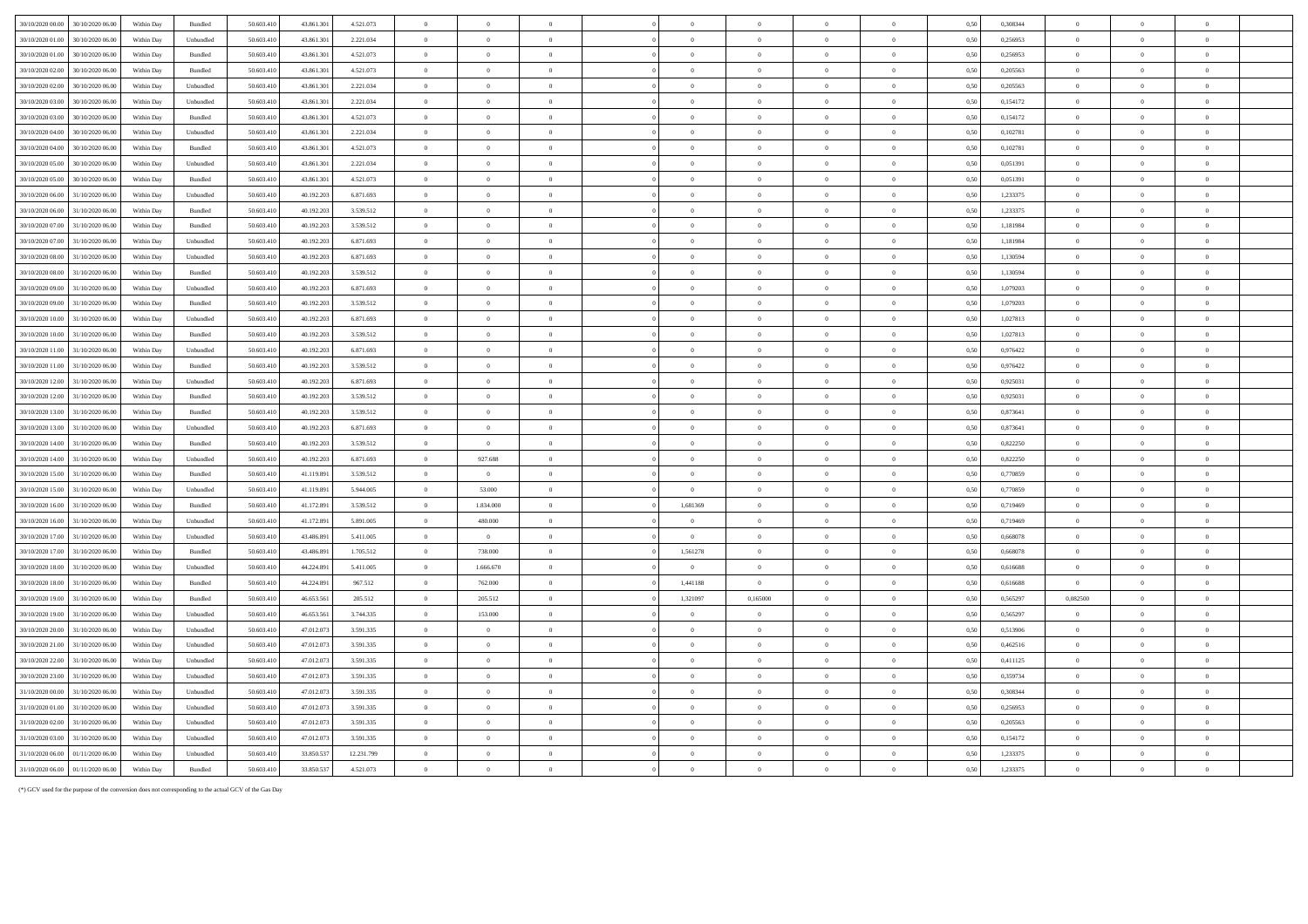| 30/10/2020 00.00                     | 30/10/2020 06.00                     | Within Day               | Bundled              | 50.603.410              | 43.861.301              | 4.521.073              | $\overline{0}$                   | $\Omega$                  | $\Omega$                         |                            |                                  |                                  | $\Omega$                         | 0.50         | 0,308344             | $\overline{0}$                   |                            |                                  |  |
|--------------------------------------|--------------------------------------|--------------------------|----------------------|-------------------------|-------------------------|------------------------|----------------------------------|---------------------------|----------------------------------|----------------------------|----------------------------------|----------------------------------|----------------------------------|--------------|----------------------|----------------------------------|----------------------------|----------------------------------|--|
| 30/10/2020 01:00                     | 30/10/2020 06:00                     | Within Dav               | Unbundled            | 50.603.41               | 43,861,30               | 2.221.034              | $\overline{0}$                   | $\overline{0}$            | $\overline{0}$                   | $\overline{0}$             | $\bf{0}$                         | $\overline{0}$                   | $\overline{0}$                   | 0.50         | 0.256953             | $\overline{0}$                   | $\Omega$                   | $\Omega$                         |  |
| 30/10/2020 01:00                     | 30/10/2020 06:00                     | Within Day               | <b>Bundled</b>       | 50 603 410              | 43 861 30               | 4 521 073              | $\overline{0}$                   | $\Omega$                  | $\theta$                         | $\Omega$                   | $\Omega$                         | $\Omega$                         | $\theta$                         | 0.50         | 0.256953             | $\Omega$                         | $\theta$                   | $\theta$                         |  |
| 30/10/2020 02:00                     | 30/10/2020 06:00                     | Within Day               | Bundled              | 50 603 410              | 43 861 30               | 4 521 073              | $\overline{0}$                   | $\Omega$                  | $\overline{0}$                   | $\overline{0}$             | $\mathbf{0}$                     | $\Omega$                         | $\theta$                         | 0.50         | 0.205563             | $\overline{0}$                   | $\theta$                   | $\theta$                         |  |
| 30/10/2020 02:00                     | 30/10/2020 06:00                     | Within Day               | Unbundled            | 50.603.410              | 43.861.30               | 2.221.034              | $\overline{0}$                   | $\overline{0}$            | $\overline{0}$                   | $\overline{0}$             | $\Omega$                         | $\Omega$                         | $\overline{0}$                   | 0.50         | 0.205563             | $\overline{0}$                   | $\Omega$                   | $\theta$                         |  |
| 30/10/2020 03:00                     | 30/10/2020 06:00                     | Within Day               | Unbundled            | 50.603.41               | 43,861,30               | 2.221.034              | $\overline{0}$                   | $\overline{0}$            | $\overline{0}$                   | $\overline{0}$             | $\overline{0}$                   | $\overline{0}$                   | $\overline{0}$                   | 0.50         | 0,154172             | $\overline{0}$                   | $\theta$                   | $\overline{0}$                   |  |
| 30/10/2020 03:00                     | 30/10/2020 06:00                     | Within Day               | Bundled              | 50,603,410              | 43.861.30               | 4.521.073              | $\bf{0}$                         | $\overline{0}$            | $\overline{0}$                   | $\overline{0}$             | $\overline{0}$                   | $\overline{0}$                   | $\overline{0}$                   | 0.50         | 0.154172             | $\bf{0}$                         | $\theta$                   | $\overline{0}$                   |  |
| 30/10/2020 04:00                     | 30/10/2020 06.00                     | Within Day               | Unbundled            | 50.603.410              | 43.861.301              | 2.221.034              | $\overline{0}$                   | $\overline{0}$            | $\overline{0}$                   | $\overline{0}$             | $\mathbf{0}$                     | $\overline{0}$                   | $\mathbf{0}$                     | 0,50         | 0,102781             | $\overline{0}$                   | $\overline{0}$             | $\overline{0}$                   |  |
| 30/10/2020 04:00                     | 30/10/2020 06:00                     | Within Day               | Bundled              | 50.603.410              | 43,861.30               | 4.521.073              | $\,$ 0 $\,$                      | $\overline{0}$            | $\overline{0}$                   | $\overline{0}$             | $\mathbf{0}$                     | $\overline{0}$                   | $\overline{0}$                   | 0.50         | 0,102781             | $\overline{0}$                   | $\overline{0}$             | $\overline{0}$                   |  |
| 30/10/2020 05:00                     | 30/10/2020 06:00                     | Within Day               | Unbundled            | 50.603.410              | 43.861.30               | 2.221.034              | $\overline{0}$                   | $\overline{0}$            | $\overline{0}$                   | $\overline{0}$             | $\mathbf{0}$                     | $\theta$                         | $\overline{0}$                   | 0,50         | 0,051391             | $\overline{0}$                   | $\overline{0}$             | $\overline{0}$                   |  |
| 30/10/2020 05:00                     | 30/10/2020 06.00                     | Within Day               | Bundled              | 50.603.410              | 43.861.30               | 4.521.073              | $\,$ 0 $\,$                      | $\,$ 0 $\,$               | $\overline{0}$                   | $\overline{0}$             | $\overline{0}$                   | $\overline{0}$                   | $\overline{0}$                   | 0,50         | 0,051391             | $\overline{0}$                   | $\overline{0}$             | $\overline{0}$                   |  |
| 30/10/2020 06:00                     | 31/10/2020 06:00                     | Within Day               | Unbundled            | 50.603.410              | 40.192.203              | 6.871.693              | $\overline{0}$                   | $\theta$                  | $\overline{0}$                   | $\overline{0}$             | $\mathbf{0}$                     | $\theta$                         | $\overline{0}$                   | 0.50         | 1,233375             | $\overline{0}$                   | $\theta$                   | $\overline{0}$                   |  |
| 30/10/2020 06.00                     | 31/10/2020 06:00                     | Within Day               | Bundled              | 50.603.410              | 40.192.203              | 3.539.512              | $\overline{0}$                   | $\theta$                  | $\overline{0}$                   | $\overline{0}$             | $\mathbf{0}$                     | $\overline{0}$                   | $\overline{0}$                   | 0.50         | 1,233375             | $\overline{0}$                   | $\Omega$                   | $\overline{0}$                   |  |
| 30/10/2020 07:00                     | 31/10/2020 06:00                     | Within Dav               | Bundled              | 50,603.41               | 40.192.203              | 3.539.512              | $\overline{0}$                   | $\overline{0}$            | $\overline{0}$                   | $\overline{0}$             | $\bf{0}$                         | $\overline{0}$                   | $\overline{0}$                   | 0.50         | 1.181984             | $\overline{0}$                   | $\overline{0}$             | $\overline{0}$                   |  |
| 30/10/2020 07:00                     | 31/10/2020 06:00                     | Within Dav               | Unbundled            | 50 603 410              | 40.192.201              | 6.871.693              | $\overline{0}$                   | $\theta$                  | $\theta$                         | $\Omega$                   | $\Omega$                         | $\Omega$                         | $\overline{0}$                   | 0.50         | 1.181984             | $\Omega$                         | $\theta$                   | $\theta$                         |  |
| 30/10/2020 08:00                     | 31/10/2020 06:00                     | Within Day               | Unbundled            | 50.603.410              | 40 192 20               | 6.871.693              | $\overline{0}$                   | $\Omega$                  | $\overline{0}$                   | $\overline{0}$             | $\theta$                         | $\Omega$                         | $\overline{0}$                   | 0.50         | 1.130594             | $\overline{0}$                   | $\theta$                   | $\theta$                         |  |
| 30/10/2020 08:00                     | 31/10/2020 06:0                      | Within Day               | Bundled              | 50 603 41               | 40.192.20               | 3.539.512              | $\overline{0}$                   | $\theta$                  | $\theta$                         | $\Omega$                   | $\theta$                         | $\Omega$                         | $\overline{0}$                   | 0,50         | 1,130594             | $\Omega$                         | $\theta$                   | $\sqrt{2}$                       |  |
| 30/10/2020 09:00                     | 31/10/2020 06.00                     | Within Day               | Unbundled            | 50.603.41               | 40.192.20               | 6.871.693              | $\overline{0}$                   | $\,$ 0 $\,$               | $\,$ 0 $\,$                      | $\overline{0}$             | $\bf{0}$                         | $\overline{0}$                   | $\overline{0}$                   | 0,50         | 1,079203             | $\overline{0}$                   | $\overline{0}$             | $\overline{0}$                   |  |
| 30/10/2020 09:00                     | 31/10/2020 06.0                      | Within Day               | $\mathbf B$ undled   | 50.603.41               | 40.192.20               | 3.539.512              | $\overline{0}$                   | $\,$ 0 $\,$               | $\overline{0}$                   | $\overline{0}$             | $\theta$                         | $\overline{0}$                   | $\overline{0}$                   | 0,50         | 1,079203             | $\overline{0}$                   | $\overline{0}$             | $\theta$                         |  |
| 30/10/2020 10:00                     | 31/10/2020 06.0                      | Within Day               | Unbundled            | 50.603.41               | 40.192.20               | 6.871.693              | $\overline{0}$                   | $\overline{0}$            | $\theta$                         | $\overline{0}$             | $\overline{0}$                   | $\overline{0}$                   | $\overline{0}$                   | 0,50         | 1,027813             | $\overline{0}$                   | $\overline{0}$             | $\overline{0}$                   |  |
| 30/10/2020 10:00                     | 31/10/2020 06.00                     | Within Day               | Bundled              | 50.603.410              | 40.192.203              | 3.539.512              | $\,$ 0 $\,$                      | $\overline{0}$            | $\,$ 0 $\,$                      | $\theta$                   | $\overline{0}$                   | $\overline{0}$                   | $\,$ 0 $\,$                      | 0,50         | 1,027813             | $\overline{0}$                   | $\overline{0}$             |                                  |  |
| 30/10/2020 11:00                     | 31/10/2020 06.0                      | Within Day               | Unbundled            | 50.603.41               | 40.192.203              | 6.871.693              | $\overline{0}$                   | $\overline{0}$            | $\theta$                         | $\theta$                   | $\overline{0}$                   | $\overline{0}$                   | $\overline{0}$                   | 0,50         | 0,976422             | $\overline{0}$                   |                            | $\bf{0}$                         |  |
| 30/10/2020 11:00                     | 31/10/2020 06:00                     | Within Day               | $\mathbf B$ undled   | 50.603.410              | 40.192.203              | 3.539.512              | $\,$ 0 $\,$                      | $\theta$                  | $\overline{0}$                   | $\theta$                   | $\Omega$                         | $\overline{0}$                   | $\mathbf{0}$                     | 0.50         | 0,976422             | $\overline{0}$                   | $\Omega$                   | $\Omega$                         |  |
| 30/10/2020 12:00                     | 31/10/2020 06:00                     | Within Dav               | Unbundled            | 50.603.410              | 40.192.203              | 6.871.693              | $\overline{0}$                   | $\overline{0}$            | $\overline{0}$                   | $\overline{0}$             | $\bf{0}$                         | $\overline{0}$                   | $\overline{0}$                   | 0.50         | 0.925031             | $\overline{0}$                   | $\overline{0}$             | $\bf{0}$                         |  |
| 30/10/2020 12:00                     | 31/10/2020 06:00                     | Within Dav               | Bundled              | 50.603.410              | 40.192.203              | 3.539.512              | $\overline{0}$                   | $\overline{0}$            | $\overline{0}$                   | $\overline{0}$             | $\bf{0}$                         | $\overline{0}$                   | $\overline{0}$                   | 0.50         | 0.925031             | $\overline{0}$                   | $\overline{0}$             | $\overline{0}$                   |  |
| 30/10/2020 13:00                     | 31/10/2020 06:00                     | Within Day               | <b>Bundled</b>       | 50.603.410              | 40 192 20               | 3 539 512              | $\overline{0}$                   | $\Omega$                  | $\Omega$                         | $\Omega$                   | $\theta$                         | $\Omega$                         | $\theta$                         | 0.50         | 0.873641             | $\Omega$                         | $\Omega$                   | $\theta$                         |  |
| 30/10/2020 13:00                     | 31/10/2020 06:00                     | Within Day               | Unbundled            | 50 603 410              | 40.192.203              | 6.871.693              | $\overline{0}$                   | $\overline{0}$            | $\overline{0}$                   | $\overline{0}$             | $\bf{0}$                         | $\overline{0}$                   | $\overline{0}$                   | 0.50         | 0.873641             | $\overline{0}$                   | $\theta$                   | $\overline{0}$                   |  |
| 30/10/2020 14:00                     | 31/10/2020 06:00                     | Within Day               | Bundled              | 50 603 410              | 40.192.203              | 3.539.512              | $\overline{0}$                   | $\overline{0}$            | $\overline{0}$                   | $\overline{0}$             | $\Omega$                         | $\Omega$                         | $\theta$                         | 0.50         | 0.822250             | $\overline{0}$                   | $\theta$                   | $\theta$                         |  |
| 30/10/2020 14:00                     | 31/10/2020 06:00                     | Within Dav               | Unbundled            | 50.603.410              | 40.192.203              | 6.871.693              | $\overline{0}$                   | 927.688                   | $\overline{0}$                   | $\,$ 0 $\,$                | $\overline{0}$                   | $\,$ 0 $\,$                      | $\,$ 0 $\,$                      | 0.50         | 0.822250             | $\overline{0}$                   | $\Omega$                   | $\overline{0}$                   |  |
| 30/10/2020 15:00                     | 31/10/2020 06.00                     | Within Day               | $\mathbf B$ undled   | 50.603.410              | 41.119.891              | 3.539.512              | $\overline{0}$                   | $\overline{0}$            | $\overline{0}$                   | $\overline{0}$             | $\bf{0}$                         | $\overline{0}$                   | $\,$ 0 $\,$                      | 0,50         | 0,770859             | $\overline{0}$                   | $\overline{0}$             | $\overline{0}$                   |  |
| 30/10/2020 15:00                     | 31/10/2020 06:00                     | Within Day               | Unbundled            | 50.603.410              | 41.119.891              | 5.944.005              | $\,$ 0 $\,$                      | 53.000                    | $\,$ 0 $\,$                      | $\overline{0}$             | $\mathbf{0}$                     | $\theta$                         | $\overline{0}$                   | 0,50         | 0,770859             | $\overline{0}$                   | $\overline{0}$             | $\overline{0}$                   |  |
| 30/10/2020 16:00                     | 31/10/2020 06:00                     | Within Day               | Bundled              | 50.603.410              | 41.172.89               | 3.539.512              | $\overline{0}$                   | 1.834.000                 | $\overline{0}$                   | 1,681369                   | $\mathbf{0}$                     | $\overline{0}$                   | $\overline{0}$                   | 0.50         | 0,719469             | $\overline{0}$                   | $\overline{0}$             | $\overline{0}$                   |  |
| 30/10/2020 16:00                     | 31/10/2020 06.00                     | Within Day               | Unbundled            | 50.603.410              | 41.172.891              | 5.891.005              | $\,$ 0 $\,$                      | 480.000                   | $\,$ 0 $\,$                      | $\overline{0}$             | $\mathbf{0}$                     | $\,$ 0 $\,$                      | $\,$ 0 $\,$                      | 0,50         | 0,719469             | $\overline{0}$                   | $\overline{0}$             | $\overline{0}$                   |  |
| 30/10/2020 17:00<br>30/10/2020 17:00 | 31/10/2020 06:00<br>31/10/2020 06:00 | Within Day<br>Within Day | Unbundled<br>Bundled | 50,603.41<br>50.603.410 | 43,486.89<br>43.486.891 | 5.411.005<br>1.705.512 | $\overline{0}$<br>$\overline{0}$ | $\overline{0}$<br>738.000 | $\overline{0}$<br>$\overline{0}$ | $\overline{0}$<br>1,561278 | $\overline{0}$<br>$\overline{0}$ | $\overline{0}$<br>$\overline{0}$ | $\overline{0}$<br>$\overline{0}$ | 0.50<br>0.50 | 0.668078<br>0,668078 | $\overline{0}$<br>$\overline{0}$ | $\Omega$<br>$\overline{0}$ | $\overline{0}$<br>$\overline{0}$ |  |
| 30/10/2020 18:00                     | 31/10/2020 06:00                     | Within Day               | Unbundled            | 50.603.410              | 44 224 89               | 5411005                | $\overline{0}$                   | 1 666 670                 | $\overline{0}$                   | $\theta$                   | $\theta$                         | $\Omega$                         | $\overline{0}$                   | 0.50         | 0.616688             | $\Omega$                         | $\Omega$                   | $\sqrt{2}$                       |  |
| 30/10/2020 18:00                     | 31/10/2020 06:00                     | Within Dav               | <b>Bundled</b>       | 50 603 410              | 44.224.89               | 967.512                | $\overline{0}$                   | 762.000                   | $\overline{0}$                   | 1.441188                   | $\Omega$                         | $\Omega$                         | $\overline{0}$                   | 0.50         | 0.616688             | $\overline{0}$                   | $\theta$                   | $\overline{0}$                   |  |
| 30/10/2020 19:00                     | 31/10/2020 06:00                     | Within Day               | <b>Bundled</b>       | 50 603 410              | 46.653.563              | 205.512                | $\theta$                         | 205.512                   | $\overline{0}$                   | 1,321097                   | 0.165000                         | $\theta$                         | $\theta$                         | 0.50         | 0.565297             | 0.082500                         | $\theta$                   | $\theta$                         |  |
| 30/10/2020 19:00                     | 31/10/2020 06:00                     | Within Dav               | Unbundled            | 50.603.41               | 46,653.56               | 3.744.335              | $\overline{0}$                   | 153,000                   | $\overline{0}$                   | $\overline{0}$             | $\Omega$                         | $\overline{0}$                   | $\bf{0}$                         | 0.50         | 0.565297             | $\overline{0}$                   | $\overline{0}$             | $\overline{0}$                   |  |
| 30/10/2020 20.00                     | 31/10/2020 06.00                     | Within Day               | Unbundled            | 50.603.41               | 47.012.07               | 3.591.335              | $\overline{0}$                   | $\,$ 0 $\,$               | $\overline{0}$                   | $\overline{0}$             | $\overline{0}$                   | $\overline{0}$                   | $\overline{0}$                   | 0,50         | 0,513906             | $\overline{0}$                   | $\overline{0}$             | $\theta$                         |  |
| 30/10/2020 21:00                     | 31/10/2020 06.00                     | Within Day               | Unbundled            | 50.603.41               | 47.012.07               | 3.591.335              | $\overline{0}$                   | $\,$ 0 $\,$               | $\,$ 0 $\,$                      | $\overline{0}$             | $\theta$                         | $\overline{0}$                   | $\overline{0}$                   | 0,50         | 0,462516             | $\overline{0}$                   | $\overline{0}$             | $\,$ 0 $\,$                      |  |
| 30/10/2020 22.00                     | 31/10/2020 06.0                      | Within Day               | Unbundled            | 50.603.41               | 47.012.07               | 3.591.335              | $\overline{0}$                   | $\theta$                  | $\overline{0}$                   | $\overline{0}$             | $\overline{0}$                   | $\overline{0}$                   | $\overline{0}$                   | 0,50         | 0,411125             | $\overline{0}$                   | $\overline{0}$             | $\overline{0}$                   |  |
| 30/10/2020 23:00                     | 31/10/2020 06.00                     | Within Day               | Unbundled            | 50.603.41               | 47.012.073              | 3.591.335              | $\overline{0}$                   | $\overline{0}$            | $\overline{0}$                   | $\overline{0}$             | $\overline{0}$                   | $\overline{0}$                   | $\overline{0}$                   | 0,50         | 0,359734             | $\overline{0}$                   | $\overline{0}$             | $\overline{0}$                   |  |
| 31/10/2020 00:00                     | 31/10/2020 06.0                      | Within Day               | Unbundled            | 50.603.410              | 47.012.073              | 3.591.335              | $\,$ 0 $\,$                      | $\overline{0}$            | $\overline{0}$                   | $\theta$                   | $\overline{0}$                   | $\overline{0}$                   | $\,$ 0 $\,$                      | 0,50         | 0,308344             | $\overline{0}$                   | $\overline{0}$             |                                  |  |
| 31/10/2020 01:00                     | 31/10/2020 06:00                     | Within Day               | Unbundled            | 50.603.410              | 47.012.073              | 3.591.335              | $\overline{0}$                   | $\theta$                  | $\overline{0}$                   | $\overline{0}$             | $\bf{0}$                         | $\overline{0}$                   | $\overline{0}$                   | 0.50         | 0,256953             | $\overline{0}$                   | $\theta$                   | $\overline{0}$                   |  |
| 31/10/2020 02:00                     | 31/10/2020 06:00                     | Within Dav               | Unbundled            | 50,603.41               | 47.012.073              | 3.591.335              | $\overline{0}$                   | $\overline{0}$            | $\overline{0}$                   | $\theta$                   | $\bf{0}$                         | $\overline{0}$                   | $\overline{0}$                   | 0.50         | 0,205563             | $\overline{0}$                   | $\Omega$                   | $\Omega$                         |  |
| 31/10/2020 03:00                     | 31/10/2020 06:00                     | Within Dav               | Unbundled            | 50.603.410              | 47.012.073              | 3.591.335              | $\overline{0}$                   | $\overline{0}$            | $\theta$                         | $\theta$                   | $\bf{0}$                         | $\overline{0}$                   | $\overline{0}$                   | 0.50         | 0.154172             | $\overline{0}$                   | $\Omega$                   | $\theta$                         |  |
| 31/10/2020 06:00                     | 01/11/2020 06:00                     | Within Day               | Unbundled            | 50 603 410              | 33.850.537              | 12.231.799             | $\overline{0}$                   | $\Omega$                  | $\Omega$                         | $\Omega$                   | $\theta$                         | $\theta$                         | $\theta$                         | 0.50         | 1.233375             | $\Omega$                         | $\Omega$                   | $\theta$                         |  |
| 31/10/2020 06.00                     | 01/11/2020 06:00                     | Within Day               | Bundled              | 50.603.410              | 33,850,537              | 4.521.073              | $\overline{0}$                   | $\overline{0}$            | $\theta$                         | $\overline{0}$             | $\Omega$                         | $\Omega$                         | $\Omega$                         | 0,50         | 1.233375             | $\overline{0}$                   | $\theta$                   | $\overline{0}$                   |  |

(\*) GCV used for the purpose of the conversion does not corresponding to the actual GCV of the Gas Day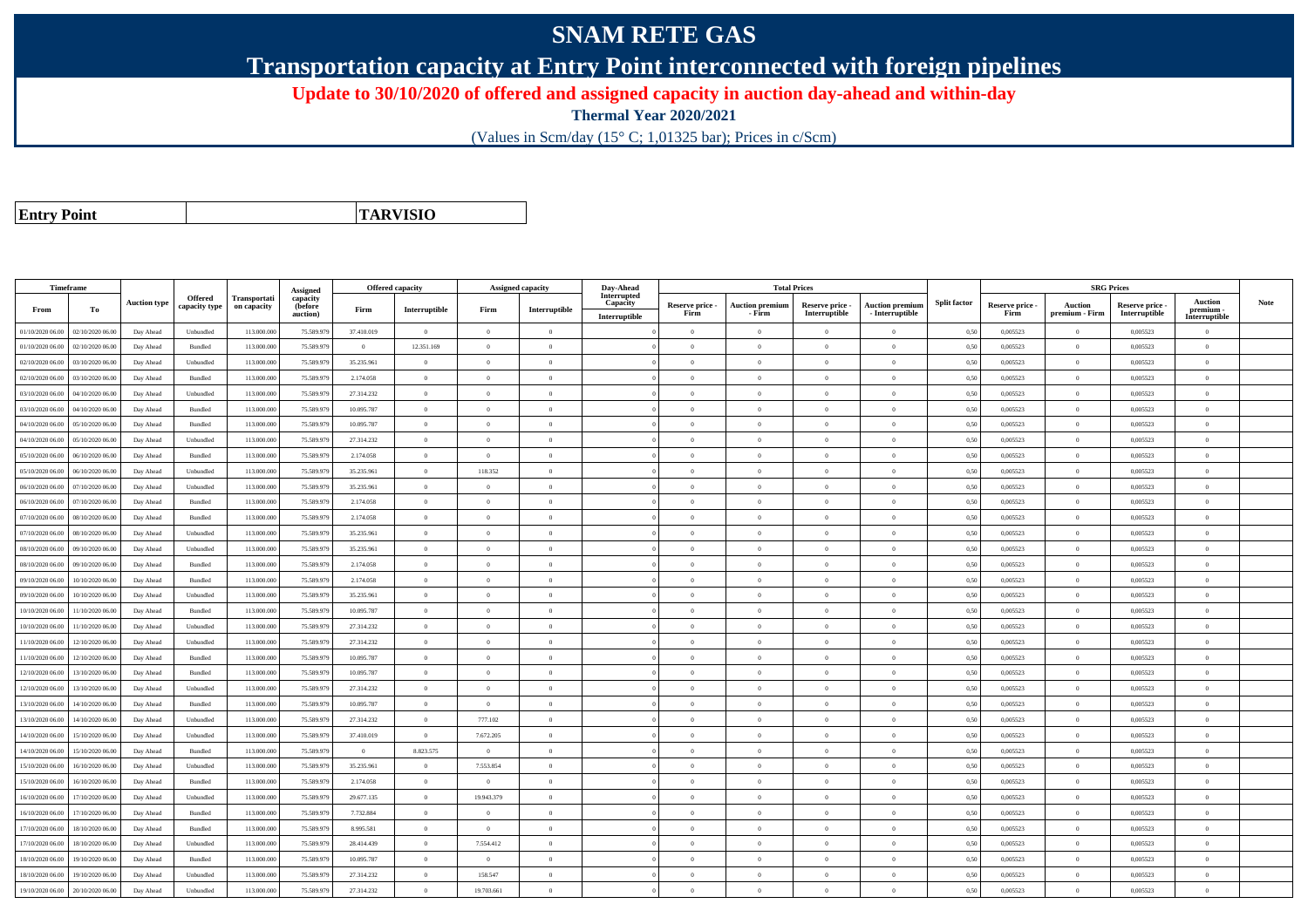## **SNAM RETE GAS**

**Transportation capacity at Entry Point interconnected with foreign pipelines**

**Update to 30/10/2020 of offered and assigned capacity in auction day-ahead and within-day**

**Thermal Year 2020/2021**

(Values in Scm/day (15° C; 1,01325 bar); Prices in c/Scm)

**Entry Point**

**TARVISIO**

| Timeframe        |                  |                     |                                 |                             | Assigned            | <b>Offered capacity</b> |                |                | <b>Assigned capacity</b> | Day-Ahead               |                 | <b>Total Prices</b>    |                 |                        |                     |                 | <b>SRG Prices</b> |                 |                            |             |
|------------------|------------------|---------------------|---------------------------------|-----------------------------|---------------------|-------------------------|----------------|----------------|--------------------------|-------------------------|-----------------|------------------------|-----------------|------------------------|---------------------|-----------------|-------------------|-----------------|----------------------------|-------------|
|                  |                  | <b>Auction type</b> | <b>Offered</b><br>capacity type | Transportati<br>on capacity | capacity<br>(before |                         |                |                |                          | Interrupted<br>Capacity | Reserve price - | <b>Auction premium</b> | Reserve price - | <b>Auction premium</b> | <b>Split factor</b> | Reserve price - | <b>Auction</b>    | Reserve price - | Auction                    | <b>Note</b> |
| From             | To               |                     |                                 |                             | auction)            | Firm                    | Interruptible  | Firm           | Interruptible            | Interruptible           | Firm            | - Firm                 | Interruptible   | $-$ Interruptible      |                     | Firm            | premium - Firm    | Interruptible   | premium -<br>Interruptible |             |
| 01/10/2020 06.00 | 02/10/2020 06.00 | Day Ahead           | Unbundled                       | 113.000.000                 | 75.589.979          | 37.410.019              | $\overline{0}$ | $\overline{0}$ | $\overline{0}$           |                         | $\overline{0}$  | $\theta$               | $\overline{0}$  | $\Omega$               | 0,50                | 0,005523        | $\overline{0}$    | 0,005523        | $\bf{0}$                   |             |
| 01/10/2020 06.00 | 02/10/2020 06.00 | Day Ahead           | Bundled                         | 113,000,000                 | 75.589.979          | $\Omega$                | 12.351.169     | $\Omega$       | $\Omega$                 |                         | $\Omega$        |                        | $\theta$        | $\Omega$               | 0.50                | 0.005523        | $\Omega$          | 0.005523        | $\theta$                   |             |
| 02/10/2020 06.00 | 03/10/2020 06.00 | Day Ahead           | Unbundled                       | 113.000.000                 | 75.589.979          | 35.235.961              | $\overline{0}$ | $\overline{0}$ | $\Omega$                 |                         | $\Omega$        | $\theta$               | $\overline{0}$  | $\Omega$               | 0,50                | 0,005523        | $\overline{0}$    | 0,005523        | $\bf{0}$                   |             |
| 02/10/2020 06.00 | 03/10/2020 06.00 | Day Ahead           | Bundled                         | 113.000.000                 | 75.589.979          | 2.174.058               | $\overline{0}$ | $\overline{0}$ | $\overline{0}$           |                         | $\overline{0}$  | $\overline{0}$         | $\overline{0}$  | $\overline{0}$         | 0,50                | 0,005523        | $\overline{0}$    | 0,005523        | $\bf{0}$                   |             |
| 03/10/2020 06:00 | 04/10/2020 06.00 | Day Ahead           | Unbundled                       | 113.000.000                 | 75.589.979          | 27.314.232              | $\overline{0}$ | $\overline{0}$ | $\overline{0}$           |                         | $\overline{0}$  | $\theta$               | $\overline{0}$  | $\overline{0}$         | 0.50                | 0.005523        | $\overline{0}$    | 0.005523        | $\Omega$                   |             |
| 03/10/2020 06.00 | 04/10/2020 06.00 | Day Ahead           | Bundled                         | 113.000.000                 | 75.589.979          | 10.095.787              | $\overline{0}$ | $\overline{0}$ | $\overline{0}$           |                         | $\theta$        | $\theta$               | $\overline{0}$  | $\mathbf{0}$           | 0,50                | 0,005523        | $\overline{0}$    | 0,005523        | $\bf{0}$                   |             |
| 04/10/2020 06.00 | 05/10/2020 06.00 | Day Ahead           | Bundled                         | 113.000.000                 | 75.589.979          | 10.095.787              | $\overline{0}$ | $\theta$       | $\overline{0}$           |                         | $\Omega$        | $\theta$               | $\overline{0}$  | $\mathbf{0}$           | 0,50                | 0,005523        | $\overline{0}$    | 0,005523        | $\Omega$                   |             |
| 04/10/2020 06.00 | 05/10/2020 06:00 | Day Ahead           | Unbundled                       | 113.000.000                 | 75.589.979          | 27.314.232              | $\overline{0}$ | $\Omega$       | $\Omega$                 |                         | $\Omega$        | $\sqrt{2}$             | $\Omega$        | $\Omega$               | 0.50                | 0.005523        | $\overline{0}$    | 0,005523        | $\Omega$                   |             |
| 05/10/2020 06:00 | 06/10/2020 06:00 | Day Ahead           | Bundled                         | 113.000.000                 | 75.589.97           | 2.174.058               | $\theta$       | $\Omega$       | $\theta$                 |                         | $\Omega$        |                        | $\theta$        | $\theta$               | 0.50                | 0,005523        | $\Omega$          | 0,005523        | $\Omega$                   |             |
| 05/10/2020 06.00 | 06/10/2020 06:00 | Day Ahead           | Unbundled                       | 113.000.000                 | 75.589.979          | 35.235.961              | $\overline{0}$ | 118.352        | $\overline{0}$           |                         | $\overline{0}$  | $\theta$               | $\overline{0}$  | $\overline{0}$         | 0,50                | 0,005523        | $\overline{0}$    | 0.005523        | $\bf{0}$                   |             |
| 06/10/2020 06:00 | 07/10/2020 06.00 | Day Ahead           | Unbundled                       | 113.000.000                 | 75.589.979          | 35.235.961              | $\overline{0}$ | $\overline{0}$ | $\overline{0}$           |                         | $\overline{0}$  | $\bf{0}$               | $\overline{0}$  | $\bf{0}$               | 0,50                | 0,005523        | $\overline{0}$    | 0,005523        | $\overline{0}$             |             |
| 06/10/2020 06.00 | 07/10/2020 06.00 | Day Ahead           | Bundled                         | 113.000.000                 | 75.589.979          | 2.174.058               | $\overline{0}$ | $\overline{0}$ | $\Omega$                 |                         | $\Omega$        |                        | $\overline{0}$  | $\Omega$               | 0,50                | 0,005523        | $\overline{0}$    | 0,005523        | $\theta$                   |             |
| 07/10/2020 06.00 | 08/10/2020 06.00 | Day Ahead           | Bundled                         | 113.000.000                 | 75.589.979          | 2.174.058               | $\overline{0}$ | $\overline{0}$ | $\overline{0}$           |                         | $\Omega$        | $\theta$               | $\theta$        | $\overline{0}$         | 0.50                | 0,005523        | $\overline{0}$    | 0,005523        | $\Omega$                   |             |
| 07/10/2020 06.00 | 08/10/2020 06.00 | Day Ahead           | Unbundled                       | 113.000.000                 | 75.589.979          | 35.235.961              | $\overline{0}$ | $\theta$       | $\Omega$                 |                         | $\Omega$        | $\theta$               | $\overline{0}$  | $\Omega$               | 0,50                | 0,005523        | $\overline{0}$    | 0,005523        | $\Omega$                   |             |
| 08/10/2020 06:00 | 09/10/2020 06:00 | Day Ahead           | Unbundled                       | 113,000,000                 | 75.589.979          | 35.235.961              | $\overline{0}$ | $\Omega$       | $\Omega$                 |                         | $\Omega$        | $\theta$               | $\Omega$        | $\theta$               | 0.50                | 0.005523        | $\overline{0}$    | 0.005523        | $\theta$                   |             |
| 08/10/2020 06.00 | 09/10/2020 06.00 | Day Ahead           | Bundled                         | 113.000.000                 | 75.589.979          | 2.174.058               | $\overline{0}$ | $\overline{0}$ | $\overline{0}$           |                         | $\overline{0}$  | $\theta$               | $\overline{0}$  | $\overline{0}$         | 0,50                | 0,005523        | $\overline{0}$    | 0,005523        | $\bf{0}$                   |             |
| 09/10/2020 06.00 | 10/10/2020 06.00 | Day Ahead           | Bundled                         | 113.000.000                 | 75.589.979          | 2.174.058               | $\overline{0}$ | $\overline{0}$ | $\overline{0}$           |                         | $\overline{0}$  | $\overline{0}$         | $\overline{0}$  | $\overline{0}$         | 0,50                | 0,005523        | $\overline{0}$    | 0,005523        | $\bf{0}$                   |             |
| 09/10/2020 06:00 | 10/10/2020 06:00 | Day Ahead           | Unbundled                       | 113,000,000                 | 75.589.979          | 35.235.961              | $\overline{0}$ | $\theta$       | $\Omega$                 |                         | $\Omega$        | $\theta$               | $\overline{0}$  | $\theta$               | 0.50                | 0.005523        | $\overline{0}$    | 0.005523        | $\Omega$                   |             |
| 10/10/2020 06.00 | 11/10/2020 06.0  | Day Ahead           | Bundled                         | 113.000.000                 | 75.589.979          | 10.095.787              | $\overline{0}$ | $\overline{0}$ | $\overline{0}$           |                         | $\Omega$        |                        | $\overline{0}$  | $\mathbf{0}$           | 0,50                | 0,005523        | $\overline{0}$    | 0,005523        | $\Omega$                   |             |
| 10/10/2020 06:00 | 11/10/2020 06:00 | Day Ahead           | Unbundled                       | 113.000.000                 | 75.589.979          | 27.314.232              | $\overline{0}$ | $\Omega$       | $\Omega$                 |                         | $\Omega$        | $\theta$               | $\Omega$        | $\Omega$               | 0,50                | 0,005523        | $\overline{0}$    | 0,005523        | $\Omega$                   |             |
| 11/10/2020 06:00 | 12/10/2020 06:00 | Day Ahead           | Unbundled                       | 113,000,000                 | 75.589.979          | 27.314.232              | $\overline{0}$ | $\theta$       | $\Omega$                 |                         | $\Omega$        | $\theta$               | $\theta$        | $\theta$               | 0.50                | 0.005523        | $\overline{0}$    | 0.005523        | $\theta$                   |             |
| 11/10/2020 06.00 | 12/10/2020 06.00 | Day Ahead           | Bundled                         | 113.000.000                 | 75.589.979          | 10.095.787              | $\overline{0}$ | $\overline{0}$ | $\overline{0}$           |                         | $\overline{0}$  | $\theta$               | $\overline{0}$  | $\mathbf{0}$           | 0.50                | 0,005523        | $\overline{0}$    | 0,005523        | $\bf{0}$                   |             |
| 12/10/2020 06:00 | 13/10/2020 06.00 | Day Ahead           | Bundled                         | 113.000.000                 | 75.589.979          | 10.095.787              | $\overline{0}$ | $\overline{0}$ | $\overline{0}$           |                         | $\overline{0}$  | $\theta$               | $\overline{0}$  | $\overline{0}$         | 0,50                | 0,005523        | $\overline{0}$    | 0,005523        | $\bf{0}$                   |             |
| 12/10/2020 06.00 | 13/10/2020 06.00 | Day Ahead           | Unbundled                       | 113.000.000                 | 75.589.979          | 27.314.232              | $\overline{0}$ | $\overline{0}$ | $\overline{0}$           |                         | $\overline{0}$  | $\theta$               | $\overline{0}$  | $\overline{0}$         | 0,50                | 0,005523        | $\,$ 0 $\,$       | 0,005523        | $\Omega$                   |             |
| 13/10/2020 06:00 | 14/10/2020 06:00 | Day Ahead           | Bundled                         | 113.000.000                 | 75.589.97           | 10.095.787              | $\overline{0}$ | $\Omega$       | $\Omega$                 |                         | $\Omega$        |                        | $\Omega$        | $\Omega$               | 0.50                | 0,005523        | $\overline{0}$    | 0,005523        | $\Omega$                   |             |
| 13/10/2020 06:00 | 14/10/2020 06.00 | Day Ahead           | Unbundled                       | 113,000,000                 | 75.589.979          | 27.314.232              | $\overline{0}$ | 777.102        | $\Omega$                 |                         | $\Omega$        | $\theta$               | $\theta$        | $\theta$               | 0,50                | 0.005523        | $\overline{0}$    | 0.005523        | $\theta$                   |             |
| 14/10/2020 06:00 | 15/10/2020 06.00 | Day Ahead           | Unbundled                       | 113.000.000                 | 75.589.979          | 37.410.019              | $\overline{0}$ | 7.672.205      | $\theta$                 |                         | $\Omega$        | $\theta$               | $\overline{0}$  | $\Omega$               | 0,50                | 0,005523        | $\overline{0}$    | 0,005523        | $\Omega$                   |             |
| 14/10/2020 06.00 | 15/10/2020 06.00 | Day Ahead           | Bundled                         | 113.000.000                 | 75.589.979          | $\theta$                | 8.823.575      | $\overline{0}$ | $\Omega$                 |                         | $\Omega$        |                        | $\overline{0}$  | $\theta$               | 0,50                | 0,005523        | $\overline{0}$    | 0,005523        | $\theta$                   |             |
| 15/10/2020 06:00 | 16/10/2020 06:00 | Day Ahead           | Unbundled                       | 113.000.000                 | 75.589.979          | 35.235.961              | $\overline{0}$ | 7.553.854      | $\overline{0}$           |                         | $\overline{0}$  | $\theta$               | $\overline{0}$  | $\overline{0}$         | 0,50                | 0,005523        | $\overline{0}$    | 0.005523        | $\theta$                   |             |
| 15/10/2020 06.00 | 16/10/2020 06.00 | Day Ahead           | Bundled                         | 113.000.000                 | 75.589.979          | 2.174.058               | $\overline{0}$ | $\overline{0}$ | $\overline{0}$           |                         | $\overline{0}$  | $\theta$               | $\overline{0}$  | $\mathbf{0}$           | 0,50                | 0,005523        | $\overline{0}$    | 0,005523        | $\bf{0}$                   |             |
| 16/10/2020 06:00 | 17/10/2020 06:00 | Day Ahead           | Unbundled                       | 113,000,000                 | 75.589.979          | 29.677.135              | $\overline{0}$ | 19,943,379     | $\Omega$                 |                         | $\Omega$        | $\theta$               | $\theta$        | $\theta$               | 0.50                | 0.005523        | $\overline{0}$    | 0.005523        | $\theta$                   |             |
| 16/10/2020 06:00 | 17/10/2020 06:00 | Day Ahead           | Bundled                         | 113.000.000                 | 75.589.979          | 7.732.884               | $\overline{0}$ | $\overline{0}$ | $\overline{0}$           |                         | $\Omega$        | $\theta$               | $\theta$        | $\theta$               | 0.50                | 0,005523        | $\overline{0}$    | 0.005523        | $\Omega$                   |             |
| 17/10/2020 06:00 | 18/10/2020 06:00 | Day Ahead           | Bundled                         | 113.000.000                 | 75.589.979          | 8.995.581               | $\overline{0}$ | $\overline{0}$ | $\overline{0}$           |                         | $\theta$        | $\theta$               | $\overline{0}$  | $\mathbf{0}$           | 0.50                | 0,005523        | $\overline{0}$    | 0.005523        | $\bf{0}$                   |             |
| 17/10/2020 06.00 | 18/10/2020 06.00 | Day Ahead           | Unbundled                       | 113.000.000                 | 75.589.979          | 28.414.439              | $\overline{0}$ | 7.554.412      | $\theta$                 |                         | $\Omega$        | $\theta$               | $\Omega$        | $\Omega$               | 0,50                | 0.005523        | $\overline{0}$    | 0.005523        | $\Omega$                   |             |
| 18/10/2020 06:00 | 19/10/2020 06.00 | Day Ahead           | Bundled                         | 113.000.000                 | 75.589.979          | 10.095.787              | $\Omega$       | $\Omega$       | $\overline{0}$           |                         | $\Omega$        | $\sqrt{2}$             | $\Omega$        | $\Omega$               | 0,50                | 0,005523        | $\overline{0}$    | 0,005523        | $\Omega$                   |             |
| 18/10/2020 06:00 | 19/10/2020 06.00 | Day Ahead           | Unbundled                       | 113.000.000                 | 75.589.979          | 27.314.232              | $\overline{0}$ | 158.547        | $\Omega$                 |                         | $\Omega$        |                        | $\overline{0}$  | $\mathbf{0}$           | 0,50                | 0,005523        | $\overline{0}$    | 0,005523        | $\Omega$                   |             |
| 19/10/2020 06:00 | 20/10/2020 06:00 | Day Ahead           | Unbundled                       | 113,000,000                 | 75.589.979          | 27.314.232              | $\overline{0}$ | 19,703,661     | $\Omega$                 |                         | $\Omega$        |                        | $\Omega$        | $\Omega$               | 0.50                | 0.005523        | $\theta$          | 0.005523        | $\Omega$                   |             |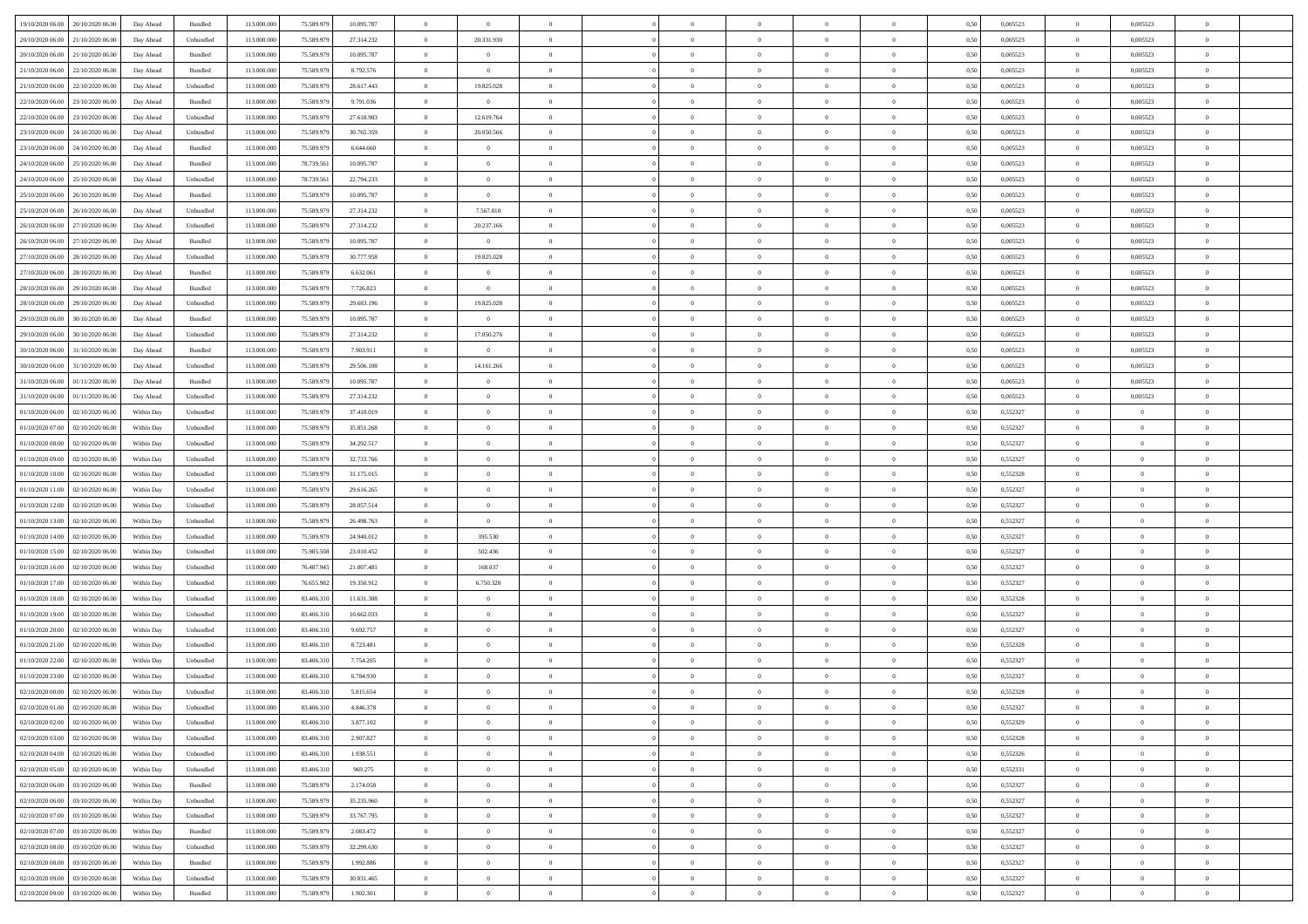| 19/10/2020 06:00 20/10/2020 06:00    | Day Ahead  | Bundled                     | 113.000.000 | 75.589.979 | 10.095.787 | $\overline{0}$ | $\overline{0}$ |                | $\overline{0}$ | $\bf{0}$       | $\overline{0}$ | $\theta$       | 0,50 | 0,005523 | $\bf{0}$       | 0.005523       | $\bf{0}$       |  |
|--------------------------------------|------------|-----------------------------|-------------|------------|------------|----------------|----------------|----------------|----------------|----------------|----------------|----------------|------|----------|----------------|----------------|----------------|--|
|                                      |            |                             |             |            |            |                |                |                |                |                |                |                |      |          |                |                |                |  |
| 20/10/2020 06:00<br>21/10/2020 06.00 | Day Ahead  | Unbundled                   | 113.000.00  | 75.589.97  | 27.314.232 | $\bf{0}$       | 20.331.930     | $\overline{0}$ | $\overline{0}$ | $\,$ 0         | $\overline{0}$ | $\bf{0}$       | 0,50 | 0,005523 | $\bf{0}$       | 0,005523       | $\bf{0}$       |  |
| 20/10/2020 06:00<br>21/10/2020 06:00 | Day Ahead  | Bundled                     | 113,000,000 | 75.589.979 | 10.095.787 | $\overline{0}$ | $\overline{0}$ | $\overline{0}$ | $\overline{0}$ | $\bf{0}$       | $\overline{0}$ | $\overline{0}$ | 0.50 | 0.005523 | $\overline{0}$ | 0.005523       | $\bf{0}$       |  |
| 21/10/2020 06.00<br>22/10/2020 06:00 | Day Ahead  | Bundled                     | 113.000.000 | 75.589.979 | 8.792.576  | $\overline{0}$ | $\overline{0}$ | $\overline{0}$ | $\overline{0}$ | $\bf{0}$       | $\overline{0}$ | $\theta$       | 0,50 | 0,005523 | $\,$ 0 $\,$    | 0,005523       | $\overline{0}$ |  |
| 21/10/2020 06.00<br>22/10/2020 06.00 | Day Ahead  | Unbundled                   | 113.000.00  | 75.589.979 | 28.617.443 | $\overline{0}$ | 19.825.028     | $\overline{0}$ |                | $\bf{0}$       | $\overline{0}$ | $\bf{0}$       | 0,50 | 0,005523 | $\bf{0}$       | 0,005523       | $\bf{0}$       |  |
| 22/10/2020 06.00<br>23/10/2020 06:00 | Day Ahead  | Bundled                     | 113,000,000 | 75.589.979 | 9.791.036  | $\overline{0}$ | $\overline{0}$ | $\overline{0}$ | $\overline{0}$ | $\bf{0}$       | $\overline{0}$ | $\overline{0}$ | 0.50 | 0.005523 | $\,$ 0         | 0.005523       | $\bf{0}$       |  |
|                                      |            |                             |             |            |            |                |                |                |                |                |                |                |      |          |                |                |                |  |
| 22/10/2020 06:00<br>23/10/2020 06:00 | Day Ahead  | Unbundled                   | 113.000.000 | 75.589.979 | 27.618.983 | $\overline{0}$ | 12.619.764     | $\overline{0}$ | $\overline{0}$ | $\bf{0}$       | $\overline{0}$ | $\overline{0}$ | 0,50 | 0,005523 | $\overline{0}$ | 0,005523       | $\overline{0}$ |  |
| 23/10/2020 06:00<br>24/10/2020 06.00 | Day Ahead  | Unbundled                   | 113.000.00  | 75.589.979 | 30.765.359 | $\bf{0}$       | 20.050.566     | $\overline{0}$ |                | $\,$ 0         | $\overline{0}$ | $\bf{0}$       | 0,50 | 0,005523 | $\bf{0}$       | 0,005523       | $\bf{0}$       |  |
| 23/10/2020 06.00<br>24/10/2020 06:00 | Day Ahead  | Bundled                     | 113,000,000 | 75.589.979 | 6.644.660  | $\overline{0}$ | $\overline{0}$ | $\overline{0}$ | $\overline{0}$ | $\bf{0}$       | $\overline{0}$ | $\overline{0}$ | 0.50 | 0.005523 | $\overline{0}$ | 0.005523       | $\bf{0}$       |  |
| 24/10/2020 06:00<br>25/10/2020 06:00 | Day Ahead  | Bundled                     | 113.000.000 | 78.739.561 | 10.095.787 | $\overline{0}$ | $\overline{0}$ | $\overline{0}$ | $\overline{0}$ | $\bf{0}$       | $\overline{0}$ | $\overline{0}$ | 0,50 | 0,005523 | $\overline{0}$ | 0,005523       | $\bf{0}$       |  |
| 24/10/2020 06.00<br>25/10/2020 06.00 | Day Ahead  | Unbundled                   | 113.000.00  | 78.739.561 | 22.794.233 | $\bf{0}$       | $\overline{0}$ | $\overline{0}$ | $\overline{0}$ | $\,$ 0         | $\overline{0}$ | $\bf{0}$       | 0,50 | 0,005523 | $\bf{0}$       | 0,005523       | $\bf{0}$       |  |
| 25/10/2020 06.00<br>26/10/2020 06:00 | Day Ahead  | Bundled                     | 113,000,000 | 75.589.979 | 10.095.787 | $\overline{0}$ | $\overline{0}$ | $\overline{0}$ | $\overline{0}$ | $\,$ 0 $\,$    | $\overline{0}$ | $\overline{0}$ | 0.50 | 0.005523 | $\,$ 0 $\,$    | 0.005523       | $\bf{0}$       |  |
| 25/10/2020 06:00<br>26/10/2020 06.00 | Day Ahead  | Unbundled                   | 113.000.000 | 75.589.979 | 27.314.232 | $\overline{0}$ | 7.567.810      | $\overline{0}$ | $\overline{0}$ | $\bf{0}$       | $\overline{0}$ | $\theta$       | 0,50 | 0,005523 | $\,$ 0 $\,$    | 0,005523       | $\overline{0}$ |  |
|                                      |            |                             |             |            |            |                |                |                |                |                |                |                |      |          |                |                |                |  |
| 26/10/2020 06.00<br>27/10/2020 06.00 | Day Ahead  | Unbundled                   | 113.000.00  | 75.589.979 | 27.314.232 | $\bf{0}$       | 20.237.166     | $\overline{0}$ |                | $\bf{0}$       | $\overline{0}$ | $\bf{0}$       | 0,50 | 0,005523 | $\bf{0}$       | 0,005523       | $\bf{0}$       |  |
| 26/10/2020 06.00<br>27/10/2020 06:00 | Day Ahead  | Bundled                     | 113,000,000 | 75.589.979 | 10.095.787 | $\overline{0}$ | $\overline{0}$ | $\overline{0}$ | $\overline{0}$ | $\,$ 0         | $\overline{0}$ | $\overline{0}$ | 0.50 | 0.005523 | $\bf{0}$       | 0.005523       | $\bf{0}$       |  |
| 27/10/2020 06:00<br>28/10/2020 06:00 | Day Ahead  | Unbundled                   | 113.000.000 | 75.589.979 | 30.777.958 | $\overline{0}$ | 19.825.028     | $\overline{0}$ | $\overline{0}$ | $\bf{0}$       | $\overline{0}$ | $\overline{0}$ | 0,50 | 0,005523 | $\overline{0}$ | 0,005523       | $\overline{0}$ |  |
| 27/10/2020 06.00<br>28/10/2020 06.00 | Day Ahead  | Bundled                     | 113.000.00  | 75.589.979 | 6.632.061  | $\overline{0}$ | $\theta$       | $\overline{0}$ |                | $\,$ 0         | $\overline{0}$ | $\bf{0}$       | 0,50 | 0,005523 | $\bf{0}$       | 0,005523       | $\bf{0}$       |  |
| 28/10/2020 06:00<br>29/10/2020 06:00 | Day Ahead  | Bundled                     | 113,000,000 | 75.589.979 | 7.726.823  | $\overline{0}$ | $\overline{0}$ | $\overline{0}$ | $\overline{0}$ | $\bf{0}$       | $\overline{0}$ | $\overline{0}$ | 0.50 | 0.005523 | $\overline{0}$ | 0.005523       | $\bf{0}$       |  |
| 28/10/2020 06:00<br>29/10/2020 06.00 | Day Ahead  | Unbundled                   | 113.000.000 | 75.589.979 | 29.683.196 | $\overline{0}$ | 19.825.028     | $\overline{0}$ | $\overline{0}$ | $\,$ 0         | $\overline{0}$ | $\overline{0}$ | 0,50 | 0,005523 | $\,$ 0 $\,$    | 0,005523       | $\overline{0}$ |  |
|                                      |            |                             |             |            |            |                |                |                |                |                |                |                |      |          |                |                |                |  |
| 29/10/2020 06.00<br>30/10/2020 06.00 | Day Ahead  | Bundled                     | 113.000.00  | 75.589.979 | 10.095.787 | $\bf{0}$       | $\bf{0}$       | $\overline{0}$ | $\overline{0}$ | $\,$ 0         | $\overline{0}$ | $\bf{0}$       | 0,50 | 0,005523 | $\bf{0}$       | 0,005523       | $\bf{0}$       |  |
| 29/10/2020 06:00<br>30/10/2020 06:00 | Day Ahead  | Unbundled                   | 113,000,000 | 75.589.979 | 27.314.232 | $\overline{0}$ | 17.050.276     | $\overline{0}$ | $\overline{0}$ | $\,$ 0 $\,$    | $\overline{0}$ | $\overline{0}$ | 0.50 | 0.005523 | $\,$ 0 $\,$    | 0.005523       | $\bf{0}$       |  |
| 30/10/2020 06:00<br>31/10/2020 06:00 | Day Ahead  | Bundled                     | 113.000.000 | 75.589.979 | 7.903.911  | $\overline{0}$ | $\overline{0}$ | $\overline{0}$ | $\overline{0}$ | $\bf{0}$       | $\overline{0}$ | $\overline{0}$ | 0,50 | 0,005523 | $\,$ 0 $\,$    | 0,005523       | $\overline{0}$ |  |
| 30/10/2020 06.00<br>31/10/2020 06.00 | Day Ahead  | Unbundled                   | 113.000.00  | 75.589.979 | 29.506.108 | $\overline{0}$ | 14.161.266     | $\overline{0}$ | $\overline{0}$ | $\,$ 0         | $\overline{0}$ | $\bf{0}$       | 0,50 | 0,005523 | $\bf{0}$       | 0,005523       | $\bf{0}$       |  |
| 31/10/2020 06.00<br>01/11/2020 06:00 | Day Ahead  | Bundled                     | 113,000,000 | 75.589.979 | 10.095.787 | $\overline{0}$ | $\overline{0}$ | $\overline{0}$ | $\overline{0}$ | $\bf{0}$       | $\overline{0}$ | $\overline{0}$ | 0.50 | 0.005523 | $\bf{0}$       | 0.005523       | $\bf{0}$       |  |
| 31/10/2020 06:00<br>01/11/2020 06.00 | Day Ahead  | Unbundled                   | 113.000.000 | 75.589.979 | 27.314.232 | $\overline{0}$ | $\overline{0}$ | $\overline{0}$ | $\overline{0}$ | $\bf{0}$       | $\overline{0}$ | $\overline{0}$ | 0,50 | 0,005523 | $\,$ 0 $\,$    | 0,005523       | $\overline{0}$ |  |
| 01/10/2020 06.00<br>02/10/2020 06.00 | Within Day | Unbundled                   | 113.000.00  | 75.589.979 | 37.410.019 | $\overline{0}$ | $\theta$       | $\overline{0}$ |                | $\,$ 0         | $\overline{0}$ | $\bf{0}$       | 0,50 | 0,552327 | $\bf{0}$       | $\overline{0}$ | $\,$ 0         |  |
|                                      |            |                             |             |            |            |                |                |                |                |                |                |                |      |          |                |                |                |  |
| 01/10/2020 07:00<br>02/10/2020 06:00 | Within Day | Unbundled                   | 113,000,000 | 75.589.979 | 35.851.268 | $\overline{0}$ | $\overline{0}$ | $\overline{0}$ | $\overline{0}$ | $\bf{0}$       | $\overline{0}$ | $\overline{0}$ | 0.50 | 0,552327 | $\bf{0}$       | $\bf{0}$       | $\bf{0}$       |  |
| 01/10/2020 08:00<br>02/10/2020 06:00 | Within Day | Unbundled                   | 113.000.000 | 75.589.979 | 34.292.517 | $\overline{0}$ | $\overline{0}$ | $\overline{0}$ | $\overline{0}$ | $\bf{0}$       | $\overline{0}$ | $\overline{0}$ | 0,50 | 0,552327 | $\,$ 0 $\,$    | $\overline{0}$ | $\overline{0}$ |  |
| 01/10/2020 09:00<br>02/10/2020 06.00 | Within Day | Unbundled                   | 113.000.00  | 75.589.979 | 32.733.766 | $\bf{0}$       | $\overline{0}$ | $\overline{0}$ | $\overline{0}$ | $\bf{0}$       | $\overline{0}$ | $\bf{0}$       | 0,50 | 0,552327 | $\bf{0}$       | $\overline{0}$ | $\bf{0}$       |  |
| 01/10/2020 10:00<br>02/10/2020 06:00 | Within Day | Unbundled                   | 113,000,000 | 75.589.979 | 31.175.015 | $\overline{0}$ | $\overline{0}$ | $\overline{0}$ | $\overline{0}$ | $\,$ 0 $\,$    | $\overline{0}$ | $\overline{0}$ | 0.50 | 0,552328 | $\,$ 0 $\,$    | $\bf{0}$       | $\bf{0}$       |  |
| 01/10/2020 11:00<br>02/10/2020 06:00 | Within Day | Unbundled                   | 113.000.000 | 75.589.979 | 29.616.265 | $\overline{0}$ | $\overline{0}$ | $\theta$       | $\Omega$       | $\overline{0}$ | $\overline{0}$ | $\overline{0}$ | 0.50 | 0,552327 | $\mathbf{0}$   | $\overline{0}$ | $\overline{0}$ |  |
| 01/10/2020 12:00<br>02/10/2020 06.00 | Within Day | Unbundled                   | 113.000.00  | 75.589.979 | 28.057.514 | $\overline{0}$ | $\theta$       | $\overline{0}$ |                | $\,$ 0         | $\overline{0}$ | $\bf{0}$       | 0,50 | 0,552327 | $\bf{0}$       | $\overline{0}$ | $\bf{0}$       |  |
| 01/10/2020 13:00<br>02/10/2020 06:00 | Within Day | Unbundled                   | 113,000,000 | 75.589.979 | 26,498,763 | $\overline{0}$ | $\overline{0}$ | $\overline{0}$ | $\overline{0}$ | $\,$ 0         | $\overline{0}$ | $\overline{0}$ | 0.50 | 0,552327 | $\bf{0}$       | $\overline{0}$ | $\bf{0}$       |  |
|                                      |            |                             |             |            |            |                |                |                |                |                |                |                |      |          |                |                |                |  |
| 01/10/2020 14:00<br>02/10/2020 06:00 | Within Day | Unbundled                   | 113.000.000 | 75.589.979 | 24.940.012 | $\overline{0}$ | 395.530        | $\Omega$       | $\Omega$       | $\mathbf{0}$   | $\overline{0}$ | $\overline{0}$ | 0.50 | 0,552327 | $\mathbf{0}$   | $\overline{0}$ | $\overline{0}$ |  |
| 01/10/2020 15:00<br>02/10/2020 06.00 | Within Day | Unbundled                   | 113.000.00  | 75.985.508 | 23.010.452 | $\overline{0}$ | 502.436        | $\overline{0}$ |                | $\,$ 0         | $\overline{0}$ | $\bf{0}$       | 0,50 | 0,552327 | $\bf{0}$       | $\overline{0}$ | $\bf{0}$       |  |
| 01/10/2020 16:00<br>02/10/2020 06:00 | Within Day | Unbundled                   | 113,000,000 | 76,487,945 | 21.007.481 | $\overline{0}$ | 168,037        | $\overline{0}$ | $\overline{0}$ | $\bf{0}$       | $\overline{0}$ | $\overline{0}$ | 0.50 | 0,552327 | $\bf{0}$       | $\overline{0}$ | $\bf{0}$       |  |
| 01/10/2020 17:00<br>02/10/2020 06:00 | Within Day | Unbundled                   | 113.000.000 | 76.655.982 | 19.350.912 | $\overline{0}$ | 6.750.328      | $\overline{0}$ | $\Omega$       | $\overline{0}$ | $\overline{0}$ | $\overline{0}$ | 0.50 | 0,552327 | $\mathbf{0}$   | $\overline{0}$ | $\overline{0}$ |  |
| 01/10/2020 18:00<br>02/10/2020 06.00 | Within Day | Unbundled                   | 113.000.00  | 83.406.31  | 11.631.308 | $\bf{0}$       | $\overline{0}$ | $\overline{0}$ | $\overline{0}$ | $\bf{0}$       | $\overline{0}$ | $\bf{0}$       | 0,50 | 0,552328 | $\bf{0}$       | $\overline{0}$ | $\bf{0}$       |  |
| 01/10/2020 19:00<br>02/10/2020 06:00 | Within Day | Unbundled                   | 113,000,000 | 83,406,310 | 10.662.033 | $\overline{0}$ | $\overline{0}$ | $\overline{0}$ | $\overline{0}$ | $\bf{0}$       | $\overline{0}$ | $\overline{0}$ | 0.50 | 0,552327 | $\overline{0}$ | $\bf{0}$       | $\bf{0}$       |  |
| 01/10/2020 20:00<br>02/10/2020 06:00 | Within Day | Unbundled                   | 113.000.000 | 83.406.310 | 9.692.757  | $\overline{0}$ | $\overline{0}$ | $\Omega$       | $\Omega$       | $\mathbf{0}$   | $\overline{0}$ | $\overline{0}$ | 0.50 | 0,552327 | $\mathbf{0}$   | $\overline{0}$ | $\overline{0}$ |  |
|                                      |            |                             |             |            |            |                |                |                |                |                |                |                |      |          |                |                |                |  |
| 01/10/2020 21:00<br>02/10/2020 06.00 | Within Day | Unbundled                   | 113.000.00  | 83.406.31  | 8.723.481  | $\bf{0}$       | $\overline{0}$ | $\overline{0}$ | $\overline{0}$ | $\,$ 0         | $\overline{0}$ | $\bf{0}$       | 0,50 | 0,552328 | $\bf{0}$       | $\overline{0}$ | $\bf{0}$       |  |
| 01/10/2020 22.00<br>02/10/2020 06.00 | Within Day | Unbundled                   | 113,000,000 | 83,406,310 | 7.754.205  | $\overline{0}$ | $\overline{0}$ | $\overline{0}$ | $\overline{0}$ | $\bf{0}$       | $\overline{0}$ | $\overline{0}$ | 0.50 | 0,552327 | $\bf{0}$       | $\overline{0}$ | $\bf{0}$       |  |
| 01/10/2020 23:00<br>02/10/2020 06:00 | Within Day | Unbundled                   | 113.000.000 | 83.406.310 | 6.784.930  | $\overline{0}$ | $\Omega$       | $\Omega$       | $\Omega$       | $\bf{0}$       | $\overline{0}$ | $\Omega$       | 0.50 | 0,552327 | $\mathbf{0}$   | $\overline{0}$ | $\overline{0}$ |  |
| 02/10/2020 00:00<br>02/10/2020 06:00 | Within Day | Unbundled                   | 113.000.00  | 83.406.31  | 5.815.654  | $\bf{0}$       | $\,$ 0 $\,$    | $\overline{0}$ | $\overline{0}$ | $\,$ 0         | $\overline{0}$ | $\bf{0}$       | 0,50 | 0,552328 | $\bf{0}$       | $\overline{0}$ | $\,$ 0         |  |
| 02/10/2020 01:00 02/10/2020 06:00    | Within Day | $\ensuremath{\mathsf{Unb}}$ | 113.000.000 | 83.406.310 | 4 846 378  | $\bf{0}$       | $\theta$       |                |                |                |                |                | 0,50 | 0,552327 | $\overline{0}$ | $\Omega$       |                |  |
| 02/10/2020 02:00 02/10/2020 06:00    | Within Day | Unbundled                   | 113.000.000 | 83.406.310 | 3.877.102  | $\theta$       | $\overline{0}$ | $\theta$       | $\Omega$       | $\overline{0}$ | $\overline{0}$ | $\mathbf{0}$   | 0,50 | 0,552329 | $\theta$       | $\overline{0}$ | $\bf{0}$       |  |
| 02/10/2020 03:00<br>02/10/2020 06:00 | Within Day | Unbundled                   | 113.000.00  | 83.406.31  | 2.907.827  | $\bf{0}$       | $\overline{0}$ | $\overline{0}$ | $\bf{0}$       | $\overline{0}$ | $\overline{0}$ | $\mathbf{0}$   | 0,50 | 0,552328 | $\overline{0}$ | $\bf{0}$       | $\bf{0}$       |  |
|                                      |            |                             |             |            |            |                |                |                |                |                |                |                |      |          |                |                |                |  |
| 02/10/2020 04:00 02/10/2020 06:00    | Within Day | Unbundled                   | 113,000,000 | 83,406,310 | 1.938.551  | $\overline{0}$ | $\overline{0}$ | $\overline{0}$ | $\overline{0}$ | $\,$ 0 $\,$    | $\overline{0}$ | $\mathbf{0}$   | 0.50 | 0,552326 | $\overline{0}$ | $\,$ 0 $\,$    | $\bf{0}$       |  |
| 02/10/2020 05:00 02/10/2020 06:00    | Within Day | Unbundled                   | 113.000.000 | 83.406.310 | 969.275    | $\overline{0}$ | $\overline{0}$ | $\overline{0}$ | $\overline{0}$ | $\overline{0}$ | $\overline{0}$ | $\overline{0}$ | 0,50 | 0,552331 | $\theta$       | $\overline{0}$ | $\bf{0}$       |  |
| 02/10/2020 06.00<br>03/10/2020 06:00 | Within Day | Bundled                     | 113.000.00  | 75.589.979 | 2.174.058  | $\bf{0}$       | $\overline{0}$ | $\overline{0}$ | $\overline{0}$ | $\bf{0}$       | $\overline{0}$ | $\bf{0}$       | 0,50 | 0,552327 | $\overline{0}$ | $\bf{0}$       | $\bf{0}$       |  |
| 02/10/2020 06.00<br>03/10/2020 06:00 | Within Day | Unbundled                   | 113,000,000 | 75.589.979 | 35.235.960 | $\overline{0}$ | $\overline{0}$ | $\overline{0}$ | $\overline{0}$ | $\,$ 0 $\,$    | $\overline{0}$ | $\overline{0}$ | 0.50 | 0,552327 | $\overline{0}$ | $\overline{0}$ | $\bf{0}$       |  |
| 02/10/2020 07:00<br>03/10/2020 06:00 | Within Day | Unbundled                   | 113.000.000 | 75.589.979 | 33.767.795 | $\overline{0}$ | $\overline{0}$ | $\overline{0}$ | $\overline{0}$ | $\overline{0}$ | $\overline{0}$ | $\overline{0}$ | 0,50 | 0,552327 | $\overline{0}$ | $\overline{0}$ | $\bf{0}$       |  |
| 02/10/2020 07:00<br>03/10/2020 06:00 | Within Day | Bundled                     | 113.000.00  | 75.589.979 | 2.083.472  | $\bf{0}$       | $\,$ 0         | $\overline{0}$ | $\bf{0}$       | $\,$ 0 $\,$    | $\overline{0}$ | $\bf{0}$       | 0,50 | 0,552327 | $\overline{0}$ | $\,$ 0 $\,$    | $\bf{0}$       |  |
| 02/10/2020 08:00 03/10/2020 06:00    | Within Day | Unbundled                   | 113,000,000 | 75.589.979 | 32.299.630 | $\overline{0}$ | $\overline{0}$ | $\overline{0}$ | $\overline{0}$ | $\,$ 0 $\,$    | $\overline{0}$ | $\overline{0}$ | 0.50 | 0,552327 | $\overline{0}$ | $\,$ 0 $\,$    | $\bf{0}$       |  |
|                                      |            |                             |             |            |            |                |                |                |                |                |                |                |      |          |                |                |                |  |
| 02/10/2020 08:00 03/10/2020 06:00    | Within Dav | Bundled                     | 113.000.000 | 75.589.979 | 1.992.886  | $\overline{0}$ | $\overline{0}$ | $\overline{0}$ | $\overline{0}$ | $\overline{0}$ | $\overline{0}$ | $\overline{0}$ | 0,50 | 0,552327 | $\overline{0}$ | $\overline{0}$ | $\bf{0}$       |  |
| 02/10/2020 09:00<br>03/10/2020 06:00 | Within Day | Unbundled                   | 113.000.00  | 75.589.979 | 30.831.465 | $\bf{0}$       | $\overline{0}$ | $\overline{0}$ | $\overline{0}$ | $\bf{0}$       | $\overline{0}$ | $\bf{0}$       | 0,50 | 0,552327 | $\overline{0}$ | $\bf{0}$       | $\bf{0}$       |  |
| 02/10/2020 09:00 03/10/2020 06:00    | Within Day | Bundled                     | 113.000.000 | 75.589.979 | 1.902.301  | $\overline{0}$ | $\bf{0}$       | $\overline{0}$ | $\overline{0}$ | $\,$ 0 $\,$    | $\overline{0}$ | $\overline{0}$ | 0,50 | 0,552327 | $\,$ 0 $\,$    | $\,$ 0 $\,$    | $\bf{0}$       |  |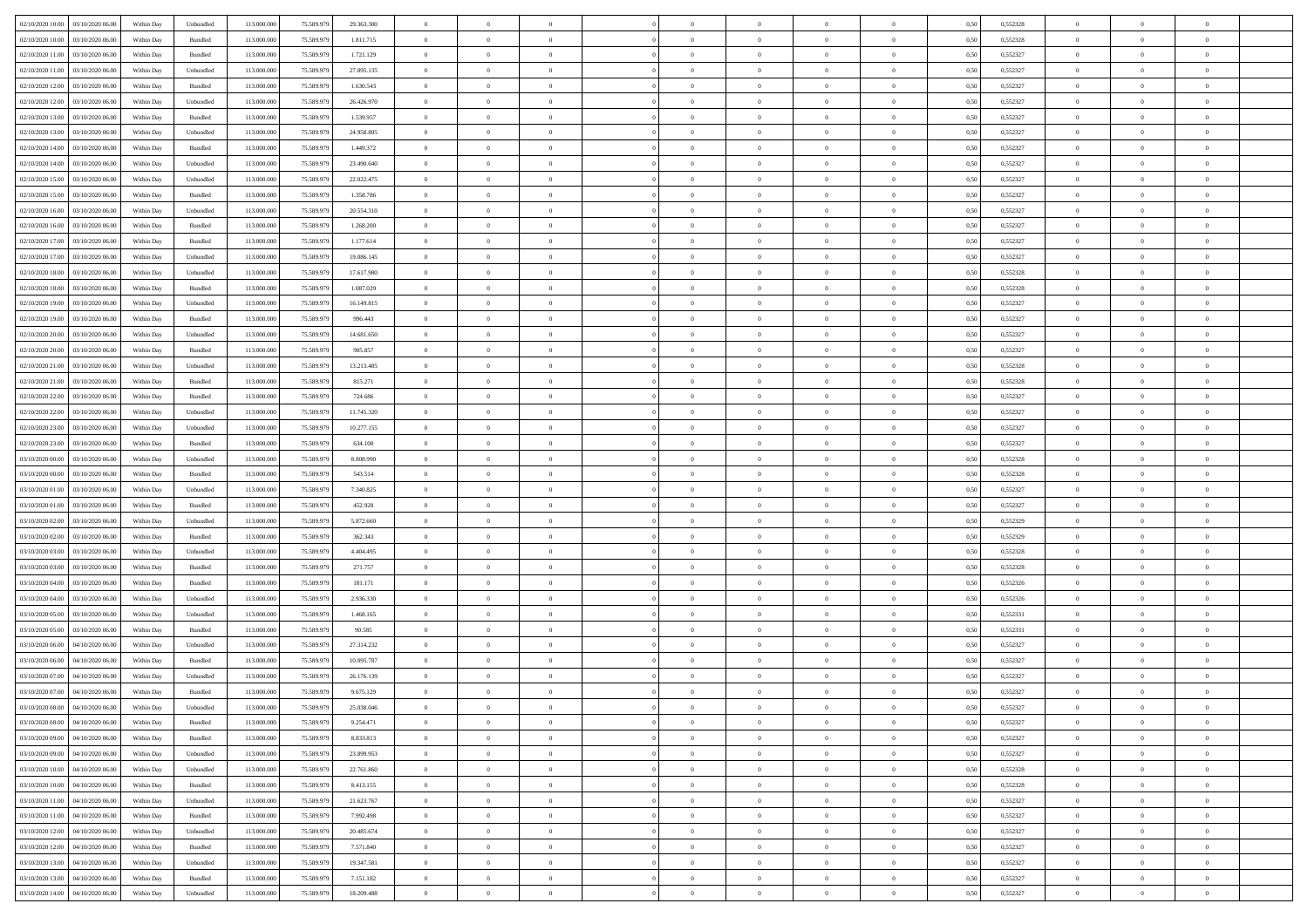| 02/10/2020 10:00 03/10/2020 06:00            | Within Day | Unbundled                   | 113.000.000 | 75.589.979 | 29.363.300 | $\overline{0}$ | $\overline{0}$ |                | $\overline{0}$ | $\theta$       |                | $\theta$       | 0,50 | 0,552328 | $\theta$       | $\theta$       | $\overline{0}$ |  |
|----------------------------------------------|------------|-----------------------------|-------------|------------|------------|----------------|----------------|----------------|----------------|----------------|----------------|----------------|------|----------|----------------|----------------|----------------|--|
| 02/10/2020 10:00<br>03/10/2020 06.00         | Within Day | Bundled                     | 113.000.00  | 75.589.97  | 1.811.715  | $\bf{0}$       | $\bf{0}$       | $\bf{0}$       | $\bf{0}$       | $\overline{0}$ | $\bf{0}$       | $\bf{0}$       | 0,50 | 0,552328 | $\,$ 0 $\,$    | $\bf{0}$       | $\overline{0}$ |  |
| 02/10/2020 11:00<br>03/10/2020 06:00         | Within Day | Bundled                     | 113,000,000 | 75.589.979 | 1.721.129  | $\overline{0}$ | $\bf{0}$       | $\overline{0}$ | $\overline{0}$ | $\overline{0}$ | $\overline{0}$ | $\bf{0}$       | 0.50 | 0,552327 | $\bf{0}$       | $\,$ 0 $\,$    | $\bf{0}$       |  |
| 02/10/2020 11:00<br>03/10/2020 06:00         | Within Day | Unbundled                   | 113.000.000 | 75.589.979 | 27.895.135 | $\overline{0}$ | $\overline{0}$ | $\overline{0}$ | $\theta$       | $\theta$       | $\overline{0}$ | $\bf{0}$       | 0,50 | 0,552327 | $\,$ 0 $\,$    | $\overline{0}$ | $\overline{0}$ |  |
| 02/10/2020 12:00<br>03/10/2020 06.00         | Within Day | Bundled                     | 113.000.00  | 75.589.97  | 1.630.543  | $\bf{0}$       | $\overline{0}$ | $\bf{0}$       | $\overline{0}$ | $\bf{0}$       | $\overline{0}$ | $\bf{0}$       | 0,50 | 0,552327 | $\,$ 0 $\,$    | $\bf{0}$       | $\overline{0}$ |  |
| 02/10/2020 12:00<br>03/10/2020 06:00         | Within Day | Unbundled                   | 113,000,000 | 75.589.979 | 26.426.970 | $\overline{0}$ | $\bf{0}$       | $\overline{0}$ | $\bf{0}$       | $\overline{0}$ | $\overline{0}$ | $\bf{0}$       | 0.50 | 0.552327 | $\,$ 0 $\,$    | $\overline{0}$ | $\overline{0}$ |  |
| 02/10/2020 13:00                             |            |                             | 113.000.000 |            |            |                | $\bf{0}$       | $\overline{0}$ | $\overline{0}$ | $\overline{0}$ | $\overline{0}$ |                |      | 0,552327 | $\,$ 0 $\,$    | $\theta$       | $\overline{0}$ |  |
| 03/10/2020 06.00                             | Within Day | Bundled                     |             | 75.589.979 | 1.539.957  | $\bf{0}$       |                |                |                |                |                | $\bf{0}$       | 0,50 |          |                |                |                |  |
| 02/10/2020 13:00<br>03/10/2020 06.00         | Within Day | Unbundled                   | 113.000.00  | 75.589.97  | 24.958.805 | $\bf{0}$       | $\bf{0}$       | $\bf{0}$       | $\overline{0}$ | $\overline{0}$ | $\overline{0}$ | $\bf{0}$       | 0,50 | 0,552327 | $\,$ 0 $\,$    | $\bf{0}$       | $\overline{0}$ |  |
| 02/10/2020 14:00<br>03/10/2020 06:00         | Within Day | Bundled                     | 113,000,000 | 75.589.979 | 1.449.372  | $\overline{0}$ | $\bf{0}$       | $\overline{0}$ | $\bf{0}$       | $\overline{0}$ | $\overline{0}$ | $\bf{0}$       | 0.50 | 0.552327 | $\bf{0}$       | $\overline{0}$ | $\bf{0}$       |  |
| 02/10/2020 14:00<br>03/10/2020 06:00         | Within Day | Unbundled                   | 113.000.000 | 75.589.979 | 23.490.640 | $\bf{0}$       | $\bf{0}$       | $\overline{0}$ | $\overline{0}$ | $\overline{0}$ | $\overline{0}$ | $\bf{0}$       | 0,50 | 0,552327 | $\,$ 0 $\,$    | $\,$ 0 $\,$    | $\overline{0}$ |  |
| 02/10/2020 15:00<br>03/10/2020 06.00         | Within Day | Unbundled                   | 113.000.00  | 75.589.979 | 22.022.475 | $\bf{0}$       | $\bf{0}$       | $\bf{0}$       | $\bf{0}$       | $\overline{0}$ | $\overline{0}$ | $\bf{0}$       | 0,50 | 0,552327 | $\,$ 0 $\,$    | $\bf{0}$       | $\overline{0}$ |  |
| 02/10/2020 15:00<br>03/10/2020 06:00         | Within Day | Bundled                     | 113,000,000 | 75.589.979 | 1.358.786  | $\overline{0}$ | $\bf{0}$       | $\overline{0}$ | $\overline{0}$ | $\overline{0}$ | $\overline{0}$ | $\bf{0}$       | 0.50 | 0,552327 | $\bf{0}$       | $\,$ 0 $\,$    | $\,$ 0         |  |
| 02/10/2020 16:00<br>03/10/2020 06.00         | Within Day | Unbundled                   | 113.000.000 | 75.589.979 | 20.554.310 | $\overline{0}$ | $\overline{0}$ | $\overline{0}$ | $\theta$       | $\theta$       | $\overline{0}$ | $\bf{0}$       | 0,50 | 0,552327 | $\,$ 0 $\,$    | $\,$ 0 $\,$    | $\overline{0}$ |  |
| 02/10/2020 16.00<br>03/10/2020 06.00         | Within Day | Bundled                     | 113.000.00  | 75.589.97  | 1.268.200  | $\bf{0}$       | $\bf{0}$       | $\bf{0}$       | $\bf{0}$       | $\bf{0}$       | $\overline{0}$ | $\bf{0}$       | 0,50 | 0,552327 | $\,$ 0 $\,$    | $\bf{0}$       | $\overline{0}$ |  |
| 02/10/2020 17:00<br>03/10/2020 06:00         |            | Bundled                     | 113,000,000 | 75.589.979 | 1.177.614  | $\overline{0}$ | $\bf{0}$       | $\overline{0}$ | $\bf{0}$       | $\overline{0}$ | $\overline{0}$ | $\bf{0}$       | 0.50 | 0.552327 | $\,$ 0 $\,$    | $\bf{0}$       | $\overline{0}$ |  |
|                                              | Within Day |                             |             |            |            |                | $\overline{0}$ | $\overline{0}$ | $\overline{0}$ | $\overline{0}$ | $\overline{0}$ |                |      |          | $\theta$       | $\theta$       | $\overline{0}$ |  |
| 02/10/2020 17:00<br>03/10/2020 06.00         | Within Day | Unbundled                   | 113.000.000 | 75.589.979 | 19.086.145 | $\bf{0}$       |                |                |                |                |                | $\bf{0}$       | 0,50 | 0,552327 |                |                |                |  |
| 02/10/2020 18:00<br>03/10/2020 06.00         | Within Day | Unbundled                   | 113.000.00  | 75.589.97  | 17.617.980 | $\bf{0}$       | $\bf{0}$       | $\bf{0}$       | $\overline{0}$ | $\overline{0}$ | $\overline{0}$ | $\bf{0}$       | 0,50 | 0,552328 | $\,$ 0 $\,$    | $\bf{0}$       | $\overline{0}$ |  |
| 02/10/2020 18:00<br>03/10/2020 06:00         | Within Day | Bundled                     | 113,000,00  | 75.589.979 | 1.087.029  | $\overline{0}$ | $\bf{0}$       | $\overline{0}$ | $\bf{0}$       | $\bf{0}$       | $\overline{0}$ | $\bf{0}$       | 0.50 | 0.552328 | $\bf{0}$       | $\overline{0}$ | $\bf{0}$       |  |
| 02/10/2020 19:00<br>03/10/2020 06.00         | Within Day | Unbundled                   | 113.000.000 | 75.589.979 | 16.149.815 | $\bf{0}$       | $\bf{0}$       | $\overline{0}$ | $\overline{0}$ | $\overline{0}$ | $\overline{0}$ | $\bf{0}$       | 0,50 | 0,552327 | $\,$ 0 $\,$    | $\bf{0}$       | $\overline{0}$ |  |
| 02/10/2020 19:00<br>03/10/2020 06.00         | Within Day | Bundled                     | 113.000.00  | 75.589.979 | 996.443    | $\bf{0}$       | $\bf{0}$       | $\bf{0}$       | $\bf{0}$       | $\overline{0}$ | $\overline{0}$ | $\bf{0}$       | 0,50 | 0,552327 | $\,$ 0 $\,$    | $\bf{0}$       | $\overline{0}$ |  |
| 02/10/2020 20:00<br>03/10/2020 06:00         | Within Day | Unbundled                   | 113,000,000 | 75.589.979 | 14,681,650 | $\overline{0}$ | $\bf{0}$       | $\overline{0}$ | $\overline{0}$ | $\bf{0}$       | $\overline{0}$ | $\bf{0}$       | 0.50 | 0,552327 | $\bf{0}$       | $\,$ 0 $\,$    | $\,$ 0         |  |
| 02/10/2020 20:00<br>03/10/2020 06:00         | Within Day | Bundled                     | 113.000.000 | 75.589.979 | 905.857    | $\overline{0}$ | $\overline{0}$ | $\overline{0}$ | $\theta$       | $\overline{0}$ | $\overline{0}$ | $\bf{0}$       | 0,50 | 0,552327 | $\theta$       | $\overline{0}$ | $\overline{0}$ |  |
| 02/10/2020 21:00<br>03/10/2020 06.00         | Within Day | Unbundled                   | 113.000.00  | 75.589.97  | 13.213.485 | $\bf{0}$       | $\bf{0}$       | $\bf{0}$       | $\bf{0}$       | $\overline{0}$ | $\overline{0}$ | $\bf{0}$       | 0,50 | 0,552328 | $\,$ 0 $\,$    | $\bf{0}$       | $\overline{0}$ |  |
| 02/10/2020 21:00<br>03/10/2020 06:00         |            | Bundled                     | 113,000,000 | 75.589.979 | 815.271    | $\overline{0}$ | $\bf{0}$       | $\overline{0}$ | $\bf{0}$       | $\overline{0}$ | $\overline{0}$ | $\bf{0}$       | 0.50 | 0.552328 | $\bf{0}$       | $\overline{0}$ | $\overline{0}$ |  |
|                                              | Within Day |                             |             |            |            |                |                |                |                |                |                |                |      |          |                |                |                |  |
| 02/10/2020 22.00<br>03/10/2020 06.00         | Within Day | Bundled                     | 113.000.000 | 75.589.979 | 724.686    | $\bf{0}$       | $\overline{0}$ | $\overline{0}$ | $\overline{0}$ | $\overline{0}$ | $\overline{0}$ | $\bf{0}$       | 0,50 | 0,552327 | $\,$ 0 $\,$    | $\theta$       | $\overline{0}$ |  |
| 02/10/2020 22.00<br>03/10/2020 06.00         | Within Day | Unbundled                   | 113.000.00  | 75.589.97  | 11.745.320 | $\bf{0}$       | $\bf{0}$       | $\bf{0}$       | $\overline{0}$ | $\overline{0}$ | $\overline{0}$ | $\bf{0}$       | 0,50 | 0,552327 | $\,$ 0 $\,$    | $\bf{0}$       | $\overline{0}$ |  |
| 02/10/2020 23.00<br>03/10/2020 06:00         | Within Day | Unbundled                   | 113,000,000 | 75.589.979 | 10.277.155 | $\overline{0}$ | $\bf{0}$       | $\overline{0}$ | $\bf{0}$       | $\overline{0}$ | $\overline{0}$ | $\bf{0}$       | 0.50 | 0.552327 | $\bf{0}$       | $\overline{0}$ | $\bf{0}$       |  |
| 02/10/2020 23:00<br>03/10/2020 06.00         | Within Day | Bundled                     | 113.000.000 | 75.589.979 | 634.100    | $\overline{0}$ | $\bf{0}$       | $\overline{0}$ | $\overline{0}$ | $\overline{0}$ | $\overline{0}$ | $\bf{0}$       | 0,50 | 0,552327 | $\,$ 0 $\,$    | $\bf{0}$       | $\overline{0}$ |  |
| 03/10/2020 00:00<br>03/10/2020 06.00         | Within Day | Unbundled                   | 113.000.00  | 75.589.97  | 8.808.990  | $\bf{0}$       | $\bf{0}$       | $\bf{0}$       | $\bf{0}$       | $\overline{0}$ | $\overline{0}$ | $\bf{0}$       | 0,50 | 0,552328 | $\,$ 0 $\,$    | $\bf{0}$       | $\overline{0}$ |  |
| 03/10/2020 00:00<br>03/10/2020 06:00         | Within Day | Bundled                     | 113,000,000 | 75.589.979 | 543.514    | $\overline{0}$ | $\bf{0}$       | $\overline{0}$ | $\overline{0}$ | $\overline{0}$ | $\overline{0}$ | $\bf{0}$       | 0.50 | 0,552328 | $\bf{0}$       | $\,$ 0 $\,$    | $\,$ 0         |  |
| 03/10/2020 01:00<br>03/10/2020 06:00         | Within Day | Unbundled                   | 113.000.000 | 75.589.979 | 7.340.825  | $\overline{0}$ | $\overline{0}$ | $\overline{0}$ | $\overline{0}$ | $\overline{0}$ | $\overline{0}$ | $\bf{0}$       | 0.5( | 0,552327 | $\theta$       | $\theta$       | $\overline{0}$ |  |
| 03/10/2020 01:00<br>03/10/2020 06.00         | Within Day | Bundled                     | 113.000.00  | 75.589.97  | 452.928    | $\bf{0}$       | $\bf{0}$       | $\bf{0}$       | $\bf{0}$       | $\overline{0}$ | $\overline{0}$ | $\bf{0}$       | 0,50 | 0,552327 | $\,$ 0 $\,$    | $\bf{0}$       | $\overline{0}$ |  |
| 03/10/2020 02.00<br>03/10/2020 06:00         | Within Day | Unbundled                   | 113,000,000 | 75.589.979 | 5.872.660  | $\overline{0}$ | $\bf{0}$       | $\overline{0}$ | $\bf{0}$       | $\overline{0}$ | $\overline{0}$ | $\bf{0}$       | 0.50 | 0.552329 | $\bf{0}$       | $\bf{0}$       | $\overline{0}$ |  |
| 03/10/2020 02:00<br>03/10/2020 06:00         | Within Day | Bundled                     | 113.000.000 | 75.589.979 | 362.343    | $\overline{0}$ | $\overline{0}$ | $\overline{0}$ | $\overline{0}$ | $\overline{0}$ | $\overline{0}$ | $\bf{0}$       | 0.5( | 0,552329 | $\theta$       | $\theta$       | $\overline{0}$ |  |
|                                              |            |                             |             |            |            |                |                |                |                |                |                |                |      |          |                |                |                |  |
| 03/10/2020 03:00<br>03/10/2020 06.00         | Within Day | Unbundled                   | 113.000.00  | 75.589.97  | 4.404.495  | $\bf{0}$       | $\bf{0}$       | $\bf{0}$       | $\bf{0}$       | $\overline{0}$ | $\overline{0}$ | $\bf{0}$       | 0,50 | 0,552328 | $\,$ 0 $\,$    | $\bf{0}$       | $\overline{0}$ |  |
| 03/10/2020 03:00<br>03/10/2020 06:00         | Within Day | Bundled                     | 113,000,00  | 75.589.979 | 271.757    | $\overline{0}$ | $\bf{0}$       | $\overline{0}$ | $\bf{0}$       | $\bf{0}$       | $\overline{0}$ | $\bf{0}$       | 0.50 | 0.552328 | $\bf{0}$       | $\overline{0}$ | $\bf{0}$       |  |
| 03/10/2020 04:00<br>03/10/2020 06:00         | Within Day | Bundled                     | 113.000.000 | 75.589.979 | 181.171    | $\overline{0}$ | $\overline{0}$ | $\overline{0}$ | $\overline{0}$ | $\overline{0}$ | $\overline{0}$ | $\bf{0}$       | 0.50 | 0,552326 | $\theta$       | $\overline{0}$ | $\overline{0}$ |  |
| 03/10/2020 04:00<br>03/10/2020 06.00         | Within Day | Unbundled                   | 113.000.00  | 75.589.97  | 2.936.330  | $\bf{0}$       | $\bf{0}$       | $\bf{0}$       | $\bf{0}$       | $\overline{0}$ | $\overline{0}$ | $\bf{0}$       | 0,50 | 0,552326 | $\,$ 0 $\,$    | $\bf{0}$       | $\overline{0}$ |  |
| 03/10/2020 05:00<br>03/10/2020 06:00         | Within Day | Unbundled                   | 113,000,000 | 75.589.979 | 1.468.165  | $\overline{0}$ | $\bf{0}$       | $\overline{0}$ | $\overline{0}$ | $\bf{0}$       | $\overline{0}$ | $\bf{0}$       | 0.50 | 0,552331 | $\bf{0}$       | $\,$ 0 $\,$    | $\,$ 0         |  |
| 03/10/2020 05:00<br>03/10/2020 06:00         | Within Day | Bundled                     | 113.000.000 | 75.589.979 | 90.585     | $\overline{0}$ | $\overline{0}$ | $\overline{0}$ | $\overline{0}$ | $\overline{0}$ | $\overline{0}$ | $\bf{0}$       | 0.5( | 0,552331 | $\theta$       | $\theta$       | $\overline{0}$ |  |
| 03/10/2020 06:00<br>04/10/2020 06.00         | Within Day | Unbundled                   | 113.000.00  | 75.589.979 | 27.314.232 | $\bf{0}$       | $\bf{0}$       | $\bf{0}$       | $\bf{0}$       | $\overline{0}$ | $\overline{0}$ | $\bf{0}$       | 0,50 | 0,552327 | $\,$ 0 $\,$    | $\bf{0}$       | $\overline{0}$ |  |
| 03/10/2020 06.00<br>04/10/2020 06:00         | Within Day | Bundled                     | 113,000,000 | 75.589.979 | 10.095.787 | $\overline{0}$ | $\bf{0}$       | $\overline{0}$ | $\bf{0}$       | $\overline{0}$ | $\overline{0}$ | $\bf{0}$       | 0.50 | 0.552327 | $\bf{0}$       | $\bf{0}$       | $\overline{0}$ |  |
| 03/10/2020 07:00<br>04/10/2020 06:00         | Within Dav | Unbundled                   | 113.000.000 | 75.589.979 | 26.176.139 | $\overline{0}$ | $\overline{0}$ | $\overline{0}$ | $\overline{0}$ | $\theta$       | $\overline{0}$ | $\overline{0}$ | 0.5( | 0,552327 | $\theta$       | $\theta$       | $\overline{0}$ |  |
| 03/10/2020 07:00<br>04/10/2020 06.00         | Within Day | Bundled                     | 113.000.000 | 75.589.979 | 9.675.129  | $\bf{0}$       | $\bf{0}$       | $\bf{0}$       | $\bf{0}$       | $\overline{0}$ | $\overline{0}$ | $\bf{0}$       | 0,50 | 0,552327 | $\overline{0}$ | $\overline{0}$ | $\overline{0}$ |  |
| $03/10/2020\;08.00 \qquad 04/10/2020\;06.00$ |            |                             | 113.000.000 |            | 25.038.046 |                |                |                |                |                |                |                |      |          |                |                |                |  |
|                                              | Within Day | $\ensuremath{\mathsf{Unb}}$ |             | 75.589.979 |            | $\bf{0}$       | $\bf{0}$       |                | $\overline{0}$ | $\bf{0}$       |                | $\bf{0}$       | 0,50 | 0,552327 | $\bf{0}$       | $\bf{0}$       |                |  |
| 03/10/2020 08:00 04/10/2020 06:00            | Within Day | Bundled                     | 113.000.000 | 75.589.979 | 9.254.471  | $\overline{0}$ | $\theta$       | $\Omega$       | $\theta$       | $\overline{0}$ | $\overline{0}$ | $\bf{0}$       | 0,50 | 0,552327 | $\theta$       | $\theta$       | $\overline{0}$ |  |
| 03/10/2020 09:00<br>04/10/2020 06.00         | Within Day | Bundled                     | 113.000.00  | 75.589.979 | 8.833.813  | $\overline{0}$ | $\bf{0}$       | $\overline{0}$ | $\overline{0}$ | $\bf{0}$       | $\overline{0}$ | $\bf{0}$       | 0,50 | 0,552327 | $\bf{0}$       | $\overline{0}$ | $\bf{0}$       |  |
| 03/10/2020 09:00 04/10/2020 06:00            | Within Day | Unbundled                   | 113,000,000 | 75.589.979 | 23.899.953 | $\overline{0}$ | $\bf{0}$       | $\overline{0}$ | $\overline{0}$ | $\overline{0}$ | $\overline{0}$ | $\,$ 0 $\,$    | 0.50 | 0.552327 | $\overline{0}$ | $\bf{0}$       | $\,$ 0 $\,$    |  |
| 03/10/2020 10:00 04/10/2020 06:00            | Within Dav | Unbundled                   | 113.000.000 | 75.589.979 | 22.761.860 | $\overline{0}$ | $\overline{0}$ | $\overline{0}$ | $\overline{0}$ | $\overline{0}$ | $\overline{0}$ | $\bf{0}$       | 0,50 | 0,552328 | $\theta$       | $\theta$       | $\overline{0}$ |  |
| 03/10/2020 10:00<br>04/10/2020 06.00         | Within Day | Bundled                     | 113.000.000 | 75.589.979 | 8.413.155  | $\overline{0}$ | $\bf{0}$       | $\overline{0}$ | $\bf{0}$       | $\overline{0}$ | $\bf{0}$       | $\bf{0}$       | 0,50 | 0,552328 | $\overline{0}$ | $\bf{0}$       | $\overline{0}$ |  |
| 03/10/2020 11:00<br>04/10/2020 06:00         | Within Day | Unbundled                   | 113,000,000 | 75.589.979 | 21.623.767 | $\overline{0}$ | $\bf{0}$       | $\overline{0}$ | $\overline{0}$ | $\overline{0}$ | $\overline{0}$ | $\bf{0}$       | 0.50 | 0.552327 | $\,$ 0 $\,$    | $\theta$       | $\overline{0}$ |  |
| 03/10/2020 11:00 04/10/2020 06:00            | Within Dav | Bundled                     | 113.000.000 | 75.589.979 | 7.992.498  | $\overline{0}$ | $\overline{0}$ | $\overline{0}$ | $\overline{0}$ | $\overline{0}$ | $\overline{0}$ | $\bf{0}$       | 0,50 | 0,552327 | $\overline{0}$ | $\theta$       | $\overline{0}$ |  |
| 03/10/2020 12:00<br>04/10/2020 06.00         | Within Day | Unbundled                   | 113.000.00  | 75.589.979 | 20.485.674 | $\overline{0}$ | $\overline{0}$ | $\overline{0}$ | $\overline{0}$ | $\overline{0}$ | $\overline{0}$ | $\bf{0}$       | 0,50 | 0,552327 | $\bf{0}$       | $\overline{0}$ | $\overline{0}$ |  |
|                                              |            |                             |             |            |            |                |                |                |                |                |                |                |      |          |                |                |                |  |
| 03/10/2020 12:00<br>04/10/2020 06:00         | Within Day | Bundled                     | 113,000,000 | 75.589.979 | 7.571.840  | $\overline{0}$ | $\overline{0}$ | $\overline{0}$ | $\overline{0}$ | $\bf{0}$       | $\overline{0}$ | $\bf{0}$       | 0.50 | 0.552327 | $\overline{0}$ | $\,$ 0 $\,$    | $\,$ 0         |  |
| 03/10/2020 13:00 04/10/2020 06:00            | Within Dav | Unbundled                   | 113.000.000 | 75.589.979 | 19.347.581 | $\overline{0}$ | $\overline{0}$ | $\overline{0}$ | $\overline{0}$ | $\overline{0}$ | $\overline{0}$ | $\bf{0}$       | 0,50 | 0,552327 | $\overline{0}$ | $\theta$       | $\overline{0}$ |  |
| 03/10/2020 13:00<br>04/10/2020 06.00         | Within Day | Bundled                     | 113.000.00  | 75.589.979 | 7.151.182  | $\overline{0}$ | $\bf{0}$       | $\overline{0}$ | $\bf{0}$       | $\overline{0}$ | $\bf{0}$       | $\bf{0}$       | 0,50 | 0,552327 | $\bf{0}$       | $\bf{0}$       | $\overline{0}$ |  |
| 03/10/2020 14:00 04/10/2020 06:00            | Within Day | Unbundled                   | 113.000.000 | 75.589.979 | 18.209.488 | $\overline{0}$ | $\bf{0}$       | $\overline{0}$ | $\overline{0}$ | $\,$ 0 $\,$    | $\overline{0}$ | $\bf{0}$       | 0,50 | 0,552327 | $\overline{0}$ | $\,$ 0 $\,$    | $\,$ 0 $\,$    |  |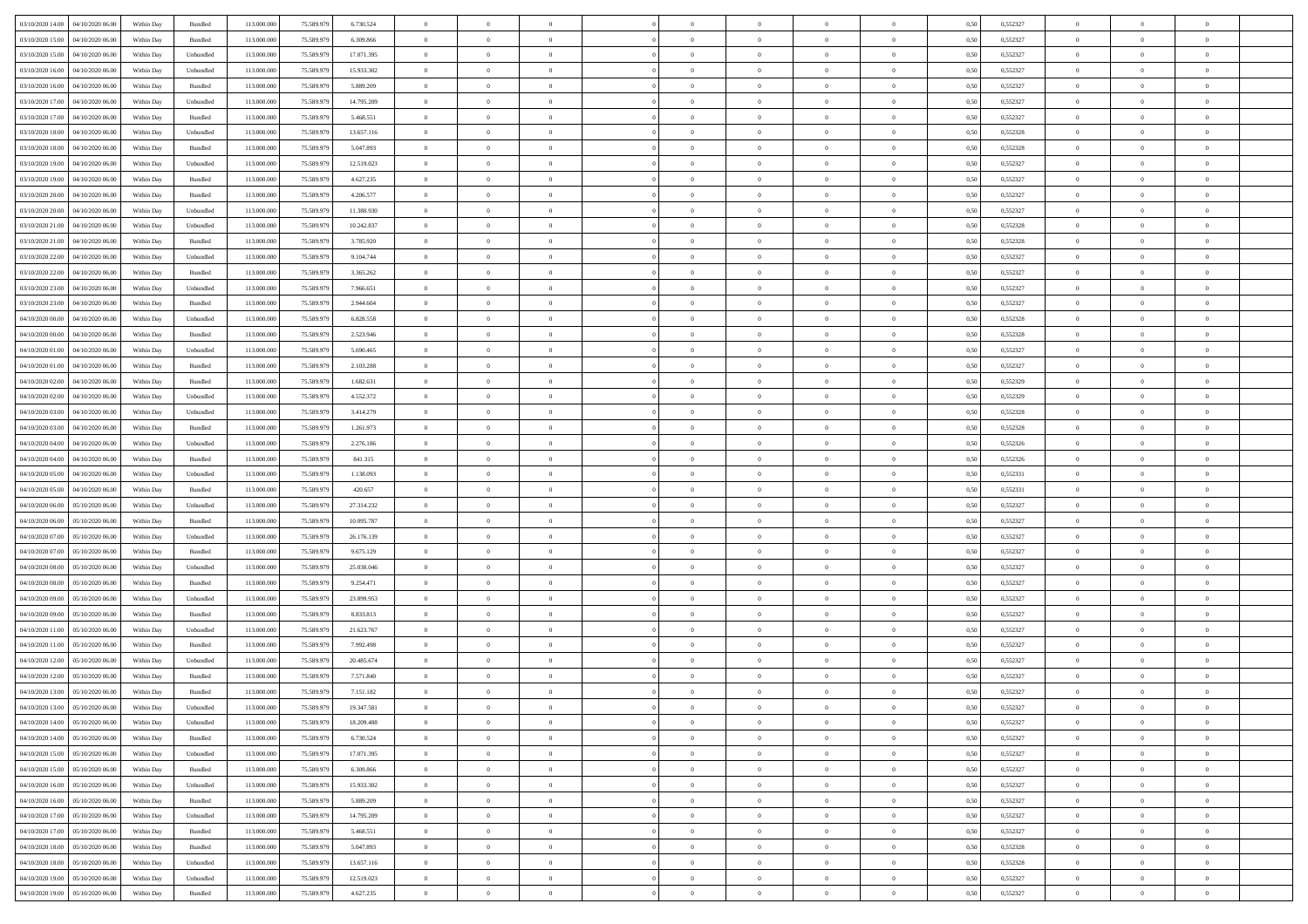| 03/10/2020 14:00<br>04/10/2020 06:00 | Within Day | Bundled           | 113.000.000 | 75.589.979 | 6.730.524  | $\overline{0}$ | $\overline{0}$   | $\overline{0}$ | $\theta$       | $\theta$       |                | $\overline{0}$ | 0,50 | 0,552327 | $\theta$       | $\theta$       | $\theta$       |  |
|--------------------------------------|------------|-------------------|-------------|------------|------------|----------------|------------------|----------------|----------------|----------------|----------------|----------------|------|----------|----------------|----------------|----------------|--|
|                                      |            |                   |             |            |            |                |                  |                |                |                | $\overline{0}$ |                |      |          |                |                |                |  |
| 03/10/2020 15:00<br>04/10/2020 06.0  | Within Day | Bundled           | 113.000.000 | 75.589.979 | 6.309.866  | $\overline{0}$ | $\overline{0}$   | $\overline{0}$ | $\,$ 0 $\,$    | $\bf{0}$       |                | $\mathbf{0}$   | 0,50 | 0,552327 | $\overline{0}$ | $\bf{0}$       | $\overline{0}$ |  |
| 03/10/2020 15:00<br>04/10/2020 06:00 | Within Day | Unbundled         | 113,000,000 | 75.589.979 | 17.071.395 | $\overline{0}$ | $\overline{0}$   | $\overline{0}$ | $\bf{0}$       | $\bf{0}$       | $\overline{0}$ | $\,$ 0 $\,$    | 0.50 | 0.552327 | $\bf{0}$       | $\overline{0}$ | $\bf{0}$       |  |
| 03/10/2020 16:00<br>04/10/2020 06.00 | Within Day | Unbundled         | 113.000.000 | 75.589.979 | 15.933.302 | $\overline{0}$ | $\overline{0}$   | $\overline{0}$ | $\overline{0}$ | $\overline{0}$ | $\overline{0}$ | $\,$ 0 $\,$    | 0,50 | 0,552327 | $\theta$       | $\overline{0}$ | $\overline{0}$ |  |
| 03/10/2020 16.00<br>04/10/2020 06.0  | Within Day | Bundled           | 113.000.000 | 75.589.979 | 5.889.209  | $\overline{0}$ | $\overline{0}$   | $\overline{0}$ | $\bf{0}$       | $\bf{0}$       | $\overline{0}$ | $\bf{0}$       | 0,50 | 0,552327 | $\,$ 0 $\,$    | $\bf{0}$       | $\overline{0}$ |  |
| 03/10/2020 17:00<br>04/10/2020 06:00 | Within Day | Unbundled         | 113,000,000 | 75.589.979 | 14.795.209 | $\overline{0}$ | $\overline{0}$   | $\overline{0}$ | $\bf{0}$       | $\bf{0}$       | $\overline{0}$ | $\mathbf{0}$   | 0.50 | 0.552327 | $\,$ 0 $\,$    | $\theta$       | $\overline{0}$ |  |
| 03/10/2020 17.00<br>04/10/2020 06.00 | Within Day | Bundled           | 113.000.000 | 75.589.979 | 5.468.551  | $\overline{0}$ | $\overline{0}$   | $\overline{0}$ | $\overline{0}$ | $\overline{0}$ | $\overline{0}$ | $\bf{0}$       | 0,50 | 0,552327 | $\theta$       | $\theta$       | $\overline{0}$ |  |
| 03/10/2020 18.00<br>04/10/2020 06.0  | Within Day | Unbundled         | 113.000.000 | 75.589.979 | 13.657.116 | $\overline{0}$ | $\overline{0}$   | $\overline{0}$ | $\,$ 0 $\,$    | $\bf{0}$       | $\overline{0}$ | $\bf{0}$       | 0,50 | 0,552328 | $\,$ 0 $\,$    | $\bf{0}$       | $\overline{0}$ |  |
| 03/10/2020 18:00<br>04/10/2020 06:00 | Within Day | Bundled           | 113,000,000 | 75.589.979 | 5.047.893  | $\overline{0}$ | $\overline{0}$   | $\overline{0}$ | $\bf{0}$       | $\bf{0}$       | $\overline{0}$ | $\mathbf{0}$   | 0.50 | 0.552328 | $\bf{0}$       | $\overline{0}$ | $\bf{0}$       |  |
| 03/10/2020 19:00<br>04/10/2020 06.00 | Within Day | Unbundled         | 113.000.000 | 75.589.979 | 12.519.023 | $\overline{0}$ | $\overline{0}$   | $\overline{0}$ | $\bf{0}$       | $\bf{0}$       | $\overline{0}$ | $\bf{0}$       | 0,50 | 0,552327 | $\,$ 0         | $\,$ 0 $\,$    | $\overline{0}$ |  |
|                                      |            |                   |             |            |            |                |                  |                |                |                |                |                |      |          |                |                |                |  |
| 03/10/2020 19:00<br>04/10/2020 06.0  | Within Day | Bundled           | 113.000.000 | 75.589.979 | 4.627.235  | $\overline{0}$ | $\overline{0}$   | $\overline{0}$ | $\,$ 0 $\,$    | $\bf{0}$       | $\overline{0}$ | $\bf{0}$       | 0,50 | 0,552327 | $\,$ 0 $\,$    | $\bf{0}$       | $\overline{0}$ |  |
| 03/10/2020 20:00<br>04/10/2020 06:00 | Within Day | Bundled           | 113,000,000 | 75.589.979 | 4.206.577  | $\overline{0}$ | $\overline{0}$   | $\overline{0}$ | $\bf{0}$       | $\bf{0}$       | $\overline{0}$ | $\,$ 0 $\,$    | 0.50 | 0.552327 | $\bf{0}$       | $\overline{0}$ | $\,$ 0         |  |
| 03/10/2020 20.00<br>04/10/2020 06.00 | Within Day | Unbundled         | 113.000.000 | 75.589.979 | 11.380.930 | $\overline{0}$ | $\overline{0}$   | $\overline{0}$ | $\overline{0}$ | $\overline{0}$ | $\overline{0}$ | $\,$ 0 $\,$    | 0,50 | 0,552327 | $\,$ 0 $\,$    | $\theta$       | $\overline{0}$ |  |
| 03/10/2020 21.00<br>04/10/2020 06.0  | Within Day | Unbundled         | 113.000.000 | 75.589.979 | 10.242.837 | $\overline{0}$ | $\overline{0}$   | $\overline{0}$ | $\bf{0}$       | $\bf{0}$       | $\overline{0}$ | $\bf{0}$       | 0,50 | 0,552328 | $\,$ 0 $\,$    | $\bf{0}$       | $\overline{0}$ |  |
| 03/10/2020 21:00<br>04/10/2020 06:00 | Within Day | Bundled           | 113,000,000 | 75.589.979 | 3.785.920  | $\overline{0}$ | $\overline{0}$   | $\overline{0}$ | $\bf{0}$       | $\bf{0}$       | $\overline{0}$ | $\mathbf{0}$   | 0.50 | 0.552328 | $\,$ 0 $\,$    | $\theta$       | $\overline{0}$ |  |
| 03/10/2020 22.00<br>04/10/2020 06.00 | Within Day | Unbundled         | 113.000.000 | 75.589.979 | 9.104.744  | $\overline{0}$ | $\overline{0}$   | $\overline{0}$ | $\bf{0}$       | $\overline{0}$ | $\overline{0}$ | $\bf{0}$       | 0,50 | 0,552327 | $\theta$       | $\theta$       | $\overline{0}$ |  |
| 03/10/2020 22.00<br>04/10/2020 06.0  | Within Day | Bundled           | 113.000.000 | 75.589.979 | 3.365.262  | $\overline{0}$ | $\overline{0}$   | $\overline{0}$ | $\,$ 0 $\,$    | $\bf{0}$       | $\overline{0}$ | $\bf{0}$       | 0,50 | 0,552327 | $\,$ 0 $\,$    | $\bf{0}$       | $\overline{0}$ |  |
| 03/10/2020 23.00<br>04/10/2020 06:00 | Within Day | Unbundled         | 113,000,000 | 75.589.979 | 7.966.651  | $\overline{0}$ | $\overline{0}$   | $\overline{0}$ | $\bf{0}$       | $\bf{0}$       | $\overline{0}$ | $\mathbf{0}$   | 0.50 | 0.552327 | $\bf{0}$       | $\overline{0}$ | $\bf{0}$       |  |
| 03/10/2020 23.00<br>04/10/2020 06.00 | Within Day | Bundled           | 113.000.000 | 75.589.979 | 2.944.604  | $\overline{0}$ | $\overline{0}$   | $\overline{0}$ | $\bf{0}$       | $\overline{0}$ | $\overline{0}$ | $\bf{0}$       | 0,50 | 0,552327 | $\,$ 0 $\,$    | $\,$ 0 $\,$    | $\overline{0}$ |  |
|                                      |            |                   |             |            |            |                |                  |                |                |                |                |                |      |          |                |                |                |  |
| 04/10/2020 00.00<br>04/10/2020 06.0  | Within Day | Unbundled         | 113.000.000 | 75.589.979 | 6.828.558  | $\overline{0}$ | $\overline{0}$   | $\overline{0}$ | $\,$ 0 $\,$    | $\bf{0}$       | $\overline{0}$ | $\bf{0}$       | 0,50 | 0,552328 | $\,$ 0 $\,$    | $\bf{0}$       | $\overline{0}$ |  |
| 04/10/2020 00.00<br>04/10/2020 06:00 | Within Day | Bundled           | 113,000,000 | 75.589.979 | 2.523.946  | $\overline{0}$ | $\overline{0}$   | $\overline{0}$ | $\bf{0}$       | $\bf{0}$       | $\overline{0}$ | $\,$ 0 $\,$    | 0.50 | 0.552328 | $\bf{0}$       | $\overline{0}$ | $\,$ 0         |  |
| 04/10/2020 01.00<br>04/10/2020 06.00 | Within Day | Unbundled         | 113.000.000 | 75.589.979 | 5.690.465  | $\overline{0}$ | $\overline{0}$   | $\overline{0}$ | $\overline{0}$ | $\overline{0}$ | $\overline{0}$ | $\,$ 0 $\,$    | 0,50 | 0,552327 | $\theta$       | $\overline{0}$ | $\overline{0}$ |  |
| 04/10/2020 01.00<br>04/10/2020 06.0  | Within Day | Bundled           | 113.000.000 | 75.589.979 | 2.103.288  | $\overline{0}$ | $\overline{0}$   | $\overline{0}$ | $\overline{0}$ | $\bf{0}$       | $\overline{0}$ | $\bf{0}$       | 0,50 | 0,552327 | $\,$ 0 $\,$    | $\bf{0}$       | $\overline{0}$ |  |
| 04/10/2020 02.00<br>04/10/2020 06:00 | Within Day | Bundled           | 113,000,000 | 75.589.979 | 1.682.631  | $\overline{0}$ | $\overline{0}$   | $\overline{0}$ | $\bf{0}$       | $\bf{0}$       | $\overline{0}$ | $\mathbf{0}$   | 0.50 | 0.552329 | $\,$ 0 $\,$    | $\overline{0}$ | $\overline{0}$ |  |
| 04/10/2020 02.00<br>04/10/2020 06.00 | Within Day | Unbundled         | 113.000.000 | 75.589.979 | 4.552.372  | $\overline{0}$ | $\overline{0}$   | $\overline{0}$ | $\overline{0}$ | $\overline{0}$ | $\overline{0}$ | $\bf{0}$       | 0,50 | 0,552329 | $\,$ 0 $\,$    | $\theta$       | $\overline{0}$ |  |
| 04/10/2020 03.00<br>04/10/2020 06.0  | Within Day | Unbundled         | 113.000.000 | 75.589.979 | 3.414.279  | $\overline{0}$ | $\overline{0}$   | $\overline{0}$ | $\,$ 0 $\,$    | $\bf{0}$       | $\overline{0}$ | $\bf{0}$       | 0,50 | 0,552328 | $\,$ 0 $\,$    | $\bf{0}$       | $\overline{0}$ |  |
| 04/10/2020 03.00<br>04/10/2020 06:00 | Within Day | Bundled           | 113,000,000 | 75.589.979 | 1.261.973  | $\overline{0}$ | $\overline{0}$   | $\overline{0}$ | $\bf{0}$       | $\bf{0}$       | $\overline{0}$ | $\mathbf{0}$   | 0.50 | 0.552328 | $\bf{0}$       | $\overline{0}$ | $\bf{0}$       |  |
| 04/10/2020 04.00<br>04/10/2020 06.00 | Within Day | Unbundled         | 113.000.000 | 75.589.979 | 2.276.186  | $\overline{0}$ | $\overline{0}$   | $\overline{0}$ | $\bf{0}$       | $\overline{0}$ | $\overline{0}$ | $\bf{0}$       | 0,50 | 0,552326 | $\,$ 0         | $\overline{0}$ | $\overline{0}$ |  |
| 04/10/2020 04.00<br>04/10/2020 06.0  | Within Day | Bundled           | 113.000.000 | 75.589.979 | 841.315    | $\overline{0}$ | $\overline{0}$   | $\overline{0}$ | $\overline{0}$ | $\bf{0}$       | $\overline{0}$ | $\mathbf{0}$   | 0,50 | 0,552326 | $\overline{0}$ | $\bf{0}$       | $\overline{0}$ |  |
| 04/10/2020 05:00<br>04/10/2020 06:00 |            | Unbundled         | 113,000,000 | 75.589.979 | 1.138.093  |                |                  |                |                | $\bf{0}$       | $\overline{0}$ | $\,$ 0 $\,$    | 0.50 | 0.552331 | $\bf{0}$       | $\overline{0}$ | $\,$ 0         |  |
|                                      | Within Day |                   |             |            |            | $\overline{0}$ | $\overline{0}$   | $\overline{0}$ | $\bf{0}$       |                |                |                |      |          |                |                |                |  |
| 04/10/2020 05.00<br>04/10/2020 06.00 | Within Day | Bundled           | 113.000.000 | 75.589.979 | 420.657    | $\overline{0}$ | $\overline{0}$   | $\overline{0}$ | $\overline{0}$ | $\overline{0}$ | $\overline{0}$ | $\overline{0}$ | 0.50 | 0,552331 | $\theta$       | $\theta$       | $\overline{0}$ |  |
| 04/10/2020 06.00<br>05/10/2020 06.0  | Within Day | Unbundled         | 113.000.000 | 75.589.979 | 27.314.232 | $\overline{0}$ | $\overline{0}$   | $\overline{0}$ | $\,$ 0 $\,$    | $\bf{0}$       | $\overline{0}$ | $\bf{0}$       | 0,50 | 0,552327 | $\,$ 0 $\,$    | $\bf{0}$       | $\overline{0}$ |  |
| 04/10/2020 06.00<br>05/10/2020 06.00 | Within Day | Bundled           | 113,000,000 | 75.589.979 | 10.095.787 | $\overline{0}$ | $\overline{0}$   | $\overline{0}$ | $\bf{0}$       | $\bf{0}$       | $\overline{0}$ | $\mathbf{0}$   | 0.50 | 0.552327 | $\,$ 0 $\,$    | $\bf{0}$       | $\overline{0}$ |  |
| 04/10/2020 07:00<br>05/10/2020 06.00 | Within Day | Unbundled         | 113.000.000 | 75.589.979 | 26.176.139 | $\overline{0}$ | $\overline{0}$   | $\overline{0}$ | $\overline{0}$ | $\overline{0}$ | $\overline{0}$ | $\overline{0}$ | 0.50 | 0,552327 | $\theta$       | $\theta$       | $\overline{0}$ |  |
| 04/10/2020 07.00<br>05/10/2020 06.0  | Within Day | Bundled           | 113.000.000 | 75.589.979 | 9.675.129  | $\overline{0}$ | $\overline{0}$   | $\overline{0}$ | $\overline{0}$ | $\bf{0}$       | $\overline{0}$ | $\bf{0}$       | 0,50 | 0,552327 | $\,$ 0 $\,$    | $\bf{0}$       | $\overline{0}$ |  |
| 04/10/2020 08:00<br>05/10/2020 06:00 | Within Day | Unbundled         | 113,000,000 | 75.589.979 | 25.038.046 | $\overline{0}$ | $\overline{0}$   | $\overline{0}$ | $\bf{0}$       | $\bf{0}$       | $\overline{0}$ | $\mathbf{0}$   | 0.50 | 0.552327 | $\bf{0}$       | $\overline{0}$ | $\bf{0}$       |  |
| 04/10/2020 08:00<br>05/10/2020 06.00 | Within Day | Bundled           | 113.000.000 | 75.589.979 | 9.254.471  | $\overline{0}$ | $\overline{0}$   | $\overline{0}$ | $\overline{0}$ | $\overline{0}$ | $\overline{0}$ | $\overline{0}$ | 0,50 | 0,552327 | $\overline{0}$ | $\overline{0}$ | $\overline{0}$ |  |
| 04/10/2020 09.00<br>05/10/2020 06.0  | Within Day | Unbundled         | 113.000.000 | 75.589.979 | 23.899.953 | $\overline{0}$ | $\overline{0}$   | $\overline{0}$ | $\overline{0}$ | $\bf{0}$       | $\overline{0}$ | $\mathbf{0}$   | 0,50 | 0,552327 | $\overline{0}$ | $\bf{0}$       | $\overline{0}$ |  |
| 04/10/2020 09.00<br>05/10/2020 06:00 | Within Day | Bundled           | 113.000.000 | 75.589.979 | 8.833.813  | $\overline{0}$ | $\overline{0}$   | $\overline{0}$ | $\bf{0}$       | $\overline{0}$ | $\overline{0}$ | $\,$ 0 $\,$    | 0.50 | 0.552327 | $\bf{0}$       | $\overline{0}$ | $\,$ 0         |  |
| 04/10/2020 11:00<br>05/10/2020 06.00 | Within Day | Unbundled         | 113.000.000 | 75.589.979 | 21.623.767 | $\overline{0}$ | $\overline{0}$   | $\overline{0}$ | $\overline{0}$ | $\overline{0}$ | $\overline{0}$ | $\overline{0}$ | 0.50 | 0,552327 | $\overline{0}$ | $\theta$       | $\overline{0}$ |  |
| 04/10/2020 11:00<br>05/10/2020 06.0  | Within Day | Bundled           | 113.000.000 | 75.589.979 | 7.992.498  | $\overline{0}$ | $\overline{0}$   | $\overline{0}$ | $\overline{0}$ | $\bf{0}$       | $\overline{0}$ | $\bf{0}$       | 0,50 | 0,552327 | $\,$ 0 $\,$    | $\bf{0}$       | $\overline{0}$ |  |
|                                      |            |                   |             |            |            |                |                  |                |                |                |                |                |      |          |                |                |                |  |
| 04/10/2020 12:00<br>05/10/2020 06:00 | Within Day | Unbundled         | 113,000,000 | 75.589.979 | 20.485.674 | $\overline{0}$ | $\overline{0}$   | $\overline{0}$ | $\bf{0}$       | $\overline{0}$ | $\overline{0}$ | $\mathbf{0}$   | 0.50 | 0.552327 | $\,$ 0 $\,$    | $\theta$       | $\overline{0}$ |  |
| 04/10/2020 12:00<br>05/10/2020 06.00 | Within Day | Bundled           | 113.000.000 | 75.589.979 | 7.571.840  | $\overline{0}$ | $\overline{0}$   | $\overline{0}$ | $\overline{0}$ | $\overline{0}$ | $\Omega$       | $\overline{0}$ | 0.50 | 0,552327 | $\theta$       | $\theta$       | $\overline{0}$ |  |
| 04/10/2020 13:00<br>05/10/2020 06.00 | Within Day | Bundled           | 113.000.000 | 75.589.979 | 7.151.182  | $\overline{0}$ | $\overline{0}$   | $\overline{0}$ | $\overline{0}$ | $\bf{0}$       | $\overline{0}$ | $\bf{0}$       | 0,50 | 0,552327 | $\overline{0}$ | $\bf{0}$       | $\overline{0}$ |  |
| 04/10/2020 13:00  05/10/2020 06:00   | Within Day | ${\sf Unbundred}$ | 113.000.000 | 75.589.979 | 19.347.581 | $\bf{0}$       | $\boldsymbol{0}$ |                | $\bf{0}$       |                |                | $\Omega$       | 0,50 | 0,552327 | $\theta$       | $\bf{0}$       |                |  |
| 04/10/2020 14:00 05/10/2020 06:00    | Within Dav | Unbundled         | 113.000.000 | 75.589.979 | 18.209.488 | $\overline{0}$ | $\overline{0}$   | $\overline{0}$ | $\overline{0}$ | $\overline{0}$ | $\overline{0}$ | $\overline{0}$ | 0,50 | 0,552327 | $\theta$       | $\theta$       | $\overline{0}$ |  |
| 04/10/2020 14:00<br>05/10/2020 06.00 | Within Day | Bundled           | 113.000.000 | 75.589.979 | 6.730.524  | $\overline{0}$ | $\overline{0}$   | $\overline{0}$ | $\bf{0}$       | $\overline{0}$ | $\overline{0}$ | $\mathbf{0}$   | 0,50 | 0,552327 | $\overline{0}$ | $\overline{0}$ | $\bf{0}$       |  |
| 04/10/2020 15:00<br>05/10/2020 06:00 | Within Day | Unbundled         | 113.000.000 | 75.589.979 | 17.071.395 | $\overline{0}$ | $\overline{0}$   | $\overline{0}$ | $\bf{0}$       | $\bf{0}$       | $\overline{0}$ | $\mathbf{0}$   | 0.50 | 0.552327 | $\overline{0}$ | $\bf{0}$       | $\overline{0}$ |  |
| 04/10/2020 15:00<br>05/10/2020 06:00 | Within Dav | Bundled           | 113.000.000 | 75.589.979 | 6.309.866  | $\overline{0}$ | $\overline{0}$   | $\overline{0}$ | $\overline{0}$ | $\overline{0}$ | $\overline{0}$ | $\mathbf{0}$   | 0,50 | 0,552327 | $\overline{0}$ | $\theta$       | $\overline{0}$ |  |
| 04/10/2020 16.00<br>05/10/2020 06.00 | Within Day | Unbundled         | 113.000.000 | 75.589.979 | 15.933.302 | $\overline{0}$ | $\overline{0}$   | $\overline{0}$ | $\bf{0}$       | $\bf{0}$       | $\overline{0}$ | $\mathbf{0}$   | 0,50 | 0,552327 | $\overline{0}$ | $\bf{0}$       | $\overline{0}$ |  |
| 04/10/2020 16.00<br>05/10/2020 06.00 | Within Day | Bundled           | 113.000.000 | 75.589.979 | 5.889.209  | $\overline{0}$ | $\overline{0}$   | $\overline{0}$ | $\bf{0}$       | $\overline{0}$ | $\overline{0}$ | $\mathbf{0}$   | 0.50 | 0.552327 | $\,$ 0 $\,$    | $\theta$       | $\,$ 0         |  |
|                                      |            |                   |             |            |            |                |                  |                |                |                |                |                |      |          |                |                |                |  |
| 04/10/2020 17.00<br>05/10/2020 06:00 | Within Day | Unbundled         | 113.000.000 | 75.589.979 | 14.795.209 | $\overline{0}$ | $\overline{0}$   | $\overline{0}$ | $\overline{0}$ | $\overline{0}$ | $\overline{0}$ | $\mathbf{0}$   | 0,50 | 0,552327 | $\overline{0}$ | $\theta$       | $\overline{0}$ |  |
| 04/10/2020 17.00<br>05/10/2020 06.00 | Within Day | Bundled           | 113.000.000 | 75.589.979 | 5.468.551  | $\overline{0}$ | $\overline{0}$   | $\overline{0}$ | $\bf{0}$       | $\overline{0}$ | $\overline{0}$ | $\,$ 0 $\,$    | 0,50 | 0,552327 | $\bf{0}$       | $\bf{0}$       | $\overline{0}$ |  |
| 04/10/2020 18.00<br>05/10/2020 06.00 | Within Day | Bundled           | 113.000.000 | 75.589.979 | 5.047.893  | $\overline{0}$ | $\overline{0}$   | $\overline{0}$ | $\bf{0}$       | $\overline{0}$ | $\overline{0}$ | $\,$ 0 $\,$    | 0.50 | 0.552328 | $\overline{0}$ | $\bf{0}$       | $\,$ 0         |  |
| 04/10/2020 18:00<br>05/10/2020 06:00 | Within Dav | Unbundled         | 113.000.000 | 75.589.979 | 13.657.116 | $\overline{0}$ | $\overline{0}$   | $\overline{0}$ | $\overline{0}$ | $\overline{0}$ | $\overline{0}$ | $\mathbf{0}$   | 0,50 | 0,552328 | $\overline{0}$ | $\theta$       | $\overline{0}$ |  |
| 04/10/2020 19.00<br>05/10/2020 06.0  | Within Day | Unbundled         | 113.000.000 | 75.589.979 | 12.519.023 | $\overline{0}$ | $\overline{0}$   | $\overline{0}$ | $\overline{0}$ | $\bf{0}$       | $\overline{0}$ | $\mathbf{0}$   | 0,50 | 0,552327 | $\bf{0}$       | $\bf{0}$       | $\overline{0}$ |  |
| 04/10/2020 19:00 05/10/2020 06:00    | Within Day | Bundled           | 113.000.000 | 75.589.979 | 4.627.235  | $\,$ 0 $\,$    | $\overline{0}$   | $\overline{0}$ | $\bf{0}$       | $\,$ 0         | $\overline{0}$ | $\,0\,$        | 0,50 | 0,552327 | $\overline{0}$ | $\,$ 0 $\,$    | $\,$ 0 $\,$    |  |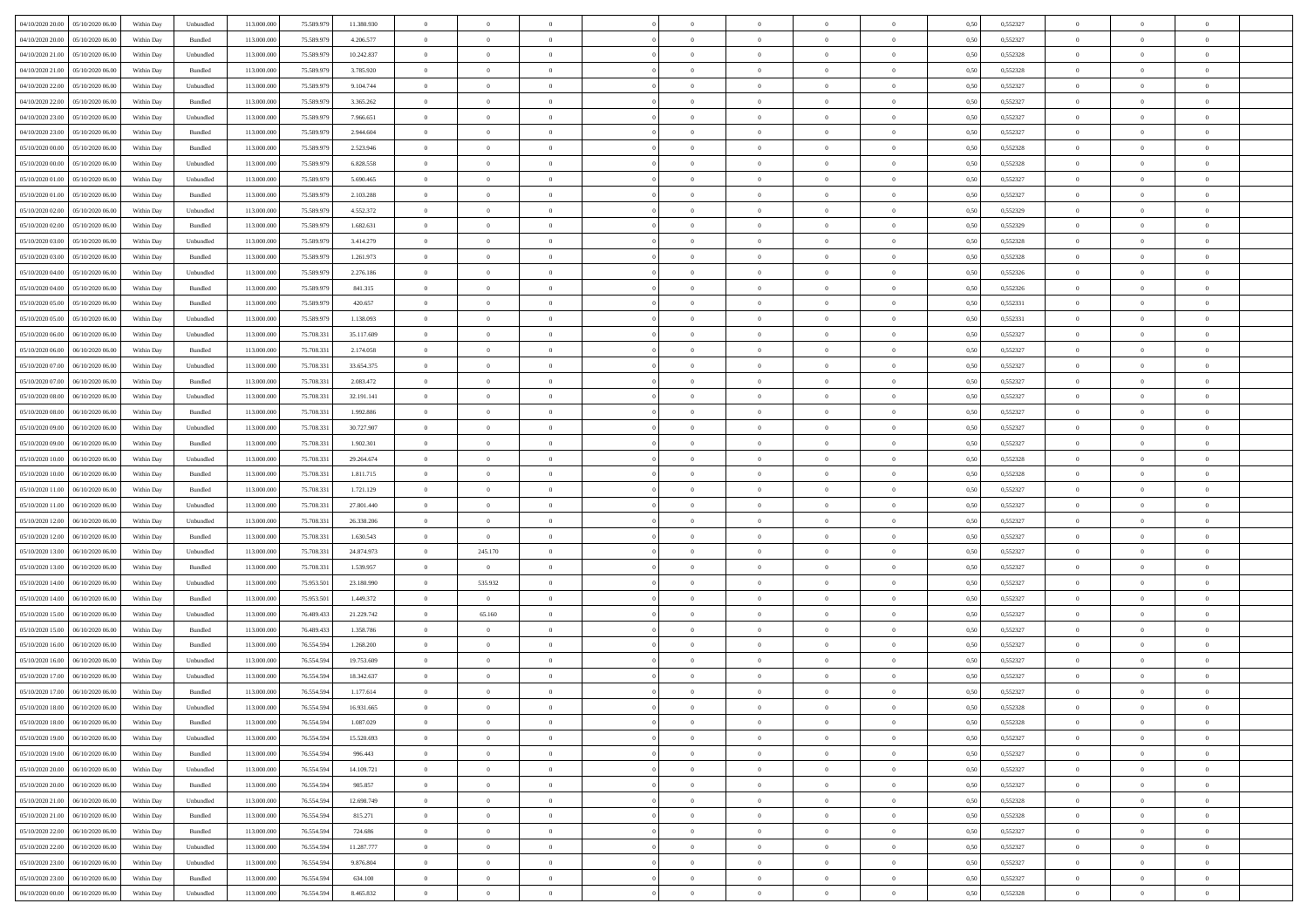| 04/10/2020 20.00 05/10/2020 06:00     | Within Day | Unbundled                   | 113.000.000 | 75.589.979 | 11.380.930 | $\overline{0}$ | $\overline{0}$ |                | $\overline{0}$ | $\theta$       |                | $\theta$       | 0,50 | 0,552327 | $\theta$       | $\theta$       | $\overline{0}$ |  |
|---------------------------------------|------------|-----------------------------|-------------|------------|------------|----------------|----------------|----------------|----------------|----------------|----------------|----------------|------|----------|----------------|----------------|----------------|--|
| 04/10/2020 20.00<br>05/10/2020 06.00  | Within Day | Bundled                     | 113.000.00  | 75.589.97  | 4.206.577  | $\bf{0}$       | $\bf{0}$       | $\bf{0}$       | $\overline{0}$ | $\overline{0}$ | $\overline{0}$ | $\bf{0}$       | 0,50 | 0,552327 | $\,$ 0 $\,$    | $\bf{0}$       | $\overline{0}$ |  |
| 04/10/2020 21.00<br>05/10/2020 06:00  | Within Day | Unbundled                   | 113,000,000 | 75.589.979 | 10.242.837 | $\overline{0}$ | $\bf{0}$       | $\overline{0}$ | $\bf{0}$       | $\bf{0}$       | $\overline{0}$ | $\bf{0}$       | 0.50 | 0,552328 | $\bf{0}$       | $\overline{0}$ | $\overline{0}$ |  |
| 04/10/2020 21:00<br>05/10/2020 06:00  | Within Day | Bundled                     | 113.000.000 | 75.589.979 | 3.785.920  | $\overline{0}$ | $\overline{0}$ | $\overline{0}$ | $\theta$       | $\theta$       | $\overline{0}$ | $\bf{0}$       | 0,50 | 0,552328 | $\theta$       | $\theta$       | $\overline{0}$ |  |
| 04/10/2020 22.00<br>05/10/2020 06.00  | Within Day | Unbundled                   | 113.000.00  | 75.589.97  | 9.104.744  | $\bf{0}$       | $\overline{0}$ | $\bf{0}$       | $\overline{0}$ | $\theta$       | $\overline{0}$ | $\bf{0}$       | 0,50 | 0,552327 | $\,$ 0 $\,$    | $\bf{0}$       | $\overline{0}$ |  |
| 04/10/2020 22.00<br>05/10/2020 06:00  | Within Day | Bundled                     | 113,000,000 | 75.589.979 | 3.365.262  | $\overline{0}$ | $\bf{0}$       | $\overline{0}$ | $\bf{0}$       | $\overline{0}$ | $\theta$       | $\bf{0}$       | 0.50 | 0.552327 | $\,$ 0 $\,$    | $\theta$       | $\overline{0}$ |  |
| 04/10/2020 23:00<br>05/10/2020 06.00  | Within Day | Unbundled                   | 113.000.000 | 75.589.979 | 7.966.651  | $\overline{0}$ | $\overline{0}$ | $\overline{0}$ | $\overline{0}$ | $\overline{0}$ | $\overline{0}$ | $\bf{0}$       | 0,50 | 0,552327 | $\,$ 0 $\,$    | $\theta$       | $\overline{0}$ |  |
|                                       |            |                             |             |            |            |                | $\bf{0}$       |                | $\overline{0}$ | $\bf{0}$       | $\overline{0}$ |                |      |          | $\,$ 0 $\,$    | $\bf{0}$       | $\overline{0}$ |  |
| 04/10/2020 23.00<br>05/10/2020 06.00  | Within Day | Bundled                     | 113.000.00  | 75.589.97  | 2.944.604  | $\bf{0}$       |                | $\bf{0}$       |                |                |                | $\bf{0}$       | 0,50 | 0,552327 |                |                |                |  |
| 05/10/2020 00:00<br>05/10/2020 06:00  | Within Day | Bundled                     | 113,000,000 | 75.589.979 | 2.523.946  | $\overline{0}$ | $\bf{0}$       | $\overline{0}$ | $\bf{0}$       | $\overline{0}$ | $\overline{0}$ | $\bf{0}$       | 0.50 | 0.552328 | $\bf{0}$       | $\overline{0}$ | $\overline{0}$ |  |
| 05/10/2020 00:00<br>05/10/2020 06.00  | Within Day | Unbundled                   | 113.000.000 | 75.589.979 | 6.828.558  | $\overline{0}$ | $\bf{0}$       | $\overline{0}$ | $\overline{0}$ | $\overline{0}$ | $\overline{0}$ | $\bf{0}$       | 0,50 | 0,552328 | $\,$ 0 $\,$    | $\bf{0}$       | $\overline{0}$ |  |
| 05/10/2020 01:00<br>05/10/2020 06.00  | Within Day | Unbundled                   | 113.000.00  | 75.589.979 | 5.690.465  | $\bf{0}$       | $\overline{0}$ | $\bf{0}$       | $\bf{0}$       | $\bf{0}$       | $\overline{0}$ | $\bf{0}$       | 0,50 | 0,552327 | $\,$ 0 $\,$    | $\bf{0}$       | $\overline{0}$ |  |
| 05/10/2020 01:00<br>05/10/2020 06:00  | Within Day | Bundled                     | 113,000,000 | 75.589.979 | 2.103.288  | $\overline{0}$ | $\bf{0}$       | $\overline{0}$ | $\bf{0}$       | $\bf{0}$       | $\overline{0}$ | $\bf{0}$       | 0.50 | 0,552327 | $\bf{0}$       | $\overline{0}$ | $\bf{0}$       |  |
| 05/10/2020 02:00<br>05/10/2020 06.00  | Within Day | Unbundled                   | 113.000.000 | 75.589.979 | 4.552.372  | $\overline{0}$ | $\overline{0}$ | $\overline{0}$ | $\theta$       | $\theta$       | $\overline{0}$ | $\bf{0}$       | 0,50 | 0,552329 | $\,$ 0 $\,$    | $\theta$       | $\overline{0}$ |  |
| 05/10/2020 02.00<br>05/10/2020 06.00  | Within Day | Bundled                     | 113.000.00  | 75.589.97  | 1.682.631  | $\bf{0}$       | $\overline{0}$ | $\bf{0}$       | $\overline{0}$ | $\theta$       | $\overline{0}$ | $\bf{0}$       | 0,50 | 0,552329 | $\,$ 0 $\,$    | $\bf{0}$       | $\overline{0}$ |  |
| 05/10/2020 03:00<br>05/10/2020 06:00  | Within Day | Unbundled                   | 113,000,000 | 75.589.979 | 3.414.279  | $\overline{0}$ | $\bf{0}$       | $\overline{0}$ | $\bf{0}$       | $\overline{0}$ | $\theta$       | $\bf{0}$       | 0.50 | 0.552328 | $\,$ 0 $\,$    | $\theta$       | $\overline{0}$ |  |
| 05/10/2020 03:00<br>05/10/2020 06.00  | Within Day | Bundled                     | 113.000.000 | 75.589.979 | 1.261.973  | $\overline{0}$ | $\overline{0}$ | $\overline{0}$ | $\overline{0}$ | $\overline{0}$ | $\overline{0}$ | $\bf{0}$       | 0,50 | 0,552328 | $\theta$       | $\theta$       | $\overline{0}$ |  |
| 05/10/2020 04:00<br>05/10/2020 06.00  | Within Day | Unbundled                   | 113.000.00  | 75.589.97  | 2.276.186  | $\bf{0}$       | $\bf{0}$       | $\bf{0}$       | $\overline{0}$ | $\bf{0}$       | $\overline{0}$ | $\bf{0}$       | 0,50 | 0,552326 | $\,$ 0 $\,$    | $\bf{0}$       | $\overline{0}$ |  |
| 05/10/2020 04:00<br>05/10/2020 06:00  | Within Day | Bundled                     | 113,000,00  | 75.589.979 | 841.315    | $\overline{0}$ | $\bf{0}$       | $\overline{0}$ | $\bf{0}$       | $\overline{0}$ | $\overline{0}$ | $\bf{0}$       | 0.50 | 0.552326 | $\bf{0}$       | $\overline{0}$ | $\overline{0}$ |  |
| 05/10/2020 05:00<br>05/10/2020 06.00  | Within Day | Bundled                     | 113.000.000 | 75.589.979 | 420.657    | $\bf{0}$       | $\bf{0}$       | $\overline{0}$ | $\overline{0}$ | $\overline{0}$ | $\overline{0}$ | $\bf{0}$       | 0,50 | 0,552331 | $\,$ 0 $\,$    | $\bf{0}$       | $\overline{0}$ |  |
| 05/10/2020 05:00<br>05/10/2020 06.00  | Within Day | Unbundled                   | 113.000.00  | 75.589.979 | 1.138.093  | $\bf{0}$       | $\bf{0}$       | $\bf{0}$       | $\bf{0}$       | $\overline{0}$ | $\overline{0}$ | $\bf{0}$       | 0,50 | 0,552331 | $\,$ 0 $\,$    | $\bf{0}$       | $\overline{0}$ |  |
| 05/10/2020 06:00<br>06/10/2020 06:00  | Within Day | Unbundled                   | 113,000,000 | 75,708.33  | 35.117.609 | $\overline{0}$ | $\bf{0}$       | $\overline{0}$ | $\bf{0}$       | $\bf{0}$       | $\overline{0}$ | $\bf{0}$       | 0.50 | 0,552327 | $\bf{0}$       | $\overline{0}$ | $\overline{0}$ |  |
| 05/10/2020 06:00<br>06/10/2020 06:00  | Within Day | Bundled                     | 113.000.000 | 75.708.331 | 2.174.058  | $\overline{0}$ | $\overline{0}$ | $\overline{0}$ | $\theta$       | $\theta$       | $\overline{0}$ | $\bf{0}$       | 0,50 | 0,552327 | $\theta$       | $\theta$       | $\overline{0}$ |  |
|                                       |            |                             |             |            |            |                |                |                |                |                |                |                |      |          |                |                |                |  |
| 05/10/2020 07:00<br>06/10/2020 06.00  | Within Day | Unbundled                   | 113.000.00  | 75.708.33  | 33.654.375 | $\bf{0}$       | $\bf{0}$       | $\bf{0}$       | $\bf{0}$       | $\overline{0}$ | $\overline{0}$ | $\bf{0}$       | 0,50 | 0,552327 | $\,$ 0 $\,$    | $\bf{0}$       | $\overline{0}$ |  |
| 05/10/2020 07.00<br>06/10/2020 06:00  | Within Day | Bundled                     | 113,000,000 | 75,708.33  | 2.083.472  | $\overline{0}$ | $\bf{0}$       | $\overline{0}$ | $\bf{0}$       | $\overline{0}$ | $\theta$       | $\bf{0}$       | 0.50 | 0.552327 | $\,$ 0 $\,$    | $\theta$       | $\overline{0}$ |  |
| 05/10/2020 08:00<br>06/10/2020 06.00  | Within Day | Unbundled                   | 113.000.000 | 75.708.331 | 32.191.141 | $\overline{0}$ | $\overline{0}$ | $\overline{0}$ | $\overline{0}$ | $\overline{0}$ | $\overline{0}$ | $\bf{0}$       | 0,50 | 0,552327 | $\,$ 0 $\,$    | $\theta$       | $\overline{0}$ |  |
| 05/10/2020 08:00<br>06/10/2020 06.00  | Within Day | Bundled                     | 113.000.00  | 75.708.33  | 1.992.886  | $\bf{0}$       | $\overline{0}$ | $\bf{0}$       | $\overline{0}$ | $\bf{0}$       | $\overline{0}$ | $\bf{0}$       | 0,50 | 0,552327 | $\,$ 0 $\,$    | $\bf{0}$       | $\overline{0}$ |  |
| 05/10/2020 09:00<br>06/10/2020 06:00  | Within Day | Unbundled                   | 113,000,000 | 75,708.33  | 30.727.907 | $\overline{0}$ | $\bf{0}$       | $\overline{0}$ | $\bf{0}$       | $\overline{0}$ | $\overline{0}$ | $\bf{0}$       | 0.50 | 0.552327 | $\bf{0}$       | $\overline{0}$ | $\overline{0}$ |  |
| 05/10/2020 09:00<br>06/10/2020 06.00  | Within Day | Bundled                     | 113.000.000 | 75.708.331 | 1.902.301  | $\overline{0}$ | $\bf{0}$       | $\overline{0}$ | $\overline{0}$ | $\overline{0}$ | $\overline{0}$ | $\bf{0}$       | 0,50 | 0,552327 | $\,$ 0 $\,$    | $\theta$       | $\overline{0}$ |  |
| 05/10/2020 10:00<br>06/10/2020 06.00  | Within Day | Unbundled                   | 113.000.00  | 75.708.33  | 29.264.674 | $\bf{0}$       | $\bf{0}$       | $\bf{0}$       | $\bf{0}$       | $\overline{0}$ | $\overline{0}$ | $\bf{0}$       | 0,50 | 0,552328 | $\,$ 0 $\,$    | $\bf{0}$       | $\overline{0}$ |  |
| 05/10/2020 10:00<br>06/10/2020 06:00  | Within Day | Bundled                     | 113,000,000 | 75,708.33  | 1.811.715  | $\overline{0}$ | $\bf{0}$       | $\overline{0}$ | $\bf{0}$       | $\bf{0}$       | $\overline{0}$ | $\bf{0}$       | 0.50 | 0,552328 | $\bf{0}$       | $\overline{0}$ | $\overline{0}$ |  |
| 05/10/2020 11:00<br>06/10/2020 06:00  | Within Day | Bundled                     | 113.000.000 | 75.708.331 | 1.721.129  | $\overline{0}$ | $\overline{0}$ | $\overline{0}$ | $\overline{0}$ | $\overline{0}$ | $\overline{0}$ | $\bf{0}$       | 0.5( | 0,552327 | $\theta$       | $\theta$       | $\overline{0}$ |  |
| 05/10/2020 11:00<br>06/10/2020 06.00  | Within Day | Unbundled                   | 113.000.00  | 75.708.33  | 27.801.440 | $\bf{0}$       | $\bf{0}$       | $\bf{0}$       | $\bf{0}$       | $\,$ 0 $\,$    | $\overline{0}$ | $\bf{0}$       | 0,50 | 0,552327 | $\,$ 0 $\,$    | $\bf{0}$       | $\overline{0}$ |  |
| 05/10/2020 12:00<br>06/10/2020 06:00  | Within Day | Unbundled                   | 113,000,000 | 75,708.33  | 26.338.206 | $\overline{0}$ | $\bf{0}$       | $\overline{0}$ | $\bf{0}$       | $\overline{0}$ | $\Omega$       | $\bf{0}$       | 0.50 | 0.552327 | $\,$ 0 $\,$    | $\bf{0}$       | $\overline{0}$ |  |
| 05/10/2020 12:00<br>06/10/2020 06:00  | Within Day | Bundled                     | 113.000.000 | 75.708.331 | 1.630.543  | $\overline{0}$ | $\overline{0}$ | $\overline{0}$ | $\overline{0}$ | $\overline{0}$ | $\overline{0}$ | $\bf{0}$       | 0.5( | 0,552327 | $\theta$       | $\theta$       | $\overline{0}$ |  |
| 05/10/2020 13:00<br>06/10/2020 06.00  | Within Day | Unbundled                   | 113.000.00  | 75.708.33  | 24.874.973 | $\bf{0}$       | 245.170        | $\bf{0}$       | $\overline{0}$ | $\bf{0}$       | $\overline{0}$ | $\bf{0}$       | 0,50 | 0,552327 | $\,$ 0 $\,$    | $\bf{0}$       | $\overline{0}$ |  |
| 05/10/2020 13:00<br>06/10/2020 06:00  | Within Day | Bundled                     | 113,000,000 | 75,708.33  | 1.539.957  | $\overline{0}$ | $\overline{0}$ | $\overline{0}$ | $\bf{0}$       | $\overline{0}$ | $\overline{0}$ | $\bf{0}$       | 0.50 | 0.552327 | $\bf{0}$       | $\overline{0}$ | $\overline{0}$ |  |
| 05/10/2020 14:00<br>06/10/2020 06:00  | Within Day | Unbundled                   | 113.000.000 | 75.953.501 | 23.180.990 | $\overline{0}$ | 535.932        | $\overline{0}$ | $\overline{0}$ | $\overline{0}$ | $\overline{0}$ | $\bf{0}$       | 0.50 | 0,552327 | $\theta$       | $\theta$       | $\overline{0}$ |  |
| 05/10/2020 14:00<br>06/10/2020 06.00  | Within Day | Bundled                     | 113.000.00  | 75.953.50  | 1.449.372  | $\bf{0}$       | $\bf{0}$       | $\bf{0}$       | $\bf{0}$       | $\overline{0}$ | $\overline{0}$ | $\bf{0}$       | 0,50 | 0,552327 | $\,$ 0 $\,$    | $\bf{0}$       | $\overline{0}$ |  |
| 06/10/2020 06:00                      |            |                             | 113,000,000 | 76,489,433 |            |                | 65.160         |                |                |                | $\overline{0}$ |                | 0.50 |          |                |                |                |  |
| 05/10/2020 15:00                      | Within Day | Unbundled                   |             |            | 21.229.742 | $\overline{0}$ |                | $\overline{0}$ | $\bf{0}$       | $\bf{0}$       |                | $\bf{0}$       |      | 0,552327 | $\bf{0}$       | $\overline{0}$ | $\overline{0}$ |  |
| 05/10/2020 15:00<br>06/10/2020 06:00  | Within Day | Bundled                     | 113.000.000 | 76.489.433 | 1.358.786  | $\overline{0}$ | $\overline{0}$ | $\overline{0}$ | $\overline{0}$ | $\overline{0}$ | $\overline{0}$ | $\bf{0}$       | 0.5( | 0,552327 | $\theta$       | $\theta$       | $\overline{0}$ |  |
| 05/10/2020 16:00<br>06/10/2020 06.00  | Within Day | Bundled                     | 113.000.00  | 76.554.59  | 1.268.200  | $\bf{0}$       | $\bf{0}$       | $\bf{0}$       | $\bf{0}$       | $\overline{0}$ | $\overline{0}$ | $\bf{0}$       | 0,50 | 0,552327 | $\,$ 0 $\,$    | $\bf{0}$       | $\overline{0}$ |  |
| 05/10/2020 16:00<br>06/10/2020 06.00  | Within Day | Unbundled                   | 113,000,000 | 76.554.59  | 19.753.609 | $\overline{0}$ | $\overline{0}$ | $\overline{0}$ | $\bf{0}$       | $\overline{0}$ | $\Omega$       | $\bf{0}$       | 0.50 | 0.552327 | $\bf{0}$       | $\theta$       | $\overline{0}$ |  |
| 05/10/2020 17:00<br>06/10/2020 06:00  | Within Dav | Unbundled                   | 113.000.000 | 76.554.59  | 18.342.637 | $\overline{0}$ | $\overline{0}$ | $\Omega$       | $\overline{0}$ | $\theta$       | $\Omega$       | $\overline{0}$ | 0.5( | 0,552327 | $\theta$       | $\theta$       | $\overline{0}$ |  |
| 05/10/2020 17.00<br>06/10/2020 06:00  | Within Day | Bundled                     | 113.000.000 | 76.554.59  | 1.177.614  | $\bf{0}$       | $\bf{0}$       | $\bf{0}$       | $\bf{0}$       | $\bf{0}$       | $\overline{0}$ | $\bf{0}$       | 0,50 | 0,552327 | $\,$ 0 $\,$    | $\bf{0}$       | $\overline{0}$ |  |
| $05/10/2020$ 18.00 $06/10/2020$ 06.00 | Within Day | $\ensuremath{\mathsf{Unb}}$ | 113.000.000 | 76.554.594 | 16.931.665 | $\overline{0}$ | $\Omega$       |                | $\Omega$       |                |                |                | 0,50 | 0,552328 | $\bf{0}$       | $\bf{0}$       |                |  |
| 05/10/2020 18:00 06/10/2020 06:00     | Within Day | Bundled                     | 113.000.000 | 76.554.594 | 1.087.029  | $\overline{0}$ | $\overline{0}$ | $\Omega$       | $\theta$       | $\overline{0}$ | $\overline{0}$ | $\bf{0}$       | 0,50 | 0,552328 | $\theta$       | $\theta$       | $\overline{0}$ |  |
| 05/10/2020 19:00<br>06/10/2020 06:00  | Within Day | Unbundled                   | 113.000.00  | 76.554.59  | 15.520.693 | $\overline{0}$ | $\bf{0}$       | $\overline{0}$ | $\overline{0}$ | $\bf{0}$       | $\overline{0}$ | $\bf{0}$       | 0,50 | 0,552327 | $\bf{0}$       | $\overline{0}$ | $\bf{0}$       |  |
| 05/10/2020 19:00   06/10/2020 06:00   | Within Day | Bundled                     | 113,000,000 | 76.554.594 | 996.443    | $\overline{0}$ | $\bf{0}$       | $\overline{0}$ | $\overline{0}$ | $\mathbf{0}$   | $\overline{0}$ | $\,$ 0 $\,$    | 0.50 | 0,552327 | $\overline{0}$ | $\bf{0}$       | $\,$ 0 $\,$    |  |
| 05/10/2020 20.00   06/10/2020 06:00   | Within Dav | Unbundled                   | 113.000.000 | 76.554.594 | 14.109.721 | $\overline{0}$ | $\overline{0}$ | $\overline{0}$ | $\overline{0}$ | $\overline{0}$ | $\overline{0}$ | $\bf{0}$       | 0,50 | 0,552327 | $\overline{0}$ | $\theta$       | $\overline{0}$ |  |
| 05/10/2020 20:00<br>06/10/2020 06.00  | Within Day | Bundled                     | 113.000.000 | 76.554.594 | 905.857    | $\overline{0}$ | $\bf{0}$       | $\overline{0}$ | $\overline{0}$ | $\overline{0}$ | $\overline{0}$ | $\bf{0}$       | 0,50 | 0,552327 | $\bf{0}$       | $\overline{0}$ | $\overline{0}$ |  |
| 05/10/2020 21.00<br>06/10/2020 06:00  | Within Day | Unbundled                   | 113,000,000 | 76.554.594 | 12.698.749 | $\overline{0}$ | $\bf{0}$       | $\overline{0}$ | $\overline{0}$ | $\overline{0}$ | $\overline{0}$ | $\bf{0}$       | 0.50 | 0.552328 | $\,$ 0 $\,$    | $\overline{0}$ | $\overline{0}$ |  |
| 05/10/2020 21:00<br>06/10/2020 06:00  | Within Dav | Bundled                     | 113.000.000 | 76.554.594 | 815.271    | $\overline{0}$ | $\overline{0}$ | $\overline{0}$ | $\overline{0}$ | $\overline{0}$ | $\overline{0}$ | $\bf{0}$       | 0,50 | 0,552328 | $\overline{0}$ | $\theta$       | $\overline{0}$ |  |
| 05/10/2020 22.00<br>06/10/2020 06.00  | Within Day | Bundled                     | 113.000.00  | 76.554.594 | 724.686    | $\overline{0}$ | $\overline{0}$ | $\overline{0}$ | $\overline{0}$ | $\overline{0}$ | $\overline{0}$ | $\bf{0}$       | 0,50 | 0,552327 | $\bf{0}$       | $\overline{0}$ | $\overline{0}$ |  |
| 05/10/2020 22.00<br>06/10/2020 06:00  | Within Day | Unbundled                   | 113,000,000 | 76.554.594 | 11.287.777 | $\overline{0}$ | $\overline{0}$ | $\overline{0}$ | $\overline{0}$ | $\bf{0}$       | $\overline{0}$ | $\bf{0}$       | 0.50 | 0.552327 | $\mathbf{0}$   | $\bf{0}$       | $\,$ 0         |  |
|                                       |            |                             |             |            |            |                |                |                |                |                |                |                |      |          |                |                |                |  |
| 05/10/2020 23:00   06/10/2020 06:00   | Within Dav | Unbundled                   | 113.000.000 | 76.554.594 | 9.876.804  | $\overline{0}$ | $\overline{0}$ | $\overline{0}$ | $\overline{0}$ | $\overline{0}$ | $\overline{0}$ | $\bf{0}$       | 0,50 | 0,552327 | $\overline{0}$ | $\theta$       | $\overline{0}$ |  |
| 05/10/2020 23.00<br>06/10/2020 06.00  | Within Day | Bundled                     | 113.000.00  | 76.554.594 | 634.100    | $\overline{0}$ | $\bf{0}$       | $\overline{0}$ | $\bf{0}$       | $\overline{0}$ | $\bf{0}$       | $\bf{0}$       | 0,50 | 0,552327 | $\bf{0}$       | $\,0\,$        | $\overline{0}$ |  |
| 06/10/2020 00:00 06/10/2020 06:00     | Within Day | Unbundled                   | 113.000.000 | 76.554.594 | 8.465.832  | $\overline{0}$ | $\bf{0}$       | $\overline{0}$ | $\overline{0}$ | $\,$ 0 $\,$    | $\overline{0}$ | $\bf{0}$       | 0,50 | 0,552328 | $\overline{0}$ | $\,$ 0 $\,$    | $\,$ 0 $\,$    |  |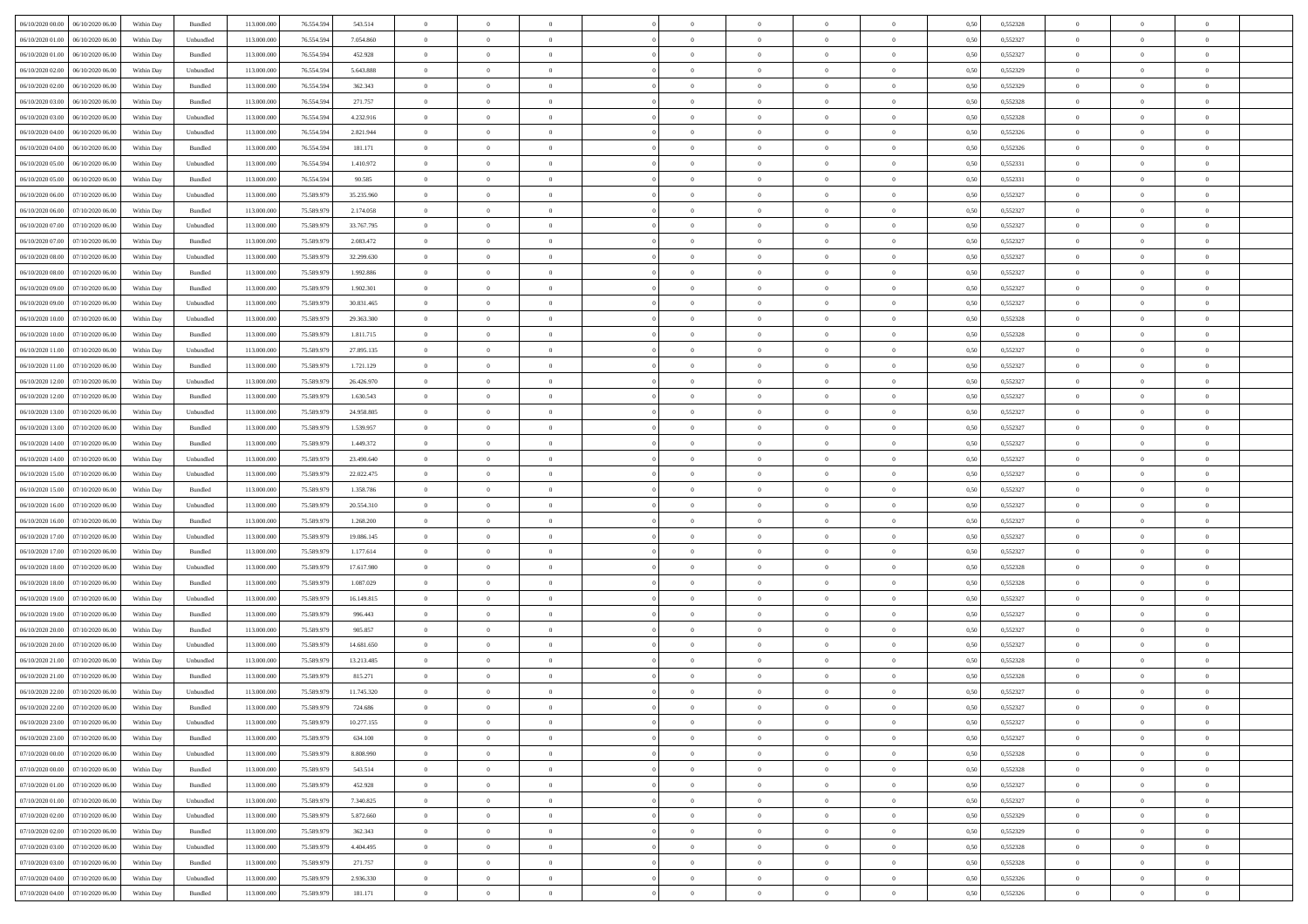| 06/10/2020 00:00<br>06/10/2020 06:00 | Within Day | Bundled            | 113.000.000 | 76.554.594 | 543.514    | $\overline{0}$ | $\overline{0}$ | $\overline{0}$ | $\theta$       | $\theta$       |                | $\overline{0}$ | 0,50 | 0,552328 | $\theta$       | $\theta$       | $\theta$       |  |
|--------------------------------------|------------|--------------------|-------------|------------|------------|----------------|----------------|----------------|----------------|----------------|----------------|----------------|------|----------|----------------|----------------|----------------|--|
|                                      |            |                    |             |            |            |                |                |                |                |                | $\overline{0}$ |                |      |          |                |                |                |  |
| 06/10/2020 01:00<br>06/10/2020 06.0  | Within Day | Unbundled          | 113.000.000 | 76.554.594 | 7.054.860  | $\overline{0}$ | $\overline{0}$ | $\overline{0}$ | $\,0\,$        | $\bf{0}$       |                | $\mathbf{0}$   | 0,50 | 0,552327 | $\,$ 0 $\,$    | $\bf{0}$       | $\overline{0}$ |  |
| 06/10/2020 01:00<br>06/10/2020 06:00 | Within Day | Bundled            | 113,000,000 | 76.554.594 | 452.928    | $\overline{0}$ | $\overline{0}$ | $\overline{0}$ | $\bf{0}$       | $\bf{0}$       | $\overline{0}$ | $\mathbf{0}$   | 0.50 | 0,552327 | $\bf{0}$       | $\overline{0}$ | $\bf{0}$       |  |
| 06/10/2020 02.00<br>06/10/2020 06.00 | Within Day | Unbundled          | 113.000.000 | 76.554.594 | 5.643.888  | $\overline{0}$ | $\overline{0}$ | $\overline{0}$ | $\overline{0}$ | $\overline{0}$ | $\overline{0}$ | $\,$ 0 $\,$    | 0,50 | 0,552329 | $\theta$       | $\overline{0}$ | $\overline{0}$ |  |
| 06/10/2020 02.00<br>06/10/2020 06.0  | Within Day | Bundled            | 113.000.000 | 76.554.594 | 362.343    | $\overline{0}$ | $\overline{0}$ | $\overline{0}$ | $\bf{0}$       | $\bf{0}$       | $\overline{0}$ | $\bf{0}$       | 0,50 | 0,552329 | $\,$ 0 $\,$    | $\bf{0}$       | $\overline{0}$ |  |
| 06/10/2020 03.00<br>06/10/2020 06:00 | Within Day | Bundled            | 113,000,000 | 76.554.594 | 271.757    | $\overline{0}$ | $\overline{0}$ | $\overline{0}$ | $\bf{0}$       | $\bf{0}$       | $\overline{0}$ | $\mathbf{0}$   | 0.50 | 0.552328 | $\,$ 0 $\,$    | $\theta$       | $\overline{0}$ |  |
| 06/10/2020 03.00<br>06/10/2020 06.00 | Within Day | Unbundled          | 113.000.000 | 76.554.594 | 4.232.916  | $\overline{0}$ | $\overline{0}$ | $\overline{0}$ | $\overline{0}$ | $\overline{0}$ | $\overline{0}$ | $\bf{0}$       | 0,50 | 0,552328 | $\theta$       | $\theta$       | $\overline{0}$ |  |
| 06/10/2020 04.00<br>06/10/2020 06.0  | Within Day | Unbundled          | 113.000.000 | 76.554.594 | 2.821.944  | $\overline{0}$ | $\overline{0}$ | $\overline{0}$ | $\,0\,$        | $\bf{0}$       | $\overline{0}$ | $\bf{0}$       | 0,50 | 0,552326 | $\,$ 0 $\,$    | $\bf{0}$       | $\overline{0}$ |  |
| 06/10/2020 04:00<br>06/10/2020 06:00 | Within Day | Bundled            | 113,000,000 | 76.554.594 | 181.171    | $\overline{0}$ | $\overline{0}$ | $\overline{0}$ | $\bf{0}$       | $\bf{0}$       | $\overline{0}$ | $\mathbf{0}$   | 0.50 | 0.552326 | $\bf{0}$       | $\overline{0}$ | $\bf{0}$       |  |
| 06/10/2020 05.00<br>06/10/2020 06.00 | Within Day | Unbundled          | 113.000.000 | 76.554.594 | 1.410.972  | $\overline{0}$ | $\overline{0}$ | $\overline{0}$ | $\bf{0}$       | $\bf{0}$       | $\overline{0}$ | $\bf{0}$       | 0,50 | 0,552331 | $\,$ 0         | $\,$ 0 $\,$    | $\overline{0}$ |  |
|                                      |            |                    |             |            |            |                |                |                |                |                |                |                |      |          |                |                |                |  |
| 06/10/2020 05.00<br>06/10/2020 06.0  | Within Day | Bundled            | 113.000.000 | 76.554.594 | 90.585     | $\overline{0}$ | $\overline{0}$ | $\overline{0}$ | $\,0\,$        | $\bf{0}$       | $\overline{0}$ | $\bf{0}$       | 0,50 | 0,552331 | $\,$ 0 $\,$    | $\bf{0}$       | $\overline{0}$ |  |
| 06/10/2020 06.00<br>07/10/2020 06:00 | Within Day | Unbundled          | 113,000,000 | 75.589.979 | 35.235.960 | $\overline{0}$ | $\overline{0}$ | $\overline{0}$ | $\bf{0}$       | $\bf{0}$       | $\overline{0}$ | $\,$ 0 $\,$    | 0.50 | 0.552327 | $\bf{0}$       | $\overline{0}$ | $\,$ 0         |  |
| 06/10/2020 06.00<br>07/10/2020 06.00 | Within Day | Bundled            | 113.000.000 | 75.589.979 | 2.174.058  | $\overline{0}$ | $\overline{0}$ | $\overline{0}$ | $\overline{0}$ | $\overline{0}$ | $\overline{0}$ | $\,$ 0 $\,$    | 0,50 | 0,552327 | $\theta$       | $\theta$       | $\overline{0}$ |  |
| 06/10/2020 07.00<br>07/10/2020 06.0  | Within Day | Unbundled          | 113.000.000 | 75.589.979 | 33.767.795 | $\overline{0}$ | $\overline{0}$ | $\overline{0}$ | $\bf{0}$       | $\bf{0}$       | $\overline{0}$ | $\bf{0}$       | 0,50 | 0,552327 | $\,$ 0 $\,$    | $\bf{0}$       | $\overline{0}$ |  |
| 06/10/2020 07.00<br>07/10/2020 06.00 | Within Day | Bundled            | 113,000,000 | 75.589.979 | 2.083.472  | $\overline{0}$ | $\overline{0}$ | $\overline{0}$ | $\bf{0}$       | $\bf{0}$       | $\overline{0}$ | $\mathbf{0}$   | 0.50 | 0.552327 | $\,$ 0 $\,$    | $\theta$       | $\overline{0}$ |  |
| 06/10/2020 08:00<br>07/10/2020 06.00 | Within Day | Unbundled          | 113.000.000 | 75.589.979 | 32.299.630 | $\overline{0}$ | $\overline{0}$ | $\overline{0}$ | $\bf{0}$       | $\overline{0}$ | $\overline{0}$ | $\bf{0}$       | 0,50 | 0,552327 | $\theta$       | $\theta$       | $\overline{0}$ |  |
| 06/10/2020 08.00<br>07/10/2020 06.0  | Within Day | Bundled            | 113.000.000 | 75.589.979 | 1.992.886  | $\overline{0}$ | $\overline{0}$ | $\overline{0}$ | $\,0\,$        | $\bf{0}$       | $\overline{0}$ | $\bf{0}$       | 0,50 | 0,552327 | $\,$ 0 $\,$    | $\bf{0}$       | $\overline{0}$ |  |
| 06/10/2020 09:00<br>07/10/2020 06:00 | Within Day | Bundled            | 113,000,000 | 75.589.979 | 1 902 301  | $\overline{0}$ | $\overline{0}$ | $\overline{0}$ | $\bf{0}$       | $\bf{0}$       | $\overline{0}$ | $\mathbf{0}$   | 0.50 | 0.552327 | $\bf{0}$       | $\overline{0}$ | $\bf{0}$       |  |
| 06/10/2020 09:00<br>07/10/2020 06.00 | Within Day | Unbundled          | 113.000.000 | 75.589.979 | 30.831.465 | $\overline{0}$ | $\overline{0}$ | $\overline{0}$ | $\bf{0}$       | $\overline{0}$ | $\overline{0}$ | $\bf{0}$       | 0,50 | 0,552327 | $\,$ 0 $\,$    | $\bf{0}$       | $\overline{0}$ |  |
|                                      |            |                    |             |            |            |                |                |                |                |                |                |                |      |          |                |                |                |  |
| 06/10/2020 10:00<br>07/10/2020 06.0  | Within Day | Unbundled          | 113.000.000 | 75.589.979 | 29.363.300 | $\overline{0}$ | $\overline{0}$ | $\overline{0}$ | $\,0\,$        | $\bf{0}$       | $\overline{0}$ | $\bf{0}$       | 0,50 | 0,552328 | $\,$ 0 $\,$    | $\bf{0}$       | $\overline{0}$ |  |
| 06/10/2020 10:00<br>07/10/2020 06:00 | Within Day | Bundled            | 113,000,000 | 75.589.979 | 1.811.715  | $\overline{0}$ | $\overline{0}$ | $\overline{0}$ | $\bf{0}$       | $\bf{0}$       | $\overline{0}$ | $\,$ 0 $\,$    | 0.50 | 0.552328 | $\bf{0}$       | $\overline{0}$ | $\,$ 0         |  |
| 06/10/2020 11:00<br>07/10/2020 06.00 | Within Day | Unbundled          | 113.000.000 | 75.589.979 | 27.895.135 | $\overline{0}$ | $\overline{0}$ | $\overline{0}$ | $\overline{0}$ | $\overline{0}$ | $\overline{0}$ | $\,$ 0 $\,$    | 0,50 | 0,552327 | $\theta$       | $\theta$       | $\overline{0}$ |  |
| 06/10/2020 11:00<br>07/10/2020 06.0  | Within Day | Bundled            | 113.000.000 | 75.589.979 | 1.721.129  | $\overline{0}$ | $\overline{0}$ | $\overline{0}$ | $\overline{0}$ | $\bf{0}$       | $\overline{0}$ | $\bf{0}$       | 0,50 | 0,552327 | $\,$ 0 $\,$    | $\bf{0}$       | $\overline{0}$ |  |
| 06/10/2020 12:00<br>07/10/2020 06:00 | Within Day | Unbundled          | 113,000,000 | 75.589.979 | 26.426.970 | $\overline{0}$ | $\overline{0}$ | $\overline{0}$ | $\bf{0}$       | $\overline{0}$ | $\overline{0}$ | $\mathbf{0}$   | 0.50 | 0.552327 | $\,$ 0 $\,$    | $\overline{0}$ | $\overline{0}$ |  |
| 06/10/2020 12:00<br>07/10/2020 06.00 | Within Day | Bundled            | 113.000.000 | 75.589.979 | 1.630.543  | $\overline{0}$ | $\overline{0}$ | $\overline{0}$ | $\overline{0}$ | $\overline{0}$ | $\overline{0}$ | $\bf{0}$       | 0,50 | 0,552327 | $\,$ 0 $\,$    | $\theta$       | $\overline{0}$ |  |
| 06/10/2020 13.00<br>07/10/2020 06.0  | Within Day | Unbundled          | 113.000.000 | 75.589.979 | 24.958.805 | $\overline{0}$ | $\overline{0}$ | $\overline{0}$ | $\,$ 0 $\,$    | $\bf{0}$       | $\overline{0}$ | $\bf{0}$       | 0,50 | 0,552327 | $\,$ 0 $\,$    | $\bf{0}$       | $\overline{0}$ |  |
| 06/10/2020 13:00<br>07/10/2020 06:00 | Within Day | Bundled            | 113,000,000 | 75.589.979 | 1.539.957  | $\overline{0}$ | $\overline{0}$ | $\overline{0}$ | $\bf{0}$       | $\bf{0}$       | $\overline{0}$ | $\mathbf{0}$   | 0.50 | 0.552327 | $\bf{0}$       | $\overline{0}$ | $\bf{0}$       |  |
| 06/10/2020 14:00<br>07/10/2020 06.00 | Within Day | Bundled            | 113.000.000 | 75.589.979 | 1.449.372  | $\overline{0}$ | $\overline{0}$ | $\overline{0}$ | $\bf{0}$       | $\overline{0}$ | $\overline{0}$ | $\bf{0}$       | 0,50 | 0,552327 | $\,$ 0 $\,$    | $\theta$       | $\overline{0}$ |  |
| 06/10/2020 14:00<br>07/10/2020 06.0  | Within Day | Unbundled          | 113.000.000 | 75.589.979 | 23.490.640 | $\overline{0}$ | $\overline{0}$ | $\overline{0}$ | $\overline{0}$ | $\bf{0}$       | $\overline{0}$ | $\mathbf{0}$   | 0,50 | 0,552327 | $\overline{0}$ | $\bf{0}$       | $\overline{0}$ |  |
|                                      |            |                    |             |            |            |                |                |                |                |                |                |                |      |          |                |                |                |  |
| 06/10/2020 15:00<br>07/10/2020 06:00 | Within Day | Unbundled          | 113,000,000 | 75.589.979 | 22.022.475 | $\overline{0}$ | $\overline{0}$ | $\overline{0}$ | $\bf{0}$       | $\bf{0}$       | $\overline{0}$ | $\,$ 0 $\,$    | 0.50 | 0.552327 | $\bf{0}$       | $\overline{0}$ | $\,$ 0         |  |
| 06/10/2020 15:00<br>07/10/2020 06:00 | Within Day | Bundled            | 113.000.000 | 75.589.979 | 1.358.786  | $\overline{0}$ | $\overline{0}$ | $\overline{0}$ | $\overline{0}$ | $\overline{0}$ | $\overline{0}$ | $\overline{0}$ | 0.50 | 0,552327 | $\theta$       | $\theta$       | $\overline{0}$ |  |
| 06/10/2020 16.00<br>07/10/2020 06.0  | Within Day | Unbundled          | 113.000.000 | 75.589.979 | 20.554.310 | $\overline{0}$ | $\overline{0}$ | $\overline{0}$ | $\,$ 0 $\,$    | $\bf{0}$       | $\overline{0}$ | $\bf{0}$       | 0,50 | 0,552327 | $\,$ 0 $\,$    | $\bf{0}$       | $\overline{0}$ |  |
| 06/10/2020 16.00<br>07/10/2020 06:00 | Within Day | Bundled            | 113,000,000 | 75.589.979 | 1.268.200  | $\overline{0}$ | $\overline{0}$ | $\overline{0}$ | $\bf{0}$       | $\bf{0}$       | $\overline{0}$ | $\mathbf{0}$   | 0.50 | 0.552327 | $\,$ 0 $\,$    | $\theta$       | $\overline{0}$ |  |
| 06/10/2020 17.00<br>07/10/2020 06.00 | Within Day | Unbundled          | 113.000.000 | 75.589.979 | 19,086,145 | $\overline{0}$ | $\overline{0}$ | $\overline{0}$ | $\overline{0}$ | $\overline{0}$ | $\overline{0}$ | $\overline{0}$ | 0.50 | 0,552327 | $\theta$       | $\theta$       | $\overline{0}$ |  |
| 06/10/2020 17:00<br>07/10/2020 06.0  | Within Day | Bundled            | 113.000.000 | 75.589.979 | 1.177.614  | $\overline{0}$ | $\overline{0}$ | $\overline{0}$ | $\,$ 0 $\,$    | $\bf{0}$       | $\overline{0}$ | $\bf{0}$       | 0,50 | 0,552327 | $\,$ 0 $\,$    | $\bf{0}$       | $\overline{0}$ |  |
| 06/10/2020 18:00<br>07/10/2020 06:00 | Within Day | Unbundled          | 113,000,000 | 75.589.979 | 17.617.980 | $\overline{0}$ | $\overline{0}$ | $\overline{0}$ | $\bf{0}$       | $\bf{0}$       | $\overline{0}$ | $\mathbf{0}$   | 0.50 | 0.552328 | $\bf{0}$       | $\overline{0}$ | $\bf{0}$       |  |
| 06/10/2020 18:00<br>07/10/2020 06.00 | Within Day | Bundled            | 113.000.000 | 75.589.979 | 1.087.029  | $\overline{0}$ | $\overline{0}$ | $\overline{0}$ | $\overline{0}$ | $\overline{0}$ | $\overline{0}$ | $\overline{0}$ | 0,50 | 0,552328 | $\overline{0}$ | $\overline{0}$ | $\overline{0}$ |  |
| 06/10/2020 19:00<br>07/10/2020 06.0  | Within Day | Unbundled          | 113.000.000 | 75.589.979 | 16.149.815 | $\overline{0}$ | $\overline{0}$ | $\overline{0}$ | $\overline{0}$ | $\bf{0}$       | $\overline{0}$ | $\mathbf{0}$   | 0,50 | 0,552327 | $\overline{0}$ | $\bf{0}$       | $\overline{0}$ |  |
| 06/10/2020 19:00<br>07/10/2020 06:00 | Within Day | Bundled            | 113.000.000 | 75.589.979 | 996.443    | $\overline{0}$ | $\overline{0}$ | $\overline{0}$ | $\bf{0}$       | $\bf{0}$       | $\overline{0}$ | $\,$ 0 $\,$    | 0.50 | 0.552327 | $\bf{0}$       | $\overline{0}$ | $\,$ 0         |  |
| 06/10/2020 20:00<br>07/10/2020 06.00 | Within Day | Bundled            | 113.000.000 | 75.589.979 | 905.857    | $\overline{0}$ | $\overline{0}$ | $\overline{0}$ | $\overline{0}$ | $\overline{0}$ | $\overline{0}$ | $\overline{0}$ | 0.50 | 0,552327 | $\theta$       | $\theta$       | $\overline{0}$ |  |
|                                      |            |                    |             |            |            |                |                |                |                |                |                |                |      |          |                |                |                |  |
| 06/10/2020 20.00<br>07/10/2020 06.0  | Within Day | Unbundled          | 113.000.000 | 75.589.979 | 14.681.650 | $\overline{0}$ | $\overline{0}$ | $\overline{0}$ | $\overline{0}$ | $\bf{0}$       | $\overline{0}$ | $\bf{0}$       | 0,50 | 0,552327 | $\,$ 0 $\,$    | $\bf{0}$       | $\overline{0}$ |  |
| 06/10/2020 21.00<br>07/10/2020 06.00 | Within Day | Unbundled          | 113,000,000 | 75.589.979 | 13.213.485 | $\overline{0}$ | $\overline{0}$ | $\overline{0}$ | $\overline{0}$ | $\overline{0}$ | $\overline{0}$ | $\mathbf{0}$   | 0.50 | 0.552328 | $\,$ 0 $\,$    | $\theta$       | $\overline{0}$ |  |
| 06/10/2020 21:00<br>07/10/2020 06.00 | Within Day | Bundled            | 113.000.000 | 75.589.979 | 815.271    | $\overline{0}$ | $\overline{0}$ | $\overline{0}$ | $\overline{0}$ | $\overline{0}$ | $\Omega$       | $\overline{0}$ | 0.50 | 0,552328 | $\theta$       | $\theta$       | $\overline{0}$ |  |
| 06/10/2020 22.00<br>07/10/2020 06.00 | Within Day | Unbundled          | 113.000.000 | 75.589.979 | 11.745.320 | $\overline{0}$ | $\overline{0}$ | $\overline{0}$ | $\overline{0}$ | $\bf{0}$       | $\overline{0}$ | $\bf{0}$       | 0,50 | 0,552327 | $\overline{0}$ | $\bf{0}$       | $\overline{0}$ |  |
| 06/10/2020 22:00 07/10/2020 06:00    | Within Day | $\mathbf B$ undled | 113.000.000 | 75.589.979 | 724.686    | $\bf{0}$       | $\,$ 0 $\,$    |                | $\bf{0}$       |                |                | $\Omega$       | 0,50 | 0,552327 | $\theta$       | $\overline{0}$ |                |  |
| 06/10/2020 23:00 07/10/2020 06:00    | Within Day | Unbundled          | 113.000.000 | 75.589.979 | 10.277.155 | $\overline{0}$ | $\overline{0}$ | $\overline{0}$ | $\overline{0}$ | $\overline{0}$ | $\overline{0}$ | $\overline{0}$ | 0,50 | 0,552327 | $\theta$       | $\overline{0}$ | $\overline{0}$ |  |
| 06/10/2020 23.00<br>07/10/2020 06.00 | Within Day | Bundled            | 113.000.000 | 75.589.979 | 634.100    | $\overline{0}$ | $\overline{0}$ | $\overline{0}$ | $\bf{0}$       | $\bf{0}$       | $\overline{0}$ | $\mathbf{0}$   | 0,50 | 0,552327 | $\overline{0}$ | $\overline{0}$ | $\bf{0}$       |  |
| 07/10/2020 00:00<br>07/10/2020 06:00 | Within Day | Unbundled          | 113.000.000 | 75.589.979 | 8.808.990  | $\overline{0}$ | $\overline{0}$ | $\overline{0}$ | $\,$ 0 $\,$    | $\bf{0}$       | $\overline{0}$ | $\mathbf{0}$   | 0.50 | 0.552328 | $\overline{0}$ | $\bf{0}$       | $\overline{0}$ |  |
| 07/10/2020 00:00<br>07/10/2020 06:00 | Within Dav | Bundled            | 113.000.000 | 75.589.979 | 543.514    | $\overline{0}$ | $\overline{0}$ | $\overline{0}$ | $\overline{0}$ | $\overline{0}$ | $\overline{0}$ | $\mathbf{0}$   | 0,50 | 0,552328 | $\overline{0}$ | $\theta$       | $\overline{0}$ |  |
| 07/10/2020 01:00<br>07/10/2020 06.00 | Within Day | Bundled            | 113.000.000 | 75.589.979 | 452.928    | $\overline{0}$ | $\overline{0}$ | $\overline{0}$ | $\bf{0}$       | $\bf{0}$       | $\overline{0}$ | $\mathbf{0}$   | 0,50 | 0,552327 | $\,$ 0         | $\overline{0}$ | $\overline{0}$ |  |
|                                      |            |                    |             |            |            |                |                |                |                |                |                |                |      |          |                |                |                |  |
| 07/10/2020 01.00<br>07/10/2020 06.00 | Within Day | Unbundled          | 113.000.000 | 75.589.979 | 7.340.825  | $\overline{0}$ | $\overline{0}$ | $\overline{0}$ | $\bf{0}$       | $\overline{0}$ | $\overline{0}$ | $\mathbf{0}$   | 0.50 | 0.552327 | $\,$ 0 $\,$    | $\theta$       | $\,$ 0         |  |
| 07/10/2020 02.00<br>07/10/2020 06:00 | Within Day | Unbundled          | 113.000.000 | 75.589.979 | 5.872.660  | $\overline{0}$ | $\overline{0}$ | $\overline{0}$ | $\overline{0}$ | $\overline{0}$ | $\overline{0}$ | $\mathbf{0}$   | 0,50 | 0,552329 | $\overline{0}$ | $\theta$       | $\overline{0}$ |  |
| 07/10/2020 02.00<br>07/10/2020 06.00 | Within Day | Bundled            | 113.000.000 | 75.589.979 | 362.343    | $\overline{0}$ | $\overline{0}$ | $\overline{0}$ | $\bf{0}$       | $\bf{0}$       | $\overline{0}$ | $\,$ 0 $\,$    | 0,50 | 0,552329 | $\bf{0}$       | $\overline{0}$ | $\overline{0}$ |  |
| 07/10/2020 06:00<br>07/10/2020 03.00 | Within Day | Unbundled          | 113.000.000 | 75.589.979 | 4.404.495  | $\overline{0}$ | $\overline{0}$ | $\overline{0}$ | $\bf{0}$       | $\overline{0}$ | $\overline{0}$ | $\,$ 0 $\,$    | 0.50 | 0.552328 | $\overline{0}$ | $\bf{0}$       | $\,$ 0         |  |
| 07/10/2020 03:00<br>07/10/2020 06:00 | Within Day | Bundled            | 113.000.000 | 75.589.979 | 271.757    | $\overline{0}$ | $\overline{0}$ | $\overline{0}$ | $\overline{0}$ | $\overline{0}$ | $\overline{0}$ | $\mathbf{0}$   | 0,50 | 0,552328 | $\overline{0}$ | $\theta$       | $\overline{0}$ |  |
| 07/10/2020 04.00<br>07/10/2020 06.0  | Within Day | Unbundled          | 113.000.000 | 75.589.979 | 2.936.330  | $\overline{0}$ | $\overline{0}$ | $\overline{0}$ | $\overline{0}$ | $\bf{0}$       | $\overline{0}$ | $\,$ 0 $\,$    | 0,50 | 0,552326 | $\bf{0}$       | $\bf{0}$       | $\bf{0}$       |  |
| 07/10/2020 04.00 07/10/2020 06.00    | Within Day | Bundled            | 113.000.000 | 75.589.979 | 181.171    | $\,$ 0 $\,$    | $\overline{0}$ | $\overline{0}$ | $\bf{0}$       | $\,$ 0         | $\overline{0}$ | $\,0\,$        | 0,50 | 0,552326 | $\overline{0}$ | $\,$ 0 $\,$    | $\,$ 0 $\,$    |  |
|                                      |            |                    |             |            |            |                |                |                |                |                |                |                |      |          |                |                |                |  |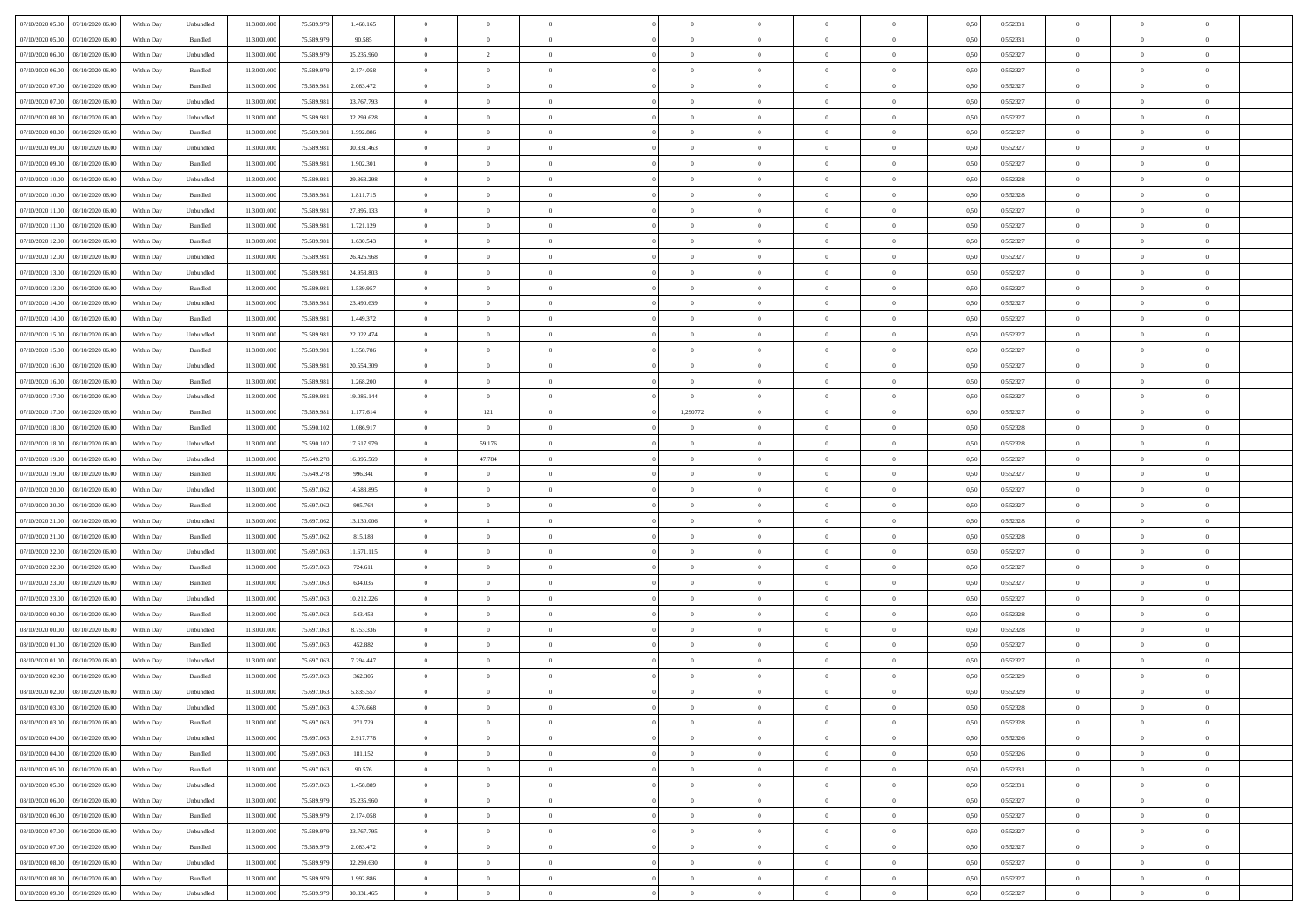| 07/10/2020 05:00 07/10/2020 06:00    | Within Day | Unbundled         | 113.000.000 | 75.589.979 | 1.468.165  | $\overline{0}$ | $\overline{0}$           |                                  | $\overline{0}$             | $\theta$                         |                                  | $\theta$       | 0,50 | 0,552331 | $\theta$                | $\theta$       | $\overline{0}$ |  |
|--------------------------------------|------------|-------------------|-------------|------------|------------|----------------|--------------------------|----------------------------------|----------------------------|----------------------------------|----------------------------------|----------------|------|----------|-------------------------|----------------|----------------|--|
| 07/10/2020 05:00<br>07/10/2020 06.00 | Within Day | Bundled           | 113.000.00  | 75.589.97  | 90.585     | $\bf{0}$       | $\bf{0}$                 | $\bf{0}$                         | $\bf{0}$                   | $\overline{0}$                   | $\overline{0}$                   | $\bf{0}$       | 0,50 | 0,552331 | $\,$ 0 $\,$             | $\bf{0}$       | $\overline{0}$ |  |
| 07/10/2020 06:00<br>08/10/2020 06:00 | Within Day | Unbundled         | 113,000,000 | 75.589.979 | 35.235.960 | $\overline{0}$ | $\overline{\phantom{a}}$ | $\overline{0}$                   | $\bf{0}$                   | $\bf{0}$                         | $\overline{0}$                   | $\bf{0}$       | 0.50 | 0,552327 | $\bf{0}$                | $\overline{0}$ | $\bf{0}$       |  |
| 07/10/2020 06:00<br>08/10/2020 06:00 | Within Day | Bundled           | 113.000.000 | 75.589.979 | 2.174.058  | $\overline{0}$ | $\overline{0}$           | $\overline{0}$                   | $\overline{0}$             | $\theta$                         | $\overline{0}$                   | $\bf{0}$       | 0,50 | 0,552327 | $\theta$                | $\theta$       | $\overline{0}$ |  |
| 07/10/2020 07:00<br>08/10/2020 06.00 | Within Day | Bundled           | 113.000.00  | 75.589.98  | 2.083.472  | $\bf{0}$       | $\overline{0}$           | $\bf{0}$                         | $\overline{0}$             | $\bf{0}$                         | $\overline{0}$                   | $\bf{0}$       | 0,50 | 0,552327 | $\,$ 0 $\,$             | $\bf{0}$       | $\overline{0}$ |  |
| 07/10/2020 07:00<br>08/10/2020 06:00 | Within Day | Unbundled         | 113,000,000 | 75.589.98  | 33,767,793 | $\overline{0}$ | $\bf{0}$                 | $\overline{0}$                   | $\bf{0}$                   | $\overline{0}$                   | $\overline{0}$                   | $\bf{0}$       | 0.50 | 0.552327 | $\,$ 0 $\,$             | $\theta$       | $\overline{0}$ |  |
| 07/10/2020 08:00<br>08/10/2020 06.00 | Within Day | Unbundled         | 113.000.000 | 75.589.981 | 32.299.628 | $\overline{0}$ | $\overline{0}$           | $\overline{0}$                   | $\overline{0}$             | $\overline{0}$                   | $\overline{0}$                   | $\bf{0}$       | 0,50 | 0,552327 | $\,$ 0 $\,$             | $\theta$       | $\overline{0}$ |  |
| 07/10/2020 08:00<br>08/10/2020 06.00 | Within Day | Bundled           | 113.000.00  | 75.589.98  | 1.992.886  | $\bf{0}$       | $\bf{0}$                 | $\bf{0}$                         | $\overline{0}$             | $\overline{0}$                   | $\overline{0}$                   | $\bf{0}$       | 0,50 | 0,552327 | $\,$ 0 $\,$             | $\bf{0}$       | $\overline{0}$ |  |
| 07/10/2020 09:00<br>08/10/2020 06:00 | Within Day | Unbundled         | 113,000,000 | 75.589.98  | 30.831.463 | $\overline{0}$ | $\bf{0}$                 | $\overline{0}$                   | $\bf{0}$                   | $\overline{0}$                   | $\overline{0}$                   | $\bf{0}$       | 0.50 | 0.552327 | $\bf{0}$                | $\overline{0}$ | $\overline{0}$ |  |
| 07/10/2020 09:00<br>08/10/2020 06:00 | Within Day | Bundled           | 113.000.000 | 75.589.981 | 1.902.301  | $\bf{0}$       | $\bf{0}$                 | $\overline{0}$                   | $\overline{0}$             | $\overline{0}$                   | $\overline{0}$                   | $\bf{0}$       | 0,50 | 0,552327 | $\,$ 0 $\,$             | $\,$ 0 $\,$    | $\overline{0}$ |  |
| 07/10/2020 10:00<br>08/10/2020 06.00 | Within Day | Unbundled         | 113.000.00  | 75.589.98  | 29.363.298 | $\bf{0}$       | $\bf{0}$                 | $\bf{0}$                         | $\bf{0}$                   | $\overline{0}$                   | $\overline{0}$                   | $\bf{0}$       | 0,50 | 0,552328 | $\,$ 0 $\,$             | $\bf{0}$       | $\overline{0}$ |  |
| 07/10/2020 10:00<br>08/10/2020 06:00 | Within Day | Bundled           | 113,000,000 | 75.589.981 | 1.811.715  | $\overline{0}$ | $\bf{0}$                 | $\overline{0}$                   | $\overline{0}$             | $\bf{0}$                         | $\overline{0}$                   | $\bf{0}$       | 0.50 | 0,552328 | $\bf{0}$                | $\,$ 0 $\,$    | $\,$ 0         |  |
| 07/10/2020 11:00<br>08/10/2020 06:00 | Within Day | Unbundled         | 113.000.000 | 75.589.981 | 27.895.133 | $\overline{0}$ | $\overline{0}$           | $\overline{0}$                   | $\theta$                   | $\theta$                         | $\overline{0}$                   | $\bf{0}$       | 0,50 | 0,552327 | $\,$ 0 $\,$             | $\theta$       | $\overline{0}$ |  |
| 07/10/2020 11:00<br>08/10/2020 06.00 | Within Day | Bundled           | 113.000.00  | 75.589.98  | 1.721.129  | $\bf{0}$       | $\overline{0}$           | $\bf{0}$                         | $\bf{0}$                   | $\bf{0}$                         | $\overline{0}$                   | $\bf{0}$       | 0,50 | 0,552327 | $\,$ 0 $\,$             | $\bf{0}$       | $\overline{0}$ |  |
| 08/10/2020 06:00                     |            |                   | 113,000,000 | 75.589.98  | 1.630.543  |                |                          |                                  |                            |                                  | $\overline{0}$                   |                |      | 0.552327 |                         | $\theta$       | $\overline{0}$ |  |
| 07/10/2020 12:00                     | Within Day | Bundled           |             |            |            | $\overline{0}$ | $\bf{0}$                 | $\overline{0}$                   | $\bf{0}$                   | $\overline{0}$                   |                                  | $\bf{0}$       | 0.50 |          | $\,$ 0 $\,$             |                |                |  |
| 07/10/2020 12:00<br>08/10/2020 06:00 | Within Day | Unbundled         | 113.000.000 | 75.589.981 | 26.426.968 | $\overline{0}$ | $\overline{0}$           | $\overline{0}$                   | $\overline{0}$             | $\overline{0}$                   | $\overline{0}$                   | $\bf{0}$       | 0,50 | 0,552327 | $\theta$                | $\theta$       | $\overline{0}$ |  |
| 07/10/2020 13:00<br>08/10/2020 06.00 | Within Day | Unbundled         | 113.000.00  | 75.589.98  | 24.958.803 | $\bf{0}$       | $\bf{0}$                 | $\bf{0}$                         | $\overline{0}$             | $\overline{0}$                   | $\overline{0}$                   | $\bf{0}$       | 0,50 | 0,552327 | $\,$ 0 $\,$             | $\bf{0}$       | $\overline{0}$ |  |
| 07/10/2020 13:00<br>08/10/2020 06:00 | Within Day | Bundled           | 113,000,000 | 75.589.98  | 1.539.957  | $\overline{0}$ | $\bf{0}$                 | $\overline{0}$<br>$\overline{0}$ | $\bf{0}$<br>$\overline{0}$ | $\overline{0}$<br>$\overline{0}$ | $\overline{0}$<br>$\overline{0}$ | $\bf{0}$       | 0.50 | 0.552327 | $\bf{0}$<br>$\,$ 0 $\,$ | $\overline{0}$ | $\bf{0}$       |  |
| 07/10/2020 14:00<br>08/10/2020 06:00 | Within Day | Unbundled         | 113.000.000 | 75.589.981 | 23.490.639 | $\bf{0}$       | $\bf{0}$                 |                                  |                            |                                  |                                  | $\bf{0}$       | 0,50 | 0,552327 |                         | $\bf{0}$       | $\overline{0}$ |  |
| 07/10/2020 14:00<br>08/10/2020 06.00 | Within Day | Bundled           | 113.000.00  | 75.589.98  | 1.449.372  | $\bf{0}$       | $\bf{0}$                 | $\bf{0}$                         | $\bf{0}$                   | $\overline{0}$                   | $\overline{0}$                   | $\bf{0}$       | 0,50 | 0,552327 | $\,$ 0 $\,$             | $\bf{0}$       | $\overline{0}$ |  |
| 07/10/2020 15:00<br>08/10/2020 06:00 | Within Day | Unbundled         | 113,000,000 | 75.589.981 | 22.022.474 | $\overline{0}$ | $\bf{0}$                 | $\overline{0}$                   | $\overline{0}$             | $\bf{0}$                         | $\overline{0}$                   | $\bf{0}$       | 0.50 | 0,552327 | $\bf{0}$                | $\overline{0}$ | $\,$ 0         |  |
| 07/10/2020 15:00<br>08/10/2020 06:00 | Within Day | Bundled           | 113.000.000 | 75.589.981 | 1.358.786  | $\overline{0}$ | $\overline{0}$           | $\overline{0}$                   | $\theta$                   | $\overline{0}$                   | $\overline{0}$                   | $\bf{0}$       | 0,50 | 0,552327 | $\theta$                | $\theta$       | $\overline{0}$ |  |
| 07/10/2020 16.00<br>08/10/2020 06.00 | Within Day | Unbundled         | 113.000.00  | 75.589.98  | 20.554.309 | $\bf{0}$       | $\bf{0}$                 | $\bf{0}$                         | $\bf{0}$                   | $\overline{0}$                   | $\overline{0}$                   | $\bf{0}$       | 0,50 | 0,552327 | $\,$ 0 $\,$             | $\bf{0}$       | $\overline{0}$ |  |
| 07/10/2020 16:00<br>08/10/2020 06:00 | Within Day | Bundled           | 113,000,000 | 75.589.98  | 1.268.200  | $\overline{0}$ | $\bf{0}$                 | $\overline{0}$                   | $\bf{0}$                   | $\overline{0}$                   | $\theta$                         | $\bf{0}$       | 0.50 | 0.552327 | $\,$ 0 $\,$             | $\theta$       | $\overline{0}$ |  |
| 07/10/2020 17:00<br>08/10/2020 06.00 | Within Day | Unbundled         | 113.000.000 | 75.589.981 | 19.086.144 | $\overline{0}$ | $\overline{0}$           | $\overline{0}$                   | $\overline{0}$             | $\overline{0}$                   | $\overline{0}$                   | $\bf{0}$       | 0,50 | 0,552327 | $\,$ 0 $\,$             | $\theta$       | $\overline{0}$ |  |
| 07/10/2020 17:00<br>08/10/2020 06.00 | Within Day | Bundled           | 113.000.00  | 75.589.98  | 1.177.614  | $\bf{0}$       | $121\,$                  | $\bf{0}$                         | 1,290772                   | $\,$ 0 $\,$                      | $\overline{0}$                   | $\bf{0}$       | 0,50 | 0,552327 | $\,$ 0 $\,$             | $\bf{0}$       | $\overline{0}$ |  |
| 07/10/2020 18:00<br>08/10/2020 06:00 | Within Day | Bundled           | 113,000,000 | 75.590.102 | 1.086.917  | $\overline{0}$ | $\overline{0}$           | $\overline{0}$                   | $\bf{0}$                   | $\overline{0}$                   | $\overline{0}$                   | $\bf{0}$       | 0.50 | 0.552328 | $\bf{0}$                | $\overline{0}$ | $\overline{0}$ |  |
| 07/10/2020 18:00<br>08/10/2020 06:00 | Within Day | Unbundled         | 113.000.000 | 75.590.102 | 17.617.979 | $\overline{0}$ | 59.176                   | $\overline{0}$                   | $\overline{0}$             | $\overline{0}$                   | $\overline{0}$                   | $\bf{0}$       | 0,50 | 0,552328 | $\,$ 0 $\,$             | $\theta$       | $\overline{0}$ |  |
| 07/10/2020 19:00<br>08/10/2020 06.00 | Within Day | Unbundled         | 113.000.00  | 75.649.278 | 16.095.569 | $\bf{0}$       | 47.784                   | $\bf{0}$                         | $\bf{0}$                   | $\overline{0}$                   | $\overline{0}$                   | $\bf{0}$       | 0,50 | 0,552327 | $\,$ 0 $\,$             | $\bf{0}$       | $\overline{0}$ |  |
| 07/10/2020 19:00<br>08/10/2020 06:00 | Within Day | Bundled           | 113,000,000 | 75.649.278 | 996.341    | $\overline{0}$ | $\bf{0}$                 | $\overline{0}$                   | $\bf{0}$                   | $\bf{0}$                         | $\overline{0}$                   | $\bf{0}$       | 0.50 | 0,552327 | $\bf{0}$                | $\,$ 0 $\,$    | $\,$ 0         |  |
| 07/10/2020 20:00<br>08/10/2020 06:00 | Within Day | Unbundled         | 113.000.000 | 75.697.062 | 14,588,895 | $\overline{0}$ | $\overline{0}$           | $\overline{0}$                   | $\overline{0}$             | $\overline{0}$                   | $\overline{0}$                   | $\bf{0}$       | 0.5( | 0,552327 | $\theta$                | $\theta$       | $\overline{0}$ |  |
| 07/10/2020 20:00<br>08/10/2020 06.00 | Within Day | Bundled           | 113.000.00  | 75.697.062 | 905.764    | $\bf{0}$       | $\bf{0}$                 | $\bf{0}$                         | $\bf{0}$                   | $\overline{0}$                   | $\overline{0}$                   | $\bf{0}$       | 0,50 | 0,552327 | $\,$ 0 $\,$             | $\bf{0}$       | $\overline{0}$ |  |
| 07/10/2020 21:00<br>08/10/2020 06:00 | Within Day | Unbundled         | 113,000,000 | 75.697.062 | 13.130.006 | $\overline{0}$ | -1                       | $\overline{0}$                   | $\bf{0}$                   | $\overline{0}$                   | $\overline{0}$                   | $\bf{0}$       | 0.50 | 0.552328 | $\,$ 0 $\,$             | $\bf{0}$       | $\overline{0}$ |  |
| 07/10/2020 21:00<br>08/10/2020 06:00 | Within Day | Bundled           | 113.000.000 | 75.697.062 | 815.188    | $\overline{0}$ | $\overline{0}$           | $\overline{0}$                   | $\overline{0}$             | $\overline{0}$                   | $\overline{0}$                   | $\bf{0}$       | 0.50 | 0,552328 | $\theta$                | $\theta$       | $\overline{0}$ |  |
| 07/10/2020 22.00<br>08/10/2020 06.00 | Within Day | Unbundled         | 113.000.00  | 75.697.06  | 11.671.115 | $\bf{0}$       | $\bf{0}$                 | $\bf{0}$                         | $\bf{0}$                   | $\overline{0}$                   | $\overline{0}$                   | $\bf{0}$       | 0,50 | 0,552327 | $\,$ 0 $\,$             | $\bf{0}$       | $\overline{0}$ |  |
| 07/10/2020 22.00<br>08/10/2020 06:00 | Within Day | Bundled           | 113,000,00  | 75.697.063 | 724.611    | $\overline{0}$ | $\bf{0}$                 | $\overline{0}$                   | $\bf{0}$                   | $\overline{0}$                   | $\overline{0}$                   | $\bf{0}$       | 0.50 | 0.552327 | $\bf{0}$                | $\overline{0}$ | $\overline{0}$ |  |
| 07/10/2020 23:00<br>08/10/2020 06:00 | Within Day | Bundled           | 113.000.000 | 75.697.063 | 634.035    | $\overline{0}$ | $\overline{0}$           | $\overline{0}$                   | $\overline{0}$             | $\overline{0}$                   | $\overline{0}$                   | $\bf{0}$       | 0.50 | 0,552327 | $\theta$                | $\theta$       | $\overline{0}$ |  |
| 07/10/2020 23.00<br>08/10/2020 06.00 | Within Day | Unbundled         | 113.000.00  | 75.697.06  | 10.212.226 | $\bf{0}$       | $\bf{0}$                 | $\bf{0}$                         | $\bf{0}$                   | $\overline{0}$                   | $\overline{0}$                   | $\bf{0}$       | 0,50 | 0,552327 | $\,$ 0 $\,$             | $\bf{0}$       | $\overline{0}$ |  |
| 08/10/2020 00:00<br>08/10/2020 06:00 | Within Day | Bundled           | 113,000,000 | 75,697,063 | 543,458    | $\overline{0}$ | $\bf{0}$                 | $\overline{0}$                   | $\overline{0}$             | $\bf{0}$                         | $\overline{0}$                   | $\bf{0}$       | 0.50 | 0,552328 | $\bf{0}$                | $\,$ 0 $\,$    | $\,$ 0         |  |
| 08/10/2020 00:00<br>08/10/2020 06:00 | Within Day | Unbundled         | 113.000.000 | 75.697.063 | 8.753.336  | $\overline{0}$ | $\overline{0}$           | $\overline{0}$                   | $\overline{0}$             | $\overline{0}$                   | $\overline{0}$                   | $\bf{0}$       | 0.5( | 0,552328 | $\theta$                | $\theta$       | $\overline{0}$ |  |
| 08/10/2020 01:00<br>08/10/2020 06.00 | Within Day | Bundled           | 113.000.00  | 75.697.06  | 452.882    | $\bf{0}$       | $\bf{0}$                 | $\bf{0}$                         | $\bf{0}$                   | $\overline{0}$                   | $\overline{0}$                   | $\bf{0}$       | 0,50 | 0,552327 | $\,$ 0 $\,$             | $\bf{0}$       | $\overline{0}$ |  |
| 08/10/2020 01:00<br>08/10/2020 06:00 | Within Day | Unbundled         | 113,000,00  | 75.697.063 | 7.294.447  | $\overline{0}$ | $\overline{0}$           | $\overline{0}$                   | $\bf{0}$                   | $\overline{0}$                   | $\overline{0}$                   | $\bf{0}$       | 0.50 | 0.552327 | $\bf{0}$                | $\theta$       | $\overline{0}$ |  |
| 08/10/2020 02:00<br>08/10/2020 06:00 | Within Dav | Bundled           | 113.000.000 | 75.697.063 | 362.305    | $\overline{0}$ | $\overline{0}$           | $\overline{0}$                   | $\theta$                   | $\theta$                         | $\overline{0}$                   | $\overline{0}$ | 0.5( | 0,552329 | $\theta$                | $\theta$       | $\overline{0}$ |  |
| 08/10/2020 02:00<br>08/10/2020 06:00 | Within Day | Unbundled         | 113.000.00  | 75.697.063 | 5.835.557  | $\bf{0}$       | $\bf{0}$                 | $\bf{0}$                         | $\bf{0}$                   | $\bf{0}$                         | $\overline{0}$                   | $\bf{0}$       | 0,50 | 0,552329 | $\overline{0}$          | $\overline{0}$ | $\overline{0}$ |  |
| 08/10/2020 03:00 08/10/2020 06:00    | Within Day | ${\sf Unbundred}$ | 113.000.000 | 75.697.063 | 4.376.668  | $\bf{0}$       | $\theta$                 |                                  | $\Omega$                   |                                  |                                  |                | 0,50 | 0,552328 | $\bf{0}$                | $\bf{0}$       |                |  |
| 08/10/2020 03:00 08/10/2020 06:00    | Within Day | Bundled           | 113.000.000 | 75.697.063 | 271.729    | $\overline{0}$ | $\overline{0}$           | $\Omega$                         | $\theta$                   | $\overline{0}$                   | $\overline{0}$                   | $\bf{0}$       | 0,50 | 0,552328 | $\theta$                | $\theta$       | $\overline{0}$ |  |
| 08/10/2020 04:00<br>08/10/2020 06:00 | Within Day | Unbundled         | 113.000.00  | 75.697.063 | 2.917.778  | $\overline{0}$ | $\bf{0}$                 | $\overline{0}$                   | $\overline{0}$             | $\bf{0}$                         | $\overline{0}$                   | $\bf{0}$       | 0,50 | 0,552326 | $\bf{0}$                | $\overline{0}$ | $\bf{0}$       |  |
| 08/10/2020 04:00 08/10/2020 06:00    | Within Day | Bundled           | 113,000,000 | 75.697.063 | 181.152    | $\overline{0}$ | $\bf{0}$                 | $\overline{0}$                   | $\overline{0}$             | $\overline{0}$                   | $\overline{0}$                   | $\,$ 0 $\,$    | 0.50 | 0,552326 | $\overline{0}$          | $\bf{0}$       | $\,$ 0 $\,$    |  |
| 08/10/2020 05:00 08/10/2020 06:00    | Within Dav | Bundled           | 113.000.000 | 75.697.063 | 90.576     | $\overline{0}$ | $\overline{0}$           | $\overline{0}$                   | $\overline{0}$             | $\overline{0}$                   | $\overline{0}$                   | $\bf{0}$       | 0,50 | 0,552331 | $\theta$                | $\theta$       | $\overline{0}$ |  |
| 08/10/2020 05:00<br>08/10/2020 06:00 | Within Day | Unbundled         | 113.000.000 | 75.697.063 | 1.458.889  | $\overline{0}$ | $\bf{0}$                 | $\overline{0}$                   | $\bf{0}$                   | $\overline{0}$                   | $\bf{0}$                         | $\bf{0}$       | 0,50 | 0,552331 | $\bf{0}$                | $\overline{0}$ | $\overline{0}$ |  |
| 08/10/2020 06:00<br>09/10/2020 06:00 | Within Day | Unbundled         | 113,000,000 | 75.589.979 | 35.235.960 | $\overline{0}$ | $\bf{0}$                 | $\overline{0}$                   | $\overline{0}$             | $\overline{0}$                   | $\overline{0}$                   | $\bf{0}$       | 0.50 | 0.552327 | $\,$ 0 $\,$             | $\theta$       | $\overline{0}$ |  |
| 08/10/2020 06:00<br>09/10/2020 06:00 | Within Dav | Bundled           | 113.000.000 | 75.589.979 | 2.174.058  | $\overline{0}$ | $\overline{0}$           | $\overline{0}$                   | $\overline{0}$             | $\overline{0}$                   | $\overline{0}$                   | $\bf{0}$       | 0,50 | 0,552327 | $\overline{0}$          | $\theta$       | $\overline{0}$ |  |
| 08/10/2020 07:00<br>09/10/2020 06.00 | Within Day | Unbundled         | 113.000.00  | 75.589.979 | 33.767.795 | $\overline{0}$ | $\overline{0}$           | $\overline{0}$                   | $\overline{0}$             | $\overline{0}$                   | $\overline{0}$                   | $\bf{0}$       | 0,50 | 0,552327 | $\bf{0}$                | $\overline{0}$ | $\overline{0}$ |  |
| 08/10/2020 07:00<br>09/10/2020 06:00 | Within Day | Bundled           | 113,000,000 | 75.589.979 | 2.083.472  | $\overline{0}$ | $\overline{0}$           | $\overline{0}$                   | $\overline{0}$             | $\bf{0}$                         | $\overline{0}$                   | $\bf{0}$       | 0.50 | 0.552327 | $\overline{0}$          | $\bf{0}$       | $\,$ 0         |  |
| 08/10/2020 08:00<br>09/10/2020 06:00 | Within Dav | Unbundled         | 113.000.000 | 75.589.979 | 32.299.630 | $\overline{0}$ | $\overline{0}$           | $\overline{0}$                   | $\overline{0}$             | $\overline{0}$                   | $\overline{0}$                   | $\bf{0}$       | 0,50 | 0,552327 | $\overline{0}$          | $\theta$       | $\overline{0}$ |  |
| 08/10/2020 08:00<br>09/10/2020 06.00 | Within Day | Bundled           | 113.000.00  | 75.589.979 | 1.992.886  | $\overline{0}$ | $\bf{0}$                 | $\overline{0}$                   | $\bf{0}$                   | $\overline{0}$                   | $\bf{0}$                         | $\bf{0}$       | 0,50 | 0,552327 | $\bf{0}$                | $\bf{0}$       | $\overline{0}$ |  |
| 08/10/2020 09:00 09/10/2020 06:00    | Within Day | ${\sf Unbundred}$ | 113.000.000 | 75.589.979 | 30.831.465 | $\overline{0}$ | $\bf{0}$                 | $\overline{0}$                   | $\overline{0}$             | $\,$ 0 $\,$                      | $\overline{0}$                   | $\bf{0}$       | 0,50 | 0,552327 | $\overline{0}$          | $\,$ 0 $\,$    | $\,$ 0 $\,$    |  |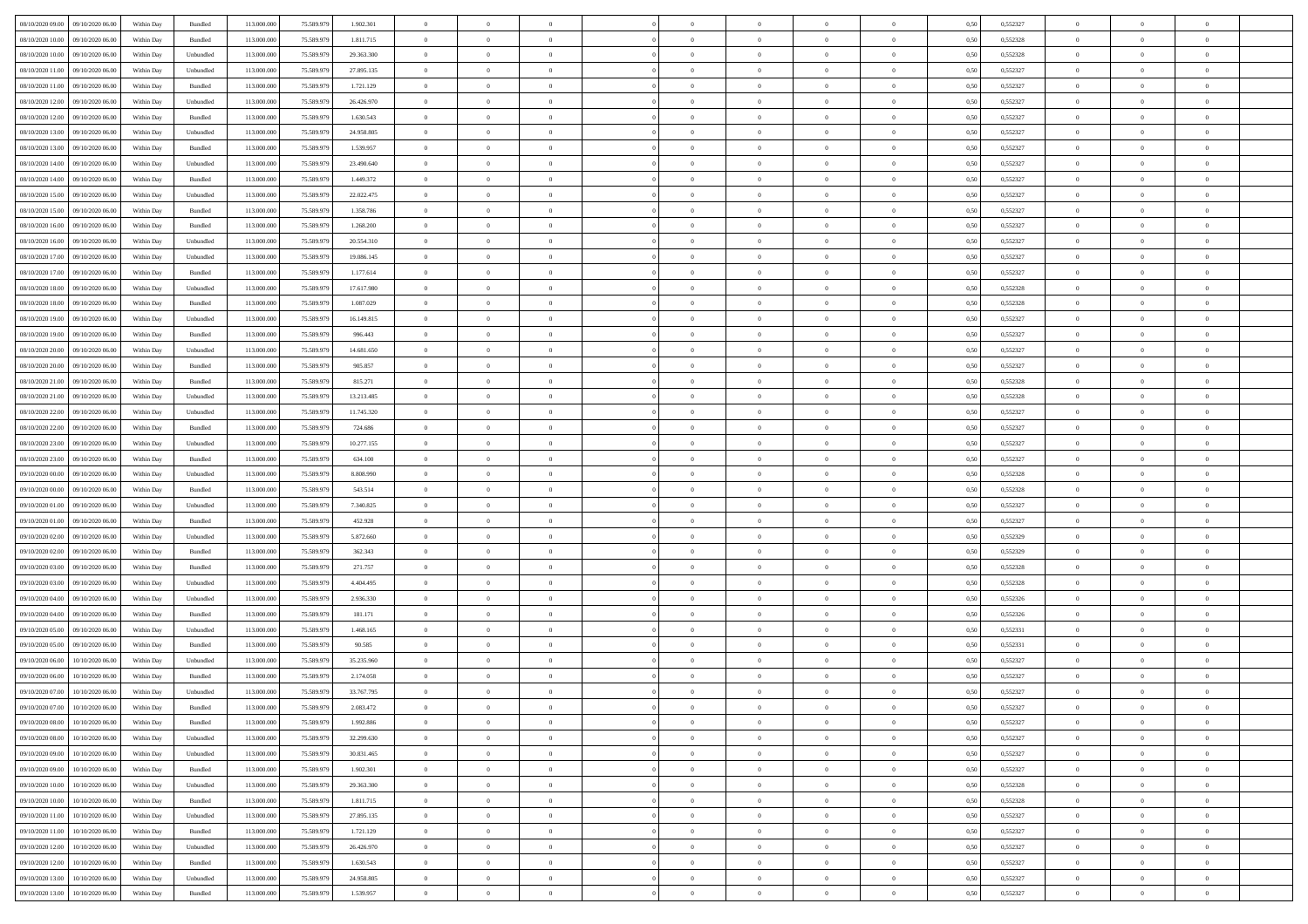| 08/10/2020 09:00 09/10/2020 06:00    | Within Day | Bundled   | 113.000.000 | 75.589.979 | 1.902.301  | $\overline{0}$ | $\overline{0}$ |                | $\overline{0}$ | $\theta$       |                | $\theta$       | 0,50 | 0,552327 | $\theta$       | $\theta$       | $\overline{0}$ |  |
|--------------------------------------|------------|-----------|-------------|------------|------------|----------------|----------------|----------------|----------------|----------------|----------------|----------------|------|----------|----------------|----------------|----------------|--|
| 08/10/2020 10:00<br>09/10/2020 06.00 | Within Day | Bundled   | 113.000.00  | 75.589.97  | 1.811.715  | $\bf{0}$       | $\bf{0}$       | $\bf{0}$       | $\overline{0}$ | $\overline{0}$ | $\overline{0}$ | $\bf{0}$       | 0,50 | 0,552328 | $\,$ 0 $\,$    | $\bf{0}$       | $\overline{0}$ |  |
| 08/10/2020 10:00<br>09/10/2020 06:00 | Within Day | Unbundled | 113,000,000 | 75.589.979 | 29.363.300 | $\overline{0}$ | $\bf{0}$       | $\overline{0}$ | $\bf{0}$       | $\bf{0}$       | $\overline{0}$ | $\bf{0}$       | 0.50 | 0,552328 | $\bf{0}$       | $\overline{0}$ | $\overline{0}$ |  |
| 08/10/2020 11:00<br>09/10/2020 06:00 | Within Day | Unbundled | 113.000.000 | 75.589.979 | 27.895.135 | $\overline{0}$ | $\overline{0}$ | $\overline{0}$ | $\theta$       | $\theta$       | $\overline{0}$ | $\bf{0}$       | 0,50 | 0,552327 | $\theta$       | $\theta$       | $\overline{0}$ |  |
| 08/10/2020 11:00<br>09/10/2020 06.00 | Within Day | Bundled   | 113.000.00  | 75.589.979 | 1.721.129  | $\bf{0}$       | $\overline{0}$ | $\bf{0}$       | $\overline{0}$ | $\theta$       | $\overline{0}$ | $\bf{0}$       | 0,50 | 0,552327 | $\,$ 0 $\,$    | $\bf{0}$       | $\overline{0}$ |  |
| 08/10/2020 12:00<br>09/10/2020 06:00 | Within Day | Unbundled | 113,000,000 | 75.589.979 | 26.426.970 | $\overline{0}$ | $\bf{0}$       | $\overline{0}$ | $\bf{0}$       | $\overline{0}$ | $\theta$       | $\bf{0}$       | 0.50 | 0.552327 | $\,$ 0 $\,$    | $\theta$       | $\overline{0}$ |  |
| 08/10/2020 12:00<br>09/10/2020 06.00 | Within Day | Bundled   | 113.000.000 | 75.589.979 | 1.630.543  | $\overline{0}$ | $\overline{0}$ | $\overline{0}$ | $\overline{0}$ | $\overline{0}$ | $\overline{0}$ | $\bf{0}$       | 0,50 | 0,552327 | $\,$ 0 $\,$    | $\theta$       | $\overline{0}$ |  |
|                                      |            |           |             |            |            |                |                |                |                |                |                |                |      |          |                |                |                |  |
| 08/10/2020 13:00<br>09/10/2020 06.00 | Within Day | Unbundled | 113.000.00  | 75.589.97  | 24.958.805 | $\bf{0}$       | $\bf{0}$       | $\bf{0}$       | $\overline{0}$ | $\overline{0}$ | $\overline{0}$ | $\bf{0}$       | 0,50 | 0,552327 | $\,$ 0 $\,$    | $\bf{0}$       | $\overline{0}$ |  |
| 08/10/2020 13:00<br>09/10/2020 06:00 | Within Day | Bundled   | 113,000,000 | 75.589.979 | 1.539.957  | $\overline{0}$ | $\bf{0}$       | $\overline{0}$ | $\bf{0}$       | $\overline{0}$ | $\overline{0}$ | $\bf{0}$       | 0.50 | 0.552327 | $\bf{0}$       | $\overline{0}$ | $\overline{0}$ |  |
| 08/10/2020 14:00<br>09/10/2020 06.00 | Within Day | Unbundled | 113.000.000 | 75.589.979 | 23.490.640 | $\bf{0}$       | $\bf{0}$       | $\overline{0}$ | $\overline{0}$ | $\overline{0}$ | $\overline{0}$ | $\bf{0}$       | 0,50 | 0,552327 | $\,$ 0 $\,$    | $\bf{0}$       | $\overline{0}$ |  |
| 08/10/2020 14:00<br>09/10/2020 06.00 | Within Day | Bundled   | 113.000.00  | 75.589.979 | 1.449.372  | $\bf{0}$       | $\bf{0}$       | $\bf{0}$       | $\bf{0}$       | $\bf{0}$       | $\overline{0}$ | $\bf{0}$       | 0,50 | 0,552327 | $\,$ 0 $\,$    | $\bf{0}$       | $\overline{0}$ |  |
| 08/10/2020 15:00<br>09/10/2020 06:00 | Within Day | Unbundled | 113,000,000 | 75.589.979 | 22.022.475 | $\overline{0}$ | $\bf{0}$       | $\overline{0}$ | $\overline{0}$ | $\bf{0}$       | $\overline{0}$ | $\bf{0}$       | 0.50 | 0,552327 | $\bf{0}$       | $\overline{0}$ | $\bf{0}$       |  |
| 08/10/2020 15:00<br>09/10/2020 06:00 | Within Day | Bundled   | 113.000.000 | 75.589.979 | 1.358.786  | $\overline{0}$ | $\overline{0}$ | $\overline{0}$ | $\theta$       | $\theta$       | $\overline{0}$ | $\bf{0}$       | 0,50 | 0,552327 | $\,$ 0 $\,$    | $\theta$       | $\overline{0}$ |  |
| 08/10/2020 16:00<br>09/10/2020 06.00 | Within Day | Bundled   | 113.000.00  | 75.589.97  | 1.268.200  | $\bf{0}$       | $\overline{0}$ | $\bf{0}$       | $\overline{0}$ | $\theta$       | $\overline{0}$ | $\bf{0}$       | 0,50 | 0,552327 | $\,$ 0 $\,$    | $\bf{0}$       | $\overline{0}$ |  |
| 08/10/2020 16:00<br>09/10/2020 06:00 | Within Day | Unbundled | 113,000,000 | 75.589.979 | 20.554.310 | $\overline{0}$ | $\overline{0}$ | $\overline{0}$ | $\bf{0}$       | $\overline{0}$ | $\theta$       | $\bf{0}$       | 0.50 | 0.552327 | $\,$ 0 $\,$    | $\theta$       | $\overline{0}$ |  |
| 08/10/2020 17:00<br>09/10/2020 06.00 | Within Day | Unbundled | 113.000.000 | 75.589.979 | 19.086.145 | $\overline{0}$ | $\overline{0}$ | $\overline{0}$ | $\overline{0}$ | $\overline{0}$ | $\overline{0}$ | $\bf{0}$       | 0,50 | 0,552327 | $\theta$       | $\theta$       | $\overline{0}$ |  |
| 08/10/2020 17:00<br>09/10/2020 06.00 | Within Day | Bundled   | 113.000.00  | 75.589.979 | 1.177.614  | $\bf{0}$       | $\bf{0}$       | $\bf{0}$       | $\overline{0}$ | $\bf{0}$       | $\overline{0}$ | $\bf{0}$       | 0,50 | 0,552327 | $\,$ 0 $\,$    | $\bf{0}$       | $\overline{0}$ |  |
| 08/10/2020 18:00<br>09/10/2020 06:00 | Within Day | Unbundled | 113,000,00  | 75.589.979 | 17.617.980 | $\overline{0}$ | $\bf{0}$       | $\overline{0}$ | $\bf{0}$       | $\overline{0}$ | $\overline{0}$ | $\bf{0}$       | 0.50 | 0.552328 | $\bf{0}$       | $\overline{0}$ | $\overline{0}$ |  |
|                                      |            |           |             |            |            |                |                | $\overline{0}$ | $\overline{0}$ | $\overline{0}$ | $\overline{0}$ |                |      |          | $\,$ 0 $\,$    |                |                |  |
| 08/10/2020 18:00<br>09/10/2020 06:00 | Within Day | Bundled   | 113.000.000 | 75.589.979 | 1.087.029  | $\bf{0}$       | $\bf{0}$       |                |                |                |                | $\bf{0}$       | 0,50 | 0,552328 |                | $\bf{0}$       | $\overline{0}$ |  |
| 08/10/2020 19:00<br>09/10/2020 06.00 | Within Day | Unbundled | 113.000.00  | 75.589.97  | 16.149.815 | $\bf{0}$       | $\bf{0}$       | $\bf{0}$       | $\bf{0}$       | $\overline{0}$ | $\overline{0}$ | $\bf{0}$       | 0,50 | 0,552327 | $\,$ 0 $\,$    | $\bf{0}$       | $\overline{0}$ |  |
| 08/10/2020 19:00<br>09/10/2020 06:00 | Within Day | Bundled   | 113,000,000 | 75.589.979 | 996.443    | $\overline{0}$ | $\bf{0}$       | $\overline{0}$ | $\bf{0}$       | $\bf{0}$       | $\overline{0}$ | $\bf{0}$       | 0.50 | 0,552327 | $\bf{0}$       | $\overline{0}$ | $\overline{0}$ |  |
| 08/10/2020 20:00<br>09/10/2020 06:00 | Within Day | Unbundled | 113.000.000 | 75.589.979 | 14.681.650 | $\overline{0}$ | $\overline{0}$ | $\overline{0}$ | $\theta$       | $\theta$       | $\overline{0}$ | $\bf{0}$       | 0,50 | 0,552327 | $\theta$       | $\theta$       | $\overline{0}$ |  |
| 08/10/2020 20:00<br>09/10/2020 06.00 | Within Day | Bundled   | 113.000.00  | 75.589.979 | 905.857    | $\bf{0}$       | $\bf{0}$       | $\bf{0}$       | $\bf{0}$       | $\overline{0}$ | $\overline{0}$ | $\bf{0}$       | 0,50 | 0,552327 | $\,$ 0 $\,$    | $\bf{0}$       | $\overline{0}$ |  |
| 08/10/2020 21:00<br>09/10/2020 06:00 | Within Day | Bundled   | 113,000,000 | 75.589.979 | 815.271    | $\overline{0}$ | $\bf{0}$       | $\overline{0}$ | $\bf{0}$       | $\overline{0}$ | $\theta$       | $\bf{0}$       | 0.50 | 0.552328 | $\,$ 0 $\,$    | $\theta$       | $\overline{0}$ |  |
| 08/10/2020 21:00<br>09/10/2020 06.00 | Within Day | Unbundled | 113.000.000 | 75.589.979 | 13.213.485 | $\overline{0}$ | $\overline{0}$ | $\overline{0}$ | $\overline{0}$ | $\overline{0}$ | $\overline{0}$ | $\bf{0}$       | 0,50 | 0,552328 | $\,$ 0 $\,$    | $\theta$       | $\overline{0}$ |  |
| 08/10/2020 22.00<br>09/10/2020 06.00 | Within Day | Unbundled | 113.000.00  | 75.589.97  | 11.745.320 | $\bf{0}$       | $\overline{0}$ | $\bf{0}$       | $\overline{0}$ | $\bf{0}$       | $\overline{0}$ | $\bf{0}$       | 0,50 | 0,552327 | $\,$ 0 $\,$    | $\bf{0}$       | $\overline{0}$ |  |
| 08/10/2020 22.00<br>09/10/2020 06:00 | Within Day | Bundled   | 113,000,000 | 75.589.979 | 724.686    | $\overline{0}$ | $\bf{0}$       | $\overline{0}$ | $\bf{0}$       | $\overline{0}$ | $\overline{0}$ | $\bf{0}$       | 0.50 | 0.552327 | $\bf{0}$       | $\overline{0}$ | $\overline{0}$ |  |
| 08/10/2020 23:00<br>09/10/2020 06.00 | Within Day | Unbundled | 113.000.000 | 75.589.979 | 10.277.155 | $\overline{0}$ | $\bf{0}$       | $\overline{0}$ | $\overline{0}$ | $\overline{0}$ | $\overline{0}$ | $\bf{0}$       | 0,50 | 0,552327 | $\,$ 0 $\,$    | $\theta$       | $\overline{0}$ |  |
| 08/10/2020 23:00<br>09/10/2020 06.00 | Within Day | Bundled   | 113.000.00  | 75.589.979 | 634.100    | $\bf{0}$       | $\bf{0}$       | $\bf{0}$       | $\bf{0}$       | $\overline{0}$ | $\overline{0}$ | $\bf{0}$       | 0,50 | 0,552327 | $\,$ 0 $\,$    | $\bf{0}$       | $\overline{0}$ |  |
| 09/10/2020 00:00<br>09/10/2020 06:00 | Within Day | Unbundled | 113,000,000 | 75.589.979 | 8.808.990  | $\overline{0}$ | $\bf{0}$       | $\overline{0}$ | $\bf{0}$       | $\bf{0}$       | $\overline{0}$ | $\bf{0}$       | 0.50 | 0,552328 | $\bf{0}$       | $\overline{0}$ | $\overline{0}$ |  |
| 09/10/2020 00:00<br>09/10/2020 06:00 | Within Day | Bundled   | 113.000.000 | 75.589.979 | 543.514    | $\overline{0}$ | $\overline{0}$ | $\overline{0}$ | $\overline{0}$ | $\overline{0}$ | $\overline{0}$ | $\bf{0}$       | 0.5( | 0,552328 | $\theta$       | $\theta$       | $\overline{0}$ |  |
|                                      |            |           |             |            |            |                |                |                |                | $\,$ 0 $\,$    | $\overline{0}$ |                |      |          |                |                |                |  |
| 09/10/2020 01:00<br>09/10/2020 06.00 | Within Day | Unbundled | 113.000.00  | 75.589.979 | 7.340.825  | $\bf{0}$       | $\overline{0}$ | $\bf{0}$       | $\bf{0}$       |                |                | $\bf{0}$       | 0,50 | 0,552327 | $\,$ 0 $\,$    | $\bf{0}$       | $\overline{0}$ |  |
| 09/10/2020 01:00<br>09/10/2020 06:00 | Within Day | Bundled   | 113,000,000 | 75.589.979 | 452.928    | $\overline{0}$ | $\bf{0}$       | $\overline{0}$ | $\bf{0}$       | $\overline{0}$ | $\Omega$       | $\bf{0}$       | 0.50 | 0.552327 | $\,$ 0 $\,$    | $\bf{0}$       | $\overline{0}$ |  |
| 09/10/2020 02:00<br>09/10/2020 06:00 | Within Day | Unbundled | 113.000.000 | 75.589.979 | 5.872.660  | $\overline{0}$ | $\overline{0}$ | $\overline{0}$ | $\overline{0}$ | $\overline{0}$ | $\overline{0}$ | $\bf{0}$       | 0.50 | 0,552329 | $\theta$       | $\theta$       | $\overline{0}$ |  |
| 09/10/2020 02.00<br>09/10/2020 06.00 | Within Day | Bundled   | 113.000.00  | 75.589.979 | 362.343    | $\bf{0}$       | $\bf{0}$       | $\bf{0}$       | $\bf{0}$       | $\overline{0}$ | $\overline{0}$ | $\bf{0}$       | 0,50 | 0,552329 | $\,$ 0 $\,$    | $\bf{0}$       | $\overline{0}$ |  |
| 09/10/2020 03:00<br>09/10/2020 06:00 | Within Day | Bundled   | 113,000,000 | 75.589.979 | 271.757    | $\overline{0}$ | $\bf{0}$       | $\overline{0}$ | $\bf{0}$       | $\overline{0}$ | $\overline{0}$ | $\bf{0}$       | 0.50 | 0.552328 | $\bf{0}$       | $\overline{0}$ | $\overline{0}$ |  |
| 09/10/2020 03:00<br>09/10/2020 06:00 | Within Day | Unbundled | 113.000.000 | 75.589.979 | 4.404.495  | $\overline{0}$ | $\overline{0}$ | $\overline{0}$ | $\overline{0}$ | $\overline{0}$ | $\overline{0}$ | $\bf{0}$       | 0.50 | 0,552328 | $\theta$       | $\theta$       | $\overline{0}$ |  |
| 09/10/2020 04:00<br>09/10/2020 06.00 | Within Day | Unbundled | 113.000.00  | 75.589.97  | 2.936.330  | $\bf{0}$       | $\bf{0}$       | $\bf{0}$       | $\bf{0}$       | $\overline{0}$ | $\overline{0}$ | $\bf{0}$       | 0,50 | 0,552326 | $\,$ 0 $\,$    | $\bf{0}$       | $\overline{0}$ |  |
| 09/10/2020 04:00<br>09/10/2020 06:00 | Within Day | Bundled   | 113,000,000 | 75.589.979 | 181.171    | $\overline{0}$ | $\bf{0}$       | $\overline{0}$ | $\bf{0}$       | $\bf{0}$       | $\overline{0}$ | $\bf{0}$       | 0.50 | 0,552326 | $\bf{0}$       | $\overline{0}$ | $\overline{0}$ |  |
| 09/10/2020 05:00<br>09/10/2020 06:00 | Within Day | Unbundled | 113.000.000 | 75.589.979 | 1.468.165  | $\overline{0}$ | $\overline{0}$ | $\overline{0}$ | $\overline{0}$ | $\overline{0}$ | $\overline{0}$ | $\bf{0}$       | 0.50 | 0,552331 | $\theta$       | $\theta$       | $\overline{0}$ |  |
| 09/10/2020 05:00<br>09/10/2020 06.00 | Within Day | Bundled   | 113.000.00  | 75.589.979 | 90.585     | $\bf{0}$       | $\bf{0}$       | $\bf{0}$       | $\bf{0}$       | $\overline{0}$ | $\overline{0}$ | $\bf{0}$       | 0,50 | 0,552331 | $\,$ 0 $\,$    | $\bf{0}$       | $\overline{0}$ |  |
| 09/10/2020 06.00<br>10/10/2020 06.00 | Within Day | Unbundled | 113,000,000 | 75.589.979 | 35.235.960 | $\overline{0}$ | $\overline{0}$ | $\overline{0}$ | $\bf{0}$       | $\overline{0}$ | $\Omega$       | $\bf{0}$       | 0.50 | 0.552327 | $\bf{0}$       | $\theta$       | $\overline{0}$ |  |
| 09/10/2020 06:00<br>10/10/2020 06:00 | Within Day | Bundled   | 113.000.000 | 75.589.979 | 2.174.058  | $\overline{0}$ | $\overline{0}$ | $\Omega$       | $\overline{0}$ | $\theta$       | $\Omega$       | $\overline{0}$ | 0.5( | 0,552327 | $\theta$       | $\theta$       | $\overline{0}$ |  |
| 09/10/2020 07:00<br>10/10/2020 06.00 | Within Day | Unbundled | 113.000.000 | 75.589.979 | 33.767.795 | $\bf{0}$       | $\bf{0}$       | $\bf{0}$       | $\bf{0}$       | $\bf{0}$       | $\overline{0}$ | $\bf{0}$       | 0,50 | 0,552327 | $\,$ 0 $\,$    | $\bf{0}$       | $\overline{0}$ |  |
| 09/10/2020 07:00 10/10/2020 06:00    | Within Day | Bundled   | 113.000.000 | 75.589.979 | 2.083.472  | $\overline{0}$ | $\Omega$       |                | $\Omega$       |                |                |                | 0,50 | 0,552327 | $\bf{0}$       | $\overline{0}$ |                |  |
|                                      |            |           |             |            |            |                |                |                |                |                |                |                |      |          |                |                |                |  |
| 09/10/2020 08:00 10/10/2020 06:00    | Within Day | Bundled   | 113.000.000 | 75.589.979 | 1.992.886  | $\overline{0}$ | $\theta$       | $\Omega$       | $\theta$       | $\overline{0}$ | $\overline{0}$ | $\bf{0}$       | 0,50 | 0,552327 | $\theta$       | $\theta$       | $\overline{0}$ |  |
| 09/10/2020 08:00<br>10/10/2020 06.00 | Within Day | Unbundled | 113.000.00  | 75.589.979 | 32.299.630 | $\overline{0}$ | $\bf{0}$       | $\overline{0}$ | $\overline{0}$ | $\bf{0}$       | $\overline{0}$ | $\bf{0}$       | 0,50 | 0,552327 | $\bf{0}$       | $\overline{0}$ | $\bf{0}$       |  |
| 09/10/2020 09:00<br>10/10/2020 06:00 | Within Day | Unbundled | 113,000,000 | 75.589.979 | 30.831.465 | $\overline{0}$ | $\bf{0}$       | $\overline{0}$ | $\overline{0}$ | $\overline{0}$ | $\overline{0}$ | $\,$ 0 $\,$    | 0.50 | 0.552327 | $\overline{0}$ | $\bf{0}$       | $\,$ 0 $\,$    |  |
| 09/10/2020 09:00 10/10/2020 06:00    | Within Dav | Bundled   | 113.000.000 | 75.589.979 | 1.902.301  | $\overline{0}$ | $\overline{0}$ | $\overline{0}$ | $\overline{0}$ | $\overline{0}$ | $\overline{0}$ | $\bf{0}$       | 0,50 | 0,552327 | $\theta$       | $\theta$       | $\overline{0}$ |  |
| 09/10/2020 10:00<br>10/10/2020 06.00 | Within Day | Unbundled | 113.000.000 | 75.589.979 | 29.363.300 | $\overline{0}$ | $\bf{0}$       | $\overline{0}$ | $\bf{0}$       | $\overline{0}$ | $\bf{0}$       | $\bf{0}$       | 0,50 | 0,552328 | $\bf{0}$       | $\overline{0}$ | $\overline{0}$ |  |
| 09/10/2020 10:00<br>10/10/2020 06:00 | Within Day | Bundled   | 113,000,000 | 75.589.979 | 1.811.715  | $\overline{0}$ | $\bf{0}$       | $\overline{0}$ | $\overline{0}$ | $\overline{0}$ | $\overline{0}$ | $\bf{0}$       | 0.50 | 0.552328 | $\,$ 0 $\,$    | $\theta$       | $\overline{0}$ |  |
| 09/10/2020 11:00<br>10/10/2020 06:00 | Within Dav | Unbundled | 113.000.000 | 75.589.979 | 27.895.135 | $\overline{0}$ | $\overline{0}$ | $\overline{0}$ | $\overline{0}$ | $\overline{0}$ | $\overline{0}$ | $\bf{0}$       | 0,50 | 0,552327 | $\overline{0}$ | $\theta$       | $\overline{0}$ |  |
| 09/10/2020 11:00<br>10/10/2020 06.00 | Within Day | Bundled   | 113.000.00  | 75.589.979 | 1.721.129  | $\overline{0}$ | $\overline{0}$ | $\overline{0}$ | $\overline{0}$ | $\overline{0}$ | $\overline{0}$ | $\bf{0}$       | 0,50 | 0,552327 | $\bf{0}$       | $\overline{0}$ | $\overline{0}$ |  |
| 10/10/2020 06:00<br>09/10/2020 12:00 | Within Day | Unbundled | 113,000,000 | 75.589.979 | 26.426.970 | $\overline{0}$ | $\overline{0}$ | $\overline{0}$ | $\overline{0}$ | $\bf{0}$       | $\overline{0}$ | $\bf{0}$       | 0.50 | 0.552327 | $\overline{0}$ | $\bf{0}$       | $\,$ 0         |  |
| 09/10/2020 12:00<br>10/10/2020 06:00 | Within Dav | Bundled   | 113.000.000 | 75.589.979 | 1.630.543  | $\overline{0}$ | $\overline{0}$ | $\overline{0}$ | $\overline{0}$ | $\overline{0}$ | $\overline{0}$ | $\bf{0}$       | 0,50 | 0,552327 | $\overline{0}$ | $\theta$       | $\overline{0}$ |  |
| 09/10/2020 13:00<br>10/10/2020 06.00 | Within Day | Unbundled | 113.000.00  | 75.589.979 | 24.958.805 | $\overline{0}$ | $\bf{0}$       | $\overline{0}$ | $\bf{0}$       | $\overline{0}$ | $\bf{0}$       | $\bf{0}$       | 0,50 | 0,552327 | $\bf{0}$       | $\bf{0}$       | $\overline{0}$ |  |
|                                      |            |           |             |            |            |                |                |                |                |                |                |                |      |          |                |                |                |  |
| 09/10/2020 13:00 10/10/2020 06:00    | Within Day | Bundled   | 113.000.000 | 75.589.979 | 1.539.957  | $\overline{0}$ | $\bf{0}$       | $\overline{0}$ | $\overline{0}$ | $\,$ 0 $\,$    | $\overline{0}$ | $\bf{0}$       | 0,50 | 0,552327 | $\overline{0}$ | $\,$ 0 $\,$    | $\,$ 0 $\,$    |  |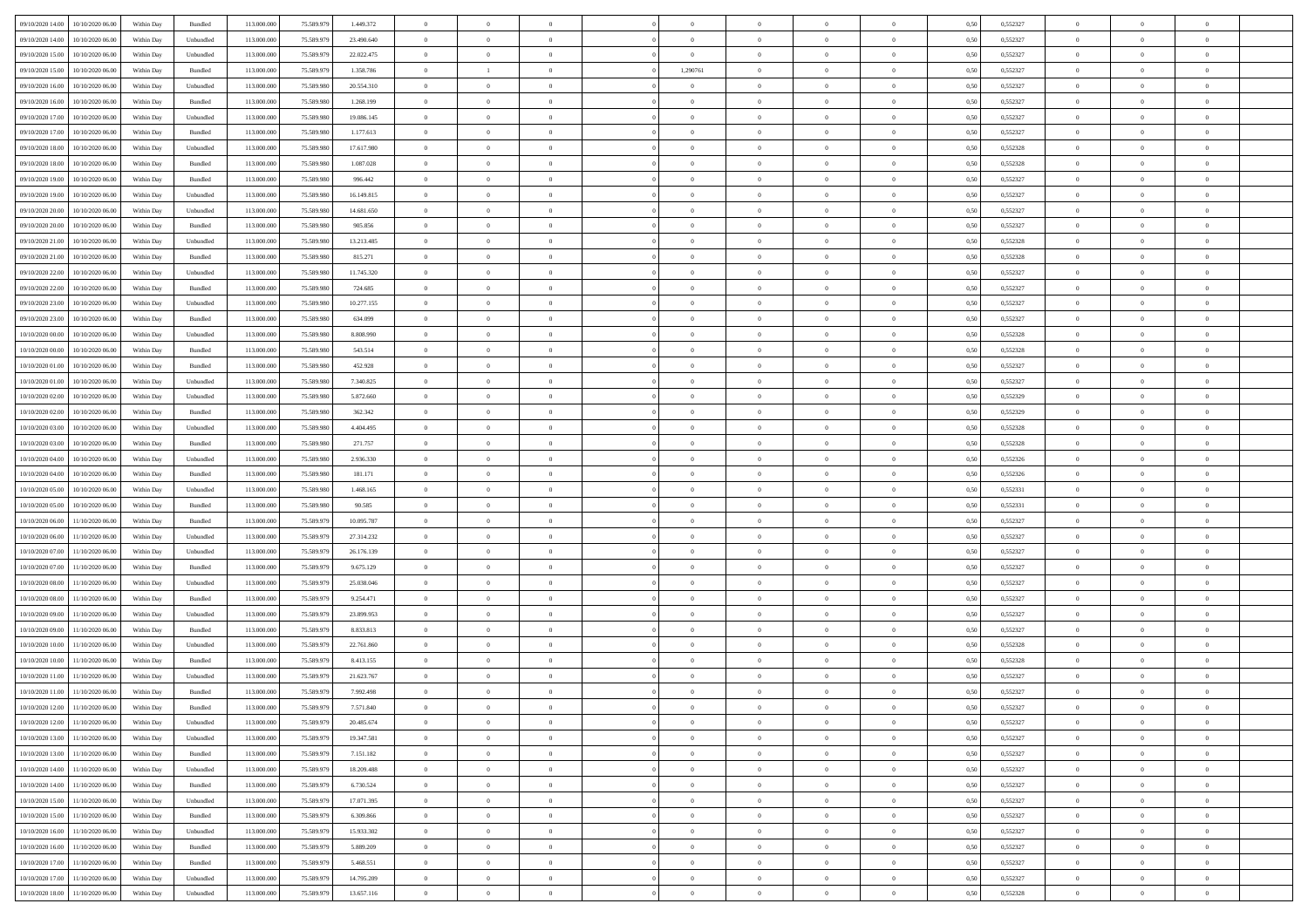| 09/10/2020 14:00    | 10/10/2020 06:00                  | Within Day | Bundled            | 113.000.000 | 75.589.979 | 1.449.372  | $\overline{0}$ | $\theta$       |                | $\overline{0}$ | $\bf{0}$       |                | $\theta$       | 0,50 | 0,552327 | $\theta$       | $\theta$       | $\theta$                 |  |
|---------------------|-----------------------------------|------------|--------------------|-------------|------------|------------|----------------|----------------|----------------|----------------|----------------|----------------|----------------|------|----------|----------------|----------------|--------------------------|--|
|                     |                                   |            |                    |             |            |            |                | $\theta$       |                |                |                |                |                |      |          |                |                | $\overline{0}$           |  |
| 09/10/2020 14:00    | 10/10/2020 06.00                  | Within Day | Unbundled          | 113.000.00  | 75.589.979 | 23.490.640 | $\overline{0}$ |                | $\overline{0}$ | $\overline{0}$ | $\,$ 0         | $\bf{0}$       | $\bf{0}$       | 0,50 | 0,552327 | $\,$ 0 $\,$    | $\overline{0}$ |                          |  |
| 09/10/2020 15:00    | 10/10/2020 06:00                  | Within Day | Unbundled          | 113,000,000 | 75.589.979 | 22.022.475 | $\overline{0}$ | $\overline{0}$ | $\overline{0}$ | $\overline{0}$ | $\bf{0}$       | $\overline{0}$ | $\mathbf{0}$   | 0.50 | 0,552327 | $\bf{0}$       | $\overline{0}$ | $\overline{0}$           |  |
| 09/10/2020 15:00    | 10/10/2020 06:00                  | Within Day | Bundled            | 113.000.000 | 75.589.979 | 1.358.786  | $\overline{0}$ | $\mathbf{1}$   | $\overline{0}$ | 1,290761       | $\bf{0}$       | $\overline{0}$ | $\overline{0}$ | 0,50 | 0,552327 | $\,$ 0 $\,$    | $\overline{0}$ | $\overline{0}$           |  |
| 09/10/2020 16.00    | 10/10/2020 06.00                  | Within Day | Unbundled          | 113.000.00  | 75.589.980 | 20.554.310 | $\overline{0}$ | $\theta$       | $\overline{0}$ |                | $\overline{0}$ | $\overline{0}$ | $\bf{0}$       | 0,50 | 0,552327 | $\,$ 0 $\,$    | $\overline{0}$ | $\overline{0}$           |  |
| 09/10/2020 16.00    | 10/10/2020 06:00                  | Within Day | Bundled            | 113,000,000 | 75.589.980 | 1.268.199  | $\overline{0}$ | $\overline{0}$ | $\overline{0}$ | $\overline{0}$ | $\bf{0}$       | $\overline{0}$ | $\bf{0}$       | 0.50 | 0.552327 | $\,0\,$        | $\theta$       | $\overline{0}$           |  |
| 09/10/2020 17.00    | 10/10/2020 06:00                  | Within Day | Unbundled          | 113.000.000 | 75.589.980 | 19.086.145 | $\overline{0}$ | $\overline{0}$ | $\overline{0}$ | $\overline{0}$ | $\bf{0}$       | $\overline{0}$ | $\overline{0}$ | 0,50 | 0,552327 | $\,0\,$        | $\theta$       | $\overline{0}$           |  |
| 09/10/2020 17.00    | 10/10/2020 06.00                  | Within Day | Bundled            | 113.000.000 | 75.589.980 | 1.177.613  | $\overline{0}$ | $\theta$       | $\overline{0}$ |                | $\,$ 0         | $\overline{0}$ | $\bf{0}$       | 0,50 | 0,552327 | $\,$ 0 $\,$    | $\overline{0}$ | $\overline{0}$           |  |
|                     |                                   |            |                    |             |            |            |                |                |                |                |                |                |                |      |          |                |                |                          |  |
| 09/10/2020 18:00    | 10/10/2020 06:00                  | Within Day | Unbundled          | 113,000,000 | 75.589.980 | 17.617.980 | $\overline{0}$ | $\overline{0}$ | $\overline{0}$ | $\overline{0}$ | $\bf{0}$       | $\overline{0}$ | $\bf{0}$       | 0.50 | 0.552328 | $\,0\,$        | $\overline{0}$ | $\overline{0}$           |  |
| 09/10/2020 18:00    | 10/10/2020 06:00                  | Within Day | Bundled            | 113.000.000 | 75.589.980 | 1.087.028  | $\overline{0}$ | $\overline{0}$ | $\overline{0}$ | $\overline{0}$ | $\,$ 0         | $\overline{0}$ | $\bf{0}$       | 0,50 | 0,552328 | $\,$ 0 $\,$    | $\overline{0}$ | $\overline{0}$           |  |
| 09/10/2020 19:00    | 10/10/2020 06.00                  | Within Day | Bundled            | 113.000.000 | 75.589.980 | 996.442    | $\bf{0}$       | $\theta$       | $\overline{0}$ | $\overline{0}$ | $\,$ 0         | $\overline{0}$ | $\bf{0}$       | 0,50 | 0,552327 | $\,$ 0 $\,$    | $\overline{0}$ | $\overline{0}$           |  |
| 09/10/2020 19:00    | 10/10/2020 06:00                  | Within Day | Unbundled          | 113,000,000 | 75.589.980 | 16.149.815 | $\overline{0}$ | $\overline{0}$ | $\overline{0}$ | $\overline{0}$ | $\bf{0}$       | $\overline{0}$ | $\mathbf{0}$   | 0.50 | 0,552327 | $\bf{0}$       | $\overline{0}$ | $\overline{\phantom{a}}$ |  |
| 09/10/2020 20:00    | 10/10/2020 06:00                  | Within Day | Unbundled          | 113.000.000 | 75.589.980 | 14.681.650 | $\overline{0}$ | $\overline{0}$ | $\overline{0}$ | $\overline{0}$ | $\bf{0}$       | $\overline{0}$ | $\overline{0}$ | 0,50 | 0,552327 | $\,$ 0 $\,$    | $\overline{0}$ | $\overline{0}$           |  |
| 09/10/2020 20.00    | 10/10/2020 06.00                  | Within Day | Bundled            | 113.000.00  | 75.589.980 | 905.856    | $\overline{0}$ | $\theta$       | $\overline{0}$ |                | $\overline{0}$ | $\overline{0}$ | $\bf{0}$       | 0,50 | 0,552327 | $\,$ 0 $\,$    | $\overline{0}$ | $\overline{0}$           |  |
|                     | 10/10/2020 06:00                  |            |                    | 113,000,000 | 75.589.980 |            |                | $\overline{0}$ | $\overline{0}$ | $\overline{0}$ | $\,$ 0         | $\overline{0}$ | $\overline{0}$ | 0.50 | 0.552328 | $\,0\,$        | $\theta$       | $\overline{0}$           |  |
| 09/10/2020 21:00    |                                   | Within Day | Unbundled          |             |            | 13.213.485 | $\overline{0}$ |                |                |                |                |                |                |      |          |                |                |                          |  |
| 09/10/2020 21.00    | 10/10/2020 06:00                  | Within Day | Bundled            | 113.000.000 | 75.589.980 | 815.271    | $\overline{0}$ | $\overline{0}$ | $\overline{0}$ | $\overline{0}$ | $\bf{0}$       | $\overline{0}$ | $\overline{0}$ | 0,50 | 0,552328 | $\,$ 0 $\,$    | $\theta$       | $\overline{0}$           |  |
| 09/10/2020 22.00    | 10/10/2020 06.00                  | Within Day | Unbundled          | 113.000.000 | 75.589.980 | 11.745.320 | $\overline{0}$ | $\theta$       | $\overline{0}$ |                | $\bf{0}$       | $\overline{0}$ | $\bf{0}$       | 0,50 | 0,552327 | $\,$ 0 $\,$    | $\overline{0}$ | $\overline{0}$           |  |
| 09/10/2020 22.00    | 10/10/2020 06:00                  | Within Day | Bundled            | 113,000,000 | 75.589.980 | 724.685    | $\overline{0}$ | $\overline{0}$ | $\overline{0}$ | $\overline{0}$ | $\bf{0}$       | $\overline{0}$ | $\bf{0}$       | 0.50 | 0.552327 | $\,0\,$        | $\overline{0}$ | $\overline{\phantom{a}}$ |  |
| 09/10/2020 23.00    | 10/10/2020 06:00                  | Within Day | Unbundled          | 113.000.000 | 75.589.980 | 10.277.155 | $\overline{0}$ | $\overline{0}$ | $\overline{0}$ | $\overline{0}$ | $\,$ 0         | $\overline{0}$ | $\overline{0}$ | 0,50 | 0,552327 | $\,$ 0 $\,$    | $\overline{0}$ | $\overline{0}$           |  |
| 09/10/2020 23.00    | 10/10/2020 06.00                  | Within Day | Bundled            | 113.000.000 | 75.589.980 | 634.099    | $\bf{0}$       | $\,$ 0 $\,$    | $\overline{0}$ | $\overline{0}$ | $\,$ 0         | $\overline{0}$ | $\bf{0}$       | 0,50 | 0,552327 | $\,$ 0 $\,$    | $\overline{0}$ | $\overline{0}$           |  |
| $10/10/2020\ 00.00$ | 10/10/2020 06:00                  | Within Day | Unbundled          | 113,000,000 | 75.589.980 | 8,808,990  | $\overline{0}$ | $\overline{0}$ | $\overline{0}$ | $\overline{0}$ | $\bf{0}$       | $\overline{0}$ | $\mathbf{0}$   | 0.50 | 0,552328 | $\bf{0}$       | $\overline{0}$ | $\overline{\phantom{a}}$ |  |
| 10/10/2020 00:00    | 10/10/2020 06:00                  |            |                    | 113.000.000 | 75.589.980 |            | $\overline{0}$ | $\overline{0}$ | $\overline{0}$ | $\overline{0}$ | $\bf{0}$       | $\overline{0}$ | $\overline{0}$ |      | 0,552328 | $\,$ 0 $\,$    | $\overline{0}$ | $\overline{0}$           |  |
|                     |                                   | Within Day | Bundled            |             |            | 543.514    |                |                |                |                |                |                |                | 0,50 |          |                |                |                          |  |
| 10/10/2020 01:00    | 10/10/2020 06.00                  | Within Day | Bundled            | 113.000.000 | 75.589.980 | 452.928    | $\overline{0}$ | $\theta$       | $\overline{0}$ | $\overline{0}$ | $\,$ 0         | $\overline{0}$ | $\bf{0}$       | 0,50 | 0,552327 | $\,$ 0 $\,$    | $\overline{0}$ | $\overline{0}$           |  |
| 10/10/2020 01:00    | 10/10/2020 06:00                  | Within Day | Unbundled          | 113,000,000 | 75.589.980 | 7.340.825  | $\overline{0}$ | $\overline{0}$ | $\overline{0}$ | $\overline{0}$ | $\bf{0}$       | $\overline{0}$ | $\bf{0}$       | 0.50 | 0.552327 | $\,0\,$        | $\theta$       | $\overline{0}$           |  |
| 10/10/2020 02:00    | 10/10/2020 06:00                  | Within Day | Unbundled          | 113.000.000 | 75.589.980 | 5.872.660  | $\overline{0}$ | $\overline{0}$ | $\overline{0}$ | $\overline{0}$ | $\bf{0}$       | $\overline{0}$ | $\overline{0}$ | 0,50 | 0,552329 | $\,0\,$        | $\theta$       | $\overline{0}$           |  |
| 10/10/2020 02:00    | 10/10/2020 06.00                  | Within Day | Bundled            | 113.000.000 | 75.589.980 | 362.342    | $\overline{0}$ | $\theta$       | $\overline{0}$ |                | $\bf{0}$       | $\overline{0}$ | $\bf{0}$       | 0,50 | 0,552329 | $\,$ 0 $\,$    | $\overline{0}$ | $\overline{0}$           |  |
| 10/10/2020 03:00    | 10/10/2020 06:00                  | Within Day | Unbundled          | 113,000,000 | 75.589.980 | 4.404.495  | $\overline{0}$ | $\overline{0}$ | $\overline{0}$ | $\overline{0}$ | $\bf{0}$       | $\overline{0}$ | $\bf{0}$       | 0.50 | 0.552328 | $\,0\,$        | $\overline{0}$ | $\overline{0}$           |  |
| 10/10/2020 03:00    | 10/10/2020 06:00                  | Within Day | Bundled            | 113.000.000 | 75.589.980 | 271.757    | $\overline{0}$ | $\overline{0}$ | $\overline{0}$ | $\overline{0}$ | $\,$ 0         | $\overline{0}$ | $\overline{0}$ | 0,50 | 0,552328 | $\,$ 0 $\,$    | $\overline{0}$ | $\overline{0}$           |  |
|                     |                                   |            |                    |             |            |            |                |                |                |                |                |                |                |      |          |                |                |                          |  |
| 10/10/2020 04:00    | 10/10/2020 06.00                  | Within Day | Unbundled          | 113.000.000 | 75.589.980 | 2.936.330  | $\bf{0}$       | $\overline{0}$ | $\overline{0}$ | $\overline{0}$ | $\,$ 0         | $\bf{0}$       | $\bf{0}$       | 0,50 | 0,552326 | $\,$ 0 $\,$    | $\overline{0}$ | $\overline{0}$           |  |
| 10/10/2020 04:00    | 10/10/2020 06:00                  | Within Day | Bundled            | 113,000,000 | 75.589.980 | 181.171    | $\overline{0}$ | $\bf{0}$       | $\overline{0}$ | $\overline{0}$ | $\bf{0}$       | $\overline{0}$ | $\mathbf{0}$   | 0.50 | 0,552326 | $\bf{0}$       | $\overline{0}$ | $\overline{\phantom{a}}$ |  |
| 10/10/2020 05:00    | 10/10/2020 06:00                  | Within Dav | Unbundled          | 113.000.000 | 75.589.980 | 1.468.165  | $\overline{0}$ | $\overline{0}$ | $\theta$       | $\overline{0}$ | $\mathbf{0}$   | $\overline{0}$ | $\overline{0}$ | 0.50 | 0,552331 | $\theta$       | $\overline{0}$ | $\overline{0}$           |  |
| 10/10/2020 05:00    | 10/10/2020 06.00                  | Within Day | Bundled            | 113.000.000 | 75.589.980 | 90.585     | $\overline{0}$ | $\theta$       | $\overline{0}$ |                | $\bf{0}$       | $\overline{0}$ | $\bf{0}$       | 0,50 | 0,552331 | $\,$ 0 $\,$    | $\overline{0}$ | $\overline{0}$           |  |
| 10/10/2020 06:00    | 11/10/2020 06:00                  | Within Day | Bundled            | 113,000,000 | 75.589.979 | 10.095.787 | $\overline{0}$ | $\overline{0}$ | $\overline{0}$ | $\overline{0}$ | $\,$ 0         | $\overline{0}$ | $\bf{0}$       | 0.50 | 0.552327 | $\,0\,$        | $\theta$       | $\overline{0}$           |  |
| 10/10/2020 06:00    | 11/10/2020 06.00                  | Within Dav | Unbundled          | 113.000.000 | 75.589.979 | 27.314.232 | $\overline{0}$ | $\theta$       | $\Omega$       | $\Omega$       | $\mathbf{0}$   | $\overline{0}$ | $\overline{0}$ | 0.50 | 0,552327 | $\theta$       | $\overline{0}$ | $\overline{0}$           |  |
| 10/10/2020 07:00    | 11/10/2020 06.00                  | Within Day | Unbundled          | 113.000.000 | 75.589.979 | 26.176.139 | $\overline{0}$ | $\theta$       | $\overline{0}$ |                | $\,$ 0         | $\overline{0}$ | $\bf{0}$       | 0,50 | 0,552327 | $\,$ 0 $\,$    | $\overline{0}$ | $\overline{0}$           |  |
|                     | 11/10/2020 06:00                  |            | Bundled            | 113,000,000 | 75.589.979 | 9.675.129  |                | $\overline{0}$ | $\overline{0}$ | $\overline{0}$ | $\bf{0}$       | $\overline{0}$ |                | 0.50 | 0.552327 | $\,0\,$        | $\overline{0}$ | $\overline{0}$           |  |
| 10/10/2020 07.00    |                                   | Within Day |                    |             |            |            | $\overline{0}$ |                |                |                |                |                | $\bf{0}$       |      |          |                |                |                          |  |
| 10/10/2020 08:00    | 11/10/2020 06.00                  | Within Dav | Unbundled          | 113.000.000 | 75.589.979 | 25.038.046 | $\overline{0}$ | $\overline{0}$ | $\Omega$       | $\Omega$       | $\overline{0}$ | $\overline{0}$ | $\overline{0}$ | 0.50 | 0,552327 | $\theta$       | $\overline{0}$ | $\overline{0}$           |  |
| 10/10/2020 08:00    | 11/10/2020 06.00                  | Within Day | Bundled            | 113.000.00  | 75.589.979 | 9.254.471  | $\bf{0}$       | $\overline{0}$ | $\overline{0}$ | $\overline{0}$ | $\bf{0}$       | $\bf{0}$       | $\bf{0}$       | 0,50 | 0,552327 | $\,$ 0 $\,$    | $\overline{0}$ | $\overline{0}$           |  |
| 10/10/2020 09:00    | 11/10/2020 06:00                  | Within Day | Unbundled          | 113,000,000 | 75.589.979 | 23,899.953 | $\overline{0}$ | $\overline{0}$ | $\overline{0}$ | $\overline{0}$ | $\bf{0}$       | $\overline{0}$ | $\mathbf{0}$   | 0.50 | 0,552327 | $\bf{0}$       | $\overline{0}$ | $\overline{0}$           |  |
| 10/10/2020 09:00    | 11/10/2020 06.00                  | Within Dav | Bundled            | 113.000.000 | 75.589.979 | 8.833.813  | $\overline{0}$ | $\overline{0}$ | $\Omega$       | $\Omega$       | $\mathbf{0}$   | $\overline{0}$ | $\overline{0}$ | 0.50 | 0,552327 | $\theta$       | $\overline{0}$ | $\overline{0}$           |  |
| 10/10/2020 10:00    | 11/10/2020 06.00                  | Within Day | Unbundled          | 113.000.000 | 75.589.979 | 22.761.860 | $\overline{0}$ | $\theta$       | $\overline{0}$ | $\overline{0}$ | $\,$ 0         | $\overline{0}$ | $\bf{0}$       | 0,50 | 0,552328 | $\,$ 0 $\,$    | $\overline{0}$ | $\overline{0}$           |  |
| 10/10/2020 10:00    | 11/10/2020 06:00                  | Within Day | Bundled            | 113.000.000 | 75.589.979 | 8.413.155  | $\overline{0}$ | $\overline{0}$ | $\overline{0}$ | $\overline{0}$ | $\bf{0}$       | $\overline{0}$ | $\overline{0}$ | 0.50 | 0.552328 | $\,0\,$        | $\theta$       | $\overline{0}$           |  |
| 10/10/2020 11:00    | 11/10/2020 06:00                  | Within Dav | Unbundled          | 113.000.000 | 75.589.979 | 21.623.767 | $\overline{0}$ | $\Omega$       | $\Omega$       | $\Omega$       | $\bf{0}$       | $\overline{0}$ | $\theta$       | 0.50 | 0,552327 | $\theta$       | $\overline{0}$ | $\overline{0}$           |  |
|                     |                                   |            |                    |             |            |            |                |                | $\overline{0}$ |                |                |                |                |      |          |                |                |                          |  |
| 10/10/2020 11:00    | 11/10/2020 06.00                  | Within Day | Bundled            | 113.000.000 | 75.589.979 | 7.992.498  | $\bf{0}$       | $\,$ 0 $\,$    |                | $\bf{0}$       | $\,$ 0         | $\overline{0}$ | $\bf{0}$       | 0,50 | 0,552327 | $\,$ 0 $\,$    | $\overline{0}$ | $\overline{0}$           |  |
|                     | 10/10/2020 12:00 11/10/2020 06:00 | Within Day | $\mathbf B$ undled | 113.000.000 | 75.589.979 | 7.571.840  | $\bf{0}$       | $\bf{0}$       |                |                |                |                |                | 0,50 | 0,552327 | $\,$ 0         | $\theta$       |                          |  |
| 10/10/2020 12:00    | 11/10/2020 06.00                  | Within Day | Unbundled          | 113.000.000 | 75.589.979 | 20.485.674 | $\Omega$       | $\overline{0}$ | $\Omega$       | $\Omega$       | $\mathbf{0}$   | $\overline{0}$ | $\mathbf{0}$   | 0,50 | 0,552327 | $\theta$       | $\theta$       | $\overline{0}$           |  |
| 10/10/2020 13:00    | 11/10/2020 06.00                  | Within Day | Unbundled          | 113.000.000 | 75.589.979 | 19.347.581 | $\bf{0}$       | $\overline{0}$ | $\overline{0}$ | $\bf{0}$       | $\overline{0}$ | $\overline{0}$ | $\mathbf{0}$   | 0,50 | 0,552327 | $\bf{0}$       | $\overline{0}$ | $\bf{0}$                 |  |
| 10/10/2020 13:00    | 11/10/2020 06.00                  | Within Day | Bundled            | 113,000,000 | 75.589.979 | 7.151.182  | $\overline{0}$ | $\overline{0}$ | $\overline{0}$ | $\overline{0}$ | $\bf{0}$       | $\overline{0}$ | $\mathbf{0}$   | 0.50 | 0,552327 | $\overline{0}$ | $\bf{0}$       | $\bf{0}$                 |  |
| 10/10/2020 14:00    | 11/10/2020 06:00                  | Within Day | Unbundled          | 113.000.000 | 75.589.979 | 18.209.488 | $\overline{0}$ | $\overline{0}$ | $\overline{0}$ | $\overline{0}$ | $\mathbf{0}$   | $\overline{0}$ | $\mathbf{0}$   | 0.50 | 0,552327 | $\overline{0}$ | $\theta$       | $\overline{0}$           |  |
| 10/10/2020 14:00    | 11/10/2020 06.00                  | Within Day | Bundled            | 113.000.000 | 75.589.979 | 6.730.524  | $\bf{0}$       | $\overline{0}$ | $\overline{0}$ | $\overline{0}$ | $\bf{0}$       | $\bf{0}$       | $\bf{0}$       | 0,50 | 0,552327 | $\,0\,$        | $\overline{0}$ | $\overline{0}$           |  |
|                     |                                   |            |                    |             |            |            |                |                |                |                |                |                |                |      |          |                |                |                          |  |
| 10/10/2020 15:00    | 11/10/2020 06:00                  | Within Day | Unbundled          | 113,000,000 | 75.589.979 | 17.071.395 | $\overline{0}$ | $\overline{0}$ | $\overline{0}$ | $\overline{0}$ | $\bf{0}$       | $\overline{0}$ | $\overline{0}$ | 0.50 | 0.552327 | $\,$ 0 $\,$    | $\theta$       | $\overline{0}$           |  |
| 10/10/2020 15:00    | 11/10/2020 06:00                  | Within Day | Bundled            | 113.000.000 | 75.589.979 | 6.309.866  | $\overline{0}$ | $\overline{0}$ | $\overline{0}$ | $\overline{0}$ | $\overline{0}$ | $\overline{0}$ | $\overline{0}$ | 0,50 | 0,552327 | $\overline{0}$ | $\theta$       | $\overline{0}$           |  |
| 10/10/2020 16:00    | 11/10/2020 06.00                  | Within Day | Unbundled          | 113.000.000 | 75.589.979 | 15.933.302 | $\overline{0}$ | $\,$ 0         | $\overline{0}$ | $\bf{0}$       | $\,$ 0 $\,$    | $\bf{0}$       | $\bf{0}$       | 0,50 | 0,552327 | $\,$ 0 $\,$    | $\overline{0}$ | $\overline{0}$           |  |
| 10/10/2020 16:00    | 11/10/2020 06:00                  | Within Day | Bundled            | 113,000,000 | 75.589.979 | 5.889.209  | $\overline{0}$ | $\overline{0}$ | $\overline{0}$ | $\overline{0}$ | $\bf{0}$       | $\overline{0}$ | $\mathbf{0}$   | 0.50 | 0.552327 | $\mathbf{0}$   | $\,$ 0 $\,$    | $\overline{0}$           |  |
| 10/10/2020 17:00    | 11/10/2020 06:00                  | Within Dav | Bundled            | 113.000.000 | 75.589.979 | 5.468.551  | $\overline{0}$ | $\overline{0}$ | $\overline{0}$ | $\overline{0}$ | $\overline{0}$ | $\overline{0}$ | $\overline{0}$ | 0,50 | 0,552327 | $\overline{0}$ | $\theta$       | $\overline{0}$           |  |
| 10/10/2020 17.00    | 11/10/2020 06.00                  | Within Day | Unbundled          | 113.000.000 | 75.589.979 | 14.795.209 | $\bf{0}$       | $\overline{0}$ | $\overline{0}$ | $\overline{0}$ | $\bf{0}$       | $\bf{0}$       | $\bf{0}$       | 0,50 | 0,552327 | $\bf{0}$       | $\overline{0}$ | $\bf{0}$                 |  |
|                     |                                   |            |                    |             |            |            | $\overline{0}$ |                |                | $\overline{0}$ |                | $\overline{0}$ |                |      |          | $\overline{0}$ | $\,$ 0 $\,$    | $\,$ 0 $\,$              |  |
|                     | 10/10/2020 18:00 11/10/2020 06:00 | Within Day | Unbundled          | 113.000.000 | 75.589.979 | 13.657.116 |                | $\overline{0}$ | $\overline{0}$ |                | $\bf{0}$       |                | $\,$ 0 $\,$    | 0,50 | 0,552328 |                |                |                          |  |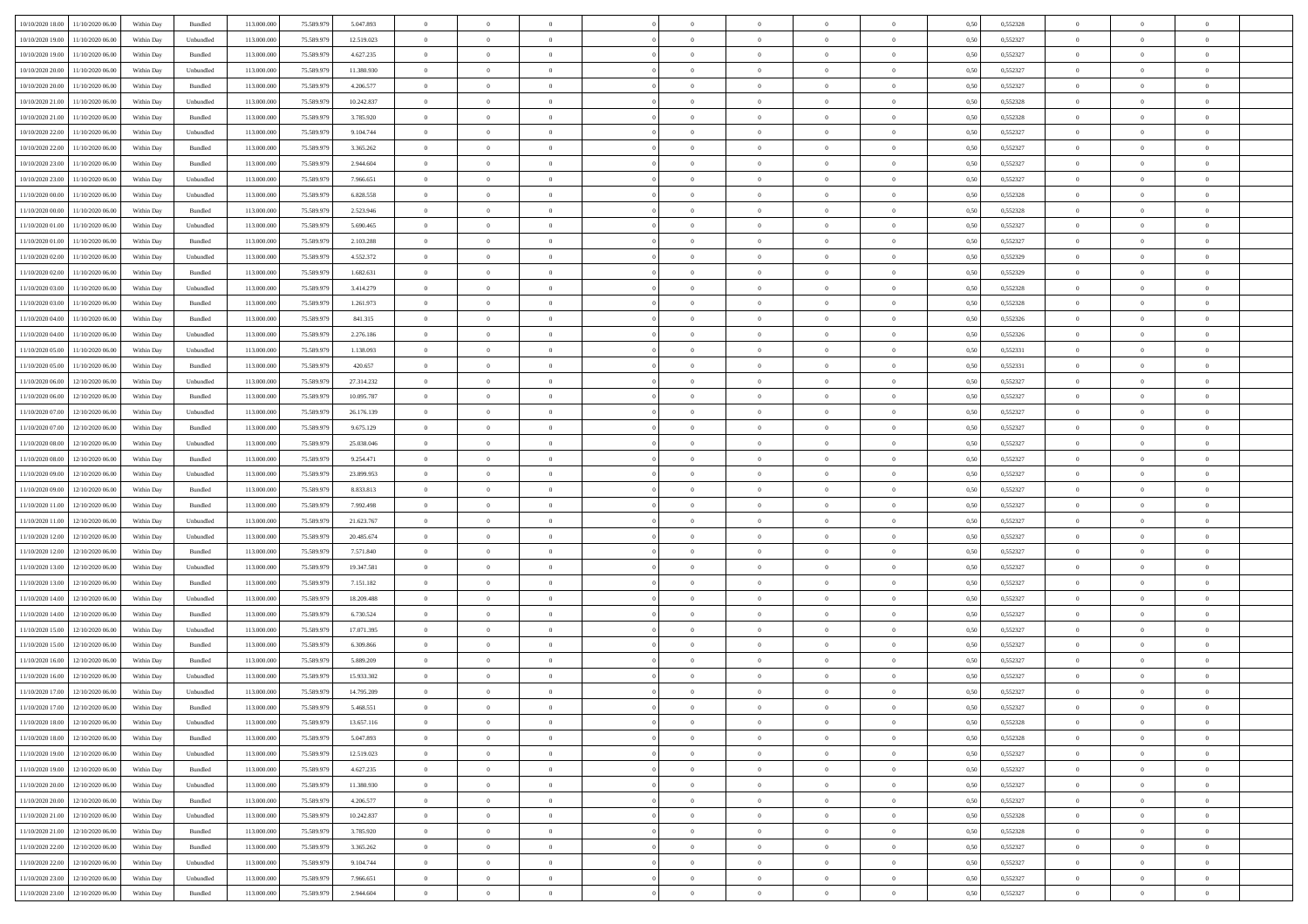| 10/10/2020 18:00                  | 11/10/2020 06:00 | Within Day | Bundled            | 113.000.000 | 75.589.979 | 5.047.893  | $\overline{0}$ | $\theta$       |                | $\overline{0}$ | $\overline{0}$ | $\overline{0}$ | $\theta$       | 0,50 | 0,552328 | $\theta$       | $\theta$       | $\theta$                 |  |
|-----------------------------------|------------------|------------|--------------------|-------------|------------|------------|----------------|----------------|----------------|----------------|----------------|----------------|----------------|------|----------|----------------|----------------|--------------------------|--|
|                                   |                  |            |                    |             |            |            | $\overline{0}$ | $\theta$       |                |                |                |                |                |      |          |                |                | $\overline{0}$           |  |
| 10/10/2020 19:00                  | 11/10/2020 06.00 | Within Day | Unbundled          | 113.000.00  | 75.589.979 | 12.519.023 |                |                | $\overline{0}$ | $\overline{0}$ | $\,$ 0         | $\bf{0}$       | $\bf{0}$       | 0,50 | 0,552327 | $\,$ 0 $\,$    | $\overline{0}$ |                          |  |
| 10/10/2020 19:00                  | 11/10/2020 06:00 | Within Day | Bundled            | 113.000.000 | 75.589.979 | 4.627.235  | $\overline{0}$ | $\overline{0}$ | $\overline{0}$ | $\overline{0}$ | $\bf{0}$       | $\overline{0}$ | $\mathbf{0}$   | 0.50 | 0,552327 | $\bf{0}$       | $\overline{0}$ | $\overline{0}$           |  |
| 10/10/2020 20:00                  | 11/10/2020 06.00 | Within Day | Unbundled          | 113.000.000 | 75.589.979 | 11.380.930 | $\overline{0}$ | $\overline{0}$ | $\overline{0}$ | $\overline{0}$ | $\bf{0}$       | $\overline{0}$ | $\overline{0}$ | 0,50 | 0,552327 | $\,$ 0 $\,$    | $\overline{0}$ | $\overline{0}$           |  |
| 10/10/2020 20:00                  | 11/10/2020 06.00 | Within Day | Bundled            | 113.000.000 | 75.589.979 | 4.206.577  | $\overline{0}$ | $\theta$       | $\overline{0}$ |                | $\overline{0}$ | $\overline{0}$ | $\bf{0}$       | 0,50 | 0,552327 | $\,$ 0 $\,$    | $\overline{0}$ | $\overline{0}$           |  |
| 10/10/2020 21:00                  | 11/10/2020 06:00 | Within Day | Unbundled          | 113,000,000 | 75.589.979 | 10.242.837 | $\overline{0}$ | $\overline{0}$ | $\overline{0}$ | $\overline{0}$ | $\bf{0}$       | $\overline{0}$ | $\overline{0}$ | 0.50 | 0.552328 | $\,0\,$        | $\theta$       | $\overline{0}$           |  |
| 10/10/2020 21:00                  | 11/10/2020 06.00 | Within Day | Bundled            | 113.000.000 | 75.589.979 | 3.785.920  | $\overline{0}$ | $\overline{0}$ | $\overline{0}$ | $\overline{0}$ | $\bf{0}$       | $\overline{0}$ | $\overline{0}$ | 0,50 | 0,552328 | $\,0\,$        | $\theta$       | $\overline{0}$           |  |
| 10/10/2020 22.00                  | 11/10/2020 06.00 | Within Day | Unbundled          | 113.000.000 | 75.589.979 | 9.104.744  | $\overline{0}$ | $\theta$       | $\overline{0}$ |                | $\bf{0}$       | $\overline{0}$ | $\bf{0}$       | 0,50 | 0,552327 | $\,$ 0 $\,$    | $\overline{0}$ | $\overline{0}$           |  |
| 10/10/2020 22.00                  | 11/10/2020 06:00 | Within Day | Bundled            | 113,000,000 | 75.589.979 | 3.365.262  | $\overline{0}$ | $\overline{0}$ | $\overline{0}$ | $\overline{0}$ | $\bf{0}$       | $\overline{0}$ | $\bf{0}$       | 0.50 | 0.552327 | $\,0\,$        | $\overline{0}$ | $\overline{0}$           |  |
| 10/10/2020 23:00                  | 11/10/2020 06.00 | Within Day | Bundled            | 113.000.000 | 75.589.979 | 2.944.604  | $\overline{0}$ | $\overline{0}$ | $\overline{0}$ | $\overline{0}$ | $\,$ 0         | $\overline{0}$ | $\bf{0}$       | 0,50 | 0,552327 | $\,$ 0 $\,$    | $\overline{0}$ | $\overline{0}$           |  |
|                                   |                  |            |                    |             |            |            |                |                |                |                |                |                |                |      |          |                |                |                          |  |
| 10/10/2020 23.00                  | 11/10/2020 06.00 | Within Day | Unbundled          | 113.000.000 | 75.589.979 | 7.966.651  | $\overline{0}$ | $\theta$       | $\overline{0}$ | $\overline{0}$ | $\,$ 0         | $\overline{0}$ | $\bf{0}$       | 0,50 | 0,552327 | $\,$ 0 $\,$    | $\overline{0}$ | $\overline{0}$           |  |
| 11/10/2020 00:00                  | 11/10/2020 06:00 | Within Day | Unbundled          | 113,000,000 | 75.589.979 | 6.828.558  | $\overline{0}$ | $\overline{0}$ | $\overline{0}$ | $\overline{0}$ | $\bf{0}$       | $\overline{0}$ | $\mathbf{0}$   | 0.50 | 0,552328 | $\bf{0}$       | $\overline{0}$ | $\overline{\phantom{a}}$ |  |
| 11/10/2020 00:00                  | 11/10/2020 06.00 | Within Day | Bundled            | 113.000.000 | 75.589.979 | 2.523.946  | $\overline{0}$ | $\overline{0}$ | $\overline{0}$ | $\overline{0}$ | $\bf{0}$       | $\overline{0}$ | $\mathbf{0}$   | 0,50 | 0,552328 | $\,$ 0 $\,$    | $\overline{0}$ | $\overline{0}$           |  |
| 11/10/2020 01:00                  | 11/10/2020 06.00 | Within Day | Unbundled          | 113.000.00  | 75.589.979 | 5.690.465  | $\overline{0}$ | $\theta$       | $\overline{0}$ |                | $\overline{0}$ | $\overline{0}$ | $\bf{0}$       | 0,50 | 0,552327 | $\,$ 0 $\,$    | $\overline{0}$ | $\overline{0}$           |  |
| 11/10/2020 01:00                  | 11/10/2020 06:00 | Within Day | Bundled            | 113,000,000 | 75.589.979 | 2.103.288  | $\overline{0}$ | $\overline{0}$ | $\overline{0}$ | $\overline{0}$ | $\,$ 0         | $\overline{0}$ | $\overline{0}$ | 0.50 | 0.552327 | $\,0\,$        | $\theta$       | $\overline{0}$           |  |
| 11/10/2020 02.00                  | 11/10/2020 06.00 | Within Day | Unbundled          | 113.000.000 | 75.589.979 | 4.552.372  | $\overline{0}$ | $\overline{0}$ | $\overline{0}$ | $\overline{0}$ | $\bf{0}$       | $\overline{0}$ | $\overline{0}$ | 0,50 | 0,552329 | $\theta$       | $\theta$       | $\overline{0}$           |  |
| 11/10/2020 02.00                  | 11/10/2020 06.00 | Within Day | Bundled            | 113.000.000 | 75.589.979 | 1.682.631  | $\overline{0}$ | $\theta$       | $\overline{0}$ |                | $\bf{0}$       | $\overline{0}$ | $\bf{0}$       | 0,50 | 0,552329 | $\,$ 0 $\,$    | $\overline{0}$ | $\overline{0}$           |  |
| 11/10/2020 03:00                  | 11/10/2020 06:00 | Within Day | Unbundled          | 113,000,000 | 75.589.979 | 3.414.279  | $\overline{0}$ | $\overline{0}$ | $\overline{0}$ | $\overline{0}$ | $\bf{0}$       | $\overline{0}$ | $\bf{0}$       | 0.50 | 0.552328 | $\,0\,$        | $\overline{0}$ | $\overline{0}$           |  |
| 11/10/2020 03:00                  | 11/10/2020 06.00 | Within Day | Bundled            | 113.000.000 | 75.589.979 | 1.261.973  | $\overline{0}$ | $\overline{0}$ | $\overline{0}$ | $\overline{0}$ | $\,$ 0         | $\overline{0}$ | $\overline{0}$ | 0,50 | 0,552328 | $\,$ 0 $\,$    | $\overline{0}$ | $\overline{0}$           |  |
| 11/10/2020 04:00                  | 11/10/2020 06.00 | Within Day | Bundled            | 113.000.000 | 75.589.979 | 841.315    | $\bf{0}$       | $\,$ 0 $\,$    | $\overline{0}$ | $\overline{0}$ | $\,$ 0         | $\overline{0}$ | $\bf{0}$       | 0,50 | 0,552326 | $\,$ 0 $\,$    | $\overline{0}$ | $\overline{0}$           |  |
|                                   | 11/10/2020 06:00 |            |                    | 113,000,000 |            |            |                | $\overline{0}$ |                |                |                | $\overline{0}$ |                | 0.50 |          |                |                |                          |  |
| 11/10/2020 04:00                  |                  | Within Day | Unbundled          |             | 75.589.979 | 2.276.186  | $\overline{0}$ |                | $\overline{0}$ | $\overline{0}$ | $\bf{0}$       |                | $\mathbf{0}$   |      | 0,552326 | $\bf{0}$       | $\overline{0}$ | $\overline{0}$           |  |
| 11/10/2020 05:00                  | 11/10/2020 06.00 | Within Day | Unbundled          | 113.000.000 | 75.589.979 | 1.138.093  | $\overline{0}$ | $\overline{0}$ | $\overline{0}$ | $\overline{0}$ | $\bf{0}$       | $\overline{0}$ | $\overline{0}$ | 0,50 | 0,552331 | $\,$ 0 $\,$    | $\overline{0}$ | $\overline{0}$           |  |
| 11/10/2020 05:00                  | 11/10/2020 06.00 | Within Day | Bundled            | 113.000.000 | 75.589.979 | 420.657    | $\overline{0}$ | $\theta$       | $\overline{0}$ | $\overline{0}$ | $\,$ 0         | $\overline{0}$ | $\bf{0}$       | 0,50 | 0,552331 | $\,$ 0 $\,$    | $\overline{0}$ | $\overline{0}$           |  |
| 11/10/2020 06:00                  | 12/10/2020 06:00 | Within Day | Unbundled          | 113,000,000 | 75.589.979 | 27.314.232 | $\overline{0}$ | $\overline{0}$ | $\overline{0}$ | $\overline{0}$ | $\bf{0}$       | $\overline{0}$ | $\bf{0}$       | 0.50 | 0.552327 | $\,0\,$        | $\theta$       | $\overline{0}$           |  |
| 11/10/2020 06.00                  | 12/10/2020 06:00 | Within Day | Bundled            | 113.000.000 | 75.589.979 | 10.095.787 | $\overline{0}$ | $\overline{0}$ | $\overline{0}$ | $\overline{0}$ | $\bf{0}$       | $\overline{0}$ | $\overline{0}$ | 0,50 | 0,552327 | $\,$ 0 $\,$    | $\theta$       | $\overline{0}$           |  |
| 11/10/2020 07.00                  | 12/10/2020 06.00 | Within Day | Unbundled          | 113.000.000 | 75.589.979 | 26.176.139 | $\overline{0}$ | $\theta$       | $\overline{0}$ |                | $\bf{0}$       | $\overline{0}$ | $\bf{0}$       | 0,50 | 0,552327 | $\,$ 0 $\,$    | $\overline{0}$ | $\overline{0}$           |  |
| 11/10/2020 07.00                  | 12/10/2020 06:00 | Within Day | Bundled            | 113,000,000 | 75.589.979 | 9.675.129  | $\overline{0}$ | $\overline{0}$ | $\overline{0}$ | $\overline{0}$ | $\bf{0}$       | $\overline{0}$ | $\bf{0}$       | 0.50 | 0.552327 | $\,0\,$        | $\overline{0}$ | $\overline{0}$           |  |
| 11/10/2020 08:00                  | 12/10/2020 06.00 | Within Day | Unbundled          | 113.000.000 | 75.589.979 | 25.038.046 | $\overline{0}$ | $\overline{0}$ | $\overline{0}$ | $\overline{0}$ | $\,$ 0         | $\overline{0}$ | $\overline{0}$ | 0,50 | 0,552327 | $\,$ 0 $\,$    | $\theta$       | $\overline{0}$           |  |
| 11/10/2020 08:00                  | 12/10/2020 06.00 | Within Day | Bundled            | 113.000.000 | 75.589.979 | 9.254.471  | $\bf{0}$       | $\overline{0}$ | $\overline{0}$ | $\overline{0}$ | $\,$ 0         | $\bf{0}$       | $\bf{0}$       | 0,50 | 0,552327 | $\,$ 0 $\,$    | $\overline{0}$ | $\overline{0}$           |  |
| 11/10/2020 09:00                  | 12/10/2020 06:00 | Within Day | Unbundled          | 113,000,000 | 75.589.979 | 23,899.953 | $\overline{0}$ | $\overline{0}$ | $\overline{0}$ | $\overline{0}$ | $\bf{0}$       | $\overline{0}$ | $\mathbf{0}$   | 0.50 | 0,552327 | $\bf{0}$       | $\overline{0}$ | $\overline{\phantom{a}}$ |  |
| 11/10/2020 09:00                  | 12/10/2020 06:00 | Within Dav | Bundled            | 113.000.000 | 75.589.979 | 8.833.813  | $\overline{0}$ | $\overline{0}$ | $\theta$       | $\overline{0}$ | $\mathbf{0}$   | $\overline{0}$ | $\overline{0}$ | 0.50 | 0,552327 | $\theta$       | $\overline{0}$ | $\overline{0}$           |  |
| 11/10/2020 11:00                  | 12/10/2020 06.00 | Within Day | Bundled            | 113.000.00  | 75.589.979 | 7.992.498  | $\overline{0}$ | $\theta$       | $\overline{0}$ |                | $\bf{0}$       | $\overline{0}$ | $\bf{0}$       | 0,50 | 0,552327 | $\,$ 0 $\,$    | $\overline{0}$ | $\overline{0}$           |  |
|                                   | 12/10/2020 06:00 |            |                    | 113,000,000 | 75.589.979 | 21.623.767 |                | $\overline{0}$ | $\overline{0}$ | $\overline{0}$ | $\,$ 0         | $\overline{0}$ |                | 0.50 | 0.552327 | $\,0\,$        | $\theta$       | $\overline{0}$           |  |
| 11/10/2020 11:00                  |                  | Within Day | Unbundled          |             |            |            | $\overline{0}$ |                |                |                |                |                | $\bf{0}$       |      |          |                |                |                          |  |
| 11/10/2020 12:00                  | 12/10/2020 06.00 | Within Dav | Unbundled          | 113.000.000 | 75.589.979 | 20.485.674 | $\overline{0}$ | $\theta$       | $\Omega$       | $\Omega$       | $\mathbf{0}$   | $\overline{0}$ | $\overline{0}$ | 0.50 | 0,552327 | $\theta$       | $\overline{0}$ | $\overline{0}$           |  |
| 11/10/2020 12:00                  | 12/10/2020 06.00 | Within Day | Bundled            | 113.000.000 | 75.589.979 | 7.571.840  | $\overline{0}$ | $\theta$       | $\overline{0}$ |                | $\,$ 0         | $\overline{0}$ | $\bf{0}$       | 0,50 | 0,552327 | $\,$ 0 $\,$    | $\overline{0}$ | $\overline{0}$           |  |
| 11/10/2020 13:00                  | 12/10/2020 06:00 | Within Day | Unbundled          | 113,000,000 | 75.589.979 | 19.347.581 | $\overline{0}$ | $\overline{0}$ | $\overline{0}$ | $\overline{0}$ | $\bf{0}$       | $\overline{0}$ | $\bf{0}$       | 0.50 | 0.552327 | $\,0\,$        | $\overline{0}$ | $\overline{0}$           |  |
| 11/10/2020 13:00                  | 12/10/2020 06.00 | Within Dav | Bundled            | 113.000.000 | 75.589.979 | 7.151.182  | $\overline{0}$ | $\overline{0}$ | $\Omega$       | $\Omega$       | $\overline{0}$ | $\overline{0}$ | $\overline{0}$ | 0.50 | 0,552327 | $\theta$       | $\overline{0}$ | $\overline{0}$           |  |
| 11/10/2020 14:00                  | 12/10/2020 06.00 | Within Day | Unbundled          | 113.000.00  | 75.589.979 | 18.209.488 | $\bf{0}$       | $\overline{0}$ | $\overline{0}$ | $\overline{0}$ | $\bf{0}$       | $\bf{0}$       | $\bf{0}$       | 0,50 | 0,552327 | $\,$ 0 $\,$    | $\overline{0}$ | $\overline{0}$           |  |
| 11/10/2020 14:00                  | 12/10/2020 06:00 | Within Day | Bundled            | 113,000,000 | 75.589.979 | 6.730.524  | $\overline{0}$ | $\overline{0}$ | $\overline{0}$ | $\overline{0}$ | $\bf{0}$       | $\overline{0}$ | $\mathbf{0}$   | 0.50 | 0,552327 | $\,$ 0 $\,$    | $\overline{0}$ | $\overline{0}$           |  |
| 11/10/2020 15:00                  | 12/10/2020 06:00 | Within Dav | Unbundled          | 113.000.000 | 75.589.979 | 17.071.395 | $\overline{0}$ | $\overline{0}$ | $\Omega$       | $\Omega$       | $\mathbf{0}$   | $\overline{0}$ | $\overline{0}$ | 0.50 | 0,552327 | $\theta$       | $\overline{0}$ | $\overline{0}$           |  |
| 11/10/2020 15:00                  | 12/10/2020 06.00 | Within Day | Bundled            | 113.000.000 | 75.589.979 | 6.309.866  | $\overline{0}$ | $\theta$       | $\overline{0}$ | $\overline{0}$ | $\,$ 0         | $\overline{0}$ | $\bf{0}$       | 0,50 | 0,552327 | $\,$ 0 $\,$    | $\overline{0}$ | $\overline{0}$           |  |
| 11/10/2020 16:00                  | 12/10/2020 06:00 | Within Day | Bundled            | 113.000.000 | 75.589.979 | 5.889.209  | $\overline{0}$ | $\theta$       | $\overline{0}$ | $\overline{0}$ | $\bf{0}$       | $\Omega$       | $\overline{0}$ | 0.50 | 0.552327 | $\,0\,$        | $\theta$       | $\overline{0}$           |  |
| 11/10/2020 16:00                  | 12/10/2020 06:00 | Within Dav | Unbundled          | 113.000.000 | 75.589.979 | 15.933.302 | $\overline{0}$ | $\Omega$       | $\Omega$       | $\Omega$       | $\bf{0}$       | $\overline{0}$ | $\Omega$       | 0.50 | 0,552327 | $\theta$       | $\overline{0}$ | $\overline{0}$           |  |
| 11/10/2020 17:00                  | 12/10/2020 06:00 | Within Day | Unbundled          | 113.000.000 | 75.589.979 | 14.795.209 | $\bf{0}$       | $\,$ 0 $\,$    | $\overline{0}$ | $\overline{0}$ | $\,$ 0         | $\overline{0}$ | $\bf{0}$       | 0,50 | 0,552327 | $\,$ 0 $\,$    | $\overline{0}$ | $\overline{0}$           |  |
| 11/10/2020 17:00                  | 12/10/2020 06:00 | Within Day | $\mathbf B$ undled | 113.000.000 | 75.589.979 | 5.468.551  | $\bf{0}$       | $\bf{0}$       |                |                |                |                |                | 0,50 | 0,552327 | $\,$ 0         | $\theta$       |                          |  |
|                                   |                  |            |                    |             |            |            | $\Omega$       | $\overline{0}$ | $\Omega$       | $\Omega$       | $\mathbf{0}$   |                |                |      |          | $\theta$       | $\theta$       | $\overline{0}$           |  |
| 11/10/2020 18:00 12/10/2020 06:00 |                  | Within Day | Unbundled          | 113.000.000 | 75.589.979 | 13.657.116 |                |                |                |                |                | $\overline{0}$ | $\mathbf{0}$   | 0.50 | 0,552328 |                |                |                          |  |
| 11/10/2020 18:00                  | 12/10/2020 06.00 | Within Day | Bundled            | 113.000.000 | 75.589.979 | 5.047.893  | $\bf{0}$       | $\overline{0}$ | $\overline{0}$ | $\bf{0}$       | $\overline{0}$ | $\overline{0}$ | $\mathbf{0}$   | 0,50 | 0,552328 | $\bf{0}$       | $\overline{0}$ | $\bf{0}$                 |  |
| 11/10/2020 19:00                  | 12/10/2020 06.00 | Within Day | Unbundled          | 113,000,000 | 75.589.979 | 12.519.023 | $\overline{0}$ | $\overline{0}$ | $\overline{0}$ | $\overline{0}$ | $\bf{0}$       | $\overline{0}$ | $\mathbf{0}$   | 0.50 | 0,552327 | $\overline{0}$ | $\bf{0}$       | $\bf{0}$                 |  |
| 11/10/2020 19:00                  | 12/10/2020 06:00 | Within Dav | Bundled            | 113.000.000 | 75.589.979 | 4.627.235  | $\overline{0}$ | $\overline{0}$ | $\overline{0}$ | $\overline{0}$ | $\mathbf{0}$   | $\overline{0}$ | $\mathbf{0}$   | 0.50 | 0,552327 | $\overline{0}$ | $\theta$       | $\overline{0}$           |  |
| 11/10/2020 20.00                  | 12/10/2020 06:00 | Within Day | Unbundled          | 113.000.000 | 75.589.979 | 11.380.930 | $\overline{0}$ | $\overline{0}$ | $\overline{0}$ | $\overline{0}$ | $\bf{0}$       | $\bf{0}$       | $\bf{0}$       | 0,50 | 0,552327 | $\,0\,$        | $\overline{0}$ | $\overline{0}$           |  |
| 11/10/2020 20.00                  | 12/10/2020 06:00 | Within Day | Bundled            | 113.000.000 | 75.589.979 | 4.206.577  | $\overline{0}$ | $\overline{0}$ | $\overline{0}$ | $\overline{0}$ | $\bf{0}$       | $\overline{0}$ | $\overline{0}$ | 0.50 | 0.552327 | $\,$ 0 $\,$    | $\theta$       | $\overline{0}$           |  |
| 11/10/2020 21:00                  | 12/10/2020 06:00 | Within Day | Unbundled          | 113.000.000 | 75.589.979 | 10.242.837 | $\overline{0}$ | $\overline{0}$ | $\overline{0}$ | $\overline{0}$ | $\overline{0}$ | $\overline{0}$ | $\overline{0}$ | 0,50 | 0,552328 | $\overline{0}$ | $\theta$       | $\overline{0}$           |  |
| 11/10/2020 21:00                  | 12/10/2020 06.00 | Within Day | Bundled            | 113.000.000 | 75.589.979 | 3.785.920  | $\overline{0}$ | $\,$ 0         | $\overline{0}$ | $\bf{0}$       | $\,$ 0 $\,$    | $\bf{0}$       | $\bf{0}$       | 0,50 | 0,552328 | $\,$ 0 $\,$    | $\overline{0}$ | $\overline{0}$           |  |
| 11/10/2020 22.00                  | 12/10/2020 06:00 | Within Day | Bundled            | 113,000,000 | 75.589.979 | 3.365.262  | $\overline{0}$ | $\overline{0}$ | $\overline{0}$ | $\overline{0}$ | $\bf{0}$       | $\overline{0}$ | $\mathbf{0}$   | 0.50 | 0.552327 | $\mathbf{0}$   | $\,$ 0 $\,$    | $\overline{0}$           |  |
| 11/10/2020 22.00                  | 12/10/2020 06:00 | Within Day | Unbundled          | 113.000.000 | 75.589.979 | 9.104.744  | $\overline{0}$ | $\overline{0}$ | $\overline{0}$ | $\overline{0}$ | $\overline{0}$ | $\overline{0}$ | $\overline{0}$ | 0,50 | 0,552327 | $\overline{0}$ | $\theta$       | $\overline{0}$           |  |
| 11/10/2020 23.00                  | 12/10/2020 06.00 | Within Day | Unbundled          | 113.000.000 | 75.589.979 | 7.966.651  | $\overline{0}$ | $\overline{0}$ | $\overline{0}$ | $\overline{0}$ | $\bf{0}$       | $\bf{0}$       | $\bf{0}$       | 0,50 | 0,552327 | $\bf{0}$       | $\overline{0}$ | $\overline{0}$           |  |
|                                   |                  |            |                    |             |            |            |                |                |                |                |                |                |                |      |          |                |                |                          |  |
| 11/10/2020 23.00 12/10/2020 06.00 |                  | Within Day | Bundled            | 113.000.000 | 75.589.979 | 2.944.604  | $\overline{0}$ | $\overline{0}$ | $\overline{0}$ | $\overline{0}$ | $\bf{0}$       | $\overline{0}$ | $\,$ 0 $\,$    | 0,50 | 0,552327 | $\overline{0}$ | $\,$ 0 $\,$    | $\,$ 0 $\,$              |  |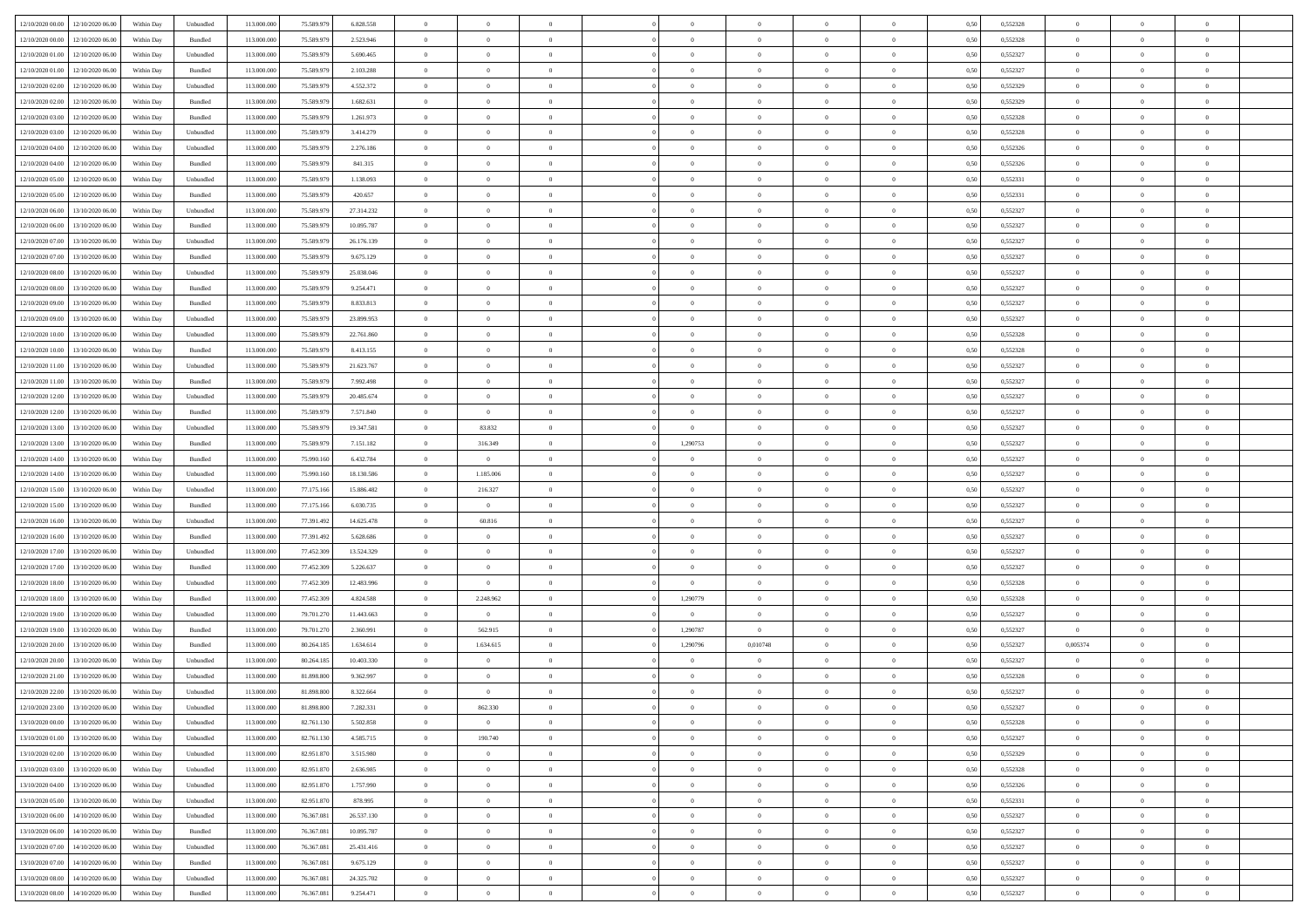| 12/10/2020 00:00 12/10/2020 06:00       | Within Day               | Unbundled | 113.000.000 | 75.589.979 | 6.828.558  | $\overline{0}$ | $\overline{0}$ |                | $\overline{0}$ | $\theta$       |                | $\theta$       | 0,50 | 0,552328 | $\theta$       | $\theta$       | $\overline{0}$ |  |
|-----------------------------------------|--------------------------|-----------|-------------|------------|------------|----------------|----------------|----------------|----------------|----------------|----------------|----------------|------|----------|----------------|----------------|----------------|--|
| 12/10/2020 00:00<br>12/10/2020 06.00    | Within Day               | Bundled   | 113.000.00  | 75.589.97  | 2.523.946  | $\bf{0}$       | $\bf{0}$       | $\bf{0}$       | $\overline{0}$ | $\overline{0}$ | $\overline{0}$ | $\bf{0}$       | 0,50 | 0,552328 | $\,$ 0 $\,$    | $\bf{0}$       | $\overline{0}$ |  |
| 12/10/2020 01:00<br>12/10/2020 06:00    | Within Day               | Unbundled | 113,000,000 | 75.589.979 | 5.690.465  | $\overline{0}$ | $\bf{0}$       | $\overline{0}$ | $\bf{0}$       | $\bf{0}$       | $\overline{0}$ | $\bf{0}$       | 0.50 | 0,552327 | $\bf{0}$       | $\overline{0}$ | $\overline{0}$ |  |
| 12/10/2020 01:00<br>12/10/2020 06:00    | Within Day               | Bundled   | 113.000.000 | 75.589.979 | 2.103.288  | $\overline{0}$ | $\bf{0}$       | $\overline{0}$ | $\theta$       | $\theta$       | $\overline{0}$ | $\bf{0}$       | 0,50 | 0,552327 | $\theta$       | $\theta$       | $\overline{0}$ |  |
| 12/10/2020 02:00<br>12/10/2020 06.00    | Within Day               | Unbundled | 113.000.00  | 75.589.97  | 4.552.372  | $\bf{0}$       | $\overline{0}$ | $\bf{0}$       | $\overline{0}$ | $\theta$       | $\overline{0}$ | $\bf{0}$       | 0,50 | 0,552329 | $\,$ 0 $\,$    | $\bf{0}$       | $\overline{0}$ |  |
| 12/10/2020 02:00<br>12/10/2020 06.00    | Within Day               | Bundled   | 113,000,000 | 75.589.979 | 1.682.631  | $\overline{0}$ | $\overline{0}$ | $\overline{0}$ | $\bf{0}$       | $\overline{0}$ | $\theta$       | $\bf{0}$       | 0.50 | 0.552329 | $\,$ 0 $\,$    | $\theta$       | $\overline{0}$ |  |
| 12/10/2020 03:00<br>12/10/2020 06.00    | Within Day               | Bundled   | 113.000.000 | 75.589.979 | 1.261.973  | $\overline{0}$ | $\overline{0}$ | $\overline{0}$ | $\overline{0}$ | $\overline{0}$ | $\overline{0}$ | $\bf{0}$       | 0,50 | 0,552328 | $\,$ 0 $\,$    | $\theta$       | $\overline{0}$ |  |
| 12/10/2020 03:00<br>12/10/2020 06.00    | Within Day               | Unbundled | 113.000.00  | 75.589.97  | 3.414.279  | $\bf{0}$       | $\bf{0}$       | $\bf{0}$       | $\overline{0}$ | $\overline{0}$ | $\overline{0}$ | $\bf{0}$       | 0,50 | 0,552328 | $\,$ 0 $\,$    | $\bf{0}$       | $\overline{0}$ |  |
| 12/10/2020 04:00<br>12/10/2020 06:00    | Within Day               | Unbundled | 113,000,000 | 75.589.979 | 2.276.186  | $\overline{0}$ | $\bf{0}$       | $\overline{0}$ | $\bf{0}$       | $\overline{0}$ | $\overline{0}$ | $\bf{0}$       | 0.50 | 0.552326 | $\bf{0}$       | $\overline{0}$ | $\overline{0}$ |  |
| 12/10/2020 04:00<br>12/10/2020 06:00    |                          |           | 113.000.000 |            |            |                | $\bf{0}$       | $\overline{0}$ | $\overline{0}$ | $\overline{0}$ | $\overline{0}$ |                |      |          | $\,$ 0 $\,$    | $\bf{0}$       | $\overline{0}$ |  |
|                                         | Within Day               | Bundled   |             | 75.589.979 | 841.315    | $\bf{0}$       |                |                |                |                |                | $\bf{0}$       | 0,50 | 0,552326 |                |                |                |  |
| 12/10/2020 05:00<br>12/10/2020 06.00    | Within Day               | Unbundled | 113.000.00  | 75.589.97  | 1.138.093  | $\bf{0}$       | $\overline{0}$ | $\bf{0}$       | $\bf{0}$       | $\bf{0}$       | $\overline{0}$ | $\bf{0}$       | 0,50 | 0,552331 | $\,$ 0 $\,$    | $\bf{0}$       | $\overline{0}$ |  |
| 12/10/2020 05:00<br>12/10/2020 06.00    | Within Day               | Bundled   | 113,000,000 | 75.589.979 | 420.657    | $\overline{0}$ | $\bf{0}$       | $\overline{0}$ | $\overline{0}$ | $\bf{0}$       | $\overline{0}$ | $\bf{0}$       | 0.50 | 0,552331 | $\bf{0}$       | $\overline{0}$ | $\bf{0}$       |  |
| 12/10/2020 06:00<br>13/10/2020 06:00    | Within Day               | Unbundled | 113.000.000 | 75.589.979 | 27.314.232 | $\overline{0}$ | $\overline{0}$ | $\overline{0}$ | $\theta$       | $\theta$       | $\overline{0}$ | $\overline{0}$ | 0,50 | 0,552327 | $\,$ 0 $\,$    | $\theta$       | $\overline{0}$ |  |
| 12/10/2020 06:00<br>13/10/2020 06.00    | Within Day               | Bundled   | 113.000.00  | 75.589.97  | 10.095.787 | $\bf{0}$       | $\overline{0}$ | $\bf{0}$       | $\overline{0}$ | $\theta$       | $\overline{0}$ | $\bf{0}$       | 0,50 | 0,552327 | $\,$ 0 $\,$    | $\bf{0}$       | $\overline{0}$ |  |
| 12/10/2020 07:00<br>13/10/2020 06:00    | Within Day               | Unbundled | 113,000,000 | 75.589.979 | 26.176.139 | $\overline{0}$ | $\overline{0}$ | $\overline{0}$ | $\bf{0}$       | $\overline{0}$ | $\Omega$       | $\bf{0}$       | 0.50 | 0.552327 | $\,$ 0 $\,$    | $\theta$       | $\overline{0}$ |  |
| 12/10/2020 07:00<br>13/10/2020 06:00    | Within Day               | Bundled   | 113.000.000 | 75.589.979 | 9.675.129  | $\overline{0}$ | $\overline{0}$ | $\overline{0}$ | $\overline{0}$ | $\overline{0}$ | $\overline{0}$ | $\bf{0}$       | 0,50 | 0,552327 | $\theta$       | $\theta$       | $\overline{0}$ |  |
| 12/10/2020 08:00<br>13/10/2020 06.00    | Within Day               | Unbundled | 113.000.00  | 75.589.97  | 25.038.046 | $\bf{0}$       | $\overline{0}$ | $\bf{0}$       | $\overline{0}$ | $\bf{0}$       | $\overline{0}$ | $\bf{0}$       | 0,50 | 0,552327 | $\,$ 0 $\,$    | $\bf{0}$       | $\overline{0}$ |  |
| 12/10/2020 08:00<br>13/10/2020 06:00    | Within Day               | Bundled   | 113,000,00  | 75.589.979 | 9.254.471  | $\overline{0}$ | $\bf{0}$       | $\overline{0}$ | $\bf{0}$       | $\overline{0}$ | $\overline{0}$ | $\bf{0}$       | 0.50 | 0.552327 | $\bf{0}$       | $\overline{0}$ | $\overline{0}$ |  |
| 12/10/2020 09:00<br>13/10/2020 06:00    | Within Day               | Bundled   | 113.000.000 | 75.589.979 | 8.833.813  | $\bf{0}$       | $\bf{0}$       | $\overline{0}$ | $\overline{0}$ | $\overline{0}$ | $\overline{0}$ | $\bf{0}$       | 0,50 | 0,552327 | $\,$ 0 $\,$    | $\bf{0}$       | $\overline{0}$ |  |
| 12/10/2020 09:00<br>13/10/2020 06.00    | Within Day               | Unbundled | 113.000.00  | 75.589.97  | 23.899.953 | $\bf{0}$       | $\bf{0}$       | $\bf{0}$       | $\bf{0}$       | $\overline{0}$ | $\overline{0}$ | $\bf{0}$       | 0,50 | 0,552327 | $\,$ 0 $\,$    | $\bf{0}$       | $\overline{0}$ |  |
| 12/10/2020 10:00<br>13/10/2020 06.00    | Within Day               | Unbundled | 113,000,000 | 75.589.979 | 22.761.860 | $\overline{0}$ | $\bf{0}$       | $\overline{0}$ | $\overline{0}$ | $\bf{0}$       | $\overline{0}$ | $\bf{0}$       | 0.50 | 0,552328 | $\bf{0}$       | $\overline{0}$ | $\overline{0}$ |  |
| 12/10/2020 10:00<br>13/10/2020 06:00    | Within Day               | Bundled   | 113.000.000 | 75.589.979 | 8.413.155  | $\overline{0}$ | $\overline{0}$ | $\overline{0}$ | $\theta$       | $\theta$       | $\overline{0}$ | $\bf{0}$       | 0,50 | 0,552328 | $\theta$       | $\theta$       | $\overline{0}$ |  |
| 12/10/2020 11:00<br>13/10/2020 06.00    | Within Day               | Unbundled | 113.000.00  | 75.589.97  | 21.623.767 | $\bf{0}$       | $\overline{0}$ | $\bf{0}$       | $\bf{0}$       | $\overline{0}$ | $\overline{0}$ | $\bf{0}$       | 0,50 | 0,552327 | $\,$ 0 $\,$    | $\bf{0}$       | $\overline{0}$ |  |
| 12/10/2020 11:00<br>13/10/2020 06:00    | Within Day               | Bundled   | 113,000,000 | 75.589.979 | 7.992.498  | $\overline{0}$ | $\overline{0}$ | $\overline{0}$ | $\overline{0}$ | $\overline{0}$ | $\theta$       | $\bf{0}$       | 0.50 | 0.552327 | $\,$ 0 $\,$    | $\theta$       | $\overline{0}$ |  |
| 12/10/2020 12:00<br>13/10/2020 06.00    | Within Day               | Unbundled | 113.000.000 | 75.589.979 | 20.485.674 | $\overline{0}$ | $\overline{0}$ | $\overline{0}$ | $\overline{0}$ | $\theta$       | $\overline{0}$ | $\bf{0}$       | 0,50 | 0,552327 | $\,$ 0 $\,$    | $\theta$       | $\overline{0}$ |  |
| 12/10/2020 12:00<br>13/10/2020 06.00    | Within Day               | Bundled   | 113.000.00  | 75.589.97  | 7.571.840  | $\bf{0}$       | $\bf{0}$       | $\bf{0}$       | $\overline{0}$ | $\theta$       | $\overline{0}$ | $\bf{0}$       | 0,50 | 0,552327 | $\,$ 0 $\,$    | $\bf{0}$       | $\overline{0}$ |  |
| 12/10/2020 13:00<br>13/10/2020 06:00    | Within Day               | Unbundled | 113,000,000 | 75.589.979 | 19.347.581 | $\overline{0}$ | 83.832         | $\overline{0}$ | $\bf{0}$       | $\overline{0}$ | $\overline{0}$ | $\bf{0}$       | 0.50 | 0.552327 | $\bf{0}$       | $\overline{0}$ | $\overline{0}$ |  |
| 12/10/2020 13:00<br>13/10/2020 06:00    | Within Day               | Bundled   | 113.000.000 | 75.589.979 | 7.151.182  | $\overline{0}$ | 316.349        | $\overline{0}$ | 1,290753       | $\theta$       | $\overline{0}$ | $\bf{0}$       | 0,50 | 0,552327 | $\,$ 0 $\,$    | $\theta$       | $\overline{0}$ |  |
| 12/10/2020 14:00<br>13/10/2020 06.00    | Within Day               | Bundled   | 113.000.00  | 75.990.16  | 6.432.784  | $\bf{0}$       | $\bf{0}$       | $\bf{0}$       | $\bf{0}$       | $\overline{0}$ | $\overline{0}$ | $\bf{0}$       | 0,50 | 0,552327 | $\,$ 0 $\,$    | $\bf{0}$       | $\overline{0}$ |  |
| 12/10/2020 14:00<br>13/10/2020 06:00    | Within Day               | Unbundled | 113,000,000 | 75,990,160 | 18.130.586 | $\overline{0}$ | 1.185,006      | $\overline{0}$ | $\bf{0}$       | $\bf{0}$       | $\overline{0}$ | $\bf{0}$       | 0.50 | 0.552327 | $\bf{0}$       | $\overline{0}$ | $\overline{0}$ |  |
| 12/10/2020 15:00<br>13/10/2020 06:00    | Within Day               | Unbundled | 113.000.000 | 77.175.166 | 15,886,482 | $\overline{0}$ | 216.327        | $\overline{0}$ | $\overline{0}$ | $\overline{0}$ | $\overline{0}$ | $\bf{0}$       | 0.5( | 0,552327 | $\theta$       | $\theta$       | $\overline{0}$ |  |
| 12/10/2020 15:00<br>13/10/2020 06.00    | Within Day               | Bundled   | 113.000.00  | 77.175.16  | 6.030.735  | $\bf{0}$       | $\bf{0}$       | $\bf{0}$       | $\bf{0}$       | $\,$ 0 $\,$    | $\overline{0}$ | $\bf{0}$       | 0,50 | 0,552327 | $\,$ 0 $\,$    | $\bf{0}$       | $\overline{0}$ |  |
| 12/10/2020 16:00<br>13/10/2020 06:00    |                          | Unbundled | 113,000,000 | 77.391.492 | 14.625.478 | $\overline{0}$ | 60.816         | $\overline{0}$ | $\bf{0}$       | $\overline{0}$ | $\Omega$       | $\bf{0}$       | 0.50 | 0.552327 | $\,$ 0 $\,$    | $\theta$       | $\overline{0}$ |  |
| 13/10/2020 06:00                        | Within Day<br>Within Dav | Bundled   | 113.000.000 | 77.391.492 | 5.628.686  | $\overline{0}$ | $\overline{0}$ | $\overline{0}$ | $\overline{0}$ | $\theta$       | $\overline{0}$ | $\bf{0}$       | 0.5( | 0,552327 | $\theta$       | $\theta$       | $\overline{0}$ |  |
| 12/10/2020 16:00                        |                          |           |             |            |            |                |                |                |                |                |                |                |      |          |                |                |                |  |
| 12/10/2020 17:00<br>13/10/2020 06.00    | Within Day               | Unbundled | 113.000.00  | 77.452.309 | 13.524.329 | $\bf{0}$       | $\bf{0}$       | $\bf{0}$       | $\bf{0}$       | $\bf{0}$       | $\overline{0}$ | $\bf{0}$       | 0,50 | 0,552327 | $\,$ 0 $\,$    | $\bf{0}$       | $\overline{0}$ |  |
| 12/10/2020 17:00<br>13/10/2020 06:00    | Within Day               | Bundled   | 113,000,00  | 77.452.309 | 5.226.637  | $\overline{0}$ | $\bf{0}$       | $\overline{0}$ | $\bf{0}$       | $\overline{0}$ | $\overline{0}$ | $\bf{0}$       | 0.50 | 0.552327 | $\bf{0}$       | $\overline{0}$ | $\overline{0}$ |  |
| 12/10/2020 18:00<br>13/10/2020 06:00    | Within Day               | Unbundled | 113.000.000 | 77.452.309 | 12,483,996 | $\overline{0}$ | $\overline{0}$ | $\overline{0}$ | $\overline{0}$ | $\overline{0}$ | $\overline{0}$ | $\bf{0}$       | 0.50 | 0,552328 | $\theta$       | $\theta$       | $\overline{0}$ |  |
| 12/10/2020 18:00<br>13/10/2020 06.00    | Within Day               | Bundled   | 113.000.00  | 77.452.309 | 4.824.588  | $\bf{0}$       | 2.248.962      | $\bf{0}$       | 1,290779       | $\overline{0}$ | $\overline{0}$ | $\bf{0}$       | 0,50 | 0,552328 | $\,$ 0 $\,$    | $\bf{0}$       | $\overline{0}$ |  |
| $12/10/2020\ 19.00$<br>13/10/2020 06:00 | Within Day               | Unbundled | 113,000,000 | 79.701.270 | 11.443.663 | $\overline{0}$ | $\overline{0}$ | $\overline{0}$ | $\overline{0}$ | $\bf{0}$       | $\overline{0}$ | $\bf{0}$       | 0.50 | 0,552327 | $\overline{0}$ | $\overline{0}$ | $\overline{0}$ |  |
| 12/10/2020 19:00<br>13/10/2020 06:00    | Within Day               | Bundled   | 113.000.000 | 79.701.270 | 2.360.991  | $\overline{0}$ | 562.915        | $\overline{0}$ | 1,290787       | $\overline{0}$ | $\overline{0}$ | $\bf{0}$       | 0.5( | 0,552327 | $\overline{0}$ | $\theta$       | $\overline{0}$ |  |
| 12/10/2020 20:00<br>13/10/2020 06.00    | Within Day               | Bundled   | 113.000.00  | 80.264.18  | 1.634.614  | $\bf{0}$       | 1.634.615      | $\bf{0}$       | 1,290796       | 0,010748       | $\overline{0}$ | $\bf{0}$       | 0,50 | 0,552327 | 0,005374       | $\bf{0}$       | $\overline{0}$ |  |
| 12/10/2020 20:00<br>13/10/2020 06.00    | Within Day               | Unbundled | 113,000,000 | 80.264.18  | 10.403.330 | $\overline{0}$ | $\overline{0}$ | $\Omega$       | $\bf{0}$       | $\overline{0}$ | $\theta$       | $\bf{0}$       | 0.50 | 0.552327 | $\theta$       | $\theta$       | $\overline{0}$ |  |
| 12/10/2020 21:00<br>13/10/2020 06:00    | Within Day               | Unbundled | 113.000.000 | 81.898.800 | 9.362.997  | $\overline{0}$ | $\overline{0}$ | $\overline{0}$ | $\overline{0}$ | $\theta$       | $\Omega$       | $\overline{0}$ | 0.5( | 0,552328 | $\theta$       | $\theta$       | $\overline{0}$ |  |
| 12/10/2020 22:00<br>13/10/2020 06.00    | Within Day               | Unbundled | 113.000.00  | 81.898.800 | 8.322.664  | $\bf{0}$       | $\bf{0}$       | $\bf{0}$       | $\bf{0}$       | $\bf{0}$       | $\overline{0}$ | $\bf{0}$       | 0,50 | 0,552327 | $\,$ 0 $\,$    | $\bf{0}$       | $\overline{0}$ |  |
| 12/10/2020 23:00 13/10/2020 06:00       | Within Day               | Unbundled | 113.000.000 | 81.898.800 | 7.282.331  | $\bf{0}$       | 862.330        |                | $\Omega$       |                |                |                | 0,50 | 0,552327 | $\theta$       | $\overline{0}$ |                |  |
| 13/10/2020 00:00 13/10/2020 06:00       | Within Day               | Unbundled | 113.000.000 | 82.761.130 | 5.502.858  | $\overline{0}$ | $\overline{0}$ | $\Omega$       | $\theta$       | $\theta$       | $\overline{0}$ | $\bf{0}$       | 0,50 | 0,552328 | $\theta$       | $\theta$       | $\overline{0}$ |  |
| 13/10/2020 01:00<br>13/10/2020 06.00    | Within Day               | Unbundled | 113.000.00  | 82.761.13  | 4.585.715  | $\overline{0}$ | 190.740        | $\overline{0}$ | $\overline{0}$ | $\bf{0}$       | $\overline{0}$ | $\bf{0}$       | 0,50 | 0,552327 | $\bf{0}$       | $\overline{0}$ | $\bf{0}$       |  |
| 13/10/2020 02:00 13/10/2020 06:00       | Within Day               | Unbundled | 113,000,000 | 82.951.870 | 3.515.980  | $\overline{0}$ | $\overline{0}$ | $\overline{0}$ | $\overline{0}$ | $\overline{0}$ | $\overline{0}$ | $\bf{0}$       | 0.50 | 0,552329 | $\overline{0}$ | $\bf{0}$       | $\,$ 0 $\,$    |  |
| 13/10/2020 03:00 13/10/2020 06:00       | Within Dav               | Unbundled | 113.000.000 | 82.951.870 | 2.636.985  | $\overline{0}$ | $\overline{0}$ | $\overline{0}$ | $\overline{0}$ | $\overline{0}$ | $\overline{0}$ | $\bf{0}$       | 0,50 | 0,552328 | $\theta$       | $\theta$       | $\overline{0}$ |  |
| 13/10/2020 04:00<br>13/10/2020 06.00    | Within Day               | Unbundled | 113.000.000 | 82.951.870 | 1.757.990  | $\overline{0}$ | $\bf{0}$       | $\overline{0}$ | $\bf{0}$       | $\overline{0}$ | $\bf{0}$       | $\bf{0}$       | 0,50 | 0,552326 | $\bf{0}$       | $\overline{0}$ | $\overline{0}$ |  |
| 13/10/2020 05:00<br>13/10/2020 06:00    | Within Day               | Unbundled | 113,000,000 | 82.951.870 | 878.995    | $\overline{0}$ | $\bf{0}$       | $\overline{0}$ | $\overline{0}$ | $\overline{0}$ | $\overline{0}$ | $\bf{0}$       | 0.50 | 0.552331 | $\,$ 0 $\,$    | $\theta$       | $\overline{0}$ |  |
| 13/10/2020 06:00<br>14/10/2020 06:00    | Within Dav               | Unbundled | 113.000.000 | 76.367.081 | 26.537.130 | $\overline{0}$ | $\overline{0}$ | $\overline{0}$ | $\overline{0}$ | $\overline{0}$ | $\overline{0}$ | $\bf{0}$       | 0,50 | 0,552327 | $\overline{0}$ | $\theta$       | $\overline{0}$ |  |
| 13/10/2020 06:00<br>14/10/2020 06.00    | Within Day               | Bundled   | 113.000.00  | 76.367.081 | 10.095.787 | $\overline{0}$ | $\overline{0}$ | $\overline{0}$ | $\overline{0}$ | $\overline{0}$ | $\overline{0}$ | $\bf{0}$       | 0,50 | 0,552327 | $\bf{0}$       | $\overline{0}$ | $\overline{0}$ |  |
| 13/10/2020 07:00<br>14/10/2020 06:00    | Within Day               | Unbundled | 113,000,000 | 76,367,081 | 25.431.416 | $\overline{0}$ | $\overline{0}$ | $\overline{0}$ | $\overline{0}$ | $\bf{0}$       | $\overline{0}$ | $\bf{0}$       | 0.50 | 0.552327 | $\overline{0}$ | $\bf{0}$       | $\,$ 0         |  |
| 13/10/2020 07:00<br>14/10/2020 06:00    | Within Dav               | Bundled   | 113.000.000 | 76.367.081 | 9.675.129  | $\overline{0}$ | $\overline{0}$ | $\overline{0}$ | $\overline{0}$ | $\overline{0}$ | $\overline{0}$ | $\bf{0}$       | 0,50 | 0,552327 | $\overline{0}$ | $\theta$       | $\overline{0}$ |  |
| 13/10/2020 08:00<br>14/10/2020 06.00    | Within Day               | Unbundled | 113.000.00  | 76.367.08  | 24.325.702 | $\overline{0}$ | $\bf{0}$       | $\overline{0}$ | $\bf{0}$       | $\overline{0}$ | $\bf{0}$       | $\bf{0}$       | 0,50 | 0,552327 | $\bf{0}$       | $\bf{0}$       | $\overline{0}$ |  |
| 13/10/2020 08:00 14/10/2020 06:00       | Within Day               | Bundled   | 113.000.000 | 76.367.081 | 9.254.471  | $\overline{0}$ | $\bf{0}$       | $\overline{0}$ | $\overline{0}$ | $\,$ 0 $\,$    | $\overline{0}$ | $\bf{0}$       | 0,50 | 0,552327 | $\overline{0}$ | $\,$ 0 $\,$    | $\,$ 0 $\,$    |  |
|                                         |                          |           |             |            |            |                |                |                |                |                |                |                |      |          |                |                |                |  |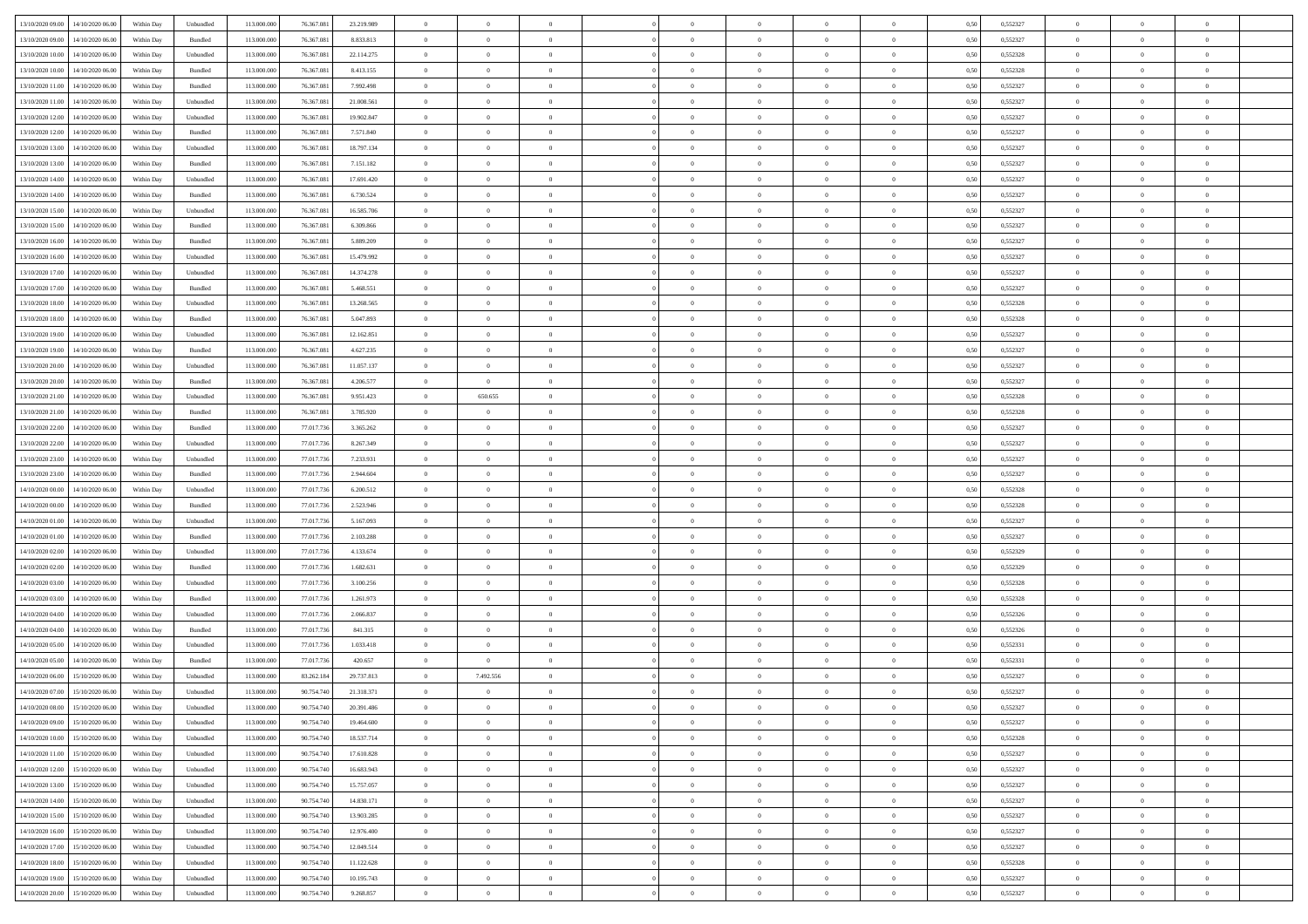| 13/10/2020 09:00                  | 14/10/2020 06:00                  | Within Day | Unbundled | 113.000.000 | 76.367.081 | 23.219.989 | $\overline{0}$ | $\theta$       |                | $\overline{0}$ | $\overline{0}$ | $\overline{0}$ | $\theta$       | 0,50 | 0,552327 | $\theta$       | $\theta$       | $\theta$                 |  |
|-----------------------------------|-----------------------------------|------------|-----------|-------------|------------|------------|----------------|----------------|----------------|----------------|----------------|----------------|----------------|------|----------|----------------|----------------|--------------------------|--|
|                                   |                                   |            |           |             |            |            | $\overline{0}$ | $\overline{0}$ |                |                |                |                |                |      |          |                |                | $\overline{0}$           |  |
| 13/10/2020 09:00                  | 14/10/2020 06.00                  | Within Day | Bundled   | 113.000.00  | 76.367.081 | 8.833.813  |                |                | $\overline{0}$ | $\overline{0}$ | $\,$ 0         | $\bf{0}$       | $\bf{0}$       | 0,50 | 0,552327 | $\,$ 0 $\,$    | $\overline{0}$ |                          |  |
| 13/10/2020 10:00                  | 14/10/2020 06:00                  | Within Day | Unbundled | 113,000,000 | 76,367,081 | 22.114.275 | $\overline{0}$ | $\overline{0}$ | $\overline{0}$ | $\overline{0}$ | $\bf{0}$       | $\overline{0}$ | $\mathbf{0}$   | 0.50 | 0,552328 | $\bf{0}$       | $\overline{0}$ | $\overline{0}$           |  |
| 13/10/2020 10:00                  | 14/10/2020 06.00                  | Within Day | Bundled   | 113.000.000 | 76.367.081 | 8.413.155  | $\overline{0}$ | $\overline{0}$ | $\overline{0}$ | $\overline{0}$ | $\bf{0}$       | $\overline{0}$ | $\overline{0}$ | 0,50 | 0,552328 | $\,$ 0 $\,$    | $\overline{0}$ | $\overline{0}$           |  |
| 13/10/2020 11:00                  | 14/10/2020 06.00                  | Within Day | Bundled   | 113.000.00  | 76.367.081 | 7.992.498  | $\overline{0}$ | $\theta$       | $\overline{0}$ |                | $\overline{0}$ | $\overline{0}$ | $\bf{0}$       | 0,50 | 0,552327 | $\,$ 0 $\,$    | $\overline{0}$ | $\overline{0}$           |  |
| 13/10/2020 11:00                  | 14/10/2020 06:00                  | Within Day | Unbundled | 113,000,000 | 76,367,081 | 21.008.561 | $\overline{0}$ | $\overline{0}$ | $\overline{0}$ | $\overline{0}$ | $\bf{0}$       | $\overline{0}$ | $\bf{0}$       | 0.50 | 0.552327 | $\,0\,$        | $\theta$       | $\overline{0}$           |  |
| 13/10/2020 12:00                  | 14/10/2020 06.00                  | Within Day | Unbundled | 113.000.000 | 76.367.081 | 19.902.847 | $\overline{0}$ | $\overline{0}$ | $\overline{0}$ | $\overline{0}$ | $\,$ 0         | $\overline{0}$ | $\overline{0}$ | 0,50 | 0,552327 | $\,0\,$        | $\theta$       | $\overline{0}$           |  |
| 13/10/2020 12:00                  | 14/10/2020 06.00                  | Within Day | Bundled   | 113.000.000 | 76.367.081 | 7.571.840  | $\overline{0}$ | $\theta$       | $\overline{0}$ |                | $\,$ 0         | $\overline{0}$ | $\bf{0}$       | 0,50 | 0,552327 | $\,$ 0 $\,$    | $\overline{0}$ | $\overline{0}$           |  |
|                                   |                                   |            |           |             |            |            |                |                |                |                |                |                |                |      |          |                |                |                          |  |
| 13/10/2020 13:00                  | 14/10/2020 06:00                  | Within Day | Unbundled | 113,000,000 | 76,367,081 | 18.797.134 | $\overline{0}$ | $\overline{0}$ | $\overline{0}$ | $\overline{0}$ | $\bf{0}$       | $\overline{0}$ | $\bf{0}$       | 0.50 | 0.552327 | $\,0\,$        | $\overline{0}$ | $\overline{0}$           |  |
| 13/10/2020 13:00                  | 14/10/2020 06.00                  | Within Day | Bundled   | 113.000.000 | 76.367.081 | 7.151.182  | $\overline{0}$ | $\overline{0}$ | $\overline{0}$ | $\overline{0}$ | $\,$ 0         | $\overline{0}$ | $\bf{0}$       | 0,50 | 0,552327 | $\,$ 0 $\,$    | $\overline{0}$ | $\overline{0}$           |  |
| 13/10/2020 14:00                  | 14/10/2020 06.00                  | Within Day | Unbundled | 113.000.000 | 76.367.081 | 17.691.420 | $\bf{0}$       | $\theta$       | $\overline{0}$ | $\overline{0}$ | $\,$ 0         | $\overline{0}$ | $\bf{0}$       | 0,50 | 0,552327 | $\,$ 0 $\,$    | $\overline{0}$ | $\overline{0}$           |  |
| 13/10/2020 14:00                  | 14/10/2020 06:00                  | Within Day | Bundled   | 113,000,000 | 76,367,081 | 6.730.524  | $\overline{0}$ | $\overline{0}$ | $\overline{0}$ | $\overline{0}$ | $\bf{0}$       | $\overline{0}$ | $\mathbf{0}$   | 0.50 | 0,552327 | $\bf{0}$       | $\overline{0}$ | $\overline{\phantom{a}}$ |  |
| 13/10/2020 15:00                  | 14/10/2020 06.00                  | Within Day | Unbundled | 113.000.000 | 76.367.081 | 16.585.706 | $\overline{0}$ | $\overline{0}$ | $\overline{0}$ | $\overline{0}$ | $\bf{0}$       | $\overline{0}$ | $\overline{0}$ | 0,50 | 0,552327 | $\,$ 0 $\,$    | $\overline{0}$ | $\overline{0}$           |  |
| 13/10/2020 15:00                  | 14/10/2020 06.00                  | Within Day | Bundled   | 113.000.00  | 76.367.081 | 6.309.866  | $\overline{0}$ | $\theta$       | $\overline{0}$ |                | $\bf{0}$       | $\overline{0}$ | $\bf{0}$       | 0,50 | 0,552327 | $\,$ 0 $\,$    | $\overline{0}$ | $\overline{0}$           |  |
| 13/10/2020 16:00                  | 14/10/2020 06:00                  | Within Day | Bundled   | 113,000,000 | 76,367,081 | 5.889.209  | $\overline{0}$ | $\overline{0}$ | $\overline{0}$ | $\overline{0}$ | $\,$ 0         | $\overline{0}$ | $\bf{0}$       | 0.50 | 0.552327 | $\,0\,$        | $\theta$       | $\overline{0}$           |  |
|                                   |                                   |            |           |             |            |            |                |                |                |                |                |                |                |      |          |                |                |                          |  |
| 13/10/2020 16:00                  | 14/10/2020 06.00                  | Within Day | Unbundled | 113.000.000 | 76.367.081 | 15.479.992 | $\overline{0}$ | $\overline{0}$ | $\overline{0}$ | $\overline{0}$ | $\bf{0}$       | $\overline{0}$ | $\overline{0}$ | 0,50 | 0,552327 | $\,0\,$        | $\theta$       | $\overline{0}$           |  |
| 13/10/2020 17:00                  | 14/10/2020 06.00                  | Within Day | Unbundled | 113.000.000 | 76.367.081 | 14.374.278 | $\overline{0}$ | $\theta$       | $\overline{0}$ |                | $\,$ 0         | $\overline{0}$ | $\bf{0}$       | 0,50 | 0,552327 | $\,$ 0 $\,$    | $\overline{0}$ | $\overline{0}$           |  |
| 13/10/2020 17:00                  | 14/10/2020 06:00                  | Within Day | Bundled   | 113,000,000 | 76,367,081 | 5.468.551  | $\overline{0}$ | $\overline{0}$ | $\overline{0}$ | $\overline{0}$ | $\bf{0}$       | $\overline{0}$ | $\bf{0}$       | 0.50 | 0.552327 | $\,0\,$        | $\overline{0}$ | $\overline{\phantom{a}}$ |  |
| 13/10/2020 18:00                  | 14/10/2020 06.00                  | Within Day | Unbundled | 113.000.000 | 76.367.081 | 13.268.565 | $\overline{0}$ | $\overline{0}$ | $\overline{0}$ | $\overline{0}$ | $\,$ 0         | $\overline{0}$ | $\overline{0}$ | 0,50 | 0,552328 | $\,$ 0 $\,$    | $\overline{0}$ | $\overline{0}$           |  |
| 13/10/2020 18:00                  | 14/10/2020 06.00                  | Within Day | Bundled   | 113.000.00  | 76.367.081 | 5.047.893  | $\bf{0}$       | $\,$ 0 $\,$    | $\overline{0}$ | $\overline{0}$ | $\,$ 0         | $\overline{0}$ | $\bf{0}$       | 0,50 | 0,552328 | $\,$ 0 $\,$    | $\overline{0}$ | $\overline{0}$           |  |
| 13/10/2020 19:00                  | 14/10/2020 06:00                  | Within Day | Unbundled | 113,000,000 | 76,367,081 | 12.162.851 | $\overline{0}$ | $\overline{0}$ | $\overline{0}$ | $\overline{0}$ | $\bf{0}$       | $\overline{0}$ | $\mathbf{0}$   | 0.50 | 0,552327 | $\bf{0}$       | $\overline{0}$ | $\overline{\phantom{a}}$ |  |
| 13/10/2020 19:00                  | 14/10/2020 06.00                  | Within Day | Bundled   | 113.000.000 | 76.367.081 | 4.627.235  | $\overline{0}$ | $\overline{0}$ | $\overline{0}$ | $\overline{0}$ | $\bf{0}$       | $\overline{0}$ | $\overline{0}$ | 0,50 | 0,552327 | $\,$ 0 $\,$    | $\overline{0}$ | $\overline{0}$           |  |
|                                   |                                   |            |           |             |            |            |                |                |                |                |                |                |                |      |          |                |                |                          |  |
| 13/10/2020 20.00                  | 14/10/2020 06.00                  | Within Day | Unbundled | 113.000.00  | 76.367.081 | 11.057.137 | $\overline{0}$ | $\theta$       | $\overline{0}$ | $\overline{0}$ | $\,$ 0         | $\overline{0}$ | $\bf{0}$       | 0,50 | 0,552327 | $\,$ 0 $\,$    | $\overline{0}$ | $\overline{0}$           |  |
| 13/10/2020 20:00                  | 14/10/2020 06:00                  | Within Day | Bundled   | 113,000,000 | 76,367,081 | 4.206.577  | $\overline{0}$ | $\overline{0}$ | $\overline{0}$ | $\overline{0}$ | $\bf{0}$       | $\overline{0}$ | $\bf{0}$       | 0.50 | 0.552327 | $\,0\,$        | $\theta$       | $\overline{0}$           |  |
| 13/10/2020 21:00                  | 14/10/2020 06.00                  | Within Day | Unbundled | 113.000.000 | 76.367.081 | 9.951.423  | $\overline{0}$ | 650.655        | $\overline{0}$ | $\overline{0}$ | $\bf{0}$       | $\overline{0}$ | $\overline{0}$ | 0,50 | 0,552328 | $\,0\,$        | $\theta$       | $\overline{0}$           |  |
| 13/10/2020 21:00                  | 14/10/2020 06.00                  | Within Day | Bundled   | 113.000.000 | 76.367.081 | 3.785.920  | $\overline{0}$ | $\theta$       | $\overline{0}$ |                | $\bf{0}$       | $\overline{0}$ | $\bf{0}$       | 0,50 | 0,552328 | $\,$ 0 $\,$    | $\overline{0}$ | $\overline{0}$           |  |
| 13/10/2020 22.00                  | 14/10/2020 06:00                  | Within Day | Bundled   | 113,000,000 | 77.017.736 | 3.365.262  | $\overline{0}$ | $\overline{0}$ | $\overline{0}$ | $\overline{0}$ | $\bf{0}$       | $\overline{0}$ | $\bf{0}$       | 0.50 | 0.552327 | $\,0\,$        | $\overline{0}$ | $\overline{0}$           |  |
| 13/10/2020 22.00                  | 14/10/2020 06.00                  | Within Day | Unbundled | 113.000.000 | 77.017.736 | 8.267.349  | $\overline{0}$ | $\overline{0}$ | $\overline{0}$ | $\overline{0}$ | $\bf{0}$       | $\overline{0}$ | $\overline{0}$ | 0,50 | 0,552327 | $\,$ 0 $\,$    | $\overline{0}$ | $\overline{0}$           |  |
|                                   |                                   |            |           |             |            |            |                |                |                |                |                |                |                |      |          |                |                |                          |  |
| 13/10/2020 23:00                  | 14/10/2020 06.00                  | Within Day | Unbundled | 113.000.000 | 77.017.73  | 7.233.931  | $\overline{0}$ | $\overline{0}$ | $\overline{0}$ | $\overline{0}$ | $\,$ 0         | $\bf{0}$       | $\bf{0}$       | 0,50 | 0,552327 | $\,$ 0 $\,$    | $\overline{0}$ | $\overline{0}$           |  |
| 13/10/2020 23:00                  | 14/10/2020 06:00                  | Within Day | Bundled   | 113,000,000 | 77.017.736 | 2.944.604  | $\overline{0}$ | $\bf{0}$       | $\overline{0}$ | $\overline{0}$ | $\bf{0}$       | $\overline{0}$ | $\mathbf{0}$   | 0.50 | 0,552327 | $\bf{0}$       | $\overline{0}$ | $\overline{\phantom{a}}$ |  |
| 14/10/2020 00:00                  | 14/10/2020 06.00                  | Within Dav | Unbundled | 113.000.000 | 77.017.736 | 6.200.512  | $\overline{0}$ | $\overline{0}$ | $\theta$       | $\overline{0}$ | $\overline{0}$ | $\overline{0}$ | $\overline{0}$ | 0.50 | 0,552328 | $\theta$       | $\overline{0}$ | $\overline{0}$           |  |
| 14/10/2020 00.00                  | 14/10/2020 06.00                  | Within Day | Bundled   | 113.000.00  | 77.017.73  | 2.523.946  | $\overline{0}$ | $\theta$       | $\overline{0}$ |                | $\,$ 0         | $\overline{0}$ | $\bf{0}$       | 0,50 | 0,552328 | $\,$ 0 $\,$    | $\overline{0}$ | $\overline{0}$           |  |
| 14/10/2020 01:00                  | 14/10/2020 06:00                  | Within Day | Unbundled | 113,000,000 | 77.017.736 | 5.167.093  | $\overline{0}$ | $\overline{0}$ | $\overline{0}$ | $\overline{0}$ | $\bf{0}$       | $\overline{0}$ | $\bf{0}$       | 0.50 | 0.552327 | $\,0\,$        | $\overline{0}$ | $\overline{0}$           |  |
| 14/10/2020 01:00                  | 14/10/2020 06.00                  | Within Dav | Bundled   | 113.000.000 | 77.017.736 | 2.103.288  | $\overline{0}$ | $\overline{0}$ | $\Omega$       | $\Omega$       | $\mathbf{0}$   | $\overline{0}$ | $\overline{0}$ | 0.50 | 0,552327 | $\theta$       | $\overline{0}$ | $\overline{0}$           |  |
| 14/10/2020 02:00                  | 14/10/2020 06.00                  | Within Day | Unbundled | 113.000.000 | 77.017.73  | 4.133.674  | $\overline{0}$ | $\theta$       | $\overline{0}$ |                | $\,$ 0         | $\overline{0}$ | $\bf{0}$       | 0,50 | 0,552329 | $\,$ 0 $\,$    | $\overline{0}$ | $\overline{0}$           |  |
| 14/10/2020 02.00                  | 14/10/2020 06:00                  | Within Day | Bundled   | 113,000,000 | 77.017.736 | 1.682.631  | $\overline{0}$ | $\overline{0}$ | $\overline{0}$ | $\overline{0}$ | $\bf{0}$       | $\overline{0}$ | $\bf{0}$       | 0.50 | 0.552329 | $\,0\,$        | $\overline{0}$ | $\overline{0}$           |  |
| 14/10/2020 03:00                  | 14/10/2020 06.00                  | Within Dav | Unbundled | 113.000.000 | 77.017.736 | 3.100.256  | $\overline{0}$ | $\overline{0}$ | $\overline{0}$ |                | $\overline{0}$ | $\overline{0}$ | $\overline{0}$ | 0.50 | 0,552328 | $\theta$       | $\overline{0}$ | $\overline{0}$           |  |
|                                   |                                   |            |           |             |            |            |                |                |                | $\overline{0}$ |                |                |                |      |          |                |                |                          |  |
| 14/10/2020 03:00                  | 14/10/2020 06.00                  | Within Day | Bundled   | 113.000.00  | 77.017.73  | 1.261.973  | $\overline{0}$ | $\overline{0}$ | $\overline{0}$ | $\overline{0}$ | $\bf{0}$       | $\bf{0}$       | $\bf{0}$       | 0,50 | 0,552328 | $\,$ 0 $\,$    | $\overline{0}$ | $\overline{0}$           |  |
| 14/10/2020 04:00                  | 14/10/2020 06:00                  | Within Day | Unbundled | 113,000,000 | 77.017.736 | 2.066.837  | $\overline{0}$ | $\overline{0}$ | $\overline{0}$ | $\overline{0}$ | $\bf{0}$       | $\overline{0}$ | $\mathbf{0}$   | 0.50 | 0,552326 | $\,$ 0 $\,$    | $\overline{0}$ | $\overline{0}$           |  |
| 14/10/2020 04:00                  | 14/10/2020 06.00                  | Within Dav | Bundled   | 113.000.000 | 77.017.736 | 841.315    | $\overline{0}$ | $\overline{0}$ | $\Omega$       | $\Omega$       | $\mathbf{0}$   | $\overline{0}$ | $\overline{0}$ | 0.50 | 0,552326 | $\theta$       | $\overline{0}$ | $\overline{0}$           |  |
| 14/10/2020 05:00                  | 14/10/2020 06.00                  | Within Day | Unbundled | 113.000.000 | 77.017.73  | 1.033.418  | $\overline{0}$ | $\theta$       | $\overline{0}$ | $\overline{0}$ | $\,$ 0         | $\overline{0}$ | $\bf{0}$       | 0,50 | 0,552331 | $\,$ 0 $\,$    | $\overline{0}$ | $\overline{0}$           |  |
| 14/10/2020 05:00                  | 14/10/2020 06:00                  | Within Day | Bundled   | 113.000.000 | 77.017.736 | 420.657    | $\overline{0}$ | $\overline{0}$ | $\overline{0}$ | $\overline{0}$ | $\bf{0}$       | $\overline{0}$ | $\overline{0}$ | 0.50 | 0.552331 | $\,0\,$        | $\theta$       | $\overline{0}$           |  |
| 14/10/2020 06:00                  | 15/10/2020 06:00                  | Within Dav | Unbundled | 113.000.000 | 83.262.184 | 29.737.813 | $\overline{0}$ | 7.492.556      | $\Omega$       | $\Omega$       | $\bf{0}$       | $\overline{0}$ | $\mathbf{0}$   | 0.50 | 0,552327 | $\theta$       | $\overline{0}$ | $\overline{0}$           |  |
| 14/10/2020 07:00                  | 15/10/2020 06.00                  | Within Day | Unbundled | 113.000.000 | 90.754.740 | 21.318.371 | $\overline{0}$ | $\overline{0}$ | $\overline{0}$ | $\bf{0}$       | $\,$ 0         | $\overline{0}$ | $\bf{0}$       | 0,50 | 0,552327 | $\,$ 0 $\,$    | $\overline{0}$ | $\overline{0}$           |  |
| 14/10/2020 08:00 15/10/2020 06:00 |                                   | Within Day | Unbundled | 113.000.000 | 90.754.740 | 20.391.486 |                | $\theta$       |                |                |                |                |                | 0,50 | 0,552327 |                |                |                          |  |
|                                   |                                   |            |           |             |            |            | $\bf{0}$       |                |                |                |                |                |                |      |          | $\bf{0}$       | $\bf{0}$       |                          |  |
| 14/10/2020 09:00                  | 15/10/2020 06.00                  | Within Day | Unbundled | 113.000.000 | 90.754.740 | 19.464.600 | $\Omega$       | $\overline{0}$ | $\Omega$       | $\Omega$       | $\mathbf{0}$   | $\overline{0}$ | $\mathbf{0}$   | 0.50 | 0,552327 | $\theta$       | $\overline{0}$ | $\overline{0}$           |  |
| 14/10/2020 10:00                  | 15/10/2020 06.00                  | Within Day | Unbundled | 113.000.000 | 90.754.740 | 18.537.714 | $\overline{0}$ | $\overline{0}$ | $\overline{0}$ | $\bf{0}$       | $\overline{0}$ | $\overline{0}$ | $\mathbf{0}$   | 0,50 | 0,552328 | $\bf{0}$       | $\overline{0}$ | $\bf{0}$                 |  |
| 14/10/2020 11:00                  | 15/10/2020 06.00                  | Within Day | Unbundled | 113,000,000 | 90.754.740 | 17.610.828 | $\overline{0}$ | $\overline{0}$ | $\overline{0}$ | $\overline{0}$ | $\bf{0}$       | $\overline{0}$ | $\mathbf{0}$   | 0.50 | 0,552327 | $\overline{0}$ | $\bf{0}$       | $\bf{0}$                 |  |
| 14/10/2020 12:00                  | 15/10/2020 06:00                  | Within Day | Unbundled | 113.000.000 | 90.754.740 | 16.683.943 | $\overline{0}$ | $\overline{0}$ | $\overline{0}$ | $\overline{0}$ | $\mathbf{0}$   | $\overline{0}$ | $\overline{0}$ | 0.50 | 0,552327 | $\overline{0}$ | $\theta$       | $\overline{0}$           |  |
| 14/10/2020 13:00                  | 15/10/2020 06.00                  | Within Day | Unbundled | 113.000.000 | 90.754.740 | 15.757.057 | $\overline{0}$ | $\overline{0}$ | $\overline{0}$ | $\overline{0}$ | $\bf{0}$       | $\bf{0}$       | $\bf{0}$       | 0,50 | 0,552327 | $\,0\,$        | $\overline{0}$ | $\overline{0}$           |  |
| 14/10/2020 14:00                  | 15/10/2020 06:00                  | Within Day | Unbundled | 113,000,000 | 90.754.740 | 14.830.171 | $\overline{0}$ | $\overline{0}$ | $\overline{0}$ | $\overline{0}$ | $\overline{0}$ | $\overline{0}$ | $\overline{0}$ | 0.50 | 0.552327 | $\,$ 0 $\,$    | $\theta$       | $\overline{0}$           |  |
|                                   |                                   |            |           |             |            |            |                |                |                |                |                |                |                |      |          |                |                |                          |  |
| 14/10/2020 15:00                  | 15/10/2020 06:00                  | Within Day | Unbundled | 113.000.000 | 90.754.740 | 13.903.285 | $\overline{0}$ | $\overline{0}$ | $\overline{0}$ | $\overline{0}$ | $\overline{0}$ | $\overline{0}$ | $\overline{0}$ | 0,50 | 0,552327 | $\overline{0}$ | $\overline{0}$ | $\overline{0}$           |  |
| 14/10/2020 16.00                  | 15/10/2020 06.00                  | Within Day | Unbundled | 113.000.000 | 90.754.740 | 12.976.400 | $\overline{0}$ | $\,$ 0         | $\overline{0}$ | $\bf{0}$       | $\bf{0}$       | $\overline{0}$ | $\bf{0}$       | 0,50 | 0,552327 | $\,$ 0 $\,$    | $\overline{0}$ | $\overline{0}$           |  |
| 14/10/2020 17.00                  | 15/10/2020 06:00                  | Within Day | Unbundled | 113,000,000 | 90.754.740 | 12.049.514 | $\overline{0}$ | $\bf{0}$       | $\overline{0}$ | $\overline{0}$ | $\bf{0}$       | $\overline{0}$ | $\mathbf{0}$   | 0.50 | 0.552327 | $\mathbf{0}$   | $\,$ 0 $\,$    | $\overline{0}$           |  |
| 14/10/2020 18:00                  | 15/10/2020 06:00                  | Within Day | Unbundled | 113.000.000 | 90.754.740 | 11.122.628 | $\overline{0}$ | $\overline{0}$ | $\overline{0}$ | $\overline{0}$ | $\overline{0}$ | $\overline{0}$ | $\overline{0}$ | 0,50 | 0,552328 | $\overline{0}$ | $\theta$       | $\overline{0}$           |  |
| 14/10/2020 19.00                  | 15/10/2020 06.00                  | Within Day | Unbundled | 113.000.000 | 90.754.740 | 10.195.743 | $\overline{0}$ | $\overline{0}$ | $\overline{0}$ | $\overline{0}$ | $\bf{0}$       | $\overline{0}$ | $\bf{0}$       | 0,50 | 0,552327 | $\bf{0}$       | $\overline{0}$ | $\overline{0}$           |  |
|                                   | 14/10/2020 20.00 15/10/2020 06.00 | Within Day | Unbundled | 113.000.000 | 90.754.740 | 9.268.857  | $\overline{0}$ | $\overline{0}$ | $\overline{0}$ | $\overline{0}$ | $\bf{0}$       | $\overline{0}$ | $\,$ 0 $\,$    | 0,50 | 0,552327 | $\overline{0}$ | $\,$ 0 $\,$    | $\,$ 0 $\,$              |  |
|                                   |                                   |            |           |             |            |            |                |                |                |                |                |                |                |      |          |                |                |                          |  |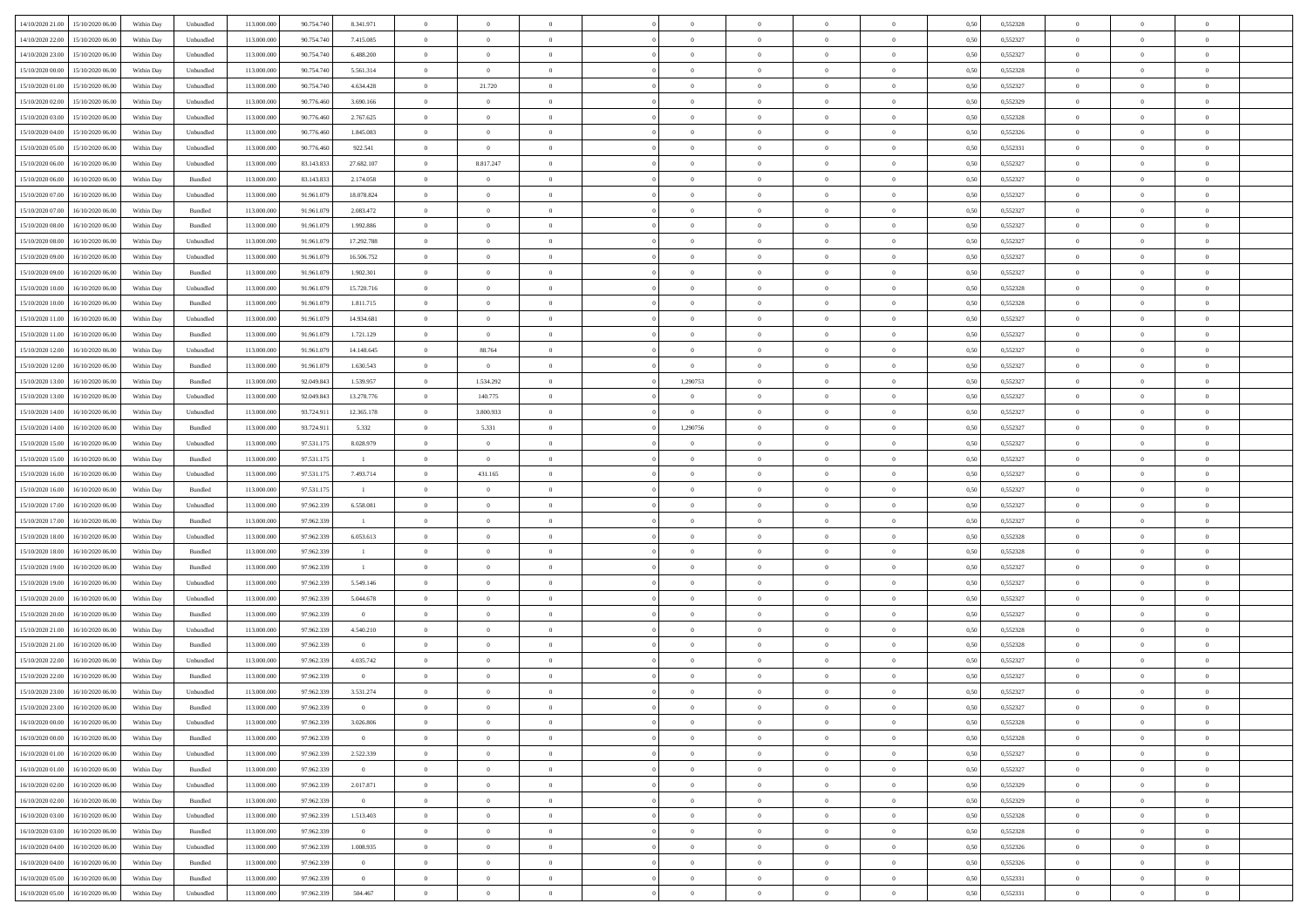| 14/10/2020 21:00 15/10/2020 06:00    | Within Day | Unbundled | 113.000.000 | 90.754.740 | 8.341.971               | $\overline{0}$ | $\overline{0}$ |                | $\overline{0}$ | $\theta$       |                | $\theta$       | 0,50 | 0,552328 | $\theta$       | $\theta$       | $\overline{0}$ |  |
|--------------------------------------|------------|-----------|-------------|------------|-------------------------|----------------|----------------|----------------|----------------|----------------|----------------|----------------|------|----------|----------------|----------------|----------------|--|
| 14/10/2020 22.00<br>15/10/2020 06.00 | Within Day | Unbundled | 113.000.00  | 90.754.74  | 7.415.085               | $\bf{0}$       | $\bf{0}$       | $\bf{0}$       | $\bf{0}$       | $\overline{0}$ | $\overline{0}$ | $\bf{0}$       | 0,50 | 0,552327 | $\,$ 0 $\,$    | $\bf{0}$       | $\overline{0}$ |  |
| 14/10/2020 23.00<br>15/10/2020 06:00 | Within Day | Unbundled | 113,000,000 | 90.754.740 | 6.488.200               | $\overline{0}$ | $\bf{0}$       | $\overline{0}$ | $\bf{0}$       | $\bf{0}$       | $\overline{0}$ | $\bf{0}$       | 0.50 | 0,552327 | $\bf{0}$       | $\overline{0}$ | $\overline{0}$ |  |
| 15/10/2020 00:00<br>15/10/2020 06:00 | Within Day | Unbundled | 113.000.000 | 90.754.740 | 5.561.314               | $\overline{0}$ | $\overline{0}$ | $\overline{0}$ | $\theta$       | $\theta$       | $\overline{0}$ | $\bf{0}$       | 0,50 | 0,552328 | $\theta$       | $\theta$       | $\overline{0}$ |  |
| 15/10/2020 01:00<br>15/10/2020 06.00 | Within Day | Unbundled | 113.000.00  | 90.754.74  | 4.634.428               | $\bf{0}$       | 21.720         | $\bf{0}$       | $\overline{0}$ | $\theta$       | $\overline{0}$ | $\bf{0}$       | 0,50 | 0,552327 | $\,$ 0 $\,$    | $\bf{0}$       | $\overline{0}$ |  |
| 15/10/2020 02:00<br>15/10/2020 06.00 | Within Day | Unbundled | 113,000,000 | 90.776.460 | 3.690.166               | $\overline{0}$ | $\overline{0}$ | $\overline{0}$ | $\bf{0}$       | $\overline{0}$ | $\theta$       | $\bf{0}$       | 0.50 | 0.552329 | $\,$ 0 $\,$    | $\theta$       | $\overline{0}$ |  |
| 15/10/2020 03:00<br>15/10/2020 06.00 | Within Day | Unbundled | 113.000.000 | 90.776.460 | 2.767.625               | $\overline{0}$ | $\overline{0}$ | $\overline{0}$ | $\overline{0}$ | $\overline{0}$ | $\overline{0}$ | $\bf{0}$       | 0,50 | 0,552328 | $\,$ 0 $\,$    | $\theta$       | $\overline{0}$ |  |
|                                      |            |           |             |            |                         |                |                |                |                |                |                |                |      |          |                |                |                |  |
| 15/10/2020 04:00<br>15/10/2020 06.00 | Within Day | Unbundled | 113.000.00  | 90.776.46  | 1.845.083               | $\bf{0}$       | $\bf{0}$       | $\bf{0}$       | $\overline{0}$ | $\overline{0}$ | $\overline{0}$ | $\bf{0}$       | 0,50 | 0,552326 | $\,$ 0 $\,$    | $\bf{0}$       | $\overline{0}$ |  |
| 15/10/2020 05:00<br>15/10/2020 06:00 | Within Day | Unbundled | 113,000,000 | 90.776.460 | 922.541                 | $\overline{0}$ | $\overline{0}$ | $\overline{0}$ | $\bf{0}$       | $\overline{0}$ | $\overline{0}$ | $\bf{0}$       | 0.50 | 0.552331 | $\bf{0}$       | $\overline{0}$ | $\overline{0}$ |  |
| 15/10/2020 06:00<br>16/10/2020 06:00 | Within Day | Unbundled | 113.000.000 | 83.143.833 | 27.682.107              | $\overline{0}$ | 8.817.247      | $\overline{0}$ | $\overline{0}$ | $\overline{0}$ | $\overline{0}$ | $\bf{0}$       | 0,50 | 0,552327 | $\,$ 0 $\,$    | $\bf{0}$       | $\overline{0}$ |  |
| 15/10/2020 06:00<br>16/10/2020 06.00 | Within Day | Bundled   | 113.000.00  | 83.143.83  | 2.174.058               | $\bf{0}$       | $\theta$       | $\bf{0}$       | $\bf{0}$       | $\bf{0}$       | $\overline{0}$ | $\bf{0}$       | 0,50 | 0,552327 | $\,$ 0 $\,$    | $\bf{0}$       | $\overline{0}$ |  |
| 15/10/2020 07:00<br>16/10/2020 06:00 | Within Day | Unbundled | 113,000,000 | 91.961.079 | 18.078.824              | $\overline{0}$ | $\bf{0}$       | $\overline{0}$ | $\overline{0}$ | $\bf{0}$       | $\overline{0}$ | $\bf{0}$       | 0.50 | 0,552327 | $\bf{0}$       | $\overline{0}$ | $\,$ 0         |  |
| 15/10/2020 07.00<br>16/10/2020 06.00 | Within Day | Bundled   | 113.000.000 | 91.961.079 | 2.083.472               | $\overline{0}$ | $\overline{0}$ | $\overline{0}$ | $\theta$       | $\theta$       | $\overline{0}$ | $\bf{0}$       | 0,50 | 0,552327 | $\,$ 0 $\,$    | $\theta$       | $\overline{0}$ |  |
| 15/10/2020 08:00<br>16/10/2020 06.00 | Within Day | Bundled   | 113.000.00  | 91.961.079 | 1.992.886               | $\bf{0}$       | $\overline{0}$ | $\bf{0}$       | $\overline{0}$ | $\bf{0}$       | $\overline{0}$ | $\bf{0}$       | 0,50 | 0,552327 | $\,$ 0 $\,$    | $\bf{0}$       | $\overline{0}$ |  |
| 15/10/2020 08:00<br>16/10/2020 06:00 | Within Day | Unbundled | 113,000,000 | 91.961.079 | 17.292.788              | $\overline{0}$ | $\overline{0}$ | $\overline{0}$ | $\bf{0}$       | $\overline{0}$ | $\theta$       | $\bf{0}$       | 0.50 | 0.552327 | $\,$ 0 $\,$    | $\theta$       | $\overline{0}$ |  |
| 15/10/2020 09:00<br>16/10/2020 06.00 | Within Day | Unbundled | 113.000.000 | 91.961.079 | 16.506.752              | $\overline{0}$ | $\overline{0}$ | $\overline{0}$ | $\overline{0}$ | $\overline{0}$ | $\overline{0}$ | $\bf{0}$       | 0,50 | 0,552327 | $\theta$       | $\theta$       | $\overline{0}$ |  |
|                                      |            |           |             |            |                         |                |                |                |                |                |                |                |      |          |                |                |                |  |
| 15/10/2020 09:00<br>16/10/2020 06.00 | Within Day | Bundled   | 113.000.00  | 91.961.079 | 1.902.301               | $\bf{0}$       | $\bf{0}$       | $\bf{0}$       | $\overline{0}$ | $\bf{0}$       | $\overline{0}$ | $\bf{0}$       | 0,50 | 0,552327 | $\,$ 0 $\,$    | $\bf{0}$       | $\overline{0}$ |  |
| 15/10/2020 10:00<br>16/10/2020 06:00 | Within Day | Unbundled | 113,000,00  | 91.961.079 | 15.720.716              | $\overline{0}$ | $\bf{0}$       | $\overline{0}$ | $\bf{0}$       | $\overline{0}$ | $\overline{0}$ | $\bf{0}$       | 0.50 | 0.552328 | $\bf{0}$       | $\overline{0}$ | $\overline{0}$ |  |
| 15/10/2020 10:00<br>16/10/2020 06:00 | Within Day | Bundled   | 113.000.000 | 91.961.079 | 1.811.715               | $\bf{0}$       | $\bf{0}$       | $\overline{0}$ | $\overline{0}$ | $\overline{0}$ | $\overline{0}$ | $\bf{0}$       | 0,50 | 0,552328 | $\,$ 0 $\,$    | $\bf{0}$       | $\overline{0}$ |  |
| 15/10/2020 11:00<br>16/10/2020 06.00 | Within Day | Unbundled | 113.000.00  | 91.961.07  | 14.934.681              | $\bf{0}$       | $\bf{0}$       | $\bf{0}$       | $\bf{0}$       | $\overline{0}$ | $\overline{0}$ | $\bf{0}$       | 0,50 | 0,552327 | $\,$ 0 $\,$    | $\bf{0}$       | $\overline{0}$ |  |
| 15/10/2020 11:00<br>16/10/2020 06:00 | Within Day | Bundled   | 113,000,000 | 91.961.079 | 1.721.129               | $\overline{0}$ | $\bf{0}$       | $\overline{0}$ | $\overline{0}$ | $\bf{0}$       | $\overline{0}$ | $\bf{0}$       | 0.50 | 0,552327 | $\bf{0}$       | $\overline{0}$ | $\,$ 0         |  |
| 15/10/2020 12:00<br>16/10/2020 06:00 | Within Day | Unbundled | 113.000.000 | 91.961.079 | 14.148.645              | $\overline{0}$ | 88.764         | $\overline{0}$ | $\theta$       | $\theta$       | $\overline{0}$ | $\bf{0}$       | 0,50 | 0,552327 | $\theta$       | $\theta$       | $\overline{0}$ |  |
| 15/10/2020 12:00<br>16/10/2020 06.00 | Within Day | Bundled   | 113.000.00  | 91.961.079 | 1.630.543               | $\bf{0}$       | $\bf{0}$       | $\bf{0}$       | $\bf{0}$       | $\bf{0}$       | $\overline{0}$ | $\bf{0}$       | 0,50 | 0,552327 | $\,$ 0 $\,$    | $\bf{0}$       | $\overline{0}$ |  |
| 15/10/2020 13:00<br>16/10/2020 06:00 | Within Day | Bundled   | 113,000,000 | 92.049.843 | 1.539.957               | $\overline{0}$ | 1.534.292      | $\Omega$       | 1,290753       | $\overline{0}$ | $\theta$       | $\bf{0}$       | 0.50 | 0.552327 | $\,$ 0 $\,$    | $\theta$       | $\overline{0}$ |  |
| 15/10/2020 13:00<br>16/10/2020 06.00 | Within Day | Unbundled | 113.000.000 | 92.049.843 | 13.278.776              | $\overline{0}$ | 140.775        | $\overline{0}$ | $\overline{0}$ | $\overline{0}$ | $\overline{0}$ | $\bf{0}$       | 0,50 | 0,552327 | $\,$ 0 $\,$    | $\theta$       | $\overline{0}$ |  |
| 16/10/2020 06.00                     | Within Day | Unbundled | 113.000.00  | 93.724.91  | 12.365.178              | $\bf{0}$       | 3.800.933      | $\bf{0}$       | $\bf{0}$       | $\overline{0}$ | $\overline{0}$ | $\bf{0}$       | 0,50 | 0,552327 | $\,$ 0 $\,$    | $\bf{0}$       | $\overline{0}$ |  |
| 15/10/2020 14:00                     |            |           |             |            |                         |                |                |                |                |                |                |                |      |          |                |                |                |  |
| 15/10/2020 14:00<br>16/10/2020 06:00 | Within Day | Bundled   | 113,000,000 | 93.724.911 | 5.332                   | $\overline{0}$ | 5.331          | $\overline{0}$ | 1,290756       | $\overline{0}$ | $\overline{0}$ | $\bf{0}$       | 0.50 | 0.552327 | $\bf{0}$       | $\overline{0}$ | $\overline{0}$ |  |
| 15/10/2020 15:00<br>16/10/2020 06:00 | Within Day | Unbundled | 113.000.000 | 97.531.175 | 8.028.979               | $\overline{0}$ | $\bf{0}$       | $\overline{0}$ | $\overline{0}$ | $\overline{0}$ | $\overline{0}$ | $\bf{0}$       | 0,50 | 0,552327 | $\,$ 0 $\,$    | $\theta$       | $\overline{0}$ |  |
| 15/10/2020 15:00<br>16/10/2020 06.00 | Within Day | Bundled   | 113.000.00  | 97.531.17  | $\mathbf{1}$            | $\bf{0}$       | $\bf{0}$       | $\bf{0}$       | $\bf{0}$       | $\overline{0}$ | $\overline{0}$ | $\bf{0}$       | 0,50 | 0,552327 | $\,$ 0 $\,$    | $\bf{0}$       | $\overline{0}$ |  |
| 15/10/2020 16:00<br>16/10/2020 06:00 | Within Day | Unbundled | 113,000,000 | 97.531.175 | 7.493.714               | $\overline{0}$ | 431.165        | $\overline{0}$ | $\bf{0}$       | $\bf{0}$       | $\overline{0}$ | $\bf{0}$       | 0.50 | 0,552327 | $\bf{0}$       | $\overline{0}$ | $\,$ 0         |  |
| 15/10/2020 16:00<br>16/10/2020 06:00 | Within Day | Bundled   | 113.000.000 | 97.531.175 | $\blacksquare$          | $\overline{0}$ | $\overline{0}$ | $\overline{0}$ | $\overline{0}$ | $\overline{0}$ | $\overline{0}$ | $\bf{0}$       | 0.5( | 0,552327 | $\theta$       | $\theta$       | $\overline{0}$ |  |
| 15/10/2020 17:00<br>16/10/2020 06.00 | Within Day | Unbundled | 113.000.00  | 97.962.339 | 6.558.081               | $\bf{0}$       | $\overline{0}$ | $\bf{0}$       | $\bf{0}$       | $\,$ 0 $\,$    | $\overline{0}$ | $\bf{0}$       | 0,50 | 0,552327 | $\,$ 0 $\,$    | $\bf{0}$       | $\overline{0}$ |  |
| 15/10/2020 17:00<br>16/10/2020 06:00 | Within Day | Bundled   | 113,000,000 | 97.962.339 | $\mathbf{1}$            | $\overline{0}$ | $\bf{0}$       | $\overline{0}$ | $\bf{0}$       | $\overline{0}$ | $\Omega$       | $\bf{0}$       | 0.50 | 0.552327 | $\,$ 0 $\,$    | $\theta$       | $\overline{0}$ |  |
| 15/10/2020 18:00<br>16/10/2020 06:00 | Within Dav | Unbundled | 113.000.000 | 97.962.339 | 6.053.613               | $\overline{0}$ | $\overline{0}$ | $\overline{0}$ | $\overline{0}$ | $\overline{0}$ | $\overline{0}$ | $\bf{0}$       | 0.50 | 0,552328 | $\theta$       | $\theta$       | $\overline{0}$ |  |
| 15/10/2020 18:00<br>16/10/2020 06.00 | Within Day | Bundled   | 113.000.00  | 97.962.339 | $\overline{1}$          | $\bf{0}$       | $\bf{0}$       | $\bf{0}$       | $\bf{0}$       | $\bf{0}$       | $\overline{0}$ | $\bf{0}$       | 0,50 | 0,552328 | $\,$ 0 $\,$    | $\bf{0}$       | $\overline{0}$ |  |
| 15/10/2020 19:00<br>16/10/2020 06:00 | Within Day | Bundled   | 113,000,000 | 97.962.339 | $\blacksquare$          | $\overline{0}$ | $\bf{0}$       | $\overline{0}$ | $\bf{0}$       | $\overline{0}$ | $\overline{0}$ | $\bf{0}$       | 0.50 | 0.552327 | $\bf{0}$       | $\overline{0}$ | $\overline{0}$ |  |
| 15/10/2020 19:00<br>16/10/2020 06:00 | Within Day | Unbundled | 113.000.000 | 97.962.339 | 5.549.146               | $\overline{0}$ | $\overline{0}$ | $\overline{0}$ | $\overline{0}$ | $\overline{0}$ | $\overline{0}$ | $\bf{0}$       | 0.50 | 0,552327 | $\theta$       | $\theta$       | $\overline{0}$ |  |
|                                      |            |           |             |            |                         |                |                |                |                |                |                |                |      |          |                |                |                |  |
| 15/10/2020 20:00<br>16/10/2020 06.00 | Within Day | Unbundled | 113.000.00  | 97.962.339 | 5.044.678               | $\bf{0}$       | $\bf{0}$       | $\bf{0}$       | $\bf{0}$       | $\overline{0}$ | $\overline{0}$ | $\bf{0}$       | 0,50 | 0,552327 | $\,$ 0 $\,$    | $\bf{0}$       | $\overline{0}$ |  |
| 15/10/2020 20:00<br>16/10/2020 06:00 | Within Day | Bundled   | 113,000,000 | 97.962.339 | $\overline{0}$          | $\overline{0}$ | $\bf{0}$       | $\overline{0}$ | $\overline{0}$ | $\bf{0}$       | $\overline{0}$ | $\bf{0}$       | 0.50 | 0,552327 | $\bf{0}$       | $\overline{0}$ | $\overline{0}$ |  |
| 15/10/2020 21:00<br>16/10/2020 06:00 | Within Day | Unbundled | 113.000.000 | 97.962.339 | 4.540.210               | $\overline{0}$ | $\overline{0}$ | $\overline{0}$ | $\overline{0}$ | $\overline{0}$ | $\overline{0}$ | $\bf{0}$       | 0.5( | 0,552328 | $\theta$       | $\theta$       | $\overline{0}$ |  |
| 15/10/2020 21:00<br>16/10/2020 06.00 | Within Day | Bundled   | 113.000.00  | 97.962.339 | $\overline{0}$          | $\bf{0}$       | $\bf{0}$       | $\bf{0}$       | $\bf{0}$       | $\overline{0}$ | $\overline{0}$ | $\bf{0}$       | 0,50 | 0,552328 | $\,$ 0 $\,$    | $\bf{0}$       | $\overline{0}$ |  |
| 15/10/2020 22.00<br>16/10/2020 06.00 | Within Day | Unbundled | 113,000,00  | 97.962.339 | 4.035.742               | $\overline{0}$ | $\overline{0}$ | $\overline{0}$ | $\bf{0}$       | $\overline{0}$ | $\Omega$       | $\bf{0}$       | 0.50 | 0.552327 | $\bf{0}$       | $\theta$       | $\overline{0}$ |  |
| 15/10/2020 22:00<br>16/10/2020 06:00 | Within Day | Bundled   | 113.000.000 | 97.962.339 | $\overline{0}$          | $\overline{0}$ | $\overline{0}$ | $\Omega$       | $\overline{0}$ | $\theta$       | $\overline{0}$ | $\overline{0}$ | 0.5( | 0,552327 | $\theta$       | $\theta$       | $\overline{0}$ |  |
| 15/10/2020 23:00<br>16/10/2020 06.00 | Within Day | Unbundled | 113.000.00  | 97.962.339 | 3.531.274               | $\bf{0}$       | $\bf{0}$       | $\bf{0}$       | $\bf{0}$       | $\bf{0}$       | $\overline{0}$ | $\bf{0}$       | 0,50 | 0,552327 | $\,$ 0 $\,$    | $\bf{0}$       | $\overline{0}$ |  |
| 15/10/2020 23:00 16/10/2020 06:00    | Within Day | Bundled   | 113.000.000 | 97.962.339 | $\Omega$                | $\bf{0}$       | $\Omega$       |                | $\Omega$       |                |                |                | 0,50 | 0,552327 | $\bf{0}$       | $\bf{0}$       |                |  |
| 16/10/2020 00:00 16/10/2020 06:00    | Within Day | Unbundled | 113.000.000 | 97.962.339 | 3.026.806               | $\overline{0}$ | $\overline{0}$ | $\Omega$       | $\theta$       | $\overline{0}$ | $\overline{0}$ | $\bf{0}$       | 0,50 | 0,552328 | $\theta$       | $\overline{0}$ | $\overline{0}$ |  |
| 16/10/2020 00:00<br>16/10/2020 06.00 | Within Day | Bundled   | 113.000.00  | 97.962.339 | $\bf{0}$                | $\overline{0}$ | $\bf{0}$       | $\overline{0}$ | $\overline{0}$ | $\bf{0}$       | $\overline{0}$ | $\bf{0}$       | 0,50 | 0,552328 | $\bf{0}$       | $\overline{0}$ | $\bf{0}$       |  |
|                                      |            |           | 113,000,000 |            |                         |                |                |                |                |                | $\overline{0}$ |                | 0.50 |          | $\overline{0}$ |                |                |  |
| 16/10/2020 01:00 16/10/2020 06:00    | Within Day | Unbundled |             | 97.962.339 | 2.522.339               | $\overline{0}$ | $\bf{0}$       | $\overline{0}$ | $\overline{0}$ | $\mathbf{0}$   |                | $\,$ 0 $\,$    |      | 0,552327 |                | $\bf{0}$       | $\,$ 0 $\,$    |  |
| 16/10/2020 01:00 16/10/2020 06:00    | Within Day | Bundled   | 113.000.000 | 97.962.339 | $\overline{\mathbf{0}}$ | $\overline{0}$ | $\overline{0}$ | $\overline{0}$ | $\overline{0}$ | $\overline{0}$ | $\overline{0}$ | $\bf{0}$       | 0,50 | 0,552327 | $\overline{0}$ | $\theta$       | $\overline{0}$ |  |
| 16/10/2020 02:00<br>16/10/2020 06.00 | Within Day | Unbundled | 113.000.000 | 97.962.339 | 2.017.871               | $\overline{0}$ | $\bf{0}$       | $\overline{0}$ | $\overline{0}$ | $\bf{0}$       | $\overline{0}$ | $\bf{0}$       | 0,50 | 0,552329 | $\bf{0}$       | $\overline{0}$ | $\overline{0}$ |  |
| 16/10/2020 02.00<br>16/10/2020 06:00 | Within Day | Bundled   | 113,000,000 | 97.962.339 | $\overline{0}$          | $\overline{0}$ | $\bf{0}$       | $\overline{0}$ | $\overline{0}$ | $\overline{0}$ | $\overline{0}$ | $\bf{0}$       | 0.50 | 0.552329 | $\,$ 0 $\,$    | $\overline{0}$ | $\overline{0}$ |  |
| 16/10/2020 03:00<br>16/10/2020 06:00 | Within Day | Unbundled | 113.000.000 | 97.962.339 | 1.513.403               | $\overline{0}$ | $\overline{0}$ | $\overline{0}$ | $\overline{0}$ | $\overline{0}$ | $\overline{0}$ | $\bf{0}$       | 0,50 | 0,552328 | $\overline{0}$ | $\theta$       | $\overline{0}$ |  |
| 16/10/2020 03:00<br>16/10/2020 06.00 | Within Day | Bundled   | 113.000.00  | 97.962.339 | $\bf{0}$                | $\overline{0}$ | $\overline{0}$ | $\overline{0}$ | $\overline{0}$ | $\overline{0}$ | $\overline{0}$ | $\bf{0}$       | 0,50 | 0,552328 | $\bf{0}$       | $\overline{0}$ | $\overline{0}$ |  |
| 16/10/2020 04:00<br>16/10/2020 06:00 | Within Day | Unbundled | 113,000,000 | 97.962.339 | 1.008.935               | $\overline{0}$ | $\overline{0}$ | $\overline{0}$ | $\overline{0}$ | $\bf{0}$       | $\overline{0}$ | $\bf{0}$       | 0.50 | 0.552326 | $\mathbf{0}$   | $\bf{0}$       | $\,$ 0         |  |
| 16/10/2020 04:00<br>16/10/2020 06:00 | Within Dav | Bundled   | 113.000.000 | 97.962.339 | $\bf{0}$                | $\overline{0}$ | $\overline{0}$ | $\overline{0}$ | $\overline{0}$ | $\overline{0}$ | $\overline{0}$ | $\bf{0}$       | 0,50 | 0,552326 | $\overline{0}$ | $\theta$       | $\overline{0}$ |  |
| 16/10/2020 05:00<br>16/10/2020 06.00 | Within Day | Bundled   | 113.000.00  | 97.962.339 | $\overline{0}$          | $\overline{0}$ | $\bf{0}$       | $\overline{0}$ | $\bf{0}$       | $\overline{0}$ | $\overline{0}$ | $\bf{0}$       | 0,50 | 0,552331 | $\bf{0}$       | $\overline{0}$ | $\bf{0}$       |  |
|                                      |            |           |             |            | 504.467                 | $\overline{0}$ |                | $\overline{0}$ |                | $\,$ 0 $\,$    | $\overline{0}$ |                |      |          | $\overline{0}$ | $\,$ 0 $\,$    | $\,$ 0 $\,$    |  |
| 16/10/2020 05:00 16/10/2020 06:00    | Within Day | Unbundled | 113.000.000 | 97.962.339 |                         |                | $\bf{0}$       |                | $\overline{0}$ |                |                | $\bf{0}$       | 0,50 | 0,552331 |                |                |                |  |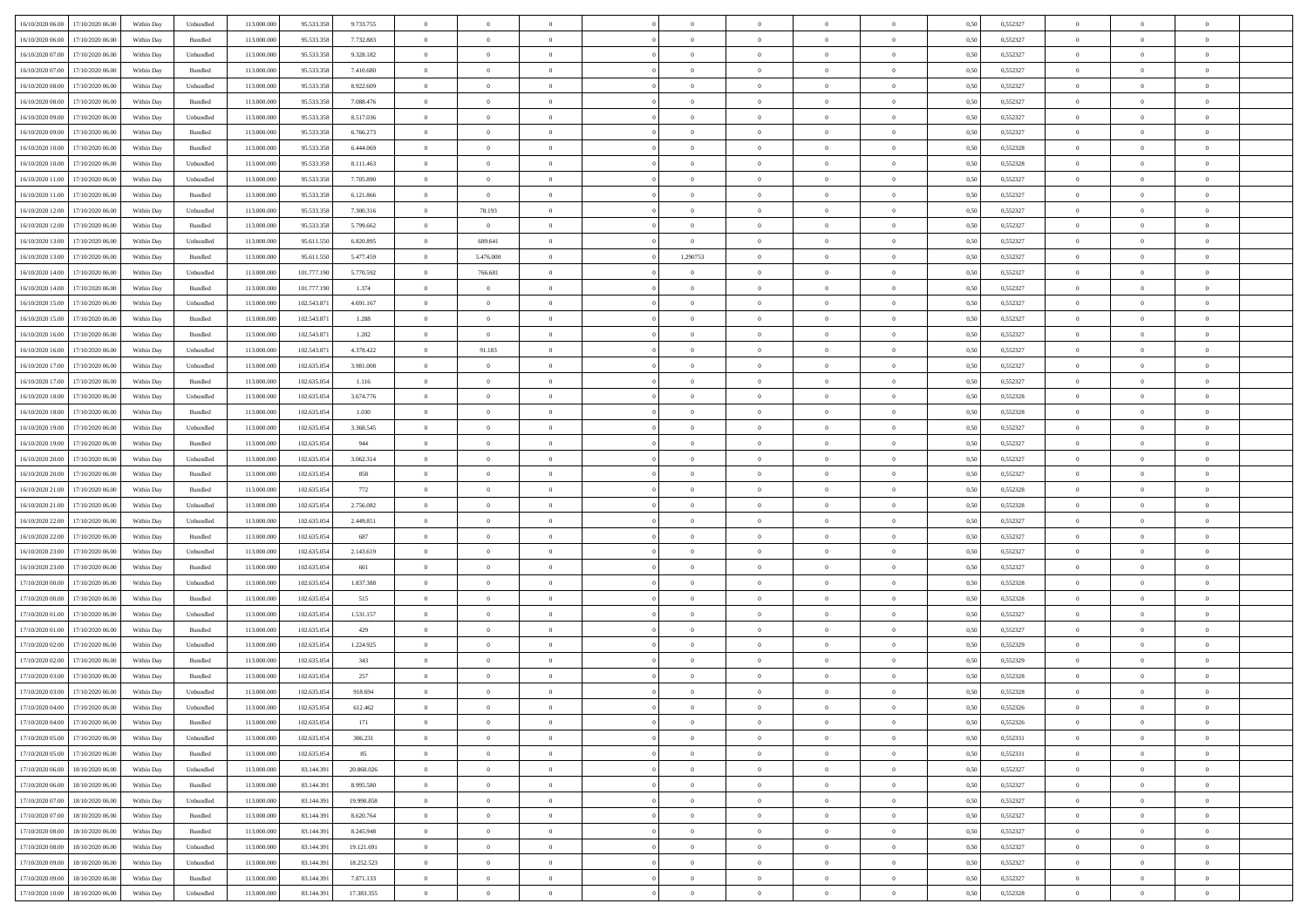| 16/10/2020 06:00 17/10/2020 06:00            | Within Day | Unbundled                   | 113.000.000 | 95.533.358  | 9.733.755  | $\overline{0}$ | $\overline{0}$ |                | $\overline{0}$ | $\theta$       |                | $\theta$       | 0,50 | 0,552327 | $\theta$       | $\theta$       | $\overline{0}$ |  |
|----------------------------------------------|------------|-----------------------------|-------------|-------------|------------|----------------|----------------|----------------|----------------|----------------|----------------|----------------|------|----------|----------------|----------------|----------------|--|
| 16/10/2020 06.00<br>17/10/2020 06.00         | Within Day | Bundled                     | 113.000.00  | 95.533.358  | 7.732.883  | $\bf{0}$       | $\bf{0}$       | $\bf{0}$       | $\bf{0}$       | $\overline{0}$ | $\overline{0}$ | $\bf{0}$       | 0,50 | 0,552327 | $\,$ 0 $\,$    | $\bf{0}$       | $\overline{0}$ |  |
| 16/10/2020 07:00<br>17/10/2020 06:00         | Within Day | Unbundled                   | 113,000,000 | 95.533.358  | 9.328.182  | $\overline{0}$ | $\bf{0}$       | $\overline{0}$ | $\bf{0}$       | $\bf{0}$       | $\overline{0}$ | $\bf{0}$       | 0.50 | 0,552327 | $\bf{0}$       | $\overline{0}$ | $\bf{0}$       |  |
| 16/10/2020 07:00<br>17/10/2020 06:00         | Within Day | Bundled                     | 113.000.000 | 95.533.358  | 7.410.680  | $\overline{0}$ | $\overline{0}$ | $\overline{0}$ | $\theta$       | $\theta$       | $\overline{0}$ | $\bf{0}$       | 0,50 | 0,552327 | $\theta$       | $\theta$       | $\overline{0}$ |  |
| 16/10/2020 08:00<br>17/10/2020 06.00         | Within Day | Unbundled                   | 113.000.00  | 95.533.358  | 8.922.609  | $\bf{0}$       | $\overline{0}$ | $\bf{0}$       | $\overline{0}$ | $\theta$       | $\overline{0}$ | $\bf{0}$       | 0,50 | 0,552327 | $\,$ 0 $\,$    | $\bf{0}$       | $\overline{0}$ |  |
| 16/10/2020 08:00<br>17/10/2020 06.00         | Within Day | Bundled                     | 113,000,000 | 95.533.358  | 7.088.476  | $\overline{0}$ | $\bf{0}$       | $\overline{0}$ | $\bf{0}$       | $\overline{0}$ | $\theta$       | $\bf{0}$       | 0.50 | 0.552327 | $\,$ 0 $\,$    | $\theta$       | $\overline{0}$ |  |
| 16/10/2020 09:00<br>17/10/2020 06.00         | Within Day | Unbundled                   | 113.000.000 | 95.533.358  | 8.517.036  | $\overline{0}$ | $\overline{0}$ | $\overline{0}$ | $\overline{0}$ | $\overline{0}$ | $\overline{0}$ | $\bf{0}$       | 0,50 | 0,552327 | $\,$ 0 $\,$    | $\theta$       | $\overline{0}$ |  |
|                                              |            |                             |             |             |            |                |                |                |                |                |                |                |      |          |                |                |                |  |
| 16/10/2020 09:00<br>17/10/2020 06.00         | Within Day | Bundled                     | 113.000.00  | 95.533.358  | 6.766.273  | $\bf{0}$       | $\bf{0}$       | $\bf{0}$       | $\overline{0}$ | $\overline{0}$ | $\overline{0}$ | $\bf{0}$       | 0,50 | 0,552327 | $\,$ 0 $\,$    | $\bf{0}$       | $\overline{0}$ |  |
| 16/10/2020 10:00<br>17/10/2020 06:00         | Within Day | Bundled                     | 113,000,000 | 95.533.358  | 6,444,069  | $\overline{0}$ | $\bf{0}$       | $\overline{0}$ | $\bf{0}$       | $\overline{0}$ | $\overline{0}$ | $\bf{0}$       | 0.50 | 0.552328 | $\bf{0}$       | $\overline{0}$ | $\overline{0}$ |  |
| 16/10/2020 10:00<br>17/10/2020 06.00         | Within Day | Unbundled                   | 113.000.000 | 95.533.358  | 8.111.463  | $\bf{0}$       | $\bf{0}$       | $\overline{0}$ | $\overline{0}$ | $\overline{0}$ | $\overline{0}$ | $\bf{0}$       | 0,50 | 0,552328 | $\,$ 0 $\,$    | $\,$ 0 $\,$    | $\overline{0}$ |  |
| 16/10/2020 11:00<br>17/10/2020 06.00         | Within Day | Unbundled                   | 113.000.00  | 95.533.358  | 7.705.890  | $\bf{0}$       | $\bf{0}$       | $\bf{0}$       | $\bf{0}$       | $\overline{0}$ | $\overline{0}$ | $\bf{0}$       | 0,50 | 0,552327 | $\,$ 0 $\,$    | $\bf{0}$       | $\overline{0}$ |  |
| 16/10/2020 11:00<br>17/10/2020 06.00         | Within Day | Bundled                     | 113,000,000 | 95.533.358  | 6.121.866  | $\overline{0}$ | $\overline{0}$ | $\overline{0}$ | $\overline{0}$ | $\bf{0}$       | $\overline{0}$ | $\bf{0}$       | 0.50 | 0,552327 | $\bf{0}$       | $\,$ 0 $\,$    | $\,$ 0         |  |
| 16/10/2020 12:00<br>17/10/2020 06:00         | Within Day | Unbundled                   | 113.000.000 | 95.533.358  | 7.300.316  | $\overline{0}$ | 78.193         | $\overline{0}$ | $\theta$       | $\theta$       | $\overline{0}$ | $\bf{0}$       | 0,50 | 0,552327 | $\,$ 0 $\,$    | $\theta$       | $\overline{0}$ |  |
| 16/10/2020 12:00<br>17/10/2020 06.00         | Within Day | Bundled                     | 113.000.00  | 95.533.358  | 5.799.662  | $\bf{0}$       | $\bf{0}$       | $\bf{0}$       | $\bf{0}$       | $\bf{0}$       | $\overline{0}$ | $\bf{0}$       | 0,50 | 0,552327 | $\,$ 0 $\,$    | $\bf{0}$       | $\overline{0}$ |  |
| 16/10/2020 13:00<br>17/10/2020 06.00         | Within Day | Unbundled                   | 113,000,000 | 95.611.550  | 6.820.895  | $\overline{0}$ | 689.641        | $\overline{0}$ | $\overline{0}$ | $\overline{0}$ | $\theta$       | $\bf{0}$       | 0.50 | 0.552327 | $\,$ 0 $\,$    | $\theta$       | $\overline{0}$ |  |
| 16/10/2020 13:00<br>17/10/2020 06.00         | Within Day | Bundled                     | 113.000.000 | 95.611.550  | 5.477.459  | $\overline{0}$ | 5.476.000      | $\overline{0}$ | 1,290753       | $\overline{0}$ | $\overline{0}$ | $\bf{0}$       | 0,50 | 0,552327 | $\theta$       | $\theta$       | $\overline{0}$ |  |
| 16/10/2020 14:00<br>17/10/2020 06.00         | Within Day | Unbundled                   | 113.000.00  | 101.777.19  | 5.770.592  | $\bf{0}$       | 766.681        | $\bf{0}$       | $\overline{0}$ | $\overline{0}$ | $\overline{0}$ | $\bf{0}$       | 0,50 | 0,552327 | $\,$ 0 $\,$    | $\bf{0}$       | $\overline{0}$ |  |
| 16/10/2020 14:00<br>17/10/2020 06:00         | Within Day | Bundled                     | 113,000,00  | 101.777.190 | 1.374      | $\overline{0}$ | $\overline{0}$ | $\overline{0}$ | $\bf{0}$       | $\overline{0}$ | $\overline{0}$ | $\bf{0}$       | 0.50 | 0.552327 | $\bf{0}$       | $\overline{0}$ | $\bf{0}$       |  |
|                                              |            |                             |             |             |            |                |                |                |                |                |                |                |      |          |                |                |                |  |
| 16/10/2020 15:00<br>17/10/2020 06:00         | Within Day | Unbundled                   | 113.000.000 | 102.543.871 | 4.691.167  | $\bf{0}$       | $\bf{0}$       | $\overline{0}$ | $\overline{0}$ | $\overline{0}$ | $\overline{0}$ | $\bf{0}$       | 0,50 | 0,552327 | $\,$ 0 $\,$    | $\bf{0}$       | $\overline{0}$ |  |
| 16/10/2020 15:00<br>17/10/2020 06.00         | Within Day | Bundled                     | 113.000.00  | 102.543.87  | 1.288      | $\bf{0}$       | $\bf{0}$       | $\bf{0}$       | $\bf{0}$       | $\overline{0}$ | $\overline{0}$ | $\bf{0}$       | 0,50 | 0,552327 | $\,$ 0 $\,$    | $\bf{0}$       | $\overline{0}$ |  |
| 16/10/2020 16:00<br>17/10/2020 06.00         | Within Day | Bundled                     | 113,000,000 | 102.543.871 | 1.202      | $\overline{0}$ | $\overline{0}$ | $\overline{0}$ | $\overline{0}$ | $\bf{0}$       | $\overline{0}$ | $\bf{0}$       | 0.50 | 0,552327 | $\bf{0}$       | $\,$ 0 $\,$    | $\,$ 0         |  |
| 16/10/2020 16:00<br>17/10/2020 06:00         | Within Day | Unbundled                   | 113.000.000 | 102.543.871 | 4.378.422  | $\overline{0}$ | 91.183         | $\overline{0}$ | $\theta$       | $\theta$       | $\overline{0}$ | $\bf{0}$       | 0,50 | 0,552327 | $\theta$       | $\theta$       | $\overline{0}$ |  |
| 16/10/2020 17:00<br>17/10/2020 06.00         | Within Day | Unbundled                   | 113.000.00  | 102.635.05  | 3.981.008  | $\bf{0}$       | $\overline{0}$ | $\bf{0}$       | $\bf{0}$       | $\overline{0}$ | $\overline{0}$ | $\bf{0}$       | 0,50 | 0,552327 | $\,$ 0 $\,$    | $\bf{0}$       | $\overline{0}$ |  |
| 16/10/2020 17:00<br>17/10/2020 06.00         | Within Day | Bundled                     | 113,000,00  | 102.635.05  | 1.116      | $\overline{0}$ | $\bf{0}$       | $\overline{0}$ | $\bf{0}$       | $\overline{0}$ | $\theta$       | $\bf{0}$       | 0.50 | 0.552327 | $\bf{0}$       | $\theta$       | $\overline{0}$ |  |
| 16/10/2020 18:00<br>17/10/2020 06.00         | Within Day | Unbundled                   | 113.000.000 | 102.635.054 | 3.674.776  | $\overline{0}$ | $\overline{0}$ | $\overline{0}$ | $\overline{0}$ | $\overline{0}$ | $\overline{0}$ | $\bf{0}$       | 0,50 | 0,552328 | $\,$ 0 $\,$    | $\theta$       | $\overline{0}$ |  |
| 16/10/2020 18:00<br>17/10/2020 06.00         | Within Day | Bundled                     | 113.000.00  | 102.635.05  | 1.030      | $\bf{0}$       | $\overline{0}$ | $\bf{0}$       | $\overline{0}$ | $\bf{0}$       | $\overline{0}$ | $\bf{0}$       | 0,50 | 0,552328 | $\,$ 0 $\,$    | $\bf{0}$       | $\overline{0}$ |  |
| 16/10/2020 19:00<br>17/10/2020 06:00         | Within Day | Unbundled                   | 113,000,00  | 102.635.054 | 3.368.545  | $\overline{0}$ | $\bf{0}$       | $\overline{0}$ | $\bf{0}$       | $\overline{0}$ | $\overline{0}$ | $\bf{0}$       | 0.50 | 0.552327 | $\bf{0}$       | $\overline{0}$ | $\overline{0}$ |  |
| 16/10/2020 19:00<br>17/10/2020 06:00         | Within Day | Bundled                     | 113.000.000 | 102.635.054 | 944        | $\overline{0}$ | $\bf{0}$       | $\overline{0}$ | $\overline{0}$ | $\overline{0}$ | $\overline{0}$ | $\bf{0}$       | 0,50 | 0,552327 | $\,$ 0 $\,$    | $\theta$       | $\overline{0}$ |  |
| 16/10/2020 20:00<br>17/10/2020 06.00         | Within Day | Unbundled                   | 113.000.00  | 102.635.054 | 3.062.314  | $\bf{0}$       | $\bf{0}$       | $\bf{0}$       | $\bf{0}$       | $\overline{0}$ | $\overline{0}$ | $\bf{0}$       | 0,50 | 0,552327 | $\,$ 0 $\,$    | $\bf{0}$       | $\overline{0}$ |  |
| 16/10/2020 20:00<br>17/10/2020 06.00         | Within Day | Bundled                     | 113,000,000 | 102.635.054 | 858        | $\overline{0}$ | $\bf{0}$       | $\overline{0}$ | $\bf{0}$       | $\bf{0}$       | $\overline{0}$ | $\bf{0}$       | 0.50 | 0,552327 | $\bf{0}$       | $\,$ 0 $\,$    | $\,$ 0         |  |
| 16/10/2020 21:00<br>17/10/2020 06.00         | Within Day | Bundled                     | 113.000.000 | 102.635.054 | 772        | $\overline{0}$ | $\overline{0}$ | $\overline{0}$ | $\overline{0}$ | $\overline{0}$ | $\overline{0}$ | $\bf{0}$       | 0.50 | 0,552328 | $\theta$       | $\theta$       | $\overline{0}$ |  |
|                                              |            |                             |             |             |            |                |                |                |                |                | $\overline{0}$ |                |      |          |                |                |                |  |
| 16/10/2020 21:00<br>17/10/2020 06.00         | Within Day | Unbundled                   | 113.000.00  | 102.635.054 | 2.756.082  | $\bf{0}$       | $\bf{0}$       | $\bf{0}$       | $\bf{0}$       | $\overline{0}$ |                | $\bf{0}$       | 0,50 | 0,552328 | $\,$ 0 $\,$    | $\bf{0}$       | $\overline{0}$ |  |
| 16/10/2020 22:00<br>17/10/2020 06.00         | Within Day | Unbundled                   | 113,000,00  | 102.635.054 | 2.449.851  | $\overline{0}$ | $\bf{0}$       | $\overline{0}$ | $\bf{0}$       | $\overline{0}$ | $\theta$       | $\bf{0}$       | 0.50 | 0.552327 | $\,$ 0 $\,$    | $\bf{0}$       | $\overline{0}$ |  |
| 16/10/2020 22.00<br>17/10/2020 06.00         | Within Dav | Bundled                     | 113.000.000 | 102.635.054 | 687        | $\overline{0}$ | $\overline{0}$ | $\overline{0}$ | $\overline{0}$ | $\overline{0}$ | $\overline{0}$ | $\bf{0}$       | 0.50 | 0,552327 | $\theta$       | $\theta$       | $\overline{0}$ |  |
| 16/10/2020 23:00<br>17/10/2020 06.00         | Within Day | Unbundled                   | 113.000.00  | 102.635.054 | 2.143.619  | $\bf{0}$       | $\bf{0}$       | $\bf{0}$       | $\bf{0}$       | $\overline{0}$ | $\overline{0}$ | $\bf{0}$       | 0,50 | 0,552327 | $\,$ 0 $\,$    | $\bf{0}$       | $\overline{0}$ |  |
| 16/10/2020 23:00<br>17/10/2020 06:00         | Within Day | Bundled                     | 113,000,00  | 102.635.05  | 601        | $\overline{0}$ | $\bf{0}$       | $\overline{0}$ | $\bf{0}$       | $\overline{0}$ | $\overline{0}$ | $\bf{0}$       | 0.50 | 0.552327 | $\bf{0}$       | $\overline{0}$ | $\bf{0}$       |  |
| 17/10/2020 00:00<br>17/10/2020 06.00         | Within Day | Unbundled                   | 113.000.000 | 102.635.054 | 1.837.388  | $\overline{0}$ | $\overline{0}$ | $\overline{0}$ | $\overline{0}$ | $\overline{0}$ | $\overline{0}$ | $\bf{0}$       | 0.50 | 0,552328 | $\theta$       | $\theta$       | $\overline{0}$ |  |
| 17/10/2020 00:00<br>17/10/2020 06.00         | Within Day | Bundled                     | 113.000.00  | 102.635.05  | 515        | $\bf{0}$       | $\bf{0}$       | $\bf{0}$       | $\bf{0}$       | $\overline{0}$ | $\overline{0}$ | $\bf{0}$       | 0,50 | 0,552328 | $\,$ 0 $\,$    | $\bf{0}$       | $\overline{0}$ |  |
| 17/10/2020 01:00<br>17/10/2020 06.00         | Within Day | Unbundled                   | 113,000,000 | 102.635.054 | 1.531.157  | $\overline{0}$ | $\bf{0}$       | $\overline{0}$ | $\overline{0}$ | $\bf{0}$       | $\overline{0}$ | $\bf{0}$       | 0.50 | 0,552327 | $\bf{0}$       | $\,$ 0 $\,$    | $\,$ 0         |  |
| 17/10/2020 01:00<br>17/10/2020 06.00         | Within Day | Bundled                     | 113.000.000 | 102.635.054 | 429        | $\overline{0}$ | $\overline{0}$ | $\overline{0}$ | $\overline{0}$ | $\overline{0}$ | $\overline{0}$ | $\bf{0}$       | 0.50 | 0,552327 | $\theta$       | $\theta$       | $\overline{0}$ |  |
| 17/10/2020 02.00<br>17/10/2020 06.00         | Within Day | Unbundled                   | 113.000.00  | 102.635.054 | 1.224.925  | $\bf{0}$       | $\bf{0}$       | $\bf{0}$       | $\bf{0}$       | $\overline{0}$ | $\overline{0}$ | $\bf{0}$       | 0,50 | 0,552329 | $\,$ 0 $\,$    | $\bf{0}$       | $\overline{0}$ |  |
| 17/10/2020 02.00<br>17/10/2020 06.00         | Within Day | Bundled                     | 113,000,00  | 102.635.05  | 343        | $\overline{0}$ | $\overline{0}$ | $\overline{0}$ | $\bf{0}$       | $\overline{0}$ | $\overline{0}$ | $\bf{0}$       | 0.50 | 0.552329 | $\bf{0}$       | $\theta$       | $\overline{0}$ |  |
| 17/10/2020 03:00<br>17/10/2020 06.00         | Within Day | Bundled                     | 113.000.000 | 102.635.054 | 257        | $\overline{0}$ | $\overline{0}$ | $\Omega$       | $\theta$       | $\theta$       | $\overline{0}$ | $\overline{0}$ | 0.5( | 0,552328 | $\theta$       | $\theta$       | $\overline{0}$ |  |
| 17/10/2020 03:00<br>17/10/2020 06.00         | Within Day | Unbundled                   | 113.000.00  | 102.635.054 | 918.694    | $\bf{0}$       | $\bf{0}$       | $\bf{0}$       | $\bf{0}$       | $\bf{0}$       | $\overline{0}$ | $\bf{0}$       | 0,50 | 0,552328 | $\overline{0}$ | $\overline{0}$ | $\overline{0}$ |  |
| $17/10/2020\ 04.00 \qquad 17/10/2020\ 06.00$ | Within Day | $\ensuremath{\mathsf{Unb}}$ | 113.000.000 | 102.635.054 | 612.462    |                | $\theta$       |                | $\Omega$       | $\Omega$       |                |                | 0,50 | 0,552326 |                |                |                |  |
|                                              |            |                             |             |             |            | $\bf{0}$       |                |                |                |                |                |                |      |          | $\bf{0}$       | $\bf{0}$       |                |  |
| 17/10/2020 04:00 17/10/2020 06:00            | Within Day | Bundled                     | 113.000.000 | 102.635.054 | 171        | $\overline{0}$ | $\overline{0}$ | $\Omega$       | $\theta$       | $\overline{0}$ | $\overline{0}$ | $\bf{0}$       | 0,50 | 0,552326 | $\theta$       | $\theta$       | $\overline{0}$ |  |
| 17/10/2020 05:00<br>17/10/2020 06.00         | Within Day | Unbundled                   | 113.000.00  | 102.635.054 | 306.231    | $\overline{0}$ | $\bf{0}$       | $\overline{0}$ | $\overline{0}$ | $\bf{0}$       | $\overline{0}$ | $\bf{0}$       | 0,50 | 0,552331 | $\bf{0}$       | $\overline{0}$ | $\bf{0}$       |  |
| 17/10/2020 05:00 17/10/2020 06:00            | Within Day | Bundled                     | 113,000,000 | 102.635.054 | 85         | $\overline{0}$ | $\bf{0}$       | $\overline{0}$ | $\overline{0}$ | $\mathbf{0}$   | $\overline{0}$ | $\,$ 0 $\,$    | 0.50 | 0,552331 | $\overline{0}$ | $\bf{0}$       | $\,$ 0 $\,$    |  |
| 17/10/2020 06:00 18/10/2020 06:00            | Within Day | Unbundled                   | 113.000.000 | 83.144.391  | 20.860.026 | $\overline{0}$ | $\overline{0}$ | $\overline{0}$ | $\overline{0}$ | $\overline{0}$ | $\overline{0}$ | $\bf{0}$       | 0,50 | 0,552327 | $\overline{0}$ | $\theta$       | $\overline{0}$ |  |
| 17/10/2020 06.00<br>18/10/2020 06.00         | Within Day | Bundled                     | 113.000.000 | 83.144.391  | 8.995.580  | $\overline{0}$ | $\bf{0}$       | $\overline{0}$ | $\overline{0}$ | $\bf{0}$       | $\overline{0}$ | $\bf{0}$       | 0,50 | 0,552327 | $\bf{0}$       | $\overline{0}$ | $\overline{0}$ |  |
| 17/10/2020 07:00<br>18/10/2020 06:00         | Within Day | Unbundled                   | 113,000,000 | 83.144.391  | 19,990,858 | $\overline{0}$ | $\bf{0}$       | $\overline{0}$ | $\overline{0}$ | $\overline{0}$ | $\overline{0}$ | $\bf{0}$       | 0.50 | 0.552327 | $\,$ 0 $\,$    | $\overline{0}$ | $\overline{0}$ |  |
| 17/10/2020 07:00<br>18/10/2020 06:00         | Within Dav | Bundled                     | 113.000.000 | 83.144.391  | 8.620.764  | $\overline{0}$ | $\overline{0}$ | $\overline{0}$ | $\overline{0}$ | $\overline{0}$ | $\overline{0}$ | $\bf{0}$       | 0,50 | 0,552327 | $\overline{0}$ | $\theta$       | $\overline{0}$ |  |
| 17/10/2020 08:00<br>18/10/2020 06.00         | Within Day | Bundled                     | 113.000.00  | 83.144.39   | 8.245.948  | $\overline{0}$ | $\overline{0}$ | $\overline{0}$ | $\overline{0}$ | $\overline{0}$ | $\overline{0}$ | $\bf{0}$       | 0,50 | 0,552327 | $\bf{0}$       | $\overline{0}$ | $\overline{0}$ |  |
| 17/10/2020 08:00<br>18/10/2020 06:00         | Within Day | Unbundled                   | 113,000,000 | 83.144.391  | 19.121.691 | $\overline{0}$ | $\overline{0}$ | $\overline{0}$ | $\overline{0}$ | $\bf{0}$       | $\overline{0}$ | $\bf{0}$       | 0.50 | 0.552327 | $\mathbf{0}$   | $\bf{0}$       | $\,$ 0         |  |
| 17/10/2020 09:00 18/10/2020 06:00            | Within Dav | Unbundled                   | 113.000.000 | 83.144.391  | 18.252.523 | $\overline{0}$ | $\overline{0}$ | $\overline{0}$ | $\overline{0}$ | $\overline{0}$ | $\overline{0}$ | $\bf{0}$       | 0,50 | 0,552327 | $\overline{0}$ | $\theta$       | $\overline{0}$ |  |
| 17/10/2020 09:00<br>18/10/2020 06.00         | Within Day | Bundled                     | 113.000.00  | 83.144.39   | 7.871.133  | $\overline{0}$ | $\bf{0}$       | $\overline{0}$ | $\bf{0}$       | $\overline{0}$ | $\overline{0}$ | $\bf{0}$       | 0,50 | 0,552327 | $\bf{0}$       | $\,0\,$        | $\bf{0}$       |  |
|                                              |            |                             |             |             |            |                |                |                |                |                |                |                |      |          |                |                |                |  |
| 17/10/2020 10:00 18/10/2020 06:00            | Within Day | Unbundled                   | 113.000.000 | 83.144.391  | 17.383.355 | $\overline{0}$ | $\bf{0}$       | $\overline{0}$ | $\overline{0}$ | $\,$ 0 $\,$    | $\overline{0}$ | $\bf{0}$       | 0,50 | 0,552328 | $\overline{0}$ | $\,$ 0 $\,$    | $\,$ 0 $\,$    |  |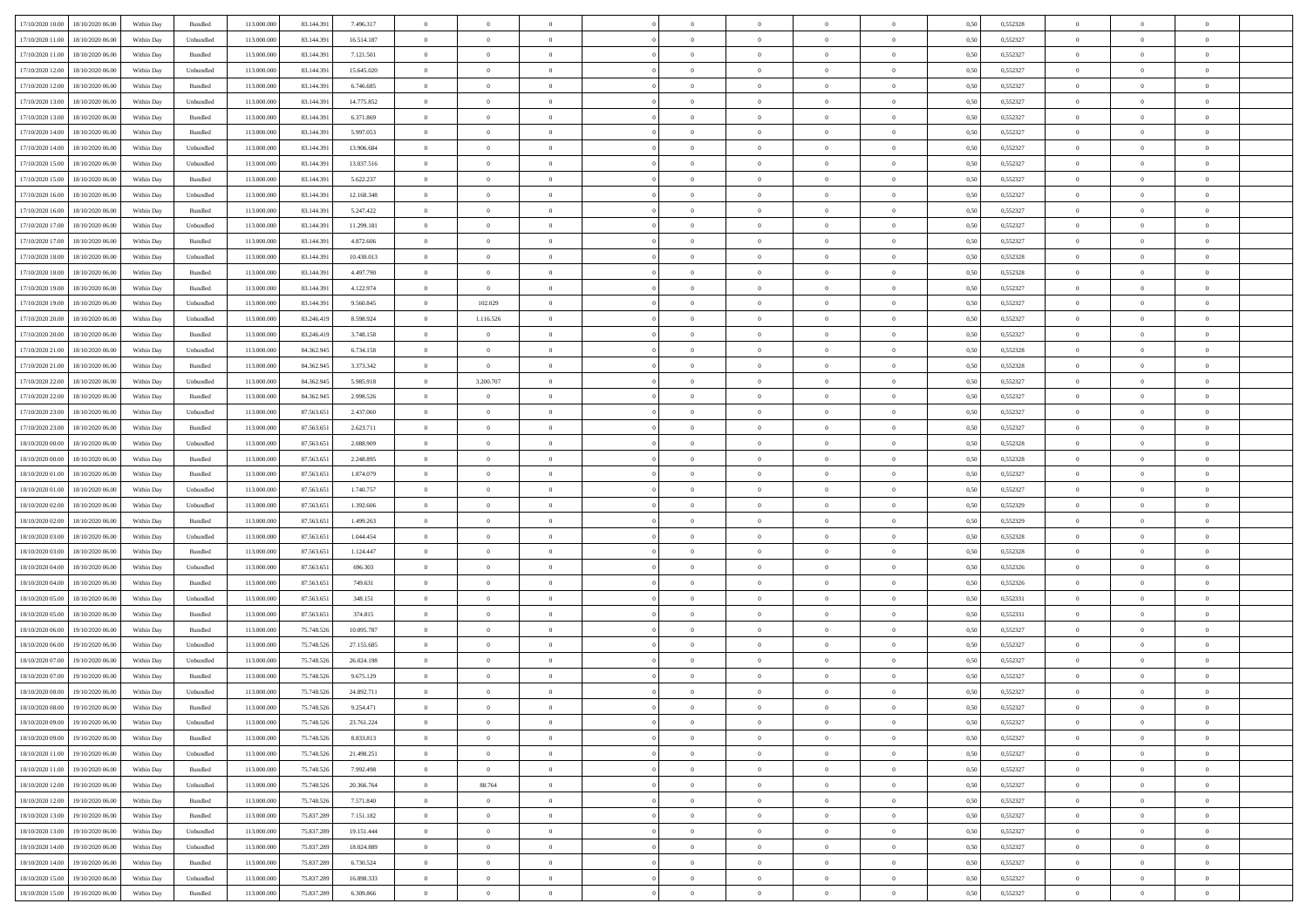| 17/10/2020 10:00 18/10/2020 06:00    | Within Day | Bundled   | 113.000.000 | 83.144.391 | 7.496.317  | $\overline{0}$ | $\overline{0}$ |                | $\overline{0}$ | $\theta$       |                | $\theta$       | 0,50 | 0,552328 | $\theta$       | $\theta$       | $\overline{0}$ |  |
|--------------------------------------|------------|-----------|-------------|------------|------------|----------------|----------------|----------------|----------------|----------------|----------------|----------------|------|----------|----------------|----------------|----------------|--|
| 17/10/2020 11:00<br>18/10/2020 06.00 | Within Day | Unbundled | 113.000.00  | 83.144.39  | 16.514.187 | $\bf{0}$       | $\bf{0}$       | $\bf{0}$       | $\overline{0}$ | $\overline{0}$ | $\overline{0}$ | $\bf{0}$       | 0,50 | 0,552327 | $\,$ 0 $\,$    | $\bf{0}$       | $\overline{0}$ |  |
| 17/10/2020 11:00<br>18/10/2020 06:00 | Within Day | Bundled   | 113,000,000 | 83.144.391 | 7.121.501  | $\overline{0}$ | $\bf{0}$       | $\overline{0}$ | $\bf{0}$       | $\bf{0}$       | $\overline{0}$ | $\bf{0}$       | 0.50 | 0,552327 | $\bf{0}$       | $\overline{0}$ | $\overline{0}$ |  |
| 17/10/2020 12:00<br>18/10/2020 06.00 | Within Day | Unbundled | 113.000.000 | 83.144.391 | 15.645.020 | $\overline{0}$ | $\bf{0}$       | $\overline{0}$ | $\theta$       | $\theta$       | $\overline{0}$ | $\bf{0}$       | 0,50 | 0,552327 | $\theta$       | $\theta$       | $\overline{0}$ |  |
| 17/10/2020 12:00<br>18/10/2020 06.00 | Within Day | Bundled   | 113.000.00  | 83.144.39  | 6.746.685  | $\bf{0}$       | $\overline{0}$ | $\bf{0}$       | $\overline{0}$ | $\theta$       | $\overline{0}$ | $\bf{0}$       | 0,50 | 0,552327 | $\,$ 0 $\,$    | $\bf{0}$       | $\overline{0}$ |  |
|                                      |            |           |             |            |            |                |                |                |                |                | $\theta$       |                |      |          |                |                |                |  |
| 17/10/2020 13:00<br>18/10/2020 06:00 | Within Day | Unbundled | 113,000,000 | 83.144.39  | 14,775,852 | $\overline{0}$ | $\overline{0}$ | $\overline{0}$ | $\bf{0}$       | $\overline{0}$ |                | $\bf{0}$       | 0.50 | 0.552327 | $\,$ 0 $\,$    | $\theta$       | $\overline{0}$ |  |
| 17/10/2020 13:00<br>18/10/2020 06.00 | Within Day | Bundled   | 113.000.000 | 83.144.391 | 6.371.869  | $\overline{0}$ | $\overline{0}$ | $\overline{0}$ | $\overline{0}$ | $\overline{0}$ | $\overline{0}$ | $\bf{0}$       | 0,50 | 0,552327 | $\,$ 0 $\,$    | $\theta$       | $\overline{0}$ |  |
| 17/10/2020 14:00<br>18/10/2020 06.00 | Within Day | Bundled   | 113.000.00  | 83.144.39  | 5.997.053  | $\bf{0}$       | $\overline{0}$ | $\overline{0}$ | $\overline{0}$ | $\overline{0}$ | $\overline{0}$ | $\bf{0}$       | 0,50 | 0,552327 | $\,$ 0 $\,$    | $\bf{0}$       | $\overline{0}$ |  |
| 17/10/2020 14:00<br>18/10/2020 06:00 | Within Day | Unbundled | 113,000,000 | 83.144.39  | 13,906,684 | $\overline{0}$ | $\bf{0}$       | $\overline{0}$ | $\bf{0}$       | $\overline{0}$ | $\overline{0}$ | $\bf{0}$       | 0.50 | 0.552327 | $\bf{0}$       | $\overline{0}$ | $\overline{0}$ |  |
| 17/10/2020 15:00<br>18/10/2020 06:00 | Within Day | Unbundled | 113.000.000 | 83.144.391 | 13.037.516 | $\bf{0}$       | $\bf{0}$       | $\overline{0}$ | $\overline{0}$ | $\overline{0}$ | $\overline{0}$ | $\bf{0}$       | 0,50 | 0,552327 | $\,$ 0 $\,$    | $\bf{0}$       | $\overline{0}$ |  |
| 17/10/2020 15:00<br>18/10/2020 06.00 | Within Day | Bundled   | 113.000.00  | 83.144.39  | 5.622.237  | $\bf{0}$       | $\overline{0}$ | $\bf{0}$       | $\bf{0}$       | $\bf{0}$       | $\overline{0}$ | $\bf{0}$       | 0,50 | 0,552327 | $\,$ 0 $\,$    | $\bf{0}$       | $\overline{0}$ |  |
| 17/10/2020 16:00<br>18/10/2020 06:00 | Within Day | Unbundled | 113,000,000 | 83.144.39  | 12.168.348 | $\overline{0}$ | $\bf{0}$       | $\overline{0}$ | $\overline{0}$ | $\bf{0}$       | $\overline{0}$ | $\bf{0}$       | 0.50 | 0,552327 | $\bf{0}$       | $\overline{0}$ | $\overline{0}$ |  |
| 17/10/2020 16:00<br>18/10/2020 06.00 | Within Day | Bundled   | 113.000.000 | 83.144.391 | 5.247.422  | $\overline{0}$ | $\overline{0}$ | $\overline{0}$ | $\overline{0}$ | $\theta$       | $\overline{0}$ | $\overline{0}$ | 0,50 | 0,552327 | $\,$ 0 $\,$    | $\theta$       | $\overline{0}$ |  |
|                                      |            |           |             |            |            |                |                |                |                |                |                |                |      |          |                |                |                |  |
| 17/10/2020 17:00<br>18/10/2020 06.00 | Within Day | Unbundled | 113.000.00  | 83.144.39  | 11.299.181 | $\bf{0}$       | $\overline{0}$ | $\bf{0}$       | $\overline{0}$ | $\theta$       | $\overline{0}$ | $\bf{0}$       | 0,50 | 0,552327 | $\,$ 0 $\,$    | $\bf{0}$       | $\overline{0}$ |  |
| 17/10/2020 17:00<br>18/10/2020 06:00 | Within Day | Bundled   | 113,000,000 | 83.144.39  | 4.872.606  | $\overline{0}$ | $\overline{0}$ | $\overline{0}$ | $\bf{0}$       | $\theta$       | $\Omega$       | $\bf{0}$       | 0.50 | 0.552327 | $\,$ 0 $\,$    | $\theta$       | $\overline{0}$ |  |
| 17/10/2020 18:00<br>18/10/2020 06.00 | Within Day | Unbundled | 113.000.000 | 83.144.391 | 10.430.013 | $\overline{0}$ | $\overline{0}$ | $\overline{0}$ | $\overline{0}$ | $\overline{0}$ | $\overline{0}$ | $\bf{0}$       | 0,50 | 0,552328 | $\theta$       | $\theta$       | $\overline{0}$ |  |
| 17/10/2020 18:00<br>18/10/2020 06.00 | Within Day | Bundled   | 113.000.00  | 83.144.39  | 4.497.790  | $\bf{0}$       | $\overline{0}$ | $\overline{0}$ | $\overline{0}$ | $\theta$       | $\overline{0}$ | $\bf{0}$       | 0,50 | 0,552328 | $\,$ 0 $\,$    | $\bf{0}$       | $\overline{0}$ |  |
| 17/10/2020 19:00<br>18/10/2020 06:00 | Within Day | Bundled   | 113,000,00  | 83.144.39  | 4.122.974  | $\overline{0}$ | $\overline{0}$ | $\overline{0}$ | $\bf{0}$       | $\overline{0}$ | $\overline{0}$ | $\bf{0}$       | 0.50 | 0.552327 | $\bf{0}$       | $\overline{0}$ | $\overline{0}$ |  |
| 17/10/2020 19:00<br>18/10/2020 06.00 | Within Day | Unbundled | 113.000.000 | 83.144.391 | 9.560.845  | $\overline{0}$ | 102.029        | $\overline{0}$ | $\overline{0}$ | $\overline{0}$ | $\overline{0}$ | $\bf{0}$       | 0,50 | 0,552327 | $\,$ 0 $\,$    | $\bf{0}$       | $\overline{0}$ |  |
| 17/10/2020 20:00<br>18/10/2020 06.00 | Within Day | Unbundled | 113.000.00  | 83.246.419 | 8.598.924  | $\bf{0}$       | 1.116.526      | $\bf{0}$       | $\bf{0}$       | $\overline{0}$ | $\overline{0}$ | $\bf{0}$       | 0,50 | 0,552327 | $\,$ 0 $\,$    | $\bf{0}$       | $\overline{0}$ |  |
|                                      |            |           |             |            |            |                |                |                |                |                |                |                |      |          |                |                |                |  |
| 17/10/2020 20:00<br>18/10/2020 06:00 | Within Day | Bundled   | 113,000,000 | 83.246.419 | 3.748.158  | $\overline{0}$ | $\overline{0}$ | $\overline{0}$ | $\bf{0}$       | $\bf{0}$       | $\overline{0}$ | $\bf{0}$       | 0.50 | 0,552327 | $\bf{0}$       | $\overline{0}$ | $\overline{0}$ |  |
| 17/10/2020 21:00<br>18/10/2020 06:00 | Within Day | Unbundled | 113.000.000 | 84.362.945 | 6.734.158  | $\overline{0}$ | $\overline{0}$ | $\overline{0}$ | $\theta$       | $\theta$       | $\overline{0}$ | $\bf{0}$       | 0,50 | 0,552328 | $\theta$       | $\theta$       | $\overline{0}$ |  |
| 17/10/2020 21:00<br>18/10/2020 06.00 | Within Day | Bundled   | 113.000.00  | 84.362.945 | 3.373.342  | $\bf{0}$       | $\bf{0}$       | $\bf{0}$       | $\overline{0}$ | $\,$ 0 $\,$    | $\overline{0}$ | $\bf{0}$       | 0,50 | 0,552328 | $\,$ 0 $\,$    | $\bf{0}$       | $\overline{0}$ |  |
| 17/10/2020 22.00<br>18/10/2020 06:00 | Within Day | Unbundled | 113,000,000 | 84.362.94  | 5.985.918  | $\overline{0}$ | 3.200.707      | $\overline{0}$ | $\overline{0}$ | $\overline{0}$ | $\theta$       | $\bf{0}$       | 0.50 | 0.552327 | $\,$ 0 $\,$    | $\theta$       | $\overline{0}$ |  |
| 17/10/2020 22.00<br>18/10/2020 06.00 | Within Day | Bundled   | 113.000.000 | 84.362.945 | 2.998.526  | $\overline{0}$ | $\overline{0}$ | $\overline{0}$ | $\overline{0}$ | $\theta$       | $\overline{0}$ | $\bf{0}$       | 0,50 | 0,552327 | $\,$ 0 $\,$    | $\theta$       | $\overline{0}$ |  |
| 17/10/2020 23.00<br>18/10/2020 06.00 | Within Day | Unbundled | 113.000.00  | 87.563.65  | 2.437.060  | $\bf{0}$       | $\theta$       | $\bf{0}$       | $\overline{0}$ | $\theta$       | $\overline{0}$ | $\bf{0}$       | 0,50 | 0,552327 | $\,$ 0 $\,$    | $\bf{0}$       | $\overline{0}$ |  |
| 17/10/2020 23.00<br>18/10/2020 06:00 | Within Day | Bundled   | 113,000,000 | 87.563.65  | 2.623.711  | $\overline{0}$ | $\bf{0}$       | $\overline{0}$ | $\bf{0}$       | $\overline{0}$ | $\overline{0}$ | $\bf{0}$       | 0.50 | 0.552327 | $\bf{0}$       | $\overline{0}$ | $\overline{0}$ |  |
| 18/10/2020 00:00<br>18/10/2020 06.00 | Within Day | Unbundled | 113.000.000 | 87.563.651 | 2.088.909  | $\overline{0}$ | $\bf{0}$       | $\overline{0}$ | $\overline{0}$ | $\overline{0}$ | $\overline{0}$ | $\bf{0}$       | 0,50 | 0,552328 | $\theta$       | $\theta$       | $\overline{0}$ |  |
|                                      |            |           |             |            |            |                |                |                |                |                |                |                |      |          |                |                |                |  |
| 18/10/2020 00:00<br>18/10/2020 06.00 | Within Day | Bundled   | 113.000.00  | 87.563.65  | 2.248.895  | $\bf{0}$       | $\bf{0}$       | $\bf{0}$       | $\bf{0}$       | $\overline{0}$ | $\overline{0}$ | $\bf{0}$       | 0,50 | 0,552328 | $\,$ 0 $\,$    | $\bf{0}$       | $\overline{0}$ |  |
| 18/10/2020 01:00<br>18/10/2020 06:00 | Within Day | Bundled   | 113,000,000 | 87.563.651 | 1.874.079  | $\overline{0}$ | $\bf{0}$       | $\overline{0}$ | $\bf{0}$       | $\bf{0}$       | $\overline{0}$ | $\bf{0}$       | 0.50 | 0.552327 | $\bf{0}$       | $\overline{0}$ | $\overline{0}$ |  |
| 18/10/2020 01:00<br>18/10/2020 06:00 | Within Day | Unbundled | 113.000.000 | 87.563.651 | 1,740,757  | $\overline{0}$ | $\overline{0}$ | $\overline{0}$ | $\overline{0}$ | $\overline{0}$ | $\overline{0}$ | $\bf{0}$       | 0.5( | 0,552327 | $\theta$       | $\theta$       | $\overline{0}$ |  |
| 18/10/2020 02:00<br>18/10/2020 06.00 | Within Day | Unbundled | 113.000.00  | 87.563.65  | 1.392.606  | $\bf{0}$       | $\overline{0}$ | $\bf{0}$       | $\bf{0}$       | $\overline{0}$ | $\overline{0}$ | $\bf{0}$       | 0,50 | 0,552329 | $\,$ 0 $\,$    | $\bf{0}$       | $\overline{0}$ |  |
| 18/10/2020 02.00<br>18/10/2020 06:00 | Within Day | Bundled   | 113,000,000 | 87.563.65  | 1.499.263  | $\overline{0}$ | $\bf{0}$       | $\overline{0}$ | $\bf{0}$       | $\overline{0}$ | $\Omega$       | $\bf{0}$       | 0.50 | 0.552329 | $\,$ 0 $\,$    | $\theta$       | $\overline{0}$ |  |
| 18/10/2020 03:00<br>18/10/2020 06:00 | Within Day | Unbundled | 113.000.000 | 87.563.651 | 1.044.454  | $\overline{0}$ | $\overline{0}$ | $\overline{0}$ | $\overline{0}$ | $\theta$       | $\overline{0}$ | $\bf{0}$       | 0.5( | 0,552328 | $\theta$       | $\theta$       | $\overline{0}$ |  |
| 18/10/2020 03:00<br>18/10/2020 06.00 | Within Day | Bundled   | 113.000.00  | 87.563.65  | 1.124.447  | $\bf{0}$       | $\bf{0}$       | $\bf{0}$       | $\overline{0}$ | $\bf{0}$       | $\overline{0}$ | $\bf{0}$       | 0,50 | 0,552328 | $\,$ 0 $\,$    | $\bf{0}$       | $\overline{0}$ |  |
| 18/10/2020 04:00<br>18/10/2020 06:00 | Within Day | Unbundled | 113,000,00  | 87.563.65  | 696.303    | $\overline{0}$ | $\bf{0}$       | $\overline{0}$ | $\bf{0}$       | $\overline{0}$ | $\overline{0}$ | $\bf{0}$       | 0.50 | 0.552326 | $\bf{0}$       | $\overline{0}$ | $\overline{0}$ |  |
| 18/10/2020 04:00<br>18/10/2020 06:00 | Within Day | Bundled   | 113.000.000 | 87.563.651 | 749.631    | $\overline{0}$ | $\overline{0}$ | $\overline{0}$ | $\overline{0}$ | $\overline{0}$ | $\overline{0}$ | $\overline{0}$ | 0.50 | 0,552326 | $\theta$       | $\theta$       | $\overline{0}$ |  |
|                                      |            |           |             |            |            |                |                |                |                |                |                |                |      |          |                |                |                |  |
| 18/10/2020 05:00<br>18/10/2020 06.00 | Within Day | Unbundled | 113.000.00  | 87.563.65  | 348.151    | $\bf{0}$       | $\bf{0}$       | $\bf{0}$       | $\bf{0}$       | $\overline{0}$ | $\overline{0}$ | $\bf{0}$       | 0,50 | 0,552331 | $\,$ 0 $\,$    | $\bf{0}$       | $\overline{0}$ |  |
| 18/10/2020 05:00<br>18/10/2020 06:00 | Within Day | Bundled   | 113,000,000 | 87.563.651 | 374.815    | $\overline{0}$ | $\bf{0}$       | $\overline{0}$ | $\bf{0}$       | $\bf{0}$       | $\overline{0}$ | $\bf{0}$       | 0.50 | 0,552331 | $\bf{0}$       | $\overline{0}$ | $\overline{0}$ |  |
| 18/10/2020 06:00<br>19/10/2020 06:00 | Within Day | Bundled   | 113.000.000 | 75.748.526 | 10.095.787 | $\overline{0}$ | $\overline{0}$ | $\overline{0}$ | $\overline{0}$ | $\theta$       | $\overline{0}$ | $\bf{0}$       | 0.5( | 0,552327 | $\theta$       | $\theta$       | $\overline{0}$ |  |
| 18/10/2020 06:00<br>19/10/2020 06.00 | Within Day | Unbundled | 113.000.00  | 75.748.526 | 27.155.685 | $\bf{0}$       | $\bf{0}$       | $\bf{0}$       | $\bf{0}$       | $\overline{0}$ | $\overline{0}$ | $\bf{0}$       | 0,50 | 0,552327 | $\,$ 0 $\,$    | $\bf{0}$       | $\overline{0}$ |  |
| 18/10/2020 07:00<br>19/10/2020 06.00 | Within Day | Unbundled | 113,000,00  | 75.748.52  | 26.024.198 | $\overline{0}$ | $\overline{0}$ | $\overline{0}$ | $\overline{0}$ | $\overline{0}$ | $\Omega$       | $\bf{0}$       | 0.50 | 0.552327 | $\bf{0}$       | $\theta$       | $\overline{0}$ |  |
| 18/10/2020 07:00<br>19/10/2020 06:00 | Within Dav | Bundled   | 113.000.000 | 75.748.52  | 9.675.129  | $\overline{0}$ | $\overline{0}$ | $\Omega$       | $\overline{0}$ | $\theta$       | $\Omega$       | $\overline{0}$ | 0.5( | 0,552327 | $\theta$       | $\theta$       | $\overline{0}$ |  |
| 18/10/2020 08:00<br>19/10/2020 06.00 | Within Day | Unbundled | 113.000.00  | 75.748.526 | 24.892.711 | $\bf{0}$       | $\bf{0}$       | $\bf{0}$       | $\bf{0}$       | $\bf{0}$       | $\overline{0}$ | $\bf{0}$       | 0,50 | 0,552327 | $\,$ 0 $\,$    | $\bf{0}$       | $\overline{0}$ |  |
| 18/10/2020 08:00 19/10/2020 06:00    | Within Day | Bundled   | 113.000.000 | 75.748.526 | 9.254.471  | $\overline{0}$ | $\Omega$       |                | $\Omega$       |                |                |                | 0,50 | 0,552327 | $\bf{0}$       | $\overline{0}$ |                |  |
|                                      |            |           |             |            |            |                |                |                |                |                |                |                |      |          |                |                |                |  |
| 18/10/2020 09:00 19/10/2020 06:00    | Within Day | Unbundled | 113.000.000 | 75.748.526 | 23.761.224 | $\overline{0}$ | $\overline{0}$ | $\Omega$       | $\theta$       | $\overline{0}$ | $\overline{0}$ | $\bf{0}$       | 0,50 | 0,552327 | $\theta$       | $\theta$       | $\overline{0}$ |  |
| 18/10/2020 09:00<br>19/10/2020 06.00 | Within Day | Bundled   | 113.000.00  | 75.748.526 | 8.833.813  | $\overline{0}$ | $\bf{0}$       | $\overline{0}$ | $\overline{0}$ | $\bf{0}$       | $\overline{0}$ | $\bf{0}$       | 0,50 | 0,552327 | $\bf{0}$       | $\overline{0}$ | $\bf{0}$       |  |
| 18/10/2020 11:00 19/10/2020 06:00    | Within Day | Unbundled | 113,000,000 | 75.748.526 | 21.498.251 | $\overline{0}$ | $\overline{0}$ | $\overline{0}$ | $\overline{0}$ | $\overline{0}$ | $\overline{0}$ | $\,$ 0 $\,$    | 0.50 | 0,552327 | $\overline{0}$ | $\bf{0}$       | $\,$ 0 $\,$    |  |
| 18/10/2020 11:00 19/10/2020 06:00    | Within Dav | Bundled   | 113.000.000 | 75.748.526 | 7.992.498  | $\overline{0}$ | $\overline{0}$ | $\overline{0}$ | $\overline{0}$ | $\overline{0}$ | $\overline{0}$ | $\bf{0}$       | 0,50 | 0,552327 | $\theta$       | $\theta$       | $\overline{0}$ |  |
| 18/10/2020 12:00<br>19/10/2020 06.00 | Within Day | Unbundled | 113.000.000 | 75.748.526 | 20.366.764 | $\overline{0}$ | 88.764         | $\overline{0}$ | $\bf{0}$       | $\overline{0}$ | $\bf{0}$       | $\bf{0}$       | 0,50 | 0,552327 | $\bf{0}$       | $\overline{0}$ | $\overline{0}$ |  |
| 18/10/2020 12:00<br>19/10/2020 06:00 | Within Day | Bundled   | 113,000,000 | 75,748,526 | 7.571.840  | $\overline{0}$ | $\bf{0}$       | $\overline{0}$ | $\overline{0}$ | $\overline{0}$ | $\overline{0}$ | $\bf{0}$       | 0.50 | 0.552327 | $\,$ 0 $\,$    | $\theta$       | $\overline{0}$ |  |
| 18/10/2020 13:00<br>19/10/2020 06:00 | Within Dav | Bundled   | 113.000.000 | 75.837.289 | 7.151.182  | $\overline{0}$ | $\overline{0}$ | $\overline{0}$ | $\overline{0}$ | $\overline{0}$ | $\overline{0}$ | $\bf{0}$       | 0,50 | 0,552327 | $\overline{0}$ | $\theta$       | $\overline{0}$ |  |
| 18/10/2020 13:00<br>19/10/2020 06.00 | Within Day | Unbundled | 113.000.00  | 75.837.289 | 19.151.444 | $\overline{0}$ | $\overline{0}$ | $\overline{0}$ | $\overline{0}$ | $\overline{0}$ | $\overline{0}$ | $\bf{0}$       | 0,50 | 0,552327 | $\bf{0}$       | $\overline{0}$ | $\overline{0}$ |  |
|                                      |            |           |             |            |            |                |                |                |                |                |                |                |      |          |                |                |                |  |
| 18/10/2020 14:00<br>19/10/2020 06:00 | Within Day | Unbundled | 113,000,000 | 75.837.289 | 18.024.889 | $\overline{0}$ | $\overline{0}$ | $\overline{0}$ | $\overline{0}$ | $\bf{0}$       | $\overline{0}$ | $\bf{0}$       | 0.50 | 0.552327 | $\mathbf{0}$   | $\bf{0}$       | $\,$ 0         |  |
| 18/10/2020 14:00<br>19/10/2020 06:00 | Within Dav | Bundled   | 113.000.000 | 75.837.289 | 6.730.524  | $\overline{0}$ | $\overline{0}$ | $\overline{0}$ | $\overline{0}$ | $\overline{0}$ | $\overline{0}$ | $\bf{0}$       | 0,50 | 0,552327 | $\overline{0}$ | $\theta$       | $\overline{0}$ |  |
| 18/10/2020 15:00<br>19/10/2020 06.00 | Within Day | Unbundled | 113.000.00  | 75.837.289 | 16.898.333 | $\overline{0}$ | $\bf{0}$       | $\overline{0}$ | $\bf{0}$       | $\overline{0}$ | $\bf{0}$       | $\bf{0}$       | 0,50 | 0,552327 | $\bf{0}$       | $\bf{0}$       | $\overline{0}$ |  |
| 18/10/2020 15:00 19/10/2020 06:00    | Within Day | Bundled   | 113.000.000 | 75.837.289 | 6.309.866  | $\overline{0}$ | $\bf{0}$       | $\overline{0}$ | $\overline{0}$ | $\,$ 0 $\,$    | $\overline{0}$ | $\bf{0}$       | 0,50 | 0,552327 | $\overline{0}$ | $\,$ 0 $\,$    | $\,$ 0 $\,$    |  |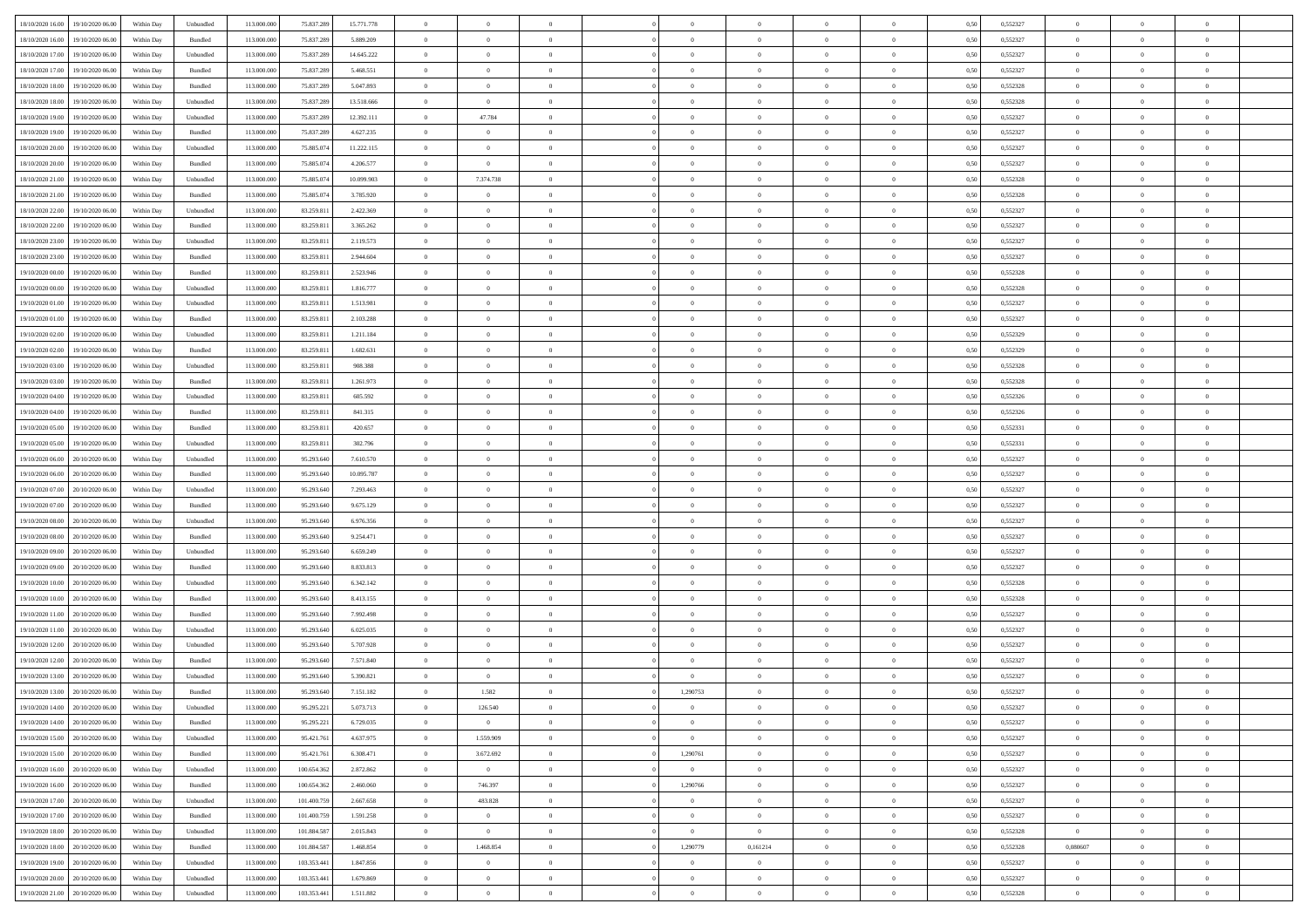| 18/10/2020 16:00 19/10/2020 06:00            | Within Day | Unbundled | 113.000.000 | 75.837.289  | 15.771.778 | $\overline{0}$ | $\theta$       |                | $\overline{0}$ | $\theta$       |                | $\overline{0}$ | 0,50 | 0,552327 | $\theta$       | $\overline{0}$ | $\sqrt{ }$     |  |
|----------------------------------------------|------------|-----------|-------------|-------------|------------|----------------|----------------|----------------|----------------|----------------|----------------|----------------|------|----------|----------------|----------------|----------------|--|
|                                              |            |           |             |             |            |                |                |                |                |                |                |                |      |          |                |                |                |  |
| 18/10/2020 16:00<br>19/10/2020 06:00         | Within Day | Bundled   | 113.000.000 | 75.837.289  | 5.889.209  | $\overline{0}$ | $\bf{0}$       | $\overline{0}$ | $\overline{0}$ | $\overline{0}$ | $\overline{0}$ | $\bf{0}$       | 0,50 | 0,552327 | $\overline{0}$ | $\overline{0}$ | $\overline{0}$ |  |
| 18/10/2020 17:00<br>19/10/2020 06:00         | Within Dav | Unbundled | 113.000.000 | 75.837.289  | 14.645.222 | $\overline{0}$ | $\overline{0}$ | $\overline{0}$ | $\overline{0}$ | $\overline{0}$ | $\overline{0}$ | $\overline{0}$ | 0.50 | 0,552327 | $\theta$       | $\overline{0}$ | $\overline{0}$ |  |
| 18/10/2020 17:00<br>19/10/2020 06.00         | Within Day | Bundled   | 113.000.000 | 75.837.289  | 5.468.551  | $\overline{0}$ | $\bf{0}$       | $\bf{0}$       | $\overline{0}$ | $\overline{0}$ | $\overline{0}$ | $\bf{0}$       | 0,50 | 0,552327 | $\bf{0}$       | $\overline{0}$ | $\overline{0}$ |  |
| 18/10/2020 18:00<br>19/10/2020 06.00         | Within Day | Bundled   | 113.000.000 | 75.837.289  | 5.047.893  | $\bf{0}$       | $\overline{0}$ | $\overline{0}$ | $\overline{0}$ | $\overline{0}$ | $\overline{0}$ | $\bf{0}$       | 0,50 | 0,552328 | $\,$ 0 $\,$    | $\bf{0}$       | $\overline{0}$ |  |
| 18/10/2020 18:00<br>19/10/2020 06.00         | Within Dav | Unbundled | 113.000.000 | 75.837.289  | 13.518.666 | $\overline{0}$ | $\overline{0}$ | $\overline{0}$ | $\overline{0}$ | $\overline{0}$ | $\overline{0}$ | $\overline{0}$ | 0.50 | 0,552328 | $\theta$       | $\overline{0}$ | $\overline{0}$ |  |
| 18/10/2020 19:00<br>19/10/2020 06.00         | Within Day | Unbundled | 113.000.000 | 75.837.289  | 12.392.111 | $\overline{0}$ | 47.784         | $\overline{0}$ | $\overline{0}$ | $\overline{0}$ | $\overline{0}$ | $\bf{0}$       | 0,50 | 0,552327 | $\bf{0}$       | $\bf{0}$       | $\overline{0}$ |  |
| 18/10/2020 19:00<br>19/10/2020 06.00         | Within Day | Bundled   | 113.000.000 | 75.837.289  | 4.627.235  | $\overline{0}$ | $\overline{0}$ | $\overline{0}$ | $\overline{0}$ | $\overline{0}$ | $\overline{0}$ | $\bf{0}$       | 0,50 | 0,552327 | $\,$ 0 $\,$    | $\theta$       | $\overline{0}$ |  |
| 18/10/2020 20:00<br>19/10/2020 06.00         | Within Dav | Unbundled | 113.000.000 | 75.885.074  | 11.222.115 | $\overline{0}$ | $\overline{0}$ | $\overline{0}$ | $\overline{0}$ | $\overline{0}$ | $\overline{0}$ | $\overline{0}$ | 0.50 | 0,552327 | $\theta$       | $\overline{0}$ | $\overline{0}$ |  |
| 18/10/2020 20:00<br>19/10/2020 06.00         | Within Day | Bundled   | 113.000.00  | 75.885.074  | 4.206.577  | $\overline{0}$ | $\overline{0}$ | $\overline{0}$ | $\overline{0}$ | $\overline{0}$ | $\overline{0}$ | $\bf{0}$       | 0,50 | 0,552327 | $\,$ 0 $\,$    | $\bf{0}$       | $\overline{0}$ |  |
| 19/10/2020 06.00                             | Within Day | Unbundled | 113.000.000 | 75,885,074  | 10.099.903 | $\overline{0}$ | 7.374.738      | $\overline{0}$ | $\overline{0}$ | $\overline{0}$ | $\overline{0}$ | $\bf{0}$       | 0,50 | 0,552328 | $\bf{0}$       | $\overline{0}$ | $\overline{0}$ |  |
| 18/10/2020 21:00                             |            |           |             |             |            |                |                |                |                |                |                |                |      |          | $\theta$       | $\overline{0}$ |                |  |
| 18/10/2020 21:00<br>19/10/2020 06.00         | Within Dav | Bundled   | 113.000.000 | 75.885.074  | 3.785.920  | $\overline{0}$ | $\overline{0}$ | $\overline{0}$ | $\overline{0}$ | $\overline{0}$ | $\overline{0}$ | $\overline{0}$ | 0.50 | 0,552328 |                |                | $\overline{0}$ |  |
| 18/10/2020 22:00<br>19/10/2020 06.00         | Within Day | Unbundled | 113.000.000 | 83.259.811  | 2.422.369  | $\overline{0}$ | $\bf{0}$       | $\bf{0}$       | $\overline{0}$ | $\overline{0}$ | $\overline{0}$ | $\bf{0}$       | 0,50 | 0,552327 | $\bf{0}$       | $\overline{0}$ | $\overline{0}$ |  |
| 18/10/2020 22.00<br>19/10/2020 06.00         | Within Day | Bundled   | 113.000.000 | 83.259.811  | 3.365.262  | $\bf{0}$       | $\bf{0}$       | $\overline{0}$ | $\overline{0}$ | $\overline{0}$ | $\overline{0}$ | $\bf{0}$       | 0,50 | 0,552327 | $\,$ 0 $\,$    | $\bf{0}$       | $\overline{0}$ |  |
| 18/10/2020 23:00<br>19/10/2020 06.00         | Within Dav | Unbundled | 113.000.000 | 83.259.811  | 2.119.573  | $\overline{0}$ | $\overline{0}$ | $\overline{0}$ | $\overline{0}$ | $\overline{0}$ | $\overline{0}$ | $\overline{0}$ | 0.50 | 0,552327 | $\theta$       | $\overline{0}$ | $\overline{0}$ |  |
| 18/10/2020 23:00<br>19/10/2020 06.00         | Within Day | Bundled   | 113.000.000 | 83.259.811  | 2.944.604  | $\overline{0}$ | $\bf{0}$       | $\overline{0}$ | $\overline{0}$ | $\overline{0}$ | $\overline{0}$ | $\bf{0}$       | 0,50 | 0,552327 | $\bf{0}$       | $\bf{0}$       | $\overline{0}$ |  |
| 19/10/2020 00:00<br>19/10/2020 06.00         | Within Day | Bundled   | 113.000.000 | 83.259.811  | 2.523.946  | $\overline{0}$ | $\overline{0}$ | $\overline{0}$ | $\overline{0}$ | $\overline{0}$ | $\overline{0}$ | $\bf{0}$       | 0,50 | 0,552328 | $\bf{0}$       | $\overline{0}$ | $\overline{0}$ |  |
| 19/10/2020 00:00<br>19/10/2020 06.00         | Within Dav | Unbundled | 113.000.000 | 83.259.811  | 1.816.777  | $\overline{0}$ | $\overline{0}$ | $\overline{0}$ | $\overline{0}$ | $\overline{0}$ | $\overline{0}$ | $\overline{0}$ | 0.50 | 0,552328 | $\theta$       | $\overline{0}$ | $\overline{0}$ |  |
| 19/10/2020 01:00<br>19/10/2020 06.00         | Within Day | Unbundled | 113.000.00  | 83.259.811  | 1.513.981  | $\overline{0}$ | $\bf{0}$       | $\overline{0}$ | $\overline{0}$ | $\overline{0}$ | $\overline{0}$ | $\bf{0}$       | 0,50 | 0,552327 | $\,$ 0 $\,$    | $\bf{0}$       | $\overline{0}$ |  |
| 19/10/2020 01:00<br>19/10/2020 06.00         | Within Day | Bundled   | 113.000.000 | 83.259.811  | 2.103.288  | $\overline{0}$ | $\bf{0}$       | $\overline{0}$ | $\overline{0}$ | $\overline{0}$ | $\overline{0}$ | $\bf{0}$       | 0,50 | 0,552327 | $\bf{0}$       | $\overline{0}$ | $\overline{0}$ |  |
| 19/10/2020 02:00<br>19/10/2020 06.00         | Within Day | Unbundled | 113.000.000 | 83.259.811  | 1.211.184  | $\overline{0}$ | $\overline{0}$ | $\overline{0}$ | $\overline{0}$ | $\overline{0}$ | $\overline{0}$ | $\overline{0}$ | 0.50 | 0,552329 | $\theta$       | $\overline{0}$ | $\overline{0}$ |  |
| 19/10/2020 02:00<br>19/10/2020 06.00         | Within Day | Bundled   | 113.000.000 | 83.259.811  | 1.682.631  | $\overline{0}$ | $\bf{0}$       | $\bf{0}$       | $\overline{0}$ | $\overline{0}$ | $\overline{0}$ | $\bf{0}$       | 0,50 | 0,552329 | $\bf{0}$       | $\overline{0}$ | $\overline{0}$ |  |
| 19/10/2020 03:00<br>19/10/2020 06.00         | Within Day | Unbundled | 113.000.000 | 83.259.811  | 908.388    | $\bf{0}$       | $\bf{0}$       | $\overline{0}$ | $\overline{0}$ | $\overline{0}$ | $\overline{0}$ | $\bf{0}$       | 0,50 | 0,552328 | $\bf{0}$       | $\overline{0}$ | $\overline{0}$ |  |
| 19/10/2020 03:00<br>19/10/2020 06.00         | Within Dav | Bundled   | 113.000.000 | 83.259.811  | 1.261.973  | $\overline{0}$ | $\overline{0}$ | $\overline{0}$ | $\overline{0}$ | $\overline{0}$ | $\overline{0}$ | $\overline{0}$ | 0.50 | 0,552328 | $\theta$       | $\overline{0}$ | $\overline{0}$ |  |
| 19/10/2020 04:00<br>19/10/2020 06.00         | Within Day | Unbundled | 113.000.000 | 83.259.811  | 605.592    | $\overline{0}$ | $\bf{0}$       | $\overline{0}$ | $\overline{0}$ | $\overline{0}$ | $\overline{0}$ | $\bf{0}$       | 0,50 | 0,552326 | $\,$ 0 $\,$    | $\bf{0}$       | $\overline{0}$ |  |
|                                              |            |           |             |             |            |                |                |                |                |                | $\overline{0}$ |                |      |          |                |                | $\overline{0}$ |  |
| 19/10/2020 04:00<br>19/10/2020 06.00         | Within Day | Bundled   | 113.000.000 | 83.259.811  | 841.315    | $\overline{0}$ | $\bf{0}$       | $\overline{0}$ | $\overline{0}$ | $\overline{0}$ |                | $\bf{0}$       | 0,50 | 0,552326 | $\bf{0}$       | $\overline{0}$ |                |  |
| 19/10/2020 05:00<br>19/10/2020 06.00         | Within Dav | Bundled   | 113.000.000 | 83.259.811  | 420.657    | $\overline{0}$ | $\overline{0}$ | $\overline{0}$ | $\overline{0}$ | $\overline{0}$ | $\overline{0}$ | $\overline{0}$ | 0.50 | 0,552331 | $\theta$       | $\overline{0}$ | $\overline{0}$ |  |
| 19/10/2020 05:00<br>19/10/2020 06.00         | Within Day | Unbundled | 113.000.000 | 83.259.811  | 302.796    | $\overline{0}$ | $\bf{0}$       | $\overline{0}$ | $\overline{0}$ | $\overline{0}$ | $\overline{0}$ | $\bf{0}$       | 0,50 | 0,552331 | $\overline{0}$ | $\overline{0}$ | $\overline{0}$ |  |
| 19/10/2020 06:00<br>20/10/2020 06.00         | Within Day | Unbundled | 113.000.000 | 95.293.640  | 7.610.570  | $\overline{0}$ | $\overline{0}$ | $\overline{0}$ | $\overline{0}$ | $\overline{0}$ | $\overline{0}$ | $\bf{0}$       | 0,50 | 0,552327 | $\bf{0}$       | $\overline{0}$ | $\overline{0}$ |  |
| 19/10/2020 06:00<br>20/10/2020 06.00         | Within Dav | Bundled   | 113.000.000 | 95.293.640  | 10.095.787 | $\overline{0}$ | $\overline{0}$ | $\overline{0}$ | $\overline{0}$ | $\overline{0}$ | $\overline{0}$ | $\bf{0}$       | 0.50 | 0,552327 | $\theta$       | $\overline{0}$ | $\overline{0}$ |  |
| 19/10/2020 07:00<br>20/10/2020 06:00         | Within Day | Unbundled | 113.000.000 | 95.293.640  | 7.293.463  | $\bf{0}$       | $\overline{0}$ | $\overline{0}$ | $\overline{0}$ | $\theta$       | $\overline{0}$ | $\,$ 0 $\,$    | 0,50 | 0,552327 | $\,$ 0 $\,$    | $\theta$       | $\overline{0}$ |  |
| 19/10/2020 07:00<br>20/10/2020 06.00         | Within Day | Bundled   | 113.000.000 | 95.293.640  | 9.675.129  | $\bf{0}$       | $\bf{0}$       | $\overline{0}$ | $\overline{0}$ | $\overline{0}$ | $\overline{0}$ | $\bf{0}$       | 0,50 | 0,552327 | $\bf{0}$       | $\overline{0}$ | $\overline{0}$ |  |
| 19/10/2020 08:00<br>20/10/2020 06.00         | Within Dav | Unbundled | 113.000.000 | 95.293.640  | 6.976.356  | $\overline{0}$ | $\overline{0}$ | $\overline{0}$ | $\overline{0}$ | $\overline{0}$ | $\overline{0}$ | $\overline{0}$ | 0.50 | 0,552327 | $\theta$       | $\theta$       | $\overline{0}$ |  |
| 19/10/2020 08:00<br>20/10/2020 06:00         | Within Day | Bundled   | 113.000.000 | 95.293.640  | 9.254.471  | $\overline{0}$ | $\overline{0}$ | $\overline{0}$ | $\overline{0}$ | $\theta$       | $\overline{0}$ | $\overline{0}$ | 0,50 | 0,552327 | $\theta$       | $\theta$       | $\overline{0}$ |  |
| 19/10/2020 09:00<br>20/10/2020 06.00         | Within Day | Unbundled | 113.000.000 | 95.293.640  | 6.659.249  | $\overline{0}$ | $\overline{0}$ | $\overline{0}$ | $\overline{0}$ | $\bf{0}$       | $\overline{0}$ | $\bf{0}$       | 0,50 | 0,552327 | $\bf{0}$       | $\overline{0}$ | $\overline{0}$ |  |
| 19/10/2020 09:00<br>20/10/2020 06.00         | Within Dav | Bundled   | 113.000.000 | 95.293.640  | 8.833.813  | $\overline{0}$ | $\overline{0}$ | $\overline{0}$ | $\overline{0}$ | $\overline{0}$ | $\overline{0}$ | $\overline{0}$ | 0.50 | 0,552327 | $\theta$       | $\overline{0}$ | $\overline{0}$ |  |
| 19/10/2020 10:00<br>20/10/2020 06:00         | Within Day | Unbundled | 113.000.000 | 95.293.640  | 6.342.142  | $\overline{0}$ | $\overline{0}$ | $\overline{0}$ | $\overline{0}$ | $\theta$       | $\overline{0}$ | $\overline{0}$ | 0,50 | 0,552328 | $\theta$       | $\theta$       | $\overline{0}$ |  |
| 19/10/2020 10:00<br>20/10/2020 06.00         | Within Day | Bundled   | 113.000.000 | 95.293.640  | 8.413.155  | $\overline{0}$ | $\bf{0}$       | $\overline{0}$ | $\overline{0}$ | $\bf{0}$       | $\overline{0}$ | $\bf{0}$       | 0,50 | 0,552328 | $\bf{0}$       | $\overline{0}$ | $\overline{0}$ |  |
| 19/10/2020 11:00<br>20/10/2020 06:00         | Within Day | Bundled   | 113.000.000 | 95.293.640  | 7.992.498  | $\overline{0}$ | $\overline{0}$ | $\overline{0}$ | $\overline{0}$ | $\overline{0}$ | $\overline{0}$ | $\bf{0}$       | 0.50 | 0,552327 | $\theta$       | $\overline{0}$ | $\overline{0}$ |  |
| 19/10/2020 11:00<br>20/10/2020 06:00         | Within Day | Unbundled | 113.000.000 | 95.293.640  | 6.025.035  | $\overline{0}$ | $\overline{0}$ | $\overline{0}$ | $\overline{0}$ | $\theta$       | $\overline{0}$ | $\overline{0}$ | 0,50 | 0,552327 | $\,$ 0 $\,$    | $\theta$       | $\overline{0}$ |  |
| 19/10/2020 12:00<br>20/10/2020 06.00         | Within Day | Unbundled | 113.000.000 | 95.293.640  | 5.707.928  | $\overline{0}$ | $\bf{0}$       | $\overline{0}$ | $\bf{0}$       | $\overline{0}$ | $\overline{0}$ | $\bf{0}$       | 0,50 | 0,552327 | $\bf{0}$       | $\overline{0}$ | $\overline{0}$ |  |
| 19/10/2020 12:00<br>20/10/2020 06.00         | Within Day | Bundled   | 113.000.000 | 95.293.640  | 7.571.840  | $\overline{0}$ | $\overline{0}$ | $\overline{0}$ | $\overline{0}$ | $\overline{0}$ | $\overline{0}$ | $\overline{0}$ | 0.50 | 0,552327 | $\theta$       | $\overline{0}$ | $\overline{0}$ |  |
|                                              |            |           |             |             |            | $\overline{0}$ | $\overline{0}$ | $\overline{0}$ | $\overline{0}$ | $\theta$       | $\overline{0}$ | $\theta$       |      |          | $\theta$       | $\theta$       | $\overline{0}$ |  |
| 19/10/2020 13:00<br>20/10/2020 06:00         | Within Day | Unbundled | 113.000.000 | 95.293.640  | 5.390.821  |                |                |                |                |                |                |                | 0,50 | 0,552327 |                |                |                |  |
| 19/10/2020 13:00 20/10/2020 06:00            | Within Day | Bundled   | 113.000.000 | 95.293.640  | 7.151.182  | $\overline{0}$ | 1.582          | $\overline{0}$ | 1,290753       | $\overline{0}$ | $\overline{0}$ | $\bf{0}$       | 0,50 | 0,552327 | $\bf{0}$       | $\overline{0}$ | $\overline{0}$ |  |
| $19/10/2020\ 14.00 \qquad 20/10/2020\ 06.00$ | Within Day | Unbundled | 113.000.000 | 95.295.221  | 5.073.713  | $\overline{0}$ | 126.540        |                | $\overline{0}$ | $\theta$       |                |                | 0,50 | 0,552327 | $\theta$       | $\theta$       |                |  |
| 19/10/2020 14:00 20/10/2020 06:00            | Within Day | Bundled   | 113.000.000 | 95.295.221  | 6.729.035  | $\overline{0}$ | $\overline{0}$ | $\overline{0}$ | $\theta$       | $\theta$       | $\overline{0}$ | $\overline{0}$ | 0,50 | 0,552327 | $\theta$       | $\theta$       | $\overline{0}$ |  |
| 19/10/2020 15:00<br>20/10/2020 06:00         | Within Day | Unbundled | 113.000.000 | 95.421.76   | 4.637.975  | $\overline{0}$ | 1.559.909      | $\overline{0}$ | $\bf{0}$       | $\overline{0}$ | $\overline{0}$ | $\bf{0}$       | 0,50 | 0,552327 | $\overline{0}$ | $\overline{0}$ | $\overline{0}$ |  |
| 19/10/2020 15:00<br>20/10/2020 06:00         | Within Dav | Bundled   | 113.000.000 | 95.421.761  | 6.308.471  | $\overline{0}$ | 3.672.692      | $\overline{0}$ | 1,290761       | $\overline{0}$ | $\overline{0}$ | $\overline{0}$ | 0.50 | 0,552327 | $\overline{0}$ | $\overline{0}$ | $\overline{0}$ |  |
| 19/10/2020 16:00 20/10/2020 06:00            | Within Day | Unbundled | 113.000.000 | 100.654.362 | 2.872.862  | $\overline{0}$ | $\overline{0}$ | $\overline{0}$ | $\overline{0}$ | $\theta$       | $\overline{0}$ | $\bf{0}$       | 0,50 | 0,552327 | $\,$ 0 $\,$    | $\theta$       | $\overline{0}$ |  |
| 19/10/2020 16:00<br>20/10/2020 06.00         | Within Day | Bundled   | 113.000.000 | 100.654.362 | 2.460.060  | $\overline{0}$ | 746.397        | $\overline{0}$ | 1,290766       | $\overline{0}$ | $\overline{0}$ | $\bf{0}$       | 0,50 | 0,552327 | $\bf{0}$       | $\overline{0}$ | $\bf{0}$       |  |
| 19/10/2020 17:00<br>20/10/2020 06:00         | Within Dav | Unbundled | 113.000.000 | 101.400.759 | 2.667.658  | $\overline{0}$ | 483.828        | $\overline{0}$ | $\overline{0}$ | $\overline{0}$ | $\overline{0}$ | $\mathbf{0}$   | 0.50 | 0,552327 | $\overline{0}$ | $\theta$       | $\overline{0}$ |  |
| 19/10/2020 17:00 20/10/2020 06:00            | Within Day | Bundled   | 113.000.000 | 101.400.759 | 1.591.258  | $\overline{0}$ | $\overline{0}$ | $\overline{0}$ | $\overline{0}$ | $\theta$       | $\overline{0}$ | $\overline{0}$ | 0,50 | 0,552327 | $\theta$       | $\theta$       | $\overline{0}$ |  |
| 19/10/2020 18:00 20/10/2020 06:00            | Within Day | Unbundled | 113.000.000 | 101.884.587 | 2.015.843  | $\overline{0}$ | $\overline{0}$ | $\overline{0}$ | $\overline{0}$ | $\mathbf{0}$   | $\overline{0}$ | $\bf{0}$       | 0,50 | 0,552328 | $\overline{0}$ | $\overline{0}$ | $\overline{0}$ |  |
| 19/10/2020 18:00<br>20/10/2020 06:00         | Within Dav | Bundled   | 113.000.000 | 101.884.587 | 1.468.854  | $\overline{0}$ | 1.468.854      | $\overline{0}$ | 1,290779       | 0,161214       | $\overline{0}$ | $\overline{0}$ | 0.50 | 0,552328 | 0,080607       | $\overline{0}$ | $\overline{0}$ |  |
| 19/10/2020 19:00 20/10/2020 06:00            | Within Day | Unbundled | 113.000.000 | 103.353.441 | 1.847.856  | $\overline{0}$ | $\overline{0}$ | $\overline{0}$ | $\overline{0}$ | $\overline{0}$ | $\overline{0}$ | $\overline{0}$ | 0,50 | 0,552327 | $\theta$       | $\theta$       | $\overline{0}$ |  |
| 19/10/2020 20:00<br>20/10/2020 06.00         | Within Day | Unbundled | 113.000.000 | 103,353,44  | 1.679.869  | $\overline{0}$ | $\bf{0}$       | $\overline{0}$ | $\overline{0}$ | $\overline{0}$ | $\overline{0}$ | $\bf{0}$       | 0,50 | 0,552327 | $\overline{0}$ | $\overline{0}$ | $\bf{0}$       |  |
|                                              |            | Unbundled | 113.000.000 | 103.353.441 | 1.511.882  | $\overline{0}$ | $\theta$       | $\overline{0}$ | $\overline{0}$ | $\theta$       | $\overline{0}$ | $\bf{0}$       | 0,50 | 0,552328 | $\overline{0}$ | $\theta$       | $\overline{0}$ |  |
| 19/10/2020 21:00 20/10/2020 06:00            | Within Day |           |             |             |            |                |                |                |                |                |                |                |      |          |                |                |                |  |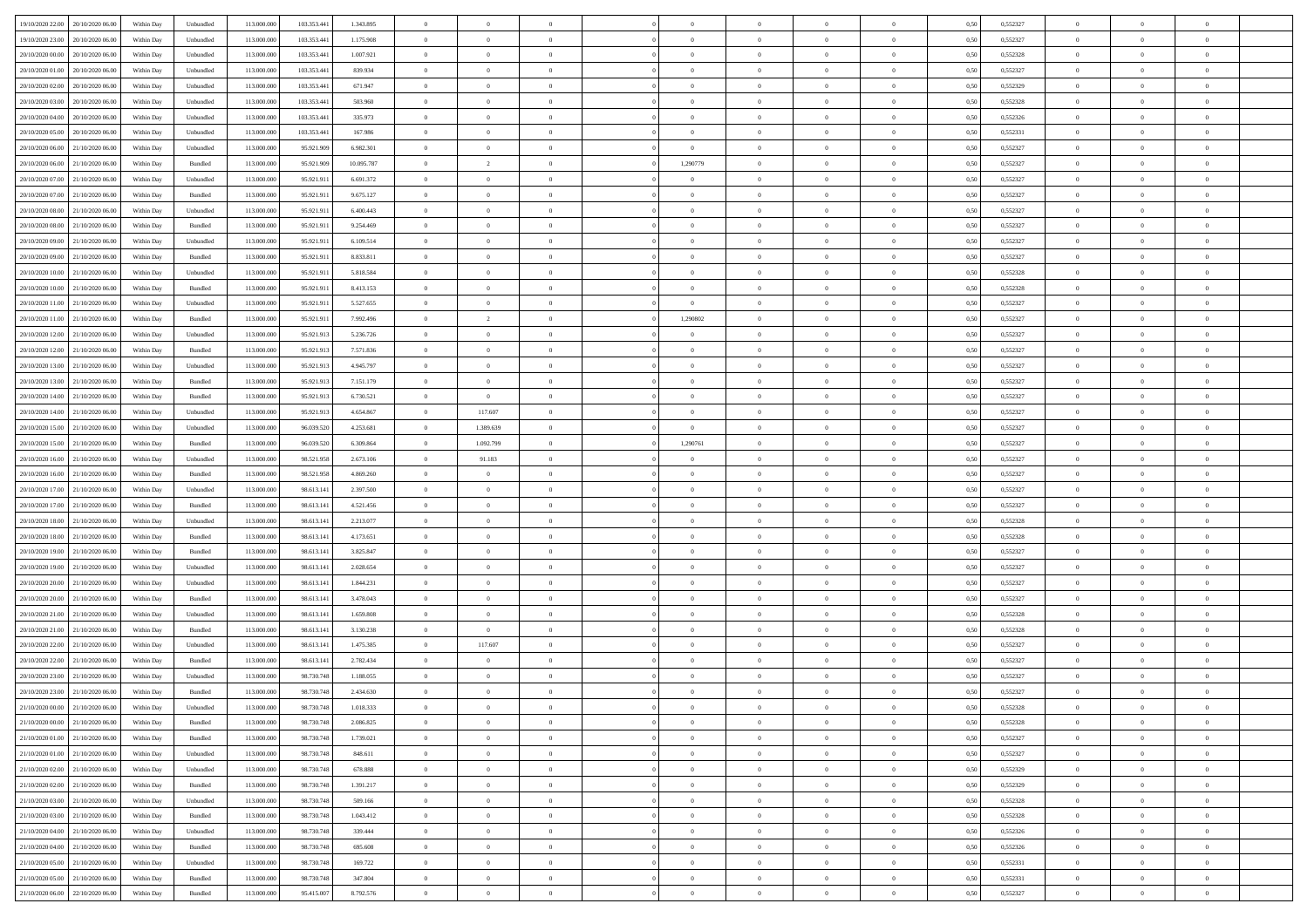| 19/10/2020 22:00 20/10/2020 06:00                    | Within Day | Unbundled                   | 113.000.000 | 103.353.441 | 1.343.895  | $\overline{0}$ | $\theta$       |                | $\overline{0}$ | $\theta$       |                | $\theta$       | 0,50 | 0,552327 | $\theta$       | $\theta$       | $\overline{0}$ |  |
|------------------------------------------------------|------------|-----------------------------|-------------|-------------|------------|----------------|----------------|----------------|----------------|----------------|----------------|----------------|------|----------|----------------|----------------|----------------|--|
| 19/10/2020 23.00<br>20/10/2020 06.00                 | Within Day | Unbundled                   | 113.000.00  | 103.353.44  | 1.175.908  | $\bf{0}$       | $\bf{0}$       | $\bf{0}$       | $\bf{0}$       | $\overline{0}$ | $\overline{0}$ | $\bf{0}$       | 0,50 | 0,552327 | $\,$ 0 $\,$    | $\bf{0}$       | $\overline{0}$ |  |
| 20/10/2020 00:00<br>20/10/2020 06:00                 | Within Day | Unbundled                   | 113,000,000 | 103,353,44  | 1.007.921  | $\overline{0}$ | $\bf{0}$       | $\overline{0}$ | $\bf{0}$       | $\bf{0}$       | $\overline{0}$ | $\bf{0}$       | 0.50 | 0,552328 | $\bf{0}$       | $\overline{0}$ | $\bf{0}$       |  |
| 20/10/2020 01:00<br>20/10/2020 06:00                 | Within Day | Unbundled                   | 113.000.000 | 103.353.441 | 839.934    | $\overline{0}$ | $\overline{0}$ | $\overline{0}$ | $\theta$       | $\theta$       | $\overline{0}$ | $\bf{0}$       | 0,50 | 0,552327 | $\theta$       | $\theta$       | $\overline{0}$ |  |
| 20/10/2020 02:00<br>20/10/2020 06.00                 | Within Day | Unbundled                   | 113.000.00  | 103.353.44  | 671.947    | $\bf{0}$       | $\overline{0}$ | $\bf{0}$       | $\overline{0}$ | $\theta$       | $\overline{0}$ | $\bf{0}$       | 0,50 | 0,552329 | $\,$ 0 $\,$    | $\bf{0}$       | $\overline{0}$ |  |
| 20/10/2020 03:00<br>20/10/2020 06:00                 | Within Day | Unbundled                   | 113,000,00  | 103,353,44  | 503.960    | $\overline{0}$ | $\overline{0}$ | $\overline{0}$ | $\bf{0}$       | $\overline{0}$ | $\theta$       | $\bf{0}$       | 0.50 | 0.552328 | $\,$ 0 $\,$    | $\theta$       | $\overline{0}$ |  |
| 20/10/2020 04:00<br>20/10/2020 06:00                 | Within Day | Unbundled                   | 113.000.000 | 103.353.441 | 335.973    | $\overline{0}$ | $\overline{0}$ | $\overline{0}$ | $\overline{0}$ | $\overline{0}$ | $\overline{0}$ | $\bf{0}$       | 0,50 | 0,552326 | $\,$ 0 $\,$    | $\theta$       | $\overline{0}$ |  |
|                                                      |            |                             |             |             |            |                | $\bf{0}$       |                |                | $\overline{0}$ | $\overline{0}$ |                |      |          | $\,$ 0 $\,$    | $\bf{0}$       | $\overline{0}$ |  |
| 20/10/2020 05:00<br>20/10/2020 06.00                 | Within Day | Unbundled                   | 113.000.00  | 103.353.44  | 167.986    | $\bf{0}$       |                | $\bf{0}$       | $\bf{0}$       |                |                | $\bf{0}$       | 0,50 | 0,552331 |                |                |                |  |
| 20/10/2020 06:00<br>21/10/2020 06:00                 | Within Day | Unbundled                   | 113,000,000 | 95.921.909  | 6.982.301  | $\overline{0}$ | $\bf{0}$       | $\overline{0}$ | $\bf{0}$       | $\overline{0}$ | $\overline{0}$ | $\bf{0}$       | 0.50 | 0.552327 | $\bf{0}$       | $\overline{0}$ | $\overline{0}$ |  |
| 20/10/2020 06:00<br>21/10/2020 06:00                 | Within Day | Bundled                     | 113.000.000 | 95.921.909  | 10.095.787 | $\bf{0}$       | $\overline{2}$ | $\overline{0}$ | 1,290779       | $\theta$       | $\overline{0}$ | $\bf{0}$       | 0,50 | 0,552327 | $\,$ 0 $\,$    | $\bf{0}$       | $\overline{0}$ |  |
| 20/10/2020 07:00<br>21/10/2020 06.00                 | Within Day | Unbundled                   | 113.000.00  | 95.921.91   | 6.691.372  | $\bf{0}$       | $\bf{0}$       | $\bf{0}$       | $\overline{0}$ | $\overline{0}$ | $\overline{0}$ | $\bf{0}$       | 0,50 | 0,552327 | $\,$ 0 $\,$    | $\bf{0}$       | $\overline{0}$ |  |
| 20/10/2020 07.00<br>21/10/2020 06:00                 | Within Day | Bundled                     | 113,000,000 | 95.921.911  | 9.675.127  | $\overline{0}$ | $\bf{0}$       | $\overline{0}$ | $\bf{0}$       | $\bf{0}$       | $\overline{0}$ | $\bf{0}$       | 0.50 | 0,552327 | $\bf{0}$       | $\,$ 0 $\,$    | $\,$ 0         |  |
| 20/10/2020 08:00<br>21/10/2020 06:00                 | Within Day | Unbundled                   | 113.000.000 | 95.921.911  | 6.400.443  | $\overline{0}$ | $\overline{0}$ | $\overline{0}$ | $\theta$       | $\theta$       | $\overline{0}$ | $\bf{0}$       | 0,50 | 0,552327 | $\,$ 0 $\,$    | $\theta$       | $\overline{0}$ |  |
| 20/10/2020 08:00<br>21/10/2020 06.00                 | Within Day | Bundled                     | 113.000.00  | 95.921.91   | 9.254.469  | $\bf{0}$       | $\overline{0}$ | $\bf{0}$       | $\bf{0}$       | $\bf{0}$       | $\overline{0}$ | $\bf{0}$       | 0,50 | 0,552327 | $\,$ 0 $\,$    | $\bf{0}$       | $\overline{0}$ |  |
| 20/10/2020 09:00<br>21/10/2020 06:00                 | Within Day | Unbundled                   | 113,000,000 | 95.921.911  | 6.109.514  | $\overline{0}$ | $\overline{0}$ | $\overline{0}$ | $\bf{0}$       | $\overline{0}$ | $\theta$       | $\bf{0}$       | 0.50 | 0.552327 | $\,$ 0 $\,$    | $\theta$       | $\overline{0}$ |  |
| 20/10/2020 09:00<br>21/10/2020 06.00                 | Within Day | Bundled                     | 113.000.000 | 95.921.911  | 8.833.811  | $\overline{0}$ | $\overline{0}$ | $\overline{0}$ | $\overline{0}$ | $\overline{0}$ | $\overline{0}$ | $\bf{0}$       | 0,50 | 0,552327 | $\theta$       | $\theta$       | $\overline{0}$ |  |
| 20/10/2020 10:00<br>21/10/2020 06.00                 | Within Day | Unbundled                   | 113.000.00  | 95.921.91   | 5.818.584  | $\bf{0}$       | $\bf{0}$       | $\bf{0}$       | $\overline{0}$ | $\bf{0}$       | $\overline{0}$ | $\bf{0}$       | 0,50 | 0,552328 | $\,$ 0 $\,$    | $\bf{0}$       | $\overline{0}$ |  |
| 20/10/2020 10:00<br>21/10/2020 06:00                 | Within Day | Bundled                     | 113,000,000 | 95.921.91   | 8.413.153  | $\overline{0}$ | $\bf{0}$       | $\overline{0}$ | $\bf{0}$       | $\overline{0}$ | $\overline{0}$ | $\bf{0}$       | 0.50 | 0.552328 | $\bf{0}$       | $\overline{0}$ | $\bf{0}$       |  |
| 20/10/2020 11:00<br>21/10/2020 06:00                 | Within Day | Unbundled                   | 113.000.000 | 95.921.911  | 5.527.655  | $\bf{0}$       | $\bf{0}$       | $\overline{0}$ | $\overline{0}$ | $\overline{0}$ | $\overline{0}$ | $\bf{0}$       | 0,50 | 0,552327 | $\,$ 0 $\,$    | $\bf{0}$       | $\overline{0}$ |  |
|                                                      |            |                             |             |             |            |                |                |                |                |                |                |                |      |          |                |                |                |  |
| 20/10/2020 11:00<br>21/10/2020 06.00                 | Within Day | Bundled                     | 113.000.00  | 95.921.91   | 7.992.496  | $\bf{0}$       | $\overline{2}$ | $\bf{0}$       | 1,290802       | $\overline{0}$ | $\overline{0}$ | $\bf{0}$       | 0,50 | 0,552327 | $\,$ 0 $\,$    | $\bf{0}$       | $\overline{0}$ |  |
| 20/10/2020 12:00<br>21/10/2020 06:00                 | Within Day | Unbundled                   | 113,000,000 | 95.921.913  | 5.236.726  | $\overline{0}$ | $\bf{0}$       | $\overline{0}$ | $\overline{0}$ | $\bf{0}$       | $\overline{0}$ | $\bf{0}$       | 0.50 | 0,552327 | $\bf{0}$       | $\overline{0}$ | $\,$ 0         |  |
| 20/10/2020 12:00<br>21/10/2020 06:00                 | Within Day | Bundled                     | 113.000.000 | 95.921.913  | 7.571.836  | $\overline{0}$ | $\overline{0}$ | $\overline{0}$ | $\overline{0}$ | $\theta$       | $\overline{0}$ | $\bf{0}$       | 0,50 | 0,552327 | $\theta$       | $\theta$       | $\overline{0}$ |  |
| 20/10/2020 13:00<br>21/10/2020 06.00                 | Within Day | Unbundled                   | 113.000.00  | 95.921.913  | 4.945.797  | $\bf{0}$       | $\bf{0}$       | $\bf{0}$       | $\bf{0}$       | $\overline{0}$ | $\overline{0}$ | $\bf{0}$       | 0,50 | 0,552327 | $\,$ 0 $\,$    | $\bf{0}$       | $\overline{0}$ |  |
| 20/10/2020 13:00<br>21/10/2020 06:00                 | Within Day | Bundled                     | 113,000,000 | 95.921.91   | 7.151.179  | $\overline{0}$ | $\bf{0}$       | $\overline{0}$ | $\bf{0}$       | $\overline{0}$ | $\theta$       | $\bf{0}$       | 0.50 | 0.552327 | $\bf{0}$       | $\theta$       | $\overline{0}$ |  |
| 20/10/2020 14:00<br>21/10/2020 06.00                 | Within Day | Bundled                     | 113.000.000 | 95.921.913  | 6.730.521  | $\overline{0}$ | $\overline{0}$ | $\overline{0}$ | $\overline{0}$ | $\overline{0}$ | $\overline{0}$ | $\bf{0}$       | 0,50 | 0,552327 | $\,$ 0 $\,$    | $\theta$       | $\overline{0}$ |  |
| 20/10/2020 14:00<br>21/10/2020 06.00                 | Within Day | Unbundled                   | 113.000.00  | 95.921.913  | 4.654.867  | $\bf{0}$       | 117.607        | $\bf{0}$       | $\overline{0}$ | $\bf{0}$       | $\overline{0}$ | $\bf{0}$       | 0,50 | 0,552327 | $\,$ 0 $\,$    | $\bf{0}$       | $\overline{0}$ |  |
| 20/10/2020 15:00<br>21/10/2020 06:00                 | Within Day | Unbundled                   | 113,000,000 | 96.039.520  | 4.253.681  | $\overline{0}$ | 1.389.639      | $\overline{0}$ | $\bf{0}$       | $\overline{0}$ | $\overline{0}$ | $\bf{0}$       | 0.50 | 0.552327 | $\bf{0}$       | $\overline{0}$ | $\overline{0}$ |  |
| 20/10/2020 15:00<br>21/10/2020 06:00                 | Within Day | Bundled                     | 113.000.000 | 96.039.520  | 6.309.864  | $\overline{0}$ | 1.092.799      | $\overline{0}$ | 1,290761       | $\overline{0}$ | $\overline{0}$ | $\bf{0}$       | 0,50 | 0,552327 | $\,$ 0 $\,$    | $\theta$       | $\overline{0}$ |  |
| 20/10/2020 16:00<br>21/10/2020 06.00                 | Within Day | Unbundled                   | 113.000.00  | 98.521.958  | 2.673.106  | $\bf{0}$       | 91.183         | $\bf{0}$       | $\bf{0}$       | $\overline{0}$ | $\overline{0}$ | $\bf{0}$       | 0,50 | 0,552327 | $\,$ 0 $\,$    | $\bf{0}$       | $\overline{0}$ |  |
| 20/10/2020 16:00<br>21/10/2020 06:00                 | Within Day | Bundled                     | 113,000,000 | 98.521.958  | 4.869.260  | $\overline{0}$ | $\bf{0}$       | $\overline{0}$ | $\bf{0}$       | $\bf{0}$       | $\overline{0}$ | $\bf{0}$       | 0.50 | 0.552327 | $\bf{0}$       | $\,$ 0 $\,$    | $\,$ 0         |  |
| 20/10/2020 17:00<br>21/10/2020 06.00                 | Within Day | Unbundled                   | 113.000.000 | 98.613.14   | 2.397.500  | $\overline{0}$ | $\overline{0}$ | $\overline{0}$ | $\overline{0}$ | $\overline{0}$ | $\overline{0}$ | $\bf{0}$       | 0.5( | 0,552327 | $\theta$       | $\theta$       | $\overline{0}$ |  |
| 20/10/2020 17:00<br>21/10/2020 06.00                 | Within Day | Bundled                     | 113.000.00  | 98.613.14   | 4.521.456  | $\bf{0}$       | $\bf{0}$       | $\bf{0}$       | $\bf{0}$       | $\overline{0}$ | $\overline{0}$ | $\bf{0}$       | 0,50 | 0,552327 | $\,$ 0 $\,$    | $\bf{0}$       | $\overline{0}$ |  |
|                                                      |            |                             |             |             |            |                |                |                |                |                |                |                |      |          |                |                |                |  |
| 20/10/2020 18:00<br>21/10/2020 06.00                 | Within Day | Unbundled                   | 113,000,000 | 98.613.141  | 2.213.077  | $\overline{0}$ | $\bf{0}$       | $\overline{0}$ | $\bf{0}$       | $\overline{0}$ | $\overline{0}$ | $\bf{0}$       | 0.50 | 0.552328 | $\,$ 0 $\,$    | $\bf{0}$       | $\overline{0}$ |  |
| 20/10/2020 18:00<br>21/10/2020 06:00                 | Within Day | Bundled                     | 113.000.000 | 98.613.141  | 4.173.651  | $\overline{0}$ | $\overline{0}$ | $\overline{0}$ | $\overline{0}$ | $\overline{0}$ | $\overline{0}$ | $\bf{0}$       | 0.50 | 0,552328 | $\theta$       | $\theta$       | $\overline{0}$ |  |
| 20/10/2020 19:00<br>21/10/2020 06.00                 | Within Day | Bundled                     | 113.000.00  | 98.613.14   | 3.825.847  | $\bf{0}$       | $\bf{0}$       | $\bf{0}$       | $\bf{0}$       | $\overline{0}$ | $\overline{0}$ | $\bf{0}$       | 0,50 | 0,552327 | $\,$ 0 $\,$    | $\bf{0}$       | $\overline{0}$ |  |
| 20/10/2020 19:00<br>21/10/2020 06:00                 | Within Day | Unbundled                   | 113,000,00  | 98.613.14   | 2.028.654  | $\overline{0}$ | $\bf{0}$       | $\overline{0}$ | $\bf{0}$       | $\overline{0}$ | $\overline{0}$ | $\bf{0}$       | 0.50 | 0.552327 | $\bf{0}$       | $\overline{0}$ | $\overline{0}$ |  |
| 20/10/2020 20:00<br>21/10/2020 06:00                 | Within Day | Unbundled                   | 113.000.000 | 98.613.14   | 1.844.231  | $\overline{0}$ | $\overline{0}$ | $\overline{0}$ | $\overline{0}$ | $\overline{0}$ | $\overline{0}$ | $\bf{0}$       | 0.50 | 0,552327 | $\theta$       | $\theta$       | $\overline{0}$ |  |
| 20/10/2020 20:00<br>21/10/2020 06.00                 | Within Day | Bundled                     | 113.000.00  | 98.613.14   | 3.478.043  | $\bf{0}$       | $\bf{0}$       | $\bf{0}$       | $\bf{0}$       | $\overline{0}$ | $\overline{0}$ | $\bf{0}$       | 0,50 | 0,552327 | $\,$ 0 $\,$    | $\bf{0}$       | $\overline{0}$ |  |
| 20/10/2020 21:00<br>21/10/2020 06:00                 | Within Day | Unbundled                   | 113,000,000 | 98.613.141  | 1.659.808  | $\overline{0}$ | $\bf{0}$       | $\overline{0}$ | $\overline{0}$ | $\bf{0}$       | $\overline{0}$ | $\bf{0}$       | 0.50 | 0,552328 | $\,$ 0 $\,$    | $\,$ 0 $\,$    | $\,$ 0         |  |
| 20/10/2020 21:00<br>21/10/2020 06.00                 | Within Day | Bundled                     | 113.000.000 | 98.613.141  | 3.130.238  | $\overline{0}$ | $\overline{0}$ | $\overline{0}$ | $\overline{0}$ | $\overline{0}$ | $\overline{0}$ | $\bf{0}$       | 0.5( | 0,552328 | $\theta$       | $\theta$       | $\overline{0}$ |  |
| 20/10/2020 22:00<br>21/10/2020 06.00                 | Within Day | Unbundled                   | 113.000.00  | 98.613.14   | 1.475.385  | $\bf{0}$       | 117.607        | $\bf{0}$       | $\bf{0}$       | $\overline{0}$ | $\overline{0}$ | $\bf{0}$       | 0,50 | 0,552327 | $\,$ 0 $\,$    | $\bf{0}$       | $\overline{0}$ |  |
| 20/10/2020 22.00<br>21/10/2020 06.00                 | Within Day | Bundled                     | 113,000,000 | 98.613.14   | 2.782.434  | $\overline{0}$ | $\overline{0}$ | $\overline{0}$ | $\bf{0}$       | $\overline{0}$ | $\Omega$       | $\bf{0}$       | 0.50 | 0.552327 | $\bf{0}$       | $\theta$       | $\overline{0}$ |  |
| 20/10/2020 23:00<br>21/10/2020 06:00                 | Within Day | Unbundled                   | 113.000.000 | 98.730.748  | 1.188.055  | $\overline{0}$ | $\overline{0}$ | $\Omega$       | $\theta$       | $\theta$       | $\overline{0}$ | $\overline{0}$ | 0.5( | 0,552327 | $\theta$       | $\theta$       | $\overline{0}$ |  |
| 20/10/2020 23:00<br>21/10/2020 06.00                 | Within Day | Bundled                     | 113.000.000 | 98.730.748  | 2.434.630  | $\bf{0}$       | $\bf{0}$       | $\bf{0}$       | $\bf{0}$       | $\bf{0}$       | $\overline{0}$ | $\bf{0}$       | 0,50 | 0,552327 | $\,$ 0 $\,$    | $\bf{0}$       | $\overline{0}$ |  |
| $21/10/2020\ 00.00 \hspace{0.2cm} 21/10/2020\ 06.00$ | Within Day | $\ensuremath{\mathsf{Unb}}$ | 113.000.000 | 98.730.748  | 1.018.333  | $\bf{0}$       | $\theta$       |                | $\Omega$       |                |                |                | 0,50 | 0,552328 | $\bf{0}$       | $\bf{0}$       |                |  |
| 21/10/2020 00:00 21/10/2020 06:00                    | Within Day | Bundled                     | 113.000.000 | 98.730.748  | 2.086.825  | $\overline{0}$ | $\overline{0}$ | $\Omega$       | $\theta$       | $\overline{0}$ | $\overline{0}$ | $\bf{0}$       | 0,50 | 0,552328 | $\theta$       | $\theta$       | $\overline{0}$ |  |
|                                                      |            |                             |             |             |            |                |                |                |                |                |                |                |      |          |                |                |                |  |
| 21/10/2020 01:00<br>21/10/2020 06.00                 | Within Day | Bundled                     | 113.000.00  | 98.730.748  | 1.739.021  | $\overline{0}$ | $\bf{0}$       | $\overline{0}$ | $\overline{0}$ | $\bf{0}$       | $\overline{0}$ | $\bf{0}$       | 0,50 | 0,552327 | $\bf{0}$       | $\overline{0}$ | $\bf{0}$       |  |
| 21/10/2020 01:00 21/10/2020 06:00                    | Within Day | Unbundled                   | 113,000,000 | 98,730,748  | 848.611    | $\overline{0}$ | $\bf{0}$       | $\overline{0}$ | $\overline{0}$ | $\mathbf{0}$   | $\overline{0}$ | $\,$ 0 $\,$    | 0.50 | 0,552327 | $\overline{0}$ | $\bf{0}$       | $\,$ 0 $\,$    |  |
| 21/10/2020 02:00 21/10/2020 06:00                    | Within Day | Unbundled                   | 113.000.000 | 98.730.748  | 678.888    | $\overline{0}$ | $\overline{0}$ | $\overline{0}$ | $\overline{0}$ | $\overline{0}$ | $\overline{0}$ | $\bf{0}$       | 0,50 | 0,552329 | $\overline{0}$ | $\theta$       | $\overline{0}$ |  |
| 21/10/2020 02.00<br>21/10/2020 06.00                 | Within Day | Bundled                     | 113.000.000 | 98.730.748  | 1.391.217  | $\overline{0}$ | $\bf{0}$       | $\overline{0}$ | $\overline{0}$ | $\bf{0}$       | $\overline{0}$ | $\bf{0}$       | 0,50 | 0,552329 | $\bf{0}$       | $\overline{0}$ | $\overline{0}$ |  |
| 21/10/2020 06:00<br>21/10/2020 03.00                 | Within Day | Unbundled                   | 113,000,000 | 98,730,748  | 509.166    | $\overline{0}$ | $\bf{0}$       | $\overline{0}$ | $\overline{0}$ | $\overline{0}$ | $\overline{0}$ | $\bf{0}$       | 0.50 | 0.552328 | $\,$ 0 $\,$    | $\overline{0}$ | $\,$ 0         |  |
| 21/10/2020 03:00 21/10/2020 06:00                    | Within Dav | Bundled                     | 113.000.000 | 98.730.748  | 1.043.412  | $\overline{0}$ | $\overline{0}$ | $\overline{0}$ | $\overline{0}$ | $\overline{0}$ | $\overline{0}$ | $\bf{0}$       | 0,50 | 0,552328 | $\overline{0}$ | $\theta$       | $\overline{0}$ |  |
| 21/10/2020 04:00<br>21/10/2020 06.00                 | Within Day | Unbundled                   | 113.000.00  | 98.730.748  | 339.444    | $\overline{0}$ | $\overline{0}$ | $\overline{0}$ | $\overline{0}$ | $\overline{0}$ | $\overline{0}$ | $\bf{0}$       | 0,50 | 0,552326 | $\bf{0}$       | $\overline{0}$ | $\overline{0}$ |  |
| 21/10/2020 04:00 21/10/2020 06:00                    | Within Day | Bundled                     | 113,000,000 | 98,730,748  | 695.608    | $\overline{0}$ | $\overline{0}$ | $\overline{0}$ | $\overline{0}$ | $\overline{0}$ | $\overline{0}$ | $\bf{0}$       | 0.50 | 0.552326 | $\mathbf{0}$   | $\bf{0}$       | $\,$ 0         |  |
| 21/10/2020 05:00 21/10/2020 06:00                    | Within Dav | Unbundled                   | 113.000.000 | 98.730.748  | 169.722    | $\overline{0}$ | $\overline{0}$ | $\overline{0}$ | $\overline{0}$ | $\overline{0}$ | $\overline{0}$ | $\bf{0}$       | 0,50 | 0,552331 | $\overline{0}$ | $\theta$       | $\overline{0}$ |  |
| 21/10/2020 05:00<br>21/10/2020 06.00                 | Within Day | Bundled                     | 113.000.00  | 98.730.748  | 347.804    | $\overline{0}$ | $\bf{0}$       | $\overline{0}$ | $\bf{0}$       | $\overline{0}$ | $\bf{0}$       | $\bf{0}$       | 0,50 | 0,552331 | $\bf{0}$       | $\,$ 0 $\,$    | $\overline{0}$ |  |
|                                                      |            | Bundled                     | 113.000.000 |             | 8.792.576  | $\overline{0}$ | $\bf{0}$       | $\overline{0}$ |                | $\,$ 0 $\,$    | $\overline{0}$ | $\bf{0}$       | 0,50 | 0,552327 | $\overline{0}$ | $\,$ 0 $\,$    | $\,$ 0 $\,$    |  |
| 21/10/2020 06:00 22/10/2020 06:00                    | Within Day |                             |             | 95.415.007  |            |                |                |                | $\overline{0}$ |                |                |                |      |          |                |                |                |  |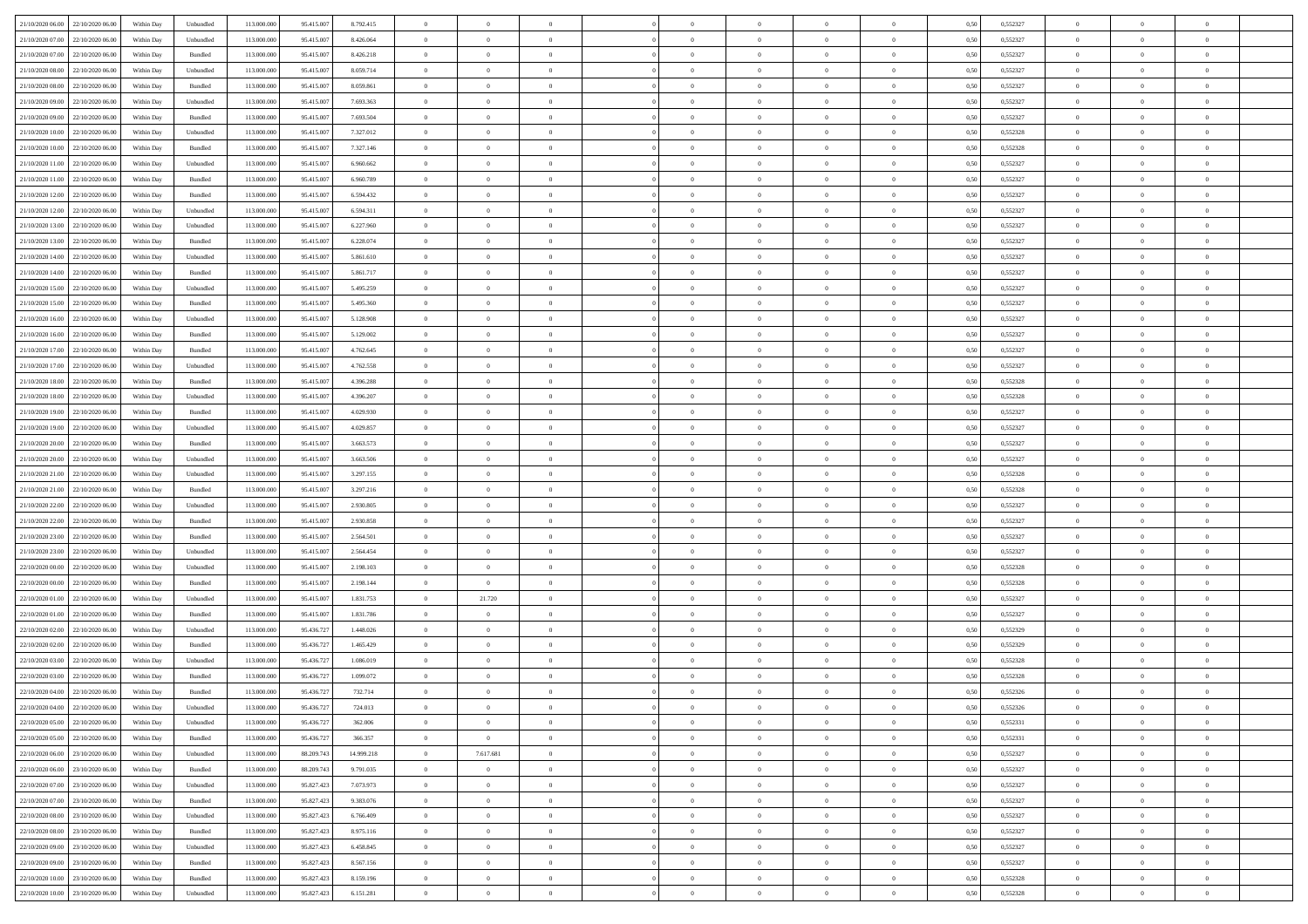| 21/10/2020 06:00 22/10/2020 06:00    | Within Day | Unbundled | 113.000.000 | 95.415.007 | 8.792.415  | $\bf{0}$       | $\theta$       |                | $\overline{0}$ | $\theta$       | $\Omega$       | $\bf{0}$       | 0,50 | 0,552327 | $\,$ 0 $\,$    | $\overline{0}$ | $\theta$       |  |
|--------------------------------------|------------|-----------|-------------|------------|------------|----------------|----------------|----------------|----------------|----------------|----------------|----------------|------|----------|----------------|----------------|----------------|--|
| 21/10/2020 07:00<br>22/10/2020 06:00 | Within Day | Unbundled | 113.000.000 | 95.415.00  | 8.426.064  | $\overline{0}$ | $\bf{0}$       | $\overline{0}$ | $\overline{0}$ | $\overline{0}$ | $\overline{0}$ | $\bf{0}$       | 0,50 | 0,552327 | $\overline{0}$ | $\overline{0}$ | $\overline{0}$ |  |
|                                      |            |           |             |            |            |                |                |                |                |                |                |                |      |          |                |                |                |  |
| 21/10/2020 07:00<br>22/10/2020 06:00 | Within Dav | Bundled   | 113.000.000 | 95.415.007 | 8.426.218  | $\overline{0}$ | $\overline{0}$ | $\overline{0}$ | $\overline{0}$ | $\overline{0}$ | $\overline{0}$ | $\bf{0}$       | 0.50 | 0,552327 | $\theta$       | $\overline{0}$ | $\overline{0}$ |  |
| 21/10/2020 08:00<br>22/10/2020 06.00 | Within Day | Unbundled | 113.000.000 | 95.415.007 | 8.059.714  | $\overline{0}$ | $\bf{0}$       | $\overline{0}$ | $\overline{0}$ | $\bf{0}$       | $\overline{0}$ | $\bf{0}$       | 0,50 | 0,552327 | $\bf{0}$       | $\overline{0}$ | $\overline{0}$ |  |
| 21/10/2020 08:00<br>22/10/2020 06.00 | Within Day | Bundled   | 113.000.000 | 95.415.007 | 8.059.861  | $\bf{0}$       | $\bf{0}$       | $\overline{0}$ | $\overline{0}$ | $\overline{0}$ | $\overline{0}$ | $\bf{0}$       | 0,50 | 0,552327 | $\,$ 0 $\,$    | $\bf{0}$       | $\overline{0}$ |  |
| 21/10/2020 09:00<br>22/10/2020 06.00 | Within Dav | Unbundled | 113.000.000 | 95.415.007 | 7.693.363  | $\overline{0}$ | $\overline{0}$ | $\overline{0}$ | $\overline{0}$ | $\overline{0}$ | $\overline{0}$ | $\overline{0}$ | 0.50 | 0,552327 | $\theta$       | $\overline{0}$ | $\overline{0}$ |  |
| 21/10/2020 09:00<br>22/10/2020 06.00 | Within Day | Bundled   | 113.000.000 | 95.415.007 | 7.693.504  | $\overline{0}$ | $\bf{0}$       | $\overline{0}$ | $\overline{0}$ | $\overline{0}$ | $\overline{0}$ | $\bf{0}$       | 0,50 | 0,552327 | $\bf{0}$       | $\bf{0}$       | $\overline{0}$ |  |
| 21/10/2020 10:00<br>22/10/2020 06.00 | Within Day | Unbundled | 113.000.000 | 95.415.00  | 7.327.012  | $\overline{0}$ | $\overline{0}$ | $\overline{0}$ | $\overline{0}$ | $\overline{0}$ | $\overline{0}$ | $\bf{0}$       | 0,50 | 0,552328 | $\,$ 0 $\,$    | $\theta$       | $\overline{0}$ |  |
| 21/10/2020 10:00<br>22/10/2020 06.00 | Within Dav | Bundled   | 113.000.000 | 95.415.007 | 7.327.146  | $\overline{0}$ | $\overline{0}$ | $\overline{0}$ | $\overline{0}$ | $\overline{0}$ | $\overline{0}$ | $\overline{0}$ | 0.50 | 0,552328 | $\theta$       | $\overline{0}$ | $\overline{0}$ |  |
| 21/10/2020 11:00<br>22/10/2020 06.00 | Within Day | Unbundled | 113.000.000 | 95.415.007 | 6.960.662  | $\overline{0}$ | $\bf{0}$       | $\overline{0}$ | $\overline{0}$ | $\overline{0}$ | $\overline{0}$ | $\bf{0}$       | 0,50 | 0,552327 | $\,$ 0 $\,$    | $\bf{0}$       | $\overline{0}$ |  |
|                                      |            |           |             |            |            |                |                |                |                |                |                |                |      |          |                |                |                |  |
| 21/10/2020 11:00<br>22/10/2020 06.00 | Within Day | Bundled   | 113.000.000 | 95.415.00  | 6.960.789  | $\overline{0}$ | $\bf{0}$       | $\overline{0}$ | $\overline{0}$ | $\overline{0}$ | $\overline{0}$ | $\bf{0}$       | 0,50 | 0,552327 | $\bf{0}$       | $\overline{0}$ | $\overline{0}$ |  |
| 21/10/2020 12:00<br>22/10/2020 06.00 | Within Dav | Bundled   | 113.000.000 | 95.415.007 | 6.594.432  | $\overline{0}$ | $\overline{0}$ | $\overline{0}$ | $\overline{0}$ | $\overline{0}$ | $\overline{0}$ | $\bf{0}$       | 0.50 | 0,552327 | $\theta$       | $\overline{0}$ | $\overline{0}$ |  |
| 21/10/2020 12:00<br>22/10/2020 06.00 | Within Day | Unbundled | 113.000.000 | 95.415.007 | 6.594.311  | $\overline{0}$ | $\bf{0}$       | $\overline{0}$ | $\overline{0}$ | $\bf{0}$       | $\overline{0}$ | $\bf{0}$       | 0,50 | 0,552327 | $\bf{0}$       | $\overline{0}$ | $\overline{0}$ |  |
| 21/10/2020 13:00<br>22/10/2020 06.00 | Within Day | Unbundled | 113.000.000 | 95.415.007 | 6.227.960  | $\bf{0}$       | $\bf{0}$       | $\overline{0}$ | $\overline{0}$ | $\overline{0}$ | $\overline{0}$ | $\bf{0}$       | 0,50 | 0,552327 | $\,$ 0 $\,$    | $\bf{0}$       | $\overline{0}$ |  |
| 21/10/2020 13:00<br>22/10/2020 06.00 | Within Dav | Bundled   | 113.000.000 | 95.415.007 | 6.228.074  | $\overline{0}$ | $\overline{0}$ | $\overline{0}$ | $\overline{0}$ | $\overline{0}$ | $\overline{0}$ | $\overline{0}$ | 0.50 | 0,552327 | $\theta$       | $\overline{0}$ | $\overline{0}$ |  |
| 21/10/2020 14:00<br>22/10/2020 06.00 | Within Day | Unbundled | 113.000.000 | 95.415.007 | 5.861.610  | $\overline{0}$ | $\bf{0}$       | $\overline{0}$ | $\overline{0}$ | $\overline{0}$ | $\overline{0}$ | $\bf{0}$       | 0,50 | 0,552327 | $\bf{0}$       | $\bf{0}$       | $\overline{0}$ |  |
| 21/10/2020 14:00<br>22/10/2020 06.00 | Within Day | Bundled   | 113.000.000 | 95.415.00  | 5.861.717  | $\overline{0}$ | $\bf{0}$       | $\overline{0}$ | $\overline{0}$ | $\overline{0}$ | $\overline{0}$ | $\bf{0}$       | 0,50 | 0,552327 | $\bf{0}$       | $\overline{0}$ | $\overline{0}$ |  |
| 21/10/2020 15:00<br>22/10/2020 06.00 | Within Dav | Unbundled | 113.000.000 | 95.415.007 | 5.495.259  | $\overline{0}$ | $\overline{0}$ | $\overline{0}$ | $\overline{0}$ | $\overline{0}$ | $\overline{0}$ | $\overline{0}$ | 0.50 | 0,552327 | $\theta$       | $\overline{0}$ | $\overline{0}$ |  |
| 21/10/2020 15:00<br>22/10/2020 06.00 | Within Day | Bundled   | 113.000.000 | 95.415.007 | 5.495.360  | $\overline{0}$ | $\bf{0}$       | $\overline{0}$ | $\overline{0}$ | $\overline{0}$ | $\overline{0}$ | $\bf{0}$       | 0,50 | 0,552327 | $\,$ 0 $\,$    | $\bf{0}$       | $\overline{0}$ |  |
| 21/10/2020 16:00<br>22/10/2020 06.00 | Within Day | Unbundled | 113.000.000 | 95.415.007 | 5.128.908  | $\overline{0}$ | $\bf{0}$       | $\overline{0}$ | $\overline{0}$ | $\overline{0}$ | $\overline{0}$ | $\bf{0}$       | 0,50 | 0,552327 | $\bf{0}$       | $\overline{0}$ | $\overline{0}$ |  |
|                                      |            |           |             |            |            |                |                |                |                |                |                |                |      |          |                |                |                |  |
| 21/10/2020 16:00<br>22/10/2020 06.00 | Within Dav | Bundled   | 113.000.000 | 95.415.007 | 5.129.002  | $\overline{0}$ | $\overline{0}$ | $\overline{0}$ | $\overline{0}$ | $\overline{0}$ | $\overline{0}$ | $\bf{0}$       | 0.50 | 0,552327 | $\theta$       | $\overline{0}$ | $\overline{0}$ |  |
| 21/10/2020 17:00<br>22/10/2020 06.00 | Within Day | Bundled   | 113.000.000 | 95.415.007 | 4.762.645  | $\overline{0}$ | $\bf{0}$       | $\overline{0}$ | $\overline{0}$ | $\overline{0}$ | $\overline{0}$ | $\bf{0}$       | 0,50 | 0,552327 | $\bf{0}$       | $\overline{0}$ | $\overline{0}$ |  |
| 21/10/2020 17:00<br>22/10/2020 06.00 | Within Day | Unbundled | 113.000.000 | 95.415.007 | 4.762.558  | $\overline{0}$ | $\bf{0}$       | $\overline{0}$ | $\overline{0}$ | $\overline{0}$ | $\overline{0}$ | $\bf{0}$       | 0,50 | 0,552327 | $\bf{0}$       | $\overline{0}$ | $\overline{0}$ |  |
| 21/10/2020 18:00<br>22/10/2020 06.00 | Within Dav | Bundled   | 113.000.000 | 95.415.007 | 4.396.288  | $\overline{0}$ | $\overline{0}$ | $\overline{0}$ | $\overline{0}$ | $\overline{0}$ | $\overline{0}$ | $\overline{0}$ | 0.50 | 0,552328 | $\theta$       | $\overline{0}$ | $\overline{0}$ |  |
| 21/10/2020 18:00<br>22/10/2020 06.00 | Within Day | Unbundled | 113.000.000 | 95.415.007 | 4.396.207  | $\overline{0}$ | $\bf{0}$       | $\overline{0}$ | $\overline{0}$ | $\overline{0}$ | $\overline{0}$ | $\bf{0}$       | 0,50 | 0,552328 | $\,$ 0 $\,$    | $\bf{0}$       | $\overline{0}$ |  |
| 21/10/2020 19:00<br>22/10/2020 06.00 | Within Day | Bundled   | 113.000.000 | 95.415.00  | 4.029.930  | $\overline{0}$ | $\bf{0}$       | $\overline{0}$ | $\overline{0}$ | $\bf{0}$       | $\overline{0}$ | $\bf{0}$       | 0,50 | 0,552327 | $\bf{0}$       | $\overline{0}$ | $\overline{0}$ |  |
| 21/10/2020 19:00<br>22/10/2020 06.00 | Within Dav | Unbundled | 113.000.000 | 95.415.007 | 4.029.857  | $\overline{0}$ | $\overline{0}$ | $\overline{0}$ | $\overline{0}$ | $\overline{0}$ | $\overline{0}$ | $\overline{0}$ | 0.50 | 0,552327 | $\theta$       | $\overline{0}$ | $\overline{0}$ |  |
| 21/10/2020 20:00<br>22/10/2020 06.00 | Within Day | Bundled   | 113.000.000 | 95.415.007 | 3.663.573  | $\overline{0}$ | $\bf{0}$       | $\overline{0}$ | $\overline{0}$ | $\overline{0}$ | $\overline{0}$ | $\bf{0}$       | 0,50 | 0,552327 | $\overline{0}$ | $\bf{0}$       | $\overline{0}$ |  |
| 21/10/2020 20:00<br>22/10/2020 06.00 | Within Day | Unbundled | 113.000.000 | 95.415.00  | 3.663.506  | $\overline{0}$ | $\bf{0}$       | $\overline{0}$ | $\overline{0}$ | $\overline{0}$ | $\overline{0}$ | $\bf{0}$       | 0,50 | 0,552327 | $\bf{0}$       | $\overline{0}$ | $\overline{0}$ |  |
| 21/10/2020 21.00<br>22/10/2020 06.00 | Within Dav | Unbundled | 113.000.000 | 95.415.007 | 3.297.155  | $\overline{0}$ | $\overline{0}$ | $\overline{0}$ | $\overline{0}$ | $\overline{0}$ | $\overline{0}$ | $\bf{0}$       | 0.50 | 0,552328 | $\theta$       | $\overline{0}$ | $\overline{0}$ |  |
|                                      |            |           |             |            |            |                | $\overline{0}$ | $\overline{0}$ | $\overline{0}$ | $\overline{0}$ | $\overline{0}$ |                |      |          | $\,$ 0 $\,$    | $\theta$       | $\overline{0}$ |  |
| 21/10/2020 21:00<br>22/10/2020 06.00 | Within Day | Bundled   | 113.000.000 | 95.415.007 | 3.297.216  | $\overline{0}$ |                |                |                |                |                | $\bf{0}$       | 0,50 | 0,552328 |                |                |                |  |
| 21/10/2020 22.00<br>22/10/2020 06.00 | Within Day | Unbundled | 113.000.000 | 95.415.007 | 2.930.805  | $\overline{0}$ | $\bf{0}$       | $\overline{0}$ | $\bf{0}$       | $\overline{0}$ | $\overline{0}$ | $\bf{0}$       | 0,50 | 0,552327 | $\bf{0}$       | $\overline{0}$ | $\overline{0}$ |  |
| 21/10/2020 22.00<br>22/10/2020 06.00 | Within Dav | Bundled   | 113.000.000 | 95.415.007 | 2.930.858  | $\overline{0}$ | $\overline{0}$ | $\overline{0}$ | $\overline{0}$ | $\overline{0}$ | $\overline{0}$ | $\overline{0}$ | 0.50 | 0,552327 | $\theta$       | $\overline{0}$ | $\overline{0}$ |  |
| 21/10/2020 23.00<br>22/10/2020 06.00 | Within Day | Bundled   | 113.000.000 | 95.415.007 | 2.564.501  | $\overline{0}$ | $\overline{0}$ | $\overline{0}$ | $\overline{0}$ | $\theta$       | $\overline{0}$ | $\overline{0}$ | 0,50 | 0,552327 | $\theta$       | $\theta$       | $\overline{0}$ |  |
| 21/10/2020 23:00<br>22/10/2020 06.00 | Within Day | Unbundled | 113.000.000 | 95.415.00  | 2.564.454  | $\overline{0}$ | $\bf{0}$       | $\overline{0}$ | $\overline{0}$ | $\bf{0}$       | $\overline{0}$ | $\bf{0}$       | 0,50 | 0,552327 | $\bf{0}$       | $\overline{0}$ | $\overline{0}$ |  |
| 22/10/2020 00:00<br>22/10/2020 06.00 | Within Dav | Unbundled | 113.000.000 | 95.415.007 | 2.198.103  | $\overline{0}$ | $\overline{0}$ | $\overline{0}$ | $\overline{0}$ | $\overline{0}$ | $\overline{0}$ | $\overline{0}$ | 0.50 | 0,552328 | $\theta$       | $\overline{0}$ | $\overline{0}$ |  |
| 22/10/2020 00:00<br>22/10/2020 06.00 | Within Day | Bundled   | 113.000.000 | 95.415.00  | 2.198.144  | $\overline{0}$ | $\overline{0}$ | $\overline{0}$ | $\overline{0}$ | $\overline{0}$ | $\overline{0}$ | $\overline{0}$ | 0,50 | 0,552328 | $\theta$       | $\theta$       | $\overline{0}$ |  |
| 22/10/2020 01:00<br>22/10/2020 06.00 | Within Day | Unbundled | 113.000.000 | 95.415.00  | 1.831.753  | $\overline{0}$ | 21.720         | $\overline{0}$ | $\overline{0}$ | $\bf{0}$       | $\overline{0}$ | $\bf{0}$       | 0,50 | 0,552327 | $\bf{0}$       | $\overline{0}$ | $\overline{0}$ |  |
| 22/10/2020 01:00<br>22/10/2020 06.00 | Within Dav | Bundled   | 113.000.000 | 95.415.007 | 1.831.786  | $\overline{0}$ | $\overline{0}$ | $\overline{0}$ | $\overline{0}$ | $\overline{0}$ | $\overline{0}$ | $\bf{0}$       | 0.50 | 0,552327 | $\theta$       | $\overline{0}$ | $\overline{0}$ |  |
| 22/10/2020 02:00<br>22/10/2020 06.00 | Within Day | Unbundled | 113.000.000 | 95.436.727 | 1.448.026  | $\overline{0}$ | $\overline{0}$ | $\overline{0}$ | $\overline{0}$ | $\theta$       | $\overline{0}$ | $\bf{0}$       | 0,50 | 0,552329 | $\,$ 0 $\,$    | $\theta$       | $\overline{0}$ |  |
| 22/10/2020 02:00<br>22/10/2020 06.00 | Within Day | Bundled   | 113.000.000 | 95.436.727 | 1.465.429  | $\overline{0}$ | $\bf{0}$       | $\overline{0}$ | $\bf{0}$       | $\bf{0}$       | $\overline{0}$ | $\bf{0}$       | 0,50 | 0,552329 | $\bf{0}$       | $\overline{0}$ | $\overline{0}$ |  |
| 22/10/2020 03:00<br>22/10/2020 06.00 | Within Dav | Unbundled | 113.000.000 | 95.436.727 | 1.086.019  | $\overline{0}$ | $\overline{0}$ | $\overline{0}$ | $\overline{0}$ | $\overline{0}$ | $\overline{0}$ | $\overline{0}$ | 0.50 | 0,552328 | $\theta$       | $\theta$       | $\overline{0}$ |  |
|                                      |            |           |             |            |            |                |                |                |                |                |                |                |      |          |                |                |                |  |
| 22/10/2020 03:00<br>22/10/2020 06.00 | Within Day | Bundled   | 113.000.000 | 95.436.72  | 1.099.072  | $\overline{0}$ | $\overline{0}$ | $\overline{0}$ | $\overline{0}$ | $\theta$       | $\overline{0}$ | $\overline{0}$ | 0,50 | 0,552328 | $\theta$       | $\theta$       | $\overline{0}$ |  |
| 22/10/2020 04:00<br>22/10/2020 06.00 | Within Day | Bundled   | 113.000.000 | 95.436.727 | 732.714    | $\overline{0}$ | $\bf{0}$       | $\overline{0}$ | $\bf{0}$       | $\overline{0}$ | $\overline{0}$ | $\bf{0}$       | 0,50 | 0,552326 | $\bf{0}$       | $\overline{0}$ | $\overline{0}$ |  |
| 22/10/2020 04:00 22/10/2020 06:00    | Within Day | Unbundled | 113.000.000 | 95.436.727 | 724.013    | $\overline{0}$ | $\Omega$       |                | $\overline{0}$ | $\theta$       |                |                | 0,50 | 0,552326 | $\theta$       | $\theta$       | $\sqrt{ }$     |  |
| 22/10/2020 05:00 22/10/2020 06:00    | Within Day | Unbundled | 113.000.000 | 95.436.727 | 362.006    | $\overline{0}$ | $\theta$       | $\overline{0}$ | $\theta$       | $\overline{0}$ | $\overline{0}$ | $\overline{0}$ | 0,50 | 0,552331 | $\theta$       | $\theta$       | $\overline{0}$ |  |
| 22/10/2020 05:00 22/10/2020 06:00    | Within Day | Bundled   | 113.000.000 | 95.436.727 | 366.357    | $\overline{0}$ | $\overline{0}$ | $\overline{0}$ | $\bf{0}$       | $\bf{0}$       | $\overline{0}$ | $\bf{0}$       | 0,50 | 0,552331 | $\overline{0}$ | $\overline{0}$ | $\overline{0}$ |  |
| 22/10/2020 06:00<br>23/10/2020 06:00 | Within Dav | Unbundled | 113.000.000 | 88.209.743 | 14.999.218 | $\overline{0}$ | 7.617.681      | $\overline{0}$ | $\overline{0}$ | $\overline{0}$ | $\overline{0}$ | $\overline{0}$ | 0.50 | 0,552327 | $\overline{0}$ | $\overline{0}$ | $\overline{0}$ |  |
| 22/10/2020 06:00 23/10/2020 06:00    | Within Day | Bundled   | 113.000.000 | 88.209.743 | 9.791.035  | $\overline{0}$ | $\overline{0}$ | $\overline{0}$ | $\overline{0}$ | $\overline{0}$ | $\overline{0}$ | $\bf{0}$       | 0,50 | 0,552327 | $\,$ 0 $\,$    | $\theta$       | $\overline{0}$ |  |
| 22/10/2020 07.00 23/10/2020 06.00    | Within Day | Unbundled | 113.000.000 | 95.827.423 | 7.073.973  | $\overline{0}$ | $\overline{0}$ | $\overline{0}$ | $\bf{0}$       | $\overline{0}$ | $\overline{0}$ | $\bf{0}$       | 0,50 | 0,552327 | $\overline{0}$ | $\overline{0}$ | $\bf{0}$       |  |
| 22/10/2020 07:00<br>23/10/2020 06:00 | Within Dav | Bundled   | 113.000.000 | 95.827.423 | 9.383.076  | $\overline{0}$ | $\overline{0}$ | $\overline{0}$ | $\overline{0}$ | $\overline{0}$ | $\overline{0}$ | $\overline{0}$ | 0.50 | 0,552327 | $\overline{0}$ | $\overline{0}$ | $\overline{0}$ |  |
| 22/10/2020 08:00<br>23/10/2020 06:00 | Within Day | Unbundled | 113.000.000 | 95.827.423 | 6.766.409  | $\overline{0}$ | $\theta$       | $\overline{0}$ | $\theta$       | $\theta$       | $\overline{0}$ | $\bf{0}$       | 0,50 | 0,552327 | $\theta$       | $\theta$       | $\overline{0}$ |  |
|                                      |            |           |             |            |            |                |                |                |                |                |                |                |      |          |                |                |                |  |
| 22/10/2020 08.00 23/10/2020 06.00    | Within Day | Bundled   | 113.000.000 | 95.827.423 | 8.975.116  | $\overline{0}$ | $\bf{0}$       | $\overline{0}$ | $\overline{0}$ | $\overline{0}$ | $\overline{0}$ | $\bf{0}$       | 0,50 | 0,552327 | $\overline{0}$ | $\overline{0}$ | $\overline{0}$ |  |
| 22/10/2020 09:00<br>23/10/2020 06:00 | Within Dav | Unbundled | 113.000.000 | 95.827.423 | 6.458.845  | $\overline{0}$ | $\overline{0}$ | $\overline{0}$ | $\overline{0}$ | $\overline{0}$ | $\overline{0}$ | $\overline{0}$ | 0,50 | 0,552327 | $\overline{0}$ | $\overline{0}$ | $\overline{0}$ |  |
| 22/10/2020 09:00 23/10/2020 06:00    | Within Day | Bundled   | 113.000.000 | 95.827.423 | 8.567.156  | $\overline{0}$ | $\theta$       | $\overline{0}$ | $\overline{0}$ | $\theta$       | $\overline{0}$ | $\bf{0}$       | 0,50 | 0,552327 | $\,$ 0 $\,$    | $\theta$       | $\overline{0}$ |  |
| 22/10/2020 10:00<br>23/10/2020 06.00 | Within Day | Bundled   | 113.000.000 | 95.827.423 | 8.159.196  | $\overline{0}$ | $\bf{0}$       | $\overline{0}$ | $\overline{0}$ | $\overline{0}$ | $\overline{0}$ | $\bf{0}$       | 0,50 | 0,552328 | $\bf{0}$       | $\overline{0}$ | $\bf{0}$       |  |
| 22/10/2020 10:00 23/10/2020 06:00    | Within Day | Unbundled | 113.000.000 | 95.827.423 | 6.151.281  | $\overline{0}$ | $\theta$       | $\overline{0}$ | $\overline{0}$ | $\overline{0}$ | $\overline{0}$ | $\bf{0}$       | 0,50 | 0,552328 | $\overline{0}$ | $\overline{0}$ | $\overline{0}$ |  |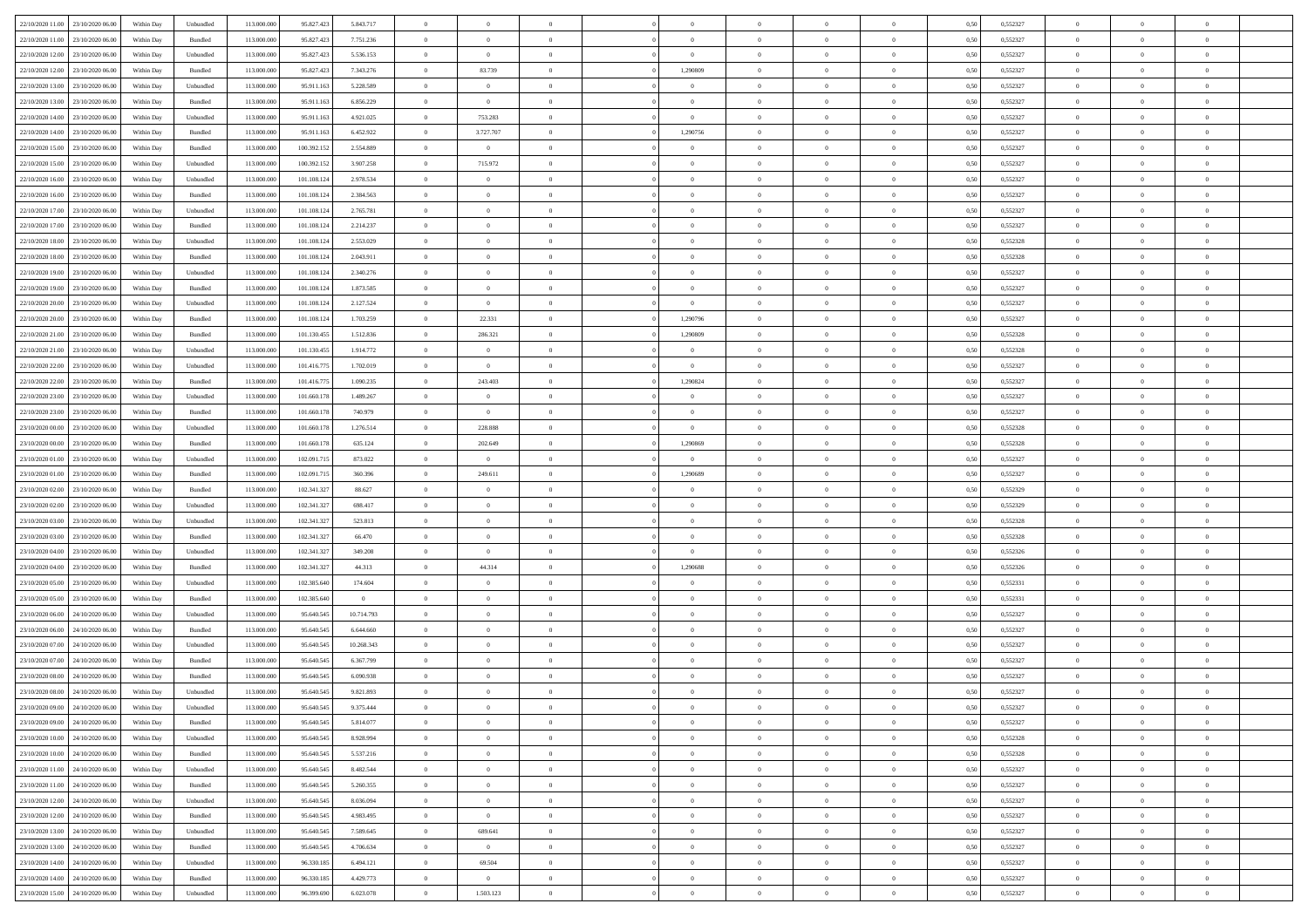| 22/10/2020 11:00 23/10/2020 06:00    | Within Day | Unbundled | 113.000.000 | 95.827.423  | 5.843.717      | $\overline{0}$ | $\overline{0}$ |                | $\overline{0}$ | $\theta$       |                | $\theta$       | 0,50 | 0,552327 | $\theta$       | $\theta$       | $\overline{0}$ |  |
|--------------------------------------|------------|-----------|-------------|-------------|----------------|----------------|----------------|----------------|----------------|----------------|----------------|----------------|------|----------|----------------|----------------|----------------|--|
| 22/10/2020 11:00<br>23/10/2020 06.00 | Within Day | Bundled   | 113.000.00  | 95.827.423  | 7.751.236      | $\bf{0}$       | $\bf{0}$       | $\bf{0}$       | $\bf{0}$       | $\overline{0}$ | $\overline{0}$ | $\bf{0}$       | 0,50 | 0,552327 | $\,$ 0 $\,$    | $\bf{0}$       | $\overline{0}$ |  |
| 22/10/2020 12:00<br>23/10/2020 06.00 | Within Day | Unbundled | 113,000,000 | 95.827.423  | 5.536.153      | $\overline{0}$ | $\overline{0}$ | $\overline{0}$ | $\bf{0}$       | $\bf{0}$       | $\overline{0}$ | $\bf{0}$       | 0.50 | 0,552327 | $\bf{0}$       | $\overline{0}$ | $\overline{0}$ |  |
| 22/10/2020 12:00<br>23/10/2020 06:00 | Within Day | Bundled   | 113.000.000 | 95.827.423  | 7.343.276      | $\overline{0}$ | 83.739         | $\overline{0}$ | 1,290809       | $\theta$       | $\overline{0}$ | $\bf{0}$       | 0,50 | 0,552327 | $\theta$       | $\theta$       | $\overline{0}$ |  |
| 22/10/2020 13:00<br>23/10/2020 06.00 | Within Day | Unbundled | 113.000.00  | 95.911.16   | 5.228.589      | $\bf{0}$       | $\overline{0}$ | $\bf{0}$       | $\overline{0}$ | $\theta$       | $\overline{0}$ | $\bf{0}$       | 0,50 | 0,552327 | $\,$ 0 $\,$    | $\bf{0}$       | $\overline{0}$ |  |
| 22/10/2020 13:00<br>23/10/2020 06:00 | Within Day | Bundled   | 113,000,000 | 95.911.16   | 6.856.229      | $\overline{0}$ | $\overline{0}$ | $\overline{0}$ | $\bf{0}$       | $\overline{0}$ | $\theta$       | $\bf{0}$       | 0.50 | 0.552327 | $\,$ 0 $\,$    | $\theta$       | $\overline{0}$ |  |
| 22/10/2020 14:00<br>23/10/2020 06:00 | Within Day | Unbundled | 113.000.000 | 95.911.163  | 4.921.025      | $\overline{0}$ | 753.283        | $\overline{0}$ | $\overline{0}$ | $\theta$       | $\overline{0}$ | $\bf{0}$       | 0,50 | 0,552327 | $\,$ 0 $\,$    | $\theta$       | $\overline{0}$ |  |
|                                      |            |           |             |             |                |                |                |                |                |                |                |                |      |          |                |                |                |  |
| 22/10/2020 14:00<br>23/10/2020 06.00 | Within Day | Bundled   | 113.000.00  | 95.911.16   | 6.452.922      | $\bf{0}$       | 3.727.707      | $\bf{0}$       | 1,290756       | $\overline{0}$ | $\overline{0}$ | $\bf{0}$       | 0,50 | 0,552327 | $\,$ 0 $\,$    | $\bf{0}$       | $\overline{0}$ |  |
| 22/10/2020 15:00<br>23/10/2020 06:00 | Within Day | Bundled   | 113,000,000 | 100.392.152 | 2.554.889      | $\overline{0}$ | $\overline{0}$ | $\overline{0}$ | $\bf{0}$       | $\overline{0}$ | $\overline{0}$ | $\bf{0}$       | 0.50 | 0.552327 | $\bf{0}$       | $\overline{0}$ | $\overline{0}$ |  |
| 22/10/2020 15:00<br>23/10/2020 06:00 | Within Day | Unbundled | 113.000.000 | 100.392.152 | 3.907.258      | $\bf{0}$       | 715.972        | $\overline{0}$ | $\overline{0}$ | $\overline{0}$ | $\overline{0}$ | $\bf{0}$       | 0,50 | 0,552327 | $\,$ 0 $\,$    | $\bf{0}$       | $\overline{0}$ |  |
| 22/10/2020 16:00<br>23/10/2020 06.00 | Within Day | Unbundled | 113.000.00  | 101.108.12  | 2.978.534      | $\bf{0}$       | $\overline{0}$ | $\bf{0}$       | $\bf{0}$       | $\bf{0}$       | $\overline{0}$ | $\bf{0}$       | 0,50 | 0,552327 | $\,$ 0 $\,$    | $\bf{0}$       | $\overline{0}$ |  |
| 22/10/2020 16:00<br>23/10/2020 06.00 | Within Day | Bundled   | 113,000,000 | 101.108.12  | 2.384.563      | $\overline{0}$ | $\bf{0}$       | $\overline{0}$ | $\overline{0}$ | $\bf{0}$       | $\overline{0}$ | $\bf{0}$       | 0.50 | 0,552327 | $\bf{0}$       | $\overline{0}$ | $\bf{0}$       |  |
| 22/10/2020 17:00<br>23/10/2020 06:00 | Within Day | Unbundled | 113.000.00  | 101.108.124 | 2.765.781      | $\overline{0}$ | $\overline{0}$ | $\overline{0}$ | $\theta$       | $\theta$       | $\overline{0}$ | $\overline{0}$ | 0,50 | 0,552327 | $\,$ 0 $\,$    | $\theta$       | $\overline{0}$ |  |
| 22/10/2020 17:00<br>23/10/2020 06.00 | Within Day | Bundled   | 113.000.00  | 101.108.12  | 2.214.237      | $\bf{0}$       | $\overline{0}$ | $\bf{0}$       | $\overline{0}$ | $\theta$       | $\overline{0}$ | $\bf{0}$       | 0,50 | 0,552327 | $\,$ 0 $\,$    | $\bf{0}$       | $\overline{0}$ |  |
| 22/10/2020 18:00<br>23/10/2020 06:00 | Within Day | Unbundled | 113,000,00  | 101.108.12  | 2.553.029      | $\overline{0}$ | $\overline{0}$ | $\overline{0}$ | $\bf{0}$       | $\overline{0}$ | $\theta$       | $\bf{0}$       | 0.50 | 0.552328 | $\,$ 0 $\,$    | $\theta$       | $\overline{0}$ |  |
| 22/10/2020 18:00<br>23/10/2020 06:00 | Within Day | Bundled   | 113.000.000 | 101.108.124 | 2.043.911      | $\overline{0}$ | $\overline{0}$ | $\overline{0}$ | $\overline{0}$ | $\overline{0}$ | $\overline{0}$ | $\bf{0}$       | 0,50 | 0,552328 | $\theta$       | $\theta$       | $\overline{0}$ |  |
| 22/10/2020 19:00<br>23/10/2020 06.00 | Within Day | Unbundled | 113.000.00  | 101.108.12  | 2.340.276      | $\bf{0}$       | $\bf{0}$       | $\bf{0}$       | $\overline{0}$ | $\theta$       | $\overline{0}$ | $\bf{0}$       | 0,50 | 0,552327 | $\,$ 0 $\,$    | $\bf{0}$       | $\overline{0}$ |  |
| 22/10/2020 19:00<br>23/10/2020 06:00 | Within Day | Bundled   | 113,000,00  | 101.108.12  | 1.873.585      | $\overline{0}$ | $\bf{0}$       | $\overline{0}$ | $\bf{0}$       | $\overline{0}$ | $\overline{0}$ | $\bf{0}$       | 0.50 | 0.552327 | $\bf{0}$       | $\overline{0}$ | $\overline{0}$ |  |
|                                      |            |           |             |             |                | $\overline{0}$ |                | $\overline{0}$ | $\overline{0}$ | $\overline{0}$ | $\overline{0}$ |                |      |          | $\,$ 0 $\,$    |                | $\overline{0}$ |  |
| 22/10/2020 20:00<br>23/10/2020 06:00 | Within Day | Unbundled | 113.000.000 | 101.108.124 | 2.127.524      |                | $\overline{0}$ |                |                |                |                | $\bf{0}$       | 0,50 | 0,552327 |                | $\bf{0}$       |                |  |
| 22/10/2020 20:00<br>23/10/2020 06.00 | Within Day | Bundled   | 113.000.00  | 101.108.12  | 1.703.259      | $\bf{0}$       | 22.331         | $\bf{0}$       | 1,290796       | $\overline{0}$ | $\overline{0}$ | $\bf{0}$       | 0,50 | 0,552327 | $\,$ 0 $\,$    | $\bf{0}$       | $\overline{0}$ |  |
| 22/10/2020 21:00<br>23/10/2020 06:00 | Within Day | Bundled   | 113,000,000 | 101.130.455 | 1.512.836      | $\overline{0}$ | 286.321        | $\overline{0}$ | 1,290809       | $\overline{0}$ | $\overline{0}$ | $\bf{0}$       | 0.50 | 0,552328 | $\bf{0}$       | $\overline{0}$ | $\bf{0}$       |  |
| 22/10/2020 21:00<br>23/10/2020 06:00 | Within Day | Unbundled | 113.000.000 | 101.130.455 | 1.914.772      | $\overline{0}$ | $\overline{0}$ | $\overline{0}$ | $\overline{0}$ | $\theta$       | $\overline{0}$ | $\bf{0}$       | 0,50 | 0,552328 | $\theta$       | $\theta$       | $\overline{0}$ |  |
| 22/10/2020 22.00<br>23/10/2020 06.00 | Within Day | Unbundled | 113.000.00  | 101.416.77  | 1.702.019      | $\bf{0}$       | $\overline{0}$ | $\bf{0}$       | $\bf{0}$       | $\theta$       | $\overline{0}$ | $\bf{0}$       | 0,50 | 0,552327 | $\,$ 0 $\,$    | $\bf{0}$       | $\overline{0}$ |  |
| 22/10/2020 22.00<br>23/10/2020 06:00 | Within Day | Bundled   | 113,000,00  | 101.416.77  | 1.090.235      | $\overline{0}$ | 243,403        | $\overline{0}$ | 1.290824       | $\overline{0}$ | $\theta$       | $\bf{0}$       | 0.50 | 0.552327 | $\,$ 0 $\,$    | $\theta$       | $\overline{0}$ |  |
| 22/10/2020 23:00<br>23/10/2020 06:00 | Within Day | Unbundled | 113.000.000 | 101.660.178 | 1.489.267      | $\overline{0}$ | $\overline{0}$ | $\overline{0}$ | $\overline{0}$ | $\overline{0}$ | $\overline{0}$ | $\bf{0}$       | 0,50 | 0,552327 | $\,$ 0 $\,$    | $\theta$       | $\overline{0}$ |  |
| 22/10/2020 23:00<br>23/10/2020 06.00 | Within Day | Bundled   | 113.000.00  | 101.660.17  | 740.979        | $\bf{0}$       | $\overline{0}$ | $\bf{0}$       | $\overline{0}$ | $\theta$       | $\overline{0}$ | $\bf{0}$       | 0,50 | 0,552327 | $\,$ 0 $\,$    | $\bf{0}$       | $\overline{0}$ |  |
| 23/10/2020 00:00<br>23/10/2020 06:00 | Within Day | Unbundled | 113,000,00  | 101.660.178 | 1.276.514      | $\overline{0}$ | 228,888        | $\overline{0}$ | $\bf{0}$       | $\overline{0}$ | $\overline{0}$ | $\bf{0}$       | 0.50 | 0.552328 | $\bf{0}$       | $\overline{0}$ | $\overline{0}$ |  |
| 23/10/2020 00:00<br>23/10/2020 06:00 | Within Day | Bundled   | 113.000.000 | 101.660.178 | 635.124        | $\overline{0}$ | 202.649        | $\overline{0}$ | 1,290869       | $\theta$       | $\overline{0}$ | $\bf{0}$       | 0,50 | 0,552328 | $\theta$       | $\theta$       | $\overline{0}$ |  |
| 23/10/2020 01:00<br>23/10/2020 06.00 | Within Day | Unbundled | 113.000.00  | 102.091.71: | 873.022        | $\bf{0}$       | $\bf{0}$       | $\bf{0}$       | $\bf{0}$       | $\overline{0}$ | $\overline{0}$ | $\bf{0}$       | 0,50 | 0,552327 | $\,$ 0 $\,$    | $\bf{0}$       | $\overline{0}$ |  |
| 23/10/2020 01:00<br>23/10/2020 06:00 | Within Day | Bundled   | 113,000,000 | 102.091.71  | 360,396        | $\overline{0}$ | 249.611        | $\overline{0}$ | 1,290689       | $\bf{0}$       | $\overline{0}$ | $\bf{0}$       | 0.50 | 0.552327 | $\bf{0}$       | $\overline{0}$ | $\bf{0}$       |  |
| 23/10/2020 02:00<br>23/10/2020 06:00 | Within Day | Bundled   | 113.000.000 | 102.341.327 | 88.627         | $\overline{0}$ | $\overline{0}$ | $\overline{0}$ | $\overline{0}$ | $\overline{0}$ | $\overline{0}$ | $\bf{0}$       | 0.5( | 0,552329 | $\theta$       | $\theta$       | $\overline{0}$ |  |
|                                      |            |           |             |             |                |                |                |                |                |                |                |                |      |          |                |                |                |  |
| 23/10/2020 02.00<br>23/10/2020 06.00 | Within Day | Unbundled | 113.000.00  | 102.341.327 | 698.417        | $\bf{0}$       | $\overline{0}$ | $\bf{0}$       | $\bf{0}$       | $\overline{0}$ | $\overline{0}$ | $\bf{0}$       | 0,50 | 0,552329 | $\,$ 0 $\,$    | $\bf{0}$       | $\overline{0}$ |  |
| 23/10/2020 03:00<br>23/10/2020 06:00 | Within Day | Unbundled | 113,000,00  | 102.341.327 | 523.813        | $\overline{0}$ | $\bf{0}$       | $\overline{0}$ | $\bf{0}$       | $\overline{0}$ | $\Omega$       | $\bf{0}$       | 0.50 | 0.552328 | $\,$ 0 $\,$    | $\bf{0}$       | $\overline{0}$ |  |
| 23/10/2020 03:00<br>23/10/2020 06:00 | Within Day | Bundled   | 113.000.000 | 102.341.327 | 66.470         | $\overline{0}$ | $\overline{0}$ | $\overline{0}$ | $\overline{0}$ | $\overline{0}$ | $\overline{0}$ | $\bf{0}$       | 0.5( | 0,552328 | $\theta$       | $\theta$       | $\overline{0}$ |  |
| 23/10/2020 04:00<br>23/10/2020 06.00 | Within Day | Unbundled | 113.000.00  | 102.341.32  | 349.208        | $\bf{0}$       | $\bf{0}$       | $\bf{0}$       | $\bf{0}$       | $\bf{0}$       | $\overline{0}$ | $\bf{0}$       | 0,50 | 0,552326 | $\,$ 0 $\,$    | $\bf{0}$       | $\overline{0}$ |  |
| 23/10/2020 04:00<br>23/10/2020 06:00 | Within Day | Bundled   | 113,000,00  | 102.341.32  | 44.313         | $\overline{0}$ | 44.314         | $\overline{0}$ | 1.290688       | $\overline{0}$ | $\overline{0}$ | $\bf{0}$       | 0.50 | 0.552326 | $\bf{0}$       | $\overline{0}$ | $\overline{0}$ |  |
| 23/10/2020 05:00<br>23/10/2020 06:00 | Within Day | Unbundled | 113.000.000 | 102.385.640 | 174,604        | $\overline{0}$ | $\overline{0}$ | $\overline{0}$ | $\overline{0}$ | $\overline{0}$ | $\overline{0}$ | $\bf{0}$       | 0.50 | 0,552331 | $\theta$       | $\theta$       | $\overline{0}$ |  |
| 23/10/2020 05:00<br>23/10/2020 06.00 | Within Day | Bundled   | 113.000.00  | 102.385.64  | $\overline{0}$ | $\bf{0}$       | $\bf{0}$       | $\bf{0}$       | $\bf{0}$       | $\overline{0}$ | $\overline{0}$ | $\bf{0}$       | 0,50 | 0,552331 | $\,$ 0 $\,$    | $\bf{0}$       | $\overline{0}$ |  |
| 23/10/2020 06:00<br>24/10/2020 06:00 | Within Day | Unbundled | 113,000,000 | 95.640.545  | 10.714.793     | $\overline{0}$ | $\bf{0}$       | $\overline{0}$ | $\bf{0}$       | $\bf{0}$       | $\overline{0}$ | $\bf{0}$       | 0.50 | 0,552327 | $\bf{0}$       | $\overline{0}$ | $\overline{0}$ |  |
| 23/10/2020 06:00<br>24/10/2020 06.00 | Within Day | Bundled   | 113.000.000 | 95.640.545  | 6.644.660      | $\overline{0}$ | $\overline{0}$ | $\overline{0}$ | $\overline{0}$ | $\overline{0}$ | $\overline{0}$ | $\bf{0}$       | 0.5( | 0,552327 | $\theta$       | $\theta$       | $\overline{0}$ |  |
| 23/10/2020 07:00<br>24/10/2020 06.00 | Within Day | Unbundled | 113.000.00  | 95.640.545  | 10.268.343     | $\bf{0}$       | $\bf{0}$       | $\bf{0}$       | $\bf{0}$       | $\overline{0}$ | $\overline{0}$ | $\bf{0}$       | 0,50 | 0,552327 | $\,$ 0 $\,$    | $\bf{0}$       | $\overline{0}$ |  |
| 23/10/2020 07.00<br>24/10/2020 06:00 | Within Day | Bundled   | 113,000,00  | 95.640.54   | 6.367.799      | $\overline{0}$ | $\overline{0}$ | $\overline{0}$ | $\bf{0}$       | $\overline{0}$ | $\Omega$       | $\bf{0}$       | 0.50 | 0.552327 | $\bf{0}$       | $\theta$       | $\overline{0}$ |  |
| 23/10/2020 08:00<br>24/10/2020 06.00 | Within Dav | Bundled   | 113.000.000 | 95.640.545  | 6.090.938      | $\overline{0}$ | $\overline{0}$ | $\Omega$       | $\overline{0}$ | $\theta$       | $\Omega$       | $\overline{0}$ | 0.5( | 0,552327 | $\theta$       | $\theta$       | $\overline{0}$ |  |
| 23/10/2020 08:00<br>24/10/2020 06.00 | Within Day | Unbundled | 113.000.00  | 95.640.545  | 9.821.893      | $\bf{0}$       | $\bf{0}$       | $\bf{0}$       | $\bf{0}$       | $\bf{0}$       | $\overline{0}$ | $\bf{0}$       | 0,50 | 0,552327 | $\,$ 0 $\,$    | $\bf{0}$       | $\overline{0}$ |  |
| 23/10/2020 09:00 24/10/2020 06:00    | Within Day | Unbundled | 113.000.000 | 95.640.545  | 9.375.444      | $\bf{0}$       | $\theta$       |                | $\overline{0}$ |                |                |                | 0,50 | 0,552327 | $\bf{0}$       | $\bf{0}$       |                |  |
|                                      |            |           |             |             |                | $\overline{0}$ | $\theta$       | $\Omega$       |                | $\overline{0}$ |                |                |      |          | $\theta$       | $\theta$       | $\overline{0}$ |  |
| 23/10/2020 09:00 24/10/2020 06:00    | Within Day | Bundled   | 113.000.000 | 95.640.545  | 5.814.077      |                |                |                | $\theta$       |                | $\overline{0}$ | $\bf{0}$       | 0,50 | 0,552327 |                |                |                |  |
| 23/10/2020 10:00<br>24/10/2020 06.00 | Within Day | Unbundled | 113.000.00  | 95.640.545  | 8.928.994      | $\overline{0}$ | $\bf{0}$       | $\overline{0}$ | $\overline{0}$ | $\bf{0}$       | $\overline{0}$ | $\bf{0}$       | 0,50 | 0,552328 | $\bf{0}$       | $\overline{0}$ | $\bf{0}$       |  |
| 23/10/2020 10:00 24/10/2020 06:00    | Within Day | Bundled   | 113,000,000 | 95.640.545  | 5.537.216      | $\overline{0}$ | $\bf{0}$       | $\overline{0}$ | $\overline{0}$ | $\overline{0}$ | $\overline{0}$ | $\,$ 0 $\,$    | 0.50 | 0,552328 | $\overline{0}$ | $\bf{0}$       | $\,$ 0 $\,$    |  |
| 23/10/2020 11:00 24/10/2020 06:00    | Within Dav | Unbundled | 113.000.000 | 95.640.545  | 8.482.544      | $\overline{0}$ | $\overline{0}$ | $\overline{0}$ | $\overline{0}$ | $\overline{0}$ | $\overline{0}$ | $\bf{0}$       | 0.50 | 0,552327 | $\overline{0}$ | $\theta$       | $\overline{0}$ |  |
| 23/10/2020 11:00<br>24/10/2020 06.00 | Within Day | Bundled   | 113.000.000 | 95.640.545  | 5.260.355      | $\overline{0}$ | $\bf{0}$       | $\overline{0}$ | $\bf{0}$       | $\overline{0}$ | $\bf{0}$       | $\bf{0}$       | 0,50 | 0,552327 | $\bf{0}$       | $\overline{0}$ | $\overline{0}$ |  |
| 23/10/2020 12:00<br>24/10/2020 06:00 | Within Day | Unbundled | 113,000,000 | 95.640.545  | 8.036.094      | $\overline{0}$ | $\bf{0}$       | $\overline{0}$ | $\overline{0}$ | $\overline{0}$ | $\overline{0}$ | $\bf{0}$       | 0.50 | 0.552327 | $\,$ 0 $\,$    | $\theta$       | $\,$ 0         |  |
| 23/10/2020 12:00<br>24/10/2020 06:00 | Within Day | Bundled   | 113.000.000 | 95.640.545  | 4.983.495      | $\overline{0}$ | $\overline{0}$ | $\overline{0}$ | $\overline{0}$ | $\overline{0}$ | $\overline{0}$ | $\bf{0}$       | 0.50 | 0,552327 | $\overline{0}$ | $\theta$       | $\overline{0}$ |  |
| 23/10/2020 13:00<br>24/10/2020 06.00 | Within Day | Unbundled | 113.000.00  | 95.640.545  | 7.589.645      | $\overline{0}$ | 689.641        | $\overline{0}$ | $\overline{0}$ | $\overline{0}$ | $\overline{0}$ | $\bf{0}$       | 0,50 | 0,552327 | $\bf{0}$       | $\overline{0}$ | $\overline{0}$ |  |
| 23/10/2020 13:00<br>24/10/2020 06.00 | Within Day | Bundled   | 113,000,000 | 95.640.545  | 4.706.634      | $\overline{0}$ | $\overline{0}$ | $\overline{0}$ | $\overline{0}$ | $\bf{0}$       | $\overline{0}$ | $\bf{0}$       | 0.50 | 0.552327 | $\mathbf{0}$   | $\bf{0}$       | $\,$ 0         |  |
| 23/10/2020 14:00 24/10/2020 06:00    | Within Dav | Unbundled | 113.000.000 | 96.330.185  | 6.494.121      | $\overline{0}$ | 69.504         | $\overline{0}$ | $\overline{0}$ | $\overline{0}$ | $\overline{0}$ | $\bf{0}$       | 0,50 | 0,552327 | $\overline{0}$ | $\theta$       | $\overline{0}$ |  |
| 23/10/2020 14:00<br>24/10/2020 06.00 | Within Day | Bundled   | 113.000.00  | 96.330.185  | 4.429.773      | $\overline{0}$ | $\bf{0}$       | $\overline{0}$ | $\bf{0}$       | $\overline{0}$ | $\bf{0}$       | $\bf{0}$       | 0,50 | 0,552327 | $\bf{0}$       | $\bf{0}$       | $\overline{0}$ |  |
|                                      |            |           |             |             |                |                |                |                |                |                |                |                |      |          |                |                |                |  |
| 23/10/2020 15:00 24/10/2020 06:00    | Within Day | Unbundled | 113.000.000 | 96.399.690  | 6.023.078      | $\overline{0}$ | 1.503.123      | $\overline{0}$ | $\overline{0}$ | $\,$ 0 $\,$    | $\overline{0}$ | $\bf{0}$       | 0,50 | 0,552327 | $\overline{0}$ | $\,$ 0 $\,$    | $\,$ 0 $\,$    |  |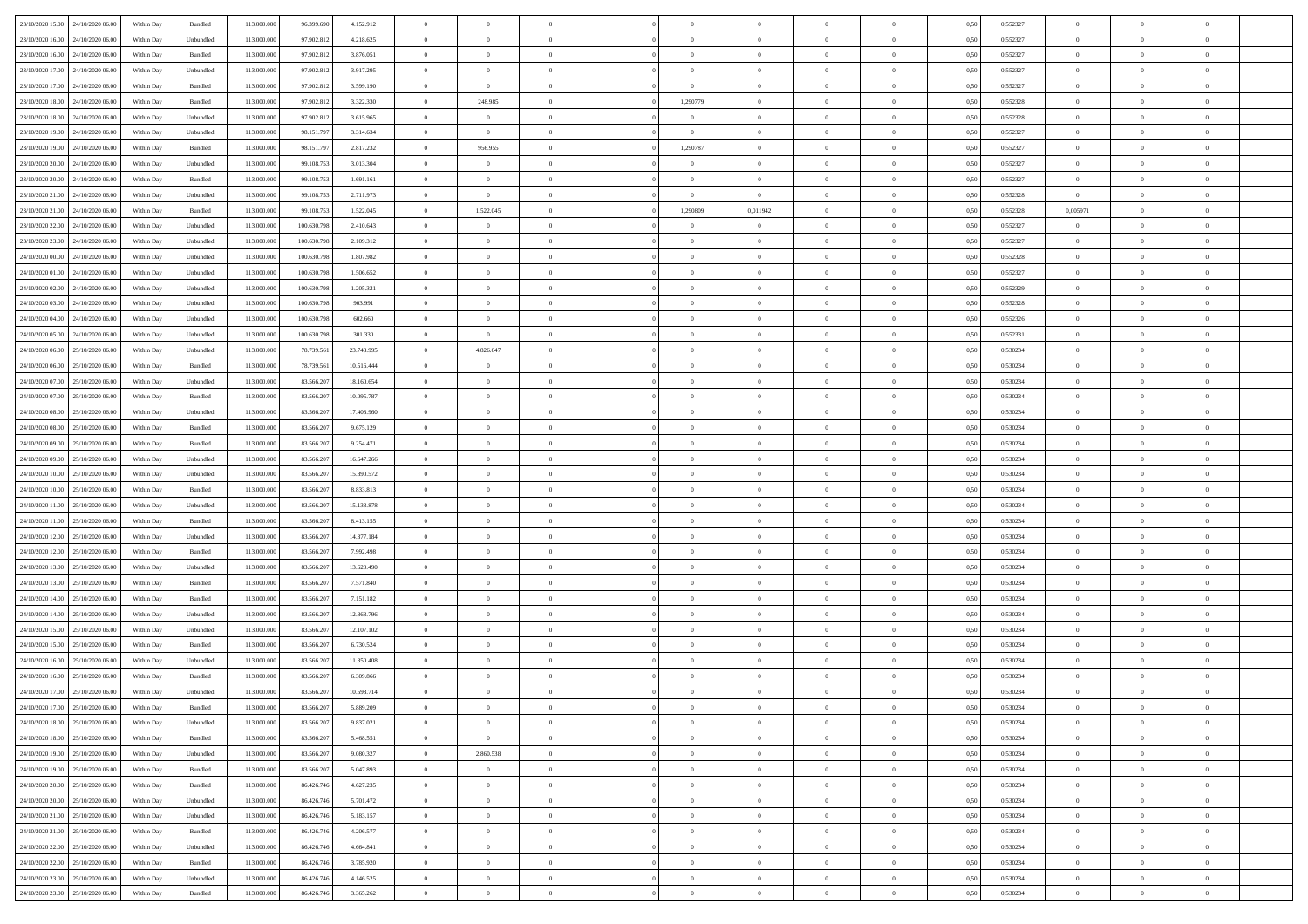| 23/10/2020 15:00 24/10/2020 06:00    | Within Day | Bundled   | 113.000.000 | 96.399.690  | 4.152.912  | $\theta$       | $\overline{0}$   | $\overline{0}$ | $\theta$       | $\theta$                        |                | $\overline{0}$ | 0,50 | 0,552327 | $\overline{0}$ | $\theta$       | $\overline{0}$ |  |
|--------------------------------------|------------|-----------|-------------|-------------|------------|----------------|------------------|----------------|----------------|---------------------------------|----------------|----------------|------|----------|----------------|----------------|----------------|--|
| 23/10/2020 16.00<br>24/10/2020 06.00 | Within Day | Unbundled | 113.000.000 | 97.902.81   | 4.218.625  | $\bf{0}$       | $\overline{0}$   | $\bf{0}$       | $\bf{0}$       | $\bf{0}$                        | $\overline{0}$ | $\bf{0}$       | 0,50 | 0,552327 | $\bf{0}$       | $\bf{0}$       | $\overline{0}$ |  |
| 23/10/2020 16:00<br>24/10/2020 06:00 | Within Day | Bundled   | 113,000,000 | 97.902.812  | 3.876.051  | $\overline{0}$ | $\overline{0}$   | $\overline{0}$ | $\bf{0}$       | $\bf{0}$                        | $\overline{0}$ | $\,$ 0 $\,$    | 0.50 | 0,552327 | $\overline{0}$ | $\bf{0}$       | $\bf{0}$       |  |
| 23/10/2020 17:00<br>24/10/2020 06.00 | Within Day | Unbundled | 113.000.000 | 97.902.812  | 3.917.295  | $\bf{0}$       | $\overline{0}$   | $\overline{0}$ | $\overline{0}$ | $\overline{0}$                  | $\overline{0}$ | $\,$ 0         | 0,50 | 0,552327 | $\,0\,$        | $\overline{0}$ | $\bf{0}$       |  |
| 23/10/2020 17:00<br>24/10/2020 06.00 | Within Day | Bundled   | 113.000.000 | 97.902.81   | 3.599.190  | $\bf{0}$       | $\overline{0}$   | $\bf{0}$       | $\overline{0}$ | $\overline{0}$                  | $\overline{0}$ | $\bf{0}$       | 0,50 | 0,552327 | $\bf{0}$       | $\theta$       | $\overline{0}$ |  |
|                                      |            |           |             |             |            |                |                  |                |                |                                 |                |                |      |          |                |                |                |  |
| 23/10/2020 18:00<br>24/10/2020 06:00 | Within Day | Bundled   | 113,000,000 | 97.902.812  | 3.322.330  | $\overline{0}$ | 248.985          | $\overline{0}$ | 1.290779       | $\overline{0}$                  | $\overline{0}$ | $\bf{0}$       | 0.50 | 0.552328 | $\bf{0}$       | $\overline{0}$ | $\overline{0}$ |  |
| 23/10/2020 18:00<br>24/10/2020 06.00 | Within Day | Unbundled | 113.000.000 | 97.902.812  | 3.615.965  | $\bf{0}$       | $\overline{0}$   | $\overline{0}$ | $\bf{0}$       | $\overline{0}$                  | $\overline{0}$ | $\bf{0}$       | 0,50 | 0,552328 | $\bf{0}$       | $\overline{0}$ | $\bf{0}$       |  |
| 23/10/2020 19:00<br>24/10/2020 06.00 | Within Day | Unbundled | 113.000.000 | 98.151.79   | 3.314.634  | $\bf{0}$       | $\overline{0}$   | $\bf{0}$       | $\overline{0}$ | $\bf{0}$                        | $\overline{0}$ | $\bf{0}$       | 0,50 | 0,552327 | $\bf{0}$       | $\,$ 0         | $\bf{0}$       |  |
| 23/10/2020 19:00<br>24/10/2020 06:00 | Within Day | Bundled   | 113,000,000 | 98.151.79   | 2.817.232  | $\overline{0}$ | 956.955          | $\overline{0}$ | 1.290787       | $\bf{0}$                        | $\overline{0}$ | $\bf{0}$       | 0.50 | 0,552327 | $\bf{0}$       | $\bf{0}$       | $\bf{0}$       |  |
| 23/10/2020 20:00<br>24/10/2020 06.00 | Within Day | Unbundled | 113.000.000 | 99.108.753  | 3.013.304  | $\bf{0}$       | $\overline{0}$   | $\overline{0}$ | $\overline{0}$ | $\overline{0}$                  | $\overline{0}$ | $\bf{0}$       | 0,50 | 0,552327 | $\overline{0}$ | $\bf{0}$       | $\bf{0}$       |  |
|                                      |            |           |             |             |            |                |                  |                |                |                                 |                |                |      |          |                |                |                |  |
| 23/10/2020 20:00<br>24/10/2020 06.00 | Within Day | Bundled   | 113.000.000 | 99.108.75   | 1.691.161  | $\bf{0}$       | $\overline{0}$   | $\bf{0}$       | $\bf{0}$       | $\overline{0}$                  | $\overline{0}$ | $\bf{0}$       | 0,50 | 0,552327 | $\bf{0}$       | $\,$ 0         | $\,$ 0         |  |
| 23/10/2020 21:00<br>24/10/2020 06:00 | Within Day | Unbundled | 113,000,000 | 99.108.753  | 2.711.973  | $\overline{0}$ | $\overline{0}$   | $\overline{0}$ | $\bf{0}$       | $\overline{0}$                  | $\overline{0}$ | $\,$ 0 $\,$    | 0.50 | 0,552328 | $\overline{0}$ | $\bf{0}$       | $\,$ 0 $\,$    |  |
| 23/10/2020 21:00<br>24/10/2020 06.00 | Within Day | Bundled   | 113.000.000 | 99.108.753  | 1.522.045  | $\bf{0}$       | 1.522.045        | $\overline{0}$ | 1,290809       | 0,011942                        | $\overline{0}$ | $\,$ 0         | 0,50 | 0,552328 | 0,005971       | $\overline{0}$ | $\bf{0}$       |  |
| 23/10/2020 22:00<br>24/10/2020 06.00 | Within Day | Unbundled | 113.000.000 | 100.630.79  | 2.410.643  | $\bf{0}$       | $\overline{0}$   | $\bf{0}$       | $\overline{0}$ | $\bf{0}$                        | $\overline{0}$ | $\bf{0}$       | 0,50 | 0,552327 | $\bf{0}$       | $\,$ 0         | $\bf{0}$       |  |
| 23/10/2020 23.00<br>24/10/2020 06:00 | Within Day | Unbundled | 113,000,000 | 100.630.798 | 2.109.312  | $\overline{0}$ | $\overline{0}$   | $\overline{0}$ | $\bf{0}$       | $\overline{0}$                  | $\overline{0}$ | $\theta$       | 0.50 | 0.552327 | $\bf{0}$       | $\overline{0}$ | $\overline{0}$ |  |
| 24/10/2020 00:00<br>24/10/2020 06.00 | Within Day | Unbundled | 113.000.000 | 100.630.798 | 1.807.982  | $\bf{0}$       | $\overline{0}$   | $\overline{0}$ | $\overline{0}$ | $\overline{0}$                  | $\overline{0}$ | $\bf{0}$       | 0,50 | 0,552328 | $\bf{0}$       | $\overline{0}$ | $\bf{0}$       |  |
|                                      |            |           |             |             |            |                |                  |                |                |                                 |                |                |      |          |                |                |                |  |
| 24/10/2020 01:00<br>24/10/2020 06.00 | Within Day | Unbundled | 113.000.000 | 100.630.798 | 1.506.652  | $\bf{0}$       | $\bf{0}$         | $\bf{0}$       | $\bf{0}$       | $\overline{0}$                  | $\overline{0}$ | $\bf{0}$       | 0,50 | 0,552327 | $\bf{0}$       | $\,$ 0         | $\bf{0}$       |  |
| 24/10/2020 02.00<br>24/10/2020 06:00 | Within Day | Unbundled | 113,000,000 | 100.630.798 | 1.205.321  | $\overline{0}$ | $\overline{0}$   | $\overline{0}$ | $\bf{0}$       | $\bf{0}$                        | $\overline{0}$ | $\,$ 0 $\,$    | 0.50 | 0.552329 | $\bf{0}$       | $\bf{0}$       | $\bf{0}$       |  |
| 24/10/2020 03:00<br>24/10/2020 06.00 | Within Day | Unbundled | 113.000.000 | 100.630.798 | 903.991    | $\bf{0}$       | $\overline{0}$   | $\overline{0}$ | $\overline{0}$ | $\overline{0}$                  | $\overline{0}$ | $\bf{0}$       | 0,50 | 0,552328 | $\,0\,$        | $\bf{0}$       | $\overline{0}$ |  |
| 24/10/2020 04:00<br>24/10/2020 06.00 | Within Day | Unbundled | 113.000.00  | 100.630.798 | 602.660    | $\bf{0}$       | $\overline{0}$   | $\bf{0}$       | $\bf{0}$       | $\bf{0}$                        | $\overline{0}$ | $\bf{0}$       | 0,50 | 0,552326 | $\bf{0}$       | $\bf{0}$       | $\bf{0}$       |  |
| 24/10/2020 05.00<br>24/10/2020 06:00 | Within Day | Unbundled | 113,000,000 | 100.630.798 | 301.330    | $\overline{0}$ | $\overline{0}$   | $\overline{0}$ | $\bf{0}$       | $\bf{0}$                        | $\overline{0}$ | $\,$ 0 $\,$    | 0.50 | 0,552331 | $\bf{0}$       | $\bf{0}$       | $\,$ 0 $\,$    |  |
| 24/10/2020 06:00<br>25/10/2020 06.00 | Within Day | Unbundled | 113.000.000 | 78.739.561  | 23.743.995 | $\bf{0}$       | 4.826.647        | $\overline{0}$ | $\overline{0}$ | $\overline{0}$                  | $\overline{0}$ | $\,$ 0         | 0,50 | 0,530234 | $\,0\,$        | $\overline{0}$ | $\bf{0}$       |  |
|                                      |            |           |             |             |            |                |                  |                |                |                                 |                |                |      |          |                |                |                |  |
| 24/10/2020 06.00<br>25/10/2020 06.00 | Within Day | Bundled   | 113.000.000 | 78.739.56   | 10.516.444 | $\bf{0}$       | $\overline{0}$   | $\bf{0}$       | $\bf{0}$       | $\overline{\phantom{a}}$        | $\overline{0}$ | $\bf{0}$       | 0,50 | 0,530234 | $\bf{0}$       | $\,$ 0         | $\bf{0}$       |  |
| 24/10/2020 07.00<br>25/10/2020 06:00 | Within Day | Unbundled | 113,000,000 | 83,566,207  | 18,160,654 | $\overline{0}$ | $\overline{0}$   | $\overline{0}$ | $\bf{0}$       | $\bf{0}$                        | $\overline{0}$ | $\bf{0}$       | 0.50 | 0.530234 | $\bf{0}$       | $\overline{0}$ | $\overline{0}$ |  |
| 24/10/2020 07:00<br>25/10/2020 06.00 | Within Day | Bundled   | 113.000.000 | 83.566.207  | 10.095.787 | $\bf{0}$       | $\overline{0}$   | $\overline{0}$ | $\overline{0}$ | $\overline{0}$                  | $\overline{0}$ | $\bf{0}$       | 0,50 | 0,530234 | $\bf{0}$       | $\overline{0}$ | $\bf{0}$       |  |
| 24/10/2020 08:00<br>25/10/2020 06.00 | Within Day | Unbundled | 113.000.000 | 83.566.20   | 17.403.960 | $\bf{0}$       | $\bf{0}$         | $\bf{0}$       | $\bf{0}$       | $\overline{0}$                  | $\overline{0}$ | $\bf{0}$       | 0,50 | 0,530234 | $\,$ 0 $\,$    | $\,$ 0         | $\bf{0}$       |  |
| 24/10/2020 08:00<br>25/10/2020 06:00 | Within Day | Bundled   | 113,000,000 | 83,566,207  | 9.675.129  | $\overline{0}$ | $\overline{0}$   | $\overline{0}$ | $\bf{0}$       | $\bf{0}$                        | $\overline{0}$ | $\bf{0}$       | 0.50 | 0.530234 | $\bf{0}$       | $\bf{0}$       | $\bf{0}$       |  |
| 24/10/2020 09:00<br>25/10/2020 06.00 | Within Day | Bundled   | 113.000.000 | 83.566.207  | 9.254.471  | $\bf{0}$       | $\overline{0}$   | $\overline{0}$ | $\overline{0}$ | $\overline{0}$                  | $\overline{0}$ | $\bf{0}$       | 0,50 | 0,530234 | $\,$ 0 $\,$    | $\overline{0}$ | $\bf{0}$       |  |
| 24/10/2020 09:00<br>25/10/2020 06.00 | Within Day | Unbundled | 113.000.000 | 83.566.20   | 16.647.266 | $\bf{0}$       | $\overline{0}$   | $\bf{0}$       | $\overline{0}$ | $\bf{0}$                        | $\overline{0}$ | $\bf{0}$       | 0,50 | 0,530234 | $\bf{0}$       | $\bf{0}$       | $\bf{0}$       |  |
|                                      |            |           |             |             |            |                |                  |                |                |                                 |                |                |      |          |                |                |                |  |
| 24/10/2020 10:00<br>25/10/2020 06.00 | Within Day | Unbundled | 113,000,000 | 83,566,207  | 15,890,572 | $\overline{0}$ | $\overline{0}$   | $\overline{0}$ | $\bf{0}$       | $\bf{0}$                        | $\overline{0}$ | $\,$ 0 $\,$    | 0.50 | 0.530234 | $\overline{0}$ | $\bf{0}$       | $\,$ 0 $\,$    |  |
| 24/10/2020 10:00<br>25/10/2020 06.00 | Within Day | Bundled   | 113.000.000 | 83.566.20   | 8.833.813  | $\overline{0}$ | $\overline{0}$   | $\overline{0}$ | $\overline{0}$ | $\overline{0}$                  | $\overline{0}$ | $\overline{0}$ | 0.50 | 0,530234 | $\overline{0}$ | $\theta$       | $\overline{0}$ |  |
| 24/10/2020 11:00<br>25/10/2020 06.00 | Within Day | Unbundled | 113.000.000 | 83.566.20   | 15.133.878 | $\bf{0}$       | $\bf{0}$         | $\bf{0}$       | $\bf{0}$       | $\overline{\phantom{a}}$        | $\overline{0}$ | $\bf{0}$       | 0,50 | 0,530234 | $\bf{0}$       | $\,$ 0         | $\bf{0}$       |  |
| 24/10/2020 11.00<br>25/10/2020 06.00 | Within Day | Bundled   | 113,000,000 | 83,566,207  | 8.413.155  | $\overline{0}$ | $\overline{0}$   | $\overline{0}$ | $\bf{0}$       | $\bf{0}$                        | $\overline{0}$ | $\bf{0}$       | 0.50 | 0.530234 | $\bf{0}$       | $\,$ 0         | $\overline{0}$ |  |
| 24/10/2020 12:00<br>25/10/2020 06.00 | Within Dav | Unbundled | 113.000.000 | 83.566.207  | 14.377.184 | $\overline{0}$ | $\overline{0}$   | $\overline{0}$ | $\overline{0}$ | $\overline{0}$                  | $\overline{0}$ | $\overline{0}$ | 0.50 | 0,530234 | $\mathbf{0}$   | $\theta$       | $\bf{0}$       |  |
| 24/10/2020 12:00<br>25/10/2020 06.00 | Within Day | Bundled   | 113.000.000 | 83.566.20   | 7.992.498  | $\bf{0}$       | $\bf{0}$         | $\bf{0}$       | $\bf{0}$       | $\overline{0}$                  | $\overline{0}$ | $\bf{0}$       | 0,50 | 0,530234 | $\bf{0}$       | $\,$ 0         | $\bf{0}$       |  |
| 24/10/2020 13.00<br>25/10/2020 06:00 | Within Day | Unbundled | 113,000,000 | 83,566,207  | 13.620.490 | $\overline{0}$ | $\overline{0}$   | $\overline{0}$ | $\bf{0}$       | $\bf{0}$                        | $\overline{0}$ | $\,$ 0 $\,$    | 0.50 | 0.530234 | $\bf{0}$       | $\bf{0}$       | $\bf{0}$       |  |
|                                      |            |           |             |             |            |                |                  |                |                |                                 |                |                |      |          |                |                |                |  |
| 24/10/2020 13:00<br>25/10/2020 06:00 | Within Day | Bundled   | 113.000.000 | 83.566.207  | 7.571.840  | $\overline{0}$ | $\overline{0}$   | $\overline{0}$ | $\overline{0}$ | $\overline{0}$                  | $\overline{0}$ | $\overline{0}$ | 0.50 | 0,530234 | $\overline{0}$ | $\theta$       | $\overline{0}$ |  |
| 24/10/2020 14:00<br>25/10/2020 06.00 | Within Day | Bundled   | 113.000.000 | 83.566.20   | 7.151.182  | $\bf{0}$       | $\overline{0}$   | $\bf{0}$       | $\overline{0}$ | $\bf{0}$                        | $\overline{0}$ | $\bf{0}$       | 0,50 | 0,530234 | $\bf{0}$       | $\bf{0}$       | $\bf{0}$       |  |
| 24/10/2020 14:00<br>25/10/2020 06.00 | Within Day | Unbundled | 113,000,000 | 83.566.207  | 12.863.796 | $\overline{0}$ | $\overline{0}$   | $\overline{0}$ | $\bf{0}$       | $\bf{0}$                        | $\overline{0}$ | $\,$ 0 $\,$    | 0.50 | 0.530234 | $\overline{0}$ | $\bf{0}$       | $\,$ 0 $\,$    |  |
| 24/10/2020 15:00<br>25/10/2020 06:00 | Within Day | Unbundled | 113.000.000 | 83.566.207  | 12.107.102 | $\overline{0}$ | $\overline{0}$   | $\overline{0}$ | $\overline{0}$ | $\overline{0}$                  | $\overline{0}$ | $\overline{0}$ | 0.50 | 0,530234 | $\overline{0}$ | $\theta$       | $\bf{0}$       |  |
| 24/10/2020 15:00<br>25/10/2020 06.00 | Within Day | Bundled   | 113.000.000 | 83.566.207  | 6.730.524  | $\bf{0}$       | $\overline{0}$   | $\bf{0}$       | $\bf{0}$       | $\bf{0}$                        | $\overline{0}$ | $\bf{0}$       | 0,50 | 0,530234 | $\bf{0}$       | $\,$ 0         | $\bf{0}$       |  |
| 24/10/2020 16.00<br>25/10/2020 06.00 | Within Day | Unbundled | 113,000,000 | 83.566.20   | 11.350.408 | $\overline{0}$ | $\overline{0}$   | $\overline{0}$ | $\overline{0}$ | $\bf{0}$                        | $\overline{0}$ | $\bf{0}$       | 0.50 | 0.530234 | $\bf{0}$       | $\theta$       | $\overline{0}$ |  |
| 25/10/2020 06:00                     | Within Day | Bundled   | 113.000.000 | 83,566.20   | 6.309.866  | $\overline{0}$ | $\overline{0}$   | $\overline{0}$ | $\overline{0}$ | $\overline{0}$                  | $\theta$       | $\overline{0}$ | 0.50 | 0,530234 | $\mathbf{0}$   | $\theta$       | $\bf{0}$       |  |
| 24/10/2020 16:00                     |            |           |             |             |            |                |                  |                |                |                                 |                |                |      |          |                |                |                |  |
| 24/10/2020 17:00<br>25/10/2020 06.00 | Within Day | Unbundled | 113.000.000 | 83.566.20   | 10.593.714 | $\bf{0}$       | $\bf{0}$         | $\bf{0}$       | $\overline{0}$ | $\bf{0}$                        | $\overline{0}$ | $\bf{0}$       | 0,50 | 0,530234 | $\bf{0}$       | $\,$ 0         | $\,$ 0         |  |
| 24/10/2020 17:00 25/10/2020 06:00    | Within Day | Bundled   | 113.000.000 | 83.566.207  | 5.889.209  | $\bf{0}$       | $\boldsymbol{0}$ |                | $\bf{0}$       |                                 |                | $\theta$       | 0,50 | 0,530234 | $\,$ 0 $\,$    | $\theta$       |                |  |
| 24/10/2020 18:00 25/10/2020 06:00    | Within Day | Unbundled | 113.000.000 | 83.566.207  | 9.837.021  | $\overline{0}$ | $\overline{0}$   | $\overline{0}$ | $\overline{0}$ | $\overline{0}$                  | $\overline{0}$ | $\overline{0}$ | 0,50 | 0,530234 | $\mathbf{0}$   | $\theta$       | $\mathbf{0}$   |  |
| 24/10/2020 18:00<br>25/10/2020 06.00 | Within Day | Bundled   | 113.000.000 | 83.566.207  | 5.468.551  | $\overline{0}$ | $\overline{0}$   | $\overline{0}$ | $\bf{0}$       | $\overline{0}$                  | $\overline{0}$ | $\overline{0}$ | 0,50 | 0,530234 | $\overline{0}$ | $\bf{0}$       | $\overline{0}$ |  |
| 24/10/2020 19:00 25/10/2020 06:00    | Within Day | Unbundled | 113,000,000 | 83.566.207  | 9.080.327  | $\overline{0}$ | 2.860.538        | $\overline{0}$ | $\bf{0}$       | $\bf{0}$                        | $\overline{0}$ | $\mathbf{0}$   | 0.50 | 0.530234 | $\bf{0}$       | $\overline{0}$ | $\mathbf{0}$   |  |
| 24/10/2020 19:00 25/10/2020 06:00    | Within Day | Bundled   | 113.000.000 | 83.566.207  | 5.047.893  | $\overline{0}$ | $\overline{0}$   | $\overline{0}$ | $\overline{0}$ | $\overline{0}$                  | $\overline{0}$ | $\mathbf{0}$   | 0,50 | 0,530234 | $\overline{0}$ | $\theta$       | $\overline{0}$ |  |
|                                      |            |           |             |             |            |                |                  |                |                |                                 |                |                |      |          |                |                |                |  |
| 24/10/2020 20:00<br>25/10/2020 06.00 | Within Day | Bundled   | 113.000.000 | 86.426.746  | 4.627.235  | $\bf{0}$       | $\overline{0}$   | $\bf{0}$       | $\overline{0}$ | $\bf{0}$                        | $\overline{0}$ | $\bf{0}$       | 0,50 | 0,530234 | $\overline{0}$ | $\bf{0}$       | $\bf{0}$       |  |
| 24/10/2020 20.00 25/10/2020 06:00    | Within Day | Unbundled | 113,000,000 | 86,426,746  | 5.701.472  | $\overline{0}$ | $\overline{0}$   | $\overline{0}$ | $\bf{0}$       | $\bf{0}$                        | $\overline{0}$ | $\mathbf{0}$   | 0.50 | 0.530234 | $\bf{0}$       | $\overline{0}$ | $\overline{0}$ |  |
| 24/10/2020 21.00 25/10/2020 06:00    | Within Day | Unbundled | 113.000.000 | 86.426.746  | 5.183.157  | $\overline{0}$ | $\overline{0}$   | $\overline{0}$ | $\overline{0}$ | $\overline{0}$                  | $\overline{0}$ | $\overline{0}$ | 0,50 | 0,530234 | $\overline{0}$ | $\theta$       | $\overline{0}$ |  |
| 24/10/2020 21:00<br>25/10/2020 06.00 | Within Day | Bundled   | 113.000.000 | 86.426.746  | 4.206.577  | $\overline{0}$ | $\overline{0}$   | $\overline{0}$ | $\bf{0}$       | $\hspace{0.1mm}0\hspace{0.1mm}$ | $\overline{0}$ | $\mathbf{0}$   | 0,50 | 0,530234 | $\overline{0}$ | $\bf{0}$       | $\bf{0}$       |  |
| 24/10/2020 22:00 25/10/2020 06:00    | Within Day | Unbundled | 113,000,000 | 86,426,746  | 4.664.841  | $\overline{0}$ | $\overline{0}$   | $\overline{0}$ | $\bf{0}$       | $\overline{0}$                  | $\overline{0}$ | $\mathbf{0}$   | 0.50 | 0.530234 | $\bf{0}$       | $\bf{0}$       | $\,$ 0 $\,$    |  |
| 24/10/2020 22:00 25/10/2020 06:00    | Within Day | Bundled   | 113.000.000 | 86.426.746  | 3.785.920  | $\overline{0}$ | $\overline{0}$   | $\overline{0}$ | $\overline{0}$ | $\overline{0}$                  | $\overline{0}$ | $\mathbf{0}$   | 0,50 | 0,530234 | $\overline{0}$ | $\theta$       | $\overline{0}$ |  |
|                                      |            |           |             |             |            |                |                  |                |                |                                 |                |                |      |          |                |                |                |  |
| 24/10/2020 23.00<br>25/10/2020 06.00 | Within Day | Unbundled | 113.000.000 | 86.426.746  | 4.146.525  | $\overline{0}$ | $\overline{0}$   | $\overline{0}$ | $\overline{0}$ | $\bf{0}$                        | $\overline{0}$ | $\bf{0}$       | 0,50 | 0,530234 | $\overline{0}$ | $\bf{0}$       | $\bf{0}$       |  |
| 24/10/2020 23.00 25/10/2020 06:00    | Within Day | Bundled   | 113.000.000 | 86.426.746  | 3.365.262  | $\overline{0}$ | $\bf{0}$         | $\overline{0}$ | $\bf{0}$       | $\overline{0}$                  | $\overline{0}$ | $\,0\,$        | 0,50 | 0,530234 | $\overline{0}$ | $\overline{0}$ | $\,$ 0 $\,$    |  |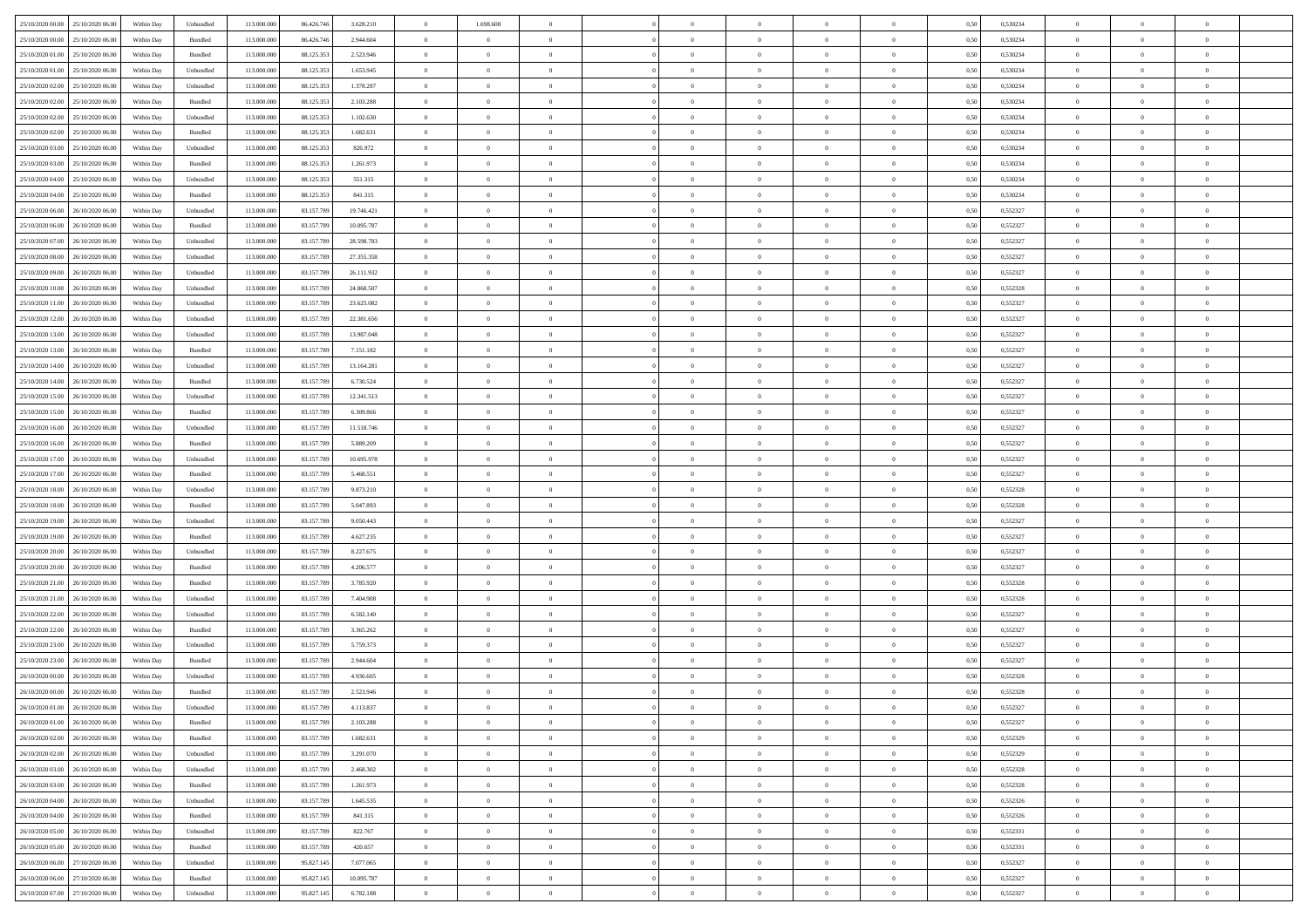| 25/10/2020 00:00 25/10/2020 06:00    | Within Day | Unbundled                   | 113.000.000 | 86.426.746 | 3.628.210  | $\overline{0}$ | 1.698.608      |                | $\overline{0}$ | $\theta$       |                | $\theta$       | 0,50 | 0,530234 | $\theta$       | $\theta$       | $\overline{0}$ |  |
|--------------------------------------|------------|-----------------------------|-------------|------------|------------|----------------|----------------|----------------|----------------|----------------|----------------|----------------|------|----------|----------------|----------------|----------------|--|
| 25/10/2020 00:00<br>25/10/2020 06.00 | Within Day | Bundled                     | 113.000.00  | 86.426.74  | 2.944.604  | $\bf{0}$       | $\bf{0}$       | $\bf{0}$       | $\overline{0}$ | $\overline{0}$ | $\overline{0}$ | $\bf{0}$       | 0,50 | 0,530234 | $\,$ 0 $\,$    | $\bf{0}$       | $\overline{0}$ |  |
| 25/10/2020 01:00<br>25/10/2020 06.00 | Within Day | Bundled                     | 113,000,000 | 88.125.353 | 2.523.946  | $\overline{0}$ | $\overline{0}$ | $\overline{0}$ | $\bf{0}$       | $\bf{0}$       | $\overline{0}$ | $\bf{0}$       | 0.50 | 0.530234 | $\bf{0}$       | $\overline{0}$ | $\overline{0}$ |  |
| 25/10/2020 01:00<br>25/10/2020 06:00 | Within Day | Unbundled                   | 113.000.000 | 88.125.353 | 1.653.945  | $\overline{0}$ | $\overline{0}$ | $\overline{0}$ | $\theta$       | $\theta$       | $\overline{0}$ | $\bf{0}$       | 0,50 | 0,530234 | $\,$ 0 $\,$    | $\theta$       | $\overline{0}$ |  |
| 25/10/2020 02.00<br>25/10/2020 06.00 | Within Day | Unbundled                   | 113.000.00  | 88.125.35  | 1.378.287  | $\bf{0}$       | $\overline{0}$ | $\bf{0}$       | $\overline{0}$ | $\theta$       | $\overline{0}$ | $\bf{0}$       | 0,50 | 0,530234 | $\,$ 0 $\,$    | $\bf{0}$       | $\overline{0}$ |  |
| 25/10/2020 02:00<br>25/10/2020 06.00 | Within Day | Bundled                     | 113,000,000 | 88.125.353 | 2.103.288  | $\overline{0}$ | $\bf{0}$       | $\overline{0}$ | $\bf{0}$       | $\overline{0}$ | $\theta$       | $\bf{0}$       | 0.50 | 0.530234 | $\,$ 0 $\,$    | $\theta$       | $\overline{0}$ |  |
| 25/10/2020 02:00<br>25/10/2020 06.00 | Within Day | Unbundled                   | 113.000.000 | 88.125.353 | 1.102.630  | $\overline{0}$ | $\overline{0}$ | $\overline{0}$ | $\overline{0}$ | $\overline{0}$ | $\overline{0}$ | $\bf{0}$       | 0,50 | 0,530234 | $\,$ 0 $\,$    | $\theta$       | $\overline{0}$ |  |
| 25/10/2020 02.00<br>25/10/2020 06.00 | Within Day | Bundled                     | 113.000.00  | 88.125.35  | 1.682.631  | $\bf{0}$       | $\bf{0}$       | $\bf{0}$       | $\overline{0}$ | $\overline{0}$ | $\overline{0}$ | $\bf{0}$       | 0,50 | 0,530234 | $\,$ 0 $\,$    | $\bf{0}$       | $\overline{0}$ |  |
| 25/10/2020 06:00                     |            | Unbundled                   | 113,000,000 | 88.125.353 |            |                |                |                |                |                | $\overline{0}$ |                |      | 0.530234 |                |                |                |  |
| 25/10/2020 03:00                     | Within Day |                             |             |            | 826.972    | $\overline{0}$ | $\bf{0}$       | $\overline{0}$ | $\bf{0}$       | $\overline{0}$ |                | $\bf{0}$       | 0.50 |          | $\bf{0}$       | $\overline{0}$ | $\overline{0}$ |  |
| 25/10/2020 03:00<br>25/10/2020 06:00 | Within Day | Bundled                     | 113.000.000 | 88.125.353 | 1.261.973  | $\bf{0}$       | $\bf{0}$       | $\overline{0}$ | $\overline{0}$ | $\overline{0}$ | $\overline{0}$ | $\bf{0}$       | 0,50 | 0,530234 | $\,$ 0 $\,$    | $\bf{0}$       | $\overline{0}$ |  |
| 25/10/2020 04:00<br>25/10/2020 06.00 | Within Day | Unbundled                   | 113.000.00  | 88.125.35  | 551.315    | $\bf{0}$       | $\bf{0}$       | $\bf{0}$       | $\bf{0}$       | $\bf{0}$       | $\overline{0}$ | $\bf{0}$       | 0,50 | 0,530234 | $\,$ 0 $\,$    | $\bf{0}$       | $\overline{0}$ |  |
| 25/10/2020 04:00<br>25/10/2020 06.00 | Within Day | Bundled                     | 113,000,000 | 88.125.353 | 841.315    | $\overline{0}$ | $\bf{0}$       | $\overline{0}$ | $\overline{0}$ | $\bf{0}$       | $\overline{0}$ | $\bf{0}$       | 0.50 | 0.530234 | $\bf{0}$       | $\overline{0}$ | $\overline{0}$ |  |
| 25/10/2020 06:00<br>26/10/2020 06.00 | Within Day | Unbundled                   | 113.000.000 | 83.157.789 | 19.746.421 | $\overline{0}$ | $\overline{0}$ | $\overline{0}$ | $\theta$       | $\theta$       | $\overline{0}$ | $\bf{0}$       | 0,50 | 0,552327 | $\,$ 0 $\,$    | $\theta$       | $\overline{0}$ |  |
| 25/10/2020 06.00<br>26/10/2020 06.00 | Within Day | Bundled                     | 113.000.00  | 83.157.789 | 10.095.787 | $\bf{0}$       | $\overline{0}$ | $\bf{0}$       | $\overline{0}$ | $\bf{0}$       | $\overline{0}$ | $\bf{0}$       | 0,50 | 0,552327 | $\,$ 0 $\,$    | $\bf{0}$       | $\overline{0}$ |  |
| 25/10/2020 07.00<br>26/10/2020 06:00 | Within Day | Unbundled                   | 113,000,000 | 83.157.789 | 28.598.783 | $\overline{0}$ | $\bf{0}$       | $\overline{0}$ | $\bf{0}$       | $\overline{0}$ | $\theta$       | $\bf{0}$       | 0.50 | 0.552327 | $\,$ 0 $\,$    | $\theta$       | $\overline{0}$ |  |
| 25/10/2020 08:00<br>26/10/2020 06.00 | Within Day | Unbundled                   | 113.000.000 | 83.157.789 | 27.355.358 | $\overline{0}$ | $\overline{0}$ | $\overline{0}$ | $\overline{0}$ | $\overline{0}$ | $\overline{0}$ | $\bf{0}$       | 0,50 | 0,552327 | $\theta$       | $\theta$       | $\overline{0}$ |  |
| 25/10/2020 09:00<br>26/10/2020 06.00 | Within Day | Unbundled                   | 113.000.00  | 83.157.789 | 26.111.932 | $\bf{0}$       | $\bf{0}$       | $\bf{0}$       | $\overline{0}$ | $\bf{0}$       | $\overline{0}$ | $\bf{0}$       | 0,50 | 0,552327 | $\,$ 0 $\,$    | $\bf{0}$       | $\overline{0}$ |  |
| 25/10/2020 10:00<br>26/10/2020 06:00 | Within Day | Unbundled                   | 113,000,00  | 83.157.789 | 24,868,507 | $\overline{0}$ | $\bf{0}$       | $\overline{0}$ | $\bf{0}$       | $\overline{0}$ | $\overline{0}$ | $\bf{0}$       | 0.50 | 0.552328 | $\bf{0}$       | $\overline{0}$ | $\overline{0}$ |  |
| 25/10/2020 11:00<br>26/10/2020 06.00 | Within Day | Unbundled                   | 113.000.000 | 83.157.789 | 23.625.082 | $\bf{0}$       | $\bf{0}$       | $\overline{0}$ | $\overline{0}$ | $\overline{0}$ | $\overline{0}$ | $\bf{0}$       | 0,50 | 0,552327 | $\,$ 0 $\,$    | $\bf{0}$       | $\overline{0}$ |  |
| 25/10/2020 12:00<br>26/10/2020 06.00 | Within Day | Unbundled                   | 113.000.00  | 83.157.789 | 22.381.656 | $\bf{0}$       | $\bf{0}$       | $\bf{0}$       | $\bf{0}$       | $\overline{0}$ | $\overline{0}$ | $\bf{0}$       | 0,50 | 0,552327 | $\,$ 0 $\,$    | $\bf{0}$       | $\overline{0}$ |  |
| 25/10/2020 13:00<br>26/10/2020 06:00 | Within Day | Unbundled                   | 113,000,000 | 83.157.789 | 13,987,048 | $\overline{0}$ | $\bf{0}$       | $\overline{0}$ | $\overline{0}$ | $\bf{0}$       | $\overline{0}$ | $\bf{0}$       | 0.50 | 0,552327 | $\bf{0}$       | $\overline{0}$ | $\overline{0}$ |  |
| 25/10/2020 13:00<br>26/10/2020 06.00 | Within Day | Bundled                     | 113.000.000 | 83.157.789 | 7.151.182  | $\overline{0}$ | $\overline{0}$ | $\overline{0}$ | $\theta$       | $\theta$       | $\overline{0}$ | $\bf{0}$       | 0,50 | 0,552327 | $\,$ 0 $\,$    | $\theta$       | $\overline{0}$ |  |
| 25/10/2020 14:00<br>26/10/2020 06.00 | Within Day | Unbundled                   | 113.000.00  | 83.157.789 | 13.164.281 | $\bf{0}$       | $\bf{0}$       | $\bf{0}$       | $\bf{0}$       | $\overline{0}$ | $\overline{0}$ | $\bf{0}$       | 0,50 | 0,552327 | $\,$ 0 $\,$    | $\bf{0}$       | $\overline{0}$ |  |
| 25/10/2020 14:00<br>26/10/2020 06:00 | Within Day | Bundled                     | 113,000,000 | 83.157.789 | 6.730.524  | $\overline{0}$ | $\bf{0}$       | $\overline{0}$ | $\bf{0}$       | $\overline{0}$ | $\overline{0}$ | $\bf{0}$       | 0.50 | 0.552327 | $\bf{0}$       | $\theta$       | $\overline{0}$ |  |
| 25/10/2020 15:00<br>26/10/2020 06.00 | Within Day | Unbundled                   | 113.000.000 | 83.157.789 | 12.341.513 | $\overline{0}$ | $\overline{0}$ | $\overline{0}$ | $\overline{0}$ | $\overline{0}$ | $\overline{0}$ | $\bf{0}$       | 0,50 | 0,552327 | $\,$ 0 $\,$    | $\theta$       | $\overline{0}$ |  |
| 25/10/2020 15:00<br>26/10/2020 06.00 | Within Day | Bundled                     | 113.000.00  | 83.157.789 | 6.309.866  | $\bf{0}$       | $\overline{0}$ | $\bf{0}$       | $\overline{0}$ | $\bf{0}$       | $\overline{0}$ | $\bf{0}$       | 0,50 | 0,552327 | $\,$ 0 $\,$    | $\bf{0}$       | $\overline{0}$ |  |
| 25/10/2020 16:00<br>26/10/2020 06:00 | Within Day | Unbundled                   | 113,000,000 | 83.157.789 | 11.518.746 | $\overline{0}$ | $\bf{0}$       | $\overline{0}$ | $\bf{0}$       | $\overline{0}$ | $\overline{0}$ | $\bf{0}$       | 0.50 | 0.552327 | $\bf{0}$       | $\overline{0}$ | $\overline{0}$ |  |
| 25/10/2020 16:00<br>26/10/2020 06:00 |            |                             | 113.000.000 |            |            | $\overline{0}$ | $\bf{0}$       | $\overline{0}$ | $\overline{0}$ | $\overline{0}$ | $\overline{0}$ |                |      |          | $\,$ 0 $\,$    | $\theta$       | $\overline{0}$ |  |
|                                      | Within Day | Bundled                     |             | 83.157.789 | 5.889.209  |                |                |                |                |                |                | $\bf{0}$       | 0,50 | 0,552327 |                |                |                |  |
| 25/10/2020 17:00<br>26/10/2020 06.00 | Within Day | Unbundled                   | 113.000.00  | 83.157.789 | 10.695.978 | $\bf{0}$       | $\bf{0}$       | $\bf{0}$       | $\bf{0}$       | $\overline{0}$ | $\overline{0}$ | $\bf{0}$       | 0,50 | 0,552327 | $\,$ 0 $\,$    | $\bf{0}$       | $\overline{0}$ |  |
| 25/10/2020 17:00<br>26/10/2020 06:00 | Within Day | Bundled                     | 113,000,000 | 83.157.789 | 5.468.551  | $\overline{0}$ | $\bf{0}$       | $\overline{0}$ | $\overline{0}$ | $\bf{0}$       | $\overline{0}$ | $\bf{0}$       | 0.50 | 0,552327 | $\bf{0}$       | $\overline{0}$ | $\overline{0}$ |  |
| 25/10/2020 18:00<br>26/10/2020 06:00 | Within Day | Unbundled                   | 113.000.000 | 83.157.789 | 9.873.210  | $\overline{0}$ | $\overline{0}$ | $\overline{0}$ | $\overline{0}$ | $\overline{0}$ | $\overline{0}$ | $\bf{0}$       | 0.5( | 0,552328 | $\theta$       | $\theta$       | $\overline{0}$ |  |
| 25/10/2020 18:00<br>26/10/2020 06.00 | Within Day | Bundled                     | 113.000.00  | 83.157.789 | 5.047.893  | $\bf{0}$       | $\overline{0}$ | $\bf{0}$       | $\bf{0}$       | $\overline{0}$ | $\overline{0}$ | $\bf{0}$       | 0,50 | 0,552328 | $\,$ 0 $\,$    | $\bf{0}$       | $\overline{0}$ |  |
| 25/10/2020 19:00<br>26/10/2020 06:00 | Within Day | Unbundled                   | 113,000,000 | 83.157.789 | 9.050.443  | $\overline{0}$ | $\bf{0}$       | $\overline{0}$ | $\bf{0}$       | $\overline{0}$ | $\overline{0}$ | $\bf{0}$       | 0.50 | 0.552327 | $\,$ 0 $\,$    | $\bf{0}$       | $\overline{0}$ |  |
| 25/10/2020 19:00<br>26/10/2020 06.00 | Within Day | Bundled                     | 113.000.000 | 83.157.789 | 4.627.235  | $\overline{0}$ | $\overline{0}$ | $\overline{0}$ | $\overline{0}$ | $\overline{0}$ | $\overline{0}$ | $\bf{0}$       | 0.50 | 0,552327 | $\theta$       | $\theta$       | $\overline{0}$ |  |
| 25/10/2020 20:00<br>26/10/2020 06.00 | Within Day | Unbundled                   | 113.000.00  | 83.157.789 | 8.227.675  | $\bf{0}$       | $\bf{0}$       | $\bf{0}$       | $\bf{0}$       | $\bf{0}$       | $\overline{0}$ | $\bf{0}$       | 0,50 | 0,552327 | $\,$ 0 $\,$    | $\bf{0}$       | $\overline{0}$ |  |
| 25/10/2020 20:00<br>26/10/2020 06:00 | Within Day | Bundled                     | 113,000,000 | 83.157.789 | 4.206.577  | $\overline{0}$ | $\bf{0}$       | $\overline{0}$ | $\bf{0}$       | $\overline{0}$ | $\overline{0}$ | $\bf{0}$       | 0.50 | 0.552327 | $\bf{0}$       | $\overline{0}$ | $\overline{0}$ |  |
| 25/10/2020 21:00<br>26/10/2020 06.00 | Within Day | Bundled                     | 113.000.000 | 83.157.789 | 3.785.920  | $\overline{0}$ | $\overline{0}$ | $\overline{0}$ | $\overline{0}$ | $\overline{0}$ | $\overline{0}$ | $\bf{0}$       | 0.50 | 0,552328 | $\theta$       | $\theta$       | $\overline{0}$ |  |
| 25/10/2020 21:00<br>26/10/2020 06.00 | Within Day | Unbundled                   | 113.000.00  | 83.157.789 | 7.404.908  | $\bf{0}$       | $\bf{0}$       | $\bf{0}$       | $\bf{0}$       | $\overline{0}$ | $\overline{0}$ | $\bf{0}$       | 0,50 | 0,552328 | $\,$ 0 $\,$    | $\bf{0}$       | $\overline{0}$ |  |
| 25/10/2020 22.00<br>26/10/2020 06:00 | Within Day | Unbundled                   | 113,000,000 | 83.157.789 | 6.582.140  | $\overline{0}$ | $\bf{0}$       | $\overline{0}$ | $\overline{0}$ | $\bf{0}$       | $\overline{0}$ | $\bf{0}$       | 0.50 | 0,552327 | $\bf{0}$       | $\overline{0}$ | $\overline{0}$ |  |
| 25/10/2020 22:00<br>26/10/2020 06:00 | Within Day | Bundled                     | 113.000.000 | 83.157.789 | 3.365.262  | $\overline{0}$ | $\overline{0}$ | $\overline{0}$ | $\overline{0}$ | $\overline{0}$ | $\overline{0}$ | $\bf{0}$       | 0.5( | 0,552327 | $\theta$       | $\theta$       | $\overline{0}$ |  |
| 25/10/2020 23.00<br>26/10/2020 06.00 | Within Day | Unbundled                   | 113.000.00  | 83.157.789 | 5.759.373  | $\bf{0}$       | $\bf{0}$       | $\bf{0}$       | $\bf{0}$       | $\overline{0}$ | $\overline{0}$ | $\bf{0}$       | 0,50 | 0,552327 | $\,$ 0 $\,$    | $\bf{0}$       | $\overline{0}$ |  |
| 25/10/2020 23.00<br>26/10/2020 06.00 | Within Day | Bundled                     | 113,000,000 | 83.157.789 | 2.944.604  | $\overline{0}$ | $\overline{0}$ | $\overline{0}$ | $\bf{0}$       | $\overline{0}$ | $\Omega$       | $\bf{0}$       | 0.50 | 0.552327 | $\bf{0}$       | $\theta$       | $\overline{0}$ |  |
| 26/10/2020 00:00<br>26/10/2020 06.00 | Within Dav | Unbundled                   | 113.000.000 | 83.157.789 | 4.936.605  | $\overline{0}$ | $\overline{0}$ | $\Omega$       | $\overline{0}$ | $\theta$       | $\overline{0}$ | $\overline{0}$ | 0.5( | 0,552328 | $\theta$       | $\theta$       | $\overline{0}$ |  |
| 26/10/2020 00:00<br>26/10/2020 06.00 | Within Day | Bundled                     | 113.000.000 | 83.157.789 | 2.523.946  | $\bf{0}$       | $\bf{0}$       | $\bf{0}$       | $\bf{0}$       | $\bf{0}$       | $\overline{0}$ | $\bf{0}$       | 0,50 | 0,552328 | $\,$ 0 $\,$    | $\bf{0}$       | $\overline{0}$ |  |
| 26/10/2020 01:00 26/10/2020 06:00    | Within Day | $\ensuremath{\mathsf{Unb}}$ | 113.000.000 | 83.157.789 | 4.113.837  | $\bf{0}$       | $\Omega$       |                | $\overline{0}$ |                |                |                | 0,50 | 0,552327 | $\bf{0}$       | $\overline{0}$ |                |  |
| 26/10/2020 01:00 26/10/2020 06:00    | Within Day | Bundled                     | 113.000.000 | 83.157.789 | 2.103.288  | $\overline{0}$ | $\overline{0}$ | $\Omega$       | $\theta$       | $\overline{0}$ | $\overline{0}$ | $\bf{0}$       | 0,50 | 0,552327 | $\theta$       | $\theta$       | $\overline{0}$ |  |
| 26/10/2020 02.00<br>26/10/2020 06.00 | Within Day | Bundled                     | 113.000.00  | 83.157.789 | 1.682.631  | $\overline{0}$ | $\bf{0}$       | $\overline{0}$ | $\overline{0}$ | $\bf{0}$       | $\overline{0}$ | $\bf{0}$       | 0,50 | 0,552329 | $\bf{0}$       | $\overline{0}$ | $\bf{0}$       |  |
| 26/10/2020 02:00 26/10/2020 06:00    | Within Day | Unbundled                   | 113,000,000 | 83.157.789 | 3.291.070  | $\overline{0}$ | $\bf{0}$       | $\overline{0}$ | $\overline{0}$ | $\overline{0}$ | $\overline{0}$ | $\,$ 0 $\,$    | 0.50 | 0,552329 | $\overline{0}$ | $\bf{0}$       | $\,$ 0 $\,$    |  |
| 26/10/2020 03:00 26/10/2020 06:00    | Within Dav | Unbundled                   | 113.000.000 | 83.157.789 | 2.468.302  | $\overline{0}$ | $\overline{0}$ | $\overline{0}$ | $\overline{0}$ | $\overline{0}$ | $\overline{0}$ | $\bf{0}$       | 0.50 | 0,552328 | $\overline{0}$ | $\theta$       | $\overline{0}$ |  |
| 26/10/2020 03:00<br>26/10/2020 06.00 | Within Day | Bundled                     | 113.000.000 | 83.157.789 | 1.261.973  | $\overline{0}$ | $\bf{0}$       | $\overline{0}$ | $\bf{0}$       | $\overline{0}$ | $\bf{0}$       | $\bf{0}$       | 0,50 | 0,552328 | $\bf{0}$       | $\overline{0}$ | $\overline{0}$ |  |
| 26/10/2020 04:00<br>26/10/2020 06.00 | Within Day | Unbundled                   | 113,000,000 | 83.157.789 | 1.645.535  | $\overline{0}$ | $\bf{0}$       | $\overline{0}$ | $\overline{0}$ | $\overline{0}$ | $\overline{0}$ | $\bf{0}$       | 0.50 | 0.552326 | $\,$ 0 $\,$    | $\theta$       | $\overline{0}$ |  |
| 26/10/2020 04:00                     |            |                             |             |            |            |                |                |                |                |                |                |                |      |          |                |                |                |  |
| 26/10/2020 06:00                     | Within Dav | Bundled                     | 113.000.000 | 83.157.789 | 841.315    | $\overline{0}$ | $\overline{0}$ | $\overline{0}$ | $\overline{0}$ | $\overline{0}$ | $\overline{0}$ | $\bf{0}$       | 0.50 | 0,552326 | $\overline{0}$ | $\theta$       | $\overline{0}$ |  |
| 26/10/2020 05:00<br>26/10/2020 06.00 | Within Day | Unbundled                   | 113.000.00  | 83.157.789 | 822.767    | $\overline{0}$ | $\overline{0}$ | $\overline{0}$ | $\overline{0}$ | $\overline{0}$ | $\overline{0}$ | $\bf{0}$       | 0,50 | 0,552331 | $\bf{0}$       | $\overline{0}$ | $\overline{0}$ |  |
| 26/10/2020 05:00<br>26/10/2020 06:00 | Within Day | Bundled                     | 113,000,000 | 83.157.789 | 420.657    | $\overline{0}$ | $\overline{0}$ | $\overline{0}$ | $\overline{0}$ | $\bf{0}$       | $\overline{0}$ | $\bf{0}$       | 0.50 | 0.552331 | $\mathbf{0}$   | $\bf{0}$       | $\,$ 0         |  |
| 26/10/2020 06:00 27/10/2020 06:00    | Within Dav | Unbundled                   | 113.000.000 | 95.827.145 | 7.077.065  | $\overline{0}$ | $\overline{0}$ | $\overline{0}$ | $\overline{0}$ | $\overline{0}$ | $\overline{0}$ | $\bf{0}$       | 0,50 | 0,552327 | $\overline{0}$ | $\theta$       | $\overline{0}$ |  |
| 26/10/2020 06.00<br>27/10/2020 06.00 | Within Day | Bundled                     | 113.000.00  | 95.827.145 | 10.095.787 | $\overline{0}$ | $\bf{0}$       | $\overline{0}$ | $\bf{0}$       | $\overline{0}$ | $\bf{0}$       | $\bf{0}$       | 0,50 | 0,552327 | $\bf{0}$       | $\bf{0}$       | $\overline{0}$ |  |
| 26/10/2020 07:00 27/10/2020 06:00    | Within Day | Unbundled                   | 113.000.000 | 95.827.145 | 6.782.188  | $\overline{0}$ | $\bf{0}$       | $\overline{0}$ | $\overline{0}$ | $\,$ 0 $\,$    | $\overline{0}$ | $\bf{0}$       | 0,50 | 0,552327 | $\overline{0}$ | $\,$ 0 $\,$    | $\,$ 0 $\,$    |  |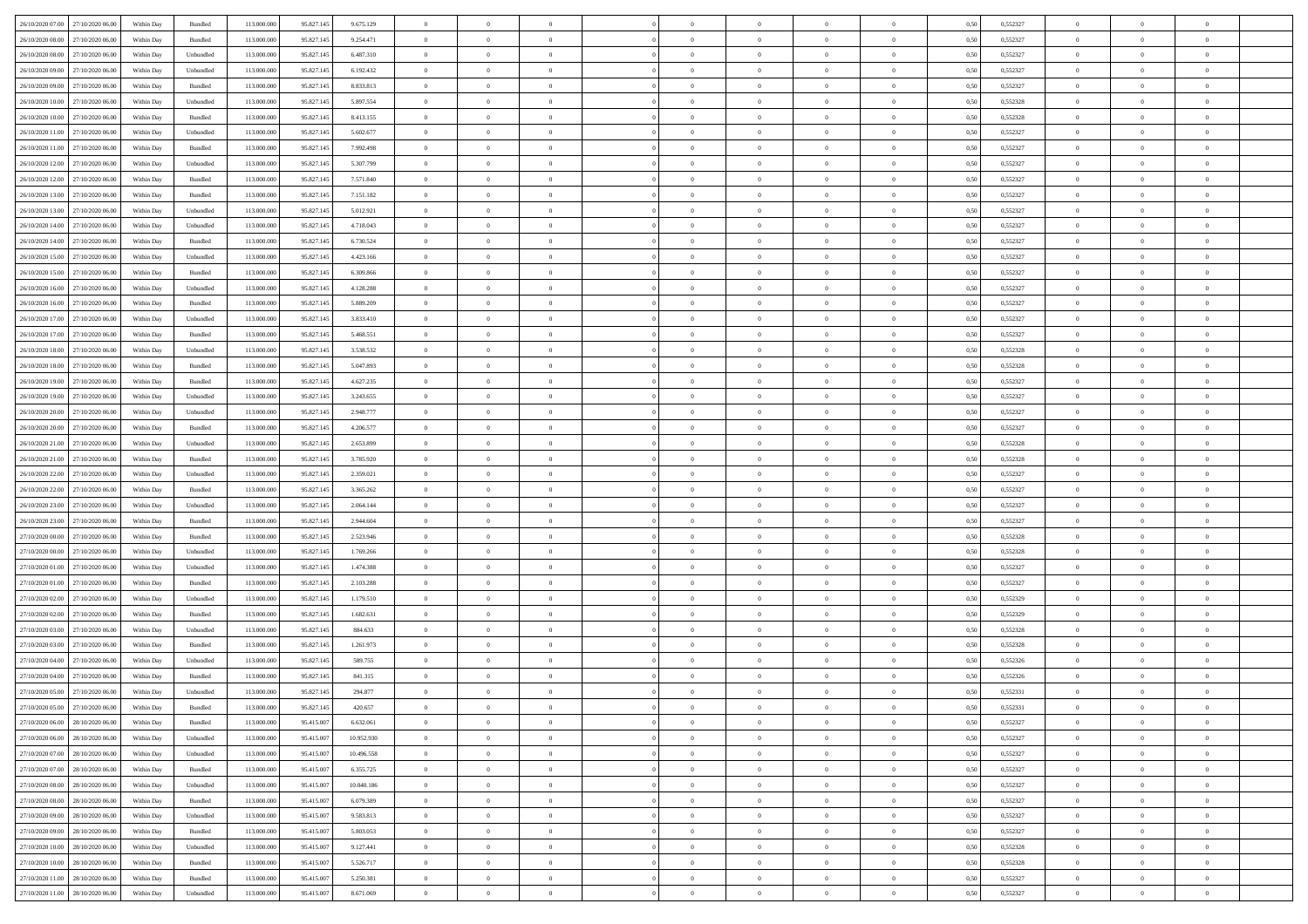| 26/10/2020 07:00 27/10/2020 06:00    | Within Day | Bundled   | 113.000.000 | 95.827.145 | 9.675.129  | $\overline{0}$ | $\overline{0}$ |                | $\overline{0}$ | $\theta$       |                | $\theta$       | 0,50 | 0,552327 | $\theta$       | $\theta$       | $\overline{0}$ |  |
|--------------------------------------|------------|-----------|-------------|------------|------------|----------------|----------------|----------------|----------------|----------------|----------------|----------------|------|----------|----------------|----------------|----------------|--|
| 26/10/2020 08:00<br>27/10/2020 06.00 | Within Day | Bundled   | 113.000.00  | 95.827.14: | 9.254.471  | $\bf{0}$       | $\bf{0}$       | $\bf{0}$       | $\overline{0}$ | $\overline{0}$ | $\overline{0}$ | $\bf{0}$       | 0,50 | 0,552327 | $\,$ 0 $\,$    | $\bf{0}$       | $\overline{0}$ |  |
| 26/10/2020 08:00<br>27/10/2020 06.00 | Within Day | Unbundled | 113,000,000 | 95.827.145 | 6.487.310  | $\overline{0}$ | $\bf{0}$       | $\overline{0}$ | $\bf{0}$       | $\bf{0}$       | $\overline{0}$ | $\bf{0}$       | 0.50 | 0,552327 | $\bf{0}$       | $\overline{0}$ | $\overline{0}$ |  |
| 26/10/2020 09:00<br>27/10/2020 06.00 | Within Day | Unbundled | 113.000.000 | 95.827.145 | 6.192.432  | $\overline{0}$ | $\overline{0}$ | $\overline{0}$ | $\theta$       | $\theta$       | $\overline{0}$ | $\bf{0}$       | 0,50 | 0,552327 | $\theta$       | $\theta$       | $\overline{0}$ |  |
| 26/10/2020 09:00<br>27/10/2020 06.00 | Within Day | Bundled   | 113.000.00  | 95.827.14: | 8.833.813  | $\bf{0}$       | $\overline{0}$ | $\bf{0}$       | $\overline{0}$ | $\theta$       | $\overline{0}$ | $\bf{0}$       | 0,50 | 0,552327 | $\,$ 0 $\,$    | $\bf{0}$       | $\overline{0}$ |  |
| 26/10/2020 10:00<br>27/10/2020 06.00 | Within Day | Unbundled | 113,000,000 | 95.827.145 | 5.897.554  | $\overline{0}$ | $\overline{0}$ | $\overline{0}$ | $\bf{0}$       | $\overline{0}$ | $\theta$       | $\bf{0}$       | 0.50 | 0.552328 | $\,$ 0 $\,$    | $\theta$       | $\overline{0}$ |  |
| 26/10/2020 10:00<br>27/10/2020 06.00 | Within Day | Bundled   | 113.000.000 | 95.827.145 | 8.413.155  | $\overline{0}$ | $\overline{0}$ | $\overline{0}$ | $\overline{0}$ | $\overline{0}$ | $\overline{0}$ | $\bf{0}$       | 0,50 | 0,552328 | $\,$ 0 $\,$    | $\theta$       | $\overline{0}$ |  |
|                                      |            |           |             |            |            |                |                |                |                |                |                |                |      |          |                |                |                |  |
| 26/10/2020 11:00<br>27/10/2020 06.00 | Within Day | Unbundled | 113.000.00  | 95.827.14: | 5.602.677  | $\bf{0}$       | $\bf{0}$       | $\bf{0}$       | $\overline{0}$ | $\bf{0}$       | $\overline{0}$ | $\bf{0}$       | 0,50 | 0,552327 | $\,$ 0 $\,$    | $\bf{0}$       | $\overline{0}$ |  |
| 26/10/2020 11:00<br>27/10/2020 06:00 | Within Day | Bundled   | 113,000,000 | 95.827.145 | 7.992.498  | $\overline{0}$ | $\bf{0}$       | $\overline{0}$ | $\bf{0}$       | $\overline{0}$ | $\overline{0}$ | $\bf{0}$       | 0.50 | 0.552327 | $\bf{0}$       | $\overline{0}$ | $\overline{0}$ |  |
| 26/10/2020 12:00<br>27/10/2020 06:00 | Within Day | Unbundled | 113.000.000 | 95.827.145 | 5.307.799  | $\overline{0}$ | $\bf{0}$       | $\overline{0}$ | $\overline{0}$ | $\overline{0}$ | $\overline{0}$ | $\bf{0}$       | 0,50 | 0,552327 | $\,$ 0 $\,$    | $\bf{0}$       | $\overline{0}$ |  |
| 26/10/2020 12:00<br>27/10/2020 06.00 | Within Day | Bundled   | 113.000.00  | 95.827.145 | 7.571.840  | $\bf{0}$       | $\overline{0}$ | $\bf{0}$       | $\bf{0}$       | $\bf{0}$       | $\overline{0}$ | $\bf{0}$       | 0,50 | 0,552327 | $\,$ 0 $\,$    | $\bf{0}$       | $\overline{0}$ |  |
| 26/10/2020 13:00<br>27/10/2020 06.00 | Within Day | Bundled   | 113,000,000 | 95.827.145 | 7.151.182  | $\overline{0}$ | $\bf{0}$       | $\overline{0}$ | $\overline{0}$ | $\bf{0}$       | $\overline{0}$ | $\bf{0}$       | 0.50 | 0,552327 | $\bf{0}$       | $\overline{0}$ | $\bf{0}$       |  |
| 26/10/2020 13:00<br>27/10/2020 06.00 | Within Day | Unbundled | 113.000.000 | 95.827.145 | 5.012.921  | $\overline{0}$ | $\overline{0}$ | $\overline{0}$ | $\theta$       | $\theta$       | $\overline{0}$ | $\bf{0}$       | 0,50 | 0,552327 | $\,$ 0 $\,$    | $\theta$       | $\overline{0}$ |  |
| 26/10/2020 14:00<br>27/10/2020 06.00 | Within Day | Unbundled | 113.000.00  | 95.827.14: | 4.718.043  | $\bf{0}$       | $\overline{0}$ | $\bf{0}$       | $\overline{0}$ | $\theta$       | $\overline{0}$ | $\bf{0}$       | 0,50 | 0,552327 | $\,$ 0 $\,$    | $\bf{0}$       | $\overline{0}$ |  |
| 26/10/2020 14:00<br>27/10/2020 06.00 | Within Day | Bundled   | 113,000,000 | 95.827.145 | 6.730.524  | $\overline{0}$ | $\overline{0}$ | $\overline{0}$ | $\bf{0}$       | $\overline{0}$ | $\theta$       | $\bf{0}$       | 0.50 | 0.552327 | $\,$ 0 $\,$    | $\theta$       | $\overline{0}$ |  |
| 26/10/2020 15:00<br>27/10/2020 06.00 | Within Day | Unbundled | 113.000.000 | 95.827.145 | 4.423.166  | $\overline{0}$ | $\overline{0}$ | $\overline{0}$ | $\overline{0}$ | $\overline{0}$ | $\overline{0}$ | $\bf{0}$       | 0,50 | 0,552327 | $\theta$       | $\theta$       | $\overline{0}$ |  |
| 26/10/2020 15:00<br>27/10/2020 06.00 | Within Day | Bundled   | 113.000.00  | 95.827.14: | 6.309.866  | $\bf{0}$       | $\bf{0}$       | $\bf{0}$       | $\overline{0}$ | $\bf{0}$       | $\overline{0}$ | $\bf{0}$       | 0,50 | 0,552327 | $\,$ 0 $\,$    | $\bf{0}$       | $\overline{0}$ |  |
| 26/10/2020 16.00<br>27/10/2020 06:00 | Within Day | Unbundled | 113,000,00  | 95.827.14  | 4.128.288  | $\overline{0}$ | $\bf{0}$       | $\overline{0}$ | $\bf{0}$       | $\overline{0}$ | $\overline{0}$ | $\bf{0}$       | 0.50 | 0.552327 | $\bf{0}$       | $\overline{0}$ | $\overline{0}$ |  |
|                                      |            |           |             |            |            | $\overline{0}$ |                | $\overline{0}$ | $\overline{0}$ | $\overline{0}$ | $\overline{0}$ |                |      |          | $\,$ 0 $\,$    |                | $\overline{0}$ |  |
| 26/10/2020 16:00<br>27/10/2020 06.00 | Within Day | Bundled   | 113.000.000 | 95.827.145 | 5.889.209  |                | $\bf{0}$       |                |                |                |                | $\bf{0}$       | 0,50 | 0,552327 |                | $\bf{0}$       |                |  |
| 26/10/2020 17:00<br>27/10/2020 06.00 | Within Day | Unbundled | 113.000.00  | 95.827.14: | 3.833.410  | $\bf{0}$       | $\bf{0}$       | $\bf{0}$       | $\bf{0}$       | $\overline{0}$ | $\overline{0}$ | $\bf{0}$       | 0,50 | 0,552327 | $\,$ 0 $\,$    | $\bf{0}$       | $\overline{0}$ |  |
| 26/10/2020 17:00<br>27/10/2020 06.00 | Within Day | Bundled   | 113,000,000 | 95.827.145 | 5.468.551  | $\overline{0}$ | $\bf{0}$       | $\overline{0}$ | $\bf{0}$       | $\bf{0}$       | $\overline{0}$ | $\bf{0}$       | 0.50 | 0,552327 | $\bf{0}$       | $\overline{0}$ | $\bf{0}$       |  |
| 26/10/2020 18:00<br>27/10/2020 06.00 | Within Day | Unbundled | 113.000.000 | 95.827.145 | 3.538.532  | $\overline{0}$ | $\overline{0}$ | $\overline{0}$ | $\theta$       | $\theta$       | $\overline{0}$ | $\bf{0}$       | 0,50 | 0,552328 | $\theta$       | $\theta$       | $\overline{0}$ |  |
| 26/10/2020 18:00<br>27/10/2020 06.00 | Within Day | Bundled   | 113.000.00  | 95.827.14: | 5.047.893  | $\bf{0}$       | $\bf{0}$       | $\bf{0}$       | $\overline{0}$ | $\overline{0}$ | $\overline{0}$ | $\bf{0}$       | 0,50 | 0,552328 | $\,$ 0 $\,$    | $\bf{0}$       | $\overline{0}$ |  |
| 26/10/2020 19:00<br>27/10/2020 06:00 | Within Day | Bundled   | 113,000,000 | 95.827.14  | 4.627.235  | $\overline{0}$ | $\overline{0}$ | $\overline{0}$ | $\overline{0}$ | $\overline{0}$ | $\theta$       | $\bf{0}$       | 0.50 | 0.552327 | $\,$ 0 $\,$    | $\theta$       | $\overline{0}$ |  |
| 26/10/2020 19:00<br>27/10/2020 06.00 | Within Day | Unbundled | 113.000.000 | 95.827.145 | 3.243.655  | $\overline{0}$ | $\overline{0}$ | $\overline{0}$ | $\overline{0}$ | $\overline{0}$ | $\overline{0}$ | $\bf{0}$       | 0,50 | 0,552327 | $\,$ 0 $\,$    | $\theta$       | $\overline{0}$ |  |
| 26/10/2020 20:00<br>27/10/2020 06.00 | Within Day | Unbundled | 113.000.00  | 95.827.14: | 2.948.777  | $\bf{0}$       | $\overline{0}$ | $\bf{0}$       | $\overline{0}$ | $\bf{0}$       | $\overline{0}$ | $\bf{0}$       | 0,50 | 0,552327 | $\,$ 0 $\,$    | $\bf{0}$       | $\overline{0}$ |  |
| 26/10/2020 20:00<br>27/10/2020 06:00 | Within Day | Bundled   | 113,000,000 | 95.827.145 | 4.206.577  | $\overline{0}$ | $\bf{0}$       | $\overline{0}$ | $\bf{0}$       | $\overline{0}$ | $\overline{0}$ | $\bf{0}$       | 0.50 | 0.552327 | $\bf{0}$       | $\overline{0}$ | $\overline{0}$ |  |
| 26/10/2020 21:00<br>27/10/2020 06:00 | Within Day | Unbundled | 113.000.000 | 95.827.145 | 2.653.899  | $\overline{0}$ | $\bf{0}$       | $\overline{0}$ | $\overline{0}$ | $\overline{0}$ | $\overline{0}$ | $\bf{0}$       | 0,50 | 0,552328 | $\theta$       | $\theta$       | $\overline{0}$ |  |
| 26/10/2020 21:00<br>27/10/2020 06.00 | Within Day | Bundled   | 113.000.00  | 95.827.14: | 3.785.920  | $\bf{0}$       | $\bf{0}$       | $\bf{0}$       | $\bf{0}$       | $\overline{0}$ | $\overline{0}$ | $\bf{0}$       | 0,50 | 0,552328 | $\,$ 0 $\,$    | $\bf{0}$       | $\overline{0}$ |  |
| 26/10/2020 22.00<br>27/10/2020 06.00 | Within Day | Unbundled | 113,000,000 | 95.827.145 | 2.359.021  | $\overline{0}$ | $\bf{0}$       | $\overline{0}$ | $\bf{0}$       | $\bf{0}$       | $\overline{0}$ | $\bf{0}$       | 0.50 | 0.552327 | $\bf{0}$       | $\overline{0}$ | $\bf{0}$       |  |
| 26/10/2020 22.00<br>27/10/2020 06.00 | Within Day | Bundled   | 113.000.000 | 95.827.145 | 3.365.262  | $\overline{0}$ | $\overline{0}$ | $\overline{0}$ | $\overline{0}$ | $\overline{0}$ | $\overline{0}$ | $\bf{0}$       | 0.5( | 0,552327 | $\theta$       | $\theta$       | $\overline{0}$ |  |
|                                      |            |           |             |            |            |                |                |                |                | $\overline{0}$ | $\overline{0}$ |                |      |          |                |                |                |  |
| 26/10/2020 23:00<br>27/10/2020 06.00 | Within Day | Unbundled | 113.000.00  | 95.827.14: | 2.064.144  | $\bf{0}$       | $\overline{0}$ | $\bf{0}$       | $\bf{0}$       |                |                | $\bf{0}$       | 0,50 | 0,552327 | $\,$ 0 $\,$    | $\bf{0}$       | $\overline{0}$ |  |
| 26/10/2020 23.00<br>27/10/2020 06.00 | Within Day | Bundled   | 113,000,000 | 95.827.145 | 2.944.604  | $\overline{0}$ | $\bf{0}$       | $\overline{0}$ | $\bf{0}$       | $\overline{0}$ | $\Omega$       | $\bf{0}$       | 0.50 | 0.552327 | $\,$ 0 $\,$    | $\bf{0}$       | $\overline{0}$ |  |
| 27/10/2020 00:00<br>27/10/2020 06.00 | Within Day | Bundled   | 113.000.000 | 95.827.145 | 2.523.946  | $\overline{0}$ | $\overline{0}$ | $\overline{0}$ | $\overline{0}$ | $\overline{0}$ | $\overline{0}$ | $\bf{0}$       | 0.50 | 0,552328 | $\theta$       | $\theta$       | $\overline{0}$ |  |
| 27/10/2020 00:00<br>27/10/2020 06.00 | Within Day | Unbundled | 113.000.00  | 95.827.14: | 1.769.266  | $\bf{0}$       | $\bf{0}$       | $\bf{0}$       | $\overline{0}$ | $\overline{0}$ | $\overline{0}$ | $\bf{0}$       | 0,50 | 0,552328 | $\,$ 0 $\,$    | $\bf{0}$       | $\overline{0}$ |  |
| 27/10/2020 01:00<br>27/10/2020 06:00 | Within Day | Unbundled | 113,000,00  | 95.827.14  | 1.474.388  | $\overline{0}$ | $\bf{0}$       | $\overline{0}$ | $\bf{0}$       | $\overline{0}$ | $\overline{0}$ | $\bf{0}$       | 0.50 | 0.552327 | $\bf{0}$       | $\overline{0}$ | $\overline{0}$ |  |
| 27/10/2020 01:00<br>27/10/2020 06.00 | Within Day | Bundled   | 113.000.000 | 95.827.145 | 2.103.288  | $\overline{0}$ | $\overline{0}$ | $\overline{0}$ | $\overline{0}$ | $\overline{0}$ | $\overline{0}$ | $\bf{0}$       | 0.50 | 0,552327 | $\theta$       | $\theta$       | $\overline{0}$ |  |
| 27/10/2020 02.00<br>27/10/2020 06.00 | Within Day | Unbundled | 113.000.00  | 95.827.14: | 1.179.510  | $\bf{0}$       | $\bf{0}$       | $\bf{0}$       | $\bf{0}$       | $\overline{0}$ | $\overline{0}$ | $\bf{0}$       | 0,50 | 0,552329 | $\,$ 0 $\,$    | $\bf{0}$       | $\overline{0}$ |  |
| 27/10/2020 02.00<br>27/10/2020 06.00 | Within Day | Bundled   | 113,000,000 | 95.827.145 | 1.682.631  | $\overline{0}$ | $\bf{0}$       | $\overline{0}$ | $\bf{0}$       | $\bf{0}$       | $\overline{0}$ | $\bf{0}$       | 0.50 | 0,552329 | $\bf{0}$       | $\overline{0}$ | $\overline{0}$ |  |
| 27/10/2020 03:00<br>27/10/2020 06.00 | Within Day | Unbundled | 113.000.000 | 95.827.145 | 884.633    | $\overline{0}$ | $\overline{0}$ | $\overline{0}$ | $\overline{0}$ | $\overline{0}$ | $\overline{0}$ | $\bf{0}$       | 0.5( | 0,552328 | $\theta$       | $\theta$       | $\overline{0}$ |  |
| 27/10/2020 03:00<br>27/10/2020 06.00 | Within Day | Bundled   | 113.000.00  | 95.827.14: | 1.261.973  | $\bf{0}$       | $\bf{0}$       | $\bf{0}$       | $\bf{0}$       | $\overline{0}$ | $\overline{0}$ | $\bf{0}$       | 0,50 | 0,552328 | $\,$ 0 $\,$    | $\bf{0}$       | $\overline{0}$ |  |
| 27/10/2020 04.00<br>27/10/2020 06.00 | Within Day | Unbundled | 113,000,00  | 95.827.14  | 589,755    | $\overline{0}$ | $\overline{0}$ | $\overline{0}$ | $\bf{0}$       | $\overline{0}$ | $\Omega$       | $\bf{0}$       | 0.50 | 0.552326 | $\bf{0}$       | $\theta$       | $\overline{0}$ |  |
| 27/10/2020 04:00<br>27/10/2020 06.00 | Within Day | Bundled   | 113.000.000 | 95.827.145 | 841.315    | $\overline{0}$ | $\overline{0}$ | $\Omega$       | $\overline{0}$ | $\theta$       | $\Omega$       | $\overline{0}$ | 0.5( | 0,552326 | $\theta$       | $\theta$       | $\overline{0}$ |  |
| 27/10/2020 05:00<br>27/10/2020 06.00 | Within Day | Unbundled | 113.000.00  | 95.827.145 | 294.877    | $\bf{0}$       | $\bf{0}$       | $\overline{0}$ | $\bf{0}$       | $\bf{0}$       | $\overline{0}$ | $\bf{0}$       | 0,50 | 0,552331 | $\overline{0}$ | $\bf{0}$       | $\overline{0}$ |  |
| 27/10/2020 05:00 27/10/2020 06:00    | Within Day | Bundled   | 113.000.000 | 95.827.145 | 420.657    | $\bf{0}$       | $\Omega$       |                | $\Omega$       |                |                |                | 0,50 | 0,552331 | $\bf{0}$       | $\overline{0}$ |                |  |
|                                      |            |           |             |            |            | $\overline{0}$ | $\overline{0}$ | $\Omega$       |                | $\overline{0}$ |                |                |      |          | $\theta$       | $\theta$       | $\overline{0}$ |  |
| 27/10/2020 06:00 28/10/2020 06:00    | Within Day | Bundled   | 113.000.000 | 95.415.007 | 6.632.061  |                |                |                | $\theta$       |                | $\overline{0}$ | $\bf{0}$       | 0,50 | 0,552327 |                |                |                |  |
| 27/10/2020 06.00<br>28/10/2020 06.00 | Within Day | Unbundled | 113.000.00  | 95.415.00  | 10.952.930 | $\overline{0}$ | $\bf{0}$       | $\overline{0}$ | $\overline{0}$ | $\bf{0}$       | $\overline{0}$ | $\bf{0}$       | 0,50 | 0,552327 | $\bf{0}$       | $\overline{0}$ | $\bf{0}$       |  |
| 27/10/2020 07:00 28/10/2020 06:00    | Within Day | Unbundled | 113,000,000 | 95.415.007 | 10.496.558 | $\overline{0}$ | $\bf{0}$       | $\overline{0}$ | $\overline{0}$ | $\overline{0}$ | $\overline{0}$ | $\,$ 0 $\,$    | 0.50 | 0,552327 | $\overline{0}$ | $\bf{0}$       | $\,$ 0 $\,$    |  |
| 27/10/2020 07:00 28/10/2020 06:00    | Within Dav | Bundled   | 113.000.000 | 95.415.007 | 6.355.725  | $\overline{0}$ | $\overline{0}$ | $\overline{0}$ | $\overline{0}$ | $\overline{0}$ | $\overline{0}$ | $\bf{0}$       | 0.50 | 0,552327 | $\overline{0}$ | $\theta$       | $\overline{0}$ |  |
| 27/10/2020 08:00<br>28/10/2020 06.00 | Within Day | Unbundled | 113.000.000 | 95.415.007 | 10.040.186 | $\overline{0}$ | $\bf{0}$       | $\overline{0}$ | $\overline{0}$ | $\overline{0}$ | $\bf{0}$       | $\bf{0}$       | 0,50 | 0,552327 | $\bf{0}$       | $\overline{0}$ | $\overline{0}$ |  |
| 27/10/2020 08:00<br>28/10/2020 06:00 | Within Day | Bundled   | 113,000,000 | 95.415.007 | 6.079.389  | $\overline{0}$ | $\bf{0}$       | $\overline{0}$ | $\overline{0}$ | $\overline{0}$ | $\overline{0}$ | $\bf{0}$       | 0.50 | 0.552327 | $\,$ 0 $\,$    | $\theta$       | $\,$ 0         |  |
| 27/10/2020 09:00<br>28/10/2020 06:00 | Within Dav | Unbundled | 113.000.000 | 95.415.007 | 9.583.813  | $\overline{0}$ | $\overline{0}$ | $\overline{0}$ | $\overline{0}$ | $\overline{0}$ | $\overline{0}$ | $\bf{0}$       | 0.50 | 0,552327 | $\overline{0}$ | $\theta$       | $\overline{0}$ |  |
| 27/10/2020 09:00<br>28/10/2020 06.00 | Within Day | Bundled   | 113.000.00  | 95.415.007 | 5.803.053  | $\overline{0}$ | $\overline{0}$ | $\overline{0}$ | $\overline{0}$ | $\overline{0}$ | $\overline{0}$ | $\bf{0}$       | 0,50 | 0,552327 | $\bf{0}$       | $\overline{0}$ | $\overline{0}$ |  |
| 27/10/2020 10:00<br>28/10/2020 06:00 | Within Day | Unbundled | 113,000,000 | 95.415.007 | 9.127.441  | $\overline{0}$ | $\overline{0}$ | $\overline{0}$ | $\overline{0}$ | $\bf{0}$       | $\overline{0}$ | $\bf{0}$       | 0.50 | 0.552328 | $\mathbf{0}$   | $\bf{0}$       | $\,$ 0         |  |
| 27/10/2020 10:00 28/10/2020 06:00    | Within Dav | Bundled   | 113.000.000 | 95.415.007 | 5.526.717  | $\overline{0}$ | $\overline{0}$ | $\overline{0}$ | $\overline{0}$ | $\overline{0}$ | $\overline{0}$ | $\bf{0}$       | 0,50 | 0,552328 | $\overline{0}$ | $\theta$       | $\overline{0}$ |  |
| 27/10/2020 11:00<br>28/10/2020 06.00 | Within Day | Bundled   | 113.000.00  | 95.415.007 | 5.250.381  | $\overline{0}$ | $\bf{0}$       | $\overline{0}$ | $\bf{0}$       | $\overline{0}$ | $\bf{0}$       | $\bf{0}$       | 0,50 | 0,552327 | $\bf{0}$       | $\bf{0}$       | $\overline{0}$ |  |
|                                      |            |           |             |            |            |                |                |                |                |                |                |                |      |          |                |                |                |  |
| 27/10/2020 11:00 28/10/2020 06:00    | Within Day | Unbundled | 113.000.000 | 95.415.007 | 8.671.069  | $\overline{0}$ | $\bf{0}$       | $\overline{0}$ | $\overline{0}$ | $\,$ 0 $\,$    | $\overline{0}$ | $\bf{0}$       | 0,50 | 0,552327 | $\overline{0}$ | $\,$ 0 $\,$    | $\,$ 0 $\,$    |  |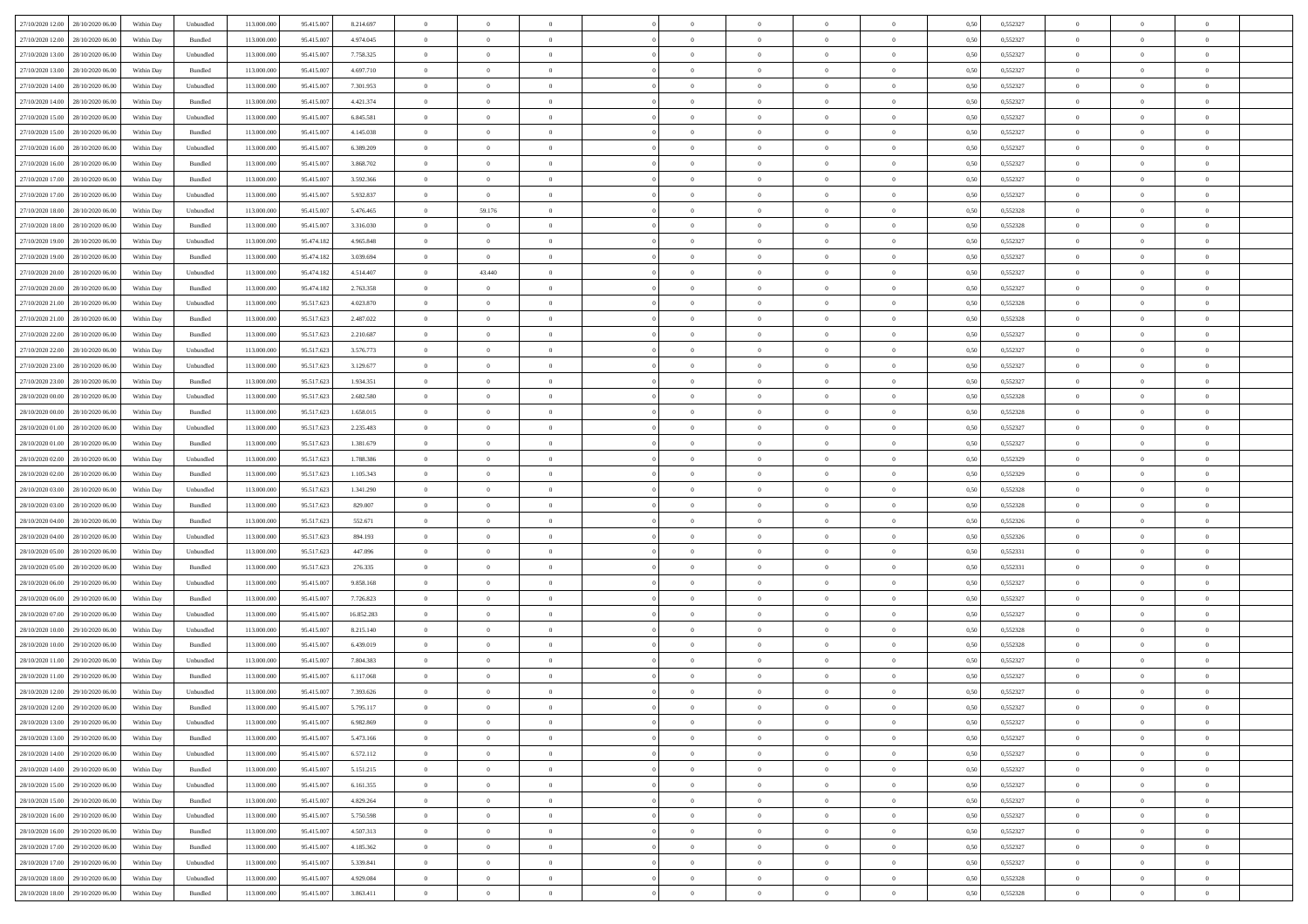| 27/10/2020 12:00 28/10/2020 06:00    | Within Day | Unbundled | 113.000.000 | 95.415.007 | 8.214.697  | $\overline{0}$ | $\overline{0}$ |                | $\overline{0}$ | $\theta$       |                | $\theta$       | 0,50 | 0,552327 | $\theta$       | $\theta$       | $\overline{0}$ |  |
|--------------------------------------|------------|-----------|-------------|------------|------------|----------------|----------------|----------------|----------------|----------------|----------------|----------------|------|----------|----------------|----------------|----------------|--|
| 27/10/2020 12:00<br>28/10/2020 06.00 | Within Day | Bundled   | 113.000.00  | 95.415.00  | 4.974.045  | $\bf{0}$       | $\bf{0}$       | $\bf{0}$       | $\overline{0}$ | $\overline{0}$ | $\overline{0}$ | $\bf{0}$       | 0,50 | 0,552327 | $\,$ 0 $\,$    | $\bf{0}$       | $\overline{0}$ |  |
| 27/10/2020 13:00<br>28/10/2020 06:00 | Within Day | Unbundled | 113,000,000 | 95.415.007 | 7.758.325  | $\overline{0}$ | $\bf{0}$       | $\overline{0}$ | $\bf{0}$       | $\bf{0}$       | $\overline{0}$ | $\bf{0}$       | 0.50 | 0,552327 | $\bf{0}$       | $\overline{0}$ | $\overline{0}$ |  |
| 27/10/2020 13:00<br>28/10/2020 06:00 | Within Day | Bundled   | 113.000.000 | 95.415.007 | 4.697.710  | $\overline{0}$ | $\overline{0}$ | $\overline{0}$ | $\theta$       | $\theta$       | $\overline{0}$ | $\bf{0}$       | 0,50 | 0,552327 | $\theta$       | $\theta$       | $\overline{0}$ |  |
| 27/10/2020 14:00<br>28/10/2020 06.00 | Within Day | Unbundled | 113.000.00  | 95.415.00  | 7.301.953  | $\bf{0}$       | $\overline{0}$ | $\bf{0}$       | $\overline{0}$ | $\theta$       | $\overline{0}$ | $\bf{0}$       | 0,50 | 0,552327 | $\,$ 0 $\,$    | $\bf{0}$       | $\overline{0}$ |  |
| 27/10/2020 14:00<br>28/10/2020 06:00 | Within Day | Bundled   | 113,000,000 | 95.415.00  | 4.421.374  | $\overline{0}$ | $\overline{0}$ | $\overline{0}$ | $\bf{0}$       | $\overline{0}$ | $\theta$       | $\bf{0}$       | 0.50 | 0.552327 | $\,$ 0 $\,$    | $\theta$       | $\overline{0}$ |  |
| 27/10/2020 15:00<br>28/10/2020 06:00 | Within Day | Unbundled | 113.000.000 | 95.415.007 | 6.845.581  | $\overline{0}$ | $\overline{0}$ | $\overline{0}$ | $\overline{0}$ | $\overline{0}$ | $\overline{0}$ | $\bf{0}$       | 0,50 | 0,552327 | $\,$ 0 $\,$    | $\theta$       | $\overline{0}$ |  |
|                                      |            |           |             |            |            |                |                |                |                |                |                |                |      |          |                |                |                |  |
| 27/10/2020 15:00<br>28/10/2020 06.00 | Within Day | Bundled   | 113.000.00  | 95.415.00  | 4.145.038  | $\bf{0}$       | $\bf{0}$       | $\bf{0}$       | $\overline{0}$ | $\overline{0}$ | $\overline{0}$ | $\bf{0}$       | 0,50 | 0,552327 | $\,$ 0 $\,$    | $\bf{0}$       | $\overline{0}$ |  |
| 27/10/2020 16:00<br>28/10/2020 06:00 | Within Day | Unbundled | 113,000,000 | 95.415.00  | 6.389.209  | $\overline{0}$ | $\bf{0}$       | $\overline{0}$ | $\bf{0}$       | $\overline{0}$ | $\overline{0}$ | $\bf{0}$       | 0.50 | 0.552327 | $\bf{0}$       | $\overline{0}$ | $\overline{0}$ |  |
| 27/10/2020 16.00<br>28/10/2020 06:00 | Within Day | Bundled   | 113.000.000 | 95.415.007 | 3.868.702  | $\overline{0}$ | $\bf{0}$       | $\overline{0}$ | $\overline{0}$ | $\overline{0}$ | $\overline{0}$ | $\bf{0}$       | 0,50 | 0,552327 | $\,$ 0 $\,$    | $\bf{0}$       | $\overline{0}$ |  |
| 27/10/2020 17:00<br>28/10/2020 06.00 | Within Day | Bundled   | 113.000.00  | 95.415.00  | 3.592.366  | $\bf{0}$       | $\bf{0}$       | $\bf{0}$       | $\bf{0}$       | $\bf{0}$       | $\overline{0}$ | $\bf{0}$       | 0,50 | 0,552327 | $\,$ 0 $\,$    | $\bf{0}$       | $\overline{0}$ |  |
| 27/10/2020 17:00<br>28/10/2020 06:00 | Within Day | Unbundled | 113,000,000 | 95.415.007 | 5.932.837  | $\overline{0}$ | $\overline{0}$ | $\overline{0}$ | $\overline{0}$ | $\bf{0}$       | $\overline{0}$ | $\bf{0}$       | 0.50 | 0,552327 | $\bf{0}$       | $\overline{0}$ | $\,$ 0         |  |
| 27/10/2020 18:00<br>28/10/2020 06:00 | Within Day | Unbundled | 113.000.000 | 95.415.007 | 5.476.465  | $\overline{0}$ | 59.176         | $\overline{0}$ | $\theta$       | $\theta$       | $\overline{0}$ | $\overline{0}$ | 0,50 | 0,552328 | $\,$ 0 $\,$    | $\theta$       | $\overline{0}$ |  |
| 27/10/2020 18:00<br>28/10/2020 06.00 | Within Day | Bundled   | 113.000.00  | 95.415.00  | 3.316.030  | $\bf{0}$       | $\overline{0}$ | $\bf{0}$       | $\overline{0}$ | $\theta$       | $\overline{0}$ | $\bf{0}$       | 0,50 | 0,552328 | $\,$ 0 $\,$    | $\bf{0}$       | $\overline{0}$ |  |
| 27/10/2020 19:00<br>28/10/2020 06:00 | Within Day | Unbundled | 113,000,000 | 95.474.182 | 4.965.848  | $\overline{0}$ | $\bf{0}$       | $\overline{0}$ | $\bf{0}$       | $\overline{0}$ | $\theta$       | $\bf{0}$       | 0.50 | 0.552327 | $\,$ 0 $\,$    | $\theta$       | $\overline{0}$ |  |
| 27/10/2020 19:00<br>28/10/2020 06:00 | Within Day | Bundled   | 113.000.000 | 95.474.182 | 3.039.694  | $\overline{0}$ | $\overline{0}$ | $\overline{0}$ | $\overline{0}$ | $\overline{0}$ | $\overline{0}$ | $\bf{0}$       | 0,50 | 0,552327 | $\theta$       | $\theta$       | $\overline{0}$ |  |
|                                      |            |           |             |            |            |                |                |                |                |                |                |                |      |          |                |                |                |  |
| 27/10/2020 20:00<br>28/10/2020 06.00 | Within Day | Unbundled | 113.000.00  | 95.474.182 | 4.514.407  | $\bf{0}$       | 43.440         | $\bf{0}$       | $\overline{0}$ | $\bf{0}$       | $\overline{0}$ | $\bf{0}$       | 0,50 | 0,552327 | $\,$ 0 $\,$    | $\bf{0}$       | $\overline{0}$ |  |
| 27/10/2020 20:00<br>28/10/2020 06:00 | Within Day | Bundled   | 113,000,00  | 95.474.18. | 2.763.358  | $\overline{0}$ | $\overline{0}$ | $\overline{0}$ | $\bf{0}$       | $\overline{0}$ | $\overline{0}$ | $\bf{0}$       | 0.50 | 0.552327 | $\bf{0}$       | $\overline{0}$ | $\overline{0}$ |  |
| 27/10/2020 21:00<br>28/10/2020 06:00 | Within Day | Unbundled | 113.000.000 | 95.517.623 | 4.023.870  | $\bf{0}$       | $\bf{0}$       | $\overline{0}$ | $\overline{0}$ | $\overline{0}$ | $\overline{0}$ | $\bf{0}$       | 0,50 | 0,552328 | $\,$ 0 $\,$    | $\bf{0}$       | $\overline{0}$ |  |
| 27/10/2020 21:00<br>28/10/2020 06.00 | Within Day | Bundled   | 113.000.00  | 95.517.623 | 2.487.022  | $\bf{0}$       | $\bf{0}$       | $\bf{0}$       | $\bf{0}$       | $\overline{0}$ | $\overline{0}$ | $\bf{0}$       | 0,50 | 0,552328 | $\,$ 0 $\,$    | $\bf{0}$       | $\overline{0}$ |  |
| 27/10/2020 22.00<br>28/10/2020 06:00 | Within Day | Bundled   | 113,000,000 | 95.517.623 | 2.210.687  | $\overline{0}$ | $\bf{0}$       | $\overline{0}$ | $\overline{0}$ | $\bf{0}$       | $\overline{0}$ | $\bf{0}$       | 0.50 | 0,552327 | $\bf{0}$       | $\overline{0}$ | $\overline{0}$ |  |
| 27/10/2020 22.00<br>28/10/2020 06:00 | Within Day | Unbundled | 113.000.000 | 95.517.623 | 3.576.773  | $\overline{0}$ | $\overline{0}$ | $\overline{0}$ | $\theta$       | $\theta$       | $\overline{0}$ | $\bf{0}$       | 0,50 | 0,552327 | $\theta$       | $\theta$       | $\overline{0}$ |  |
| 27/10/2020 23.00<br>28/10/2020 06.00 | Within Day | Unbundled | 113.000.00  | 95.517.623 | 3.129.677  | $\bf{0}$       | $\bf{0}$       | $\bf{0}$       | $\bf{0}$       | $\overline{0}$ | $\overline{0}$ | $\bf{0}$       | 0,50 | 0,552327 | $\,$ 0 $\,$    | $\bf{0}$       | $\overline{0}$ |  |
| 27/10/2020 23.00<br>28/10/2020 06:00 | Within Day | Bundled   | 113,000,000 | 95.517.623 | 1.934.351  | $\overline{0}$ | $\overline{0}$ | $\overline{0}$ | $\overline{0}$ | $\overline{0}$ | $\theta$       | $\bf{0}$       | 0.50 | 0.552327 | $\bf{0}$       | $\theta$       | $\overline{0}$ |  |
| 28/10/2020 00:00<br>28/10/2020 06.00 | Within Day | Unbundled | 113.000.000 | 95.517.623 | 2.682.580  | $\overline{0}$ | $\overline{0}$ | $\overline{0}$ | $\overline{0}$ | $\overline{0}$ | $\overline{0}$ | $\bf{0}$       | 0,50 | 0,552328 | $\,$ 0 $\,$    | $\theta$       | $\overline{0}$ |  |
| 28/10/2020 06.00                     | Within Day | Bundled   | 113.000.00  | 95.517.62  | 1.658.015  | $\bf{0}$       | $\overline{0}$ | $\bf{0}$       | $\overline{0}$ | $\bf{0}$       | $\overline{0}$ | $\bf{0}$       | 0,50 | 0,552328 | $\,$ 0 $\,$    | $\bf{0}$       | $\overline{0}$ |  |
| 28/10/2020 00:00                     |            |           |             |            |            |                |                |                |                |                |                |                |      |          |                |                |                |  |
| 28/10/2020 01:00<br>28/10/2020 06:00 | Within Day | Unbundled | 113,000,000 | 95.517.623 | 2.235.483  | $\overline{0}$ | $\bf{0}$       | $\overline{0}$ | $\bf{0}$       | $\overline{0}$ | $\overline{0}$ | $\bf{0}$       | 0.50 | 0.552327 | $\bf{0}$       | $\overline{0}$ | $\overline{0}$ |  |
| 28/10/2020 01:00<br>28/10/2020 06:00 | Within Day | Bundled   | 113.000.000 | 95.517.623 | 1.381.679  | $\overline{0}$ | $\bf{0}$       | $\overline{0}$ | $\overline{0}$ | $\overline{0}$ | $\overline{0}$ | $\bf{0}$       | 0,50 | 0,552327 | $\,$ 0 $\,$    | $\theta$       | $\overline{0}$ |  |
| 28/10/2020 02:00<br>28/10/2020 06.00 | Within Day | Unbundled | 113.000.00  | 95.517.623 | 1.788.386  | $\bf{0}$       | $\bf{0}$       | $\bf{0}$       | $\bf{0}$       | $\overline{0}$ | $\overline{0}$ | $\bf{0}$       | 0,50 | 0,552329 | $\,$ 0 $\,$    | $\bf{0}$       | $\overline{0}$ |  |
| 28/10/2020 02:00<br>28/10/2020 06:00 | Within Day | Bundled   | 113,000,000 | 95.517.623 | 1.105.343  | $\overline{0}$ | $\bf{0}$       | $\overline{0}$ | $\bf{0}$       | $\bf{0}$       | $\overline{0}$ | $\bf{0}$       | 0.50 | 0,552329 | $\bf{0}$       | $\overline{0}$ | $\overline{0}$ |  |
| 28/10/2020 03:00<br>28/10/2020 06:00 | Within Day | Unbundled | 113.000.000 | 95.517.623 | 1.341.290  | $\overline{0}$ | $\overline{0}$ | $\overline{0}$ | $\overline{0}$ | $\overline{0}$ | $\overline{0}$ | $\bf{0}$       | 0.5( | 0,552328 | $\theta$       | $\theta$       | $\overline{0}$ |  |
| 28/10/2020 03:00<br>28/10/2020 06.00 | Within Day | Bundled   | 113.000.00  | 95.517.623 | 829.007    | $\bf{0}$       | $\bf{0}$       | $\bf{0}$       | $\bf{0}$       | $\,$ 0 $\,$    | $\overline{0}$ | $\bf{0}$       | 0,50 | 0,552328 | $\,$ 0 $\,$    | $\bf{0}$       | $\overline{0}$ |  |
| 28/10/2020 04:00<br>28/10/2020 06:00 | Within Day | Bundled   | 113,000,000 | 95.517.623 | 552.671    | $\overline{0}$ | $\bf{0}$       | $\overline{0}$ | $\bf{0}$       | $\overline{0}$ | $\Omega$       | $\bf{0}$       | 0.50 | 0.552326 | $\,$ 0 $\,$    | $\theta$       | $\overline{0}$ |  |
| 28/10/2020 04:00<br>28/10/2020 06:00 | Within Day | Unbundled | 113.000.000 | 95.517.623 | 894.193    | $\overline{0}$ | $\overline{0}$ | $\overline{0}$ | $\overline{0}$ | $\overline{0}$ | $\overline{0}$ | $\bf{0}$       | 0.50 | 0,552326 | $\theta$       | $\theta$       | $\overline{0}$ |  |
| 28/10/2020 05:00<br>28/10/2020 06.00 | Within Day | Unbundled | 113.000.00  | 95.517.62  | 447.096    | $\bf{0}$       | $\bf{0}$       | $\bf{0}$       | $\bf{0}$       | $\overline{0}$ | $\overline{0}$ | $\bf{0}$       | 0,50 | 0,552331 | $\,$ 0 $\,$    | $\bf{0}$       | $\overline{0}$ |  |
| 28/10/2020 05:00<br>28/10/2020 06:00 | Within Day | Bundled   | 113,000,000 | 95.517.62  | 276,335    | $\overline{0}$ | $\bf{0}$       | $\overline{0}$ | $\bf{0}$       | $\overline{0}$ | $\overline{0}$ | $\bf{0}$       | 0.50 | 0.552331 | $\bf{0}$       | $\overline{0}$ | $\overline{0}$ |  |
| 28/10/2020 06:00<br>29/10/2020 06.00 | Within Day | Unbundled | 113.000.000 | 95.415.00  | 9.858.168  | $\overline{0}$ | $\overline{0}$ | $\overline{0}$ | $\overline{0}$ | $\overline{0}$ | $\overline{0}$ | $\bf{0}$       | 0.50 | 0,552327 | $\theta$       | $\theta$       | $\overline{0}$ |  |
|                                      |            |           |             |            |            |                |                |                |                |                |                |                |      |          |                |                |                |  |
| 28/10/2020 06:00<br>29/10/2020 06.00 | Within Day | Bundled   | 113.000.00  | 95.415.00  | 7.726.823  | $\bf{0}$       | $\bf{0}$       | $\bf{0}$       | $\bf{0}$       | $\overline{0}$ | $\overline{0}$ | $\bf{0}$       | 0,50 | 0,552327 | $\,$ 0 $\,$    | $\bf{0}$       | $\overline{0}$ |  |
| 28/10/2020 07.00<br>29/10/2020 06:00 | Within Day | Unbundled | 113,000,000 | 95.415.007 | 16.852.283 | $\overline{0}$ | $\bf{0}$       | $\overline{0}$ | $\overline{0}$ | $\bf{0}$       | $\overline{0}$ | $\bf{0}$       | 0.50 | 0,552327 | $\bf{0}$       | $\overline{0}$ | $\overline{0}$ |  |
| 28/10/2020 10:00<br>29/10/2020 06:00 | Within Day | Unbundled | 113.000.000 | 95.415.007 | 8.215.140  | $\overline{0}$ | $\overline{0}$ | $\overline{0}$ | $\overline{0}$ | $\overline{0}$ | $\overline{0}$ | $\bf{0}$       | 0.5( | 0,552328 | $\theta$       | $\theta$       | $\overline{0}$ |  |
| 28/10/2020 10:00<br>29/10/2020 06.00 | Within Day | Bundled   | 113.000.00  | 95.415.00  | 6.439.019  | $\bf{0}$       | $\bf{0}$       | $\bf{0}$       | $\bf{0}$       | $\overline{0}$ | $\overline{0}$ | $\bf{0}$       | 0,50 | 0,552328 | $\,$ 0 $\,$    | $\bf{0}$       | $\overline{0}$ |  |
| 28/10/2020 11:00<br>29/10/2020 06.00 | Within Day | Unbundled | 113,000,000 | 95.415.00  | 7.804.383  | $\overline{0}$ | $\overline{0}$ | $\overline{0}$ | $\bf{0}$       | $\overline{0}$ | $\Omega$       | $\bf{0}$       | 0.50 | 0.552327 | $\bf{0}$       | $\theta$       | $\overline{0}$ |  |
| 28/10/2020 11:00<br>29/10/2020 06:00 | Within Day | Bundled   | 113.000.000 | 95.415.00  | 6.117.068  | $\overline{0}$ | $\overline{0}$ | $\Omega$       | $\overline{0}$ | $\theta$       | $\Omega$       | $\overline{0}$ | 0.5( | 0,552327 | $\theta$       | $\theta$       | $\overline{0}$ |  |
| 28/10/2020 12:00<br>29/10/2020 06.00 | Within Day | Unbundled | 113.000.00  | 95.415.007 | 7.393.626  | $\bf{0}$       | $\bf{0}$       | $\overline{0}$ | $\bf{0}$       | $\bf{0}$       | $\overline{0}$ | $\bf{0}$       | 0,50 | 0,552327 | $\,$ 0 $\,$    | $\bf{0}$       | $\overline{0}$ |  |
| 28/10/2020 12:00 29/10/2020 06:00    | Within Day | Bundled   | 113.000.000 | 95.415.007 | 5.795.117  | $\bf{0}$       | $\Omega$       |                | $\Omega$       |                |                |                | 0,50 | 0,552327 | $\bf{0}$       | $\bf{0}$       |                |  |
| 28/10/2020 13:00 29/10/2020 06:00    | Within Day | Unbundled | 113.000.000 | 95.415.007 | 6.982.869  | $\overline{0}$ | $\overline{0}$ | $\Omega$       | $\theta$       | $\overline{0}$ | $\overline{0}$ | $\bf{0}$       | 0,50 | 0,552327 | $\theta$       | $\theta$       | $\overline{0}$ |  |
| 28/10/2020 13:00<br>29/10/2020 06.00 | Within Day | Bundled   | 113.000.00  | 95.415.00  | 5.473.166  | $\overline{0}$ | $\bf{0}$       | $\overline{0}$ | $\overline{0}$ | $\bf{0}$       | $\overline{0}$ | $\bf{0}$       | 0,50 | 0,552327 | $\bf{0}$       | $\overline{0}$ | $\bf{0}$       |  |
| 28/10/2020 14:00 29/10/2020 06:00    |            |           | 113,000,000 |            |            |                |                |                |                |                | $\overline{0}$ |                | 0.50 |          | $\overline{0}$ |                |                |  |
|                                      | Within Day | Unbundled |             | 95.415.007 | 6.572.112  | $\overline{0}$ | $\bf{0}$       | $\overline{0}$ | $\overline{0}$ | $\overline{0}$ |                | $\,$ 0 $\,$    |      | 0,552327 |                | $\bf{0}$       | $\,$ 0 $\,$    |  |
| 28/10/2020 14:00 29/10/2020 06:00    | Within Dav | Bundled   | 113.000.000 | 95.415.007 | 5.151.215  | $\overline{0}$ | $\overline{0}$ | $\overline{0}$ | $\overline{0}$ | $\overline{0}$ | $\overline{0}$ | $\bf{0}$       | 0,50 | 0,552327 | $\overline{0}$ | $\theta$       | $\overline{0}$ |  |
| 28/10/2020 15:00<br>29/10/2020 06.00 | Within Day | Unbundled | 113.000.000 | 95.415.007 | 6.161.355  | $\overline{0}$ | $\bf{0}$       | $\overline{0}$ | $\bf{0}$       | $\overline{0}$ | $\bf{0}$       | $\bf{0}$       | 0,50 | 0,552327 | $\bf{0}$       | $\overline{0}$ | $\overline{0}$ |  |
| 28/10/2020 15:00<br>29/10/2020 06.00 | Within Day | Bundled   | 113,000,000 | 95.415.007 | 4.829.264  | $\overline{0}$ | $\bf{0}$       | $\overline{0}$ | $\overline{0}$ | $\overline{0}$ | $\overline{0}$ | $\bf{0}$       | 0.50 | 0.552327 | $\,$ 0 $\,$    | $\overline{0}$ | $\overline{0}$ |  |
| 28/10/2020 16:00<br>29/10/2020 06:00 | Within Dav | Unbundled | 113.000.000 | 95.415.007 | 5.750.598  | $\overline{0}$ | $\overline{0}$ | $\overline{0}$ | $\overline{0}$ | $\overline{0}$ | $\overline{0}$ | $\bf{0}$       | 0,50 | 0,552327 | $\overline{0}$ | $\theta$       | $\overline{0}$ |  |
| 28/10/2020 16:00<br>29/10/2020 06.00 | Within Day | Bundled   | 113.000.00  | 95.415.007 | 4.507.313  | $\overline{0}$ | $\overline{0}$ | $\overline{0}$ | $\overline{0}$ | $\overline{0}$ | $\overline{0}$ | $\bf{0}$       | 0,50 | 0,552327 | $\bf{0}$       | $\overline{0}$ | $\overline{0}$ |  |
| 28/10/2020 17:00<br>29/10/2020 06:00 | Within Day | Bundled   | 113,000,000 | 95.415.007 | 4.185.362  | $\overline{0}$ | $\overline{0}$ | $\overline{0}$ | $\overline{0}$ | $\bf{0}$       | $\overline{0}$ | $\bf{0}$       | 0.50 | 0.552327 | $\mathbf{0}$   | $\bf{0}$       | $\,$ 0         |  |
| 28/10/2020 17:00 29/10/2020 06:00    | Within Dav | Unbundled | 113.000.000 | 95.415.007 | 5.339.841  | $\overline{0}$ | $\overline{0}$ | $\overline{0}$ | $\overline{0}$ | $\overline{0}$ | $\overline{0}$ | $\bf{0}$       | 0,50 | 0,552327 | $\overline{0}$ | $\theta$       | $\overline{0}$ |  |
| 28/10/2020 18:00<br>29/10/2020 06.00 | Within Day | Unbundled | 113.000.00  | 95.415.00  | 4.929.084  | $\overline{0}$ | $\bf{0}$       | $\overline{0}$ | $\bf{0}$       | $\overline{0}$ | $\bf{0}$       | $\bf{0}$       | 0,50 | 0,552328 | $\bf{0}$       | $\bf{0}$       | $\overline{0}$ |  |
| 28/10/2020 18:00 29/10/2020 06:00    |            |           |             |            |            | $\overline{0}$ |                | $\overline{0}$ |                | $\,$ 0 $\,$    | $\overline{0}$ |                |      |          | $\overline{0}$ | $\,$ 0 $\,$    | $\,$ 0 $\,$    |  |
|                                      | Within Day | Bundled   | 113.000.000 | 95.415.007 | 3.863.411  |                | $\bf{0}$       |                | $\overline{0}$ |                |                | $\bf{0}$       | 0,50 | 0,552328 |                |                |                |  |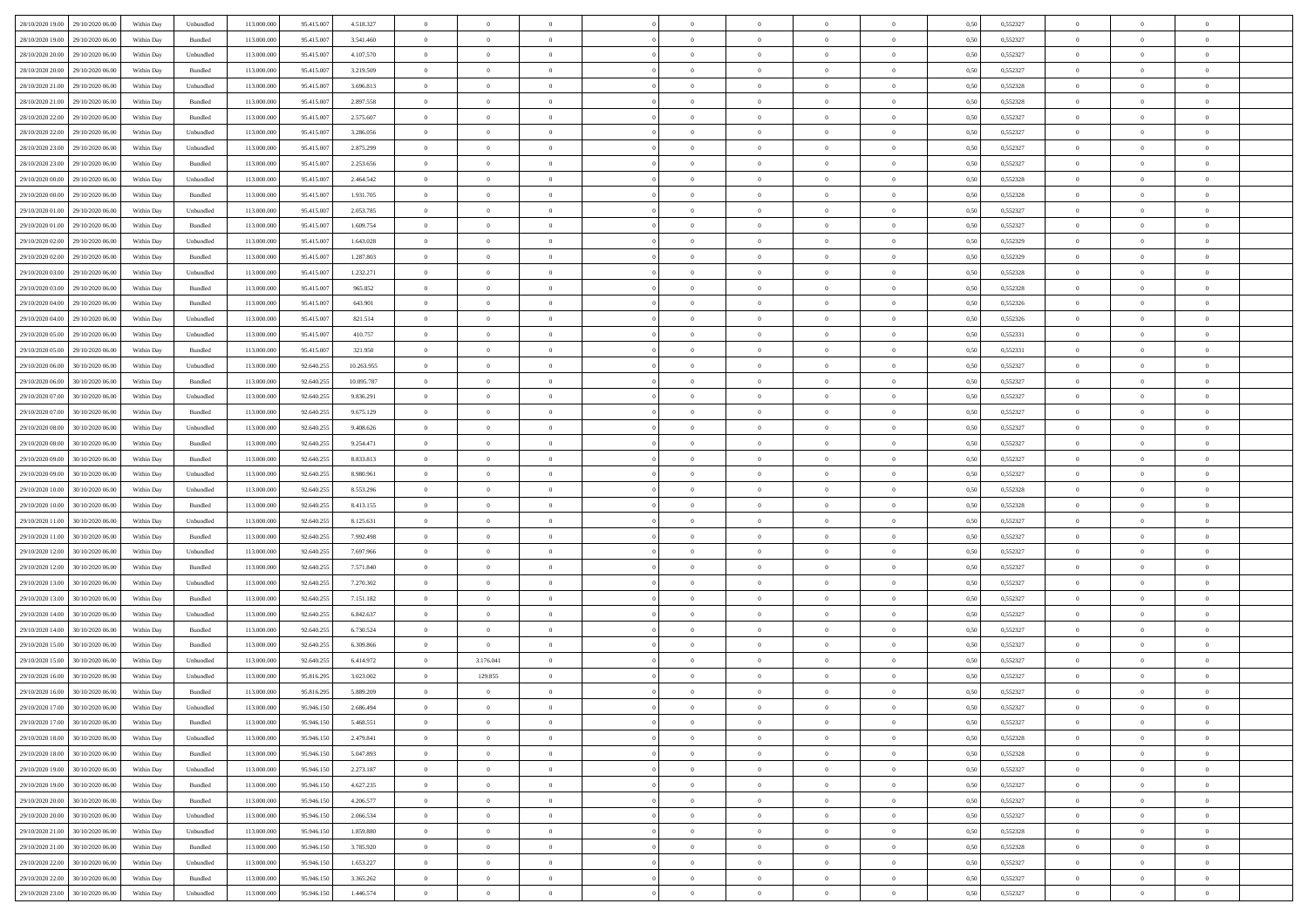| 28/10/2020 19:00 29/10/2020 06:00    | Within Day | Unbundled                   | 113.000.000 | 95.415.007 | 4.518.327  | $\overline{0}$ | $\overline{0}$ |                | $\overline{0}$ | $\theta$       |                | $\theta$       | 0,50 | 0,552327 | $\theta$       | $\theta$       | $\overline{0}$ |  |
|--------------------------------------|------------|-----------------------------|-------------|------------|------------|----------------|----------------|----------------|----------------|----------------|----------------|----------------|------|----------|----------------|----------------|----------------|--|
| 28/10/2020 19:00<br>29/10/2020 06.00 | Within Day | Bundled                     | 113.000.00  | 95.415.00  | 3.541.460  | $\bf{0}$       | $\bf{0}$       | $\bf{0}$       | $\overline{0}$ | $\overline{0}$ | $\overline{0}$ | $\bf{0}$       | 0,50 | 0,552327 | $\,$ 0 $\,$    | $\bf{0}$       | $\overline{0}$ |  |
| 28/10/2020 20:00<br>29/10/2020 06.00 | Within Day | Unbundled                   | 113,000,000 | 95.415.007 | 4.107.570  | $\overline{0}$ | $\bf{0}$       | $\overline{0}$ | $\bf{0}$       | $\bf{0}$       | $\overline{0}$ | $\bf{0}$       | 0.50 | 0,552327 | $\bf{0}$       | $\overline{0}$ | $\overline{0}$ |  |
| 28/10/2020 20:00<br>29/10/2020 06:00 | Within Day | Bundled                     | 113.000.000 | 95.415.007 | 3.219.509  | $\overline{0}$ | $\overline{0}$ | $\overline{0}$ | $\theta$       | $\theta$       | $\overline{0}$ | $\bf{0}$       | 0,50 | 0,552327 | $\theta$       | $\theta$       | $\overline{0}$ |  |
| 28/10/2020 21:00<br>29/10/2020 06.00 | Within Day | Unbundled                   | 113.000.00  | 95.415.00  | 3.696.813  | $\bf{0}$       | $\overline{0}$ | $\bf{0}$       | $\overline{0}$ | $\theta$       | $\overline{0}$ | $\bf{0}$       | 0,50 | 0,552328 | $\,$ 0 $\,$    | $\bf{0}$       | $\overline{0}$ |  |
| 28/10/2020 21:00<br>29/10/2020 06:00 | Within Day | Bundled                     | 113,000,000 | 95.415.00  | 2.897.558  | $\overline{0}$ | $\bf{0}$       | $\overline{0}$ | $\bf{0}$       | $\overline{0}$ | $\theta$       | $\bf{0}$       | 0.50 | 0.552328 | $\,$ 0 $\,$    | $\theta$       | $\overline{0}$ |  |
| 28/10/2020 22:00<br>29/10/2020 06.00 | Within Day | Bundled                     | 113.000.000 | 95.415.007 | 2.575.607  | $\overline{0}$ | $\overline{0}$ | $\overline{0}$ | $\overline{0}$ | $\overline{0}$ | $\overline{0}$ | $\bf{0}$       | 0,50 | 0,552327 | $\,$ 0 $\,$    | $\theta$       | $\overline{0}$ |  |
|                                      |            |                             |             |            |            |                | $\bf{0}$       |                | $\overline{0}$ | $\overline{0}$ | $\overline{0}$ |                |      |          | $\,$ 0 $\,$    | $\bf{0}$       | $\overline{0}$ |  |
| 28/10/2020 22:00<br>29/10/2020 06.00 | Within Day | Unbundled                   | 113.000.00  | 95.415.00  | 3.286.056  | $\bf{0}$       |                | $\bf{0}$       |                |                |                | $\bf{0}$       | 0,50 | 0,552327 |                |                |                |  |
| 28/10/2020 23.00<br>29/10/2020 06:00 | Within Day | Unbundled                   | 113,000,000 | 95.415.00  | 2.875.299  | $\overline{0}$ | $\bf{0}$       | $\overline{0}$ | $\bf{0}$       | $\overline{0}$ | $\overline{0}$ | $\bf{0}$       | 0.50 | 0.552327 | $\bf{0}$       | $\overline{0}$ | $\overline{0}$ |  |
| 28/10/2020 23:00<br>29/10/2020 06.00 | Within Day | Bundled                     | 113.000.000 | 95.415.007 | 2.253.656  | $\bf{0}$       | $\bf{0}$       | $\overline{0}$ | $\overline{0}$ | $\overline{0}$ | $\overline{0}$ | $\bf{0}$       | 0,50 | 0,552327 | $\,$ 0 $\,$    | $\bf{0}$       | $\overline{0}$ |  |
| 29/10/2020 00:00<br>29/10/2020 06.00 | Within Day | Unbundled                   | 113.000.00  | 95.415.00  | 2.464.542  | $\bf{0}$       | $\bf{0}$       | $\bf{0}$       | $\bf{0}$       | $\bf{0}$       | $\overline{0}$ | $\bf{0}$       | 0,50 | 0,552328 | $\,$ 0 $\,$    | $\bf{0}$       | $\overline{0}$ |  |
| 29/10/2020 00:00<br>29/10/2020 06:00 | Within Day | Bundled                     | 113,000,000 | 95.415.007 | 1.931.705  | $\overline{0}$ | $\bf{0}$       | $\overline{0}$ | $\overline{0}$ | $\bf{0}$       | $\overline{0}$ | $\bf{0}$       | 0.50 | 0,552328 | $\bf{0}$       | $\overline{0}$ | $\,$ 0         |  |
| 29/10/2020 01:00<br>29/10/2020 06.00 | Within Day | Unbundled                   | 113.000.000 | 95.415.007 | 2.053.785  | $\overline{0}$ | $\overline{0}$ | $\overline{0}$ | $\theta$       | $\theta$       | $\overline{0}$ | $\bf{0}$       | 0,50 | 0,552327 | $\,$ 0 $\,$    | $\theta$       | $\overline{0}$ |  |
| 29/10/2020 01:00<br>29/10/2020 06.00 | Within Day | Bundled                     | 113.000.00  | 95.415.00  | 1.609.754  | $\bf{0}$       | $\overline{0}$ | $\bf{0}$       | $\overline{0}$ | $\bf{0}$       | $\overline{0}$ | $\bf{0}$       | 0,50 | 0,552327 | $\,$ 0 $\,$    | $\bf{0}$       | $\overline{0}$ |  |
| 29/10/2020 02.00<br>29/10/2020 06:00 | Within Day | Unbundled                   | 113,000,000 | 95.415.00  | 1.643.028  | $\overline{0}$ | $\overline{0}$ | $\overline{0}$ | $\bf{0}$       | $\overline{0}$ | $\theta$       | $\bf{0}$       | 0.50 | 0.552329 | $\,$ 0 $\,$    | $\theta$       | $\overline{0}$ |  |
| 29/10/2020 02.00<br>29/10/2020 06.00 | Within Day | Bundled                     | 113.000.000 | 95.415.007 | 1.287.803  | $\overline{0}$ | $\overline{0}$ | $\overline{0}$ | $\overline{0}$ | $\overline{0}$ | $\overline{0}$ | $\bf{0}$       | 0,50 | 0,552329 | $\theta$       | $\theta$       | $\overline{0}$ |  |
| 29/10/2020 03:00<br>29/10/2020 06.00 | Within Day | Unbundled                   | 113.000.00  | 95.415.00  | 1.232.271  | $\bf{0}$       | $\bf{0}$       | $\bf{0}$       | $\overline{0}$ | $\bf{0}$       | $\overline{0}$ | $\bf{0}$       | 0,50 | 0,552328 | $\,$ 0 $\,$    | $\bf{0}$       | $\overline{0}$ |  |
| 29/10/2020 03:00<br>29/10/2020 06:00 | Within Day | Bundled                     | 113,000,00  | 95.415.00  | 965.852    | $\overline{0}$ | $\bf{0}$       | $\overline{0}$ | $\bf{0}$       | $\overline{0}$ | $\overline{0}$ | $\bf{0}$       | 0.50 | 0.552328 | $\bf{0}$       | $\overline{0}$ | $\overline{0}$ |  |
| 29/10/2020 04:00<br>29/10/2020 06.00 | Within Day | Bundled                     | 113.000.000 | 95.415.007 | 643.901    | $\bf{0}$       | $\bf{0}$       | $\overline{0}$ | $\overline{0}$ | $\overline{0}$ | $\overline{0}$ | $\bf{0}$       | 0,50 | 0,552326 | $\,$ 0 $\,$    | $\bf{0}$       | $\overline{0}$ |  |
|                                      |            |                             |             |            |            |                |                |                |                |                |                |                |      |          |                |                |                |  |
| 29/10/2020 04:00<br>29/10/2020 06.00 | Within Day | Unbundled                   | 113.000.00  | 95.415.00  | 821.514    | $\bf{0}$       | $\bf{0}$       | $\bf{0}$       | $\bf{0}$       | $\overline{0}$ | $\overline{0}$ | $\bf{0}$       | 0,50 | 0,552326 | $\,$ 0 $\,$    | $\bf{0}$       | $\overline{0}$ |  |
| 29/10/2020 05:00<br>29/10/2020 06.00 | Within Day | Unbundled                   | 113,000,000 | 95.415.007 | 410.757    | $\overline{0}$ | $\bf{0}$       | $\overline{0}$ | $\overline{0}$ | $\bf{0}$       | $\overline{0}$ | $\bf{0}$       | 0.50 | 0,552331 | $\bf{0}$       | $\overline{0}$ | $\overline{0}$ |  |
| 29/10/2020 05:00<br>29/10/2020 06.00 | Within Day | Bundled                     | 113.000.000 | 95.415.007 | 321.950    | $\overline{0}$ | $\overline{0}$ | $\overline{0}$ | $\theta$       | $\theta$       | $\overline{0}$ | $\bf{0}$       | 0,50 | 0,552331 | $\theta$       | $\theta$       | $\overline{0}$ |  |
| 29/10/2020 06.00<br>30/10/2020 06.00 | Within Day | Unbundled                   | 113.000.00  | 92.640.255 | 10.263.955 | $\bf{0}$       | $\bf{0}$       | $\bf{0}$       | $\bf{0}$       | $\overline{0}$ | $\overline{0}$ | $\bf{0}$       | 0,50 | 0,552327 | $\,$ 0 $\,$    | $\bf{0}$       | $\overline{0}$ |  |
| 29/10/2020 06.00<br>30/10/2020 06:00 | Within Day | Bundled                     | 113,000,000 | 92.640.25  | 10.095.787 | $\overline{0}$ | $\bf{0}$       | $\overline{0}$ | $\bf{0}$       | $\overline{0}$ | $\theta$       | $\bf{0}$       | 0.50 | 0.552327 | $\,$ 0 $\,$    | $\theta$       | $\overline{0}$ |  |
| 29/10/2020 07.00<br>30/10/2020 06.00 | Within Day | Unbundled                   | 113.000.000 | 92.640.255 | 9.836.291  | $\overline{0}$ | $\overline{0}$ | $\overline{0}$ | $\overline{0}$ | $\overline{0}$ | $\overline{0}$ | $\bf{0}$       | 0,50 | 0,552327 | $\,$ 0 $\,$    | $\theta$       | $\overline{0}$ |  |
| 29/10/2020 07:00<br>30/10/2020 06.00 | Within Day | Bundled                     | 113.000.00  | 92.640.25  | 9.675.129  | $\bf{0}$       | $\overline{0}$ | $\bf{0}$       | $\overline{0}$ | $\bf{0}$       | $\overline{0}$ | $\bf{0}$       | 0,50 | 0,552327 | $\,$ 0 $\,$    | $\bf{0}$       | $\overline{0}$ |  |
| 29/10/2020 08:00<br>30/10/2020 06:00 | Within Day | Unbundled                   | 113,000,000 | 92.640.25  | 9.408.626  | $\overline{0}$ | $\bf{0}$       | $\overline{0}$ | $\bf{0}$       | $\overline{0}$ | $\overline{0}$ | $\bf{0}$       | 0.50 | 0.552327 | $\bf{0}$       | $\overline{0}$ | $\overline{0}$ |  |
| 29/10/2020 08:00<br>30/10/2020 06.00 | Within Day | Bundled                     | 113.000.000 | 92.640.255 | 9.254.471  | $\overline{0}$ | $\bf{0}$       | $\overline{0}$ | $\overline{0}$ | $\overline{0}$ | $\overline{0}$ | $\bf{0}$       | 0,50 | 0,552327 | $\,$ 0 $\,$    | $\theta$       | $\overline{0}$ |  |
| 29/10/2020 09:00<br>30/10/2020 06.00 | Within Day | Bundled                     | 113.000.00  | 92.640.255 | 8.833.813  | $\bf{0}$       | $\bf{0}$       | $\bf{0}$       | $\bf{0}$       | $\overline{0}$ | $\overline{0}$ | $\bf{0}$       | 0,50 | 0,552327 | $\,$ 0 $\,$    | $\bf{0}$       | $\overline{0}$ |  |
| 29/10/2020 09:00<br>30/10/2020 06:00 | Within Day | Unbundled                   | 113,000,000 | 92.640.25  | 8.980.961  | $\overline{0}$ | $\bf{0}$       | $\overline{0}$ | $\bf{0}$       | $\bf{0}$       | $\overline{0}$ | $\bf{0}$       | 0.50 | 0.552327 | $\bf{0}$       | $\,$ 0 $\,$    | $\,$ 0         |  |
| 29/10/2020 10:00<br>30/10/2020 06.00 | Within Day | Unbundled                   | 113.000.000 | 92.640.25  | 8.553.296  | $\overline{0}$ | $\overline{0}$ | $\overline{0}$ | $\overline{0}$ | $\overline{0}$ | $\overline{0}$ | $\bf{0}$       | 0.5( | 0,552328 | $\theta$       | $\theta$       | $\overline{0}$ |  |
|                                      |            |                             |             |            |            | $\bf{0}$       | $\overline{0}$ |                |                | $\,$ 0 $\,$    | $\overline{0}$ |                |      |          | $\,$ 0 $\,$    | $\bf{0}$       | $\overline{0}$ |  |
| 29/10/2020 10:00<br>30/10/2020 06.00 | Within Day | Bundled                     | 113.000.00  | 92.640.255 | 8.413.155  |                |                | $\bf{0}$       | $\bf{0}$       |                |                | $\bf{0}$       | 0,50 | 0,552328 |                |                |                |  |
| 29/10/2020 11:00<br>30/10/2020 06:00 | Within Day | Unbundled                   | 113,000,000 | 92.640.255 | 8.125.631  | $\overline{0}$ | $\bf{0}$       | $\overline{0}$ | $\bf{0}$       | $\overline{0}$ | $\Omega$       | $\bf{0}$       | 0.50 | 0.552327 | $\,$ 0 $\,$    | $\bf{0}$       | $\overline{0}$ |  |
| 29/10/2020 11:00<br>30/10/2020 06.00 | Within Day | Bundled                     | 113.000.000 | 92.640.255 | 7.992.498  | $\overline{0}$ | $\overline{0}$ | $\overline{0}$ | $\overline{0}$ | $\overline{0}$ | $\overline{0}$ | $\bf{0}$       | 0.50 | 0,552327 | $\theta$       | $\theta$       | $\overline{0}$ |  |
| 29/10/2020 12:00<br>30/10/2020 06.00 | Within Day | Unbundled                   | 113.000.00  | 92.640.255 | 7.697.966  | $\bf{0}$       | $\bf{0}$       | $\bf{0}$       | $\bf{0}$       | $\bf{0}$       | $\overline{0}$ | $\bf{0}$       | 0,50 | 0,552327 | $\,$ 0 $\,$    | $\bf{0}$       | $\overline{0}$ |  |
| 29/10/2020 12:00<br>30/10/2020 06:00 | Within Day | Bundled                     | 113,000,000 | 92.640.25  | 7.571.840  | $\overline{0}$ | $\bf{0}$       | $\overline{0}$ | $\bf{0}$       | $\overline{0}$ | $\overline{0}$ | $\bf{0}$       | 0.50 | 0.552327 | $\bf{0}$       | $\overline{0}$ | $\overline{0}$ |  |
| 29/10/2020 13:00<br>30/10/2020 06.00 | Within Day | Unbundled                   | 113.000.000 | 92.640.255 | 7.270.302  | $\overline{0}$ | $\overline{0}$ | $\overline{0}$ | $\overline{0}$ | $\overline{0}$ | $\overline{0}$ | $\bf{0}$       | 0.50 | 0,552327 | $\theta$       | $\theta$       | $\overline{0}$ |  |
| 29/10/2020 13:00<br>30/10/2020 06.00 | Within Day | Bundled                     | 113.000.00  | 92.640.255 | 7.151.182  | $\bf{0}$       | $\bf{0}$       | $\bf{0}$       | $\bf{0}$       | $\overline{0}$ | $\overline{0}$ | $\bf{0}$       | 0,50 | 0,552327 | $\,$ 0 $\,$    | $\bf{0}$       | $\overline{0}$ |  |
| 29/10/2020 14:00<br>30/10/2020 06:00 | Within Day | Unbundled                   | 113,000,000 | 92.640.255 | 6.842.637  | $\overline{0}$ | $\bf{0}$       | $\overline{0}$ | $\overline{0}$ | $\bf{0}$       | $\overline{0}$ | $\bf{0}$       | 0.50 | 0,552327 | $\bf{0}$       | $\overline{0}$ | $\overline{0}$ |  |
| 29/10/2020 14:00<br>30/10/2020 06.00 | Within Day | Bundled                     | 113.000.000 | 92.640.255 | 6.730.524  | $\overline{0}$ | $\overline{0}$ | $\overline{0}$ | $\overline{0}$ | $\overline{0}$ | $\overline{0}$ | $\bf{0}$       | 0.5( | 0,552327 | $\theta$       | $\theta$       | $\overline{0}$ |  |
| 29/10/2020 15:00<br>30/10/2020 06.00 | Within Day | Bundled                     | 113.000.00  | 92.640.255 | 6.309.866  | $\bf{0}$       | $\bf{0}$       | $\bf{0}$       | $\bf{0}$       | $\overline{0}$ | $\overline{0}$ | $\bf{0}$       | 0,50 | 0,552327 | $\,$ 0 $\,$    | $\bf{0}$       | $\overline{0}$ |  |
| 29/10/2020 15:00<br>30/10/2020 06.00 | Within Day | Unbundled                   | 113,000,00  | 92.640.25  | 6.414.972  | $\overline{0}$ | 3.176.041      | $\Omega$       | $\bf{0}$       | $\overline{0}$ | $\Omega$       | $\bf{0}$       | 0.50 | 0.552327 | $\bf{0}$       | $\theta$       | $\overline{0}$ |  |
| 29/10/2020 16:00<br>30/10/2020 06.00 | Within Dav | Unbundled                   | 113.000.000 | 95.816.29  | 3.023.002  | $\overline{0}$ | 129.855        | $\overline{0}$ | $\overline{0}$ | $\theta$       | $\Omega$       | $\overline{0}$ | 0.5( | 0,552327 | $\theta$       | $\theta$       | $\overline{0}$ |  |
| 29/10/2020 16:00<br>30/10/2020 06.00 | Within Day | Bundled                     | 113.000.00  | 95.816.295 | 5.889.209  | $\bf{0}$       | $\bf{0}$       | $\bf{0}$       | $\bf{0}$       | $\bf{0}$       | $\overline{0}$ | $\bf{0}$       | 0,50 | 0,552327 | $\,$ 0 $\,$    | $\bf{0}$       | $\overline{0}$ |  |
| 29/10/2020 17:00 30/10/2020 06:00    | Within Day | $\ensuremath{\mathsf{Unb}}$ | 113.000.000 | 95.946.150 | 2.686.494  | $\bf{0}$       | $\theta$       |                | $\Omega$       |                |                |                | 0,50 | 0,552327 | $\bf{0}$       | $\overline{0}$ |                |  |
| 29/10/2020 17:00 30/10/2020 06:00    |            |                             |             |            |            | $\overline{0}$ | $\theta$       | $\Omega$       |                | $\theta$       |                |                |      |          | $\theta$       | $\theta$       | $\overline{0}$ |  |
|                                      | Within Day | Bundled                     | 113.000.000 | 95.946.150 | 5.468.551  |                |                |                | $\theta$       |                | $\overline{0}$ | $\bf{0}$       | 0,50 | 0,552327 |                |                |                |  |
| 29/10/2020 18:00<br>30/10/2020 06.00 | Within Day | Unbundled                   | 113.000.00  | 95.946.15  | 2.479.841  | $\overline{0}$ | $\bf{0}$       | $\overline{0}$ | $\overline{0}$ | $\bf{0}$       | $\overline{0}$ | $\bf{0}$       | 0,50 | 0,552328 | $\bf{0}$       | $\overline{0}$ | $\bf{0}$       |  |
| 29/10/2020 18:00<br>30/10/2020 06:00 | Within Day | Bundled                     | 113,000,000 | 95.946.150 | 5.047.893  | $\overline{0}$ | $\bf{0}$       | $\overline{0}$ | $\overline{0}$ | $\overline{0}$ | $\overline{0}$ | $\,$ 0 $\,$    | 0.50 | 0,552328 | $\overline{0}$ | $\bf{0}$       | $\,$ 0 $\,$    |  |
| 29/10/2020 19:00 30/10/2020 06:00    | Within Dav | Unbundled                   | 113.000.000 | 95.946.150 | 2.273.187  | $\overline{0}$ | $\overline{0}$ | $\overline{0}$ | $\overline{0}$ | $\overline{0}$ | $\overline{0}$ | $\bf{0}$       | 0.50 | 0,552327 | $\theta$       | $\theta$       | $\overline{0}$ |  |
| 29/10/2020 19:00<br>30/10/2020 06.00 | Within Day | Bundled                     | 113.000.000 | 95.946.150 | 4.627.235  | $\overline{0}$ | $\bf{0}$       | $\overline{0}$ | $\bf{0}$       | $\overline{0}$ | $\bf{0}$       | $\bf{0}$       | 0,50 | 0,552327 | $\bf{0}$       | $\overline{0}$ | $\overline{0}$ |  |
| 29/10/2020 20:00<br>30/10/2020 06:00 | Within Day | Bundled                     | 113,000,000 | 95.946.150 | 4.206.577  | $\overline{0}$ | $\bf{0}$       | $\overline{0}$ | $\overline{0}$ | $\overline{0}$ | $\overline{0}$ | $\bf{0}$       | 0.50 | 0.552327 | $\,$ 0 $\,$    | $\theta$       | $\,$ 0         |  |
| 29/10/2020 20:00<br>30/10/2020 06:00 | Within Dav | Unbundled                   | 113.000.000 | 95.946.150 | 2.066.534  | $\overline{0}$ | $\overline{0}$ | $\overline{0}$ | $\overline{0}$ | $\overline{0}$ | $\overline{0}$ | $\bf{0}$       | 0.50 | 0,552327 | $\overline{0}$ | $\theta$       | $\overline{0}$ |  |
| 29/10/2020 21:00<br>30/10/2020 06.00 | Within Day | Unbundled                   | 113.000.00  | 95.946.150 | 1.859.880  | $\overline{0}$ | $\overline{0}$ | $\overline{0}$ | $\overline{0}$ | $\overline{0}$ | $\overline{0}$ | $\bf{0}$       | 0,50 | 0,552328 | $\bf{0}$       | $\overline{0}$ | $\overline{0}$ |  |
| 29/10/2020 21.00<br>30/10/2020 06:00 | Within Day | Bundled                     | 113,000,000 | 95.946.150 | 3.785.920  | $\overline{0}$ | $\overline{0}$ | $\overline{0}$ | $\overline{0}$ | $\bf{0}$       | $\overline{0}$ | $\bf{0}$       | 0.50 | 0.552328 | $\mathbf{0}$   | $\,$ 0 $\,$    | $\,$ 0         |  |
| 29/10/2020 22.00<br>30/10/2020 06:00 | Within Dav | Unbundled                   | 113.000.000 | 95.946.150 | 1.653.227  | $\overline{0}$ | $\overline{0}$ | $\overline{0}$ | $\overline{0}$ | $\overline{0}$ | $\overline{0}$ | $\bf{0}$       | 0,50 | 0,552327 | $\overline{0}$ | $\theta$       | $\overline{0}$ |  |
| 29/10/2020 22.00<br>30/10/2020 06.00 | Within Day | Bundled                     | 113.000.00  | 95.946.15  | 3.365.262  | $\overline{0}$ | $\bf{0}$       | $\overline{0}$ | $\bf{0}$       | $\overline{0}$ | $\bf{0}$       | $\bf{0}$       | 0,50 | 0,552327 | $\bf{0}$       | $\bf{0}$       | $\overline{0}$ |  |
|                                      |            |                             |             |            |            |                |                |                |                |                |                |                |      |          |                |                |                |  |
| 29/10/2020 23:00 30/10/2020 06:00    | Within Day | Unbundled                   | 113.000.000 | 95.946.150 | 1.446.574  | $\overline{0}$ | $\bf{0}$       | $\overline{0}$ | $\overline{0}$ | $\,$ 0 $\,$    | $\overline{0}$ | $\bf{0}$       | 0,50 | 0,552327 | $\overline{0}$ | $\,$ 0 $\,$    | $\,$ 0 $\,$    |  |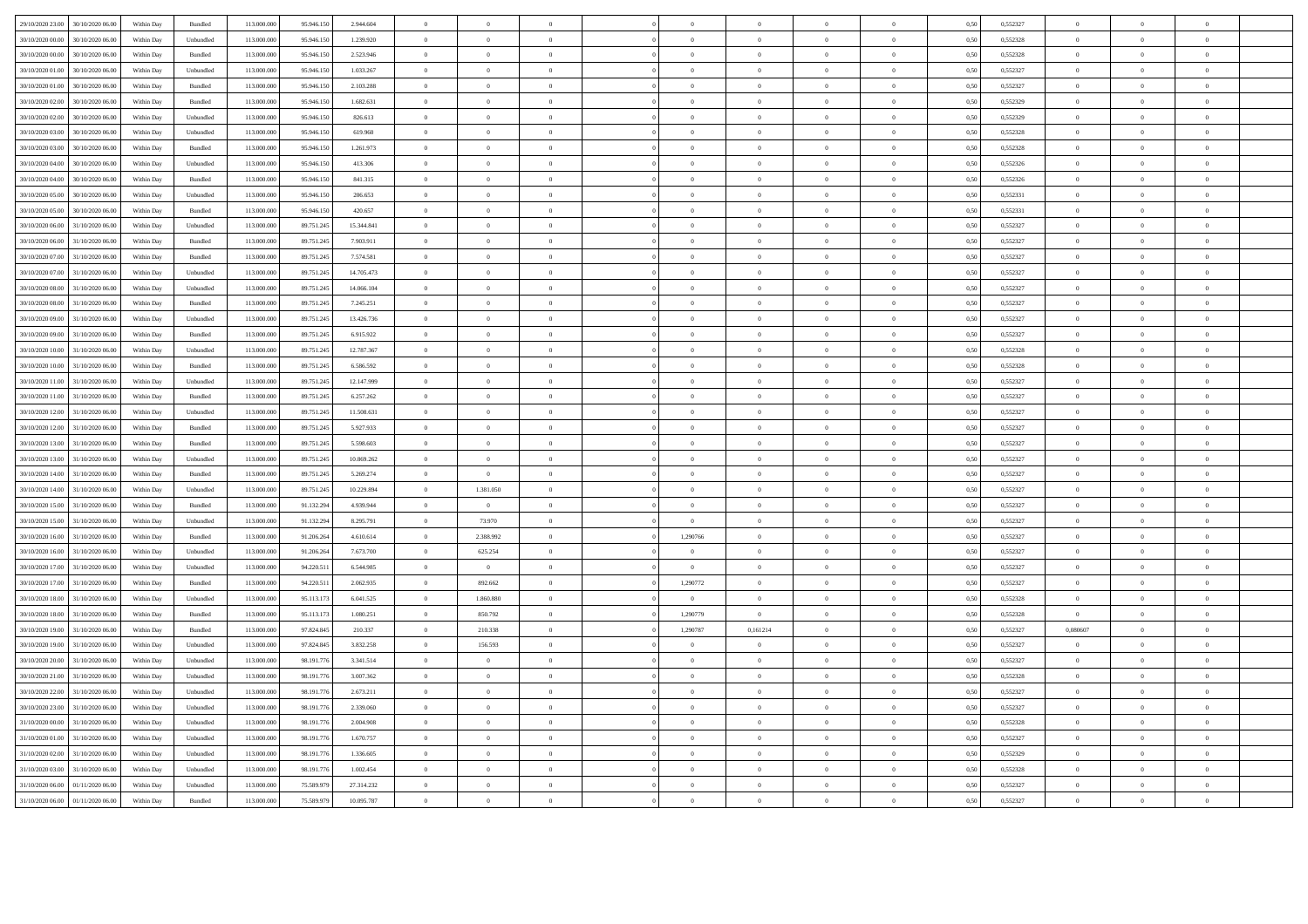| 29/10/2020 23.00 | 30/10/2020 06:00 | Within Dav | Bundled                     | 113,000,000 | 95 946 15  | 2.944.604  | $\overline{0}$ | $\Omega$       |                |                |                |                |                        | 0.50 | 0.552327 | $\Omega$       | $\theta$       |                |  |
|------------------|------------------|------------|-----------------------------|-------------|------------|------------|----------------|----------------|----------------|----------------|----------------|----------------|------------------------|------|----------|----------------|----------------|----------------|--|
| 30/10/2020 00:00 | 30/10/2020 06:00 | Within Day | Unbundled                   | 113 000 000 | 95.946.15  | 1 239 920  | $\theta$       | $\overline{0}$ | $\theta$       | $\overline{0}$ | $\theta$       | $\theta$       | $\theta$               | 0.50 | 0.552328 | $\Omega$       | $\Omega$       | $\sqrt{2}$     |  |
| 30/10/2020 00:0  | 30/10/2020 06:00 | Within Day | <b>Bundled</b>              | 113 000 000 | 95.946.15  | 2.523.946  | $\theta$       | $\overline{0}$ | $\theta$       | $\Omega$       | $\theta$       | $\overline{0}$ | $\overline{0}$         | 0.50 | 0.552328 | $\theta$       | $\overline{0}$ | $\theta$       |  |
| 30/10/2020 01:00 | 30/10/2020 06:00 | Within Day | Unbundled                   | 113.000.000 | 95.946.150 | 1.033.267  | $\overline{0}$ | $\,$ 0 $\,$    | $\overline{0}$ | $\overline{0}$ | $\,$ 0 $\,$    | $\theta$       | $\overline{0}$         | 0,50 | 0,552327 | $\,$ 0 $\,$    | $\overline{0}$ | $\overline{0}$ |  |
| 30/10/2020 01:00 | 30/10/2020 06.0  | Within Day | Bundled                     | 113.000.000 | 95.946.150 | 2.103.288  | $\,$ 0 $\,$    | $\bf{0}$       | $\overline{0}$ | $\overline{0}$ | $\,$ 0 $\,$    | $\,$ 0 $\,$    | $\overline{0}$         | 0,50 | 0,552327 | $\,$ 0 $\,$    | $\overline{0}$ | $\overline{0}$ |  |
| 30/10/2020 02.00 | 30/10/2020 06:00 | Within Day | Bundled                     | 113.000.000 | 95.946.15  | 1.682.631  | $\overline{0}$ | $\overline{0}$ | $\overline{0}$ | $\overline{0}$ | $\overline{0}$ | $\theta$       | $\overline{0}$         | 0.5( | 0,552329 | $\overline{0}$ | $\overline{0}$ | $\theta$       |  |
| 30/10/2020 02:00 | 30/10/2020 06:00 | Within Day | ${\sf Unbundred}$           | 113.000.000 | 95.946.15  | 826.613    | $\overline{0}$ | $\,$ 0 $\,$    | $\overline{0}$ | $\,$ 0 $\,$    | $\,$ 0 $\,$    | $\overline{0}$ | $\,$ 0 $\,$            | 0.50 | 0.552329 | $\overline{0}$ | $\overline{0}$ | $\overline{0}$ |  |
| 30/10/2020 03:00 | 30/10/2020 06:00 | Within Day | Unbundled                   | 113,000,000 | 95.946.15  | 619.960    | $\overline{0}$ | $\bf{0}$       | $\theta$       | $\Omega$       | $\bf{0}$       | $\Omega$       | $\theta$               | 0.50 | 0,552328 | $\overline{0}$ | $\Omega$       | $\sqrt{2}$     |  |
| 30/10/2020 03:00 | 30/10/2020 06:00 | Within Day | <b>Bundled</b>              | 113,000,000 | 95.946.15  | 1.261.973  | $\overline{0}$ | $\overline{0}$ | $\overline{0}$ | $\overline{0}$ | $\overline{0}$ | $\overline{0}$ | $\theta$               | 0.50 | 0.552328 | $\overline{0}$ | $\Omega$       | $\theta$       |  |
| 30/10/2020 04:00 | 30/10/2020 06:00 | Within Dav | Unbundled                   | 113.000.000 | 95,946,150 | 413,306    | $\overline{0}$ | $\overline{0}$ | $\overline{0}$ | $\overline{0}$ | $\overline{0}$ | $\overline{0}$ | $\bf{0}$               | 0.50 | 0,552326 | $\overline{0}$ | $\overline{0}$ | $\theta$       |  |
| 30/10/2020 04:00 | 30/10/2020 06:00 | Within Dav | Bundled                     | 113.000.000 | 95.946.15  | 841.315    | $\overline{0}$ | $\overline{0}$ | $\overline{0}$ | $\Omega$       | $\overline{0}$ | $\theta$       | $\theta$               | 0.50 | 0,552326 | $\overline{0}$ | $\theta$       |                |  |
| 30/10/2020 05:00 | 30/10/2020 06:00 | Within Dav | Unbundled                   | 113.000.000 | 95.946.150 | 206,653    | $\overline{0}$ | $\overline{0}$ | $\overline{0}$ | $\Omega$       | $\overline{0}$ | $\theta$       | $\theta$               | 0.5( | 0,552331 | $\overline{0}$ | $\theta$       | $\theta$       |  |
| 30/10/2020 05.00 | 30/10/2020 06.0  | Within Day | Bundled                     | 113.000.000 | 95.946.15  | 420.657    | $\overline{0}$ | $\overline{0}$ | $\,$ 0 $\,$    | $\,$ 0 $\,$    | $\,$ 0 $\,$    | $\,$ 0 $\,$    | $\,$ 0                 | 0,51 | 0,552331 | $\bf{0}$       | $\,$ 0 $\,$    |                |  |
| 30/10/2020 06.00 | 31/10/2020 06.0  | Within Day | Unbundled                   | 113.000.000 | 89.751.24  | 15.344.841 | $\overline{0}$ | $\,$ 0 $\,$    | $\overline{0}$ | $\overline{0}$ | $\,$ 0 $\,$    | $\bf{0}$       | $\,$ 0 $\,$            | 0,50 | 0,552327 | $\,$ 0 $\,$    | $\overline{0}$ | $\bf{0}$       |  |
| 30/10/2020 06.00 | 31/10/2020 06.0  | Within Day | Bundled                     | 113.000.00  | 89.751.24  | 7.903.911  | $\overline{0}$ | $\overline{0}$ | $\overline{0}$ | $\Omega$       | $\theta$       | $\theta$       | $\overline{0}$         | 0,50 | 0,552327 | $\overline{0}$ | $\overline{0}$ |                |  |
| 30/10/2020 07:0  | 31/10/2020 06:00 | Within Day | <b>Bundled</b>              | 113 000 000 | 89 751 24  | 7 574 581  | $\theta$       | $\overline{0}$ | $\theta$       | $\Omega$       | $\theta$       | $\Omega$       | $\theta$               | 0.50 | 0.552323 | $\theta$       | $\overline{0}$ | $\theta$       |  |
| 30/10/2020 07:00 | 31/10/2020 06:00 | Within Day | Unbundled                   | 113,000,000 | 89.751.245 | 14 705 473 | $\overline{0}$ | $\theta$       | $\overline{0}$ | $\overline{0}$ | $\theta$       | $\theta$       | $\theta$               | 0.50 | 0.552327 | $\theta$       | $\Omega$       | $\sqrt{2}$     |  |
| 30/10/2020 08:00 | 31/10/2020 06:00 | Within Day | Unbundled                   | 113,000,000 | 89.751.24  | 14 066 104 | $\overline{0}$ | $\theta$       | $\overline{0}$ | $\theta$       | $\theta$       | $\overline{0}$ | $\overline{0}$         | 0.50 | 0.552327 | $\theta$       | $\overline{0}$ | $\theta$       |  |
| 30/10/2020 08:00 | 31/10/2020 06:00 | Within Day | Bundled                     | 113.000.000 | 89.751.245 | 7.245.251  | $\,$ 0 $\,$    | $\overline{0}$ | $\overline{0}$ | $\overline{0}$ | $\,$ 0 $\,$    | $\overline{0}$ | $\overline{0}$         | 0,50 | 0,552327 | $\,$ 0 $\,$    | $\overline{0}$ | $\overline{0}$ |  |
| 30/10/2020 09:00 | 31/10/2020 06.00 | Within Day | Unbundled                   | 113.000.000 | 89.751.245 | 13.426.736 | $\overline{0}$ | $\overline{0}$ | $\overline{0}$ | $\overline{0}$ | $\,$ 0 $\,$    | $\,$ 0 $\,$    | $\overline{0}$         | 0,50 | 0,552327 | $\,$ 0 $\,$    | $\overline{0}$ | $\overline{0}$ |  |
| 30/10/2020 09:00 | 31/10/2020 06:00 | Within Day | Bundled                     | 113.000.000 | 89.751.245 | 6.915.922  | $\overline{0}$ | $\overline{0}$ | $\overline{0}$ | $\overline{0}$ | $\overline{0}$ | $\theta$       | $\overline{0}$         | 0.5( | 0,552327 | $\overline{0}$ | $\Omega$       | $\theta$       |  |
| 30/10/2020 10:00 | 31/10/2020 06:00 | Within Day | ${\sf Unbundred}$           | 113.000.000 | 89.751.245 | 12,787,367 | $\overline{0}$ | $\,$ 0 $\,$    | $\overline{0}$ | $\,$ 0 $\,$    | $\,$ 0 $\,$    | $\overline{0}$ | $\hspace{0.1mm}\bm{0}$ | 0.50 | 0.552328 | $\overline{0}$ | $\overline{0}$ | $\overline{0}$ |  |
| 30/10/2020 10:00 | 31/10/2020 06:00 | Within Day | <b>Bundled</b>              | 113,000,000 | 89.751.24  | 6.586.592  | $\overline{0}$ | $\theta$       | $\theta$       | $\Omega$       | $\theta$       | $\theta$       | $\theta$               | 0.50 | 0.552328 | $\overline{0}$ | $\Omega$       | $\mathbf{a}$   |  |
| 30/10/2020 11:00 | 31/10/2020 06:00 | Within Day | Unbundled                   | 113,000,000 | 89.751.24  | 12.147.999 | $\overline{0}$ | $\Omega$       | $\overline{0}$ | $\overline{0}$ | $\overline{0}$ | $\overline{0}$ | $\theta$               | 0.50 | 0.552327 | $\overline{0}$ | $\Omega$       | $\theta$       |  |
| 30/10/2020 11:00 | 31/10/2020 06.00 | Within Dav | Bundled                     | 113.000.000 | 89.751.245 | 6.257.262  | $\overline{0}$ | $\overline{0}$ | $\overline{0}$ | $\overline{0}$ | $\overline{0}$ | $\overline{0}$ | $\overline{0}$         | 0.50 | 0,552327 | $\overline{0}$ | $\overline{0}$ | $\theta$       |  |
| 30/10/2020 12:00 | 31/10/2020 06:00 | Within Dav | Unbundled                   | 113.000.000 | 89.751.245 | 11.508.631 | $\overline{0}$ | $\overline{0}$ | $\overline{0}$ | $\Omega$       | $\overline{0}$ | $\theta$       | $\theta$               | 0.50 | 0,552327 | $\overline{0}$ | $\theta$       |                |  |
| 30/10/2020 12:00 | 31/10/2020 06:00 | Within Day | Bundled                     | 113.000.000 | 89.751.245 | 5.927.933  | $\overline{0}$ | $\overline{0}$ | $\overline{0}$ | $\Omega$       | $\overline{0}$ | $\theta$       | $\theta$               | 0.5( | 0,552327 | $\overline{0}$ | $\theta$       |                |  |
| 30/10/2020 13:00 | 31/10/2020 06.0  | Within Day | Bundled                     | 113.000.000 | 89.751.245 | 5.598.603  | $\overline{0}$ | $\overline{0}$ | $\,$ 0 $\,$    | $\Omega$       | $\bf{0}$       | $\,0\,$        | $\,$ 0 $\,$            | 0,50 | 0,552327 | $\,$ 0 $\,$    | $\,$ 0 $\,$    |                |  |
| 30/10/2020 13:00 | 31/10/2020 06.00 | Within Day | Unbundled                   | 113.000.000 | 89.751.24  | 10.869.262 | $\overline{0}$ | $\,$ 0         | $\overline{0}$ | $\overline{0}$ | $\,$ 0 $\,$    | $\,$ 0 $\,$    | $\overline{0}$         | 0,50 | 0,552327 | $\overline{0}$ | $\overline{0}$ | $\overline{0}$ |  |
| 30/10/2020 14:00 | 31/10/2020 06.0  | Within Day | $\mathbf B$ undled          | 113.000.00  | 89.751.24  | 5.269.274  | $\overline{0}$ | $\overline{0}$ | $\overline{0}$ | $\Omega$       | $\theta$       | $\theta$       | $\overline{0}$         | 0,50 | 0,552327 | $\overline{0}$ | $\overline{0}$ |                |  |
| 30/10/2020 14:00 | 31/10/2020 06.0  | Within Day | Unbundled                   | 113,000,00  | 89.751.24  | 10.229.894 | $\overline{0}$ | 1.381.050      | $\overline{0}$ | $\overline{0}$ | $\theta$       | $\overline{0}$ | $\theta$               | 0.5( | 0.552327 | $\overline{0}$ | $\Omega$       | $\theta$       |  |
| 30/10/2020 15:00 | 31/10/2020 06:00 | Within Day | <b>Bundled</b>              | 113 000 000 | 91 132 29  | 4 939 944  | $\overline{0}$ | $\overline{0}$ | $\overline{0}$ | $\overline{0}$ | $\theta$       | $\Omega$       | $\theta$               | 0.50 | 0.552327 | $\theta$       | $\Omega$       | $\sqrt{2}$     |  |
| 30/10/2020 15:00 | 31/10/2020 06:00 | Within Dav | Unbundled                   | 113,000,000 | 91.132.29  | 8.295.791  | $\overline{0}$ | 73,970         | $\overline{0}$ | $\overline{0}$ | $\overline{0}$ | $\overline{0}$ | $\overline{0}$         | 0.50 | 0.552327 | $\overline{0}$ | $\overline{0}$ | $\overline{0}$ |  |
| 30/10/2020 16:00 | 31/10/2020 06:00 | Within Dav | Bundled                     | 113,000,000 | 91.206.26  | 4.610.614  | $\overline{0}$ | 2.388.992      | $\overline{0}$ | 1,290766       | $\overline{0}$ | $\theta$       | $\theta$               | 0.50 | 0.552327 | $\overline{0}$ | $\theta$       | $\theta$       |  |
| 30/10/2020 16:00 | 31/10/2020 06.00 | Within Day | Unbundled                   | 113.000.000 | 91.206.26  | 7.673.700  | $\overline{0}$ | 625.254        | $\overline{0}$ | $\overline{0}$ | $\,$ 0 $\,$    | $\overline{0}$ | $\overline{0}$         | 0,50 | 0,552327 | $\,$ 0 $\,$    | $\overline{0}$ | $\overline{0}$ |  |
| 30/10/2020 17:00 | 31/10/2020 06:00 | Within Day | $\label{thm:undl} Unbundle$ | 113.000.000 | 94.220.51  | 6.544.985  | $\overline{0}$ | $\overline{0}$ | $\overline{0}$ | $\overline{0}$ | $\overline{0}$ | $\theta$       | $\overline{0}$         | 0.5( | 0,552327 | $\overline{0}$ | $\Omega$       | $\theta$       |  |
| 30/10/2020 17:00 | 31/10/2020 06.00 | Within Day | $\mathbf B$ undled          | 113.000.000 | 94.220.511 | 2.062.935  | $\,$ 0 $\,$    | 892.662        | $\overline{0}$ | 1,290772       | $\,$ 0 $\,$    | $\,$ 0 $\,$    | $\,$ 0 $\,$            | 0,50 | 0,552327 | $\,$ 0 $\,$    | $\,$ 0 $\,$    | $\,$ 0 $\,$    |  |
| 30/10/2020 18:00 | 31/10/2020 06:00 | Within Day | Unbundled                   | 113,000,000 | 95.113.17  | 6.041.525  | $\overline{0}$ | 1.860,880      | $\overline{0}$ | $\theta$       | $\overline{0}$ | $\overline{0}$ | $\theta$               | 0.50 | 0.552328 | $\overline{0}$ | $\Omega$       | $\mathbf{a}$   |  |
| 30/10/2020 18:00 | 31/10/2020 06:00 | Within Day | <b>Bundled</b>              | 113,000,000 | 95.113.173 | 1.080.251  | $\overline{0}$ | 850.792        | $\overline{0}$ | 1.290779       | $\overline{0}$ | $\overline{0}$ | $\theta$               | 0.50 | 0.552328 | $\overline{0}$ | $\Omega$       | $\theta$       |  |
| 30/10/2020 19:00 | 31/10/2020 06:00 | Within Day | <b>Bundled</b>              | 113 000 000 | 97.824.84  | 210 337    | $\overline{0}$ | 210.338        | $\theta$       | 1.290787       | 0.161214       | $\Omega$       | $\theta$               | 0.50 | 0.552327 | 0.080607       | $\Omega$       | $\mathbf{a}$   |  |
| 30/10/2020 19:00 | 31/10/2020 06:00 | Within Dav | Unbundled                   | 113.000.000 | 97.824.845 | 3.832.258  | $\overline{0}$ | 156.593        | $\overline{0}$ | $\Omega$       | $\overline{0}$ | $\theta$       | $\theta$               | 0.50 | 0,552327 | $\overline{0}$ | $\theta$       |                |  |
| 30/10/2020 20:00 | 31/10/2020 06.00 | Within Day | Unbundled                   | 113.000.000 | 98.191.77  | 3.341.514  | $\overline{0}$ | $\overline{0}$ | $\theta$       | $\Omega$       | $\,$ 0 $\,$    | $\,$ 0 $\,$    | $\theta$               | 0,50 | 0,552327 | $\bf{0}$       | $\theta$       |                |  |
| 30/10/2020 21.00 | 31/10/2020 06.00 | Within Day | Unbundled                   | 113.000.000 | 98.191.776 | 3.007.362  | $\,$ 0 $\,$    | $\theta$       | $\overline{0}$ | $\overline{0}$ | $\theta$       | $\theta$       | $\overline{0}$         | 0,50 | 0,552328 | $\theta$       | $\overline{0}$ |                |  |
| 30/10/2020 22.00 | 31/10/2020 06.00 | Within Day | Unbundled                   | 113.000.00  | 98.191.77  | 2.673.211  | $\,$ 0 $\,$    | $\,$ 0         | $\overline{0}$ | $\overline{0}$ | $\,$ 0 $\,$    | $\,$ 0 $\,$    | $\overline{0}$         | 0,50 | 0,552327 | $\overline{0}$ | $\,$ 0 $\,$    | $\overline{0}$ |  |
| 30/10/2020 23.00 | 31/10/2020 06.0  | Within Day | Unbundled                   | 113.000.000 | 98.191.77  | 2.339.060  | $\overline{0}$ | $\overline{0}$ | $\overline{0}$ | $\Omega$       | $\theta$       | $\theta$       | $\theta$               | 0.51 | 0.552327 | $\overline{0}$ | $\Omega$       |                |  |
| 31/10/2020 00.00 | 31/10/2020 06:00 | Within Day | Unbundled                   | 113,000,00  | 98 191 77  | 2.004.908  | $\overline{0}$ | $\theta$       | $\overline{0}$ | $\overline{0}$ | $\overline{0}$ | $\overline{0}$ | $\theta$               | 0.50 | 0.552328 | $\theta$       | $\Omega$       | $\sqrt{2}$     |  |
| 31/10/2020 01:00 | 31/10/2020 06:00 | Within Day | Unbundled                   | 113 000 000 | 98 191 77  | 1670.757   | $\overline{0}$ | $\overline{0}$ | $\overline{0}$ | $\overline{0}$ | $\theta$       | $\theta$       | $\theta$               | 0.50 | 0.552327 | $\overline{0}$ | $\overline{0}$ | $\sqrt{2}$     |  |
| 31/10/2020 02:00 | 31/10/2020 06:00 | Within Dav | Unbundled                   | 113,000,000 | 98.191.77  | 1.336.605  | $\overline{0}$ | $\overline{0}$ | $\overline{0}$ | $\overline{0}$ | $\overline{0}$ | $\overline{0}$ | $\overline{0}$         | 0.50 | 0.552329 | $\overline{0}$ | $\overline{0}$ | $\overline{0}$ |  |
| 31/10/2020 03:00 | 31/10/2020 06:00 | Within Dav | Unbundled                   | 113,000,000 | 98.191.77  | 1.002.454  | $\overline{0}$ | $\Omega$       | $\overline{0}$ | $\theta$       | $\overline{0}$ | $\theta$       | $\theta$               | 0.50 | 0.552328 | $\overline{0}$ | $\theta$       |                |  |
| 31/10/2020 06.00 | 01/11/2020 06.00 | Within Dav | Unbundled                   | 113.000.000 | 75.589.97  | 27.314.232 | $\overline{0}$ | $\overline{0}$ | $\overline{0}$ | $\overline{0}$ | $\,$ 0 $\,$    | $\overline{0}$ | $\overline{0}$         | 0.50 | 0.552327 | $\overline{0}$ | $\overline{0}$ | $\overline{0}$ |  |
| 31/10/2020 06:00 | 01/11/2020 06.00 | Within Day | Bundled                     | 113.000.000 | 75.589.979 | 10.095.787 | $\overline{0}$ | $\overline{0}$ | $\overline{0}$ | $\overline{0}$ | $\theta$       | $\theta$       |                        | 0,50 | 0,552327 | $\,$ 0 $\,$    | $\Omega$       | $\overline{0}$ |  |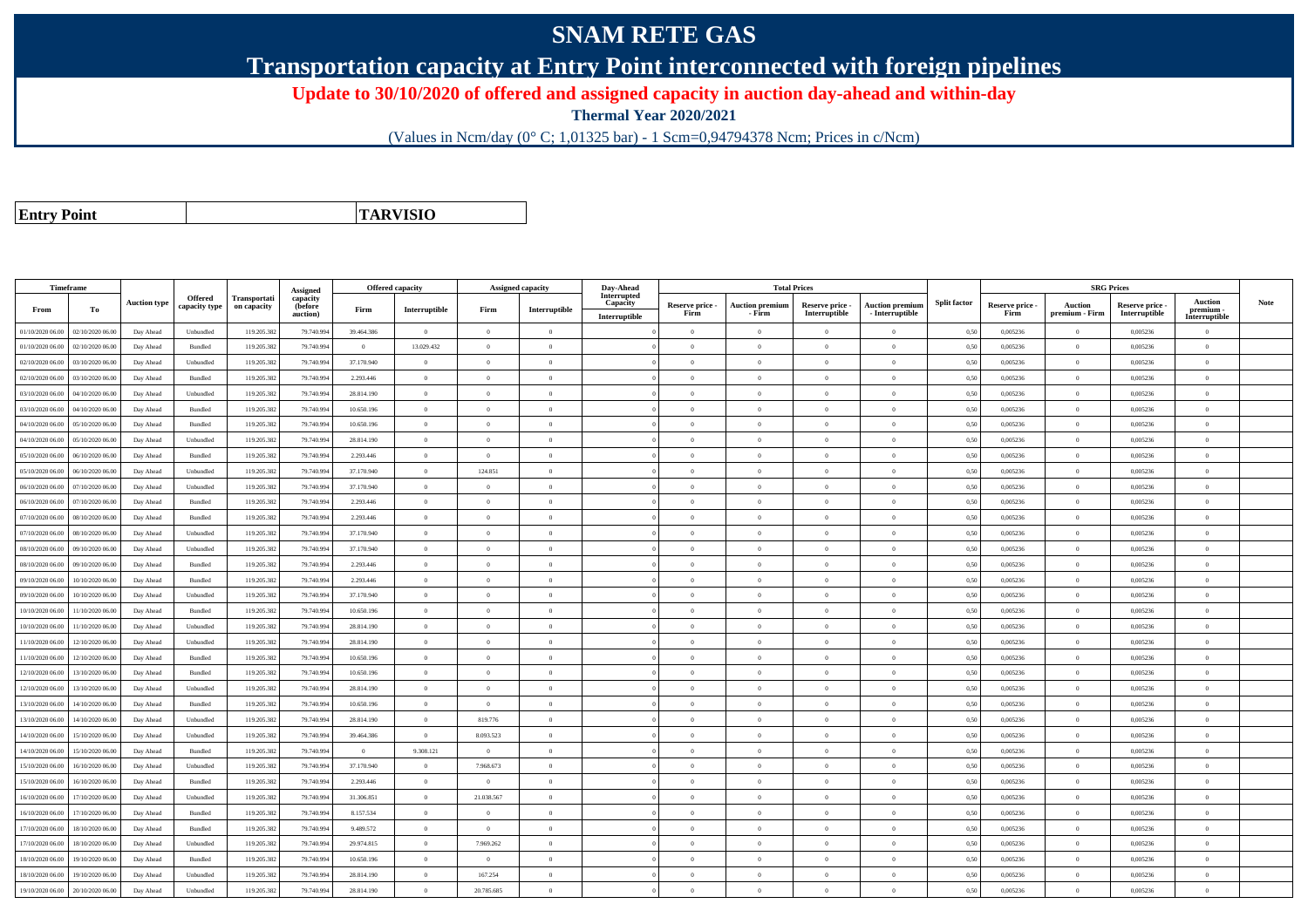## **SNAM RETE GAS**

**Transportation capacity at Entry Point interconnected with foreign pipelines**

**Update to 30/10/2020 of offered and assigned capacity in auction day-ahead and within-day**

**Thermal Year 2020/2021**

(Values in Ncm/day (0° C; 1,01325 bar) - 1 Scm=0,94794378 Ncm; Prices in c/Ncm)

**Entry Point**

**TARVISIO**

|                  | Timeframe        |                     |                          |                             | Assigned                               |            | <b>Offered capacity</b> |                | <b>Assigned capacity</b> | Day-Ahead                                |                         | <b>Total Prices</b>              |                                  |                                           |                     |                         | <b>SRG Prices</b>                |                                  |                                       |             |
|------------------|------------------|---------------------|--------------------------|-----------------------------|----------------------------------------|------------|-------------------------|----------------|--------------------------|------------------------------------------|-------------------------|----------------------------------|----------------------------------|-------------------------------------------|---------------------|-------------------------|----------------------------------|----------------------------------|---------------------------------------|-------------|
| From             | To               | <b>Auction type</b> | Offered<br>capacity type | Transportati<br>on capacity | capacity<br><b>(before</b><br>auction) | Firm       | Interruptible           | Firm           | Interruptible            | Interrupted<br>Capacity<br>Interruptible | Reserve price -<br>Firm | <b>Auction premium</b><br>- Firm | Reserve price -<br>Interruptible | <b>Auction premium</b><br>- Interruptible | <b>Split factor</b> | Reserve price -<br>Firm | <b>Auction</b><br>premium - Firm | Reserve price -<br>Interruptible | Auction<br>premium -<br>Interruptible | <b>Note</b> |
| 01/10/2020 06.00 | 02/10/2020 06.00 | Day Ahead           | Unbundled                | 119.205.382                 | 79.740.99                              | 39.464.386 | $\overline{0}$          | $\overline{0}$ | $\overline{0}$           |                                          | $\overline{0}$          | $\bf{0}$                         | $\overline{0}$                   | $\theta$                                  | 0,50                | 0,005236                | $\overline{0}$                   | 0,005236                         | $\overline{0}$                        |             |
| 01/10/2020 06:00 | 02/10/2020 06:00 | Day Ahead           | Bundled                  | 119.205.382                 | 79.740.99                              | $\theta$   | 13.029.432              | $\theta$       | $\Omega$                 |                                          | $\Omega$                |                                  | $\Omega$                         | $\theta$                                  | 0,50                | 0.005236                | $\overline{0}$                   | 0,005236                         | $\Omega$                              |             |
| 02/10/2020 06.00 | 03/10/2020 06.00 | Day Ahead           | Unbundled                | 119.205.382                 | 79.740.99                              | 37.170.940 | $\overline{0}$          | $\overline{0}$ | $\overline{0}$           |                                          | $\overline{0}$          | $\theta$                         | $\overline{0}$                   | $\mathbf{0}$                              | 0,50                | 0,005236                | $\overline{0}$                   | 0,005236                         | $\bf{0}$                              |             |
| 02/10/2020 06:00 | 03/10/2020 06:00 | Day Ahead           | Bundled                  | 119.205.382                 | 79.740.994                             | 2.293.446  | $\overline{0}$          | $\theta$       | $\overline{0}$           |                                          | $\Omega$                | $\theta$                         | $\overline{0}$                   | $\mathbf{0}$                              | 0,50                | 0,005236                | $\overline{0}$                   | 0,005236                         | $\theta$                              |             |
| 03/10/2020 06:00 | 04/10/2020 06.00 | Day Ahead           | Unbundled                | 119.205.382                 | 79.740.994                             | 28.814.190 | $\overline{0}$          | $\overline{0}$ | $\overline{0}$           |                                          | $\overline{0}$          | $\theta$                         | $\overline{0}$                   | $\overline{0}$                            | 0.50                | 0.005236                | $\overline{0}$                   | 0.005236                         | $\Omega$                              |             |
| 03/10/2020 06:00 | 04/10/2020 06.00 | Day Ahead           | Bundled                  | 119.205.382                 | 79.740.99                              | 10.650.196 | $\theta$                | $\theta$       | $\Omega$                 |                                          | $\Omega$                |                                  | $\Omega$                         | $\theta$                                  | 0.50                | 0,005236                | $\overline{0}$                   | 0,005236                         | $\Omega$                              |             |
| 04/10/2020 06:00 | 05/10/2020 06:00 | Day Ahead           | Bundled                  | 119.205.382                 | 79,740,994                             | 10.650.196 | $\overline{0}$          | $\overline{0}$ | $\overline{0}$           |                                          | $\overline{0}$          | $\theta$                         | $\overline{0}$                   | $\overline{0}$                            | 0.50                | 0.005236                | $\overline{0}$                   | 0.005236                         | $\bf{0}$                              |             |
| 04/10/2020 06.00 | 05/10/2020 06.00 | Day Ahead           | Unbundled                | 119.205.382                 | 79.740.994                             | 28.814.190 | $\overline{0}$          | $\overline{0}$ | $\overline{0}$           |                                          | $\theta$                | $\theta$                         | $\overline{0}$                   | $\mathbf{0}$                              | 0,50                | 0,005236                | $\overline{0}$                   | 0,005236                         | $\Omega$                              |             |
| 05/10/2020 06.00 | 06/10/2020 06.00 | Day Ahead           | Bundled                  | 119.205.382                 | 79.740.994                             | 2.293.446  | $\overline{0}$          | $\overline{0}$ | $\Omega$                 |                                          | $\Omega$                |                                  | $\overline{0}$                   | $\Omega$                                  | 0,50                | 0,005236                | $\overline{0}$                   | 0,005236                         | $\Omega$                              |             |
| 05/10/2020 06.00 | 06/10/2020 06.00 | Day Ahead           | Unbundled                | 119.205.382                 | 79.740.99                              | 37.170.940 | $\overline{0}$          | 124.851        | $\overline{0}$           |                                          | $\overline{0}$          | $\theta$                         | $\overline{0}$                   | $\overline{0}$                            | 0,50                | 0,005236                | $\overline{0}$                   | 0,005236                         | $\bf{0}$                              |             |
| 06/10/2020 06.00 | 07/10/2020 06.00 | Day Ahead           | Unbundled                | 119.205.382                 | 79.740.994                             | 37.170.940 | $\overline{0}$          | $\overline{0}$ | $\overline{0}$           |                                          | $\overline{0}$          | $\theta$                         | $\overline{0}$                   | $\overline{0}$                            | 0,50                | 0,005236                | $\overline{0}$                   | 0,005236                         | $\bf{0}$                              |             |
| 06/10/2020 06:00 | 07/10/2020 06:00 | Day Ahead           | Bundled                  | 119.205.382                 | 79,740,994                             | 2.293.446  | $\overline{0}$          | $\theta$       | $\Omega$                 |                                          | $\Omega$                | $\theta$                         | $\Omega$                         | $\theta$                                  | 0.50                | 0.005236                | $\overline{0}$                   | 0.005236                         | $\Omega$                              |             |
| 07/10/2020 06.00 | 08/10/2020 06.0  | Day Ahead           | Bundled                  | 119.205.382                 | 79.740.99                              | 2.293.446  | $\overline{0}$          | $\overline{0}$ | $\overline{0}$           |                                          | $\Omega$                |                                  | $\overline{0}$                   | $\mathbf{0}$                              | 0,50                | 0,005236                | $\overline{0}$                   | 0,005236                         | $\Omega$                              |             |
| 07/10/2020 06.00 | 08/10/2020 06:00 | Day Ahead           | Unbundled                | 119.205.382                 | 79.740.99                              | 37.170.940 | $\overline{0}$          | $\Omega$       | $\Omega$                 |                                          | $\Omega$                | $\theta$                         | $\Omega$                         | $\Omega$                                  | 0,50                | 0,005236                | $\overline{0}$                   | 0,005236                         | $\Omega$                              |             |
| 08/10/2020 06:00 | 09/10/2020 06:00 | Day Ahead           | Unbundled                | 119.205.382                 | 79,740,994                             | 37.170.940 | $\overline{0}$          | $\theta$       | $\Omega$                 |                                          | $\Omega$                | $\theta$                         | $\theta$                         | $\theta$                                  | 0.50                | 0.005236                | $\overline{0}$                   | 0.005236                         | $\theta$                              |             |
| 08/10/2020 06:00 | 09/10/2020 06.00 | Day Ahead           | Bundled                  | 119.205.382                 | 79.740.99                              | 2.293.446  | $\overline{0}$          | $\overline{0}$ | $\overline{0}$           |                                          | $\overline{0}$          | $\theta$                         | $\overline{0}$                   | $\mathbf{0}$                              | 0.50                | 0,005236                | $\overline{0}$                   | 0,005236                         | $\bf{0}$                              |             |
| 09/10/2020 06.00 | 10/10/2020 06.00 | Day Ahead           | Bundled                  | 119.205.382                 | 79.740.994                             | 2.293.446  | $\overline{0}$          | $\overline{0}$ | $\overline{0}$           |                                          | $\overline{0}$          | $\theta$                         | $\overline{0}$                   | $\overline{0}$                            | 0,50                | 0,005236                | $\overline{0}$                   | 0,005236                         | $\bf{0}$                              |             |
| 09/10/2020 06.00 | 10/10/2020 06.00 | Day Ahead           | Unbundled                | 119.205.382                 | 79.740.994                             | 37.170.940 | $\overline{0}$          | $\overline{0}$ | $\overline{0}$           |                                          | $\overline{0}$          | $\theta$                         | $\overline{0}$                   | $\overline{0}$                            | 0,50                | 0,005236                | $\overline{0}$                   | 0,005236                         | $\overline{0}$                        |             |
| 10/10/2020 06:00 | 11/10/2020 06.00 | Day Ahead           | Bundled                  | 119.205.382                 | 79.740.99                              | 10.650.196 | $\overline{0}$          | $\Omega$       | $\overline{0}$           |                                          | $\Omega$                |                                  | $\overline{0}$                   | $\theta$                                  | 0,50                | 0,005236                | $\overline{0}$                   | 0,005236                         | $\theta$                              |             |
| 10/10/2020 06:00 | 11/10/2020 06:00 | Day Ahead           | Unbundled                | 119.205.382                 | 79.740.994                             | 28.814.190 | $\overline{0}$          | $\overline{0}$ | $\overline{0}$           |                                          | $\Omega$                | $\theta$                         | $\overline{0}$                   | $\overline{0}$                            | 0,50                | 0,005236                | $\overline{0}$                   | 0,005236                         | $\theta$                              |             |
| 11/10/2020 06.00 | 12/10/2020 06.00 | Day Ahead           | Unbundled                | 119.205.382                 | 79.740.994                             | 28.814.190 | $\overline{0}$          | $\theta$       | $\Omega$                 |                                          | $\Omega$                | $\theta$                         | $\overline{0}$                   | $\Omega$                                  | 0,50                | 0,005236                | $\overline{0}$                   | 0,005236                         | $\bf{0}$                              |             |
| 11/10/2020 06:00 | 12/10/2020 06:00 | Day Ahead           | Bundled                  | 119.205.382                 | 79,740,994                             | 10.650.196 | $\overline{0}$          | $\Omega$       | $\Omega$                 |                                          | $\Omega$                |                                  | $\Omega$                         | $\Omega$                                  | 0.50                | 0.005236                | $\Omega$                         | 0.005236                         | $\Omega$                              |             |
| 12/10/2020 06:00 | 13/10/2020 06:00 | Day Ahead           | Bundled                  | 119.205.382                 | 79,740,994                             | 10.650.196 | $\overline{0}$          | $\Omega$       | $\Omega$                 |                                          | $\Omega$                | $\theta$                         | $\theta$                         | $\theta$                                  | 0.50                | 0.005236                | $\overline{0}$                   | 0.005236                         | $\Omega$                              |             |
| 12/10/2020 06:00 | 13/10/2020 06:00 | Day Ahead           | Unbundled                | 119.205.382                 | 79.740.99                              | 28.814.190 | $\overline{0}$          | $\overline{0}$ | $\overline{0}$           |                                          | $\overline{0}$          | $\theta$                         | $\overline{0}$                   | $\mathbf{0}$                              | 0.50                | 0.005236                | $\overline{0}$                   | 0,005236                         | $\bf{0}$                              |             |
| 13/10/2020 06:00 | 14/10/2020 06:00 | Day Ahead           | Bundled                  | 119.205.382                 | 79,740,994                             | 10.650.196 | $\overline{0}$          | $\theta$       | $\overline{0}$           |                                          | $\overline{0}$          | $\theta$                         | $\overline{0}$                   | $\overline{0}$                            | 0.50                | 0.005236                | $\overline{0}$                   | 0.005236                         | $\Omega$                              |             |
| 13/10/2020 06.00 | 14/10/2020 06.00 | Day Ahead           | Unbundled                | 119.205.382                 | 79.740.99                              | 28.814.190 | $\overline{0}$          | 819.776        | $\overline{0}$           |                                          | $\Omega$                | $\theta$                         | $\overline{0}$                   | $\overline{0}$                            | 0,50                | 0,005236                | $\,$ 0 $\,$                      | 0,005236                         | $\Omega$                              |             |
| 14/10/2020 06.00 | 15/10/2020 06.00 | Day Ahead           | Unbundled                | 119.205.382                 | 79.740.994                             | 39.464.386 | $\overline{0}$          | 8.093.523      | $\overline{0}$           |                                          | $\overline{0}$          | $\theta$                         | $\overline{0}$                   | $\mathbf{0}$                              | 0,50                | 0,005236                | $\overline{0}$                   | 0,005236                         | $\bf{0}$                              |             |
| 14/10/2020 06.00 | 15/10/2020 06.00 | Day Ahead           | Bundled                  | 119.205.382                 | 79.740.994                             | $\theta$   | 9.308.121               | $\Omega$       | $\theta$                 |                                          | $\Omega$                | $\theta$                         | $\overline{0}$                   | $\Omega$                                  | 0,50                | 0,005236                | $\overline{0}$                   | 0,005236                         | $\Omega$                              |             |
| 15/10/2020 06.00 | 16/10/2020 06.00 | Day Ahead           | Unbundled                | 119.205.382                 | 79.740.99                              | 37.170.940 | $\overline{0}$          | 7.968.673      | $\overline{0}$           |                                          | $\overline{0}$          | $\theta$                         | $\overline{0}$                   | $\mathbf{0}$                              | 0,50                | 0,005236                | $\overline{0}$                   | 0,005236                         | $\bf{0}$                              |             |
| 15/10/2020 06:00 | 16/10/2020 06:00 | Day Ahead           | Bundled                  | 119.205.382                 | 79,740,994                             | 2.293.446  | $\overline{0}$          | $\theta$       | $\overline{0}$           |                                          | $\Omega$                | $\Omega$                         | $\theta$                         | $\theta$                                  | 0,50                | 0.005236                | $\overline{0}$                   | 0.005236                         | $\theta$                              |             |
| 16/10/2020 06:00 | 17/10/2020 06:00 | Day Ahead           | Unbundled                | 119.205.382                 | 79.740.994                             | 31.306.851 | $\overline{0}$          | 21.038.567     | $\overline{0}$           |                                          | $\overline{0}$          | $\theta$                         | $\overline{0}$                   | $\overline{0}$                            | 0,50                | 0,005236                | $\overline{0}$                   | 0,005236                         | $\bf{0}$                              |             |
| 16/10/2020 06:00 | 17/10/2020 06.00 | Day Ahead           | Bundled                  | 119.205.382                 | 79.740.99                              | 8.157.534  | $\overline{0}$          | $\theta$       | $\Omega$                 |                                          | $\theta$                | $\theta$                         | $\theta$                         | $\theta$                                  | 0.50                | 0,005236                | $\overline{0}$                   | 0,005236                         | $\Omega$                              |             |
| 17/10/2020 06.00 | 18/10/2020 06:00 | Day Ahead           | Bundled                  | 119.205.382                 | 79.740.99                              | 9.489.572  | $\overline{0}$          | $\overline{0}$ | $\overline{0}$           |                                          | $\Omega$                | $\theta$                         | $\overline{0}$                   | $\overline{0}$                            | 0.50                | 0.005236                | $\overline{0}$                   | 0.005236                         | $\Omega$                              |             |
| 17/10/2020 06.00 | 18/10/2020 06.00 | Day Ahead           | Unbundled                | 119.205.382                 | 79.740.99                              | 29.974.815 | $\overline{0}$          | 7.969.262      | $\overline{0}$           |                                          | $\theta$                | $\theta$                         | $\overline{0}$                   | $\mathbf{0}$                              | 0,50                | 0,005236                | $\overline{0}$                   | 0,005236                         | $\bf{0}$                              |             |
| 18/10/2020 06:00 | 19/10/2020 06.00 | Day Ahead           | Bundled                  | 119.205.382                 | 79.740.994                             | 10.650.196 | $\overline{0}$          | $\overline{0}$ | $\overline{0}$           |                                          | $\Omega$                |                                  | $\overline{0}$                   | $\Omega$                                  | 0,50                | 0,005236                | $\overline{0}$                   | 0,005236                         | $\Omega$                              |             |
| 18/10/2020 06.00 | 19/10/2020 06.0  | Day Ahead           | Unbundled                | 119.205.382                 | 79.740.99                              | 28.814.190 | $\overline{0}$          | 167.254        | $\overline{0}$           |                                          | $\overline{0}$          | $\theta$                         | $\overline{0}$                   | $\overline{0}$                            | 0,50                | 0,005236                | $\overline{0}$                   | 0,005236                         | $\bf{0}$                              |             |
| 19/10/2020 06:00 | 20/10/2020 06:00 | Day Ahead           | Unbundled                | 119.205.382                 | 79.740.994                             | 28.814.190 | $\theta$                | 20.785.685     | $\Omega$                 |                                          | $\Omega$                |                                  | $\Omega$                         | $\theta$                                  | 0,50                | 0,005236                | $\Omega$                         | 0,005236                         | $\Omega$                              |             |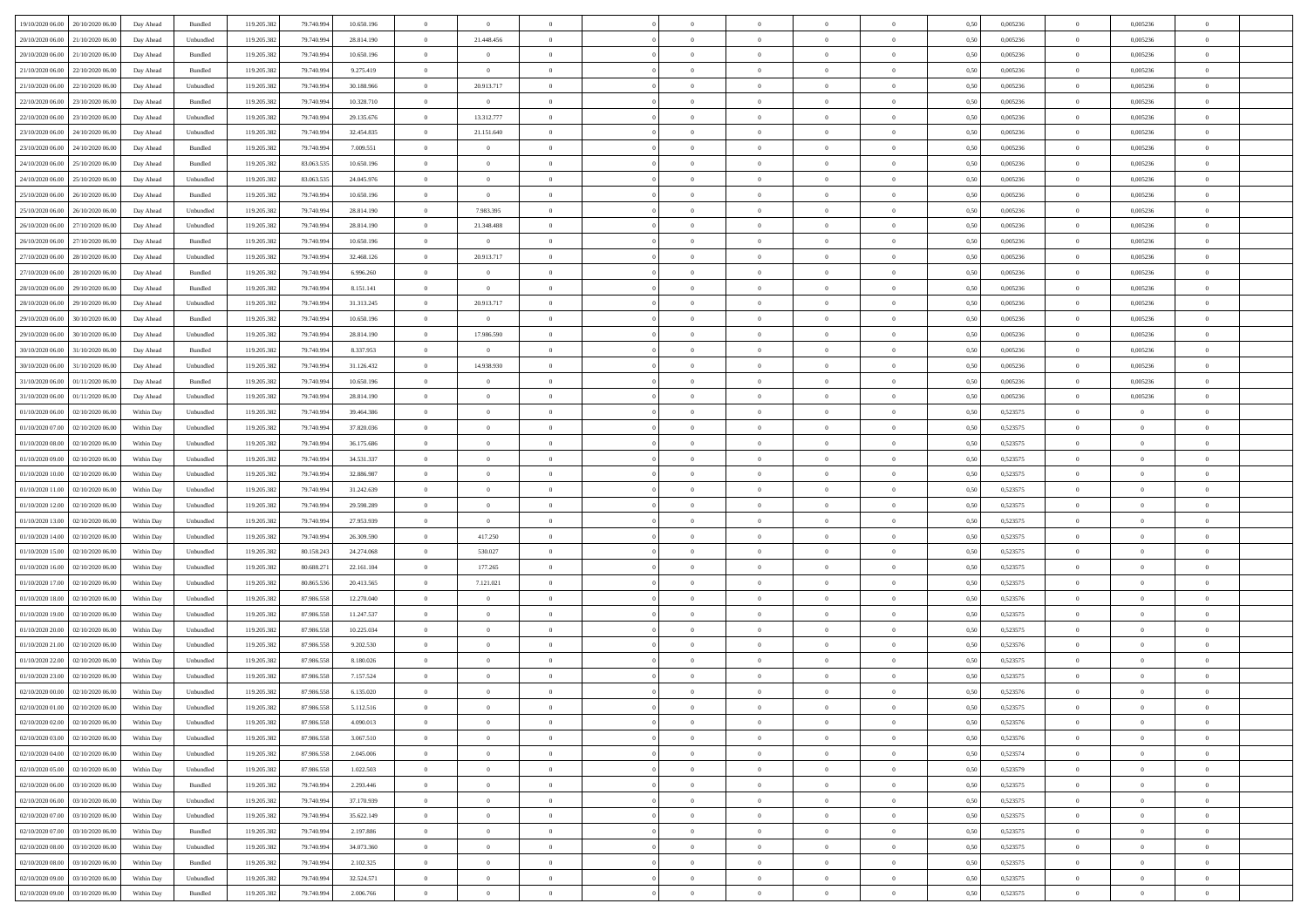| 19/10/2020 06:00 20/10/2020 06:00    | Day Ahead  | Bundled                     | 119.205.382 | 79.740.994 | 10.650.196 | $\overline{0}$ | $\overline{0}$ |                | $\overline{0}$ | $\bf{0}$       | $\overline{0}$ | $\theta$       | 0,50 | 0,005236 | $\bf{0}$       | 0,005236       | $\bf{0}$       |  |
|--------------------------------------|------------|-----------------------------|-------------|------------|------------|----------------|----------------|----------------|----------------|----------------|----------------|----------------|------|----------|----------------|----------------|----------------|--|
|                                      |            |                             |             |            |            |                |                |                |                |                |                |                |      |          |                |                |                |  |
| 20/10/2020 06:00<br>21/10/2020 06.00 | Day Ahead  | Unbundled                   | 119.205.38  | 79.740.99  | 28.814.190 | $\overline{0}$ | 21.448.456     | $\overline{0}$ | $\overline{0}$ | $\,$ 0         | $\overline{0}$ | $\bf{0}$       | 0,50 | 0,005236 | $\bf{0}$       | 0,005236       | $\bf{0}$       |  |
| 20/10/2020 06:00<br>21/10/2020 06:00 | Day Ahead  | Bundled                     | 119.205.38  | 79.740.994 | 10.650.196 | $\overline{0}$ | $\overline{0}$ | $\overline{0}$ | $\overline{0}$ | $\bf{0}$       | $\overline{0}$ | $\overline{0}$ | 0.50 | 0.005236 | $\overline{0}$ | 0.005236       | $\bf{0}$       |  |
| 21/10/2020 06.00<br>22/10/2020 06:00 | Day Ahead  | Bundled                     | 119.205.382 | 79.740.994 | 9.275.419  | $\overline{0}$ | $\overline{0}$ | $\overline{0}$ | $\overline{0}$ | $\bf{0}$       | $\overline{0}$ | $\overline{0}$ | 0,50 | 0,005236 | $\overline{0}$ | 0,005236       | $\overline{0}$ |  |
| 21/10/2020 06.00<br>22/10/2020 06.00 | Day Ahead  | Unbundled                   | 119.205.38  | 79.740.99  | 30.188.966 | $\overline{0}$ | 20.913.717     | $\overline{0}$ |                | $\bf{0}$       | $\overline{0}$ | $\bf{0}$       | 0,50 | 0,005236 | $\bf{0}$       | 0,005236       | $\bf{0}$       |  |
| 22/10/2020 06.00<br>23/10/2020 06:00 | Day Ahead  | Bundled                     | 119,205.38  | 79.740.99  | 10.328.710 | $\overline{0}$ | $\overline{0}$ | $\overline{0}$ | $\overline{0}$ | $\bf{0}$       | $\overline{0}$ | $\overline{0}$ | 0.50 | 0.005236 | $\theta$       | 0.005236       | $\bf{0}$       |  |
| 22/10/2020 06:00<br>23/10/2020 06:00 | Day Ahead  | Unbundled                   | 119.205.38  | 79.740.994 | 29.135.676 | $\overline{0}$ | 13.312.777     | $\overline{0}$ | $\overline{0}$ | $\,$ 0         | $\overline{0}$ | $\overline{0}$ | 0,50 | 0,005236 | $\overline{0}$ | 0,005236       | $\overline{0}$ |  |
| 23/10/2020 06:00<br>24/10/2020 06.00 | Day Ahead  | Unbundled                   | 119.205.38  | 79.740.99  | 32.454.835 | $\bf{0}$       | 21.151.640     | $\overline{0}$ |                | $\,$ 0         | $\overline{0}$ | $\bf{0}$       | 0,50 | 0,005236 | $\bf{0}$       | 0,005236       | $\bf{0}$       |  |
|                                      |            |                             |             |            |            |                |                |                |                |                |                |                |      |          |                |                |                |  |
| 23/10/2020 06.00<br>24/10/2020 06:00 | Day Ahead  | Bundled                     | 119,205.38  | 79.740.994 | 7.009.551  | $\overline{0}$ | $\overline{0}$ | $\overline{0}$ | $\overline{0}$ | $\bf{0}$       | $\overline{0}$ | $\overline{0}$ | 0.50 | 0.005236 | $\overline{0}$ | 0.005236       | $\bf{0}$       |  |
| 24/10/2020 06:00<br>25/10/2020 06.00 | Day Ahead  | Bundled                     | 119.205.382 | 83.063.535 | 10.650.196 | $\overline{0}$ | $\overline{0}$ | $\overline{0}$ | $\overline{0}$ | $\bf{0}$       | $\overline{0}$ | $\overline{0}$ | 0,50 | 0,005236 | $\overline{0}$ | 0,005236       | $\bf{0}$       |  |
| 24/10/2020 06.00<br>25/10/2020 06.00 | Day Ahead  | Unbundled                   | 119.205.38  | 83.063.535 | 24.045.976 | $\bf{0}$       | $\overline{0}$ | $\overline{0}$ | $\overline{0}$ | $\,$ 0         | $\overline{0}$ | $\bf{0}$       | 0,50 | 0,005236 | $\bf{0}$       | 0,005236       | $\bf{0}$       |  |
| 25/10/2020 06.00<br>26/10/2020 06:00 | Day Ahead  | Bundled                     | 119,205.38  | 79.740.994 | 10.650.196 | $\overline{0}$ | $\overline{0}$ | $\overline{0}$ | $\overline{0}$ | $\,$ 0 $\,$    | $\overline{0}$ | $\overline{0}$ | 0.50 | 0.005236 | $\,$ 0 $\,$    | 0.005236       | $\bf{0}$       |  |
| 25/10/2020 06:00<br>26/10/2020 06.00 | Day Ahead  | Unbundled                   | 119.205.38  | 79.740.994 | 28.814.190 | $\overline{0}$ | 7.983.395      | $\overline{0}$ | $\overline{0}$ | $\bf{0}$       | $\overline{0}$ | $\theta$       | 0,50 | 0,005236 | $\,0\,$        | 0,005236       | $\overline{0}$ |  |
| 26/10/2020 06.00<br>27/10/2020 06.00 | Day Ahead  | Unbundled                   | 119.205.38  | 79.740.99  | 28.814.190 | $\bf{0}$       | 21.348.488     | $\overline{0}$ |                | $\bf{0}$       | $\overline{0}$ | $\bf{0}$       | 0,50 | 0,005236 | $\bf{0}$       | 0,005236       | $\bf{0}$       |  |
| 26/10/2020 06.00<br>27/10/2020 06:00 | Day Ahead  | Bundled                     | 119,205.38  | 79.740.994 | 10.650.196 | $\overline{0}$ | $\overline{0}$ | $\overline{0}$ | $\overline{0}$ | $\,$ 0         | $\overline{0}$ | $\overline{0}$ | 0.50 | 0.005236 | $\bf{0}$       | 0.005236       | $\bf{0}$       |  |
|                                      |            |                             |             |            |            |                |                |                |                |                |                |                |      |          |                |                |                |  |
| 27/10/2020 06:00<br>28/10/2020 06:00 | Day Ahead  | Unbundled                   | 119.205.382 | 79.740.994 | 32.468.126 | $\overline{0}$ | 20.913.717     | $\overline{0}$ | $\overline{0}$ | $\bf{0}$       | $\overline{0}$ | $\overline{0}$ | 0,50 | 0,005236 | $\overline{0}$ | 0,005236       | $\overline{0}$ |  |
| 27/10/2020 06.00<br>28/10/2020 06.00 | Day Ahead  | Bundled                     | 119.205.38  | 79.740.994 | 6.996.260  | $\overline{0}$ | $\theta$       | $\overline{0}$ |                | $\,$ 0         | $\overline{0}$ | $\bf{0}$       | 0,50 | 0,005236 | $\bf{0}$       | 0,005236       | $\bf{0}$       |  |
| 28/10/2020 06:00<br>29/10/2020 06:00 | Day Ahead  | Bundled                     | 119,205.38  | 79.740.994 | 8.151.141  | $\overline{0}$ | $\overline{0}$ | $\overline{0}$ | $\overline{0}$ | $\bf{0}$       | $\overline{0}$ | $\overline{0}$ | 0.50 | 0.005236 | $\overline{0}$ | 0.005236       | $\bf{0}$       |  |
| 28/10/2020 06:00<br>29/10/2020 06.00 | Day Ahead  | Unbundled                   | 119.205.382 | 79.740.994 | 31.313.245 | $\overline{0}$ | 20.913.717     | $\overline{0}$ | $\overline{0}$ | $\,$ 0         | $\overline{0}$ | $\overline{0}$ | 0,50 | 0,005236 | $\,0\,$        | 0,005236       | $\overline{0}$ |  |
| 29/10/2020 06.00<br>30/10/2020 06.00 | Day Ahead  | Bundled                     | 119.205.38  | 79.740.99  | 10.650.196 | $\bf{0}$       | $\bf{0}$       | $\overline{0}$ | $\overline{0}$ | $\,$ 0         | $\overline{0}$ | $\bf{0}$       | 0,50 | 0,005236 | $\bf{0}$       | 0,005236       | $\bf{0}$       |  |
| 29/10/2020 06:00<br>30/10/2020 06:00 | Day Ahead  | Unbundled                   | 119,205.38  | 79.740.994 | 28.814.190 | $\overline{0}$ | 17.986.590     | $\overline{0}$ | $\overline{0}$ | $\bf{0}$       | $\overline{0}$ | $\overline{0}$ | 0.50 | 0.005236 | $\overline{0}$ | 0.005236       | $\bf{0}$       |  |
| 30/10/2020 06:00<br>31/10/2020 06:00 | Day Ahead  | Bundled                     | 119.205.382 | 79.740.994 | 8.337.953  | $\overline{0}$ | $\overline{0}$ | $\overline{0}$ | $\overline{0}$ | $\bf{0}$       | $\overline{0}$ | $\overline{0}$ | 0,50 | 0,005236 | $\,$ 0 $\,$    | 0,005236       | $\overline{0}$ |  |
|                                      |            |                             |             |            |            |                |                |                |                |                |                |                |      |          |                |                |                |  |
| 30/10/2020 06.00<br>31/10/2020 06.00 | Day Ahead  | Unbundled                   | 119.205.38  | 79.740.99  | 31.126.432 | $\overline{0}$ | 14.938.930     | $\overline{0}$ | $\overline{0}$ | $\,$ 0         | $\overline{0}$ | $\bf{0}$       | 0,50 | 0,005236 | $\bf{0}$       | 0,005236       | $\bf{0}$       |  |
| 31/10/2020 06.00<br>01/11/2020 06:00 | Day Ahead  | Bundled                     | 119,205.38  | 79.740.99  | 10.650.196 | $\overline{0}$ | $\overline{0}$ | $\overline{0}$ | $\overline{0}$ | $\bf{0}$       | $\overline{0}$ | $\overline{0}$ | 0.50 | 0.005236 | $\,$ 0         | 0.005236       | $\bf{0}$       |  |
| 31/10/2020 06:00<br>01/11/2020 06.00 | Day Ahead  | Unbundled                   | 119.205.382 | 79.740.994 | 28.814.190 | $\overline{0}$ | $\overline{0}$ | $\overline{0}$ | $\overline{0}$ | $\bf{0}$       | $\overline{0}$ | $\overline{0}$ | 0,50 | 0,005236 | $\,$ 0 $\,$    | 0,005236       | $\overline{0}$ |  |
| 01/10/2020 06.00<br>02/10/2020 06.00 | Within Day | Unbundled                   | 119.205.38  | 79.740.99  | 39.464.386 | $\overline{0}$ | $\theta$       | $\overline{0}$ |                | $\,$ 0         | $\overline{0}$ | $\bf{0}$       | 0,50 | 0,523575 | $\bf{0}$       | $\overline{0}$ | $\,$ 0         |  |
| 01/10/2020 07:00<br>02/10/2020 06:00 | Within Day | Unbundled                   | 119,205.38  | 79.740.994 | 37.820.036 | $\overline{0}$ | $\overline{0}$ | $\overline{0}$ | $\overline{0}$ | $\bf{0}$       | $\overline{0}$ | $\overline{0}$ | 0.50 | 0,523575 | $\bf{0}$       | $\overline{0}$ | $\bf{0}$       |  |
| 01/10/2020 08:00<br>02/10/2020 06:00 | Within Day | Unbundled                   | 119.205.382 | 79.740.994 | 36.175.686 | $\overline{0}$ | $\overline{0}$ | $\overline{0}$ | $\overline{0}$ | $\bf{0}$       | $\overline{0}$ | $\overline{0}$ | 0,50 | 0,523575 | $\,$ 0 $\,$    | $\overline{0}$ | $\overline{0}$ |  |
|                                      |            |                             |             |            |            | $\bf{0}$       | $\overline{0}$ | $\overline{0}$ | $\overline{0}$ | $\bf{0}$       |                |                |      |          | $\bf{0}$       | $\overline{0}$ | $\bf{0}$       |  |
| 01/10/2020 09:00<br>02/10/2020 06.00 | Within Day | Unbundled                   | 119.205.38  | 79.740.99  | 34.531.337 |                |                |                |                |                | $\overline{0}$ | $\bf{0}$       | 0,50 | 0,523575 |                |                |                |  |
| 01/10/2020 10:00<br>02/10/2020 06:00 | Within Day | Unbundled                   | 119,205.38  | 79.740.994 | 32,886,987 | $\overline{0}$ | $\overline{0}$ | $\overline{0}$ | $\overline{0}$ | $\,$ 0 $\,$    | $\overline{0}$ | $\overline{0}$ | 0.50 | 0,523575 | $\,$ 0 $\,$    | $\bf{0}$       | $\bf{0}$       |  |
| 01/10/2020 11:00<br>02/10/2020 06:00 | Within Day | Unbundled                   | 119.205.38  | 79.740.994 | 31.242.639 | $\overline{0}$ | $\overline{0}$ | $\theta$       | $\Omega$       | $\overline{0}$ | $\overline{0}$ | $\overline{0}$ | 0.50 | 0,523575 | $\mathbf{0}$   | $\overline{0}$ | $\overline{0}$ |  |
| 01/10/2020 12:00<br>02/10/2020 06.00 | Within Day | Unbundled                   | 119.205.38  | 79.740.99  | 29.598.289 | $\bf{0}$       | $\overline{0}$ | $\overline{0}$ |                | $\,$ 0         | $\overline{0}$ | $\bf{0}$       | 0,50 | 0,523575 | $\bf{0}$       | $\overline{0}$ | $\bf{0}$       |  |
| 01/10/2020 13:00<br>02/10/2020 06.00 | Within Day | Unbundled                   | 119,205.38  | 79.740.994 | 27.953.939 | $\overline{0}$ | $\overline{0}$ | $\overline{0}$ | $\overline{0}$ | $\bf{0}$       | $\overline{0}$ | $\overline{0}$ | 0.50 | 0,523575 | $\bf{0}$       | $\overline{0}$ | $\bf{0}$       |  |
| 01/10/2020 14:00<br>02/10/2020 06:00 | Within Day | Unbundled                   | 119.205.382 | 79.740.994 | 26.309.590 | $\overline{0}$ | 417.250        | $\Omega$       | $\Omega$       | $\mathbf{0}$   | $\overline{0}$ | $\overline{0}$ | 0.50 | 0,523575 | $\mathbf{0}$   | $\overline{0}$ | $\overline{0}$ |  |
| 01/10/2020 15:00<br>02/10/2020 06.00 | Within Day | Unbundled                   | 119.205.38  | 80.158.243 | 24.274.068 | $\overline{0}$ | 530.027        | $\overline{0}$ |                | $\,$ 0         | $\overline{0}$ | $\bf{0}$       | 0,50 | 0,523575 | $\bf{0}$       | $\overline{0}$ | $\bf{0}$       |  |
| 01/10/2020 16:00<br>02/10/2020 06:00 | Within Day | Unbundled                   | 119,205.38  | 80.688.27  | 22.161.104 | $\overline{0}$ | 177.265        | $\overline{0}$ | $\overline{0}$ | $\bf{0}$       | $\overline{0}$ | $\overline{0}$ | 0.50 | 0,523575 | $\bf{0}$       | $\overline{0}$ | $\bf{0}$       |  |
| 01/10/2020 17:00<br>02/10/2020 06:00 | Within Day | Unbundled                   | 119.205.38  | 80.865.536 | 20.413.565 | $\overline{0}$ |                | $\overline{0}$ | $\Omega$       | $\overline{0}$ | $\overline{0}$ | $\overline{0}$ | 0.50 | 0,523575 | $\mathbf{0}$   | $\overline{0}$ | $\overline{0}$ |  |
|                                      |            |                             |             |            |            |                | 7.121.021      |                |                |                |                |                |      |          |                |                |                |  |
| 01/10/2020 18:00<br>02/10/2020 06.00 | Within Day | Unbundled                   | 119.205.38  | 87.986.558 | 12.270.040 | $\bf{0}$       | $\overline{0}$ | $\overline{0}$ | $\overline{0}$ | $\bf{0}$       | $\overline{0}$ | $\bf{0}$       | 0,50 | 0,523576 | $\bf{0}$       | $\overline{0}$ | $\bf{0}$       |  |
| 01/10/2020 19:00<br>02/10/2020 06:00 | Within Day | Unbundled                   | 119,205.38  | 87.986.558 | 11.247.537 | $\overline{0}$ | $\overline{0}$ | $\overline{0}$ | $\overline{0}$ | $\bf{0}$       | $\overline{0}$ | $\overline{0}$ | 0.50 | 0,523575 | $\overline{0}$ | $\overline{0}$ | $\bf{0}$       |  |
| 01/10/2020 20:00<br>02/10/2020 06:00 | Within Day | Unbundled                   | 119.205.382 | 87.986.558 | 10.225.034 | $\overline{0}$ | $\overline{0}$ | $\Omega$       | $\Omega$       | $\mathbf{0}$   | $\overline{0}$ | $\overline{0}$ | 0.50 | 0,523575 | $\mathbf{0}$   | $\overline{0}$ | $\overline{0}$ |  |
| 01/10/2020 21:00<br>02/10/2020 06.00 | Within Day | Unbundled                   | 119.205.38  | 87.986.558 | 9.202.530  | $\bf{0}$       | $\overline{0}$ | $\overline{0}$ | $\overline{0}$ | $\,$ 0         | $\overline{0}$ | $\bf{0}$       | 0,50 | 0,523576 | $\bf{0}$       | $\overline{0}$ | $\bf{0}$       |  |
| 01/10/2020 22.00<br>02/10/2020 06.00 | Within Day | Unbundled                   | 119,205.38  | 87.986.558 | 8.180.026  | $\overline{0}$ | $\theta$       | $\overline{0}$ | $\overline{0}$ | $\bf{0}$       | $\overline{0}$ | $\overline{0}$ | 0.50 | 0,523575 | $\bf{0}$       | $\overline{0}$ | $\bf{0}$       |  |
| 01/10/2020 23:00<br>02/10/2020 06:00 | Within Day | Unbundled                   | 119.205.38  | 87.986.558 | 7.157.524  | $\overline{0}$ | $\Omega$       | $\Omega$       | $\Omega$       | $\bf{0}$       | $\overline{0}$ | $\Omega$       | 0.50 | 0,523575 | $\mathbf{0}$   | $\overline{0}$ | $\overline{0}$ |  |
| 02/10/2020 00:00<br>02/10/2020 06:00 | Within Day | Unbundled                   | 119.205.38  | 87.986.558 | 6.135.020  | $\bf{0}$       | $\,$ 0 $\,$    | $\overline{0}$ |                | $\,$ 0         | $\overline{0}$ | $\bf{0}$       | 0,50 | 0,523576 | $\bf{0}$       | $\overline{0}$ | $\,$ 0         |  |
|                                      |            |                             |             |            |            |                |                |                |                |                |                |                |      |          |                |                |                |  |
| 02/10/2020 01:00 02/10/2020 06:00    | Within Day | $\ensuremath{\mathsf{Unb}}$ | 119.205.382 | 87.986.558 | 5.112.516  | $\bf{0}$       | $\theta$       |                |                |                |                |                | 0,50 | 0,523575 | $\theta$       | $\Omega$       |                |  |
| 02/10/2020 02:00 02/10/2020 06:00    | Within Day | Unbundled                   | 119.205.382 | 87.986.558 | 4.090.013  | $\theta$       | $\overline{0}$ | $\theta$       | $\Omega$       | $\overline{0}$ | $\overline{0}$ | $\mathbf{0}$   | 0,50 | 0,523576 | $\theta$       | $\overline{0}$ | $\bf{0}$       |  |
| 02/10/2020 03:00<br>02/10/2020 06:00 | Within Day | Unbundled                   | 119.205.38  | 87.986.558 | 3.067.510  | $\bf{0}$       | $\overline{0}$ | $\overline{0}$ | $\bf{0}$       | $\overline{0}$ | $\overline{0}$ | $\mathbf{0}$   | 0,50 | 0,523576 | $\overline{0}$ | $\overline{0}$ | $\bf{0}$       |  |
| 02/10/2020 04:00 02/10/2020 06:00    | Within Day | Unbundled                   | 119.205.382 | 87,986,558 | 2.045.006  | $\overline{0}$ | $\overline{0}$ | $\overline{0}$ | $\overline{0}$ | $\,$ 0 $\,$    | $\overline{0}$ | $\mathbf{0}$   | 0.50 | 0,523574 | $\overline{0}$ | $\,$ 0 $\,$    | $\bf{0}$       |  |
| 02/10/2020 05:00 02/10/2020 06:00    | Within Day | Unbundled                   | 119.205.382 | 87.986.558 | 1.022.503  | $\overline{0}$ | $\overline{0}$ | $\overline{0}$ | $\overline{0}$ | $\overline{0}$ | $\overline{0}$ | $\overline{0}$ | 0,50 | 0,523579 | $\theta$       | $\overline{0}$ | $\bf{0}$       |  |
| 02/10/2020 06.00<br>03/10/2020 06:00 | Within Day | Bundled                     | 119.205.382 | 79.740.994 | 2.293.446  | $\bf{0}$       | $\overline{0}$ | $\overline{0}$ | $\overline{0}$ | $\bf{0}$       | $\overline{0}$ | $\bf{0}$       | 0,50 | 0,523575 | $\,$ 0 $\,$    | $\overline{0}$ | $\bf{0}$       |  |
| 02/10/2020 06:00 03/10/2020 06:00    |            |                             |             | 79.740.994 | 37.170.939 |                | $\overline{0}$ | $\overline{0}$ | $\overline{0}$ | $\,$ 0 $\,$    | $\overline{0}$ | $\overline{0}$ | 0.50 |          | $\overline{0}$ | $\overline{0}$ |                |  |
|                                      | Within Day | Unbundled                   | 119.205.382 |            |            | $\overline{0}$ |                |                |                |                |                |                |      | 0,523575 |                |                | $\bf{0}$       |  |
| 02/10/2020 07:00<br>03/10/2020 06:00 | Within Day | Unbundled                   | 119.205.382 | 79.740.994 | 35.622.149 | $\overline{0}$ | $\overline{0}$ | $\overline{0}$ | $\overline{0}$ | $\overline{0}$ | $\overline{0}$ | $\overline{0}$ | 0,50 | 0,523575 | $\overline{0}$ | $\overline{0}$ | $\bf{0}$       |  |
| 02/10/2020 07:00<br>03/10/2020 06:00 | Within Day | Bundled                     | 119.205.38  | 79.740.994 | 2.197.886  | $\bf{0}$       | $\,$ 0         | $\overline{0}$ | $\bf{0}$       | $\,$ 0 $\,$    | $\overline{0}$ | $\bf{0}$       | 0,50 | 0,523575 | $\overline{0}$ | $\,$ 0 $\,$    | $\bf{0}$       |  |
| 02/10/2020 08:00 03/10/2020 06:00    | Within Day | Unbundled                   | 119.205.38  | 79.740.994 | 34.073.360 | $\overline{0}$ | $\overline{0}$ | $\overline{0}$ | $\overline{0}$ | $\,$ 0 $\,$    | $\overline{0}$ | $\overline{0}$ | 0.50 | 0,523575 | $\overline{0}$ | $\bf{0}$       | $\bf{0}$       |  |
| 02/10/2020 08:00 03/10/2020 06:00    | Within Dav | Bundled                     | 119.205.382 | 79.740.994 | 2.102.325  | $\overline{0}$ | $\overline{0}$ | $\overline{0}$ | $\overline{0}$ | $\overline{0}$ | $\overline{0}$ | $\overline{0}$ | 0,50 | 0,523575 | $\overline{0}$ | $\overline{0}$ | $\bf{0}$       |  |
| 02/10/2020 09:00<br>03/10/2020 06:00 | Within Day | Unbundled                   | 119.205.38  | 79.740.994 | 32.524.571 | $\overline{0}$ | $\overline{0}$ | $\overline{0}$ | $\overline{0}$ | $\bf{0}$       | $\overline{0}$ | $\bf{0}$       | 0,50 | 0,523575 | $\overline{0}$ | $\bf{0}$       | $\bf{0}$       |  |
| 02/10/2020 09:00 03/10/2020 06:00    | Within Day | Bundled                     | 119.205.382 | 79.740.994 | 2.006.766  | $\overline{0}$ | $\bf{0}$       | $\overline{0}$ | $\overline{0}$ | $\,$ 0 $\,$    | $\overline{0}$ | $\overline{0}$ | 0,50 | 0,523575 | $\,$ 0 $\,$    | $\,$ 0 $\,$    | $\bf{0}$       |  |
|                                      |            |                             |             |            |            |                |                |                |                |                |                |                |      |          |                |                |                |  |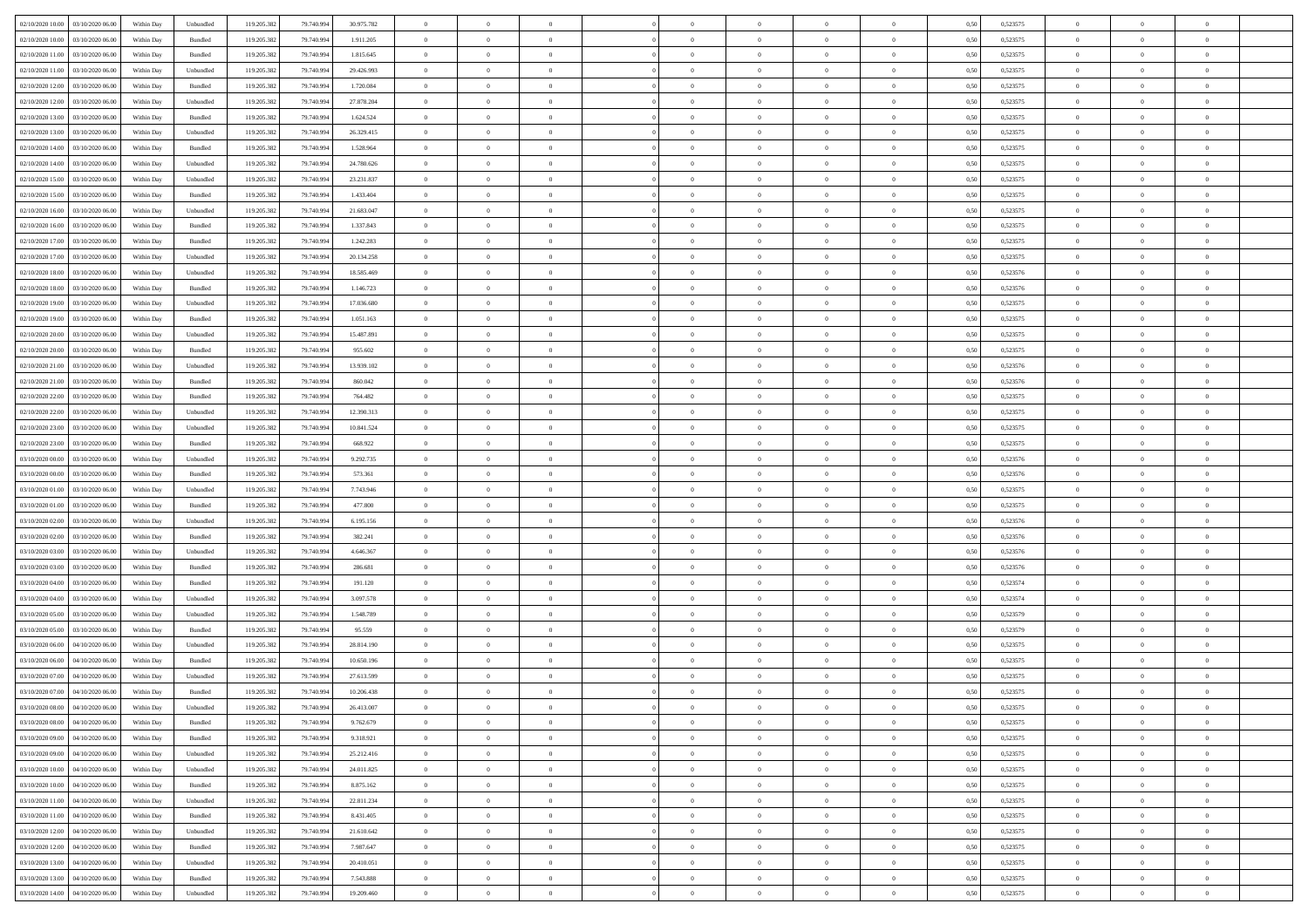| 02/10/2020 10:00 03/10/2020 06:00            | Within Day | Unbundled         | 119.205.382 | 79.740.994 | 30.975.782 | $\overline{0}$ | $\overline{0}$ |                | $\overline{0}$ | $\theta$       |                | $\theta$       | 0,50 | 0,523575 | $\theta$       | $\theta$       | $\overline{0}$ |  |
|----------------------------------------------|------------|-------------------|-------------|------------|------------|----------------|----------------|----------------|----------------|----------------|----------------|----------------|------|----------|----------------|----------------|----------------|--|
| 02/10/2020 10:00<br>03/10/2020 06.00         | Within Day | Bundled           | 119.205.38  | 79.740.99  | 1.911.205  | $\bf{0}$       | $\bf{0}$       | $\bf{0}$       | $\bf{0}$       | $\overline{0}$ | $\overline{0}$ | $\bf{0}$       | 0,50 | 0,523575 | $\,$ 0 $\,$    | $\bf{0}$       | $\overline{0}$ |  |
| 02/10/2020 11:00<br>03/10/2020 06:00         | Within Day | Bundled           | 119.205.382 | 79,740,994 | 1.815.645  | $\overline{0}$ | $\bf{0}$       | $\overline{0}$ | $\bf{0}$       | $\bf{0}$       | $\overline{0}$ | $\bf{0}$       | 0.50 | 0,523575 | $\bf{0}$       | $\overline{0}$ | $\bf{0}$       |  |
| 02/10/2020 11:00<br>03/10/2020 06:00         | Within Day | Unbundled         | 119.205.382 | 79.740.994 | 29.426.993 | $\overline{0}$ | $\overline{0}$ | $\overline{0}$ | $\overline{0}$ | $\theta$       | $\overline{0}$ | $\bf{0}$       | 0,50 | 0,523575 | $\,$ 0 $\,$    | $\,$ 0 $\,$    | $\overline{0}$ |  |
| 02/10/2020 12:00<br>03/10/2020 06.00         | Within Day | Bundled           | 119.205.38  | 79.740.99  | 1.720.084  | $\bf{0}$       | $\overline{0}$ | $\bf{0}$       | $\overline{0}$ | $\bf{0}$       | $\overline{0}$ | $\bf{0}$       | 0,50 | 0,523575 | $\,$ 0 $\,$    | $\bf{0}$       | $\overline{0}$ |  |
| 02/10/2020 12:00<br>03/10/2020 06:00         | Within Day | Unbundled         | 119.205.382 | 79.740.99  | 27.878.204 | $\overline{0}$ | $\bf{0}$       | $\overline{0}$ | $\bf{0}$       | $\overline{0}$ | $\overline{0}$ | $\bf{0}$       | 0.50 | 0.523575 | $\,$ 0 $\,$    | $\theta$       | $\overline{0}$ |  |
| 02/10/2020 13:00<br>03/10/2020 06.00         | Within Day | Bundled           | 119.205.38  | 79.740.994 | 1.624.524  | $\bf{0}$       | $\bf{0}$       | $\overline{0}$ | $\overline{0}$ | $\overline{0}$ | $\overline{0}$ | $\bf{0}$       | 0,50 | 0,523575 | $\,$ 0 $\,$    | $\theta$       | $\overline{0}$ |  |
| 02/10/2020 13:00<br>03/10/2020 06.00         | Within Day | Unbundled         | 119.205.38  | 79.740.99  | 26.329.415 | $\bf{0}$       | $\bf{0}$       | $\bf{0}$       | $\overline{0}$ | $\overline{0}$ | $\overline{0}$ | $\bf{0}$       | 0,50 | 0,523575 | $\,$ 0 $\,$    | $\bf{0}$       | $\overline{0}$ |  |
|                                              |            |                   |             |            |            |                |                |                |                |                |                |                |      |          |                |                |                |  |
| 02/10/2020 14:00<br>03/10/2020 06:00         | Within Day | Bundled           | 119,205.38  | 79.740.99  | 1.528.964  | $\overline{0}$ | $\bf{0}$       | $\overline{0}$ | $\bf{0}$       | $\overline{0}$ | $\overline{0}$ | $\bf{0}$       | 0.50 | 0.523575 | $\bf{0}$       | $\overline{0}$ | $\overline{0}$ |  |
| 02/10/2020 14:00<br>03/10/2020 06:00         | Within Day | Unbundled         | 119.205.382 | 79.740.994 | 24.780.626 | $\bf{0}$       | $\bf{0}$       | $\overline{0}$ | $\overline{0}$ | $\overline{0}$ | $\overline{0}$ | $\bf{0}$       | 0,50 | 0,523575 | $\,$ 0 $\,$    | $\,$ 0 $\,$    | $\overline{0}$ |  |
| 02/10/2020 15:00<br>03/10/2020 06.00         | Within Day | Unbundled         | 119.205.38  | 79.740.99  | 23.231.837 | $\bf{0}$       | $\bf{0}$       | $\bf{0}$       | $\bf{0}$       | $\overline{0}$ | $\overline{0}$ | $\bf{0}$       | 0,50 | 0,523575 | $\,$ 0 $\,$    | $\bf{0}$       | $\overline{0}$ |  |
| 02/10/2020 15:00<br>03/10/2020 06:00         | Within Day | Bundled           | 119.205.382 | 79,740,994 | 1.433.404  | $\overline{0}$ | $\bf{0}$       | $\overline{0}$ | $\overline{0}$ | $\overline{0}$ | $\overline{0}$ | $\bf{0}$       | 0.50 | 0,523575 | $\bf{0}$       | $\,$ 0 $\,$    | $\,$ 0         |  |
| 02/10/2020 16:00<br>03/10/2020 06:00         | Within Day | Unbundled         | 119.205.38  | 79.740.994 | 21.683.047 | $\overline{0}$ | $\bf{0}$       | $\overline{0}$ | $\theta$       | $\theta$       | $\overline{0}$ | $\bf{0}$       | 0,50 | 0,523575 | $\,$ 0 $\,$    | $\,$ 0 $\,$    | $\overline{0}$ |  |
| 02/10/2020 16:00<br>03/10/2020 06.00         | Within Day | Bundled           | 119.205.38  | 79.740.99  | 1.337.843  | $\bf{0}$       | $\overline{0}$ | $\bf{0}$       | $\bf{0}$       | $\bf{0}$       | $\overline{0}$ | $\bf{0}$       | 0,50 | 0,523575 | $\,$ 0 $\,$    | $\bf{0}$       | $\overline{0}$ |  |
| 02/10/2020 17:00<br>03/10/2020 06:00         | Within Day | Bundled           | 119.205.382 | 79,740,994 | 1.242.283  | $\overline{0}$ | $\bf{0}$       | $\overline{0}$ | $\bf{0}$       | $\overline{0}$ | $\overline{0}$ | $\bf{0}$       | 0.50 | 0,523575 | $\,$ 0 $\,$    | $\bf{0}$       | $\overline{0}$ |  |
| 02/10/2020 17:00<br>03/10/2020 06:00         | Within Day | Unbundled         | 119.205.382 | 79.740.994 | 20.134.258 | $\bf{0}$       | $\bf{0}$       | $\overline{0}$ | $\overline{0}$ | $\overline{0}$ | $\overline{0}$ | $\bf{0}$       | 0,50 | 0,523575 | $\theta$       | $\theta$       | $\overline{0}$ |  |
| 02/10/2020 18:00<br>03/10/2020 06.00         | Within Day | Unbundled         | 119.205.38  | 79.740.99  | 18.585.469 | $\bf{0}$       | $\bf{0}$       | $\bf{0}$       | $\overline{0}$ | $\overline{0}$ | $\overline{0}$ | $\bf{0}$       | 0,50 | 0,523576 | $\,$ 0 $\,$    | $\bf{0}$       | $\overline{0}$ |  |
| 02/10/2020 18:00<br>03/10/2020 06:00         | Within Day | Bundled           | 119,205.38  | 79.740.99  | 1.146.723  | $\overline{0}$ | $\bf{0}$       | $\overline{0}$ | $\bf{0}$       | $\bf{0}$       | $\overline{0}$ | $\bf{0}$       | 0.50 | 0.523576 | $\bf{0}$       | $\overline{0}$ | $\bf{0}$       |  |
| 02/10/2020 19:00<br>03/10/2020 06.00         | Within Day | Unbundled         | 119.205.382 | 79.740.994 | 17.036.680 | $\bf{0}$       | $\bf{0}$       | $\overline{0}$ | $\overline{0}$ | $\overline{0}$ | $\overline{0}$ | $\bf{0}$       | 0,50 | 0,523575 | $\,$ 0 $\,$    | $\bf{0}$       | $\overline{0}$ |  |
| 02/10/2020 19:00<br>03/10/2020 06.00         | Within Day | Bundled           | 119.205.38  | 79.740.99  | 1.051.163  | $\bf{0}$       | $\bf{0}$       | $\bf{0}$       | $\bf{0}$       | $\overline{0}$ | $\overline{0}$ | $\bf{0}$       | 0,50 | 0,523575 | $\,$ 0 $\,$    | $\bf{0}$       | $\overline{0}$ |  |
|                                              |            |                   |             |            |            |                |                |                |                |                |                |                |      |          |                |                |                |  |
| 02/10/2020 20:00<br>03/10/2020 06:00         | Within Day | Unbundled         | 119.205.382 | 79,740,994 | 15,487.891 | $\overline{0}$ | $\bf{0}$       | $\overline{0}$ | $\overline{0}$ | $\bf{0}$       | $\overline{0}$ | $\bf{0}$       | 0.50 | 0,523575 | $\bf{0}$       | $\,$ 0 $\,$    | $\,$ 0         |  |
| 02/10/2020 20:00<br>03/10/2020 06:00         | Within Day | Bundled           | 119.205.38  | 79.740.994 | 955.602    | $\overline{0}$ | $\overline{0}$ | $\overline{0}$ | $\theta$       | $\overline{0}$ | $\overline{0}$ | $\bf{0}$       | 0,50 | 0,523575 | $\,$ 0 $\,$    | $\theta$       | $\overline{0}$ |  |
| 02/10/2020 21:00<br>03/10/2020 06.00         | Within Day | Unbundled         | 119.205.38  | 79.740.99  | 13.939.102 | $\bf{0}$       | $\bf{0}$       | $\bf{0}$       | $\bf{0}$       | $\overline{0}$ | $\overline{0}$ | $\bf{0}$       | 0,50 | 0,523576 | $\,$ 0 $\,$    | $\bf{0}$       | $\overline{0}$ |  |
| 02/10/2020 21:00<br>03/10/2020 06:00         | Within Day | Bundled           | 119.205.382 | 79.740.99  | 860,042    | $\overline{0}$ | $\bf{0}$       | $\overline{0}$ | $\bf{0}$       | $\overline{0}$ | $\overline{0}$ | $\bf{0}$       | 0.50 | 0.523576 | $\,$ 0 $\,$    | $\overline{0}$ | $\overline{0}$ |  |
| 02/10/2020 22.00<br>03/10/2020 06.00         | Within Day | Bundled           | 119.205.382 | 79.740.994 | 764.482    | $\bf{0}$       | $\overline{0}$ | $\overline{0}$ | $\overline{0}$ | $\overline{0}$ | $\overline{0}$ | $\bf{0}$       | 0,50 | 0,523575 | $\,$ 0 $\,$    | $\theta$       | $\overline{0}$ |  |
| 02/10/2020 22.00<br>03/10/2020 06.00         | Within Day | Unbundled         | 119.205.38  | 79.740.99  | 12.390.313 | $\bf{0}$       | $\overline{0}$ | $\bf{0}$       | $\overline{0}$ | $\overline{0}$ | $\overline{0}$ | $\bf{0}$       | 0,50 | 0,523575 | $\,$ 0 $\,$    | $\bf{0}$       | $\overline{0}$ |  |
| 02/10/2020 23.00<br>03/10/2020 06:00         | Within Day | Unbundled         | 119,205.38  | 79.740.99  | 10.841.524 | $\overline{0}$ | $\bf{0}$       | $\overline{0}$ | $\bf{0}$       | $\overline{0}$ | $\overline{0}$ | $\bf{0}$       | 0.50 | 0.523575 | $\bf{0}$       | $\overline{0}$ | $\overline{0}$ |  |
| 02/10/2020 23:00<br>03/10/2020 06:00         | Within Day | Bundled           | 119.205.382 | 79.740.994 | 668.922    | $\overline{0}$ | $\bf{0}$       | $\overline{0}$ | $\overline{0}$ | $\overline{0}$ | $\overline{0}$ | $\bf{0}$       | 0,50 | 0,523575 | $\,$ 0 $\,$    | $\bf{0}$       | $\overline{0}$ |  |
| 03/10/2020 00:00<br>03/10/2020 06.00         | Within Day | Unbundled         | 119.205.38  | 79.740.99  | 9.292.735  | $\bf{0}$       | $\bf{0}$       | $\bf{0}$       | $\bf{0}$       | $\overline{0}$ | $\overline{0}$ | $\bf{0}$       | 0,50 | 0,523576 | $\,$ 0 $\,$    | $\bf{0}$       | $\overline{0}$ |  |
| 03/10/2020 00:00<br>03/10/2020 06:00         | Within Day | Bundled           | 119.205.382 | 79,740,994 | 573.361    | $\overline{0}$ | $\bf{0}$       | $\overline{0}$ | $\bf{0}$       | $\bf{0}$       | $\overline{0}$ | $\bf{0}$       | 0.50 | 0,523576 | $\bf{0}$       | $\,$ 0 $\,$    | $\,$ 0         |  |
| 03/10/2020 01:00<br>03/10/2020 06:00         | Within Day | Unbundled         | 119.205.38  | 79.740.99  | 7.743.946  | $\overline{0}$ | $\overline{0}$ | $\overline{0}$ | $\overline{0}$ | $\overline{0}$ | $\overline{0}$ | $\bf{0}$       | 0.5( | 0,523575 | $\theta$       | $\theta$       | $\overline{0}$ |  |
| 03/10/2020 01:00<br>03/10/2020 06.00         | Within Day | Bundled           | 119.205.38  | 79.740.99  | 477.800    | $\bf{0}$       | $\bf{0}$       | $\bf{0}$       | $\bf{0}$       | $\overline{0}$ | $\overline{0}$ | $\bf{0}$       | 0,50 | 0,523575 | $\,$ 0 $\,$    | $\bf{0}$       | $\overline{0}$ |  |
| 03/10/2020 06:00                             |            |                   |             | 79.740.99  |            |                |                |                |                |                | $\overline{0}$ |                | 0.50 |          |                |                |                |  |
| 03/10/2020 02.00                             | Within Day | Unbundled         | 119.205.382 |            | 6.195.156  | $\overline{0}$ | $\bf{0}$       | $\overline{0}$ | $\bf{0}$       | $\overline{0}$ |                | $\bf{0}$       |      | 0,523576 | $\,$ 0 $\,$    | $\bf{0}$       | $\overline{0}$ |  |
| 03/10/2020 02:00<br>03/10/2020 06:00         | Within Day | Bundled           | 119.205.38  | 79.740.994 | 382.241    | $\overline{0}$ | $\overline{0}$ | $\overline{0}$ | $\overline{0}$ | $\overline{0}$ | $\overline{0}$ | $\bf{0}$       | 0.50 | 0,523576 | $\theta$       | $\theta$       | $\overline{0}$ |  |
| 03/10/2020 03:00<br>03/10/2020 06.00         | Within Day | Unbundled         | 119.205.38  | 79.740.99  | 4.646.367  | $\bf{0}$       | $\bf{0}$       | $\bf{0}$       | $\bf{0}$       | $\overline{0}$ | $\overline{0}$ | $\bf{0}$       | 0,50 | 0,523576 | $\,$ 0 $\,$    | $\bf{0}$       | $\overline{0}$ |  |
| 03/10/2020 03:00<br>03/10/2020 06:00         | Within Day | Bundled           | 119,205.38  | 79.740.99  | 286.681    | $\overline{0}$ | $\bf{0}$       | $\overline{0}$ | $\bf{0}$       | $\overline{0}$ | $\overline{0}$ | $\bf{0}$       | 0.50 | 0.523576 | $\bf{0}$       | $\overline{0}$ | $\overline{0}$ |  |
| 03/10/2020 04:00<br>03/10/2020 06:00         | Within Day | Bundled           | 119.205.38  | 79.740.994 | 191.120    | $\overline{0}$ | $\overline{0}$ | $\overline{0}$ | $\overline{0}$ | $\overline{0}$ | $\overline{0}$ | $\bf{0}$       | 0.50 | 0,523574 | $\theta$       | $\theta$       | $\overline{0}$ |  |
| 03/10/2020 04:00<br>03/10/2020 06.00         | Within Day | Unbundled         | 119.205.38  | 79.740.99  | 3.097.578  | $\bf{0}$       | $\bf{0}$       | $\bf{0}$       | $\bf{0}$       | $\overline{0}$ | $\overline{0}$ | $\bf{0}$       | 0,50 | 0,523574 | $\,$ 0 $\,$    | $\bf{0}$       | $\overline{0}$ |  |
| 03/10/2020 05:00<br>03/10/2020 06:00         | Within Day | Unbundled         | 119.205.382 | 79,740,994 | 1.548.789  | $\overline{0}$ | $\bf{0}$       | $\overline{0}$ | $\overline{0}$ | $\bf{0}$       | $\overline{0}$ | $\bf{0}$       | 0.50 | 0,523579 | $\bf{0}$       | $\,$ 0 $\,$    | $\,$ 0         |  |
| 03/10/2020 05:00<br>03/10/2020 06:00         | Within Day | Bundled           | 119.205.382 | 79.740.994 | 95.559     | $\overline{0}$ | $\overline{0}$ | $\overline{0}$ | $\overline{0}$ | $\overline{0}$ | $\overline{0}$ | $\bf{0}$       | 0.5( | 0,523579 | $\theta$       | $\theta$       | $\overline{0}$ |  |
| 03/10/2020 06:00<br>04/10/2020 06.00         | Within Day | Unbundled         | 119.205.38  | 79.740.99  | 28.814.190 | $\bf{0}$       | $\bf{0}$       | $\bf{0}$       | $\bf{0}$       | $\overline{0}$ | $\overline{0}$ | $\bf{0}$       | 0,50 | 0,523575 | $\,$ 0 $\,$    | $\bf{0}$       | $\overline{0}$ |  |
| 03/10/2020 06.00<br>04/10/2020 06:00         | Within Day | Bundled           | 119.205.38  | 79.740.99  | 10.650.196 | $\overline{0}$ | $\bf{0}$       | $\overline{0}$ | $\bf{0}$       | $\overline{0}$ | $\overline{0}$ | $\bf{0}$       | 0.50 | 0,523575 | $\bf{0}$       | $\bf{0}$       | $\overline{0}$ |  |
| 03/10/2020 07:00<br>04/10/2020 06:00         | Within Dav | Unbundled         | 119.205.38  | 79.740.99  | 27.613.599 | $\overline{0}$ | $\overline{0}$ | $\overline{0}$ | $\theta$       | $\theta$       | $\overline{0}$ | $\overline{0}$ | 0.5( | 0,523575 | $\theta$       | $\theta$       | $\overline{0}$ |  |
| 03/10/2020 07.00<br>04/10/2020 06.00         | Within Day | Bundled           | 119.205.38  | 79.740.99  | 10.206.438 | $\bf{0}$       | $\bf{0}$       | $\bf{0}$       | $\bf{0}$       | $\bf{0}$       | $\overline{0}$ | $\bf{0}$       | 0,50 | 0,523575 | $\overline{0}$ | $\bf{0}$       | $\overline{0}$ |  |
| $03/10/2020\;08.00 \qquad 04/10/2020\;06.00$ | Within Day | Unbundled         | 119.205.382 | 79.740.994 | 26.413.007 | $\bf{0}$       | $\bf{0}$       |                | $\overline{0}$ | $\bf{0}$       |                |                | 0,50 | 0,523575 | $\bf{0}$       | $\bf{0}$       |                |  |
| 03/10/2020 08:00 04/10/2020 06:00            | Within Day | Bundled           | 119.205.382 | 79.740.994 | 9.762.679  | $\overline{0}$ | $\overline{0}$ | $\Omega$       | $\theta$       | $\overline{0}$ | $\overline{0}$ | $\bf{0}$       | 0,50 | 0,523575 | $\theta$       | $\theta$       | $\overline{0}$ |  |
|                                              |            |                   |             |            |            |                |                |                |                |                |                |                |      |          |                |                |                |  |
| 03/10/2020 09:00<br>04/10/2020 06.00         | Within Day | Bundled           | 119.205.38  | 79.740.99  | 9.318.921  | $\overline{0}$ | $\bf{0}$       | $\overline{0}$ | $\overline{0}$ | $\bf{0}$       | $\overline{0}$ | $\bf{0}$       | 0,50 | 0,523575 | $\bf{0}$       | $\overline{0}$ | $\bf{0}$       |  |
| 03/10/2020 09:00 04/10/2020 06:00            | Within Day | Unbundled         | 119.205.382 | 79,740,994 | 25.212.416 | $\overline{0}$ | $\bf{0}$       | $\overline{0}$ | $\overline{0}$ | $\overline{0}$ | $\overline{0}$ | $\,$ 0 $\,$    | 0.50 | 0,523575 | $\overline{0}$ | $\bf{0}$       | $\,$ 0 $\,$    |  |
| 03/10/2020 10:00 04/10/2020 06:00            | Within Dav | Unbundled         | 119.205.382 | 79.740.994 | 24.011.825 | $\overline{0}$ | $\overline{0}$ | $\overline{0}$ | $\overline{0}$ | $\overline{0}$ | $\overline{0}$ | $\bf{0}$       | 0,50 | 0,523575 | $\theta$       | $\theta$       | $\overline{0}$ |  |
| 03/10/2020 10:00<br>04/10/2020 06.00         | Within Day | Bundled           | 119.205.382 | 79.740.994 | 8.875.162  | $\overline{0}$ | $\bf{0}$       | $\overline{0}$ | $\bf{0}$       | $\overline{0}$ | $\bf{0}$       | $\bf{0}$       | 0,50 | 0,523575 | $\bf{0}$       | $\bf{0}$       | $\overline{0}$ |  |
| 04/10/2020 06:00<br>03/10/2020 11:00         | Within Day | Unbundled         | 119.205.382 | 79,740,994 | 22.811.234 | $\overline{0}$ | $\bf{0}$       | $\overline{0}$ | $\overline{0}$ | $\overline{0}$ | $\overline{0}$ | $\bf{0}$       | 0.50 | 0.523575 | $\,$ 0 $\,$    | $\theta$       | $\overline{0}$ |  |
| 03/10/2020 11:00 04/10/2020 06:00            | Within Dav | Bundled           | 119.205.382 | 79.740.994 | 8.431.405  | $\overline{0}$ | $\overline{0}$ | $\overline{0}$ | $\overline{0}$ | $\overline{0}$ | $\overline{0}$ | $\bf{0}$       | 0,50 | 0,523575 | $\overline{0}$ | $\theta$       | $\overline{0}$ |  |
| 03/10/2020 12:00<br>04/10/2020 06.00         | Within Day | Unbundled         | 119.205.38  | 79.740.994 | 21.610.642 | $\overline{0}$ | $\overline{0}$ | $\overline{0}$ | $\overline{0}$ | $\overline{0}$ | $\overline{0}$ | $\bf{0}$       | 0,50 | 0,523575 | $\bf{0}$       | $\overline{0}$ | $\overline{0}$ |  |
| 03/10/2020 12:00<br>04/10/2020 06:00         | Within Day | Bundled           | 119.205.38  | 79,740,994 | 7.987.647  | $\overline{0}$ | $\overline{0}$ | $\overline{0}$ | $\overline{0}$ | $\bf{0}$       | $\overline{0}$ | $\bf{0}$       | 0.50 | 0.523575 | $\overline{0}$ | $\bf{0}$       | $\,$ 0         |  |
| 03/10/2020 13:00 04/10/2020 06:00            | Within Dav | Unbundled         | 119.205.382 | 79.740.994 | 20.410.051 | $\overline{0}$ | $\overline{0}$ | $\overline{0}$ | $\overline{0}$ | $\overline{0}$ | $\overline{0}$ | $\bf{0}$       | 0,50 | 0,523575 | $\overline{0}$ | $\theta$       | $\overline{0}$ |  |
| 03/10/2020 13:00<br>04/10/2020 06.00         | Within Day | Bundled           | 119.205.38  | 79.740.99  | 7.543.888  | $\overline{0}$ | $\bf{0}$       | $\overline{0}$ | $\bf{0}$       | $\overline{0}$ | $\bf{0}$       | $\bf{0}$       | 0,50 | 0,523575 | $\bf{0}$       | $\bf{0}$       | $\overline{0}$ |  |
|                                              |            |                   |             |            |            |                |                |                |                |                |                |                |      |          |                |                | $\,$ 0 $\,$    |  |
| 03/10/2020 14:00 04/10/2020 06:00            | Within Day | ${\sf Unbundred}$ | 119.205.382 | 79.740.994 | 19.209.460 | $\overline{0}$ | $\bf{0}$       | $\overline{0}$ | $\overline{0}$ | $\,$ 0 $\,$    | $\overline{0}$ | $\bf{0}$       | 0,50 | 0,523575 | $\overline{0}$ | $\,$ 0 $\,$    |                |  |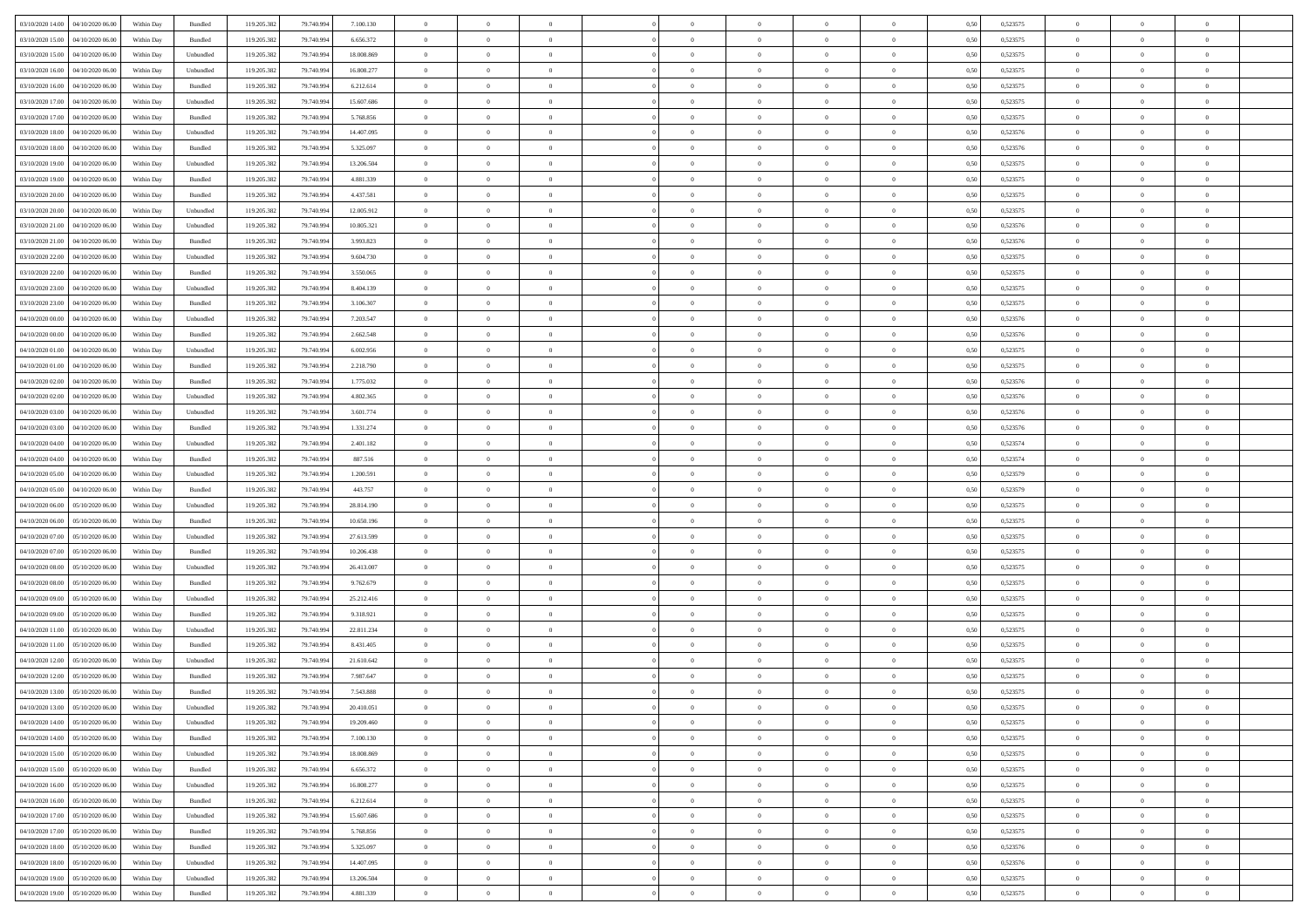| 03/10/2020 14:00 04/10/2020 06:00    | Within Day | Bundled                     | 119.205.382 | 79.740.994 | 7.100.130  | $\overline{0}$                   | $\overline{0}$ |                | $\overline{0}$ | $\theta$       |                | $\theta$       | 0,50 | 0,523575 | $\theta$             | $\theta$                   | $\overline{0}$ |  |
|--------------------------------------|------------|-----------------------------|-------------|------------|------------|----------------------------------|----------------|----------------|----------------|----------------|----------------|----------------|------|----------|----------------------|----------------------------|----------------|--|
| 03/10/2020 15:00<br>04/10/2020 06.00 | Within Day | Bundled                     | 119.205.38  | 79.740.99  | 6.656.372  | $\bf{0}$                         | $\bf{0}$       | $\bf{0}$       | $\bf{0}$       | $\overline{0}$ | $\overline{0}$ | $\bf{0}$       | 0,50 | 0,523575 | $\,$ 0 $\,$          | $\bf{0}$                   | $\overline{0}$ |  |
| 03/10/2020 15:00<br>04/10/2020 06:00 | Within Day | Unbundled                   | 119.205.382 | 79,740,994 | 18,008,869 | $\overline{0}$                   | $\bf{0}$       | $\overline{0}$ | $\bf{0}$       | $\bf{0}$       | $\overline{0}$ | $\bf{0}$       | 0.50 | 0,523575 | $\bf{0}$             | $\overline{0}$             | $\overline{0}$ |  |
| 03/10/2020 16:00<br>04/10/2020 06.00 | Within Day | Unbundled                   | 119.205.382 | 79.740.994 | 16.808.277 | $\overline{0}$                   | $\overline{0}$ | $\overline{0}$ | $\overline{0}$ | $\theta$       | $\overline{0}$ | $\bf{0}$       | 0,50 | 0,523575 | $\,$ 0 $\,$          | $\theta$                   | $\overline{0}$ |  |
| 03/10/2020 16:00<br>04/10/2020 06.00 | Within Day | Bundled                     | 119.205.38  | 79.740.99  | 6.212.614  | $\bf{0}$                         | $\overline{0}$ | $\bf{0}$       | $\overline{0}$ | $\bf{0}$       | $\overline{0}$ | $\bf{0}$       | 0,50 | 0,523575 | $\,$ 0 $\,$          | $\bf{0}$                   | $\overline{0}$ |  |
| 03/10/2020 17:00<br>04/10/2020 06:00 | Within Day | Unbundled                   | 119.205.382 | 79.740.99  | 15,607,686 | $\overline{0}$                   | $\bf{0}$       | $\overline{0}$ | $\bf{0}$       | $\overline{0}$ | $\overline{0}$ | $\bf{0}$       | 0.50 | 0.523575 | $\,$ 0 $\,$          | $\theta$                   | $\overline{0}$ |  |
| 03/10/2020 17:00<br>04/10/2020 06.00 | Within Day | Bundled                     | 119.205.38  | 79.740.994 | 5.768.856  | $\overline{0}$                   | $\overline{0}$ | $\overline{0}$ | $\overline{0}$ | $\overline{0}$ | $\overline{0}$ | $\bf{0}$       | 0,50 | 0,523575 | $\,$ 0 $\,$          | $\theta$                   | $\overline{0}$ |  |
| 03/10/2020 18:00<br>04/10/2020 06.00 | Within Day | Unbundled                   | 119.205.38  | 79.740.99  | 14.407.095 | $\bf{0}$                         | $\bf{0}$       | $\bf{0}$       | $\overline{0}$ | $\overline{0}$ | $\overline{0}$ | $\bf{0}$       | 0,50 | 0,523576 | $\,$ 0 $\,$          | $\bf{0}$                   | $\overline{0}$ |  |
|                                      |            |                             |             |            |            |                                  |                |                |                |                |                |                |      |          |                      |                            |                |  |
| 03/10/2020 18:00<br>04/10/2020 06:00 | Within Day | Bundled                     | 119,205.38  | 79.740.99  | 5.325.097  | $\overline{0}$                   | $\bf{0}$       | $\overline{0}$ | $\bf{0}$       | $\overline{0}$ | $\overline{0}$ | $\bf{0}$       | 0.50 | 0.523576 | $\bf{0}$             | $\overline{0}$             | $\overline{0}$ |  |
| 03/10/2020 19:00<br>04/10/2020 06.00 | Within Day | Unbundled                   | 119.205.382 | 79.740.994 | 13.206.504 | $\bf{0}$                         | $\bf{0}$       | $\overline{0}$ | $\overline{0}$ | $\overline{0}$ | $\overline{0}$ | $\bf{0}$       | 0,50 | 0,523575 | $\,$ 0 $\,$          | $\,$ 0 $\,$                | $\overline{0}$ |  |
| 03/10/2020 19:00<br>04/10/2020 06.00 | Within Day | Bundled                     | 119.205.38  | 79.740.99  | 4.881.339  | $\bf{0}$                         | $\bf{0}$       | $\bf{0}$       | $\bf{0}$       | $\bf{0}$       | $\overline{0}$ | $\bf{0}$       | 0,50 | 0,523575 | $\,$ 0 $\,$          | $\bf{0}$                   | $\overline{0}$ |  |
| 03/10/2020 20:00<br>04/10/2020 06:00 | Within Day | Bundled                     | 119.205.382 | 79,740,994 | 4.437.581  | $\overline{0}$                   | $\bf{0}$       | $\overline{0}$ | $\overline{0}$ | $\bf{0}$       | $\overline{0}$ | $\bf{0}$       | 0.50 | 0,523575 | $\bf{0}$             | $\,$ 0 $\,$                | $\,$ 0         |  |
| 03/10/2020 20:00<br>04/10/2020 06.00 | Within Day | Unbundled                   | 119.205.38  | 79.740.994 | 12.005.912 | $\overline{0}$                   | $\overline{0}$ | $\overline{0}$ | $\theta$       | $\theta$       | $\overline{0}$ | $\bf{0}$       | 0,50 | 0,523575 | $\,$ 0 $\,$          | $\theta$                   | $\overline{0}$ |  |
| 03/10/2020 21:00<br>04/10/2020 06.00 | Within Day | Unbundled                   | 119.205.38  | 79.740.99  | 10.805.321 | $\bf{0}$                         | $\overline{0}$ | $\bf{0}$       | $\overline{0}$ | $\bf{0}$       | $\overline{0}$ | $\bf{0}$       | 0,50 | 0,523576 | $\,$ 0 $\,$          | $\bf{0}$                   | $\overline{0}$ |  |
| 03/10/2020 21:00<br>04/10/2020 06:00 | Within Day | Bundled                     | 119.205.382 | 79,740,994 | 3.993.823  | $\overline{0}$                   | $\bf{0}$       | $\overline{0}$ | $\bf{0}$       | $\overline{0}$ | $\overline{0}$ | $\bf{0}$       | 0.50 | 0.523576 | $\,$ 0 $\,$          | $\theta$                   | $\overline{0}$ |  |
| 03/10/2020 22.00<br>04/10/2020 06.00 | Within Day | Unbundled                   | 119.205.382 | 79.740.994 | 9.604.730  | $\overline{0}$                   | $\overline{0}$ | $\overline{0}$ | $\overline{0}$ | $\overline{0}$ | $\overline{0}$ | $\bf{0}$       | 0,50 | 0,523575 | $\theta$             | $\theta$                   | $\overline{0}$ |  |
| 03/10/2020 22.00<br>04/10/2020 06.00 | Within Day | Bundled                     | 119.205.38  | 79.740.99  | 3.550.065  | $\bf{0}$                         | $\bf{0}$       | $\bf{0}$       | $\overline{0}$ | $\bf{0}$       | $\overline{0}$ | $\bf{0}$       | 0,50 | 0,523575 | $\,$ 0 $\,$          | $\bf{0}$                   | $\overline{0}$ |  |
| 03/10/2020 23:00<br>04/10/2020 06:00 | Within Day | Unbundled                   | 119,205.38  | 79.740.99  | 8.404.139  | $\overline{0}$                   | $\bf{0}$       | $\overline{0}$ | $\bf{0}$       | $\overline{0}$ | $\overline{0}$ | $\bf{0}$       | 0.50 | 0.523575 | $\bf{0}$             | $\overline{0}$             | $\overline{0}$ |  |
| 03/10/2020 23:00<br>04/10/2020 06.00 | Within Day | Bundled                     | 119.205.382 | 79.740.994 | 3.106.307  | $\bf{0}$                         | $\bf{0}$       | $\overline{0}$ | $\overline{0}$ | $\overline{0}$ | $\overline{0}$ | $\bf{0}$       | 0,50 | 0,523575 | $\,$ 0 $\,$          | $\bf{0}$                   | $\overline{0}$ |  |
| 04/10/2020 00:00<br>04/10/2020 06.00 | Within Day | Unbundled                   | 119.205.38  | 79.740.99  | 7.203.547  | $\bf{0}$                         | $\bf{0}$       | $\bf{0}$       | $\bf{0}$       | $\overline{0}$ | $\overline{0}$ | $\bf{0}$       | 0,50 | 0,523576 | $\,$ 0 $\,$          | $\bf{0}$                   | $\overline{0}$ |  |
|                                      |            |                             |             |            |            |                                  |                |                |                |                |                |                |      |          |                      |                            |                |  |
| 04/10/2020 00:00<br>04/10/2020 06:00 | Within Day | Bundled                     | 119.205.382 | 79,740,994 | 2.662.548  | $\overline{0}$<br>$\overline{0}$ | $\bf{0}$       | $\overline{0}$ | $\overline{0}$ | $\bf{0}$       | $\overline{0}$ | $\bf{0}$       | 0.50 | 0,523576 | $\bf{0}$<br>$\theta$ | $\overline{0}$<br>$\theta$ | $\,$ 0         |  |
| 04/10/2020 01:00<br>04/10/2020 06.00 | Within Day | Unbundled                   | 119.205.38  | 79.740.994 | 6.002.956  |                                  | $\overline{0}$ | $\overline{0}$ | $\theta$       | $\theta$       | $\overline{0}$ | $\bf{0}$       | 0,50 | 0,523575 |                      |                            | $\overline{0}$ |  |
| 04/10/2020 01:00<br>04/10/2020 06.00 | Within Day | Bundled                     | 119.205.38  | 79.740.99  | 2.218.790  | $\bf{0}$                         | $\bf{0}$       | $\bf{0}$       | $\bf{0}$       | $\overline{0}$ | $\overline{0}$ | $\bf{0}$       | 0,50 | 0,523575 | $\,$ 0 $\,$          | $\bf{0}$                   | $\overline{0}$ |  |
| 04/10/2020 02.00<br>04/10/2020 06:00 | Within Day | Bundled                     | 119,205.38  | 79.740.99  | 1.775.032  | $\overline{0}$                   | $\bf{0}$       | $\overline{0}$ | $\bf{0}$       | $\overline{0}$ | $\overline{0}$ | $\bf{0}$       | 0.50 | 0.523576 | $\,$ 0 $\,$          | $\theta$                   | $\overline{0}$ |  |
| 04/10/2020 02.00<br>04/10/2020 06.00 | Within Day | Unbundled                   | 119.205.38  | 79.740.994 | 4.802.365  | $\overline{0}$                   | $\overline{0}$ | $\overline{0}$ | $\overline{0}$ | $\overline{0}$ | $\overline{0}$ | $\bf{0}$       | 0,50 | 0,523576 | $\,$ 0 $\,$          | $\theta$                   | $\overline{0}$ |  |
| 04/10/2020 03:00<br>04/10/2020 06.00 | Within Day | Unbundled                   | 119.205.38  | 79.740.99  | 3.601.774  | $\bf{0}$                         | $\overline{0}$ | $\bf{0}$       | $\overline{0}$ | $\bf{0}$       | $\overline{0}$ | $\bf{0}$       | 0,50 | 0,523576 | $\,$ 0 $\,$          | $\bf{0}$                   | $\overline{0}$ |  |
| 04/10/2020 03.00<br>04/10/2020 06:00 | Within Day | Bundled                     | 119,205.38  | 79.740.99  | 1.331.274  | $\overline{0}$                   | $\bf{0}$       | $\overline{0}$ | $\bf{0}$       | $\overline{0}$ | $\overline{0}$ | $\bf{0}$       | 0.50 | 0.523576 | $\bf{0}$             | $\overline{0}$             | $\overline{0}$ |  |
| 04/10/2020 04:00<br>04/10/2020 06.00 | Within Day | Unbundled                   | 119.205.382 | 79.740.994 | 2.401.182  | $\overline{0}$                   | $\bf{0}$       | $\overline{0}$ | $\overline{0}$ | $\overline{0}$ | $\overline{0}$ | $\bf{0}$       | 0,50 | 0,523574 | $\,$ 0 $\,$          | $\bf{0}$                   | $\overline{0}$ |  |
| 04/10/2020 04:00<br>04/10/2020 06.00 | Within Day | Bundled                     | 119.205.38  | 79.740.99  | 887.516    | $\bf{0}$                         | $\bf{0}$       | $\bf{0}$       | $\bf{0}$       | $\overline{0}$ | $\overline{0}$ | $\bf{0}$       | 0,50 | 0,523574 | $\,$ 0 $\,$          | $\bf{0}$                   | $\overline{0}$ |  |
| 04/10/2020 05:00<br>04/10/2020 06:00 | Within Day | Unbundled                   | 119.205.382 | 79,740,994 | 1.200.591  | $\overline{0}$                   | $\bf{0}$       | $\overline{0}$ | $\bf{0}$       | $\bf{0}$       | $\overline{0}$ | $\bf{0}$       | 0.50 | 0,523579 | $\bf{0}$             | $\,$ 0 $\,$                | $\,$ 0         |  |
| 04/10/2020 05:00<br>04/10/2020 06:00 | Within Day | Bundled                     | 119.205.38  | 79.740.99  | 443.757    | $\overline{0}$                   | $\overline{0}$ | $\overline{0}$ | $\overline{0}$ | $\overline{0}$ | $\overline{0}$ | $\bf{0}$       | 0.5( | 0,523579 | $\theta$             | $\theta$                   | $\overline{0}$ |  |
| 04/10/2020 06.00<br>05/10/2020 06.00 | Within Day | Unbundled                   | 119.205.38  | 79.740.99  | 28.814.190 | $\bf{0}$                         | $\bf{0}$       | $\bf{0}$       | $\bf{0}$       | $\overline{0}$ | $\overline{0}$ | $\bf{0}$       | 0,50 | 0,523575 | $\,$ 0 $\,$          | $\bf{0}$                   | $\overline{0}$ |  |
| 04/10/2020 06.00<br>05/10/2020 06:00 |            | Bundled                     | 119.205.382 | 79.740.99  | 10.650.196 | $\overline{0}$                   | $\bf{0}$       | $\overline{0}$ | $\bf{0}$       | $\overline{0}$ | $\overline{0}$ | $\bf{0}$       | 0.50 | 0.523575 | $\,$ 0 $\,$          | $\bf{0}$                   | $\overline{0}$ |  |
|                                      | Within Day |                             |             |            |            |                                  | $\overline{0}$ |                |                | $\overline{0}$ |                |                |      |          | $\theta$             | $\theta$                   | $\overline{0}$ |  |
| 04/10/2020 07:00<br>05/10/2020 06:00 | Within Day | Unbundled                   | 119.205.382 | 79.740.994 | 27.613.599 | $\overline{0}$                   |                | $\overline{0}$ | $\overline{0}$ |                | $\overline{0}$ | $\bf{0}$       | 0.50 | 0,523575 |                      |                            |                |  |
| 04/10/2020 07:00<br>05/10/2020 06.00 | Within Day | Bundled                     | 119.205.38  | 79.740.99  | 10.206.438 | $\bf{0}$                         | $\bf{0}$       | $\bf{0}$       | $\bf{0}$       | $\overline{0}$ | $\overline{0}$ | $\bf{0}$       | 0,50 | 0,523575 | $\,$ 0 $\,$          | $\bf{0}$                   | $\overline{0}$ |  |
| 04/10/2020 08:00<br>05/10/2020 06:00 | Within Day | Unbundled                   | 119,205.38  | 79.740.99  | 26.413.007 | $\overline{0}$                   | $\bf{0}$       | $\overline{0}$ | $\bf{0}$       | $\overline{0}$ | $\overline{0}$ | $\bf{0}$       | 0.50 | 0.523575 | $\bf{0}$             | $\overline{0}$             | $\overline{0}$ |  |
| 04/10/2020 08:00<br>05/10/2020 06:00 | Within Day | Bundled                     | 119.205.38  | 79.740.994 | 9.762.679  | $\overline{0}$                   | $\overline{0}$ | $\overline{0}$ | $\overline{0}$ | $\overline{0}$ | $\overline{0}$ | $\bf{0}$       | 0.50 | 0,523575 | $\theta$             | $\theta$                   | $\overline{0}$ |  |
| 04/10/2020 09:00<br>05/10/2020 06.00 | Within Day | Unbundled                   | 119.205.38  | 79.740.99  | 25.212.416 | $\bf{0}$                         | $\bf{0}$       | $\bf{0}$       | $\bf{0}$       | $\overline{0}$ | $\overline{0}$ | $\bf{0}$       | 0,50 | 0,523575 | $\,$ 0 $\,$          | $\bf{0}$                   | $\overline{0}$ |  |
| 04/10/2020 09:00<br>05/10/2020 06:00 | Within Day | Bundled                     | 119.205.382 | 79,740,994 | 9.318.921  | $\overline{0}$                   | $\bf{0}$       | $\overline{0}$ | $\overline{0}$ | $\bf{0}$       | $\overline{0}$ | $\bf{0}$       | 0.50 | 0,523575 | $\,$ 0 $\,$          | $\,$ 0 $\,$                | $\overline{0}$ |  |
| 04/10/2020 11:00<br>05/10/2020 06:00 | Within Day | Unbundled                   | 119.205.382 | 79.740.994 | 22.811.234 | $\overline{0}$                   | $\overline{0}$ | $\overline{0}$ | $\overline{0}$ | $\overline{0}$ | $\overline{0}$ | $\bf{0}$       | 0.50 | 0,523575 | $\theta$             | $\theta$                   | $\overline{0}$ |  |
| 04/10/2020 11:00<br>05/10/2020 06.00 | Within Day | Bundled                     | 119.205.38  | 79.740.99  | 8.431.405  | $\bf{0}$                         | $\bf{0}$       | $\bf{0}$       | $\bf{0}$       | $\overline{0}$ | $\overline{0}$ | $\bf{0}$       | 0,50 | 0,523575 | $\,$ 0 $\,$          | $\bf{0}$                   | $\overline{0}$ |  |
| 04/10/2020 12:00<br>05/10/2020 06.00 | Within Day | Unbundled                   | 119.205.38  | 79.740.99  | 21.610.642 | $\overline{0}$                   | $\overline{0}$ | $\overline{0}$ | $\bf{0}$       | $\overline{0}$ | $\Omega$       | $\bf{0}$       | 0.50 | 0,523575 | $\bf{0}$             | $\theta$                   | $\overline{0}$ |  |
| 04/10/2020 12:00<br>05/10/2020 06:00 | Within Day | Bundled                     | 119.205.38  | 79.740.99  | 7.987.647  | $\overline{0}$                   | $\overline{0}$ | $\Omega$       | $\overline{0}$ | $\theta$       | $\overline{0}$ | $\overline{0}$ | 0.5( | 0,523575 | $\theta$             | $\theta$                   | $\overline{0}$ |  |
| 04/10/2020 13:00<br>05/10/2020 06:00 | Within Day | Bundled                     | 119.205.382 | 79.740.994 | 7.543.888  | $\bf{0}$                         | $\bf{0}$       | $\bf{0}$       | $\bf{0}$       | $\bf{0}$       | $\overline{0}$ | $\bf{0}$       | 0,50 | 0,523575 | $\overline{0}$       | $\overline{0}$             | $\overline{0}$ |  |
| 04/10/2020 13:00 05/10/2020 06:00    | Within Day | $\ensuremath{\mathsf{Unb}}$ | 119.205.382 | 79.740.994 | 20:410.051 | $\bf{0}$                         | $\theta$       |                | $\overline{0}$ |                |                |                | 0,50 | 0,523575 | $\bf{0}$             | $\bf{0}$                   |                |  |
| 04/10/2020 14:00 05/10/2020 06:00    | Within Day | Unbundled                   | 119.205.382 | 79.740.994 | 19.209.460 | $\overline{0}$                   | $\overline{0}$ | $\Omega$       | $\theta$       | $\overline{0}$ | $\overline{0}$ | $\bf{0}$       | 0,50 | 0,523575 | $\theta$             | $\theta$                   | $\overline{0}$ |  |
|                                      |            |                             |             |            |            |                                  | $\bf{0}$       |                |                | $\bf{0}$       |                |                |      |          | $\bf{0}$             | $\overline{0}$             | $\bf{0}$       |  |
| 04/10/2020 14:00<br>05/10/2020 06:00 | Within Day | Bundled                     | 119.205.38  | 79.740.99  | 7.100.130  | $\overline{0}$                   |                | $\overline{0}$ | $\overline{0}$ |                | $\overline{0}$ | $\bf{0}$       | 0,50 | 0,523575 |                      |                            |                |  |
| 04/10/2020 15:00 05/10/2020 06:00    | Within Day | Unbundled                   | 119.205.382 | 79,740,994 | 18,008,869 | $\overline{0}$                   | $\bf{0}$       | $\overline{0}$ | $\overline{0}$ | $\overline{0}$ | $\overline{0}$ | $\,$ 0 $\,$    | 0.50 | 0,523575 | $\overline{0}$       | $\bf{0}$                   | $\,$ 0 $\,$    |  |
| 04/10/2020 15:00 05/10/2020 06:00    | Within Day | Bundled                     | 119.205.382 | 79.740.994 | 6.656.372  | $\overline{0}$                   | $\overline{0}$ | $\overline{0}$ | $\overline{0}$ | $\overline{0}$ | $\overline{0}$ | $\bf{0}$       | 0,50 | 0,523575 | $\theta$             | $\theta$                   | $\overline{0}$ |  |
| 04/10/2020 16.00<br>05/10/2020 06:00 | Within Day | Unbundled                   | 119.205.382 | 79.740.994 | 16.808.277 | $\overline{0}$                   | $\bf{0}$       | $\overline{0}$ | $\overline{0}$ | $\overline{0}$ | $\overline{0}$ | $\bf{0}$       | 0,50 | 0,523575 | $\bf{0}$             | $\overline{0}$             | $\overline{0}$ |  |
| 04/10/2020 16:00 05/10/2020 06:00    | Within Day | Bundled                     | 119.205.382 | 79,740,994 | 6.212.614  | $\overline{0}$                   | $\bf{0}$       | $\overline{0}$ | $\overline{0}$ | $\overline{0}$ | $\overline{0}$ | $\bf{0}$       | 0.50 | 0.523575 | $\,$ 0 $\,$          | $\theta$                   | $\,$ 0         |  |
| 04/10/2020 17:00 05/10/2020 06:00    | Within Day | Unbundled                   | 119.205.382 | 79.740.994 | 15.607.686 | $\overline{0}$                   | $\overline{0}$ | $\overline{0}$ | $\overline{0}$ | $\overline{0}$ | $\overline{0}$ | $\bf{0}$       | 0,50 | 0,523575 | $\overline{0}$       | $\theta$                   | $\overline{0}$ |  |
| 04/10/2020 17:00<br>05/10/2020 06:00 | Within Day | Bundled                     | 119.205.38  | 79.740.994 | 5.768.856  | $\overline{0}$                   | $\overline{0}$ | $\overline{0}$ | $\overline{0}$ | $\overline{0}$ | $\overline{0}$ | $\bf{0}$       | 0,50 | 0,523575 | $\bf{0}$             | $\overline{0}$             | $\overline{0}$ |  |
| 04/10/2020 18:00 05/10/2020 06:00    | Within Day | Bundled                     | 119.205.382 | 79,740,994 | 5.325.097  | $\overline{0}$                   | $\overline{0}$ | $\overline{0}$ | $\overline{0}$ | $\bf{0}$       | $\overline{0}$ | $\bf{0}$       | 0.50 | 0.523576 | $\overline{0}$       | $\bf{0}$                   | $\,$ 0         |  |
| 04/10/2020 18:00 05/10/2020 06:00    | Within Dav | Unbundled                   | 119.205.382 | 79.740.994 | 14.407.095 | $\overline{0}$                   | $\overline{0}$ | $\overline{0}$ | $\overline{0}$ | $\overline{0}$ | $\overline{0}$ | $\bf{0}$       | 0,50 | 0,523576 | $\overline{0}$       | $\theta$                   | $\overline{0}$ |  |
| 04/10/2020 19:00<br>05/10/2020 06.00 | Within Day | Unbundled                   | 119.205.38  | 79.740.99  | 13.206.504 | $\overline{0}$                   | $\bf{0}$       | $\overline{0}$ | $\bf{0}$       | $\overline{0}$ | $\overline{0}$ | $\bf{0}$       | 0,50 | 0,523575 | $\bf{0}$             | $\bf{0}$                   | $\overline{0}$ |  |
| 04/10/2020 19:00 05/10/2020 06:00    | Within Day | Bundled                     | 119.205.382 | 79.740.994 | 4.881.339  | $\overline{0}$                   | $\bf{0}$       | $\overline{0}$ | $\overline{0}$ | $\,$ 0 $\,$    | $\overline{0}$ | $\bf{0}$       | 0,50 | 0,523575 | $\overline{0}$       | $\,$ 0 $\,$                | $\,$ 0 $\,$    |  |
|                                      |            |                             |             |            |            |                                  |                |                |                |                |                |                |      |          |                      |                            |                |  |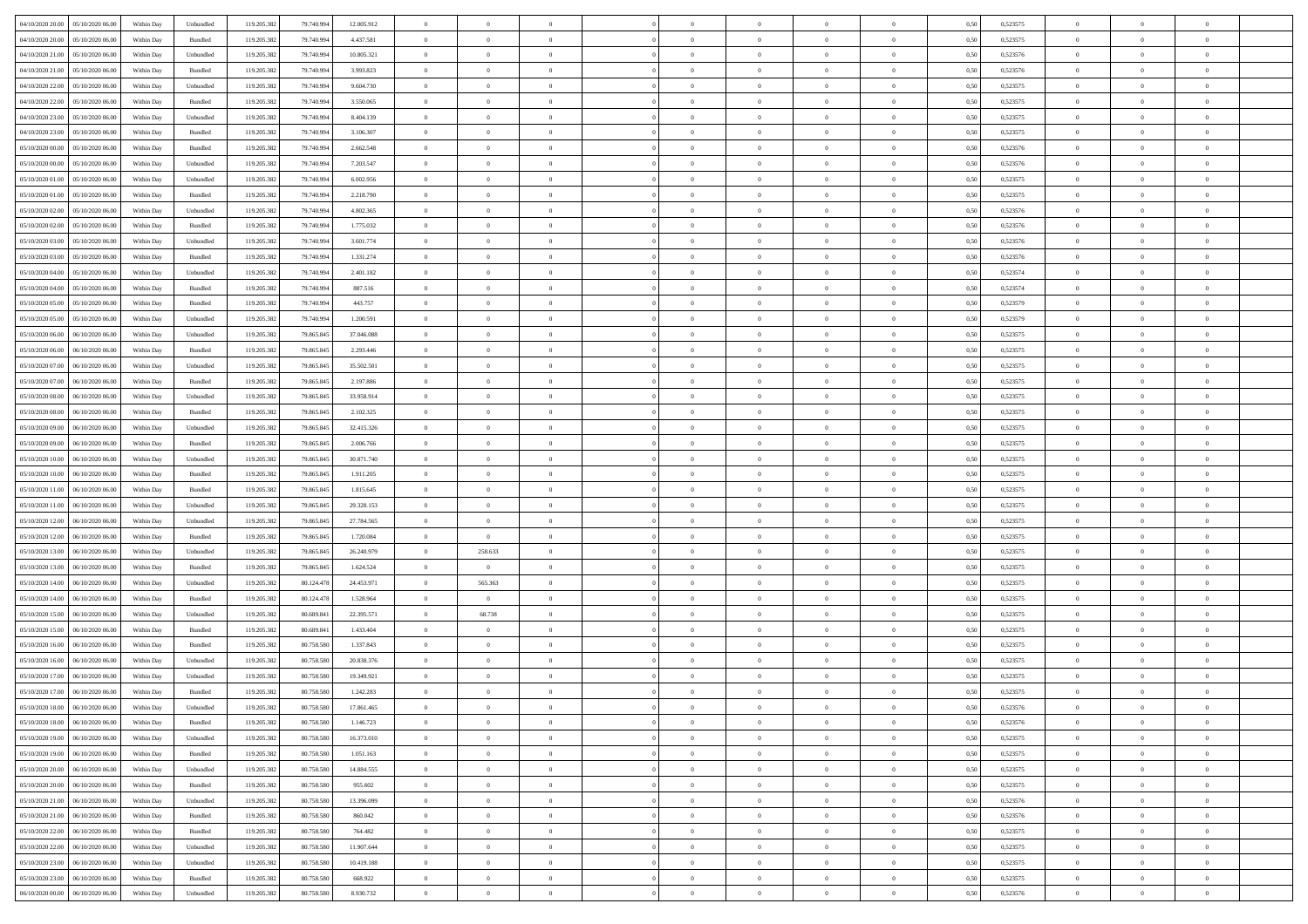| 04/10/2020 20.00 05/10/2020 06:00     | Within Day | Unbundled | 119.205.382 | 79.740.994 | 12.005.912 | $\overline{0}$ | $\overline{0}$ |                | $\overline{0}$ | $\theta$       |                | $\theta$       | 0,50 | 0,523575 | $\theta$       | $\theta$       | $\overline{0}$ |  |
|---------------------------------------|------------|-----------|-------------|------------|------------|----------------|----------------|----------------|----------------|----------------|----------------|----------------|------|----------|----------------|----------------|----------------|--|
| 04/10/2020 20.00<br>05/10/2020 06.00  | Within Day | Bundled   | 119.205.38  | 79.740.99  | 4.437.581  | $\bf{0}$       | $\bf{0}$       | $\bf{0}$       | $\overline{0}$ | $\overline{0}$ | $\overline{0}$ | $\bf{0}$       | 0,50 | 0,523575 | $\,$ 0 $\,$    | $\bf{0}$       | $\overline{0}$ |  |
| 04/10/2020 21.00<br>05/10/2020 06:00  | Within Day | Unbundled | 119.205.382 | 79.740.99  | 10.805.321 | $\overline{0}$ | $\bf{0}$       | $\overline{0}$ | $\bf{0}$       | $\bf{0}$       | $\overline{0}$ | $\bf{0}$       | 0.50 | 0,523576 | $\bf{0}$       | $\overline{0}$ | $\overline{0}$ |  |
| 04/10/2020 21:00<br>05/10/2020 06:00  | Within Day | Bundled   | 119.205.382 | 79.740.994 | 3.993.823  | $\overline{0}$ | $\overline{0}$ | $\overline{0}$ | $\theta$       | $\theta$       | $\overline{0}$ | $\bf{0}$       | 0,50 | 0,523576 | $\,$ 0 $\,$    | $\theta$       | $\overline{0}$ |  |
| 04/10/2020 22.00<br>05/10/2020 06.00  | Within Day | Unbundled | 119.205.38  | 79.740.99  | 9.604.730  | $\bf{0}$       | $\overline{0}$ | $\bf{0}$       | $\overline{0}$ | $\theta$       | $\overline{0}$ | $\bf{0}$       | 0,50 | 0,523575 | $\,$ 0 $\,$    | $\bf{0}$       | $\overline{0}$ |  |
| 04/10/2020 22.00<br>05/10/2020 06:00  | Within Day | Bundled   | 119,205.38  | 79.740.99  | 3.550,065  | $\overline{0}$ | $\bf{0}$       | $\overline{0}$ | $\bf{0}$       | $\overline{0}$ | $\overline{0}$ | $\bf{0}$       | 0.50 | 0.523575 | $\,$ 0 $\,$    | $\theta$       | $\overline{0}$ |  |
| 04/10/2020 23:00<br>05/10/2020 06.00  | Within Day | Unbundled | 119.205.38  | 79.740.994 | 8.404.139  | $\overline{0}$ | $\overline{0}$ | $\overline{0}$ | $\overline{0}$ | $\overline{0}$ | $\overline{0}$ | $\bf{0}$       | 0,50 | 0,523575 | $\,$ 0 $\,$    | $\theta$       | $\overline{0}$ |  |
|                                       |            |           |             |            |            |                | $\bf{0}$       |                | $\overline{0}$ | $\overline{0}$ | $\overline{0}$ |                |      |          | $\,$ 0 $\,$    | $\bf{0}$       | $\overline{0}$ |  |
| 04/10/2020 23.00<br>05/10/2020 06.00  | Within Day | Bundled   | 119.205.38  | 79.740.99  | 3.106.307  | $\bf{0}$       |                | $\bf{0}$       |                |                |                | $\bf{0}$       | 0,50 | 0,523575 |                |                |                |  |
| 05/10/2020 00:00<br>05/10/2020 06:00  | Within Day | Bundled   | 119,205.38  | 79.740.99  | 2.662.548  | $\overline{0}$ | $\bf{0}$       | $\overline{0}$ | $\bf{0}$       | $\overline{0}$ | $\overline{0}$ | $\bf{0}$       | 0.50 | 0.523576 | $\bf{0}$       | $\overline{0}$ | $\overline{0}$ |  |
| 05/10/2020 00:00<br>05/10/2020 06.00  | Within Day | Unbundled | 119.205.382 | 79.740.994 | 7.203.547  | $\bf{0}$       | $\bf{0}$       | $\overline{0}$ | $\overline{0}$ | $\overline{0}$ | $\overline{0}$ | $\bf{0}$       | 0,50 | 0,523576 | $\,$ 0 $\,$    | $\bf{0}$       | $\overline{0}$ |  |
| 05/10/2020 01:00<br>05/10/2020 06.00  | Within Day | Unbundled | 119.205.38  | 79.740.99  | 6.002.956  | $\bf{0}$       | $\bf{0}$       | $\bf{0}$       | $\bf{0}$       | $\bf{0}$       | $\overline{0}$ | $\bf{0}$       | 0,50 | 0,523575 | $\,$ 0 $\,$    | $\bf{0}$       | $\overline{0}$ |  |
| 05/10/2020 01:00<br>05/10/2020 06:00  | Within Day | Bundled   | 119.205.382 | 79,740,994 | 2.218.790  | $\overline{0}$ | $\bf{0}$       | $\overline{0}$ | $\overline{0}$ | $\bf{0}$       | $\overline{0}$ | $\bf{0}$       | 0.50 | 0,523575 | $\bf{0}$       | $\overline{0}$ | $\,$ 0         |  |
| 05/10/2020 02:00<br>05/10/2020 06.00  | Within Day | Unbundled | 119.205.38  | 79.740.994 | 4.802.365  | $\overline{0}$ | $\overline{0}$ | $\overline{0}$ | $\theta$       | $\theta$       | $\overline{0}$ | $\bf{0}$       | 0,50 | 0,523576 | $\,$ 0 $\,$    | $\theta$       | $\overline{0}$ |  |
| 05/10/2020 02.00<br>05/10/2020 06.00  | Within Day | Bundled   | 119.205.38  | 79.740.99  | 1.775.032  | $\bf{0}$       | $\overline{0}$ | $\bf{0}$       | $\overline{0}$ | $\bf{0}$       | $\overline{0}$ | $\bf{0}$       | 0,50 | 0,523576 | $\,$ 0 $\,$    | $\bf{0}$       | $\overline{0}$ |  |
| 05/10/2020 03:00<br>05/10/2020 06:00  | Within Day | Unbundled | 119.205.382 | 79,740,994 | 3.601.774  | $\overline{0}$ | $\bf{0}$       | $\overline{0}$ | $\bf{0}$       | $\overline{0}$ | $\theta$       | $\bf{0}$       | 0.50 | 0.523576 | $\,$ 0 $\,$    | $\bf{0}$       | $\overline{0}$ |  |
| 05/10/2020 03:00<br>05/10/2020 06.00  | Within Day | Bundled   | 119.205.382 | 79.740.994 | 1.331.274  | $\overline{0}$ | $\overline{0}$ | $\overline{0}$ | $\overline{0}$ | $\overline{0}$ | $\overline{0}$ | $\bf{0}$       | 0,50 | 0,523576 | $\theta$       | $\theta$       | $\overline{0}$ |  |
| 05/10/2020 04:00<br>05/10/2020 06.00  | Within Day | Unbundled | 119.205.38  | 79.740.99  | 2.401.182  | $\bf{0}$       | $\bf{0}$       | $\bf{0}$       | $\overline{0}$ | $\bf{0}$       | $\overline{0}$ | $\bf{0}$       | 0,50 | 0,523574 | $\,$ 0 $\,$    | $\bf{0}$       | $\overline{0}$ |  |
| 05/10/2020 04:00<br>05/10/2020 06:00  | Within Day | Bundled   | 119,205.38  | 79.740.99  | 887.516    | $\overline{0}$ | $\bf{0}$       | $\overline{0}$ | $\bf{0}$       | $\overline{0}$ | $\overline{0}$ | $\bf{0}$       | 0.50 | 0.523574 | $\bf{0}$       | $\overline{0}$ | $\overline{0}$ |  |
| 05/10/2020 05:00<br>05/10/2020 06.00  | Within Day | Bundled   | 119.205.382 | 79.740.994 | 443.757    | $\bf{0}$       | $\bf{0}$       | $\overline{0}$ | $\overline{0}$ | $\overline{0}$ | $\overline{0}$ | $\bf{0}$       | 0,50 | 0,523579 | $\,$ 0 $\,$    | $\bf{0}$       | $\overline{0}$ |  |
|                                       |            |           |             |            |            |                |                |                |                |                |                |                |      |          |                |                |                |  |
| 05/10/2020 05:00<br>05/10/2020 06.00  | Within Day | Unbundled | 119.205.38  | 79.740.99  | 1.200.591  | $\bf{0}$       | $\bf{0}$       | $\bf{0}$       | $\bf{0}$       | $\overline{0}$ | $\overline{0}$ | $\bf{0}$       | 0,50 | 0,523579 | $\,$ 0 $\,$    | $\bf{0}$       | $\overline{0}$ |  |
| 05/10/2020 06:00<br>06/10/2020 06:00  | Within Day | Unbundled | 119.205.382 | 79,865,845 | 37,046,088 | $\overline{0}$ | $\bf{0}$       | $\overline{0}$ | $\bf{0}$       | $\bf{0}$       | $\overline{0}$ | $\bf{0}$       | 0.50 | 0,523575 | $\bf{0}$       | $\overline{0}$ | $\overline{0}$ |  |
| 05/10/2020 06:00<br>06/10/2020 06:00  | Within Day | Bundled   | 119.205.38  | 79.865.845 | 2.293.446  | $\overline{0}$ | $\overline{0}$ | $\overline{0}$ | $\theta$       | $\theta$       | $\overline{0}$ | $\bf{0}$       | 0,50 | 0,523575 | $\theta$       | $\theta$       | $\overline{0}$ |  |
| 05/10/2020 07:00<br>06/10/2020 06.00  | Within Day | Unbundled | 119.205.38  | 79.865.845 | 35.502.501 | $\bf{0}$       | $\bf{0}$       | $\bf{0}$       | $\bf{0}$       | $\overline{0}$ | $\overline{0}$ | $\bf{0}$       | 0,50 | 0,523575 | $\,$ 0 $\,$    | $\bf{0}$       | $\overline{0}$ |  |
| 05/10/2020 07.00<br>06/10/2020 06:00  | Within Day | Bundled   | 119,205.38  | 79.865.84  | 2.197.886  | $\overline{0}$ | $\bf{0}$       | $\overline{0}$ | $\bf{0}$       | $\overline{0}$ | $\overline{0}$ | $\bf{0}$       | 0.50 | 0.523575 | $\,$ 0 $\,$    | $\theta$       | $\overline{0}$ |  |
| 05/10/2020 08:00<br>06/10/2020 06.00  | Within Day | Unbundled | 119.205.382 | 79.865.845 | 33.958.914 | $\overline{0}$ | $\overline{0}$ | $\overline{0}$ | $\overline{0}$ | $\overline{0}$ | $\overline{0}$ | $\bf{0}$       | 0,50 | 0,523575 | $\,$ 0 $\,$    | $\theta$       | $\overline{0}$ |  |
| 05/10/2020 08:00<br>06/10/2020 06.00  | Within Day | Bundled   | 119.205.38  | 79.865.84  | 2.102.325  | $\bf{0}$       | $\overline{0}$ | $\bf{0}$       | $\overline{0}$ | $\bf{0}$       | $\overline{0}$ | $\bf{0}$       | 0,50 | 0,523575 | $\,$ 0 $\,$    | $\bf{0}$       | $\overline{0}$ |  |
| 05/10/2020 09:00<br>06/10/2020 06:00  | Within Day | Unbundled | 119,205.38  | 79,865,84  | 32.415.326 | $\overline{0}$ | $\bf{0}$       | $\overline{0}$ | $\bf{0}$       | $\overline{0}$ | $\overline{0}$ | $\bf{0}$       | 0.50 | 0.523575 | $\bf{0}$       | $\overline{0}$ | $\overline{0}$ |  |
| 05/10/2020 09:00<br>06/10/2020 06.00  | Within Day | Bundled   | 119.205.382 | 79.865.845 | 2.006.766  | $\overline{0}$ | $\bf{0}$       | $\overline{0}$ | $\overline{0}$ | $\overline{0}$ | $\overline{0}$ | $\bf{0}$       | 0,50 | 0,523575 | $\,$ 0 $\,$    | $\bf{0}$       | $\overline{0}$ |  |
| 05/10/2020 10:00<br>06/10/2020 06.00  | Within Day | Unbundled | 119.205.38  | 79.865.845 | 30.871.740 | $\bf{0}$       | $\bf{0}$       | $\bf{0}$       | $\bf{0}$       | $\overline{0}$ | $\overline{0}$ | $\bf{0}$       | 0,50 | 0,523575 | $\,$ 0 $\,$    | $\bf{0}$       | $\overline{0}$ |  |
| 05/10/2020 10:00<br>06/10/2020 06:00  | Within Day | Bundled   | 119.205.382 | 79.865.845 | 1.911.205  | $\overline{0}$ | $\bf{0}$       | $\overline{0}$ | $\bf{0}$       | $\bf{0}$       | $\overline{0}$ | $\bf{0}$       | 0.50 | 0,523575 | $\bf{0}$       | $\overline{0}$ | $\overline{0}$ |  |
| 05/10/2020 11:00<br>06/10/2020 06:00  | Within Day | Bundled   | 119.205.38  | 79,865,845 | 1.815.645  | $\overline{0}$ | $\overline{0}$ | $\overline{0}$ | $\overline{0}$ | $\overline{0}$ | $\overline{0}$ | $\bf{0}$       | 0.5( | 0,523575 | $\theta$       | $\theta$       | $\overline{0}$ |  |
|                                       |            |           |             |            |            |                | $\bf{0}$       | $\bf{0}$       |                | $\overline{0}$ | $\overline{0}$ |                |      |          | $\,$ 0 $\,$    | $\bf{0}$       | $\overline{0}$ |  |
| 05/10/2020 11:00<br>06/10/2020 06.00  | Within Day | Unbundled | 119.205.38  | 79.865.84  | 29.328.153 | $\bf{0}$       |                |                | $\bf{0}$       |                |                | $\bf{0}$       | 0,50 | 0,523575 |                |                |                |  |
| 05/10/2020 12:00<br>06/10/2020 06:00  | Within Day | Unbundled | 119.205.382 | 79,865,84  | 27.784.565 | $\overline{0}$ | $\bf{0}$       | $\overline{0}$ | $\bf{0}$       | $\overline{0}$ | $\overline{0}$ | $\bf{0}$       | 0.50 | 0,523575 | $\,$ 0 $\,$    | $\bf{0}$       | $\overline{0}$ |  |
| 05/10/2020 12:00<br>06/10/2020 06:00  | Within Day | Bundled   | 119.205.382 | 79.865.845 | 1.720.084  | $\overline{0}$ | $\overline{0}$ | $\overline{0}$ | $\overline{0}$ | $\overline{0}$ | $\overline{0}$ | $\bf{0}$       | 0.5( | 0,523575 | $\theta$       | $\theta$       | $\overline{0}$ |  |
| 05/10/2020 13:00<br>06/10/2020 06.00  | Within Day | Unbundled | 119.205.38  | 79.865.845 | 26.240.979 | $\bf{0}$       | 258.633        | $\bf{0}$       | $\bf{0}$       | $\overline{0}$ | $\overline{0}$ | $\bf{0}$       | 0,50 | 0,523575 | $\,$ 0 $\,$    | $\bf{0}$       | $\overline{0}$ |  |
| 05/10/2020 13:00<br>06/10/2020 06:00  | Within Day | Bundled   | 119,205.38  | 79.865.84  | 1.624.524  | $\overline{0}$ | $\overline{0}$ | $\overline{0}$ | $\bf{0}$       | $\overline{0}$ | $\overline{0}$ | $\bf{0}$       | 0.50 | 0.523575 | $\bf{0}$       | $\overline{0}$ | $\overline{0}$ |  |
| 05/10/2020 14:00<br>06/10/2020 06:00  | Within Day | Unbundled | 119.205.38  | 80.124.478 | 24.453.971 | $\overline{0}$ | 565.363        | $\overline{0}$ | $\overline{0}$ | $\overline{0}$ | $\overline{0}$ | $\bf{0}$       | 0.50 | 0,523575 | $\theta$       | $\theta$       | $\overline{0}$ |  |
| 05/10/2020 14:00<br>06/10/2020 06.00  | Within Day | Bundled   | 119.205.38  | 80.124.478 | 1.528.964  | $\bf{0}$       | $\bf{0}$       | $\overline{0}$ | $\bf{0}$       | $\overline{0}$ | $\overline{0}$ | $\bf{0}$       | 0,50 | 0,523575 | $\,$ 0 $\,$    | $\bf{0}$       | $\overline{0}$ |  |
| 05/10/2020 15:00<br>06/10/2020 06:00  | Within Day | Unbundled | 119.205.382 | 80.689.841 | 22.395.571 | $\overline{0}$ | 68.738         | $\overline{0}$ | $\bf{0}$       | $\bf{0}$       | $\overline{0}$ | $\bf{0}$       | 0.50 | 0,523575 | $\bf{0}$       | $\overline{0}$ | $\overline{0}$ |  |
| 05/10/2020 15:00<br>06/10/2020 06:00  | Within Day | Bundled   | 119.205.382 | 80.689.841 | 1.433.404  | $\overline{0}$ | $\overline{0}$ | $\overline{0}$ | $\overline{0}$ | $\overline{0}$ | $\overline{0}$ | $\bf{0}$       | 0.5( | 0,523575 | $\theta$       | $\theta$       | $\overline{0}$ |  |
| 05/10/2020 16:00<br>06/10/2020 06.00  | Within Day | Bundled   | 119.205.38  | 80.758.58  | 1.337.843  | $\bf{0}$       | $\bf{0}$       | $\bf{0}$       | $\bf{0}$       | $\overline{0}$ | $\overline{0}$ | $\bf{0}$       | 0,50 | 0,523575 | $\,$ 0 $\,$    | $\bf{0}$       | $\overline{0}$ |  |
| 05/10/2020 16:00<br>06/10/2020 06:00  | Within Day | Unbundled | 119.205.382 | 80.758.58  | 20.838.376 | $\overline{0}$ | $\overline{0}$ | $\overline{0}$ | $\bf{0}$       | $\overline{0}$ | $\Omega$       | $\bf{0}$       | 0.50 | 0,523575 | $\bf{0}$       | $\theta$       | $\overline{0}$ |  |
| 05/10/2020 17:00<br>06/10/2020 06:00  | Within Dav | Unbundled | 119.205.38  | 80.758.58  | 19.349.921 | $\overline{0}$ | $\overline{0}$ | $\Omega$       | $\overline{0}$ | $\theta$       | $\overline{0}$ | $\overline{0}$ | 0.5( | 0,523575 | $\theta$       | $\theta$       | $\overline{0}$ |  |
| 05/10/2020 17.00<br>06/10/2020 06:00  | Within Day | Bundled   | 119.205.38  | 80.758.58  | 1.242.283  | $\bf{0}$       | $\bf{0}$       | $\bf{0}$       | $\bf{0}$       | $\bf{0}$       | $\overline{0}$ | $\bf{0}$       | 0,50 | 0,523575 | $\,$ 0 $\,$    | $\bf{0}$       | $\overline{0}$ |  |
| $05/10/2020$ 18.00 $06/10/2020$ 06.00 | Within Day | Unbundled | 119.205.382 | 80.758.580 | 17 861 465 | $\overline{0}$ | $\Omega$       |                | $\overline{0}$ |                |                |                | 0,50 | 0,523576 | $\bf{0}$       | $\bf{0}$       |                |  |
|                                       |            |           |             |            |            | $\overline{0}$ | $\overline{0}$ | $\Omega$       |                | $\overline{0}$ |                |                |      |          | $\theta$       | $\theta$       | $\overline{0}$ |  |
| 05/10/2020 18:00 06/10/2020 06:00     | Within Day | Bundled   | 119.205.382 | 80.758.580 | 1.146.723  |                |                |                | $\theta$       |                | $\overline{0}$ | $\bf{0}$       | 0,50 | 0,523576 |                |                |                |  |
| 05/10/2020 19:00<br>06/10/2020 06:00  | Within Day | Unbundled | 119.205.38  | 80.758.580 | 16.373.010 | $\overline{0}$ | $\bf{0}$       | $\overline{0}$ | $\overline{0}$ | $\bf{0}$       | $\overline{0}$ | $\bf{0}$       | 0,50 | 0,523575 | $\bf{0}$       | $\overline{0}$ | $\bf{0}$       |  |
| 05/10/2020 19:00   06/10/2020 06:00   | Within Day | Bundled   | 119.205.382 | 80.758,580 | 1.051.163  | $\overline{0}$ | $\bf{0}$       | $\overline{0}$ | $\overline{0}$ | $\mathbf{0}$   | $\overline{0}$ | $\,$ 0 $\,$    | 0.50 | 0,523575 | $\overline{0}$ | $\bf{0}$       | $\,$ 0 $\,$    |  |
| 05/10/2020 20.00   06/10/2020 06:00   | Within Dav | Unbundled | 119.205.382 | 80.758.580 | 14.884.555 | $\overline{0}$ | $\overline{0}$ | $\overline{0}$ | $\overline{0}$ | $\overline{0}$ | $\overline{0}$ | $\bf{0}$       | 0,50 | 0,523575 | $\theta$       | $\theta$       | $\overline{0}$ |  |
| 05/10/2020 20:00<br>06/10/2020 06.00  | Within Day | Bundled   | 119.205.382 | 80.758.580 | 955.602    | $\overline{0}$ | $\bf{0}$       | $\overline{0}$ | $\overline{0}$ | $\bf{0}$       | $\overline{0}$ | $\bf{0}$       | 0,50 | 0,523575 | $\bf{0}$       | $\overline{0}$ | $\overline{0}$ |  |
| 05/10/2020 21.00<br>06/10/2020 06:00  | Within Day | Unbundled | 119.205.382 | 80.758,580 | 13,396,099 | $\overline{0}$ | $\bf{0}$       | $\overline{0}$ | $\overline{0}$ | $\overline{0}$ | $\overline{0}$ | $\bf{0}$       | 0.50 | 0.523576 | $\,$ 0 $\,$    | $\theta$       | $\overline{0}$ |  |
| 05/10/2020 21:00<br>06/10/2020 06:00  | Within Dav | Bundled   | 119.205.382 | 80.758.580 | 860,042    | $\overline{0}$ | $\overline{0}$ | $\overline{0}$ | $\overline{0}$ | $\overline{0}$ | $\overline{0}$ | $\bf{0}$       | 0,50 | 0,523576 | $\overline{0}$ | $\theta$       | $\overline{0}$ |  |
| 05/10/2020 22.00<br>06/10/2020 06.00  | Within Day | Bundled   | 119.205.38  | 80.758.580 | 764.482    | $\overline{0}$ | $\overline{0}$ | $\overline{0}$ | $\overline{0}$ | $\overline{0}$ | $\overline{0}$ | $\bf{0}$       | 0,50 | 0,523575 | $\bf{0}$       | $\overline{0}$ | $\overline{0}$ |  |
| 05/10/2020 22.00<br>06/10/2020 06:00  | Within Day | Unbundled | 119.205.382 | 80.758,580 | 11.907.644 | $\overline{0}$ | $\overline{0}$ | $\overline{0}$ | $\overline{0}$ | $\bf{0}$       | $\overline{0}$ | $\bf{0}$       | 0.50 | 0.523575 | $\mathbf{0}$   | $\bf{0}$       | $\,$ 0         |  |
| 05/10/2020 23:00   06/10/2020 06:00   | Within Dav | Unbundled | 119.205.382 | 80.758.580 | 10.419.188 | $\overline{0}$ | $\overline{0}$ | $\overline{0}$ | $\overline{0}$ | $\overline{0}$ | $\overline{0}$ | $\bf{0}$       | 0,50 | 0,523575 | $\overline{0}$ | $\theta$       | $\overline{0}$ |  |
| 05/10/2020 23.00<br>06/10/2020 06.00  | Within Day | Bundled   | 119.205.38  | 80.758.580 | 668.922    | $\overline{0}$ | $\bf{0}$       | $\overline{0}$ | $\bf{0}$       | $\overline{0}$ | $\bf{0}$       | $\bf{0}$       | 0,50 | 0,523575 | $\bf{0}$       | $\bf{0}$       | $\overline{0}$ |  |
|                                       |            |           |             |            |            |                |                |                |                |                |                |                |      |          |                |                |                |  |
| 06/10/2020 00:00 06/10/2020 06:00     | Within Day | Unbundled | 119.205.382 | 80.758.580 | 8.930.732  | $\overline{0}$ | $\bf{0}$       | $\overline{0}$ | $\overline{0}$ | $\,$ 0 $\,$    | $\overline{0}$ | $\bf{0}$       | 0,50 | 0,523576 | $\overline{0}$ | $\,$ 0 $\,$    | $\,$ 0 $\,$    |  |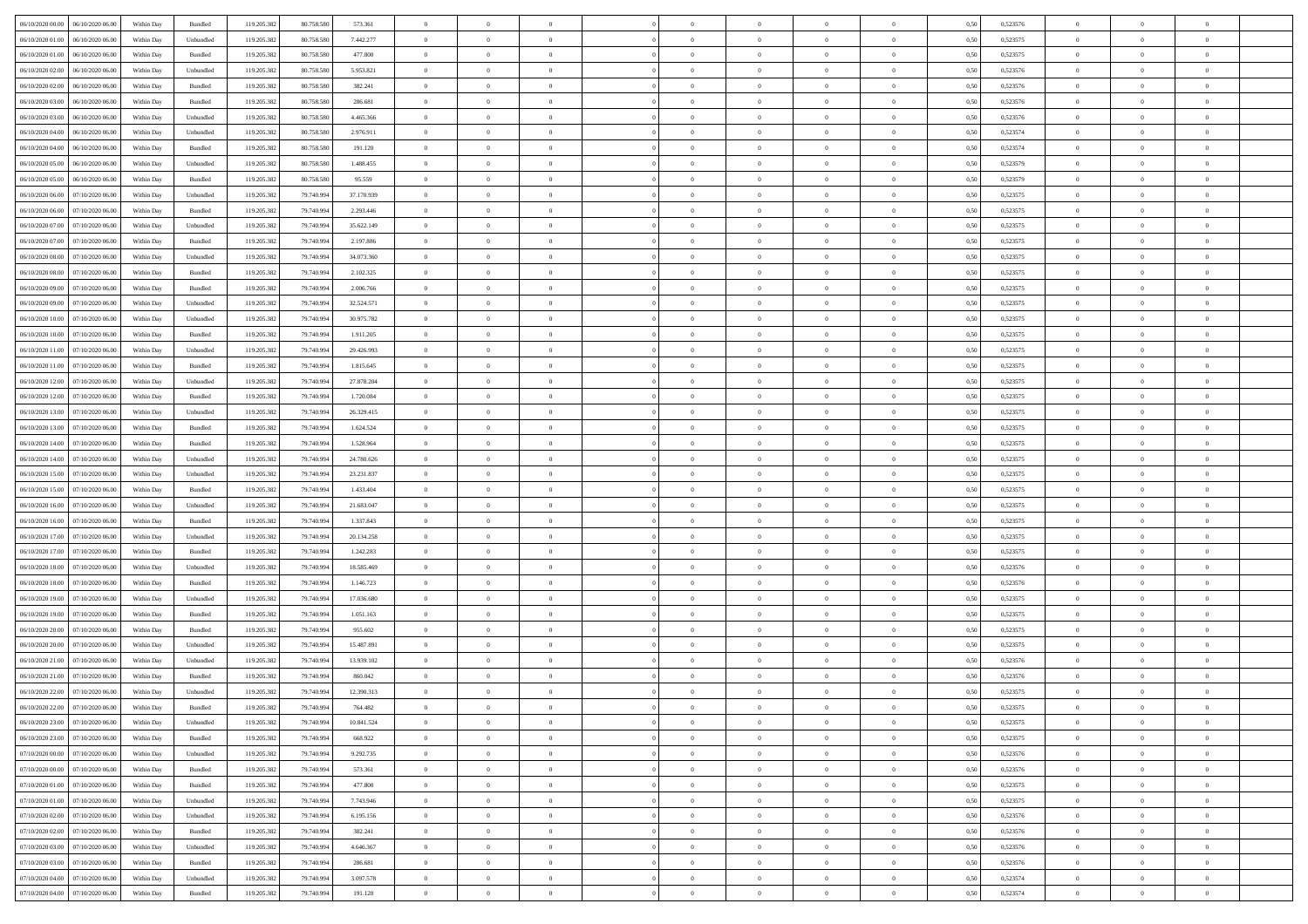| 06/10/2020 00:00 06/10/2020 06:00    | Within Day | Bundled   | 119.205.382 | 80.758.580 | 573.361    | $\overline{0}$ | $\overline{0}$ |                | $\overline{0}$ | $\theta$       |                | $\theta$       | 0,50 | 0,523576 | $\theta$       | $\theta$       | $\overline{0}$ |  |
|--------------------------------------|------------|-----------|-------------|------------|------------|----------------|----------------|----------------|----------------|----------------|----------------|----------------|------|----------|----------------|----------------|----------------|--|
| 06/10/2020 01:00<br>06/10/2020 06.00 | Within Day | Unbundled | 119.205.38  | 80.758.58  | 7.442.277  | $\bf{0}$       | $\bf{0}$       | $\bf{0}$       | $\overline{0}$ | $\overline{0}$ | $\overline{0}$ | $\bf{0}$       | 0,50 | 0,523575 | $\,$ 0 $\,$    | $\bf{0}$       | $\overline{0}$ |  |
| 06/10/2020 01:00<br>06/10/2020 06:00 | Within Day | Bundled   | 119.205.382 | 80.758.58  | 477.800    | $\overline{0}$ | $\bf{0}$       | $\overline{0}$ | $\bf{0}$       | $\bf{0}$       | $\overline{0}$ | $\bf{0}$       | 0.50 | 0,523575 | $\bf{0}$       | $\overline{0}$ | $\overline{0}$ |  |
| 06/10/2020 02:00<br>06/10/2020 06.00 | Within Day | Unbundled | 119.205.382 | 80.758.580 | 5.953.821  | $\overline{0}$ | $\overline{0}$ | $\overline{0}$ | $\theta$       | $\theta$       | $\overline{0}$ | $\bf{0}$       | 0,50 | 0,523576 | $\theta$       | $\theta$       | $\overline{0}$ |  |
| 06/10/2020 02.00<br>06/10/2020 06.00 | Within Day | Bundled   | 119.205.38  | 80.758.58  | 382.241    | $\bf{0}$       | $\overline{0}$ | $\bf{0}$       | $\overline{0}$ | $\theta$       | $\overline{0}$ | $\bf{0}$       | 0,50 | 0,523576 | $\,$ 0 $\,$    | $\bf{0}$       | $\overline{0}$ |  |
| 06/10/2020 03:00<br>06/10/2020 06:00 | Within Day | Bundled   | 119.205.382 | 80,758,580 | 286.681    | $\overline{0}$ | $\bf{0}$       | $\overline{0}$ | $\bf{0}$       | $\overline{0}$ | $\overline{0}$ | $\bf{0}$       | 0.50 | 0.523576 | $\,$ 0 $\,$    | $\theta$       | $\overline{0}$ |  |
| 06/10/2020 03:00<br>06/10/2020 06.00 | Within Day | Unbundled | 119.205.382 | 80.758.580 | 4.465.366  | $\bf{0}$       | $\overline{0}$ | $\overline{0}$ | $\overline{0}$ | $\overline{0}$ | $\overline{0}$ | $\bf{0}$       | 0,50 | 0,523576 | $\,$ 0 $\,$    | $\theta$       | $\overline{0}$ |  |
| 06/10/2020 04:00<br>06/10/2020 06.00 | Within Day | Unbundled | 119.205.38  | 80.758.58  | 2.976.911  | $\bf{0}$       | $\bf{0}$       | $\bf{0}$       | $\overline{0}$ | $\overline{0}$ | $\overline{0}$ | $\bf{0}$       | 0,50 | 0,523574 | $\,$ 0 $\,$    | $\bf{0}$       | $\overline{0}$ |  |
| 06/10/2020 04:00<br>06/10/2020 06:00 | Within Day | Bundled   | 119,205.38  | 80.758,580 | 191.120    | $\overline{0}$ | $\bf{0}$       | $\overline{0}$ | $\bf{0}$       | $\overline{0}$ | $\overline{0}$ | $\bf{0}$       | 0.50 | 0.523574 | $\bf{0}$       | $\overline{0}$ | $\overline{0}$ |  |
| 06/10/2020 05:00<br>06/10/2020 06.00 | Within Day | Unbundled | 119.205.382 | 80.758.580 | 1.488.455  | $\bf{0}$       | $\bf{0}$       | $\overline{0}$ | $\overline{0}$ | $\overline{0}$ | $\overline{0}$ | $\bf{0}$       | 0,50 | 0,523579 | $\,$ 0 $\,$    | $\,$ 0 $\,$    | $\overline{0}$ |  |
|                                      |            |           |             |            |            | $\bf{0}$       | $\bf{0}$       |                |                | $\bf{0}$       | $\overline{0}$ |                |      |          | $\,$ 0 $\,$    | $\bf{0}$       | $\overline{0}$ |  |
| 06/10/2020 05:00<br>06/10/2020 06.00 | Within Day | Bundled   | 119.205.38  | 80.758.580 | 95.559     |                |                | $\bf{0}$       | $\bf{0}$       |                |                | $\bf{0}$       | 0,50 | 0,523579 |                |                |                |  |
| 06/10/2020 06:00<br>07/10/2020 06:00 | Within Day | Unbundled | 119.205.382 | 79,740,994 | 37.170.939 | $\overline{0}$ | $\bf{0}$       | $\overline{0}$ | $\overline{0}$ | $\bf{0}$       | $\overline{0}$ | $\bf{0}$       | 0.50 | 0,523575 | $\bf{0}$       | $\,$ 0 $\,$    | $\,$ 0         |  |
| 06/10/2020 06:00<br>07/10/2020 06.00 | Within Day | Bundled   | 119.205.38  | 79.740.994 | 2.293.446  | $\overline{0}$ | $\overline{0}$ | $\overline{0}$ | $\theta$       | $\theta$       | $\overline{0}$ | $\bf{0}$       | 0,50 | 0,523575 | $\,$ 0 $\,$    | $\theta$       | $\overline{0}$ |  |
| 06/10/2020 07:00<br>07/10/2020 06.00 | Within Day | Unbundled | 119.205.38  | 79.740.99  | 35.622.149 | $\bf{0}$       | $\overline{0}$ | $\bf{0}$       | $\overline{0}$ | $\bf{0}$       | $\overline{0}$ | $\bf{0}$       | 0,50 | 0,523575 | $\,$ 0 $\,$    | $\bf{0}$       | $\overline{0}$ |  |
| 06/10/2020 07.00<br>07/10/2020 06:00 | Within Day | Bundled   | 119.205.382 | 79,740,994 | 2.197.886  | $\overline{0}$ | $\bf{0}$       | $\overline{0}$ | $\bf{0}$       | $\overline{0}$ | $\overline{0}$ | $\bf{0}$       | 0.50 | 0.523575 | $\,$ 0 $\,$    | $\theta$       | $\overline{0}$ |  |
| 06/10/2020 08:00<br>07/10/2020 06.00 | Within Day | Unbundled | 119.205.382 | 79.740.994 | 34.073.360 | $\overline{0}$ | $\overline{0}$ | $\overline{0}$ | $\overline{0}$ | $\overline{0}$ | $\overline{0}$ | $\bf{0}$       | 0,50 | 0,523575 | $\theta$       | $\theta$       | $\overline{0}$ |  |
| 06/10/2020 08:00<br>07/10/2020 06.00 | Within Day | Bundled   | 119.205.38  | 79.740.99  | 2.102.325  | $\bf{0}$       | $\bf{0}$       | $\bf{0}$       | $\overline{0}$ | $\bf{0}$       | $\overline{0}$ | $\bf{0}$       | 0,50 | 0,523575 | $\,$ 0 $\,$    | $\bf{0}$       | $\overline{0}$ |  |
| 06/10/2020 09:00<br>07/10/2020 06:00 | Within Day | Bundled   | 119,205.38  | 79.740.99  | 2.006.766  | $\overline{0}$ | $\bf{0}$       | $\overline{0}$ | $\bf{0}$       | $\overline{0}$ | $\overline{0}$ | $\bf{0}$       | 0.50 | 0.523575 | $\bf{0}$       | $\overline{0}$ | $\overline{0}$ |  |
| 06/10/2020 09:00<br>07/10/2020 06.00 | Within Day | Unbundled | 119.205.382 | 79.740.994 | 32.524.571 | $\bf{0}$       | $\bf{0}$       | $\overline{0}$ | $\overline{0}$ | $\overline{0}$ | $\overline{0}$ | $\bf{0}$       | 0,50 | 0,523575 | $\,$ 0 $\,$    | $\bf{0}$       | $\overline{0}$ |  |
| 06/10/2020 10:00<br>07/10/2020 06.00 | Within Day | Unbundled | 119.205.38  | 79.740.99  | 30.975.782 | $\bf{0}$       | $\bf{0}$       | $\bf{0}$       | $\bf{0}$       | $\overline{0}$ | $\overline{0}$ | $\bf{0}$       | 0,50 | 0,523575 | $\,$ 0 $\,$    | $\bf{0}$       | $\overline{0}$ |  |
| 06/10/2020 10:00<br>07/10/2020 06:00 | Within Day | Bundled   | 119.205.382 | 79,740,994 | 1.911.205  | $\overline{0}$ | $\bf{0}$       | $\overline{0}$ | $\bf{0}$       | $\bf{0}$       | $\overline{0}$ | $\bf{0}$       | 0.50 | 0,523575 | $\bf{0}$       | $\overline{0}$ | $\overline{0}$ |  |
| 06/10/2020 11:00<br>07/10/2020 06:00 | Within Day | Unbundled | 119.205.382 | 79.740.994 | 29.426.993 | $\overline{0}$ | $\overline{0}$ | $\overline{0}$ | $\theta$       | $\theta$       | $\overline{0}$ | $\bf{0}$       | 0,50 | 0,523575 | $\theta$       | $\theta$       | $\overline{0}$ |  |
| 06/10/2020 11:00<br>07/10/2020 06.00 | Within Day | Bundled   | 119.205.38  | 79.740.99  | 1.815.645  | $\bf{0}$       | $\bf{0}$       | $\bf{0}$       | $\bf{0}$       | $\overline{0}$ | $\overline{0}$ | $\bf{0}$       | 0,50 | 0,523575 | $\,$ 0 $\,$    | $\bf{0}$       | $\overline{0}$ |  |
| 06/10/2020 12:00<br>07/10/2020 06:00 | Within Day | Unbundled | 119,205.38  | 79.740.99  | 27.878.204 | $\overline{0}$ | $\bf{0}$       | $\overline{0}$ | $\bf{0}$       | $\overline{0}$ | $\theta$       | $\bf{0}$       | 0.50 | 0.523575 | $\,$ 0 $\,$    | $\theta$       | $\overline{0}$ |  |
| 06/10/2020 12:00<br>07/10/2020 06.00 | Within Day | Bundled   | 119.205.382 | 79.740.994 | 1.720.084  | $\overline{0}$ | $\overline{0}$ | $\overline{0}$ | $\overline{0}$ | $\overline{0}$ | $\overline{0}$ | $\bf{0}$       | 0,50 | 0,523575 | $\,$ 0 $\,$    | $\theta$       | $\overline{0}$ |  |
| 06/10/2020 13:00<br>07/10/2020 06.00 | Within Day | Unbundled | 119.205.38  | 79.740.99  | 26.329.415 | $\bf{0}$       | $\overline{0}$ | $\bf{0}$       | $\overline{0}$ | $\bf{0}$       | $\overline{0}$ | $\bf{0}$       | 0,50 | 0,523575 | $\,$ 0 $\,$    | $\bf{0}$       | $\overline{0}$ |  |
| 06/10/2020 13:00<br>07/10/2020 06:00 | Within Day | Bundled   | 119,205.38  | 79.740.99  | 1.624.524  | $\overline{0}$ | $\bf{0}$       | $\overline{0}$ | $\bf{0}$       | $\overline{0}$ | $\overline{0}$ | $\bf{0}$       | 0.50 | 0.523575 | $\bf{0}$       | $\overline{0}$ | $\overline{0}$ |  |
| 06/10/2020 14:00<br>07/10/2020 06.00 | Within Day | Bundled   | 119.205.382 | 79.740.994 | 1.528.964  | $\overline{0}$ | $\bf{0}$       | $\overline{0}$ | $\overline{0}$ | $\overline{0}$ | $\overline{0}$ | $\bf{0}$       | 0,50 | 0,523575 | $\,$ 0 $\,$    | $\theta$       | $\overline{0}$ |  |
| 06/10/2020 14:00<br>07/10/2020 06.00 | Within Day | Unbundled | 119.205.38  | 79.740.99  | 24.780.626 | $\bf{0}$       | $\bf{0}$       | $\bf{0}$       | $\bf{0}$       | $\overline{0}$ | $\overline{0}$ | $\bf{0}$       | 0,50 | 0,523575 | $\,$ 0 $\,$    | $\bf{0}$       | $\overline{0}$ |  |
| 06/10/2020 15:00<br>07/10/2020 06:00 | Within Day | Unbundled | 119.205.382 | 79,740,994 | 23.231.837 | $\overline{0}$ | $\bf{0}$       | $\overline{0}$ | $\bf{0}$       | $\bf{0}$       | $\overline{0}$ | $\bf{0}$       | 0.50 | 0,523575 | $\bf{0}$       | $\,$ 0 $\,$    | $\bf{0}$       |  |
| 06/10/2020 15:00<br>07/10/2020 06.00 | Within Day | Bundled   | 119.205.38  | 79.740.99  | 1.433.404  | $\overline{0}$ | $\overline{0}$ | $\overline{0}$ | $\overline{0}$ | $\overline{0}$ | $\overline{0}$ | $\bf{0}$       | 0.5( | 0,523575 | $\theta$       | $\theta$       | $\overline{0}$ |  |
| 06/10/2020 16:00<br>07/10/2020 06.00 | Within Day | Unbundled | 119.205.38  | 79.740.99  | 21.683.047 | $\bf{0}$       | $\bf{0}$       | $\bf{0}$       | $\bf{0}$       | $\,$ 0 $\,$    | $\overline{0}$ | $\bf{0}$       | 0,50 | 0,523575 | $\,$ 0 $\,$    | $\bf{0}$       | $\overline{0}$ |  |
| 06/10/2020 16:00<br>07/10/2020 06.00 | Within Day | Bundled   | 119.205.382 | 79,740,994 | 1.337.843  | $\overline{0}$ | $\bf{0}$       | $\overline{0}$ | $\bf{0}$       | $\overline{0}$ | $\overline{0}$ | $\bf{0}$       | 0.50 | 0,523575 | $\,$ 0 $\,$    | $\bf{0}$       | $\overline{0}$ |  |
| 06/10/2020 17:00<br>07/10/2020 06:00 | Within Day | Unbundled | 119.205.382 | 79.740.994 | 20.134.258 | $\overline{0}$ | $\overline{0}$ | $\overline{0}$ | $\overline{0}$ | $\overline{0}$ | $\overline{0}$ | $\bf{0}$       | 0.50 | 0,523575 | $\theta$       | $\theta$       | $\overline{0}$ |  |
| 06/10/2020 17:00<br>07/10/2020 06.00 | Within Day | Bundled   | 119.205.38  | 79.740.99  | 1.242.283  | $\bf{0}$       | $\bf{0}$       | $\bf{0}$       | $\bf{0}$       | $\overline{0}$ | $\overline{0}$ | $\bf{0}$       | 0,50 | 0,523575 | $\,$ 0 $\,$    | $\bf{0}$       | $\overline{0}$ |  |
| 06/10/2020 18:00<br>07/10/2020 06:00 | Within Day | Unbundled | 119,205.38  | 79.740.99  | 18,585,469 | $\overline{0}$ | $\bf{0}$       | $\overline{0}$ | $\bf{0}$       | $\overline{0}$ | $\overline{0}$ | $\bf{0}$       | 0.50 | 0.523576 | $\bf{0}$       | $\overline{0}$ | $\overline{0}$ |  |
| 06/10/2020 18:00<br>07/10/2020 06:00 | Within Day | Bundled   | 119.205.38  | 79.740.994 | 1.146.723  | $\overline{0}$ | $\overline{0}$ | $\overline{0}$ | $\overline{0}$ | $\overline{0}$ | $\overline{0}$ | $\bf{0}$       | 0.50 | 0,523576 | $\theta$       | $\theta$       | $\overline{0}$ |  |
| 06/10/2020 19:00<br>07/10/2020 06.00 | Within Day | Unbundled | 119.205.38  | 79.740.99  | 17.036.680 | $\bf{0}$       | $\bf{0}$       | $\bf{0}$       | $\bf{0}$       | $\overline{0}$ | $\overline{0}$ | $\bf{0}$       | 0,50 | 0,523575 | $\,$ 0 $\,$    | $\bf{0}$       | $\overline{0}$ |  |
| 06/10/2020 19:00<br>07/10/2020 06:00 | Within Day | Bundled   | 119.205.382 | 79,740,994 | 1.051.163  | $\overline{0}$ | $\bf{0}$       | $\overline{0}$ | $\bf{0}$       | $\bf{0}$       | $\overline{0}$ | $\bf{0}$       | 0.50 | 0,523575 | $\bf{0}$       | $\overline{0}$ | $\overline{0}$ |  |
| 06/10/2020 20:00<br>07/10/2020 06:00 | Within Day | Bundled   | 119.205.382 | 79.740.994 | 955.602    | $\overline{0}$ | $\overline{0}$ | $\overline{0}$ | $\overline{0}$ | $\overline{0}$ | $\overline{0}$ | $\bf{0}$       | 0.50 | 0,523575 | $\theta$       | $\theta$       | $\overline{0}$ |  |
| 06/10/2020 20:00<br>07/10/2020 06.00 | Within Day | Unbundled | 119.205.38  | 79.740.99  | 15.487.891 | $\bf{0}$       | $\bf{0}$       | $\bf{0}$       | $\bf{0}$       | $\overline{0}$ | $\overline{0}$ | $\bf{0}$       | 0,50 | 0,523575 | $\,$ 0 $\,$    | $\bf{0}$       | $\overline{0}$ |  |
| 06/10/2020 21:00<br>07/10/2020 06.00 | Within Day | Unbundled | 119.205.382 | 79.740.99  | 13.939.102 | $\overline{0}$ | $\overline{0}$ | $\overline{0}$ | $\bf{0}$       | $\overline{0}$ | $\Omega$       | $\bf{0}$       | 0.50 | 0,523576 | $\bf{0}$       | $\theta$       | $\overline{0}$ |  |
| 06/10/2020 21:00<br>07/10/2020 06:00 | Within Day | Bundled   | 119.205.38  | 79.740.994 | 860,042    | $\overline{0}$ | $\overline{0}$ | $\Omega$       | $\overline{0}$ | $\theta$       | $\overline{0}$ | $\overline{0}$ | 0.5( | 0,523576 | $\theta$       | $\theta$       | $\overline{0}$ |  |
| 06/10/2020 22.00<br>07/10/2020 06.00 | Within Day | Unbundled | 119.205.38  | 79.740.99  | 12.390.313 | $\bf{0}$       | $\bf{0}$       | $\bf{0}$       | $\bf{0}$       | $\bf{0}$       | $\overline{0}$ | $\bf{0}$       | 0,50 | 0,523575 | $\overline{0}$ | $\overline{0}$ | $\overline{0}$ |  |
| 06/10/2020 22:00 07/10/2020 06:00    | Within Day | Bundled   | 119.205.382 | 79.740.994 | 764.482    | $\overline{0}$ | $\theta$       |                | $\Omega$       |                |                |                | 0,50 | 0,523575 | $\bf{0}$       | $\bf{0}$       |                |  |
| 06/10/2020 23:00 07/10/2020 06:00    | Within Day | Unbundled | 119.205.382 | 79.740.994 | 10.841.524 | $\overline{0}$ | $\overline{0}$ | $\Omega$       | $\theta$       | $\overline{0}$ | $\overline{0}$ | $\bf{0}$       | 0,50 | 0,523575 | $\theta$       | $\theta$       | $\overline{0}$ |  |
| 06/10/2020 23.00<br>07/10/2020 06:00 | Within Day | Bundled   | 119.205.38  | 79.740.99  | 668.922    | $\overline{0}$ | $\bf{0}$       | $\overline{0}$ | $\overline{0}$ | $\bf{0}$       | $\overline{0}$ | $\bf{0}$       | 0,50 | 0,523575 | $\bf{0}$       | $\overline{0}$ | $\bf{0}$       |  |
| 07/10/2020 00:00 07/10/2020 06:00    | Within Day | Unbundled | 119.205.382 | 79,740,994 | 9.292.735  | $\overline{0}$ | $\bf{0}$       | $\overline{0}$ | $\overline{0}$ | $\mathbf{0}$   | $\overline{0}$ | $\,$ 0 $\,$    | 0.50 | 0,523576 | $\overline{0}$ | $\bf{0}$       | $\,$ 0 $\,$    |  |
| 07/10/2020 00:00 07/10/2020 06:00    | Within Day | Bundled   | 119.205.382 | 79.740.994 | 573.361    | $\overline{0}$ | $\overline{0}$ | $\overline{0}$ | $\overline{0}$ | $\overline{0}$ | $\overline{0}$ | $\bf{0}$       | 0,50 | 0,523576 | $\overline{0}$ | $\theta$       | $\overline{0}$ |  |
| 07/10/2020 01:00<br>07/10/2020 06:00 | Within Day | Bundled   | 119.205.382 | 79.740.994 | 477.800    | $\overline{0}$ | $\bf{0}$       | $\overline{0}$ | $\overline{0}$ | $\bf{0}$       | $\overline{0}$ | $\bf{0}$       | 0,50 | 0,523575 | $\bf{0}$       | $\overline{0}$ | $\overline{0}$ |  |
| 07/10/2020 06:00<br>07/10/2020 01:00 | Within Day | Unbundled | 119.205.382 | 79,740,994 | 7.743.946  | $\overline{0}$ | $\bf{0}$       | $\overline{0}$ | $\overline{0}$ | $\overline{0}$ | $\overline{0}$ | $\bf{0}$       | 0.50 | 0.523575 | $\,$ 0 $\,$    | $\overline{0}$ | $\overline{0}$ |  |
| 07/10/2020 02.00<br>07/10/2020 06:00 | Within Day | Unbundled | 119.205.382 | 79.740.994 | 6.195.156  | $\overline{0}$ | $\overline{0}$ | $\overline{0}$ | $\overline{0}$ | $\overline{0}$ | $\overline{0}$ | $\bf{0}$       | 0,50 | 0,523576 | $\overline{0}$ | $\theta$       | $\overline{0}$ |  |
| 07/10/2020 02.00<br>07/10/2020 06:00 | Within Day | Bundled   | 119.205.38  | 79.740.994 | 382.241    | $\overline{0}$ | $\overline{0}$ | $\overline{0}$ | $\overline{0}$ | $\overline{0}$ | $\overline{0}$ | $\bf{0}$       | 0,50 | 0,523576 | $\bf{0}$       | $\overline{0}$ | $\overline{0}$ |  |
| 07/10/2020 03:00 07/10/2020 06:00    |            | Unbundled | 119.205.382 | 79,740,994 | 4.646.367  |                | $\overline{0}$ | $\overline{0}$ |                |                | $\overline{0}$ |                | 0.50 | 0.523576 |                |                | $\,$ 0         |  |
|                                      | Within Day |           |             |            |            | $\overline{0}$ |                |                | $\overline{0}$ | $\overline{0}$ |                | $\bf{0}$       |      |          | $\mathbf{0}$   | $\bf{0}$       |                |  |
| 07/10/2020 03:00 07/10/2020 06:00    | Within Dav | Bundled   | 119.205.382 | 79.740.994 | 286.681    | $\overline{0}$ | $\overline{0}$ | $\overline{0}$ | $\overline{0}$ | $\overline{0}$ | $\overline{0}$ | $\bf{0}$       | 0,50 | 0,523576 | $\overline{0}$ | $\theta$       | $\overline{0}$ |  |
| 07/10/2020 04.00<br>07/10/2020 06.00 | Within Day | Unbundled | 119.205.38  | 79.740.994 | 3.097.578  | $\overline{0}$ | $\bf{0}$       | $\overline{0}$ | $\bf{0}$       | $\overline{0}$ | $\overline{0}$ | $\bf{0}$       | 0,50 | 0,523574 | $\bf{0}$       | $\,0\,$        | $\bf{0}$       |  |
| 07/10/2020 04:00 07/10/2020 06:00    | Within Day | Bundled   | 119.205.382 | 79.740.994 | 191.120    | $\overline{0}$ | $\bf{0}$       | $\overline{0}$ | $\overline{0}$ | $\,$ 0 $\,$    | $\overline{0}$ | $\bf{0}$       | 0,50 | 0,523574 | $\overline{0}$ | $\,$ 0 $\,$    | $\,$ 0 $\,$    |  |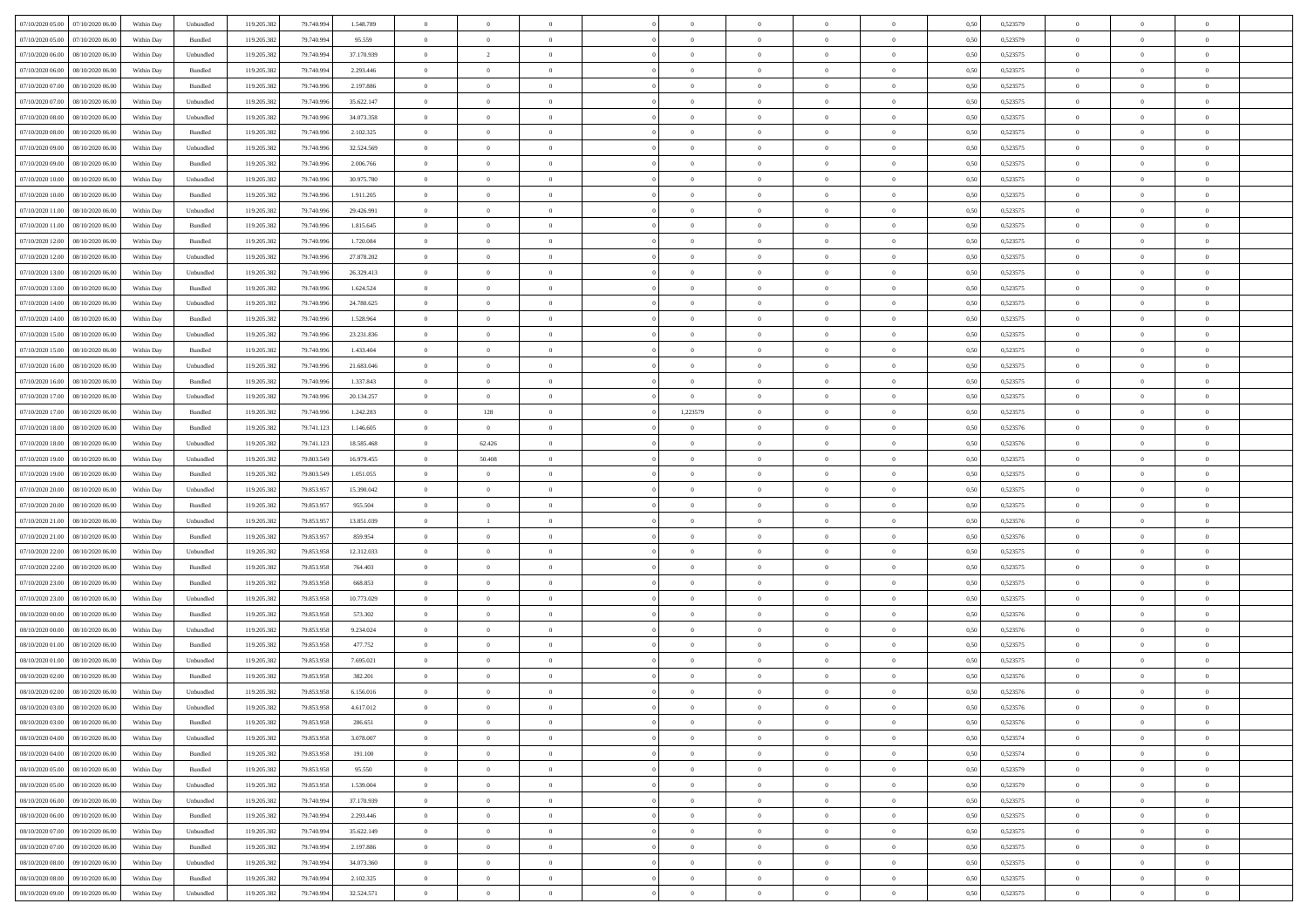| 07/10/2020 05:00 07/10/2020 06:00    | Within Day | Unbundled                   | 119.205.382 | 79.740.994 | 1.548.789  | $\overline{0}$ | $\overline{0}$           |                | $\overline{0}$ | $\theta$       |                | $\theta$       | 0,50 | 0,523579 | $\theta$       | $\theta$       | $\overline{0}$ |  |
|--------------------------------------|------------|-----------------------------|-------------|------------|------------|----------------|--------------------------|----------------|----------------|----------------|----------------|----------------|------|----------|----------------|----------------|----------------|--|
| 07/10/2020 05:00<br>07/10/2020 06.00 | Within Day | Bundled                     | 119.205.38  | 79.740.99  | 95.559     | $\bf{0}$       | $\bf{0}$                 | $\bf{0}$       | $\bf{0}$       | $\overline{0}$ | $\overline{0}$ | $\bf{0}$       | 0,50 | 0,523579 | $\,$ 0 $\,$    | $\bf{0}$       | $\overline{0}$ |  |
| 07/10/2020 06:00<br>08/10/2020 06:00 | Within Day | Unbundled                   | 119.205.382 | 79,740,994 | 37.170.939 | $\overline{0}$ | $\overline{\phantom{a}}$ | $\overline{0}$ | $\bf{0}$       | $\bf{0}$       | $\overline{0}$ | $\bf{0}$       | 0.50 | 0,523575 | $\bf{0}$       | $\overline{0}$ | $\overline{0}$ |  |
| 07/10/2020 06:00<br>08/10/2020 06:00 | Within Day | Bundled                     | 119.205.382 | 79.740.994 | 2.293.446  | $\overline{0}$ | $\overline{0}$           | $\overline{0}$ | $\overline{0}$ | $\theta$       | $\overline{0}$ | $\bf{0}$       | 0,50 | 0,523575 | $\,$ 0 $\,$    | $\theta$       | $\overline{0}$ |  |
| 07/10/2020 07:00<br>08/10/2020 06.00 | Within Day | Bundled                     | 119.205.38  | 79.740.99  | 2.197.886  | $\bf{0}$       | $\overline{0}$           | $\bf{0}$       | $\overline{0}$ | $\theta$       | $\overline{0}$ | $\bf{0}$       | 0,50 | 0,523575 | $\,$ 0 $\,$    | $\bf{0}$       | $\overline{0}$ |  |
| 07/10/2020 07:00<br>08/10/2020 06:00 | Within Day | Unbundled                   | 119,205.38  | 79.740.99  | 35.622.147 | $\overline{0}$ | $\bf{0}$                 | $\overline{0}$ | $\bf{0}$       | $\overline{0}$ | $\theta$       | $\bf{0}$       | 0.50 | 0.523575 | $\,$ 0 $\,$    | $\theta$       | $\overline{0}$ |  |
| 07/10/2020 08:00<br>08/10/2020 06.00 | Within Day | Unbundled                   | 119.205.38  | 79.740.996 | 34.073.358 | $\overline{0}$ | $\overline{0}$           | $\overline{0}$ | $\overline{0}$ | $\overline{0}$ | $\overline{0}$ | $\bf{0}$       | 0,50 | 0,523575 | $\,$ 0 $\,$    | $\theta$       | $\overline{0}$ |  |
|                                      |            |                             |             |            |            |                |                          |                |                |                |                |                |      |          |                |                |                |  |
| 07/10/2020 08:00<br>08/10/2020 06.00 | Within Day | Bundled                     | 119.205.38  | 79.740.99  | 2.102.325  | $\bf{0}$       | $\bf{0}$                 | $\bf{0}$       | $\overline{0}$ | $\overline{0}$ | $\overline{0}$ | $\bf{0}$       | 0,50 | 0,523575 | $\,$ 0 $\,$    | $\bf{0}$       | $\overline{0}$ |  |
| 07/10/2020 09:00<br>08/10/2020 06:00 | Within Day | Unbundled                   | 119,205.38  | 79.740.99  | 32.524.569 | $\overline{0}$ | $\bf{0}$                 | $\overline{0}$ | $\bf{0}$       | $\overline{0}$ | $\overline{0}$ | $\bf{0}$       | 0.50 | 0.523575 | $\bf{0}$       | $\overline{0}$ | $\overline{0}$ |  |
| 07/10/2020 09:00<br>08/10/2020 06:00 | Within Day | Bundled                     | 119.205.382 | 79.740.996 | 2.006.766  | $\bf{0}$       | $\bf{0}$                 | $\overline{0}$ | $\overline{0}$ | $\overline{0}$ | $\overline{0}$ | $\bf{0}$       | 0,50 | 0,523575 | $\,$ 0 $\,$    | $\,$ 0 $\,$    | $\overline{0}$ |  |
| 07/10/2020 10:00<br>08/10/2020 06.00 | Within Day | Unbundled                   | 119.205.38  | 79.740.99  | 30.975.780 | $\bf{0}$       | $\bf{0}$                 | $\bf{0}$       | $\bf{0}$       | $\bf{0}$       | $\overline{0}$ | $\bf{0}$       | 0,50 | 0,523575 | $\,$ 0 $\,$    | $\bf{0}$       | $\overline{0}$ |  |
| 07/10/2020 10:00<br>08/10/2020 06:00 | Within Day | Bundled                     | 119.205.382 | 79.740.99  | 1.911.205  | $\overline{0}$ | $\bf{0}$                 | $\overline{0}$ | $\overline{0}$ | $\bf{0}$       | $\overline{0}$ | $\bf{0}$       | 0.50 | 0,523575 | $\bf{0}$       | $\,$ 0 $\,$    | $\,$ 0         |  |
| 07/10/2020 11:00<br>08/10/2020 06:00 | Within Day | Unbundled                   | 119.205.38  | 79.740.996 | 29.426.991 | $\overline{0}$ | $\overline{0}$           | $\overline{0}$ | $\theta$       | $\theta$       | $\overline{0}$ | $\bf{0}$       | 0,50 | 0,523575 | $\,$ 0 $\,$    | $\theta$       | $\overline{0}$ |  |
| 07/10/2020 11:00<br>08/10/2020 06.00 | Within Day | Bundled                     | 119.205.38  | 79.740.99  | 1.815.645  | $\bf{0}$       | $\overline{0}$           | $\bf{0}$       | $\bf{0}$       | $\bf{0}$       | $\overline{0}$ | $\bf{0}$       | 0,50 | 0,523575 | $\,$ 0 $\,$    | $\bf{0}$       | $\overline{0}$ |  |
| 07/10/2020 12:00<br>08/10/2020 06:00 | Within Day | Bundled                     | 119.205.382 | 79,740,996 | 1.720.084  | $\overline{0}$ | $\bf{0}$                 | $\overline{0}$ | $\bf{0}$       | $\overline{0}$ | $\theta$       | $\bf{0}$       | 0.50 | 0.523575 | $\,$ 0 $\,$    | $\theta$       | $\overline{0}$ |  |
| 07/10/2020 12:00<br>08/10/2020 06:00 | Within Day | Unbundled                   | 119.205.382 | 79.740.996 | 27.878.202 | $\overline{0}$ | $\overline{0}$           | $\overline{0}$ | $\overline{0}$ | $\overline{0}$ | $\overline{0}$ | $\bf{0}$       | 0,50 | 0,523575 | $\theta$       | $\theta$       | $\overline{0}$ |  |
| 07/10/2020 13:00<br>08/10/2020 06.00 | Within Day | Unbundled                   | 119.205.38  | 79.740.99  | 26.329.413 | $\bf{0}$       | $\bf{0}$                 | $\bf{0}$       | $\overline{0}$ | $\bf{0}$       | $\overline{0}$ | $\bf{0}$       | 0,50 | 0,523575 | $\,$ 0 $\,$    | $\bf{0}$       | $\overline{0}$ |  |
| 07/10/2020 13:00<br>08/10/2020 06:00 | Within Day | Bundled                     | 119,205.38  | 79.740.99  | 1.624.524  | $\overline{0}$ | $\bf{0}$                 | $\overline{0}$ | $\bf{0}$       | $\overline{0}$ | $\overline{0}$ | $\bf{0}$       | 0.50 | 0.523575 | $\bf{0}$       | $\overline{0}$ | $\overline{0}$ |  |
|                                      |            |                             |             |            |            |                |                          | $\overline{0}$ | $\overline{0}$ | $\overline{0}$ | $\overline{0}$ |                |      |          | $\,$ 0 $\,$    |                |                |  |
| 07/10/2020 14:00<br>08/10/2020 06:00 | Within Day | Unbundled                   | 119.205.382 | 79.740.996 | 24.780.625 | $\bf{0}$       | $\bf{0}$                 |                |                |                |                | $\bf{0}$       | 0,50 | 0,523575 |                | $\bf{0}$       | $\overline{0}$ |  |
| 07/10/2020 14:00<br>08/10/2020 06.00 | Within Day | Bundled                     | 119.205.38  | 79.740.99  | 1.528.964  | $\bf{0}$       | $\bf{0}$                 | $\bf{0}$       | $\bf{0}$       | $\overline{0}$ | $\overline{0}$ | $\bf{0}$       | 0,50 | 0,523575 | $\,$ 0 $\,$    | $\bf{0}$       | $\overline{0}$ |  |
| 07/10/2020 15:00<br>08/10/2020 06:00 | Within Day | Unbundled                   | 119.205.382 | 79,740,996 | 23.231.836 | $\overline{0}$ | $\bf{0}$                 | $\overline{0}$ | $\overline{0}$ | $\bf{0}$       | $\overline{0}$ | $\bf{0}$       | 0.50 | 0,523575 | $\bf{0}$       | $\overline{0}$ | $\overline{0}$ |  |
| 07/10/2020 15:00<br>08/10/2020 06:00 | Within Day | Bundled                     | 119.205.382 | 79.740.996 | 1.433.404  | $\overline{0}$ | $\overline{0}$           | $\overline{0}$ | $\theta$       | $\theta$       | $\overline{0}$ | $\bf{0}$       | 0,50 | 0,523575 | $\theta$       | $\theta$       | $\overline{0}$ |  |
| 07/10/2020 16.00<br>08/10/2020 06.00 | Within Day | Unbundled                   | 119.205.38  | 79.740.99  | 21.683.046 | $\bf{0}$       | $\bf{0}$                 | $\bf{0}$       | $\bf{0}$       | $\overline{0}$ | $\overline{0}$ | $\bf{0}$       | 0,50 | 0,523575 | $\,$ 0 $\,$    | $\bf{0}$       | $\overline{0}$ |  |
| 07/10/2020 16:00<br>08/10/2020 06:00 | Within Day | Bundled                     | 119,205.38  | 79.740.99  | 1.337.843  | $\overline{0}$ | $\bf{0}$                 | $\overline{0}$ | $\bf{0}$       | $\overline{0}$ | $\theta$       | $\bf{0}$       | 0.50 | 0.523575 | $\,$ 0 $\,$    | $\theta$       | $\overline{0}$ |  |
| 07/10/2020 17:00<br>08/10/2020 06:00 | Within Day | Unbundled                   | 119.205.382 | 79.740.996 | 20.134.257 | $\overline{0}$ | $\overline{0}$           | $\overline{0}$ | $\overline{0}$ | $\overline{0}$ | $\overline{0}$ | $\bf{0}$       | 0,50 | 0,523575 | $\,$ 0 $\,$    | $\theta$       | $\overline{0}$ |  |
| 07/10/2020 17:00<br>08/10/2020 06.00 | Within Day | Bundled                     | 119.205.38  | 79.740.99  | 1.242.283  | $\bf{0}$       | 128                      | $\bf{0}$       | 1,223579       | $\overline{0}$ | $\overline{0}$ | $\bf{0}$       | 0,50 | 0,523575 | $\,$ 0 $\,$    | $\bf{0}$       | $\overline{0}$ |  |
| 07/10/2020 18:00<br>08/10/2020 06:00 | Within Day | Bundled                     | 119,205.38  | 79.741.123 | 1.146.605  | $\overline{0}$ | $\overline{0}$           | $\overline{0}$ | $\bf{0}$       | $\overline{0}$ | $\overline{0}$ | $\bf{0}$       | 0.50 | 0.523576 | $\bf{0}$       | $\overline{0}$ | $\overline{0}$ |  |
| 07/10/2020 18:00<br>08/10/2020 06:00 | Within Day | Unbundled                   | 119.205.382 | 79.741.123 | 18.585.468 | $\overline{0}$ | 62.426                   | $\overline{0}$ | $\overline{0}$ | $\overline{0}$ | $\overline{0}$ | $\bf{0}$       | 0,50 | 0,523576 | $\,$ 0 $\,$    | $\bf{0}$       | $\overline{0}$ |  |
| 07/10/2020 19:00<br>08/10/2020 06.00 | Within Day | Unbundled                   | 119.205.38  | 79.803.549 | 16.979.455 | $\bf{0}$       | 50.408                   | $\bf{0}$       | $\bf{0}$       | $\overline{0}$ | $\overline{0}$ | $\bf{0}$       | 0,50 | 0,523575 | $\,$ 0 $\,$    | $\bf{0}$       | $\overline{0}$ |  |
| 07/10/2020 19:00<br>08/10/2020 06:00 | Within Day | Bundled                     | 119.205.382 | 79,803,549 | 1.051.055  | $\overline{0}$ | $\bf{0}$                 | $\overline{0}$ | $\bf{0}$       | $\bf{0}$       | $\overline{0}$ | $\bf{0}$       | 0.50 | 0,523575 | $\bf{0}$       | $\,$ 0 $\,$    | $\overline{0}$ |  |
| 07/10/2020 20:00<br>08/10/2020 06:00 | Within Day | Unbundled                   | 119.205.38  | 79.853.957 | 15.390.042 | $\overline{0}$ | $\overline{0}$           | $\overline{0}$ | $\overline{0}$ | $\overline{0}$ | $\overline{0}$ | $\bf{0}$       | 0.5( | 0,523575 | $\theta$       | $\theta$       | $\overline{0}$ |  |
|                                      |            |                             |             |            |            |                |                          |                |                |                | $\overline{0}$ |                |      |          |                |                |                |  |
| 07/10/2020 20:00<br>08/10/2020 06.00 | Within Day | Bundled                     | 119.205.38  | 79.853.95  | 955.504    | $\bf{0}$       | $\bf{0}$                 | $\bf{0}$       | $\bf{0}$       | $\overline{0}$ |                | $\bf{0}$       | 0,50 | 0,523575 | $\,$ 0 $\,$    | $\bf{0}$       | $\overline{0}$ |  |
| 07/10/2020 21:00<br>08/10/2020 06:00 | Within Day | Unbundled                   | 119.205.382 | 79.853.957 | 13.851.039 | $\overline{0}$ | -1                       | $\overline{0}$ | $\bf{0}$       | $\overline{0}$ | $\overline{0}$ | $\bf{0}$       | 0.50 | 0.523576 | $\,$ 0 $\,$    | $\bf{0}$       | $\overline{0}$ |  |
| 07/10/2020 21:00<br>08/10/2020 06:00 | Within Day | Bundled                     | 119.205.382 | 79.853.957 | 859.954    | $\overline{0}$ | $\overline{0}$           | $\overline{0}$ | $\overline{0}$ | $\overline{0}$ | $\overline{0}$ | $\bf{0}$       | 0.50 | 0,523576 | $\theta$       | $\theta$       | $\overline{0}$ |  |
| 07/10/2020 22.00<br>08/10/2020 06.00 | Within Day | Unbundled                   | 119.205.38  | 79.853.958 | 12.312.033 | $\bf{0}$       | $\bf{0}$                 | $\bf{0}$       | $\bf{0}$       | $\overline{0}$ | $\overline{0}$ | $\bf{0}$       | 0,50 | 0,523575 | $\,$ 0 $\,$    | $\bf{0}$       | $\overline{0}$ |  |
| 07/10/2020 22.00<br>08/10/2020 06:00 | Within Day | Bundled                     | 119,205.38  | 79.853.958 | 764,403    | $\overline{0}$ | $\bf{0}$                 | $\overline{0}$ | $\bf{0}$       | $\overline{0}$ | $\overline{0}$ | $\bf{0}$       | 0.50 | 0.523575 | $\bf{0}$       | $\overline{0}$ | $\overline{0}$ |  |
| 07/10/2020 23:00<br>08/10/2020 06:00 | Within Day | Bundled                     | 119.205.38  | 79.853.958 | 668,853    | $\overline{0}$ | $\overline{0}$           | $\overline{0}$ | $\overline{0}$ | $\overline{0}$ | $\overline{0}$ | $\bf{0}$       | 0.50 | 0,523575 | $\theta$       | $\theta$       | $\overline{0}$ |  |
| 07/10/2020 23.00<br>08/10/2020 06.00 | Within Day | Unbundled                   | 119.205.38  | 79.853.958 | 10.773.029 | $\bf{0}$       | $\bf{0}$                 | $\bf{0}$       | $\bf{0}$       | $\overline{0}$ | $\overline{0}$ | $\bf{0}$       | 0,50 | 0,523575 | $\,$ 0 $\,$    | $\bf{0}$       | $\overline{0}$ |  |
| 08/10/2020 00:00<br>08/10/2020 06:00 | Within Day | Bundled                     | 119.205.382 | 79.853.958 | 573.302    | $\overline{0}$ | $\bf{0}$                 | $\overline{0}$ | $\overline{0}$ | $\bf{0}$       | $\overline{0}$ | $\bf{0}$       | 0.50 | 0,523576 | $\bf{0}$       | $\overline{0}$ | $\overline{0}$ |  |
| 08/10/2020 00:00<br>08/10/2020 06:00 | Within Day | Unbundled                   | 119.205.382 | 79.853.958 | 9.234.024  | $\overline{0}$ | $\overline{0}$           | $\overline{0}$ | $\overline{0}$ | $\overline{0}$ | $\overline{0}$ | $\bf{0}$       | 0.5( | 0,523576 | $\theta$       | $\theta$       | $\overline{0}$ |  |
| 08/10/2020 01:00<br>08/10/2020 06.00 | Within Day | Bundled                     | 119.205.38  | 79.853.958 | 477.752    | $\bf{0}$       | $\bf{0}$                 | $\bf{0}$       | $\bf{0}$       | $\overline{0}$ | $\overline{0}$ | $\bf{0}$       | 0,50 | 0,523575 | $\,$ 0 $\,$    | $\bf{0}$       | $\overline{0}$ |  |
| 08/10/2020 01:00<br>08/10/2020 06:00 | Within Day | Unbundled                   | 119.205.382 | 79.853.958 | 7.695.021  | $\overline{0}$ | $\overline{0}$           | $\overline{0}$ | $\bf{0}$       | $\overline{0}$ | $\Omega$       | $\bf{0}$       | 0.50 | 0,523575 | $\bf{0}$       | $\theta$       | $\overline{0}$ |  |
| 08/10/2020 02:00<br>08/10/2020 06:00 | Within Dav | Bundled                     | 119.205.38  | 79.853.958 | 382.201    | $\overline{0}$ | $\overline{0}$           | $\Omega$       | $\theta$       | $\theta$       | $\overline{0}$ | $\overline{0}$ | 0.5( | 0,523576 | $\theta$       | $\theta$       | $\overline{0}$ |  |
| 08/10/2020 02:00<br>08/10/2020 06:00 | Within Day | Unbundled                   | 119.205.38  | 79.853.958 | 6.156.016  | $\bf{0}$       | $\bf{0}$                 | $\bf{0}$       | $\bf{0}$       | $\bf{0}$       | $\overline{0}$ | $\bf{0}$       | 0,50 | 0,523576 | $\,$ 0 $\,$    | $\overline{0}$ | $\overline{0}$ |  |
| 08/10/2020 03:00 08/10/2020 06:00    | Within Day | $\ensuremath{\mathsf{Unb}}$ | 119.205.382 | 79.853.958 | 4.617.012  | $\bf{0}$       | $\Omega$                 |                | $\Omega$       |                |                |                | 0,50 | 0,523576 | $\bf{0}$       | $\bf{0}$       |                |  |
| 08/10/2020 03:00 08/10/2020 06:00    |            |                             |             |            |            | $\overline{0}$ | $\overline{0}$           | $\Omega$       |                | $\overline{0}$ |                |                |      |          | $\theta$       | $\theta$       | $\overline{0}$ |  |
|                                      | Within Day | Bundled                     | 119.205.382 | 79.853.958 | 286,651    |                |                          |                | $\theta$       |                | $\overline{0}$ | $\bf{0}$       | 0,50 | 0,523576 |                |                |                |  |
| 08/10/2020 04:00<br>08/10/2020 06:00 | Within Day | Unbundled                   | 119.205.38  | 79.853.958 | 3.078.007  | $\overline{0}$ | $\bf{0}$                 | $\overline{0}$ | $\overline{0}$ | $\bf{0}$       | $\overline{0}$ | $\bf{0}$       | 0,50 | 0,523574 | $\bf{0}$       | $\overline{0}$ | $\bf{0}$       |  |
| 08/10/2020 04:00 08/10/2020 06:00    | Within Day | Bundled                     | 119.205.382 | 79.853.958 | 191.100    | $\overline{0}$ | $\bf{0}$                 | $\overline{0}$ | $\overline{0}$ | $\overline{0}$ | $\overline{0}$ | $\,$ 0 $\,$    | 0.50 | 0,523574 | $\overline{0}$ | $\bf{0}$       | $\,$ 0 $\,$    |  |
| 08/10/2020 05:00 08/10/2020 06:00    | Within Dav | Bundled                     | 119.205.382 | 79.853.958 | 95.550     | $\overline{0}$ | $\overline{0}$           | $\overline{0}$ | $\overline{0}$ | $\overline{0}$ | $\overline{0}$ | $\bf{0}$       | 0,50 | 0,523579 | $\theta$       | $\theta$       | $\overline{0}$ |  |
| 08/10/2020 05:00<br>08/10/2020 06:00 | Within Day | Unbundled                   | 119.205.382 | 79.853.958 | 1.539.004  | $\overline{0}$ | $\bf{0}$                 | $\overline{0}$ | $\overline{0}$ | $\overline{0}$ | $\bf{0}$       | $\bf{0}$       | 0,50 | 0,523579 | $\bf{0}$       | $\overline{0}$ | $\overline{0}$ |  |
| 08/10/2020 06:00<br>09/10/2020 06:00 | Within Day | Unbundled                   | 119.205.382 | 79,740,994 | 37.170.939 | $\overline{0}$ | $\bf{0}$                 | $\overline{0}$ | $\overline{0}$ | $\overline{0}$ | $\overline{0}$ | $\bf{0}$       | 0.50 | 0.523575 | $\,$ 0 $\,$    | $\theta$       | $\overline{0}$ |  |
| 08/10/2020 06:00<br>09/10/2020 06:00 | Within Dav | Bundled                     | 119.205.382 | 79.740.994 | 2.293.446  | $\overline{0}$ | $\overline{0}$           | $\overline{0}$ | $\overline{0}$ | $\overline{0}$ | $\overline{0}$ | $\bf{0}$       | 0,50 | 0,523575 | $\overline{0}$ | $\theta$       | $\overline{0}$ |  |
| 08/10/2020 07:00<br>09/10/2020 06.00 | Within Day | Unbundled                   | 119.205.38  | 79.740.994 | 35.622.149 | $\overline{0}$ | $\overline{0}$           | $\overline{0}$ | $\overline{0}$ | $\overline{0}$ | $\overline{0}$ | $\bf{0}$       | 0,50 | 0,523575 | $\bf{0}$       | $\overline{0}$ | $\overline{0}$ |  |
| 08/10/2020 07:00<br>09/10/2020 06:00 | Within Day | Bundled                     | 119.205.382 | 79,740,994 | 2.197.886  | $\overline{0}$ | $\overline{0}$           | $\overline{0}$ | $\overline{0}$ | $\bf{0}$       | $\overline{0}$ | $\bf{0}$       | 0.50 | 0.523575 | $\overline{0}$ | $\bf{0}$       | $\,$ 0         |  |
| 08/10/2020 08:00 09/10/2020 06:00    | Within Dav | Unbundled                   | 119.205.382 | 79.740.994 | 34.073.360 | $\overline{0}$ | $\overline{0}$           | $\overline{0}$ | $\overline{0}$ | $\overline{0}$ | $\overline{0}$ | $\bf{0}$       | 0,50 | 0,523575 | $\overline{0}$ | $\theta$       | $\overline{0}$ |  |
| 08/10/2020 08:00<br>09/10/2020 06.00 | Within Day | Bundled                     | 119.205.38  | 79.740.99  | 2.102.325  | $\overline{0}$ | $\bf{0}$                 | $\overline{0}$ | $\bf{0}$       | $\overline{0}$ | $\bf{0}$       | $\bf{0}$       | 0,50 | 0,523575 | $\bf{0}$       | $\bf{0}$       | $\overline{0}$ |  |
|                                      |            |                             |             |            |            |                |                          |                |                |                |                |                |      |          |                |                |                |  |
| 08/10/2020 09:00 09/10/2020 06:00    | Within Day | ${\sf Unbundred}$           | 119.205.382 | 79.740.994 | 32.524.571 | $\overline{0}$ | $\bf{0}$                 | $\overline{0}$ | $\overline{0}$ | $\,$ 0 $\,$    | $\overline{0}$ | $\bf{0}$       | 0,50 | 0,523575 | $\overline{0}$ | $\,$ 0 $\,$    | $\,$ 0 $\,$    |  |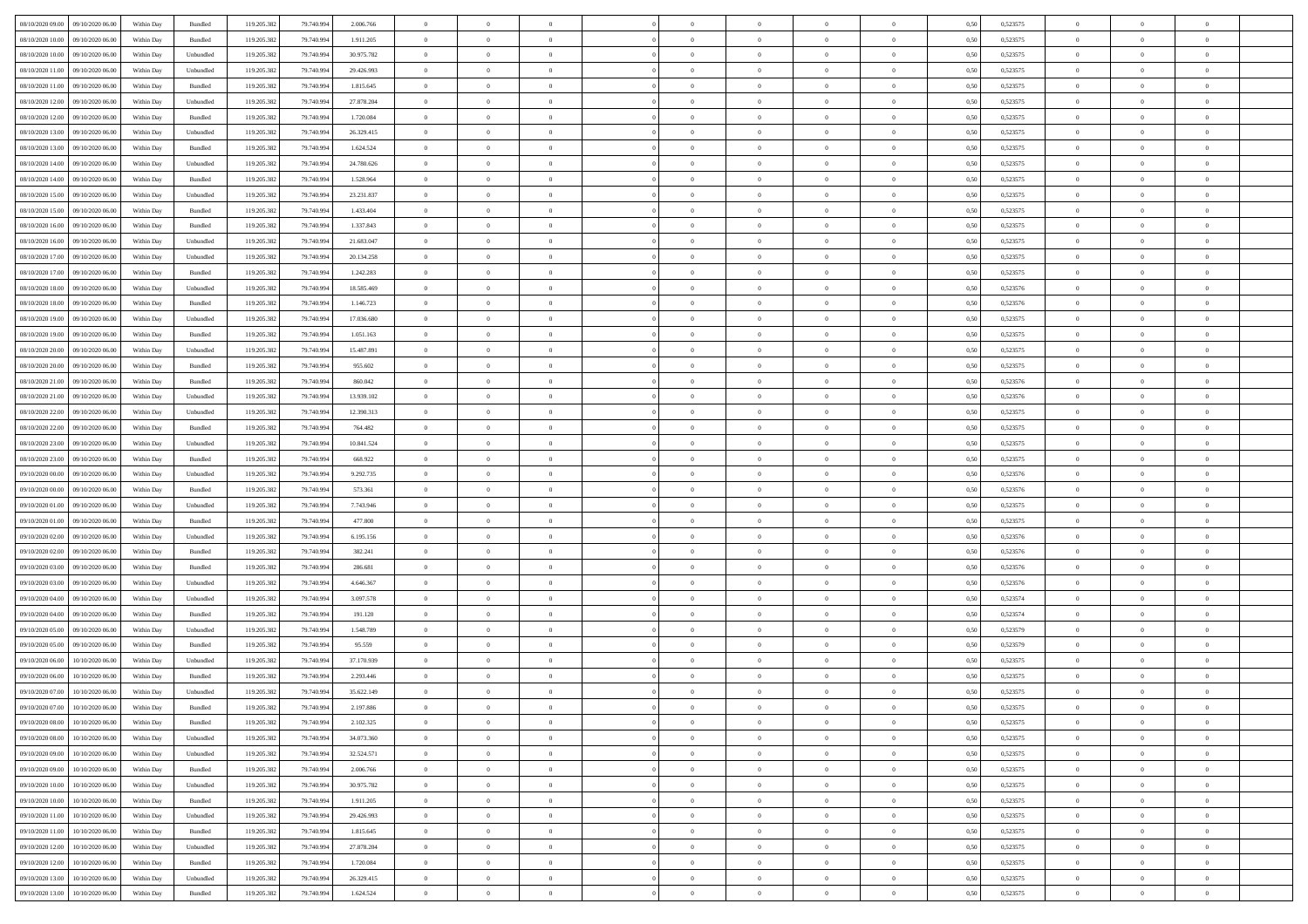| 08/10/2020 09:00 09/10/2020 06:00    | Within Day | Bundled   | 119.205.382 | 79.740.994 | 2.006.766  | $\overline{0}$ | $\overline{0}$ |                | $\overline{0}$ | $\theta$       |                | $\theta$       | 0,50 | 0,523575 | $\theta$       | $\theta$       | $\overline{0}$ |  |
|--------------------------------------|------------|-----------|-------------|------------|------------|----------------|----------------|----------------|----------------|----------------|----------------|----------------|------|----------|----------------|----------------|----------------|--|
| 08/10/2020 10:00<br>09/10/2020 06.00 | Within Day | Bundled   | 119.205.38  | 79.740.99  | 1.911.205  | $\bf{0}$       | $\bf{0}$       | $\bf{0}$       | $\overline{0}$ | $\overline{0}$ | $\overline{0}$ | $\bf{0}$       | 0,50 | 0,523575 | $\,$ 0 $\,$    | $\bf{0}$       | $\overline{0}$ |  |
| 08/10/2020 10:00<br>09/10/2020 06:00 | Within Day | Unbundled | 119.205.382 | 79,740,994 | 30.975.782 | $\overline{0}$ | $\bf{0}$       | $\overline{0}$ | $\bf{0}$       | $\bf{0}$       | $\overline{0}$ | $\bf{0}$       | 0.50 | 0,523575 | $\bf{0}$       | $\overline{0}$ | $\overline{0}$ |  |
| 08/10/2020 11:00<br>09/10/2020 06:00 | Within Day | Unbundled | 119.205.382 | 79.740.994 | 29.426.993 | $\overline{0}$ | $\overline{0}$ | $\overline{0}$ | $\overline{0}$ | $\theta$       | $\overline{0}$ | $\bf{0}$       | 0,50 | 0,523575 | $\,$ 0 $\,$    | $\,$ 0 $\,$    | $\overline{0}$ |  |
| 08/10/2020 11:00<br>09/10/2020 06.00 | Within Day | Bundled   | 119.205.38  | 79.740.99  | 1.815.645  | $\bf{0}$       | $\overline{0}$ | $\bf{0}$       | $\overline{0}$ | $\theta$       | $\overline{0}$ | $\bf{0}$       | 0,50 | 0,523575 | $\,$ 0 $\,$    | $\bf{0}$       | $\overline{0}$ |  |
| 08/10/2020 12:00<br>09/10/2020 06:00 | Within Day | Unbundled | 119.205.382 | 79.740.99  | 27.878.204 | $\overline{0}$ | $\bf{0}$       | $\overline{0}$ | $\bf{0}$       | $\overline{0}$ | $\theta$       | $\bf{0}$       | 0.50 | 0.523575 | $\,$ 0 $\,$    | $\theta$       | $\overline{0}$ |  |
| 08/10/2020 12:00<br>09/10/2020 06.00 | Within Day | Bundled   | 119.205.38  | 79.740.994 | 1.720.084  | $\bf{0}$       | $\overline{0}$ | $\overline{0}$ | $\overline{0}$ | $\overline{0}$ | $\overline{0}$ | $\bf{0}$       | 0,50 | 0,523575 | $\,$ 0 $\,$    | $\theta$       | $\overline{0}$ |  |
|                                      |            |           |             |            |            |                | $\bf{0}$       |                | $\overline{0}$ | $\overline{0}$ | $\overline{0}$ |                |      |          | $\,$ 0 $\,$    | $\bf{0}$       | $\overline{0}$ |  |
| 08/10/2020 13:00<br>09/10/2020 06.00 | Within Day | Unbundled | 119.205.38  | 79.740.99  | 26.329.415 | $\bf{0}$       |                | $\bf{0}$       |                |                |                | $\bf{0}$       | 0,50 | 0,523575 |                |                |                |  |
| 08/10/2020 13:00<br>09/10/2020 06:00 | Within Day | Bundled   | 119,205.38  | 79.740.99  | 1.624.524  | $\overline{0}$ | $\bf{0}$       | $\overline{0}$ | $\bf{0}$       | $\overline{0}$ | $\overline{0}$ | $\bf{0}$       | 0.50 | 0.523575 | $\bf{0}$       | $\overline{0}$ | $\overline{0}$ |  |
| 08/10/2020 14:00<br>09/10/2020 06.00 | Within Day | Unbundled | 119.205.382 | 79.740.994 | 24.780.626 | $\bf{0}$       | $\bf{0}$       | $\overline{0}$ | $\overline{0}$ | $\overline{0}$ | $\overline{0}$ | $\bf{0}$       | 0,50 | 0,523575 | $\,$ 0 $\,$    | $\,$ 0 $\,$    | $\overline{0}$ |  |
| 08/10/2020 14:00<br>09/10/2020 06.00 | Within Day | Bundled   | 119.205.38  | 79.740.99  | 1.528.964  | $\bf{0}$       | $\bf{0}$       | $\bf{0}$       | $\bf{0}$       | $\bf{0}$       | $\overline{0}$ | $\bf{0}$       | 0,50 | 0,523575 | $\,$ 0 $\,$    | $\bf{0}$       | $\overline{0}$ |  |
| 08/10/2020 15:00<br>09/10/2020 06:00 | Within Day | Unbundled | 119.205.382 | 79,740,994 | 23.231.837 | $\overline{0}$ | $\bf{0}$       | $\overline{0}$ | $\overline{0}$ | $\bf{0}$       | $\overline{0}$ | $\bf{0}$       | 0.50 | 0,523575 | $\bf{0}$       | $\,$ 0 $\,$    | $\bf{0}$       |  |
| 08/10/2020 15:00<br>09/10/2020 06:00 | Within Day | Bundled   | 119.205.38  | 79.740.994 | 1.433.404  | $\overline{0}$ | $\overline{0}$ | $\overline{0}$ | $\theta$       | $\theta$       | $\overline{0}$ | $\bf{0}$       | 0,50 | 0,523575 | $\,$ 0 $\,$    | $\theta$       | $\overline{0}$ |  |
| 08/10/2020 16:00<br>09/10/2020 06.00 | Within Day | Bundled   | 119.205.38  | 79.740.99  | 1.337.843  | $\bf{0}$       | $\overline{0}$ | $\bf{0}$       | $\overline{0}$ | $\bf{0}$       | $\overline{0}$ | $\bf{0}$       | 0,50 | 0,523575 | $\,$ 0 $\,$    | $\bf{0}$       | $\overline{0}$ |  |
| 08/10/2020 16:00<br>09/10/2020 06:00 | Within Day | Unbundled | 119.205.382 | 79,740,994 | 21.683.047 | $\overline{0}$ | $\bf{0}$       | $\overline{0}$ | $\bf{0}$       | $\overline{0}$ | $\theta$       | $\bf{0}$       | 0.50 | 0.523575 | $\,$ 0 $\,$    | $\bf{0}$       | $\overline{0}$ |  |
| 08/10/2020 17:00<br>09/10/2020 06.00 | Within Day | Unbundled | 119.205.382 | 79.740.994 | 20.134.258 | $\overline{0}$ | $\overline{0}$ | $\overline{0}$ | $\overline{0}$ | $\overline{0}$ | $\overline{0}$ | $\bf{0}$       | 0,50 | 0,523575 | $\theta$       | $\theta$       | $\overline{0}$ |  |
| 08/10/2020 17:00<br>09/10/2020 06.00 | Within Day | Bundled   | 119.205.38  | 79.740.99  | 1.242.283  | $\bf{0}$       | $\bf{0}$       | $\bf{0}$       | $\overline{0}$ | $\bf{0}$       | $\overline{0}$ | $\bf{0}$       | 0,50 | 0,523575 | $\,$ 0 $\,$    | $\bf{0}$       | $\overline{0}$ |  |
| 08/10/2020 18:00<br>09/10/2020 06:00 | Within Day | Unbundled | 119,205.38  | 79,740.99  | 18,585,469 | $\overline{0}$ | $\bf{0}$       | $\overline{0}$ | $\bf{0}$       | $\overline{0}$ | $\overline{0}$ | $\bf{0}$       | 0.50 | 0.523576 | $\bf{0}$       | $\overline{0}$ | $\overline{0}$ |  |
| 08/10/2020 18:00<br>09/10/2020 06:00 | Within Day | Bundled   | 119.205.382 | 79.740.994 | 1.146.723  | $\bf{0}$       | $\bf{0}$       | $\overline{0}$ | $\overline{0}$ | $\overline{0}$ | $\overline{0}$ | $\bf{0}$       | 0,50 | 0,523576 | $\,$ 0 $\,$    | $\bf{0}$       | $\overline{0}$ |  |
|                                      |            |           |             |            |            |                |                |                |                |                |                |                |      |          |                |                |                |  |
| 08/10/2020 19:00<br>09/10/2020 06.00 | Within Day | Unbundled | 119.205.38  | 79.740.99  | 17.036.680 | $\bf{0}$       | $\bf{0}$       | $\bf{0}$       | $\bf{0}$       | $\overline{0}$ | $\overline{0}$ | $\bf{0}$       | 0,50 | 0,523575 | $\,$ 0 $\,$    | $\bf{0}$       | $\overline{0}$ |  |
| 08/10/2020 19:00<br>09/10/2020 06:00 | Within Day | Bundled   | 119.205.382 | 79,740,994 | 1.051.163  | $\overline{0}$ | $\bf{0}$       | $\overline{0}$ | $\bf{0}$       | $\bf{0}$       | $\overline{0}$ | $\bf{0}$       | 0.50 | 0,523575 | $\bf{0}$       | $\overline{0}$ | $\overline{0}$ |  |
| 08/10/2020 20:00<br>09/10/2020 06:00 | Within Day | Unbundled | 119.205.38  | 79.740.994 | 15.487.891 | $\overline{0}$ | $\overline{0}$ | $\overline{0}$ | $\theta$       | $\theta$       | $\overline{0}$ | $\bf{0}$       | 0,50 | 0,523575 | $\,$ 0 $\,$    | $\theta$       | $\overline{0}$ |  |
| 08/10/2020 20:00<br>09/10/2020 06.00 | Within Day | Bundled   | 119.205.38  | 79.740.99  | 955.602    | $\bf{0}$       | $\bf{0}$       | $\bf{0}$       | $\bf{0}$       | $\overline{0}$ | $\overline{0}$ | $\bf{0}$       | 0,50 | 0,523575 | $\,$ 0 $\,$    | $\bf{0}$       | $\overline{0}$ |  |
| 08/10/2020 21:00<br>09/10/2020 06:00 | Within Day | Bundled   | 119,205.38  | 79,740,994 | 860,042    | $\overline{0}$ | $\bf{0}$       | $\overline{0}$ | $\bf{0}$       | $\overline{0}$ | $\overline{0}$ | $\bf{0}$       | 0.50 | 0.523576 | $\,$ 0 $\,$    | $\theta$       | $\overline{0}$ |  |
| 08/10/2020 21:00<br>09/10/2020 06.00 | Within Day | Unbundled | 119.205.38  | 79.740.994 | 13.939.102 | $\overline{0}$ | $\overline{0}$ | $\overline{0}$ | $\overline{0}$ | $\overline{0}$ | $\overline{0}$ | $\bf{0}$       | 0,50 | 0,523576 | $\,$ 0 $\,$    | $\theta$       | $\overline{0}$ |  |
| 08/10/2020 22.00<br>09/10/2020 06.00 | Within Day | Unbundled | 119.205.38  | 79.740.99  | 12.390.313 | $\bf{0}$       | $\overline{0}$ | $\bf{0}$       | $\overline{0}$ | $\bf{0}$       | $\overline{0}$ | $\bf{0}$       | 0,50 | 0,523575 | $\,$ 0 $\,$    | $\bf{0}$       | $\overline{0}$ |  |
| 08/10/2020 22.00<br>09/10/2020 06:00 | Within Day | Bundled   | 119,205.38  | 79.740.99  | 764.482    | $\overline{0}$ | $\bf{0}$       | $\overline{0}$ | $\bf{0}$       | $\overline{0}$ | $\overline{0}$ | $\bf{0}$       | 0.50 | 0.523575 | $\bf{0}$       | $\overline{0}$ | $\overline{0}$ |  |
| 08/10/2020 23:00<br>09/10/2020 06.00 | Within Day | Unbundled | 119.205.382 | 79.740.994 | 10.841.524 | $\overline{0}$ | $\bf{0}$       | $\overline{0}$ | $\overline{0}$ | $\overline{0}$ | $\overline{0}$ | $\bf{0}$       | 0,50 | 0,523575 | $\,$ 0 $\,$    | $\bf{0}$       | $\overline{0}$ |  |
| 08/10/2020 23:00<br>09/10/2020 06.00 | Within Day | Bundled   | 119.205.38  | 79.740.99  | 668.922    | $\bf{0}$       | $\bf{0}$       | $\bf{0}$       | $\bf{0}$       | $\overline{0}$ | $\overline{0}$ | $\bf{0}$       | 0,50 | 0,523575 | $\,$ 0 $\,$    | $\bf{0}$       | $\overline{0}$ |  |
| 09/10/2020 00:00<br>09/10/2020 06:00 | Within Day | Unbundled | 119.205.382 | 79,740,994 | 9.292.735  | $\overline{0}$ | $\bf{0}$       | $\overline{0}$ | $\bf{0}$       | $\bf{0}$       | $\overline{0}$ | $\bf{0}$       | 0.50 | 0,523576 | $\bf{0}$       | $\,$ 0 $\,$    | $\overline{0}$ |  |
| 09/10/2020 00:00<br>09/10/2020 06:00 | Within Day | Bundled   | 119.205.38  | 79.740.99  | 573.361    | $\overline{0}$ | $\overline{0}$ | $\overline{0}$ | $\overline{0}$ | $\overline{0}$ | $\overline{0}$ | $\bf{0}$       | 0.5( | 0,523576 | $\theta$       | $\theta$       | $\overline{0}$ |  |
|                                      |            |           |             |            |            | $\bf{0}$       | $\bf{0}$       |                |                | $\,$ 0 $\,$    | $\overline{0}$ |                |      |          | $\,$ 0 $\,$    | $\bf{0}$       | $\overline{0}$ |  |
| 09/10/2020 01:00<br>09/10/2020 06.00 | Within Day | Unbundled | 119.205.38  | 79.740.99  | 7.743.946  |                |                | $\bf{0}$       | $\bf{0}$       |                |                | $\bf{0}$       | 0,50 | 0,523575 |                |                |                |  |
| 09/10/2020 01:00<br>09/10/2020 06:00 | Within Day | Bundled   | 119.205.382 | 79.740.99  | 477.800    | $\overline{0}$ | $\bf{0}$       | $\overline{0}$ | $\bf{0}$       | $\overline{0}$ | $\overline{0}$ | $\bf{0}$       | 0.50 | 0,523575 | $\,$ 0 $\,$    | $\bf{0}$       | $\overline{0}$ |  |
| 09/10/2020 02:00<br>09/10/2020 06:00 | Within Day | Unbundled | 119.205.38  | 79.740.994 | 6.195.156  | $\overline{0}$ | $\overline{0}$ | $\overline{0}$ | $\overline{0}$ | $\overline{0}$ | $\overline{0}$ | $\bf{0}$       | 0.50 | 0,523576 | $\theta$       | $\theta$       | $\overline{0}$ |  |
| 09/10/2020 02.00<br>09/10/2020 06.00 | Within Day | Bundled   | 119.205.38  | 79.740.99  | 382.241    | $\bf{0}$       | $\bf{0}$       | $\bf{0}$       | $\bf{0}$       | $\overline{0}$ | $\overline{0}$ | $\bf{0}$       | 0,50 | 0,523576 | $\,$ 0 $\,$    | $\bf{0}$       | $\overline{0}$ |  |
| 09/10/2020 03:00<br>09/10/2020 06:00 | Within Day | Bundled   | 119,205.38  | 79.740.99  | 286.681    | $\overline{0}$ | $\bf{0}$       | $\overline{0}$ | $\bf{0}$       | $\overline{0}$ | $\overline{0}$ | $\bf{0}$       | 0.50 | 0.523576 | $\bf{0}$       | $\overline{0}$ | $\overline{0}$ |  |
| 09/10/2020 03:00<br>09/10/2020 06:00 | Within Day | Unbundled | 119.205.38  | 79.740.994 | 4.646.367  | $\overline{0}$ | $\overline{0}$ | $\overline{0}$ | $\overline{0}$ | $\overline{0}$ | $\overline{0}$ | $\bf{0}$       | 0.50 | 0,523576 | $\theta$       | $\theta$       | $\overline{0}$ |  |
| 09/10/2020 04:00<br>09/10/2020 06.00 | Within Day | Unbundled | 119.205.38  | 79.740.99  | 3.097.578  | $\bf{0}$       | $\bf{0}$       | $\bf{0}$       | $\bf{0}$       | $\overline{0}$ | $\overline{0}$ | $\bf{0}$       | 0,50 | 0,523574 | $\,$ 0 $\,$    | $\bf{0}$       | $\overline{0}$ |  |
| 09/10/2020 04:00<br>09/10/2020 06:00 | Within Day | Bundled   | 119.205.382 | 79,740,994 | 191.120    | $\overline{0}$ | $\bf{0}$       | $\overline{0}$ | $\overline{0}$ | $\bf{0}$       | $\overline{0}$ | $\bf{0}$       | 0.50 | 0,523574 | $\bf{0}$       | $\overline{0}$ | $\overline{0}$ |  |
| 09/10/2020 05:00<br>09/10/2020 06:00 | Within Day | Unbundled | 119.205.382 | 79.740.994 | 1,548,789  | $\overline{0}$ | $\overline{0}$ | $\overline{0}$ | $\overline{0}$ | $\overline{0}$ | $\overline{0}$ | $\bf{0}$       | 0.50 | 0,523579 | $\theta$       | $\theta$       | $\overline{0}$ |  |
| 09/10/2020 05:00<br>09/10/2020 06.00 | Within Day | Bundled   | 119.205.38  | 79.740.99  | 95.559     | $\bf{0}$       | $\bf{0}$       | $\bf{0}$       | $\bf{0}$       | $\overline{0}$ | $\overline{0}$ | $\bf{0}$       | 0,50 | 0,523579 | $\,$ 0 $\,$    | $\bf{0}$       | $\overline{0}$ |  |
| 09/10/2020 06.00<br>10/10/2020 06.00 | Within Day | Unbundled | 119.205.382 | 79.740.99  | 37.170.939 | $\overline{0}$ | $\overline{0}$ | $\overline{0}$ | $\bf{0}$       | $\overline{0}$ | $\Omega$       | $\bf{0}$       | 0.50 | 0,523575 | $\bf{0}$       | $\theta$       | $\overline{0}$ |  |
| 09/10/2020 06:00<br>10/10/2020 06:00 | Within Day | Bundled   | 119.205.38  | 79.740.99  | 2.293.446  | $\overline{0}$ | $\overline{0}$ | $\Omega$       | $\overline{0}$ | $\theta$       | $\overline{0}$ | $\overline{0}$ | 0.5( | 0,523575 | $\theta$       | $\theta$       | $\overline{0}$ |  |
| 09/10/2020 07:00<br>10/10/2020 06.00 | Within Day | Unbundled | 119.205.38  | 79.740.994 | 35.622.149 | $\bf{0}$       | $\bf{0}$       | $\bf{0}$       | $\bf{0}$       | $\bf{0}$       | $\overline{0}$ | $\bf{0}$       | 0,50 | 0,523575 | $\overline{0}$ | $\overline{0}$ | $\overline{0}$ |  |
| 09/10/2020 07:00 10/10/2020 06:00    | Within Day | Bundled   | 119.205.382 | 79.740.994 | 2.197.886  | $\overline{0}$ | $\theta$       |                | $\Omega$       |                |                |                | 0,50 | 0,523575 |                | $\overline{0}$ |                |  |
|                                      |            |           |             |            |            |                |                |                |                |                |                |                |      |          | $\bf{0}$       |                |                |  |
| 09/10/2020 08:00 10/10/2020 06:00    | Within Day | Bundled   | 119.205.382 | 79.740.994 | 2.102.325  | $\overline{0}$ | $\overline{0}$ | $\Omega$       | $\theta$       | $\overline{0}$ | $\overline{0}$ | $\bf{0}$       | 0,50 | 0,523575 | $\theta$       | $\theta$       | $\overline{0}$ |  |
| 09/10/2020 08:00<br>10/10/2020 06.00 | Within Day | Unbundled | 119.205.38  | 79.740.99  | 34.073.360 | $\overline{0}$ | $\bf{0}$       | $\overline{0}$ | $\overline{0}$ | $\bf{0}$       | $\overline{0}$ | $\bf{0}$       | 0,50 | 0,523575 | $\bf{0}$       | $\overline{0}$ | $\bf{0}$       |  |
| 09/10/2020 09:00<br>10/10/2020 06:00 | Within Day | Unbundled | 119.205.382 | 79,740,994 | 32.524.571 | $\overline{0}$ | $\bf{0}$       | $\overline{0}$ | $\overline{0}$ | $\overline{0}$ | $\overline{0}$ | $\,$ 0 $\,$    | 0.50 | 0,523575 | $\overline{0}$ | $\bf{0}$       | $\,$ 0 $\,$    |  |
| 09/10/2020 09:00 10/10/2020 06:00    | Within Dav | Bundled   | 119.205.382 | 79.740.994 | 2.006.766  | $\overline{0}$ | $\overline{0}$ | $\overline{0}$ | $\overline{0}$ | $\overline{0}$ | $\overline{0}$ | $\bf{0}$       | 0,50 | 0,523575 | $\theta$       | $\theta$       | $\overline{0}$ |  |
| 09/10/2020 10:00<br>10/10/2020 06.00 | Within Day | Unbundled | 119.205.382 | 79.740.994 | 30.975.782 | $\overline{0}$ | $\bf{0}$       | $\overline{0}$ | $\overline{0}$ | $\overline{0}$ | $\overline{0}$ | $\bf{0}$       | 0,50 | 0,523575 | $\bf{0}$       | $\overline{0}$ | $\overline{0}$ |  |
| 09/10/2020 10:00<br>10/10/2020 06:00 | Within Day | Bundled   | 119.205.382 | 79,740,994 | 1.911.205  | $\overline{0}$ | $\bf{0}$       | $\overline{0}$ | $\overline{0}$ | $\overline{0}$ | $\overline{0}$ | $\bf{0}$       | 0.50 | 0.523575 | $\,$ 0 $\,$    | $\theta$       | $\overline{0}$ |  |
| 09/10/2020 11:00<br>10/10/2020 06:00 | Within Day | Unbundled | 119.205.382 | 79.740.994 | 29.426.993 | $\overline{0}$ | $\overline{0}$ | $\overline{0}$ | $\overline{0}$ | $\overline{0}$ | $\overline{0}$ | $\bf{0}$       | 0,50 | 0,523575 | $\overline{0}$ | $\theta$       | $\overline{0}$ |  |
| 09/10/2020 11:00<br>10/10/2020 06.00 | Within Day | Bundled   | 119.205.38  | 79.740.994 | 1.815.645  | $\overline{0}$ | $\overline{0}$ | $\overline{0}$ | $\overline{0}$ | $\overline{0}$ | $\overline{0}$ | $\bf{0}$       | 0,50 | 0,523575 | $\bf{0}$       | $\overline{0}$ | $\overline{0}$ |  |
| 10/10/2020 06:00<br>09/10/2020 12:00 | Within Day | Unbundled | 119.205.382 | 79,740,994 | 27.878.204 | $\overline{0}$ | $\overline{0}$ | $\overline{0}$ | $\overline{0}$ | $\bf{0}$       | $\overline{0}$ | $\bf{0}$       | 0.50 | 0.523575 | $\overline{0}$ | $\bf{0}$       | $\,$ 0         |  |
| 09/10/2020 12:00<br>10/10/2020 06:00 | Within Dav | Bundled   | 119.205.382 | 79.740.994 | 1.720.084  | $\overline{0}$ | $\overline{0}$ | $\overline{0}$ | $\overline{0}$ | $\overline{0}$ | $\overline{0}$ | $\bf{0}$       | 0,50 | 0,523575 | $\overline{0}$ | $\theta$       | $\overline{0}$ |  |
| 09/10/2020 13:00<br>10/10/2020 06.00 | Within Day | Unbundled | 119.205.38  | 79.740.99  | 26.329.415 | $\overline{0}$ | $\bf{0}$       | $\overline{0}$ | $\bf{0}$       | $\overline{0}$ | $\overline{0}$ | $\bf{0}$       | 0,50 | 0,523575 | $\bf{0}$       | $\bf{0}$       | $\overline{0}$ |  |
|                                      |            |           |             |            |            |                |                |                |                |                |                |                |      |          |                |                |                |  |
| 09/10/2020 13:00 10/10/2020 06:00    | Within Day | Bundled   | 119.205.382 | 79.740.994 | 1.624.524  | $\overline{0}$ | $\bf{0}$       | $\overline{0}$ | $\overline{0}$ | $\,$ 0 $\,$    | $\overline{0}$ | $\bf{0}$       | 0,50 | 0,523575 | $\overline{0}$ | $\,$ 0 $\,$    | $\,$ 0 $\,$    |  |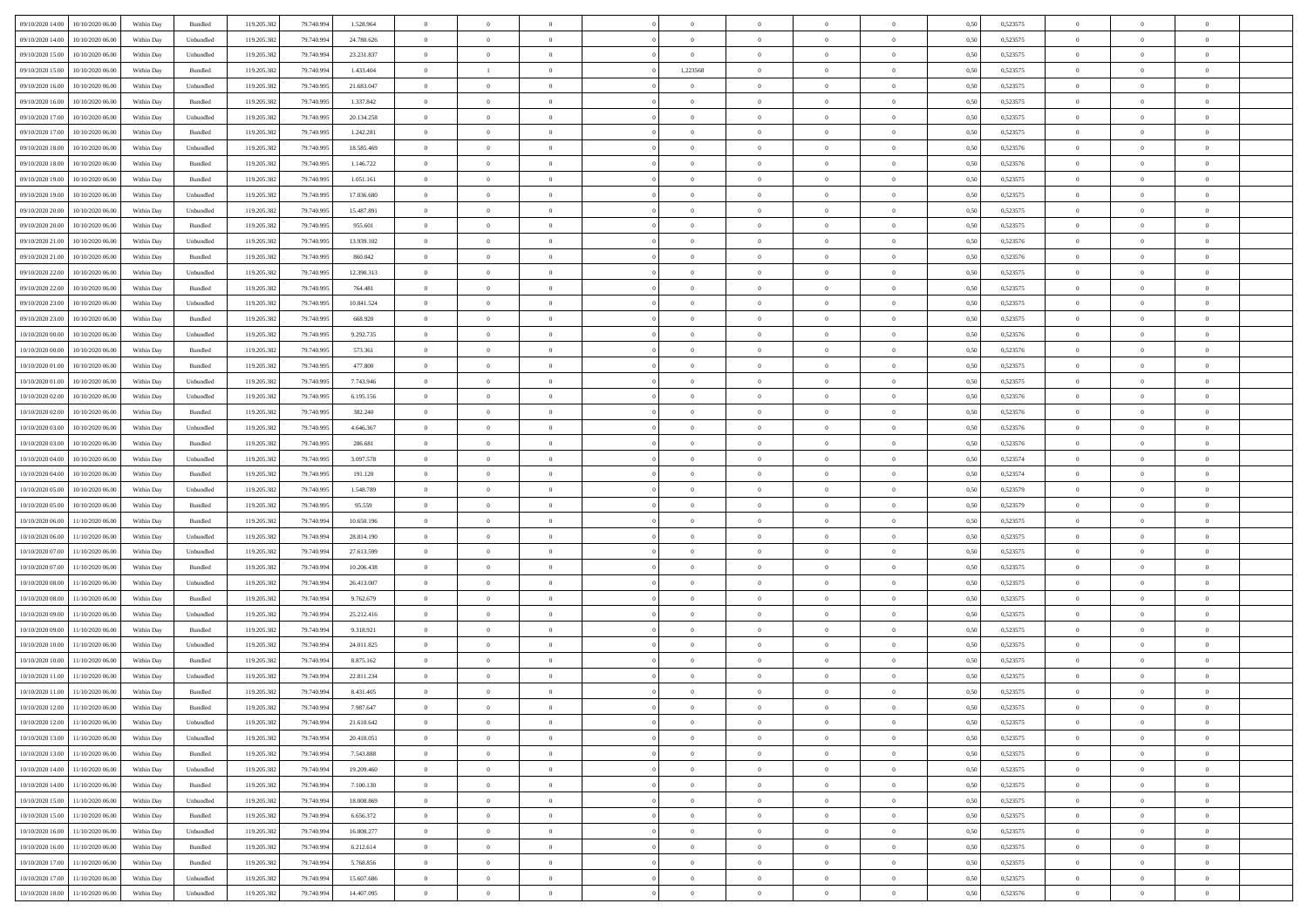| 09/10/2020 14:00    | 10/10/2020 06:00                  | Within Day | Bundled   | 119.205.382 | 79.740.994 | 1.528.964  | $\overline{0}$ | $\theta$       |                | $\overline{0}$ | $\bf{0}$       |                | $\theta$       | 0,50 | 0,523575 | $\theta$       | $\theta$       | $\theta$                 |  |
|---------------------|-----------------------------------|------------|-----------|-------------|------------|------------|----------------|----------------|----------------|----------------|----------------|----------------|----------------|------|----------|----------------|----------------|--------------------------|--|
|                     |                                   |            |           |             |            |            |                | $\theta$       |                |                |                |                |                |      |          |                |                | $\overline{0}$           |  |
| 09/10/2020 14:00    | 10/10/2020 06.00                  | Within Day | Unbundled | 119.205.382 | 79.740.994 | 24.780.626 | $\overline{0}$ |                | $\overline{0}$ | $\overline{0}$ | $\,$ 0         | $\overline{0}$ | $\bf{0}$       | 0,50 | 0,523575 | $\,$ 0 $\,$    | $\overline{0}$ |                          |  |
| 09/10/2020 15:00    | 10/10/2020 06:00                  | Within Day | Unbundled | 119.205.382 | 79.740.994 | 23.231.837 | $\overline{0}$ | $\overline{0}$ | $\overline{0}$ | $\overline{0}$ | $\bf{0}$       | $\overline{0}$ | $\mathbf{0}$   | 0.50 | 0,523575 | $\bf{0}$       | $\overline{0}$ | $\overline{0}$           |  |
| 09/10/2020 15:00    | 10/10/2020 06:00                  | Within Day | Bundled   | 119.205.382 | 79.740.994 | 1.433.404  | $\overline{0}$ | $\mathbf{1}$   | $\overline{0}$ | 1,223568       | $\bf{0}$       | $\overline{0}$ | $\overline{0}$ | 0,50 | 0,523575 | $\,$ 0 $\,$    | $\overline{0}$ | $\overline{0}$           |  |
| 09/10/2020 16.00    | 10/10/2020 06.00                  | Within Day | Unbundled | 119.205.382 | 79.740.995 | 21.683.047 | $\overline{0}$ | $\theta$       | $\overline{0}$ |                | $\overline{0}$ | $\overline{0}$ | $\bf{0}$       | 0,50 | 0,523575 | $\,$ 0 $\,$    | $\overline{0}$ | $\overline{0}$           |  |
| 09/10/2020 16.00    | 10/10/2020 06:00                  | Within Day | Bundled   | 119.205.382 | 79.740.995 | 1.337.842  | $\overline{0}$ | $\overline{0}$ | $\overline{0}$ | $\overline{0}$ | $\bf{0}$       | $\overline{0}$ | $\bf{0}$       | 0.50 | 0,523575 | $\,0\,$        | $\theta$       | $\overline{0}$           |  |
| 09/10/2020 17.00    | 10/10/2020 06:00                  | Within Day | Unbundled | 119.205.382 | 79.740.995 | 20.134.258 | $\overline{0}$ | $\overline{0}$ | $\overline{0}$ | $\overline{0}$ | $\bf{0}$       | $\overline{0}$ | $\overline{0}$ | 0,50 | 0,523575 | $\,0\,$        | $\theta$       | $\overline{0}$           |  |
| 09/10/2020 17.00    | 10/10/2020 06.00                  | Within Day | Bundled   | 119.205.382 | 79.740.995 | 1.242.281  | $\overline{0}$ | $\theta$       | $\overline{0}$ |                | $\,$ 0         | $\overline{0}$ | $\bf{0}$       | 0,50 | 0,523575 | $\,$ 0 $\,$    | $\overline{0}$ | $\overline{0}$           |  |
|                     |                                   |            |           |             |            |            |                |                |                |                |                |                |                |      |          |                |                |                          |  |
| 09/10/2020 18:00    | 10/10/2020 06:00                  | Within Day | Unbundled | 119.205.382 | 79.740.995 | 18.585.469 | $\overline{0}$ | $\overline{0}$ | $\overline{0}$ | $\overline{0}$ | $\bf{0}$       | $\overline{0}$ | $\bf{0}$       | 0.50 | 0.523576 | $\,0\,$        | $\overline{0}$ | $\overline{0}$           |  |
| 09/10/2020 18:00    | 10/10/2020 06.00                  | Within Day | Bundled   | 119.205.382 | 79.740.995 | 1.146.722  | $\overline{0}$ | $\overline{0}$ | $\overline{0}$ | $\overline{0}$ | $\,$ 0         | $\overline{0}$ | $\bf{0}$       | 0,50 | 0,523576 | $\,$ 0 $\,$    | $\overline{0}$ | $\overline{0}$           |  |
| 09/10/2020 19:00    | 10/10/2020 06.00                  | Within Day | Bundled   | 119.205.382 | 79.740.995 | 1.051.161  | $\bf{0}$       | $\theta$       | $\overline{0}$ |                | $\,$ 0         | $\overline{0}$ | $\bf{0}$       | 0,50 | 0,523575 | $\,$ 0 $\,$    | $\overline{0}$ | $\overline{0}$           |  |
| 09/10/2020 19:00    | 10/10/2020 06:00                  | Within Day | Unbundled | 119.205.382 | 79.740.995 | 17.036.680 | $\overline{0}$ | $\overline{0}$ | $\overline{0}$ | $\overline{0}$ | $\bf{0}$       | $\overline{0}$ | $\mathbf{0}$   | 0.50 | 0,523575 | $\bf{0}$       | $\overline{0}$ | $\overline{\phantom{a}}$ |  |
| 09/10/2020 20:00    | 10/10/2020 06:00                  | Within Day | Unbundled | 119.205.382 | 79.740.995 | 15.487.891 | $\overline{0}$ | $\overline{0}$ | $\overline{0}$ | $\overline{0}$ | $\bf{0}$       | $\overline{0}$ | $\overline{0}$ | 0,50 | 0,523575 | $\,$ 0 $\,$    | $\overline{0}$ | $\overline{0}$           |  |
| 09/10/2020 20.00    | 10/10/2020 06.00                  | Within Day | Bundled   | 119.205.382 | 79.740.995 | 955.601    | $\overline{0}$ | $\theta$       | $\overline{0}$ |                | $\overline{0}$ | $\overline{0}$ | $\bf{0}$       | 0,50 | 0,523575 | $\,$ 0 $\,$    | $\overline{0}$ | $\overline{0}$           |  |
|                     | 10/10/2020 06:00                  | Within Day | Unbundled | 119.205.382 | 79.740.995 | 13.939.102 | $\overline{0}$ | $\overline{0}$ | $\overline{0}$ | $\overline{0}$ | $\,$ 0         | $\overline{0}$ | $\overline{0}$ | 0.50 | 0.523576 | $\,0\,$        | $\theta$       | $\overline{0}$           |  |
| 09/10/2020 21:00    |                                   |            |           |             |            |            |                |                |                |                |                |                |                |      |          |                |                |                          |  |
| 09/10/2020 21.00    | 10/10/2020 06:00                  | Within Day | Bundled   | 119.205.382 | 79.740.995 | 860.042    | $\overline{0}$ | $\overline{0}$ | $\overline{0}$ | $\overline{0}$ | $\bf{0}$       | $\overline{0}$ | $\overline{0}$ | 0,50 | 0,523576 | $\,$ 0 $\,$    | $\theta$       | $\overline{0}$           |  |
| 09/10/2020 22.00    | 10/10/2020 06.00                  | Within Day | Unbundled | 119.205.382 | 79.740.995 | 12.390.313 | $\overline{0}$ | $\theta$       | $\overline{0}$ |                | $\bf{0}$       | $\overline{0}$ | $\bf{0}$       | 0,50 | 0,523575 | $\,$ 0 $\,$    | $\overline{0}$ | $\overline{0}$           |  |
| 09/10/2020 22.00    | 10/10/2020 06:00                  | Within Day | Bundled   | 119.205.382 | 79.740.995 | 764.481    | $\overline{0}$ | $\overline{0}$ | $\overline{0}$ | $\overline{0}$ | $\bf{0}$       | $\overline{0}$ | $\bf{0}$       | 0.50 | 0.523575 | $\,0\,$        | $\overline{0}$ | $\overline{\phantom{a}}$ |  |
| 09/10/2020 23.00    | 10/10/2020 06:00                  | Within Day | Unbundled | 119.205.382 | 79.740.995 | 10.841.524 | $\overline{0}$ | $\overline{0}$ | $\overline{0}$ | $\overline{0}$ | $\,$ 0         | $\overline{0}$ | $\overline{0}$ | 0,50 | 0,523575 | $\,$ 0 $\,$    | $\overline{0}$ | $\overline{0}$           |  |
| 09/10/2020 23.00    | 10/10/2020 06.00                  | Within Day | Bundled   | 119.205.382 | 79.740.995 | 668.920    | $\bf{0}$       | $\,$ 0 $\,$    | $\overline{0}$ | $\overline{0}$ | $\,$ 0         | $\overline{0}$ | $\bf{0}$       | 0,50 | 0,523575 | $\,$ 0 $\,$    | $\overline{0}$ | $\overline{0}$           |  |
| $10/10/2020\ 00.00$ | 10/10/2020 06:00                  | Within Day | Unbundled | 119.205.382 | 79.740.995 | 9.292.735  | $\overline{0}$ | $\overline{0}$ | $\overline{0}$ | $\overline{0}$ | $\bf{0}$       | $\overline{0}$ | $\mathbf{0}$   | 0.50 | 0,523576 | $\bf{0}$       | $\overline{0}$ | $\overline{0}$           |  |
| 10/10/2020 00:00    | 10/10/2020 06:00                  | Within Day | Bundled   | 119.205.382 | 79.740.995 | 573.361    | $\overline{0}$ | $\overline{0}$ | $\overline{0}$ | $\overline{0}$ | $\bf{0}$       | $\overline{0}$ | $\overline{0}$ | 0,50 | 0,523576 | $\,$ 0 $\,$    | $\overline{0}$ | $\overline{0}$           |  |
|                     |                                   |            |           |             |            |            |                |                |                |                |                |                |                |      |          |                |                |                          |  |
| 10/10/2020 01:00    | 10/10/2020 06.00                  | Within Day | Bundled   | 119.205.382 | 79.740.995 | 477.800    | $\overline{0}$ | $\theta$       | $\overline{0}$ |                | $\,$ 0         | $\overline{0}$ | $\bf{0}$       | 0,50 | 0,523575 | $\,$ 0 $\,$    | $\overline{0}$ | $\overline{0}$           |  |
| 10/10/2020 01:00    | 10/10/2020 06:00                  | Within Day | Unbundled | 119.205.382 | 79.740.995 | 7.743.946  | $\overline{0}$ | $\overline{0}$ | $\overline{0}$ | $\overline{0}$ | $\bf{0}$       | $\overline{0}$ | $\bf{0}$       | 0.50 | 0.523575 | $\,0\,$        | $\theta$       | $\overline{0}$           |  |
| 10/10/2020 02:00    | 10/10/2020 06:00                  | Within Day | Unbundled | 119.205.382 | 79.740.995 | 6.195.156  | $\overline{0}$ | $\overline{0}$ | $\overline{0}$ | $\overline{0}$ | $\bf{0}$       | $\overline{0}$ | $\overline{0}$ | 0,50 | 0,523576 | $\,0\,$        | $\theta$       | $\overline{0}$           |  |
| 10/10/2020 02:00    | 10/10/2020 06.00                  | Within Day | Bundled   | 119.205.382 | 79.740.995 | 382.240    | $\overline{0}$ | $\theta$       | $\overline{0}$ |                | $\bf{0}$       | $\overline{0}$ | $\bf{0}$       | 0,50 | 0,523576 | $\,$ 0 $\,$    | $\overline{0}$ | $\overline{0}$           |  |
| 10/10/2020 03:00    | 10/10/2020 06:00                  | Within Day | Unbundled | 119.205.382 | 79.740.995 | 4.646.367  | $\overline{0}$ | $\overline{0}$ | $\overline{0}$ | $\overline{0}$ | $\bf{0}$       | $\overline{0}$ | $\bf{0}$       | 0.50 | 0.523576 | $\,0\,$        | $\overline{0}$ | $\overline{0}$           |  |
| 10/10/2020 03:00    | 10/10/2020 06.00                  | Within Day | Bundled   | 119.205.382 | 79.740.995 | 286.681    | $\overline{0}$ | $\overline{0}$ | $\overline{0}$ | $\overline{0}$ | $\,$ 0         | $\overline{0}$ | $\overline{0}$ | 0,50 | 0,523576 | $\,$ 0 $\,$    | $\overline{0}$ | $\overline{0}$           |  |
|                     |                                   |            |           |             |            |            | $\bf{0}$       | $\overline{0}$ | $\overline{0}$ | $\overline{0}$ | $\,$ 0         |                |                |      |          | $\,$ 0 $\,$    | $\overline{0}$ | $\overline{0}$           |  |
| 10/10/2020 04:00    | 10/10/2020 06.00                  | Within Day | Unbundled | 119.205.382 | 79.740.995 | 3.097.578  |                |                |                |                |                | $\bf{0}$       | $\bf{0}$       | 0,50 | 0,523574 |                |                |                          |  |
| 10/10/2020 04:00    | 10/10/2020 06:00                  | Within Day | Bundled   | 119.205.382 | 79.740.995 | 191.120    | $\overline{0}$ | $\bf{0}$       | $\overline{0}$ | $\overline{0}$ | $\bf{0}$       | $\overline{0}$ | $\mathbf{0}$   | 0.50 | 0,523574 | $\bf{0}$       | $\overline{0}$ | $\overline{\phantom{a}}$ |  |
| 10/10/2020 05:00    | 10/10/2020 06:00                  | Within Dav | Unbundled | 119.205.382 | 79.740.995 | 1.548.789  | $\overline{0}$ | $\overline{0}$ | $\theta$       | $\overline{0}$ | $\mathbf{0}$   | $\overline{0}$ | $\overline{0}$ | 0.50 | 0,523579 | $\theta$       | $\overline{0}$ | $\overline{0}$           |  |
| 10/10/2020 05:00    | 10/10/2020 06.00                  | Within Day | Bundled   | 119.205.382 | 79.740.995 | 95.559     | $\overline{0}$ | $\theta$       | $\overline{0}$ |                | $\bf{0}$       | $\overline{0}$ | $\bf{0}$       | 0,50 | 0,523579 | $\,$ 0 $\,$    | $\overline{0}$ | $\overline{0}$           |  |
| 10/10/2020 06:00    | 11/10/2020 06:00                  | Within Day | Bundled   | 119.205.382 | 79.740.994 | 10.650.196 | $\overline{0}$ | $\overline{0}$ | $\overline{0}$ | $\overline{0}$ | $\bf{0}$       | $\overline{0}$ | $\bf{0}$       | 0.50 | 0,523575 | $\,0\,$        | $\theta$       | $\overline{0}$           |  |
| 10/10/2020 06:00    | 11/10/2020 06.00                  | Within Dav | Unbundled | 119.205.382 | 79.740.994 | 28.814.190 | $\overline{0}$ | $\theta$       | $\Omega$       | $\Omega$       | $\mathbf{0}$   | $\overline{0}$ | $\overline{0}$ | 0.50 | 0,523575 | $\theta$       | $\overline{0}$ | $\overline{0}$           |  |
| 10/10/2020 07:00    | 11/10/2020 06.00                  | Within Day | Unbundled | 119.205.382 | 79.740.994 | 27.613.599 | $\overline{0}$ | $\theta$       | $\overline{0}$ |                | $\,$ 0         | $\overline{0}$ | $\bf{0}$       | 0,50 | 0,523575 | $\,$ 0 $\,$    | $\overline{0}$ | $\overline{0}$           |  |
| 10/10/2020 07.00    | 11/10/2020 06:00                  | Within Day | Bundled   | 119.205.382 | 79,740,994 | 10.206.438 | $\overline{0}$ | $\overline{0}$ | $\overline{0}$ | $\overline{0}$ | $\bf{0}$       | $\overline{0}$ | $\bf{0}$       | 0.50 | 0.523575 | $\,0\,$        | $\overline{0}$ | $\overline{0}$           |  |
| 10/10/2020 08:00    | 11/10/2020 06.00                  | Within Dav | Unbundled | 119.205.382 | 79.740.994 | 26.413.007 | $\overline{0}$ | $\overline{0}$ | $\Omega$       | $\Omega$       | $\overline{0}$ | $\overline{0}$ | $\overline{0}$ | 0.50 | 0,523575 | $\theta$       | $\overline{0}$ | $\overline{0}$           |  |
|                     |                                   |            |           |             |            |            |                |                |                |                |                |                |                |      |          |                |                |                          |  |
| 10/10/2020 08:00    | 11/10/2020 06.00                  | Within Day | Bundled   | 119.205.382 | 79.740.994 | 9.762.679  | $\overline{0}$ | $\overline{0}$ | $\overline{0}$ | $\overline{0}$ | $\bf{0}$       | $\bf{0}$       | $\bf{0}$       | 0,50 | 0,523575 | $\,$ 0 $\,$    | $\overline{0}$ | $\overline{0}$           |  |
| 10/10/2020 09:00    | 11/10/2020 06:00                  | Within Day | Unbundled | 119.205.382 | 79.740.994 | 25.212.416 | $\overline{0}$ | $\overline{0}$ | $\overline{0}$ | $\overline{0}$ | $\bf{0}$       | $\overline{0}$ | $\mathbf{0}$   | 0.50 | 0,523575 | $\,$ 0 $\,$    | $\overline{0}$ | $\overline{0}$           |  |
| 10/10/2020 09:00    | 11/10/2020 06.00                  | Within Dav | Bundled   | 119.205.382 | 79.740.994 | 9.318.921  | $\overline{0}$ | $\overline{0}$ | $\Omega$       | $\Omega$       | $\mathbf{0}$   | $\overline{0}$ | $\overline{0}$ | 0.50 | 0,523575 | $\theta$       | $\overline{0}$ | $\overline{0}$           |  |
| 10/10/2020 10:00    | 11/10/2020 06.00                  | Within Day | Unbundled | 119.205.382 | 79.740.994 | 24.011.825 | $\overline{0}$ | $\theta$       | $\overline{0}$ | $\overline{0}$ | $\,$ 0         | $\overline{0}$ | $\bf{0}$       | 0,50 | 0,523575 | $\,$ 0 $\,$    | $\overline{0}$ | $\overline{0}$           |  |
| 10/10/2020 10:00    | 11/10/2020 06:00                  | Within Day | Bundled   | 119.205.382 | 79,740,994 | 8.875.162  | $\overline{0}$ | $\overline{0}$ | $\overline{0}$ | $\overline{0}$ | $\bf{0}$       | $\overline{0}$ | $\overline{0}$ | 0.50 | 0,523575 | $\,0\,$        | $\theta$       | $\overline{0}$           |  |
| 10/10/2020 11:00    | 11/10/2020 06:00                  | Within Dav | Unbundled | 119.205.382 | 79.740.994 | 22.811.234 | $\overline{0}$ | $\Omega$       | $\Omega$       | $\Omega$       | $\bf{0}$       | $\overline{0}$ | $\Omega$       | 0.50 | 0,523575 | $\theta$       | $\overline{0}$ | $\overline{0}$           |  |
| 10/10/2020 11:00    | 11/10/2020 06.00                  | Within Day | Bundled   | 119.205.382 | 79.740.994 | 8.431.405  | $\overline{0}$ | $\,$ 0 $\,$    | $\overline{0}$ | $\bf{0}$       | $\,$ 0         | $\overline{0}$ | $\bf{0}$       | 0,50 | 0,523575 | $\,$ 0 $\,$    | $\overline{0}$ | $\overline{0}$           |  |
|                     | 10/10/2020 12:00 11/10/2020 06:00 | Within Day | Bundled   | 119.205.382 | 79.740.994 | 7.987.647  | $\bf{0}$       | $\bf{0}$       |                |                |                |                |                | 0,50 | 0,523575 | $\bf{0}$       | $\theta$       |                          |  |
|                     |                                   |            |           |             |            |            |                |                |                |                |                |                |                |      |          |                |                |                          |  |
| 10/10/2020 12:00    | 11/10/2020 06.00                  | Within Day | Unbundled | 119.205.382 | 79.740.994 | 21.610.642 | $\Omega$       | $\overline{0}$ | $\Omega$       | $\Omega$       | $\mathbf{0}$   | $\overline{0}$ | $\mathbf{0}$   | 0,50 | 0,523575 | $\theta$       | $\theta$       | $\overline{0}$           |  |
| 10/10/2020 13:00    | 11/10/2020 06.00                  | Within Day | Unbundled | 119.205.382 | 79.740.994 | 20.410.051 | $\overline{0}$ | $\overline{0}$ | $\overline{0}$ | $\bf{0}$       | $\overline{0}$ | $\overline{0}$ | $\mathbf{0}$   | 0,50 | 0,523575 | $\bf{0}$       | $\overline{0}$ | $\bf{0}$                 |  |
| 10/10/2020 13:00    | 11/10/2020 06.00                  | Within Day | Bundled   | 119.205.382 | 79.740.994 | 7.543.888  | $\overline{0}$ | $\overline{0}$ | $\overline{0}$ | $\overline{0}$ | $\bf{0}$       | $\overline{0}$ | $\mathbf{0}$   | 0.50 | 0,523575 | $\overline{0}$ | $\bf{0}$       | $\bf{0}$                 |  |
| 10/10/2020 14:00    | 11/10/2020 06:00                  | Within Day | Unbundled | 119.205.382 | 79.740.994 | 19.209.460 | $\overline{0}$ | $\overline{0}$ | $\overline{0}$ | $\overline{0}$ | $\mathbf{0}$   | $\overline{0}$ | $\mathbf{0}$   | 0.50 | 0,523575 | $\overline{0}$ | $\theta$       | $\overline{0}$           |  |
| 10/10/2020 14:00    | 11/10/2020 06.00                  | Within Day | Bundled   | 119.205.382 | 79.740.994 | 7.100.130  | $\bf{0}$       | $\overline{0}$ | $\overline{0}$ | $\overline{0}$ | $\bf{0}$       | $\bf{0}$       | $\bf{0}$       | 0,50 | 0,523575 | $\bf{0}$       | $\overline{0}$ | $\overline{0}$           |  |
| 10/10/2020 15:00    | 11/10/2020 06:00                  | Within Day | Unbundled | 119.205.382 | 79.740.994 | 18,008,869 | $\overline{0}$ | $\overline{0}$ | $\overline{0}$ | $\overline{0}$ | $\bf{0}$       | $\overline{0}$ | $\mathbf{0}$   | 0.50 | 0.523575 | $\,$ 0 $\,$    | $\theta$       | $\overline{0}$           |  |
| 10/10/2020 15:00    | 11/10/2020 06:00                  | Within Day | Bundled   | 119.205.382 | 79.740.994 | 6.656.372  | $\overline{0}$ | $\overline{0}$ | $\overline{0}$ | $\overline{0}$ | $\overline{0}$ | $\overline{0}$ | $\overline{0}$ | 0,50 | 0,523575 | $\overline{0}$ | $\theta$       | $\overline{0}$           |  |
|                     |                                   |            |           |             |            |            |                |                |                |                |                |                |                |      |          |                |                |                          |  |
| 10/10/2020 16:00    | 11/10/2020 06.00                  | Within Day | Unbundled | 119.205.382 | 79.740.994 | 16.808.277 | $\overline{0}$ | $\,$ 0         | $\overline{0}$ | $\bf{0}$       | $\,$ 0 $\,$    | $\bf{0}$       | $\bf{0}$       | 0,50 | 0,523575 | $\,$ 0 $\,$    | $\overline{0}$ | $\overline{0}$           |  |
| 10/10/2020 16:00    | 11/10/2020 06:00                  | Within Day | Bundled   | 119.205.382 | 79.740.994 | 6.212.614  | $\overline{0}$ | $\overline{0}$ | $\overline{0}$ | $\overline{0}$ | $\bf{0}$       | $\overline{0}$ | $\mathbf{0}$   | 0.50 | 0.523575 | $\mathbf{0}$   | $\,$ 0 $\,$    | $\overline{0}$           |  |
| 10/10/2020 17:00    | 11/10/2020 06:00                  | Within Dav | Bundled   | 119.205.382 | 79.740.994 | 5.768.856  | $\overline{0}$ | $\overline{0}$ | $\overline{0}$ | $\overline{0}$ | $\overline{0}$ | $\overline{0}$ | $\overline{0}$ | 0,50 | 0,523575 | $\overline{0}$ | $\theta$       | $\overline{0}$           |  |
| 10/10/2020 17.00    | 11/10/2020 06.00                  | Within Day | Unbundled | 119.205.382 | 79.740.994 | 15.607.686 | $\overline{0}$ | $\overline{0}$ | $\overline{0}$ | $\overline{0}$ | $\bf{0}$       | $\bf{0}$       | $\bf{0}$       | 0,50 | 0,523575 | $\bf{0}$       | $\overline{0}$ | $\bf{0}$                 |  |
|                     | 10/10/2020 18:00 11/10/2020 06:00 | Within Day | Unbundled | 119.205.382 | 79.740.994 | 14.407.095 | $\overline{0}$ | $\overline{0}$ | $\overline{0}$ | $\overline{0}$ | $\bf{0}$       | $\overline{0}$ | $\,$ 0 $\,$    | 0,50 | 0,523576 | $\overline{0}$ | $\,$ 0 $\,$    | $\,$ 0 $\,$              |  |
|                     |                                   |            |           |             |            |            |                |                |                |                |                |                |                |      |          |                |                |                          |  |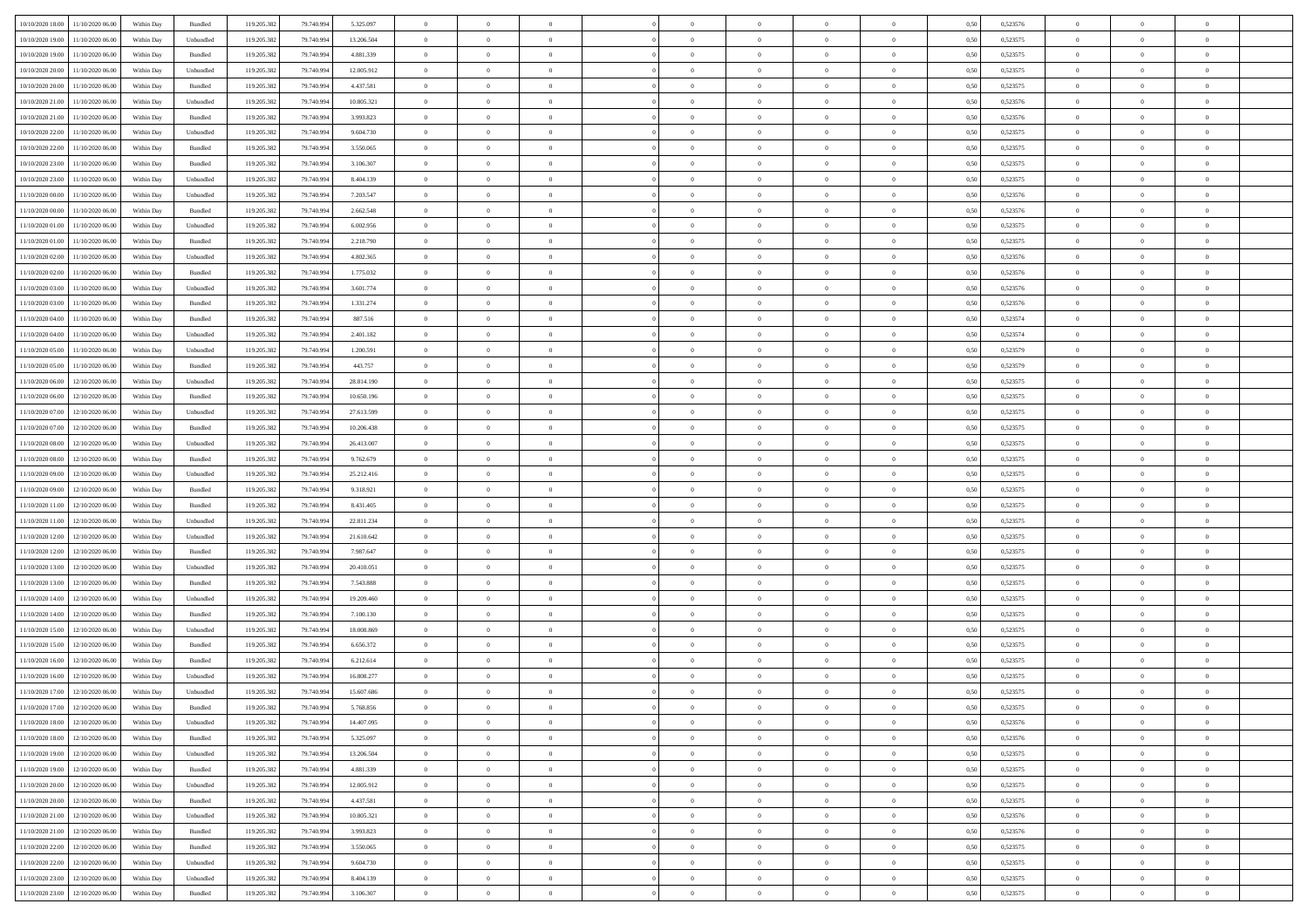| 10/10/2020 18:00                  | 11/10/2020 06:00 | Within Day | Bundled            | 119.205.382 | 79.740.994 | 5.325.097  | $\overline{0}$ | $\theta$       |                | $\overline{0}$ | $\bf{0}$       | $\overline{0}$ | $\theta$       | 0,50 | 0,523576 | $\theta$       | $\theta$       | $\theta$                 |  |
|-----------------------------------|------------------|------------|--------------------|-------------|------------|------------|----------------|----------------|----------------|----------------|----------------|----------------|----------------|------|----------|----------------|----------------|--------------------------|--|
|                                   |                  |            |                    |             |            |            |                |                |                |                |                |                |                |      |          |                |                |                          |  |
| 10/10/2020 19:00                  | 11/10/2020 06.00 | Within Day | Unbundled          | 119.205.382 | 79.740.994 | 13.206.504 | $\overline{0}$ | $\theta$       | $\overline{0}$ | $\overline{0}$ | $\,$ 0         | $\bf{0}$       | $\bf{0}$       | 0,50 | 0,523575 | $\,$ 0 $\,$    | $\overline{0}$ | $\overline{0}$           |  |
| 10/10/2020 19:00                  | 11/10/2020 06:00 | Within Day | Bundled            | 119.205.382 | 79,740,994 | 4.881.339  | $\overline{0}$ | $\overline{0}$ | $\overline{0}$ | $\overline{0}$ | $\bf{0}$       | $\overline{0}$ | $\mathbf{0}$   | 0.50 | 0,523575 | $\bf{0}$       | $\overline{0}$ | $\overline{0}$           |  |
| 10/10/2020 20:00                  | 11/10/2020 06.00 | Within Day | Unbundled          | 119.205.382 | 79.740.994 | 12.005.912 | $\overline{0}$ | $\overline{0}$ | $\overline{0}$ | $\overline{0}$ | $\bf{0}$       | $\overline{0}$ | $\overline{0}$ | 0,50 | 0,523575 | $\,$ 0 $\,$    | $\overline{0}$ | $\overline{0}$           |  |
| 10/10/2020 20:00                  | 11/10/2020 06.00 | Within Day | Bundled            | 119.205.382 | 79.740.994 | 4.437.581  | $\overline{0}$ | $\theta$       | $\overline{0}$ |                | $\overline{0}$ | $\overline{0}$ | $\bf{0}$       | 0,50 | 0,523575 | $\,$ 0 $\,$    | $\overline{0}$ | $\overline{0}$           |  |
| 10/10/2020 21:00                  | 11/10/2020 06:00 | Within Day | Unbundled          | 119.205.382 | 79,740,994 | 10.805.321 | $\overline{0}$ | $\overline{0}$ | $\overline{0}$ | $\overline{0}$ | $\bf{0}$       | $\overline{0}$ | $\overline{0}$ | 0.50 | 0.523576 | $\,0\,$        | $\theta$       | $\overline{0}$           |  |
| 10/10/2020 21:00                  | 11/10/2020 06.00 | Within Day | Bundled            | 119.205.382 | 79.740.994 | 3.993.823  | $\overline{0}$ | $\overline{0}$ | $\overline{0}$ | $\overline{0}$ | $\,$ 0         | $\overline{0}$ | $\overline{0}$ | 0,50 | 0,523576 | $\,0\,$        | $\theta$       | $\overline{0}$           |  |
|                                   |                  |            |                    |             |            |            |                |                |                |                |                |                |                |      |          |                |                |                          |  |
| 10/10/2020 22.00                  | 11/10/2020 06.00 | Within Day | Unbundled          | 119.205.382 | 79.740.994 | 9.604.730  | $\overline{0}$ | $\theta$       | $\overline{0}$ |                | $\,$ 0         | $\overline{0}$ | $\bf{0}$       | 0,50 | 0,523575 | $\,$ 0 $\,$    | $\overline{0}$ | $\overline{0}$           |  |
| 10/10/2020 22.00                  | 11/10/2020 06:00 | Within Day | Bundled            | 119.205.382 | 79,740,994 | 3.550.065  | $\overline{0}$ | $\overline{0}$ | $\overline{0}$ | $\overline{0}$ | $\bf{0}$       | $\overline{0}$ | $\bf{0}$       | 0.50 | 0.523575 | $\,0\,$        | $\overline{0}$ | $\overline{0}$           |  |
| 10/10/2020 23:00                  | 11/10/2020 06.00 | Within Day | Bundled            | 119.205.382 | 79.740.994 | 3.106.307  | $\overline{0}$ | $\overline{0}$ | $\overline{0}$ | $\overline{0}$ | $\,$ 0         | $\overline{0}$ | $\bf{0}$       | 0,50 | 0,523575 | $\,$ 0 $\,$    | $\overline{0}$ | $\overline{0}$           |  |
| 10/10/2020 23.00                  | 11/10/2020 06.00 | Within Day | Unbundled          | 119.205.382 | 79.740.994 | 8.404.139  | $\bf{0}$       | $\theta$       | $\overline{0}$ |                | $\,$ 0         | $\overline{0}$ | $\bf{0}$       | 0,50 | 0,523575 | $\,$ 0 $\,$    | $\overline{0}$ | $\overline{0}$           |  |
| 11/10/2020 00:00                  | 11/10/2020 06:00 | Within Day | Unbundled          | 119.205.382 | 79,740,994 | 7.203.547  | $\overline{0}$ | $\overline{0}$ | $\overline{0}$ | $\overline{0}$ | $\bf{0}$       | $\overline{0}$ | $\mathbf{0}$   | 0.50 | 0,523576 | $\bf{0}$       | $\overline{0}$ | $\overline{\phantom{a}}$ |  |
| 11/10/2020 00:00                  | 11/10/2020 06.00 | Within Day | Bundled            | 119.205.382 | 79.740.994 | 2.662.548  | $\overline{0}$ | $\overline{0}$ | $\overline{0}$ | $\overline{0}$ | $\bf{0}$       | $\overline{0}$ | $\overline{0}$ | 0,50 | 0,523576 | $\,$ 0 $\,$    | $\overline{0}$ | $\overline{0}$           |  |
|                                   |                  |            |                    |             |            |            | $\overline{0}$ | $\theta$       |                |                |                |                |                |      |          |                |                |                          |  |
| 11/10/2020 01:00                  | 11/10/2020 06.00 | Within Day | Unbundled          | 119.205.382 | 79.740.994 | 6.002.956  |                |                | $\overline{0}$ |                | $\overline{0}$ | $\overline{0}$ | $\bf{0}$       | 0,50 | 0,523575 | $\,$ 0 $\,$    | $\overline{0}$ | $\overline{0}$           |  |
| 11/10/2020 01:00                  | 11/10/2020 06:00 | Within Day | Bundled            | 119.205.382 | 79,740,994 | 2.218.790  | $\overline{0}$ | $\overline{0}$ | $\overline{0}$ | $\overline{0}$ | $\,$ 0         | $\overline{0}$ | $\overline{0}$ | 0.50 | 0.523575 | $\,0\,$        | $\theta$       | $\overline{0}$           |  |
| 11/10/2020 02.00                  | 11/10/2020 06.00 | Within Day | Unbundled          | 119.205.382 | 79.740.994 | 4.802.365  | $\overline{0}$ | $\overline{0}$ | $\overline{0}$ | $\overline{0}$ | $\bf{0}$       | $\overline{0}$ | $\overline{0}$ | 0,50 | 0,523576 | $\theta$       | $\theta$       | $\overline{0}$           |  |
| 11/10/2020 02.00                  | 11/10/2020 06.00 | Within Day | Bundled            | 119.205.382 | 79.740.994 | 1.775.032  | $\overline{0}$ | $\theta$       | $\overline{0}$ |                | $\bf{0}$       | $\overline{0}$ | $\bf{0}$       | 0,50 | 0,523576 | $\,$ 0 $\,$    | $\overline{0}$ | $\overline{0}$           |  |
| 11/10/2020 03:00                  | 11/10/2020 06:00 | Within Day | Unbundled          | 119.205.382 | 79,740,994 | 3.601.774  | $\overline{0}$ | $\overline{0}$ | $\overline{0}$ | $\overline{0}$ | $\bf{0}$       | $\overline{0}$ | $\bf{0}$       | 0.50 | 0.523576 | $\,0\,$        | $\overline{0}$ | $\overline{0}$           |  |
| 11/10/2020 03:00                  | 11/10/2020 06.00 | Within Day | Bundled            | 119.205.382 | 79.740.994 | 1.331.274  | $\overline{0}$ | $\overline{0}$ | $\overline{0}$ | $\overline{0}$ | $\,$ 0         | $\overline{0}$ | $\overline{0}$ | 0,50 | 0,523576 | $\,$ 0 $\,$    | $\overline{0}$ | $\overline{0}$           |  |
| 11/10/2020 04:00                  | 11/10/2020 06.00 | Within Day | Bundled            | 119.205.382 | 79.740.994 | 887.516    | $\bf{0}$       | $\,$ 0 $\,$    | $\overline{0}$ | $\overline{0}$ | $\,$ 0         | $\overline{0}$ | $\bf{0}$       | 0,50 | 0,523574 | $\,$ 0 $\,$    | $\overline{0}$ | $\overline{0}$           |  |
|                                   |                  |            |                    |             |            |            |                |                |                |                |                |                |                |      |          |                |                |                          |  |
| 11/10/2020 04:00                  | 11/10/2020 06:00 | Within Day | Unbundled          | 119.205.382 | 79.740.994 | 2.401.182  | $\overline{0}$ | $\overline{0}$ | $\overline{0}$ | $\overline{0}$ | $\bf{0}$       | $\overline{0}$ | $\mathbf{0}$   | 0.50 | 0,523574 | $\bf{0}$       | $\overline{0}$ | $\overline{0}$           |  |
| 11/10/2020 05:00                  | 11/10/2020 06.00 | Within Day | Unbundled          | 119.205.382 | 79.740.994 | 1.200.591  | $\overline{0}$ | $\overline{0}$ | $\overline{0}$ | $\overline{0}$ | $\bf{0}$       | $\overline{0}$ | $\overline{0}$ | 0,50 | 0,523579 | $\theta$       | $\overline{0}$ | $\overline{0}$           |  |
| 11/10/2020 05:00                  | 11/10/2020 06.00 | Within Day | Bundled            | 119.205.382 | 79.740.994 | 443.757    | $\overline{0}$ | $\theta$       | $\overline{0}$ |                | $\,$ 0         | $\overline{0}$ | $\bf{0}$       | 0,50 | 0,523579 | $\,$ 0 $\,$    | $\overline{0}$ | $\overline{0}$           |  |
| 11/10/2020 06:00                  | 12/10/2020 06:00 | Within Day | Unbundled          | 119.205.382 | 79,740,994 | 28.814.190 | $\overline{0}$ | $\overline{0}$ | $\overline{0}$ | $\overline{0}$ | $\bf{0}$       | $\overline{0}$ | $\bf{0}$       | 0.50 | 0.523575 | $\,0\,$        | $\theta$       | $\overline{0}$           |  |
| 11/10/2020 06.00                  | 12/10/2020 06:00 | Within Day | Bundled            | 119.205.382 | 79.740.994 | 10.650.196 | $\overline{0}$ | $\overline{0}$ | $\overline{0}$ | $\overline{0}$ | $\bf{0}$       | $\overline{0}$ | $\overline{0}$ | 0,50 | 0,523575 | $\,0\,$        | $\theta$       | $\overline{0}$           |  |
| 11/10/2020 07.00                  | 12/10/2020 06.00 | Within Day | Unbundled          | 119.205.382 | 79.740.994 | 27.613.599 | $\overline{0}$ | $\theta$       | $\overline{0}$ |                | $\bf{0}$       | $\overline{0}$ | $\bf{0}$       | 0,50 | 0,523575 | $\,$ 0 $\,$    | $\overline{0}$ | $\overline{0}$           |  |
| 11/10/2020 07.00                  | 12/10/2020 06:00 | Within Day | Bundled            | 119.205.382 | 79,740,994 | 10.206.438 | $\overline{0}$ | $\overline{0}$ | $\overline{0}$ | $\overline{0}$ | $\bf{0}$       | $\overline{0}$ | $\bf{0}$       | 0.50 | 0.523575 | $\,0\,$        | $\overline{0}$ | $\overline{0}$           |  |
|                                   |                  |            |                    |             |            |            |                |                |                |                |                |                |                |      |          |                |                |                          |  |
| 11/10/2020 08:00                  | 12/10/2020 06.00 | Within Day | Unbundled          | 119.205.382 | 79.740.994 | 26.413.007 | $\overline{0}$ | $\overline{0}$ | $\overline{0}$ | $\overline{0}$ | $\,$ 0         | $\overline{0}$ | $\overline{0}$ | 0,50 | 0,523575 | $\,$ 0 $\,$    | $\theta$       | $\overline{0}$           |  |
| 11/10/2020 08:00                  | 12/10/2020 06.00 | Within Day | Bundled            | 119.205.382 | 79.740.994 | 9.762.679  | $\overline{0}$ | $\overline{0}$ | $\overline{0}$ | $\overline{0}$ | $\,$ 0         | $\bf{0}$       | $\bf{0}$       | 0,50 | 0,523575 | $\,$ 0 $\,$    | $\overline{0}$ | $\overline{0}$           |  |
| 11/10/2020 09:00                  | 12/10/2020 06:00 | Within Day | Unbundled          | 119.205.382 | 79.740.994 | 25.212.416 | $\overline{0}$ | $\overline{0}$ | $\overline{0}$ | $\overline{0}$ | $\bf{0}$       | $\overline{0}$ | $\mathbf{0}$   | 0.50 | 0,523575 | $\bf{0}$       | $\overline{0}$ | $\overline{\phantom{a}}$ |  |
| 11/10/2020 09:00                  | 12/10/2020 06:00 | Within Dav | Bundled            | 119.205.382 | 79.740.994 | 9.318.921  | $\overline{0}$ | $\overline{0}$ | $\theta$       | $\Omega$       | $\mathbf{0}$   | $\overline{0}$ | $\overline{0}$ | 0.50 | 0,523575 | $\theta$       | $\overline{0}$ | $\overline{0}$           |  |
| 11/10/2020 11:00                  | 12/10/2020 06.00 | Within Day | Bundled            | 119.205.382 | 79.740.994 | 8.431.405  | $\overline{0}$ | $\theta$       | $\overline{0}$ |                | $\bf{0}$       | $\overline{0}$ | $\bf{0}$       | 0,50 | 0,523575 | $\,$ 0 $\,$    | $\overline{0}$ | $\overline{0}$           |  |
| 11/10/2020 11:00                  | 12/10/2020 06:00 | Within Day | Unbundled          | 119.205.382 | 79,740,994 | 22.811.234 | $\overline{0}$ | $\overline{0}$ | $\overline{0}$ | $\overline{0}$ | $\,$ 0         | $\overline{0}$ | $\bf{0}$       | 0.50 | 0.523575 | $\,0\,$        | $\theta$       | $\overline{0}$           |  |
| 11/10/2020 12:00                  | 12/10/2020 06.00 | Within Dav | Unbundled          | 119.205.382 | 79.740.994 | 21.610.642 | $\overline{0}$ | $\theta$       | $\Omega$       | $\Omega$       | $\mathbf{0}$   | $\overline{0}$ | $\overline{0}$ | 0.50 | 0,523575 | $\theta$       | $\overline{0}$ | $\overline{0}$           |  |
|                                   | 12/10/2020 06.00 | Within Day | Bundled            | 119.205.382 | 79.740.994 | 7.987.647  | $\overline{0}$ | $\theta$       | $\overline{0}$ |                | $\,$ 0         | $\overline{0}$ | $\bf{0}$       | 0,50 | 0,523575 | $\,$ 0 $\,$    | $\overline{0}$ | $\overline{0}$           |  |
| 11/10/2020 12:00                  |                  |            |                    |             |            |            |                |                |                |                |                |                |                |      |          |                |                |                          |  |
| 11/10/2020 13:00                  | 12/10/2020 06:00 | Within Day | Unbundled          | 119.205.382 | 79,740,994 | 20.410.051 | $\overline{0}$ | $\overline{0}$ | $\overline{0}$ | $\overline{0}$ | $\bf{0}$       | $\overline{0}$ | $\bf{0}$       | 0.50 | 0.523575 | $\,0\,$        | $\overline{0}$ | $\overline{0}$           |  |
| 11/10/2020 13:00                  | 12/10/2020 06.00 | Within Dav | Bundled            | 119.205.382 | 79.740.994 | 7.543.888  | $\overline{0}$ | $\overline{0}$ | $\Omega$       | $\Omega$       | $\overline{0}$ | $\overline{0}$ | $\overline{0}$ | 0.50 | 0,523575 | $\theta$       | $\overline{0}$ | $\overline{0}$           |  |
| 11/10/2020 14:00                  | 12/10/2020 06.00 | Within Day | Unbundled          | 119.205.382 | 79.740.994 | 19.209.460 | $\bf{0}$       | $\overline{0}$ | $\overline{0}$ | $\overline{0}$ | $\bf{0}$       | $\bf{0}$       | $\bf{0}$       | 0,50 | 0,523575 | $\,$ 0 $\,$    | $\overline{0}$ | $\overline{0}$           |  |
| 11/10/2020 14:00                  | 12/10/2020 06:00 | Within Day | Bundled            | 119.205.382 | 79.740.994 | 7.100.130  | $\overline{0}$ | $\overline{0}$ | $\overline{0}$ | $\overline{0}$ | $\bf{0}$       | $\overline{0}$ | $\mathbf{0}$   | 0.50 | 0,523575 | $\,$ 0 $\,$    | $\overline{0}$ | $\overline{0}$           |  |
| 11/10/2020 15:00                  | 12/10/2020 06:00 | Within Dav | Unbundled          | 119.205.382 | 79.740.994 | 18.008.869 | $\overline{0}$ | $\overline{0}$ | $\Omega$       | $\Omega$       | $\mathbf{0}$   | $\overline{0}$ | $\overline{0}$ | 0.50 | 0,523575 | $\theta$       | $\overline{0}$ | $\overline{0}$           |  |
| 11/10/2020 15:00                  | 12/10/2020 06.00 | Within Day | Bundled            | 119.205.382 | 79.740.994 | 6.656.372  | $\overline{0}$ | $\theta$       | $\overline{0}$ | $\overline{0}$ | $\,$ 0         | $\overline{0}$ | $\bf{0}$       | 0,50 | 0,523575 | $\,$ 0 $\,$    | $\overline{0}$ | $\overline{0}$           |  |
| 11/10/2020 16:00                  | 12/10/2020 06:00 | Within Day | Bundled            | 119.205.382 | 79,740,994 | 6.212.614  | $\overline{0}$ | $\overline{0}$ | $\overline{0}$ | $\overline{0}$ | $\bf{0}$       | $\overline{0}$ | $\overline{0}$ | 0.50 | 0,523575 | $\,0\,$        | $\theta$       | $\overline{0}$           |  |
| 11/10/2020 16:00                  | 12/10/2020 06:00 | Within Dav | Unbundled          | 119.205.382 | 79.740.994 | 16.808.277 | $\overline{0}$ | $\Omega$       | $\Omega$       | $\Omega$       | $\bf{0}$       | $\overline{0}$ | $\Omega$       | 0.50 | 0,523575 | $\theta$       | $\overline{0}$ | $\overline{0}$           |  |
|                                   |                  |            |                    |             |            |            |                |                |                |                |                |                |                |      |          |                |                |                          |  |
| 11/10/2020 17:00                  | 12/10/2020 06:00 | Within Day | Unbundled          | 119.205.382 | 79.740.994 | 15.607.686 | $\bf{0}$       | $\,$ 0 $\,$    | $\overline{0}$ | $\overline{0}$ | $\,$ 0         | $\overline{0}$ | $\bf{0}$       | 0,50 | 0,523575 | $\,$ 0 $\,$    | $\overline{0}$ | $\overline{0}$           |  |
| 11/10/2020 17:00                  | 12/10/2020 06:00 | Within Day | $\mathbf B$ undled | 119.205.382 | 79.740.994 | 5 768 856  | $\bf{0}$       | $\bf{0}$       |                |                |                |                |                | 0,50 | 0,523575 | $\bf{0}$       | $\theta$       |                          |  |
| 11/10/2020 18:00 12/10/2020 06:00 |                  | Within Day | Unbundled          | 119.205.382 | 79.740.994 | 14.407.095 | $\Omega$       | $\overline{0}$ | $\Omega$       | $\Omega$       | $\mathbf{0}$   | $\overline{0}$ | $\mathbf{0}$   | 0.50 | 0,523576 | $\theta$       | $\theta$       | $\overline{0}$           |  |
| 11/10/2020 18:00                  | 12/10/2020 06.00 | Within Day | Bundled            | 119.205.382 | 79.740.994 | 5.325.097  | $\bf{0}$       | $\overline{0}$ | $\overline{0}$ | $\bf{0}$       | $\overline{0}$ | $\overline{0}$ | $\mathbf{0}$   | 0,50 | 0,523576 | $\bf{0}$       | $\overline{0}$ | $\bf{0}$                 |  |
| 11/10/2020 19:00                  | 12/10/2020 06.00 | Within Day | Unbundled          | 119.205.382 | 79.740.994 | 13.206.504 | $\overline{0}$ | $\overline{0}$ | $\overline{0}$ | $\overline{0}$ | $\bf{0}$       | $\overline{0}$ | $\mathbf{0}$   | 0.50 | 0,523575 | $\overline{0}$ | $\bf{0}$       | $\bf{0}$                 |  |
| 11/10/2020 19:00                  | 12/10/2020 06:00 | Within Dav | Bundled            | 119.205.382 | 79.740.994 | 4.881.339  | $\overline{0}$ | $\overline{0}$ | $\overline{0}$ | $\overline{0}$ | $\mathbf{0}$   | $\overline{0}$ | $\mathbf{0}$   | 0.50 | 0,523575 | $\overline{0}$ | $\theta$       | $\overline{0}$           |  |
|                                   |                  |            |                    |             |            |            |                |                |                |                |                |                |                |      |          |                |                |                          |  |
| 11/10/2020 20.00                  | 12/10/2020 06:00 | Within Day | Unbundled          | 119.205.382 | 79.740.994 | 12.005.912 | $\bf{0}$       | $\overline{0}$ | $\overline{0}$ | $\overline{0}$ | $\bf{0}$       | $\bf{0}$       | $\bf{0}$       | 0,50 | 0,523575 | $\bf{0}$       | $\overline{0}$ | $\overline{0}$           |  |
| 11/10/2020 20.00                  | 12/10/2020 06:00 | Within Day | Bundled            | 119.205.382 | 79.740.994 | 4.437.581  | $\overline{0}$ | $\overline{0}$ | $\overline{0}$ | $\overline{0}$ | $\bf{0}$       | $\overline{0}$ | $\mathbf{0}$   | 0.50 | 0.523575 | $\,$ 0 $\,$    | $\theta$       | $\overline{0}$           |  |
| 11/10/2020 21:00                  | 12/10/2020 06:00 | Within Day | Unbundled          | 119.205.382 | 79.740.994 | 10.805.321 | $\overline{0}$ | $\overline{0}$ | $\overline{0}$ | $\overline{0}$ | $\overline{0}$ | $\overline{0}$ | $\overline{0}$ | 0,50 | 0,523576 | $\overline{0}$ | $\theta$       | $\overline{0}$           |  |
| 11/10/2020 21:00                  | 12/10/2020 06.00 | Within Day | Bundled            | 119.205.382 | 79.740.994 | 3.993.823  | $\overline{0}$ | $\,$ 0         | $\overline{0}$ | $\bf{0}$       | $\,$ 0 $\,$    | $\bf{0}$       | $\bf{0}$       | 0,50 | 0,523576 | $\,$ 0 $\,$    | $\overline{0}$ | $\overline{0}$           |  |
| 11/10/2020 22.00                  | 12/10/2020 06:00 | Within Day | Bundled            | 119.205.382 | 79.740.994 | 3.550.065  | $\overline{0}$ | $\overline{0}$ | $\overline{0}$ | $\overline{0}$ | $\bf{0}$       | $\overline{0}$ | $\mathbf{0}$   | 0.50 | 0.523575 | $\mathbf{0}$   | $\,$ 0 $\,$    | $\overline{0}$           |  |
| 11/10/2020 22.00                  | 12/10/2020 06:00 | Within Day | Unbundled          | 119.205.382 | 79.740.994 | 9.604.730  | $\overline{0}$ | $\overline{0}$ | $\overline{0}$ | $\overline{0}$ | $\overline{0}$ | $\overline{0}$ | $\overline{0}$ | 0,50 | 0,523575 | $\overline{0}$ | $\theta$       | $\overline{0}$           |  |
| 11/10/2020 23.00                  | 12/10/2020 06.00 | Within Day | Unbundled          | 119.205.382 | 79.740.994 | 8.404.139  | $\overline{0}$ | $\overline{0}$ | $\overline{0}$ | $\overline{0}$ | $\bf{0}$       | $\bf{0}$       | $\bf{0}$       | 0,50 | 0,523575 | $\bf{0}$       | $\overline{0}$ | $\bf{0}$                 |  |
|                                   |                  |            |                    |             |            |            |                |                |                |                |                |                |                |      |          |                |                |                          |  |
| 11/10/2020 23.00 12/10/2020 06.00 |                  | Within Day | Bundled            | 119.205.382 | 79.740.994 | 3.106.307  | $\overline{0}$ | $\overline{0}$ | $\overline{0}$ | $\overline{0}$ | $\bf{0}$       | $\overline{0}$ | $\,$ 0 $\,$    | 0,50 | 0,523575 | $\overline{0}$ | $\,$ 0 $\,$    | $\,$ 0 $\,$              |  |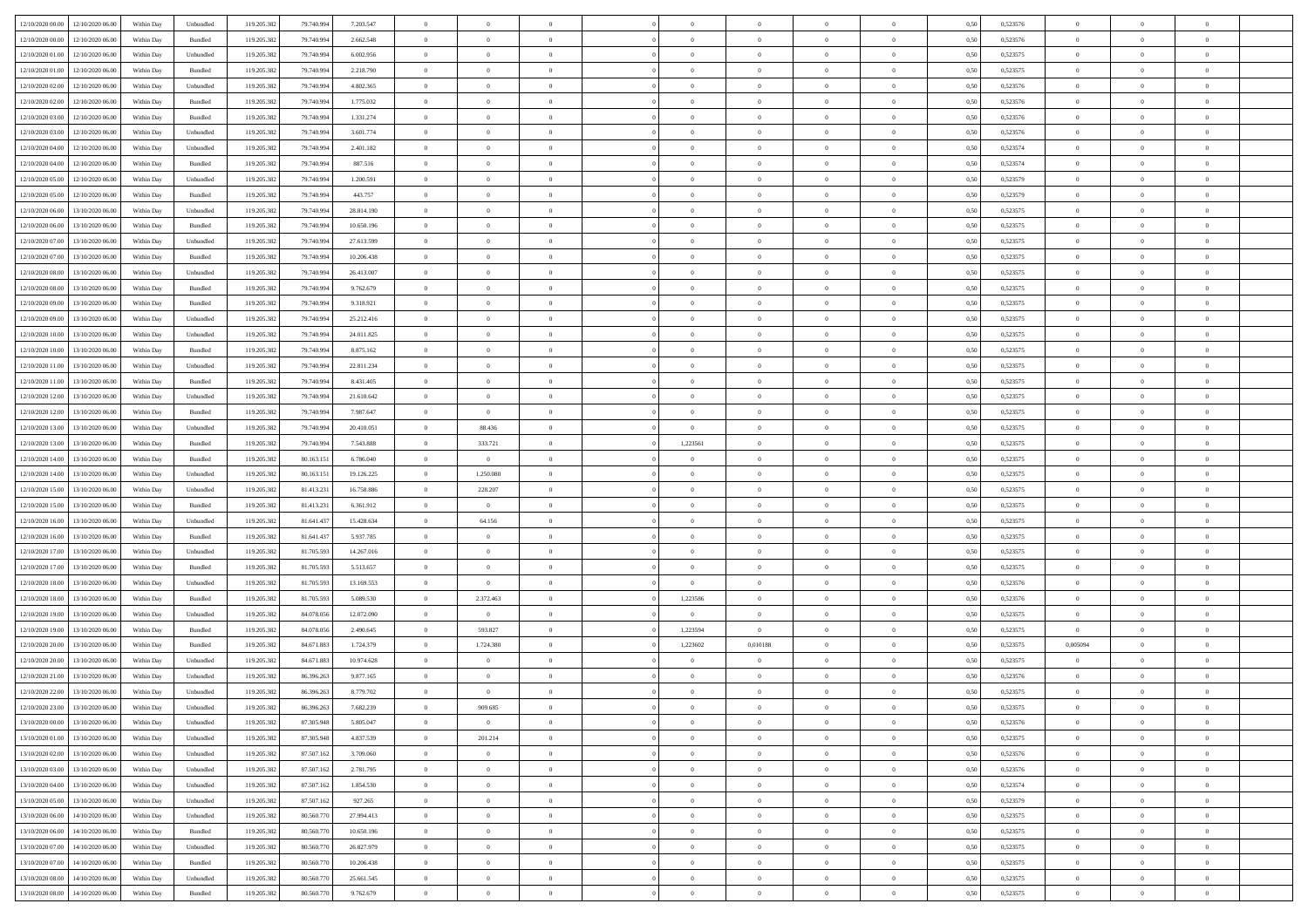| 12/10/2020 00:00 12/10/2020 06:00    | Within Day | Unbundled | 119.205.382 | 79.740.994 | 7.203.547  | $\overline{0}$ | $\overline{0}$ |                | $\overline{0}$ | $\theta$       |                | $\theta$       | 0,50 | 0,523576 | $\theta$       | $\theta$       | $\overline{0}$ |  |
|--------------------------------------|------------|-----------|-------------|------------|------------|----------------|----------------|----------------|----------------|----------------|----------------|----------------|------|----------|----------------|----------------|----------------|--|
| 12/10/2020 00:00<br>12/10/2020 06.00 | Within Day | Bundled   | 119.205.38  | 79.740.99  | 2.662.548  | $\bf{0}$       | $\bf{0}$       | $\bf{0}$       | $\overline{0}$ | $\overline{0}$ | $\overline{0}$ | $\bf{0}$       | 0,50 | 0,523576 | $\,$ 0 $\,$    | $\bf{0}$       | $\overline{0}$ |  |
| 12/10/2020 01:00<br>12/10/2020 06:00 | Within Day | Unbundled | 119.205.382 | 79,740,994 | 6.002.956  | $\overline{0}$ | $\bf{0}$       | $\overline{0}$ | $\bf{0}$       | $\bf{0}$       | $\overline{0}$ | $\bf{0}$       | 0.50 | 0,523575 | $\bf{0}$       | $\overline{0}$ | $\overline{0}$ |  |
| 12/10/2020 01:00<br>12/10/2020 06:00 | Within Day | Bundled   | 119.205.382 | 79.740.994 | 2.218.790  | $\overline{0}$ | $\bf{0}$       | $\overline{0}$ | $\theta$       | $\theta$       | $\overline{0}$ | $\bf{0}$       | 0,50 | 0,523575 | $\theta$       | $\theta$       | $\overline{0}$ |  |
| 12/10/2020 02:00<br>12/10/2020 06.00 | Within Day | Unbundled | 119.205.38  | 79.740.99  | 4.802.365  | $\bf{0}$       | $\overline{0}$ | $\bf{0}$       | $\overline{0}$ | $\theta$       | $\overline{0}$ | $\bf{0}$       | 0,50 | 0,523576 | $\,$ 0 $\,$    | $\bf{0}$       | $\overline{0}$ |  |
| 12/10/2020 02:00<br>12/10/2020 06.00 | Within Day | Bundled   | 119,205.38  | 79.740.99  | 1.775.032  | $\overline{0}$ | $\overline{0}$ | $\overline{0}$ | $\bf{0}$       | $\overline{0}$ | $\theta$       | $\bf{0}$       | 0.50 | 0.523576 | $\,$ 0 $\,$    | $\theta$       | $\overline{0}$ |  |
| 12/10/2020 03:00<br>12/10/2020 06.00 | Within Day | Bundled   | 119.205.38  | 79.740.994 | 1.331.274  | $\overline{0}$ | $\overline{0}$ | $\overline{0}$ | $\overline{0}$ | $\overline{0}$ | $\overline{0}$ | $\bf{0}$       | 0,50 | 0,523576 | $\,$ 0 $\,$    | $\theta$       | $\overline{0}$ |  |
|                                      |            |           |             |            |            |                |                |                |                |                |                |                |      |          |                |                |                |  |
| 12/10/2020 03:00<br>12/10/2020 06.00 | Within Day | Unbundled | 119.205.38  | 79.740.99  | 3.601.774  | $\bf{0}$       | $\bf{0}$       | $\bf{0}$       | $\overline{0}$ | $\overline{0}$ | $\overline{0}$ | $\bf{0}$       | 0,50 | 0,523576 | $\,$ 0 $\,$    | $\bf{0}$       | $\overline{0}$ |  |
| 12/10/2020 04:00<br>12/10/2020 06:00 | Within Day | Unbundled | 119,205.38  | 79.740.99  | 2.401.182  | $\overline{0}$ | $\bf{0}$       | $\overline{0}$ | $\bf{0}$       | $\overline{0}$ | $\overline{0}$ | $\bf{0}$       | 0.50 | 0.523574 | $\bf{0}$       | $\overline{0}$ | $\overline{0}$ |  |
| 12/10/2020 04:00<br>12/10/2020 06:00 | Within Day | Bundled   | 119.205.382 | 79.740.994 | 887.516    | $\bf{0}$       | $\bf{0}$       | $\overline{0}$ | $\overline{0}$ | $\overline{0}$ | $\overline{0}$ | $\bf{0}$       | 0,50 | 0,523574 | $\,$ 0 $\,$    | $\bf{0}$       | $\overline{0}$ |  |
| 12/10/2020 05:00<br>12/10/2020 06.00 | Within Day | Unbundled | 119.205.38  | 79.740.99  | 1.200.591  | $\bf{0}$       | $\overline{0}$ | $\bf{0}$       | $\bf{0}$       | $\bf{0}$       | $\overline{0}$ | $\bf{0}$       | 0,50 | 0,523579 | $\,$ 0 $\,$    | $\bf{0}$       | $\overline{0}$ |  |
| 12/10/2020 05:00<br>12/10/2020 06.00 | Within Day | Bundled   | 119.205.382 | 79,740,994 | 443,757    | $\overline{0}$ | $\bf{0}$       | $\overline{0}$ | $\overline{0}$ | $\bf{0}$       | $\overline{0}$ | $\bf{0}$       | 0.50 | 0,523579 | $\bf{0}$       | $\overline{0}$ | $\bf{0}$       |  |
| 12/10/2020 06:00<br>13/10/2020 06:00 | Within Day | Unbundled | 119.205.38  | 79.740.994 | 28.814.190 | $\overline{0}$ | $\overline{0}$ | $\overline{0}$ | $\theta$       | $\theta$       | $\overline{0}$ | $\bf{0}$       | 0,50 | 0,523575 | $\,$ 0 $\,$    | $\theta$       | $\overline{0}$ |  |
| 12/10/2020 06:00<br>13/10/2020 06.00 | Within Day | Bundled   | 119.205.38  | 79.740.99  | 10.650.196 | $\bf{0}$       | $\overline{0}$ | $\bf{0}$       | $\overline{0}$ | $\theta$       | $\overline{0}$ | $\bf{0}$       | 0,50 | 0,523575 | $\,$ 0 $\,$    | $\bf{0}$       | $\overline{0}$ |  |
| 12/10/2020 07.00<br>13/10/2020 06:00 | Within Day | Unbundled | 119.205.382 | 79.740.99  | 27.613.599 | $\overline{0}$ | $\overline{0}$ | $\overline{0}$ | $\bf{0}$       | $\overline{0}$ | $\Omega$       | $\bf{0}$       | 0.50 | 0.523575 | $\,$ 0 $\,$    | $\theta$       | $\overline{0}$ |  |
| 12/10/2020 07:00<br>13/10/2020 06:00 | Within Day | Bundled   | 119.205.382 | 79.740.994 | 10.206.438 | $\overline{0}$ | $\overline{0}$ | $\overline{0}$ | $\overline{0}$ | $\overline{0}$ | $\overline{0}$ | $\bf{0}$       | 0,50 | 0,523575 | $\theta$       | $\theta$       | $\overline{0}$ |  |
| 12/10/2020 08:00<br>13/10/2020 06.00 | Within Day | Unbundled | 119.205.38  | 79.740.99  | 26.413.007 | $\bf{0}$       | $\bf{0}$       | $\bf{0}$       | $\overline{0}$ | $\bf{0}$       | $\overline{0}$ | $\bf{0}$       | 0,50 | 0,523575 | $\,$ 0 $\,$    | $\bf{0}$       | $\overline{0}$ |  |
| 12/10/2020 08:00<br>13/10/2020 06:00 | Within Day | Bundled   | 119,205.38  | 79.740.99  | 9.762.679  | $\overline{0}$ | $\bf{0}$       | $\overline{0}$ | $\bf{0}$       | $\overline{0}$ | $\overline{0}$ | $\bf{0}$       | 0.50 | 0.523575 | $\bf{0}$       | $\overline{0}$ | $\overline{0}$ |  |
| 12/10/2020 09:00<br>13/10/2020 06:00 |            |           | 119.205.382 |            |            |                | $\bf{0}$       | $\overline{0}$ | $\overline{0}$ | $\overline{0}$ | $\overline{0}$ |                |      |          | $\,$ 0 $\,$    | $\bf{0}$       | $\overline{0}$ |  |
|                                      | Within Day | Bundled   |             | 79.740.994 | 9.318.921  | $\bf{0}$       |                |                |                |                |                | $\bf{0}$       | 0,50 | 0,523575 |                |                |                |  |
| 12/10/2020 09:00<br>13/10/2020 06.00 | Within Day | Unbundled | 119.205.38  | 79.740.99  | 25.212.416 | $\bf{0}$       | $\bf{0}$       | $\bf{0}$       | $\bf{0}$       | $\overline{0}$ | $\overline{0}$ | $\bf{0}$       | 0,50 | 0,523575 | $\,$ 0 $\,$    | $\bf{0}$       | $\overline{0}$ |  |
| 12/10/2020 10:00<br>13/10/2020 06:00 | Within Day | Unbundled | 119.205.382 | 79,740,994 | 24.011.825 | $\overline{0}$ | $\bf{0}$       | $\overline{0}$ | $\overline{0}$ | $\bf{0}$       | $\overline{0}$ | $\bf{0}$       | 0.50 | 0,523575 | $\bf{0}$       | $\overline{0}$ | $\overline{0}$ |  |
| 12/10/2020 10:00<br>13/10/2020 06:00 | Within Day | Bundled   | 119.205.382 | 79.740.994 | 8.875.162  | $\overline{0}$ | $\overline{0}$ | $\overline{0}$ | $\theta$       | $\theta$       | $\overline{0}$ | $\bf{0}$       | 0,50 | 0,523575 | $\theta$       | $\theta$       | $\overline{0}$ |  |
| 12/10/2020 11:00<br>13/10/2020 06.00 | Within Day | Unbundled | 119.205.38  | 79.740.99  | 22.811.234 | $\bf{0}$       | $\overline{0}$ | $\bf{0}$       | $\bf{0}$       | $\overline{0}$ | $\overline{0}$ | $\bf{0}$       | 0,50 | 0,523575 | $\,$ 0 $\,$    | $\bf{0}$       | $\overline{0}$ |  |
| 12/10/2020 11:00<br>13/10/2020 06:00 | Within Day | Bundled   | 119,205.38  | 79.740.99  | 8.431.405  | $\overline{0}$ | $\overline{0}$ | $\overline{0}$ | $\overline{0}$ | $\overline{0}$ | $\theta$       | $\bf{0}$       | 0.50 | 0.523575 | $\,$ 0 $\,$    | $\theta$       | $\overline{0}$ |  |
| 12/10/2020 12:00<br>13/10/2020 06.00 | Within Day | Unbundled | 119.205.382 | 79.740.994 | 21.610.642 | $\overline{0}$ | $\overline{0}$ | $\overline{0}$ | $\overline{0}$ | $\theta$       | $\overline{0}$ | $\bf{0}$       | 0,50 | 0,523575 | $\,$ 0 $\,$    | $\theta$       | $\overline{0}$ |  |
| 12/10/2020 12:00<br>13/10/2020 06.00 | Within Day | Bundled   | 119.205.38  | 79.740.99  | 7.987.647  | $\bf{0}$       | $\bf{0}$       | $\bf{0}$       | $\overline{0}$ | $\theta$       | $\overline{0}$ | $\bf{0}$       | 0,50 | 0,523575 | $\,$ 0 $\,$    | $\bf{0}$       | $\overline{0}$ |  |
| 12/10/2020 13:00<br>13/10/2020 06:00 | Within Day | Unbundled | 119,205.38  | 79.740.99  | 20.410.051 | $\overline{0}$ | 88,436         | $\overline{0}$ | $\bf{0}$       | $\overline{0}$ | $\overline{0}$ | $\bf{0}$       | 0.50 | 0.523575 | $\bf{0}$       | $\overline{0}$ | $\overline{0}$ |  |
| 12/10/2020 13:00<br>13/10/2020 06:00 | Within Day | Bundled   | 119.205.382 | 79.740.994 | 7.543.888  | $\overline{0}$ | 333.721        | $\overline{0}$ | 1,223561       | $\theta$       | $\overline{0}$ | $\bf{0}$       | 0,50 | 0,523575 | $\,$ 0 $\,$    | $\theta$       | $\overline{0}$ |  |
| 12/10/2020 14:00<br>13/10/2020 06.00 | Within Day | Bundled   | 119.205.38  | 80.163.15  | 6.786.040  | $\bf{0}$       | $\bf{0}$       | $\bf{0}$       | $\bf{0}$       | $\overline{0}$ | $\overline{0}$ | $\bf{0}$       | 0,50 | 0,523575 | $\,$ 0 $\,$    | $\bf{0}$       | $\overline{0}$ |  |
| 12/10/2020 14:00<br>13/10/2020 06:00 | Within Day | Unbundled | 119.205.382 | 80.163.15  | 19.126.225 | $\overline{0}$ | 1.250.080      | $\overline{0}$ | $\bf{0}$       | $\bf{0}$       | $\overline{0}$ | $\bf{0}$       | 0.50 | 0,523575 | $\bf{0}$       | $\overline{0}$ | $\overline{0}$ |  |
| 12/10/2020 15:00<br>13/10/2020 06:00 | Within Day | Unbundled | 119.205.38  | 81.413.231 | 16,758,886 | $\overline{0}$ | 228.207        | $\overline{0}$ | $\overline{0}$ | $\overline{0}$ | $\overline{0}$ | $\bf{0}$       | 0.5( | 0,523575 | $\theta$       | $\theta$       | $\overline{0}$ |  |
|                                      |            |           |             |            |            |                |                |                |                | $\,$ 0 $\,$    | $\overline{0}$ |                |      |          |                |                |                |  |
| 12/10/2020 15:00<br>13/10/2020 06.00 | Within Day | Bundled   | 119.205.38  | 81.413.23  | 6.361.912  | $\bf{0}$       | $\bf{0}$       | $\bf{0}$       | $\bf{0}$       |                |                | $\bf{0}$       | 0,50 | 0,523575 | $\,$ 0 $\,$    | $\bf{0}$       | $\overline{0}$ |  |
| 12/10/2020 16:00<br>13/10/2020 06:00 | Within Day | Unbundled | 119,205.38  | 81.641.437 | 15.428.634 | $\overline{0}$ | 64.156         | $\overline{0}$ | $\bf{0}$       | $\overline{0}$ | $\Omega$       | $\bf{0}$       | 0.50 | 0.523575 | $\,$ 0 $\,$    | $\theta$       | $\overline{0}$ |  |
| 12/10/2020 16:00<br>13/10/2020 06:00 | Within Dav | Bundled   | 119.205.38  | 81.641.437 | 5.937.785  | $\overline{0}$ | $\overline{0}$ | $\overline{0}$ | $\overline{0}$ | $\theta$       | $\overline{0}$ | $\bf{0}$       | 0.5( | 0,523575 | $\theta$       | $\theta$       | $\overline{0}$ |  |
| 12/10/2020 17:00<br>13/10/2020 06.00 | Within Day | Unbundled | 119.205.38  | 81.705.59  | 14.267.016 | $\bf{0}$       | $\bf{0}$       | $\bf{0}$       | $\bf{0}$       | $\bf{0}$       | $\overline{0}$ | $\bf{0}$       | 0,50 | 0,523575 | $\,$ 0 $\,$    | $\bf{0}$       | $\overline{0}$ |  |
| 12/10/2020 17:00<br>13/10/2020 06:00 | Within Day | Bundled   | 119,205.38  | 81,705.593 | 5.513.657  | $\overline{0}$ | $\bf{0}$       | $\overline{0}$ | $\bf{0}$       | $\overline{0}$ | $\overline{0}$ | $\bf{0}$       | 0.50 | 0.523575 | $\bf{0}$       | $\overline{0}$ | $\overline{0}$ |  |
| 12/10/2020 18:00<br>13/10/2020 06:00 | Within Day | Unbundled | 119.205.38  | 81.705.593 | 13.169.553 | $\overline{0}$ | $\overline{0}$ | $\overline{0}$ | $\overline{0}$ | $\overline{0}$ | $\overline{0}$ | $\bf{0}$       | 0.50 | 0,523576 | $\theta$       | $\theta$       | $\overline{0}$ |  |
| 12/10/2020 18:00<br>13/10/2020 06.00 | Within Day | Bundled   | 119.205.38  | 81.705.59  | 5.089.530  | $\bf{0}$       | 2.372.463      | $\bf{0}$       | 1,223586       | $\overline{0}$ | $\overline{0}$ | $\bf{0}$       | 0,50 | 0,523576 | $\,$ 0 $\,$    | $\bf{0}$       | $\overline{0}$ |  |
| 12/10/2020 19:00<br>13/10/2020 06:00 | Within Day | Unbundled | 119.205.382 | 84,078,056 | 12.072.090 | $\overline{0}$ | $\overline{0}$ | $\overline{0}$ | $\overline{0}$ | $\bf{0}$       | $\overline{0}$ | $\bf{0}$       | 0.50 | 0,523575 | $\bf{0}$       | $\overline{0}$ | $\overline{0}$ |  |
| 12/10/2020 19:00<br>13/10/2020 06:00 | Within Day | Bundled   | 119.205.382 | 84.078.056 | 2.490.645  | $\overline{0}$ | 593.827        | $\overline{0}$ | 1,223594       | $\overline{0}$ | $\overline{0}$ | $\bf{0}$       | 0.50 | 0,523575 | $\overline{0}$ | $\theta$       | $\overline{0}$ |  |
| 12/10/2020 20:00<br>13/10/2020 06.00 | Within Day | Bundled   | 119.205.38  | 84.671.883 | 1.724.379  | $\bf{0}$       | 1.724.380      | $\bf{0}$       | 1,223602       | 0,010188       | $\overline{0}$ | $\bf{0}$       | 0,50 | 0,523575 | 0,005094       | $\bf{0}$       | $\overline{0}$ |  |
| 12/10/2020 20:00<br>13/10/2020 06.00 | Within Day | Unbundled | 119,205.38  | 84.671.88  | 10.974.628 | $\overline{0}$ | $\overline{0}$ | $\Omega$       | $\overline{0}$ | $\overline{0}$ | $\theta$       | $\bf{0}$       | 0.50 | 0.523575 | $\theta$       | $\theta$       | $\overline{0}$ |  |
| 12/10/2020 21:00<br>13/10/2020 06:00 | Within Day | Unbundled | 119.205.38  | 86,396,263 | 9.877.165  | $\overline{0}$ | $\overline{0}$ | $\overline{0}$ | $\overline{0}$ | $\theta$       | $\Omega$       | $\overline{0}$ | 0.5( | 0,523576 | $\theta$       | $\theta$       | $\overline{0}$ |  |
| 12/10/2020 22:00<br>13/10/2020 06.00 | Within Day | Unbundled | 119.205.38  | 86.396.26  | 8.779.702  | $\bf{0}$       | $\bf{0}$       | $\bf{0}$       | $\bf{0}$       | $\bf{0}$       | $\overline{0}$ | $\bf{0}$       | 0,50 | 0,523575 | $\,$ 0 $\,$    | $\bf{0}$       | $\overline{0}$ |  |
| 12/10/2020 23:00 13/10/2020 06:00    | Within Day | Unbundled | 119.205.382 | 86.396.263 | 7.682.239  | $\overline{0}$ | 909.685        |                | $\Omega$       |                |                |                | 0,50 | 0,523575 | $\theta$       | $\overline{0}$ |                |  |
|                                      |            |           |             |            |            | $\overline{0}$ | $\overline{0}$ | $\Omega$       |                | $\theta$       |                |                |      |          | $\theta$       | $\theta$       | $\overline{0}$ |  |
| 13/10/2020 00:00 13/10/2020 06:00    | Within Day | Unbundled | 119.205.382 | 87.305.948 | 5.805.047  |                |                |                | $\theta$       |                | $\overline{0}$ | $\bf{0}$       | 0,50 | 0,523576 |                |                |                |  |
| 13/10/2020 01:00<br>13/10/2020 06.00 | Within Day | Unbundled | 119.205.38  | 87.305.948 | 4.837.539  | $\overline{0}$ | 201.214        | $\overline{0}$ | $\overline{0}$ | $\bf{0}$       | $\overline{0}$ | $\bf{0}$       | 0,50 | 0,523575 | $\bf{0}$       | $\overline{0}$ | $\bf{0}$       |  |
| 13/10/2020 02:00 13/10/2020 06:00    | Within Day | Unbundled | 119.205.382 | 87.507.162 | 3.709.060  | $\overline{0}$ | $\bf{0}$       | $\overline{0}$ | $\overline{0}$ | $\overline{0}$ | $\overline{0}$ | $\,$ 0 $\,$    | 0.50 | 0,523576 | $\overline{0}$ | $\bf{0}$       | $\,$ 0 $\,$    |  |
| 13/10/2020 03:00 13/10/2020 06:00    | Within Day | Unbundled | 119.205.382 | 87.507.162 | 2.781.795  | $\overline{0}$ | $\overline{0}$ | $\overline{0}$ | $\overline{0}$ | $\overline{0}$ | $\overline{0}$ | $\bf{0}$       | 0,50 | 0,523576 | $\theta$       | $\theta$       | $\overline{0}$ |  |
| 13/10/2020 04:00<br>13/10/2020 06.00 | Within Day | Unbundled | 119.205.382 | 87.507.162 | 1.854.530  | $\overline{0}$ | $\bf{0}$       | $\overline{0}$ | $\bf{0}$       | $\overline{0}$ | $\bf{0}$       | $\bf{0}$       | 0,50 | 0,523574 | $\bf{0}$       | $\overline{0}$ | $\overline{0}$ |  |
| 13/10/2020 05:00<br>13/10/2020 06:00 | Within Day | Unbundled | 119.205.382 | 87.507.162 | 927.265    | $\overline{0}$ | $\bf{0}$       | $\overline{0}$ | $\overline{0}$ | $\overline{0}$ | $\overline{0}$ | $\bf{0}$       | 0.50 | 0.523579 | $\,$ 0 $\,$    | $\theta$       | $\overline{0}$ |  |
| 13/10/2020 06:00<br>14/10/2020 06:00 | Within Dav | Unbundled | 119.205.382 | 80.560.770 | 27.994.413 | $\overline{0}$ | $\overline{0}$ | $\overline{0}$ | $\overline{0}$ | $\overline{0}$ | $\overline{0}$ | $\bf{0}$       | 0,50 | 0,523575 | $\overline{0}$ | $\theta$       | $\overline{0}$ |  |
| 13/10/2020 06:00<br>14/10/2020 06.00 | Within Day | Bundled   | 119.205.38  | 80.560.77  | 10.650.196 | $\overline{0}$ | $\overline{0}$ | $\overline{0}$ | $\overline{0}$ | $\overline{0}$ | $\overline{0}$ | $\bf{0}$       | 0,50 | 0,523575 | $\bf{0}$       | $\overline{0}$ | $\overline{0}$ |  |
| 13/10/2020 07:00<br>14/10/2020 06:00 | Within Day | Unbundled | 119.205.382 | 80.560.770 | 26.827.979 | $\overline{0}$ | $\overline{0}$ | $\overline{0}$ | $\overline{0}$ | $\bf{0}$       | $\overline{0}$ | $\bf{0}$       | 0.50 | 0.523575 | $\overline{0}$ | $\bf{0}$       | $\,$ 0         |  |
| 13/10/2020 07:00<br>14/10/2020 06:00 | Within Dav | Bundled   | 119.205.382 | 80.560.770 | 10.206.438 | $\overline{0}$ | $\overline{0}$ | $\overline{0}$ | $\overline{0}$ | $\overline{0}$ | $\overline{0}$ | $\bf{0}$       | 0,50 | 0,523575 | $\overline{0}$ | $\theta$       | $\overline{0}$ |  |
| 13/10/2020 08:00<br>14/10/2020 06.00 | Within Day | Unbundled | 119.205.38  | 80.560.77  | 25.661.545 | $\overline{0}$ | $\bf{0}$       | $\overline{0}$ | $\bf{0}$       | $\overline{0}$ | $\bf{0}$       | $\bf{0}$       | 0,50 | 0,523575 | $\bf{0}$       | $\bf{0}$       | $\overline{0}$ |  |
|                                      |            |           |             |            |            |                |                |                |                |                |                |                |      |          |                |                |                |  |
| 13/10/2020 08:00 14/10/2020 06:00    | Within Day | Bundled   | 119.205.382 | 80.560.770 | 9.762.679  | $\overline{0}$ | $\bf{0}$       | $\overline{0}$ | $\overline{0}$ | $\,$ 0 $\,$    | $\overline{0}$ | $\bf{0}$       | 0,50 | 0,523575 | $\overline{0}$ | $\,$ 0 $\,$    | $\,$ 0 $\,$    |  |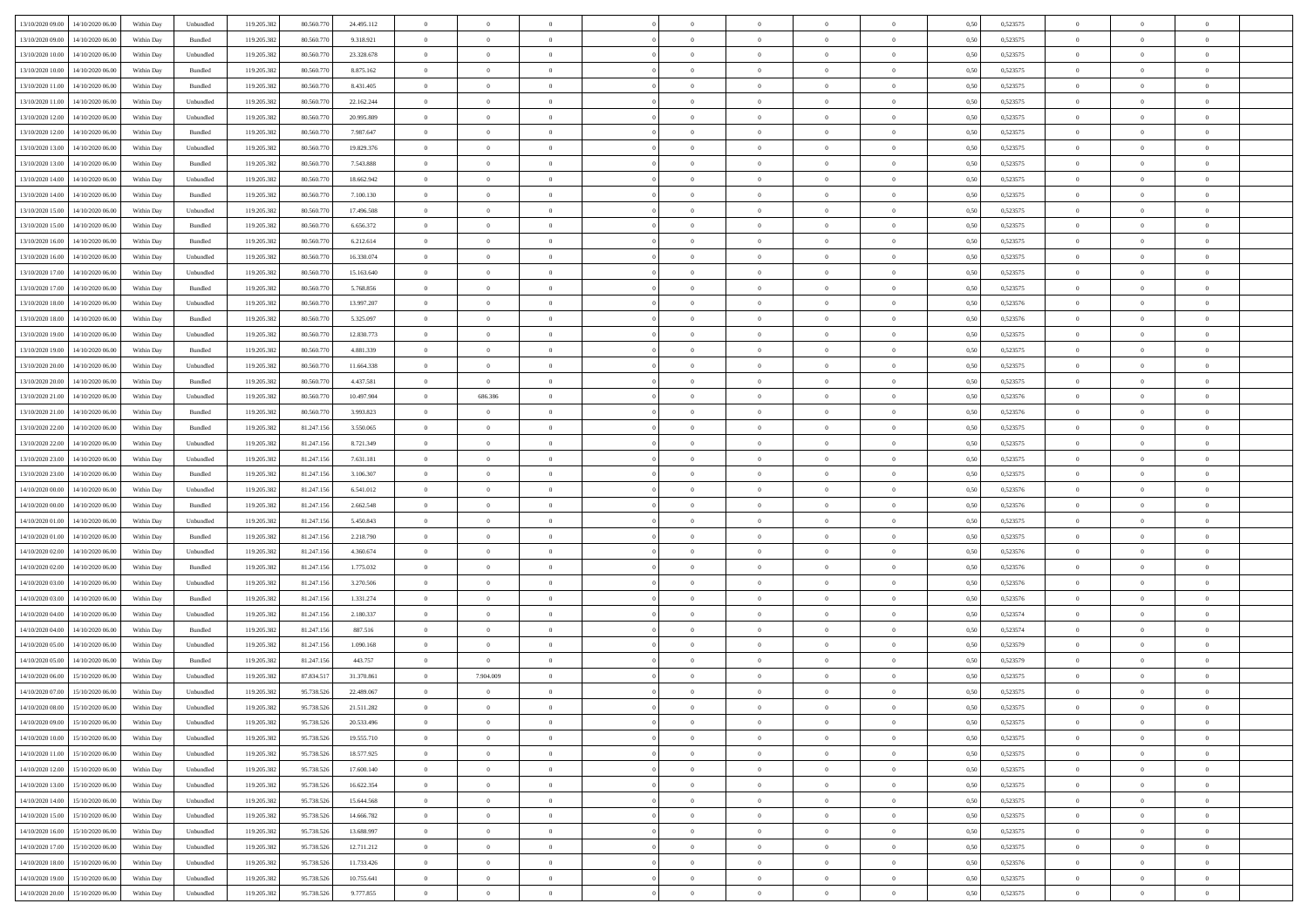| 13/10/2020 09:00                  | 14/10/2020 06:00                  | Within Day | Unbundled | 119.205.382 | 80.560.770 | 24.495.112 | $\overline{0}$ | $\theta$       |                | $\overline{0}$ | $\overline{0}$ | $\overline{0}$ | $\theta$       | 0,50 | 0,523575 | $\theta$       | $\theta$       | $\overline{0}$           |  |
|-----------------------------------|-----------------------------------|------------|-----------|-------------|------------|------------|----------------|----------------|----------------|----------------|----------------|----------------|----------------|------|----------|----------------|----------------|--------------------------|--|
|                                   |                                   |            |           |             |            |            | $\overline{0}$ | $\overline{0}$ |                |                |                |                |                |      |          |                |                |                          |  |
| 13/10/2020 09:00                  | 14/10/2020 06.00                  | Within Day | Bundled   | 119.205.382 | 80.560.77  | 9.318.921  |                |                | $\overline{0}$ | $\overline{0}$ | $\,$ 0         | $\bf{0}$       | $\bf{0}$       | 0,50 | 0,523575 | $\,$ 0 $\,$    | $\overline{0}$ | $\overline{0}$           |  |
| 13/10/2020 10:00                  | 14/10/2020 06:00                  | Within Day | Unbundled | 119.205.382 | 80.560.770 | 23.328.678 | $\overline{0}$ | $\overline{0}$ | $\overline{0}$ | $\overline{0}$ | $\bf{0}$       | $\overline{0}$ | $\mathbf{0}$   | 0.50 | 0,523575 | $\bf{0}$       | $\overline{0}$ | $\overline{0}$           |  |
| 13/10/2020 10:00                  | 14/10/2020 06.00                  | Within Day | Bundled   | 119.205.382 | 80.560.770 | 8.875.162  | $\overline{0}$ | $\overline{0}$ | $\overline{0}$ | $\overline{0}$ | $\bf{0}$       | $\overline{0}$ | $\overline{0}$ | 0,50 | 0,523575 | $\,$ 0 $\,$    | $\overline{0}$ | $\overline{0}$           |  |
| 13/10/2020 11:00                  | 14/10/2020 06.00                  | Within Day | Bundled   | 119.205.382 | 80.560.770 | 8.431.405  | $\overline{0}$ | $\theta$       | $\overline{0}$ |                | $\overline{0}$ | $\overline{0}$ | $\bf{0}$       | 0,50 | 0,523575 | $\,$ 0 $\,$    | $\overline{0}$ | $\overline{0}$           |  |
| 13/10/2020 11:00                  | 14/10/2020 06:00                  | Within Day | Unbundled | 119.205.382 | 80,560,770 | 22.162.244 | $\overline{0}$ | $\overline{0}$ | $\overline{0}$ | $\overline{0}$ | $\bf{0}$       | $\overline{0}$ | $\bf{0}$       | 0.50 | 0.523575 | $\,0\,$        | $\theta$       | $\overline{0}$           |  |
| 13/10/2020 12:00                  | 14/10/2020 06.00                  | Within Day | Unbundled | 119.205.382 | 80.560.770 | 20.995.809 | $\overline{0}$ | $\overline{0}$ | $\overline{0}$ | $\overline{0}$ | $\bf{0}$       | $\overline{0}$ | $\overline{0}$ | 0,50 | 0,523575 | $\,0\,$        | $\theta$       | $\overline{0}$           |  |
| 13/10/2020 12:00                  | 14/10/2020 06.00                  | Within Day | Bundled   | 119.205.382 | 80.560.77  | 7.987.647  | $\overline{0}$ | $\theta$       | $\overline{0}$ |                | $\bf{0}$       | $\overline{0}$ | $\bf{0}$       | 0,50 | 0,523575 | $\,$ 0 $\,$    | $\overline{0}$ | $\overline{0}$           |  |
|                                   |                                   |            |           |             |            |            |                |                |                |                |                |                |                |      |          |                |                |                          |  |
| 13/10/2020 13:00                  | 14/10/2020 06:00                  | Within Day | Unbundled | 119.205.382 | 80,560,770 | 19.829.376 | $\overline{0}$ | $\overline{0}$ | $\overline{0}$ | $\overline{0}$ | $\bf{0}$       | $\overline{0}$ | $\bf{0}$       | 0.50 | 0.523575 | $\,0\,$        | $\overline{0}$ | $\overline{0}$           |  |
| 13/10/2020 13:00                  | 14/10/2020 06.00                  | Within Day | Bundled   | 119.205.382 | 80.560.770 | 7.543.888  | $\overline{0}$ | $\overline{0}$ | $\overline{0}$ | $\overline{0}$ | $\,$ 0         | $\overline{0}$ | $\bf{0}$       | 0,50 | 0,523575 | $\,$ 0 $\,$    | $\overline{0}$ | $\overline{0}$           |  |
| 13/10/2020 14:00                  | 14/10/2020 06.00                  | Within Day | Unbundled | 119.205.382 | 80.560.770 | 18.662.942 | $\bf{0}$       | $\theta$       | $\overline{0}$ | $\overline{0}$ | $\,$ 0         | $\overline{0}$ | $\bf{0}$       | 0,50 | 0,523575 | $\,$ 0 $\,$    | $\overline{0}$ | $\overline{0}$           |  |
| 13/10/2020 14:00                  | 14/10/2020 06:00                  | Within Day | Bundled   | 119.205.382 | 80,560,770 | 7.100.130  | $\overline{0}$ | $\overline{0}$ | $\overline{0}$ | $\overline{0}$ | $\bf{0}$       | $\overline{0}$ | $\mathbf{0}$   | 0.50 | 0,523575 | $\bf{0}$       | $\overline{0}$ | $\overline{\phantom{a}}$ |  |
| 13/10/2020 15:00                  | 14/10/2020 06.00                  | Within Day | Unbundled | 119.205.382 | 80.560.770 | 17.496.508 | $\overline{0}$ | $\overline{0}$ | $\overline{0}$ | $\overline{0}$ | $\bf{0}$       | $\overline{0}$ | $\overline{0}$ | 0,50 | 0,523575 | $\,$ 0 $\,$    | $\overline{0}$ | $\overline{0}$           |  |
| 13/10/2020 15:00                  | 14/10/2020 06.00                  | Within Day | Bundled   | 119.205.382 | 80.560.77  | 6.656.372  | $\overline{0}$ | $\theta$       | $\overline{0}$ |                | $\overline{0}$ | $\overline{0}$ | $\bf{0}$       | 0,50 | 0,523575 | $\,$ 0 $\,$    | $\overline{0}$ | $\overline{0}$           |  |
| 13/10/2020 16:00                  | 14/10/2020 06:00                  | Within Day | Bundled   | 119.205.382 | 80,560,770 | 6.212.614  | $\overline{0}$ | $\overline{0}$ | $\overline{0}$ | $\overline{0}$ | $\,$ 0         | $\overline{0}$ | $\bf{0}$       | 0.50 | 0.523575 | $\,0\,$        | $\theta$       | $\overline{0}$           |  |
|                                   |                                   |            |           |             |            |            |                |                |                |                |                |                |                |      |          |                |                |                          |  |
| 13/10/2020 16:00                  | 14/10/2020 06.00                  | Within Day | Unbundled | 119.205.382 | 80.560.770 | 16.330.074 | $\overline{0}$ | $\overline{0}$ | $\overline{0}$ | $\overline{0}$ | $\bf{0}$       | $\overline{0}$ | $\overline{0}$ | 0,50 | 0,523575 | $\,0\,$        | $\theta$       | $\overline{0}$           |  |
| 13/10/2020 17:00                  | 14/10/2020 06.00                  | Within Day | Unbundled | 119.205.382 | 80.560.770 | 15.163.640 | $\overline{0}$ | $\theta$       | $\overline{0}$ |                | $\bf{0}$       | $\overline{0}$ | $\bf{0}$       | 0,50 | 0,523575 | $\,$ 0 $\,$    | $\overline{0}$ | $\overline{0}$           |  |
| 13/10/2020 17:00                  | 14/10/2020 06:00                  | Within Day | Bundled   | 119.205.382 | 80,560,770 | 5.768.856  | $\overline{0}$ | $\overline{0}$ | $\overline{0}$ | $\overline{0}$ | $\bf{0}$       | $\overline{0}$ | $\bf{0}$       | 0.50 | 0.523575 | $\,0\,$        | $\overline{0}$ | $\overline{\phantom{a}}$ |  |
| 13/10/2020 18:00                  | 14/10/2020 06.00                  | Within Day | Unbundled | 119.205.382 | 80.560.770 | 13.997.207 | $\overline{0}$ | $\overline{0}$ | $\overline{0}$ | $\overline{0}$ | $\,$ 0         | $\overline{0}$ | $\overline{0}$ | 0,50 | 0,523576 | $\,$ 0 $\,$    | $\overline{0}$ | $\overline{0}$           |  |
| 13/10/2020 18:00                  | 14/10/2020 06.00                  | Within Day | Bundled   | 119.205.382 | 80.560.770 | 5.325.097  | $\bf{0}$       | $\,$ 0 $\,$    | $\overline{0}$ | $\overline{0}$ | $\,$ 0         | $\overline{0}$ | $\bf{0}$       | 0,50 | 0,523576 | $\,$ 0 $\,$    | $\overline{0}$ | $\overline{0}$           |  |
| 13/10/2020 19:00                  | 14/10/2020 06:00                  | Within Day | Unbundled | 119.205.382 | 80,560,770 | 12.830.773 | $\overline{0}$ | $\overline{0}$ | $\overline{0}$ | $\overline{0}$ | $\bf{0}$       | $\overline{0}$ | $\mathbf{0}$   | 0.50 | 0,523575 | $\bf{0}$       | $\overline{0}$ | $\overline{0}$           |  |
| 13/10/2020 19:00                  | 14/10/2020 06.00                  | Within Day | Bundled   | 119.205.382 | 80.560.770 | 4.881.339  | $\overline{0}$ | $\overline{0}$ | $\overline{0}$ | $\overline{0}$ | $\bf{0}$       | $\overline{0}$ | $\overline{0}$ | 0,50 | 0,523575 | $\,$ 0 $\,$    | $\overline{0}$ | $\overline{0}$           |  |
|                                   |                                   |            |           |             |            |            |                |                |                |                |                |                |                |      |          |                |                |                          |  |
| 13/10/2020 20.00                  | 14/10/2020 06.00                  | Within Day | Unbundled | 119.205.382 | 80.560.770 | 11.664.338 | $\overline{0}$ | $\theta$       | $\overline{0}$ | $\overline{0}$ | $\,$ 0         | $\overline{0}$ | $\bf{0}$       | 0,50 | 0,523575 | $\,$ 0 $\,$    | $\overline{0}$ | $\overline{0}$           |  |
| 13/10/2020 20:00                  | 14/10/2020 06:00                  | Within Day | Bundled   | 119.205.382 | 80,560,770 | 4.437.581  | $\overline{0}$ | $\overline{0}$ | $\overline{0}$ | $\overline{0}$ | $\bf{0}$       | $\overline{0}$ | $\bf{0}$       | 0.50 | 0.523575 | $\,0\,$        | $\theta$       | $\overline{0}$           |  |
| 13/10/2020 21:00                  | 14/10/2020 06.00                  | Within Day | Unbundled | 119.205.382 | 80.560.770 | 10.497.904 | $\overline{0}$ | 686.386        | $\overline{0}$ | $\overline{0}$ | $\bf{0}$       | $\overline{0}$ | $\overline{0}$ | 0,50 | 0,523576 | $\,0\,$        | $\theta$       | $\overline{0}$           |  |
| 13/10/2020 21:00                  | 14/10/2020 06.00                  | Within Day | Bundled   | 119.205.382 | 80.560.77  | 3.993.823  | $\overline{0}$ | $\theta$       | $\overline{0}$ |                | $\bf{0}$       | $\overline{0}$ | $\bf{0}$       | 0,50 | 0,523576 | $\,$ 0 $\,$    | $\overline{0}$ | $\overline{0}$           |  |
| 13/10/2020 22.00                  | 14/10/2020 06:00                  | Within Day | Bundled   | 119.205.382 | 81.247.156 | 3.550.065  | $\overline{0}$ | $\overline{0}$ | $\overline{0}$ | $\overline{0}$ | $\bf{0}$       | $\overline{0}$ | $\bf{0}$       | 0.50 | 0.523575 | $\,0\,$        | $\overline{0}$ | $\overline{0}$           |  |
| 13/10/2020 22.00                  | 14/10/2020 06.00                  | Within Day | Unbundled | 119.205.382 | 81.247.156 | 8.721.349  | $\overline{0}$ | $\overline{0}$ | $\overline{0}$ | $\overline{0}$ | $\bf{0}$       | $\overline{0}$ | $\overline{0}$ | 0,50 | 0,523575 | $\,$ 0 $\,$    | $\overline{0}$ | $\overline{0}$           |  |
| 13/10/2020 23:00                  | 14/10/2020 06.00                  | Within Day | Unbundled | 119.205.382 | 81.247.156 | 7.631.181  | $\bf{0}$       | $\overline{0}$ | $\overline{0}$ | $\overline{0}$ | $\,$ 0         | $\bf{0}$       | $\bf{0}$       | 0,50 | 0,523575 | $\,$ 0 $\,$    | $\overline{0}$ | $\overline{0}$           |  |
|                                   |                                   |            |           |             |            |            |                |                |                |                |                |                |                |      |          |                |                |                          |  |
| 13/10/2020 23:00                  | 14/10/2020 06:00                  | Within Day | Bundled   | 119.205.382 | 81.247.156 | 3.106.307  | $\overline{0}$ | $\bf{0}$       | $\overline{0}$ | $\overline{0}$ | $\bf{0}$       | $\overline{0}$ | $\mathbf{0}$   | 0.50 | 0,523575 | $\bf{0}$       | $\overline{0}$ | $\overline{\phantom{a}}$ |  |
| 14/10/2020 00:00                  | 14/10/2020 06.00                  | Within Dav | Unbundled | 119.205.382 | 81.247.156 | 6.541.012  | $\overline{0}$ | $\overline{0}$ | $\theta$       | $\overline{0}$ | $\overline{0}$ | $\overline{0}$ | $\overline{0}$ | 0.50 | 0,523576 | $\theta$       | $\overline{0}$ | $\overline{0}$           |  |
| 14/10/2020 00.00                  | 14/10/2020 06.00                  | Within Day | Bundled   | 119.205.382 | 81.247.156 | 2.662.548  | $\overline{0}$ | $\theta$       | $\overline{0}$ |                | $\bf{0}$       | $\overline{0}$ | $\bf{0}$       | 0,50 | 0,523576 | $\,$ 0 $\,$    | $\overline{0}$ | $\overline{0}$           |  |
| 14/10/2020 01:00                  | 14/10/2020 06:00                  | Within Day | Unbundled | 119.205.382 | 81.247.156 | 5.450.843  | $\overline{0}$ | $\overline{0}$ | $\overline{0}$ | $\overline{0}$ | $\bf{0}$       | $\overline{0}$ | $\bf{0}$       | 0.50 | 0,523575 | $\,0\,$        | $\theta$       | $\overline{0}$           |  |
| 14/10/2020 01:00                  | 14/10/2020 06.00                  | Within Dav | Bundled   | 119.205.382 | 81.247.156 | 2.218.790  | $\overline{0}$ | $\overline{0}$ | $\Omega$       | $\Omega$       | $\mathbf{0}$   | $\overline{0}$ | $\overline{0}$ | 0.50 | 0,523575 | $\theta$       | $\overline{0}$ | $\overline{0}$           |  |
| 14/10/2020 02:00                  | 14/10/2020 06.00                  | Within Day | Unbundled | 119.205.382 | 81.247.156 | 4.360.674  | $\overline{0}$ | $\theta$       | $\overline{0}$ |                | $\,$ 0         | $\overline{0}$ | $\bf{0}$       | 0,50 | 0,523576 | $\,$ 0 $\,$    | $\overline{0}$ | $\overline{0}$           |  |
| 14/10/2020 02.00                  | 14/10/2020 06:00                  | Within Day | Bundled   | 119.205.382 | 81.247.156 | 1.775.032  | $\overline{0}$ | $\overline{0}$ | $\overline{0}$ | $\overline{0}$ | $\bf{0}$       | $\overline{0}$ | $\bf{0}$       | 0.50 | 0.523576 | $\,0\,$        | $\overline{0}$ | $\overline{0}$           |  |
| 14/10/2020 03:00                  | 14/10/2020 06.00                  | Within Dav | Unbundled | 119.205.382 | 81.247.156 | 3.270.506  | $\overline{0}$ | $\overline{0}$ | $\overline{0}$ | $\overline{0}$ | $\overline{0}$ | $\overline{0}$ | $\overline{0}$ | 0.50 | 0,523576 | $\theta$       | $\overline{0}$ | $\overline{0}$           |  |
|                                   | 14/10/2020 06.00                  | Within Day | Bundled   |             | 81.247.156 | 1.331.274  | $\overline{0}$ | $\overline{0}$ | $\overline{0}$ | $\overline{0}$ | $\bf{0}$       | $\bf{0}$       | $\bf{0}$       | 0,50 | 0,523576 | $\,$ 0 $\,$    | $\overline{0}$ | $\overline{0}$           |  |
| 14/10/2020 03:00                  |                                   |            |           | 119.205.382 |            |            |                |                |                |                |                |                |                |      |          |                |                |                          |  |
| 14/10/2020 04:00                  | 14/10/2020 06:00                  | Within Day | Unbundled | 119.205.382 | 81.247.156 | 2.180.337  | $\overline{0}$ | $\overline{0}$ | $\overline{0}$ | $\overline{0}$ | $\bf{0}$       | $\overline{0}$ | $\mathbf{0}$   | 0.50 | 0,523574 | $\,$ 0 $\,$    | $\overline{0}$ | $\overline{0}$           |  |
| 14/10/2020 04:00                  | 14/10/2020 06.00                  | Within Dav | Bundled   | 119.205.382 | 81.247.156 | 887.516    | $\overline{0}$ | $\overline{0}$ | $\Omega$       | $\Omega$       | $\mathbf{0}$   | $\overline{0}$ | $\overline{0}$ | 0.50 | 0,523574 | $\theta$       | $\overline{0}$ | $\overline{0}$           |  |
| 14/10/2020 05.00                  | 14/10/2020 06.00                  | Within Day | Unbundled | 119.205.382 | 81.247.156 | 1.090.168  | $\overline{0}$ | $\theta$       | $\overline{0}$ | $\overline{0}$ | $\,$ 0         | $\overline{0}$ | $\bf{0}$       | 0,50 | 0,523579 | $\,$ 0 $\,$    | $\overline{0}$ | $\overline{0}$           |  |
| 14/10/2020 05:00                  | 14/10/2020 06:00                  | Within Day | Bundled   | 119.205.382 | 81.247.156 | 443.757    | $\overline{0}$ | $\overline{0}$ | $\overline{0}$ | $\overline{0}$ | $\bf{0}$       | $\overline{0}$ | $\overline{0}$ | 0.50 | 0,523579 | $\,0\,$        | $\theta$       | $\overline{0}$           |  |
| 14/10/2020 06:00                  | 15/10/2020 06:00                  | Within Dav | Unbundled | 119.205.382 | 87.834.517 | 31.370.861 | $\overline{0}$ | 7.904.009      | $\Omega$       | $\Omega$       | $\bf{0}$       | $\overline{0}$ | $\mathbf{0}$   | 0.50 | 0,523575 | $\theta$       | $\overline{0}$ | $\overline{0}$           |  |
| 14/10/2020 07:00                  | 15/10/2020 06.00                  | Within Day | Unbundled | 119.205.382 | 95.738.526 | 22.489.067 | $\overline{0}$ | $\overline{0}$ | $\overline{0}$ | $\bf{0}$       | $\,$ 0         | $\overline{0}$ | $\bf{0}$       | 0,50 | 0,523575 | $\,$ 0 $\,$    | $\overline{0}$ | $\overline{0}$           |  |
| 14/10/2020 08:00 15/10/2020 06:00 |                                   | Within Day | Unbundled | 119.205.382 | 95.738.526 | 21.511.282 | $\bf{0}$       | $\,$ 0         |                |                |                |                |                | 0,50 | 0,523575 | $\bf{0}$       | $\theta$       |                          |  |
| 14/10/2020 09:00                  | 15/10/2020 06.00                  | Within Day | Unbundled | 119.205.382 | 95.738.526 | 20.533.496 | $\Omega$       | $\overline{0}$ | $\Omega$       | $\Omega$       | $\mathbf{0}$   | $\overline{0}$ | $\mathbf{0}$   | 0.50 | 0,523575 | $\theta$       | $\theta$       | $\overline{0}$           |  |
|                                   |                                   |            |           |             |            |            |                |                |                |                |                |                |                |      |          |                |                |                          |  |
| 14/10/2020 10:00                  | 15/10/2020 06.00                  | Within Day | Unbundled | 119.205.382 | 95.738.526 | 19.555.710 | $\overline{0}$ | $\overline{0}$ | $\overline{0}$ | $\bf{0}$       | $\overline{0}$ | $\overline{0}$ | $\mathbf{0}$   | 0,50 | 0,523575 | $\bf{0}$       | $\overline{0}$ | $\bf{0}$                 |  |
| 14/10/2020 11:00                  | 15/10/2020 06.00                  | Within Day | Unbundled | 119.205.382 | 95.738.526 | 18.577.925 | $\overline{0}$ | $\overline{0}$ | $\overline{0}$ | $\overline{0}$ | $\bf{0}$       | $\overline{0}$ | $\mathbf{0}$   | 0.50 | 0,523575 | $\overline{0}$ | $\bf{0}$       | $\bf{0}$                 |  |
| 14/10/2020 12:00                  | 15/10/2020 06:00                  | Within Day | Unbundled | 119.205.382 | 95.738.526 | 17.600.140 | $\overline{0}$ | $\overline{0}$ | $\overline{0}$ | $\overline{0}$ | $\mathbf{0}$   | $\overline{0}$ | $\mathbf{0}$   | 0.50 | 0,523575 | $\overline{0}$ | $\theta$       | $\overline{0}$           |  |
| 14/10/2020 13:00                  | 15/10/2020 06.00                  | Within Day | Unbundled | 119.205.382 | 95.738.526 | 16.622.354 | $\bf{0}$       | $\overline{0}$ | $\overline{0}$ | $\overline{0}$ | $\bf{0}$       | $\bf{0}$       | $\bf{0}$       | 0,50 | 0,523575 | $\,0\,$        | $\overline{0}$ | $\overline{0}$           |  |
| 14/10/2020 14:00                  | 15/10/2020 06:00                  | Within Day | Unbundled | 119.205.382 | 95.738.526 | 15.644.568 | $\overline{0}$ | $\overline{0}$ | $\overline{0}$ | $\overline{0}$ | $\overline{0}$ | $\overline{0}$ | $\overline{0}$ | 0.50 | 0.523575 | $\,$ 0 $\,$    | $\theta$       | $\overline{0}$           |  |
| 14/10/2020 15:00                  | 15/10/2020 06:00                  | Within Day | Unbundled | 119.205.382 | 95.738.526 | 14.666.782 | $\overline{0}$ | $\overline{0}$ | $\overline{0}$ | $\overline{0}$ | $\overline{0}$ | $\overline{0}$ | $\overline{0}$ | 0,50 | 0,523575 | $\overline{0}$ | $\overline{0}$ | $\overline{0}$           |  |
| 14/10/2020 16.00                  | 15/10/2020 06.00                  | Within Day | Unbundled | 119.205.382 | 95.738.526 | 13.688.997 | $\overline{0}$ | $\,$ 0         | $\overline{0}$ | $\bf{0}$       | $\bf{0}$       | $\bf{0}$       | $\bf{0}$       | 0,50 | 0,523575 | $\,$ 0 $\,$    | $\overline{0}$ | $\overline{0}$           |  |
|                                   |                                   |            |           |             |            |            |                |                |                |                |                |                |                |      |          |                |                |                          |  |
| 14/10/2020 17.00                  | 15/10/2020 06:00                  | Within Day | Unbundled | 119.205.382 | 95.738.526 | 12.711.212 | $\overline{0}$ | $\bf{0}$       | $\overline{0}$ | $\overline{0}$ | $\bf{0}$       | $\overline{0}$ | $\mathbf{0}$   | 0.50 | 0.523575 | $\mathbf{0}$   | $\,$ 0 $\,$    | $\overline{0}$           |  |
| 14/10/2020 18:00                  | 15/10/2020 06:00                  | Within Day | Unbundled | 119.205.382 | 95.738.526 | 11.733.426 | $\overline{0}$ | $\overline{0}$ | $\overline{0}$ | $\overline{0}$ | $\overline{0}$ | $\overline{0}$ | $\overline{0}$ | 0,50 | 0,523576 | $\overline{0}$ | $\theta$       | $\overline{0}$           |  |
| 14/10/2020 19.00                  | 15/10/2020 06.00                  | Within Day | Unbundled | 119.205.382 | 95.738.526 | 10.755.641 | $\overline{0}$ | $\overline{0}$ | $\overline{0}$ | $\overline{0}$ | $\bf{0}$       | $\bf{0}$       | $\bf{0}$       | 0,50 | 0,523575 | $\bf{0}$       | $\overline{0}$ | $\overline{0}$           |  |
|                                   | 14/10/2020 20.00 15/10/2020 06.00 | Within Day | Unbundled | 119.205.382 | 95.738.526 | 9.777.855  | $\overline{0}$ | $\overline{0}$ | $\overline{0}$ | $\overline{0}$ | $\bf{0}$       | $\overline{0}$ | $\,$ 0 $\,$    | 0,50 | 0,523575 | $\overline{0}$ | $\,$ 0 $\,$    | $\,$ 0 $\,$              |  |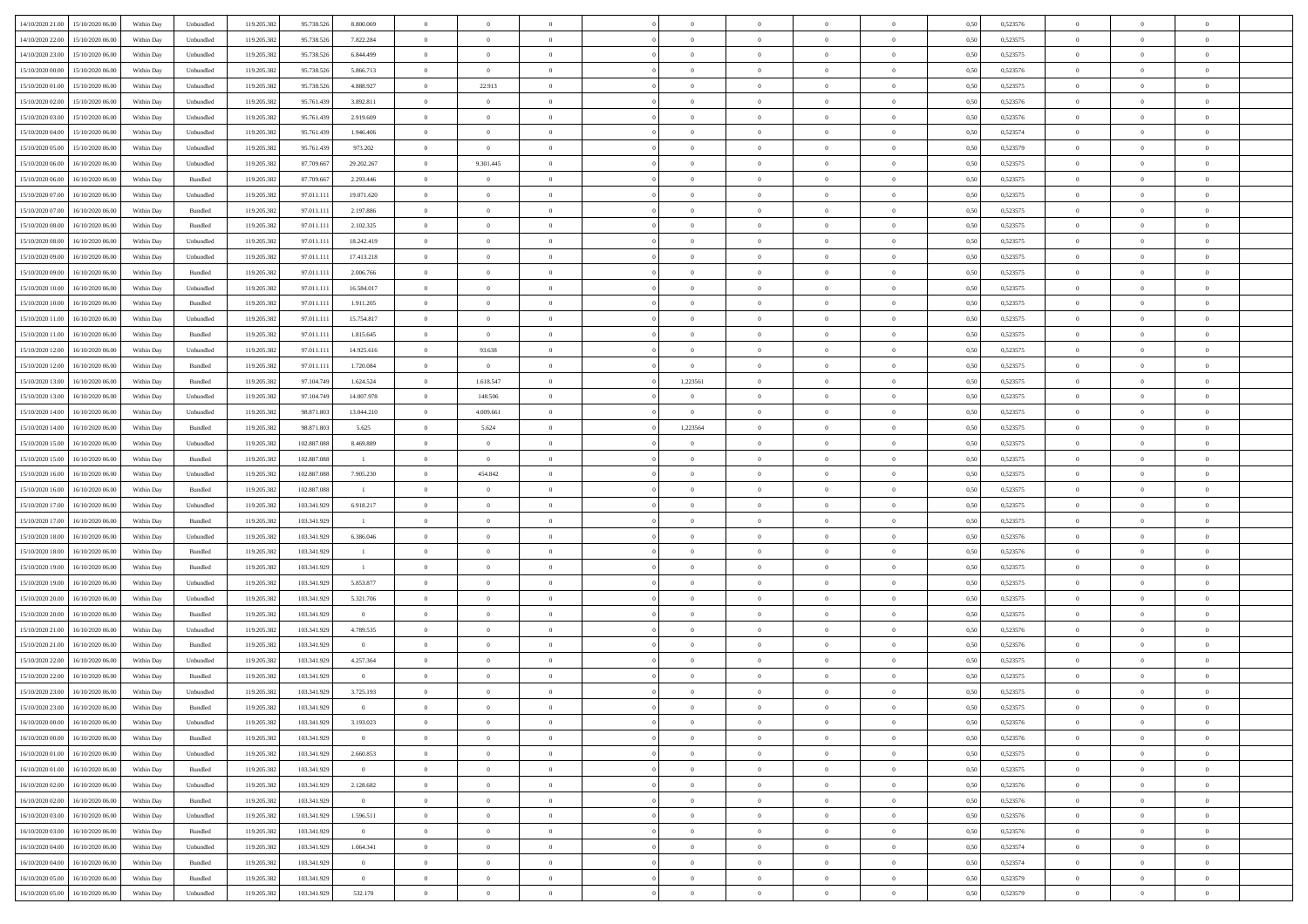| 14/10/2020 21:00 15/10/2020 06:00    | Within Day | Unbundled | 119.205.382 | 95.738.526  | 8.800.069               | $\overline{0}$ | $\overline{0}$ |                | $\overline{0}$ | $\theta$       |                | $\theta$       | 0,50 | 0,523576 | $\theta$       | $\theta$       | $\overline{0}$ |  |
|--------------------------------------|------------|-----------|-------------|-------------|-------------------------|----------------|----------------|----------------|----------------|----------------|----------------|----------------|------|----------|----------------|----------------|----------------|--|
| 14/10/2020 22.00<br>15/10/2020 06.00 | Within Day | Unbundled | 119.205.38  | 95.738.52   | 7.822.284               | $\bf{0}$       | $\bf{0}$       | $\bf{0}$       | $\bf{0}$       | $\overline{0}$ | $\overline{0}$ | $\bf{0}$       | 0,50 | 0,523575 | $\,$ 0 $\,$    | $\bf{0}$       | $\overline{0}$ |  |
| 14/10/2020 23.00<br>15/10/2020 06:00 | Within Day | Unbundled | 119.205.382 | 95.738.526  | 6.844.499               | $\overline{0}$ | $\bf{0}$       | $\overline{0}$ | $\bf{0}$       | $\bf{0}$       | $\overline{0}$ | $\bf{0}$       | 0.50 | 0,523575 | $\bf{0}$       | $\overline{0}$ | $\overline{0}$ |  |
| 15/10/2020 00:00<br>15/10/2020 06:00 | Within Day | Unbundled | 119.205.382 | 95.738.526  | 5.866.713               | $\overline{0}$ | $\overline{0}$ | $\overline{0}$ | $\theta$       | $\theta$       | $\overline{0}$ | $\bf{0}$       | 0,50 | 0,523576 | $\theta$       | $\theta$       | $\overline{0}$ |  |
| 15/10/2020 01:00<br>15/10/2020 06.00 | Within Day | Unbundled | 119.205.38  | 95.738.526  | 4.888.927               | $\bf{0}$       | 22.913         | $\bf{0}$       | $\overline{0}$ | $\theta$       | $\overline{0}$ | $\bf{0}$       | 0,50 | 0,523575 | $\,$ 0 $\,$    | $\bf{0}$       | $\overline{0}$ |  |
|                                      |            |           |             |             |                         |                |                |                |                |                | $\theta$       |                |      |          |                |                |                |  |
| 15/10/2020 02:00<br>15/10/2020 06.00 | Within Day | Unbundled | 119.205.382 | 95.761.439  | 3.892.811               | $\overline{0}$ | $\overline{0}$ | $\overline{0}$ | $\bf{0}$       | $\overline{0}$ |                | $\bf{0}$       | 0.50 | 0.523576 | $\,$ 0 $\,$    | $\theta$       | $\overline{0}$ |  |
| 15/10/2020 03:00<br>15/10/2020 06.00 | Within Day | Unbundled | 119.205.382 | 95.761.439  | 2.919.609               | $\overline{0}$ | $\overline{0}$ | $\overline{0}$ | $\overline{0}$ | $\overline{0}$ | $\overline{0}$ | $\bf{0}$       | 0,50 | 0,523576 | $\,$ 0 $\,$    | $\theta$       | $\overline{0}$ |  |
| 15/10/2020 04:00<br>15/10/2020 06.00 | Within Day | Unbundled | 119.205.38  | 95.761.439  | 1.946.406               | $\bf{0}$       | $\bf{0}$       | $\bf{0}$       | $\overline{0}$ | $\overline{0}$ | $\overline{0}$ | $\bf{0}$       | 0,50 | 0,523574 | $\,$ 0 $\,$    | $\bf{0}$       | $\overline{0}$ |  |
| 15/10/2020 05:00<br>15/10/2020 06:00 | Within Day | Unbundled | 119,205.38  | 95.761.439  | 973.202                 | $\overline{0}$ | $\overline{0}$ | $\overline{0}$ | $\bf{0}$       | $\overline{0}$ | $\overline{0}$ | $\bf{0}$       | 0.50 | 0.523579 | $\bf{0}$       | $\overline{0}$ | $\overline{0}$ |  |
| 15/10/2020 06:00<br>16/10/2020 06:00 | Within Day | Unbundled | 119.205.382 | 87.709.667  | 29.202.267              | $\overline{0}$ | 9.301.445      | $\overline{0}$ | $\overline{0}$ | $\overline{0}$ | $\overline{0}$ | $\bf{0}$       | 0,50 | 0,523575 | $\,$ 0 $\,$    | $\bf{0}$       | $\overline{0}$ |  |
| 15/10/2020 06:00<br>16/10/2020 06.00 | Within Day | Bundled   | 119.205.38  | 87.709.66   | 2.293.446               | $\bf{0}$       | $\theta$       | $\bf{0}$       | $\bf{0}$       | $\bf{0}$       | $\overline{0}$ | $\bf{0}$       | 0,50 | 0,523575 | $\,$ 0 $\,$    | $\bf{0}$       | $\overline{0}$ |  |
| 15/10/2020 07:00<br>16/10/2020 06:00 | Within Day | Unbundled | 119.205.382 | 97.011.111  | 19.071.620              | $\overline{0}$ | $\bf{0}$       | $\overline{0}$ | $\overline{0}$ | $\bf{0}$       | $\overline{0}$ | $\bf{0}$       | 0.50 | 0,523575 | $\bf{0}$       | $\overline{0}$ | $\,$ 0         |  |
| 15/10/2020 07.00<br>16/10/2020 06.00 | Within Day | Bundled   | 119.205.38  | 97.011.111  | 2.197.886               | $\overline{0}$ | $\overline{0}$ | $\overline{0}$ | $\theta$       | $\theta$       | $\overline{0}$ | $\bf{0}$       | 0,50 | 0,523575 | $\,$ 0 $\,$    | $\theta$       | $\overline{0}$ |  |
|                                      |            |           |             |             |                         |                |                |                |                |                |                |                |      |          |                |                |                |  |
| 15/10/2020 08:00<br>16/10/2020 06.00 | Within Day | Bundled   | 119.205.38  | 97.011.11   | 2.102.325               | $\bf{0}$       | $\overline{0}$ | $\bf{0}$       | $\overline{0}$ | $\bf{0}$       | $\overline{0}$ | $\bf{0}$       | 0,50 | 0,523575 | $\,$ 0 $\,$    | $\bf{0}$       | $\overline{0}$ |  |
| 15/10/2020 08:00<br>16/10/2020 06:00 | Within Day | Unbundled | 119.205.382 | 97.011.111  | 18.242.419              | $\overline{0}$ | $\overline{0}$ | $\overline{0}$ | $\bf{0}$       | $\overline{0}$ | $\theta$       | $\bf{0}$       | 0.50 | 0,523575 | $\,$ 0 $\,$    | $\theta$       | $\overline{0}$ |  |
| 15/10/2020 09:00<br>16/10/2020 06.00 | Within Day | Unbundled | 119.205.382 | 97.011.111  | 17.413.218              | $\overline{0}$ | $\overline{0}$ | $\overline{0}$ | $\overline{0}$ | $\overline{0}$ | $\overline{0}$ | $\bf{0}$       | 0,50 | 0,523575 | $\theta$       | $\theta$       | $\overline{0}$ |  |
| 15/10/2020 09:00<br>16/10/2020 06.00 | Within Day | Bundled   | 119.205.38  | 97.011.11   | 2.006.766               | $\bf{0}$       | $\bf{0}$       | $\bf{0}$       | $\overline{0}$ | $\bf{0}$       | $\overline{0}$ | $\bf{0}$       | 0,50 | 0,523575 | $\,$ 0 $\,$    | $\bf{0}$       | $\overline{0}$ |  |
| 15/10/2020 10:00<br>16/10/2020 06:00 | Within Day | Unbundled | 119,205.38  | 97.011.111  | 16,584,017              | $\overline{0}$ | $\bf{0}$       | $\overline{0}$ | $\bf{0}$       | $\overline{0}$ | $\overline{0}$ | $\bf{0}$       | 0.50 | 0.523575 | $\bf{0}$       | $\overline{0}$ | $\overline{0}$ |  |
| 15/10/2020 10:00<br>16/10/2020 06:00 | Within Day | Bundled   | 119.205.382 | 97.011.111  | 1.911.205               | $\bf{0}$       | $\bf{0}$       | $\overline{0}$ | $\overline{0}$ | $\overline{0}$ | $\overline{0}$ | $\bf{0}$       | 0,50 | 0,523575 | $\,$ 0 $\,$    | $\bf{0}$       | $\overline{0}$ |  |
| 15/10/2020 11:00<br>16/10/2020 06.00 | Within Day | Unbundled | 119.205.38  | 97.011.11   | 15.754.817              | $\bf{0}$       | $\bf{0}$       | $\bf{0}$       | $\bf{0}$       | $\overline{0}$ | $\overline{0}$ | $\bf{0}$       | 0,50 | 0,523575 | $\,$ 0 $\,$    | $\bf{0}$       | $\overline{0}$ |  |
|                                      |            |           |             |             |                         |                |                |                |                |                |                |                |      |          |                |                |                |  |
| 15/10/2020 11:00<br>16/10/2020 06:00 | Within Day | Bundled   | 119.205.382 | 97.011.111  | 1.815.645               | $\overline{0}$ | $\overline{0}$ | $\overline{0}$ | $\overline{0}$ | $\bf{0}$       | $\overline{0}$ | $\bf{0}$       | 0.50 | 0,523575 | $\bf{0}$       | $\overline{0}$ | $\,$ 0         |  |
| 15/10/2020 12:00<br>16/10/2020 06:00 | Within Day | Unbundled | 119.205.382 | 97.011.111  | 14.925.616              | $\overline{0}$ | 93.638         | $\overline{0}$ | $\theta$       | $\theta$       | $\overline{0}$ | $\bf{0}$       | 0,50 | 0,523575 | $\theta$       | $\theta$       | $\overline{0}$ |  |
| 15/10/2020 12:00<br>16/10/2020 06.00 | Within Day | Bundled   | 119.205.38  | 97.011.11   | 1.720.084               | $\bf{0}$       | $\overline{0}$ | $\bf{0}$       | $\bf{0}$       | $\bf{0}$       | $\overline{0}$ | $\bf{0}$       | 0,50 | 0,523575 | $\,$ 0 $\,$    | $\bf{0}$       | $\overline{0}$ |  |
| 15/10/2020 13:00<br>16/10/2020 06:00 | Within Day | Bundled   | 119,205.38  | 97.104.749  | 1.624.524               | $\overline{0}$ | 1.618.547      | $\overline{0}$ | 1,223561       | $\overline{0}$ | $\theta$       | $\bf{0}$       | 0.50 | 0.523575 | $\,$ 0 $\,$    | $\theta$       | $\overline{0}$ |  |
| 15/10/2020 13:00<br>16/10/2020 06.00 | Within Day | Unbundled | 119.205.382 | 97.104.749  | 14.007.978              | $\overline{0}$ | 148.506        | $\overline{0}$ | $\overline{0}$ | $\overline{0}$ | $\overline{0}$ | $\bf{0}$       | 0,50 | 0,523575 | $\,$ 0 $\,$    | $\theta$       | $\overline{0}$ |  |
| 15/10/2020 14:00<br>16/10/2020 06.00 | Within Day | Unbundled | 119.205.38  | 98.871.80   | 13.044.210              | $\bf{0}$       | 4.009.661      | $\bf{0}$       | $\bf{0}$       | $\overline{0}$ | $\overline{0}$ | $\bf{0}$       | 0,50 | 0,523575 | $\,$ 0 $\,$    | $\bf{0}$       | $\overline{0}$ |  |
| 15/10/2020 14:00<br>16/10/2020 06:00 | Within Day | Bundled   | 119,205.38  | 98.871.803  | 5.625                   | $\overline{0}$ | 5.624          | $\overline{0}$ | 1,223564       | $\overline{0}$ | $\overline{0}$ | $\bf{0}$       | 0.50 | 0.523575 | $\bf{0}$       | $\overline{0}$ | $\overline{0}$ |  |
| 15/10/2020 15:00<br>16/10/2020 06.00 | Within Day | Unbundled | 119.205.382 | 102.887.088 | 8.469.889               | $\overline{0}$ | $\overline{0}$ | $\overline{0}$ | $\overline{0}$ | $\overline{0}$ | $\overline{0}$ | $\bf{0}$       | 0,50 | 0,523575 | $\theta$       | $\theta$       | $\overline{0}$ |  |
|                                      |            |           |             |             |                         |                |                |                |                |                |                |                |      |          |                |                |                |  |
| 15/10/2020 15:00<br>16/10/2020 06.00 | Within Day | Bundled   | 119.205.38  | 102.887.08  | $\mathbf{1}$            | $\bf{0}$       | $\bf{0}$       | $\bf{0}$       | $\bf{0}$       | $\overline{0}$ | $\overline{0}$ | $\bf{0}$       | 0,50 | 0,523575 | $\,$ 0 $\,$    | $\bf{0}$       | $\overline{0}$ |  |
| 15/10/2020 16:00<br>16/10/2020 06:00 | Within Day | Unbundled | 119.205.38  | 102.887.088 | 7.905.230               | $\overline{0}$ | 454.842        | $\overline{0}$ | $\overline{0}$ | $\bf{0}$       | $\overline{0}$ | $\bf{0}$       | 0.50 | 0,523575 | $\bf{0}$       | $\overline{0}$ | $\,$ 0         |  |
| 15/10/2020 16:00<br>16/10/2020 06:00 | Within Day | Bundled   | 119.205.38  | 102.887.088 | $\blacksquare$          | $\overline{0}$ | $\overline{0}$ | $\overline{0}$ | $\overline{0}$ | $\overline{0}$ | $\overline{0}$ | $\bf{0}$       | 0.5( | 0,523575 | $\theta$       | $\theta$       | $\overline{0}$ |  |
| 15/10/2020 17:00<br>16/10/2020 06.00 | Within Day | Unbundled | 119.205.38  | 103.341.929 | 6.918.217               | $\bf{0}$       | $\overline{0}$ | $\bf{0}$       | $\bf{0}$       | $\overline{0}$ | $\overline{0}$ | $\bf{0}$       | 0,50 | 0,523575 | $\,$ 0 $\,$    | $\bf{0}$       | $\overline{0}$ |  |
| 15/10/2020 17:00<br>16/10/2020 06:00 | Within Day | Bundled   | 119.205.382 | 103.341.929 | $\mathbf{1}$            | $\overline{0}$ | $\bf{0}$       | $\overline{0}$ | $\bf{0}$       | $\overline{0}$ | $\Omega$       | $\bf{0}$       | 0.50 | 0,523575 | $\,$ 0 $\,$    | $\bf{0}$       | $\overline{0}$ |  |
| 15/10/2020 18:00<br>16/10/2020 06:00 | Within Dav | Unbundled | 119.205.38  | 103.341.929 | 6.386.046               | $\overline{0}$ | $\overline{0}$ | $\overline{0}$ | $\overline{0}$ | $\theta$       | $\overline{0}$ | $\bf{0}$       | 0.5( | 0,523576 | $\theta$       | $\theta$       | $\overline{0}$ |  |
| 15/10/2020 18:00<br>16/10/2020 06.00 | Within Day | Bundled   | 119.205.38  | 103.341.929 | $\overline{1}$          | $\bf{0}$       | $\bf{0}$       | $\bf{0}$       | $\bf{0}$       | $\bf{0}$       | $\overline{0}$ | $\bf{0}$       | 0,50 | 0,523576 | $\,$ 0 $\,$    | $\bf{0}$       | $\overline{0}$ |  |
| 15/10/2020 19:00<br>16/10/2020 06:00 | Within Day | Bundled   | 119.205.38  | 103.341.929 | $\blacksquare$          | $\overline{0}$ | $\bf{0}$       | $\overline{0}$ | $\bf{0}$       | $\overline{0}$ | $\overline{0}$ | $\bf{0}$       | 0.50 | 0.523575 | $\bf{0}$       | $\overline{0}$ | $\overline{0}$ |  |
|                                      |            |           |             |             |                         |                |                |                |                |                |                |                |      |          |                |                |                |  |
| 15/10/2020 19:00<br>16/10/2020 06:00 | Within Day | Unbundled | 119.205.38  | 103.341.929 | 5.853.877               | $\overline{0}$ | $\overline{0}$ | $\overline{0}$ | $\overline{0}$ | $\overline{0}$ | $\overline{0}$ | $\bf{0}$       | 0.50 | 0,523575 | $\theta$       | $\theta$       | $\overline{0}$ |  |
| 15/10/2020 20:00<br>16/10/2020 06.00 | Within Day | Unbundled | 119.205.38  | 103.341.929 | 5.321.706               | $\bf{0}$       | $\bf{0}$       | $\bf{0}$       | $\bf{0}$       | $\overline{0}$ | $\overline{0}$ | $\bf{0}$       | 0,50 | 0,523575 | $\,$ 0 $\,$    | $\bf{0}$       | $\overline{0}$ |  |
| 15/10/2020 20:00<br>16/10/2020 06:00 | Within Day | Bundled   | 119.205.382 | 103.341.929 | $\overline{0}$          | $\overline{0}$ | $\bf{0}$       | $\overline{0}$ | $\overline{0}$ | $\bf{0}$       | $\overline{0}$ | $\bf{0}$       | 0.50 | 0,523575 | $\bf{0}$       | $\overline{0}$ | $\overline{0}$ |  |
| 15/10/2020 21:00<br>16/10/2020 06:00 | Within Day | Unbundled | 119.205.38  | 103.341.929 | 4.789.535               | $\overline{0}$ | $\overline{0}$ | $\overline{0}$ | $\overline{0}$ | $\overline{0}$ | $\overline{0}$ | $\bf{0}$       | 0.5( | 0,523576 | $\theta$       | $\theta$       | $\overline{0}$ |  |
| 15/10/2020 21:00<br>16/10/2020 06.00 | Within Day | Bundled   | 119.205.38  | 103.341.929 | $\overline{0}$          | $\bf{0}$       | $\bf{0}$       | $\bf{0}$       | $\bf{0}$       | $\overline{0}$ | $\overline{0}$ | $\bf{0}$       | 0,50 | 0,523576 | $\,$ 0 $\,$    | $\bf{0}$       | $\overline{0}$ |  |
| 15/10/2020 22.00<br>16/10/2020 06.00 | Within Day | Unbundled | 119.205.38  | 103.341.929 | 4.257.364               | $\overline{0}$ | $\overline{0}$ | $\overline{0}$ | $\bf{0}$       | $\overline{0}$ | $\Omega$       | $\bf{0}$       | 0.50 | 0,523575 | $\bf{0}$       | $\theta$       | $\overline{0}$ |  |
| 15/10/2020 22:00<br>16/10/2020 06:00 | Within Dav | Bundled   | 119.205.38  | 103.341.929 | $\overline{0}$          | $\overline{0}$ | $\overline{0}$ | $\Omega$       | $\overline{0}$ | $\theta$       | $\overline{0}$ | $\overline{0}$ | 0.5( | 0,523575 | $\theta$       | $\theta$       | $\overline{0}$ |  |
| 15/10/2020 23:00<br>16/10/2020 06.00 | Within Day | Unbundled | 119.205.38  | 103.341.929 | 3.725.193               | $\bf{0}$       | $\bf{0}$       | $\bf{0}$       | $\bf{0}$       | $\bf{0}$       | $\overline{0}$ | $\bf{0}$       | 0,50 | 0,523575 | $\,$ 0 $\,$    | $\bf{0}$       | $\overline{0}$ |  |
| 15/10/2020 23:00 16/10/2020 06:00    | Within Day | Bundled   | 119.205.382 | 103.341.929 | $\Omega$                | $\overline{0}$ | $\Omega$       |                | $\Omega$       |                |                |                | 0,50 | 0,523575 | $\bf{0}$       | $\bf{0}$       |                |  |
|                                      |            |           |             |             |                         |                |                |                |                |                |                |                |      |          |                |                |                |  |
| 16/10/2020 00:00 16/10/2020 06:00    | Within Day | Unbundled | 119.205.382 | 103.341.929 | 3.193.023               | $\overline{0}$ | $\overline{0}$ | $\Omega$       | $\theta$       | $\overline{0}$ | $\overline{0}$ | $\bf{0}$       | 0,50 | 0,523576 | $\theta$       | $\overline{0}$ | $\overline{0}$ |  |
| 16/10/2020 00:00<br>16/10/2020 06.00 | Within Day | Bundled   | 119.205.38  | 103.341.929 | $\bf{0}$                | $\overline{0}$ | $\bf{0}$       | $\overline{0}$ | $\overline{0}$ | $\bf{0}$       | $\overline{0}$ | $\bf{0}$       | 0,50 | 0,523576 | $\bf{0}$       | $\overline{0}$ | $\bf{0}$       |  |
| 16/10/2020 01:00 16/10/2020 06:00    | Within Day | Unbundled | 119.205.382 | 103.341.929 | 2.660.853               | $\overline{0}$ | $\bf{0}$       | $\overline{0}$ | $\overline{0}$ | $\mathbf{0}$   | $\overline{0}$ | $\,$ 0 $\,$    | 0.50 | 0,523575 | $\overline{0}$ | $\bf{0}$       | $\,$ 0 $\,$    |  |
| 16/10/2020 01:00 16/10/2020 06:00    | Within Day | Bundled   | 119.205.382 | 103.341.929 | $\overline{\mathbf{0}}$ | $\overline{0}$ | $\overline{0}$ | $\overline{0}$ | $\overline{0}$ | $\overline{0}$ | $\overline{0}$ | $\bf{0}$       | 0,50 | 0,523575 | $\overline{0}$ | $\theta$       | $\overline{0}$ |  |
| 16/10/2020 02:00<br>16/10/2020 06.00 | Within Day | Unbundled | 119.205.382 | 103.341.929 | 2.128.682               | $\overline{0}$ | $\bf{0}$       | $\overline{0}$ | $\overline{0}$ | $\bf{0}$       | $\overline{0}$ | $\bf{0}$       | 0,50 | 0,523576 | $\bf{0}$       | $\overline{0}$ | $\overline{0}$ |  |
| 16/10/2020 06:00<br>16/10/2020 02.00 | Within Day | Bundled   | 119.205.382 | 103.341.929 | $\overline{0}$          | $\overline{0}$ | $\bf{0}$       | $\overline{0}$ | $\overline{0}$ | $\overline{0}$ | $\overline{0}$ | $\bf{0}$       | 0.50 | 0.523576 | $\,$ 0 $\,$    | $\overline{0}$ | $\overline{0}$ |  |
| 16/10/2020 03:00<br>16/10/2020 06:00 | Within Day | Unbundled | 119.205.382 | 103.341.929 | 1.596.511               | $\overline{0}$ | $\overline{0}$ | $\overline{0}$ | $\overline{0}$ | $\overline{0}$ | $\overline{0}$ | $\bf{0}$       | 0,50 | 0,523576 | $\overline{0}$ | $\theta$       | $\overline{0}$ |  |
|                                      |            |           |             |             |                         |                |                |                |                |                |                |                |      |          |                |                |                |  |
| 16/10/2020 03:00<br>16/10/2020 06.00 | Within Day | Bundled   | 119.205.38  | 103.341.929 | $\bf{0}$                | $\overline{0}$ | $\overline{0}$ | $\overline{0}$ | $\overline{0}$ | $\overline{0}$ | $\overline{0}$ | $\bf{0}$       | 0,50 | 0,523576 | $\bf{0}$       | $\overline{0}$ | $\overline{0}$ |  |
| 16/10/2020 04:00<br>16/10/2020 06:00 | Within Day | Unbundled | 119.205.38  | 103.341.929 | 1.064.341               | $\overline{0}$ | $\overline{0}$ | $\overline{0}$ | $\overline{0}$ | $\bf{0}$       | $\overline{0}$ | $\bf{0}$       | 0.50 | 0.523574 | $\mathbf{0}$   | $\bf{0}$       | $\,$ 0         |  |
| 16/10/2020 04:00<br>16/10/2020 06:00 | Within Dav | Bundled   | 119.205.382 | 103.341.929 | $\overline{0}$          | $\overline{0}$ | $\overline{0}$ | $\overline{0}$ | $\overline{0}$ | $\overline{0}$ | $\overline{0}$ | $\bf{0}$       | 0,50 | 0,523574 | $\overline{0}$ | $\theta$       | $\overline{0}$ |  |
| 16/10/2020 05:00<br>16/10/2020 06.00 | Within Day | Bundled   | 119.205.38  | 103.341.929 | $\overline{0}$          | $\overline{0}$ | $\bf{0}$       | $\overline{0}$ | $\bf{0}$       | $\overline{0}$ | $\overline{0}$ | $\bf{0}$       | 0,50 | 0,523579 | $\bf{0}$       | $\overline{0}$ | $\bf{0}$       |  |
| 16/10/2020 05:00 16/10/2020 06:00    | Within Day | Unbundled | 119.205.382 | 103.341.929 | 532.170                 | $\overline{0}$ | $\bf{0}$       | $\overline{0}$ | $\overline{0}$ | $\,$ 0 $\,$    | $\overline{0}$ | $\bf{0}$       | 0,50 | 0,523579 | $\overline{0}$ | $\,$ 0 $\,$    | $\,$ 0 $\,$    |  |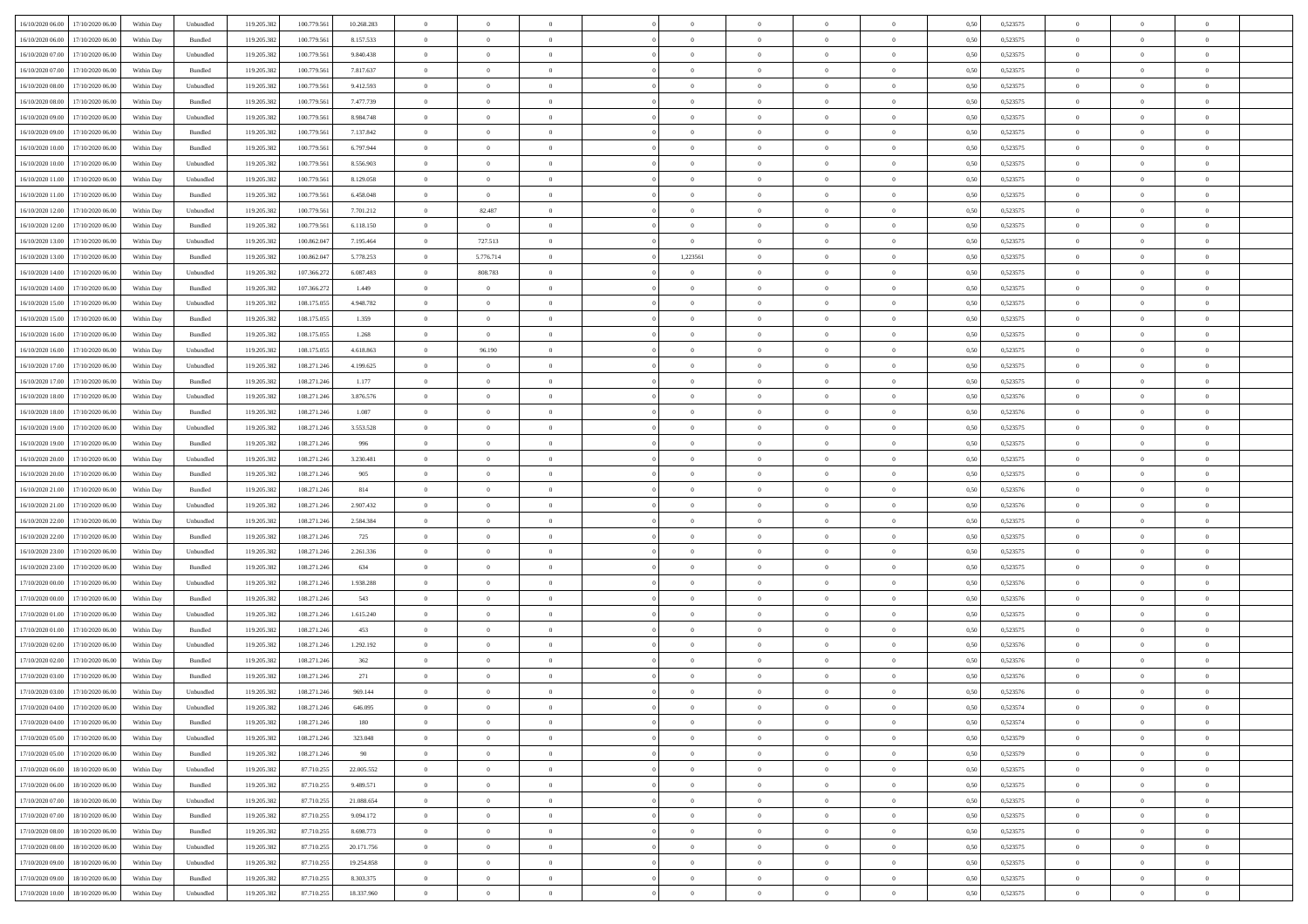| 16/10/2020 06:00 17/10/2020 06:00            | Within Day | Unbundled                   | 119.205.382 | 100.779.561 | 10.268.283 | $\overline{0}$ | $\overline{0}$ |                | $\overline{0}$ | $\theta$       |                | $\theta$       | 0,50 | 0,523575 | $\theta$       | $\theta$       | $\overline{0}$ |  |
|----------------------------------------------|------------|-----------------------------|-------------|-------------|------------|----------------|----------------|----------------|----------------|----------------|----------------|----------------|------|----------|----------------|----------------|----------------|--|
| 16/10/2020 06:00<br>17/10/2020 06.00         | Within Day | Bundled                     | 119.205.38  | 100.779.56  | 8.157.533  | $\bf{0}$       | $\bf{0}$       | $\bf{0}$       | $\bf{0}$       | $\overline{0}$ | $\bf{0}$       | $\bf{0}$       | 0,50 | 0,523575 | $\,$ 0 $\,$    | $\bf{0}$       | $\overline{0}$ |  |
| 16/10/2020 07:00<br>17/10/2020 06:00         | Within Day | Unbundled                   | 119.205.382 | 100.779.561 | 9.840.438  | $\overline{0}$ | $\bf{0}$       | $\overline{0}$ | $\bf{0}$       | $\bf{0}$       | $\overline{0}$ | $\bf{0}$       | 0.50 | 0,523575 | $\overline{0}$ | $\,$ 0 $\,$    | $\bf{0}$       |  |
| 16/10/2020 07:00<br>17/10/2020 06:00         | Within Day | Bundled                     | 119.205.382 | 100.779.561 | 7.817.637  | $\overline{0}$ | $\overline{0}$ | $\overline{0}$ | $\overline{0}$ | $\theta$       | $\overline{0}$ | $\bf{0}$       | 0,50 | 0,523575 | $\theta$       | $\,$ 0 $\,$    | $\overline{0}$ |  |
| 16/10/2020 08:00<br>17/10/2020 06.00         | Within Day | Unbundled                   | 119.205.38  | 100.779.56  | 9.412.593  | $\bf{0}$       | $\bf{0}$       | $\bf{0}$       | $\overline{0}$ | $\bf{0}$       | $\overline{0}$ | $\bf{0}$       | 0,50 | 0,523575 | $\,$ 0 $\,$    | $\bf{0}$       | $\overline{0}$ |  |
| 16/10/2020 08:00<br>17/10/2020 06.00         | Within Day | Bundled                     | 119.205.38  | 100.779.56  | 7.477.739  | $\overline{0}$ | $\bf{0}$       | $\overline{0}$ | $\bf{0}$       | $\overline{0}$ | $\theta$       | $\bf{0}$       | 0.50 | 0.523575 | $\,$ 0 $\,$    | $\bf{0}$       | $\overline{0}$ |  |
| 16/10/2020 09:00<br>17/10/2020 06.00         | Within Day | Unbundled                   | 119.205.38  | 100.779.561 | 8.984.748  | $\bf{0}$       | $\bf{0}$       | $\overline{0}$ | $\overline{0}$ | $\overline{0}$ | $\overline{0}$ | $\bf{0}$       | 0,50 | 0,523575 | $\,$ 0 $\,$    | $\theta$       | $\overline{0}$ |  |
| 16/10/2020 09:00<br>17/10/2020 06.00         | Within Day | Bundled                     | 119.205.38  | 100.779.56  | 7.137.842  | $\bf{0}$       | $\bf{0}$       | $\bf{0}$       | $\overline{0}$ | $\overline{0}$ | $\overline{0}$ | $\bf{0}$       | 0,50 | 0,523575 | $\,$ 0 $\,$    | $\bf{0}$       | $\overline{0}$ |  |
|                                              |            |                             |             |             |            |                |                |                |                |                |                |                |      |          |                |                |                |  |
| 16/10/2020 10:00<br>17/10/2020 06:00         | Within Day | Bundled                     | 119,205.38  | 100.779.56  | 6.797.944  | $\overline{0}$ | $\bf{0}$       | $\overline{0}$ | $\bf{0}$       | $\overline{0}$ | $\overline{0}$ | $\bf{0}$       | 0.50 | 0.523575 | $\bf{0}$       | $\overline{0}$ | $\overline{0}$ |  |
| 16/10/2020 10:00<br>17/10/2020 06.00         | Within Day | Unbundled                   | 119.205.382 | 100.779.561 | 8.556.903  | $\bf{0}$       | $\bf{0}$       | $\overline{0}$ | $\overline{0}$ | $\overline{0}$ | $\overline{0}$ | $\bf{0}$       | 0,50 | 0,523575 | $\,$ 0 $\,$    | $\,$ 0 $\,$    | $\overline{0}$ |  |
| 16/10/2020 11:00<br>17/10/2020 06.00         | Within Day | Unbundled                   | 119.205.38  | 100.779.56  | 8.129.058  | $\bf{0}$       | $\bf{0}$       | $\bf{0}$       | $\bf{0}$       | $\overline{0}$ | $\overline{0}$ | $\bf{0}$       | 0,50 | 0,523575 | $\,$ 0 $\,$    | $\bf{0}$       | $\overline{0}$ |  |
| 16/10/2020 11:00<br>17/10/2020 06.00         | Within Day | Bundled                     | 119.205.382 | 100.779.561 | 6.458,048  | $\overline{0}$ | $\overline{0}$ | $\overline{0}$ | $\overline{0}$ | $\bf{0}$       | $\overline{0}$ | $\bf{0}$       | 0.50 | 0,523575 | $\,$ 0 $\,$    | $\,$ 0 $\,$    | $\,$ 0         |  |
| 16/10/2020 12:00<br>17/10/2020 06:00         | Within Day | Unbundled                   | 119.205.38  | 100.779.561 | 7.701.212  | $\overline{0}$ | 82.487         | $\overline{0}$ | $\theta$       | $\theta$       | $\overline{0}$ | $\bf{0}$       | 0,50 | 0,523575 | $\,$ 0 $\,$    | $\,$ 0 $\,$    | $\overline{0}$ |  |
| 16/10/2020 12:00<br>17/10/2020 06.00         | Within Day | Bundled                     | 119.205.38  | 100.779.56  | 6.118.150  | $\bf{0}$       | $\bf{0}$       | $\bf{0}$       | $\bf{0}$       | $\bf{0}$       | $\overline{0}$ | $\bf{0}$       | 0,50 | 0,523575 | $\,$ 0 $\,$    | $\bf{0}$       | $\overline{0}$ |  |
| 16/10/2020 13:00<br>17/10/2020 06.00         | Within Day | Unbundled                   | 119.205.38  | 100,862.047 | 7.195.464  | $\overline{0}$ | 727.513        | $\overline{0}$ | $\bf{0}$       | $\overline{0}$ | $\theta$       | $\bf{0}$       | 0.50 | 0,523575 | $\,$ 0 $\,$    | $\bf{0}$       | $\overline{0}$ |  |
| 16/10/2020 13:00<br>17/10/2020 06.00         | Within Day | Bundled                     | 119.205.382 | 100.862.047 | 5.778.253  | $\overline{0}$ | 5.776.714      | $\overline{0}$ | 1,223561       | $\overline{0}$ | $\overline{0}$ | $\bf{0}$       | 0,50 | 0,523575 | $\theta$       | $\theta$       | $\overline{0}$ |  |
| 16/10/2020 14:00<br>17/10/2020 06.00         | Within Day | Unbundled                   | 119.205.38  | 107.366.27  | 6.087.483  | $\bf{0}$       | 808.783        | $\bf{0}$       | $\overline{0}$ | $\overline{0}$ | $\overline{0}$ | $\bf{0}$       | 0,50 | 0,523575 | $\,$ 0 $\,$    | $\bf{0}$       | $\overline{0}$ |  |
| 16/10/2020 14:00<br>17/10/2020 06:00         | Within Day | Bundled                     | 119.205.38  | 107.366.27  | 1.449      | $\overline{0}$ | $\overline{0}$ | $\overline{0}$ | $\bf{0}$       | $\overline{0}$ | $\overline{0}$ | $\bf{0}$       | 0.50 | 0.523575 | $\bf{0}$       | $\overline{0}$ | $\bf{0}$       |  |
| 16/10/2020 15:00<br>17/10/2020 06:00         | Within Day | Unbundled                   | 119.205.382 | 108.175.055 | 4.948.782  | $\bf{0}$       | $\bf{0}$       | $\overline{0}$ | $\overline{0}$ | $\overline{0}$ | $\overline{0}$ | $\bf{0}$       | 0,50 | 0,523575 | $\,$ 0 $\,$    | $\bf{0}$       | $\overline{0}$ |  |
| 16/10/2020 15:00<br>17/10/2020 06.00         | Within Day | Bundled                     | 119.205.38  | 108.175.055 | 1.359      | $\bf{0}$       | $\bf{0}$       | $\bf{0}$       | $\bf{0}$       | $\overline{0}$ | $\overline{0}$ | $\bf{0}$       | 0,50 | 0,523575 | $\,$ 0 $\,$    | $\bf{0}$       | $\overline{0}$ |  |
| 16/10/2020 16:00<br>17/10/2020 06.00         | Within Day | Bundled                     | 119.205.382 | 108,175,055 | 1.268      | $\overline{0}$ | $\overline{0}$ | $\overline{0}$ | $\overline{0}$ | $\bf{0}$       | $\overline{0}$ | $\bf{0}$       | 0.50 | 0,523575 | $\bf{0}$       | $\,$ 0 $\,$    | $\,$ 0         |  |
| 16/10/2020 16:00<br>17/10/2020 06:00         | Within Day | Unbundled                   | 119.205.38  | 108.175.055 | 4.618.863  | $\overline{0}$ | 96.190         | $\overline{0}$ | $\overline{0}$ | $\theta$       | $\overline{0}$ | $\bf{0}$       | 0,50 | 0,523575 | $\,$ 0 $\,$    | $\theta$       | $\overline{0}$ |  |
|                                              |            |                             |             |             |            |                | $\overline{0}$ |                |                |                | $\overline{0}$ |                |      |          |                |                |                |  |
| 16/10/2020 17:00<br>17/10/2020 06.00         | Within Day | Unbundled                   | 119.205.38  | 108.271.24  | 4.199.625  | $\bf{0}$       |                | $\bf{0}$       | $\bf{0}$       | $\overline{0}$ |                | $\bf{0}$       | 0,50 | 0,523575 | $\,$ 0 $\,$    | $\bf{0}$       | $\overline{0}$ |  |
| 16/10/2020 17:00<br>17/10/2020 06.00         | Within Day | Bundled                     | 119.205.38  | 108.271.246 | 1.177      | $\overline{0}$ | $\bf{0}$       | $\overline{0}$ | $\bf{0}$       | $\overline{0}$ | $\theta$       | $\bf{0}$       | 0.50 | 0.523575 | $\bf{0}$       | $\overline{0}$ | $\overline{0}$ |  |
| 16/10/2020 18:00<br>17/10/2020 06.00         | Within Day | Unbundled                   | 119.205.38  | 108.271.246 | 3.876.576  | $\overline{0}$ | $\bf{0}$       | $\overline{0}$ | $\overline{0}$ | $\overline{0}$ | $\overline{0}$ | $\bf{0}$       | 0,50 | 0,523576 | $\,$ 0 $\,$    | $\theta$       | $\overline{0}$ |  |
| 16/10/2020 18:00<br>17/10/2020 06.00         | Within Day | Bundled                     | 119.205.38  | 108.271.24  | 1.087      | $\bf{0}$       | $\overline{0}$ | $\bf{0}$       | $\overline{0}$ | $\overline{0}$ | $\overline{0}$ | $\bf{0}$       | 0,50 | 0,523576 | $\,$ 0 $\,$    | $\bf{0}$       | $\overline{0}$ |  |
| 16/10/2020 19:00<br>17/10/2020 06:00         | Within Day | Unbundled                   | 119.205.38  | 108.271.246 | 3.553.528  | $\overline{0}$ | $\bf{0}$       | $\overline{0}$ | $\bf{0}$       | $\overline{0}$ | $\overline{0}$ | $\bf{0}$       | 0.50 | 0.523575 | $\bf{0}$       | $\overline{0}$ | $\overline{0}$ |  |
| 16/10/2020 19:00<br>17/10/2020 06:00         | Within Day | Bundled                     | 119.205.382 | 108.271.246 | 996        | $\overline{0}$ | $\bf{0}$       | $\overline{0}$ | $\overline{0}$ | $\overline{0}$ | $\overline{0}$ | $\bf{0}$       | 0,50 | 0,523575 | $\,$ 0 $\,$    | $\,$ 0 $\,$    | $\overline{0}$ |  |
| 16/10/2020 20:00<br>17/10/2020 06.00         | Within Day | Unbundled                   | 119.205.38  | 108.271.246 | 3.230.481  | $\bf{0}$       | $\bf{0}$       | $\bf{0}$       | $\bf{0}$       | $\overline{0}$ | $\overline{0}$ | $\bf{0}$       | 0,50 | 0,523575 | $\,$ 0 $\,$    | $\bf{0}$       | $\overline{0}$ |  |
| 16/10/2020 20:00<br>17/10/2020 06.00         | Within Day | Bundled                     | 119.205.38  | 108.271.246 | 905        | $\overline{0}$ | $\bf{0}$       | $\overline{0}$ | $\overline{0}$ | $\bf{0}$       | $\overline{0}$ | $\bf{0}$       | 0.50 | 0,523575 | $\bf{0}$       | $\,$ 0 $\,$    | $\,$ 0         |  |
| 16/10/2020 21:00<br>17/10/2020 06:00         | Within Day | Bundled                     | 119.205.38  | 108.271.246 | 814        | $\overline{0}$ | $\overline{0}$ | $\overline{0}$ | $\overline{0}$ | $\overline{0}$ | $\overline{0}$ | $\bf{0}$       | 0.50 | 0,523576 | $\theta$       | $\theta$       | $\overline{0}$ |  |
| 16/10/2020 21:00<br>17/10/2020 06.00         | Within Day | Unbundled                   | 119.205.38  | 108.271.24  | 2.907.432  | $\bf{0}$       | $\bf{0}$       | $\bf{0}$       | $\bf{0}$       | $\overline{0}$ | $\overline{0}$ | $\bf{0}$       | 0,50 | 0,523576 | $\,$ 0 $\,$    | $\bf{0}$       | $\overline{0}$ |  |
| 16/10/2020 22:00<br>17/10/2020 06.00         | Within Day | Unbundled                   | 119.205.38  | 108.271.246 | 2.584.384  | $\overline{0}$ | $\bf{0}$       | $\overline{0}$ | $\bf{0}$       | $\overline{0}$ | $\overline{0}$ | $\bf{0}$       | 0.50 | 0,523575 | $\,$ 0 $\,$    | $\bf{0}$       | $\overline{0}$ |  |
| 16/10/2020 22.00<br>17/10/2020 06.00         | Within Dav | Bundled                     | 119.205.382 | 108.271.246 | 725        | $\overline{0}$ | $\overline{0}$ | $\overline{0}$ | $\overline{0}$ | $\overline{0}$ | $\overline{0}$ | $\bf{0}$       | 0.50 | 0,523575 | $\theta$       | $\theta$       | $\overline{0}$ |  |
| 16/10/2020 23:00<br>17/10/2020 06.00         | Within Day | Unbundled                   | 119.205.38  | 108.271.246 | 2.261.336  | $\bf{0}$       | $\bf{0}$       | $\bf{0}$       | $\bf{0}$       | $\overline{0}$ | $\overline{0}$ | $\bf{0}$       | 0,50 | 0,523575 | $\,$ 0 $\,$    | $\bf{0}$       | $\overline{0}$ |  |
| 16/10/2020 23.00<br>17/10/2020 06:00         | Within Day | Bundled                     | 119.205.38  | 108.271.24  | 634        | $\overline{0}$ | $\bf{0}$       | $\overline{0}$ | $\bf{0}$       | $\overline{0}$ | $\overline{0}$ | $\bf{0}$       | 0.50 | 0.523575 | $\bf{0}$       | $\overline{0}$ | $\bf{0}$       |  |
| 17/10/2020 00:00<br>17/10/2020 06.00         | Within Day | Unbundled                   | 119.205.38  | 108.271.246 | 1.938.288  | $\overline{0}$ | $\overline{0}$ | $\overline{0}$ | $\overline{0}$ | $\overline{0}$ | $\overline{0}$ | $\bf{0}$       | 0.50 | 0,523576 | $\theta$       | $\theta$       | $\overline{0}$ |  |
| 17/10/2020 00:00<br>17/10/2020 06.00         | Within Day | Bundled                     | 119.205.38  | 108.271.24  | 543        | $\bf{0}$       | $\bf{0}$       | $\bf{0}$       | $\bf{0}$       | $\overline{0}$ | $\overline{0}$ | $\bf{0}$       | 0,50 | 0,523576 | $\,$ 0 $\,$    | $\bf{0}$       | $\overline{0}$ |  |
| 17/10/2020 01:00<br>17/10/2020 06.00         | Within Day | Unbundled                   | 119.205.382 | 108.271.246 | 1.615.240  | $\overline{0}$ | $\bf{0}$       | $\overline{0}$ | $\overline{0}$ | $\bf{0}$       | $\overline{0}$ | $\bf{0}$       | 0.50 | 0,523575 | $\,$ 0 $\,$    | $\,$ 0 $\,$    | $\,$ 0         |  |
| 17/10/2020 06.00                             | Within Day | Bundled                     | 119.205.382 | 108.271.246 | 453        | $\overline{0}$ | $\overline{0}$ | $\overline{0}$ | $\overline{0}$ | $\overline{0}$ | $\overline{0}$ | $\bf{0}$       | 0.50 | 0,523575 | $\theta$       | $\theta$       | $\overline{0}$ |  |
| 17/10/2020 01:00                             |            |                             |             |             |            |                |                |                |                |                |                |                |      |          |                |                |                |  |
| 17/10/2020 02.00<br>17/10/2020 06.00         | Within Day | Unbundled                   | 119.205.38  | 108.271.246 | 1.292.192  | $\bf{0}$       | $\bf{0}$       | $\bf{0}$       | $\bf{0}$       | $\overline{0}$ | $\overline{0}$ | $\bf{0}$       | 0,50 | 0,523576 | $\,$ 0 $\,$    | $\bf{0}$       | $\overline{0}$ |  |
| 17/10/2020 02.00<br>17/10/2020 06.00         | Within Day | Bundled                     | 119.205.38  | 108.271.246 | 362        | $\overline{0}$ | $\bf{0}$       | $\overline{0}$ | $\bf{0}$       | $\overline{0}$ | $\overline{0}$ | $\bf{0}$       | 0.50 | 0,523576 | $\bf{0}$       | $\bf{0}$       | $\overline{0}$ |  |
| 17/10/2020 03:00<br>17/10/2020 06.00         | Within Day | Bundled                     | 119.205.38  | 108.271.246 | 271        | $\overline{0}$ | $\overline{0}$ | $\overline{0}$ | $\theta$       | $\theta$       | $\overline{0}$ | $\overline{0}$ | 0.5( | 0,523576 | $\theta$       | $\theta$       | $\overline{0}$ |  |
| 17/10/2020 03:00<br>17/10/2020 06.00         | Within Day | Unbundled                   | 119.205.382 | 108.271.246 | 969.144    | $\bf{0}$       | $\bf{0}$       | $\bf{0}$       | $\bf{0}$       | $\bf{0}$       | $\overline{0}$ | $\bf{0}$       | 0,50 | 0,523576 | $\overline{0}$ | $\overline{0}$ | $\overline{0}$ |  |
| $17/10/2020\ 04.00 \qquad 17/10/2020\ 06.00$ | Within Day | $\ensuremath{\mathsf{Unb}}$ | 119.205.382 | 108.271.246 | 646.095    | $\bf{0}$       | $\theta$       |                | $\overline{0}$ | $\bf{0}$       |                |                | 0,50 | 0,523574 | $\bf{0}$       | $\bf{0}$       |                |  |
| 17/10/2020 04:00 17/10/2020 06:00            | Within Day | Bundled                     | 119.205.382 | 108.271.246 | 180        | $\overline{0}$ | $\overline{0}$ | $\Omega$       | $\theta$       | $\overline{0}$ | $\overline{0}$ | $\bf{0}$       | 0,50 | 0,523574 | $\theta$       | $\theta$       | $\overline{0}$ |  |
| 17/10/2020 05:00<br>17/10/2020 06.00         | Within Day | Unbundled                   | 119.205.38  | 108.271.246 | 323.048    | $\overline{0}$ | $\bf{0}$       | $\overline{0}$ | $\overline{0}$ | $\bf{0}$       | $\overline{0}$ | $\bf{0}$       | 0,50 | 0,523579 | $\bf{0}$       | $\overline{0}$ | $\bf{0}$       |  |
| 17/10/2020 05:00 17/10/2020 06:00            | Within Day | Bundled                     | 119.205.382 | 108.271.246 | 90         | $\overline{0}$ | $\bf{0}$       | $\overline{0}$ | $\overline{0}$ | $\mathbf{0}$   | $\overline{0}$ | $\,$ 0 $\,$    | 0.50 | 0,523579 | $\overline{0}$ | $\bf{0}$       | $\,$ 0 $\,$    |  |
| 17/10/2020 06:00 18/10/2020 06:00            | Within Day | Unbundled                   | 119.205.382 | 87.710.255  | 22.005.552 | $\overline{0}$ | $\overline{0}$ | $\overline{0}$ | $\overline{0}$ | $\overline{0}$ | $\overline{0}$ | $\bf{0}$       | 0,50 | 0,523575 | $\overline{0}$ | $\theta$       | $\overline{0}$ |  |
| 17/10/2020 06.00<br>18/10/2020 06.00         | Within Day | Bundled                     | 119.205.382 | 87.710.255  | 9.489.571  | $\overline{0}$ | $\bf{0}$       | $\overline{0}$ | $\overline{0}$ | $\bf{0}$       | $\overline{0}$ | $\bf{0}$       | 0,50 | 0,523575 | $\bf{0}$       | $\overline{0}$ | $\overline{0}$ |  |
| 17/10/2020 07:00<br>18/10/2020 06:00         | Within Day | Unbundled                   | 119.205.382 | 87.710.255  | 21.088.654 | $\overline{0}$ | $\bf{0}$       | $\overline{0}$ | $\overline{0}$ | $\overline{0}$ | $\overline{0}$ | $\bf{0}$       | 0.50 | 0.523575 | $\,$ 0 $\,$    | $\overline{0}$ | $\overline{0}$ |  |
| 17/10/2020 07:00<br>18/10/2020 06:00         | Within Dav | Bundled                     | 119.205.382 | 87.710.255  | 9.094.172  | $\overline{0}$ | $\overline{0}$ | $\overline{0}$ | $\overline{0}$ | $\overline{0}$ | $\overline{0}$ | $\bf{0}$       | 0,50 | 0,523575 | $\overline{0}$ | $\theta$       | $\overline{0}$ |  |
| 17/10/2020 08:00<br>18/10/2020 06.00         | Within Day | Bundled                     | 119.205.38  | 87.710.255  | 8.698.773  | $\overline{0}$ | $\overline{0}$ | $\overline{0}$ | $\overline{0}$ | $\overline{0}$ | $\overline{0}$ | $\bf{0}$       | 0,50 | 0,523575 | $\bf{0}$       | $\overline{0}$ | $\overline{0}$ |  |
| 17/10/2020 08:00<br>18/10/2020 06:00         | Within Day | Unbundled                   | 119.205.382 | 87.710.255  | 20.171.756 | $\overline{0}$ | $\overline{0}$ | $\overline{0}$ | $\overline{0}$ | $\overline{0}$ | $\overline{0}$ | $\bf{0}$       | 0.50 | 0.523575 | $\mathbf{0}$   | $\bf{0}$       | $\,$ 0         |  |
|                                              |            |                             |             |             |            |                |                |                |                |                |                |                |      |          |                |                |                |  |
| 17/10/2020 09:00 18/10/2020 06:00            | Within Dav | Unbundled                   | 119.205.382 | 87.710.255  | 19.254.858 | $\overline{0}$ | $\overline{0}$ | $\overline{0}$ | $\overline{0}$ | $\overline{0}$ | $\overline{0}$ | $\bf{0}$       | 0,50 | 0,523575 | $\overline{0}$ | $\theta$       | $\overline{0}$ |  |
| 17/10/2020 09:00<br>18/10/2020 06.00         | Within Day | Bundled                     | 119.205.38  | 87.710.255  | 8.303.375  | $\overline{0}$ | $\bf{0}$       | $\overline{0}$ | $\bf{0}$       | $\overline{0}$ | $\bf{0}$       | $\bf{0}$       | 0,50 | 0,523575 | $\bf{0}$       | $\,$ 0 $\,$    | $\bf{0}$       |  |
| 17/10/2020 10:00 18/10/2020 06:00            | Within Day | ${\sf Unbundred}$           | 119.205.382 | 87.710.255  | 18.337.960 | $\overline{0}$ | $\bf{0}$       | $\overline{0}$ | $\overline{0}$ | $\,$ 0 $\,$    | $\overline{0}$ | $\bf{0}$       | 0,50 | 0,523575 | $\overline{0}$ | $\,$ 0 $\,$    | $\,$ 0 $\,$    |  |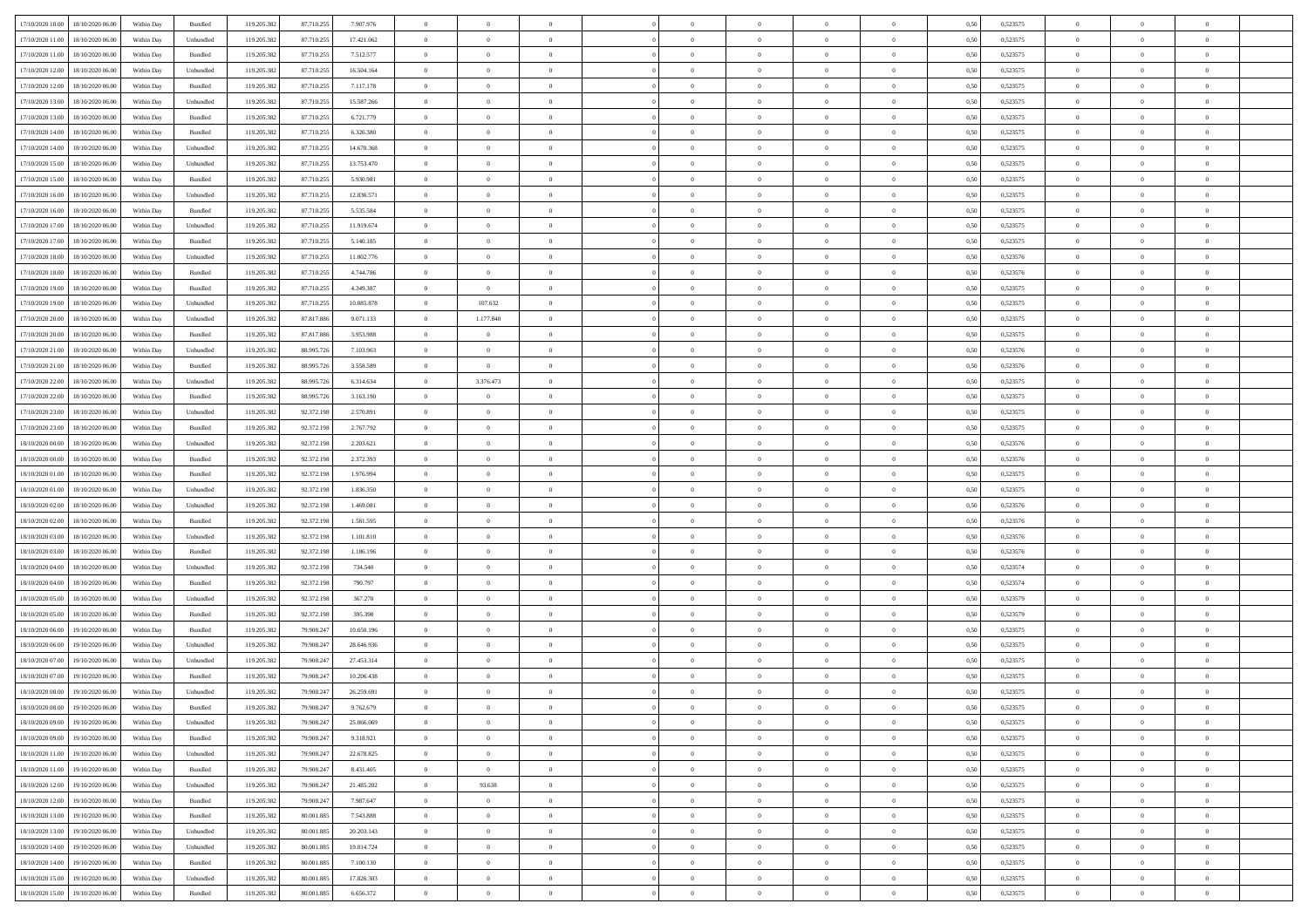| 17/10/2020 10:00                  | 18/10/2020 06:00 | Within Day | Bundled            | 119.205.382 | 87.710.255 | 7.907.976  | $\overline{0}$ | $\theta$       |                | $\overline{0}$ | $\overline{0}$ | $\overline{0}$ | $\theta$       | 0,50 | 0,523575 | $\theta$       | $\theta$       | $\theta$                 |  |
|-----------------------------------|------------------|------------|--------------------|-------------|------------|------------|----------------|----------------|----------------|----------------|----------------|----------------|----------------|------|----------|----------------|----------------|--------------------------|--|
|                                   |                  |            |                    |             |            |            | $\overline{0}$ | $\overline{0}$ | $\overline{0}$ | $\overline{0}$ | $\,$ 0         |                |                |      |          | $\,$ 0 $\,$    | $\overline{0}$ | $\overline{0}$           |  |
| 17/10/2020 11:00                  | 18/10/2020 06.00 | Within Day | Unbundled          | 119.205.382 | 87.710.255 | 17.421.062 |                |                |                |                |                | $\bf{0}$       | $\bf{0}$       | 0,50 | 0,523575 |                |                |                          |  |
| 17/10/2020 11:00                  | 18/10/2020 06:00 | Within Day | Bundled            | 119.205.382 | 87.710.255 | 7.512.577  | $\overline{0}$ | $\overline{0}$ | $\overline{0}$ | $\overline{0}$ | $\bf{0}$       | $\overline{0}$ | $\mathbf{0}$   | 0.50 | 0,523575 | $\bf{0}$       | $\overline{0}$ | $\overline{0}$           |  |
| 17/10/2020 12:00                  | 18/10/2020 06.00 | Within Day | Unbundled          | 119.205.382 | 87.710.255 | 16.504.164 | $\overline{0}$ | $\overline{0}$ | $\overline{0}$ | $\overline{0}$ | $\bf{0}$       | $\overline{0}$ | $\overline{0}$ | 0,50 | 0,523575 | $\theta$       | $\overline{0}$ | $\overline{0}$           |  |
| 17/10/2020 12:00                  | 18/10/2020 06.00 | Within Day | Bundled            | 119.205.382 | 87.710.255 | 7.117.178  | $\overline{0}$ | $\theta$       | $\overline{0}$ |                | $\overline{0}$ | $\overline{0}$ | $\bf{0}$       | 0,50 | 0,523575 | $\,$ 0 $\,$    | $\overline{0}$ | $\overline{0}$           |  |
| 17/10/2020 13:00                  | 18/10/2020 06:00 | Within Day | Unbundled          | 119.205.382 | 87.710.255 | 15.587.266 | $\overline{0}$ | $\overline{0}$ | $\overline{0}$ | $\overline{0}$ | $\bf{0}$       | $\overline{0}$ | $\bf{0}$       | 0.50 | 0.523575 | $\,0\,$        | $\theta$       | $\overline{0}$           |  |
| 17/10/2020 13:00                  | 18/10/2020 06:00 | Within Day | Bundled            | 119.205.382 | 87.710.255 | 6.721.779  | $\overline{0}$ | $\overline{0}$ | $\overline{0}$ | $\overline{0}$ | $\bf{0}$       | $\overline{0}$ | $\overline{0}$ | 0,50 | 0,523575 | $\,$ 0 $\,$    | $\theta$       | $\overline{0}$           |  |
| 17/10/2020 14:00                  | 18/10/2020 06.00 | Within Day | Bundled            | 119.205.382 | 87.710.255 | 6.326.380  | $\overline{0}$ | $\theta$       | $\overline{0}$ |                | $\bf{0}$       | $\overline{0}$ | $\bf{0}$       | 0,50 | 0,523575 | $\,$ 0 $\,$    | $\overline{0}$ | $\overline{0}$           |  |
|                                   |                  |            |                    |             |            |            |                |                |                |                |                |                |                |      |          |                |                |                          |  |
| 17/10/2020 14:00                  | 18/10/2020 06:00 | Within Day | Unbundled          | 119.205.382 | 87.710.255 | 14.670.368 | $\overline{0}$ | $\overline{0}$ | $\overline{0}$ | $\overline{0}$ | $\bf{0}$       | $\overline{0}$ | $\bf{0}$       | 0.50 | 0.523575 | $\,0\,$        | $\overline{0}$ | $\overline{0}$           |  |
| 17/10/2020 15:00                  | 18/10/2020 06.00 | Within Day | Unbundled          | 119.205.382 | 87.710.255 | 13.753.470 | $\overline{0}$ | $\overline{0}$ | $\overline{0}$ | $\overline{0}$ | $\,$ 0         | $\overline{0}$ | $\bf{0}$       | 0,50 | 0,523575 | $\,$ 0 $\,$    | $\overline{0}$ | $\overline{0}$           |  |
| 17/10/2020 15:00                  | 18/10/2020 06.00 | Within Day | Bundled            | 119.205.382 | 87.710.255 | 5.930.981  | $\overline{0}$ | $\theta$       | $\overline{0}$ | $\overline{0}$ | $\,$ 0         | $\overline{0}$ | $\bf{0}$       | 0,50 | 0,523575 | $\,$ 0 $\,$    | $\overline{0}$ | $\overline{0}$           |  |
| 17/10/2020 16:00                  | 18/10/2020 06:00 | Within Day | Unbundled          | 119.205.382 | 87.710.255 | 12.836.571 | $\overline{0}$ | $\overline{0}$ | $\overline{0}$ | $\overline{0}$ | $\bf{0}$       | $\overline{0}$ | $\mathbf{0}$   | 0.50 | 0,523575 | $\bf{0}$       | $\overline{0}$ | $\overline{\phantom{a}}$ |  |
| 17/10/2020 16:00                  | 18/10/2020 06.00 | Within Day | Bundled            | 119.205.382 | 87.710.255 | 5.535.584  | $\overline{0}$ | $\overline{0}$ | $\overline{0}$ | $\overline{0}$ | $\bf{0}$       | $\overline{0}$ | $\overline{0}$ | 0,50 | 0,523575 | $\,$ 0 $\,$    | $\overline{0}$ | $\overline{0}$           |  |
| 17/10/2020 17.00                  | 18/10/2020 06.00 | Within Day | Unbundled          | 119.205.382 | 87.710.255 | 11.919.674 | $\overline{0}$ | $\theta$       | $\overline{0}$ |                | $\overline{0}$ | $\overline{0}$ | $\bf{0}$       | 0,50 | 0,523575 | $\,$ 0 $\,$    | $\overline{0}$ | $\overline{0}$           |  |
| 17/10/2020 17:00                  | 18/10/2020 06:00 | Within Day | Bundled            | 119.205.382 | 87.710.255 | 5.140.185  | $\overline{0}$ | $\overline{0}$ | $\overline{0}$ | $\overline{0}$ | $\,$ 0         | $\overline{0}$ | $\bf{0}$       | 0.50 | 0.523575 | $\,0\,$        | $\theta$       | $\overline{0}$           |  |
|                                   |                  |            |                    |             |            |            |                |                |                |                |                |                |                |      |          |                |                |                          |  |
| 17/10/2020 18:00                  | 18/10/2020 06:00 | Within Day | Unbundled          | 119.205.382 | 87.710.255 | 11.002.776 | $\overline{0}$ | $\overline{0}$ | $\overline{0}$ | $\overline{0}$ | $\bf{0}$       | $\overline{0}$ | $\overline{0}$ | 0,50 | 0,523576 | $\theta$       | $\theta$       | $\overline{0}$           |  |
| 17/10/2020 18:00                  | 18/10/2020 06.00 | Within Day | Bundled            | 119.205.382 | 87.710.255 | 4.744.786  | $\overline{0}$ | $\theta$       | $\overline{0}$ |                | $\bf{0}$       | $\overline{0}$ | $\bf{0}$       | 0,50 | 0,523576 | $\,$ 0 $\,$    | $\overline{0}$ | $\overline{0}$           |  |
| 17/10/2020 19:00                  | 18/10/2020 06:00 | Within Day | Bundled            | 119.205.382 | 87.710.255 | 4.349.387  | $\overline{0}$ | $\overline{0}$ | $\overline{0}$ | $\overline{0}$ | $\bf{0}$       | $\overline{0}$ | $\bf{0}$       | 0.50 | 0.523575 | $\,0\,$        | $\overline{0}$ | $\overline{\phantom{a}}$ |  |
| 17/10/2020 19:00                  | 18/10/2020 06.00 | Within Day | Unbundled          | 119.205.382 | 87.710.255 | 10.085.878 | $\overline{0}$ | 107.632        | $\overline{0}$ | $\overline{0}$ | $\,$ 0         | $\overline{0}$ | $\overline{0}$ | 0,50 | 0,523575 | $\,$ 0 $\,$    | $\overline{0}$ | $\overline{0}$           |  |
| 17/10/2020 20:00                  | 18/10/2020 06.00 | Within Day | Unbundled          | 119.205.382 | 87.817.886 | 9.071.133  | $\bf{0}$       | 1.177.840      | $\overline{0}$ | $\overline{0}$ | $\,$ 0         | $\overline{0}$ | $\bf{0}$       | 0,50 | 0,523575 | $\,$ 0 $\,$    | $\overline{0}$ | $\overline{0}$           |  |
| 17/10/2020 20:00                  | 18/10/2020 06:00 | Within Day | Bundled            | 119.205.382 | 87.817.886 | 3.953.988  | $\overline{0}$ | $\overline{0}$ | $\overline{0}$ | $\overline{0}$ | $\bf{0}$       | $\overline{0}$ | $\mathbf{0}$   | 0.50 | 0,523575 | $\bf{0}$       | $\overline{0}$ | $\overline{0}$           |  |
| 17/10/2020 21:00                  | 18/10/2020 06.00 |            |                    | 119.205.382 | 88.995.726 |            | $\overline{0}$ | $\overline{0}$ | $\overline{0}$ | $\overline{0}$ | $\bf{0}$       | $\overline{0}$ | $\overline{0}$ |      | 0,523576 | $\theta$       | $\overline{0}$ | $\overline{0}$           |  |
|                                   |                  | Within Day | Unbundled          |             |            | 7.103.963  |                |                |                |                |                |                |                | 0,50 |          |                |                |                          |  |
| 17/10/2020 21:00                  | 18/10/2020 06.00 | Within Day | Bundled            | 119.205.382 | 88.995.726 | 3.558.589  | $\overline{0}$ | $\overline{0}$ | $\overline{0}$ | $\overline{0}$ | $\,$ 0         | $\overline{0}$ | $\bf{0}$       | 0,50 | 0,523576 | $\,$ 0 $\,$    | $\overline{0}$ | $\overline{0}$           |  |
| 17/10/2020 22.00                  | 18/10/2020 06:00 | Within Day | Unbundled          | 119.205.382 | 88.995.726 | 6.314.634  | $\overline{0}$ | 3.376.473      | $\overline{0}$ | $\overline{0}$ | $\bf{0}$       | $\overline{0}$ | $\bf{0}$       | 0.50 | 0.523575 | $\,0\,$        | $\theta$       | $\overline{0}$           |  |
| 17/10/2020 22.00                  | 18/10/2020 06:00 | Within Day | Bundled            | 119.205.382 | 88.995.726 | 3.163.190  | $\overline{0}$ | $\overline{0}$ | $\overline{0}$ | $\overline{0}$ | $\bf{0}$       | $\overline{0}$ | $\overline{0}$ | 0,50 | 0,523575 | $\,$ 0 $\,$    | $\theta$       | $\overline{0}$           |  |
| 17/10/2020 23.00                  | 18/10/2020 06.00 | Within Day | Unbundled          | 119.205.382 | 92.372.198 | 2.570.891  | $\overline{0}$ | $\theta$       | $\overline{0}$ |                | $\bf{0}$       | $\overline{0}$ | $\bf{0}$       | 0,50 | 0,523575 | $\,$ 0 $\,$    | $\overline{0}$ | $\overline{0}$           |  |
| 17/10/2020 23.00                  | 18/10/2020 06:00 | Within Day | Bundled            | 119.205.382 | 92.372.198 | 2.767.792  | $\overline{0}$ | $\overline{0}$ | $\overline{0}$ | $\overline{0}$ | $\bf{0}$       | $\overline{0}$ | $\bf{0}$       | 0.50 | 0.523575 | $\,0\,$        | $\overline{0}$ | $\overline{0}$           |  |
| 18/10/2020 00:00                  | 18/10/2020 06:00 | Within Day | Unbundled          | 119.205.382 | 92.372.198 | 2.203.621  | $\overline{0}$ | $\overline{0}$ | $\overline{0}$ | $\overline{0}$ | $\bf{0}$       | $\overline{0}$ | $\overline{0}$ | 0,50 | 0,523576 | $\,$ 0 $\,$    | $\theta$       | $\overline{0}$           |  |
|                                   |                  |            |                    |             |            |            |                |                |                |                |                |                |                |      |          |                |                |                          |  |
| 18/10/2020 00:00                  | 18/10/2020 06.00 | Within Day | Bundled            | 119.205.382 | 92.372.198 | 2.372.393  | $\overline{0}$ | $\overline{0}$ | $\overline{0}$ | $\overline{0}$ | $\,$ 0         | $\bf{0}$       | $\bf{0}$       | 0,50 | 0,523576 | $\,$ 0 $\,$    | $\overline{0}$ | $\overline{0}$           |  |
| 18/10/2020 01:00                  | 18/10/2020 06:00 | Within Day | Bundled            | 119.205.382 | 92.372.198 | 1.976.994  | $\overline{0}$ | $\bf{0}$       | $\overline{0}$ | $\overline{0}$ | $\bf{0}$       | $\overline{0}$ | $\mathbf{0}$   | 0.50 | 0,523575 | $\bf{0}$       | $\overline{0}$ | $\overline{\phantom{a}}$ |  |
| 18/10/2020 01:00                  | 18/10/2020 06:00 | Within Dav | Unbundled          | 119.205.382 | 92.372.198 | 1.836.350  | $\overline{0}$ | $\overline{0}$ | $\theta$       | $\overline{0}$ | $\mathbf{0}$   | $\overline{0}$ | $\overline{0}$ | 0.50 | 0,523575 | $\theta$       | $\overline{0}$ | $\overline{0}$           |  |
| 18/10/2020 02.00                  | 18/10/2020 06.00 | Within Day | Unbundled          | 119.205.382 | 92.372.198 | 1.469.081  | $\overline{0}$ | $\theta$       | $\overline{0}$ |                | $\bf{0}$       | $\overline{0}$ | $\bf{0}$       | 0,50 | 0,523576 | $\,$ 0 $\,$    | $\overline{0}$ | $\overline{0}$           |  |
| 18/10/2020 02:00                  | 18/10/2020 06:00 | Within Day | Bundled            | 119.205.382 | 92.372.198 | 1.581.595  | $\overline{0}$ | $\overline{0}$ | $\overline{0}$ | $\overline{0}$ | $\bf{0}$       | $\overline{0}$ | $\bf{0}$       | 0.50 | 0.523576 | $\,0\,$        | $\theta$       | $\overline{0}$           |  |
| 18/10/2020 03:00                  | 18/10/2020 06:00 | Within Dav | Unbundled          | 119.205.382 | 92.372.198 | 1.101.810  | $\overline{0}$ | $\overline{0}$ | $\Omega$       | $\Omega$       | $\mathbf{0}$   | $\overline{0}$ | $\overline{0}$ | 0.50 | 0,523576 | $\theta$       | $\overline{0}$ | $\overline{0}$           |  |
| 18/10/2020 03:00                  | 18/10/2020 06.00 | Within Day | Bundled            | 119.205.382 | 92.372.198 | 1.186.196  | $\overline{0}$ | $\theta$       | $\overline{0}$ |                | $\,$ 0         | $\overline{0}$ | $\bf{0}$       | 0,50 | 0,523576 | $\,$ 0 $\,$    | $\overline{0}$ | $\overline{0}$           |  |
| 18/10/2020 04:00                  | 18/10/2020 06:00 | Within Day | Unbundled          | 119.205.382 | 92.372.198 | 734.540    | $\overline{0}$ | $\overline{0}$ | $\overline{0}$ | $\overline{0}$ | $\bf{0}$       | $\overline{0}$ | $\bf{0}$       | 0.50 | 0.523574 | $\,0\,$        | $\overline{0}$ | $\overline{0}$           |  |
|                                   |                  |            |                    |             |            |            |                |                |                |                |                |                |                |      |          |                |                |                          |  |
| 18/10/2020 04:00                  | 18/10/2020 06:00 | Within Dav | Bundled            | 119.205.382 | 92.372.198 | 790,797    | $\overline{0}$ | $\overline{0}$ | $\overline{0}$ | $\Omega$       | $\overline{0}$ | $\overline{0}$ | $\overline{0}$ | 0.50 | 0,523574 | $\theta$       | $\overline{0}$ | $\overline{0}$           |  |
| 18/10/2020 05:00                  | 18/10/2020 06.00 | Within Day | Unbundled          | 119.205.382 | 92.372.198 | 367.270    | $\bf{0}$       | $\overline{0}$ | $\overline{0}$ | $\overline{0}$ | $\bf{0}$       | $\bf{0}$       | $\bf{0}$       | 0,50 | 0,523579 | $\,$ 0 $\,$    | $\overline{0}$ | $\overline{0}$           |  |
| 18/10/2020 05:00                  | 18/10/2020 06:00 | Within Day | Bundled            | 119.205.382 | 92.372.198 | 395.398    | $\overline{0}$ | $\overline{0}$ | $\overline{0}$ | $\overline{0}$ | $\bf{0}$       | $\overline{0}$ | $\mathbf{0}$   | 0.50 | 0,523579 | $\bf{0}$       | $\overline{0}$ | $\overline{0}$           |  |
| 18/10/2020 06:00                  | 19/10/2020 06:00 | Within Dav | Bundled            | 119.205.382 | 79.908.247 | 10.650.196 | $\overline{0}$ | $\overline{0}$ | $\Omega$       | $\Omega$       | $\mathbf{0}$   | $\overline{0}$ | $\overline{0}$ | 0.50 | 0,523575 | $\theta$       | $\overline{0}$ | $\overline{0}$           |  |
| 18/10/2020 06.00                  | 19/10/2020 06.00 | Within Day | Unbundled          | 119.205.382 | 79.908.247 | 28.646.936 | $\overline{0}$ | $\theta$       | $\overline{0}$ | $\overline{0}$ | $\,$ 0         | $\overline{0}$ | $\bf{0}$       | 0,50 | 0,523575 | $\,$ 0 $\,$    | $\overline{0}$ | $\overline{0}$           |  |
| 18/10/2020 07:00                  | 19/10/2020 06:00 | Within Day | Unbundled          | 119.205.382 | 79.908.247 | 27.453.314 | $\overline{0}$ | $\overline{0}$ | $\overline{0}$ | $\overline{0}$ | $\bf{0}$       | $\overline{0}$ | $\overline{0}$ | 0.50 | 0,523575 | $\,0\,$        | $\theta$       | $\overline{0}$           |  |
| 18/10/2020 07:00                  | 19/10/2020 06:00 | Within Dav | Bundled            | 119.205.382 | 79.908.24  | 10.206.438 | $\overline{0}$ | $\Omega$       | $\Omega$       | $\Omega$       | $\bf{0}$       | $\overline{0}$ | $\mathbf{0}$   | 0.50 | 0,523575 | $\theta$       | $\overline{0}$ | $\overline{0}$           |  |
|                                   |                  |            |                    |             |            |            |                | $\overline{0}$ | $\overline{0}$ | $\overline{0}$ | $\,$ 0         | $\overline{0}$ |                |      |          | $\,$ 0 $\,$    | $\overline{0}$ | $\overline{0}$           |  |
| 18/10/2020 08:00                  | 19/10/2020 06.00 | Within Day | Unbundled          | 119.205.382 | 79.908.247 | 26.259.691 | $\bf{0}$       |                |                |                |                |                | $\bf{0}$       | 0,50 | 0,523575 |                |                |                          |  |
| 18/10/2020 08:00                  | 19/10/2020 06:00 | Within Day | $\mathbf B$ undled | 119.205.382 | 79.908.247 | 9.762.679  | $\bf{0}$       | $\theta$       |                |                |                |                |                | 0,50 | 0,523575 | $\bf{0}$       | $\theta$       |                          |  |
| 18/10/2020 09:00                  | 19/10/2020 06:00 | Within Day | Unbundled          | 119.205.382 | 79.908.247 | 25.066.069 | $\Omega$       | $\overline{0}$ | $\Omega$       | $\Omega$       | $\mathbf{0}$   | $\overline{0}$ | $\mathbf{0}$   | 0,50 | 0,523575 | $\theta$       | $\theta$       | $\overline{0}$           |  |
| 18/10/2020 09:00                  | 19/10/2020 06.00 | Within Day | Bundled            | 119.205.382 | 79.908.247 | 9.318.921  | $\bf{0}$       | $\overline{0}$ | $\overline{0}$ | $\bf{0}$       | $\overline{0}$ | $\overline{0}$ | $\mathbf{0}$   | 0,50 | 0,523575 | $\bf{0}$       | $\overline{0}$ | $\bf{0}$                 |  |
| 18/10/2020 11:00                  | 19/10/2020 06:00 | Within Day | Unbundled          | 119.205.382 | 79.908.247 | 22.678.825 | $\overline{0}$ | $\overline{0}$ | $\overline{0}$ | $\overline{0}$ | $\bf{0}$       | $\overline{0}$ | $\mathbf{0}$   | 0.50 | 0,523575 | $\overline{0}$ | $\bf{0}$       | $\bf{0}$                 |  |
| 18/10/2020 11:00                  | 19/10/2020 06:00 | Within Dav | Bundled            | 119.205.382 | 79.908.247 | 8.431.405  | $\overline{0}$ | $\overline{0}$ | $\overline{0}$ | $\overline{0}$ | $\mathbf{0}$   | $\overline{0}$ | $\mathbf{0}$   | 0.50 | 0,523575 | $\overline{0}$ | $\theta$       | $\overline{0}$           |  |
| 18/10/2020 12:00                  | 19/10/2020 06.00 | Within Day | Unbundled          | 119.205.382 | 79.908.247 | 21.485.202 | $\bf{0}$       | 93.638         | $\overline{0}$ | $\overline{0}$ | $\bf{0}$       | $\bf{0}$       | $\bf{0}$       | 0,50 | 0,523575 | $\,0\,$        | $\overline{0}$ | $\overline{0}$           |  |
|                                   |                  |            |                    |             |            |            |                |                |                |                |                |                |                |      |          |                |                |                          |  |
| 18/10/2020 12:00                  | 19/10/2020 06:00 | Within Day | Bundled            | 119.205.382 | 79.908.247 | 7.987.647  | $\overline{0}$ | $\overline{0}$ | $\overline{0}$ | $\overline{0}$ | $\overline{0}$ | $\overline{0}$ | $\overline{0}$ | 0.50 | 0.523575 | $\,$ 0 $\,$    | $\theta$       | $\overline{0}$           |  |
| 18/10/2020 13:00                  | 19/10/2020 06:00 | Within Day | Bundled            | 119.205.382 | 80.001.885 | 7.543.888  | $\overline{0}$ | $\overline{0}$ | $\overline{0}$ | $\overline{0}$ | $\overline{0}$ | $\overline{0}$ | $\overline{0}$ | 0,50 | 0,523575 | $\overline{0}$ | $\theta$       | $\overline{0}$           |  |
| 18/10/2020 13:00                  | 19/10/2020 06.00 | Within Day | Unbundled          | 119.205.382 | 80.001.885 | 20.203.143 | $\bf{0}$       | $\,$ 0         | $\overline{0}$ | $\bf{0}$       | $\bf{0}$       | $\bf{0}$       | $\bf{0}$       | 0,50 | 0,523575 | $\,$ 0 $\,$    | $\overline{0}$ | $\,$ 0                   |  |
| 18/10/2020 14:00                  | 19/10/2020 06:00 | Within Day | Unbundled          | 119.205.382 | 80,001,885 | 19.014.724 | $\overline{0}$ | $\overline{0}$ | $\overline{0}$ | $\overline{0}$ | $\bf{0}$       | $\overline{0}$ | $\mathbf{0}$   | 0.50 | 0.523575 | $\mathbf{0}$   | $\,$ 0 $\,$    | $\overline{0}$           |  |
| 18/10/2020 14:00                  | 19/10/2020 06:00 | Within Dav | Bundled            | 119.205.382 | 80.001.885 | 7.100.130  | $\overline{0}$ | $\overline{0}$ | $\overline{0}$ | $\overline{0}$ | $\overline{0}$ | $\overline{0}$ | $\overline{0}$ | 0,50 | 0,523575 | $\overline{0}$ | $\theta$       | $\overline{0}$           |  |
| 18/10/2020 15:00                  | 19/10/2020 06.00 | Within Day | Unbundled          | 119.205.382 | 80.001.885 | 17.826.303 | $\overline{0}$ | $\overline{0}$ | $\overline{0}$ | $\overline{0}$ | $\bf{0}$       | $\bf{0}$       | $\bf{0}$       | 0,50 | 0,523575 | $\bf{0}$       | $\overline{0}$ | $\bf{0}$                 |  |
|                                   |                  |            |                    |             |            |            | $\overline{0}$ |                |                | $\overline{0}$ |                | $\overline{0}$ |                |      |          | $\overline{0}$ | $\,$ 0 $\,$    | $\,$ 0 $\,$              |  |
| 18/10/2020 15:00 19/10/2020 06:00 |                  | Within Day | Bundled            | 119.205.382 | 80.001.885 | 6.656.372  |                | $\overline{0}$ | $\overline{0}$ |                | $\bf{0}$       |                | $\,$ 0 $\,$    | 0,50 | 0,523575 |                |                |                          |  |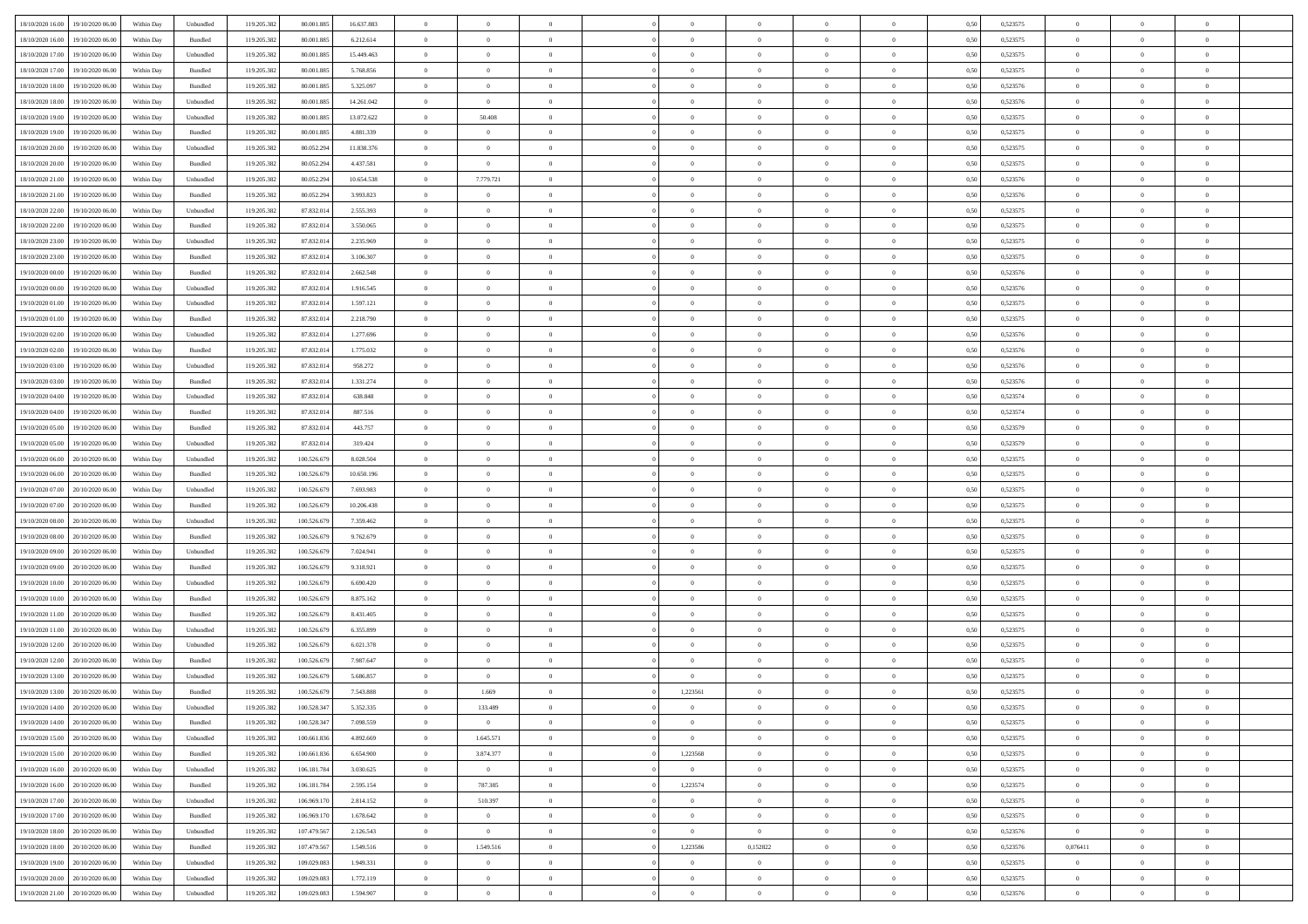| 18/10/2020 16:00                  | 19/10/2020 06:00 | Within Day | Unbundled | 119.205.382 | 80.001.885  | 16.637.883 | $\overline{0}$ | $\theta$       |                | $\overline{0}$ | $\bf{0}$       |                | $\theta$       | 0,50 | 0,523575 | $\theta$       | $\theta$       | $\theta$                 |  |
|-----------------------------------|------------------|------------|-----------|-------------|-------------|------------|----------------|----------------|----------------|----------------|----------------|----------------|----------------|------|----------|----------------|----------------|--------------------------|--|
| 18/10/2020 16.00                  | 19/10/2020 06.00 | Within Day | Bundled   | 119.205.382 | 80.001.885  | 6.212.614  | $\overline{0}$ | $\theta$       | $\overline{0}$ | $\overline{0}$ | $\,$ 0         | $\bf{0}$       | $\bf{0}$       | 0,50 | 0,523575 | $\,$ 0 $\,$    | $\overline{0}$ | $\overline{0}$           |  |
|                                   |                  |            |           |             |             |            |                |                |                |                |                |                |                |      |          |                |                |                          |  |
| 18/10/2020 17:00                  | 19/10/2020 06:00 | Within Day | Unbundled | 119.205.382 | 80.001.885  | 15.449.463 | $\overline{0}$ | $\overline{0}$ | $\overline{0}$ | $\overline{0}$ | $\bf{0}$       | $\overline{0}$ | $\mathbf{0}$   | 0.50 | 0,523575 | $\bf{0}$       | $\overline{0}$ | $\overline{0}$           |  |
| 18/10/2020 17:00                  | 19/10/2020 06.00 | Within Day | Bundled   | 119.205.382 | 80.001.885  | 5.768.856  | $\overline{0}$ | $\overline{0}$ | $\overline{0}$ | $\overline{0}$ | $\bf{0}$       | $\overline{0}$ | $\overline{0}$ | 0,50 | 0,523575 | $\,$ 0 $\,$    | $\overline{0}$ | $\overline{0}$           |  |
| 18/10/2020 18:00                  | 19/10/2020 06.00 | Within Day | Bundled   | 119.205.382 | 80.001.885  | 5.325.097  | $\overline{0}$ | $\theta$       | $\overline{0}$ |                | $\overline{0}$ | $\overline{0}$ | $\bf{0}$       | 0,50 | 0,523576 | $\,$ 0 $\,$    | $\overline{0}$ | $\overline{0}$           |  |
| 18/10/2020 18:00                  | 19/10/2020 06:00 | Within Day | Unbundled | 119.205.382 | 80,001.885  | 14.261.042 | $\overline{0}$ | $\overline{0}$ | $\overline{0}$ | $\overline{0}$ | $\bf{0}$       | $\overline{0}$ | $\bf{0}$       | 0.50 | 0.523576 | $\,0\,$        | $\theta$       | $\overline{0}$           |  |
| 18/10/2020 19:00                  | 19/10/2020 06:00 | Within Day | Unbundled | 119.205.382 | 80.001.885  | 13.072.622 | $\overline{0}$ | 50.408         | $\overline{0}$ | $\overline{0}$ | $\bf{0}$       | $\overline{0}$ | $\overline{0}$ | 0,50 | 0,523575 | $\,0\,$        | $\theta$       | $\overline{0}$           |  |
| 18/10/2020 19:00                  | 19/10/2020 06.00 | Within Day | Bundled   | 119.205.382 | 80.001.885  | 4.881.339  | $\overline{0}$ | $\theta$       | $\overline{0}$ |                | $\,$ 0         | $\overline{0}$ | $\bf{0}$       | 0,50 | 0,523575 | $\,$ 0 $\,$    | $\overline{0}$ | $\overline{0}$           |  |
| 18/10/2020 20:00                  | 19/10/2020 06:00 | Within Day | Unbundled | 119.205.382 | 80.052.294  | 11.838.376 | $\overline{0}$ | $\overline{0}$ | $\overline{0}$ | $\overline{0}$ | $\bf{0}$       | $\overline{0}$ | $\bf{0}$       | 0.50 | 0.523575 | $\,0\,$        | $\overline{0}$ | $\overline{0}$           |  |
| 18/10/2020 20:00                  | 19/10/2020 06:00 | Within Day | Bundled   | 119.205.382 | 80.052.294  | 4.437.581  | $\overline{0}$ | $\overline{0}$ | $\overline{0}$ | $\overline{0}$ | $\bf{0}$       | $\overline{0}$ | $\bf{0}$       | 0,50 | 0,523575 | $\,$ 0 $\,$    | $\overline{0}$ | $\overline{0}$           |  |
| 18/10/2020 21:00                  | 19/10/2020 06.00 | Within Day | Unbundled | 119.205.382 | 80.052.294  | 10.654.538 | $\overline{0}$ | 7.779.721      | $\overline{0}$ |                | $\,$ 0         | $\overline{0}$ | $\bf{0}$       | 0,50 | 0,523576 | $\,$ 0 $\,$    | $\overline{0}$ | $\overline{0}$           |  |
| 18/10/2020 21:00                  | 19/10/2020 06:00 | Within Day | Bundled   | 119.205.382 | 80.052.294  | 3.993.823  | $\overline{0}$ | $\overline{0}$ | $\overline{0}$ | $\overline{0}$ | $\bf{0}$       | $\overline{0}$ | $\mathbf{0}$   | 0.50 | 0,523576 | $\bf{0}$       | $\overline{0}$ | $\overline{\phantom{a}}$ |  |
|                                   |                  |            |           |             |             |            |                |                |                |                |                |                |                |      |          |                | $\overline{0}$ |                          |  |
| 18/10/2020 22.00                  | 19/10/2020 06.00 | Within Day | Unbundled | 119.205.382 | 87.832.014  | 2.555.393  | $\overline{0}$ | $\overline{0}$ | $\overline{0}$ | $\overline{0}$ | $\bf{0}$       | $\overline{0}$ | $\overline{0}$ | 0,50 | 0,523575 | $\,$ 0 $\,$    |                | $\overline{0}$           |  |
| 18/10/2020 22.00                  | 19/10/2020 06.00 | Within Day | Bundled   | 119.205.382 | 87.832.014  | 3.550.065  | $\overline{0}$ | $\theta$       | $\overline{0}$ |                | $\overline{0}$ | $\overline{0}$ | $\bf{0}$       | 0,50 | 0,523575 | $\,$ 0 $\,$    | $\overline{0}$ | $\overline{0}$           |  |
| 18/10/2020 23:00                  | 19/10/2020 06:00 | Within Day | Unbundled | 119.205.382 | 87.832.014  | 2.235.969  | $\overline{0}$ | $\overline{0}$ | $\overline{0}$ | $\overline{0}$ | $\,$ 0         | $\overline{0}$ | $\bf{0}$       | 0.50 | 0,523575 | $\,0\,$        | $\theta$       | $\overline{0}$           |  |
| 18/10/2020 23.00                  | 19/10/2020 06:00 | Within Day | Bundled   | 119.205.382 | 87.832.014  | 3.106.307  | $\overline{0}$ | $\overline{0}$ | $\overline{0}$ | $\overline{0}$ | $\bf{0}$       | $\overline{0}$ | $\overline{0}$ | 0,50 | 0,523575 | $\theta$       | $\theta$       | $\overline{0}$           |  |
| 19/10/2020 00:00                  | 19/10/2020 06.00 | Within Day | Bundled   | 119.205.382 | 87.832.014  | 2.662.548  | $\overline{0}$ | $\theta$       | $\overline{0}$ |                | $\,$ 0         | $\overline{0}$ | $\bf{0}$       | 0,50 | 0,523576 | $\,$ 0 $\,$    | $\overline{0}$ | $\overline{0}$           |  |
| 19/10/2020 00:00                  | 19/10/2020 06:00 | Within Day | Unbundled | 119.205.382 | 87.832.014  | 1.916.545  | $\overline{0}$ | $\overline{0}$ | $\overline{0}$ | $\overline{0}$ | $\bf{0}$       | $\overline{0}$ | $\bf{0}$       | 0.50 | 0.523576 | $\,0\,$        | $\overline{0}$ | $\overline{\phantom{a}}$ |  |
| 19/10/2020 01:00                  | 19/10/2020 06.00 | Within Day | Unbundled | 119.205.382 | 87.832.014  | 1.597.121  | $\overline{0}$ | $\overline{0}$ | $\overline{0}$ | $\overline{0}$ | $\,$ 0         | $\overline{0}$ | $\overline{0}$ | 0,50 | 0,523575 | $\,$ 0 $\,$    | $\overline{0}$ | $\overline{0}$           |  |
| 19/10/2020 01:00                  | 19/10/2020 06.00 | Within Day | Bundled   | 119.205.382 | 87.832.014  | 2.218.790  | $\bf{0}$       | $\,$ 0 $\,$    | $\overline{0}$ | $\overline{0}$ | $\,$ 0         | $\overline{0}$ | $\bf{0}$       | 0,50 | 0,523575 | $\,$ 0 $\,$    | $\overline{0}$ | $\overline{0}$           |  |
| 19/10/2020 02:00                  | 19/10/2020 06:00 | Within Day | Unbundled | 119.205.382 | 87.832.014  | 1.277.696  | $\overline{0}$ | $\overline{0}$ | $\overline{0}$ | $\overline{0}$ | $\bf{0}$       | $\overline{0}$ | $\mathbf{0}$   | 0.50 | 0,523576 | $\bf{0}$       | $\overline{0}$ | $\overline{\phantom{a}}$ |  |
| 19/10/2020 02.00                  | 19/10/2020 06.00 | Within Day | Bundled   | 119.205.382 | 87.832.014  | 1.775.032  | $\overline{0}$ | $\overline{0}$ | $\overline{0}$ | $\overline{0}$ | $\bf{0}$       | $\overline{0}$ | $\overline{0}$ | 0,50 | 0,523576 | $\,$ 0 $\,$    | $\overline{0}$ | $\overline{0}$           |  |
| 19/10/2020 03:00                  | 19/10/2020 06.00 | Within Day | Unbundled | 119.205.382 | 87.832.014  | 958.272    | $\overline{0}$ | $\theta$       | $\overline{0}$ | $\overline{0}$ | $\,$ 0         | $\overline{0}$ | $\bf{0}$       | 0,50 | 0,523576 | $\,$ 0 $\,$    | $\overline{0}$ | $\overline{0}$           |  |
|                                   | 19/10/2020 06:00 |            |           |             |             | 1.331.274  |                | $\overline{0}$ |                |                |                | $\overline{0}$ |                |      | 0.523576 |                | $\theta$       | $\overline{0}$           |  |
| 19/10/2020 03:00                  |                  | Within Day | Bundled   | 119.205.382 | 87.832.014  |            | $\overline{0}$ |                | $\overline{0}$ | $\overline{0}$ | $\bf{0}$       |                | $\bf{0}$       | 0.50 |          | $\,0\,$        |                |                          |  |
| 19/10/2020 04:00                  | 19/10/2020 06:00 | Within Day | Unbundled | 119.205.382 | 87.832.014  | 638.848    | $\overline{0}$ | $\overline{0}$ | $\overline{0}$ | $\overline{0}$ | $\bf{0}$       | $\overline{0}$ | $\overline{0}$ | 0,50 | 0,523574 | $\,$ 0 $\,$    | $\theta$       | $\overline{0}$           |  |
| 19/10/2020 04:00                  | 19/10/2020 06.00 | Within Day | Bundled   | 119.205.382 | 87.832.014  | 887.516    | $\overline{0}$ | $\theta$       | $\overline{0}$ |                | $\bf{0}$       | $\overline{0}$ | $\bf{0}$       | 0,50 | 0,523574 | $\,$ 0 $\,$    | $\overline{0}$ | $\overline{0}$           |  |
| 19/10/2020 05:00                  | 19/10/2020 06:00 | Within Day | Bundled   | 119.205.382 | 87.832.014  | 443,757    | $\overline{0}$ | $\overline{0}$ | $\overline{0}$ | $\overline{0}$ | $\bf{0}$       | $\overline{0}$ | $\bf{0}$       | 0.50 | 0.523579 | $\,0\,$        | $\overline{0}$ | $\overline{0}$           |  |
| 19/10/2020 05:00                  | 19/10/2020 06:00 | Within Day | Unbundled | 119.205.382 | 87.832.014  | 319.424    | $\overline{0}$ | $\overline{0}$ | $\overline{0}$ | $\overline{0}$ | $\bf{0}$       | $\overline{0}$ | $\overline{0}$ | 0,50 | 0,523579 | $\,$ 0 $\,$    | $\overline{0}$ | $\overline{0}$           |  |
| 19/10/2020 06.00                  | 20/10/2020 06.00 | Within Day | Unbundled | 119.205.382 | 100.526.679 | 8.028.504  | $\bf{0}$       | $\overline{0}$ | $\overline{0}$ | $\overline{0}$ | $\,$ 0         | $\bf{0}$       | $\bf{0}$       | 0,50 | 0,523575 | $\,$ 0 $\,$    | $\overline{0}$ | $\overline{0}$           |  |
| 19/10/2020 06:00                  | 20/10/2020 06:00 | Within Day | Bundled   | 119.205.382 | 100.526.679 | 10.650.196 | $\overline{0}$ | $\bf{0}$       | $\overline{0}$ | $\overline{0}$ | $\bf{0}$       | $\overline{0}$ | $\mathbf{0}$   | 0.50 | 0,523575 | $\bf{0}$       | $\overline{0}$ | $\overline{\phantom{a}}$ |  |
| 19/10/2020 07:00                  | 20/10/2020 06:00 | Within Dav | Unbundled | 119.205.382 | 100.526.679 | 7.693.983  | $\overline{0}$ | $\overline{0}$ | $\theta$       | $\overline{0}$ | $\overline{0}$ | $\overline{0}$ | $\overline{0}$ | 0.50 | 0,523575 | $\theta$       | $\overline{0}$ | $\overline{0}$           |  |
| 19/10/2020 07:00                  | 20/10/2020 06.00 | Within Day | Bundled   | 119.205.382 | 100.526.679 | 10.206.438 | $\overline{0}$ | $\theta$       | $\overline{0}$ |                | $\,$ 0         | $\overline{0}$ | $\bf{0}$       | 0,50 | 0,523575 | $\,$ 0 $\,$    | $\overline{0}$ | $\overline{0}$           |  |
| 19/10/2020 08:00                  | 20/10/2020 06:00 | Within Day | Unbundled | 119.205.382 | 100.526.679 | 7.359.462  | $\overline{0}$ | $\overline{0}$ | $\overline{0}$ | $\overline{0}$ | $\bf{0}$       | $\overline{0}$ | $\bf{0}$       | 0.50 | 0,523575 | $\,0\,$        | $\overline{0}$ | $\overline{0}$           |  |
| 19/10/2020 08:00                  | 20/10/2020 06:00 | Within Dav | Bundled   | 119.205.382 | 100.526.679 | 9.762.679  | $\overline{0}$ | $\theta$       | $\Omega$       | $\Omega$       | $\mathbf{0}$   | $\overline{0}$ | $\overline{0}$ | 0.50 | 0,523575 | $\theta$       | $\overline{0}$ | $\overline{0}$           |  |
| 19/10/2020 09:00                  | 20/10/2020 06.00 | Within Day | Unbundled | 119.205.38  | 100.526.679 | 7.024.941  | $\overline{0}$ | $\theta$       | $\overline{0}$ |                | $\,$ 0         | $\overline{0}$ | $\bf{0}$       | 0,50 | 0,523575 | $\,$ 0 $\,$    | $\overline{0}$ | $\overline{0}$           |  |
| 19/10/2020 09:00                  | 20/10/2020 06:00 | Within Day | Bundled   | 119.205.382 | 100.526.679 | 9.318.921  | $\overline{0}$ | $\overline{0}$ | $\overline{0}$ | $\overline{0}$ | $\bf{0}$       | $\overline{0}$ | $\bf{0}$       | 0.50 | 0.523575 | $\,0\,$        | $\overline{0}$ | $\overline{0}$           |  |
|                                   |                  |            |           |             |             |            |                |                |                |                |                |                |                |      |          |                |                |                          |  |
| 19/10/2020 10:00                  | 20/10/2020 06:00 | Within Dav | Unbundled | 119.205.382 | 100.526.679 | 6.690.420  | $\overline{0}$ | $\overline{0}$ | $\overline{0}$ | $\Omega$       | $\overline{0}$ | $\overline{0}$ | $\overline{0}$ | 0.50 | 0,523575 | $\theta$       | $\overline{0}$ | $\overline{0}$           |  |
| 19/10/2020 10:00                  | 20/10/2020 06.00 | Within Day | Bundled   | 119.205.38  | 100.526.679 | 8.875.162  | $\bf{0}$       | $\overline{0}$ | $\overline{0}$ | $\overline{0}$ | $\bf{0}$       | $\bf{0}$       | $\bf{0}$       | 0,50 | 0,523575 | $\,$ 0 $\,$    | $\overline{0}$ | $\overline{0}$           |  |
| 19/10/2020 11:00                  | 20/10/2020 06:00 | Within Day | Bundled   | 119.205.382 | 100.526.679 | 8.431.405  | $\overline{0}$ | $\overline{0}$ | $\overline{0}$ | $\overline{0}$ | $\bf{0}$       | $\overline{0}$ | $\mathbf{0}$   | 0.50 | 0,523575 | $\,$ 0 $\,$    | $\overline{0}$ | $\overline{0}$           |  |
| 19/10/2020 11:00                  | 20/10/2020 06:00 | Within Dav | Unbundled | 119.205.382 | 100.526.679 | 6.355.899  | $\overline{0}$ | $\overline{0}$ | $\Omega$       | $\Omega$       | $\mathbf{0}$   | $\overline{0}$ | $\overline{0}$ | 0.50 | 0,523575 | $\theta$       | $\overline{0}$ | $\overline{0}$           |  |
| 19/10/2020 12:00                  | 20/10/2020 06.00 | Within Day | Unbundled | 119.205.382 | 100.526.679 | 6.021.378  | $\overline{0}$ | $\overline{0}$ | $\overline{0}$ | $\overline{0}$ | $\,$ 0         | $\overline{0}$ | $\bf{0}$       | 0,50 | 0,523575 | $\,$ 0 $\,$    | $\overline{0}$ | $\overline{0}$           |  |
| 19/10/2020 12:00                  | 20/10/2020 06:00 | Within Day | Bundled   | 119.205.382 | 100.526.679 | 7.987.647  | $\overline{0}$ | $\overline{0}$ | $\overline{0}$ | $\overline{0}$ | $\bf{0}$       | $\overline{0}$ | $\overline{0}$ | 0.50 | 0,523575 | $\,0\,$        | $\theta$       | $\overline{0}$           |  |
| 19/10/2020 13:00                  | 20/10/2020 06:00 | Within Dav | Unbundled | 119.205.382 | 100.526.679 | 5.686.857  | $\overline{0}$ | $\overline{0}$ | $\Omega$       | $\overline{0}$ | $\bf{0}$       | $\overline{0}$ | $\mathbf{0}$   | 0.50 | 0,523575 | $\theta$       | $\overline{0}$ | $\overline{0}$           |  |
| 19/10/2020 13:00                  | 20/10/2020 06:00 | Within Day | Bundled   | 119.205.382 | 100.526.679 | 7.543.888  | $\bf{0}$       | 1.669          | $\overline{0}$ | 1,223561       | $\,$ 0         | $\overline{0}$ | $\bf{0}$       | 0,50 | 0,523575 | $\,$ 0 $\,$    | $\overline{0}$ | $\overline{0}$           |  |
| 19/10/2020 14:00 20/10/2020 06:00 |                  | Within Day | Unbundled | 119.205.382 | 100.528.347 | 5.352.335  | $\bf{0}$       | 133.489        |                | $^{\circ}$     | $\bf{0}$       |                |                | 0,50 | 0,523575 | $\bf{0}$       | $\bf{0}$       |                          |  |
| 19/10/2020 14:00 20/10/2020 06:00 |                  | Within Day | Bundled   | 119.205.382 | 100.528.347 | 7.098.559  | $\Omega$       | $\overline{0}$ | $\overline{0}$ | $\Omega$       | $\mathbf{0}$   | $\overline{0}$ | $\mathbf{0}$   | 0.50 | 0,523575 | $\theta$       | $\overline{0}$ | $\overline{0}$           |  |
| 19/10/2020 15:00                  | 20/10/2020 06:00 | Within Day | Unbundled | 119.205.382 | 100.661.836 | 4.892.669  | $\overline{0}$ | 1.645.571      | $\overline{0}$ | $\bf{0}$       | $\overline{0}$ | $\overline{0}$ | $\mathbf{0}$   | 0,50 | 0,523575 | $\bf{0}$       | $\overline{0}$ | $\bf{0}$                 |  |
| 19/10/2020 15:00                  | 20/10/2020 06:00 | Within Day | Bundled   | 119.205.382 | 100,661,836 | 6.654.900  | $\overline{0}$ | 3.874.377      | $\overline{0}$ | 1,223568       | $\bf{0}$       | $\overline{0}$ | $\mathbf{0}$   | 0.50 | 0,523575 | $\overline{0}$ | $\bf{0}$       | $\bf{0}$                 |  |
|                                   |                  |            |           |             |             |            |                |                |                |                |                |                |                |      |          |                |                |                          |  |
| 19/10/2020 16:00                  | 20/10/2020 06:00 | Within Day | Unbundled | 119.205.382 | 106.181.784 | 3.030.625  | $\overline{0}$ | $\overline{0}$ | $\overline{0}$ | $\overline{0}$ | $\overline{0}$ | $\overline{0}$ | $\mathbf{0}$   | 0.50 | 0,523575 | $\overline{0}$ | $\theta$       | $\overline{0}$           |  |
| 19/10/2020 16:00                  | 20/10/2020 06:00 | Within Day | Bundled   | 119.205.382 | 106.181.784 | 2.595.154  | $\overline{0}$ | 787.385        | $\overline{0}$ | 1,223574       | $\bf{0}$       | $\bf{0}$       | $\bf{0}$       | 0,50 | 0,523575 | $\,0\,$        | $\overline{0}$ | $\overline{0}$           |  |
| 19/10/2020 17:00                  | 20/10/2020 06:00 | Within Day | Unbundled | 119.205.382 | 106.969.170 | 2.814.152  | $\overline{0}$ | 510.397        | $\overline{0}$ | $\overline{0}$ | $\overline{0}$ | $\overline{0}$ | $\overline{0}$ | 0.50 | 0,523575 | $\,$ 0 $\,$    | $\theta$       | $\overline{0}$           |  |
| 19/10/2020 17:00                  | 20/10/2020 06:00 | Within Dav | Bundled   | 119.205.382 | 106.969.170 | 1.678.642  | $\overline{0}$ | $\overline{0}$ | $\overline{0}$ | $\overline{0}$ | $\overline{0}$ | $\overline{0}$ | $\overline{0}$ | 0.50 | 0,523575 | $\overline{0}$ | $\overline{0}$ | $\overline{0}$           |  |
| 19/10/2020 18:00                  | 20/10/2020 06:00 | Within Day | Unbundled | 119.205.382 | 107.479.567 | 2.126.543  | $\overline{0}$ | $\overline{0}$ | $\overline{0}$ | $\bf{0}$       | $\overline{0}$ | $\bf{0}$       | $\bf{0}$       | 0,50 | 0,523576 | $\,$ 0 $\,$    | $\overline{0}$ | $\,$ 0                   |  |
| 19/10/2020 18:00                  | 20/10/2020 06:00 | Within Day | Bundled   | 119.205.382 | 107.479.567 | 1.549.516  | $\overline{0}$ | 1.549.516      | $\overline{0}$ | 1,223586       | 0,152822       | $\overline{0}$ | $\mathbf{0}$   | 0.50 | 0.523576 | 0,076411       | $\,$ 0 $\,$    | $\overline{0}$           |  |
| 19/10/2020 19:00                  | 20/10/2020 06:00 | Within Day | Unbundled | 119.205.382 | 109.029.083 | 1.949.331  | $\overline{0}$ | $\overline{0}$ | $\overline{0}$ | $\overline{0}$ | $\overline{0}$ | $\overline{0}$ | $\overline{0}$ | 0,50 | 0,523575 | $\overline{0}$ | $\overline{0}$ | $\overline{0}$           |  |
| 19/10/2020 20.00                  | 20/10/2020 06.00 | Within Day | Unbundled | 119.205.382 | 109.029.083 | 1.772.119  | $\overline{0}$ | $\overline{0}$ | $\overline{0}$ | $\bf{0}$       | $\bf{0}$       | $\bf{0}$       | $\bf{0}$       | 0,50 | 0,523575 | $\bf{0}$       | $\overline{0}$ | $\bf{0}$                 |  |
| 19/10/2020 21:00 20/10/2020 06:00 |                  | Within Day | Unbundled | 119.205.382 | 109.029.083 | 1.594.907  | $\,$ 0 $\,$    | $\overline{0}$ | $\overline{0}$ | $\overline{0}$ | $\bf{0}$       | $\overline{0}$ | $\bf{0}$       | 0,50 | 0,523576 | $\,$ 0 $\,$    | $\bf{0}$       | $\,$ 0 $\,$              |  |
|                                   |                  |            |           |             |             |            |                |                |                |                |                |                |                |      |          |                |                |                          |  |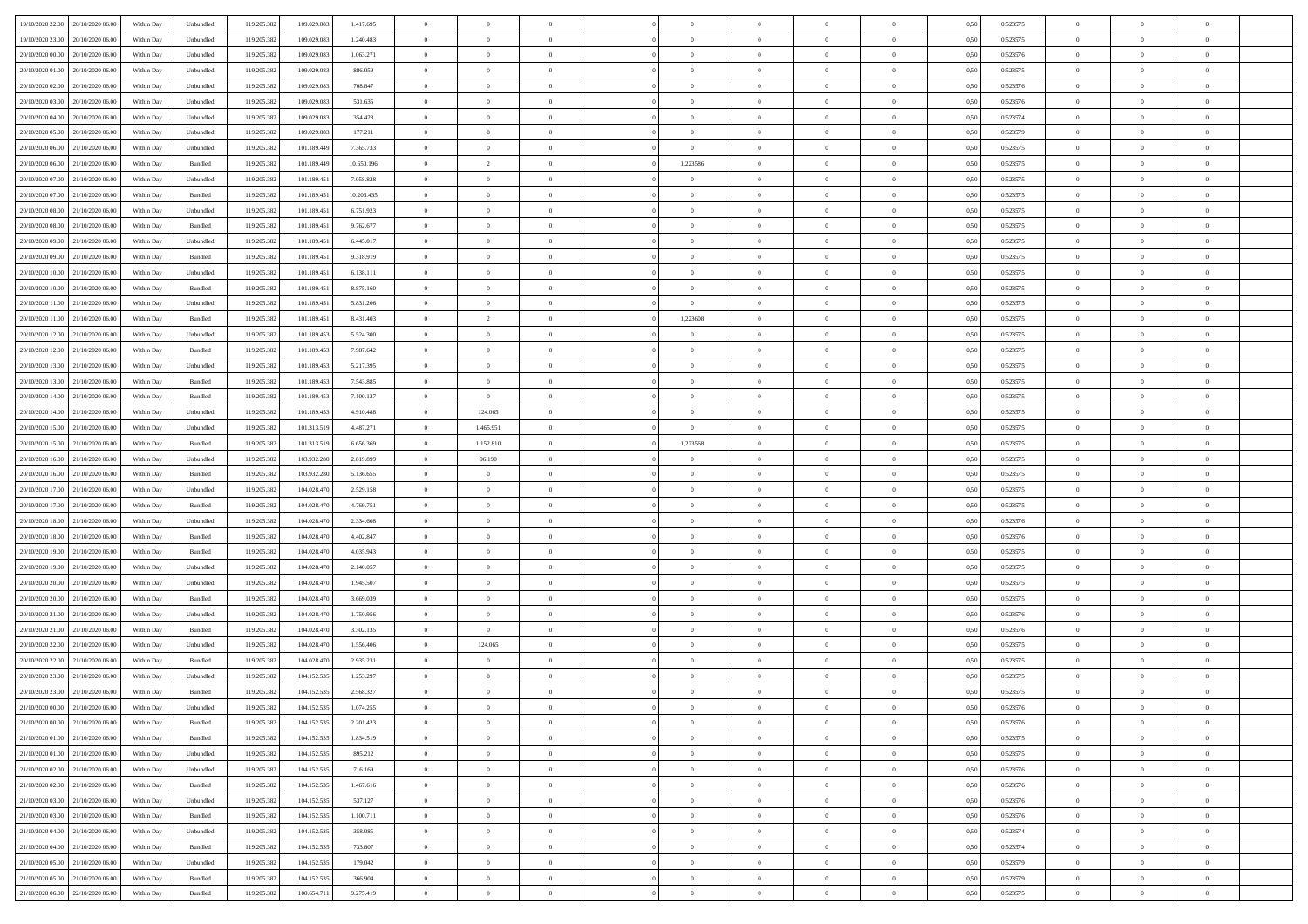| 19/10/2020 22.00                  | 20/10/2020 06:00 | Within Day | Unbundled | 119.205.382 | 109.029.083 | 1.417.695  | $\overline{0}$ | $\theta$       |                | $\overline{0}$ | $\bf{0}$       | $\overline{0}$ | $\theta$       | 0,50 | 0,523575 | $\theta$       | $\theta$       | $\theta$                 |  |
|-----------------------------------|------------------|------------|-----------|-------------|-------------|------------|----------------|----------------|----------------|----------------|----------------|----------------|----------------|------|----------|----------------|----------------|--------------------------|--|
|                                   |                  |            |           |             |             |            |                | $\overline{0}$ |                |                |                |                |                |      |          |                |                | $\overline{0}$           |  |
| 19/10/2020 23.00                  | 20/10/2020 06.00 | Within Day | Unbundled | 119.205.38  | 109.029.083 | 1.240.483  | $\overline{0}$ |                | $\overline{0}$ | $\overline{0}$ | $\,$ 0         | $\bf{0}$       | $\bf{0}$       | 0,50 | 0,523575 | $\,$ 0 $\,$    | $\overline{0}$ |                          |  |
| 20/10/2020 00:00                  | 20/10/2020 06:00 | Within Day | Unbundled | 119.205.382 | 109.029.083 | 1.063.271  | $\overline{0}$ | $\overline{0}$ | $\overline{0}$ | $\overline{0}$ | $\bf{0}$       | $\overline{0}$ | $\mathbf{0}$   | 0.50 | 0,523576 | $\bf{0}$       | $\overline{0}$ | $\overline{0}$           |  |
| 20/10/2020 01:00                  | 20/10/2020 06.00 | Within Day | Unbundled | 119.205.382 | 109.029.083 | 886.059    | $\overline{0}$ | $\overline{0}$ | $\overline{0}$ | $\overline{0}$ | $\bf{0}$       | $\overline{0}$ | $\overline{0}$ | 0,50 | 0,523575 | $\theta$       | $\overline{0}$ | $\overline{0}$           |  |
| 20/10/2020 02:00                  | 20/10/2020 06.00 | Within Day | Unbundled | 119.205.38  | 109.029.083 | 708.847    | $\overline{0}$ | $\theta$       | $\overline{0}$ |                | $\overline{0}$ | $\overline{0}$ | $\bf{0}$       | 0,50 | 0,523576 | $\,$ 0 $\,$    | $\overline{0}$ | $\overline{0}$           |  |
| 20/10/2020 03:00                  | 20/10/2020 06:00 | Within Day | Unbundled | 119.205.382 | 109.029.083 | 531.635    | $\overline{0}$ | $\overline{0}$ | $\overline{0}$ | $\overline{0}$ | $\bf{0}$       | $\overline{0}$ | $\bf{0}$       | 0.50 | 0.523576 | $\,0\,$        | $\theta$       | $\overline{0}$           |  |
| 20/10/2020 04:00                  | 20/10/2020 06:00 | Within Day | Unbundled | 119.205.382 | 109.029.083 | 354.423    | $\overline{0}$ | $\overline{0}$ | $\overline{0}$ | $\overline{0}$ | $\bf{0}$       | $\overline{0}$ | $\overline{0}$ | 0,50 | 0,523574 | $\,0\,$        | $\theta$       | $\overline{0}$           |  |
| 20/10/2020 05:00                  | 20/10/2020 06.00 | Within Day | Unbundled | 119.205.38  | 109.029.083 | 177.211    | $\overline{0}$ | $\theta$       | $\overline{0}$ | $\overline{0}$ | $\bf{0}$       | $\overline{0}$ | $\bf{0}$       | 0,50 | 0,523579 | $\,$ 0 $\,$    | $\overline{0}$ | $\overline{0}$           |  |
|                                   |                  |            |           |             |             |            |                |                |                |                |                |                |                |      |          |                |                |                          |  |
| 20/10/2020 06.00                  | 21/10/2020 06:00 | Within Day | Unbundled | 119.205.382 | 101.189.449 | 7.365.733  | $\overline{0}$ | $\overline{0}$ | $\overline{0}$ | $\overline{0}$ | $\bf{0}$       | $\overline{0}$ | $\bf{0}$       | 0.50 | 0.523575 | $\,0\,$        | $\overline{0}$ | $\overline{0}$           |  |
| 20/10/2020 06:00                  | 21/10/2020 06.00 | Within Day | Bundled   | 119.205.382 | 101.189.449 | 10.650.196 | $\overline{0}$ | $\overline{2}$ | $\overline{0}$ | 1,223586       | $\bf{0}$       | $\overline{0}$ | $\bf{0}$       | 0,50 | 0,523575 | $\,$ 0 $\,$    | $\theta$       | $\overline{0}$           |  |
| 20/10/2020 07:00                  | 21/10/2020 06.00 | Within Day | Unbundled | 119.205.38  | 101.189.451 | 7.058.828  | $\overline{0}$ | $\theta$       | $\overline{0}$ |                | $\,$ 0         | $\overline{0}$ | $\bf{0}$       | 0,50 | 0,523575 | $\,$ 0 $\,$    | $\overline{0}$ | $\overline{0}$           |  |
| 20/10/2020 07.00                  | 21/10/2020 06:00 | Within Day | Bundled   | 119.205.382 | 101.189.451 | 10.206.435 | $\overline{0}$ | $\overline{0}$ | $\overline{0}$ | $\overline{0}$ | $\bf{0}$       | $\overline{0}$ | $\mathbf{0}$   | 0.50 | 0,523575 | $\bf{0}$       | $\overline{0}$ | $\overline{\phantom{a}}$ |  |
| 20/10/2020 08:00                  | 21/10/2020 06.00 | Within Day | Unbundled | 119.205.382 | 101.189.451 | 6.751.923  | $\overline{0}$ | $\overline{0}$ | $\overline{0}$ | $\overline{0}$ | $\bf{0}$       | $\overline{0}$ | $\overline{0}$ | 0,50 | 0,523575 | $\,$ 0 $\,$    | $\overline{0}$ | $\overline{0}$           |  |
| 20/10/2020 08:00                  | 21/10/2020 06.00 | Within Day | Bundled   | 119.205.38  | 101.189.451 | 9.762.677  | $\overline{0}$ | $\theta$       | $\overline{0}$ |                | $\bf{0}$       | $\overline{0}$ | $\bf{0}$       | 0,50 | 0,523575 | $\,$ 0 $\,$    | $\overline{0}$ | $\overline{0}$           |  |
|                                   | 21/10/2020 06:00 |            |           |             |             | 6.445.017  |                | $\overline{0}$ | $\overline{0}$ | $\overline{0}$ | $\,$ 0         | $\overline{0}$ |                | 0.50 | 0.523575 | $\,0\,$        | $\theta$       | $\overline{0}$           |  |
| 20/10/2020 09:00                  |                  | Within Day | Unbundled | 119.205.382 | 101.189.451 |            | $\overline{0}$ |                |                |                |                |                | $\bf{0}$       |      |          |                |                |                          |  |
| 20/10/2020 09:00                  | 21/10/2020 06.00 | Within Day | Bundled   | 119.205.382 | 101.189.451 | 9.318.919  | $\overline{0}$ | $\overline{0}$ | $\overline{0}$ | $\overline{0}$ | $\bf{0}$       | $\overline{0}$ | $\overline{0}$ | 0,50 | 0,523575 | $\theta$       | $\theta$       | $\overline{0}$           |  |
| 20/10/2020 10:00                  | 21/10/2020 06.00 | Within Day | Unbundled | 119.205.38  | 101.189.451 | 6.138.111  | $\overline{0}$ | $\theta$       | $\overline{0}$ |                | $\bf{0}$       | $\overline{0}$ | $\bf{0}$       | 0,50 | 0,523575 | $\,$ 0 $\,$    | $\overline{0}$ | $\overline{0}$           |  |
| 20/10/2020 10:00                  | 21/10/2020 06:00 | Within Day | Bundled   | 119.205.382 | 101.189.451 | 8,875,160  | $\overline{0}$ | $\overline{0}$ | $\overline{0}$ | $\overline{0}$ | $\bf{0}$       | $\overline{0}$ | $\bf{0}$       | 0.50 | 0.523575 | $\,0\,$        | $\overline{0}$ | $\overline{0}$           |  |
| 20/10/2020 11:00                  | 21/10/2020 06.00 | Within Day | Unbundled | 119.205.382 | 101.189.451 | 5.831.206  | $\overline{0}$ | $\overline{0}$ | $\overline{0}$ | $\overline{0}$ | $\bf{0}$       | $\overline{0}$ | $\overline{0}$ | 0,50 | 0,523575 | $\,$ 0 $\,$    | $\theta$       | $\overline{0}$           |  |
| 20/10/2020 11:00                  | 21/10/2020 06.00 | Within Day | Bundled   | 119.205.38  | 101.189.451 | 8.431.403  | $\bf{0}$       | $\overline{2}$ | $\overline{0}$ | 1,223608       | $\,$ 0         | $\overline{0}$ | $\bf{0}$       | 0,50 | 0,523575 | $\,$ 0 $\,$    | $\overline{0}$ | $\overline{0}$           |  |
| 20/10/2020 12:00                  | 21/10/2020 06:00 | Within Day | Unbundled | 119.205.382 | 101.189.453 | 5.524.300  | $\overline{0}$ | $\overline{0}$ | $\overline{0}$ | $\overline{0}$ | $\bf{0}$       | $\overline{0}$ | $\mathbf{0}$   | 0.50 | 0,523575 | $\bf{0}$       | $\overline{0}$ | $\overline{0}$           |  |
|                                   |                  |            |           |             |             |            |                | $\overline{0}$ |                |                |                |                |                |      |          | $\theta$       | $\overline{0}$ |                          |  |
| 20/10/2020 12:00                  | 21/10/2020 06.00 | Within Day | Bundled   | 119.205.382 | 101.189.453 | 7.987.642  | $\overline{0}$ |                | $\overline{0}$ | $\overline{0}$ | $\bf{0}$       | $\overline{0}$ | $\overline{0}$ | 0,50 | 0,523575 |                |                | $\overline{0}$           |  |
| 20/10/2020 13:00                  | 21/10/2020 06.00 | Within Day | Unbundled | 119.205.38  | 101.189.453 | 5.217.395  | $\overline{0}$ | $\theta$       | $\overline{0}$ | $\overline{0}$ | $\,$ 0         | $\overline{0}$ | $\bf{0}$       | 0,50 | 0,523575 | $\,$ 0 $\,$    | $\overline{0}$ | $\overline{0}$           |  |
| 20/10/2020 13:00                  | 21/10/2020 06:00 | Within Day | Bundled   | 119.205.382 | 101.189.453 | 7.543.885  | $\overline{0}$ | $\overline{0}$ | $\overline{0}$ | $\overline{0}$ | $\bf{0}$       | $\overline{0}$ | $\bf{0}$       | 0.50 | 0.523575 | $\,0\,$        | $\theta$       | $\overline{0}$           |  |
| 20/10/2020 14:00                  | 21/10/2020 06.00 | Within Day | Bundled   | 119.205.382 | 101.189.453 | 7.100.127  | $\overline{0}$ | $\overline{0}$ | $\overline{0}$ | $\overline{0}$ | $\bf{0}$       | $\overline{0}$ | $\overline{0}$ | 0,50 | 0,523575 | $\,0\,$        | $\theta$       | $\overline{0}$           |  |
| 20/10/2020 14:00                  | 21/10/2020 06.00 | Within Day | Unbundled | 119.205.38  | 101.189.453 | 4.910.488  | $\overline{0}$ | 124.065        | $\overline{0}$ |                | $\bf{0}$       | $\overline{0}$ | $\bf{0}$       | 0,50 | 0,523575 | $\,$ 0 $\,$    | $\overline{0}$ | $\overline{0}$           |  |
| 20/10/2020 15:00                  | 21/10/2020 06:00 | Within Day | Unbundled | 119.205.382 | 101.313.519 | 4.487.271  | $\overline{0}$ | 1.465.951      | $\overline{0}$ | $\overline{0}$ | $\bf{0}$       | $\overline{0}$ | $\bf{0}$       | 0.50 | 0.523575 | $\,0\,$        | $\overline{0}$ | $\overline{0}$           |  |
| 20/10/2020 15:00                  | 21/10/2020 06.00 | Within Day | Bundled   | 119.205.382 | 101.313.519 | 6.656.369  | $\overline{0}$ | 1.152.810      | $\overline{0}$ | 1,223568       | $\bf{0}$       | $\overline{0}$ | $\overline{0}$ | 0,50 | 0,523575 | $\,$ 0 $\,$    | $\theta$       | $\overline{0}$           |  |
|                                   |                  |            |           |             |             |            |                |                |                |                |                |                |                |      |          |                |                |                          |  |
| 20/10/2020 16:00                  | 21/10/2020 06.00 | Within Day | Unbundled | 119.205.382 | 103.932.280 | 2.819.899  | $\bf{0}$       | 96.190         | $\overline{0}$ |                | $\bf{0}$       | $\bf{0}$       | $\bf{0}$       | 0,50 | 0,523575 | $\,$ 0 $\,$    | $\overline{0}$ | $\overline{0}$           |  |
| 20/10/2020 16:00                  | 21/10/2020 06:00 | Within Day | Bundled   | 119.205.382 | 103.932.280 | 5.136.655  | $\overline{0}$ | $\overline{0}$ | $\overline{0}$ | $\overline{0}$ | $\bf{0}$       | $\overline{0}$ | $\mathbf{0}$   | 0.50 | 0,523575 | $\bf{0}$       | $\overline{0}$ | $\overline{\phantom{a}}$ |  |
| 20/10/2020 17:00                  | 21/10/2020 06.00 | Within Dav | Unbundled | 119.205.382 | 104.028.470 | 2.529.158  | $\overline{0}$ | $\overline{0}$ | $\Omega$       | $\Omega$       | $\mathbf{0}$   | $\overline{0}$ | $\overline{0}$ | 0.50 | 0,523575 | $\theta$       | $\overline{0}$ | $\overline{0}$           |  |
| 20/10/2020 17:00                  | 21/10/2020 06.00 | Within Day | Bundled   | 119.205.382 | 104.028.470 | 4.769.751  | $\overline{0}$ | $\theta$       | $\overline{0}$ |                | $\,$ 0         | $\overline{0}$ | $\bf{0}$       | 0,50 | 0,523575 | $\,$ 0 $\,$    | $\overline{0}$ | $\overline{0}$           |  |
| 20/10/2020 18:00                  | 21/10/2020 06:00 | Within Day | Unbundled | 119.205.382 | 104.028.470 | 2.334,608  | $\overline{0}$ | $\overline{0}$ | $\overline{0}$ | $\overline{0}$ | $\bf{0}$       | $\overline{0}$ | $\bf{0}$       | 0.50 | 0.523576 | $\,0\,$        | $\theta$       | $\overline{0}$           |  |
| 20/10/2020 18:00                  | 21/10/2020 06.00 | Within Dav | Bundled   | 119.205.382 | 104.028.470 | 4.402.847  | $\overline{0}$ | $\overline{0}$ | $\Omega$       | $\Omega$       | $\mathbf{0}$   | $\overline{0}$ | $\overline{0}$ | 0.50 | 0,523576 | $\theta$       | $\overline{0}$ | $\overline{0}$           |  |
| 20/10/2020 19:00                  | 21/10/2020 06.00 | Within Day | Bundled   | 119.205.382 | 104.028.470 | 4.035.943  | $\overline{0}$ | $\theta$       | $\overline{0}$ |                | $\,$ 0         | $\overline{0}$ | $\bf{0}$       | 0,50 | 0,523575 | $\,$ 0 $\,$    | $\overline{0}$ | $\overline{0}$           |  |
|                                   | 21/10/2020 06:00 |            |           | 119.205.382 | 104.028.470 | 2.140.057  |                | $\overline{0}$ |                |                |                | $\overline{0}$ |                |      | 0.523575 |                |                |                          |  |
| 20/10/2020 19:00                  |                  | Within Day | Unbundled |             |             |            | $\overline{0}$ |                | $\overline{0}$ | $\overline{0}$ | $\bf{0}$       |                | $\bf{0}$       | 0.50 |          | $\,0\,$        | $\overline{0}$ | $\overline{0}$           |  |
| 20/10/2020 20:00                  | 21/10/2020 06.00 | Within Dav | Unbundled | 119.205.382 | 104.028.470 | 1.945.507  | $\overline{0}$ | $\overline{0}$ | $\Omega$       | $\Omega$       | $\overline{0}$ | $\overline{0}$ | $\overline{0}$ | 0.50 | 0,523575 | $\theta$       | $\overline{0}$ | $\overline{0}$           |  |
| 20/10/2020 20:00                  | 21/10/2020 06.00 | Within Day | Bundled   | 119.205.38  | 104.028.470 | 3.669.039  | $\bf{0}$       | $\overline{0}$ | $\overline{0}$ | $\overline{0}$ | $\bf{0}$       | $\bf{0}$       | $\bf{0}$       | 0,50 | 0,523575 | $\,$ 0 $\,$    | $\overline{0}$ | $\overline{0}$           |  |
| 20/10/2020 21:00                  | 21/10/2020 06:00 | Within Day | Unbundled | 119.205.382 | 104.028.470 | 1.750.956  | $\overline{0}$ | $\overline{0}$ | $\overline{0}$ | $\overline{0}$ | $\bf{0}$       | $\overline{0}$ | $\mathbf{0}$   | 0.50 | 0,523576 | $\,$ 0 $\,$    | $\overline{0}$ | $\overline{0}$           |  |
| 20/10/2020 21:00                  | 21/10/2020 06.00 | Within Dav | Bundled   | 119.205.382 | 104.028.470 | 3.302.135  | $\overline{0}$ | $\overline{0}$ | $\Omega$       | $\Omega$       | $\mathbf{0}$   | $\overline{0}$ | $\overline{0}$ | 0.50 | 0,523576 | $\theta$       | $\overline{0}$ | $\overline{0}$           |  |
| 20/10/2020 22.00                  | 21/10/2020 06.00 | Within Day | Unbundled | 119.205.38  | 104.028.470 | 1.556.406  | $\overline{0}$ | 124.065        | $\overline{0}$ | $\overline{0}$ | $\,$ 0         | $\overline{0}$ | $\bf{0}$       | 0,50 | 0,523575 | $\,$ 0 $\,$    | $\overline{0}$ | $\overline{0}$           |  |
| 20/10/2020 22.00                  | 21/10/2020 06:00 | Within Day | Bundled   | 119.205.382 | 104.028.470 | 2.935.231  | $\overline{0}$ | $\theta$       | $\overline{0}$ | $\overline{0}$ | $\bf{0}$       | $\overline{0}$ | $\overline{0}$ | 0.50 | 0,523575 | $\,0\,$        | $\theta$       | $\overline{0}$           |  |
| 20/10/2020 23:00                  | 21/10/2020 06.00 | Within Dav | Unbundled | 119.205.382 | 104.152.535 | 1.253.297  | $\overline{0}$ | $\Omega$       | $\Omega$       | $\Omega$       | $\bf{0}$       | $\overline{0}$ | $\theta$       | 0.50 | 0,523575 | $\theta$       | $\theta$       | $\overline{0}$           |  |
|                                   |                  |            |           |             |             |            |                | $\overline{0}$ | $\overline{0}$ |                | $\,$ 0         | $\overline{0}$ | $\bf{0}$       |      |          | $\overline{0}$ | $\overline{0}$ | $\overline{0}$           |  |
| 20/10/2020 23:00                  | 21/10/2020 06.00 | Within Day | Bundled   | 119.205.382 | 104.152.535 | 2.568.327  | $\overline{0}$ |                |                | $\bf{0}$       |                |                |                | 0,50 | 0,523575 |                |                |                          |  |
| 21/10/2020 00:00 21/10/2020 06:00 |                  | Within Day | Unbundled | 119.205.382 | 104.152.535 | 1.074.255  | $\bf{0}$       | $\theta$       |                |                |                |                |                | 0,50 | 0,523576 | $\,$ 0         | $\theta$       |                          |  |
| 21/10/2020 00:00 21/10/2020 06:00 |                  | Within Day | Bundled   | 119.205.382 | 104.152.535 | 2.201.423  | $\Omega$       | $\overline{0}$ | $\Omega$       | $\Omega$       | $\mathbf{0}$   | $\overline{0}$ | $\mathbf{0}$   | 0.50 | 0,523576 | $\theta$       | $\theta$       | $\overline{0}$           |  |
| 21/10/2020 01.00                  | 21/10/2020 06.00 | Within Day | Bundled   | 119.205.382 | 104.152.535 | 1.834.519  | $\overline{0}$ | $\bf{0}$       | $\overline{0}$ | $\bf{0}$       | $\overline{0}$ | $\overline{0}$ | $\mathbf{0}$   | 0,50 | 0,523575 | $\overline{0}$ | $\overline{0}$ | $\bf{0}$                 |  |
| 21/10/2020 01:00                  | 21/10/2020 06.00 | Within Day | Unbundled | 119.205.382 | 104.152.535 | 895.212    | $\overline{0}$ | $\overline{0}$ | $\overline{0}$ | $\overline{0}$ | $\bf{0}$       | $\overline{0}$ | $\mathbf{0}$   | 0.50 | 0,523575 | $\overline{0}$ | $\bf{0}$       | $\bf{0}$                 |  |
| 21/10/2020 02:00                  | 21/10/2020 06:00 | Within Day | Unbundled | 119.205.382 | 104.152.535 | 716.169    | $\overline{0}$ | $\overline{0}$ | $\overline{0}$ | $\overline{0}$ | $\mathbf{0}$   | $\overline{0}$ | $\mathbf{0}$   | 0.50 | 0,523576 | $\overline{0}$ | $\theta$       | $\overline{0}$           |  |
| 21/10/2020 02.00                  | 21/10/2020 06.00 | Within Day | Bundled   | 119.205.382 | 104.152.535 | 1.467.616  | $\overline{0}$ | $\overline{0}$ | $\overline{0}$ | $\overline{0}$ | $\bf{0}$       | $\bf{0}$       | $\bf{0}$       | 0,50 | 0,523576 | $\bf{0}$       | $\overline{0}$ | $\overline{0}$           |  |
|                                   |                  |            |           |             |             |            |                |                |                |                |                |                |                |      |          |                |                |                          |  |
| 21/10/2020 03.00                  | 21/10/2020 06:00 | Within Day | Unbundled | 119.205.382 | 104.152.535 | 537.127    | $\overline{0}$ | $\overline{0}$ | $\overline{0}$ | $\overline{0}$ | $\bf{0}$       | $\overline{0}$ | $\mathbf{0}$   | 0.50 | 0.523576 | $\,$ 0 $\,$    | $\overline{0}$ | $\overline{0}$           |  |
| 21/10/2020 03:00                  | 21/10/2020 06:00 | Within Day | Bundled   | 119.205.382 | 104.152.535 | 1.100.711  | $\overline{0}$ | $\overline{0}$ | $\overline{0}$ | $\overline{0}$ | $\overline{0}$ | $\overline{0}$ | $\overline{0}$ | 0.50 | 0,523576 | $\overline{0}$ | $\theta$       | $\overline{0}$           |  |
| 21/10/2020 04:00                  | 21/10/2020 06.00 | Within Day | Unbundled | 119.205.382 | 104.152.535 | 358.085    | $\overline{0}$ | $\,$ 0         | $\overline{0}$ | $\bf{0}$       | $\,$ 0 $\,$    | $\bf{0}$       | $\bf{0}$       | 0,50 | 0,523574 | $\,$ 0 $\,$    | $\overline{0}$ | $\,$ 0                   |  |
| 21/10/2020 04.00                  | 21/10/2020 06:00 | Within Day | Bundled   | 119.205.382 | 104.152.535 | 733,807    | $\overline{0}$ | $\overline{0}$ | $\overline{0}$ | $\overline{0}$ | $\bf{0}$       | $\overline{0}$ | $\mathbf{0}$   | 0.50 | 0.523574 | $\mathbf{0}$   | $\,$ 0 $\,$    | $\overline{0}$           |  |
| 21/10/2020 05:00                  | 21/10/2020 06:00 | Within Day | Unbundled | 119.205.382 | 104.152.535 | 179.042    | $\overline{0}$ | $\overline{0}$ | $\overline{0}$ | $\overline{0}$ | $\overline{0}$ | $\overline{0}$ | $\overline{0}$ | 0,50 | 0,523579 | $\overline{0}$ | $\theta$       | $\overline{0}$           |  |
| 21/10/2020 05.00                  | 21/10/2020 06.00 | Within Day | Bundled   | 119.205.382 | 104.152.535 | 366.904    | $\bf{0}$       | $\overline{0}$ | $\overline{0}$ | $\overline{0}$ | $\bf{0}$       | $\bf{0}$       | $\bf{0}$       | 0,50 | 0,523579 | $\bf{0}$       | $\overline{0}$ | $\bf{0}$                 |  |
|                                   |                  |            |           |             |             |            |                |                |                |                |                |                |                |      |          |                |                |                          |  |
| 21/10/2020 06:00 22/10/2020 06:00 |                  | Within Day | Bundled   | 119.205.382 | 100.654.711 | 9.275.419  | $\overline{0}$ | $\overline{0}$ | $\overline{0}$ | $\overline{0}$ | $\bf{0}$       | $\overline{0}$ | $\,$ 0 $\,$    | 0,50 | 0,523575 | $\overline{0}$ | $\,$ 0 $\,$    | $\,$ 0 $\,$              |  |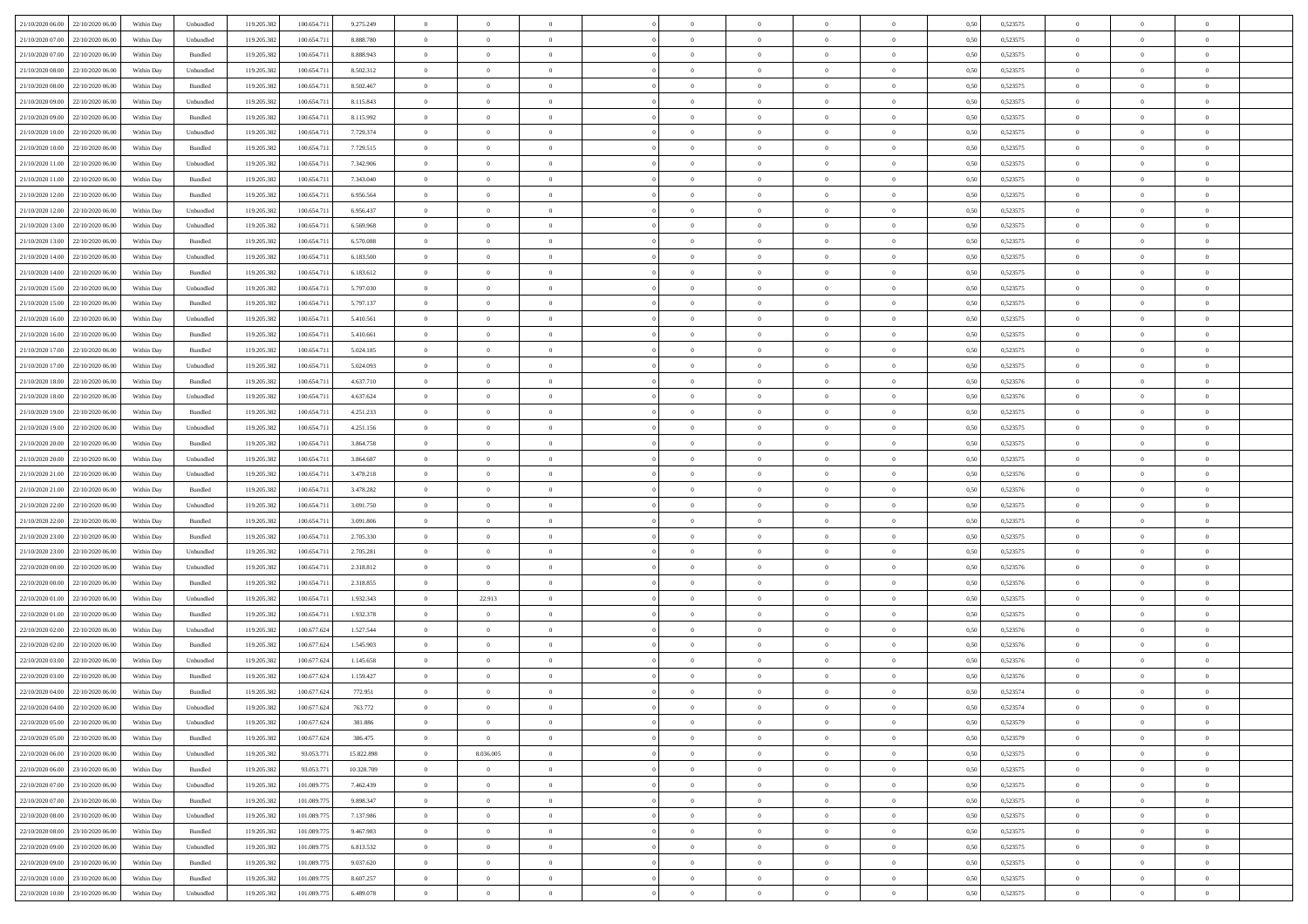| 21/10/2020 06:00 22/10/2020 06:00    | Within Day | Unbundled                   | 119.205.382 | 100.654.711 | 9.275.249  | $\overline{0}$ | $\theta$       |                | $\overline{0}$ | $\theta$       |                | $\theta$       | 0,50 | 0,523575 | $\theta$       | $\theta$       | $\overline{0}$ |  |
|--------------------------------------|------------|-----------------------------|-------------|-------------|------------|----------------|----------------|----------------|----------------|----------------|----------------|----------------|------|----------|----------------|----------------|----------------|--|
| 21/10/2020 07.00<br>22/10/2020 06.00 | Within Day | Unbundled                   | 119.205.38  | 100.654.71  | 8.888.780  | $\bf{0}$       | $\bf{0}$       | $\bf{0}$       | $\bf{0}$       | $\overline{0}$ | $\overline{0}$ | $\bf{0}$       | 0,50 | 0,523575 | $\,$ 0 $\,$    | $\bf{0}$       | $\overline{0}$ |  |
| 21/10/2020 07:00<br>22/10/2020 06.00 | Within Day | Bundled                     | 119.205.382 | 100,654.71  | 8.888.943  | $\overline{0}$ | $\bf{0}$       | $\overline{0}$ | $\bf{0}$       | $\bf{0}$       | $\overline{0}$ | $\bf{0}$       | 0.50 | 0,523575 | $\bf{0}$       | $\overline{0}$ | $\overline{0}$ |  |
| 21/10/2020 08:00<br>22/10/2020 06.00 | Within Day | Unbundled                   | 119.205.382 | 100.654.711 | 8.502.312  | $\overline{0}$ | $\overline{0}$ | $\overline{0}$ | $\theta$       | $\theta$       | $\overline{0}$ | $\bf{0}$       | 0,50 | 0,523575 | $\,$ 0 $\,$    | $\theta$       | $\overline{0}$ |  |
| 21/10/2020 08:00<br>22/10/2020 06.00 | Within Day | Bundled                     | 119.205.38  | 100.654.71  | 8.502.467  | $\bf{0}$       | $\overline{0}$ | $\bf{0}$       | $\overline{0}$ | $\theta$       | $\overline{0}$ | $\bf{0}$       | 0,50 | 0,523575 | $\,$ 0 $\,$    | $\bf{0}$       | $\overline{0}$ |  |
| 21/10/2020 09:00<br>22/10/2020 06.00 | Within Day | Unbundled                   | 119.205.38  | 100.654.71  | 8.115.843  | $\overline{0}$ | $\bf{0}$       | $\overline{0}$ | $\bf{0}$       | $\overline{0}$ | $\overline{0}$ | $\bf{0}$       | 0.50 | 0.523575 | $\,$ 0 $\,$    | $\theta$       | $\overline{0}$ |  |
| 21/10/2020 09:00<br>22/10/2020 06.00 | Within Day | Bundled                     | 119.205.382 | 100.654.711 | 8.115.992  | $\overline{0}$ | $\overline{0}$ | $\overline{0}$ | $\overline{0}$ | $\overline{0}$ | $\overline{0}$ | $\bf{0}$       | 0,50 | 0,523575 | $\,$ 0 $\,$    | $\theta$       | $\overline{0}$ |  |
|                                      |            |                             |             |             |            |                |                |                |                |                |                |                |      |          |                |                |                |  |
| 21/10/2020 10:00<br>22/10/2020 06.00 | Within Day | Unbundled                   | 119.205.38  | 100.654.71  | 7.729.374  | $\bf{0}$       | $\bf{0}$       | $\bf{0}$       | $\overline{0}$ | $\overline{0}$ | $\overline{0}$ | $\bf{0}$       | 0,50 | 0,523575 | $\,$ 0 $\,$    | $\bf{0}$       | $\overline{0}$ |  |
| 21/10/2020 10:00<br>22/10/2020 06:00 | Within Day | Bundled                     | 119,205.38  | 100.654.71  | 7.729.515  | $\overline{0}$ | $\bf{0}$       | $\overline{0}$ | $\bf{0}$       | $\overline{0}$ | $\overline{0}$ | $\bf{0}$       | 0.50 | 0.523575 | $\bf{0}$       | $\overline{0}$ | $\overline{0}$ |  |
| 21/10/2020 11:00<br>22/10/2020 06:00 | Within Day | Unbundled                   | 119.205.382 | 100.654.711 | 7.342.906  | $\overline{0}$ | $\bf{0}$       | $\overline{0}$ | $\overline{0}$ | $\overline{0}$ | $\overline{0}$ | $\bf{0}$       | 0,50 | 0,523575 | $\,$ 0 $\,$    | $\,$ 0 $\,$    | $\overline{0}$ |  |
| 21/10/2020 11:00<br>22/10/2020 06.00 | Within Day | Bundled                     | 119.205.38  | 100.654.71  | 7.343.040  | $\bf{0}$       | $\bf{0}$       | $\bf{0}$       | $\bf{0}$       | $\bf{0}$       | $\overline{0}$ | $\bf{0}$       | 0,50 | 0,523575 | $\,$ 0 $\,$    | $\bf{0}$       | $\overline{0}$ |  |
| 21/10/2020 12:00<br>22/10/2020 06.00 | Within Day | Bundled                     | 119.205.382 | 100,654.71  | 6.956.564  | $\overline{0}$ | $\bf{0}$       | $\overline{0}$ | $\overline{0}$ | $\bf{0}$       | $\overline{0}$ | $\bf{0}$       | 0.50 | 0,523575 | $\bf{0}$       | $\,$ 0 $\,$    | $\,$ 0         |  |
| 21/10/2020 12:00<br>22/10/2020 06:00 | Within Day | Unbundled                   | 119.205.38  | 100.654.711 | 6.956.437  | $\overline{0}$ | $\overline{0}$ | $\overline{0}$ | $\theta$       | $\theta$       | $\overline{0}$ | $\bf{0}$       | 0,50 | 0,523575 | $\,$ 0 $\,$    | $\theta$       | $\overline{0}$ |  |
| 21/10/2020 13:00<br>22/10/2020 06.00 | Within Day | Unbundled                   | 119.205.38  | 100.654.71  | 6.569.968  | $\bf{0}$       | $\overline{0}$ | $\bf{0}$       | $\overline{0}$ | $\bf{0}$       | $\overline{0}$ | $\bf{0}$       | 0,50 | 0,523575 | $\,$ 0 $\,$    | $\bf{0}$       | $\overline{0}$ |  |
| 21/10/2020 13:00<br>22/10/2020 06.00 | Within Day | Bundled                     | 119.205.38  | 100.654.71  | 6,570,088  | $\overline{0}$ | $\bf{0}$       | $\overline{0}$ | $\bf{0}$       | $\overline{0}$ | $\theta$       | $\bf{0}$       | 0.50 | 0.523575 | $\,$ 0 $\,$    | $\bf{0}$       | $\overline{0}$ |  |
| 21/10/2020 14:00<br>22/10/2020 06:00 | Within Day | Unbundled                   | 119.205.382 | 100.654.711 | 6.183.500  | $\overline{0}$ | $\overline{0}$ | $\overline{0}$ | $\overline{0}$ | $\overline{0}$ | $\overline{0}$ | $\bf{0}$       | 0,50 | 0,523575 | $\theta$       | $\theta$       | $\overline{0}$ |  |
|                                      |            |                             |             |             |            |                |                |                |                |                |                |                |      |          |                |                |                |  |
| 21/10/2020 14:00<br>22/10/2020 06.00 | Within Day | Bundled                     | 119.205.38  | 100.654.71  | 6.183.612  | $\bf{0}$       | $\bf{0}$       | $\bf{0}$       | $\overline{0}$ | $\bf{0}$       | $\overline{0}$ | $\bf{0}$       | 0,50 | 0,523575 | $\,$ 0 $\,$    | $\bf{0}$       | $\overline{0}$ |  |
| 21/10/2020 15:00<br>22/10/2020 06:00 | Within Day | Unbundled                   | 119.205.38  | 100.654.71  | 5.797.030  | $\overline{0}$ | $\bf{0}$       | $\overline{0}$ | $\bf{0}$       | $\overline{0}$ | $\overline{0}$ | $\bf{0}$       | 0.50 | 0.523575 | $\bf{0}$       | $\overline{0}$ | $\bf{0}$       |  |
| 21/10/2020 15:00<br>22/10/2020 06.00 | Within Day | Bundled                     | 119.205.382 | 100.654.711 | 5.797.137  | $\overline{0}$ | $\bf{0}$       | $\overline{0}$ | $\overline{0}$ | $\overline{0}$ | $\overline{0}$ | $\bf{0}$       | 0,50 | 0,523575 | $\,$ 0 $\,$    | $\bf{0}$       | $\overline{0}$ |  |
| 21/10/2020 16:00<br>22/10/2020 06.00 | Within Day | Unbundled                   | 119.205.38  | 100.654.71  | 5.410.561  | $\bf{0}$       | $\bf{0}$       | $\bf{0}$       | $\bf{0}$       | $\overline{0}$ | $\overline{0}$ | $\bf{0}$       | 0,50 | 0,523575 | $\,$ 0 $\,$    | $\bf{0}$       | $\overline{0}$ |  |
| 21/10/2020 16:00<br>22/10/2020 06.00 | Within Day | Bundled                     | 119.205.382 | 100,654.71  | 5.410.661  | $\overline{0}$ | $\bf{0}$       | $\overline{0}$ | $\overline{0}$ | $\bf{0}$       | $\overline{0}$ | $\bf{0}$       | 0.50 | 0,523575 | $\bf{0}$       | $\,$ 0 $\,$    | $\,$ 0         |  |
| 21/10/2020 17.00<br>22/10/2020 06:00 | Within Day | Bundled                     | 119.205.38  | 100.654.711 | 5.024.185  | $\overline{0}$ | $\overline{0}$ | $\overline{0}$ | $\theta$       | $\theta$       | $\overline{0}$ | $\bf{0}$       | 0,50 | 0,523575 | $\theta$       | $\theta$       | $\overline{0}$ |  |
| 21/10/2020 17:00<br>22/10/2020 06.00 | Within Day | Unbundled                   | 119.205.38  | 100.654.71  | 5.024.093  | $\bf{0}$       | $\bf{0}$       | $\bf{0}$       | $\bf{0}$       | $\overline{0}$ | $\overline{0}$ | $\bf{0}$       | 0,50 | 0,523575 | $\,$ 0 $\,$    | $\bf{0}$       | $\overline{0}$ |  |
| 21/10/2020 18:00<br>22/10/2020 06:00 | Within Day | Bundled                     | 119.205.38  | 100.654.71  | 4.637.710  | $\overline{0}$ | $\bf{0}$       | $\overline{0}$ | $\bf{0}$       | $\overline{0}$ | $\overline{0}$ | $\bf{0}$       | 0.50 | 0.523576 | $\bf{0}$       | $\bf{0}$       | $\overline{0}$ |  |
| 21/10/2020 18:00<br>22/10/2020 06.00 | Within Day | Unbundled                   | 119.205.38  | 100.654.711 | 4.637.624  | $\overline{0}$ | $\overline{0}$ | $\overline{0}$ | $\overline{0}$ | $\overline{0}$ | $\overline{0}$ | $\bf{0}$       | 0,50 | 0,523576 | $\,$ 0 $\,$    | $\theta$       | $\overline{0}$ |  |
|                                      |            |                             |             |             |            |                |                |                |                |                |                |                |      |          |                |                |                |  |
| 21/10/2020 19:00<br>22/10/2020 06.00 | Within Day | Bundled                     | 119.205.38  | 100.654.71  | 4.251.233  | $\bf{0}$       | $\overline{0}$ | $\bf{0}$       | $\overline{0}$ | $\bf{0}$       | $\overline{0}$ | $\bf{0}$       | 0,50 | 0,523575 | $\,$ 0 $\,$    | $\bf{0}$       | $\overline{0}$ |  |
| 21/10/2020 19:00<br>22/10/2020 06:00 | Within Day | Unbundled                   | 119,205.38  | 100,654.71  | 4.251.156  | $\overline{0}$ | $\bf{0}$       | $\overline{0}$ | $\bf{0}$       | $\overline{0}$ | $\overline{0}$ | $\bf{0}$       | 0.50 | 0.523575 | $\bf{0}$       | $\overline{0}$ | $\overline{0}$ |  |
| 21/10/2020 20:00<br>22/10/2020 06:00 | Within Day | Bundled                     | 119.205.382 | 100.654.711 | 3.864.758  | $\overline{0}$ | $\bf{0}$       | $\overline{0}$ | $\overline{0}$ | $\overline{0}$ | $\overline{0}$ | $\bf{0}$       | 0,50 | 0,523575 | $\,$ 0 $\,$    | $\theta$       | $\overline{0}$ |  |
| 21/10/2020 20:00<br>22/10/2020 06.00 | Within Day | Unbundled                   | 119.205.38  | 100.654.71  | 3.864.687  | $\bf{0}$       | $\bf{0}$       | $\bf{0}$       | $\bf{0}$       | $\overline{0}$ | $\overline{0}$ | $\bf{0}$       | 0,50 | 0,523575 | $\,$ 0 $\,$    | $\bf{0}$       | $\overline{0}$ |  |
| 21/10/2020 21.00<br>22/10/2020 06.00 | Within Day | Unbundled                   | 119.205.38  | 100,654.71  | 3.478.218  | $\overline{0}$ | $\bf{0}$       | $\overline{0}$ | $\overline{0}$ | $\bf{0}$       | $\overline{0}$ | $\bf{0}$       | 0.50 | 0,523576 | $\bf{0}$       | $\,$ 0 $\,$    | $\,$ 0         |  |
| 21/10/2020 21:00<br>22/10/2020 06.00 | Within Day | Bundled                     | 119.205.38  | 100.654.71  | 3.478.282  | $\overline{0}$ | $\overline{0}$ | $\overline{0}$ | $\overline{0}$ | $\overline{0}$ | $\overline{0}$ | $\bf{0}$       | 0.5( | 0,523576 | $\theta$       | $\theta$       | $\overline{0}$ |  |
| 21/10/2020 22.00<br>22/10/2020 06.00 | Within Day | Unbundled                   | 119.205.38  | 100.654.71  | 3.091.750  | $\bf{0}$       | $\bf{0}$       | $\bf{0}$       | $\bf{0}$       | $\overline{0}$ | $\overline{0}$ | $\bf{0}$       | 0,50 | 0,523575 | $\,$ 0 $\,$    | $\bf{0}$       | $\overline{0}$ |  |
| 21/10/2020 22.00<br>22/10/2020 06.00 | Within Day | Bundled                     | 119.205.38  | 100,654.71  | 3.091.806  | $\overline{0}$ | $\bf{0}$       | $\overline{0}$ | $\bf{0}$       | $\overline{0}$ | $\overline{0}$ | $\bf{0}$       | 0.50 | 0.523575 | $\,$ 0 $\,$    | $\bf{0}$       | $\overline{0}$ |  |
| 21/10/2020 23:00<br>22/10/2020 06:00 | Within Dav | Bundled                     | 119.205.382 | 100.654.71  | 2.705.330  | $\overline{0}$ | $\overline{0}$ | $\overline{0}$ | $\overline{0}$ | $\overline{0}$ | $\overline{0}$ | $\bf{0}$       | 0.5( | 0,523575 | $\theta$       | $\theta$       | $\overline{0}$ |  |
| 21/10/2020 23.00<br>22/10/2020 06.00 | Within Day | Unbundled                   | 119.205.38  | 100.654.71  | 2.705.281  | $\bf{0}$       | $\bf{0}$       | $\bf{0}$       | $\bf{0}$       | $\overline{0}$ | $\overline{0}$ | $\bf{0}$       | 0,50 | 0,523575 | $\,$ 0 $\,$    | $\bf{0}$       | $\overline{0}$ |  |
| 22/10/2020 06:00                     |            | Unbundled                   | 119.205.38  | 100.654.71  |            |                | $\bf{0}$       | $\overline{0}$ |                | $\overline{0}$ | $\overline{0}$ |                | 0.50 | 0.523576 | $\bf{0}$       | $\overline{0}$ | $\overline{0}$ |  |
| 22/10/2020 00:00                     | Within Day |                             |             |             | 2.318.812  | $\overline{0}$ |                |                | $\bf{0}$       |                |                | $\bf{0}$       |      |          |                |                |                |  |
| 22/10/2020 00:00<br>22/10/2020 06:00 | Within Day | Bundled                     | 119.205.38  | 100.654.71  | 2.318.855  | $\overline{0}$ | $\overline{0}$ | $\overline{0}$ | $\overline{0}$ | $\overline{0}$ | $\overline{0}$ | $\bf{0}$       | 0.50 | 0,523576 | $\theta$       | $\theta$       | $\overline{0}$ |  |
| 22/10/2020 01:00<br>22/10/2020 06.00 | Within Day | Unbundled                   | 119.205.38  | 100.654.71  | 1.932.343  | $\bf{0}$       | 22.913         | $\bf{0}$       | $\bf{0}$       | $\overline{0}$ | $\overline{0}$ | $\bf{0}$       | 0,50 | 0,523575 | $\,$ 0 $\,$    | $\bf{0}$       | $\overline{0}$ |  |
| 22/10/2020 01:00<br>22/10/2020 06.00 | Within Day | Bundled                     | 119.205.382 | 100,654.71  | 1.932.378  | $\overline{0}$ | $\bf{0}$       | $\overline{0}$ | $\overline{0}$ | $\bf{0}$       | $\overline{0}$ | $\bf{0}$       | 0.50 | 0,523575 | $\,$ 0 $\,$    | $\,$ 0 $\,$    | $\overline{0}$ |  |
| 22/10/2020 02:00<br>22/10/2020 06:00 | Within Day | Unbundled                   | 119.205.382 | 100.677.624 | 1.527.544  | $\overline{0}$ | $\overline{0}$ | $\overline{0}$ | $\overline{0}$ | $\overline{0}$ | $\overline{0}$ | $\bf{0}$       | 0.5( | 0,523576 | $\theta$       | $\theta$       | $\overline{0}$ |  |
| 22/10/2020 02:00<br>22/10/2020 06.00 | Within Day | Bundled                     | 119.205.38  | 100.677.624 | 1.545.903  | $\bf{0}$       | $\bf{0}$       | $\bf{0}$       | $\bf{0}$       | $\overline{0}$ | $\overline{0}$ | $\bf{0}$       | 0,50 | 0,523576 | $\,$ 0 $\,$    | $\bf{0}$       | $\overline{0}$ |  |
| 22/10/2020 03:00<br>22/10/2020 06.00 | Within Day | Unbundled                   | 119.205.38  | 100.677.62  | 1.145.658  | $\overline{0}$ | $\bf{0}$       | $\overline{0}$ | $\bf{0}$       | $\overline{0}$ | $\overline{0}$ | $\bf{0}$       | 0.50 | 0,523576 | $\bf{0}$       | $\bf{0}$       | $\overline{0}$ |  |
| 22/10/2020 03:00<br>22/10/2020 06.00 | Within Dav | Bundled                     | 119.205.38  | 100.677.624 | 1.159.427  | $\overline{0}$ | $\overline{0}$ | $\Omega$       | $\overline{0}$ | $\theta$       | $\overline{0}$ | $\overline{0}$ | 0.5( | 0,523576 | $\theta$       | $\theta$       | $\overline{0}$ |  |
| 22/10/2020 04:00<br>22/10/2020 06.00 | Within Day | Bundled                     | 119.205.382 | 100.677.624 | 772.951    | $\bf{0}$       | $\bf{0}$       | $\bf{0}$       | $\bf{0}$       | $\bf{0}$       | $\overline{0}$ | $\bf{0}$       | 0,50 | 0,523574 | $\overline{0}$ | $\bf{0}$       | $\overline{0}$ |  |
| 22/10/2020 04:00 22/10/2020 06:00    | Within Day | $\ensuremath{\mathsf{Unb}}$ | 119.205.382 | 100.677.624 | 763.772    | $\bf{0}$       | $\theta$       |                | $\overline{0}$ |                |                |                | 0,50 | 0,523574 | $\bf{0}$       | $\overline{0}$ |                |  |
| 22/10/2020 05:00 22/10/2020 06:00    | Within Day | Unbundled                   | 119.205.382 | 100.677.624 | 381.886    | $\overline{0}$ | $\overline{0}$ | $\Omega$       | $\theta$       | $\overline{0}$ | $\overline{0}$ | $\bf{0}$       | 0,50 | 0,523579 | $\theta$       | $\theta$       | $\overline{0}$ |  |
|                                      |            |                             |             |             |            |                |                |                |                |                |                |                |      |          |                |                |                |  |
| 22/10/2020 05:00<br>22/10/2020 06.00 | Within Day | Bundled                     | 119.205.38  | 100.677.624 | 386.475    | $\overline{0}$ | $\overline{0}$ | $\overline{0}$ | $\overline{0}$ | $\bf{0}$       | $\overline{0}$ | $\bf{0}$       | 0,50 | 0,523579 | $\bf{0}$       | $\overline{0}$ | $\bf{0}$       |  |
| 22/10/2020 06:00 23/10/2020 06:00    | Within Day | Unbundled                   | 119.205.382 | 93.053.771  | 15.822.898 | $\overline{0}$ | 8.036.005      | $\overline{0}$ | $\overline{0}$ | $\mathbf{0}$   | $\overline{0}$ | $\,$ 0 $\,$    | 0.50 | 0,523575 | $\overline{0}$ | $\bf{0}$       | $\,$ 0 $\,$    |  |
| 22/10/2020 06:00 23/10/2020 06:00    | Within Dav | Bundled                     | 119.205.382 | 93.053.771  | 10.328.709 | $\overline{0}$ | $\overline{0}$ | $\overline{0}$ | $\overline{0}$ | $\overline{0}$ | $\overline{0}$ | $\bf{0}$       | 0.50 | 0,523575 | $\overline{0}$ | $\theta$       | $\overline{0}$ |  |
| 22/10/2020 07:00<br>23/10/2020 06:00 | Within Day | Unbundled                   | 119.205.382 | 101.089.77  | 7.462.439  | $\overline{0}$ | $\bf{0}$       | $\overline{0}$ | $\overline{0}$ | $\overline{0}$ | $\overline{0}$ | $\bf{0}$       | 0,50 | 0,523575 | $\bf{0}$       | $\overline{0}$ | $\overline{0}$ |  |
| 22/10/2020 07:00<br>23/10/2020 06:00 | Within Day | Bundled                     | 119.205.382 | 101.089.775 | 9.898.347  | $\overline{0}$ | $\bf{0}$       | $\overline{0}$ | $\overline{0}$ | $\overline{0}$ | $\overline{0}$ | $\bf{0}$       | 0.50 | 0.523575 | $\,$ 0 $\,$    | $\overline{0}$ | $\overline{0}$ |  |
| 22/10/2020 08:00<br>23/10/2020 06:00 | Within Dav | Unbundled                   | 119.205.382 | 101.089.775 | 7.137.986  | $\overline{0}$ | $\overline{0}$ | $\overline{0}$ | $\overline{0}$ | $\overline{0}$ | $\overline{0}$ | $\bf{0}$       | 0.50 | 0,523575 | $\overline{0}$ | $\theta$       | $\overline{0}$ |  |
| 22/10/2020 08:00<br>23/10/2020 06:00 | Within Day | Bundled                     | 119.205.38  | 101.089.77  | 9.467.983  | $\overline{0}$ | $\overline{0}$ | $\overline{0}$ | $\overline{0}$ | $\overline{0}$ | $\overline{0}$ | $\bf{0}$       | 0,50 | 0,523575 | $\bf{0}$       | $\overline{0}$ | $\overline{0}$ |  |
| 22/10/2020 09:00 23/10/2020 06:00    | Within Day | Unbundled                   | 119.205.38  | 101.089.775 | 6.813.532  | $\overline{0}$ | $\overline{0}$ | $\overline{0}$ | $\overline{0}$ | $\bf{0}$       | $\overline{0}$ | $\bf{0}$       | 0.50 | 0.523575 | $\mathbf{0}$   | $\bf{0}$       | $\,$ 0         |  |
| 22/10/2020 09:00 23/10/2020 06:00    | Within Dav | Bundled                     | 119.205.382 | 101.089.775 | 9.037.620  | $\overline{0}$ | $\overline{0}$ | $\overline{0}$ | $\overline{0}$ | $\overline{0}$ | $\overline{0}$ | $\bf{0}$       | 0,50 | 0,523575 | $\overline{0}$ | $\theta$       | $\overline{0}$ |  |
|                                      |            |                             |             |             |            |                |                |                |                |                |                |                |      |          |                |                |                |  |
| 22/10/2020 10:00<br>23/10/2020 06:00 | Within Day | Bundled                     | 119.205.38  | 101.089.77  | 8.607.257  | $\overline{0}$ | $\bf{0}$       | $\overline{0}$ | $\bf{0}$       | $\overline{0}$ | $\bf{0}$       | $\bf{0}$       | 0,50 | 0,523575 | $\bf{0}$       | $\bf{0}$       | $\overline{0}$ |  |
| 22/10/2020 10:00 23/10/2020 06:00    | Within Day | Unbundled                   | 119.205.382 | 101.089.775 | 6.489.078  | $\overline{0}$ | $\bf{0}$       | $\overline{0}$ | $\overline{0}$ | $\,$ 0 $\,$    | $\overline{0}$ | $\bf{0}$       | 0,50 | 0,523575 | $\overline{0}$ | $\,$ 0 $\,$    | $\,$ 0 $\,$    |  |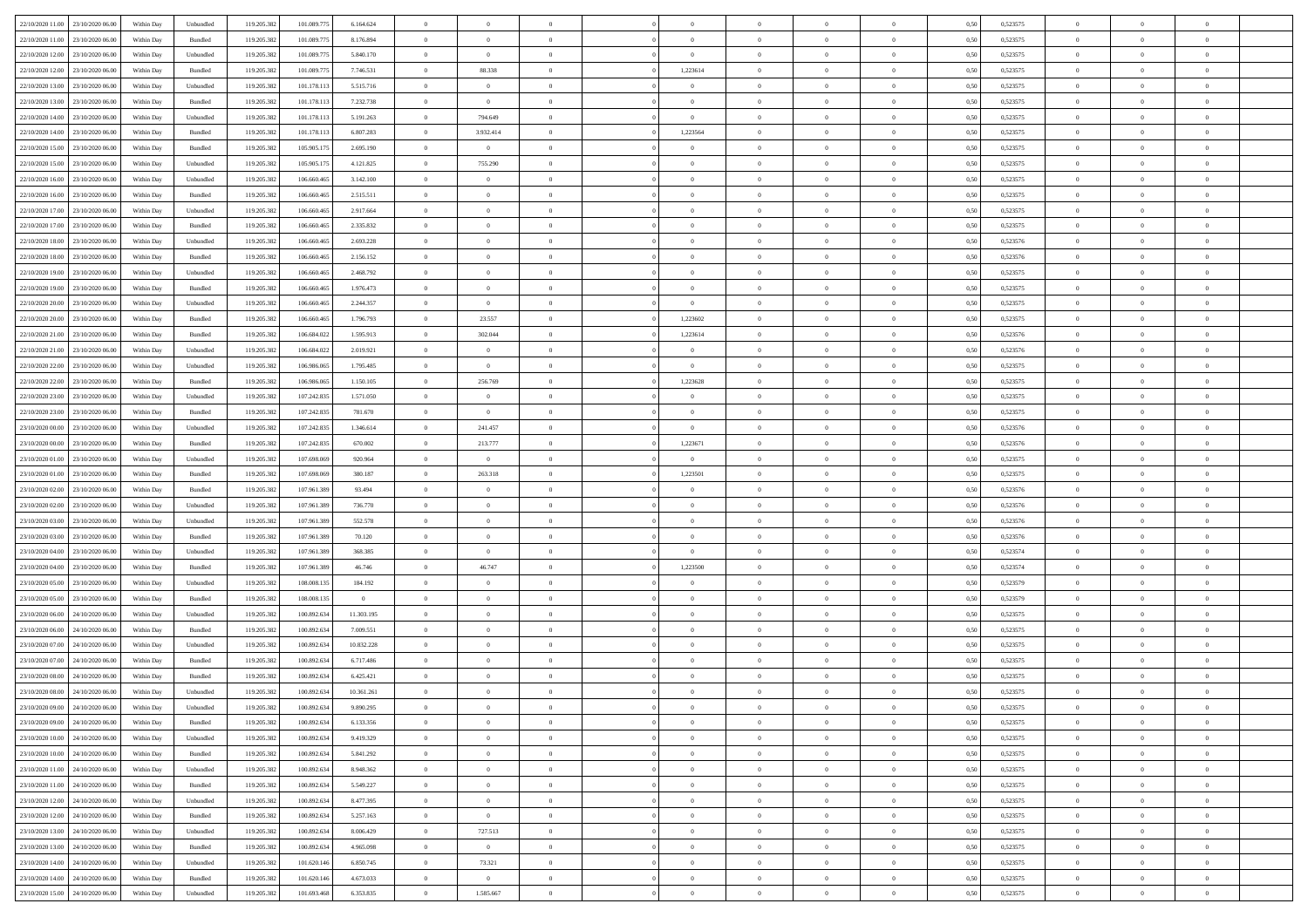| 22/10/2020 11:00<br>23/10/2020 06:00 | Within Dav | Unbundled | 119.205.382 | 101.089.775 | 6.164.624      | $\overline{0}$ | $\overline{0}$ | $\Omega$       | $\theta$       | $\Omega$       | $\Omega$       | $\overline{0}$ | 0,50 | 0,523575 | $\theta$       | $\Omega$       | $\overline{0}$ |  |
|--------------------------------------|------------|-----------|-------------|-------------|----------------|----------------|----------------|----------------|----------------|----------------|----------------|----------------|------|----------|----------------|----------------|----------------|--|
| 22/10/2020 11:00<br>23/10/2020 06.00 | Within Day | Bundled   | 119.205.382 | 101.089.775 | 8.176.894      | $\overline{0}$ | $\overline{0}$ | $\overline{0}$ | $\theta$       | $\overline{0}$ | $\overline{0}$ | $\,$ 0 $\,$    | 0,50 | 0,523575 | $\theta$       | $\theta$       | $\overline{0}$ |  |
| 22/10/2020 12:00<br>23/10/2020 06.00 | Within Day | Unbundled | 119.205.382 | 101.089.775 | 5.840.170      | $\overline{0}$ | $\overline{0}$ | $\overline{0}$ | $\bf{0}$       | $\bf{0}$       | $\overline{0}$ | $\mathbf{0}$   | 0,50 | 0,523575 | $\bf{0}$       | $\overline{0}$ | $\overline{0}$ |  |
| 22/10/2020 12:00<br>23/10/2020 06:00 | Within Day | Bundled   | 119.205.382 | 101.089.775 | 7.746.531      | $\overline{0}$ | 88.338         | $\overline{0}$ | 1,223614       | $\overline{0}$ | $\overline{0}$ | $\mathbf{0}$   | 0.50 | 0,523575 | $\overline{0}$ | $\theta$       | $\overline{0}$ |  |
|                                      |            |           |             |             |                |                |                |                |                |                |                |                |      |          |                |                |                |  |
| 22/10/2020 13:00<br>23/10/2020 06.00 | Within Day | Unbundled | 119.205.382 | 101.178.113 | 5.515.716      | $\overline{0}$ | $\overline{0}$ | $\overline{0}$ | $\theta$       | $\overline{0}$ | $\overline{0}$ | $\,$ 0 $\,$    | 0,50 | 0,523575 | $\theta$       | $\theta$       | $\overline{0}$ |  |
| 22/10/2020 13:00<br>23/10/2020 06.00 | Within Day | Bundled   | 119.205.382 | 101.178.113 | 7.232.738      | $\overline{0}$ | $\overline{0}$ | $\overline{0}$ | $\bf{0}$       | $\overline{0}$ | $\overline{0}$ | $\overline{0}$ | 0,50 | 0,523575 | $\bf{0}$       | $\overline{0}$ | $\bf{0}$       |  |
| 22/10/2020 14:00<br>23/10/2020 06.00 | Within Day | Unbundled | 119.205.382 | 101.178.113 | 5.191.263      | $\overline{0}$ | 794.649        | $\overline{0}$ | $\overline{0}$ | $\overline{0}$ | $\overline{0}$ | $\mathbf{0}$   | 0.5( | 0,523575 | $\overline{0}$ | $\overline{0}$ | $\overline{0}$ |  |
| 22/10/2020 14:00<br>23/10/2020 06.00 | Within Day | Bundled   | 119.205.382 | 101.178.113 | 6.807.283      | $\overline{0}$ | 3.932.414      | $\overline{0}$ | 1,223564       | $\overline{0}$ | $\overline{0}$ | $\,$ 0 $\,$    | 0,50 | 0,523575 | $\theta$       | $\theta$       | $\overline{0}$ |  |
|                                      |            |           |             |             |                |                |                |                |                |                |                |                |      |          |                |                |                |  |
| 22/10/2020 15:00<br>23/10/2020 06.00 | Within Day | Bundled   | 119.205.382 | 105.905.175 | 2.695.190      | $\overline{0}$ | $\overline{0}$ | $\overline{0}$ | $\bf{0}$       | $\bf{0}$       | $\overline{0}$ | $\mathbf{0}$   | 0,50 | 0,523575 | $\,$ 0 $\,$    | $\overline{0}$ | $\overline{0}$ |  |
| 22/10/2020 15:00<br>23/10/2020 06.00 | Within Day | Unbundled | 119.205.382 | 105.905.175 | 4.121.825      | $\overline{0}$ | 755.290        | $\overline{0}$ | $\overline{0}$ | $\overline{0}$ | $\overline{0}$ | $\mathbf{0}$   | 0.5( | 0,523575 | $\overline{0}$ | $\overline{0}$ | $\overline{0}$ |  |
| 22/10/2020 16.00<br>23/10/2020 06.00 | Within Day | Unbundled | 119.205.382 | 106.660.465 | 3.142.100      | $\overline{0}$ | $\overline{0}$ | $\overline{0}$ | $\overline{0}$ | $\overline{0}$ | $\overline{0}$ | $\,$ 0 $\,$    | 0,50 | 0,523575 | $\theta$       | $\theta$       | $\overline{0}$ |  |
| 22/10/2020 16.00<br>23/10/2020 06.00 | Within Day | Bundled   | 119.205.382 | 106.660.465 | 2.515.511      | $\overline{0}$ | $\overline{0}$ | $\overline{0}$ | $\bf{0}$       | $\bf{0}$       | $\overline{0}$ | $\mathbf{0}$   | 0,50 | 0,523575 | $\bf{0}$       | $\overline{0}$ | $\bf{0}$       |  |
| 22/10/2020 17:00<br>23/10/2020 06:00 | Within Day | Unbundled | 119.205.382 | 106,660,465 | 2.917.664      | $\overline{0}$ | $\overline{0}$ | $\overline{0}$ | $\overline{0}$ | $\overline{0}$ | $\overline{0}$ | $\mathbf{0}$   | 0.5( | 0,523575 | $\overline{0}$ | $\overline{0}$ | $\overline{0}$ |  |
|                                      |            |           |             |             |                |                |                |                |                |                |                |                |      |          |                |                |                |  |
| 22/10/2020 17.00<br>23/10/2020 06.00 | Within Day | Bundled   | 119.205.382 | 106.660.465 | 2.335.832      | $\overline{0}$ | $\overline{0}$ | $\overline{0}$ | $\theta$       | $\overline{0}$ | $\overline{0}$ | $\,$ 0 $\,$    | 0,50 | 0,523575 | $\theta$       | $\theta$       | $\overline{0}$ |  |
| 22/10/2020 18:00<br>23/10/2020 06.00 | Within Day | Unbundled | 119.205.382 | 106.660.465 | 2.693.228      | $\overline{0}$ | $\overline{0}$ | $\overline{0}$ | $\bf{0}$       | $\overline{0}$ | $\overline{0}$ | $\mathbf{0}$   | 0,50 | 0,523576 | $\bf{0}$       | $\overline{0}$ | $\overline{0}$ |  |
| 22/10/2020 18:00<br>23/10/2020 06:00 | Within Day | Bundled   | 119.205.382 | 106.660.465 | 2.156.152      | $\overline{0}$ | $\overline{0}$ | $\overline{0}$ | $\overline{0}$ | $\overline{0}$ | $\overline{0}$ | $\mathbf{0}$   | 0.5( | 0,523576 | $\overline{0}$ | $\overline{0}$ | $\overline{0}$ |  |
| 22/10/2020 19:00<br>23/10/2020 06:00 | Within Day | Unbundled | 119.205.382 | 106.660.465 | 2.468.792      | $\overline{0}$ | $\overline{0}$ | $\overline{0}$ | $\overline{0}$ | $\overline{0}$ | $\overline{0}$ | $\bf{0}$       | 0,50 | 0,523575 | $\theta$       | $\theta$       | $\overline{0}$ |  |
| 22/10/2020 19:00<br>23/10/2020 06.00 | Within Day | Bundled   | 119.205.382 | 106.660.465 | 1.976.473      | $\overline{0}$ | $\overline{0}$ | $\overline{0}$ | $\bf{0}$       | $\bf{0}$       | $\overline{0}$ | $\mathbf{0}$   | 0,50 | 0,523575 | $\bf{0}$       | $\overline{0}$ | $\bf{0}$       |  |
|                                      |            |           |             |             |                |                |                |                |                |                |                |                |      |          |                |                |                |  |
| 22/10/2020 20:00<br>23/10/2020 06:00 | Within Day | Unbundled | 119.205.382 | 106,660,465 | 2.244.357      | $\overline{0}$ | $\overline{0}$ | $\overline{0}$ | $\overline{0}$ | $\overline{0}$ | $\overline{0}$ | $\mathbf{0}$   | 0.50 | 0,523575 | $\overline{0}$ | $\overline{0}$ | $\overline{0}$ |  |
| 22/10/2020 20:00<br>23/10/2020 06.00 | Within Day | Bundled   | 119.205.382 | 106.660.465 | 1.796.793      | $\overline{0}$ | 23.557         | $\overline{0}$ | 1,223602       | $\overline{0}$ | $\overline{0}$ | $\,$ 0 $\,$    | 0,50 | 0,523575 | $\theta$       | $\theta$       | $\overline{0}$ |  |
| 22/10/2020 21.00<br>23/10/2020 06.00 | Within Day | Bundled   | 119.205.382 | 106.684.022 | 1.595.913      | $\overline{0}$ | 302.044        | $\overline{0}$ | 1,223614       | $\bf{0}$       | $\overline{0}$ | $\mathbf{0}$   | 0,50 | 0,523576 | $\bf{0}$       | $\overline{0}$ | $\overline{0}$ |  |
| 22/10/2020 21:00<br>23/10/2020 06:00 | Within Day | Unbundled | 119.205.382 | 106.684.022 | 2.019.921      | $\overline{0}$ | $\overline{0}$ | $\overline{0}$ | $\overline{0}$ | $\overline{0}$ | $\overline{0}$ | $\mathbf{0}$   | 0.5( | 0,523576 | $\overline{0}$ | $\overline{0}$ | $\overline{0}$ |  |
| 22/10/2020 22.00<br>23/10/2020 06.00 | Within Day | Unbundled | 119.205.382 | 106.986.065 | 1.795.485      | $\overline{0}$ | $\overline{0}$ | $\overline{0}$ | $\overline{0}$ | $\overline{0}$ | $\overline{0}$ | $\,$ 0 $\,$    | 0,50 | 0,523575 | $\theta$       | $\theta$       | $\overline{0}$ |  |
|                                      |            |           |             |             |                |                |                |                |                |                |                |                |      |          |                |                |                |  |
| 22/10/2020 22.00<br>23/10/2020 06.00 | Within Day | Bundled   | 119.205.382 | 106.986.065 | 1.150.105      | $\overline{0}$ | 256.769        | $\overline{0}$ | 1,223628       | $\bf{0}$       | $\overline{0}$ | $\overline{0}$ | 0,50 | 0,523575 | $\bf{0}$       | $\overline{0}$ | $\bf{0}$       |  |
| 22/10/2020 23.00<br>23/10/2020 06.00 | Within Dav | Unbundled | 119.205.382 | 107.242.835 | 1.571.050      | $\overline{0}$ | $\overline{0}$ | $\overline{0}$ | $\overline{0}$ | $\overline{0}$ | $\overline{0}$ | $\mathbf{0}$   | 0.5( | 0,523575 | $\overline{0}$ | $\overline{0}$ | $\overline{0}$ |  |
| 22/10/2020 23.00<br>23/10/2020 06.00 | Within Day | Bundled   | 119.205.382 | 107.242.835 | 781.670        | $\overline{0}$ | $\overline{0}$ | $\overline{0}$ | $\overline{0}$ | $\overline{0}$ | $\overline{0}$ | $\bf{0}$       | 0,50 | 0,523575 | $\theta$       | $\theta$       | $\overline{0}$ |  |
| 23/10/2020 00:00<br>23/10/2020 06.00 | Within Day | Unbundled | 119.205.382 | 107.242.835 | 1.346.614      | $\overline{0}$ | 241.457        | $\overline{0}$ | $\bf{0}$       | $\bf{0}$       | $\overline{0}$ | $\mathbf{0}$   | 0,50 | 0,523576 | $\,$ 0 $\,$    | $\overline{0}$ | $\overline{0}$ |  |
| 23/10/2020 00.00<br>23/10/2020 06.00 | Within Day | Bundled   | 119.205.382 | 107.242.835 | 670.002        | $\overline{0}$ | 213.777        | $\overline{0}$ | 1,223671       | $\overline{0}$ | $\overline{0}$ | $\overline{0}$ | 0.5( | 0,523576 | $\overline{0}$ | $\overline{0}$ | $\overline{0}$ |  |
|                                      |            |           |             |             |                |                |                |                |                |                |                |                |      |          |                |                |                |  |
| 23/10/2020 01:00<br>23/10/2020 06:00 | Within Day | Unbundled | 119.205.382 | 107.698.069 | 920.964        | $\overline{0}$ | $\overline{0}$ | $\overline{0}$ | $\overline{0}$ | $\overline{0}$ | $\overline{0}$ | $\,$ 0 $\,$    | 0,50 | 0,523575 | $\,$ 0 $\,$    | $\theta$       | $\overline{0}$ |  |
| 23/10/2020 01.00<br>23/10/2020 06.00 | Within Day | Bundled   | 119.205.382 | 107.698.069 | 380.187        | $\overline{0}$ | 263.318        | $\overline{0}$ | 1,223501       | $\bf{0}$       | $\overline{0}$ | $\mathbf{0}$   | 0,50 | 0,523575 | $\bf{0}$       | $\overline{0}$ | $\bf{0}$       |  |
| 23/10/2020 02:00<br>23/10/2020 06.00 | Within Day | Bundled   | 119.205.38  | 107.961.389 | 93.494         | $\overline{0}$ | $\overline{0}$ | $\overline{0}$ | $\overline{0}$ | $\overline{0}$ | $\theta$       | $\bf{0}$       | 0,50 | 0,523576 | $\,$ 0 $\,$    | $\theta$       | $\overline{0}$ |  |
| 23/10/2020 02.00<br>23/10/2020 06.00 | Within Day | Unbundled | 119.205.382 | 107.961.389 | 736.770        | $\overline{0}$ | $\overline{0}$ | $\overline{0}$ | $\theta$       | $\overline{0}$ | $\overline{0}$ | $\,$ 0 $\,$    | 0,50 | 0,523576 | $\theta$       | $\theta$       | $\overline{0}$ |  |
| 23/10/2020 03.00<br>23/10/2020 06.00 | Within Day | Unbundled | 119.205.382 | 107.961.389 | 552.578        | $\overline{0}$ | $\overline{0}$ | $\overline{0}$ | $\bf{0}$       | $\bf{0}$       | $\overline{0}$ | $\mathbf{0}$   | 0,50 | 0,523576 | $\bf{0}$       | $\overline{0}$ | $\bf{0}$       |  |
|                                      |            |           |             |             |                |                |                |                |                |                |                |                |      |          |                |                |                |  |
| 23/10/2020 03.00<br>23/10/2020 06.00 | Within Day | Bundled   | 119.205.382 | 107.961.389 | 70.120         | $\overline{0}$ | $\overline{0}$ | $\overline{0}$ | $\overline{0}$ | $\overline{0}$ | $\overline{0}$ | $\bf{0}$       | 0.50 | 0,523576 | $\,$ 0         | $\theta$       | $\overline{0}$ |  |
| 23/10/2020 04:00<br>23/10/2020 06:00 | Within Day | Unbundled | 119.205.382 | 107.961.389 | 368.385        | $\overline{0}$ | $\overline{0}$ | $\overline{0}$ | $\overline{0}$ | $\overline{0}$ | $\overline{0}$ | $\bf{0}$       | 0,50 | 0,523574 | $\theta$       | $\theta$       | $\overline{0}$ |  |
| 23/10/2020 04:00<br>23/10/2020 06.00 | Within Day | Bundled   | 119.205.382 | 107.961.389 | 46.746         | $\overline{0}$ | 46.747         | $\overline{0}$ | 1,223500       | $\bf{0}$       | $\overline{0}$ | $\mathbf{0}$   | 0,50 | 0,523574 | $\bf{0}$       | $\overline{0}$ | $\overline{0}$ |  |
| 23/10/2020 05.00<br>23/10/2020 06:00 | Within Day | Unbundled | 119.205.382 | 108,008,135 | 184.192        | $\overline{0}$ | $\overline{0}$ | $\overline{0}$ | $\overline{0}$ | $\overline{0}$ | $\theta$       | $\overline{0}$ | 0.5( | 0,523579 | $\bf{0}$       | $\theta$       | $\overline{0}$ |  |
| 23/10/2020 05.00<br>23/10/2020 06.00 | Within Day | Bundled   | 119.205.382 | 108.008.135 | $\overline{0}$ | $\overline{0}$ | $\overline{0}$ | $\overline{0}$ | $\theta$       | $\overline{0}$ | $\overline{0}$ | $\,$ 0 $\,$    | 0,50 | 0,523579 | $\,$ 0 $\,$    | $\,$ 0 $\,$    | $\overline{0}$ |  |
|                                      |            |           |             |             |                |                |                |                |                |                |                |                |      |          |                |                |                |  |
| 23/10/2020 06.00<br>24/10/2020 06.00 | Within Day | Unbundled | 119.205.382 | 100.892.634 | 11.303.195     | $\overline{0}$ | $\overline{0}$ | $\overline{0}$ | $\bf{0}$       | $\bf{0}$       | $\overline{0}$ | $\mathbf{0}$   | 0,50 | 0,523575 | $\bf{0}$       | $\overline{0}$ | $\overline{0}$ |  |
| 23/10/2020 06:00<br>24/10/2020 06.00 | Within Day | Bundled   | 119.205.382 | 100.892.634 | 7.009.551      | $\overline{0}$ | $\overline{0}$ | $\overline{0}$ | $\overline{0}$ | $\overline{0}$ | $\overline{0}$ | $\bf{0}$       | 0,50 | 0,523575 | $\overline{0}$ | $\theta$       | $\overline{0}$ |  |
| 23/10/2020 07:00<br>24/10/2020 06.00 | Within Day | Unbundled | 119.205.382 | 100.892.634 | 10.832.228     | $\overline{0}$ | $\overline{0}$ | $\overline{0}$ | $\overline{0}$ | $\overline{0}$ | $\overline{0}$ | $\,$ 0 $\,$    | 0,50 | 0,523575 | $\,$ 0 $\,$    | $\theta$       | $\overline{0}$ |  |
| 23/10/2020 07.00<br>24/10/2020 06.00 | Within Day | Bundled   | 119.205.382 | 100.892.634 | 6.717.486      | $\overline{0}$ | $\overline{0}$ | $\overline{0}$ | $\bf{0}$       | $\bf{0}$       | $\overline{0}$ | $\overline{0}$ | 0,50 | 0,523575 | $\bf{0}$       | $\overline{0}$ | $\bf{0}$       |  |
| 23/10/2020 08:00<br>24/10/2020 06.00 | Within Day | Bundled   | 119.205.382 | 100.892.634 | 6.425.421      | $\overline{0}$ | $\overline{0}$ | $\overline{0}$ | $\overline{0}$ | $\overline{0}$ | $\theta$       | $\overline{0}$ | 0.50 | 0.523575 | $\overline{0}$ | $\theta$       | $\overline{0}$ |  |
| 23/10/2020 08:00<br>24/10/2020 06.00 |            |           | 119.205.382 | 100.892.634 | 10.361.261     |                | $\overline{0}$ |                |                | $\bf{0}$       | $\overline{0}$ |                |      | 0,523575 | $\,$ 0 $\,$    | $\bf{0}$       | $\overline{0}$ |  |
|                                      | Within Day | Unbundled |             |             |                | $\overline{0}$ |                | $\overline{0}$ | $\bf{0}$       |                |                | $\mathbf{0}$   | 0,50 |          |                |                |                |  |
| 23/10/2020 09:00 24/10/2020 06:00    | Within Day | Unbundled | 119.205.382 | 100.892.634 | 9.890.295      | $\bf{0}$       | $\bf{0}$       |                |                |                |                |                | 0,50 | 0,523575 | $\bf{0}$       | $\bf{0}$       |                |  |
| 23/10/2020 09:00 24/10/2020 06:00    | Within Day | Bundled   | 119.205.382 | 100.892.634 | 6.133.356      | $\overline{0}$ | $\overline{0}$ | $\theta$       | $\overline{0}$ | $\overline{0}$ | $\Omega$       | $\overline{0}$ | 0.50 | 0.523575 | $\overline{0}$ | $\Omega$       | $\theta$       |  |
| 23/10/2020 10:00<br>24/10/2020 06.00 | Within Day | Unbundled | 119.205.382 | 100.892.634 | 9.419.329      | $\overline{0}$ | $\overline{0}$ | $\overline{0}$ | $\bf{0}$       | $\overline{0}$ | $\overline{0}$ | $\,$ 0 $\,$    | 0,50 | 0,523575 | $\theta$       | $\theta$       | $\bf{0}$       |  |
| 23/10/2020 10:00<br>24/10/2020 06.00 | Within Day | Bundled   | 119.205.382 | 100.892.634 | 5.841.292      | $\overline{0}$ | $\overline{0}$ | $\overline{0}$ | $\bf{0}$       | $\overline{0}$ | $\overline{0}$ | $\mathbf{0}$   | 0,50 | 0,523575 | $\overline{0}$ | $\bf{0}$       | $\overline{0}$ |  |
|                                      |            |           |             |             |                |                |                |                |                |                |                |                |      |          |                |                |                |  |
| 23/10/2020 11:00<br>24/10/2020 06.00 | Within Day | Unbundled | 119.205.382 | 100.892.634 | 8.948.362      | $\overline{0}$ | $\overline{0}$ | $\overline{0}$ | $\overline{0}$ | $\overline{0}$ | $\overline{0}$ | $\mathbf{0}$   | 0.50 | 0,523575 | $\bf{0}$       | $\theta$       | $\overline{0}$ |  |
| 23/10/2020 11:00<br>24/10/2020 06.00 | Within Day | Bundled   | 119.205.382 | 100.892.634 | 5.549.227      | $\overline{0}$ | $\overline{0}$ | $\overline{0}$ | $\overline{0}$ | $\overline{0}$ | $\overline{0}$ | $\,$ 0 $\,$    | 0,50 | 0,523575 | $\,$ 0 $\,$    | $\theta$       | $\overline{0}$ |  |
| 23/10/2020 12:00<br>24/10/2020 06.00 | Within Day | Unbundled | 119.205.382 | 100.892.634 | 8.477.395      | $\overline{0}$ | $\overline{0}$ | $\overline{0}$ | $\overline{0}$ | $\bf{0}$       | $\overline{0}$ | $\mathbf{0}$   | 0,50 | 0,523575 | $\overline{0}$ | $\bf{0}$       | $\overline{0}$ |  |
| 23/10/2020 12:00<br>24/10/2020 06.00 | Within Day | Bundled   | 119.205.382 | 100.892.634 | 5.257.163      | $\overline{0}$ | $\overline{0}$ | $\overline{0}$ | $\overline{0}$ | $\overline{0}$ | $\overline{0}$ | $\mathbf{0}$   | 0.50 | 0,523575 | $\bf{0}$       | $\theta$       | $\overline{0}$ |  |
| 23/10/2020 13:00<br>24/10/2020 06.00 | Within Day | Unbundled | 119.205.382 | 100.892.634 | 8.006.429      | $\overline{0}$ | 727.513        | $\overline{0}$ | $\bf{0}$       | $\bf{0}$       | $\overline{0}$ | $\,$ 0 $\,$    | 0,50 | 0,523575 | $\,$ 0 $\,$    | $\theta$       | $\overline{0}$ |  |
|                                      |            |           |             |             |                |                |                |                |                |                |                |                |      |          |                |                |                |  |
| 23/10/2020 13.00<br>24/10/2020 06.00 | Within Day | Bundled   | 119.205.382 | 100.892.634 | 4.965.098      | $\overline{0}$ | $\overline{0}$ | $\overline{0}$ | $\bf{0}$       | $\bf{0}$       | $\overline{0}$ | $\mathbf{0}$   | 0,50 | 0,523575 | $\overline{0}$ | $\overline{0}$ | $\bf{0}$       |  |
| 23/10/2020 14:00<br>24/10/2020 06.00 | Within Day | Unbundled | 119.205.382 | 101.620.146 | 6.850.745      | $\overline{0}$ | 73.321         | $\overline{0}$ | $\overline{0}$ | $\overline{0}$ | $\overline{0}$ | $\mathbf{0}$   | 0.50 | 0,523575 | $\bf{0}$       | $\theta$       | $\overline{0}$ |  |
| 23/10/2020 14.00<br>24/10/2020 06.00 | Within Day | Bundled   | 119.205.382 | 101.620.146 | 4.673.033      | $\overline{0}$ | $\overline{0}$ | $\overline{0}$ | $\bf{0}$       | $\bf{0}$       | $\overline{0}$ | $\,$ 0 $\,$    | 0,50 | 0,523575 | $\,$ 0 $\,$    | $\,0\,$        | $\overline{0}$ |  |
| 23/10/2020 15:00 24/10/2020 06:00    | Within Day | Unbundled | 119.205.382 | 101.693.468 | 6.353.835      | $\overline{0}$ | 1.585.667      | $\overline{0}$ | $\bf{0}$       | $\bf{0}$       | $\overline{0}$ | $\mathbf{0}$   | 0,50 | 0,523575 | $\overline{0}$ | $\bf{0}$       | $\overline{0}$ |  |
|                                      |            |           |             |             |                |                |                |                |                |                |                |                |      |          |                |                |                |  |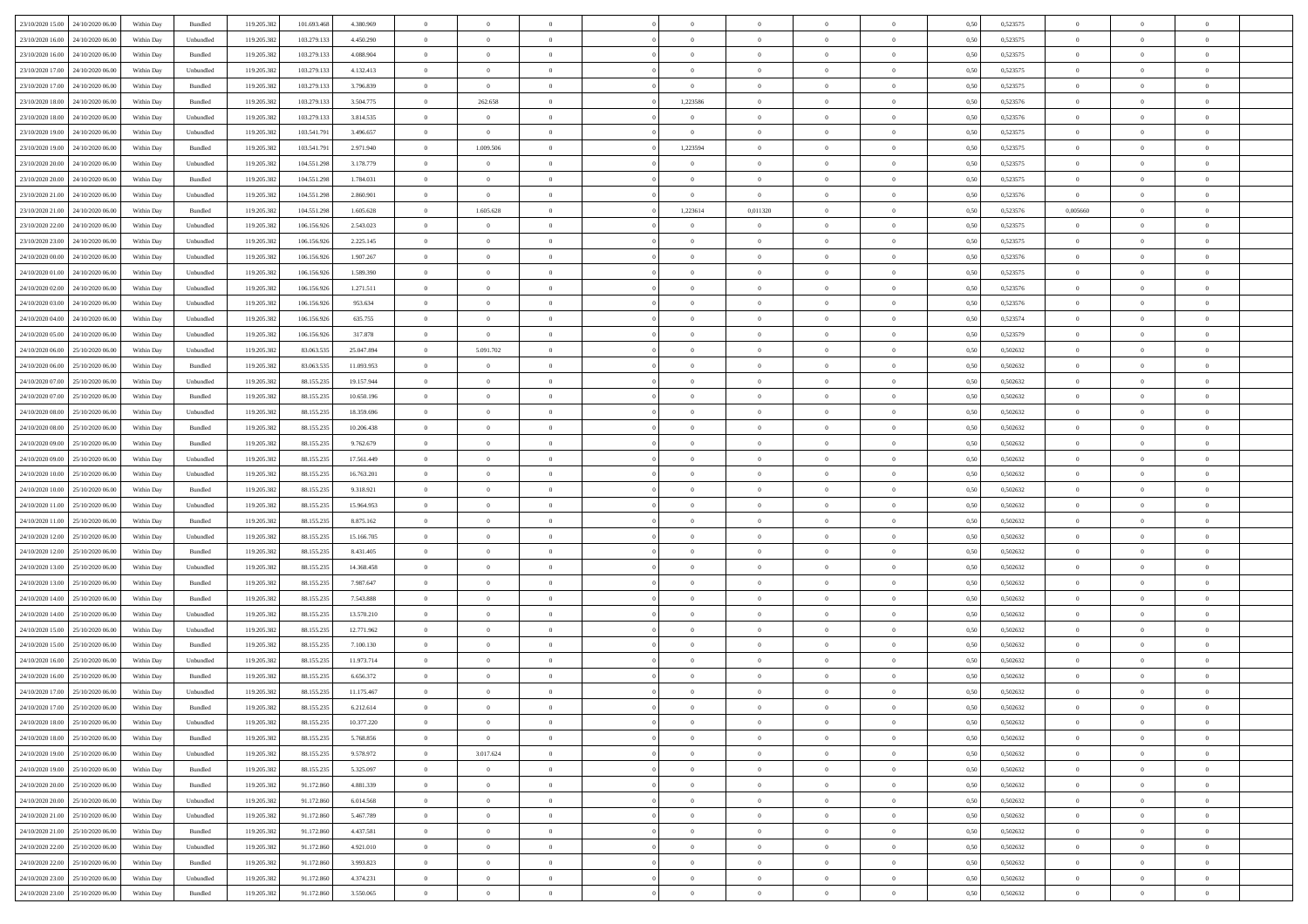| 23/10/2020 15:00                  | 24/10/2020 06.00 | Within Dav | Bundled            | 119.205.382 | 101.693.468 | 4.380.969  | $\theta$       | $\Omega$       |                | $\Omega$       | $\Omega$       | $\Omega$       | $\Omega$       | 0.50 | 0,523575 | $\theta$       | $\theta$       | $\Omega$       |  |
|-----------------------------------|------------------|------------|--------------------|-------------|-------------|------------|----------------|----------------|----------------|----------------|----------------|----------------|----------------|------|----------|----------------|----------------|----------------|--|
|                                   |                  |            |                    |             |             |            |                |                |                |                |                |                |                |      |          |                |                |                |  |
| 23/10/2020 16:00                  | 24/10/2020 06.00 | Within Day | Unbundled          | 119.205.382 | 103.279.133 | 4.450.290  | $\overline{0}$ | $\theta$       | $\overline{0}$ | $\overline{0}$ | $\bf{0}$       | $\overline{0}$ | $\overline{0}$ | 0,50 | 0,523575 | $\theta$       | $\theta$       | $\overline{0}$ |  |
| 23/10/2020 16:00                  | 24/10/2020 06.00 | Within Day | Bundled            | 119.205.382 | 103.279.133 | 4.088.904  | $\overline{0}$ | $\overline{0}$ | $\overline{0}$ | $\bf{0}$       | $\bf{0}$       | $\bf{0}$       | $\bf{0}$       | 0,50 | 0,523575 | $\bf{0}$       | $\overline{0}$ | $\overline{0}$ |  |
| 23/10/2020 17:00                  | 24/10/2020 06.00 | Within Dav | Unbundled          | 119.205.382 | 103.279.133 | 4.132.413  | $\overline{0}$ | $\overline{0}$ | $\overline{0}$ | $\Omega$       | $\bf{0}$       | $\overline{0}$ | $\overline{0}$ | 0.50 | 0,523575 | $\theta$       | $\theta$       | $\overline{0}$ |  |
| 23/10/2020 17.00                  | 24/10/2020 06.00 | Within Day | Bundled            | 119.205.382 | 103.279.133 | 3.796.839  | $\overline{0}$ | $\overline{0}$ | $\overline{0}$ | $\overline{0}$ | $\bf{0}$       | $\overline{0}$ | $\bf{0}$       | 0,50 | 0,523575 | $\theta$       | $\theta$       | $\overline{0}$ |  |
| 23/10/2020 18:00                  | 24/10/2020 06.00 | Within Day | Bundled            | 119.205.382 | 103.279.133 | 3.504.775  | $\overline{0}$ | 262.658        | $\overline{0}$ | 1,223586       | $\bf{0}$       | $\bf{0}$       | $\mathbf{0}$   | 0,50 | 0,523576 | $\bf{0}$       | $\overline{0}$ | $\bf{0}$       |  |
|                                   |                  |            |                    |             |             |            |                |                |                |                | $\bf{0}$       |                |                |      |          | $\theta$       | $\overline{0}$ | $\overline{0}$ |  |
| 23/10/2020 18:00                  | 24/10/2020 06.00 | Within Dav | Unbundled          | 119.205.382 | 103.279.133 | 3.814.535  | $\overline{0}$ | $\overline{0}$ | $\overline{0}$ | $\overline{0}$ |                | $\overline{0}$ | $\overline{0}$ | 0.50 | 0,523576 |                |                |                |  |
| 23/10/2020 19:00                  | 24/10/2020 06.00 | Within Day | Unbundled          | 119.205.382 | 103.541.791 | 3.496.657  | $\overline{0}$ | $\overline{0}$ | $\overline{0}$ | $\overline{0}$ | $\bf{0}$       | $\overline{0}$ | $\bf{0}$       | 0,50 | 0,523575 | $\theta$       | $\theta$       | $\overline{0}$ |  |
| 23/10/2020 19:00                  | 24/10/2020 06.00 | Within Day | Bundled            | 119.205.382 | 103.541.791 | 2.971.940  | $\overline{0}$ | 1.009.506      | $\overline{0}$ | 1,223594       | $\bf{0}$       | $\bf{0}$       | $\bf{0}$       | 0,50 | 0,523575 | $\,0\,$        | $\overline{0}$ | $\overline{0}$ |  |
| 23/10/2020 20:00                  | 24/10/2020 06.00 | Within Dav | Unbundled          | 119.205.382 | 104.551.298 | 3.178.779  | $\overline{0}$ | $\overline{0}$ | $\overline{0}$ | $\overline{0}$ | $\overline{0}$ | $\overline{0}$ | $\overline{0}$ | 0.50 | 0,523575 | $\theta$       | $\overline{0}$ | $\overline{0}$ |  |
| 23/10/2020 20.00                  | 24/10/2020 06.00 | Within Day | Bundled            | 119.205.382 | 104.551.298 | 1.784.031  | $\overline{0}$ | $\theta$       | $\overline{0}$ | $\overline{0}$ | $\bf{0}$       | $\overline{0}$ | $\bf{0}$       | 0,50 | 0,523575 | $\theta$       | $\theta$       | $\overline{0}$ |  |
| 23/10/2020 21.00                  | 24/10/2020 06.00 | Within Day | Unbundled          | 119.205.382 | 104.551.298 | 2.860.901  | $\overline{0}$ | $\overline{0}$ | $\overline{0}$ | $\bf{0}$       | $\overline{0}$ | $\bf{0}$       | $\bf{0}$       | 0,50 | 0,523576 | $\bf{0}$       | $\overline{0}$ | $\overline{0}$ |  |
| 23/10/2020 21:00                  | 24/10/2020 06.00 | Within Dav | Bundled            | 119.205.382 | 104.551.298 | 1.605.628  | $\overline{0}$ | 1.605.628      | $\overline{0}$ | 1,223614       | 0,011320       | $\overline{0}$ | $\overline{0}$ | 0.50 | 0,523576 | 0,005660       | $\theta$       | $\overline{0}$ |  |
|                                   |                  |            |                    |             |             |            |                |                |                |                |                |                |                |      |          |                |                |                |  |
| 23/10/2020 22.00                  | 24/10/2020 06.00 | Within Day | Unbundled          | 119.205.382 | 106.156.926 | 2.543.023  | $\overline{0}$ | $\theta$       | $\overline{0}$ | $\overline{0}$ | $\bf{0}$       | $\overline{0}$ | $\bf{0}$       | 0,50 | 0,523575 | $\theta$       | $\overline{0}$ | $\overline{0}$ |  |
| 23/10/2020 23.00                  | 24/10/2020 06.00 | Within Day | Unbundled          | 119.205.382 | 106.156.926 | 2.225.145  | $\overline{0}$ | $\overline{0}$ | $\overline{0}$ | $\bf{0}$       | $\bf{0}$       | $\bf{0}$       | $\mathbf{0}$   | 0,50 | 0,523575 | $\bf{0}$       | $\overline{0}$ | $\bf{0}$       |  |
| 24/10/2020 00:00                  | 24/10/2020 06.00 | Within Dav | Unbundled          | 119.205.382 | 106.156.926 | 1.907.267  | $\overline{0}$ | $\overline{0}$ | $\overline{0}$ | $\overline{0}$ | $\overline{0}$ | $\overline{0}$ | $\overline{0}$ | 0.50 | 0,523576 | $\theta$       | $\overline{0}$ | $\overline{0}$ |  |
| 24/10/2020 01:00                  | 24/10/2020 06.00 | Within Day | Unbundled          | 119.205.382 | 106.156.926 | 1.589.390  | $\overline{0}$ | $\theta$       | $\overline{0}$ | $\overline{0}$ | $\bf{0}$       | $\overline{0}$ | $\bf{0}$       | 0,50 | 0,523575 | $\theta$       | $\theta$       | $\overline{0}$ |  |
| 24/10/2020 02.00                  | 24/10/2020 06.00 | Within Day | Unbundled          | 119.205.382 | 106.156.926 | 1.271.511  | $\overline{0}$ | $\overline{0}$ | $\overline{0}$ | $\bf{0}$       | $\bf{0}$       | $\bf{0}$       | $\bf{0}$       | 0,50 | 0,523576 | $\,0\,$        | $\overline{0}$ | $\overline{0}$ |  |
| 24/10/2020 03:00                  | 24/10/2020 06.00 | Within Dav | Unbundled          | 119.205.382 | 106.156.926 | 953.634    | $\overline{0}$ | $\overline{0}$ | $\overline{0}$ | $\overline{0}$ | $\overline{0}$ | $\overline{0}$ | $\overline{0}$ | 0.50 | 0,523576 | $\theta$       | $\overline{0}$ | $\overline{0}$ |  |
| 24/10/2020 04.00                  | 24/10/2020 06.00 | Within Day | Unbundled          | 119.205.382 | 106.156.926 | 635.755    | $\overline{0}$ | $\theta$       | $\overline{0}$ | $\overline{0}$ | $\bf{0}$       | $\overline{0}$ | $\bf{0}$       | 0,50 | 0,523574 | $\theta$       | $\theta$       | $\overline{0}$ |  |
|                                   |                  |            |                    |             |             |            |                |                |                |                |                |                |                |      |          |                |                |                |  |
| 24/10/2020 05.00                  | 24/10/2020 06.00 | Within Day | Unbundled          | 119.205.382 | 106.156.926 | 317.878    | $\overline{0}$ | $\bf{0}$       | $\overline{0}$ | $\bf{0}$       | $\bf{0}$       | $\bf{0}$       | $\bf{0}$       | 0,50 | 0,523579 | $\,0\,$        | $\overline{0}$ | $\overline{0}$ |  |
| 24/10/2020 06.00                  | 25/10/2020 06:00 | Within Dav | Unbundled          | 119.205.382 | 83.063.535  | 25.047.894 | $\overline{0}$ | 5.091.702      | $\overline{0}$ | $\overline{0}$ | $\bf{0}$       | $\overline{0}$ | $\overline{0}$ | 0.50 | 0.502632 | $\theta$       | $\theta$       | $\overline{0}$ |  |
| 24/10/2020 06.00                  | 25/10/2020 06.00 | Within Day | Bundled            | 119.205.382 | 83.063.535  | 11.093.953 | $\overline{0}$ | $\theta$       | $\overline{0}$ | $\overline{0}$ | $\bf{0}$       | $\overline{0}$ | $\bf{0}$       | 0,50 | 0,502632 | $\theta$       | $\overline{0}$ | $\overline{0}$ |  |
| 24/10/2020 07.00                  | 25/10/2020 06.00 | Within Day | Unbundled          | 119.205.382 | 88.155.235  | 19.157.944 | $\overline{0}$ | $\bf{0}$       | $\overline{0}$ | $\bf{0}$       | $\overline{0}$ | $\overline{0}$ | $\mathbf{0}$   | 0,50 | 0,502632 | $\overline{0}$ | $\overline{0}$ | $\bf{0}$       |  |
| 24/10/2020 07.00                  | 25/10/2020 06:00 | Within Dav | Bundled            | 119.205.382 | 88.155.235  | 10.650.196 | $\overline{0}$ | $\overline{0}$ | $\overline{0}$ | $\overline{0}$ | $\overline{0}$ | $\overline{0}$ | $\overline{0}$ | 0.50 | 0,502632 | $\theta$       | $\overline{0}$ | $\overline{0}$ |  |
| 24/10/2020 08.00                  | 25/10/2020 06.00 | Within Day | Unbundled          | 119.205.382 | 88.155.235  | 18.359.696 | $\overline{0}$ | $\theta$       | $\overline{0}$ | $\overline{0}$ | $\bf{0}$       | $\overline{0}$ | $\bf{0}$       | 0,50 | 0,502632 | $\theta$       | $\theta$       | $\overline{0}$ |  |
|                                   |                  |            |                    |             |             |            |                |                |                |                |                |                |                |      |          |                |                |                |  |
| 24/10/2020 08:00                  | 25/10/2020 06.00 | Within Day | Bundled            | 119.205.382 | 88.155.235  | 10.206.438 | $\overline{0}$ | $\overline{0}$ | $\overline{0}$ | $\bf{0}$       | $\bf{0}$       | $\bf{0}$       | $\bf{0}$       | 0,50 | 0,502632 | $\,0\,$        | $\overline{0}$ | $\overline{0}$ |  |
| 24/10/2020 09:00                  | 25/10/2020 06:00 | Within Day | Bundled            | 119.205.382 | 88.155.235  | 9.762.679  | $\overline{0}$ | $\overline{0}$ | $\overline{0}$ | $\overline{0}$ | $\overline{0}$ | $\overline{0}$ | $\overline{0}$ | 0.50 | 0,502632 | $\theta$       | $\overline{0}$ | $\overline{0}$ |  |
| 24/10/2020 09:00                  | 25/10/2020 06.00 | Within Day | Unbundled          | 119.205.382 | 88.155.235  | 17.561.449 | $\overline{0}$ | $\theta$       | $\overline{0}$ | $\overline{0}$ | $\bf{0}$       | $\overline{0}$ | $\bf{0}$       | 0,50 | 0,502632 | $\,$ 0 $\,$    | $\theta$       | $\overline{0}$ |  |
| 24/10/2020 10:00                  | 25/10/2020 06.00 | Within Day | Unbundled          | 119.205.382 | 88.155.235  | 16.763.201 | $\overline{0}$ | $\overline{0}$ | $\overline{0}$ | $\bf{0}$       | $\bf{0}$       | $\overline{0}$ | $\bf{0}$       | 0,50 | 0,502632 | $\,0\,$        | $\overline{0}$ | $\overline{0}$ |  |
| 24/10/2020 10:00                  | 25/10/2020 06.00 | Within Day | Bundled            | 119.205.382 | 88.155.235  | 9.318.921  | $\bf{0}$       | $\Omega$       | $\Omega$       | $\Omega$       | $\Omega$       | $\overline{0}$ | $\overline{0}$ | 0,50 | 0,502632 | $\,0\,$        | $\theta$       | $\theta$       |  |
| 24/10/2020 11:00                  | 25/10/2020 06.00 | Within Day | Unbundled          | 119.205.382 | 88.155.235  | 15.964.953 | $\overline{0}$ | $\theta$       | $\overline{0}$ | $\overline{0}$ | $\bf{0}$       | $\overline{0}$ | $\bf{0}$       | 0,50 | 0,502632 | $\theta$       | $\theta$       | $\overline{0}$ |  |
| 24/10/2020 11.00                  | 25/10/2020 06.00 | Within Day | Bundled            | 119.205.382 | 88.155.235  | 8.875.162  | $\overline{0}$ | $\bf{0}$       | $\overline{0}$ | $\overline{0}$ | $\bf{0}$       | $\overline{0}$ | $\mathbf{0}$   | 0,50 | 0,502632 | $\bf{0}$       | $\overline{0}$ | $\bf{0}$       |  |
|                                   | 25/10/2020 06:00 |            |                    |             |             |            | $\overline{0}$ | $\Omega$       | $\Omega$       | $\Omega$       | $\bf{0}$       | $\overline{0}$ |                |      | 0.502632 |                | $\theta$       | $\theta$       |  |
| 24/10/2020 12:00                  |                  | Within Day | Unbundled          | 119.205.382 | 88.155.235  | 15.166.705 |                |                |                |                |                |                | $\overline{0}$ | 0.50 |          | $\,0\,$        |                |                |  |
| 24/10/2020 12:00                  | 25/10/2020 06.00 | Within Day | Bundled            | 119.205.382 | 88.155.235  | 8.431.405  | $\overline{0}$ | $\theta$       | $\overline{0}$ | $\overline{0}$ | $\bf{0}$       | $\overline{0}$ | $\bf{0}$       | 0,50 | 0,502632 | $\theta$       | $\theta$       | $\overline{0}$ |  |
| 24/10/2020 13.00                  | 25/10/2020 06.00 | Within Day | Unbundled          | 119.205.382 | 88.155.235  | 14.368.458 | $\bf{0}$       | $\overline{0}$ | $\overline{0}$ | $\bf{0}$       | $\bf{0}$       | $\overline{0}$ | $\bf{0}$       | 0,50 | 0,502632 | $\,0\,$        | $\overline{0}$ | $\overline{0}$ |  |
| 24/10/2020 13:00                  | 25/10/2020 06.00 | Within Day | Bundled            | 119.205.382 | 88.155.235  | 7.987.647  | $\overline{0}$ | $\Omega$       | $\Omega$       | $\Omega$       | $\bf{0}$       | $\theta$       | $\overline{0}$ | 0.50 | 0.502632 | $\,$ 0 $\,$    | $\theta$       | $\theta$       |  |
| 24/10/2020 14:00                  | 25/10/2020 06.00 | Within Day | Bundled            | 119.205.382 | 88.155.235  | 7.543.888  | $\overline{0}$ | $\theta$       | $\overline{0}$ | $\overline{0}$ | $\bf{0}$       | $\overline{0}$ | $\bf{0}$       | 0,50 | 0,502632 | $\,$ 0 $\,$    | $\overline{0}$ | $\overline{0}$ |  |
| 24/10/2020 14.00                  | 25/10/2020 06.00 | Within Day | Unbundled          | 119.205.382 | 88.155.235  | 13.570.210 | $\overline{0}$ | $\overline{0}$ | $\overline{0}$ | $\bf{0}$       | $\bf{0}$       | $\bf{0}$       | $\bf{0}$       | 0,50 | 0,502632 | $\bf{0}$       | $\overline{0}$ | $\overline{0}$ |  |
| 24/10/2020 15:00                  | 25/10/2020 06.00 | Within Day | Unbundled          | 119.205.382 | 88.155.235  | 12.771.962 | $\bf{0}$       | $\Omega$       | $\overline{0}$ | $\Omega$       | $\bf{0}$       | $\overline{0}$ | $\overline{0}$ | 0.50 | 0,502632 | $\,0\,$        | $\theta$       | $\theta$       |  |
| 24/10/2020 15.00                  | 25/10/2020 06.00 | Within Day | Bundled            | 119.205.382 | 88.155.235  | 7.100.130  | $\overline{0}$ | $\theta$       | $\overline{0}$ | $\overline{0}$ | $\bf{0}$       | $\overline{0}$ | $\bf{0}$       | 0,50 | 0,502632 | $\theta$       | $\theta$       | $\overline{0}$ |  |
|                                   |                  |            |                    |             |             |            |                |                |                |                |                |                |                |      |          |                |                |                |  |
| 24/10/2020 16.00                  | 25/10/2020 06.00 | Within Day | Unbundled          | 119.205.382 | 88.155.235  | 11.973.714 | $\overline{0}$ | $\overline{0}$ | $\overline{0}$ | $\bf{0}$       | $\bf{0}$       | $\bf{0}$       | $\mathbf{0}$   | 0,50 | 0,502632 | $\bf{0}$       | $\overline{0}$ | $\bf{0}$       |  |
| 24/10/2020 16:00                  | 25/10/2020 06:00 | Within Day | Bundled            | 119.205.382 | 88.155.23   | 6.656.372  | $\overline{0}$ | $\Omega$       | $\Omega$       | $\Omega$       | $\Omega$       | $\overline{0}$ | $\overline{0}$ | 0.50 | 0.502632 | $\theta$       | $\theta$       | $\theta$       |  |
| 24/10/2020 17.00                  | 25/10/2020 06.00 | Within Day | Unbundled          | 119.205.382 | 88.155.235  | 11.175.467 | $\overline{0}$ | $\overline{0}$ | $\overline{0}$ | $\overline{0}$ | $\,$ 0         | $\bf{0}$       | $\bf{0}$       | 0,50 | 0,502632 | $\,0\,$        | $\,$ 0 $\,$    | $\overline{0}$ |  |
| 24/10/2020 17:00 25/10/2020 06:00 |                  | Within Day | $\mathbf B$ undled | 119.205.382 | 88.155.235  | 6.212.614  | $\bf{0}$       | $\bf{0}$       |                |                |                |                |                | 0,50 | 0,502632 | $\bf{0}$       | $\overline{0}$ |                |  |
| 24/10/2020 18:00                  | 25/10/2020 06:00 | Within Day | Unbundled          | 119.205.382 | 88.155.235  | 10.377.220 | $\Omega$       | $\Omega$       | $\Omega$       | $\Omega$       | $\theta$       | $\theta$       | $\overline{0}$ | 0.50 | 0.502632 | $\theta$       | $\theta$       | $\theta$       |  |
| 24/10/2020 18:00                  | 25/10/2020 06.00 | Within Day | Bundled            | 119.205.382 | 88.155.235  | 5.768.856  | $\overline{0}$ | $\overline{0}$ | $\overline{0}$ | $\bf{0}$       | $\,$ 0 $\,$    | $\overline{0}$ | $\mathbf{0}$   | 0,50 | 0,502632 | $\,$ 0 $\,$    | $\,$ 0 $\,$    | $\bf{0}$       |  |
| 24/10/2020 19:00                  | 25/10/2020 06.00 | Within Day | Unbundled          | 119.205.382 | 88.155.235  | 9.578.972  | $\overline{0}$ | 3.017.624      | $\overline{0}$ | $\overline{0}$ | $\overline{0}$ | $\overline{0}$ | $\mathbf{0}$   | 0,50 | 0,502632 | $\overline{0}$ | $\bf{0}$       | $\bf{0}$       |  |
|                                   |                  |            |                    |             |             |            |                |                |                |                |                |                |                |      |          |                |                |                |  |
| 24/10/2020 19:00                  | 25/10/2020 06.00 | Within Day | Bundled            | 119.205.382 | 88.155.235  | 5.325.097  | $\overline{0}$ | $\overline{0}$ | $\overline{0}$ | $\Omega$       | $\theta$       | $\overline{0}$ | $\bf{0}$       | 0.50 | 0,502632 | $\bf{0}$       | $\theta$       | $\overline{0}$ |  |
| 24/10/2020 20.00                  | 25/10/2020 06.00 | Within Day | Bundled            | 119.205.382 | 91.172.860  | 4.881.339  | $\overline{0}$ | $\overline{0}$ | $\overline{0}$ | $\overline{0}$ | $\bf{0}$       | $\bf{0}$       | $\bf{0}$       | 0,50 | 0,502632 | $\,$ 0 $\,$    | $\overline{0}$ | $\overline{0}$ |  |
| 24/10/2020 20.00                  | 25/10/2020 06.00 | Within Day | Unbundled          | 119.205.382 | 91.172.860  | 6.014.568  | $\overline{0}$ | $\overline{0}$ | $\overline{0}$ | $\overline{0}$ | $\overline{0}$ | $\overline{0}$ | $\mathbf{0}$   | 0,50 | 0,502632 | $\overline{0}$ | $\bf{0}$       | $\bf{0}$       |  |
| 24/10/2020 21.00                  | 25/10/2020 06.00 | Within Day | Unbundled          | 119.205.382 | 91.172.860  | 5.467.789  | $\overline{0}$ | $\overline{0}$ | $\overline{0}$ | $\Omega$       | $\overline{0}$ | $\overline{0}$ | $\bf{0}$       | 0.50 | 0.502632 | $\overline{0}$ | $\theta$       | $\overline{0}$ |  |
| 24/10/2020 21.00                  | 25/10/2020 06.00 | Within Day | Bundled            | 119.205.382 | 91.172.860  | 4.437.581  | $\overline{0}$ | $\overline{0}$ | $\overline{0}$ | $\overline{0}$ | $\bf{0}$       | $\bf{0}$       | $\bf{0}$       | 0,50 | 0,502632 | $\,$ 0 $\,$    | $\theta$       | $\overline{0}$ |  |
| 24/10/2020 22.00                  | 25/10/2020 06.00 | Within Day | Unbundled          | 119.205.382 | 91.172.860  | 4.921.010  | $\overline{0}$ | $\bf{0}$       | $\overline{0}$ | $\bf{0}$       | $\bf{0}$       | $\bf{0}$       | $\mathbf{0}$   | 0,50 | 0,502632 | $\overline{0}$ | $\overline{0}$ | $\bf{0}$       |  |
| 24/10/2020 22.00                  | 25/10/2020 06:00 | Within Day | Bundled            | 119.205.382 | 91.172.860  | 3.993.823  | $\overline{0}$ | $\overline{0}$ | $\overline{0}$ | $\Omega$       | $\overline{0}$ | $\overline{0}$ | $\overline{0}$ | 0.50 | 0.502632 | $\bf{0}$       | $\theta$       | $\theta$       |  |
|                                   |                  |            |                    |             |             |            |                |                |                |                |                |                |                |      |          |                |                |                |  |
| 24/10/2020 23.00                  | 25/10/2020 06.00 | Within Day | Unbundled          | 119.205.382 | 91.172.860  | 4.374.231  | $\overline{0}$ | $\bf{0}$       | $\overline{0}$ | $\overline{0}$ | $\bf{0}$       | $\bf{0}$       | $\bf{0}$       | 0,50 | 0,502632 | $\,$ 0 $\,$    | $\,$ 0 $\,$    | $\bf{0}$       |  |
| 24/10/2020 23.00 25/10/2020 06.00 |                  | Within Day | Bundled            | 119.205.382 | 91.172.860  | 3.550.065  | $\overline{0}$ | $\overline{0}$ | $\overline{0}$ | $\overline{0}$ | $\bf{0}$       | $\bf{0}$       | $\mathbf{0}$   | 0,50 | 0,502632 | $\overline{0}$ | $\bf{0}$       | $\bf{0}$       |  |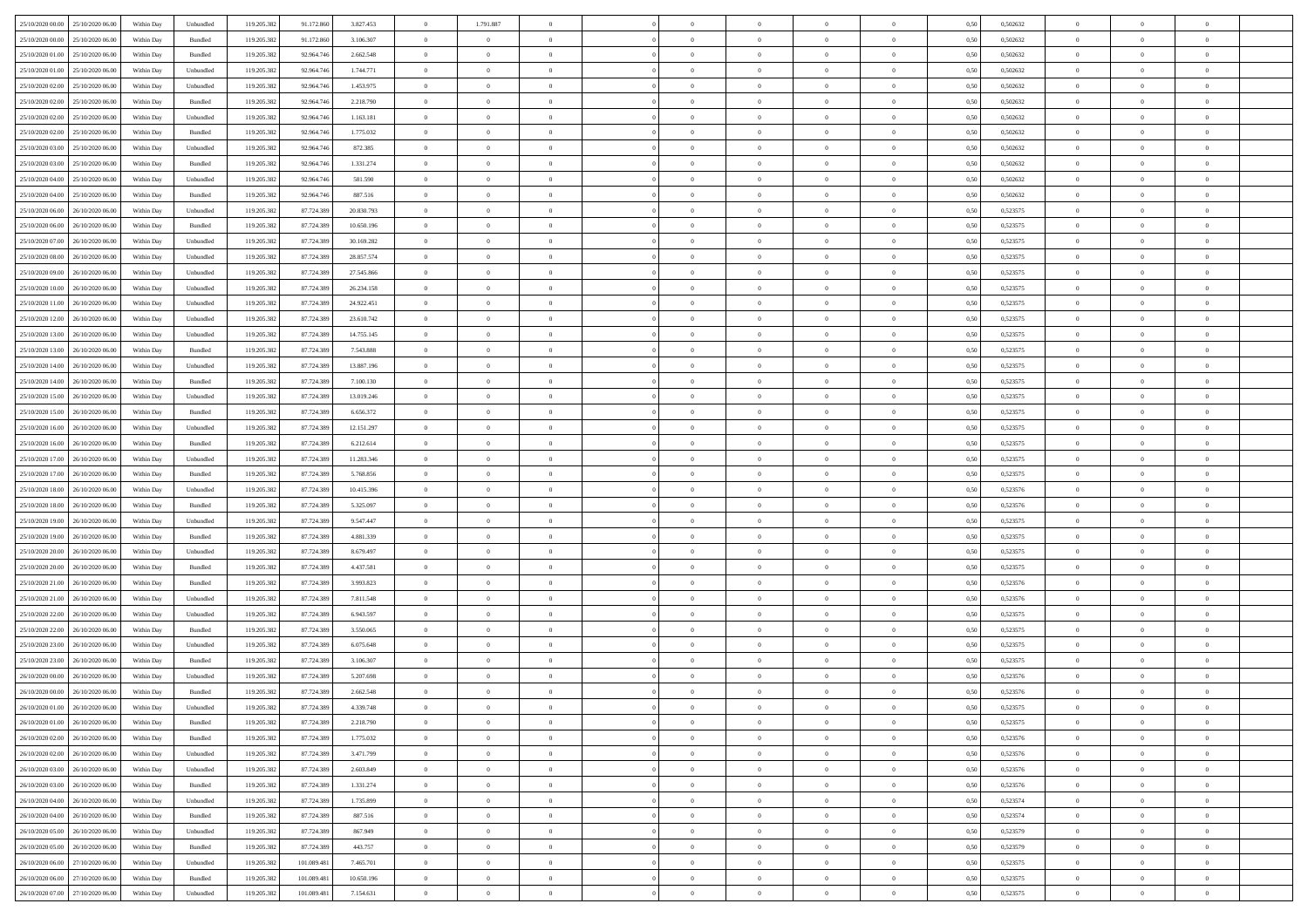| 25/10/2020 00:00 25/10/2020 06:00    | Within Day | Unbundled                   | 119.205.382 | 91.172.860  | 3.827.453  | $\overline{0}$ | 1.791.887      |                | $\overline{0}$ | $\theta$       |                | $\theta$       | 0,50 | 0,502632 | $\theta$       | $\theta$       | $\overline{0}$ |  |
|--------------------------------------|------------|-----------------------------|-------------|-------------|------------|----------------|----------------|----------------|----------------|----------------|----------------|----------------|------|----------|----------------|----------------|----------------|--|
| 25/10/2020 00.00<br>25/10/2020 06.00 | Within Day | Bundled                     | 119.205.38  | 91.172.86   | 3.106.307  | $\bf{0}$       | $\bf{0}$       | $\bf{0}$       | $\overline{0}$ | $\overline{0}$ | $\overline{0}$ | $\bf{0}$       | 0,50 | 0,502632 | $\,$ 0 $\,$    | $\bf{0}$       | $\overline{0}$ |  |
| 25/10/2020 01:00<br>25/10/2020 06.00 | Within Day | Bundled                     | 119.205.382 | 92.964.746  | 2.662.548  | $\overline{0}$ | $\overline{0}$ | $\overline{0}$ | $\bf{0}$       | $\bf{0}$       | $\overline{0}$ | $\bf{0}$       | 0.50 | 0.502632 | $\bf{0}$       | $\overline{0}$ | $\overline{0}$ |  |
| 25/10/2020 01:00<br>25/10/2020 06:00 | Within Day | Unbundled                   | 119.205.382 | 92.964.746  | 1.744.771  | $\overline{0}$ | $\overline{0}$ | $\overline{0}$ | $\theta$       | $\theta$       | $\overline{0}$ | $\bf{0}$       | 0,50 | 0,502632 | $\,$ 0 $\,$    | $\theta$       | $\overline{0}$ |  |
| 25/10/2020 02.00<br>25/10/2020 06.00 | Within Day | Unbundled                   | 119.205.38  | 92.964.74   | 1.453.975  | $\bf{0}$       | $\overline{0}$ | $\bf{0}$       | $\overline{0}$ | $\theta$       | $\overline{0}$ | $\bf{0}$       | 0,50 | 0,502632 | $\,$ 0 $\,$    | $\bf{0}$       | $\overline{0}$ |  |
| 25/10/2020 02:00<br>25/10/2020 06.00 |            | Bundled                     | 119.205.382 | 92.964.74   | 2.218.790  | $\overline{0}$ | $\bf{0}$       | $\overline{0}$ | $\bf{0}$       | $\overline{0}$ | $\theta$       | $\bf{0}$       | 0.50 | 0.502632 | $\,$ 0 $\,$    | $\theta$       | $\overline{0}$ |  |
|                                      | Within Day |                             |             |             |            | $\overline{0}$ | $\overline{0}$ | $\overline{0}$ | $\overline{0}$ | $\overline{0}$ | $\overline{0}$ |                |      |          |                | $\theta$       | $\overline{0}$ |  |
| 25/10/2020 02:00<br>25/10/2020 06.00 | Within Day | Unbundled                   | 119.205.382 | 92.964.746  | 1.163.181  |                |                |                |                |                |                | $\bf{0}$       | 0,50 | 0,502632 | $\,$ 0 $\,$    |                |                |  |
| 25/10/2020 02.00<br>25/10/2020 06.00 | Within Day | Bundled                     | 119.205.38  | 92.964.74   | 1.775.032  | $\bf{0}$       | $\bf{0}$       | $\bf{0}$       | $\overline{0}$ | $\overline{0}$ | $\overline{0}$ | $\bf{0}$       | 0,50 | 0,502632 | $\,$ 0 $\,$    | $\bf{0}$       | $\overline{0}$ |  |
| 25/10/2020 03:00<br>25/10/2020 06:00 | Within Day | Unbundled                   | 119,205.38  | 92.964.74   | 872.385    | $\overline{0}$ | $\bf{0}$       | $\overline{0}$ | $\bf{0}$       | $\overline{0}$ | $\overline{0}$ | $\bf{0}$       | 0.50 | 0.502632 | $\bf{0}$       | $\overline{0}$ | $\overline{0}$ |  |
| 25/10/2020 03:00<br>25/10/2020 06:00 | Within Day | Bundled                     | 119.205.382 | 92.964.746  | 1.331.274  | $\bf{0}$       | $\bf{0}$       | $\overline{0}$ | $\overline{0}$ | $\overline{0}$ | $\overline{0}$ | $\bf{0}$       | 0,50 | 0,502632 | $\,$ 0 $\,$    | $\bf{0}$       | $\overline{0}$ |  |
| 25/10/2020 04:00<br>25/10/2020 06.00 | Within Day | Unbundled                   | 119.205.38  | 92.964.74   | 581.590    | $\bf{0}$       | $\bf{0}$       | $\bf{0}$       | $\bf{0}$       | $\bf{0}$       | $\overline{0}$ | $\bf{0}$       | 0,50 | 0,502632 | $\,$ 0 $\,$    | $\bf{0}$       | $\overline{0}$ |  |
| 25/10/2020 04:00<br>25/10/2020 06.00 | Within Day | Bundled                     | 119.205.382 | 92.964.74   | 887,516    | $\overline{0}$ | $\bf{0}$       | $\overline{0}$ | $\overline{0}$ | $\bf{0}$       | $\overline{0}$ | $\bf{0}$       | 0.50 | 0.502632 | $\bf{0}$       | $\overline{0}$ | $\overline{0}$ |  |
| 25/10/2020 06:00<br>26/10/2020 06.00 | Within Day | Unbundled                   | 119.205.38  | 87.724.389  | 20.830.793 | $\overline{0}$ | $\overline{0}$ | $\overline{0}$ | $\theta$       | $\theta$       | $\overline{0}$ | $\bf{0}$       | 0,50 | 0,523575 | $\,$ 0 $\,$    | $\theta$       | $\overline{0}$ |  |
| 25/10/2020 06.00<br>26/10/2020 06.00 | Within Day | Bundled                     | 119.205.38  | 87.724.38   | 10.650.196 | $\bf{0}$       | $\overline{0}$ | $\bf{0}$       | $\overline{0}$ | $\bf{0}$       | $\overline{0}$ | $\bf{0}$       | 0,50 | 0,523575 | $\,$ 0 $\,$    | $\bf{0}$       | $\overline{0}$ |  |
| 25/10/2020 07.00<br>26/10/2020 06:00 | Within Day | Unbundled                   | 119.205.382 | 87.724.389  | 30.169.282 | $\overline{0}$ | $\bf{0}$       | $\overline{0}$ | $\bf{0}$       | $\overline{0}$ | $\theta$       | $\bf{0}$       | 0.50 | 0.523575 | $\,$ 0 $\,$    | $\theta$       | $\overline{0}$ |  |
| 25/10/2020 08:00<br>26/10/2020 06.00 | Within Day | Unbundled                   | 119.205.382 | 87.724.389  | 28.857.574 | $\overline{0}$ | $\overline{0}$ | $\overline{0}$ | $\overline{0}$ | $\overline{0}$ | $\overline{0}$ | $\bf{0}$       | 0,50 | 0,523575 | $\theta$       | $\theta$       | $\overline{0}$ |  |
| 25/10/2020 09:00<br>26/10/2020 06.00 | Within Day | Unbundled                   | 119.205.38  | 87.724.38   | 27.545.866 | $\bf{0}$       | $\bf{0}$       | $\bf{0}$       | $\overline{0}$ | $\bf{0}$       | $\overline{0}$ | $\bf{0}$       | 0,50 | 0,523575 | $\,$ 0 $\,$    | $\bf{0}$       | $\overline{0}$ |  |
| 26/10/2020 06:00                     |            | Unbundled                   | 119,205.38  | 87.724.389  | 26.234.158 |                |                |                |                |                | $\overline{0}$ |                |      | 0.523575 |                |                |                |  |
| 25/10/2020 10:00                     | Within Day |                             |             |             |            | $\overline{0}$ | $\bf{0}$       | $\overline{0}$ | $\bf{0}$       | $\overline{0}$ |                | $\bf{0}$       | 0.50 |          | $\bf{0}$       | $\overline{0}$ | $\overline{0}$ |  |
| 25/10/2020 11:00<br>26/10/2020 06.00 | Within Day | Unbundled                   | 119.205.382 | 87.724.389  | 24.922.451 | $\bf{0}$       | $\bf{0}$       | $\overline{0}$ | $\overline{0}$ | $\overline{0}$ | $\overline{0}$ | $\bf{0}$       | 0,50 | 0,523575 | $\,$ 0 $\,$    | $\bf{0}$       | $\overline{0}$ |  |
| 25/10/2020 12:00<br>26/10/2020 06.00 | Within Day | Unbundled                   | 119.205.38  | 87.724.389  | 23.610.742 | $\bf{0}$       | $\bf{0}$       | $\bf{0}$       | $\bf{0}$       | $\overline{0}$ | $\overline{0}$ | $\bf{0}$       | 0,50 | 0,523575 | $\,$ 0 $\,$    | $\bf{0}$       | $\overline{0}$ |  |
| 25/10/2020 13:00<br>26/10/2020 06:00 | Within Day | Unbundled                   | 119.205.382 | 87.724.389  | 14.755.145 | $\overline{0}$ | $\bf{0}$       | $\overline{0}$ | $\overline{0}$ | $\bf{0}$       | $\overline{0}$ | $\bf{0}$       | 0.50 | 0,523575 | $\bf{0}$       | $\overline{0}$ | $\overline{0}$ |  |
| 25/10/2020 13:00<br>26/10/2020 06:00 | Within Day | Bundled                     | 119.205.382 | 87.724.389  | 7.543.888  | $\overline{0}$ | $\overline{0}$ | $\overline{0}$ | $\theta$       | $\theta$       | $\overline{0}$ | $\bf{0}$       | 0,50 | 0,523575 | $\,$ 0 $\,$    | $\theta$       | $\overline{0}$ |  |
| 25/10/2020 14:00<br>26/10/2020 06.00 | Within Day | Unbundled                   | 119.205.38  | 87.724.389  | 13.887.196 | $\bf{0}$       | $\bf{0}$       | $\bf{0}$       | $\bf{0}$       | $\overline{0}$ | $\overline{0}$ | $\bf{0}$       | 0,50 | 0,523575 | $\,$ 0 $\,$    | $\bf{0}$       | $\overline{0}$ |  |
| 25/10/2020 14:00<br>26/10/2020 06:00 | Within Day | Bundled                     | 119,205.38  | 87.724.389  | 7.100.130  | $\overline{0}$ | $\bf{0}$       | $\overline{0}$ | $\bf{0}$       | $\overline{0}$ | $\theta$       | $\bf{0}$       | 0.50 | 0.523575 | $\,$ 0 $\,$    | $\theta$       | $\overline{0}$ |  |
| 25/10/2020 15:00<br>26/10/2020 06.00 | Within Day | Unbundled                   | 119.205.382 | 87.724.389  | 13.019.246 | $\bf{0}$       | $\overline{0}$ | $\overline{0}$ | $\overline{0}$ | $\overline{0}$ | $\overline{0}$ | $\bf{0}$       | 0,50 | 0,523575 | $\,$ 0 $\,$    | $\theta$       | $\overline{0}$ |  |
| 25/10/2020 15:00<br>26/10/2020 06.00 | Within Day | Bundled                     | 119.205.38  | 87.724.389  | 6.656.372  | $\bf{0}$       | $\overline{0}$ | $\bf{0}$       | $\overline{0}$ | $\bf{0}$       | $\overline{0}$ | $\bf{0}$       | 0,50 | 0,523575 | $\,$ 0 $\,$    | $\bf{0}$       | $\overline{0}$ |  |
| 25/10/2020 16.00<br>26/10/2020 06:00 | Within Day | Unbundled                   | 119,205.38  | 87.724.389  | 12.151.297 | $\overline{0}$ | $\bf{0}$       | $\overline{0}$ | $\bf{0}$       | $\overline{0}$ | $\overline{0}$ | $\bf{0}$       | 0.50 | 0.523575 | $\bf{0}$       | $\overline{0}$ | $\overline{0}$ |  |
| 25/10/2020 16:00<br>26/10/2020 06:00 | Within Day | Bundled                     | 119.205.382 | 87.724.389  | 6.212.614  | $\overline{0}$ | $\bf{0}$       | $\overline{0}$ | $\overline{0}$ | $\overline{0}$ | $\overline{0}$ | $\bf{0}$       | 0,50 | 0,523575 | $\,$ 0 $\,$    | $\theta$       | $\overline{0}$ |  |
| 25/10/2020 17:00<br>26/10/2020 06.00 | Within Day | Unbundled                   | 119.205.38  | 87.724.389  | 11.283.346 | $\bf{0}$       | $\bf{0}$       | $\bf{0}$       | $\bf{0}$       | $\overline{0}$ | $\overline{0}$ | $\bf{0}$       | 0,50 | 0,523575 | $\,$ 0 $\,$    | $\bf{0}$       | $\overline{0}$ |  |
| 25/10/2020 17:00<br>26/10/2020 06:00 | Within Day | Bundled                     | 119.205.382 | 87.724.389  | 5.768.856  | $\overline{0}$ | $\bf{0}$       | $\overline{0}$ | $\overline{0}$ | $\bf{0}$       | $\overline{0}$ | $\bf{0}$       | 0.50 | 0,523575 | $\bf{0}$       | $\overline{0}$ | $\overline{0}$ |  |
|                                      |            |                             |             |             |            |                | $\overline{0}$ |                |                | $\overline{0}$ |                |                |      |          | $\theta$       | $\theta$       | $\overline{0}$ |  |
| 25/10/2020 18:00<br>26/10/2020 06:00 | Within Day | Unbundled                   | 119.205.38  | 87.724.389  | 10.415.396 | $\overline{0}$ |                | $\overline{0}$ | $\overline{0}$ |                | $\overline{0}$ | $\bf{0}$       | 0.5( | 0,523576 |                |                |                |  |
| 25/10/2020 18:00<br>26/10/2020 06.00 | Within Day | Bundled                     | 119.205.38  | 87.724.389  | 5.325.097  | $\bf{0}$       | $\overline{0}$ | $\bf{0}$       | $\bf{0}$       | $\,$ 0 $\,$    | $\overline{0}$ | $\bf{0}$       | 0,50 | 0,523576 | $\,$ 0 $\,$    | $\bf{0}$       | $\overline{0}$ |  |
| 25/10/2020 19:00<br>26/10/2020 06:00 | Within Day | Unbundled                   | 119.205.382 | 87.724.389  | 9.547.447  | $\overline{0}$ | $\bf{0}$       | $\overline{0}$ | $\bf{0}$       | $\overline{0}$ | $\Omega$       | $\bf{0}$       | 0.50 | 0.523575 | $\,$ 0 $\,$    | $\bf{0}$       | $\overline{0}$ |  |
| 25/10/2020 19:00<br>26/10/2020 06.00 | Within Day | Bundled                     | 119.205.382 | 87.724.389  | 4.881.339  | $\overline{0}$ | $\overline{0}$ | $\overline{0}$ | $\overline{0}$ | $\overline{0}$ | $\overline{0}$ | $\bf{0}$       | 0.50 | 0,523575 | $\theta$       | $\theta$       | $\overline{0}$ |  |
| 25/10/2020 20:00<br>26/10/2020 06.00 | Within Day | Unbundled                   | 119.205.38  | 87.724.389  | 8.679.497  | $\bf{0}$       | $\bf{0}$       | $\bf{0}$       | $\bf{0}$       | $\bf{0}$       | $\overline{0}$ | $\bf{0}$       | 0,50 | 0,523575 | $\,$ 0 $\,$    | $\bf{0}$       | $\overline{0}$ |  |
| 25/10/2020 20:00<br>26/10/2020 06:00 | Within Day | Bundled                     | 119,205.38  | 87.724.389  | 4.437.581  | $\overline{0}$ | $\bf{0}$       | $\overline{0}$ | $\bf{0}$       | $\overline{0}$ | $\overline{0}$ | $\bf{0}$       | 0.50 | 0.523575 | $\bf{0}$       | $\overline{0}$ | $\overline{0}$ |  |
| 25/10/2020 21:00<br>26/10/2020 06.00 | Within Day | Bundled                     | 119.205.38  | 87.724.389  | 3.993.823  | $\overline{0}$ | $\overline{0}$ | $\overline{0}$ | $\overline{0}$ | $\overline{0}$ | $\overline{0}$ | $\bf{0}$       | 0.50 | 0,523576 | $\theta$       | $\theta$       | $\overline{0}$ |  |
| 25/10/2020 21:00<br>26/10/2020 06.00 | Within Day | Unbundled                   | 119.205.38  | 87.724.389  | 7.811.548  | $\bf{0}$       | $\bf{0}$       | $\bf{0}$       | $\bf{0}$       | $\overline{0}$ | $\overline{0}$ | $\bf{0}$       | 0,50 | 0,523576 | $\,$ 0 $\,$    | $\bf{0}$       | $\overline{0}$ |  |
| 25/10/2020 22.00<br>26/10/2020 06:00 | Within Day | Unbundled                   | 119.205.382 | 87.724.389  | 6.943.597  | $\overline{0}$ | $\bf{0}$       | $\overline{0}$ | $\overline{0}$ | $\bf{0}$       | $\overline{0}$ | $\bf{0}$       | 0.50 | 0,523575 | $\bf{0}$       | $\overline{0}$ | $\overline{0}$ |  |
| 25/10/2020 22:00<br>26/10/2020 06:00 | Within Day | Bundled                     | 119.205.382 | 87.724.389  | 3.550,065  | $\overline{0}$ | $\overline{0}$ | $\overline{0}$ | $\overline{0}$ | $\overline{0}$ | $\overline{0}$ | $\bf{0}$       | 0.5( | 0,523575 | $\theta$       | $\theta$       | $\overline{0}$ |  |
| 25/10/2020 23.00<br>26/10/2020 06.00 | Within Day | Unbundled                   | 119.205.38  | 87.724.389  | 6.075.648  | $\bf{0}$       | $\bf{0}$       | $\bf{0}$       | $\bf{0}$       | $\overline{0}$ | $\overline{0}$ | $\bf{0}$       | 0,50 | 0,523575 | $\,$ 0 $\,$    | $\bf{0}$       | $\overline{0}$ |  |
| 25/10/2020 23.00<br>26/10/2020 06.00 | Within Day | Bundled                     | 119.205.382 | 87.724.389  | 3.106.307  | $\overline{0}$ | $\overline{0}$ | $\overline{0}$ | $\bf{0}$       | $\overline{0}$ | $\Omega$       | $\bf{0}$       | 0.50 | 0,523575 | $\bf{0}$       | $\theta$       | $\overline{0}$ |  |
| 26/10/2020 00:00<br>26/10/2020 06.00 | Within Dav | Unbundled                   | 119.205.38  | 87.724.389  | 5.207.698  | $\overline{0}$ | $\overline{0}$ | $\Omega$       | $\overline{0}$ | $\theta$       | $\overline{0}$ | $\overline{0}$ | 0.5( | 0,523576 | $\theta$       | $\theta$       | $\overline{0}$ |  |
| 26/10/2020 00:00<br>26/10/2020 06.00 | Within Day | Bundled                     | 119.205.38  | 87.724.389  | 2.662.548  | $\bf{0}$       | $\bf{0}$       | $\bf{0}$       | $\bf{0}$       | $\bf{0}$       | $\overline{0}$ | $\bf{0}$       | 0,50 | 0,523576 | $\,$ 0 $\,$    | $\bf{0}$       | $\overline{0}$ |  |
| 26/10/2020 01:00 26/10/2020 06:00    |            |                             |             |             | 4.339.748  |                |                |                |                |                |                |                | 0,50 | 0,523575 |                |                |                |  |
|                                      | Within Day | $\ensuremath{\mathsf{Unb}}$ | 119.205.382 | 87.724.389  |            | $\overline{0}$ | $\theta$       |                | $\overline{0}$ |                |                |                |      |          | $\bf{0}$       | $\overline{0}$ |                |  |
| 26/10/2020 01:00 26/10/2020 06:00    | Within Day | Bundled                     | 119.205.382 | 87.724.389  | 2.218.790  | $\overline{0}$ | $\overline{0}$ | $\Omega$       | $\theta$       | $\overline{0}$ | $\overline{0}$ | $\bf{0}$       | 0,50 | 0,523575 | $\theta$       | $\theta$       | $\overline{0}$ |  |
| 26/10/2020 02.00<br>26/10/2020 06.00 | Within Day | Bundled                     | 119.205.38  | 87.724.389  | 1.775.032  | $\overline{0}$ | $\bf{0}$       | $\overline{0}$ | $\overline{0}$ | $\bf{0}$       | $\overline{0}$ | $\bf{0}$       | 0,50 | 0,523576 | $\bf{0}$       | $\overline{0}$ | $\bf{0}$       |  |
| 26/10/2020 02:00 26/10/2020 06:00    | Within Day | Unbundled                   | 119.205.382 | 87.724.389  | 3.471.799  | $\overline{0}$ | $\bf{0}$       | $\overline{0}$ | $\overline{0}$ | $\mathbf{0}$   | $\overline{0}$ | $\,$ 0 $\,$    | 0.50 | 0,523576 | $\overline{0}$ | $\bf{0}$       | $\,$ 0 $\,$    |  |
| 26/10/2020 03:00 26/10/2020 06:00    | Within Dav | Unbundled                   | 119.205.382 | 87.724.389  | 2.603.849  | $\overline{0}$ | $\overline{0}$ | $\overline{0}$ | $\overline{0}$ | $\overline{0}$ | $\overline{0}$ | $\bf{0}$       | 0,50 | 0,523576 | $\overline{0}$ | $\theta$       | $\overline{0}$ |  |
| 26/10/2020 03:00<br>26/10/2020 06.00 | Within Day | Bundled                     | 119.205.382 | 87.724.389  | 1.331.274  | $\overline{0}$ | $\bf{0}$       | $\overline{0}$ | $\overline{0}$ | $\overline{0}$ | $\overline{0}$ | $\bf{0}$       | 0,50 | 0,523576 | $\bf{0}$       | $\overline{0}$ | $\overline{0}$ |  |
| 26/10/2020 04:00<br>26/10/2020 06.00 | Within Day | Unbundled                   | 119.205.382 | 87.724.389  | 1.735.899  | $\overline{0}$ | $\bf{0}$       | $\overline{0}$ | $\overline{0}$ | $\overline{0}$ | $\overline{0}$ | $\bf{0}$       | 0.50 | 0.523574 | $\,$ 0 $\,$    | $\overline{0}$ | $\overline{0}$ |  |
| 26/10/2020 04:00<br>26/10/2020 06:00 | Within Dav | Bundled                     | 119.205.382 | 87.724.389  | 887.516    | $\overline{0}$ | $\overline{0}$ | $\overline{0}$ | $\overline{0}$ | $\overline{0}$ | $\overline{0}$ | $\bf{0}$       | 0.50 | 0,523574 | $\overline{0}$ | $\theta$       | $\overline{0}$ |  |
| 26/10/2020 05:00<br>26/10/2020 06.00 | Within Day | Unbundled                   | 119.205.38  | 87.724.389  | 867.949    | $\overline{0}$ | $\overline{0}$ | $\overline{0}$ | $\overline{0}$ | $\overline{0}$ | $\overline{0}$ | $\bf{0}$       | 0,50 | 0,523579 | $\bf{0}$       | $\overline{0}$ | $\overline{0}$ |  |
| 26/10/2020 05:00<br>26/10/2020 06:00 | Within Day | Bundled                     | 119.205.382 | 87.724.389  | 443,757    | $\overline{0}$ | $\overline{0}$ | $\overline{0}$ | $\overline{0}$ | $\bf{0}$       | $\overline{0}$ | $\bf{0}$       | 0.50 | 0.523579 | $\mathbf{0}$   | $\bf{0}$       | $\,$ 0         |  |
| 26/10/2020 06:00 27/10/2020 06:00    | Within Dav | Unbundled                   | 119.205.382 | 101.089.481 | 7.465.701  | $\overline{0}$ | $\overline{0}$ | $\overline{0}$ | $\overline{0}$ | $\overline{0}$ | $\overline{0}$ | $\bf{0}$       | 0,50 | 0,523575 | $\overline{0}$ | $\theta$       | $\overline{0}$ |  |
| 26/10/2020 06.00<br>27/10/2020 06.00 | Within Day | Bundled                     | 119.205.38  | 101.089.481 | 10.650.196 | $\overline{0}$ | $\bf{0}$       | $\overline{0}$ | $\bf{0}$       | $\overline{0}$ | $\bf{0}$       | $\bf{0}$       | 0,50 | 0,523575 | $\bf{0}$       | $\bf{0}$       | $\overline{0}$ |  |
|                                      |            |                             |             |             |            |                |                |                |                |                |                |                |      |          |                |                |                |  |
| 26/10/2020 07:00 27/10/2020 06:00    | Within Day | Unbundled                   | 119.205.382 | 101.089.481 | 7.154.631  | $\overline{0}$ | $\bf{0}$       | $\overline{0}$ | $\overline{0}$ | $\,$ 0 $\,$    | $\overline{0}$ | $\bf{0}$       | 0,50 | 0,523575 | $\overline{0}$ | $\,$ 0 $\,$    | $\,$ 0 $\,$    |  |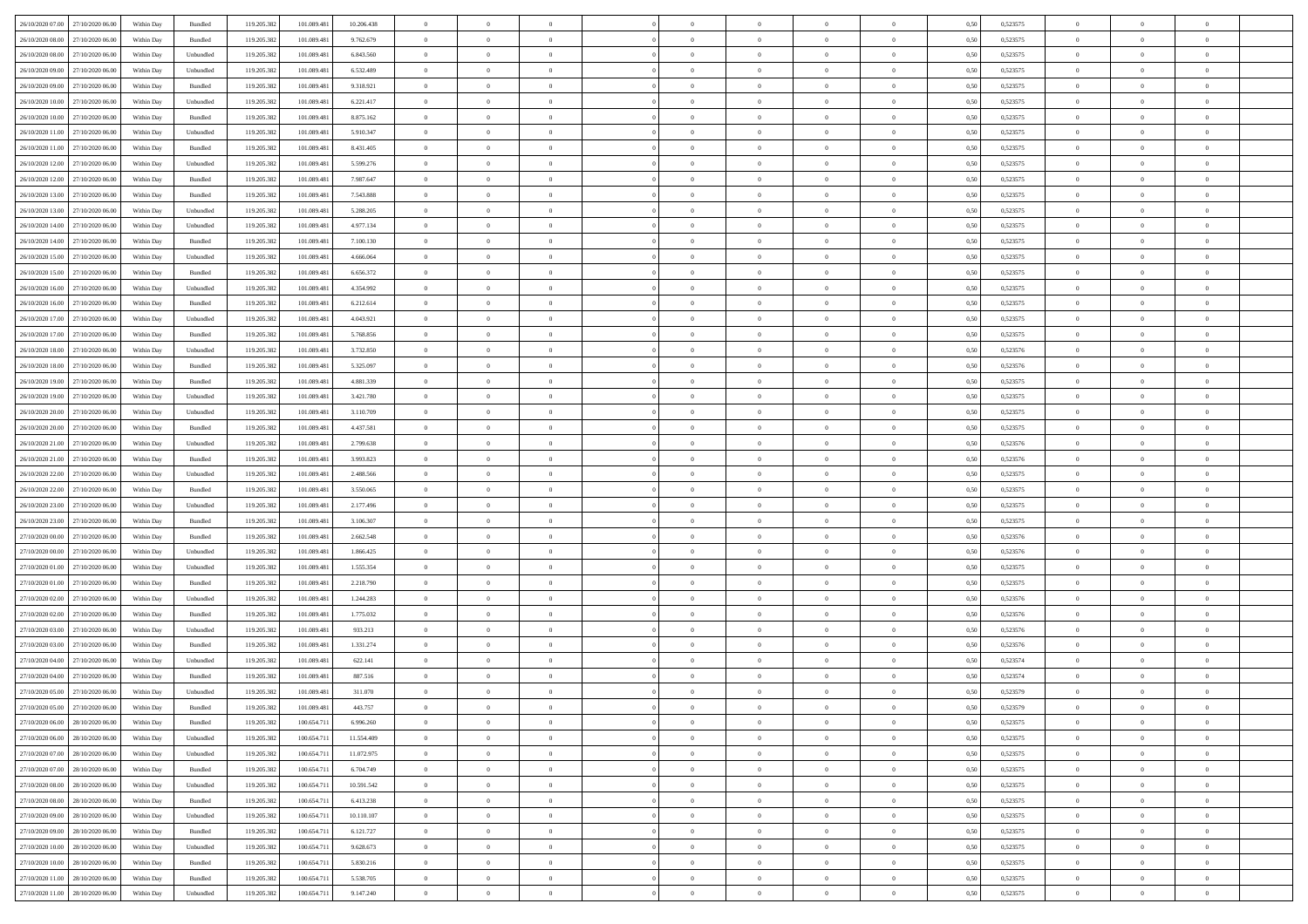| 26/10/2020 07:00 27/10/2020 06:00    | Within Day | Bundled            | 119.205.382 | 101.089.481 | 10.206.438 | $\overline{0}$ | $\theta$       |                | $\overline{0}$ | $\theta$       |                | $\theta$       | 0,50 | 0,523575 | $\theta$       | $\theta$       | $\overline{0}$ |  |
|--------------------------------------|------------|--------------------|-------------|-------------|------------|----------------|----------------|----------------|----------------|----------------|----------------|----------------|------|----------|----------------|----------------|----------------|--|
| 26/10/2020 08:00<br>27/10/2020 06.00 | Within Day | Bundled            | 119.205.38  | 101.089.48  | 9.762.679  | $\bf{0}$       | $\bf{0}$       | $\bf{0}$       | $\overline{0}$ | $\overline{0}$ | $\overline{0}$ | $\bf{0}$       | 0,50 | 0,523575 | $\,$ 0 $\,$    | $\bf{0}$       | $\overline{0}$ |  |
| 26/10/2020 08:00<br>27/10/2020 06.00 | Within Day | Unbundled          | 119.205.382 | 101.089.48  | 6.843.560  | $\overline{0}$ | $\bf{0}$       | $\overline{0}$ | $\bf{0}$       | $\bf{0}$       | $\overline{0}$ | $\bf{0}$       | 0.50 | 0,523575 | $\bf{0}$       | $\overline{0}$ | $\overline{0}$ |  |
| 26/10/2020 09:00<br>27/10/2020 06.00 | Within Day | Unbundled          | 119.205.382 | 101.089.481 | 6.532.489  | $\overline{0}$ | $\overline{0}$ | $\overline{0}$ | $\theta$       | $\theta$       | $\overline{0}$ | $\bf{0}$       | 0,50 | 0,523575 | $\theta$       | $\theta$       | $\overline{0}$ |  |
| 26/10/2020 09:00<br>27/10/2020 06.00 | Within Day | Bundled            | 119.205.38  | 101.089.48  | 9.318.921  | $\bf{0}$       | $\overline{0}$ | $\bf{0}$       | $\overline{0}$ | $\theta$       | $\overline{0}$ | $\bf{0}$       | 0,50 | 0,523575 | $\,$ 0 $\,$    | $\bf{0}$       | $\overline{0}$ |  |
| 26/10/2020 10:00<br>27/10/2020 06.00 | Within Day | Unbundled          | 119.205.38  | 101.089.48  | 6.221.417  | $\overline{0}$ | $\bf{0}$       | $\overline{0}$ | $\bf{0}$       | $\overline{0}$ | $\theta$       | $\bf{0}$       | 0.50 | 0.523575 | $\,$ 0 $\,$    | $\theta$       | $\overline{0}$ |  |
| 26/10/2020 10:00<br>27/10/2020 06.00 | Within Day | Bundled            | 119.205.38  | 101.089.481 | 8.875.162  | $\overline{0}$ | $\overline{0}$ | $\overline{0}$ | $\overline{0}$ | $\overline{0}$ | $\overline{0}$ | $\bf{0}$       | 0,50 | 0,523575 | $\theta$       | $\theta$       | $\overline{0}$ |  |
|                                      |            |                    |             |             |            |                |                |                |                |                |                |                |      |          |                |                |                |  |
| 26/10/2020 11:00<br>27/10/2020 06.00 | Within Day | Unbundled          | 119.205.38  | 101.089.48  | 5.910.347  | $\bf{0}$       | $\bf{0}$       | $\bf{0}$       | $\overline{0}$ | $\overline{0}$ | $\overline{0}$ | $\bf{0}$       | 0,50 | 0,523575 | $\,$ 0 $\,$    | $\bf{0}$       | $\overline{0}$ |  |
| 26/10/2020 11:00<br>27/10/2020 06:00 | Within Day | Bundled            | 119.205.38  | 101.089.48  | 8.431.405  | $\overline{0}$ | $\bf{0}$       | $\overline{0}$ | $\bf{0}$       | $\overline{0}$ | $\overline{0}$ | $\bf{0}$       | 0.50 | 0.523575 | $\bf{0}$       | $\overline{0}$ | $\overline{0}$ |  |
| 26/10/2020 12:00<br>27/10/2020 06:00 | Within Day | Unbundled          | 119.205.382 | 101.089.481 | 5.599.276  | $\bf{0}$       | $\bf{0}$       | $\overline{0}$ | $\overline{0}$ | $\overline{0}$ | $\overline{0}$ | $\bf{0}$       | 0,50 | 0,523575 | $\,$ 0 $\,$    | $\bf{0}$       | $\overline{0}$ |  |
| 26/10/2020 12:00<br>27/10/2020 06.00 | Within Day | Bundled            | 119.205.38  | 101.089.48  | 7.987.647  | $\bf{0}$       | $\bf{0}$       | $\bf{0}$       | $\bf{0}$       | $\bf{0}$       | $\overline{0}$ | $\bf{0}$       | 0,50 | 0,523575 | $\,$ 0 $\,$    | $\bf{0}$       | $\overline{0}$ |  |
| 26/10/2020 13:00<br>27/10/2020 06.00 | Within Day | Bundled            | 119.205.382 | 101.089.481 | 7.543.888  | $\overline{0}$ | $\bf{0}$       | $\overline{0}$ | $\bf{0}$       | $\bf{0}$       | $\overline{0}$ | $\bf{0}$       | 0.50 | 0,523575 | $\bf{0}$       | $\,$ 0 $\,$    | $\bf{0}$       |  |
| 26/10/2020 13:00<br>27/10/2020 06:00 | Within Day | Unbundled          | 119.205.38  | 101.089.481 | 5.288.205  | $\overline{0}$ | $\overline{0}$ | $\overline{0}$ | $\theta$       | $\theta$       | $\overline{0}$ | $\bf{0}$       | 0,50 | 0,523575 | $\,$ 0 $\,$    | $\theta$       | $\overline{0}$ |  |
| 26/10/2020 14:00<br>27/10/2020 06.00 | Within Day | Unbundled          | 119.205.38  | 101.089.48  | 4.977.134  | $\bf{0}$       | $\overline{0}$ | $\bf{0}$       | $\overline{0}$ | $\theta$       | $\overline{0}$ | $\bf{0}$       | 0,50 | 0,523575 | $\,$ 0 $\,$    | $\bf{0}$       | $\overline{0}$ |  |
| 26/10/2020 14:00<br>27/10/2020 06.00 | Within Day | Bundled            | 119.205.38  | 101.089.481 | 7.100.130  | $\overline{0}$ | $\bf{0}$       | $\overline{0}$ | $\bf{0}$       | $\overline{0}$ | $\theta$       | $\bf{0}$       | 0.50 | 0.523575 | $\,$ 0 $\,$    | $\theta$       | $\overline{0}$ |  |
| 26/10/2020 15:00<br>27/10/2020 06:00 | Within Day | Unbundled          | 119.205.382 | 101.089.481 | 4.666.064  | $\overline{0}$ | $\overline{0}$ | $\overline{0}$ | $\overline{0}$ | $\overline{0}$ | $\overline{0}$ | $\bf{0}$       | 0,50 | 0,523575 | $\theta$       | $\theta$       | $\overline{0}$ |  |
| 26/10/2020 15:00<br>27/10/2020 06.00 | Within Day | Bundled            | 119.205.38  | 101.089.481 | 6.656.372  | $\bf{0}$       | $\bf{0}$       | $\bf{0}$       | $\overline{0}$ | $\bf{0}$       | $\overline{0}$ | $\bf{0}$       | 0,50 | 0,523575 | $\,$ 0 $\,$    | $\bf{0}$       | $\overline{0}$ |  |
| 26/10/2020 16.00<br>27/10/2020 06:00 | Within Day | Unbundled          | 119.205.38  | 101.089.48  | 4.354.992  | $\overline{0}$ | $\bf{0}$       | $\overline{0}$ | $\bf{0}$       | $\overline{0}$ | $\overline{0}$ | $\bf{0}$       | 0.50 | 0.523575 | $\bf{0}$       | $\overline{0}$ | $\overline{0}$ |  |
| 26/10/2020 16:00<br>27/10/2020 06.00 |            |                    | 119.205.382 |             |            | $\bf{0}$       | $\bf{0}$       | $\overline{0}$ | $\overline{0}$ | $\overline{0}$ | $\overline{0}$ |                |      |          | $\,$ 0 $\,$    | $\bf{0}$       | $\overline{0}$ |  |
|                                      | Within Day | Bundled            |             | 101.089.481 | 6.212.614  |                |                |                |                |                |                | $\bf{0}$       | 0,50 | 0,523575 |                |                |                |  |
| 26/10/2020 17:00<br>27/10/2020 06.00 | Within Day | Unbundled          | 119.205.38  | 101.089.48  | 4.043.921  | $\bf{0}$       | $\bf{0}$       | $\bf{0}$       | $\bf{0}$       | $\overline{0}$ | $\overline{0}$ | $\bf{0}$       | 0,50 | 0,523575 | $\,$ 0 $\,$    | $\bf{0}$       | $\overline{0}$ |  |
| 26/10/2020 17:00<br>27/10/2020 06.00 | Within Day | Bundled            | 119.205.382 | 101.089.481 | 5.768.856  | $\overline{0}$ | $\bf{0}$       | $\overline{0}$ | $\bf{0}$       | $\bf{0}$       | $\overline{0}$ | $\bf{0}$       | 0.50 | 0,523575 | $\bf{0}$       | $\overline{0}$ | $\overline{0}$ |  |
| 26/10/2020 18:00<br>27/10/2020 06.00 | Within Day | Unbundled          | 119.205.38  | 101.089.481 | 3.732.850  | $\overline{0}$ | $\overline{0}$ | $\overline{0}$ | $\theta$       | $\theta$       | $\overline{0}$ | $\bf{0}$       | 0,50 | 0,523576 | $\theta$       | $\theta$       | $\overline{0}$ |  |
| 26/10/2020 18:00<br>27/10/2020 06.00 | Within Day | Bundled            | 119.205.38  | 101.089.481 | 5.325.097  | $\bf{0}$       | $\bf{0}$       | $\bf{0}$       | $\bf{0}$       | $\overline{0}$ | $\overline{0}$ | $\bf{0}$       | 0,50 | 0,523576 | $\,$ 0 $\,$    | $\bf{0}$       | $\overline{0}$ |  |
| 26/10/2020 19:00<br>27/10/2020 06:00 | Within Day | Bundled            | 119.205.38  | 101.089.48  | 4.881.339  | $\overline{0}$ | $\bf{0}$       | $\overline{0}$ | $\bf{0}$       | $\overline{0}$ | $\theta$       | $\bf{0}$       | 0.50 | 0.523575 | $\,$ 0 $\,$    | $\theta$       | $\overline{0}$ |  |
| 26/10/2020 19:00<br>27/10/2020 06.00 | Within Day | Unbundled          | 119.205.382 | 101.089.481 | 3.421.780  | $\overline{0}$ | $\overline{0}$ | $\overline{0}$ | $\overline{0}$ | $\overline{0}$ | $\overline{0}$ | $\bf{0}$       | 0,50 | 0,523575 | $\,$ 0 $\,$    | $\theta$       | $\overline{0}$ |  |
| 26/10/2020 20:00<br>27/10/2020 06.00 | Within Day | Unbundled          | 119.205.38  | 101.089.48  | 3.110.709  | $\bf{0}$       | $\overline{0}$ | $\bf{0}$       | $\overline{0}$ | $\bf{0}$       | $\overline{0}$ | $\bf{0}$       | 0,50 | 0,523575 | $\,$ 0 $\,$    | $\bf{0}$       | $\overline{0}$ |  |
| 26/10/2020 20:00<br>27/10/2020 06:00 | Within Day | Bundled            | 119,205.38  | 101.089.48  | 4.437.581  | $\overline{0}$ | $\bf{0}$       | $\overline{0}$ | $\bf{0}$       | $\overline{0}$ | $\overline{0}$ | $\bf{0}$       | 0.50 | 0.523575 | $\bf{0}$       | $\overline{0}$ | $\overline{0}$ |  |
| 26/10/2020 21:00<br>27/10/2020 06:00 | Within Day | Unbundled          | 119.205.382 | 101.089.481 | 2.799.638  | $\overline{0}$ | $\bf{0}$       | $\overline{0}$ | $\overline{0}$ | $\overline{0}$ | $\overline{0}$ | $\bf{0}$       | 0,50 | 0,523576 | $\,$ 0 $\,$    | $\theta$       | $\overline{0}$ |  |
| 26/10/2020 21:00<br>27/10/2020 06.00 | Within Day | Bundled            | 119.205.38  | 101.089.48  | 3.993.823  | $\bf{0}$       | $\bf{0}$       | $\bf{0}$       | $\bf{0}$       | $\overline{0}$ | $\overline{0}$ | $\bf{0}$       | 0,50 | 0,523576 | $\,$ 0 $\,$    | $\bf{0}$       | $\overline{0}$ |  |
| 26/10/2020 22.00<br>27/10/2020 06.00 | Within Day | Unbundled          | 119.205.38  | 101.089.481 | 2.488.566  | $\overline{0}$ | $\bf{0}$       | $\overline{0}$ | $\bf{0}$       | $\bf{0}$       | $\overline{0}$ | $\bf{0}$       | 0.50 | 0,523575 | $\bf{0}$       | $\,$ 0 $\,$    | $\bf{0}$       |  |
| 26/10/2020 22.00<br>27/10/2020 06.00 | Within Day | Bundled            | 119.205.38  | 101.089.48  | 3.550,065  | $\overline{0}$ | $\overline{0}$ | $\overline{0}$ | $\overline{0}$ | $\overline{0}$ | $\overline{0}$ | $\bf{0}$       | 0.50 | 0,523575 | $\theta$       | $\theta$       | $\overline{0}$ |  |
|                                      |            |                    |             |             |            |                |                |                |                | $\,$ 0 $\,$    | $\overline{0}$ |                |      |          |                |                |                |  |
| 26/10/2020 23:00<br>27/10/2020 06.00 | Within Day | Unbundled          | 119.205.38  | 101.089.48  | 2.177.496  | $\bf{0}$       | $\overline{0}$ | $\bf{0}$       | $\bf{0}$       |                |                | $\bf{0}$       | 0,50 | 0,523575 | $\,$ 0 $\,$    | $\bf{0}$       | $\overline{0}$ |  |
| 26/10/2020 23.00<br>27/10/2020 06.00 | Within Day | Bundled            | 119.205.38  | 101.089.481 | 3.106.307  | $\overline{0}$ | $\bf{0}$       | $\overline{0}$ | $\bf{0}$       | $\overline{0}$ | $\Omega$       | $\bf{0}$       | 0.50 | 0.523575 | $\,$ 0 $\,$    | $\bf{0}$       | $\overline{0}$ |  |
| 27/10/2020 00:00<br>27/10/2020 06.00 | Within Dav | Bundled            | 119.205.38  | 101.089.481 | 2.662.548  | $\overline{0}$ | $\overline{0}$ | $\overline{0}$ | $\overline{0}$ | $\overline{0}$ | $\overline{0}$ | $\bf{0}$       | 0.50 | 0,523576 | $\theta$       | $\theta$       | $\overline{0}$ |  |
| 27/10/2020 00:00<br>27/10/2020 06.00 | Within Day | Unbundled          | 119.205.38  | 101.089.48  | 1.866.425  | $\bf{0}$       | $\bf{0}$       | $\bf{0}$       | $\overline{0}$ | $\overline{0}$ | $\overline{0}$ | $\bf{0}$       | 0,50 | 0,523576 | $\,$ 0 $\,$    | $\bf{0}$       | $\overline{0}$ |  |
| 27/10/2020 01:00<br>27/10/2020 06:00 | Within Day | Unbundled          | 119.205.38  | 101.089.48  | 1.555.354  | $\overline{0}$ | $\bf{0}$       | $\overline{0}$ | $\bf{0}$       | $\overline{0}$ | $\overline{0}$ | $\bf{0}$       | 0.50 | 0.523575 | $\bf{0}$       | $\overline{0}$ | $\overline{0}$ |  |
| 27/10/2020 01:00<br>27/10/2020 06.00 | Within Day | Bundled            | 119.205.38  | 101.089.48  | 2.218.790  | $\overline{0}$ | $\overline{0}$ | $\overline{0}$ | $\overline{0}$ | $\overline{0}$ | $\overline{0}$ | $\bf{0}$       | 0.50 | 0,523575 | $\theta$       | $\theta$       | $\overline{0}$ |  |
| 27/10/2020 02.00<br>27/10/2020 06.00 | Within Day | Unbundled          | 119.205.38  | 101.089.48  | 1.244.283  | $\bf{0}$       | $\bf{0}$       | $\bf{0}$       | $\bf{0}$       | $\overline{0}$ | $\overline{0}$ | $\bf{0}$       | 0,50 | 0,523576 | $\,$ 0 $\,$    | $\bf{0}$       | $\overline{0}$ |  |
| 27/10/2020 02.00<br>27/10/2020 06.00 | Within Day | Bundled            | 119.205.382 | 101.089.481 | 1.775.032  | $\overline{0}$ | $\bf{0}$       | $\overline{0}$ | $\bf{0}$       | $\bf{0}$       | $\overline{0}$ | $\bf{0}$       | 0.50 | 0,523576 | $\,$ 0 $\,$    | $\,$ 0 $\,$    | $\overline{0}$ |  |
| 27/10/2020 03:00<br>27/10/2020 06.00 | Within Day | Unbundled          | 119.205.382 | 101.089.481 | 933.213    | $\overline{0}$ | $\overline{0}$ | $\overline{0}$ | $\overline{0}$ | $\overline{0}$ | $\overline{0}$ | $\bf{0}$       | 0.50 | 0,523576 | $\theta$       | $\theta$       | $\overline{0}$ |  |
| 27/10/2020 03:00<br>27/10/2020 06.00 | Within Day | Bundled            | 119.205.38  | 101.089.481 | 1.331.274  | $\bf{0}$       | $\bf{0}$       | $\bf{0}$       | $\bf{0}$       | $\overline{0}$ | $\overline{0}$ | $\bf{0}$       | 0,50 | 0,523576 | $\,$ 0 $\,$    | $\bf{0}$       | $\overline{0}$ |  |
| 27/10/2020 04.00<br>27/10/2020 06.00 | Within Day | Unbundled          | 119.205.38  | 101.089.48  | 622.141    | $\overline{0}$ | $\overline{0}$ | $\overline{0}$ | $\bf{0}$       | $\overline{0}$ | $\Omega$       | $\bf{0}$       | 0.50 | 0.523574 | $\bf{0}$       | $\theta$       | $\overline{0}$ |  |
| 27/10/2020 04:00<br>27/10/2020 06.00 | Within Day | Bundled            | 119.205.38  | 101.089.48  | 887,516    | $\overline{0}$ | $\overline{0}$ | $\Omega$       | $\overline{0}$ | $\theta$       | $\Omega$       | $\overline{0}$ | 0.5( | 0,523574 | $\theta$       | $\theta$       | $\overline{0}$ |  |
| 27/10/2020 05:00<br>27/10/2020 06.00 | Within Day | Unbundled          | 119.205.38  | 101.089.481 | 311.070    | $\bf{0}$       | $\bf{0}$       | $\bf{0}$       | $\bf{0}$       | $\bf{0}$       | $\overline{0}$ | $\bf{0}$       | 0,50 | 0,523579 | $\overline{0}$ | $\bf{0}$       | $\overline{0}$ |  |
| 27/10/2020 05:00 27/10/2020 06:00    | Within Day | $\mathbf B$ undled | 119.205.382 | 101.089.481 | 443.757    | $\bf{0}$       | $\Omega$       |                | $\overline{0}$ |                |                |                | 0,50 | 0,523579 | $\bf{0}$       | $\overline{0}$ |                |  |
|                                      |            |                    |             |             |            | $\overline{0}$ | $\overline{0}$ | $\Omega$       |                | $\overline{0}$ |                |                |      |          | $\theta$       | $\theta$       | $\overline{0}$ |  |
| 27/10/2020 06:00 28/10/2020 06:00    | Within Day | Bundled            | 119.205.382 | 100.654.711 | 6.996.260  |                |                |                | $\theta$       |                | $\overline{0}$ | $\bf{0}$       | 0,50 | 0,523575 |                |                |                |  |
| 27/10/2020 06.00<br>28/10/2020 06.00 | Within Day | Unbundled          | 119.205.38  | 100.654.71  | 11.554.409 | $\overline{0}$ | $\bf{0}$       | $\overline{0}$ | $\overline{0}$ | $\bf{0}$       | $\overline{0}$ | $\bf{0}$       | 0,50 | 0,523575 | $\bf{0}$       | $\overline{0}$ | $\bf{0}$       |  |
| 27/10/2020 07:00 28/10/2020 06:00    | Within Day | Unbundled          | 119.205.382 | 100,654.71  | 11.072.975 | $\overline{0}$ | $\bf{0}$       | $\overline{0}$ | $\overline{0}$ | $\mathbf{0}$   | $\overline{0}$ | $\,$ 0 $\,$    | 0.50 | 0,523575 | $\overline{0}$ | $\bf{0}$       | $\,$ 0 $\,$    |  |
| 27/10/2020 07:00 28/10/2020 06:00    | Within Dav | Bundled            | 119.205.382 | 100.654.711 | 6.704.749  | $\overline{0}$ | $\overline{0}$ | $\overline{0}$ | $\overline{0}$ | $\overline{0}$ | $\overline{0}$ | $\bf{0}$       | 0,50 | 0,523575 | $\overline{0}$ | $\theta$       | $\overline{0}$ |  |
| 27/10/2020 08:00<br>28/10/2020 06.00 | Within Day | Unbundled          | 119.205.382 | 100.654.711 | 10.591.542 | $\overline{0}$ | $\bf{0}$       | $\overline{0}$ | $\overline{0}$ | $\overline{0}$ | $\bf{0}$       | $\bf{0}$       | 0,50 | 0,523575 | $\bf{0}$       | $\overline{0}$ | $\overline{0}$ |  |
| 27/10/2020 08:00<br>28/10/2020 06:00 | Within Day | Bundled            | 119.205.382 | 100.654.711 | 6.413.238  | $\overline{0}$ | $\bf{0}$       | $\overline{0}$ | $\overline{0}$ | $\overline{0}$ | $\overline{0}$ | $\bf{0}$       | 0.50 | 0.523575 | $\,$ 0 $\,$    | $\theta$       | $\overline{0}$ |  |
| 27/10/2020 09:00<br>28/10/2020 06:00 | Within Dav | Unbundled          | 119.205.382 | 100.654.711 | 10.110.107 | $\overline{0}$ | $\overline{0}$ | $\overline{0}$ | $\overline{0}$ | $\overline{0}$ | $\overline{0}$ | $\bf{0}$       | 0.50 | 0,523575 | $\overline{0}$ | $\theta$       | $\overline{0}$ |  |
| 27/10/2020 09:00<br>28/10/2020 06.00 | Within Day | Bundled            | 119.205.38  | 100.654.71  | 6.121.727  | $\overline{0}$ | $\overline{0}$ | $\overline{0}$ | $\overline{0}$ | $\overline{0}$ | $\overline{0}$ | $\bf{0}$       | 0,50 | 0,523575 | $\bf{0}$       | $\overline{0}$ | $\overline{0}$ |  |
| 27/10/2020 10:00<br>28/10/2020 06:00 | Within Day | Unbundled          | 119.205.38  | 100,654.71  | 9.628.673  | $\overline{0}$ | $\overline{0}$ | $\overline{0}$ | $\overline{0}$ | $\bf{0}$       | $\overline{0}$ | $\bf{0}$       | 0.50 | 0.523575 | $\mathbf{0}$   | $\bf{0}$       | $\,$ 0         |  |
| 27/10/2020 10:00 28/10/2020 06:00    | Within Dav | Bundled            | 119.205.382 | 100.654.711 | 5.830.216  | $\overline{0}$ | $\overline{0}$ | $\overline{0}$ | $\overline{0}$ | $\overline{0}$ | $\overline{0}$ | $\bf{0}$       | 0,50 | 0,523575 | $\overline{0}$ | $\theta$       | $\overline{0}$ |  |
| 27/10/2020 11:00<br>28/10/2020 06.00 | Within Day | Bundled            | 119.205.38  | 100.654.71  | 5.538.705  | $\overline{0}$ | $\bf{0}$       | $\overline{0}$ | $\bf{0}$       | $\overline{0}$ | $\bf{0}$       | $\bf{0}$       | 0,50 | 0,523575 | $\bf{0}$       | $\bf{0}$       | $\overline{0}$ |  |
|                                      |            |                    |             |             |            |                |                |                |                |                |                |                |      |          |                |                |                |  |
| 27/10/2020 11:00 28/10/2020 06:00    | Within Day | Unbundled          | 119.205.382 | 100.654.711 | 9.147.240  | $\overline{0}$ | $\bf{0}$       | $\overline{0}$ | $\overline{0}$ | $\,$ 0 $\,$    | $\overline{0}$ | $\bf{0}$       | 0,50 | 0,523575 | $\overline{0}$ | $\,$ 0 $\,$    | $\,$ 0 $\,$    |  |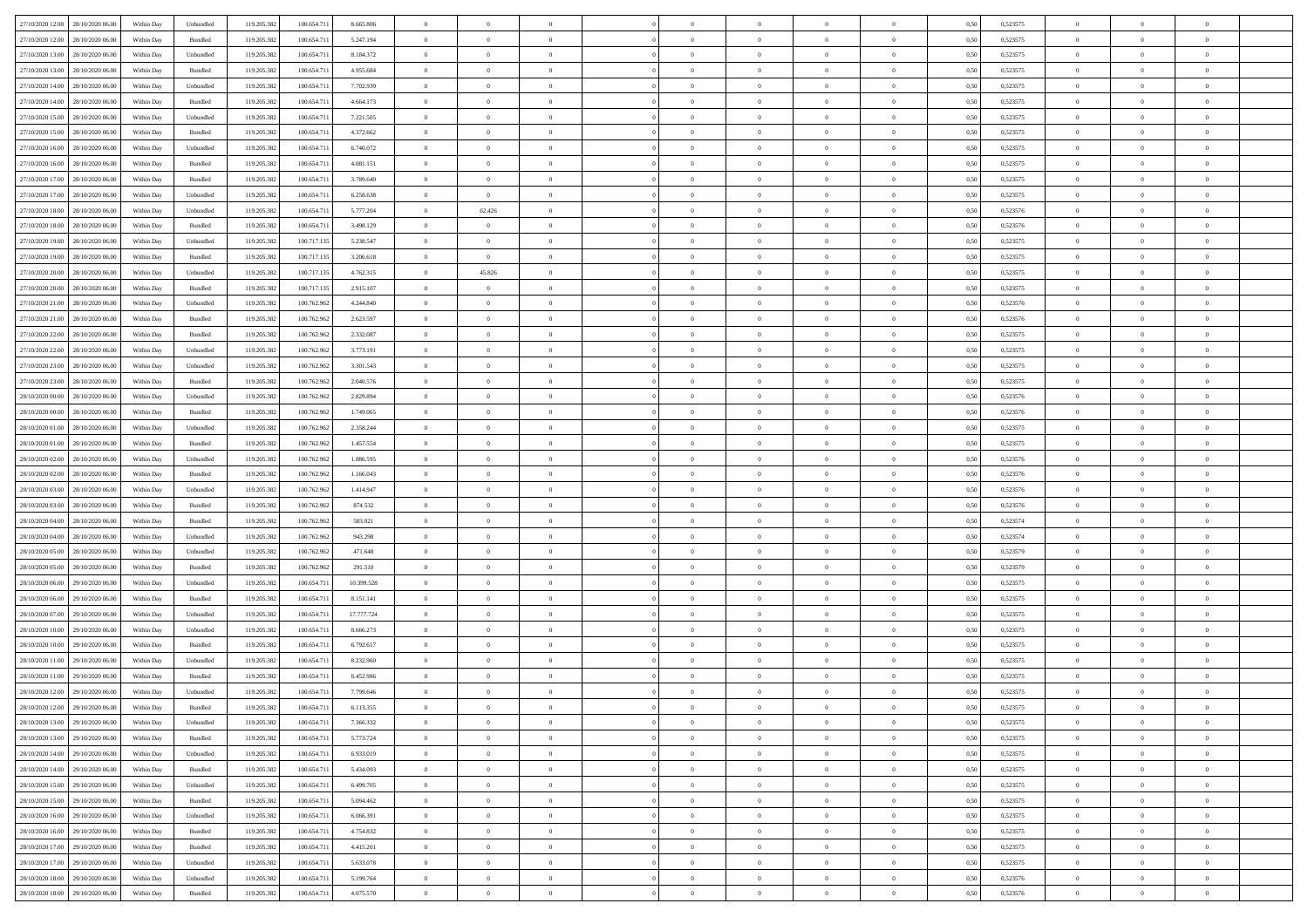| 27/10/2020 12:00 28/10/2020 06:00    | Within Day | Unbundled          | 119.205.382 | 100.654.711 | 8.665.806  | $\overline{0}$ | $\overline{0}$ |                | $\overline{0}$ | $\theta$       |                | $\theta$       | 0,50 | 0,523575 | $\theta$       | $\theta$       | $\overline{0}$ |  |
|--------------------------------------|------------|--------------------|-------------|-------------|------------|----------------|----------------|----------------|----------------|----------------|----------------|----------------|------|----------|----------------|----------------|----------------|--|
| 27/10/2020 12:00<br>28/10/2020 06.00 | Within Day | Bundled            | 119.205.38  | 100.654.71  | 5.247.194  | $\bf{0}$       | $\bf{0}$       | $\bf{0}$       | $\overline{0}$ | $\overline{0}$ | $\overline{0}$ | $\bf{0}$       | 0,50 | 0,523575 | $\,$ 0 $\,$    | $\bf{0}$       | $\overline{0}$ |  |
| 27/10/2020 13:00<br>28/10/2020 06:00 | Within Day | Unbundled          | 119.205.382 | 100.654.711 | 8.184.372  | $\overline{0}$ | $\bf{0}$       | $\overline{0}$ | $\bf{0}$       | $\bf{0}$       | $\overline{0}$ | $\bf{0}$       | 0.50 | 0,523575 | $\bf{0}$       | $\overline{0}$ | $\overline{0}$ |  |
| 27/10/2020 13:00<br>28/10/2020 06:00 | Within Day | Bundled            | 119.205.382 | 100.654.711 | 4.955.684  | $\overline{0}$ | $\overline{0}$ | $\overline{0}$ | $\theta$       | $\theta$       | $\overline{0}$ | $\bf{0}$       | 0,50 | 0,523575 | $\theta$       | $\theta$       | $\overline{0}$ |  |
| 27/10/2020 14:00<br>28/10/2020 06.00 | Within Day | Unbundled          | 119.205.38  | 100.654.71  | 7.702.939  | $\bf{0}$       | $\overline{0}$ | $\bf{0}$       | $\overline{0}$ | $\theta$       | $\overline{0}$ | $\bf{0}$       | 0,50 | 0,523575 | $\,$ 0 $\,$    | $\bf{0}$       | $\overline{0}$ |  |
|                                      |            |                    |             |             |            |                |                |                |                |                | $\theta$       |                |      |          |                |                |                |  |
| 27/10/2020 14:00<br>28/10/2020 06:00 | Within Day | Bundled            | 119.205.38  | 100.654.71  | 4.664.173  | $\overline{0}$ | $\bf{0}$       | $\overline{0}$ | $\bf{0}$       | $\overline{0}$ |                | $\bf{0}$       | 0.50 | 0.523575 | $\,$ 0 $\,$    | $\theta$       | $\overline{0}$ |  |
| 27/10/2020 15:00<br>28/10/2020 06:00 | Within Day | Unbundled          | 119.205.382 | 100.654.711 | 7.221.505  | $\overline{0}$ | $\overline{0}$ | $\overline{0}$ | $\overline{0}$ | $\overline{0}$ | $\overline{0}$ | $\bf{0}$       | 0,50 | 0,523575 | $\,$ 0 $\,$    | $\theta$       | $\overline{0}$ |  |
| 27/10/2020 15:00<br>28/10/2020 06.00 | Within Day | Bundled            | 119.205.38  | 100.654.71  | 4.372.662  | $\bf{0}$       | $\bf{0}$       | $\bf{0}$       | $\overline{0}$ | $\overline{0}$ | $\overline{0}$ | $\bf{0}$       | 0,50 | 0,523575 | $\,$ 0 $\,$    | $\bf{0}$       | $\overline{0}$ |  |
| 27/10/2020 16:00<br>28/10/2020 06:00 | Within Day | Unbundled          | 119,205.38  | 100.654.71  | 6.740.072  | $\overline{0}$ | $\bf{0}$       | $\overline{0}$ | $\bf{0}$       | $\overline{0}$ | $\overline{0}$ | $\bf{0}$       | 0.50 | 0.523575 | $\bf{0}$       | $\overline{0}$ | $\overline{0}$ |  |
| 27/10/2020 16.00<br>28/10/2020 06:00 | Within Day | Bundled            | 119.205.382 | 100.654.711 | 4.081.151  | $\overline{0}$ | $\bf{0}$       | $\overline{0}$ | $\overline{0}$ | $\overline{0}$ | $\overline{0}$ | $\bf{0}$       | 0,50 | 0,523575 | $\,$ 0 $\,$    | $\bf{0}$       | $\overline{0}$ |  |
| 27/10/2020 17:00<br>28/10/2020 06.00 | Within Day | Bundled            | 119.205.38  | 100.654.71  | 3.789.640  | $\bf{0}$       | $\bf{0}$       | $\bf{0}$       | $\bf{0}$       | $\bf{0}$       | $\overline{0}$ | $\bf{0}$       | 0,50 | 0,523575 | $\,$ 0 $\,$    | $\bf{0}$       | $\overline{0}$ |  |
| 27/10/2020 17:00<br>28/10/2020 06:00 | Within Day | Unbundled          | 119.205.382 | 100,654.71  | 6.258.638  | $\overline{0}$ | $\overline{0}$ | $\overline{0}$ | $\overline{0}$ | $\bf{0}$       | $\overline{0}$ | $\bf{0}$       | 0.50 | 0,523575 | $\bf{0}$       | $\,$ 0 $\,$    | $\bf{0}$       |  |
| 27/10/2020 18:00<br>28/10/2020 06:00 | Within Day | Unbundled          | 119.205.38  | 100.654.711 | 5.777.204  | $\overline{0}$ | 62.426         | $\overline{0}$ | $\theta$       | $\theta$       | $\overline{0}$ | $\bf{0}$       | 0,50 | 0,523576 | $\,$ 0 $\,$    | $\theta$       | $\overline{0}$ |  |
|                                      |            |                    |             |             |            |                |                |                |                |                |                |                |      |          |                |                |                |  |
| 27/10/2020 18:00<br>28/10/2020 06.00 | Within Day | Bundled            | 119.205.38  | 100.654.71  | 3.498.129  | $\bf{0}$       | $\theta$       | $\bf{0}$       | $\overline{0}$ | $\theta$       | $\overline{0}$ | $\bf{0}$       | 0,50 | 0,523576 | $\,$ 0 $\,$    | $\bf{0}$       | $\overline{0}$ |  |
| 27/10/2020 19:00<br>28/10/2020 06:00 | Within Day | Unbundled          | 119.205.38  | 100.717.13: | 5.238.547  | $\overline{0}$ | $\bf{0}$       | $\overline{0}$ | $\bf{0}$       | $\overline{0}$ | $\theta$       | $\bf{0}$       | 0.50 | 0.523575 | $\,$ 0 $\,$    | $\theta$       | $\overline{0}$ |  |
| 27/10/2020 19:00<br>28/10/2020 06:00 | Within Day | Bundled            | 119.205.382 | 100.717.135 | 3.206.618  | $\overline{0}$ | $\bf{0}$       | $\overline{0}$ | $\overline{0}$ | $\overline{0}$ | $\overline{0}$ | $\bf{0}$       | 0,50 | 0,523575 | $\theta$       | $\theta$       | $\overline{0}$ |  |
| 27/10/2020 20:00<br>28/10/2020 06.00 | Within Day | Unbundled          | 119.205.38  | 100.717.13: | 4.762.315  | $\bf{0}$       | 45.826         | $\bf{0}$       | $\overline{0}$ | $\bf{0}$       | $\overline{0}$ | $\bf{0}$       | 0,50 | 0,523575 | $\,$ 0 $\,$    | $\bf{0}$       | $\overline{0}$ |  |
| 27/10/2020 20:00<br>28/10/2020 06:00 | Within Day | Bundled            | 119.205.38  | 100.717.13: | 2.915.107  | $\overline{0}$ | $\bf{0}$       | $\overline{0}$ | $\bf{0}$       | $\overline{0}$ | $\overline{0}$ | $\bf{0}$       | 0.50 | 0.523575 | $\bf{0}$       | $\overline{0}$ | $\overline{0}$ |  |
| 27/10/2020 21:00<br>28/10/2020 06:00 | Within Day | Unbundled          | 119.205.382 | 100.762.962 | 4.244.840  | $\bf{0}$       | $\bf{0}$       | $\overline{0}$ | $\overline{0}$ | $\overline{0}$ | $\overline{0}$ | $\bf{0}$       | 0,50 | 0,523576 | $\,$ 0 $\,$    | $\bf{0}$       | $\overline{0}$ |  |
| 27/10/2020 21:00<br>28/10/2020 06.00 | Within Day | Bundled            | 119.205.38  | 100.762.96  | 2.623.597  | $\bf{0}$       | $\bf{0}$       | $\bf{0}$       | $\bf{0}$       | $\overline{0}$ | $\overline{0}$ | $\bf{0}$       | 0,50 | 0,523576 | $\,$ 0 $\,$    | $\bf{0}$       | $\overline{0}$ |  |
|                                      |            |                    |             |             |            |                |                |                |                |                |                |                |      |          |                |                |                |  |
| 27/10/2020 22.00<br>28/10/2020 06:00 | Within Day | Bundled            | 119.205.382 | 100.762.962 | 2.332.087  | $\overline{0}$ | $\bf{0}$       | $\overline{0}$ | $\overline{0}$ | $\bf{0}$       | $\overline{0}$ | $\bf{0}$       | 0.50 | 0,523575 | $\bf{0}$       | $\overline{0}$ | $\overline{0}$ |  |
| 27/10/2020 22.00<br>28/10/2020 06:00 | Within Day | Unbundled          | 119.205.382 | 100.762.962 | 3.773.191  | $\overline{0}$ | $\overline{0}$ | $\overline{0}$ | $\theta$       | $\theta$       | $\overline{0}$ | $\bf{0}$       | 0,50 | 0,523575 | $\theta$       | $\theta$       | $\overline{0}$ |  |
| 27/10/2020 23.00<br>28/10/2020 06.00 | Within Day | Unbundled          | 119.205.38  | 100.762.96  | 3.301.543  | $\bf{0}$       | $\bf{0}$       | $\bf{0}$       | $\bf{0}$       | $\overline{0}$ | $\overline{0}$ | $\bf{0}$       | 0,50 | 0,523575 | $\,$ 0 $\,$    | $\bf{0}$       | $\overline{0}$ |  |
| 27/10/2020 23.00<br>28/10/2020 06:00 | Within Day | Bundled            | 119.205.38  | 100.762.962 | 2.040.576  | $\overline{0}$ | $\bf{0}$       | $\overline{0}$ | $\bf{0}$       | $\overline{0}$ | $\theta$       | $\bf{0}$       | 0.50 | 0.523575 | $\,$ 0 $\,$    | $\theta$       | $\overline{0}$ |  |
| 28/10/2020 00:00<br>28/10/2020 06.00 | Within Day | Unbundled          | 119.205.382 | 100.762.962 | 2.829.894  | $\overline{0}$ | $\overline{0}$ | $\overline{0}$ | $\overline{0}$ | $\overline{0}$ | $\overline{0}$ | $\bf{0}$       | 0,50 | 0,523576 | $\,$ 0 $\,$    | $\theta$       | $\overline{0}$ |  |
| 28/10/2020 00:00<br>28/10/2020 06.00 | Within Day | Bundled            | 119.205.38  | 100.762.96  | 1.749.065  | $\bf{0}$       | $\overline{0}$ | $\bf{0}$       | $\overline{0}$ | $\bf{0}$       | $\overline{0}$ | $\bf{0}$       | 0,50 | 0,523576 | $\,$ 0 $\,$    | $\bf{0}$       | $\overline{0}$ |  |
| 28/10/2020 01:00<br>28/10/2020 06:00 | Within Day | Unbundled          | 119,205.38  | 100.762.962 | 2.358.244  | $\overline{0}$ | $\bf{0}$       | $\overline{0}$ | $\bf{0}$       | $\overline{0}$ | $\overline{0}$ | $\bf{0}$       | 0.50 | 0.523575 | $\bf{0}$       | $\overline{0}$ | $\overline{0}$ |  |
| 28/10/2020 01:00<br>28/10/2020 06:00 | Within Day | Bundled            | 119.205.382 | 100.762.962 | 1.457.554  | $\overline{0}$ | $\bf{0}$       | $\overline{0}$ | $\overline{0}$ | $\overline{0}$ | $\overline{0}$ | $\bf{0}$       | 0,50 | 0,523575 | $\,$ 0 $\,$    | $\theta$       | $\overline{0}$ |  |
|                                      |            |                    |             |             |            |                |                |                |                |                |                |                |      |          |                |                |                |  |
| 28/10/2020 02:00<br>28/10/2020 06.00 | Within Day | Unbundled          | 119.205.38  | 100.762.96  | 1.886.595  | $\bf{0}$       | $\bf{0}$       | $\bf{0}$       | $\bf{0}$       | $\overline{0}$ | $\overline{0}$ | $\bf{0}$       | 0,50 | 0,523576 | $\,$ 0 $\,$    | $\bf{0}$       | $\overline{0}$ |  |
| 28/10/2020 02:00<br>28/10/2020 06:00 | Within Day | Bundled            | 119.205.382 | 100.762.962 | 1.166.043  | $\overline{0}$ | $\bf{0}$       | $\overline{0}$ | $\overline{0}$ | $\bf{0}$       | $\overline{0}$ | $\bf{0}$       | 0.50 | 0,523576 | $\bf{0}$       | $\,$ 0 $\,$    | $\overline{0}$ |  |
| 28/10/2020 03:00<br>28/10/2020 06:00 | Within Day | Unbundled          | 119.205.38  | 100.762.962 | 1.414.947  | $\overline{0}$ | $\overline{0}$ | $\overline{0}$ | $\overline{0}$ | $\overline{0}$ | $\overline{0}$ | $\bf{0}$       | 0.5( | 0,523576 | $\theta$       | $\theta$       | $\overline{0}$ |  |
| 28/10/2020 03:00<br>28/10/2020 06.00 | Within Day | Bundled            | 119.205.38  | 100.762.96  | 874.532    | $\bf{0}$       | $\bf{0}$       | $\bf{0}$       | $\bf{0}$       | $\,$ 0 $\,$    | $\overline{0}$ | $\bf{0}$       | 0,50 | 0,523576 | $\,$ 0 $\,$    | $\bf{0}$       | $\overline{0}$ |  |
| 28/10/2020 04:00<br>28/10/2020 06:00 | Within Day | Bundled            | 119.205.382 | 100.762.962 | 583.021    | $\overline{0}$ | $\bf{0}$       | $\overline{0}$ | $\bf{0}$       | $\overline{0}$ | $\Omega$       | $\bf{0}$       | 0.50 | 0.523574 | $\,$ 0 $\,$    | $\bf{0}$       | $\overline{0}$ |  |
| 28/10/2020 04:00<br>28/10/2020 06:00 | Within Dav | Unbundled          | 119.205.382 | 100.762.962 | 943.298    | $\overline{0}$ | $\overline{0}$ | $\overline{0}$ | $\overline{0}$ | $\overline{0}$ | $\overline{0}$ | $\bf{0}$       | 0.50 | 0,523574 | $\theta$       | $\theta$       | $\overline{0}$ |  |
| 28/10/2020 05:00<br>28/10/2020 06.00 | Within Day | Unbundled          | 119.205.38  | 100.762.96  | 471.648    | $\bf{0}$       | $\bf{0}$       | $\bf{0}$       | $\bf{0}$       | $\bf{0}$       | $\overline{0}$ | $\bf{0}$       | 0,50 | 0,523579 | $\,$ 0 $\,$    | $\bf{0}$       | $\overline{0}$ |  |
| 28/10/2020 05:00<br>28/10/2020 06:00 | Within Day | Bundled            | 119.205.38  | 100.762.962 | 291.510    | $\overline{0}$ | $\bf{0}$       | $\overline{0}$ | $\bf{0}$       | $\overline{0}$ | $\overline{0}$ | $\bf{0}$       | 0.50 | 0.523579 | $\bf{0}$       | $\overline{0}$ | $\overline{0}$ |  |
| 28/10/2020 06:00<br>29/10/2020 06.00 | Within Day | Unbundled          | 119.205.38  | 100.654.71  | 10.399.528 | $\overline{0}$ | $\overline{0}$ | $\overline{0}$ | $\overline{0}$ | $\overline{0}$ | $\overline{0}$ | $\bf{0}$       | 0.50 | 0,523575 | $\theta$       | $\theta$       | $\overline{0}$ |  |
|                                      |            |                    |             |             |            |                |                |                |                |                |                |                |      |          |                |                |                |  |
| 28/10/2020 06:00<br>29/10/2020 06.00 | Within Day | Bundled            | 119.205.38  | 100.654.71  | 8.151.141  | $\bf{0}$       | $\bf{0}$       | $\bf{0}$       | $\bf{0}$       | $\overline{0}$ | $\overline{0}$ | $\bf{0}$       | 0,50 | 0,523575 | $\,$ 0 $\,$    | $\bf{0}$       | $\overline{0}$ |  |
| 28/10/2020 07:00<br>29/10/2020 06:00 | Within Day | Unbundled          | 119,205.38  | 100,654.71  | 17.777.724 | $\overline{0}$ | $\bf{0}$       | $\overline{0}$ | $\overline{0}$ | $\bf{0}$       | $\overline{0}$ | $\bf{0}$       | 0.50 | 0,523575 | $\bf{0}$       | $\,$ 0 $\,$    | $\overline{0}$ |  |
| 28/10/2020 10:00<br>29/10/2020 06:00 | Within Day | Unbundled          | 119.205.382 | 100.654.71  | 8.666.273  | $\overline{0}$ | $\overline{0}$ | $\overline{0}$ | $\overline{0}$ | $\overline{0}$ | $\overline{0}$ | $\bf{0}$       | 0.5( | 0,523575 | $\theta$       | $\theta$       | $\overline{0}$ |  |
| 28/10/2020 10:00<br>29/10/2020 06.00 | Within Day | Bundled            | 119.205.38  | 100.654.71  | 6.792.617  | $\bf{0}$       | $\bf{0}$       | $\bf{0}$       | $\bf{0}$       | $\overline{0}$ | $\overline{0}$ | $\bf{0}$       | 0,50 | 0,523575 | $\,$ 0 $\,$    | $\bf{0}$       | $\overline{0}$ |  |
| 28/10/2020 11:00<br>29/10/2020 06.00 | Within Day | Unbundled          | 119.205.38  | 100.654.71  | 8.232.960  | $\overline{0}$ | $\overline{0}$ | $\overline{0}$ | $\bf{0}$       | $\overline{0}$ | $\Omega$       | $\bf{0}$       | 0.50 | 0,523575 | $\bf{0}$       | $\theta$       | $\overline{0}$ |  |
| 28/10/2020 11:00<br>29/10/2020 06:00 | Within Day | Bundled            | 119.205.38  | 100.654.71  | 6.452.986  | $\overline{0}$ | $\overline{0}$ | $\Omega$       | $\overline{0}$ | $\theta$       | $\Omega$       | $\overline{0}$ | 0.5( | 0,523575 | $\theta$       | $\theta$       | $\overline{0}$ |  |
| 28/10/2020 12:00<br>29/10/2020 06.00 | Within Day | Unbundled          | 119.205.38  | 100.654.71  | 7.799.646  | $\bf{0}$       | $\bf{0}$       | $\overline{0}$ | $\bf{0}$       | $\bf{0}$       | $\overline{0}$ | $\bf{0}$       | 0,50 | 0,523575 | $\overline{0}$ | $\bf{0}$       | $\overline{0}$ |  |
| 28/10/2020 12:00 29/10/2020 06:00    | Within Day | $\mathbf B$ undled | 119.205.382 | 100.654.711 | 6.113.355  | $\bf{0}$       | $\Omega$       |                | $\overline{0}$ |                |                |                | 0,50 | 0,523575 | $\bf{0}$       | $\overline{0}$ |                |  |
| 28/10/2020 13:00 29/10/2020 06:00    | Within Day | Unbundled          | 119.205.382 | 100.654.711 | 7.366.332  | $\overline{0}$ | $\overline{0}$ | $\Omega$       | $\theta$       | $\overline{0}$ | $\overline{0}$ | $\bf{0}$       | 0,50 | 0,523575 | $\theta$       | $\theta$       | $\overline{0}$ |  |
|                                      |            |                    |             |             |            |                |                |                |                |                |                |                |      |          |                |                |                |  |
| 28/10/2020 13:00<br>29/10/2020 06.00 | Within Day | Bundled            | 119.205.38  | 100.654.71  | 5.773.724  | $\overline{0}$ | $\bf{0}$       | $\overline{0}$ | $\overline{0}$ | $\bf{0}$       | $\overline{0}$ | $\bf{0}$       | 0,50 | 0,523575 | $\bf{0}$       | $\overline{0}$ | $\bf{0}$       |  |
| 28/10/2020 14:00 29/10/2020 06:00    | Within Day | Unbundled          | 119.205.382 | 100.654.711 | 6.933.019  | $\overline{0}$ | $\bf{0}$       | $\overline{0}$ | $\overline{0}$ | $\overline{0}$ | $\overline{0}$ | $\,$ 0 $\,$    | 0.50 | 0,523575 | $\overline{0}$ | $\bf{0}$       | $\,$ 0 $\,$    |  |
| 28/10/2020 14:00 29/10/2020 06:00    | Within Dav | Bundled            | 119.205.382 | 100.654.711 | 5.434.093  | $\overline{0}$ | $\overline{0}$ | $\overline{0}$ | $\overline{0}$ | $\overline{0}$ | $\overline{0}$ | $\bf{0}$       | 0,50 | 0,523575 | $\overline{0}$ | $\theta$       | $\overline{0}$ |  |
| 28/10/2020 15:00<br>29/10/2020 06.00 | Within Day | Unbundled          | 119.205.382 | 100.654.711 | 6.499.705  | $\overline{0}$ | $\bf{0}$       | $\overline{0}$ | $\overline{0}$ | $\overline{0}$ | $\overline{0}$ | $\bf{0}$       | 0,50 | 0,523575 | $\bf{0}$       | $\overline{0}$ | $\overline{0}$ |  |
| 28/10/2020 15:00<br>29/10/2020 06.00 | Within Day | Bundled            | 119.205.382 | 100.654.711 | 5.094.462  | $\overline{0}$ | $\bf{0}$       | $\overline{0}$ | $\overline{0}$ | $\overline{0}$ | $\overline{0}$ | $\bf{0}$       | 0.50 | 0.523575 | $\,$ 0 $\,$    | $\overline{0}$ | $\overline{0}$ |  |
| 28/10/2020 16:00<br>29/10/2020 06:00 | Within Dav | Unbundled          | 119.205.382 | 100.654.711 | 6.066.391  | $\overline{0}$ | $\overline{0}$ | $\overline{0}$ | $\overline{0}$ | $\overline{0}$ | $\overline{0}$ | $\bf{0}$       | 0.50 | 0,523575 | $\overline{0}$ | $\theta$       | $\overline{0}$ |  |
| 28/10/2020 16:00<br>29/10/2020 06.00 | Within Day | Bundled            | 119.205.38  | 100.654.71  | 4.754.832  | $\overline{0}$ | $\overline{0}$ | $\overline{0}$ | $\overline{0}$ | $\overline{0}$ | $\overline{0}$ | $\bf{0}$       | 0,50 | 0,523575 | $\bf{0}$       | $\overline{0}$ | $\overline{0}$ |  |
|                                      |            |                    |             |             |            |                |                |                |                |                |                |                |      |          |                |                |                |  |
| 28/10/2020 17.00<br>29/10/2020 06:00 | Within Day | Bundled            | 119.205.38  | 100,654.71  | 4.415.201  | $\overline{0}$ | $\overline{0}$ | $\overline{0}$ | $\overline{0}$ | $\bf{0}$       | $\overline{0}$ | $\bf{0}$       | 0.50 | 0.523575 | $\mathbf{0}$   | $\bf{0}$       | $\,$ 0         |  |
| 28/10/2020 17:00 29/10/2020 06:00    | Within Dav | Unbundled          | 119.205.382 | 100.654.711 | 5.633.078  | $\overline{0}$ | $\overline{0}$ | $\overline{0}$ | $\overline{0}$ | $\overline{0}$ | $\overline{0}$ | $\bf{0}$       | 0,50 | 0,523575 | $\overline{0}$ | $\theta$       | $\overline{0}$ |  |
| 28/10/2020 18:00<br>29/10/2020 06.00 | Within Day | Unbundled          | 119.205.38  | 100.654.71  | 5.199.764  | $\overline{0}$ | $\bf{0}$       | $\overline{0}$ | $\bf{0}$       | $\overline{0}$ | $\bf{0}$       | $\bf{0}$       | 0,50 | 0,523576 | $\bf{0}$       | $\bf{0}$       | $\overline{0}$ |  |
| 28/10/2020 18:00 29/10/2020 06:00    | Within Day | Bundled            | 119.205.382 | 100.654.711 | 4.075.570  | $\overline{0}$ | $\bf{0}$       | $\overline{0}$ | $\overline{0}$ | $\,$ 0 $\,$    | $\overline{0}$ | $\bf{0}$       | 0,50 | 0,523576 | $\overline{0}$ | $\,$ 0 $\,$    | $\,$ 0 $\,$    |  |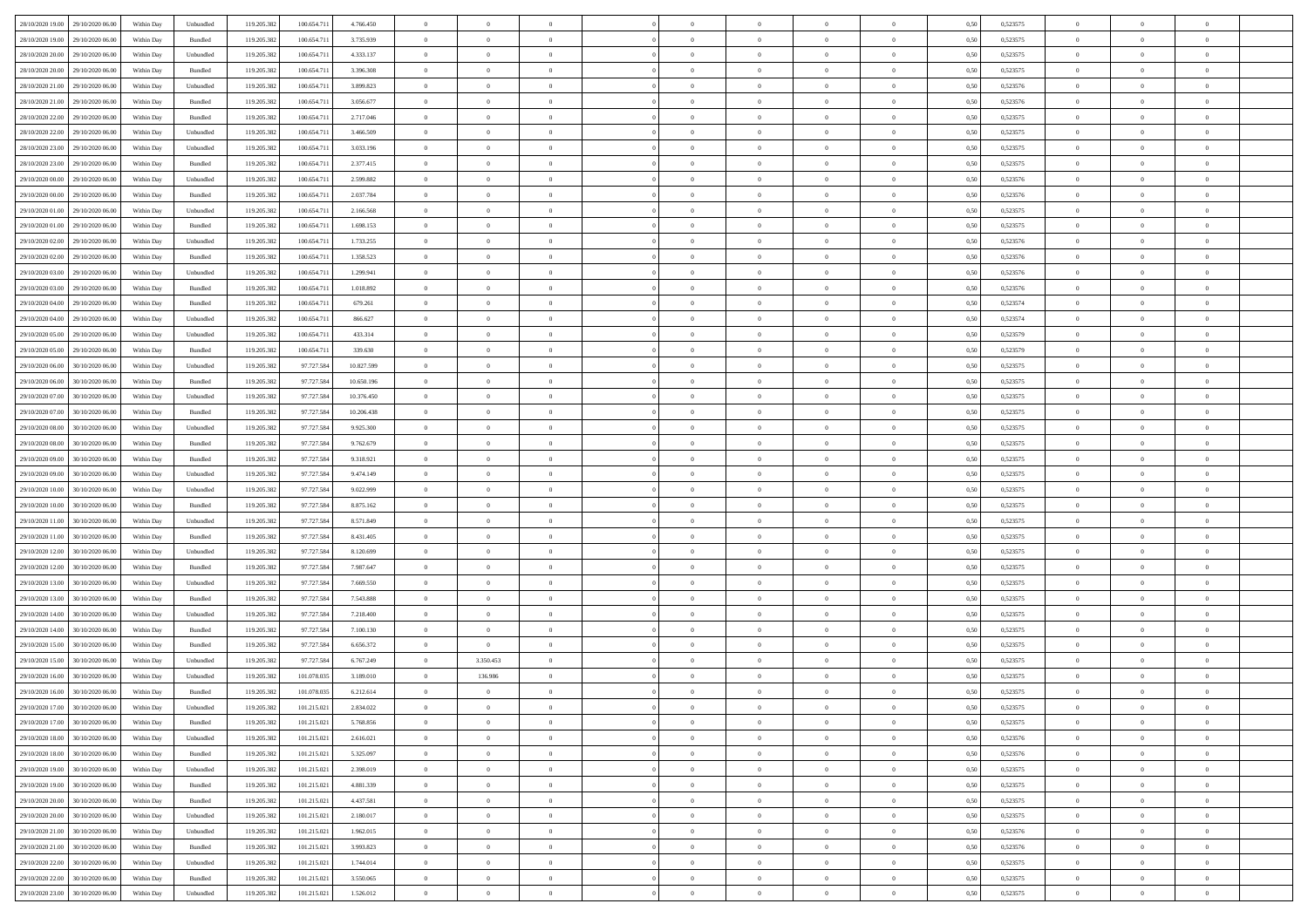| 28/10/2020 19:00 | 29/10/2020 06:00 | Within Day | Unbundled | 119.205.382 | 100.654.711 | 4.766.450  | $\overline{0}$ | $\theta$       |                | $\overline{0}$ | $\bf{0}$       | $\overline{0}$ | $\theta$       | 0,50 | 0,523575 | $\theta$       | $\theta$       | $\theta$                 |  |
|------------------|------------------|------------|-----------|-------------|-------------|------------|----------------|----------------|----------------|----------------|----------------|----------------|----------------|------|----------|----------------|----------------|--------------------------|--|
|                  |                  |            |           |             |             |            |                | $\theta$       |                |                |                |                |                |      |          |                |                | $\overline{0}$           |  |
| 28/10/2020 19:00 | 29/10/2020 06.00 | Within Day | Bundled   | 119.205.38  | 100.654.71  | 3.735.939  | $\overline{0}$ |                | $\overline{0}$ | $\overline{0}$ | $\,$ 0         | $\bf{0}$       | $\bf{0}$       | 0,50 | 0,523575 | $\,$ 0 $\,$    | $\overline{0}$ |                          |  |
| 28/10/2020 20:00 | 29/10/2020 06:00 | Within Day | Unbundled | 119.205.382 | 100.654.711 | 4.333.137  | $\overline{0}$ | $\overline{0}$ | $\overline{0}$ | $\overline{0}$ | $\bf{0}$       | $\overline{0}$ | $\mathbf{0}$   | 0.50 | 0,523575 | $\bf{0}$       | $\overline{0}$ | $\overline{0}$           |  |
| 28/10/2020 20:00 | 29/10/2020 06.00 | Within Day | Bundled   | 119.205.382 | 100.654.711 | 3.396.308  | $\overline{0}$ | $\overline{0}$ | $\overline{0}$ | $\overline{0}$ | $\bf{0}$       | $\overline{0}$ | $\overline{0}$ | 0,50 | 0,523575 | $\,$ 0 $\,$    | $\overline{0}$ | $\overline{0}$           |  |
| 28/10/2020 21.00 | 29/10/2020 06.00 | Within Day | Unbundled | 119.205.382 | 100.654.71  | 3.899.823  | $\overline{0}$ | $\theta$       | $\overline{0}$ |                | $\overline{0}$ | $\overline{0}$ | $\bf{0}$       | 0,50 | 0,523576 | $\,$ 0 $\,$    | $\overline{0}$ | $\overline{0}$           |  |
| 28/10/2020 21:00 | 29/10/2020 06:00 | Within Day | Bundled   | 119.205.382 | 100,654.71  | 3.056.677  | $\overline{0}$ | $\overline{0}$ | $\overline{0}$ | $\overline{0}$ | $\bf{0}$       | $\overline{0}$ | $\bf{0}$       | 0.50 | 0.523576 | $\,0\,$        | $\theta$       | $\overline{0}$           |  |
| 28/10/2020 22.00 | 29/10/2020 06.00 | Within Day | Bundled   | 119.205.382 | 100.654.711 | 2.717.046  | $\overline{0}$ | $\overline{0}$ | $\overline{0}$ | $\overline{0}$ | $\,$ 0         | $\overline{0}$ | $\overline{0}$ | 0,50 | 0,523575 | $\,0\,$        | $\theta$       | $\overline{0}$           |  |
| 28/10/2020 22.00 | 29/10/2020 06.00 | Within Day | Unbundled | 119.205.382 | 100.654.71  | 3.466.509  | $\overline{0}$ | $\theta$       | $\overline{0}$ |                | $\,$ 0         | $\overline{0}$ | $\bf{0}$       | 0,50 | 0,523575 | $\,$ 0 $\,$    | $\overline{0}$ | $\overline{0}$           |  |
|                  |                  |            |           |             |             |            |                |                |                |                |                |                |                |      |          |                |                |                          |  |
| 28/10/2020 23.00 | 29/10/2020 06:00 | Within Day | Unbundled | 119.205.382 | 100,654.71  | 3.033.196  | $\overline{0}$ | $\overline{0}$ | $\overline{0}$ | $\overline{0}$ | $\bf{0}$       | $\overline{0}$ | $\bf{0}$       | 0.50 | 0.523575 | $\,0\,$        | $\overline{0}$ | $\overline{0}$           |  |
| 28/10/2020 23:00 | 29/10/2020 06.00 | Within Day | Bundled   | 119.205.382 | 100.654.711 | 2.377.415  | $\overline{0}$ | $\overline{0}$ | $\overline{0}$ | $\overline{0}$ | $\bf{0}$       | $\overline{0}$ | $\bf{0}$       | 0,50 | 0,523575 | $\,$ 0 $\,$    | $\overline{0}$ | $\overline{0}$           |  |
| 29/10/2020 00.00 | 29/10/2020 06.00 | Within Day | Unbundled | 119.205.382 | 100.654.71  | 2.599.882  | $\bf{0}$       | $\theta$       | $\overline{0}$ |                | $\,$ 0         | $\overline{0}$ | $\bf{0}$       | 0,50 | 0,523576 | $\,$ 0 $\,$    | $\overline{0}$ | $\overline{0}$           |  |
| 29/10/2020 00:00 | 29/10/2020 06:00 | Within Day | Bundled   | 119.205.382 | 100,654.71  | 2.037.784  | $\overline{0}$ | $\overline{0}$ | $\overline{0}$ | $\overline{0}$ | $\bf{0}$       | $\overline{0}$ | $\mathbf{0}$   | 0.50 | 0,523576 | $\bf{0}$       | $\overline{0}$ | $\overline{\phantom{a}}$ |  |
| 29/10/2020 01:00 | 29/10/2020 06.00 | Within Day | Unbundled | 119.205.382 | 100.654.711 | 2.166.568  | $\overline{0}$ | $\overline{0}$ | $\overline{0}$ | $\overline{0}$ | $\bf{0}$       | $\overline{0}$ | $\overline{0}$ | 0,50 | 0,523575 | $\,$ 0 $\,$    | $\overline{0}$ | $\overline{0}$           |  |
| 29/10/2020 01:00 | 29/10/2020 06.00 | Within Day | Bundled   | 119.205.38  | 100.654.71  | 1.698.153  | $\overline{0}$ | $\theta$       | $\overline{0}$ |                | $\overline{0}$ | $\overline{0}$ | $\bf{0}$       | 0,50 | 0,523575 | $\,$ 0 $\,$    | $\overline{0}$ | $\overline{0}$           |  |
| 29/10/2020 02:00 | 29/10/2020 06:00 | Within Day | Unbundled | 119.205.382 | 100.654.711 | 1.733.255  | $\overline{0}$ | $\overline{0}$ | $\overline{0}$ | $\overline{0}$ | $\,$ 0         | $\overline{0}$ | $\overline{0}$ | 0.50 | 0.523576 | $\,0\,$        | $\theta$       | $\overline{0}$           |  |
|                  |                  |            |           |             |             |            | $\overline{0}$ | $\overline{0}$ | $\overline{0}$ | $\overline{0}$ | $\bf{0}$       | $\overline{0}$ | $\overline{0}$ |      |          | $\theta$       | $\theta$       | $\overline{0}$           |  |
| 29/10/2020 02.00 | 29/10/2020 06.00 | Within Day | Bundled   | 119.205.382 | 100.654.711 | 1.358.523  |                |                |                |                |                |                |                | 0,50 | 0,523576 |                |                |                          |  |
| 29/10/2020 03.00 | 29/10/2020 06.00 | Within Day | Unbundled | 119.205.38  | 100.654.71  | 1.299.941  | $\overline{0}$ | $\theta$       | $\overline{0}$ |                | $\bf{0}$       | $\overline{0}$ | $\bf{0}$       | 0,50 | 0,523576 | $\,$ 0 $\,$    | $\overline{0}$ | $\overline{0}$           |  |
| 29/10/2020 03.00 | 29/10/2020 06:00 | Within Day | Bundled   | 119.205.382 | 100,654.71  | 1.018.892  | $\overline{0}$ | $\overline{0}$ | $\overline{0}$ | $\overline{0}$ | $\bf{0}$       | $\overline{0}$ | $\bf{0}$       | 0.50 | 0.523576 | $\,0\,$        | $\overline{0}$ | $\overline{\phantom{a}}$ |  |
| 29/10/2020 04:00 | 29/10/2020 06.00 | Within Day | Bundled   | 119.205.382 | 100.654.711 | 679.261    | $\overline{0}$ | $\overline{0}$ | $\overline{0}$ | $\overline{0}$ | $\,$ 0         | $\overline{0}$ | $\overline{0}$ | 0,50 | 0,523574 | $\,$ 0 $\,$    | $\overline{0}$ | $\overline{0}$           |  |
| 29/10/2020 04:00 | 29/10/2020 06.00 | Within Day | Unbundled | 119.205.382 | 100.654.71  | 866.627    | $\bf{0}$       | $\,$ 0 $\,$    | $\overline{0}$ | $\overline{0}$ | $\,$ 0         | $\overline{0}$ | $\bf{0}$       | 0,50 | 0,523574 | $\,$ 0 $\,$    | $\overline{0}$ | $\overline{0}$           |  |
| 29/10/2020 05:00 | 29/10/2020 06:00 | Within Day | Unbundled | 119.205.382 | 100.654.711 | 433.314    | $\overline{0}$ | $\overline{0}$ | $\overline{0}$ | $\overline{0}$ | $\bf{0}$       | $\overline{0}$ | $\mathbf{0}$   | 0.50 | 0,523579 | $\bf{0}$       | $\overline{0}$ | $\overline{0}$           |  |
| 29/10/2020 05:00 | 29/10/2020 06.00 | Within Day | Bundled   | 119.205.382 | 100.654.711 | 339.630    | $\overline{0}$ | $\overline{0}$ | $\overline{0}$ | $\overline{0}$ | $\bf{0}$       | $\overline{0}$ | $\overline{0}$ | 0,50 | 0,523579 | $\,$ 0 $\,$    | $\overline{0}$ | $\overline{0}$           |  |
|                  |                  |            |           |             |             |            |                |                |                |                |                |                |                |      |          |                |                |                          |  |
| 29/10/2020 06.00 | 30/10/2020 06.00 | Within Day | Unbundled | 119.205.382 | 97.727.584  | 10.827.599 | $\overline{0}$ | $\theta$       | $\overline{0}$ |                | $\,$ 0         | $\overline{0}$ | $\bf{0}$       | 0,50 | 0,523575 | $\,$ 0 $\,$    | $\overline{0}$ | $\overline{0}$           |  |
| 29/10/2020 06.00 | 30/10/2020 06:00 | Within Day | Bundled   | 119.205.382 | 97.727.584  | 10.650.196 | $\overline{0}$ | $\overline{0}$ | $\overline{0}$ | $\overline{0}$ | $\bf{0}$       | $\overline{0}$ | $\bf{0}$       | 0.50 | 0.523575 | $\,0\,$        | $\theta$       | $\overline{0}$           |  |
| 29/10/2020 07.00 | 30/10/2020 06.00 | Within Day | Unbundled | 119.205.382 | 97.727.584  | 10.376.450 | $\overline{0}$ | $\theta$       | $\overline{0}$ | $\overline{0}$ | $\bf{0}$       | $\overline{0}$ | $\overline{0}$ | 0,50 | 0,523575 | $\,0\,$        | $\theta$       | $\overline{0}$           |  |
| 29/10/2020 07.00 | 30/10/2020 06.00 | Within Day | Bundled   | 119.205.382 | 97.727.584  | 10.206.438 | $\overline{0}$ | $\theta$       | $\overline{0}$ |                | $\bf{0}$       | $\overline{0}$ | $\bf{0}$       | 0,50 | 0,523575 | $\,$ 0 $\,$    | $\overline{0}$ | $\overline{0}$           |  |
| 29/10/2020 08:00 | 30/10/2020 06:00 | Within Day | Unbundled | 119.205.382 | 97.727.584  | 9.925.300  | $\overline{0}$ | $\overline{0}$ | $\overline{0}$ | $\overline{0}$ | $\bf{0}$       | $\overline{0}$ | $\bf{0}$       | 0.50 | 0.523575 | $\,0\,$        | $\overline{0}$ | $\overline{0}$           |  |
| 29/10/2020 08:00 | 30/10/2020 06.00 | Within Day | Bundled   | 119.205.382 | 97.727.584  | 9.762.679  | $\overline{0}$ | $\overline{0}$ | $\overline{0}$ | $\overline{0}$ | $\,$ 0         | $\overline{0}$ | $\overline{0}$ | 0,50 | 0,523575 | $\,$ 0 $\,$    | $\theta$       | $\overline{0}$           |  |
| 29/10/2020 09:00 | 30/10/2020 06.00 | Within Day | Bundled   | 119.205.382 | 97.727.584  | 9.318.921  | $\bf{0}$       | $\overline{0}$ | $\overline{0}$ | $\overline{0}$ | $\,$ 0         | $\bf{0}$       | $\bf{0}$       | 0,50 | 0,523575 | $\,$ 0 $\,$    | $\overline{0}$ | $\overline{0}$           |  |
|                  | 30/10/2020 06:00 |            |           |             |             | 9.474.149  |                | $\overline{0}$ |                |                |                | $\overline{0}$ |                |      |          |                |                |                          |  |
| 29/10/2020 09:00 |                  | Within Day | Unbundled | 119.205.382 | 97.727.584  |            | $\overline{0}$ |                | $\overline{0}$ | $\overline{0}$ | $\bf{0}$       |                | $\mathbf{0}$   | 0.50 | 0,523575 | $\bf{0}$       | $\overline{0}$ | $\overline{\phantom{a}}$ |  |
| 29/10/2020 10:00 | 30/10/2020 06:00 | Within Dav | Unbundled | 119.205.382 | 97.727.584  | 9.022.999  | $\overline{0}$ | $\overline{0}$ | $\theta$       | $\Omega$       | $\overline{0}$ | $\overline{0}$ | $\overline{0}$ | 0.50 | 0,523575 | $\theta$       | $\overline{0}$ | $\overline{0}$           |  |
| 29/10/2020 10:00 | 30/10/2020 06.00 | Within Day | Bundled   | 119.205.382 | 97.727.584  | 8.875.162  | $\overline{0}$ | $\theta$       | $\overline{0}$ |                | $\bf{0}$       | $\overline{0}$ | $\bf{0}$       | 0,50 | 0,523575 | $\,$ 0 $\,$    | $\overline{0}$ | $\overline{0}$           |  |
| 29/10/2020 11:00 | 30/10/2020 06:00 | Within Day | Unbundled | 119.205.382 | 97.727.584  | 8.571.849  | $\overline{0}$ | $\overline{0}$ | $\overline{0}$ | $\overline{0}$ | $\bf{0}$       | $\overline{0}$ | $\bf{0}$       | 0.50 | 0.523575 | $\,0\,$        | $\theta$       | $\overline{0}$           |  |
| 29/10/2020 11:00 | 30/10/2020 06.00 | Within Dav | Bundled   | 119.205.382 | 97.727.584  | 8.431.405  | $\overline{0}$ | $\theta$       | $\Omega$       | $\Omega$       | $\mathbf{0}$   | $\overline{0}$ | $\overline{0}$ | 0.50 | 0,523575 | $\theta$       | $\overline{0}$ | $\overline{0}$           |  |
| 29/10/2020 12:00 | 30/10/2020 06.00 | Within Day | Unbundled | 119.205.382 | 97.727.584  | 8.120.699  | $\overline{0}$ | $\theta$       | $\overline{0}$ |                | $\,$ 0         | $\overline{0}$ | $\bf{0}$       | 0,50 | 0,523575 | $\,$ 0 $\,$    | $\overline{0}$ | $\overline{0}$           |  |
| 29/10/2020 12:00 | 30/10/2020 06:00 | Within Day | Bundled   | 119.205.382 | 97.727.584  | 7.987.647  | $\overline{0}$ | $\overline{0}$ | $\overline{0}$ | $\overline{0}$ | $\bf{0}$       | $\overline{0}$ | $\bf{0}$       | 0.50 | 0.523575 | $\,0\,$        | $\overline{0}$ | $\overline{0}$           |  |
| 29/10/2020 13:00 | 30/10/2020 06.00 | Within Dav | Unbundled | 119.205.382 | 97.727.584  | 7.669.550  | $\overline{0}$ | $\overline{0}$ | $\overline{0}$ | $\Omega$       | $\overline{0}$ | $\overline{0}$ | $\overline{0}$ | 0.50 | 0,523575 | $\theta$       | $\overline{0}$ | $\overline{0}$           |  |
|                  |                  |            |           |             |             |            |                |                |                |                |                |                |                |      |          |                |                |                          |  |
| 29/10/2020 13:00 | 30/10/2020 06.00 | Within Day | Bundled   | 119.205.382 | 97.727.584  | 7.543.888  | $\bf{0}$       | $\overline{0}$ | $\overline{0}$ | $\overline{0}$ | $\bf{0}$       | $\bf{0}$       | $\bf{0}$       | 0,50 | 0,523575 | $\,$ 0 $\,$    | $\overline{0}$ | $\overline{0}$           |  |
| 29/10/2020 14:00 | 30/10/2020 06:00 | Within Day | Unbundled | 119.205.382 | 97.727.584  | 7.218.400  | $\overline{0}$ | $\overline{0}$ | $\overline{0}$ | $\overline{0}$ | $\bf{0}$       | $\overline{0}$ | $\mathbf{0}$   | 0.50 | 0,523575 | $\,$ 0 $\,$    | $\overline{0}$ | $\overline{0}$           |  |
| 29/10/2020 14:00 | 30/10/2020 06.00 | Within Dav | Bundled   | 119.205.382 | 97.727.584  | 7.100.130  | $\overline{0}$ | $\overline{0}$ | $\Omega$       | $\Omega$       | $\mathbf{0}$   | $\overline{0}$ | $\overline{0}$ | 0.50 | 0,523575 | $\theta$       | $\overline{0}$ | $\overline{0}$           |  |
| 29/10/2020 15:00 | 30/10/2020 06.00 | Within Day | Bundled   | 119.205.382 | 97.727.584  | 6.656.372  | $\overline{0}$ | $\overline{0}$ | $\overline{0}$ | $\overline{0}$ | $\,$ 0         | $\overline{0}$ | $\bf{0}$       | 0,50 | 0,523575 | $\,$ 0 $\,$    | $\overline{0}$ | $\overline{0}$           |  |
| 29/10/2020 15:00 | 30/10/2020 06:00 | Within Day | Unbundled | 119.205.382 | 97.727.584  | 6.767.249  | $\overline{0}$ | 3.350.453      | $\overline{0}$ | $\overline{0}$ | $\bf{0}$       | $\overline{0}$ | $\overline{0}$ | 0.50 | 0,523575 | $\,0\,$        | $\theta$       | $\overline{0}$           |  |
| 29/10/2020 16:00 | 30/10/2020 06:00 | Within Dav | Unbundled | 119.205.382 | 101.078.035 | 3.189.010  | $\overline{0}$ | 136.986        | $\Omega$       | $\Omega$       | $\bf{0}$       | $\overline{0}$ | $\Omega$       | 0.50 | 0,523575 | $\theta$       | $\theta$       | $\overline{0}$           |  |
| 29/10/2020 16:00 | 30/10/2020 06.00 | Within Day | Bundled   | 119.205.382 | 101.078.035 | 6.212.614  | $\bf{0}$       | $\overline{0}$ | $\overline{0}$ | $\bf{0}$       | $\,$ 0         | $\overline{0}$ | $\bf{0}$       | 0,50 | 0,523575 | $\,$ 0 $\,$    | $\overline{0}$ | $\overline{0}$           |  |
| 29/10/2020 17:00 | 30/10/2020 06.00 | Within Day | Unbundled | 119.205.382 | 101.215.021 | 2.834.022  | $\bf{0}$       | $\,$ 0         |                |                |                |                |                | 0,50 | 0,523575 | $\bf{0}$       | $\theta$       |                          |  |
| 29/10/2020 17:00 | 30/10/2020 06:00 | Within Day | Bundled   | 119.205.382 | 101.215.021 | 5.768.856  | $\Omega$       | $\overline{0}$ | $\Omega$       | $\Omega$       | $\mathbf{0}$   | $\overline{0}$ | $\mathbf{0}$   | 0.50 | 0,523575 | $\theta$       | $\theta$       | $\overline{0}$           |  |
|                  |                  |            |           |             |             |            |                |                |                |                |                |                |                |      |          |                |                |                          |  |
| 29/10/2020 18:00 | 30/10/2020 06.00 | Within Day | Unbundled | 119.205.382 | 101.215.021 | 2.616.021  | $\overline{0}$ | $\bf{0}$       | $\overline{0}$ | $\bf{0}$       | $\overline{0}$ | $\overline{0}$ | $\mathbf{0}$   | 0,50 | 0,523576 | $\overline{0}$ | $\overline{0}$ | $\bf{0}$                 |  |
| 29/10/2020 18:00 | 30/10/2020 06:00 | Within Day | Bundled   | 119.205.382 | 101.215.021 | 5.325.097  | $\overline{0}$ | $\overline{0}$ | $\overline{0}$ | $\overline{0}$ | $\bf{0}$       | $\overline{0}$ | $\mathbf{0}$   | 0.50 | 0,523576 | $\overline{0}$ | $\bf{0}$       | $\bf{0}$                 |  |
| 29/10/2020 19:00 | 30/10/2020 06:00 | Within Day | Unbundled | 119.205.382 | 101.215.021 | 2.398.019  | $\overline{0}$ | $\overline{0}$ | $\overline{0}$ | $\overline{0}$ | $\mathbf{0}$   | $\overline{0}$ | $\mathbf{0}$   | 0.50 | 0,523575 | $\overline{0}$ | $\theta$       | $\overline{0}$           |  |
| 29/10/2020 19:00 | 30/10/2020 06.00 | Within Day | Bundled   | 119.205.382 | 101.215.021 | 4.881.339  | $\overline{0}$ | $\overline{0}$ | $\overline{0}$ | $\overline{0}$ | $\bf{0}$       | $\bf{0}$       | $\bf{0}$       | 0,50 | 0,523575 | $\bf{0}$       | $\overline{0}$ | $\overline{0}$           |  |
| 29/10/2020 20.00 | 30/10/2020 06:00 | Within Day | Bundled   | 119.205.382 | 101.215.021 | 4.437.581  | $\overline{0}$ | $\overline{0}$ | $\overline{0}$ | $\overline{0}$ | $\bf{0}$       | $\overline{0}$ | $\mathbf{0}$   | 0.50 | 0.523575 | $\,$ 0 $\,$    | $\overline{0}$ | $\overline{0}$           |  |
| 29/10/2020 20:00 | 30/10/2020 06:00 | Within Day | Unbundled | 119.205.382 | 101.215.021 | 2.180.017  | $\overline{0}$ | $\overline{0}$ | $\overline{0}$ | $\overline{0}$ | $\overline{0}$ | $\overline{0}$ | $\overline{0}$ | 0.50 | 0,523575 | $\overline{0}$ | $\theta$       | $\overline{0}$           |  |
| 29/10/2020 21.00 | 30/10/2020 06.00 | Within Day | Unbundled | 119.205.382 | 101.215.021 | 1.962.015  | $\overline{0}$ | $\,$ 0         | $\overline{0}$ | $\bf{0}$       | $\,$ 0 $\,$    | $\overline{0}$ | $\bf{0}$       | 0,50 | 0,523576 | $\,$ 0 $\,$    | $\overline{0}$ | $\,$ 0                   |  |
|                  |                  |            |           |             |             |            |                |                |                |                |                |                |                |      |          |                |                |                          |  |
| 29/10/2020 21.00 | 30/10/2020 06:00 | Within Day | Bundled   | 119.205.382 | 101.215.021 | 3.993.823  | $\overline{0}$ | $\overline{0}$ | $\overline{0}$ | $\overline{0}$ | $\bf{0}$       | $\overline{0}$ | $\mathbf{0}$   | 0.50 | 0.523576 | $\mathbf{0}$   | $\,$ 0 $\,$    | $\overline{0}$           |  |
| 29/10/2020 22.00 | 30/10/2020 06:00 | Within Day | Unbundled | 119.205.382 | 101.215.021 | 1.744.014  | $\overline{0}$ | $\overline{0}$ | $\overline{0}$ | $\overline{0}$ | $\overline{0}$ | $\overline{0}$ | $\overline{0}$ | 0,50 | 0,523575 | $\overline{0}$ | $\theta$       | $\overline{0}$           |  |
| 29/10/2020 22.00 | 30/10/2020 06.00 | Within Day | Bundled   | 119.205.382 | 101.215.021 | 3.550.065  | $\overline{0}$ | $\overline{0}$ | $\overline{0}$ | $\overline{0}$ | $\bf{0}$       | $\overline{0}$ | $\bf{0}$       | 0,50 | 0,523575 | $\bf{0}$       | $\overline{0}$ | $\bf{0}$                 |  |
| 29/10/2020 23.00 | 30/10/2020 06:00 | Within Day | Unbundled | 119.205.382 | 101.215.021 | 1.526.012  | $\overline{0}$ | $\overline{0}$ | $\overline{0}$ | $\overline{0}$ | $\bf{0}$       | $\overline{0}$ | $\,$ 0 $\,$    | 0,50 | 0,523575 | $\overline{0}$ | $\,$ 0 $\,$    | $\,$ 0 $\,$              |  |